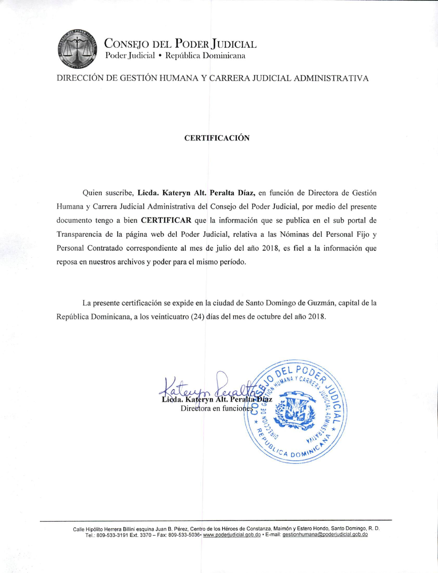

CONSEJO DEL PODER JUDICIAL Poder Judicial · República Dominicana

DIRECCIÓN DE GESTIÓN HUMANA Y CARRERA JUDICIAL ADMINISTRATIVA

## **CERTIFICACIÓN**

Quien suscribe, Licda. Kateryn Alt. Peralta Díaz, en función de Directora de Gestión Humana y Carrera Judicial Administrativa del Consejo del Poder Judicial, por medio del presente documento tengo a bien **CERTIFICAR** que la información que se publica en el sub portal de Transparencia de la página web del Poder Judicial, relativa a las Nóminas del Personal Fijo y Personal Contratado correspondiente al mes de julio del año 2018, es fiel a la información que reposa en nuestros archivos y poder para el mismo período.

La presente certificación se expide en la ciudad de Santo Domingo de Guzmán, capital de la República Dominicana, a los veinticuatro (24) días del mes de octubre del año 2018.

ateryn Alt. Pera Directora en funcione CA DON

Calle Hipólito Herrera Billini esquina Juan B. Pérez, Centro de los Héroes de Constanza, Maimón y Estero Hondo, Santo Domingo, R. D. Tel.: 809-533-3191 Ext. 3370 - Fax: 809-533-5036- www.poderjudicial.gob.do - E-mail: gestionhumana@poderjudicial.gob.do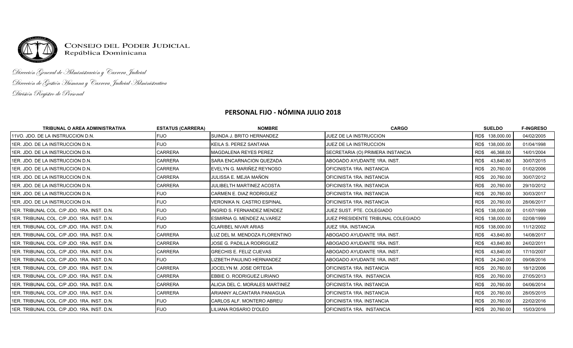

CONSEJO DEL PODER JUDICIAL<br>República Dominicana

Dirección General de Administración y Carrera Judicial Dirección de Gestión Humana y Carrera Judicial Administrativa División Registro de Personal

## **PERSONAL FIJO - NÓMINA JULIO 2018**

| <b>TRIBUNAL O AREA ADMINISTRATIVA</b>        | <b>ESTATUS (CARRERA)</b> | <b>NOMBRE</b>                     | <b>CARGO</b>                       | <b>SUELDO</b>     | <b>F-INGRESO</b> |
|----------------------------------------------|--------------------------|-----------------------------------|------------------------------------|-------------------|------------------|
| 111VO. JDO. DE LA INSTRUCCION D.N.           | <b>FIJO</b>              | SUINDA J. BRITO HERNANDEZ         | <b>JUEZ DE LA INSTRUCCION</b>      | RD\$ 138,000.00   | 04/02/2005       |
| 1ER. JDO. DE LA INSTRUCCION D.N.             | <b>FIJO</b>              | KEILA S. PEREZ SANTANA            | JUEZ DE LA INSTRUCCION             | RD\$ 138,000.00   | 01/04/1998       |
| 11ER. JDO. DE LA INSTRUCCION D.N.            | <b>CARRERA</b>           | <b>MAGDALENA REYES PEREZ</b>      | SECRETARIA (O) PRIMERA INSTANCIA   | 46,368.00<br>RD\$ | 14/01/2004       |
| 1ER. JDO. DE LA INSTRUCCION D.N.             | <b>CARRERA</b>           | <b>SARA ENCARNACION QUEZADA</b>   | ABOGADO AYUDANTE 1RA. INST.        | RD\$<br>43,840.80 | 30/07/2015       |
| 11ER. JDO. DE LA INSTRUCCION D.N.            | <b>CARRERA</b>           | EVELYN G. MARIÑEZ REYNOSO         | OFICINISTA 1RA. INSTANCIA          | RD\$<br>20,760.00 | 01/02/2006       |
| 1ER. JDO. DE LA INSTRUCCION D.N.             | <b>CARRERA</b>           | JULISSA E. MEJIA MAÑON            | OFICINISTA 1RA. INSTANCIA          | 20,760.00<br>RD\$ | 30/07/2012       |
| 11ER. JDO. DE LA INSTRUCCION D.N.            | <b>CARRERA</b>           | <b>JULIBELTH MARTINEZ ACOSTA</b>  | IOFICINISTA 1RA. INSTANCIA         | 20,760.00<br>RD\$ | 29/10/2012       |
| 11ER. JDO. DE LA INSTRUCCION D.N.            | <b>FIJO</b>              | CARMEN E. DIAZ RODRIGUEZ          | IOFICINISTA 1RA. INSTANCIA         | 20,760.00<br>RD\$ | 30/03/2017       |
| 11ER. JDO. DE LA INSTRUCCION D.N.            | <b>FIJO</b>              | <b>VERONIKA N. CASTRO ESPINAL</b> | <b>OFICINISTA 1RA. INSTANCIA</b>   | 20,760.00<br>RD\$ | 28/06/2017       |
| I1ER. TRIBUNAL COL. C/P JDO. 1RA. INST. D.N. | <b>FIJO</b>              | <b>INGRID S. FERNANDEZ MENDEZ</b> | JUEZ SUST. PTE. COLEGIADO          | RD\$ 138,000.00   | 01/07/1999       |
| I1ER. TRIBUNAL COL. C/P JDO. 1RA. INST. D.N. | <b>FIJO</b>              | ESMIRNA G. MENDEZ ALVAREZ         | JUEZ PRESIDENTE TRIBUNAL COLEGIADO | RD\$ 138,000.00   | 02/08/1999       |
| 1ER. TRIBUNAL COL. C/P JDO. 1RA. INST. D.N.  | <b>FIJO</b>              | <b>CLARIBEL NIVAR ARIAS</b>       | <b>JUEZ 1RA. INSTANCIA</b>         | RD\$ 138,000.00   | 11/12/2002       |
| I1ER. TRIBUNAL COL. C/P JDO. 1RA. INST. D.N. | <b>CARRERA</b>           | LUZ DEL M. MENDOZA FLORENTINO     | ABOGADO AYUDANTE 1RA. INST.        | RD\$<br>43,840.80 | 14/08/2017       |
| 1ER. TRIBUNAL COL. C/P JDO. 1RA. INST. D.N.  | <b>CARRERA</b>           | <b>JOSE G. PADILLA RODRIGUEZ</b>  | ABOGADO AYUDANTE 1RA. INST.        | 43,840.80<br>RD\$ | 24/02/2011       |
| I1ER. TRIBUNAL COL. C/P JDO. 1RA. INST. D.N. | <b>CARRERA</b>           | <b>GRECHIS E. FELIZ CUEVAS</b>    | ABOGADO AYUDANTE 1RA. INST.        | RD\$<br>43,840.00 | 17/10/2007       |
| 1 ER. TRIBUNAL COL. C/P JDO. 1RA. INST. D.N. | <b>FIJO</b>              | LIZBETH PAULINO HERNANDEZ         | ABOGADO AYUDANTE 1RA. INST.        | 24,240.00<br>RD\$ | 09/08/2016       |
| 1ER. TRIBUNAL COL. C/P JDO. 1RA. INST. D.N.  | <b>CARRERA</b>           | JOCELYN M. JOSE ORTEGA            | OFICINISTA 1RA. INSTANCIA          | 20,760.00<br>RD\$ | 18/12/2006       |
| I1ER. TRIBUNAL COL. C/P JDO. 1RA. INST. D.N. | <b>CARRERA</b>           | EBBIE O. RODRIGUEZ LIRIANO        | OFICINISTA 1RA. INSTANCIA          | 20,760.00<br>RD\$ | 27/05/2013       |
| 1ER. TRIBUNAL COL. C/P JDO. 1RA. INST. D.N.  | <b>CARRERA</b>           | ALICIA DEL C. MORALES MARTINEZ    | OFICINISTA 1RA. INSTANCIA          | 20,760.00<br>RD\$ | 04/06/2014       |
| 1ER. TRIBUNAL COL. C/P JDO. 1RA. INST. D.N.  | <b>CARRERA</b>           | ARIANNY ALCANTARA PANIAGUA        | OFICINISTA 1RA. INSTANCIA          | RD\$<br>20,760.00 | 28/05/2015       |
| I1ER. TRIBUNAL COL. C/P JDO. 1RA. INST. D.N. | <b>FIJO</b>              | CARLOS ALF. MONTERO ABREU         | <b>OFICINISTA 1RA. INSTANCIA</b>   | 20,760.00<br>RD\$ | 22/02/2016       |
| 1ER. TRIBUNAL COL. C/P JDO. 1RA. INST. D.N.  | <b>FIJO</b>              | LILIANA ROSARIO D'OLEO            | <b>OFICINISTA 1RA. INSTANCIA</b>   | 20,760.00<br>RD\$ | 15/03/2016       |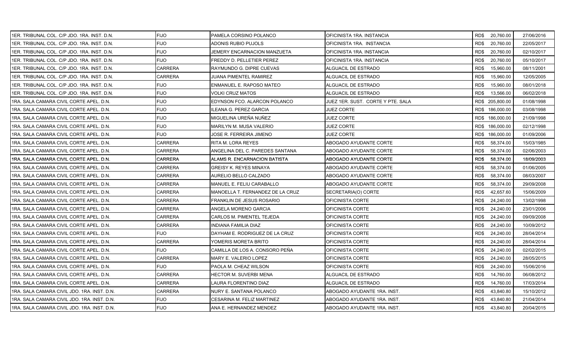| 1ER. TRIBUNAL COL. C/P JDO. 1RA. INST. D.N.  | <b>FIJO</b>    | PAMELA CORSINO POLANCO           | OFICINISTA 1RA. INSTANCIA          |      | RD\$ 20,760.00  | 27/06/2016 |
|----------------------------------------------|----------------|----------------------------------|------------------------------------|------|-----------------|------------|
| 1 ER. TRIBUNAL COL. C/P JDO. 1RA. INST. D.N. | <b>FIJO</b>    | ADONIS RUBIO PUJOLS              | OFICINISTA 1RA. INSTANCIA          | RD\$ | 20,760.00       | 22/05/2017 |
| 1ER. TRIBUNAL COL. C/P JDO. 1RA. INST. D.N.  | <b>FIJO</b>    | JEMERY ENCARNACION MANZUETA      | OFICINISTA 1RA. INSTANCIA          | RD\$ | 20,760.00       | 02/10/2017 |
| 1ER. TRIBUNAL COL. C/P JDO. 1RA. INST. D.N.  | <b>FIJO</b>    | FREDDY D. PELLETIER PEREZ        | OFICINISTA 1RA. INSTANCIA          | RD\$ | 20,760.00       | 05/10/2017 |
| 1ER. TRIBUNAL COL. C/P JDO. 1RA. INST. D.N.  | <b>CARRERA</b> | RAYMUNDO G. DIPRE CUEVAS         | ALGUACIL DE ESTRADO                | RD\$ | 15,960.00       | 08/11/2001 |
| 1ER. TRIBUNAL COL. C/P JDO. 1RA. INST. D.N.  | CARRERA        | JUANA PIMENTEL RAMIREZ           | ALGUACIL DE ESTRADO                | RD\$ | 15,960.00       | 12/05/2005 |
| 1ER. TRIBUNAL COL. C/P JDO. 1RA. INST. D.N.  | <b>FIJO</b>    | ENMANUEL E. RAPOSO MATEO         | ALGUACIL DE ESTRADO                | RD\$ | 15,960.00       | 08/01/2018 |
| 1ER. TRIBUNAL COL. C/P JDO. 1RA. INST. D.N.  | <b>FIJO</b>    | VOLKI CRUZ MATOS                 | ALGUACIL DE ESTRADO                | RD\$ | 13,566.00       | 06/02/2018 |
| 1RA. SALA CAMARA CIVIL CORTE APEL. D.N.      | <b>FIJO</b>    | EDYNSON FCO. ALARCON POLANCO     | JUEZ 1ER. SUST.  CORTE Y PTE. SALA |      | RD\$ 205,800.00 | 01/08/1998 |
| 1RA, SALA CAMARA CIVIL CORTE APEL, D.N.      | <b>FIJO</b>    | ILEANA G. PEREZ GARCIA           | JUEZ CORTE                         |      | RD\$ 186,000.00 | 03/08/1998 |
| 1RA. SALA CAMARA CIVIL CORTE APEL. D.N.      | <b>FIJO</b>    | MIGUELINA UREÑA NUÑEZ            | JUEZ CORTE                         |      | RD\$ 186,000.00 | 21/09/1998 |
| 1RA. SALA CAMARA CIVIL CORTE APEL. D.N.      | <b>FIJO</b>    | MARILYN M. MUSA VALERIO          | JUEZ CORTE                         |      | RD\$ 186,000.00 | 02/12/1998 |
| I1RA. SALA CAMARA CIVIL CORTE APEL. D.N.     | <b>FIJO</b>    | JOSE R. FERREIRA JIMENO          | JUEZ CORTE                         |      | RD\$ 186,000.00 | 01/09/2006 |
| 1RA. SALA CAMARA CIVIL CORTE APEL. D.N.      | <b>CARRERA</b> | RITA M. LORA REYES               | ABOGADO AYUDANTE CORTE             | RD\$ | 58,374.00       | 15/03/1985 |
| 1RA. SALA CAMARA CIVIL CORTE APEL. D.N.      | CARRERA        | ANGELINA DEL C. PAREDES SANTANA  | ABOGADO AYUDANTE CORTE             | RD\$ | 58,374.00       | 02/06/2003 |
| 1RA, SALA CAMARA CIVIL CORTE APEL, D.N.      | CARRERA        | ALAMS R. ENCARNACION BATISTA     | ABOGADO AYUDANTE CORTE             | RD\$ | 58.374.00       | 18/09/2003 |
| 1RA. SALA CAMARA CIVIL CORTE APEL. D.N.      | <b>CARRERA</b> | GREISY K. REYES MINAYA           | ABOGADO AYUDANTE CORTE             | RD\$ | 58,374.00       | 01/06/2005 |
| 1RA. SALA CAMARA CIVIL CORTE APEL. D.N.      | CARRERA        | AURELIO BELLO CALZADO            | ABOGADO AYUDANTE CORTE             | RD\$ | 58,374.00       | 08/03/2007 |
| 1RA. SALA CAMARA CIVIL CORTE APEL. D.N.      | <b>CARRERA</b> | MANUEL E. FELIU CARABALLO        | ABOGADO AYUDANTE CORTE             | RD\$ | 58,374.00       | 29/09/2008 |
| 1RA. SALA CAMARA CIVIL CORTE APEL. D.N.      | <b>CARRERA</b> | MANOELLA T. FERNANDEZ DE LA CRUZ | SECRETARIA(O) CORTE                | RD\$ | 42,657.60       | 15/06/2009 |
| 1RA. SALA CAMARA CIVIL CORTE APEL. D.N.      | CARRERA        | FRANKLIN DE JESUS ROSARIO        | OFICINISTA CORTE                   | RD\$ | 24,240.00       | 13/02/1998 |
| 1RA. SALA CAMARA CIVIL CORTE APEL. D.N.      | CARRERA        | ANGELA MORENO GARCIA             | OFICINISTA CORTE                   | RD\$ | 24,240.00       | 23/01/2006 |
| 1RA. SALA CAMARA CIVIL CORTE APEL. D.N.      | CARRERA        | CARLOS M. PIMENTEL TEJEDA        | OFICINISTA CORTE                   | RD\$ | 24,240.00       | 09/09/2008 |
| 1RA. SALA CAMARA CIVIL CORTE APEL. D.N.      | CARRERA        | INDIANA FAMILIA DIAZ             | OFICINISTA CORTE                   | RD\$ | 24,240.00       | 10/09/2012 |
| 1RA, SALA CAMARA CIVIL CORTE APEL, D.N.      | <b>FIJO</b>    | DAYHAM E. RODRIGUEZ DE LA CRUZ   | OFICINISTA CORTE                   | RD\$ | 24,240.00       | 28/04/2014 |
| 1RA. SALA CAMARA CIVIL CORTE APEL. D.N.      | CARRERA        | YOMERIS MORETA BRITO             | OFICINISTA CORTE                   | RD\$ | 24,240.00       | 28/04/2014 |
| 1RA. SALA CAMARA CIVIL CORTE APEL. D.N.      | FIJO           | CAMILLA DE LOS A. CONSORO PEÑA   | OFICINISTA CORTE                   | RD\$ | 24,240.00       | 02/02/2015 |
| 1RA. SALA CAMARA CIVIL CORTE APEL. D.N.      | <b>CARRERA</b> | MARY E. VALERIO LOPEZ            | OFICINISTA CORTE                   | RD\$ | 24,240.00       | 28/05/2015 |
| 1RA. SALA CAMARA CIVIL CORTE APEL. D.N.      | <b>FIJO</b>    | PAOLA M. CHEAZ WILSON            | OFICINISTA CORTE                   | RD\$ | 24,240.00       | 15/06/2016 |
| I1RA. SALA CAMARA CIVIL CORTE APEL. D.N.     | <b>CARRERA</b> | HECTOR M. SUVERBI MENA           | ALGUACIL DE ESTRADO                | RD\$ | 14,760.00       | 06/08/2012 |
| 1RA. SALA CAMARA CIVIL CORTE APEL. D.N.      | CARRERA        | LAURA FLORENTINO DIAZ            | ALGUACIL DE ESTRADO                | RD\$ | 14,760.00       | 17/03/2014 |
| 1RA. SALA CAMARA CIVIL JDO. 1RA. INST. D.N.  | CARRERA        | NURY E. SANTANA POLANCO          | ABOGADO AYUDANTE 1RA. INST.        | RD\$ | 43,840.80       | 15/10/2012 |
| 1RA, SALA CAMARA CIVIL JDO, 1RA, INST, D.N.  | <b>FIJO</b>    | CESARINA M. FELIZ MARTINEZ       | ABOGADO AYUDANTE 1RA. INST.        | RD\$ | 43,840.80       | 21/04/2014 |
| 1RA. SALA CAMARA CIVIL JDO. 1RA. INST. D.N.  | <b>FIJO</b>    | ANA E. HERNANDEZ MENDEZ          | ABOGADO AYUDANTE 1RA. INST.        | RD\$ | 43,840.80       | 20/04/2015 |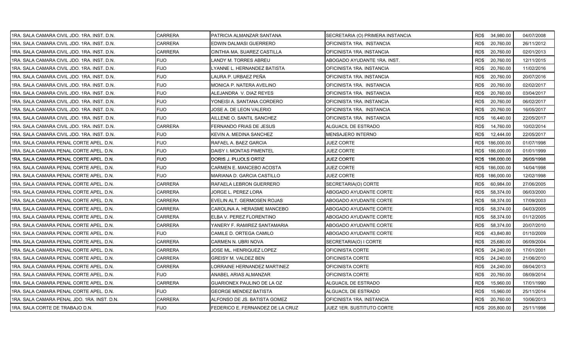| 1RA. SALA CAMARA CIVIL JDO. 1RA. INST. D.N. | <b>CARRERA</b> | PATRICIA ALMANZAR SANTANA        | SECRETARIA (O) PRIMERA INSTANCIA |      | RD\$ 34,980.00  | 04/07/2008 |
|---------------------------------------------|----------------|----------------------------------|----------------------------------|------|-----------------|------------|
| 1RA. SALA CAMARA CIVIL JDO. 1RA. INST. D.N. | <b>CARRERA</b> | EDWIN DALMASI GUERRERO           | OFICINISTA 1RA. INSTANCIA        | RD\$ | 20,760.00       | 26/11/2012 |
| 1RA. SALA CAMARA CIVIL JDO. 1RA. INST. D.N. | <b>CARRERA</b> | CINTHIA MA. SUAREZ CASTILLA      | OFICINISTA 1RA. INSTANCIA        | RD\$ | 20,760.00       | 02/01/2013 |
| 1RA. SALA CAMARA CIVIL JDO. 1RA. INST. D.N. | <b>FIJO</b>    | LANDY M. TORRES ABREU            | ABOGADO AYUDANTE 1RA. INST.      | RD\$ | 20,760.00       | 12/11/2015 |
| 1RA. SALA CAMARA CIVIL JDO. 1RA. INST. D.N. | <b>FIJO</b>    | LYANNE L. HERNANDEZ BATISTA      | OFICINISTA 1RA. INSTANCIA        | RD\$ | 20,760.00       | 11/02/2016 |
| 1RA. SALA CAMARA CIVIL JDO. 1RA. INST. D.N. | FIJO           | LAURA P. URBAEZ PEÑA             | OFICINISTA 1RA. INSTANCIA        | RD\$ | 20,760.00       | 20/07/2016 |
| 1RA. SALA CAMARA CIVIL JDO. 1RA. INST. D.N. | <b>FIJO</b>    | MONICA P. NATERA AVELINO         | OFICINISTA 1RA. INSTANCIA        | RD\$ | 20,760.00       | 02/02/2017 |
| 1RA. SALA CAMARA CIVIL JDO. 1RA. INST. D.N. | <b>FIJO</b>    | ALEJANDRA V. DIAZ REYES          | OFICINISTA 1RA. INSTANCIA        | RD\$ | 20,760.00       | 03/04/2017 |
| 1RA. SALA CAMARA CIVIL JDO. 1RA. INST. D.N. | <b>FIJO</b>    | YONEISI A. SANTANA CORDERO       | OFICINISTA 1RA. INSTANCIA        | RD\$ | 20,760.00       | 06/02/2017 |
| 1RA. SALA CAMARA CIVIL JDO. 1RA. INST. D.N. | <b>FIJO</b>    | JOSE A. DE LEON VALERIO          | OFICINISTA 1RA. INSTANCIA        | RD\$ | 20,760.00       | 16/05/2017 |
| 1RA. SALA CAMARA CIVIL JDO. 1RA. INST. D.N. | <b>FIJO</b>    | AILLENE O. SANTIL SANCHEZ        | OFICINISTA 1RA. INSTANCIA        | RD\$ | 16,440.00       | 22/05/2017 |
| 1RA. SALA CAMARA CIVIL JDO. 1RA. INST. D.N. | <b>CARRERA</b> | FERNANDO FRIAS DE JESUS          | ALGUACIL DE ESTRADO              | RD\$ | 14,760.00       | 10/02/2014 |
| 1RA, SALA CAMARA CIVIL JDO, 1RA, INST, D.N. | FIJO           | KEVIN A. MEDINA SANCHEZ          | MENSAJERO INTERNO                | RD\$ | 12,444.00       | 22/05/2017 |
| 1RA. SALA CAMARA PENAL CORTE APEL. D.N.     | <b>FIJO</b>    | RAFAEL A. BAEZ GARCIA            | <b>JUEZ CORTE</b>                |      | RD\$ 186,000.00 | 01/07/1998 |
| 1RA. SALA CAMARA PENAL CORTE APEL. D.N.     | <b>FIJO</b>    | DAISY I. MONTAS PIMENTEL         | <b>JUEZ CORTE</b>                |      | RD\$ 186,000.00 | 01/01/1999 |
| 1RA. SALA CAMARA PENAL CORTE APEL. D.N.     | <b>FIJO</b>    | DORIS J. PUJOLS ORTIZ            | JUEZ CORTE                       |      | RD\$ 186,000.00 | 26/05/1998 |
| 1RA. SALA CAMARA PENAL CORTE APEL. D.N.     | <b>FIJO</b>    | CARMEN E. MANCEBO ACOSTA         | JUEZ CORTE                       |      | RD\$ 186,000.00 | 14/04/1998 |
| 1RA. SALA CAMARA PENAL CORTE APEL. D.N.     | FIJO           | MARIANA D. GARCIA CASTILLO       | <b>JUEZ CORTE</b>                |      | RD\$ 186,000.00 | 12/02/1998 |
| 1RA. SALA CAMARA PENAL CORTE APEL. D.N.     | <b>CARRERA</b> | RAFAELA LEBRON GUERRERO          | SECRETARIA(O) CORTE              | RD\$ | 60,984.00       | 27/06/2005 |
| 1RA. SALA CAMARA PENAL CORTE APEL. D.N.     | <b>CARRERA</b> | JORGE L. PEREZ LORA              | ABOGADO AYUDANTE CORTE           | RD\$ | 58,374.00       | 06/03/2000 |
| 1RA. SALA CAMARA PENAL CORTE APEL. D.N.     | CARRERA        | EVELIN ALT. GERMOSEN ROJAS       | ABOGADO AYUDANTE CORTE           | RD\$ | 58,374.00       | 17/09/2003 |
| 1RA. SALA CAMARA PENAL CORTE APEL. D.N.     | CARRERA        | CAROLINA A. HERASME MANCEBO      | ABOGADO AYUDANTE CORTE           | RD\$ | 58,374.00       | 04/03/2005 |
| 1RA. SALA CAMARA PENAL CORTE APEL. D.N.     | CARRERA        | ELBA V. PEREZ FLORENTINO         | ABOGADO AYUDANTE CORTE           | RD\$ | 58,374.00       | 01/12/2005 |
| 1RA. SALA CAMARA PENAL CORTE APEL. D.N.     | CARRERA        | YANERY F. RAMIREZ SANTAMARIA     | ABOGADO AYUDANTE CORTE           | RD\$ | 58,374.00       | 20/07/2010 |
| 1RA, SALA CAMARA PENAL CORTE APEL, D.N.     | <b>FIJO</b>    | CAMILE D. ORTEGA CAMILO          | ABOGADO AYUDANTE CORTE           | RD\$ | 43,840.80       | 01/10/2009 |
| 1RA. SALA CAMARA PENAL CORTE APEL. D.N.     | CARRERA        | CARMEN N. UBRI NOVA              | SECRETARIA(O) I CORTE            | RD\$ | 25,680.00       | 06/09/2004 |
| 1RA. SALA CAMARA PENAL CORTE APEL. D.N.     | CARRERA        | JOSE ML. HENRIQUEZ LOPEZ         | OFICINISTA CORTE                 | RD\$ | 24,240.00       | 17/01/2001 |
| 1RA. SALA CAMARA PENAL CORTE APEL. D.N.     | CARRERA        | GREISY M. VALDEZ BEN             | OFICINISTA CORTE                 | RD\$ | 24,240.00       | 21/06/2010 |
| 1RA. SALA CAMARA PENAL CORTE APEL. D.N.     | CARRERA        | ORRAINE HERNANDEZ MARTINEZ       | OFICINISTA CORTE                 | RD\$ | 24,240.00       | 08/04/2013 |
| 1RA. SALA CAMARA PENAL CORTE APEL. D.N.     | <b>FIJO</b>    | ANABEL ARIAS ALMANZAR            | OFICINISTA CORTE                 | RD\$ | 20,760.00       | 08/09/2014 |
| 1RA. SALA CAMARA PENAL CORTE APEL. D.N.     | CARRERA        | GUARIONEX PAULINO DE LA OZ       | ALGUACIL DE ESTRADO              | RD\$ | 15,960.00       | 17/01/1990 |
| 1RA. SALA CAMARA PENAL CORTE APEL. D.N.     | <b>FIJO</b>    | GEORGE MENDEZ BATISTA            | ALGUACIL DE ESTRADO              | RD\$ | 15,960.00       | 25/11/2014 |
| 1RA. SALA CAMARA PENAL JDO. 1RA. INST. D.N. | CARRERA        | ALFONSO DE JS. BATISTA GOMEZ     | OFICINISTA 1RA. INSTANCIA        | RD\$ | 20,760.00       | 10/06/2013 |
| 1RA. SALA CORTE DE TRABAJO D.N.             | <b>FIJO</b>    | FEDERICO E. FERNANDEZ DE LA CRUZ | JUEZ 1ER. SUSTITUTO CORTE        |      | RD\$ 205,800.00 | 25/11/1998 |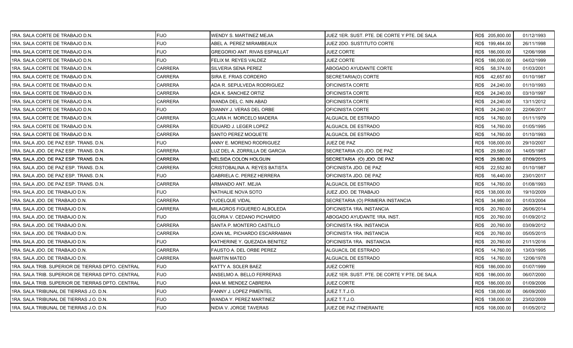| 1RA. SALA CORTE DE TRABAJO D.N.                   | <b>FIJO</b>    | WENDY S. MARTINEZ MEJIA          | JUEZ 1ER. SUST. PTE. DE CORTE Y PTE. DE SALA | RD\$ 205,800.00   | 01/12/1993 |
|---------------------------------------------------|----------------|----------------------------------|----------------------------------------------|-------------------|------------|
| 1RA. SALA CORTE DE TRABAJO D.N.                   | <b>FIJO</b>    | ABEL A. PEREZ MIRAMBEAUX         | JUEZ 2DO. SUSTITUTO CORTE                    | RD\$ 199,464.00   | 26/11/1998 |
| 1RA. SALA CORTE DE TRABAJO D.N.                   | <b>FIJO</b>    | GREGORIO ANT. RIVAS ESPAILLAT    | <b>JUEZ CORTE</b>                            | RD\$ 186,000.00   | 12/06/1998 |
| 1RA. SALA CORTE DE TRABAJO D.N.                   | <b>FIJO</b>    | FELIX M. REYES VALDEZ            | <b>JUEZ CORTE</b>                            | RD\$ 186,000.00   | 04/02/1999 |
| 1RA. SALA CORTE DE TRABAJO D.N.                   | CARRERA        | SILVERIA SENA PEREZ              | ABOGADO AYUDANTE CORTE                       | RD\$<br>58,374.00 | 01/03/2001 |
| 1RA. SALA CORTE DE TRABAJO D.N.                   | CARRERA        | SIRA E. FRIAS CORDERO            | SECRETARIA(O) CORTE                          | RD\$<br>42,657.60 | 01/10/1987 |
| 1RA. SALA CORTE DE TRABAJO D.N.                   | CARRERA        | ADA R. SEPULVEDA RODRIGUEZ       | OFICINISTA CORTE                             | RD\$<br>24,240.00 | 01/10/1993 |
| 1RA. SALA CORTE DE TRABAJO D.N.                   | <b>CARRERA</b> | ADA K. SANCHEZ ORTIZ             | OFICINISTA CORTE                             | RD\$<br>24,240.00 | 03/10/1997 |
| 1RA. SALA CORTE DE TRABAJO D.N.                   | <b>CARRERA</b> | WANDA DEL C. NIN ABAD            | OFICINISTA CORTE                             | RD\$<br>24,240.00 | 13/11/2012 |
| 1RA. SALA CORTE DE TRABAJO D.N.                   | <b>FIJO</b>    | DIANNY J. VERAS DEL ORBE         | OFICINISTA CORTE                             | RD\$<br>24,240.00 | 22/06/2017 |
| 1RA. SALA CORTE DE TRABAJO D.N.                   | CARRERA        | CLARA H. MORCELO MADERA          | ALGUACIL DE ESTRADO                          | 14,760.00<br>RD\$ | 01/11/1979 |
| 1RA. SALA CORTE DE TRABAJO D.N.                   | CARRERA        | EDUARD J. LEGER LOPEZ            | ALGUACIL DE ESTRADO                          | RD\$<br>14,760.00 | 01/05/1995 |
| 1RA. SALA CORTE DE TRABAJO D.N.                   | <b>CARRERA</b> | SANTO PEREZ MOQUETE              | ALGUACIL DE ESTRADO                          | RD\$<br>14,760.00 | 01/10/1993 |
| 1RA. SALA JDO. DE PAZ ESP. TRANS. D.N.            | <b>FIJO</b>    | ANNY E. MORENO RODRIGUEZ         | JUEZ DE PAZ                                  | RD\$ 108,000.00   | 29/10/2007 |
| 1RA. SALA JDO. DE PAZ ESP. TRANS. D.N.            | <b>CARRERA</b> | LUZ DEL A. ZORRILLA DE GARCIA    | SECRETARIA (O) JDO. DE PAZ                   | RD\$<br>29,580.00 | 14/05/1987 |
| 1RA. SALA JDO. DE PAZ ESP. TRANS. D.N.            | <b>CARRERA</b> | NELSIDA COLON HOLGUIN            | SECRETARIA (O) JDO. DE PAZ                   | RD\$<br>29,580.00 | 07/09/2015 |
| 1RA. SALA JDO. DE PAZ ESP. TRANS. D.N.            | <b>CARRERA</b> | CRISTOBALINA A. REYES BATISTA    | OFICINISTA JDO. DE PAZ                       | RD\$<br>22,552.80 | 01/10/1987 |
| 1RA. SALA JDO. DE PAZ ESP. TRANS. D.N.            | <b>FIJO</b>    | <b>GABRIELA C. PEREZ HERRERA</b> | OFICINISTA JDO. DE PAZ                       | RD\$<br>16,440.00 | 23/01/2017 |
| 1RA. SALA JDO. DE PAZ ESP. TRANS. D.N.            | <b>CARRERA</b> | ARMANDO ANT. MEJIA               | ALGUACIL DE ESTRADO                          | RD\$<br>14,760.00 | 01/08/1993 |
| 1RA. SALA JDO. DE TRABAJO D.N.                    | <b>FIJO</b>    | NATHALIE NOVA SOTO               | JUEZ JDO. DE TRABAJO                         | RD\$ 138,000.00   | 19/10/2009 |
| 1RA. SALA JDO. DE TRABAJO D.N.                    | CARRERA        | YUDELQUE VIDAL                   | SECRETARIA (O) PRIMERA INSTANCIA             | 34,980.00<br>RD\$ | 01/03/2004 |
| 1RA. SALA JDO. DE TRABAJO D.N.                    | CARRERA        | MILAGROS FIGUEREO ALBOLEDA       | OFICINISTA 1RA. INSTANCIA                    | RD\$<br>20,760.00 | 26/06/2014 |
| 1RA. SALA JDO. DE TRABAJO D.N.                    | <b>FIJO</b>    | <b>GLORIA V. CEDANO PICHARDO</b> | ABOGADO AYUDANTE 1RA. INST.                  | RD\$<br>20,760.00 | 01/09/2012 |
| 1RA. SALA JDO. DE TRABAJO D.N.                    | <b>CARRERA</b> | SANTA P. MONTERO CASTILLO        | OFICINISTA 1RA. INSTANCIA                    | 20,760.00<br>RD\$ | 03/09/2012 |
| I1RA. SALA JDO. DE TRABAJO D.N.                   | <b>CARRERA</b> | JOAN ML. PICHARDO ESCARRAMAN     | OFICINISTA 1RA. INSTANCIA                    | RD\$<br>20,760.00 | 05/05/2015 |
| 1RA. SALA JDO. DE TRABAJO D.N.                    | <b>FIJO</b>    | KATHERINE Y. QUEZADA BENITEZ     | OFICINISTA 1RA. INSTANCIA                    | 20,760.00<br>RD\$ | 21/11/2016 |
| 1RA. SALA JDO. DE TRABAJO D.N.                    | CARRERA        | FAUSTO A. DEL ORBE PEREZ         | ALGUACIL DE ESTRADO                          | RD\$<br>14,760.00 | 13/03/1995 |
| 1RA. SALA JDO. DE TRABAJO D.N.                    | <b>CARRERA</b> | <b>MARTIN MATEO</b>              | ALGUACIL DE ESTRADO                          | RD\$<br>14,760.00 | 12/06/1978 |
| 1RA. SALA TRIB. SUPERIOR DE TIERRAS DPTO. CENTRAL | <b>FIJO</b>    | KATTY A. SOLER BAEZ              | <b>JUEZ CORTE</b>                            | RD\$ 186,000.00   | 01/07/1999 |
| 1RA. SALA TRIB. SUPERIOR DE TIERRAS DPTO. CENTRAL | <b>FIJO</b>    | ANSELMO A. BELLO FERRERAS        | JUEZ 1ER. SUST. PTE. DE CORTE Y PTE. DE SALA | RD\$ 186,000.00   | 06/07/2000 |
| 1RA. SALA TRIB. SUPERIOR DE TIERRAS DPTO. CENTRAL | <b>FIJO</b>    | ANA M. MENDEZ CABRERA            | JUEZ CORTE                                   | RD\$ 186,000.00   | 01/09/2006 |
| 1RA. SALA TRIBUNAL DE TIERRAS J.O. D.N.           | <b>FIJO</b>    | FANNY J. LOPEZ PIMENTEL          | JUEZ T.T.J.O.                                | RD\$ 138,000.00   | 06/09/2000 |
| 1RA. SALA TRIBUNAL DE TIERRAS J.O. D.N.           | <b>FIJO</b>    | WANDA Y. PEREZ MARTINEZ          | JUEZ T.T.J.O.                                | RD\$ 138,000.00   | 23/02/2009 |
| 1RA. SALA TRIBUNAL DE TIERRAS J.O. D.N.           | <b>FIJO</b>    | NIDIA V. JORGE TAVERAS           | JUEZ DE PAZ ITINERANTE                       | RD\$ 108,000.00   | 01/05/2012 |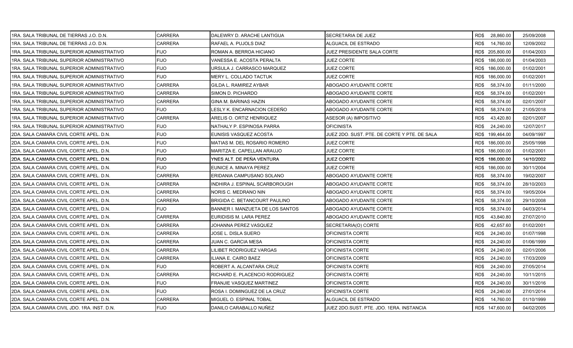| 1RA. SALA TRIBUNAL DE TIERRAS J.O. D.N.     | <b>CARRERA</b> | DALEWRY D. ARACHE LANTIGUA       | SECRETARIA DE JUEZ                           | RD\$ 28,860.00    | 25/09/2008 |
|---------------------------------------------|----------------|----------------------------------|----------------------------------------------|-------------------|------------|
| 1RA. SALA TRIBUNAL DE TIERRAS J.O. D.N.     | <b>CARRERA</b> | RAFAEL A. PUJOLS DIAZ            | ALGUACIL DE ESTRADO                          | RD\$<br>14,760.00 | 12/09/2002 |
| 1RA. SALA TRIBUNAL SUPERIOR ADMINISTRATIVO  | <b>FIJO</b>    | ROMAN A. BERROA HICIANO          | JUEZ PRESIDENTE SALA CORTE                   | RD\$ 205,800.00   | 01/04/2003 |
| 1RA. SALA TRIBUNAL SUPERIOR ADMINISTRATIVO  | <b>FIJO</b>    | VANESSA E. ACOSTA PERALTA        | <b>JUEZ CORTE</b>                            | RD\$ 186,000.00   | 01/04/2003 |
| 1RA. SALA TRIBUNAL SUPERIOR ADMINISTRATIVO  | <b>FIJO</b>    | URSULA J. CARRASCO MARQUEZ       | JUEZ CORTE                                   | RD\$ 186,000.00   | 01/02/2001 |
| 1RA. SALA TRIBUNAL SUPERIOR ADMINISTRATIVO  | <b>FIJO</b>    | MERY L. COLLADO TACTUK           | <b>JUEZ CORTE</b>                            | RD\$ 186,000.00   | 01/02/2001 |
| 1RA. SALA TRIBUNAL SUPERIOR ADMINISTRATIVO  | <b>CARRERA</b> | GILDA L. RAMIREZ AYBAR           | ABOGADO AYUDANTE CORTE                       | RD\$<br>58,374.00 | 01/11/2000 |
| 1RA. SALA TRIBUNAL SUPERIOR ADMINISTRATIVO  | <b>CARRERA</b> | SIMON D. PICHARDO                | ABOGADO AYUDANTE CORTE                       | RD\$<br>58,374.00 | 01/02/2001 |
| 1RA. SALA TRIBUNAL SUPERIOR ADMINISTRATIVO  | <b>CARRERA</b> | GINA M. BARINAS HAZIN            | ABOGADO AYUDANTE CORTE                       | RD\$<br>58,374.00 | 02/01/2007 |
| 1RA. SALA TRIBUNAL SUPERIOR ADMINISTRATIVO  | <b>FIJO</b>    | LESLY K. ENCARNACION CEDEÑO      | ABOGADO AYUDANTE CORTE                       | RD\$<br>58,374.00 | 21/05/2018 |
| 1RA. SALA TRIBUNAL SUPERIOR ADMINISTRATIVO  | <b>CARRERA</b> | ARELIS O. ORTIZ HENRIQUEZ        | ASESOR (A) IMPOSITIVO                        | RD\$<br>43,420.80 | 02/01/2007 |
| 1RA. SALA TRIBUNAL SUPERIOR ADMINISTRATIVO  | <b>FIJO</b>    | NATHALY P. ESPINOSA PARRA        | OFICINISTA                                   | RD\$<br>24,240.00 | 12/07/2017 |
| 2DA. SALA CAMARA CIVIL CORTE APEL. D.N.     | <b>FIJO</b>    | EUNISIS VASQUEZ ACOSTA           | JUEZ 2DO. SUST. PTE. DE CORTE Y PTE. DE SALA | RD\$ 199,464.00   | 04/09/1997 |
| 2DA. SALA CAMARA CIVIL CORTE APEL. D.N.     | <b>FIJO</b>    | MATIAS M. DEL ROSARIO ROMERO     | JUEZ CORTE                                   | RD\$ 186,000.00   | 25/05/1998 |
| 2DA. SALA CAMARA CIVIL CORTE APEL. D.N.     | <b>FIJO</b>    | MARITZA E. CAPELLAN ARAUJO       | JUEZ CORTE                                   | RD\$ 186,000.00   | 01/02/2001 |
| 2DA. SALA CAMARA CIVIL CORTE APEL. D.N.     | <b>FIJO</b>    | YNES ALT. DE PEÑA VENTURA        | <b>JUEZ CORTE</b>                            | RD\$ 186,000.00   | 14/10/2002 |
| 2DA. SALA CAMARA CIVIL CORTE APEL. D.N.     | <b>FIJO</b>    | EUNICE A. MINAYA PEREZ           | JUEZ CORTE                                   | RD\$ 186,000.00   | 30/11/2004 |
| 2DA. SALA CAMARA CIVIL CORTE APEL. D.N.     | <b>CARRERA</b> | ERIDANIA CAMPUSANO SOLANO        | ABOGADO AYUDANTE CORTE                       | RD\$<br>58,374.00 | 19/02/2007 |
| 2DA. SALA CAMARA CIVIL CORTE APEL. D.N.     | <b>CARRERA</b> | INDHIRA J. ESPINAL SCARBOROUGH   | ABOGADO AYUDANTE CORTE                       | RD\$<br>58,374.00 | 28/10/2003 |
| 2DA. SALA CAMARA CIVIL CORTE APEL. D.N.     | <b>CARRERA</b> | NORIS C. MEDRANO NIN             | ABOGADO AYUDANTE CORTE                       | RD\$<br>58,374.00 | 19/05/2004 |
| 2DA. SALA CAMARA CIVIL CORTE APEL. D.N.     | CARRERA        | BRIGIDA C. BETANCOURT PAULINO    | ABOGADO AYUDANTE CORTE                       | 58,374.00<br>RD\$ | 29/10/2008 |
| 2DA. SALA CAMARA CIVIL CORTE APEL. D.N.     | <b>FIJO</b>    | BANNER I. MANZUETA DE LOS SANTOS | ABOGADO AYUDANTE CORTE                       | 58,374.00<br>RD\$ | 04/03/2014 |
| 2DA. SALA CAMARA CIVIL CORTE APEL. D.N.     | <b>CARRERA</b> | EURIDISIS M. LARA PEREZ          | ABOGADO AYUDANTE CORTE                       | RD\$<br>43,840.80 | 27/07/2010 |
| 2DA. SALA CAMARA CIVIL CORTE APEL. D.N.     | <b>CARRERA</b> | JOHANNA PEREZ VASQUEZ            | SECRETARIA(O) CORTE                          | 42,657.60<br>RD\$ | 01/02/2001 |
| 2DA. SALA CAMARA CIVIL CORTE APEL. D.N.     | <b>CARRERA</b> | JOSE L. DISLA SUERO              | OFICINISTA CORTE                             | RD\$<br>24,240.00 | 01/07/1998 |
| 2DA. SALA CAMARA CIVIL CORTE APEL. D.N.     | <b>CARRERA</b> | JUAN C. GARCIA MESA              | OFICINISTA CORTE                             | RD\$<br>24,240.00 | 01/06/1999 |
| 2DA. SALA CAMARA CIVIL CORTE APEL. D.N.     | CARRERA        | LILIBET RODRIGUEZ VARGAS         | OFICINISTA CORTE                             | RD\$<br>24,240.00 | 02/01/2006 |
| 2DA. SALA CAMARA CIVIL CORTE APEL. D.N.     | <b>CARRERA</b> | ILIANA E. CAIRO BAEZ             | OFICINISTA CORTE                             | RD\$<br>24,240.00 | 17/03/2009 |
| 2DA. SALA CAMARA CIVIL CORTE APEL. D.N.     | <b>FIJO</b>    | ROBERT A. ALCANTARA CRUZ         | OFICINISTA CORTE                             | RD\$<br>24,240.00 | 27/05/2014 |
| 2DA. SALA CAMARA CIVIL CORTE APEL. D.N.     | <b>CARRERA</b> | RICHARD E. PLACENCIO RODRIGUEZ   | OFICINISTA CORTE                             | RD\$<br>24,240.00 | 10/11/2015 |
| 2DA. SALA CAMARA CIVIL CORTE APEL. D.N.     | <b>FIJO</b>    | FRANJIE VASQUEZ MARTINEZ         | OFICINISTA CORTE                             | RD\$<br>24,240.00 | 30/11/2016 |
| 2DA. SALA CAMARA CIVIL CORTE APEL. D.N.     | <b>FIJO</b>    | ROSA I. DOMINGUEZ DE LA CRUZ     | OFICINISTA CORTE                             | RD\$<br>24,240.00 | 27/01/2014 |
| 2DA. SALA CAMARA CIVIL CORTE APEL. D.N.     | <b>CARRERA</b> | MIGUEL O. ESPINAL TOBAL          | ALGUACIL DE ESTRADO                          | RD\$<br>14,760.00 | 01/10/1999 |
| 2DA. SALA CAMARA CIVIL JDO. 1RA. INST. D.N. | <b>FIJO</b>    | DANILO CARABALLO NUÑEZ           | JUEZ 2DO SUST. PTE. JDO. 1ERA. INSTANCIA     | RD\$ 147,600.00   | 04/02/2005 |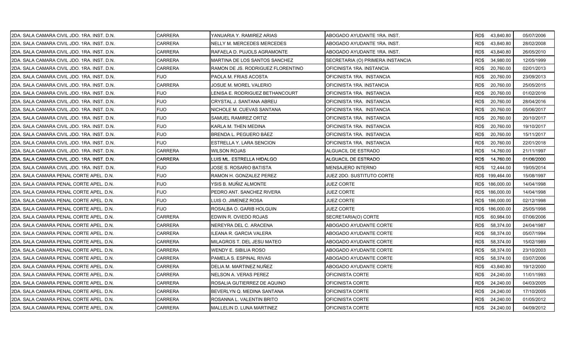| 2DA. SALA CAMARA CIVIL JDO. 1RA. INST. D.N. | CARRERA        | YANUARIA Y. RAMIREZ ARIAS         | ABOGADO AYUDANTE 1RA. INST.      | RD\$43,840.80     | 05/07/2006 |
|---------------------------------------------|----------------|-----------------------------------|----------------------------------|-------------------|------------|
| 2DA. SALA CAMARA CIVIL JDO. 1RA. INST. D.N. | <b>CARRERA</b> | NELLY M. MERCEDES MERCEDES        | ABOGADO AYUDANTE 1RA. INST.      | RD\$<br>43,840.80 | 28/02/2008 |
| 2DA. SALA CAMARA CIVIL JDO. 1RA. INST. D.N. | <b>CARRERA</b> | RAFAELA D. PUJOLS AGRAMONTE       | ABOGADO AYUDANTE 1RA. INST.      | RD\$<br>43,840.80 | 26/05/2010 |
| 2DA. SALA CAMARA CIVIL JDO. 1RA. INST. D.N. | <b>CARRERA</b> | MARTINA DE LOS SANTOS SANCHEZ     | SECRETARIA (O) PRIMERA INSTANCIA | RD\$<br>34,980.00 | 12/05/1999 |
| 2DA. SALA CAMARA CIVIL JDO. 1RA. INST. D.N. | <b>CARRERA</b> | RAMON DE JS. RODRIGUEZ FLORENTINO | OFICINISTA 1RA. INSTANCIA        | RD\$<br>20,760.00 | 02/01/2013 |
| 2DA. SALA CAMARA CIVIL JDO. 1RA. INST. D.N. | FIJO           | PAOLA M. FRIAS ACOSTA             | OFICINISTA 1RA. INSTANCIA        | RD\$<br>20,760.00 | 23/09/2013 |
| 2DA. SALA CAMARA CIVIL JDO. 1RA. INST. D.N. | <b>CARRERA</b> | JOSUE M. MOREL VALERIO            | OFICINISTA 1RA. INSTANCIA        | 20,760.00<br>RD\$ | 25/05/2015 |
| 2DA. SALA CAMARA CIVIL JDO. 1RA. INST. D.N. | <b>FIJO</b>    | LENISA E. RODRIGUEZ BETHANCOURT   | OFICINISTA 1RA. INSTANCIA        | RD\$<br>20,760.00 | 01/02/2016 |
| 2DA. SALA CAMARA CIVIL JDO. 1RA. INST. D.N. | <b>FIJO</b>    | CRYSTAL J. SANTANA ABREU          | OFICINISTA 1RA. INSTANCIA        | RD\$<br>20,760.00 | 28/04/2016 |
| 2DA. SALA CAMARA CIVIL JDO. 1RA. INST. D.N. | <b>FIJO</b>    | NICHOLE M. CUEVAS SANTANA         | OFICINISTA 1RA. INSTANCIA        | RD\$<br>20,760.00 | 05/06/2017 |
| 2DA. SALA CAMARA CIVIL JDO. 1RA. INST. D.N. | <b>FIJO</b>    | SAMUEL RAMIREZ ORTIZ              | OFICINISTA 1RA. INSTANCIA        | RD\$<br>20,760.00 | 20/10/2017 |
| 2DA. SALA CAMARA CIVIL JDO. 1RA. INST. D.N. | <b>FIJO</b>    | KARLA M. THEN MEDINA              | OFICINISTA 1RA. INSTANCIA        | RD\$<br>20,760.00 | 19/10/2017 |
| 2DA. SALA CAMARA CIVIL JDO. 1RA. INST. D.N. | <b>FIJO</b>    | BRENDA L. PEGUERO BÁEZ            | OFICINISTA 1RA. INSTANCIA        | RD\$<br>20,760.00 | 15/11/2017 |
| 2DA. SALA CAMARA CIVIL JDO. 1RA. INST. D.N. | <b>FIJO</b>    | ESTRELLA Y. LARA SENCION          | OFICINISTA 1RA. INSTANCIA        | RD\$<br>20,760.00 | 22/01/2018 |
| 2DA. SALA CAMARA CIVIL JDO. 1RA. INST. D.N. | <b>CARRERA</b> | <b>WILSON ROJAS</b>               | ALGUACIL DE ESTRADO              | RD\$<br>14,760.00 | 21/11/1997 |
| 2DA. SALA CAMARA CIVIL JDO. 1RA. INST. D.N. | CARRERA        | LUIS ML. ESTRELLA HIDALGO         | ALGUACIL DE ESTRADO              | RD\$<br>14,760.00 | 01/06/2000 |
| 2DA. SALA CAMARA CIVIL JDO. 1RA. INST. D.N. | <b>FIJO</b>    | JOSE S. ROSARIO BATISTA           | MENSAJERO INTERNO                | RD\$<br>12,444.00 | 19/05/2014 |
| 2DA. SALA CAMARA PENAL CORTE APEL. D.N.     | <b>FIJO</b>    | RAMON H. GONZALEZ PEREZ           | JUEZ 2DO. SUSTITUTO CORTE        | RD\$ 199,464.00   | 15/08/1997 |
| 2DA. SALA CAMARA PENAL CORTE APEL. D.N.     | <b>FIJO</b>    | YSIS B. MUÑIZ ALMONTE             | JUEZ CORTE                       | RD\$ 186,000.00   | 14/04/1998 |
| 2DA. SALA CAMARA PENAL CORTE APEL. D.N.     | <b>FIJO</b>    | PEDRO ANT. SANCHEZ RIVERA         | JUEZ CORTE                       | RD\$ 186,000.00   | 14/04/1998 |
| 2DA. SALA CAMARA PENAL CORTE APEL. D.N.     | <b>FIJO</b>    | LUIS O. JIMENEZ ROSA              | <b>JUEZ CORTE</b>                | RD\$ 186,000.00   | 02/12/1998 |
| 2DA. SALA CAMARA PENAL CORTE APEL. D.N.     | <b>FIJO</b>    | ROSALBA O. GARIB HOLGUIN          | JUEZ CORTE                       | RD\$ 186,000.00   | 25/05/1998 |
| 2DA. SALA CAMARA PENAL CORTE APEL. D.N.     | <b>CARRERA</b> | EDWIN R. OVIEDO ROJAS             | SECRETARIA(O) CORTE              | 60,984.00<br>RD\$ | 07/06/2006 |
| 2DA. SALA CAMARA PENAL CORTE APEL. D.N.     | <b>CARRERA</b> | NEREYRA DEL C. ARACENA            | ABOGADO AYUDANTE CORTE           | RD\$<br>58,374.00 | 24/04/1987 |
| 2DA. SALA CAMARA PENAL CORTE APEL. D.N.     | CARRERA        | ILEANA R. GARCIA VALERA           | ABOGADO AYUDANTE CORTE           | RD\$<br>58,374.00 | 05/07/1994 |
| 2DA. SALA CAMARA PENAL CORTE APEL. D.N.     | CARRERA        | MILAGROS T. DEL JESU MATEO        | ABOGADO AYUDANTE CORTE           | RD\$<br>58,374.00 | 15/02/1989 |
| 2DA. SALA CAMARA PENAL CORTE APEL. D.N.     | CARRERA        | WENDY E. SIBILIA ROSO             | ABOGADO AYUDANTE CORTE           | RD\$<br>58,374.00 | 23/10/2003 |
| 2DA. SALA CAMARA PENAL CORTE APEL. D.N.     | CARRERA        | PAMELA S. ESPINAL RIVAS           | ABOGADO AYUDANTE CORTE           | RD\$<br>58,374.00 | 03/07/2006 |
| 2DA. SALA CAMARA PENAL CORTE APEL. D.N.     | <b>CARRERA</b> | DELIA M. MARTINEZ NUÑEZ           | ABOGADO AYUDANTE CORTE           | RD\$<br>43,840.80 | 19/12/2000 |
| 2DA, SALA CAMARA PENAL CORTE APEL, D.N.     | CARRERA        | NELSON A. VERAS PEREZ             | OFICINISTA CORTE                 | RD\$<br>24,240.00 | 11/01/1993 |
| 2DA. SALA CAMARA PENAL CORTE APEL. D.N.     | <b>CARRERA</b> | ROSALIA GUTIERREZ DE AQUINO       | OFICINISTA CORTE                 | RD\$<br>24,240.00 | 04/03/2005 |
| 2DA. SALA CAMARA PENAL CORTE APEL. D.N.     | CARRERA        | BEVERLYN Q. MEDINA SANTANA        | OFICINISTA CORTE                 | RD\$<br>24,240.00 | 17/10/2005 |
| 2DA, SALA CAMARA PENAL CORTE APEL, D.N.     | CARRERA        | ROSANNA L. VALENTIN BRITO         | OFICINISTA CORTE                 | RD\$<br>24,240.00 | 01/05/2012 |
| 2DA. SALA CAMARA PENAL CORTE APEL. D.N.     | <b>CARRERA</b> | MALLELIN D. LUNA MARTINEZ         | OFICINISTA CORTE                 | RD\$ 24,240.00    | 04/09/2012 |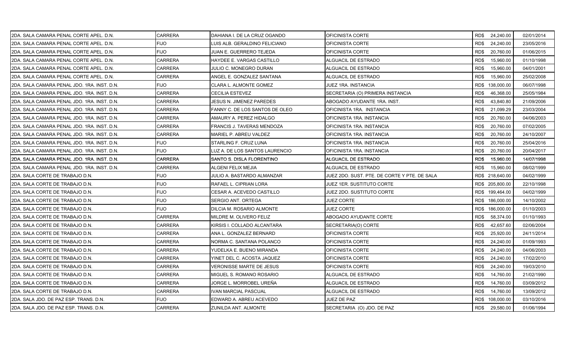| 2DA. SALA CAMARA PENAL CORTE APEL. D.N.     | <b>CARRERA</b> | DAHIANA I. DE LA CRUZ OGANDO   | OFICINISTA CORTE                             | RD\$ 24,240.00    | 02/01/2014 |
|---------------------------------------------|----------------|--------------------------------|----------------------------------------------|-------------------|------------|
| 2DA. SALA CAMARA PENAL CORTE APEL. D.N.     | <b>FIJO</b>    | LUIS ALB. GERALDINO FELICIANO  | OFICINISTA CORTE                             | RD\$<br>24,240.00 | 23/05/2016 |
| 2DA. SALA CAMARA PENAL CORTE APEL. D.N.     | <b>FIJO</b>    | JUAN E. GUERRERO TEJEDA        | OFICINISTA CORTE                             | RD\$<br>20,760.00 | 01/06/2015 |
| 2DA. SALA CAMARA PENAL CORTE APEL. D.N.     | <b>CARRERA</b> | HAYDEE E. VARGAS CASTILLO      | ALGUACIL DE ESTRADO                          | RD\$<br>15,960.00 | 01/10/1998 |
| 2DA. SALA CAMARA PENAL CORTE APEL. D.N.     | CARRERA        | JULIO C. MONEGRO DURAN         | ALGUACIL DE ESTRADO                          | RD\$<br>15,960.00 | 04/01/2001 |
| 2DA. SALA CAMARA PENAL CORTE APEL. D.N.     | CARRERA        | ANGEL E. GONZALEZ SANTANA      | ALGUACIL DE ESTRADO                          | RD\$<br>15,960.00 | 25/02/2008 |
| 2DA. SALA CAMARA PENAL JDO. 1RA. INST. D.N. | <b>FIJO</b>    | CLARA L. ALMONTE GOMEZ         | JUEZ 1RA. INSTANCIA                          | RD\$ 138,000.00   | 06/07/1998 |
| 2DA. SALA CAMARA PENAL JDO. 1RA. INST. D.N. | <b>CARRERA</b> | <b>CECILIA ESTEVEZ</b>         | SECRETARIA (O) PRIMERA INSTANCIA             | RD\$<br>46,368.00 | 25/05/1984 |
| 2DA. SALA CAMARA PENAL JDO. 1RA. INST. D.N. | <b>CARRERA</b> | JESUS N. JIMENEZ PAREDES       | ABOGADO AYUDANTE 1RA. INST.                  | RD\$<br>43,840.80 | 21/09/2006 |
| 2DA, SALA CAMARA PENAL JDO, 1RA, INST, D.N. | <b>CARRERA</b> | FANNY C. DE LOS SANTOS DE OLEO | OFICINISTA 1RA. INSTANCIA                    | RD\$<br>21,099.29 | 23/03/2004 |
| 2DA. SALA CAMARA PENAL JDO. 1RA. INST. D.N. | CARRERA        | AMAURY A. PEREZ HIDALGO        | OFICINISTA 1RA. INSTANCIA                    | RD\$<br>20,760.00 | 04/06/2003 |
| 2DA. SALA CAMARA PENAL JDO. 1RA. INST. D.N. | CARRERA        | FRANCIS J. TAVERAS MENDOZA     | OFICINISTA 1RA. INSTANCIA                    | RD\$<br>20,760.00 | 07/02/2005 |
| 2DA. SALA CAMARA PENAL JDO. 1RA. INST. D.N. | <b>CARRERA</b> | <b>MARIEL P. ABREU VALDEZ</b>  | OFICINISTA 1RA. INSTANCIA                    | RD\$<br>20,760.00 | 24/10/2007 |
| 2DA. SALA CAMARA PENAL JDO. 1RA. INST. D.N. | FIJO           | STARLING F. CRUZ LUNA          | OFICINISTA 1RA. INSTANCIA                    | RD\$<br>20,760.00 | 25/04/2016 |
| 2DA. SALA CAMARA PENAL JDO. 1RA. INST. D.N. | <b>FIJO</b>    | LUZ A. DE LOS SANTOS LAURENCIO | OFICINISTA 1RA. INSTANCIA                    | RD\$<br>20,760.00 | 20/04/2017 |
| 2DA. SALA CAMARA PENAL JDO. 1RA. INST. D.N. | <b>CARRERA</b> | SANTO S. DISLA FLORENTINO      | ALGUACIL DE ESTRADO                          | 15,960.00<br>RD\$ | 14/07/1998 |
| 2DA. SALA CAMARA PENAL JDO. 1RA. INST. D.N. | <b>CARRERA</b> | ALGENI FELIX MEJIA             | ALGUACIL DE ESTRADO                          | RD\$<br>15,960.00 | 08/02/1999 |
| 2DA. SALA CORTE DE TRABAJO D.N.             | FIJO           | JULIO A. BASTARDO ALMANZAR     | JUEZ 2DO. SUST. PTE. DE CORTE Y PTE. DE SALA | RD\$ 218,640.00   | 04/02/1999 |
| 2DA. SALA CORTE DE TRABAJO D.N.             | <b>FIJO</b>    | RAFAEL L. CIPRIAN LORA         | JUEZ 1ER. SUSTITUTO CORTE                    | RD\$ 205,800.00   | 22/10/1998 |
| 2DA, SALA CORTE DE TRABAJO D.N.             | <b>FIJO</b>    | CESAR A. ACEVEDO CASTILLO      | JUEZ 2DO. SUSTITUTO CORTE                    | RD\$ 199,464.00   | 04/02/1999 |
| 2DA. SALA CORTE DE TRABAJO D.N.             | FIJO           | SERGIO ANT. ORTEGA             | <b>JUEZ CORTE</b>                            | RD\$ 186,000.00   | 14/10/2002 |
| 2DA. SALA CORTE DE TRABAJO D.N.             | <b>FIJO</b>    | DILCIA M. ROSARIO ALMONTE      | JUEZ CORTE                                   | RD\$ 186,000.00   | 01/10/2003 |
| 2DA. SALA CORTE DE TRABAJO D.N.             | CARRERA        | MILDRE M. OLIVERO FELIZ        | ABOGADO AYUDANTE CORTE                       | RD\$<br>58,374.00 | 01/10/1993 |
| 2DA. SALA CORTE DE TRABAJO D.N.             | CARRERA        | KIRSIS I. COLLADO ALCANTARA    | SECRETARIA(O) CORTE                          | 42,657.60<br>RD\$ | 02/06/2004 |
| 2DA. SALA CORTE DE TRABAJO D.N.             | <b>CARRERA</b> | ANA L. GONZALEZ BERNARD        | OFICINISTA CORTE                             | RD\$<br>25,920.00 | 24/11/2014 |
| 2DA. SALA CORTE DE TRABAJO D.N.             | CARRERA        | NORMA C. SANTANA POLANCO       | OFICINISTA CORTE                             | RD\$<br>24,240.00 | 01/09/1993 |
| 2DA. SALA CORTE DE TRABAJO D.N.             | CARRERA        | YUDELKA E. BUENO MIRANDA       | OFICINISTA CORTE                             | RD\$<br>24,240.00 | 04/06/2003 |
| 2DA. SALA CORTE DE TRABAJO D.N.             | CARRERA        | YINET DEL C. ACOSTA JAQUEZ     | OFICINISTA CORTE                             | RD\$<br>24,240.00 | 17/02/2010 |
| 2DA. SALA CORTE DE TRABAJO D.N.             | CARRERA        | VERONISSE MARTE DE JESUS       | OFICINISTA CORTE                             | RD\$<br>24,240.00 | 19/03/2010 |
| 2DA. SALA CORTE DE TRABAJO D.N.             | <b>CARRERA</b> | MIGUEL S. ROMANO ROSARIO       | ALGUACIL DE ESTRADO                          | RD\$<br>14,760.00 | 21/02/1990 |
| 2DA. SALA CORTE DE TRABAJO D.N.             | CARRERA        | JORGE L. MORROBEL UREÑA        | ALGUACIL DE ESTRADO                          | RD\$<br>14,760.00 | 03/09/2012 |
| 2DA. SALA CORTE DE TRABAJO D.N.             | CARRERA        | IVAN MARCIAL PASCUAL           | ALGUACIL DE ESTRADO                          | 14,760.00<br>RD\$ | 13/09/2012 |
| 2DA. SALA JDO. DE PAZ ESP. TRANS. D.N.      | FIJO.          | EDWARD A. ABREU ACEVEDO        | JUEZ DE PAZ                                  | RD\$ 108,000.00   | 03/10/2016 |
| 2DA. SALA JDO. DE PAZ ESP. TRANS. D.N.      | <b>CARRERA</b> | ZUNILDA ANT. ALMONTE           | SECRETARIA (O) JDO. DE PAZ                   | RD\$ 29,580.00    | 01/06/1994 |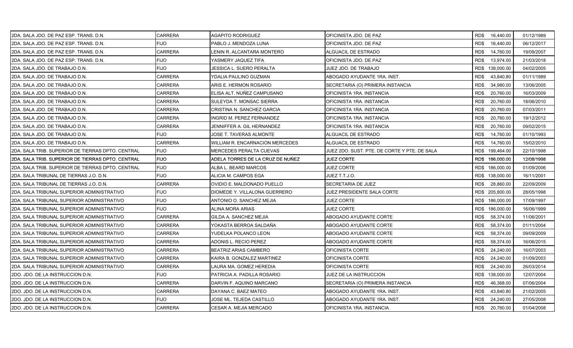| 2DA. SALA JDO. DE PAZ ESP. TRANS. D.N.            | CARRERA        | AGAPITO RODRIGUEZ                      | OFICINISTA JDO. DE PAZ                       | RD\$ 16,440.00    | 01/12/1989 |
|---------------------------------------------------|----------------|----------------------------------------|----------------------------------------------|-------------------|------------|
| 2DA. SALA JDO. DE PAZ ESP. TRANS. D.N.            | FIJO           | PABLO J. MENDOZA LUNA                  | OFICINISTA JDO. DE PAZ                       | RD\$<br>16,440.00 | 06/12/2017 |
| 2DA. SALA JDO. DE PAZ ESP. TRANS. D.N.            | <b>CARRERA</b> | LENIN R. ALCANTARA MONTERO             | ALGUACIL DE ESTRADO                          | 14,760.00<br>RD\$ | 19/09/2007 |
| 2DA. SALA JDO. DE PAZ ESP. TRANS. D.N.            | <b>FIJO</b>    | YASMERY JAQUEZ TIFA                    | OFICINISTA JDO. DE PAZ                       | RD\$<br>13,974.00 | 21/03/2018 |
| 2DA. SALA JDO. DE TRABAJO D.N.                    | <b>FIJO</b>    | JESSICA L. SUERO PERALTA               | JUEZ JDO. DE TRABAJO                         | RD\$ 138,000.00   | 04/02/2005 |
| 2DA. SALA JDO. DE TRABAJO D.N.                    | <b>CARRERA</b> | YDALIA PAULINO GUZMAN                  | ABOGADO AYUDANTE 1RA. INST.                  | RD\$<br>43,840.80 | 01/11/1989 |
| 2DA. SALA JDO. DE TRABAJO D.N.                    | <b>CARRERA</b> | ARIS E. HERMON ROSARIO                 | SECRETARIA (O) PRIMERA INSTANCIA             | RD\$<br>34,980.00 | 13/06/2005 |
| 2DA, SALA JDO, DE TRABAJO D.N.                    | CARRERA        | ELISA ALT. NUÑEZ CAMPUSANO             | OFICINISTA 1RA. INSTANCIA                    | RD\$<br>20,760.00 | 16/03/2009 |
| 2DA. SALA JDO. DE TRABAJO D.N.                    | <b>CARRERA</b> | SULEYDA T. MONSAC SIERRA               | OFICINISTA 1RA. INSTANCIA                    | RD\$<br>20,760.00 | 18/06/2010 |
| 2DA. SALA JDO. DE TRABAJO D.N.                    | <b>CARRERA</b> | CRISTINA N. SANCHEZ GARCIA             | OFICINISTA 1RA. INSTANCIA                    | RD\$<br>20,760.00 | 07/03/2011 |
| 2DA. SALA JDO. DE TRABAJO D.N.                    | <b>CARRERA</b> | INGRID M. PEREZ FERNANDEZ              | OFICINISTA 1RA. INSTANCIA                    | RD\$<br>20,760.00 | 19/12/2012 |
| 2DA. SALA JDO. DE TRABAJO D.N.                    | <b>CARRERA</b> | JENNIFFER A. GIL HERNANDEZ             | OFICINISTA 1RA. INSTANCIA                    | RD\$<br>20,760.00 | 09/02/2015 |
| 2DA. SALA JDO. DE TRABAJO D.N.                    | <b>FIJO</b>    | JOSE T. TAVERAS ALMONTE                | ALGUACIL DE ESTRADO                          | RD\$<br>14,760.00 | 01/10/1993 |
| 2DA. SALA JDO. DE TRABAJO D.N.                    | <b>CARRERA</b> | <b>WILLIAM R. ENCARNACION MERCEDES</b> | ALGUACIL DE ESTRADO                          | RD\$<br>14,760.00 | 15/02/2010 |
| 2DA. SALA TRIB. SUPERIOR DE TIERRAS DPTO. CENTRAL | <b>FIJO</b>    | MERCEDES PERALTA CUEVAS                | JUEZ 2DO. SUST. PTE. DE CORTE Y PTE. DE SALA | RD\$ 199,464.00   | 22/10/1998 |
| 2DA. SALA TRIB. SUPERIOR DE TIERRAS DPTO. CENTRAL | <b>FIJO</b>    | ADELA TORRES DE LA CRUZ DE NUÑEZ       | JUEZ CORTE                                   | RD\$ 186,000.00   | 12/08/1998 |
| 2DA. SALA TRIB. SUPERIOR DE TIERRAS DPTO. CENTRAL | <b>FIJO</b>    | ALBA L. BEARD MARCOS                   | JUEZ CORTE                                   | RD\$ 186,000.00   | 01/09/2006 |
| 2DA. SALA TRIBUNAL DE TIERRAS J.O. D.N.           | <b>FIJO</b>    | ALICIA M. CAMPOS EGA                   | JUEZ T.T.J.O.                                | RD\$ 138,000.00   | 16/11/2001 |
| 2DA. SALA TRIBUNAL DE TIERRAS J.O. D.N.           | <b>CARRERA</b> | OVIDIO E. MALDONADO PUELLO             | SECRETARIA DE JUEZ                           | RD\$<br>28,860.00 | 22/09/2009 |
| 2DA. SALA TRIBUNAL SUPERIOR ADMINISTRATIVO        | <b>FIJO</b>    | DIOMEDE Y. VILLALONA GUERRERO          | JUEZ PRESIDENTE SALA CORTE                   | RD\$ 205,800.00   | 28/05/1998 |
| 2DA. SALA TRIBUNAL SUPERIOR ADMINISTRATIVO        | <b>FIJO</b>    | ANTONIO O. SANCHEZ MEJIA               | JUEZ CORTE                                   | RD\$ 186,000.00   | 17/09/1997 |
| 2DA. SALA TRIBUNAL SUPERIOR ADMINISTRATIVO        | <b>FIJO</b>    | ALINA MORA ARIAS                       | JUEZ CORTE                                   | RD\$ 186,000.00   | 16/06/1999 |
| 2DA. SALA TRIBUNAL SUPERIOR ADMINISTRATIVO        | <b>CARRERA</b> | GILDA A. SANCHEZ MEJIA                 | ABOGADO AYUDANTE CORTE                       | 58,374.00<br>RD\$ | 11/06/2001 |
| 2DA. SALA TRIBUNAL SUPERIOR ADMINISTRATIVO        | <b>CARRERA</b> | YOKASTA BERROA SALDAÑA                 | ABOGADO AYUDANTE CORTE                       | RD\$<br>58,374.00 | 01/11/2004 |
| 2DA. SALA TRIBUNAL SUPERIOR ADMINISTRATIVO        | <b>CARRERA</b> | YUDELKA POLANCO LEON                   | ABOGADO AYUDANTE CORTE                       | RD\$<br>58,374.00 | 09/09/2009 |
| 2DA. SALA TRIBUNAL SUPERIOR ADMINISTRATIVO        | <b>CARRERA</b> | ADONIS L. RECIO PEREZ                  | ABOGADO AYUDANTE CORTE                       | RD\$<br>58,374.00 | 16/06/2015 |
| 2DA. SALA TRIBUNAL SUPERIOR ADMINISTRATIVO        | CARRERA        | BEATRIZ ARIAS CAMBERO                  | OFICINISTA CORTE                             | RD\$<br>24,240.00 | 16/07/2003 |
| 2DA. SALA TRIBUNAL SUPERIOR ADMINISTRATIVO        | <b>CARRERA</b> | KAIRA B. GONZALEZ MARTINEZ             | OFICINISTA CORTE                             | RD\$<br>24,240.00 | 01/09/2003 |
| 2DA. SALA TRIBUNAL SUPERIOR ADMINISTRATIVO        | <b>CARRERA</b> | LAURA MA. GOMEZ HEREDIA                | OFICINISTA CORTE                             | RD\$<br>24,240.00 | 26/03/2014 |
| 2DO. JDO. DE LA INSTRUCCION D.N.                  | <b>FIJO</b>    | PATRICIA A. PADILLA ROSARIO            | JUEZ DE LA INSTRUCCION                       | RD\$ 138,000.00   | 12/07/2004 |
| 2DO. JDO. DE LA INSTRUCCION D.N.                  | <b>CARRERA</b> | DARVIN F. AQUINO MARCANO               | SECRETARIA (O) PRIMERA INSTANCIA             | RD\$<br>46,368.00 | 07/06/2004 |
| 2DO. JDO. DE LA INSTRUCCION D.N.                  | <b>CARRERA</b> | DAYANA C. BAEZ MATEO                   | ABOGADO AYUDANTE 1RA. INST.                  | RD\$<br>43,840.80 | 21/02/2005 |
| 2DO. JDO. DE LA INSTRUCCION D.N.                  | <b>FIJO</b>    | JOSE ML. TEJEDA CASTILLO               | ABOGADO AYUDANTE 1RA. INST.                  | RD\$<br>24,240.00 | 27/05/2008 |
| 2DO. JDO. DE LA INSTRUCCION D.N.                  | <b>CARRERA</b> | CESAR A. MEJIA MERCADO                 | OFICINISTA 1RA. INSTANCIA                    | RD\$ 20,760.00    | 01/04/2008 |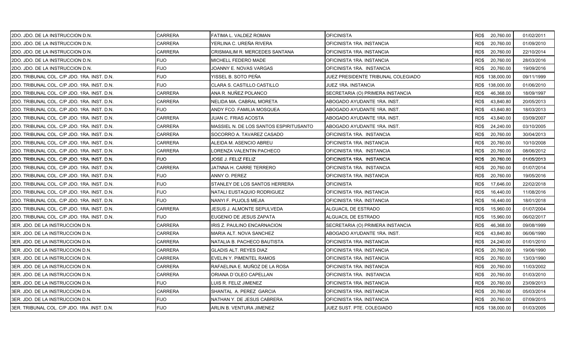| 2DO. JDO. DE LA INSTRUCCION D.N.            | CARRERA        | FATIMA L. VALDEZ ROMAN                 | <b>OFICINISTA</b>                  | RD\$ 20,760.00    | 01/02/2011 |
|---------------------------------------------|----------------|----------------------------------------|------------------------------------|-------------------|------------|
| 2DO. JDO. DE LA INSTRUCCION D.N.            | <b>CARRERA</b> | YERLINA C. UREÑA RIVERA                | OFICINISTA 1RA. INSTANCIA          | RD\$<br>20,760.00 | 01/09/2010 |
| 2DO. JDO. DE LA INSTRUCCION D.N.            | <b>CARRERA</b> | CRISMAILIM R. MERCEDES SANTANA         | OFICINISTA 1RA. INSTANCIA          | RD\$<br>20,760.00 | 22/10/2014 |
| 2DO. JDO. DE LA INSTRUCCION D.N.            | <b>FIJO</b>    | MICHELL FEDERO MADE                    | OFICINISTA 1RA. INSTANCIA          | RD\$<br>20,760.00 | 28/03/2016 |
| 2DO. JDO. DE LA INSTRUCCION D.N.            | <b>FIJO</b>    | JOANNY E. NOVAS VARGAS                 | OFICINISTA 1RA. INSTANCIA          | RD\$<br>20,760.00 | 19/09/2016 |
| 2DO. TRIBUNAL COL. C/P JDO. 1RA. INST. D.N. | <b>FIJO</b>    | YISSEL B. SOTO PEÑA                    | JUEZ PRESIDENTE TRIBUNAL COLEGIADO | RD\$ 138,000.00   | 09/11/1999 |
| 2DO. TRIBUNAL COL. C/P JDO. 1RA. INST. D.N. | <b>FIJO</b>    | CLARA S. CASTILLO CASTILLO             | JUEZ 1RA. INSTANCIA                | RD\$ 138,000.00   | 01/06/2010 |
| 2DO. TRIBUNAL COL. C/P JDO. 1RA. INST. D.N. | CARRERA        | ANA R. NUÑEZ POLANCO                   | SECRETARIA (O) PRIMERA INSTANCIA   | RD\$<br>46,368.00 | 18/09/1997 |
| 2DO. TRIBUNAL COL. C/P JDO. 1RA. INST. D.N. | <b>CARRERA</b> | NELIDA MA. CABRAL MORETA               | ABOGADO AYUDANTE 1RA. INST.        | RD\$<br>43,840.80 | 20/05/2013 |
| 2DO. TRIBUNAL COL. C/P JDO. 1RA. INST. D.N. | <b>FIJO</b>    | ANDY FCO. FAMILIA MOSQUEA              | ABOGADO AYUDANTE 1RA. INST.        | RD\$<br>43,840.80 | 18/03/2013 |
| 2DO. TRIBUNAL COL. C/P JDO. 1RA. INST. D.N. | CARRERA        | JUAN C. FRIAS ACOSTA                   | ABOGADO AYUDANTE 1RA. INST.        | RD\$<br>43.840.00 | 03/09/2007 |
| 2DO. TRIBUNAL COL. C/P JDO. 1RA. INST. D.N. | CARRERA        | MASSIEL N. DE LOS SANTOS ESPIRITUSANTO | ABOGADO AYUDANTE 1RA. INST.        | RD\$<br>24,240.00 | 03/10/2005 |
| 2DO. TRIBUNAL COL. C/P JDO. 1RA. INST. D.N. | CARRERA        | SOCORRO A. TAVAREZ CASADO              | OFICINISTA 1RA. INSTANCIA          | RD\$<br>20,760.00 | 30/04/2013 |
| 2DO. TRIBUNAL COL. C/P JDO. 1RA. INST. D.N. | <b>CARRERA</b> | ALEIDA M. ASENCIO ABREU                | OFICINISTA 1RA. INSTANCIA          | RD\$<br>20,760.00 | 10/10/2008 |
| 2DO. TRIBUNAL COL. C/P JDO. 1RA. INST. D.N. | <b>CARRERA</b> | LORENZA VALENTIN PACHECO               | OFICINISTA 1RA. INSTANCIA          | RD\$<br>20,760.00 | 08/06/2012 |
| 2DO. TRIBUNAL COL. C/P JDO. 1RA. INST. D.N. | <b>FIJO</b>    | JOSE J. FELIZ FELIZ                    | OFICINISTA 1RA. INSTANCIA          | 20,760.00<br>RD\$ | 01/05/2013 |
| 2DO. TRIBUNAL COL. C/P JDO. 1RA. INST. D.N. | <b>CARRERA</b> | JATNNA H. CARRE TERRERO                | OFICINISTA 1RA. INSTANCIA          | 20,760.00<br>RD\$ | 01/07/2014 |
| 2DO. TRIBUNAL COL. C/P JDO. 1RA. INST. D.N. | <b>FIJO</b>    | ANNY O. PEREZ                          | OFICINISTA 1RA. INSTANCIA          | RD\$<br>20,760.00 | 19/05/2016 |
| 2DO. TRIBUNAL COL. C/P JDO. 1RA. INST. D.N. | <b>FIJO</b>    | STANLEY DE LOS SANTOS HERRERA          | <b>OFICINISTA</b>                  | RD\$<br>17,646.00 | 22/02/2018 |
| 2DO. TRIBUNAL COL. C/P JDO. 1RA. INST. D.N. | <b>FIJO</b>    | NATALI EUSTAQUIO RODRIGUEZ             | OFICINISTA 1RA. INSTANCIA          | RD\$<br>16,440.00 | 11/08/2016 |
| 2DO. TRIBUNAL COL. C/P JDO. 1RA. INST. D.N. | <b>FIJO</b>    | NANYI F. PUJOLS MEJIA                  | OFICINISTA 1RA. INSTANCIA          | RD\$<br>16,440.00 | 18/01/2018 |
| 2DO. TRIBUNAL COL. C/P JDO. 1RA. INST. D.N. | <b>CARRERA</b> | JESUS J. ALMONTE SEPULVEDA             | ALGUACIL DE ESTRADO                | RD\$<br>15,960.00 | 01/07/2004 |
| 2DO. TRIBUNAL COL. C/P JDO. 1RA. INST. D.N. | FIJO.          | EUGENIO DE JESUS ZAPATA                | ALGUACIL DE ESTRADO                | RD\$<br>15,960.00 | 06/02/2017 |
| 3ER. JDO. DE LA INSTRUCCION D.N.            | <b>CARRERA</b> | IRIS Z. PAULINO ENCARNACION            | SECRETARIA (O) PRIMERA INSTANCIA   | RD\$<br>46,368.00 | 09/08/1999 |
| 3ER. JDO. DE LA INSTRUCCION D.N.            | <b>CARRERA</b> | MARIA ALT. NOVA SANCHEZ                | ABOGADO AYUDANTE 1RA. INST.        | RD\$<br>43,840.80 | 06/06/1990 |
| 3ER. JDO. DE LA INSTRUCCION D.N.            | CARRERA        | NATALIA B. PACHECO BAUTISTA            | OFICINISTA 1RA. INSTANCIA          | RD\$<br>24,240.00 | 01/01/2010 |
| I3ER. JDO. DE LA INSTRUCCION D.N.           | CARRERA        | <b>GLADIS ALT. REYES DIAZ</b>          | OFICINISTA 1RA. INSTANCIA          | RD\$<br>20,760.00 | 19/06/1990 |
| 3ER. JDO. DE LA INSTRUCCION D.N.            | CARRERA        | EVELIN Y. PIMENTEL RAMOS               | OFICINISTA 1RA. INSTANCIA          | RD\$<br>20,760.00 | 13/03/1990 |
| 3ER. JDO. DE LA INSTRUCCION D.N.            | <b>CARRERA</b> | RAFAELINA E. MUÑOZ DE LA ROSA          | OFICINISTA 1RA. INSTANCIA          | 20,760.00<br>RD\$ | 11/03/2002 |
| 3ER. JDO. DE LA INSTRUCCION D.N.            | <b>CARRERA</b> | ORIANA D'OLEO CAPELLAN                 | OFICINISTA 1RA. INSTANCIA          | RD\$<br>20,760.00 | 01/03/2010 |
| 3ER. JDO. DE LA INSTRUCCION D.N.            | <b>FIJO</b>    | LUIS R. FELIZ JIMENEZ                  | OFICINISTA 1RA. INSTANCIA          | RD\$<br>20,760.00 | 23/09/2013 |
| 3ER. JDO. DE LA INSTRUCCION D.N.            | CARRERA        | SHANTAL A PEREZ GARCIA                 | OFICINISTA 1RA. INSTANCIA          | 20,760.00<br>RD\$ | 05/03/2014 |
| I3ER. JDO. DE LA INSTRUCCION D.N.           | <b>FIJO</b>    | NATHAN Y. DE JESUS CABRERA             | OFICINISTA 1RA. INSTANCIA          | 20,760.00<br>RD\$ | 07/09/2015 |
| 3ER. TRIBUNAL COL. C/P JDO. 1RA .INST. D.N. | <b>FIJO</b>    | ARLIN B. VENTURA JIMENEZ               | JUEZ SUST. PTE. COLEGIADO          | RD\$ 138,000.00   | 01/03/2005 |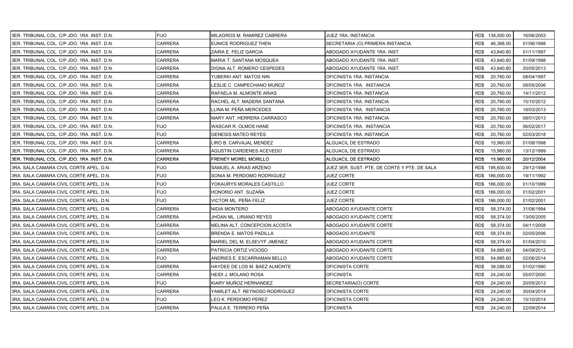| 3ER. TRIBUNAL COL. C/P JDO. 1RA .INST. D.N.  | <b>FIJO</b>    | MILAGROS M. RAMIREZ CABRERA    | JUEZ 1RA. INSTANCIA                          | RD\$ 138,000.00   | 16/06/2003 |
|----------------------------------------------|----------------|--------------------------------|----------------------------------------------|-------------------|------------|
| 3ER. TRIBUNAL COL. C/P JDO. 1RA .INST. D.N.  | <b>CARRERA</b> | EUNICE RODRIGUEZ THEN          | SECRETARIA (O) PRIMERA INSTANCIA             | RD\$<br>46,368.00 | 01/06/1998 |
| 3ER. TRIBUNAL COL. C/P JDO. 1RA .INST. D.N.  | <b>CARRERA</b> | ZAIRA E. FELIZ GARCIA          | ABOGADO AYUDANTE 1RA. INST.                  | RD\$<br>43,840.80 | 01/11/1997 |
| 3ER. TRIBUNAL COL. C/P JDO. 1RA .INST. D.N.  | <b>CARRERA</b> | MARIA T. SANTANA MOSQUEA       | ABOGADO AYUDANTE 1RA. INST.                  | RD\$<br>43,840.80 | 01/09/1998 |
| 3ER. TRIBUNAL COL. C/P JDO. 1RA .INST. D.N.  | <b>CARRERA</b> | DIGNA ALT. ROMERO CESPEDES     | ABOGADO AYUDANTE 1RA. INST.                  | RD\$<br>43,840.80 | 20/05/2013 |
| 3ER. TRIBUNAL COL. C/P JDO. 1RA .INST. D.N.  | CARRERA        | YUBERKI ANT. MATOS NIN         | OFICINISTA 1RA. INSTANCIA                    | RD\$<br>20,760.00 | 08/04/1997 |
| 3ER. TRIBUNAL COL. C/P JDO. 1RA .INST. D.N.  | <b>CARRERA</b> | LESLIE C. CAMPECHANO MUÑOZ     | OFICINISTA 1RA. INSTANCIA                    | 20,760.00<br>RD\$ | 08/05/2006 |
| 3ER. TRIBUNAL COL. C/P JDO. 1RA .INST. D.N.  | <b>CARRERA</b> | RAFAELA M. ALMONTE ARIAS       | OFICINISTA 1RA. INSTANCIA                    | RD\$<br>20,760.00 | 14/11/2012 |
| 3ER. TRIBUNAL COL. C/P JDO. 1RA .INST. D.N.  | <b>CARRERA</b> | RACHEL ALT. MADERA SANTANA     | OFICINISTA 1RA. INSTANCIA                    | RD\$<br>20,760.00 | 15/10/2012 |
| 3ER. TRIBUNAL COL. C/P JDO. 1RA .INST. D.N.  | <b>CARRERA</b> | LLINA M. PEÑA MERCEDES         | OFICINISTA 1RA. INSTANCIA                    | RD\$<br>20,760.00 | 18/03/2013 |
| 3ER. TRIBUNAL COL. C/P JDO. 1RA .INST. D.N.  | <b>CARRERA</b> | MARY ANT. HERRERA CARRASCO     | OFICINISTA 1RA. INSTANCIA                    | RD\$<br>20,760.00 | 08/01/2013 |
| 3ER. TRIBUNAL COL. C/P JDO. 1RA .INST. D.N.  | <b>FIJO</b>    | WASCAR R. OLMOS HANE           | OFICINISTA 1RA. INSTANCIA                    | RD\$<br>20,760.00 | 06/02/2017 |
| 3ER. TRIBUNAL COL. C/P JDO. 1RA .INST. D.N.  | <b>FIJO</b>    | <b>GENESIS MATEO REYES</b>     | OFICINISTA 1RA. INSTANCIA                    | RD\$<br>20,760.00 | 02/03/2018 |
| 3ER. TRIBUNAL COL. C/P JDO. 1RA .INST. D.N.  | <b>CARRERA</b> | LIRO B. CARVAJAL MENDEZ        | ALGUACIL DE ESTRADO                          | RD\$<br>15,960.00 | 01/08/1998 |
| 3ER. TRIBUNAL COL. C/P JDO. 1RA .INST. D.N.  | <b>CARRERA</b> | AGUSTIN CARDENES ACEVEDO       | ALGUACIL DE ESTRADO                          | RD\$<br>15,960.00 | 13/12/1999 |
| I3ER. TRIBUNAL COL. C/P JDO. 1RA .INST. D.N. | <b>CARRERA</b> | FRENEY MOREL MORILLO           | ALGUACIL DE ESTRADO                          | RD\$<br>15,960.00 | 20/12/2004 |
| 3RA. SALA CAMARA CIVIL CORTE APEL. D.N.      | <b>FIJO</b>    | SAMUEL A. ARIAS ARZENO         | JUEZ 3ER. SUST. PTE. DE CORTE Y PTE. DE SALA | RD\$ 195,600.00   | 29/12/1998 |
| 3RA. SALA CAMARA CIVIL CORTE APEL. D.N.      | <b>FIJO</b>    | SONIA M. PERDOMO RODRIGUEZ     | <b>JUEZ CORTE</b>                            | RD\$ 186,000.00   | 19/11/1992 |
| 3RA. SALA CAMARA CIVIL CORTE APEL. D.N.      | <b>FIJO</b>    | YOKAURYS MORALES CASTILLO      | JUEZ CORTE                                   | RD\$ 186,000.00   | 01/10/1999 |
| 3RA. SALA CAMARA CIVIL CORTE APEL. D.N.      | <b>FIJO</b>    | HONORIO ANT. SUZAÑA            | <b>JUEZ CORTE</b>                            | RD\$ 186,000.00   | 01/02/2001 |
| 3RA. SALA CAMARA CIVIL CORTE APEL. D.N.      | <b>FIJO</b>    | VICTOR ML. PEÑA FELIZ          | JUEZ CORTE                                   | RD\$ 186,000.00   | 01/02/2001 |
| 3RA. SALA CAMARA CIVIL CORTE APEL. D.N.      | <b>CARRERA</b> | NIDIA MONTERO                  | ABOGADO AYUDANTE CORTE                       | 58,374.00<br>RD\$ | 31/08/1994 |
| 3RA. SALA CAMARA CIVIL CORTE APEL. D.N.      | <b>CARRERA</b> | JHOAN ML. LIRIANO REYES        | ABOGADO AYUDANTE CORTE                       | 58,374.00<br>RD\$ | 13/05/2005 |
| 3RA. SALA CAMARA CIVIL CORTE APEL. D.N.      | <b>CARRERA</b> | MELINA ALT. CONCEPCION ACOSTA  | ABOGADO AYUDANTE CORTE                       | RD\$<br>58,374.00 | 04/11/2008 |
| 3RA. SALA CAMARA CIVIL CORTE APEL. D.N.      | <b>CARRERA</b> | <b>BRENDA E. MATOS PADILLA</b> | ABOGADO AYUDANTE                             | RD\$<br>58,374.00 | 02/05/2006 |
| 3RA. SALA CAMARA CIVIL CORTE APEL. D.N.      | <b>CARRERA</b> | MARIEL DEL M. ELSEVYF JIMENEZ  | ABOGADO AYUDANTE CORTE                       | RD\$<br>58,374.00 | 01/04/2010 |
| 3RA. SALA CAMARA CIVIL CORTE APEL. D.N.      | <b>CARRERA</b> | PATRICIA ORTIZ VICIOSO         | ABOGADO AYUDANTE CORTE                       | RD\$<br>54,885.60 | 04/09/2012 |
| 3RA. SALA CAMARA CIVIL CORTE APEL. D.N.      | <b>FIJO</b>    | ANDRIES E. ESCARRAMAN BELLO    | ABOGADO AYUDANTE CORTE                       | RD\$<br>54,885.60 | 02/06/2014 |
| 3RA. SALA CAMARA CIVIL CORTE APEL. D.N.      | <b>CARRERA</b> | HAYDEE DE LOS M. BAEZ ALMONTE  | OFICINISTA CORTE                             | RD\$<br>38,088.00 | 01/02/1990 |
| 3RA. SALA CAMARA CIVIL CORTE APEL. D.N.      | <b>CARRERA</b> | HEIDI J. MOLANO ROSA           | <b>OFICINISTA</b>                            | RD\$<br>24,240.00 | 05/07/2000 |
| 3RA. SALA CAMARA CIVIL CORTE APEL. D.N.      | <b>FIJO</b>    | KIARY MUÑOZ HERNANDEZ          | SECRETARIA(O) CORTE                          | RD\$<br>24,240.00 | 20/05/2013 |
| 3RA. SALA CAMARA CIVIL CORTE APEL. D.N.      | <b>CARRERA</b> | YAMILET ALT. REYNOSO RODRIGUEZ | OFICINISTA CORTE                             | RD\$<br>24,240.00 | 30/04/2014 |
| 3RA, SALA CAMARA CIVIL CORTE APEL, D.N.      | <b>FIJO</b>    | LEO K. PERDOMO PEREZ           | OFICINISTA CORTE                             | RD\$<br>24,240.00 | 15/10/2014 |
| 3RA. SALA CAMARA CIVIL CORTE APEL. D.N.      | <b>CARRERA</b> | PAULA E. TERRERO PEÑA          | <b>OFICINISTA</b>                            | RD\$ 24,240.00    | 22/09/2014 |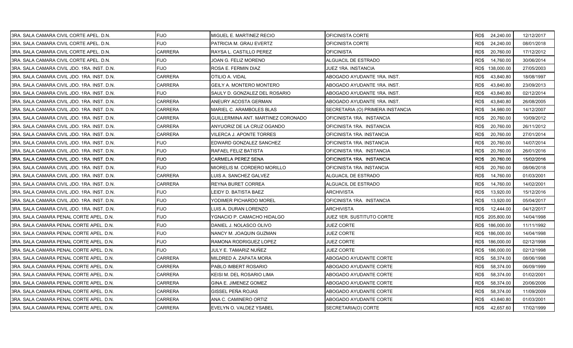| 3RA. SALA CAMARA CIVIL CORTE APEL. D.N.     | <b>FIJO</b>    | MIGUEL E. MARTINEZ RECIO           | OFICINISTA CORTE                 |      | RD\$ 24,240.00  | 12/12/2017 |
|---------------------------------------------|----------------|------------------------------------|----------------------------------|------|-----------------|------------|
| I3RA. SALA CAMARA CIVIL CORTE APEL. D.N.    | <b>FIJO</b>    | PATRICIA M. GRAU EVERTZ            | OFICINISTA CORTE                 | RD\$ | 24,240.00       | 08/01/2018 |
| 3RA. SALA CAMARA CIVIL CORTE APEL. D.N.     | <b>CARRERA</b> | RAYSA L. CASTILLO PEREZ            | OFICINISTA                       | RD\$ | 20,760.00       | 17/12/2012 |
| 3RA. SALA CAMARA CIVIL CORTE APEL. D.N.     | <b>FIJO</b>    | JOAN G. FELIZ MORENO               | ALGUACIL DE ESTRADO              | RD\$ | 14,760.00       | 30/06/2014 |
| 3RA. SALA CAMARA CIVIL JDO. 1RA. INST. D.N. | <b>FIJO</b>    | ROSA E. FERMIN DIAZ                | JUEZ 1RA. INSTANCIA              |      | RD\$ 138,000.00 | 27/05/2003 |
| 3RA. SALA CAMARA CIVIL JDO. 1RA. INST. D.N. | CARRERA        | OTILIO A. VIDAL                    | ABOGADO AYUDANTE 1RA. INST.      | RD\$ | 43,840.80       | 18/08/1997 |
| 3RA. SALA CAMARA CIVIL JDO. 1RA. INST. D.N. | CARRERA        | GEILY A. MONTERO MONTERO           | ABOGADO AYUDANTE 1RA. INST.      | RD\$ | 43,840.80       | 23/09/2013 |
| 3RA. SALA CAMARA CIVIL JDO. 1RA. INST. D.N. | <b>FIJO</b>    | SAULY D. GONZALEZ DEL ROSARIO      | ABOGADO AYUDANTE 1RA. INST.      | RD\$ | 43,840.80       | 02/12/2014 |
| 3RA. SALA CAMARA CIVIL JDO. 1RA. INST. D.N. | <b>CARRERA</b> | ANEURY ACOSTA GERMAN               | ABOGADO AYUDANTE 1RA. INST.      | RD\$ | 43,840.80       | 26/08/2005 |
| 3RA. SALA CAMARA CIVIL JDO. 1RA. INST. D.N. | <b>CARRERA</b> | MARIEL C. ARAMBOLES BLAS           | SECRETARIA (O) PRIMERA INSTANCIA | RD\$ | 34,980.00       | 14/12/2007 |
| 3RA. SALA CAMARA CIVIL JDO. 1RA. INST. D.N. | CARRERA        | GUILLERMINA ANT. MARTINEZ CORONADO | OFICINISTA 1RA. INSTANCIA        | RD\$ | 20,760.00       | 10/09/2012 |
| 3RA. SALA CAMARA CIVIL JDO. 1RA. INST. D.N. | CARRERA        | ANYUORIZ DE LA CRUZ OGANDO         | OFICINISTA 1RA. INSTANCIA        | RD\$ | 20,760.00       | 26/11/2012 |
| 3RA. SALA CAMARA CIVIL JDO. 1RA. INST. D.N. | CARRERA        | VILERCA J. APONTE TORRES           | OFICINISTA 1RA. INSTANCIA        | RD\$ | 20,760.00       | 27/01/2014 |
| 3RA. SALA CAMARA CIVIL JDO. 1RA. INST. D.N. | FIJO           | EDWARD GONZALEZ SANCHEZ            | OFICINISTA 1RA. INSTANCIA        | RD\$ | 20,760.00       | 14/07/2014 |
| 3RA. SALA CAMARA CIVIL JDO. 1RA. INST. D.N. | <b>FIJO</b>    | RAFAEL FELIZ BATISTA               | OFICINISTA 1RA. INSTANCIA        | RD\$ | 20,760.00       | 26/01/2016 |
| 3RA. SALA CAMARA CIVIL JDO. 1RA. INST. D.N. | <b>FIJO</b>    | CARMELA PEREZ SENA                 | OFICINISTA 1RA. INSTANCIA        | RD\$ | 20,760.00       | 15/02/2016 |
| 3RA. SALA CAMARA CIVIL JDO. 1RA. INST. D.N. | <b>FIJO</b>    | MIORELIS M. CORDERO MORILLO        | OFICINISTA 1RA. INSTANCIA        | RD\$ | 20,760.00       | 08/06/2018 |
| 3RA. SALA CAMARA CIVIL JDO. 1RA. INST. D.N. | CARRERA        | LUIS A. SANCHEZ GALVEZ             | ALGUACIL DE ESTRADO              | RD\$ | 14,760.00       | 01/03/2001 |
| 3RA. SALA CAMARA CIVIL JDO. 1RA. INST. D.N. | <b>CARRERA</b> | REYNA BURET CORREA                 | ALGUACIL DE ESTRADO              | RD\$ | 14,760.00       | 14/02/2001 |
| 3RA. SALA CAMARA CIVIL JDO. 1RA. INST. D.N. | <b>FIJO</b>    | LEIDY D. BATISTA BAEZ              | ARCHIVISTA                       | RD\$ | 13,920.00       | 15/12/2016 |
| 3RA. SALA CAMARA CIVIL JDO. 1RA. INST. D.N. | <b>FIJO</b>    | YODIMER PICHARDO MOREL             | OFICINISTA 1RA. INSTANCIA        | RD\$ | 13,920.00       | 05/04/2017 |
| 3RA. SALA CAMARA CIVIL JDO. 1RA. INST. D.N. | <b>FIJO</b>    | LUIS A. DURAN LORENZO              | ARCHIVISTA                       | RD\$ | 12,444.00       | 04/12/2017 |
| 3RA. SALA CAMARA PENAL CORTE APEL. D.N.     | <b>FIJO</b>    | YGNACIO P. CAMACHO HIDALGO         | JUEZ 1ER. SUSTITUTO CORTE        |      | RD\$ 205,800.00 | 14/04/1998 |
| 3RA. SALA CAMARA PENAL CORTE APEL. D.N.     | <b>FIJO</b>    | DANIEL J. NOLASCO OLIVO            | <b>JUEZ CORTE</b>                |      | RD\$ 186,000.00 | 11/11/1992 |
| 3RA. SALA CAMARA PENAL CORTE APEL. D.N.     | <b>FIJO</b>    | NANCY M. JOAQUIN GUZMAN            | <b>JUEZ CORTE</b>                |      | RD\$ 186,000.00 | 14/04/1998 |
| 3RA. SALA CAMARA PENAL CORTE APEL. D.N.     | <b>FIJO</b>    | RAMONA RODRIGUEZ LOPEZ             | <b>JUEZ CORTE</b>                |      | RD\$ 186,000.00 | 02/12/1998 |
| 3RA. SALA CAMARA PENAL CORTE APEL. D.N.     | FIJO           | JULY E. TAMARIZ NUÑEZ              | JUEZ CORTE                       |      | RD\$ 186,000.00 | 02/12/1998 |
| 3RA. SALA CAMARA PENAL CORTE APEL. D.N.     | CARRERA        | MILDRED A. ZAPATA MORA             | ABOGADO AYUDANTE CORTE           | RD\$ | 58,374.00       | 08/06/1998 |
| 3RA. SALA CAMARA PENAL CORTE APEL. D.N.     | CARRERA        | PABLO IMBERT ROSARIO               | ABOGADO AYUDANTE CORTE           | RD\$ | 58,374.00       | 06/09/1999 |
| I3RA. SALA CAMARA PENAL CORTE APEL. D.N.    | <b>CARRERA</b> | KEISI M. DEL ROSARIO LIMA          | ABOGADO AYUDANTE CORTE           | RD\$ | 58,374.00       | 01/02/2001 |
| 3RA. SALA CAMARA PENAL CORTE APEL. D.N.     | CARRERA        | GINA E. JIMENEZ GOMEZ              | ABOGADO AYUDANTE CORTE           | RD\$ | 58,374.00       | 20/06/2006 |
| 3RA. SALA CAMARA PENAL CORTE APEL. D.N.     | CARRERA        | GISSEL PEÑA ROJAS                  | ABOGADO AYUDANTE CORTE           | RD\$ | 58,374.00       | 11/09/2009 |
| 3RA. SALA CAMARA PENAL CORTE APEL. D.N.     | CARRERA        | ANA C. CAMINERO ORTIZ              | ABOGADO AYUDANTE CORTE           | RD\$ | 43,840.80       | 01/03/2001 |
| 3RA. SALA CAMARA PENAL CORTE APEL. D.N.     | <b>CARRERA</b> | EVELYN O. VALDEZ YSABEL            | SECRETARIA(O) CORTE              | RD\$ | 42,657.60       | 17/02/1999 |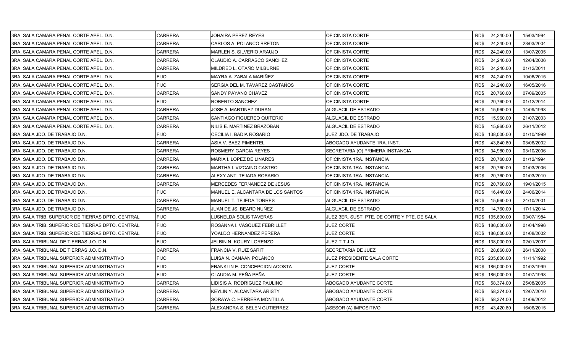| 3RA. SALA CAMARA PENAL CORTE APEL. D.N.           | <b>CARRERA</b> | JOHAIRA PEREZ REYES               | OFICINISTA CORTE                             |      | RD\$ 24,240.00  | 15/03/1994 |
|---------------------------------------------------|----------------|-----------------------------------|----------------------------------------------|------|-----------------|------------|
| 3RA. SALA CAMARA PENAL CORTE APEL. D.N.           | <b>CARRERA</b> | CARLOS A. POLANCO BRETON          | OFICINISTA CORTE                             | RD\$ | 24,240.00       | 23/03/2004 |
| 3RA. SALA CAMARA PENAL CORTE APEL. D.N.           | <b>CARRERA</b> | MARLEN S. SILVERIO ARAUJO         | OFICINISTA CORTE                             | RD\$ | 24,240.00       | 13/07/2005 |
| 3RA. SALA CAMARA PENAL CORTE APEL. D.N.           | CARRERA        | CLAUDIO A. CARRASCO SANCHEZ       | OFICINISTA CORTE                             | RD\$ | 24,240.00       | 12/04/2006 |
| 3RA. SALA CAMARA PENAL CORTE APEL. D.N.           | <b>CARRERA</b> | MILDRED L. OTAÑO MILBURNE         | OFICINISTA CORTE                             | RD\$ | 24,240.00       | 01/12/2011 |
| 3RA. SALA CAMARA PENAL CORTE APEL. D.N.           | FIJO           | MAYRA A. ZABALA MARIÑEZ           | OFICINISTA CORTE                             | RD\$ | 24,240.00       | 10/06/2015 |
| 3RA. SALA CAMARA PENAL CORTE APEL. D.N.           | <b>FIJO</b>    | SERGIA DEL M. TAVAREZ CASTAÑOS    | OFICINISTA CORTE                             | RD\$ | 24,240.00       | 16/05/2016 |
| 3RA, SALA CAMARA PENAL CORTE APEL, D.N.           | <b>CARRERA</b> | SANDY PAYANO CHAVEZ               | OFICINISTA CORTE                             | RD\$ | 20,760.00       | 07/09/2005 |
| 3RA. SALA CAMARA PENAL CORTE APEL. D.N.           | FIJO           | ROBERTO SANCHEZ                   | OFICINISTA CORTE                             | RD\$ | 20,760.00       | 01/12/2014 |
| 3RA. SALA CAMARA PENAL CORTE APEL. D.N.           | <b>CARRERA</b> | JOSE A. MARTINEZ DURAN            | ALGUACIL DE ESTRADO                          | RD\$ | 15,960.00       | 14/09/1998 |
| 3RA, SALA CAMARA PENAL CORTE APEL, D.N.           | <b>CARRERA</b> | SANTIAGO FIGUEREO QUITERIO        | ALGUACIL DE ESTRADO                          | RD\$ | 15,960.00       | 21/07/2003 |
| 3RA. SALA CAMARA PENAL CORTE APEL. D.N.           | CARRERA        | NILIS E. MARTINEZ BRAZOBAN        | ALGUACIL DE ESTRADO                          | RD\$ | 15,960.00       | 26/11/2012 |
| 3RA. SALA JDO. DE TRABAJO D.N.                    | <b>FIJO</b>    | CECILIA I. BADIA ROSARIO          | JUEZ JDO. DE TRABAJO                         |      | RD\$ 138,000.00 | 01/10/1999 |
| 3RA. SALA JDO. DE TRABAJO D.N.                    | <b>CARRERA</b> | ASIA V. BAEZ PIMENTEL             | ABOGADO AYUDANTE 1RA. INST.                  | RD\$ | 43,840.80       | 03/06/2002 |
| 3RA. SALA JDO. DE TRABAJO D.N.                    | <b>CARRERA</b> | ROSMERY GARCIA REYES              | SECRETARIA (O) PRIMERA INSTANCIA             | RD\$ | 34,980.00       | 03/10/2006 |
| 3RA. SALA JDO. DE TRABAJO D.N.                    | CARRERA        | MARIA I. LOPEZ DE LINARES         | OFICINISTA 1RA. INSTANCIA                    | RD\$ | 20,760.00       | 01/12/1994 |
| 3RA. SALA JDO. DE TRABAJO D.N.                    | CARRERA        | MARTHA I. VIZCAINO CASTRO         | OFICINISTA 1RA. INSTANCIA                    | RD\$ | 20,760.00       | 01/03/2006 |
| 3RA. SALA JDO. DE TRABAJO D.N.                    | <b>CARRERA</b> | ALEXY ANT. TEJADA ROSARIO         | OFICINISTA 1RA. INSTANCIA                    | RD\$ | 20,760.00       | 01/03/2010 |
| 3RA. SALA JDO. DE TRABAJO D.N.                    | <b>CARRERA</b> | MERCEDES FERNANDEZ DE JESUS       | OFICINISTA 1RA. INSTANCIA                    | RD\$ | 20,760.00       | 19/01/2015 |
| 3RA. SALA JDO. DE TRABAJO D.N.                    | <b>FIJO</b>    | MANUEL E. ALCANTARA DE LOS SANTOS | OFICINISTA 1RA. INSTANCIA                    | RD\$ | 16,440.00       | 24/06/2014 |
| 3RA. SALA JDO. DE TRABAJO D.N.                    | <b>CARRERA</b> | MANUEL T. TEJEDA TORRES           | ALGUACIL DE ESTRADO                          | RD\$ | 15,960.00       | 24/10/2001 |
| 3RA. SALA JDO. DE TRABAJO D.N.                    | <b>CARRERA</b> | JUAN DE JS. BEARD NUÑEZ           | ALGUACIL DE ESTRADO                          | RD\$ | 14,760.00       | 17/11/2014 |
| 3RA. SALA TRIB. SUPERIOR DE TIERRAS DPTO. CENTRAL | <b>FIJO</b>    | LUSNELDA SOLIS TAVERAS            | JUEZ 3ER. SUST. PTE. DE CORTE Y PTE. DE SALA |      | RD\$ 195,600.00 | 03/07/1984 |
| 3RA, SALA TRIB, SUPERIOR DE TIERRAS DPTO, CENTRAL | <b>FIJO</b>    | ROSANNA I. VASQUEZ FEBRILLET      | <b>JUEZ CORTE</b>                            |      | RD\$ 186,000.00 | 01/04/1996 |
| 3RA. SALA TRIB. SUPERIOR DE TIERRAS DPTO. CENTRAL | <b>FIJO</b>    | YOALDO HERNANDEZ PERERA           | <b>JUEZ CORTE</b>                            |      | RD\$ 186,000.00 | 01/08/2002 |
| 3RA. SALA TRIBUNAL DE TIERRAS J.O. D.N.           | <b>FIJO</b>    | JELBIN N. KOURY LORENZO           | JUEZ T.T.J.O.                                |      | RD\$ 138,000.00 | 02/01/2007 |
| 3RA. SALA TRIBUNAL DE TIERRAS J.O. D.N.           | CARRERA        | FRANCIA V. RUIZ SARIT             | SECRETARIA DE JUEZ                           | RD\$ | 28,860.00       | 26/11/2008 |
| 3RA. SALA TRIBUNAL SUPERIOR ADMINISTRATIVO        | <b>FIJO</b>    | LUISA N. CANAAN POLANCO           | JUEZ PRESIDENTE SALA CORTE                   |      | RD\$ 205,800.00 | 11/11/1992 |
| 3RA. SALA TRIBUNAL SUPERIOR ADMINISTRATIVO        | FIJO           | FRANKLIN E. CONCEPCION ACOSTA     | <b>JUEZ CORTE</b>                            |      | RD\$ 186,000.00 | 01/02/1999 |
| 3RA. SALA TRIBUNAL SUPERIOR ADMINISTRATIVO        | FIJO           | CLAUDIA M. PEÑA PEÑA              | JUEZ CORTE                                   |      | RD\$ 186,000.00 | 01/07/1998 |
| 3RA. SALA TRIBUNAL SUPERIOR ADMINISTRATIVO        | <b>CARRERA</b> | LIDISIS A. RODRIGUEZ PAULINO      | ABOGADO AYUDANTE CORTE                       | RD\$ | 58,374.00       | 25/08/2005 |
| 3RA. SALA TRIBUNAL SUPERIOR ADMINISTRATIVO        | CARRERA        | KEYLIN Y. ALCANTARA ARISTY        | ABOGADO AYUDANTE CORTE                       | RD\$ | 58,374.00       | 12/07/2010 |
| 3RA. SALA TRIBUNAL SUPERIOR ADMINISTRATIVO        | CARRERA        | SORAYA C. HERRERA MONTILLA        | ABOGADO AYUDANTE CORTE                       | RD\$ | 58,374.00       | 01/09/2012 |
| 3RA. SALA TRIBUNAL SUPERIOR ADMINISTRATIVO        | <b>CARRERA</b> | ALEXANDRA S. BELEN GUTIERREZ      | ASESOR (A) IMPOSITIVO                        | RD\$ | 43,420.80       | 16/06/2015 |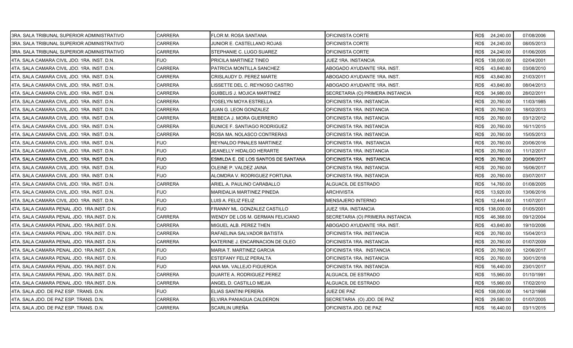| 3RA. SALA TRIBUNAL SUPERIOR ADMINISTRATIVO  | CARRERA        | <b>FLOR M. ROSA SANTANA</b>          | OFICINISTA CORTE                 |      | RD\$ 24,240.00  | 07/08/2006 |
|---------------------------------------------|----------------|--------------------------------------|----------------------------------|------|-----------------|------------|
| 3RA, SALA TRIBUNAL SUPERIOR ADMINISTRATIVO  | CARRERA        | JUNIOR E. CASTELLANO ROJAS           | OFICINISTA CORTE                 | RD\$ | 24,240.00       | 08/05/2013 |
| 3RA. SALA TRIBUNAL SUPERIOR ADMINISTRATIVO  | <b>CARRERA</b> | <b>STEPHANIE C. LUGO SUAREZ</b>      | OFICINISTA CORTE                 | RD\$ | 24,240.00       | 01/06/2005 |
| 4TA. SALA CAMARA CIVIL JDO. 1RA. INST. D.N. | <b>FIJO</b>    | <b>PRICILA MARTINEZ TINEO</b>        | JUEZ 1RA. INSTANCIA              |      | RD\$ 138,000.00 | 02/04/2001 |
| 4TA. SALA CAMARA CIVIL JDO. 1RA. INST. D.N. | <b>CARRERA</b> | PATRICIA MONTILLA SANCHEZ            | ABOGADO AYUDANTE 1RA. INST.      | RD\$ | 43,840.80       | 03/08/2010 |
| 4TA. SALA CAMARA CIVIL JDO. 1RA. INST. D.N. | CARRERA        | <b>CRISLAUDY D. PEREZ MARTE</b>      | ABOGADO AYUDANTE 1RA. INST.      | RD\$ | 43,840.80       | 21/03/2011 |
| 4TA. SALA CAMARA CIVIL JDO. 1RA. INST. D.N. | CARRERA        | LISSETTE DEL C. REYNOSO CASTRO       | ABOGADO AYUDANTE 1RA. INST.      | RD\$ | 43,840.80       | 08/04/2013 |
| 4TA. SALA CAMARA CIVIL JDO. 1RA. INST. D.N. | CARRERA        | <b>GUIBELIS J. MOJICA MARTINEZ</b>   | SECRETARIA (O) PRIMERA INSTANCIA | RD\$ | 34,980.00       | 28/02/2011 |
| 4TA. SALA CAMARA CIVIL JDO. 1RA. INST. D.N. | CARRERA        | YOSELYN MOYA ESTRELLA                | OFICINISTA 1RA. INSTANCIA        | RD\$ | 20,760.00       | 11/03/1985 |
| 4TA, SALA CAMARA CIVIL JDO, 1RA, INST, D.N. | <b>CARRERA</b> | JUAN G. LEON GONZALEZ                | OFICINISTA 1RA. INSTANCIA        | RD\$ | 20.760.00       | 18/02/2013 |
| 4TA. SALA CAMARA CIVIL JDO. 1RA. INST. D.N. | CARRERA        | REBECA J. MORA GUERRERO              | OFICINISTA 1RA. INSTANCIA        | RD\$ | 20,760.00       | 03/12/2012 |
| 4TA. SALA CAMARA CIVIL JDO. 1RA. INST. D.N. | CARRERA        | EUNICE F. SANTIAGO RODRIGUEZ         | OFICINISTA 1RA. INSTANCIA        | RD\$ | 20,760.00       | 16/11/2015 |
| 4TA, SALA CAMARA CIVIL JDO, 1RA, INST, D.N. | CARRERA        | IROSA MA. NOLASCO CONTRERAS          | OFICINISTA 1RA. INSTANCIA        | RD\$ | 20,760.00       | 15/05/2013 |
| 4TA. SALA CAMARA CIVIL JDO. 1RA. INST. D.N. | <b>FIJO</b>    | <b>REYNALDO PINALES MARTINEZ</b>     | OFICINISTA 1RA. INSTANCIA        | RD\$ | 20,760.00       | 20/06/2016 |
| 4TA. SALA CAMARA CIVIL JDO. 1RA. INST. D.N. | <b>FIJO</b>    | JEANELLY HIDALGO HERARTE             | OFICINISTA 1RA. INSTANCIA        | RD\$ | 20,760.00       | 11/12/2017 |
| 4TA. SALA CAMARA CIVIL JDO. 1RA. INST. D.N. | <b>FIJO</b>    | IESMILDA E. DE LOS SANTOS DE SANTANA | OFICINISTA 1RA. INSTANCIA        | RD\$ | 20,760.00       | 20/06/2017 |
| 4TA. SALA CAMARA CIVIL JDO. 1RA. INST. D.N. | <b>FIJO</b>    | <b>OLEINE P. VALDEZ JAINA</b>        | OFICINISTA 1RA. INSTANCIA        | RD\$ | 20,760.00       | 16/06/2017 |
| 4TA. SALA CAMARA CIVIL JDO. 1RA. INST. D.N. | <b>FIJO</b>    | ALOMDRA V. RODRIGUEZ FORTUNA         | OFICINISTA 1RA. INSTANCIA        | RD\$ | 20,760.00       | 03/07/2017 |
| 4TA. SALA CAMARA CIVIL JDO. 1RA. INST. D.N. | <b>CARRERA</b> | ARIEL A. PAULINO CARABALLO           | ALGUACIL DE ESTRADO              | RD\$ | 14,760.00       | 01/08/2005 |
| 4TA. SALA CAMARA CIVIL JDO. 1RA. INST. D.N. | <b>FIJO</b>    | <b>MARIDALIA MARTINEZ PINEDA</b>     | <b>ARCHIVISTA</b>                | RD\$ | 13,920.00       | 13/06/2016 |
| 4TA. SALA CAMARA CIVIL JDO. 1RA. INST. D.N. | <b>FIJO</b>    | LUIS A. FELIZ FELIZ                  | MENSAJERO INTERNO                | RD\$ | 12,444.00       | 11/07/2017 |
| 4TA. SALA CAMARA PENAL JDO. 1RA INST. D.N.  | FIJO.          | FRANNY ML. GONZALEZ CASTILLO         | JUEZ 1RA. INSTANCIA              |      | RD\$ 138,000.00 | 01/05/2001 |
| 4TA. SALA CAMARA PENAL JDO. 1RA.INST. D.N.  | <b>CARRERA</b> | WENDY DE LOS M. GERMAN FELICIANO     | SECRETARIA (O) PRIMERA INSTANCIA | RD\$ | 46,368.00       | 09/12/2004 |
| 4TA. SALA CAMARA PENAL JDO. 1RA.INST. D.N.  | CARRERA        | MIGUEL ALB. PEREZ THEN               | ABOGADO AYUDANTE 1RA. INST.      | RD\$ | 43,840.80       | 19/10/2006 |
| 4TA. SALA CAMARA PENAL JDO. 1RA INST. D.N.  | CARRERA        | RAFAELINA SALVADOR BATISTA           | OFICINISTA 1RA. INSTANCIA        | RD\$ | 20,760.00       | 15/04/2013 |
| 4TA. SALA CAMARA PENAL JDO. 1RA INST. D.N.  | CARRERA        | KATERINE J. ENCARNACION DE OLEO      | OFICINISTA 1RA. INSTANCIA        | RD\$ | 20,760.00       | 01/07/2009 |
| 4TA. SALA CAMARA PENAL JDO. 1RA.INST. D.N.  | FIJO           | <b>MARIA T. MARTINEZ GARCIA</b>      | OFICINISTA 1RA. INSTANCIA        | RD\$ | 20,760.00       | 12/06/2017 |
| 4TA. SALA CAMARA PENAL JDO. 1RA INST. D.N.  | <b>FIJO</b>    | IESTEFANY FELIZ PERALTA              | OFICINISTA 1RA. INSTANCIA        | RD\$ | 20,760.00       | 30/01/2018 |
| 4TA. SALA CAMARA PENAL JDO. 1RA.INST. D.N.  | <b>FIJO</b>    | ANA MA. VALLEJO FIGUEROA             | OFICINISTA 1RA. INSTANCIA        | RD\$ | 16,440.00       | 23/01/2017 |
| 4TA, SALA CAMARA PENAL JDO, 1RA INST, D.N.  | CARRERA        | <b>IDUARTE A. RODRIGUEZ PEREZ</b>    | ALGUACIL DE ESTRADO              | RD\$ | 15,960.00       | 01/10/1991 |
| 4TA. SALA CAMARA PENAL JDO. 1RA INST. D.N.  | <b>CARRERA</b> | ANGEL D. CASTILLO MEJIA              | ALGUACIL DE ESTRADO              | RD\$ | 15,960.00       | 17/02/2010 |
| 4TA. SALA JDO. DE PAZ ESP. TRANS. D.N.      | FIJO           | <b>ELIAS SANTINI PERERA</b>          | JUEZ DE PAZ                      |      | RD\$ 108,000.00 | 14/12/1998 |
| 4TA. SALA JDO. DE PAZ ESP. TRANS. D.N.      | CARRERA        | ELVIRA PANIAGUA CALDERON             | SECRETARIA (O) JDO. DE PAZ       | RD\$ | 29,580.00       | 01/07/2005 |
| 4TA. SALA JDO. DE PAZ ESP. TRANS. D.N.      | <b>CARRERA</b> | SCARLIN UREÑA                        | OFICINISTA JDO. DE PAZ           | RD\$ | 16,440.00       | 03/11/2015 |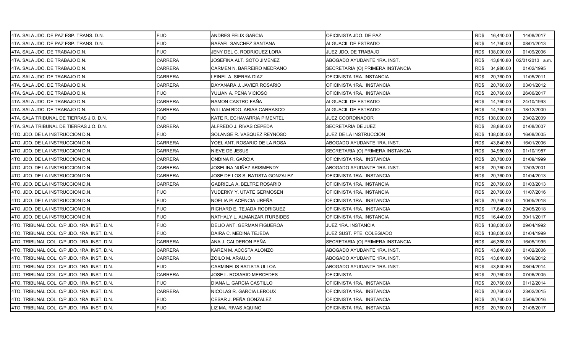| 4TA. SALA JDO. DE PAZ ESP. TRANS. D.N.      | <b>FIJO</b>    | ANDRES FELIX GARCIA               | OFICINISTA JDO. DE PAZ           |      | RD\$ 16,440.00  | 14/08/2017      |
|---------------------------------------------|----------------|-----------------------------------|----------------------------------|------|-----------------|-----------------|
| 4TA. SALA JDO. DE PAZ ESP. TRANS. D.N.      | <b>FIJO</b>    | RAFAEL SANCHEZ SANTANA            | ALGUACIL DE ESTRADO              | RD\$ | 14,760.00       | 08/01/2013      |
| 4TA. SALA JDO. DE TRABAJO D.N.              | <b>FIJO</b>    | JENY DEL C. RODRIGUEZ LORA        | JUEZ JDO. DE TRABAJO             |      | RD\$ 138,000.00 | 01/09/2006      |
| 4TA. SALA JDO. DE TRABAJO D.N.              | <b>CARRERA</b> | JOSEFINA ALT. SOTO JIMENEZ        | ABOGADO AYUDANTE 1RA. INST.      | RD\$ | 43,840.80       | 02/01/2013 a.m. |
| 4TA. SALA JDO. DE TRABAJO D.N.              | CARRERA        | CARMEN N. BARREIRO MEDRANO        | SECRETARIA (O) PRIMERA INSTANCIA | RD\$ | 34,980.00       | 01/02/1995      |
| 4TA. SALA JDO. DE TRABAJO D.N.              | CARRERA        | EINEL A. SIERRA DIAZ              | OFICINISTA 1RA. INSTANCIA        | RD\$ | 20,760.00       | 11/05/2011      |
| 4TA. SALA JDO. DE TRABAJO D.N.              | <b>CARRERA</b> | DAYANARA J. JAVIER ROSARIO        | OFICINISTA 1RA. INSTANCIA        | RD\$ | 20,760.00       | 03/01/2012      |
| 4TA, SALA JDO, DE TRABAJO D.N.              | <b>FIJO</b>    | YULIAN A. PEÑA VICIOSO            | OFICINISTA 1RA. INSTANCIA        | RD\$ | 20,760.00       | 26/06/2017      |
| 4TA. SALA JDO. DE TRABAJO D.N.              | <b>CARRERA</b> | RAMON CASTRO FAÑA                 | ALGUACIL DE ESTRADO              | RD\$ | 14,760.00       | 24/10/1993      |
| 14TA. SALA JDO. DE TRABAJO D.N.             | <b>CARRERA</b> | WILLIAM BDO, ARIAS CARRASCO       | ALGUACIL DE ESTRADO              | RD\$ | 14,760.00       | 18/12/2000      |
| 4TA. SALA TRIBUNAL DE TIERRAS J.O. D.N.     | <b>FIJO</b>    | KATE R. ECHAVARRIA PIMENTEL       | JUEZ COORDINADOR                 |      | RD\$ 138,000.00 | 23/02/2009      |
| 4TA. SALA TRIBUNAL DE TIERRAS J.O. D.N.     | CARRERA        | ALFREDO J. RIVAS CEPEDA           | SECRETARIA DE JUEZ               | RD\$ | 28,860.00       | 01/08/2007      |
| 4TO. JDO. DE LA INSTRUCCION D.N.            | <b>FIJO</b>    | SOLANGE R. VASQUEZ REYNOSO        | JUEZ DE LA INSTRUCCION           |      | RD\$ 138,000.00 | 16/08/2005      |
| 4TO. JDO. DE LA INSTRUCCION D.N.            | <b>CARRERA</b> | YOEL ANT. ROSARIO DE LA ROSA      | ABOGADO AYUDANTE 1RA. INST.      | RD\$ | 43,840.80       | 16/01/2006      |
| 4TO. JDO. DE LA INSTRUCCION D.N.            | <b>CARRERA</b> | NIEVE DE JESUS                    | SECRETARIA (O) PRIMERA INSTANCIA | RD\$ | 34,980.00       | 01/10/1987      |
| 4TO. JDO. DE LA INSTRUCCION D.N.            | <b>CARRERA</b> | ONDINA R. GARCIA                  | OFICINISTA 1RA. INSTANCIA        | RD\$ | 20,760.00       | 01/09/1999      |
| 4TO. JDO. DE LA INSTRUCCION D.N.            | CARRERA        | JOSELINA NUÑEZ ARISMENDY          | ABOGADO AYUDANTE 1RA. INST.      | RD\$ | 20,760.00       | 12/03/2001      |
| 4TO. JDO. DE LA INSTRUCCION D.N.            | <b>CARRERA</b> | JOSE DE LOS S. BATISTA GONZALEZ   | OFICINISTA 1RA. INSTANCIA        | RD\$ | 20,760.00       | 01/04/2013      |
| 4TO. JDO. DE LA INSTRUCCION D.N.            | <b>CARRERA</b> | <b>GABRIELA A. BELTRE ROSARIO</b> | OFICINISTA 1RA. INSTANCIA        | RD\$ | 20,760.00       | 01/03/2013      |
| 4TO. JDO. DE LA INSTRUCCION D.N.            | <b>FIJO</b>    | YUDERKY Y. UTATE GERMOSEN         | OFICINISTA 1RA. INSTANCIA        | RD\$ | 20,760.00       | 11/07/2016      |
| 4TO. JDO. DE LA INSTRUCCION D.N.            | <b>FIJO</b>    | NOELIA PLACENCIA UREÑA            | OFICINISTA 1RA. INSTANCIA        | RD\$ | 20,760.00       | 10/05/2018      |
| 4TO. JDO. DE LA INSTRUCCION D.N.            | <b>FIJO</b>    | RICHARD E. TEJADA RODRIGUEZ       | OFICINISTA 1RA. INSTANCIA        | RD\$ | 17,646.00       | 29/05/2018      |
| 4TO. JDO. DE LA INSTRUCCION D.N.            | <b>FIJO</b>    | NATHALY L. ALMANZAR ITURBIDES     | OFICINISTA 1RA. INSTANCIA        | RD\$ | 16,440.00       | 30/11/2017      |
| 4TO. TRIBUNAL COL. C/P JDO. 1RA. INST. D.N. | <b>FIJO</b>    | DELIO ANT. GERMAN FIGUEROA        | JUEZ 1RA. INSTANCIA              |      | RD\$ 138,000.00 | 09/04/1992      |
| 4TO. TRIBUNAL COL. C/P JDO. 1RA. INST. D.N. | <b>FIJO</b>    | DAIRA C. MEDINA TEJEDA            | JUEZ SUST. PTE. COLEGIADO        |      | RD\$ 138,000.00 | 01/04/1999      |
| 4TO. TRIBUNAL COL. C/P JDO. 1RA. INST. D.N. | <b>CARRERA</b> | ANA J. CALDERON PEÑA              | SECRETARIA (O) PRIMERA INSTANCIA | RD\$ | 46,368.00       | 16/05/1995      |
| 4TO. TRIBUNAL COL. C/P JDO. 1RA. INST. D.N. | CARRERA        | KAREN M. ACOSTA ALONZO            | ABOGADO AYUDANTE 1RA. INST.      | RD\$ | 43,840.80       | 01/02/2006      |
| 4TO. TRIBUNAL COL. C/P JDO. 1RA. INST. D.N. | CARRERA        | ZOILO M. ARAUJO                   | ABOGADO AYUDANTE 1RA. INST.      | RD\$ | 43,840.80       | 10/09/2012      |
| 4TO. TRIBUNAL COL. C/P JDO. 1RA. INST. D.N. | <b>FIJO</b>    | <b>CARMINELIS BATISTA ULLOA</b>   | ABOGADO AYUDANTE 1RA. INST.      | RD\$ | 43,840.80       | 08/04/2014      |
| 4TO. TRIBUNAL COL. C/P JDO. 1RA. INST. D.N. | <b>CARRERA</b> | JOSE L. ROSARIO MERCEDES          | <b>OFICINISTA</b>                | RD\$ | 20,760.00       | 07/06/2005      |
| 4TO. TRIBUNAL COL. C/P JDO. 1RA. INST. D.N. | <b>FIJO</b>    | DIANA L. GARCIA CASTILLO          | OFICINISTA 1RA. INSTANCIA        | RD\$ | 20,760.00       | 01/12/2014      |
| 4TO. TRIBUNAL COL. C/P JDO. 1RA. INST. D.N. | CARRERA        | NICOLAS R. GARCIA LEROUX          | OFICINISTA 1RA. INSTANCIA        | RD\$ | 20,760.00       | 23/02/2015      |
| 4TO. TRIBUNAL COL. C/P JDO. 1RA. INST. D.N. | <b>FIJO</b>    | CESAR J. PEÑA GONZALEZ            | OFICINISTA 1RA. INSTANCIA        | RD\$ | 20,760.00       | 05/09/2016      |
| 4TO. TRIBUNAL COL. C/P JDO. 1RA. INST. D.N. | <b>FIJO</b>    | <b>IZ MA. RIVAS AQUINO</b>        | OFICINISTA 1RA. INSTANCIA        |      | RD\$ 20,760.00  | 21/08/2017      |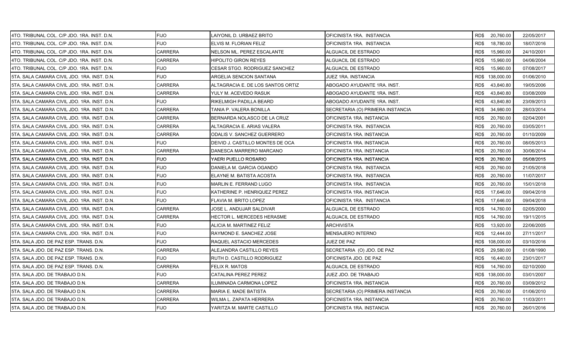| 4TO. TRIBUNAL COL. C/P JDO. 1RA. INST. D.N. | <b>FIJO</b>    | LAIYONIL D. URBAEZ BRITO          | OFICINISTA 1RA. INSTANCIA        | RD\$ 20,760.00    | 22/05/2017 |
|---------------------------------------------|----------------|-----------------------------------|----------------------------------|-------------------|------------|
| 4TO. TRIBUNAL COL. C/P JDO. 1RA. INST. D.N. | <b>FIJO</b>    | ELVIS M. FLORIAN FELIZ            | OFICINISTA 1RA. INSTANCIA        | RD\$<br>18,780.00 | 18/07/2016 |
| 4TO. TRIBUNAL COL. C/P JDO. 1RA. INST. D.N. | <b>CARRERA</b> | NELSON ML. PEREZ ESCALANTE        | ALGUACIL DE ESTRADO              | 15,960.00<br>RD\$ | 24/10/2001 |
| 4TO. TRIBUNAL COL. C/P JDO. 1RA. INST. D.N. | <b>CARRERA</b> | HIPOLITO GIRON REYES              | ALGUACIL DE ESTRADO              | RD\$<br>15,960.00 | 04/06/2004 |
| 4TO. TRIBUNAL COL. C/P JDO. 1RA. INST. D.N. | <b>FIJO</b>    | CESAR STGO. RODRIGUEZ SANCHEZ     | ALGUACIL DE ESTRADO              | RD\$<br>15,960.00 | 07/08/2017 |
| 5TA. SALA CAMARA CIVIL JDO. 1RA. INST. D.N. | FIJO           | ARGELIA SENCION SANTANA           | JUEZ 1RA. INSTANCIA              | RD\$ 138,000.00   | 01/06/2010 |
| 5TA, SALA CAMARA CIVIL JDO, 1RA, INST, D.N. | CARRERA        | ALTAGRACIA E. DE LOS SANTOS ORTIZ | ABOGADO AYUDANTE 1RA. INST.      | RD\$<br>43,840.80 | 19/05/2006 |
| 5TA. SALA CAMARA CIVIL JDO. 1RA. INST. D.N. | <b>CARRERA</b> | YULY M. ACEVEDO RASUK             | ABOGADO AYUDANTE 1RA. INST.      | 43,840.80<br>RD\$ | 03/08/2009 |
| 5TA. SALA CAMARA CIVIL JDO. 1RA. INST. D.N. | <b>FIJO</b>    | RIKELMIGH PADILLA BEARD           | ABOGADO AYUDANTE 1RA. INST.      | RD\$<br>43,840.80 | 23/09/2013 |
| 5TA. SALA CAMARA CIVIL JDO. 1RA. INST. D.N. | <b>CARRERA</b> | TANIA P. VALERA BONILLA           | SECRETARIA (O) PRIMERA INSTANCIA | RD\$<br>34,980.00 | 28/03/2014 |
| 5TA. SALA CAMARA CIVIL JDO. 1RA. INST. D.N. | CARRERA        | BERNARDA NOLASCO DE LA CRUZ       | OFICINISTA 1RA. INSTANCIA        | 20,760.00<br>RD\$ | 02/04/2001 |
| 5TA. SALA CAMARA CIVIL JDO. 1RA. INST. D.N. | CARRERA        | ALTAGRACIA E. ARIAS VALERA        | OFICINISTA 1RA. INSTANCIA        | RD\$<br>20,760.00 | 03/05/2011 |
| 5TA. SALA CAMARA CIVIL JDO. 1RA. INST. D.N. | <b>CARRERA</b> | ODALIS V. SANCHEZ GUERRERO        | OFICINISTA 1RA. INSTANCIA        | 20,760.00<br>RD\$ | 01/10/2009 |
| 5TA. SALA CAMARA CIVIL JDO. 1RA. INST. D.N. | FIJO           | DEIVID J. CASTILLO MONTES DE OCA  | OFICINISTA 1RA. INSTANCIA        | RD\$<br>20,760.00 | 08/05/2013 |
| 5TA. SALA CAMARA CIVIL JDO. 1RA. INST. D.N. | <b>CARRERA</b> | DANESCA MARRERO MARCANO           | OFICINISTA 1RA. INSTANCIA        | RD\$<br>20,760.00 | 30/06/2014 |
| 5TA. SALA CAMARA CIVIL JDO. 1RA. INST. D.N. | FIJO           | YAERI PUELLO ROSARIO              | OFICINISTA 1RA. INSTANCIA        | 20,760.00<br>RD\$ | 05/08/2015 |
| 5TA. SALA CAMARA CIVIL JDO. 1RA. INST. D.N. | <b>FIJO</b>    | DANIELA M. GARCIA OGANDO          | OFICINISTA 1RA. INSTANCIA        | RD\$<br>20,760.00 | 21/05/2018 |
| 5TA. SALA CAMARA CIVIL JDO. 1RA. INST. D.N. | <b>FIJO</b>    | ELAYNE M. BATISTA ACOSTA          | OFICINISTA 1RA. INSTANCIA        | RD\$<br>20,760.00 | 11/07/2017 |
| 5TA. SALA CAMARA CIVIL JDO. 1RA. INST. D.N. | <b>FIJO</b>    | MARLIN E. FERRAND LUGO            | OFICINISTA 1RA. INSTANCIA        | RD\$<br>20,760.00 | 15/01/2018 |
| 5TA. SALA CAMARA CIVIL JDO. 1RA. INST. D.N. | <b>FIJO</b>    | KATHERINE P. HENRIQUEZ PEREZ      | OFICINISTA 1RA. INSTANCIA        | RD\$<br>17,646.00 | 09/04/2018 |
| 5TA. SALA CAMARA CIVIL JDO. 1RA. INST. D.N. | <b>FIJO</b>    | FLAVIA M. BRITO LOPEZ             | OFICINISTA 1RA. INSTANCIA        | RD\$<br>17,646.00 | 09/04/2018 |
| 5TA. SALA CAMARA CIVIL JDO. 1RA. INST. D.N. | CARRERA        | JOSE L. ANDUJAR SALDIVAR          | ALGUACIL DE ESTRADO              | RD\$<br>14,760.00 | 02/05/2000 |
| 5TA. SALA CAMARA CIVIL JDO. 1RA. INST. D.N. | <b>CARRERA</b> | HECTOR L. MERCEDES HERASME        | ALGUACIL DE ESTRADO              | RD\$<br>14,760.00 | 19/11/2015 |
| 5TA. SALA CAMARA CIVIL JDO. 1RA. INST. D.N. | FIJO           | ALICIA M. MARTINEZ FELIZ          | <b>ARCHIVISTA</b>                | RD\$<br>13,920.00 | 22/06/2005 |
| 5TA. SALA CAMARA CIVIL JDO. 1RA. INST. D.N. | <b>FIJO</b>    | RAYMOND E. SANCHEZ JOSE           | MENSAJERO INTERNO                | RD\$<br>12,444.00 | 27/11/2017 |
| 5TA. SALA JDO. DE PAZ ESP. TRANS. D.N.      | <b>FIJO</b>    | RAQUEL ASTACIO MERCEDES           | JUEZ DE PAZ                      | RD\$ 108,000.00   | 03/10/2016 |
| 5TA. SALA JDO. DE PAZ ESP. TRANS. D.N.      | CARRERA        | ALEJANDRA CASTILLO REYES          | SECRETARIA (O) JDO. DE PAZ       | RD\$<br>29,580.00 | 01/08/1990 |
| 5TA, SALA JDO, DE PAZ ESP, TRANS, D.N.      | <b>FIJO</b>    | RUTH D. CASTILLO RODRIGUEZ        | OFICINISTA JDO. DE PAZ           | RD\$<br>16,440.00 | 23/01/2017 |
| 5TA. SALA JDO. DE PAZ ESP. TRANS. D.N.      | <b>CARRERA</b> | FELIX R. MATOS                    | ALGUACIL DE ESTRADO              | RD\$<br>14,760.00 | 02/10/2000 |
| 5TA. SALA JDO. DE TRABAJO D.N.              | FIJO           | CATALINA PEREZ PEREZ              | JUEZ JDO. DE TRABAJO             | RD\$ 138,000.00   | 03/01/2007 |
| 5TA. SALA JDO. DE TRABAJO D.N.              | CARRERA        | ILUMINADA CARMONA LOPEZ           | OFICINISTA 1RA. INSTANCIA        | RD\$<br>20,760.00 | 03/09/2012 |
| 5TA. SALA JDO. DE TRABAJO D.N.              | CARRERA        | MARIA E. MADE BATISTA             | SECRETARIA (O) PRIMERA INSTANCIA | 20,760.00<br>RD\$ | 01/06/2010 |
| 5TA. SALA JDO. DE TRABAJO D.N.              | CARRERA        | WILMA L. ZAPATA HERRERA           | OFICINISTA 1RA. INSTANCIA        | RD\$<br>20,760.00 | 11/03/2011 |
| 5TA. SALA JDO. DE TRABAJO D.N.              | <b>FIJO</b>    | YARITZA M. MARTE CASTILLO         | OFICINISTA 1RA. INSTANCIA        | RD\$ 20,760.00    | 26/01/2016 |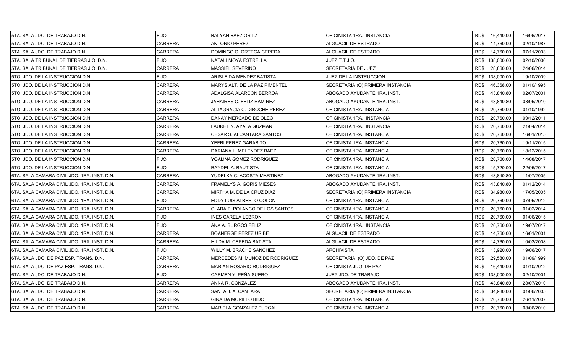| 5TA. SALA JDO. DE TRABAJO D.N.               | <b>FIJO</b>    | <b>BALYAN BAEZ ORTIZ</b>         | OFICINISTA 1RA. INSTANCIA        | RD\$ 16,440.00    | 16/06/2017 |
|----------------------------------------------|----------------|----------------------------------|----------------------------------|-------------------|------------|
| 5TA. SALA JDO. DE TRABAJO D.N.               | CARRERA        | <b>ANTONIO PEREZ</b>             | ALGUACIL DE ESTRADO              | RD\$<br>14,760.00 | 02/10/1987 |
| 5TA. SALA JDO. DE TRABAJO D.N.               | <b>CARRERA</b> | DOMINGO O. ORTEGA CEPEDA         | ALGUACIL DE ESTRADO              | RD\$<br>14,760.00 | 07/11/2003 |
| 5TA. SALA TRIBUNAL DE TIERRAS J.O. D.N.      | FIJO           | NATALI MOYA ESTRELLA             | JUEZ T.T.J.O.                    | RD\$ 138,000.00   | 02/10/2006 |
| 5TA. SALA TRIBUNAL DE TIERRAS J.O. D.N.      | <b>CARRERA</b> | <b>MASSIEL SEVERINO</b>          | SECRETARIA DE JUEZ               | RD\$<br>28,860.00 | 24/06/2014 |
| 5TO. JDO. DE LA INSTRUCCION D.N.             | <b>FIJO</b>    | ARISLEIDA MENDEZ BATISTA         | JUEZ DE LA INSTRUCCION           | RD\$ 138,000.00   | 19/10/2009 |
| 5TO. JDO. DE LA INSTRUCCION D.N.             | <b>CARRERA</b> | MARYS ALT. DE LA PAZ PIMENTEL    | SECRETARIA (O) PRIMERA INSTANCIA | RD\$<br>46,368.00 | 01/10/1995 |
| 5TO. JDO. DE LA INSTRUCCION D.N.             | CARRERA        | ADALGISA ALARCON BERROA          | ABOGADO AYUDANTE 1RA. INST.      | RD\$<br>43,840.80 | 02/07/2001 |
| 5TO. JDO. DE LA INSTRUCCION D.N.             | <b>CARRERA</b> | JAHAIRES C. FELIZ RAMIREZ        | ABOGADO AYUDANTE 1RA. INST.      | RD\$<br>43,840.80 | 03/05/2010 |
| 5TO. JDO. DE LA INSTRUCCION D.N.             | CARRERA        | ALTAGRACIA C. DIROCHE PEREZ      | OFICINISTA 1RA. INSTANCIA        | RD\$<br>20,760.00 | 01/10/1992 |
| 5TO. JDO. DE LA INSTRUCCION D.N.             | CARRERA        | DANAY MERCADO DE OLEO            | OFICINISTA 1RA. INSTANCIA        | 20,760.00<br>RD\$ | 09/12/2011 |
| 5TO. JDO. DE LA INSTRUCCION D.N.             | CARRERA        | LAURET N. AYALA GUZMAN           | OFICINISTA 1RA. INSTANCIA        | RD\$<br>20,760.00 | 21/04/2014 |
| I5TO. JDO. DE LA INSTRUCCION D.N.            | <b>CARRERA</b> | <b>CESAR S. ALCANTARA SANTOS</b> | OFICINISTA 1RA. INSTANCIA        | RD\$<br>20,760.00 | 16/01/2015 |
| 5TO. JDO. DE LA INSTRUCCION D.N.             | <b>CARRERA</b> | YEFRI PEREZ GARABITO             | OFICINISTA 1RA. INSTANCIA        | RD\$<br>20,760.00 | 19/11/2015 |
| 5TO. JDO. DE LA INSTRUCCION D.N.             | CARRERA        | DARIANA L. MELENDEZ BAEZ         | OFICINISTA 1RA. INSTANCIA        | 20,760.00<br>RD\$ | 18/12/2015 |
| I5TO. JDO. DE LA INSTRUCCION D.N.            | <b>FIJO</b>    | YOALINA GOMEZ RODRIGUEZ          | OFICINISTA 1RA. INSTANCIA        | RD\$<br>20,760.00 | 14/08/2017 |
| 5TO. JDO. DE LA INSTRUCCION D.N.             | <b>FIJO</b>    | RAYDEL A. BAUTISTA               | OFICINISTA 1RA. INSTANCIA        | RD\$<br>15,720.00 | 22/05/2017 |
| 6TA. SALA CAMARA CIVIL JDO. 1RA. INST. D.N.  | <b>CARRERA</b> | YUDELKA C. ACOSTA MARTINEZ       | ABOGADO AYUDANTE 1RA. INST.      | RD\$<br>43,840.80 | 11/07/2005 |
| 6TA. SALA CAMARA CIVIL JDO. 1RA. INST. D.N.  | <b>CARRERA</b> | <b>FRAMELYS A. GORIS MIESES</b>  | ABOGADO AYUDANTE 1RA. INST.      | RD\$<br>43,840.80 | 01/12/2014 |
| 6TA. SALA CAMARA CIVIL JDO. 1RA. INST. D.N.  | <b>CARRERA</b> | MIRTHA M. DE LA CRUZ DIAZ        | SECRETARIA (O) PRIMERA INSTANCIA | RD\$<br>34,980.00 | 17/05/2005 |
| 6TA. SALA CAMARA CIVIL JDO. 1RA. INST. D.N.  | <b>FIJO</b>    | EDDY LUIS ALBERTO COLON          | OFICINISTA 1RA. INSTANCIA        | 20,760.00<br>RD\$ | 07/05/2012 |
| 6TA. SALA CAMARA CIVIL JDO. 1RA. INST. D.N.  | <b>CARRERA</b> | CLARA F. POLANCO DE LOS SANTOS   | OFICINISTA 1RA. INSTANCIA        | RD\$<br>20,760.00 | 01/02/2014 |
| 6TA. SALA CAMARA CIVIL JDO. 1RA. INST. D.N.  | <b>FIJO</b>    | INES CARELA LEBRON               | OFICINISTA 1RA. INSTANCIA        | RD\$<br>20,760.00 | 01/06/2015 |
| 6TA. SALA CAMARA CIVIL JDO. 1RA. INST. D.N.  | <b>FIJO</b>    | ANA A. BURGOS FELIZ              | OFICINISTA 1RA. INSTANCIA        | 20,760.00<br>RD\$ | 19/07/2017 |
| I6TA. SALA CAMARA CIVIL JDO. 1RA. INST. D.N. | <b>CARRERA</b> | <b>BOANERGE PEREZ URIBE</b>      | ALGUACIL DE ESTRADO              | RD\$<br>14,760.00 | 16/01/2001 |
| 6TA. SALA CAMARA CIVIL JDO. 1RA. INST. D.N.  | CARRERA        | HILDA M. CEPEDA BATISTA          | ALGUACIL DE ESTRADO              | RD\$<br>14,760.00 | 10/03/2008 |
| 6TA. SALA CAMARA CIVIL JDO. 1RA. INST. D.N.  | <b>FIJO</b>    | WILLY M. BRACHE SANCHEZ          | ARCHIVISTA                       | RD\$<br>13,920.00 | 19/06/2017 |
| 6TA. SALA JDO. DE PAZ ESP. TRANS. D.N.       | CARRERA        | MERCEDES M. MUÑOZ DE RODRIGUEZ   | SECRETARIA (O) JDO. DE PAZ       | RD\$<br>29,580.00 | 01/09/1999 |
| 6TA. SALA JDO. DE PAZ ESP. TRANS. D.N.       | <b>CARRERA</b> | <b>MARIAN ROSARIO RODRIGUEZ</b>  | OFICINISTA JDO. DE PAZ           | RD\$<br>16,440.00 | 01/10/2012 |
| I6TA. SALA JDO. DE TRABAJO D.N.              | <b>FIJO</b>    | CARMEN Y. PEÑA SUERO             | JUEZ JDO. DE TRABAJO             | RD\$ 138,000.00   | 02/10/2001 |
| 6TA. SALA JDO. DE TRABAJO D.N.               | CARRERA        | ANNA R. GONZALEZ                 | ABOGADO AYUDANTE 1RA. INST.      | RD\$<br>43,840.80 | 28/07/2010 |
| 6TA. SALA JDO. DE TRABAJO D.N.               | CARRERA        | SANTA J. ALCANTARA               | SECRETARIA (O) PRIMERA INSTANCIA | RD\$<br>34,980.00 | 01/06/2005 |
| 6TA. SALA JDO. DE TRABAJO D.N.               | CARRERA        | GINAIDA MORILLO BIDO             | OFICINISTA 1RA. INSTANCIA        | RD\$<br>20,760.00 | 26/11/2007 |
| 6TA. SALA JDO. DE TRABAJO D.N.               | <b>CARRERA</b> | MARIELA GONZALEZ FURCAL          | OFICINISTA 1RA. INSTANCIA        | RD\$ 20,760.00    | 08/06/2010 |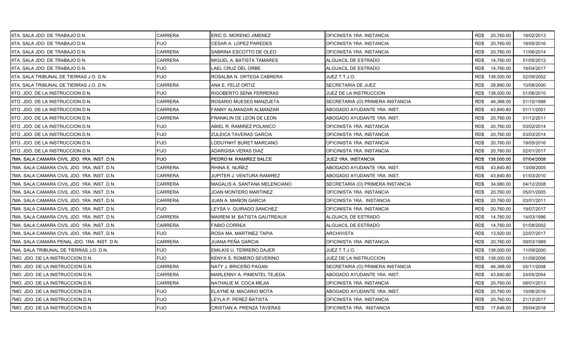| 6TA. SALA JDO. DE TRABAJO D.N.               | CARRERA        | ERIC D. MORENO JIMENEZ        | OFICINISTA 1RA. INSTANCIA        | RD\$ 20,760.00    | 18/02/2013 |
|----------------------------------------------|----------------|-------------------------------|----------------------------------|-------------------|------------|
| 6TA. SALA JDO. DE TRABAJO D.N.               | <b>FIJO</b>    | <b>CESAR A. LOPEZ PAREDES</b> | OFICINISTA 1RA. INSTANCIA        | RD\$<br>20,760.00 | 18/05/2016 |
| 6TA. SALA JDO. DE TRABAJO D.N.               | <b>CARRERA</b> | SABRINA ESCOTTO DE OLEO       | OFICINISTA 1RA. INSTANCIA        | RD\$<br>20,760.00 | 11/06/2014 |
| 6TA. SALA JDO. DE TRABAJO D.N.               | <b>CARRERA</b> | MIGUEL A. BATISTA TAMARES     | ALGUACIL DE ESTRADO              | RD\$<br>14,760.00 | 01/05/2012 |
| 6TA. SALA JDO. DE TRABAJO D.N.               | <b>FIJO</b>    | LAEL CRUZ DEL ORBE            | ALGUACIL DE ESTRADO              | RD\$<br>14,760.00 | 18/04/2017 |
| 6TA. SALA TRIBUNAL DE TIERRAS J.O. D.N.      | <b>FIJO</b>    | ROSALBA N. ORTEGA CABRERA     | JUEZ T.T.J.O.                    | RD\$ 138,000.00   | 02/09/2002 |
| 6TA. SALA TRIBUNAL DE TIERRAS J.O. D.N.      | <b>CARRERA</b> | ANA E. FELIZ ORTIZ            | SECRETARIA DE JUEZ               | RD\$<br>28,860.00 | 10/08/2000 |
| <b>6TO. JDO. DE LA INSTRUCCION D.N.</b>      | <b>FIJO</b>    | RIGOBERTO SENA FERRERAS       | JUEZ DE LA INSTRUCCION           | RD\$ 138,000.00   | 01/06/2010 |
| <b>6TO. JDO. DE LA INSTRUCCION D.N.</b>      | <b>CARRERA</b> | ROSARIO MUESES MANZUETA       | SECRETARIA (O) PRIMERA INSTANCIA | RD\$<br>46,368.00 | 01/10/1998 |
| 6TO. JDO. DE LA INSTRUCCION D.N.             | <b>CARRERA</b> | FANNY ALMANZAR ALMANZAR       | ABOGADO AYUDANTE 1RA. INST.      | RD\$<br>43,840.80 | 01/11/2001 |
| 6TO. JDO. DE LA INSTRUCCION D.N.             | <b>CARRERA</b> | FRANKLIN DE LEON DE LEON      | ABOGADO AYUDANTE 1RA. INST.      | 20,760.00<br>RD\$ | 01/12/2011 |
| <b>6TO. JDO. DE LA INSTRUCCION D.N.</b>      | <b>FIJO</b>    | ABIEL R. RAMIREZ POLANCO      | OFICINISTA 1RA. INSTANCIA        | RD\$<br>20,760.00 | 03/02/2014 |
| <b>I</b> 6TO. JDO. DE LA INSTRUCCION D.N.    | <b>FIJO</b>    | ZULEICA TAVERAS GARCIA        | OFICINISTA 1RA. INSTANCIA        | RD\$<br>20,760.00 | 03/03/2014 |
| 6TO. JDO. DE LA INSTRUCCION D.N.             | <b>FIJO</b>    | LODUYNHT BURET MARCANO        | OFICINISTA 1RA. INSTANCIA        | RD\$<br>20,760.00 | 19/05/2016 |
| 6TO. JDO. DE LA INSTRUCCION D.N.             | <b>FIJO</b>    | ADARGISA VERAS DIAZ           | OFICINISTA 1RA. INSTANCIA        | 20,760.00<br>RD\$ | 02/01/2017 |
| I7MA. SALA CAMARA CIVIL JDO. 1RA. INST. D.N. | <b>FIJO</b>    | PEDRO M. RAMIREZ SALCE        | JUEZ 1RA. INSTANCIA              | RD\$ 138,000.00   | 07/04/2008 |
| 7MA. SALA CAMARA CIVIL JDO. 1RA. INST. D.N.  | <b>CARRERA</b> | RHINA E. NUÑEZ                | ABOGADO AYUDANTE 1RA. INST.      | RD\$<br>43,840.80 | 13/09/2005 |
| 7MA. SALA CAMARA CIVIL JDO. 1RA. INST. D.N.  | <b>CARRERA</b> | JUPITER J. VENTURA RAMIREZ    | ABOGADO AYUDANTE 1RA. INST.      | RD\$<br>43,840.80 | 01/03/2010 |
| 7MA. SALA CAMARA CIVIL JDO. 1RA. INST. D.N.  | <b>CARRERA</b> | MAGALIS A. SANTANA MELENCIANO | SECRETARIA (O) PRIMERA INSTANCIA | RD\$<br>34,980.00 | 04/12/2008 |
| 7MA. SALA CAMARA CIVIL JDO. 1RA. INST. D.N.  | <b>CARRERA</b> | JOAN MONTERO MARTINEZ         | OFICINISTA 1RA. INSTANCIA        | RD\$<br>20,760.00 | 05/01/2005 |
| 7MA. SALA CAMARA CIVIL JDO. 1RA. INST. D.N.  | CARRERA        | JUAN A. MAÑON GARCIA          | OFICINISTA 1RA. INSTANCIA        | 20,760.00<br>RD\$ | 03/01/2011 |
| 7MA. SALA CAMARA CIVIL JDO. 1RA. INST. D.N.  | <b>FIJO</b>    | LEYSA V. GUIRADO SANCHEZ      | OFICINISTA 1RA. INSTANCIA        | RD\$<br>20,760.00 | 19/07/2017 |
| 7MA. SALA CAMARA CIVIL JDO. 1RA. INST. D.N.  | CARRERA        | MAIRENI M. BATISTA GAUTREAUX  | ALGUACIL DE ESTRADO              | 14,760.00<br>RD\$ | 14/03/1996 |
| 7MA. SALA CAMARA CIVIL JDO. 1RA. INST. D.N.  | <b>CARRERA</b> | <b>FABIO CORREA</b>           | ALGUACIL DE ESTRADO              | 14,760.00<br>RD\$ | 01/08/2002 |
| 7MA, SALA CAMARA CIVIL JDO, 1RA, INST, D.N.  | <b>FIJO</b>    | ROSA MA. MARTINEZ TAPIA       | <b>ARCHIVISTA</b>                | RD\$<br>13,920.00 | 22/07/2017 |
| 7MA. SALA CAMARA PENAL JDO. 1RA. INST. D.N.  | <b>CARRERA</b> | JUANA PEÑA GARCIA             | OFICINISTA 1RA. INSTANCIA        | 20,760.00<br>RD\$ | 09/03/1989 |
| 7MA. SALA TRIBUNAL DE TIERRAS J.O. D.N.      | <b>FIJO</b>    | EMILKIS U. TERRERO DAJER      | JUEZ T.T.J.O.                    | RD\$ 138,000.00   | 11/09/2000 |
| 7MO. JDO. DE LA INSTRUCCION D.N.             | <b>FIJO</b>    | KENYA S. ROMERO SEVERINO      | JUEZ DE LA INSTRUCCION           | RD\$ 138,000.00   | 01/09/2006 |
| 7MO. JDO. DE LA INSTRUCCION D.N.             | CARRERA        | NATY J. BRICEÑO PAGAN         | SECRETARIA (O) PRIMERA INSTANCIA | RD\$<br>46,368.00 | 05/11/2008 |
| 7MO. JDO. DE LA INSTRUCCION D.N.             | <b>CARRERA</b> | MARLENNY A. PIMENTEL TEJEDA   | ABOGADO AYUDANTE 1RA. INST.      | RD\$<br>43,840.80 | 24/05/2004 |
| 7MO. JDO. DE LA INSTRUCCION D.N.             | <b>CARRERA</b> | NATHALIE M. COCA MEJIA        | OFICINISTA 1RA. INSTANCIA        | RD\$<br>20,760.00 | 08/01/2013 |
| 7MO. JDO. DE LA INSTRUCCION D.N.             | <b>FIJO</b>    | ELAYNE M. MACARIO MOTA        | ABOGADO AYUDANTE 1RA. INST.      | RD\$<br>20,760.00 | 15/06/2016 |
| 7MO. JDO. DE LA INSTRUCCION D.N.             | <b>FIJO</b>    | LEYLA P. PEREZ BATISTA        | OFICINISTA 1RA. INSTANCIA        | RD\$<br>20,760.00 | 21/12/2017 |
| 7MO. JDO. DE LA INSTRUCCION D.N.             | <b>FIJO</b>    | CRISTIAN A. PRENZA TAVERAS    | OFICINISTA 1RA. INSTANCIA        | RD\$ 17,646.00    | 05/04/2018 |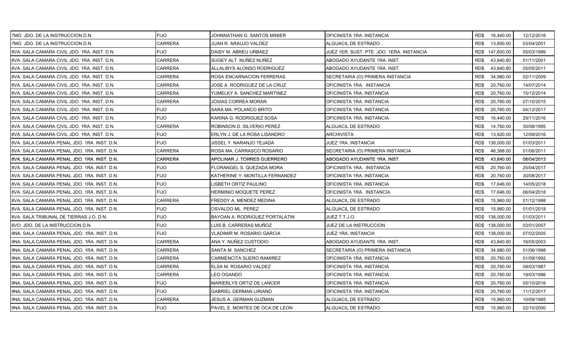| 7MO. JDO. DE LA INSTRUCCION D.N.             | <b>FIJO</b>    | JOHNNATHAN G. SANTOS MINIER     | OFICINISTA 1RA. INSTANCIA                 | RD\$ 16,440.00    | 12/12/2016 |
|----------------------------------------------|----------------|---------------------------------|-------------------------------------------|-------------------|------------|
| 7MO. JDO. DE LA INSTRUCCION D.N.             | <b>CARRERA</b> | JUAN R. ARAUJO VALDEZ           | ALGUACIL DE ESTRADO                       | RD\$<br>13,800.00 | 03/04/2001 |
| 8VA. SALA CAMARA CIVIL JDO. 1RA. INST. D.N.  | <b>FIJO</b>    | DAISY M. ABREU URBAEZ           | JUEZ 1ER. SUST. PTE. JDO. 1ERA. INSTANCIA | RD\$ 147,600.00   | 05/03/1999 |
| 8VA. SALA CAMARA CIVIL JDO. 1RA. INST. D.N.  | <b>CARRERA</b> | SUGEY ALT. NUÑEZ NUÑEZ          | ABOGADO AYUDANTE 1RA. INST.               | RD\$43,840.80     | 01/11/2001 |
| 8VA. SALA CAMARA CIVIL JDO. 1RA. INST. D.N.  | <b>CARRERA</b> | ALLALIBYS ALONSO RODRIGUEZ      | ABOGADO AYUDANTE 1RA. INST.               | RD\$<br>43,840.80 | 05/05/2011 |
| 8VA. SALA CAMARA CIVIL JDO. 1RA. INST. D.N.  | CARRERA        | ROSA ENCARNACION FERRERAS       | SECRETARIA (O) PRIMERA INSTANCIA          | 34,980.00<br>RD\$ | 02/11/2009 |
| 8VA. SALA CAMARA CIVIL JDO. 1RA. INST. D.N.  | <b>CARRERA</b> | JOSE A. RODRIGUEZ DE LA CRUZ    | OFICINISTA 1RA. INSTANCIA                 | RD\$<br>20,760.00 | 14/07/2014 |
| 8VA. SALA CAMARA CIVIL JDO. 1RA. INST. D.N.  | <b>CARRERA</b> | YUMELKY A. SANCHEZ MARTINEZ     | OFICINISTA 1RA. INSTANCIA                 | RD\$<br>20,760.00 | 15/12/2014 |
| 8VA. SALA CAMARA CIVIL JDO. 1RA. INST. D.N.  | <b>CARRERA</b> | JOSIAS CORREA MORAN             | OFICINISTA 1RA. INSTANCIA                 | RD\$<br>20,760.00 | 07/10/2015 |
| 8VA. SALA CAMARA CIVIL JDO. 1RA. INST. D.N.  | <b>FIJO</b>    | SARA MA. POLANCO BRITO          | OFICINISTA 1RA. INSTANCIA                 | RD\$<br>20,760.00 | 04/12/2017 |
| 8VA. SALA CAMARA CIVIL JDO. 1RA. INST. D.N.  | <b>FIJO</b>    | KARINA G. RODRIGUEZ SOSA        | OFICINISTA 1RA. INSTANCIA                 | RD\$<br>16,440.00 | 29/11/2016 |
| 8VA. SALA CAMARA CIVIL JDO. 1RA. INST. D.N.  | <b>CARRERA</b> | ROBINSON D. SILVERIO PEREZ      | ALGUACIL DE ESTRADO                       | RD\$<br>14,760.00 | 30/08/1995 |
| 8VA. SALA CAMARA CIVIL JDO. 1RA. INST. D.N.  | <b>FIJO</b>    | ERLYN J. DE LA ROSA LISANDRO    | ARCHIVISTA                                | RD\$<br>13,920.00 | 12/09/2016 |
| 8VA. SALA CAMARA PENAL JDO. 1RA. INST. D.N.  | <b>FIJO</b>    | JISSEL Y. NARANJO TEJADA        | JUEZ 1RA. INSTANCIA                       | RD\$ 138,000.00   | 01/03/2011 |
| 8VA. SALA CAMARA PENAL JDO. 1RA. INST. D.N.  | <b>CARRERA</b> | ROSA MA. CARRASCO ROSARIO       | SECRETARIA (O) PRIMERA INSTANCIA          | RD\$<br>46,368.00 | 01/06/2011 |
| 8VA. SALA CAMARA PENAL JDO. 1RA. INST. D.N.  | <b>CARRERA</b> | APOLINAR J. TORRES GUERRERO     | ABOGADO AYUDANTE 1RA. INST.               | RD\$<br>43,840.00 | 08/04/2013 |
| 8VA. SALA CAMARA PENAL JDO. 1RA. INST. D.N.  | <b>FIJO</b>    | FLORANGEL S. QUEZADA MORA       | OFICINISTA 1RA. INSTANCIA                 | RD\$<br>20,760.00 | 25/04/2017 |
| 8VA. SALA CAMARA PENAL JDO. 1RA. INST. D.N.  | <b>FIJO</b>    | KATHERINE Y. MONTILLA FERNANDEZ | OFICINISTA 1RA. INSTANCIA                 | RD\$<br>20,760.00 | 30/08/2017 |
| 8VA. SALA CAMARA PENAL JDO. 1RA. INST. D.N.  | <b>FIJO</b>    | LISBETH ORTIZ PAULINO           | OFICINISTA 1RA. INSTANCIA                 | RD\$<br>17,646.00 | 14/05/2018 |
| 8VA. SALA CAMARA PENAL JDO. 1RA. INST. D.N.  | <b>FIJO</b>    | HERMINIO MOQUETE PEREZ          | OFICINISTA 1RA. INSTANCIA                 | RD\$<br>17,646.00 | 06/04/2018 |
| 18VA. SALA CAMARA PENAL JDO. 1RA. INST. D.N. | <b>CARRERA</b> | FREDDY A. MENDEZ MEDINA         | ALGUACIL DE ESTRADO                       | 15.960.00<br>RD\$ | 01/12/1998 |
| 8VA. SALA CAMARA PENAL JDO. 1RA. INST. D.N.  | <b>FIJO</b>    | OSVALDO ML. PEREZ               | ALGUACIL DE ESTRADO                       | RD\$<br>15,960.00 | 01/01/2018 |
| 8VA. SALA TRIBUNAL DE TIERRAS J.O. D.N.      | <b>FIJO</b>    | BAYOAN A. RODRIGUEZ PORTALATIN  | JUEZ T.T.J.O.                             | RD\$ 138,000.00   | 01/03/2011 |
| 8VO. JDO. DE LA INSTRUCCION D.N.             | <b>FIJO</b>    | LUIS B. CARRERAS MUÑOZ          | JUEZ DE LA INSTRUCCION                    | RD\$ 138,000.00   | 03/01/2007 |
| 9NA. SALA CAMARA PENAL JDO. 1RA. INST. D.N.  | <b>FIJO</b>    | VLADIMIR M. ROSARIO GARCIA      | JUEZ 1RA. INSTANCIA                       | RD\$ 138,000.00   | 07/02/2005 |
| I9NA. SALA CAMARA PENAL JDO. 1RA. INST. D.N. | <b>CARRERA</b> | ANA Y. NUÑEZ CUSTODIO           | ABOGADO AYUDANTE 1RA. INST.               | RD\$<br>43,840.80 | 16/05/2003 |
| 9NA. SALA CAMARA PENAL JDO. 1RA. INST. D.N.  | <b>CARRERA</b> | SANTA M. SANCHEZ                | SECRETARIA (O) PRIMERA INSTANCIA          | RD\$<br>34,980.00 | 01/06/1998 |
| 9NA. SALA CAMARA PENAL JDO. 1RA. INST. D.N.  | <b>CARRERA</b> | CARMENCITA SUERO RAMIREZ        | OFICINISTA 1RA. INSTANCIA                 | 20,760.00<br>RD\$ | 01/09/1992 |
| 9NA. SALA CAMARA PENAL JDO. 1RA. INST. D.N.  | <b>CARRERA</b> | ELSA M. ROSARIO VALDEZ          | OFICINISTA 1RA. INSTANCIA                 | RD\$<br>20,760.00 | 09/03/1987 |
| 9NA. SALA CAMARA PENAL JDO. 1RA. INST. D.N.  | <b>CARRERA</b> | LEO OGANDO                      | OFICINISTA 1RA. INSTANCIA                 | RD\$<br>20,760.00 | 19/03/1996 |
| 9NA. SALA CAMARA PENAL JDO. 1RA. INST. D.N.  | <b>FIJO</b>    | MARIERLYS ORTIZ DE LANCER       | OFICINISTA 1RA. INSTANCIA                 | RD\$<br>20,760.00 | 05/10/2016 |
| 9NA. SALA CAMARA PENAL JDO. 1RA. INST. D.N.  | <b>FIJO</b>    | <b>GABRIEL GERMAN LIRIANO</b>   | OFICINISTA 1RA. INSTANCIA                 | 20,760.00<br>RD\$ | 11/12/2017 |
| 9NA. SALA CAMARA PENAL JDO. 1RA. INST. D.N.  | <b>CARRERA</b> | JESUS A. GERMAN GUZMAN          | ALGUACIL DE ESTRADO                       | 15,960.00<br>RD\$ | 10/09/1985 |
| 9NA. SALA CAMARA PENAL JDO. 1RA. INST. D.N.  | <b>FIJO</b>    | PAVEL E. MONTES DE OCA DE LEON  | ALGUACIL DE ESTRADO                       | RD\$<br>15,960.00 | 02/10/2000 |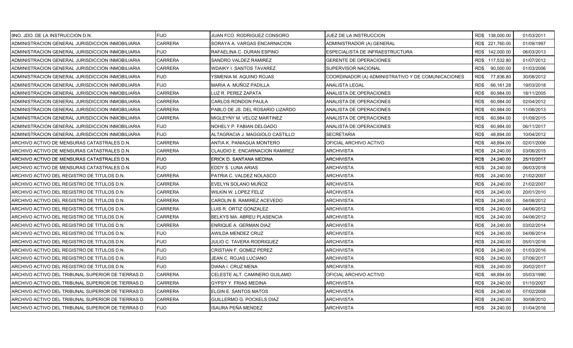| 9NO. JDO. DE LA INSTRUCCION D.N.                    | <b>FIJO</b>    | JUAN FCO. RODRIGUEZ CONSORO           | JUEZ DE LA INSTRUCCION                             | RD\$ 138,000.00   | 01/03/2011 |
|-----------------------------------------------------|----------------|---------------------------------------|----------------------------------------------------|-------------------|------------|
| ADMINISTRACION GENERAL JURISDICCION INMOBILIARIA    | <b>CARRERA</b> | SORAYA A. VARGAS ENCARNACION          | ADMINISTRADOR (A) GENERAL                          | RD\$ 221,760.00   | 01/09/1997 |
| ADMINISTRACION GENERAL JURISDICCION INMOBILIARIA    | <b>FIJO</b>    | RAFAELINA C. DURAN ESPINO             | ESPECIALISTA DE INFRAESTRUCTURA                    | RD\$ 142,000.00   | 06/03/2013 |
| ADMINISTRACION GENERAL JURISDICCION INMOBILIARIA    | <b>CARRERA</b> | SANDRO VALDEZ RAMIREZ                 | <b>GERENTE DE OPERACIONES</b>                      | RD\$ 117,532.80   | 01/07/2012 |
| ADMINISTRACION GENERAL JURISDICCION INMOBILIARIA    | <b>CARRERA</b> | WDAIKY I. SANTOS TAVAREZ              | SUPERVISOR NACIONAL                                | RD\$<br>90,000.00 | 01/03/2006 |
| ADMINISTRACION GENERAL JURISDICCION INMOBILIARIA    | <b>FIJO</b>    | YSMENIA M. AQUINO ROJAS               | COORDINADOR (A) ADMINISTRATIVO Y DE COMUNICACIONES | RD\$<br>77,836.80 | 30/08/2012 |
| ADMINISTRACION GENERAL JURISDICCION INMOBILIARIA    | <b>FIJO</b>    | MARIA A. MUÑOZ PADILLA                | ANALISTA LEGAL                                     | RD\$<br>66,161.28 | 19/03/2018 |
| ADMINISTRACION GENERAL JURISDICCION INMOBILIARIA    | <b>CARRERA</b> | LUZ R. PEREZ ZAPATA                   | ANALISTA DE OPERACIONES                            | 60,984.00<br>RD\$ | 18/11/2005 |
| ADMINISTRACION GENERAL JURISDICCION INMOBILIARIA    | <b>CARRERA</b> | <b>CARLOS RONDON PAULA</b>            | ANALISTA DE OPERACIONES                            | RD\$<br>60,984.00 | 02/04/2012 |
| ADMINISTRACION GENERAL JURISDICCION INMOBILIARIA    | <b>CARRERA</b> | PABLO DE JS. DEL ROSARIO LIZARDO      | ANALISTA DE OPERACIONES                            | RD\$<br>60,984.00 | 11/06/2013 |
| ADMINISTRACION GENERAL JURISDICCION INMOBILIARIA    | <b>CARRERA</b> | MIGLEYNY M. VELOZ MARTINEZ            | ANALISTA DE OPERACIONES                            | RD\$<br>60,984.00 | 01/09/2015 |
| ADMINISTRACION GENERAL JURISDICCION INMOBILIARIA    | <b>FIJO</b>    | NOHELY P. FABIAN DELGADO              | ANALISTA DE OPERACIONES                            | RD\$<br>60,984.00 | 06/11/2017 |
| ADMINISTRACION GENERAL JURISDICCION INMOBILIARIA    | <b>FIJO</b>    | ALTAGRACIA J. MAGGIOLO CASTILLO       | <b>SECRETARIA</b>                                  | RD\$<br>48,894.00 | 10/04/2012 |
| ARCHIVO ACTIVO DE MENSURAS CATASTRALES D.N.         | <b>CARRERA</b> | ANTIA K. PANIAGUA MONTERO             | OFICIAL ARCHIVO ACTIVO                             | RD\$<br>48,894.00 | 02/01/2006 |
| ARCHIVO ACTIVO DE MENSURAS CATASTRALES D.N.         | <b>CARRERA</b> | <b>CLAUDIO E. ENCARNACION RAMIREZ</b> | <b>ARCHIVISTA</b>                                  | RD\$<br>24,240.00 | 03/06/2015 |
| ARCHIVO ACTIVO DE MENSURAS CATASTRALES D.N.         | <b>FIJO</b>    | ERICK D. SANTANA MEDINA               | ARCHIVISTA                                         | RD\$<br>24,240.00 | 25/10/2017 |
| ARCHIVO ACTIVO DE MENSURAS CATASTRALES D.N.         | <b>FIJO</b>    | EDDY S. LUNA ARIAS                    | ARCHIVISTA                                         | RD\$<br>24,240.00 | 06/03/2018 |
| ARCHIVO ACTIVO DEL REGISTRO DE TITULOS D.N.         | <b>CARRERA</b> | PATRIA C. VALDEZ NOLASCO              | ARCHIVISTA                                         | RD\$<br>24,240.00 | 21/02/2007 |
| ARCHIVO ACTIVO DEL REGISTRO DE TITULOS D.N.         | <b>CARRERA</b> | EVELYN SOLANO MUÑOZ                   | <b>ARCHIVISTA</b>                                  | RD\$<br>24,240.00 | 21/02/2007 |
| ARCHIVO ACTIVO DEL REGISTRO DE TITULOS D.N.         | <b>CARRERA</b> | WILKIN W. LOPEZ FELIZ                 | <b>ARCHIVISTA</b>                                  | RD\$<br>24,240.00 | 20/01/2010 |
| ARCHIVO ACTIVO DEL REGISTRO DE TITULOS D.N.         | <b>CARRERA</b> | CAROLIN B. RAMIREZ ACEVEDO            | ARCHIVISTA                                         | 24,240.00<br>RD\$ | 04/06/2012 |
| ARCHIVO ACTIVO DEL REGISTRO DE TITULOS D.N.         | CARRERA        | LUIS R. ORTIZ GONZALEZ                | ARCHIVISTA                                         | RD\$<br>24,240.00 | 04/06/2012 |
| ARCHIVO ACTIVO DEL REGISTRO DE TITULOS D.N.         | <b>CARRERA</b> | BELKYS MA. ABREU PLASENCIA            | <b>ARCHIVISTA</b>                                  | RD\$<br>24,240.00 | 04/06/2012 |
| ARCHIVO ACTIVO DEL REGISTRO DE TITULOS D.N.         | <b>CARRERA</b> | ENRIQUE A. GERMAN DIAZ                | <b>ARCHIVISTA</b>                                  | RD\$<br>24,240.00 | 03/02/2014 |
| ARCHIVO ACTIVO DEL REGISTRO DE TITULOS D.N.         | <b>FIJO</b>    | AWILDA MENDEZ CRUZ                    | ARCHIVISTA                                         | RD\$<br>24,240.00 | 04/06/2014 |
| ARCHIVO ACTIVO DEL REGISTRO DE TITULOS D.N.         | <b>FIJO</b>    | JULIO C. TAVERA RODRIGUEZ             | ARCHIVISTA                                         | RD\$<br>24,240.00 | 05/01/2016 |
| ARCHIVO ACTIVO DEL REGISTRO DE TITULOS D.N.         | FIJO           | CRISTIAN F. GOMEZ PEREZ               | ARCHIVISTA                                         | RD\$<br>24,240.00 | 01/03/2016 |
| ARCHIVO ACTIVO DEL REGISTRO DE TITULOS D.N.         | <b>FIJO</b>    | JEAN C. ROJAS LUCIANO                 | ARCHIVISTA                                         | RD\$<br>24,240.00 | 07/06/2017 |
| ARCHIVO ACTIVO DEL REGISTRO DE TITULOS D.N.         | <b>FIJO</b>    | DIANA I. CRUZ MENA                    | <b>ARCHIVISTA</b>                                  | RD\$<br>24,240.00 | 20/02/2017 |
| IARCHIVO ACTIVO DEL TRIBUNAL SUPERIOR DE TIERRAS D. | <b>CARRERA</b> | CELESTE ALT. CAMINERO GUILAMO         | OFICIAL ARCHIVO ACTIVO                             | RD\$<br>48,894.00 | 05/03/1990 |
| ARCHIVO ACTIVO DEL TRIBUNAL SUPERIOR DE TIERRAS D.  | <b>CARRERA</b> | GYPSY Y. FRIAS MEDINA                 | ARCHIVISTA                                         | RD\$<br>24,240.00 | 01/10/2007 |
| ARCHIVO ACTIVO DEL TRIBUNAL SUPERIOR DE TIERRAS D.  | <b>CARRERA</b> | ELGIN E. SANTOS MATOS                 | <b>ARCHIVISTA</b>                                  | RD\$<br>24,240.00 | 07/02/2008 |
| ARCHIVO ACTIVO DEL TRIBUNAL SUPERIOR DE TIERRAS D.  | <b>CARRERA</b> | GUILLERMO G. POCKELS DIAZ             | ARCHIVISTA                                         | RD\$<br>24,240.00 | 30/08/2010 |
| ARCHIVO ACTIVO DEL TRIBUNAL SUPERIOR DE TIERRAS D.  | <b>FIJO</b>    | ISAURA PEÑA MENDEZ                    | <b>ARCHIVISTA</b>                                  | RD\$ 24,240.00    | 01/04/2016 |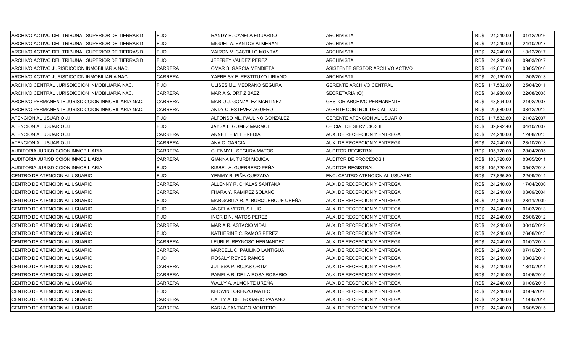| ARCHIVO ACTIVO DEL TRIBUNAL SUPERIOR DE TIERRAS D. | <b>FIJO</b>    | RANDY R. CANELA EDUARDO         | ARCHIVISTA                       | RD\$ 24,240.00    | 01/12/2016 |
|----------------------------------------------------|----------------|---------------------------------|----------------------------------|-------------------|------------|
| ARCHIVO ACTIVO DEL TRIBUNAL SUPERIOR DE TIERRAS D. | <b>FIJO</b>    | MIGUEL A. SANTOS ALMERAN        | ARCHIVISTA                       | RD\$<br>24,240.00 | 24/10/2017 |
| ARCHIVO ACTIVO DEL TRIBUNAL SUPERIOR DE TIERRAS D. | <b>FIJO</b>    | YAIRON V. CASTILLO MONTAS       | <b>ARCHIVISTA</b>                | 24,240.00<br>RD\$ | 13/12/2017 |
| ARCHIVO ACTIVO DEL TRIBUNAL SUPERIOR DE TIERRAS D. | <b>FIJO</b>    | JEFFREY VALDEZ PEREZ            | ARCHIVISTA                       | RD\$<br>24,240.00 | 09/03/2017 |
| ARCHIVO ACTIVO JURISDICCION INMOBILIARIA NAC.      | <b>CARRERA</b> | OMAR S. GARCIA MENDIETA         | ASISTENTE GESTOR ARCHIVO ACTIVO  | RD\$<br>42,657.60 | 03/05/2010 |
| ARCHIVO ACTIVO JURISDICCION INMOBILIARIA NAC.      | <b>CARRERA</b> | YAFREISY E. RESTITUYO LIRIANO   | ARCHIVISTA                       | RD\$<br>20,160.00 | 12/08/2013 |
| ARCHIVO CENTRAL JURISDICCION INMOBILIARIA NAC.     | <b>FIJO</b>    | ULISES ML. MEDRANO SEGURA       | <b>GERENTE ARCHIVO CENTRAL</b>   | RD\$ 117,532.80   | 25/04/2011 |
| ARCHIVO CENTRAL JURISDICCION INMOBILIARIA NAC.     | <b>CARRERA</b> | <b>MARIA S. ORTIZ BAEZ</b>      | SECRETARIA (O)                   | RD\$<br>34,980.00 | 22/08/2008 |
| ARCHIVO PERMANENTE JURISDICCION INMOBILIARIA NAC.  | <b>CARRERA</b> | MARIO J. GONZALEZ MARTINEZ      | <b>GESTOR ARCHIVO PERMANENTE</b> | RD\$<br>48,894.00 | 21/02/2007 |
| ARCHIVO PERMANENTE JURISDICCION INMOBILIARIA NAC.  | <b>CARRERA</b> | ANDY C. ESTEVEZ AGUERO          | AGENTE CONTROL DE CALIDAD        | RD\$<br>29,580.00 | 03/12/2012 |
| ATENCION AL USUARIO J.I.                           | <b>FIJO</b>    | ALFONSO ML. PAULINO GONZALEZ    | GERENTE ATENCION AL USUARIO      | RD\$ 117,532.80   | 21/02/2007 |
| ATENCION AL USUARIO J.I.                           | <b>FIJO</b>    | JAYSA L. GOMEZ MARMOL           | OFICIAL DE SERVICIOS II          | RD\$<br>39,992.40 | 04/10/2007 |
| ATENCION AL USUARIO J.I.                           | <b>CARRERA</b> | ANNETTE M. HEREDIA              | AUX. DE RECEPCION Y ENTREGA      | RD\$<br>24,240.00 | 12/08/2013 |
| ATENCION AL USUARIO J.I.                           | <b>CARRERA</b> | ANA C. GARCIA                   | AUX. DE RECEPCION Y ENTREGA      | RD\$<br>24,240.00 | 23/10/2013 |
| AUDITORIA JURISDICCION INMOBILIARIA                | <b>CARRERA</b> | <b>GLENNY L. SEGURA MATOS</b>   | AUDITOR REGISTRAL II             | RD\$ 105,720.00   | 28/04/2005 |
| AUDITORIA JURISDICCION INMOBILIARIA                | <b>CARRERA</b> | GIANNA M. TURBI MOJICA          | AUDITOR DE PROCESOS I            | RD\$ 105,720.00   | 03/05/2011 |
| AUDITORIA JURISDICCION INMOBILIARIA                | <b>FIJO</b>    | KISBEL A. GUERRERO PEÑA         | AUDITOR REGISTRAL I              | RD\$ 105,720.00   | 05/02/2018 |
| CENTRO DE ATENCION AL USUARIO                      | <b>FIJO</b>    | YEMMY R. PIÑA QUEZADA           | ENC. CENTRO ATENCION AL USUARIO  | RD\$<br>77,836.80 | 22/09/2014 |
| CENTRO DE ATENCION AL USUARIO                      | <b>CARRERA</b> | ALLENNY R. CHALAS SANTANA       | AUX. DE RECEPCION Y ENTREGA      | RD\$<br>24,240.00 | 17/04/2000 |
| CENTRO DE ATENCION AL USUARIO                      | <b>CARRERA</b> | FHARA Y. RAMIREZ SOLANO         | AUX. DE RECEPCION Y ENTREGA      | RD\$<br>24,240.00 | 03/09/2004 |
| CENTRO DE ATENCION AL USUARIO                      | <b>FIJO</b>    | MARGARITA R. ALBURQUERQUE UREÑA | AUX. DE RECEPCION Y ENTREGA      | RD\$<br>24,240.00 | 23/11/2009 |
| CENTRO DE ATENCION AL USUARIO                      | <b>FIJO</b>    | ANGELA VERTUS LUIS              | AUX. DE RECEPCION Y ENTREGA      | RD\$<br>24,240.00 | 01/03/2013 |
| CENTRO DE ATENCION AL USUARIO                      | <b>FIJO</b>    | INGRID N. MATOS PEREZ           | AUX. DE RECEPCION Y ENTREGA      | RD\$<br>24,240.00 | 25/06/2012 |
| CENTRO DE ATENCION AL USUARIO                      | <b>CARRERA</b> | MARIA R. ASTACIO VIDAL          | AUX. DE RECEPCION Y ENTREGA      | RD\$<br>24,240.00 | 30/10/2012 |
| CENTRO DE ATENCION AL USUARIO                      | <b>FIJO</b>    | KATHERINE C. RAMOS PEREZ        | AUX. DE RECEPCION Y ENTREGA      | RD\$<br>24,240.00 | 26/08/2013 |
| CENTRO DE ATENCION AL USUARIO                      | <b>CARRERA</b> | EURI R. REYNOSO HERNANDEZ       | AUX. DE RECEPCION Y ENTREGA      | RD\$<br>24,240.00 | 01/07/2013 |
| CENTRO DE ATENCION AL USUARIO                      | <b>CARRERA</b> | MARCELL C. PAULINO LANTIGUA     | AUX. DE RECEPCION Y ENTREGA      | RD\$<br>24,240.00 | 07/10/2013 |
| CENTRO DE ATENCION AL USUARIO                      | <b>FIJO</b>    | ROSALY REYES RAMOS              | AUX. DE RECEPCION Y ENTREGA      | RD\$<br>24,240.00 | 03/02/2014 |
| CENTRO DE ATENCION AL USUARIO                      | <b>CARRERA</b> | JULISSA P. ROJAS ORTIZ          | AUX. DE RECEPCION Y ENTREGA      | RD\$<br>24,240.00 | 13/10/2014 |
| CENTRO DE ATENCION AL USUARIO                      | <b>CARRERA</b> | PAMELA R. DE LA ROSA ROSARIO    | AUX. DE RECEPCION Y ENTREGA      | RD\$<br>24,240.00 | 01/06/2015 |
| CENTRO DE ATENCION AL USUARIO                      | <b>CARRERA</b> | WALLY A. ALMONTE UREÑA          | AUX. DE RECEPCION Y ENTREGA      | RD\$<br>24,240.00 | 01/06/2015 |
| CENTRO DE ATENCION AL USUARIO                      | <b>FIJO</b>    | KEDWIN LORENZO MATEO            | AUX. DE RECEPCION Y ENTREGA      | RD\$<br>24,240.00 | 01/04/2016 |
| CENTRO DE ATENCION AL USUARIO                      | <b>CARRERA</b> | CATTY A. DEL ROSARIO PAYANO     | AUX. DE RECEPCION Y ENTREGA      | RD\$<br>24,240.00 | 11/06/2014 |
| CENTRO DE ATENCION AL USUARIO                      | <b>CARRERA</b> | KARLA SANTIAGO MONTERO          | AUX. DE RECEPCION Y ENTREGA      | RD\$<br>24,240.00 | 05/05/2015 |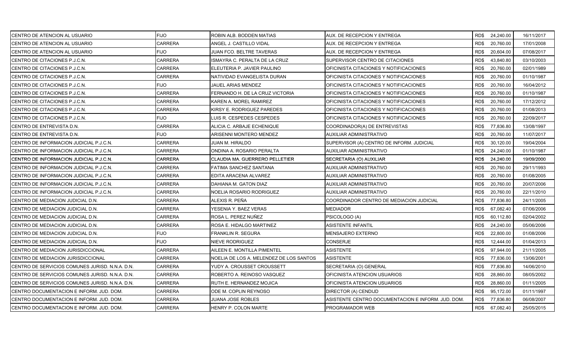| CENTRO DE ATENCION AL USUARIO                   | <b>FIJO</b>    | ROBIN ALB. BODDEN MATIAS                | AUX. DE RECEPCION Y ENTREGA                        |      | RD\$ 24,240.00 | 16/11/2017 |
|-------------------------------------------------|----------------|-----------------------------------------|----------------------------------------------------|------|----------------|------------|
| CENTRO DE ATENCION AL USUARIO                   | <b>CARRERA</b> | ANGEL J. CASTILLO VIDAL                 | AUX. DE RECEPCION Y ENTREGA                        | RD\$ | 20,760.00      | 17/01/2008 |
| CENTRO DE ATENCION AL USUARIO                   | <b>FIJO</b>    | JUAN FCO. BELTRE TAVERAS                | AUX. DE RECEPCION Y ENTREGA                        | RD\$ | 20,604.00      | 07/08/2017 |
| CENTRO DE CITACIONES P.J.C.N.                   | <b>CARRERA</b> | ISMAYRA C. PERALTA DE LA CRUZ           | SUPERVISOR CENTRO DE CITACIONES                    | RD\$ | 43,840.80      | 03/10/2003 |
| CENTRO DE CITACIONES P.J.C.N.                   | CARRERA        | ELEUTERIA P. JAVIER PAULINO             | OFICINISTA CITACIONES Y NOTIFICACIONES             | RD\$ | 20,760.00      | 02/01/1989 |
| CENTRO DE CITACIONES P.J.C.N.                   | CARRERA        | NATIVIDAD EVANGELISTA DURAN             | OFICINISTA CITACIONES Y NOTIFICACIONES             | RD\$ | 20,760.00      | 01/10/1987 |
| CENTRO DE CITACIONES P.J.C.N.                   | <b>FIJO</b>    | JAUEL ARIAS MENDEZ                      | OFICINISTA CITACIONES Y NOTIFICACIONES             | RD\$ | 20,760.00      | 16/04/2012 |
| CENTRO DE CITACIONES P.J.C.N.                   | <b>CARRERA</b> | FERNANDO H. DE LA CRUZ VICTORIA         | OFICINISTA CITACIONES Y NOTIFICACIONES             | RD\$ | 20,760.00      | 01/10/1987 |
| CENTRO DE CITACIONES P.J.C.N.                   | <b>CARRERA</b> | KAREN A. MOREL RAMIREZ                  | OFICINISTA CITACIONES Y NOTIFICACIONES             | RD\$ | 20,760.00      | 17/12/2012 |
| CENTRO DE CITACIONES P.J.C.N.                   | <b>CARRERA</b> | KIRSY E. RODRIGUEZ PAREDES              | OFICINISTA CITACIONES Y NOTIFICACIONES             | RD\$ | 20,760.00      | 01/08/2013 |
| CENTRO DE CITACIONES P.J.C.N.                   | <b>FIJO</b>    | UIS R. CESPEDES CESPEDES                | OFICINISTA CITACIONES Y NOTIFICACIONES             | RD\$ | 20,760.00      | 22/09/2017 |
| CENTRO DE ENTREVISTA D.N.                       | <b>CARRERA</b> | ALICIA C. ARBAJE ECHENIQUE              | COORDINADOR(A) DE ENTREVISTAS                      | RD\$ | 77,836.80      | 13/08/1997 |
| <b>CENTRO DE ENTREVISTA D.N.</b>                | <b>FIJO</b>    | ARISENNI MONTERO MENDEZ                 | AUXILIAR ADMINISTRATIVO                            | RD\$ | 20,760.00      | 11/07/2017 |
| CENTRO DE INFORMACION JUDICIAL P.J.C.N.         | <b>CARRERA</b> | JUAN M. HIRALDO                         | SUPERVISOR (A) CENTRO DE INFORM. JUDICIAL          | RD\$ | 30,120.00      | 19/04/2004 |
| CENTRO DE INFORMACION JUDICIAL P.J.C.N.         | <b>CARRERA</b> | ONDINA A. ROSARIO PERALTA               | AUXILIAR ADMINISTRATIVO                            | RD\$ | 24,240.00      | 01/10/1987 |
| CENTRO DE INFORMACION JUDICIAL P.J.C.N.         | <b>CARRERA</b> | CLAUDIA MA. GUERRERO PELLETIER          | SECRETARIA (O) AUXILIAR                            | RD\$ | 24,240.00      | 19/09/2000 |
| CENTRO DE INFORMACION JUDICIAL P.J.C.N.         | CARRERA        | FATIMA SANCHEZ SANTANA                  | AUXILIAR ADMINISTRATIVO                            | RD\$ | 20,760.00      | 29/11/1993 |
| CENTRO DE INFORMACION JUDICIAL P.J.C.N.         | <b>CARRERA</b> | EDITA ARACENA ALVAREZ                   | AUXILIAR ADMINISTRATIVO                            | RD\$ | 20,760.00      | 01/08/2005 |
| CENTRO DE INFORMACION JUDICIAL P.J.C.N.         | CARRERA        | DAHIANA M. GATON DIAZ                   | AUXILIAR ADMINISTRATIVO                            | RD\$ | 20,760.00      | 20/07/2006 |
| CENTRO DE INFORMACION JUDICIAL P.J.C.N.         | <b>CARRERA</b> | NOELIA ROSARIO RODRIGUEZ                | <b>AUXILIAR ADMINISTRATIVO</b>                     | RD\$ | 20,760.00      | 22/11/2010 |
| CENTRO DE MEDIACION JUDICIAL D.N.               | CARRERA        | ALEXIS R. PEÑA                          | COORDINADOR CENTRO DE MEDIACION JUDICIAL           | RD\$ | 77,836.80      | 24/11/2005 |
| CENTRO DE MEDIACION JUDICIAL D.N.               | CARRERA        | YESENIA Y. BAEZ VERAS                   | <b>MEDIADOR</b>                                    | RD\$ | 67,082.40      | 07/06/2006 |
| CENTRO DE MEDIACION JUDICIAL D.N.               | CARRERA        | ROSA L. PEREZ NUÑEZ                     | PSICOLOGO (A)                                      | RD\$ | 60,112.80      | 02/04/2002 |
| CENTRO DE MEDIACION JUDICIAL D.N.               | <b>CARRERA</b> | ROSA E. HIDALGO MARTINEZ                | ASISTENTE INFANTIL                                 | RD\$ | 24,240.00      | 05/06/2006 |
| CENTRO DE MEDIACION JUDICIAL D.N.               | <b>FIJO</b>    | FRANKLIN R. SEGURA                      | <b>MENSAJERO EXTERNO</b>                           | RD\$ | 22,800.00      | 01/08/2006 |
| CENTRO DE MEDIACION JUDICIAL D.N.               | <b>FIJO</b>    | NIEVE RODRIGUEZ                         | <b>CONSERJE</b>                                    | RD\$ | 12,444.00      | 01/04/2013 |
| CENTRO DE MEDIACION JURISDICCIONAL              | CARRERA        | AILEEN E. MONTILLA PIMENTEL             | ASISTENTE                                          | RD\$ | 97,944.00      | 21/11/2005 |
| CENTRO DE MEDIACION JURISDICCIONAL              | CARRERA        | NOELIA DE LOS A. MELENDEZ DE LOS SANTOS | <b>ASISTENTE</b>                                   | RD\$ | 77,836.00      | 13/06/2001 |
| CENTRO DE SERVICIOS COMUNES JURISD. N.N.A. D.N. | <b>CARRERA</b> | YUDY A. CROUSSET CROUSSETT              | SECRETARIA (O) GENERAL                             | RD\$ | 77,836.80      | 14/06/2010 |
| CENTRO DE SERVICIOS COMUNES JURISD. N.N.A. D.N. | <b>CARRERA</b> | ROBERTO A. REINOSO VASQUEZ              | OFICINISTA ATENCION USUARIOS                       | RD\$ | 28,860.00      | 08/05/2002 |
| CENTRO DE SERVICIOS COMUNES JURISD. N.N.A. D.N. | <b>CARRERA</b> | RUTH E. HERNANDEZ MOJICA                | OFICINISTA ATENCION USUARIOS                       | RD\$ | 28,860.00      | 01/11/2005 |
| CENTRO DOCUMENTACION E INFORM. JUD. DOM.        | CARRERA        | ODE M. COPLIN REYNOSO                   | DIRECTOR (A) CENDIJD                               | RD\$ | 95,172.00      | 01/11/1997 |
| CENTRO DOCUMENTACION E INFORM. JUD. DOM.        | CARRERA        | JUANA JOSE ROBLES                       | ASISTENTE CENTRO DOCUMENTACION E INFORM. JUD. DOM. | RD\$ | 77,836.80      | 06/08/2007 |
| CENTRO DOCUMENTACION E INFORM. JUD. DOM.        | <b>CARRERA</b> | HENRY P. COLON MARTE                    | PROGRAMADOR WEB                                    | RD\$ | 67,082.40      | 25/05/2015 |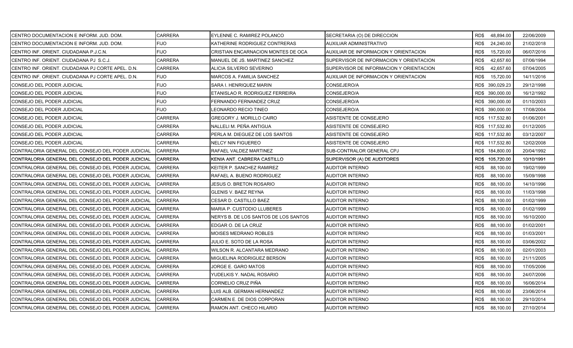| CENTRO DOCUMENTACION E INFORM. JUD. DOM.           | CARRERA        | EYLENNE C. RAMIREZ POLANCO           | SECRETARIA (O) DE DIRECCION             | RD\$48,894.00     | 22/06/2009 |
|----------------------------------------------------|----------------|--------------------------------------|-----------------------------------------|-------------------|------------|
| CENTRO DOCUMENTACION E INFORM. JUD. DOM.           | <b>FIJO</b>    | KATHERINE RODRIGUEZ CONTRERAS        | AUXILIAR ADMINISTRATIVO                 | RD\$<br>24,240.00 | 21/02/2018 |
| CENTRO INF. ORIENT. CIUDADANA P.J.C.N.             | <b>FIJO</b>    | CRISTIAN ENCARNACION MONTES DE OCA   | AUXILIAR DE INFORMACION Y ORIENTACION   | RD\$<br>15,720.00 | 06/07/2016 |
| CENTRO INF. ORIENT. CIUDADANA PJ S.C.J.            | <b>CARRERA</b> | MANUEL DE JS. MARTINEZ SANCHEZ       | SUPERVISOR DE INFORMACION Y ORIENTACION | RD\$<br>42,657.60 | 07/06/1994 |
| CENTRO INF. ORIENT. CIUDADANA PJ CORTE APEL. D.N.  | CARRERA        | ALICIA SILVERIO SEVERINO             | SUPERVISOR DE INFORMACION Y ORIENTACION | RD\$<br>42,657.60 | 07/04/2005 |
| CENTRO INF. ORIENT. CIUDADANA PJ CORTE APEL. D.N.  | <b>FIJO</b>    | MARCOS A. FAMILIA SANCHEZ            | AUXILIAR DE INFORMACION Y ORIENTACION   | 15,720.00<br>RD\$ | 14/11/2016 |
| CONSEJO DEL PODER JUDICIAL                         | <b>FIJO</b>    | SARA I. HENRIQUEZ MARIN              | CONSEJERO/A                             | RD\$ 390,029.23   | 29/12/1998 |
| <b>CONSEJO DEL PODER JUDICIAL</b>                  | <b>FIJO</b>    | ETANISLAO R. RODRIGUEZ FERREIRA      | CONSEJERO/A                             | RD\$ 390,000.00   | 16/12/1992 |
| CONSEJO DEL PODER JUDICIAL                         | <b>FIJO</b>    | FERNANDO FERNANDEZ CRUZ              | CONSEJERO/A                             | RD\$ 390,000.00   | 01/10/2003 |
| CONSEJO DEL PODER JUDICIAL                         | <b>FIJO</b>    | LEONARDO RECIO TINEO                 | CONSEJERO/A                             | RD\$ 390,000.00   | 17/08/2004 |
| CONSEJO DEL PODER JUDICIAL                         | CARRERA        | GREGORY J. MORILLO CAIRO             | ASISTENTE DE CONSEJERO                  | RD\$ 117,532.80   | 01/06/2001 |
| CONSEJO DEL PODER JUDICIAL                         | CARRERA        | NALLELI M. PEÑA ANTIGUA              | ASISTENTE DE CONSEJERO                  | RD\$ 117,532.80   | 01/12/2005 |
| CONSEJO DEL PODER JUDICIAL                         | CARRERA        | PERLA M. DIEGUEZ DE LOS SANTOS       | ASISTENTE DE CONSEJERO                  | RD\$ 117,532.80   | 03/12/2007 |
| CONSEJO DEL PODER JUDICIAL                         | CARRERA        | NELCY NIN FIGUEREO                   | ASISTENTE DE CONSEJERO                  | RD\$ 117,532.80   | 12/02/2008 |
| CONTRALORIA GENERAL DEL CONSEJO DEL PODER JUDICIAL | <b>CARRERA</b> | RAFAEL VALDEZ MARTINEZ               | SUB-CONTRALOR GENERAL CPJ               | RD\$ 184,800.00   | 20/04/1992 |
| CONTRALORIA GENERAL DEL CONSEJO DEL PODER JUDICIAL | <b>CARRERA</b> | KENIA ANT. CABRERA CASTILLO          | SUPERVISOR (A) DE AUDITORES             | RD\$ 105,720.00   | 10/10/1991 |
| CONTRALORIA GENERAL DEL CONSEJO DEL PODER JUDICIAL | CARRERA        | KEITER P. SANCHEZ RAMIREZ            | AUDITOR INTERNO                         | RD\$<br>88,100.00 | 19/02/1999 |
| CONTRALORIA GENERAL DEL CONSEJO DEL PODER JUDICIAL | <b>CARRERA</b> | RAFAEL A. BUENO RODRIGUEZ            | AUDITOR INTERNO                         | RD\$<br>88,100.00 | 15/09/1998 |
| CONTRALORIA GENERAL DEL CONSEJO DEL PODER JUDICIAL | <b>CARRERA</b> | JESUS O. BRETON ROSARIO              | AUDITOR INTERNO                         | RD\$<br>88,100.00 | 14/10/1996 |
| CONTRALORIA GENERAL DEL CONSEJO DEL PODER JUDICIAL | <b>CARRERA</b> | <b>GLENIS V. BAEZ REYNA</b>          | AUDITOR INTERNO                         | RD\$<br>88,100.00 | 11/03/1998 |
| CONTRALORIA GENERAL DEL CONSEJO DEL PODER JUDICIAL | <b>CARRERA</b> | CESAR D. CASTILLO BAEZ               | AUDITOR INTERNO                         | RD\$<br>88,100.00 | 01/02/1999 |
| CONTRALORIA GENERAL DEL CONSEJO DEL PODER JUDICIAL | CARRERA        | MARIA P. CUSTODIO LLUBERES           | AUDITOR INTERNO                         | RD\$<br>88,100.00 | 01/02/1999 |
| CONTRALORIA GENERAL DEL CONSEJO DEL PODER JUDICIAL | CARRERA        | NERYS B. DE LOS SANTOS DE LOS SANTOS | AUDITOR INTERNO                         | RD\$<br>88,100.00 | 16/10/2000 |
| CONTRALORIA GENERAL DEL CONSEJO DEL PODER JUDICIAL | <b>CARRERA</b> | EDGAR O. DE LA CRUZ                  | <b>AUDITOR INTERNO</b>                  | RD\$<br>88,100.00 | 01/02/2001 |
| CONTRALORIA GENERAL DEL CONSEJO DEL PODER JUDICIAL | <b>CARRERA</b> | <b>MOISES MEDRANO ROBLES</b>         | AUDITOR INTERNO                         | RD\$<br>88,100.00 | 01/03/2001 |
| CONTRALORIA GENERAL DEL CONSEJO DEL PODER JUDICIAL | <b>CARRERA</b> | JULIO E. SOTO DE LA ROSA             | AUDITOR INTERNO                         | RD\$<br>88,100.00 | 03/06/2002 |
| CONTRALORIA GENERAL DEL CONSEJO DEL PODER JUDICIAL | <b>CARRERA</b> | WILSON R. ALCANTARA MEDRANO          | AUDITOR INTERNO                         | 88,100.00<br>RD\$ | 02/01/2003 |
| CONTRALORIA GENERAL DEL CONSEJO DEL PODER JUDICIAL | <b>CARRERA</b> | MIGUELINA RODRIGUEZ BERSON           | AUDITOR INTERNO                         | RD\$<br>88,100.00 | 21/11/2005 |
| CONTRALORIA GENERAL DEL CONSEJO DEL PODER JUDICIAL | <b>CARRERA</b> | JORGE E. GARO MATOS                  | AUDITOR INTERNO                         | RD\$<br>88,100.00 | 17/05/2006 |
| CONTRALORIA GENERAL DEL CONSEJO DEL PODER JUDICIAL | CARRERA        | YUDELKIS Y. NADAL ROSARIO            | AUDITOR INTERNO                         | RD\$<br>88,100.00 | 24/07/2006 |
| CONTRALORIA GENERAL DEL CONSEJO DEL PODER JUDICIAL | <b>CARRERA</b> | CORNELIO CRUZ PIÑA                   | AUDITOR INTERNO                         | RD\$<br>88,100.00 | 16/06/2014 |
| CONTRALORIA GENERAL DEL CONSEJO DEL PODER JUDICIAL | <b>CARRERA</b> | LUIS ALB. GERMAN HERNANDEZ           | AUDITOR INTERNO                         | RD\$<br>88,100.00 | 23/06/2014 |
| CONTRALORIA GENERAL DEL CONSEJO DEL PODER JUDICIAL | CARRERA        | CARMEN E. DE DIOS CORPORAN           | AUDITOR INTERNO                         | RD\$<br>88,100.00 | 29/10/2014 |
| CONTRALORIA GENERAL DEL CONSEJO DEL PODER JUDICIAL | <b>CARRERA</b> | RAMON ANT. CHECO HILARIO             | <b>AUDITOR INTERNO</b>                  | RD\$<br>88,100.00 | 27/10/2014 |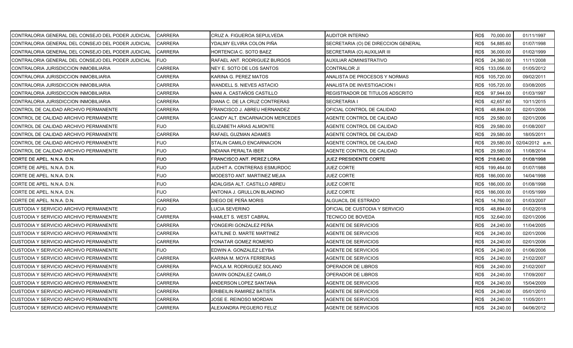| CONTRALORIA GENERAL DEL CONSEJO DEL PODER JUDICIAL | <b>CARRERA</b> | CRUZ A. FIGUEROA SEPULVEDA      | <b>AUDITOR INTERNO</b>              | RD\$ 70,000.00    | 01/11/1997      |
|----------------------------------------------------|----------------|---------------------------------|-------------------------------------|-------------------|-----------------|
| CONTRALORIA GENERAL DEL CONSEJO DEL PODER JUDICIAL | CARRERA        | YDALMY ELVIRA COLON PIÑA        | SECRETARIA (O) DE DIRECCION GENERAL | RD\$<br>54,885.60 | 01/07/1998      |
| CONTRALORIA GENERAL DEL CONSEJO DEL PODER JUDICIAL | <b>CARRERA</b> | HORTENCIA C. SOTO BAEZ          | SECRETARIA (O) AUXILIAR III         | RD\$<br>36,000.00 | 01/02/1999      |
| CONTRALORIA GENERAL DEL CONSEJO DEL PODER JUDICIAL | <b>FIJO</b>    | RAFAEL ANT. RODRIGUEZ BURGOS    | AUXILIAR ADMINISTRATIVO             | RD\$<br>24,360.00 | 11/11/2008      |
| CONTRALORIA JURISDICCION INMOBILIARIA              | CARRERA        | NEY E. SOTO DE LOS SANTOS       | CONTRALOR JI                        | RD\$ 133,056.00   | 01/05/2012      |
| CONTRALORIA JURISDICCION INMOBILIARIA              | CARRERA        | KARINA G. PEREZ MATOS           | ANALISTA DE PROCESOS Y NORMAS       | RD\$ 105,720.00   | 09/02/2011      |
| CONTRALORIA JURISDICCION INMOBILIARIA              | <b>CARRERA</b> | WANDELL S. NIEVES ASTACIO       | ANALISTA DE INVESTIGACION I         | RD\$ 105,720.00   | 03/08/2005      |
| CONTRALORIA JURISDICCION INMOBILIARIA              | CARRERA        | NANI A. CASTAÑOS CASTILLO       | REGISTRADOR DE TITULOS ADSCRITO     | RD\$<br>97,944.00 | 01/03/1997      |
| CONTRALORIA JURISDICCION INMOBILIARIA              | <b>CARRERA</b> | DIANA C. DE LA CRUZ CONTRERAS   | <b>SECRETARIA I</b>                 | RD\$<br>42,657.60 | 10/11/2015      |
| CONTROL DE CALIDAD ARCHIVO PERMANENTE              | CARRERA        | FRANCISCO J. ABREU HERNANDEZ    | OFICIAL CONTROL DE CALIDAD          | RD\$<br>48,894.00 | 02/01/2006      |
| CONTROL DE CALIDAD ARCHIVO PERMANENTE              | CARRERA        | CANDY ALT. ENCARNACION MERCEDES | AGENTE CONTROL DE CALIDAD           | RD\$<br>29,580.00 | 02/01/2006      |
| CONTROL DE CALIDAD ARCHIVO PERMANENTE              | <b>FIJO</b>    | ELIZABETH ARIAS ALMONTE         | AGENTE CONTROL DE CALIDAD           | RD\$<br>29,580.00 | 01/08/2007      |
| CONTROL DE CALIDAD ARCHIVO PERMANENTE              | <b>CARRERA</b> | RAFAEL GUZMAN ADAMES            | AGENTE CONTROL DE CALIDAD           | 29,580.00<br>RD\$ | 18/05/2011      |
| CONTROL DE CALIDAD ARCHIVO PERMANENTE              | <b>FIJO</b>    | STALIN CAMILO ENCARNACION       | AGENTE CONTROL DE CALIDAD           | RD\$<br>29,580.00 | 02/04/2012 a.m. |
| CONTROL DE CALIDAD ARCHIVO PERMANENTE              | <b>FIJO</b>    | <b>INDIANA PERALTA IBER</b>     | AGENTE CONTROL DE CALIDAD           | RD\$<br>29,580.00 | 11/08/2014      |
| CORTE DE APEL. N.N.A. D.N.                         | <b>FIJO</b>    | FRANCISCO ANT. PEREZ LORA       | <b>JUEZ PRESIDENTE CORTE</b>        | RD\$ 218,640.00   | 01/08/1998      |
| CORTE DE APEL. N.N.A. D.N.                         | <b>FIJO</b>    | JUDHIT A. CONTRERAS ESMURDOC    | <b>JUEZ CORTE</b>                   | RD\$ 199,464.00   | 01/07/1988      |
| CORTE DE APEL. N.N.A. D.N.                         | <b>FIJO</b>    | MODESTO ANT. MARTINEZ MEJIA     | <b>JUEZ CORTE</b>                   | RD\$ 186,000.00   | 14/04/1998      |
| CORTE DE APEL. N.N.A. D.N.                         | <b>FIJO</b>    | ADALGISA ALT. CASTILLO ABREU    | JUEZ CORTE                          | RD\$ 186,000.00   | 01/08/1998      |
| CORTE DE APEL. N.N.A. D.N.                         | <b>FIJO</b>    | ANTONIA J. GRULLON BLANDINO     | JUEZ CORTE                          | RD\$ 186,000.00   | 01/05/1999      |
| CORTE DE APEL, N.N.A. D.N.                         | CARRERA        | DIEGO DE PEÑA MORIS             | ALGUACIL DE ESTRADO                 | RD\$<br>14,760.00 | 01/03/2007      |
| CUSTODIA Y SERVICIO ARCHIVO PERMANENTE             | <b>FIJO</b>    | LUCIA SEVERINO                  | OFICIAL DE CUSTODIA Y SERVICIO      | RD\$<br>48,894.00 | 01/02/2018      |
| CUSTODIA Y SERVICIO ARCHIVO PERMANENTE             | <b>CARRERA</b> | HAMLET S. WEST CABRAL           | TECNICO DE BOVEDA                   | RD\$<br>32,640.00 | 02/01/2006      |
| CUSTODIA Y SERVICIO ARCHIVO PERMANENTE             | CARRERA        | YONGEIRI GONZALEZ PEÑA          | <b>AGENTE DE SERVICIOS</b>          | RD\$<br>24,240.00 | 11/04/2005      |
| CUSTODIA Y SERVICIO ARCHIVO PERMANENTE             | <b>CARRERA</b> | KATILINE D. MARTE MARTINEZ      | AGENTE DE SERVICIOS                 | RD\$<br>24,240.00 | 02/01/2006      |
| CUSTODIA Y SERVICIO ARCHIVO PERMANENTE             | CARRERA        | YONATAR GOMEZ ROMERO            | AGENTE DE SERVICIOS                 | RD\$<br>24,240.00 | 02/01/2006      |
| CUSTODIA Y SERVICIO ARCHIVO PERMANENTE             | FIJO           | EDWIN A. GONZALEZ LEYBA         | AGENTE DE SERVICIOS                 | RD\$<br>24,240.00 | 01/06/2006      |
| CUSTODIA Y SERVICIO ARCHIVO PERMANENTE             | <b>CARRERA</b> | KARINA M. MOYA FERRERAS         | AGENTE DE SERVICIOS                 | RD\$<br>24,240.00 | 21/02/2007      |
| CUSTODIA Y SERVICIO ARCHIVO PERMANENTE             | CARRERA        | PAOLA M. RODRIGUEZ SOLANO       | OPERADOR DE LIBROS                  | RD\$<br>24,240.00 | 21/02/2007      |
| CUSTODIA Y SERVICIO ARCHIVO PERMANENTE             | CARRERA        | DAWIN GONZALEZ CAMILO           | OPERADOR DE LIBROS                  | RD\$<br>24,240.00 | 17/09/2007      |
| CUSTODIA Y SERVICIO ARCHIVO PERMANENTE             | <b>CARRERA</b> | ANDERSON LOPEZ SANTANA          | AGENTE DE SERVICIOS                 | RD\$<br>24,240.00 | 15/04/2009      |
| CUSTODIA Y SERVICIO ARCHIVO PERMANENTE             | CARRERA        | ERIBEILIN RAMIREZ BATISTA       | <b>AGENTE DE SERVICIOS</b>          | RD\$<br>24,240.00 | 05/01/2010      |
| CUSTODIA Y SERVICIO ARCHIVO PERMANENTE             | CARRERA        | JOSE E. REINOSO MORDAN          | AGENTE DE SERVICIOS                 | RD\$<br>24,240.00 | 11/05/2011      |
| CUSTODIA Y SERVICIO ARCHIVO PERMANENTE             | <b>CARRERA</b> | ALEXANDRA PEGUERO FELIZ         | <b>AGENTE DE SERVICIOS</b>          | RD\$ 24,240.00    | 04/06/2012      |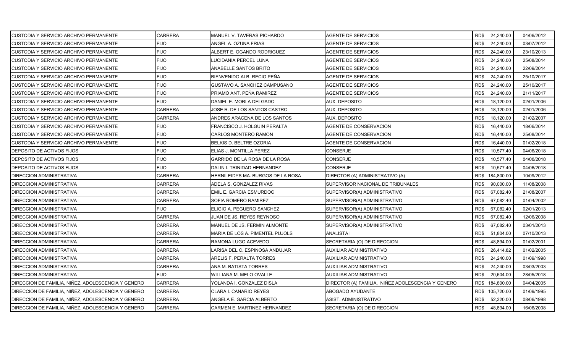| CUSTODIA Y SERVICIO ARCHIVO PERMANENTE             | CARRERA        | MANUEL V. TAVERAS PICHARDO        | <b>AGENTE DE SERVICIOS</b>                        | RD\$ 24,240.00    | 04/06/2012 |
|----------------------------------------------------|----------------|-----------------------------------|---------------------------------------------------|-------------------|------------|
| CUSTODIA Y SERVICIO ARCHIVO PERMANENTE             | <b>FIJO</b>    | ANGEL A. OZUNA FRIAS              | <b>AGENTE DE SERVICIOS</b>                        | RD\$<br>24,240.00 | 03/07/2012 |
| CUSTODIA Y SERVICIO ARCHIVO PERMANENTE             | <b>FIJO</b>    | ALBERT E. OGANDO RODRIGUEZ        | <b>AGENTE DE SERVICIOS</b>                        | RD\$<br>24,240.00 | 23/10/2013 |
| CUSTODIA Y SERVICIO ARCHIVO PERMANENTE             | <b>FIJO</b>    | LUCIDANIA PERCEL LUNA             | AGENTE DE SERVICIOS                               | RD\$<br>24,240.00 | 25/08/2014 |
| CUSTODIA Y SERVICIO ARCHIVO PERMANENTE             | <b>FIJO</b>    | ANABELLE SANTOS BRITO             | AGENTE DE SERVICIOS                               | RD\$<br>24,240.00 | 22/09/2014 |
| CUSTODIA Y SERVICIO ARCHIVO PERMANENTE             | <b>FIJO</b>    | BIENVENIDO ALB. RECIO PEÑA        | <b>AGENTE DE SERVICIOS</b>                        | RD\$<br>24,240.00 | 25/10/2017 |
| CUSTODIA Y SERVICIO ARCHIVO PERMANENTE             | <b>FIJO</b>    | GUSTAVO A. SANCHEZ CAMPUSANO      | AGENTE DE SERVICIOS                               | RD\$<br>24,240.00 | 25/10/2017 |
| CUSTODIA Y SERVICIO ARCHIVO PERMANENTE             | <b>FIJO</b>    | PRIAMO ANT. PEÑA RAMIREZ          | <b>AGENTE DE SERVICIOS</b>                        | 24,240.00<br>RD\$ | 21/11/2017 |
| CUSTODIA Y SERVICIO ARCHIVO PERMANENTE             | <b>FIJO</b>    | DANIEL E. MORLA DELGADO           | AUX. DEPOSITO                                     | RD\$<br>18,120.00 | 02/01/2006 |
| CUSTODIA Y SERVICIO ARCHIVO PERMANENTE             | <b>CARRERA</b> | JOSE R. DE LOS SANTOS CASTRO      | AUX. DEPOSITO                                     | RD\$<br>18,120.00 | 02/01/2006 |
| CUSTODIA Y SERVICIO ARCHIVO PERMANENTE             | <b>CARRERA</b> | ANDRES ARACENA DE LOS SANTOS      | AUX. DEPOSITO                                     | RD\$<br>18,120.00 | 21/02/2007 |
| CUSTODIA Y SERVICIO ARCHIVO PERMANENTE             | <b>FIJO</b>    | FRANCISCO J. HOLGUIN PERALTA      | AGENTE DE CONSERVACION                            | RD\$<br>16,440.00 | 18/06/2014 |
| CUSTODIA Y SERVICIO ARCHIVO PERMANENTE             | <b>FIJO</b>    | <b>CARLOS MONTERO RAMON</b>       | AGENTE DE CONSERVACION                            | RD\$<br>16,440.00 | 25/08/2014 |
| CUSTODIA Y SERVICIO ARCHIVO PERMANENTE             | <b>FIJO</b>    | BELKIS D. BELTRE OZORIA           | <b>AGENTE DE CONSERVACION</b>                     | RD\$<br>16,440.00 | 01/02/2018 |
| DEPOSITO DE ACTIVOS FIJOS                          | <b>FIJO</b>    | ELIAS J. MONTILLA PEREZ           | CONSERJE                                          | RD\$<br>10,577.40 | 04/06/2018 |
| DEPOSITO DE ACTIVOS FIJOS                          | <b>FIJO</b>    | GARRIDO DE LA ROSA DE LA ROSA     | CONSERJE                                          | 10,577.40<br>RD\$ | 04/06/2018 |
| <b>DEPOSITO DE ACTIVOS FIJOS</b>                   | <b>FIJO</b>    | DALIN I. TRINIDAD HERNANDEZ       | <b>CONSERJE</b>                                   | RD\$<br>10,577.40 | 04/06/2018 |
| <b>DIRECCION ADMINISTRATIVA</b>                    | <b>CARRERA</b> | HERNILEIDYS MA. BURGOS DE LA ROSA | DIRECTOR (A) ADMINISTRATIVO (A)                   | RD\$ 184,800.00   | 10/09/2012 |
| <b>DIRECCION ADMINISTRATIVA</b>                    | <b>CARRERA</b> | ADELA S. GONZALEZ RIVAS           | SUPERVISOR NACIONAL DE TRIBUNALES                 | RD\$<br>90,000.00 | 11/08/2008 |
| <b>DIRECCION ADMINISTRATIVA</b>                    | <b>CARRERA</b> | EMIL E. GARCIA ESMURDOC           | SUPERVISOR(A) ADMINISTRATIVO                      | RD\$<br>67,082.40 | 21/08/2007 |
| <b>DIRECCION ADMINISTRATIVA</b>                    | <b>CARRERA</b> | SOFIA ROMERO RAMIREZ              | SUPERVISOR(A) ADMINISTRATIVO                      | 67,082.40<br>RD\$ | 01/04/2002 |
| <b>DIRECCION ADMINISTRATIVA</b>                    | <b>FIJO</b>    | ELIGIO A. PEGUERO SANCHEZ         | SUPERVISOR(A) ADMINISTRATIVO                      | RD\$<br>67,082.40 | 02/01/2013 |
| <b>DIRECCION ADMINISTRATIVA</b>                    | <b>CARRERA</b> | JUAN DE JS. REYES REYNOSO         | SUPERVISOR(A) ADMINISTRATIVO                      | RD\$<br>67,082.40 | 12/06/2008 |
| <b>DIRECCION ADMINISTRATIVA</b>                    | <b>CARRERA</b> | MANUEL DE JS. FERMIN ALMONTE      | SUPERVISOR(A) ADMINISTRATIVO                      | 67,082.40<br>RD\$ | 03/01/2013 |
| <b>DIRECCION ADMINISTRATIVA</b>                    | <b>CARRERA</b> | MARIA DE LOS A. PIMENTEL PUJOLS   | ANALISTA I                                        | RD\$<br>51,804.00 | 07/10/2013 |
| <b>DIRECCION ADMINISTRATIVA</b>                    | <b>CARRERA</b> | RAMONA LUGO ACEVEDO               | SECRETARIA (O) DE DIRECCION                       | 48,894.00<br>RD\$ | 01/02/2001 |
| <b>DIRECCION ADMINISTRATIVA</b>                    | CARRERA        | LARISA DEL C. ESPINOSA ANDUJAR    | AUXILIAR ADMINISTRATIVO                           | RD\$<br>26,414.82 | 01/02/2005 |
| <b>DIRECCION ADMINISTRATIVA</b>                    | <b>CARRERA</b> | ARELIS F. PERALTA TORRES          | AUXILIAR ADMINISTRATIVO                           | RD\$<br>24,240.00 | 01/09/1998 |
| <b>DIRECCION ADMINISTRATIVA</b>                    | <b>CARRERA</b> | ANA M. BATISTA TORRES             | AUXILIAR ADMINISTRATIVO                           | RD\$<br>24,240.00 | 03/03/2003 |
| <b>DIRECCION ADMINISTRATIVA</b>                    | <b>FIJO</b>    | WILLIANA M. MELO OVALLE           | AUXILIAR ADMINISTRATIVO                           | RD\$<br>20,604.00 | 28/05/2018 |
| DIRECCION DE FAMILIA, NIÑEZ, ADOLESCENCIA Y GENERO | <b>CARRERA</b> | YOLANDA I. GONZALEZ DISLA         | DIRECTOR (A) FAMILIA, NIÑEZ ADOLESCENCIA Y GENERO | RD\$ 184,800.00   | 04/04/2005 |
| DIRECCION DE FAMILIA, NIÑEZ, ADOLESCENCIA Y GENERO | <b>CARRERA</b> | CLARA I. CANARIO REYES            | ABOGADO AYUDANTE                                  | RD\$ 105,720.00   | 01/09/1995 |
| DIRECCION DE FAMILIA, NIÑEZ, ADOLESCENCIA Y GENERO | <b>CARRERA</b> | ANGELA E. GARCIA ALBERTO          | ASIST. ADMINISTRATIVO                             | RD\$<br>52,320.00 | 08/06/1998 |
| DIRECCION DE FAMILIA, NIÑEZ, ADOLESCENCIA Y GENERO | <b>CARRERA</b> | CARMEN E. MARTINEZ HERNANDEZ      | SECRETARIA (O) DE DIRECCION                       | 48,894.00<br>RD\$ | 16/06/2008 |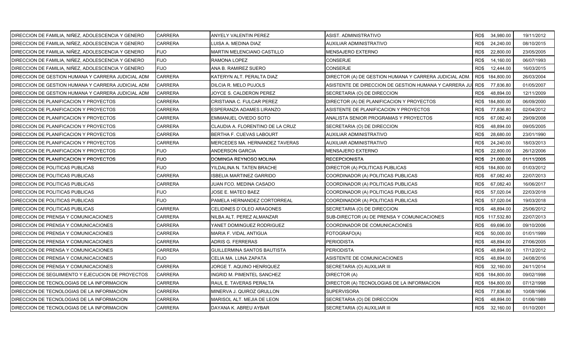| DIRECCION DE FAMILIA, NIÑEZ, ADOLESCENCIA Y GENERO | <b>CARRERA</b> | ANYELY VALENTIN PEREZ             | ASIST. ADMINISTRATIVO                                 | RD\$ 34,980.00    | 19/11/2012 |
|----------------------------------------------------|----------------|-----------------------------------|-------------------------------------------------------|-------------------|------------|
| DIRECCION DE FAMILIA, NIÑEZ, ADOLESCENCIA Y GENERO | CARRERA        | LUISA A. MEDINA DIAZ              | AUXILIAR ADMINISTRATIVO                               | RD\$<br>24,240.00 | 08/10/2015 |
| DIRECCION DE FAMILIA, NIÑEZ, ADOLESCENCIA Y GENERO | <b>FIJO</b>    | MARTIN MELENCIANO CASTILLO        | <b>MENSAJERO EXTERNO</b>                              | RD\$<br>22,800.00 | 23/05/2005 |
| DIRECCION DE FAMILIA, NIÑEZ, ADOLESCENCIA Y GENERO | <b>FIJO</b>    | RAMONA LOPEZ                      | CONSERJE                                              | RD\$<br>14,160.00 | 06/07/1993 |
| DIRECCION DE FAMILIA, NIÑEZ, ADOLESCENCIA Y GENERO | <b>FIJO</b>    | ANA B. RAMIREZ SUERO              | <b>CONSERJE</b>                                       | RD\$<br>12,444.00 | 16/03/2015 |
| DIRECCION DE GESTION HUMANA Y CARRERA JUDICIAL ADM | <b>CARRERA</b> | KATERYN ALT. PERALTA DIAZ         | DIRECTOR (A) DE GESTION HUMANA Y CARRERA JUDICIAL ADM | RD\$ 184,800.00   | 26/03/2004 |
| DIRECCION DE GESTION HUMANA Y CARRERA JUDICIAL ADM | <b>CARRERA</b> | DILCIA R. MELO PUJOLS             | ASISTENTE DE DIRECCION DE GESTION HUMANA Y CARRERA JI | RD\$<br>77,836.80 | 01/05/2007 |
| DIRECCION DE GESTION HUMANA Y CARRERA JUDICIAL ADM | <b>CARRERA</b> | JOYCE S. CALDERON PEREZ           | SECRETARIA (O) DE DIRECCION                           | RD\$<br>48,894.00 | 12/11/2009 |
| DIRECCION DE PLANIFICACION Y PROYECTOS             | CARRERA        | CRISTIANA C. FULCAR PEREZ         | DIRECTOR (A) DE PLANIFICACION Y PROYECTOS             | RD\$ 184,800.00   | 06/09/2000 |
| DIRECCION DE PLANIFICACION Y PROYECTOS             | CARRERA        | ESPERANZA ADAMES LIRANZO          | ASISTENTE DE PLANIFICACION Y PROYECTOS                | RD\$<br>77,836.80 | 02/04/2012 |
| DIRECCION DE PLANIFICACION Y PROYECTOS             | CARRERA        | EMMANUEL OVIEDO SOTO              | ANALISTA SENIOR PROGRAMAS Y PROYECTOS                 | RD\$<br>67,082.40 | 29/09/2008 |
| DIRECCION DE PLANIFICACION Y PROYECTOS             | CARRERA        | CLAUDIA A. FLORENTINO DE LA CRUZ  | SECRETARIA (O) DE DIRECCION                           | RD\$<br>48,894.00 | 09/05/2005 |
| DIRECCION DE PLANIFICACION Y PROYECTOS             | CARRERA        | <b>BERTHA F. CUEVAS LABOURT</b>   | AUXILIAR ADMINISTRATIVO                               | RD\$<br>28,680.00 | 23/01/1990 |
| DIRECCION DE PLANIFICACION Y PROYECTOS             | <b>CARRERA</b> | MERCEDES MA. HERNANDEZ TAVERAS    | AUXILIAR ADMINISTRATIVO                               | RD\$<br>24,240.00 | 18/03/2013 |
| DIRECCION DE PLANIFICACION Y PROYECTOS             | <b>FIJO</b>    | ANDERSON GARCIA                   | MENSAJERO EXTERNO                                     | RD\$<br>22,800.00 | 26/12/2006 |
| DIRECCION DE PLANIFICACION Y PROYECTOS             | <b>FIJO</b>    | DOMINGA REYNOSO MOLINA            | RECEPCIONISTA                                         | RD\$<br>21,000.00 | 01/11/2005 |
| DIRECCION DE POLITICAS PUBLICAS                    | <b>FIJO</b>    | YILDALINA N. TATEN BRACHE         | DIRECTOR (A) POLITICAS PUBLICAS                       | RD\$ 184,800.00   | 01/03/2012 |
| DIRECCION DE POLITICAS PUBLICAS                    | <b>CARRERA</b> | <b>ISBELIA MARTINEZ GARRIDO</b>   | COORDINADOR (A) POLITICAS PUBLICAS                    | RD\$<br>67,082.40 | 22/07/2013 |
| DIRECCION DE POLITICAS PUBLICAS                    | <b>CARRERA</b> | JUAN FCO. MEDINA CASADO           | COORDINADOR (A) POLITICAS PUBLICAS                    | RD\$<br>67,082.40 | 16/06/2017 |
| DIRECCION DE POLITICAS PUBLICAS                    | <b>FIJO</b>    | JOSE E. MATEO BAEZ                | COORDINADOR (A) POLITICAS PUBLICAS                    | RD\$<br>57,020.04 | 22/03/2018 |
| DIRECCION DE POLITICAS PUBLICAS                    | <b>FIJO</b>    | PAMELA HERNANDEZ CORTORREAL       | COORDINADOR (A) POLITICAS PUBLICAS                    | 57,020.04<br>RD\$ | 19/03/2018 |
| DIRECCION DE POLITICAS PUBLICAS                    | CARRERA        | CELIDINES D`OLEO ARAGONES         | SECRETARIA (O) DE DIRECCION                           | RD\$<br>48,894.00 | 25/06/2012 |
| DIRECCION DE PRENSA Y COMUNICACIONES               | <b>CARRERA</b> | NILBA ALT. PEREZ ALMANZAR         | SUB-DIRECTOR (A) DE PRENSA Y COMUNICACIONES           | RD\$ 117,532.80   | 22/07/2013 |
| DIRECCION DE PRENSA Y COMUNICACIONES               | CARRERA        | YANET DOMINGUEZ RODRIGUEZ         | COORDINADOR DE COMUNICACIONES                         | 69,696.00<br>RD\$ | 09/10/2006 |
| DIRECCION DE PRENSA Y COMUNICACIONES               | CARRERA        | MARIA F. VIDAL ANTIGUA            | FOTOGRAFO(A)                                          | RD\$<br>50,000.00 | 01/01/1999 |
| DIRECCION DE PRENSA Y COMUNICACIONES               | CARRERA        | <b>ADRIS G. FERRERAS</b>          | PERIODISTA                                            | 48,894.00<br>RD\$ | 27/06/2005 |
| DIRECCION DE PRENSA Y COMUNICACIONES               | CARRERA        | GUILLERMINA SANTOS BAUTISTA       | PERIODISTA                                            | RD\$<br>48,894.00 | 17/12/2012 |
| DIRECCION DE PRENSA Y COMUNICACIONES               | <b>FIJO</b>    | CELIA MA. LUNA ZAPATA             | ASISTENTE DE COMUNICACIONES                           | RD\$<br>48,894.00 | 24/08/2016 |
| DIRECCION DE PRENSA Y COMUNICACIONES               | <b>CARRERA</b> | JORGE T. AQUINO HENRIQUEZ         | SECRETARIA (O) AUXILIAR III                           | RD\$<br>32,160.00 | 24/11/2014 |
| DIRECCION DE SEGUIMIENTO Y EJECUCION DE PROYECTOS  | <b>CARRERA</b> | <b>INGRID M. PIMENTEL SANCHEZ</b> | DIRECTOR (A)                                          | RD\$ 184,800.00   | 09/02/1998 |
| DIRECCION DE TECNOLOGIAS DE LA INFORMACION         | <b>CARRERA</b> | RAUL E. TAVERAS PERALTA           | DIRECTOR (A) TECNOLOGIAS DE LA INFORMACION            | RD\$ 184,800.00   | 07/12/1998 |
| DIRECCION DE TECNOLOGIAS DE LA INFORMACION         | CARRERA        | MINERVA J. QUIROZ GRULLON         | <b>SUPERVISORA</b>                                    | 77,836.80<br>RD\$ | 10/08/1996 |
| DIRECCION DE TECNOLOGIAS DE LA INFORMACION         | CARRERA        | MARISOL ALT. MEJIA DE LEON        | SECRETARIA (O) DE DIRECCION                           | RD\$<br>48,894.00 | 01/06/1989 |
| DIRECCION DE TECNOLOGIAS DE LA INFORMACION         | <b>CARRERA</b> | DAYANA K. ABREU AYBAR             | SECRETARIA (O) AUXILIAR III                           | RD\$ 32,160.00    | 01/10/2001 |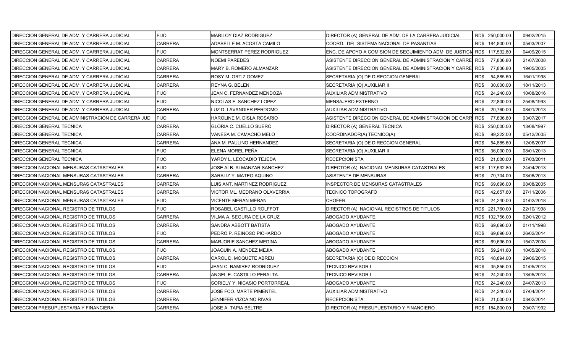| DIRECCION GENERAL DE ADM. Y CARRERA JUDICIAL       | <b>FIJO</b>    | <b>MARILOY DIAZ RODRIGUEZ</b>  | DIRECTOR (A) GENERAL DE ADM. DE LA CARRERA JUDICIAL           |      | RD\$ 250,000.00 | 09/02/2015 |
|----------------------------------------------------|----------------|--------------------------------|---------------------------------------------------------------|------|-----------------|------------|
| DIRECCION GENERAL DE ADM. Y CARRERA JUDICIAL       | <b>CARRERA</b> | ADABELLE M. ACOSTA CAMILO      | COORD. DEL SISTEMA NACIONAL DE PASANTIAS                      |      | RD\$ 184,800.00 | 05/03/2007 |
| DIRECCION GENERAL DE ADM. Y CARRERA JUDICIAL       | <b>FIJO</b>    | MONTSERRAT PEREZ RODRIGUEZ     | ENC. DE APOYO A COMISION DE SEGUIMIENTO ADM. DE JUSTICI.      |      | RD\$ 117,532.80 | 04/09/2015 |
| DIRECCION GENERAL DE ADM. Y CARRERA JUDICIAL       | <b>CARRERA</b> | <b>NOEMI PAREDES</b>           | ASISTENTE DIRECCION GENERAL DE ADMINISTRACION Y CARRE $\sf I$ | RD\$ | 77,836.80       | 21/07/2008 |
| DIRECCION GENERAL DE ADM. Y CARRERA JUDICIAL       | CARRERA        | MARY B. ROMERO ALMANZAR        | ASISTENTE DIRECCION GENERAL DE ADMINISTRACION Y CARRE         | RD\$ | 77,836.80       | 19/05/2005 |
| DIRECCION GENERAL DE ADM. Y CARRERA JUDICIAL       | CARRERA        | ROSY M. ORTIZ GOMEZ            | SECRETARIA (O) DE DIRECCION GENERAL                           | RD\$ | 54,885.60       | 16/01/1998 |
| DIRECCION GENERAL DE ADM. Y CARRERA JUDICIAL       | <b>CARRERA</b> | REYNA G. BELEN                 | SECRETARIA (O) AUXILIAR II                                    | RD\$ | 30,000.00       | 18/11/2013 |
| DIRECCION GENERAL DE ADM. Y CARRERA JUDICIAL       | <b>FIJO</b>    | JEAN C. FERNANDEZ MENDOZA      | AUXILIAR ADMINISTRATIVO                                       | RD\$ | 24,240.00       | 10/08/2016 |
| DIRECCION GENERAL DE ADM. Y CARRERA JUDICIAL       | <b>FIJO</b>    | NICOLAS F. SANCHEZ LOPEZ       | MENSAJERO EXTERNO                                             | RD\$ | 22,800.00       | 25/08/1993 |
| DIRECCION GENERAL DE ADM. Y CARRERA JUDICIAL       | <b>CARRERA</b> | LUZ D. LAVANDIER PERDOMO       | AUXILIAR ADMINISTRATIVO                                       | RD\$ | 20.760.00       | 08/01/2013 |
| DIRECCION GENERAL DE ADMINISTRACION DE CARRERA JUD | <b>FIJO</b>    | HAROLINE M. DISLA ROSARIO      | ASISTENTE DIRECCION GENERAL DE ADMINISTRACION DE CARR         | RD\$ | 77,836.80       | 03/07/2017 |
| DIRECCION GENERAL TECNICA                          | CARRERA        | GLORIA C. CUELLO SUERO         | DIRECTOR (A) GENERAL TECNICA                                  |      | RD\$ 250,000.00 | 13/08/1997 |
| <b>DIRECCION GENERAL TECNICA</b>                   | <b>CARRERA</b> | VANESA M. CAMACHO MELO         | COORDINADOR(A) TECNICO(A)                                     | RD\$ | 99,222.00       | 05/12/2005 |
| DIRECCION GENERAL TECNICA                          | CARRERA        | ANA M. PAULINO HERNANDEZ       | SECRETARIA (O) DE DIRECCION GENERAL                           | RD\$ | 54,885.60       | 12/06/2007 |
| DIRECCION GENERAL TECNICA                          | <b>FIJO</b>    | ELENA MOREL PEÑA               | SECRETARIA (O) AUXILIAR II                                    | RD\$ | 36,000.00       | 08/01/2013 |
| DIRECCION GENERAL TECNICA                          | <b>FIJO</b>    | YARDY L. LEOCADIO TEJEDA       | <b>RECEPCIONISTA</b>                                          | RD\$ | 21,000.00       | 07/03/2011 |
| DIRECCION NACIONAL MENSURAS CATASTRALES            | <b>FIJO</b>    | JOSE ALB. ALMANZAR SANCHEZ     | DIRECTOR (A) NACIONAL MENSURAS CATASTRALES                    |      | RD\$ 117,532.80 | 24/04/2013 |
| DIRECCION NACIONAL MENSURAS CATASTRALES            | CARRERA        | <b>SARALIZ Y. MATEO AQUINO</b> | ASISTENTE DE MENSURAS                                         | RD\$ | 79,704.00       | 03/06/2013 |
| DIRECCION NACIONAL MENSURAS CATASTRALES            | <b>CARRERA</b> | LUIS ANT. MARTINEZ RODRIGUEZ   | <b>INSPECTOR DE MENSURAS CATASTRALES</b>                      | RD\$ | 69,696.00       | 08/08/2005 |
| DIRECCION NACIONAL MENSURAS CATASTRALES            | <b>CARRERA</b> | VICTOR ML. MEDRANO OLAVERRIA   | <b>TECNICO TOPOGRAFO</b>                                      | RD\$ | 42,657.60       | 27/11/2006 |
| DIRECCION NACIONAL MENSURAS CATASTRALES            | <b>FIJO</b>    | <b>VICENTE MERAN MERAN</b>     | <b>CHOFER</b>                                                 | RD\$ | 24,240.00       | 01/02/2018 |
| DIRECCION NACIONAL REGISTRO DE TITULOS             | <b>FIJO</b>    | ROSABEL CASTILLO ROLFFOT       | DIRECTOR (A) NACIONAL REGISTROS DE TITULOS                    |      | RD\$ 221,760.00 | 22/10/1998 |
| DIRECCION NACIONAL REGISTRO DE TITULOS             | <b>CARRERA</b> | VILMA A. SEGURA DE LA CRUZ     | ABOGADO AYUDANTE                                              |      | RD\$ 102,756.00 | 02/01/2012 |
| DIRECCION NACIONAL REGISTRO DE TITULOS             | CARRERA        | SANDRA ABBOTT BATISTA          | ABOGADO AYUDANTE                                              | RD\$ | 69,696.00       | 01/11/1998 |
| DIRECCION NACIONAL REGISTRO DE TITULOS             | <b>FIJO</b>    | PEDRO P. REINOSO PICHARDO      | ABOGADO AYUDANTE                                              | RD\$ | 69,696.00       | 26/02/2014 |
| DIRECCION NACIONAL REGISTRO DE TITULOS             | CARRERA        | MARJORIE SANCHEZ MEDINA        | ABOGADO AYUDANTE                                              | RD\$ | 69,696.00       | 15/07/2008 |
| DIRECCION NACIONAL REGISTRO DE TITULOS             | <b>FIJO</b>    | JOAQUIN A. MENDEZ MEJIA        | ABOGADO AYUDANTE                                              | RD\$ | 59,241.60       | 10/05/2018 |
| DIRECCION NACIONAL REGISTRO DE TITULOS             | <b>CARRERA</b> | CAROL D. MOQUETE ABREU         | SECRETARIA (O) DE DIRECCION                                   | RD\$ | 48,894.00       | 29/06/2015 |
| DIRECCION NACIONAL REGISTRO DE TITULOS             | <b>FIJO</b>    | JEAN C. RAMIREZ RODRIGUEZ      | TECNICO REVISOR I                                             | RD\$ | 35,856.00       | 01/05/2013 |
| DIRECCION NACIONAL REGISTRO DE TITULOS             | <b>CARRERA</b> | ANGEL E. CASTILLO PERALTA      | TECNICO REVISOR I                                             | RD\$ | 24,240.00       | 13/05/2013 |
| DIRECCION NACIONAL REGISTRO DE TITULOS             | <b>FIJO</b>    | SORIELY Y. NICASIO PORTORREAL  | ABOGADO AYUDANTE                                              | RD\$ | 24,240.00       | 24/07/2013 |
| DIRECCION NACIONAL REGISTRO DE TITULOS             | <b>CARRERA</b> | JOSE FCO. MARTE PIMENTEL       | AUXILIAR ADMINISTRATIVO                                       | RD\$ | 24,240.00       | 07/04/2014 |
| DIRECCION NACIONAL REGISTRO DE TITULOS             | CARRERA        | JENNIFER VIZCAINO RIVAS        | RECEPCIONISTA                                                 | RD\$ | 21,000.00       | 03/02/2014 |
| DIRECCION PRESUPUESTARIA Y FINANCIERA              | <b>CARRERA</b> | JOSE A. TAPIA BELTRE           | DIRECTOR (A) PRESUPUESTARIO Y FINANCIERO                      |      | RD\$ 184,800.00 | 20/07/1992 |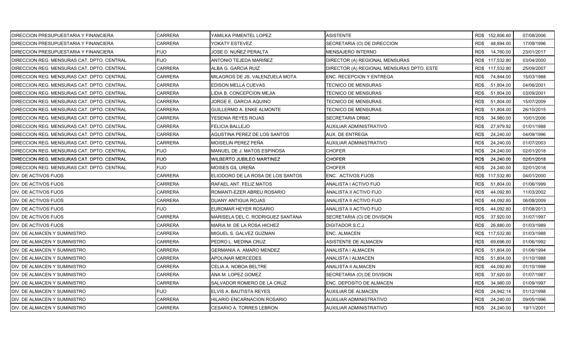| DIRECCION PRESUPUESTARIA Y FINANCIERA      | CARRERA        | YAMILKA PIMENTEL LOPEZ            | ASISTENTE                                 | RD\$ 152,806.60   | 07/08/2006 |
|--------------------------------------------|----------------|-----------------------------------|-------------------------------------------|-------------------|------------|
| DIRECCION PRESUPUESTARIA Y FINANCIERA      | CARRERA        | YOKATY ESTEVEZ                    | SECRETARIA (O) DE DIRECCION               | RD\$<br>48,894.00 | 17/09/1996 |
| DIRECCION PRESUPUESTARIA Y FINANCIERA      | <b>FIJO</b>    | JOSE D. NUÑEZ PERALTA             | <b>MENSAJERO INTERNO</b>                  | RD\$<br>14,760.00 | 23/01/2017 |
| DIRECCION REG. MENSURAS CAT. DPTO. CENTRAL | <b>FIJO</b>    | ANTONIO TEJEDA MARIÑEZ            | DIRECTOR (A) REGIONAL MENSURAS            | RD\$ 117,532.80   | 03/04/2000 |
| DIRECCION REG. MENSURAS CAT. DPTO. CENTRAL | CARRERA        | ALBA G. GARCIA RUIZ               | DIRECTOR (A) REGIONAL MENSURAS DPTO. ESTE | RD\$ 117,532.80   | 25/09/2007 |
| DIRECCION REG. MENSURAS CAT. DPTO. CENTRAL | CARRERA        | MILAGROS DE JS. VALENZUELA MOTA   | ENC. RECEPCION Y ENTREGA                  | RD\$<br>74,844.00 | 15/03/1988 |
| DIRECCION REG. MENSURAS CAT. DPTO. CENTRAL | CARRERA        | EDISON MELLA CUEVAS               | TECNICO DE MENSURAS                       | RD\$<br>51,804.00 | 04/06/2001 |
| DIRECCION REG. MENSURAS CAT. DPTO. CENTRAL | CARRERA        | LIDIA B. CONCEPCION MEJIA         | <b>TECNICO DE MENSURAS</b>                | RD\$<br>51,804.00 | 03/09/2001 |
| DIRECCION REG. MENSURAS CAT. DPTO. CENTRAL | <b>CARRERA</b> | JORGE E. GARCIA AQUINO            | TECNICO DE MENSURAS                       | RD\$<br>51,804.00 | 15/07/2009 |
| DIRECCION REG. MENSURAS CAT. DPTO. CENTRAL | <b>CARRERA</b> | <b>GUILLERMO A. ENKE ALMONTE</b>  | TECNICO DE MENSURAS                       | RD\$<br>51,804.00 | 26/10/2015 |
| DIRECCION REG. MENSURAS CAT. DPTO. CENTRAL | CARRERA        | YESENIA REYES ROJAS               | SECRETARIA DRMC                           | 34,980.00<br>RD\$ | 10/01/2006 |
| DIRECCION REG. MENSURAS CAT. DPTO. CENTRAL | CARRERA        | FELICIA BALLEJO                   | AUXILIAR ADMINISTRATIVO                   | RD\$<br>27,979.92 | 01/01/1988 |
| DIRECCION REG. MENSURAS CAT. DPTO. CENTRAL | CARRERA        | AGUSTINA PEREZ DE LOS SANTOS      | <b>AUX. DE ENTREGA</b>                    | RD\$<br>24,240.00 | 04/09/1996 |
| DIRECCION REG. MENSURAS CAT. DPTO. CENTRAL | CARRERA        | MOISELIN PEREZ PEÑA               | AUXILIAR ADMINISTRATIVO                   | RD\$<br>24,240.00 | 01/07/2003 |
| DIRECCION REG. MENSURAS CAT. DPTO. CENTRAL | <b>FIJO</b>    | MANUEL DE J. MATOS ESPINOSA       | <b>CHOFER</b>                             | RD\$<br>24,240.00 | 02/01/2018 |
| DIRECCION REG. MENSURAS CAT. DPTO. CENTRAL | <b>FIJO</b>    | WILBERTO JUBILEO MARTINEZ         | <b>CHOFER</b>                             | 24,240.00<br>RD\$ | 02/01/2018 |
| DIRECCION REG. MENSURAS CAT. DPTO. CENTRAL | <b>FIJO</b>    | MOISES GIL UREÑA                  | <b>CHOFER</b>                             | RD\$<br>24,240.00 | 02/01/2018 |
| DIV. DE ACTIVOS FIJOS                      | <b>CARRERA</b> | ELIODORO DE LA ROSA DE LOS SANTOS | ENC. ACTIVOS FIJOS                        | RD\$ 117,532.80   | 04/01/2000 |
| DIV. DE ACTIVOS FIJOS                      | <b>CARRERA</b> | RAFAEL ANT. FELIZ MATOS           | ANALISTA I ACTIVO FIJO                    | RD\$<br>51,804.00 | 01/06/1999 |
| DIV. DE ACTIVOS FIJOS                      | <b>CARRERA</b> | ROMANTI-EZER ABREU ROSARIO        | ANALISTA II ACTIVO FIJO                   | RD\$<br>44,092.80 | 11/03/2002 |
| DIV. DE ACTIVOS FIJOS                      | <b>CARRERA</b> | DUANY ANTIGUA ROJAS               | ANALISTA II ACTIVO FIJO                   | RD\$<br>44,092.80 | 06/08/2009 |
| DIV. DE ACTIVOS FIJOS                      | FIJO           | EUROMAR HEYER ROSARIO             | ANALISTA II ACTIVO FIJO                   | RD\$<br>44,092.80 | 07/08/2013 |
| DIV. DE ACTIVOS FIJOS                      | CARRERA        | MARISELA DEL C. RODRIGUEZ SANTANA | SECRETARIA (O) DE DIVISION                | RD\$<br>37,920.00 | 31/07/1997 |
| DIV. DE ACTIVOS FIJOS                      | CARRERA        | MARIA M. DE LA ROSA HICHEZ        | DIGITADOR S.C.J.                          | 26,880.00<br>RD\$ | 01/03/1989 |
| DIV. DE ALMACEN Y SUMINISTRO               | <b>CARRERA</b> | MIGUEL S. GALVEZ GUZMAN           | ENC. ALMACEN                              | RD\$ 117,532.80   | 01/03/1988 |
| DIV. DE ALMACEN Y SUMINISTRO               | CARRERA        | PEDRO L. MEDINA CRUZ              | ASISTENTE DE ALMACEN                      | RD\$<br>69,696.00 | 01/06/1992 |
| DIV. DE ALMACEN Y SUMINISTRO               | CARRERA        | GERMANIA A. AMARO MENDEZ          | ANALISTA I ALMACEN                        | RD\$<br>51,804.00 | 01/06/1994 |
| DIV. DE ALMACEN Y SUMINISTRO               | CARRERA        | <b>APOLINAR MERCEDES</b>          | ANALISTA I ALMACEN                        | RD\$<br>51,804.00 | 01/10/1988 |
| DIV. DE ALMACEN Y SUMINISTRO               | CARRERA        | CELIA A. NOBOA BELTRE             | ANALISTA II ALMACEN                       | RD\$<br>44,092.80 | 01/10/1998 |
| DIV. DE ALMACEN Y SUMINISTRO               | CARRERA        | ANA M. LOPEZ GOMEZ                | SECRETARIA (O) DE DIVISION                | RD\$<br>37,920.00 | 01/07/1987 |
| DIV. DE ALMACEN Y SUMINISTRO               | <b>CARRERA</b> | SALVADOR ROMERO DE LA CRUZ        | ENC. DEPOSITO DE ALMACEN                  | RD\$<br>34,980.00 | 01/09/1997 |
| DIV. DE ALMACEN Y SUMINISTRO               | FIJO           | ELVIS A. BAUTISTA REYES           | AUXILIAR DE ALMACEN                       | RD\$<br>24,942.14 | 01/12/1998 |
| DIV. DE ALMACEN Y SUMINISTRO               | CARRERA        | HILARIO ENCARNACION ROSARIO       | AUXILIAR ADMINISTRATIVO                   | RD\$<br>24,240.00 | 09/05/1996 |
| DIV. DE ALMACEN Y SUMINISTRO               | <b>CARRERA</b> | <b>CESARIO A. TORRES LEBRON</b>   | <b>AUXILIAR ADMINISTRATIVO</b>            | RD\$ 24,240.00    | 19/11/2001 |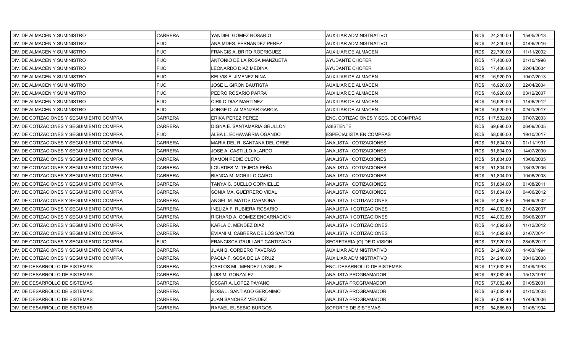| DIV. DE ALMACEN Y SUMINISTRO               | <b>CARRERA</b> | YANDIEL GOMEZ ROSARIO           | AUXILIAR ADMINISTRATIVO             | RD\$ 24,240.00    |           | 15/05/2013 |
|--------------------------------------------|----------------|---------------------------------|-------------------------------------|-------------------|-----------|------------|
| IDIV. DE ALMACEN Y SUMINISTRO              | <b>FIJO</b>    | ANA MDES. FERNANDEZ PEREZ       | AUXILIAR ADMINISTRATIVO             | RD\$              | 24,240.00 | 01/06/2016 |
| DIV. DE ALMACEN Y SUMINISTRO               | <b>FIJO</b>    | FRANCIS A. BRITO RODRIGUEZ      | AUXILIAR DE ALMACEN                 | RD\$              | 22,700.00 | 11/11/2002 |
| DIV. DE ALMACEN Y SUMINISTRO               | <b>FIJO</b>    | ANTONIO DE LA ROSA MANZUETA     | AYUDANTE CHOFER                     | RD\$<br>17,400.00 |           | 01/10/1996 |
| DIV. DE ALMACEN Y SUMINISTRO               | <b>FIJO</b>    | LEONARDO DIAZ MEDINA            | AYUDANTE CHOFER                     | RD\$              | 17,400.00 | 22/04/2004 |
| DIV. DE ALMACEN Y SUMINISTRO               | <b>FIJO</b>    | KELVIS E. JIMENEZ NINA          | AUXILIAR DE ALMACEN                 | RD\$              | 16,920.00 | 19/07/2013 |
| DIV. DE ALMACEN Y SUMINISTRO               | <b>FIJO</b>    | JOSE L. GIRON BAUTISTA          | AUXILIAR DE ALMACEN                 | RD\$              | 16,920.00 | 22/04/2004 |
| DIV. DE ALMACEN Y SUMINISTRO               | <b>FIJO</b>    | PEDRO ROSARIO PARRA             | AUXILIAR DE ALMACEN                 | RD\$              | 16,920.00 | 03/12/2007 |
| <b>IDIV. DE ALMACEN Y SUMINISTRO</b>       | <b>FIJO</b>    | CIRILO DIAZ MARTINEZ            | AUXILIAR DE ALMACEN                 | RD\$              | 16,920.00 | 11/06/2012 |
| DIV. DE ALMACEN Y SUMINISTRO               | <b>FIJO</b>    | JORGE D. ALMANZAR GARCIA        | AUXILIAR DE ALMACEN                 | RD\$              | 16,920.00 | 02/01/2017 |
| DIV. DE COTIZACIONES Y SEGUIMIENTO COMPRA  | <b>CARRERA</b> | ERIKA PEREZ PEREZ               | ENC. COTIZACIONES Y SEG. DE COMPRAS | RD\$ 117,532.80   |           | 07/07/2003 |
| DIV. DE COTIZACIONES Y SEGUIMIENTO COMPRA  | <b>CARRERA</b> | DIGNA E. SANTAMARIA GRULLON     | ASISTENTE                           | RD\$              | 69,696.00 | 06/09/2005 |
| DIV. DE COTIZACIONES Y SEGUIMIENTO COMPRA  | <b>FIJO</b>    | ALBA L. ECHAVARRIA OGANDO       | ESPECIALISTA EN COMPRAS             | RD\$              | 58,080.00 | 19/10/2017 |
| DIV. DE COTIZACIONES Y SEGUIMIENTO COMPRA  | <b>CARRERA</b> | MARIA DEL R. SANTANA DEL ORBE   | ANALISTA I COTIZACIONES             | RD\$              | 51,804.00 | 01/11/1991 |
| DIV. DE COTIZACIONES Y SEGUIMIENTO COMPRA  | <b>CARRERA</b> | JOSE A. CASTILLO ALARDO         | ANALISTA I COTIZACIONES             | RD\$              | 51,804.00 | 14/07/2000 |
| DIV. DE COTIZACIONES Y SEGUIMIENTO COMPRA  | <b>CARRERA</b> | RAMON PEDIE CLETO               | ANALISTA I COTIZACIONES             | RD\$              | 51,804.00 | 13/06/2005 |
| DIV. DE COTIZACIONES Y SEGUIMIENTO COMPRA  | CARRERA        | LOURDES M. TEJEDA PEÑA          | ANALISTA I COTIZACIONES             | RD\$              | 51,804.00 | 13/03/2006 |
| IDIV. DE COTIZACIONES Y SEGUIMIENTO COMPRA | <b>CARRERA</b> | <b>BIANCA M. MORILLO CAIRO</b>  | ANALISTA I COTIZACIONES             | RD\$              | 51,804.00 | 10/06/2008 |
| DIV. DE COTIZACIONES Y SEGUIMIENTO COMPRA  | <b>CARRERA</b> | TANYA C. CUELLO CORNIELLE       | ANALISTA I COTIZACIONES             | RD\$              | 51,804.00 | 01/08/2011 |
| DIV. DE COTIZACIONES Y SEGUIMIENTO COMPRA  | <b>CARRERA</b> | SONIA MA. GUERRERO VIDAL        | ANALISTA I COTIZACIONES             | RD\$              | 51,804.00 | 04/06/2012 |
| DIV. DE COTIZACIONES Y SEGUIMIENTO COMPRA  | CARRERA        | ANGEL M. MATOS CARMONA          | ANALISTA II COTIZACIONES            | RD\$              | 44,092.80 | 16/09/2002 |
| DIV. DE COTIZACIONES Y SEGUIMIENTO COMPRA  | <b>CARRERA</b> | INELIZA F. RUBIERA ROSARIO      | ANALISTA II COTIZACIONES            | RD\$              | 44,092.80 | 21/02/2007 |
| DIV. DE COTIZACIONES Y SEGUIMIENTO COMPRA  | <b>CARRERA</b> | RICHARD A. GOMEZ ENCARNACION    | ANALISTA II COTIZACIONES            | RD\$              | 44,092.80 | 06/06/2007 |
| DIV. DE COTIZACIONES Y SEGUIMIENTO COMPRA  | <b>CARRERA</b> | KARLA C. MENDEZ DIAZ            | ANALISTA II COTIZACIONES            | RD\$              | 44,092.80 | 11/12/2012 |
| DIV. DE COTIZACIONES Y SEGUIMIENTO COMPRA  | <b>CARRERA</b> | EVIANI M. CABRERA DE LOS SANTOS | ANALISTA II COTIZACIONES            | RD\$              | 44,092.80 | 21/07/2014 |
| DIV. DE COTIZACIONES Y SEGUIMIENTO COMPRA  | <b>FIJO</b>    | FRANCISCA GRULLART CANTIZANO    | SECRETARIA (O) DE DIVISION          | 37,920.00<br>RD\$ |           | 28/06/2017 |
| DIV. DE COTIZACIONES Y SEGUIMIENTO COMPRA  | CARRERA        | JUAN B. CORDERO TAVERAS         | AUXILIAR ADMINISTRATIVO             | RD\$              | 24,240.00 | 14/03/1994 |
| DIV. DE COTIZACIONES Y SEGUIMIENTO COMPRA  | <b>CARRERA</b> | PAOLA F. SOSA DE LA CRUZ        | AUXILIAR ADMINISTRATIVO             | RD\$<br>24,240.00 |           | 20/10/2008 |
| DIV. DE DESARROLLO DE SISTEMAS             | <b>CARRERA</b> | CARLOS ML. MENDEZ LAGRULE       | ENC. DESARROLLO DE SISTEMAS         | RD\$ 117,532.80   |           | 01/09/1993 |
| <b>IDIV. DE DESARROLLO DE SISTEMAS</b>     | <b>CARRERA</b> | LUIS M. GONZALEZ                | ANALISTA PROGRAMADOR                | RD\$              | 67,082.40 | 15/12/1997 |
| DIV. DE DESARROLLO DE SISTEMAS             | <b>CARRERA</b> | OSCAR A. LOPEZ PAYANO           | ANALISTA PROGRAMADOR                | RD\$              | 67,082.40 | 01/05/2001 |
| DIV. DE DESARROLLO DE SISTEMAS             | CARRERA        | ROSA J. SANTIAGO GERONIMO       | ANALISTA PROGRAMADOR                | RD\$              | 67,082.40 | 01/10/2003 |
| DIV. DE DESARROLLO DE SISTEMAS             | CARRERA        | JUAN SANCHEZ MENDEZ             | ANALISTA PROGRAMADOR                | RD\$              | 67,082.40 | 17/04/2006 |
| DIV. DE DESARROLLO DE SISTEMAS             | <b>CARRERA</b> | RAFAEL EUSEBIO BURGOS           | SOPORTE DE SISTEMAS                 | RD\$ 54,885.60    |           | 01/05/1994 |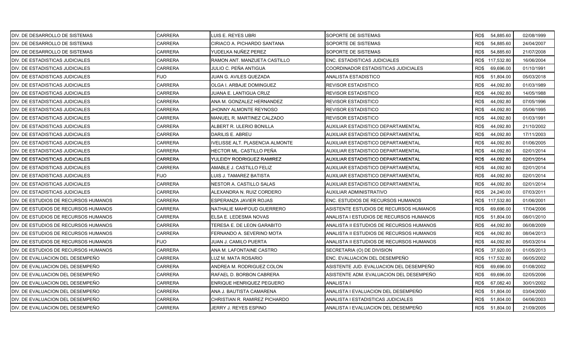| DIV. DE DESARROLLO DE SISTEMAS        | <b>CARRERA</b> | LUIS E. REYES UBRI               | SOPORTE DE SISTEMAS                      | RD\$ 54,885.60    |           | 02/08/1999 |
|---------------------------------------|----------------|----------------------------------|------------------------------------------|-------------------|-----------|------------|
| <b>DIV. DE DESARROLLO DE SISTEMAS</b> | CARRERA        | CIRIACO A. PICHARDO SANTANA      | SOPORTE DE SISTEMAS                      | RD\$              | 54,885.60 | 24/04/2007 |
| DIV. DE DESARROLLO DE SISTEMAS        | <b>CARRERA</b> | YUDELKA NUÑEZ PEREZ              | SOPORTE DE SISTEMAS                      | RD\$              | 54,885.60 | 21/07/2008 |
| DIV. DE ESTADISTICAS JUDICIALES       | <b>CARRERA</b> | RAMON ANT. MANZUETA CASTILLO     | ENC. ESTADISTICAS JUDICIALES             | RD\$ 117,532.80   |           | 16/06/2004 |
| DIV. DE ESTADISTICAS JUDICIALES       | <b>CARRERA</b> | JULIO C. PEÑA ANTIGUA            | COORDINADOR ESTADISTICAS JUDICIALES      | RD\$              | 69,696.00 | 01/10/1991 |
| DIV. DE ESTADISTICAS JUDICIALES       | FIJO           | JUAN G. AVILES QUEZADA           | ANALISTA ESTADISTICO                     | RD\$<br>51,804.00 |           | 05/03/2018 |
| DIV. DE ESTADISTICAS JUDICIALES       | <b>CARRERA</b> | OLGA I. ARBAJE DOMINGUEZ         | <b>REVISOR ESTADISTICO</b>               | RD\$<br>44,092.80 |           | 01/03/1989 |
| DIV. DE ESTADISTICAS JUDICIALES       | <b>CARRERA</b> | JUANA E. LANTIGUA CRUZ           | <b>REVISOR ESTADISTICO</b>               | RD\$              | 44,092.80 | 14/05/1988 |
| DIV. DE ESTADISTICAS JUDICIALES       | <b>CARRERA</b> | ANA M. GONZALEZ HERNANDEZ        | <b>REVISOR ESTADISTICO</b>               | RD\$<br>44,092.80 |           | 07/05/1996 |
| DIV. DE ESTADISTICAS JUDICIALES       | <b>CARRERA</b> | JHONNY ALMONTE REYNOSO           | <b>REVISOR ESTADISTICO</b>               | RD\$              | 44,092.80 | 05/06/1995 |
| DIV. DE ESTADISTICAS JUDICIALES       | CARRERA        | MANUEL R. MARTINEZ CALZADO       | <b>REVISOR ESTADISTICO</b>               | RD\$              | 44,092.80 | 01/03/1991 |
| DIV. DE ESTADISTICAS JUDICIALES       | CARRERA        | ALBERT R. ULERIO BONILLA         | AUXILIAR ESTADISTICO DEPARTAMENTAL       | RD\$              | 44,092.80 | 21/10/2002 |
| DIV. DE ESTADISTICAS JUDICIALES       | <b>CARRERA</b> | DARILIS E. ABREU                 | AUXILIAR ESTADISTICO DEPARTAMENTAL       | RD\$<br>44,092.80 |           | 17/11/2003 |
| DIV. DE ESTADISTICAS JUDICIALES       | <b>CARRERA</b> | IVELISSE ALT. PLASENCIA ALMONTE  | AUXILIAR ESTADISTICO DEPARTAMENTAL       | RD\$              | 44,092.80 | 01/06/2005 |
| DIV. DE ESTADISTICAS JUDICIALES       | <b>CARRERA</b> | HECTOR ML. CASTILLO PEÑA         | AUXILIAR ESTADISTICO DEPARTAMENTAL       | RD\$              | 44,092.80 | 02/01/2014 |
| DIV. DE ESTADISTICAS JUDICIALES       | <b>CARRERA</b> | YULEIDY RODRIGUEZ RAMIREZ        | AUXILIAR ESTADISTICO DEPARTAMENTAL       | RD\$              | 44,092.80 | 02/01/2014 |
| DIV. DE ESTADISTICAS JUDICIALES       | CARRERA        | AMABLE J. CASTILLO FELIZ         | AUXILIAR ESTADISTICO DEPARTAMENTAL       | RD\$              | 44,092.80 | 02/01/2014 |
| DIV. DE ESTADISTICAS JUDICIALES       | <b>FIJO</b>    | LUIS J. TAMAREZ BATISTA          | AUXILIAR ESTADISTICO DEPARTAMENTAL       | RD\$              | 44,092.80 | 02/01/2014 |
| DIV. DE ESTADISTICAS JUDICIALES       | <b>CARRERA</b> | NESTOR A. CASTILLO SALAS         | AUXILIAR ESTADISTICO DEPARTAMENTAL       | RD\$<br>44,092.80 |           | 02/01/2014 |
| DIV. DE ESTADISTICAS JUDICIALES       | CARRERA        | ALEXANDRA N. RUIZ CORDERO        | AUXILIAR ADMINISTRATIVO                  | RD\$<br>24,240.00 |           | 07/03/2011 |
| IDIV. DE ESTUDIOS DE RECURSOS HUMANOS | CARRERA        | ESPERANZA JAVIER ROJAS           | ENC. ESTUDIOS DE RECURSOS HUMANOS        | RD\$ 117,532.80   |           | 01/06/2001 |
| DIV. DE ESTUDIOS DE RECURSOS HUMANOS  | CARRERA        | NATHALIE MAHFOUD GUERRERO        | ASISTENTE ESTUDIOS DE RECURSOS HUMANOS   | 69,696.00<br>RD\$ |           | 17/04/2006 |
| DIV. DE ESTUDIOS DE RECURSOS HUMANOS  | CARRERA        | ELSA E. LEDESMA NOVAS            | ANALISTA I ESTUDIOS DE RECURSOS HUMANOS  | RD\$<br>51,804.00 |           | 08/01/2010 |
| DIV. DE ESTUDIOS DE RECURSOS HUMANOS  | <b>CARRERA</b> | TERESA E. DE LEON GARABITO       | ANALISTA II ESTUDIOS DE RECURSOS HUMANOS | RD\$              | 44,092.80 | 06/08/2009 |
| DIV. DE ESTUDIOS DE RECURSOS HUMANOS  | <b>CARRERA</b> | FERNANDO A. SEVERINO MOTA        | ANALISTA II ESTUDIOS DE RECURSOS HUMANOS | RD\$<br>44,092.80 |           | 08/04/2013 |
| DIV. DE ESTUDIOS DE RECURSOS HUMANOS  | <b>FIJO</b>    | JUAN J. CAMILO PUERTA            | ANALISTA II ESTUDIOS DE RECURSOS HUMANOS | RD\$              | 44,092.80 | 05/03/2014 |
| DIV. DE ESTUDIOS DE RECURSOS HUMANOS  | CARRERA        | ANA M. LAFONTAINE CASTRO         | SECRETARIA (O) DE DIVISION               | RD\$              | 37,920.00 | 01/05/2013 |
| DIV. DE EVALUACION DEL DESEMPEÑO      | <b>CARRERA</b> | LUZ M. MATA ROSARIO              | ENC. EVALUACION DEL DESEMPEÑO            | RD\$ 117,532.80   |           | 06/05/2002 |
| DIV. DE EVALUACION DEL DESEMPEÑO      | CARRERA        | ANDREA M. RODRIGUEZ COLON        | ASISTENTE JUD. EVALUACION DEL DESEMPEÑO  | RD\$              | 69,696.00 | 01/08/2002 |
| DIV. DE EVALUACION DEL DESEMPEÑO      | <b>CARRERA</b> | RAFAEL D. BORBON CABRERA         | ASISTENTE ADM. EVALUACION DEL DESEMPEÑO  | RD\$              | 69,696.00 | 02/05/2006 |
| DIV. DE EVALUACION DEL DESEMPEÑO      | <b>CARRERA</b> | <b>ENRIQUE HENRIQUEZ PEGUERO</b> | <b>ANALISTA I</b>                        | RD\$              | 67,082.40 | 30/01/2002 |
| DIV. DE EVALUACION DEL DESEMPEÑO      | CARRERA        | ANA J. BAUTISTA CAMARENA         | ANALISTA I EVALUACION DEL DESEMPEÑO      | RD\$<br>51,804.00 |           | 03/04/2000 |
| DIV. DE EVALUACION DEL DESEMPEÑO      | CARRERA        | CHRISTIAN R. RAMIREZ PICHARDO    | ANALISTA I ESTADISTICAS JUDICIALES       | RD\$<br>51,804.00 |           | 04/06/2003 |
| DIV. DE EVALUACION DEL DESEMPEÑO      | <b>CARRERA</b> | JERRY J. REYES ESPINO            | ANALISTA I EVALUACION DEL DESEMPEÑO      | RD\$<br>51,804.00 |           | 21/09/2005 |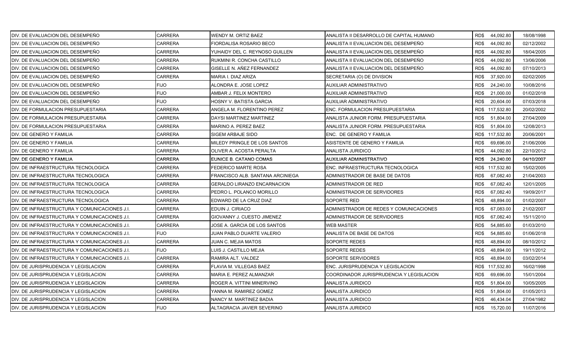| DIV. DE EVALUACION DEL DESEMPEÑO               | CARRERA        | WENDY M. ORTIZ BAEZ                | ANALISTA II DESARROLLO DE CAPITAL HUMANO | RD\$44,092.80     | 18/08/1998 |
|------------------------------------------------|----------------|------------------------------------|------------------------------------------|-------------------|------------|
| DIV. DE EVALUACION DEL DESEMPEÑO               | <b>CARRERA</b> | FIORDALISA ROSARIO BECO            | ANALISTA II EVALUACION DEL DESEMPEÑO     | RD\$<br>44,092.80 | 02/12/2002 |
| DIV. DE EVALUACION DEL DESEMPEÑO               | CARRERA        | YUHAIDY DEL C. REYNOSO GUILLEN     | ANALISTA II EVALUACION DEL DESEMPEÑO     | RD\$<br>44,092.80 | 18/04/2005 |
| IDIV. DE EVALUACION DEL DESEMPEÑO              | CARRERA        | RUKMINI R. CONCHA CASTILLO         | ANALISTA II EVALUACION DEL DESEMPEÑO     | RD\$<br>44,092.80 | 13/06/2006 |
| DIV. DE EVALUACION DEL DESEMPEÑO               | CARRERA        | GISELLE N. AÑEZ FERNANDEZ          | ANALISTA II EVALUACION DEL DESEMPEÑO     | RD\$<br>44,092.80 | 07/10/2013 |
| DIV. DE EVALUACION DEL DESEMPEÑO               | CARRERA        | MARIA I. DIAZ ARIZA                | SECRETARIA (O) DE DIVISION               | 37,920.00<br>RD\$ | 02/02/2005 |
| DIV. DE EVALUACION DEL DESEMPEÑO               | <b>FIJO</b>    | ALONDRA E. JOSE LOPEZ              | AUXILIAR ADMINISTRATIVO                  | RD\$<br>24,240.00 | 10/08/2016 |
| DIV. DE EVALUACION DEL DESEMPEÑO               | FIJO           | AMBAR J. FELIX MONTERO             | AUXILIAR ADMINISTRATIVO                  | RD\$<br>21,000.00 | 01/02/2018 |
| DIV. DE EVALUACION DEL DESEMPEÑO               | FIJO           | HOSNY V. BATISTA GARCIA            | AUXILIAR ADMINISTRATIVO                  | RD\$<br>20,604.00 | 07/03/2018 |
| DIV. DE FORMULACION PRESUPUESTARIA             | <b>CARRERA</b> | ANGELA M. FLORENTINO PEREZ         | ENC. FORMULACION PRESUPUESTARIA          | RD\$ 117,532.80   | 20/02/2002 |
| DIV. DE FORMULACION PRESUPUESTARIA             | CARRERA        | DAYSI MARTINEZ MARTINEZ            | ANALISTA JUNIOR FORM. PRESUPUESTARIA     | RD\$<br>51.804.00 | 27/04/2009 |
| DIV. DE FORMULACION PRESUPUESTARIA             | CARRERA        | MARINO A. PEREZ BAEZ               | ANALISTA JUNIOR FORM. PRESUPUESTARIA     | 51,804.00<br>RD\$ | 12/08/2013 |
| DIV. DE GENERO Y FAMILIA                       | CARRERA        | SIGEM ARBAJE SIDO                  | ENC. DE GENERO Y FAMILIA                 | RD\$ 117,532.80   | 20/06/2001 |
| DIV. DE GENERO Y FAMILIA                       | <b>CARRERA</b> | MILEDY PRINGLE DE LOS SANTOS       | ASISTENTE DE GENERO Y FAMILIA            | 69,696.00<br>RD\$ | 21/06/2006 |
| DIV. DE GENERO Y FAMILIA                       | CARRERA        | OLIVER A. ACOSTA PERALTA           | ANALISTA JURIDICO                        | RD\$<br>44,092.80 | 22/10/2012 |
| DIV. DE GENERO Y FAMILIA                       | <b>CARRERA</b> | EUNICE B. CATANO COMAS             | AUXILIAR ADMINISTRATIVO                  | RD\$ 24,240.00    | 04/10/2007 |
| IDIV. DE INFRAESTRUCTURA TECNOLOGICA           | CARRERA        | FEDERICO MARTE ROSA                | ENC. INFRAESTRUCTURA TECNOLOGICA         | RD\$ 117,532.80   | 15/02/2005 |
| DIV. DE INFRAESTRUCTURA TECNOLOGICA            | CARRERA        | FRANCISCO ALB. SANTANA ARCINIEGA   | ADMINISTRADOR DE BASE DE DATOS           | RD\$<br>67,082.40 | 21/04/2003 |
| DIV. DE INFRAESTRUCTURA TECNOLOGICA            | <b>CARRERA</b> | <b>GERALDO LIRANZO ENCARNACION</b> | ADMINISTRADOR DE RED                     | RD\$<br>67,082.40 | 12/01/2005 |
| <b>IDIV. DE INFRAESTRUCTURA TECNOLOGICA</b>    | <b>CARRERA</b> | PEDRO L. POLANCO MORILLO           | ADMINISTRADOR DE SERVIDORES              | RD\$<br>67,082.40 | 19/09/2017 |
| IDIV. DE INFRAESTRUCTURA TECNOLOGICA           | <b>CARRERA</b> | EDWARD DE LA CRUZ DIAZ             | SOPORTE RED                              | RD\$<br>48.894.00 | 01/02/2007 |
| DIV. DE INFRAESTRUCTURA Y COMUNICACIONES J.I.  | CARRERA        | EDUIN J. CIRIACO                   | ADMINISTRADOR DE REDES Y COMUNICACIONES  | RD\$<br>67,083.00 | 21/02/2007 |
| DIV. DE INFRAESTRUCTURA Y COMUNICACIONES J.I.  | <b>CARRERA</b> | GIOVANNY J. CUESTO JIMENEZ         | ADMINISTRADOR DE SERVIDORES              | RD\$<br>67,082.40 | 15/11/2010 |
| IDIV. DE INFRAESTRUCTURA Y COMUNICACIONES J.I. | <b>CARRERA</b> | JOSE A. GARCIA DE LOS SANTOS       | <b>WEB MASTER</b>                        | RD\$<br>54,885.60 | 01/03/2010 |
| DIV. DE INFRAESTRUCTURA Y COMUNICACIONES J.I.  | <b>FIJO</b>    | JUAN PABLO DUARTE VALERIO          | ANALISTA DE BASE DE DATOS                | RD\$<br>54,885.60 | 01/06/2018 |
| DIV. DE INFRAESTRUCTURA Y COMUNICACIONES J.I.  | <b>CARRERA</b> | JUAN C. MEJIA MATOS                | SOPORTE REDES                            | RD\$<br>48,894.00 | 08/10/2012 |
| DIV. DE INFRAESTRUCTURA Y COMUNICACIONES J.I.  | <b>FIJO</b>    | LUIS J. CASTILLO MEJIA             | SOPORTE REDES                            | RD\$<br>48,894.00 | 19/11/2012 |
| DIV. DE INFRAESTRUCTURA Y COMUNICACIONES J.I.  | <b>CARRERA</b> | RAMIRA ALT. VALDEZ                 | SOPORTE SERVIDORES                       | RD\$<br>48,894.00 | 03/02/2014 |
| DIV. DE JURISPRUDENCIA Y LEGISLACION           | CARRERA        | FLAVIA M. VILLEGAS BAEZ            | ENC. JURISPRUDENCIA Y LEGISLACION        | RD\$ 117,532.80   | 16/02/1998 |
| DIV. DE JURISPRUDENCIA Y LEGISLACION           | <b>CARRERA</b> | MARIA E. PEREZ ALMANZAR            | COORDINADOR JURISPRUDENCIA Y LEGISLACION | RD\$<br>69,696.00 | 15/01/2004 |
| DIV. DE JURISPRUDENCIA Y LEGISLACION           | <b>CARRERA</b> | ROGER A. VITTINI MINERVINO         | ANALISTA JURIDICO                        | RD\$<br>51,804.00 | 10/05/2005 |
| DIV. DE JURISPRUDENCIA Y LEGISLACION           | CARRERA        | YANNA M. RAMIREZ GOMEZ             | ANALISTA JURIDICO                        | RD\$<br>51,804.00 | 01/05/2013 |
| DIV. DE JURISPRUDENCIA Y LEGISLACION           | CARRERA        | NANCY M. MARTINEZ BADIA            | ANALISTA JURIDICO                        | RD\$<br>46,434.04 | 27/04/1982 |
| DIV. DE JURISPRUDENCIA Y LEGISLACION           | <b>FIJO</b>    | ALTAGRACIA JAVIER SEVERINO         | ANALISTA JURIDICO                        | RD\$<br>15,720.00 | 11/07/2016 |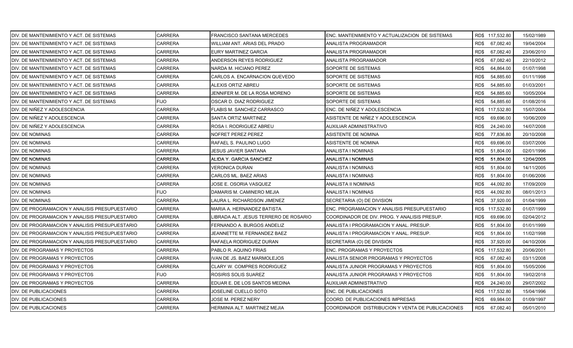| DIV. DE MANTENIMIENTO Y ACT. DE SISTEMAS       | CARRERA        | <b>FRANCISCO SANTANA MERCEDES</b>     | ENC. MANTENIMIENTO Y ACTUALIZACION DE SISTEMAS    | RD\$ 117,532.80   | 15/02/1989 |
|------------------------------------------------|----------------|---------------------------------------|---------------------------------------------------|-------------------|------------|
| DIV. DE MANTENIMIENTO Y ACT. DE SISTEMAS       | <b>CARRERA</b> | WILLIAM ANT. ARIAS DEL PRADO          | ANALISTA PROGRAMADOR                              | RD\$<br>67,082.40 | 19/04/2004 |
| DIV. DE MANTENIMIENTO Y ACT. DE SISTEMAS       | <b>CARRERA</b> | EURY MARTINEZ GARCIA                  | ANALISTA PROGRAMADOR                              | RD\$<br>67,082.40 | 23/06/2010 |
| DIV. DE MANTENIMIENTO Y ACT. DE SISTEMAS       | <b>CARRERA</b> | ANDERSON REYES RODRIGUEZ              | ANALISTA PROGRAMADOR                              | RD\$<br>67,082.40 | 22/10/2012 |
| DIV. DE MANTENIMIENTO Y ACT. DE SISTEMAS       | <b>CARRERA</b> | NARDA M. HICIANO PEREZ                | SOPORTE DE SISTEMAS                               | RD\$<br>64,864.00 | 01/07/1998 |
| DIV. DE MANTENIMIENTO Y ACT. DE SISTEMAS       | CARRERA        | CARLOS A. ENCARNACION QUEVEDO         | SOPORTE DE SISTEMAS                               | RD\$<br>54,885.60 | 01/11/1998 |
| DIV. DE MANTENIMIENTO Y ACT. DE SISTEMAS       | CARRERA        | ALEXIS ORTIZ ABREU                    | SOPORTE DE SISTEMAS                               | RD\$<br>54,885.60 | 01/03/2001 |
| DIV. DE MANTENIMIENTO Y ACT. DE SISTEMAS       | CARRERA        | JENNIFER M. DE LA ROSA MORENO         | SOPORTE DE SISTEMAS                               | RD\$<br>54,885.60 | 10/05/2004 |
| DIV. DE MANTENIMIENTO Y ACT. DE SISTEMAS       | <b>FIJO</b>    | OSCAR D. DIAZ RODRIGUEZ               | SOPORTE DE SISTEMAS                               | RD\$<br>54,885.60 | 01/08/2016 |
| DIV. DE NIÑEZ Y ADOLESCENCIA                   | CARRERA        | FLABIS M. SANCHEZ CARRASCO            | ENC. DE NIÑEZ Y ADOLESCENCIA                      | RD\$ 117,532.80   | 15/07/2004 |
| DIV. DE NIÑEZ Y ADOLESCENCIA                   | CARRERA        | SANTA ORTIZ MARTINEZ                  | ASISTENTE DE NIÑEZ Y ADOLESCENCIA                 | RD\$<br>69,696.00 | 10/06/2009 |
| DIV. DE NIÑEZ Y ADOLESCENCIA                   | CARRERA        | ROSA I. RODRIGUEZ ABREU               | AUXILIAR ADMINISTRATIVO                           | RD\$<br>24,240.00 | 14/07/2008 |
| DIV. DE NOMINAS                                | CARRERA        | <b>NOFRET PEREZ PEREZ</b>             | ASISTENTE DE NOMINA                               | RD\$<br>77,836.80 | 20/10/2008 |
| DIV. DE NOMINAS                                | <b>CARRERA</b> | RAFAEL S. PAULINO LUGO                | ASISTENTE DE NOMINA                               | RD\$<br>69,696.00 | 03/07/2006 |
| DIV. DE NOMINAS                                | CARRERA        | JESUS JAVIER SANTANA                  | ANALISTA I NOMINAS                                | RD\$<br>51,804.00 | 02/01/1996 |
| DIV. DE NOMINAS                                | CARRERA        | ALIDA Y. GARCIA SANCHEZ               | ANALISTA I NOMINAS                                | RD\$<br>51,804.00 | 12/04/2005 |
| DIV. DE NOMINAS                                | CARRERA        | VERONICA DURAN                        | ANALISTA I NOMINAS                                | RD\$<br>51,804.00 | 14/11/2005 |
| DIV. DE NOMINAS                                | <b>CARRERA</b> | CARLOS ML. BAEZ ARIAS                 | ANALISTA I NOMINAS                                | RD\$<br>51,804.00 | 01/06/2006 |
| DIV. DE NOMINAS                                | <b>CARRERA</b> | JOSE E. OSORIA VASQUEZ                | ANALISTA II NOMINAS                               | RD\$<br>44,092.80 | 17/09/2009 |
| DIV. DE NOMINAS                                | <b>FIJO</b>    | DAMARIS M. CAMINERO MEJIA             | ANALISTA I NOMINAS                                | RD\$<br>44,092.80 | 08/01/2013 |
| DIV. DE NOMINAS                                | CARRERA        | LAURA L. RICHARDSON JIMENEZ           | SECRETARIA (O) DE DIVISION                        | 37,920.00<br>RD\$ | 01/04/1999 |
| DIV. DE PROGRAMACION Y ANALISIS PRESUPUESTARIO | CARRERA        | MARIA A. HERNANDEZ BATISTA            | ENC. PROGRAMACION Y ANALISIS PRESUPUESTARIO       | RD\$ 117,532.80   | 01/07/1999 |
| DIV. DE PROGRAMACION Y ANALISIS PRESUPUESTARIO | <b>CARRERA</b> | LIBRADA ALT. JESUS TERRERO DE ROSARIO | COORDINADOR DE DIV. PROG. Y ANALISIS PRESUP.      | RD\$<br>69,696.00 | 02/04/2012 |
| DIV. DE PROGRAMACION Y ANALISIS PRESUPUESTARIO | CARRERA        | FERNANDO A. BURGOS ANDELIZ            | ANALISTA I PROGRAMACION Y ANAL. PRESUP.           | RD\$<br>51,804.00 | 01/01/1999 |
| DIV. DE PROGRAMACION Y ANALISIS PRESUPUESTARIO | <b>CARRERA</b> | JEANNETTE M. FERNANDEZ BAEZ           | ANALISTA I PROGRAMACION Y ANAL. PRESUP.           | RD\$<br>51,804.00 | 11/02/1998 |
| DIV. DE PROGRAMACION Y ANALISIS PRESUPUESTARIO | CARRERA        | RAFAELA RODRIGUEZ DURAN               | SECRETARIA (O) DE DIVISION                        | RD\$<br>37,920.00 | 04/10/2006 |
| DIV. DE PROGRAMAS Y PROYECTOS                  | CARRERA        | PABLO R. AQUINO FRIAS                 | ENC. PROGRAMAS Y PROYECTOS                        | RD\$ 117,532.80   | 20/06/2001 |
| DIV. DE PROGRAMAS Y PROYECTOS                  | <b>CARRERA</b> | IVAN DE JS. BAEZ MARMOLEJOS           | ANALISTA SENIOR PROGRAMAS Y PROYECTOS             | RD\$<br>67,082.40 | 03/11/2008 |
| DIV. DE PROGRAMAS Y PROYECTOS                  | CARRERA        | CLARY W. COMPRES RODRIGUEZ            | ANALISTA JUNIOR PROGRAMAS Y PROYECTOS             | RD\$<br>51,804.00 | 15/05/2006 |
| DIV. DE PROGRAMAS Y PROYECTOS                  | FIJO           | ROSIRIS SOLIS SUAREZ                  | ANALISTA JUNIOR PROGRAMAS Y PROYECTOS             | RD\$<br>51,804.00 | 19/02/2018 |
| DIV. DE PROGRAMAS Y PROYECTOS                  | <b>CARRERA</b> | EDUAR E. DE LOS SANTOS MEDINA         | AUXILIAR ADMINISTRATIVO                           | RD\$<br>24,240.00 | 29/07/2002 |
| DIV. DE PUBLICACIONES                          | CARRERA        | JOSELINE CUELLO SOTO                  | ENC. DE PUBLICACIONES                             | RD\$ 117,532.80   | 15/04/1996 |
| DIV. DE PUBLICACIONES                          | CARRERA        | JOSE M. PEREZ NERY                    | COORD. DE PUBLICACIONES IMPRESAS                  | RD\$<br>69,984.00 | 01/09/1997 |
| DIV. DE PUBLICACIONES                          | <b>CARRERA</b> | HERMINIA ALT. MARTINEZ MEJIA          | COORDINADOR DISTRIBUCION Y VENTA DE PUBLICACIONES | RD\$<br>67,082.40 | 05/01/2010 |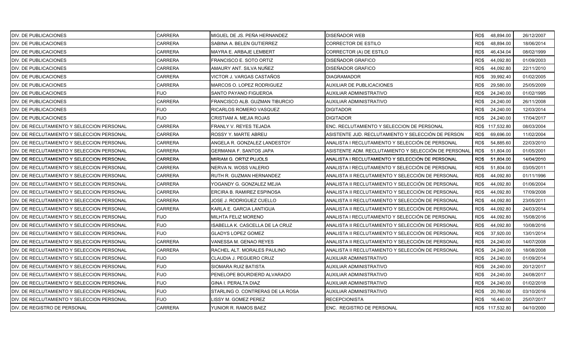| DIV. DE PUBLICACIONES                       | <b>CARRERA</b> | MIGUEL DE JS. PEÑA HERNANDEZ     | DISEÑADOR WEB                                        | RD\$<br>48,894.00 | 26/12/2007 |
|---------------------------------------------|----------------|----------------------------------|------------------------------------------------------|-------------------|------------|
| DIV. DE PUBLICACIONES                       | <b>CARRERA</b> | SABINA A. BELEN GUTIERREZ        | CORRECTOR DE ESTILO                                  | RD\$<br>48,894.00 | 18/06/2014 |
| DIV. DE PUBLICACIONES                       | <b>CARRERA</b> | MAYRA E. ARBAJE LEMBERT          | CORRECTOR (A) DE ESTILO                              | RD\$<br>46,434.04 | 08/02/1999 |
| DIV. DE PUBLICACIONES                       | <b>CARRERA</b> | <b>FRANCISCO E. SOTO ORTIZ</b>   | DISEÑADOR GRAFICO                                    | RD\$<br>44,092.80 | 01/09/2003 |
| DIV. DE PUBLICACIONES                       | CARRERA        | AMAURY ANT. SILVA NUÑEZ          | DISEÑADOR GRAFICO                                    | RD\$<br>44,092.80 | 22/11/2010 |
| DIV. DE PUBLICACIONES                       | CARRERA        | VICTOR J. VARGAS CASTAÑOS        | DIAGRAMADOR                                          | RD\$<br>39,992.40 | 01/02/2005 |
| DIV. DE PUBLICACIONES                       | <b>CARRERA</b> | MARCOS O. LOPEZ RODRIGUEZ        | AUXILIAR DE PUBLICACIONES                            | RD\$<br>29,580.00 | 25/05/2009 |
| DIV. DE PUBLICACIONES                       | <b>FIJO</b>    | SANTO PAYANO FIGUEROA            | AUXILIAR ADMINISTRATIVO                              | RD\$<br>24,240.00 | 01/02/1995 |
| DIV. DE PUBLICACIONES                       | <b>CARRERA</b> | FRANCISCO ALB. GUZMAN TIBURCIO   | AUXILIAR ADMINISTRATIVO                              | RD\$<br>24,240.00 | 26/11/2008 |
| DIV. DE PUBLICACIONES                       | <b>FIJO</b>    | RICARLOS ROMERO VASQUEZ          | <b>DIGITADOR</b>                                     | RD\$<br>24,240.00 | 12/03/2014 |
| DIV. DE PUBLICACIONES                       | <b>FIJO</b>    | CRISTIAM A. MEJIA ROJAS          | DIGITADOR                                            | RD\$<br>24,240.00 | 17/04/2017 |
| DIV. DE RECLUTAMIENTO Y SELECCION PERSONAL  | <b>CARRERA</b> | FRANLY V. REYES TEJADA           | ENC. RECLUTAMIENTO Y SELECCION DE PERSONAL           | RD\$ 117,532.80   | 08/03/2004 |
| DIV. DE RECLUTAMIENTO Y SELECCION PERSONAL  | <b>CARRERA</b> | ROSSY Y. MARTE ABREU             | ASISTENTE JUD. RECLUTAMIENTO Y SELECCIÓN DE PERSON   | 69,696.00<br>RD\$ | 11/02/2004 |
| DIV. DE RECLUTAMIENTO Y SELECCION PERSONAL  | <b>CARRERA</b> | ANGELA R. GONZALEZ LANDESTOY     | ANALISTA I RECLUTAMIENTO Y SELECCIÓN DE PERSONAL     | RD\$<br>54,885.60 | 22/03/2010 |
| DIV. DE RECLUTAMIENTO Y SELECCION PERSONAL  | CARRERA        | <b>GERMANIA F. SANTOS JAPA</b>   | ASISTENTE ADM. RECLUTAMIENTO Y SELECCIÓN DE PERSONAL | RD\$<br>51,804.00 | 01/05/2001 |
| DIV. DE RECLUTAMIENTO Y SELECCION PERSONAL  | <b>CARRERA</b> | MIRIAM G. ORTIZ PUJOLS           | ANALISTA I RECLUTAMIENTO Y SELECCIÓN DE PERSONAL     | RD\$<br>51,804.00 | 14/04/2010 |
| DIV. DE RECLUTAMIENTO Y SELECCION PERSONAL  | CARRERA        | NERVA N. WOSS VALERIO            | ANALISTA I RECLUTAMIENTO Y SELECCIÓN DE PERSONAL     | RD\$<br>51,804.00 | 03/05/2011 |
| DIV. DE RECLUTAMIENTO Y SELECCION PERSONAL  | CARRERA        | RUTH R. GUZMAN HERNANDEZ         | ANALISTA II RECLUTAMIENTO Y SELECCIÓN DE PERSONAL    | RD\$<br>44,092.80 | 01/11/1996 |
| DIV. DE RECLUTAMIENTO Y SELECCION PERSONAL  | <b>CARRERA</b> | YOGANDY G. GONZALEZ MEJIA        | ANALISTA II RECLUTAMIENTO Y SELECCIÓN DE PERSONAL    | RD\$<br>44,092.80 | 01/06/2004 |
| DIV. DE RECLUTAMIENTO Y SELECCION PERSONAL  | <b>CARRERA</b> | ERCIRA B. RAMIREZ ESPINOSA       | ANALISTA II RECLUTAMIENTO Y SELECCIÓN DE PERSONAL    | 44,092.80<br>RD\$ | 17/09/2008 |
| IDIV. DE RECLUTAMIENTO Y SELECCION PERSONAL | CARRERA        | JOSE J. RODRIGUEZ CUELLO         | ANALISTA II RECLUTAMIENTO Y SELECCIÓN DE PERSONAL    | 44,092.80<br>RD\$ | 23/05/2011 |
| DIV. DE RECLUTAMIENTO Y SELECCION PERSONAL  | CARRERA        | KARLA E. GARCIA LANTIGUA         | ANALISTA II RECLUTAMIENTO Y SELECCIÓN DE PERSONAL    | 44,092.80<br>RD\$ | 24/03/2014 |
| DIV. DE RECLUTAMIENTO Y SELECCION PERSONAL  | <b>FIJO</b>    | MILHTA FELIZ MORENO              | ANALISTA I RECLUTAMIENTO Y SELECCIÓN DE PERSONAL     | RD\$<br>44,092.80 | 15/08/2016 |
| DIV. DE RECLUTAMIENTO Y SELECCION PERSONAL  | <b>FIJO</b>    | ISABELLA K. CASCELLA DE LA CRUZ  | ANALISTA II RECLUTAMIENTO Y SELECCIÓN DE PERSONAL    | RD\$<br>44,092.80 | 10/08/2016 |
| DIV. DE RECLUTAMIENTO Y SELECCION PERSONAL  | <b>FIJO</b>    | <b>GLADYS LOPEZ GOMEZ</b>        | ANALISTA II RECLUTAMIENTO Y SELECCIÓN DE PERSONAL    | RD\$<br>37,920.00 | 13/01/2014 |
| DIV. DE RECLUTAMIENTO Y SELECCION PERSONAL  | <b>CARRERA</b> | VANESSA M. GENAO REYES           | ANALISTA II RECLUTAMIENTO Y SELECCIÓN DE PERSONAL    | RD\$<br>24,240.00 | 14/07/2008 |
| DIV. DE RECLUTAMIENTO Y SELECCION PERSONAL  | CARRERA        | RACHEL ALT. MORALES PAULINO      | ANALISTA II RECLUTAMIENTO Y SELECCIÓN DE PERSONAL    | RD\$<br>24,240.00 | 18/08/2008 |
| DIV. DE RECLUTAMIENTO Y SELECCION PERSONAL  | <b>FIJO</b>    | CLAUDIA J. PEGUERO CRUZ          | AUXILIAR ADMINISTRATIVO                              | RD\$<br>24,240.00 | 01/09/2014 |
| DIV. DE RECLUTAMIENTO Y SELECCION PERSONAL  | <b>FIJO</b>    | SIOMARA RUIZ BATISTA             | AUXILIAR ADMINISTRATIVO                              | RD\$<br>24,240.00 | 20/12/2017 |
| DIV. DE RECLUTAMIENTO Y SELECCION PERSONAL  | <b>FIJO</b>    | PENELOPE BOURDIERD ALVARADO      | AUXILIAR ADMINISTRATIVO                              | RD\$<br>24,240.00 | 24/08/2017 |
| DIV. DE RECLUTAMIENTO Y SELECCION PERSONAL  | <b>FIJO</b>    | <b>GINA I. PERALTA DIAZ</b>      | AUXILIAR ADMINISTRATIVO                              | RD\$<br>24,240.00 | 01/02/2018 |
| DIV. DE RECLUTAMIENTO Y SELECCION PERSONAL  | <b>FIJO</b>    | STARLING O. CONTRERAS DE LA ROSA | AUXILIAR ADMINISTRATIVO                              | RD\$<br>20,760.00 | 03/10/2016 |
| DIV. DE RECLUTAMIENTO Y SELECCION PERSONAL  | <b>FIJO</b>    | ISSY M. GOMEZ PEREZ              | RECEPCIONISTA                                        | RD\$<br>16,440.00 | 25/07/2017 |
| DIV. DE REGISTRO DE PERSONAL                | <b>CARRERA</b> | YUNIOR R. RAMOS BAEZ             | <b>ENC. REGISTRO DE PERSONAL</b>                     | RD\$ 117,532.80   | 04/10/2000 |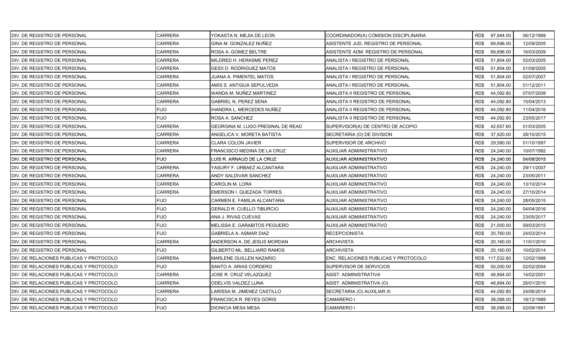| DIV. DE REGISTRO DE PERSONAL            | <b>CARRERA</b> | YOKASTA N. MEJIA DE LEON          | COORDINADOR(A) COMISION DISCIPLINARIA |      | RD\$ 97,944.00  | 06/12/1999 |
|-----------------------------------------|----------------|-----------------------------------|---------------------------------------|------|-----------------|------------|
| DIV. DE REGISTRO DE PERSONAL            | <b>CARRERA</b> | GINA M. GONZALEZ NUÑEZ            | ASISTENTE JUD. REGISTRO DE PERSONAL   | RD\$ | 69,696.00       | 12/09/2005 |
| DIV. DE REGISTRO DE PERSONAL            | <b>CARRERA</b> | ROSA A. GOMEZ BELTRE              | ASISTENTE ADM. REGISTRO DE PERSONAL   | RD\$ | 69,696.00       | 16/03/2009 |
| DIV. DE REGISTRO DE PERSONAL            | <b>CARRERA</b> | MILDRED H. HERASME PEREZ          | ANALISTA I REGISTRO DE PERSONAL       | RD\$ | 51,804.00       | 02/03/2005 |
| DIV. DE REGISTRO DE PERSONAL            | <b>CARRERA</b> | GEIDI D. RODRIGUEZ MATOS          | ANALISTA I REGISTRO DE PERSONAL       | RD\$ | 51,804.00       | 01/09/2005 |
| DIV. DE REGISTRO DE PERSONAL            | CARRERA        | JUANA A. PIMENTEL MATOS           | ANALISTA I REGISTRO DE PERSONAL       | RD\$ | 51,804.00       | 02/07/2007 |
| DIV. DE REGISTRO DE PERSONAL            | <b>CARRERA</b> | AMIS S. ANTIGUA SEPULVEDA         | ANALISTA I REGISTRO DE PERSONAL       | RD\$ | 51,804.00       | 01/12/2011 |
| DIV. DE REGISTRO DE PERSONAL            | <b>CARRERA</b> | WANDA M. NUÑEZ MARTINEZ           | ANALISTA II REGISTRO DE PERSONAL      | RD\$ | 44,092.80       | 07/07/2008 |
| DIV. DE REGISTRO DE PERSONAL            | <b>CARRERA</b> | <b>GABRIEL N. PEREZ SENA</b>      | ANALISTA II REGISTRO DE PERSONAL      | RD\$ | 44,092.80       | 15/04/2013 |
| DIV. DE REGISTRO DE PERSONAL            | <b>FIJO</b>    | HANDRA L. MERCEDES NUÑEZ          | ANALISTA II REGISTRO DE PERSONAL      | RD\$ | 44,092.80       | 11/04/2016 |
| DIV. DE REGISTRO DE PERSONAL            | <b>FIJO</b>    | ROSA A. SANCHEZ                   | ANALISTA II REGISTRO DE PERSONAL      | RD\$ | 44,092.80       | 23/05/2017 |
| DIV. DE REGISTRO DE PERSONAL            | <b>CARRERA</b> | GEORGINA M. LUGO PRESINAL DE READ | SUPERVISOR(A) DE CENTRO DE ACOPIO     | RD\$ | 42,657.60       | 01/03/2005 |
| DIV. DE REGISTRO DE PERSONAL            | <b>CARRERA</b> | ANGELICA V. MORETA BATISTA        | SECRETARIA (O) DE DIVISION            | RD\$ | 37,920.00       | 28/10/2015 |
| DIV. DE REGISTRO DE PERSONAL            | <b>CARRERA</b> | <b>CLARA COLON JAVIER</b>         | SUPERVISOR DE ARCHIVO                 | RD\$ | 29,580.00       | 01/10/1997 |
| DIV. DE REGISTRO DE PERSONAL            | CARRERA        | FRANCISCO MEDINA DE LA CRUZ       | AUXILIAR ADMINISTRATIVO               | RD\$ | 24,240.00       | 10/07/1992 |
| DIV. DE REGISTRO DE PERSONAL            | <b>FIJO</b>    | UIS R. ARNAUD DE LA CRUZ          | AUXILIAR ADMINISTRATIVO               | RD\$ | 24,240.00       | 04/08/2015 |
| DIV. DE REGISTRO DE PERSONAL            | CARRERA        | YASURY F. URBAEZ ALCANTARA        | AUXILIAR ADMINISTRATIVO               | RD\$ | 24,240.00       | 29/11/2007 |
| DIV. DE REGISTRO DE PERSONAL            | <b>CARRERA</b> | ANDY SALDIVAR SANCHEZ             | AUXILIAR ADMINISTRATIVO               | RD\$ | 24,240.00       | 23/05/2011 |
| DIV. DE REGISTRO DE PERSONAL            | <b>CARRERA</b> | CAROLIN M. LORA                   | AUXILIAR ADMINISTRATIVO               | RD\$ | 24,240.00       | 13/10/2014 |
| DIV. DE REGISTRO DE PERSONAL            | <b>CARRERA</b> | EMERSON I. QUEZADA TORRES         | AUXILIAR ADMINISTRATIVO               | RD\$ | 24,240.00       | 27/10/2014 |
| IDIV. DE REGISTRO DE PERSONAL           | <b>FIJO</b>    | CARMEN E. FAMILIA ALCANTARA       | AUXILIAR ADMINISTRATIVO               | RD\$ | 24,240.00       | 28/05/2015 |
| DIV. DE REGISTRO DE PERSONAL            | <b>FIJO</b>    | GERALD R. CUELLO TIBURCIO         | AUXILIAR ADMINISTRATIVO               | RD\$ | 24,240.00       | 04/04/2016 |
| DIV. DE REGISTRO DE PERSONAL            | <b>FIJO</b>    | ANA J. RIVAS CUEVAS               | AUXILIAR ADMINISTRATIVO               | RD\$ | 24,240.00       | 23/05/2017 |
| DIV. DE REGISTRO DE PERSONAL            | <b>FIJO</b>    | MELISSA E. GARABITOS PEGUERO      | AUXILIAR ADMINISTRATIVO               | RD\$ | 21,000.00       | 09/03/2015 |
| DIV. DE REGISTRO DE PERSONAL            | <b>FIJO</b>    | GABRIELA A. ASMAR DIAZ            | <b>RECEPCIONISTA</b>                  | RD\$ | 20,760.00       | 24/03/2014 |
| DIV. DE REGISTRO DE PERSONAL            | <b>CARRERA</b> | ANDERSON A. DE JESUS MORDAN       | <b>ARCHIVISTA</b>                     | RD\$ | 20,160.00       | 11/01/2010 |
| DIV. DE REGISTRO DE PERSONAL            | <b>FIJO</b>    | GILBERTO ML. BELLIARD RAMOS       | ARCHIVISTA                            | RD\$ | 20,160.00       | 10/02/2014 |
| DIV. DE RELACIONES PUBLICAS Y PROTOCOLO | <b>CARRERA</b> | MARLENE GUILLEN NAZARIO           | ENC. RELACIONES PUBLICAS Y PROTOCOLO  |      | RD\$ 117,532.80 | 12/02/1998 |
| DIV. DE RELACIONES PUBLICAS Y PROTOCOLO | <b>FIJO</b>    | SANTO A. ARIAS CORDERO            | SUPERVISOR DE SERVICIOS               | RD\$ | 50,000.00       | 02/02/2004 |
| DIV. DE RELACIONES PUBLICAS Y PROTOCOLO | <b>CARRERA</b> | JOSE R. CRUZ VELAZQUEZ            | ASIST. ADMINISTRATIVA                 | RD\$ | 48,894.00       | 14/02/2001 |
| DIV. DE RELACIONES PUBLICAS Y PROTOCOLO | <b>CARRERA</b> | ODELVIS VALDEZ LUNA               | ASIST. ADMINISTRATIVA (O)             | RD\$ | 48,894.00       | 26/01/2010 |
| DIV. DE RELACIONES PUBLICAS Y PROTOCOLO | CARRERA        | ARISSA M. JIMENEZ CASTILLO        | SECRETARIA (O) AUXILIAR III           | RD\$ | 44,092.80       | 24/06/2014 |
| DIV. DE RELACIONES PUBLICAS Y PROTOCOLO | <b>FIJO</b>    | FRANCISCA R. REYES GORIS          | CAMARERO I                            | RD\$ | 38,088.00       | 18/12/1989 |
| DIV. DE RELACIONES PUBLICAS Y PROTOCOLO | <b>FIJO</b>    | DIONICIA MESA MESA                | <b>CAMARERO I</b>                     | RD\$ | 38,088.00       | 02/09/1991 |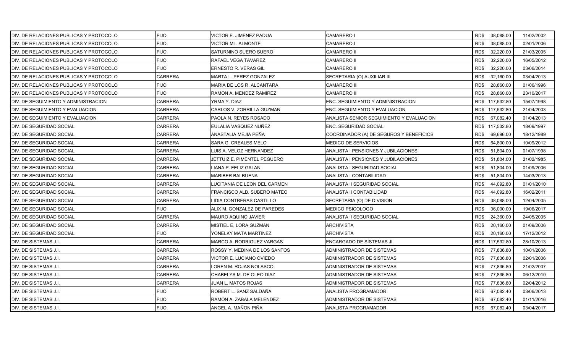| DIV. DE RELACIONES PUBLICAS Y PROTOCOLO | <b>FIJO</b>    | VICTOR E. JIMENEZ PADUA       | CAMARERO I                               | RD\$ 38,088.00    | 11/02/2002 |
|-----------------------------------------|----------------|-------------------------------|------------------------------------------|-------------------|------------|
| DIV. DE RELACIONES PUBLICAS Y PROTOCOLO | <b>FIJO</b>    | VICTOR ML. ALMONTE            | CAMARERO I                               | RD\$<br>38,088.00 | 02/01/2006 |
| DIV. DE RELACIONES PUBLICAS Y PROTOCOLO | <b>FIJO</b>    | SATURNINO SUERO SUERO         | <b>CAMARERO II</b>                       | RD\$<br>32,220.00 | 21/03/2005 |
| DIV. DE RELACIONES PUBLICAS Y PROTOCOLO | <b>FIJO</b>    | RAFAEL VEGA TAVAREZ           | <b>CAMARERO II</b>                       | RD\$<br>32,220.00 | 16/05/2012 |
| DIV. DE RELACIONES PUBLICAS Y PROTOCOLO | <b>FIJO</b>    | <b>ERNESTO R. VERAS GIL</b>   | CAMARERO II                              | RD\$<br>32,220.00 | 03/06/2014 |
| DIV. DE RELACIONES PUBLICAS Y PROTOCOLO | <b>CARRERA</b> | MARTA L. PEREZ GONZALEZ       | SECRETARIA (O) AUXILIAR III              | RD\$<br>32,160.00 | 03/04/2013 |
| DIV. DE RELACIONES PUBLICAS Y PROTOCOLO | <b>FIJO</b>    | MARIA DE LOS R. ALCANTARA     | <b>CAMARERO III</b>                      | 28,860.00<br>RD\$ | 01/06/1996 |
| DIV. DE RELACIONES PUBLICAS Y PROTOCOLO | <b>FIJO</b>    | RAMON A. MENDEZ RAMIREZ       | <b>CAMARERO III</b>                      | 28,860.00<br>RD\$ | 23/10/2017 |
| DIV. DE SEGUIMIENTO Y ADMINISTRACION    | CARRERA        | YRMA Y. DIAZ                  | ENC. SEGUIMIENTO Y ADMINISTRACION        | RD\$ 117,532.80   | 15/07/1998 |
| DIV. DE SEGUIMIENTO Y EVALUACION        | CARRERA        | CARLOS V. ZORRILLA GUZMAN     | ENC. SEGUIMIENTO Y EVALUACION            | RD\$ 117,532.80   | 21/04/2003 |
| DIV. DE SEGUIMIENTO Y EVALUACION        | CARRERA        | PAOLA N. REYES ROSADO         | ANALISTA SENIOR SEGUIMIENTO Y EVALUACION | RD\$<br>67,082.40 | 01/04/2013 |
| DIV. DE SEGURIDAD SOCIAL                | CARRERA        | EULALIA VASQUEZ NUÑEZ         | ENC. SEGURIDAD SOCIAL                    | RD\$ 117,532.80   | 18/09/1997 |
| DIV. DE SEGURIDAD SOCIAL                | CARRERA        | ANASTALIA MEJIA PEÑA          | COORDINADOR (A) DE SEGUROS Y BENEFICIOS  | RD\$<br>69,696.00 | 18/12/1989 |
| DIV. DE SEGURIDAD SOCIAL                | <b>CARRERA</b> | SARA G. CREALES MELO          | MEDICO DE SERVICIOS                      | RD\$<br>64,800.00 | 10/09/2012 |
| DIV. DE SEGURIDAD SOCIAL                | CARRERA        | LUIS A. VELOZ HERNANDEZ       | ANALISTA I PENSIONES Y JUBILACIONES      | RD\$<br>51,804.00 | 01/07/1998 |
| DIV. DE SEGURIDAD SOCIAL                | CARRERA        | JETTUIZ E. PIMENTEL PEGUERO   | ANALISTA I PENSIONES Y JUBILACIONES      | RD\$<br>51,804.00 | 21/02/1985 |
| DIV. DE SEGURIDAD SOCIAL                | CARRERA        | LIANA P. FELIZ GALAN          | ANALISTA I SEGURIDAD SOCIAL              | RD\$<br>51,804.00 | 01/09/2006 |
| DIV. DE SEGURIDAD SOCIAL                | <b>CARRERA</b> | <b>MARIBER BALBUENA</b>       | ANALISTA I CONTABILIDAD                  | RD\$<br>51,804.00 | 14/03/2013 |
| DIV. DE SEGURIDAD SOCIAL                | <b>CARRERA</b> | LUCITANIA DE LEON DEL CARMEN  | ANALISTA II SEGURIDAD SOCIAL             | RD\$<br>44,092.80 | 01/01/2010 |
| DIV. DE SEGURIDAD SOCIAL                | <b>CARRERA</b> | FRANCISCO ALB. SUBERO MATEO   | ANALISTA II CONTABILIDAD                 | RD\$<br>44,092.80 | 16/02/2011 |
| DIV. DE SEGURIDAD SOCIAL                | <b>CARRERA</b> | LIDIA CONTRERAS CASTILLO      | SECRETARIA (O) DE DIVISION               | 38,088.00<br>RD\$ | 12/04/2005 |
| DIV. DE SEGURIDAD SOCIAL                | FIJO.          | ALIX M. GONZALEZ DE PAREDES   | MEDICO PSICOLOGO                         | RD\$<br>36,000.00 | 19/06/2017 |
| DIV. DE SEGURIDAD SOCIAL                | CARRERA        | MAURO AQUINO JAVIER           | ANALISTA II SEGURIDAD SOCIAL             | RD\$<br>24,360.00 | 24/05/2005 |
| DIV. DE SEGURIDAD SOCIAL                | CARRERA        | MISTIEL E. LORA GUZMAN        | <b>ARCHIVISTA</b>                        | 20,160.00<br>RD\$ | 01/09/2006 |
| DIV. DE SEGURIDAD SOCIAL                | <b>FIJO</b>    | YONELKY MATA MARTINEZ         | ARCHIVISTA                               | RD\$<br>20,160.00 | 17/12/2012 |
| DIV. DE SISTEMAS J.I.                   | CARRERA        | MARCO A. RODRIGUEZ VARGAS     | ENCARGADO DE SISTEMAS JI                 | RD\$ 117,532.80   | 28/10/2013 |
| DIV. DE SISTEMAS J.I.                   | CARRERA        | ROSSY Y. MEDINA DE LOS SANTOS | ADMINISTRADOR DE SISTEMAS                | RD\$<br>77,836.80 | 10/01/2006 |
| DIV. DE SISTEMAS J.I.                   | <b>CARRERA</b> | VICTOR E. LUCIANO OVIEDO      | ADMINISTRADOR DE SISTEMAS                | RD\$<br>77,836.80 | 02/01/2006 |
| DIV. DE SISTEMAS J.I.                   | <b>CARRERA</b> | LOREN M. ROJAS NOLASCO        | ADMINISTRADOR DE SISTEMAS                | RD\$<br>77,836.80 | 21/02/2007 |
| DIV. DE SISTEMAS J.I.                   | CARRERA        | CHABELYS M. DE OLEO DIAZ      | ADMINISTRADOR DE SISTEMAS                | RD\$<br>77,836.80 | 06/12/2010 |
| DIV. DE SISTEMAS J.I.                   | <b>CARRERA</b> | JUAN L. MATOS ROJAS           | ADMINISTRADOR DE SISTEMAS                | RD\$<br>77,836.80 | 02/04/2012 |
| DIV. DE SISTEMAS J.I.                   | <b>FIJO</b>    | ROBERT L. SANZ SALDAÑA        | ANALISTA PROGRAMADOR                     | 67,082.40<br>RD\$ | 03/06/2013 |
| DIV. DE SISTEMAS J.I.                   | FIJO           | RAMON A. ZABALA MELENDEZ      | ADMINISTRADOR DE SISTEMAS                | RD\$<br>67,082.40 | 01/11/2016 |
| DIV. DE SISTEMAS J.I.                   | <b>FIJO</b>    | ANGEL A. MAÑON PIÑA           | <b>ANALISTA PROGRAMADOR</b>              | RD\$ 67,082.40    | 03/04/2017 |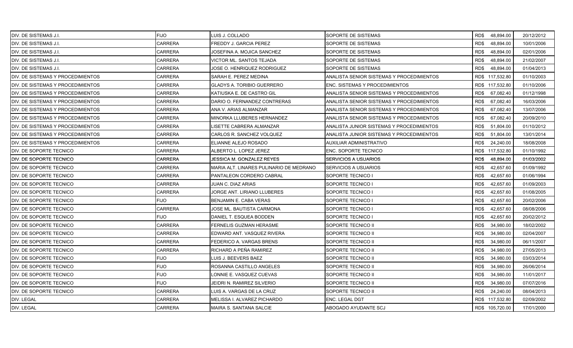| DIV. DE SISTEMAS J.I.                     | <b>FIJO</b>    | LUIS J. COLLADO                         | SOPORTE DE SISTEMAS                       | RD\$48,894.00     | 20/12/2012 |
|-------------------------------------------|----------------|-----------------------------------------|-------------------------------------------|-------------------|------------|
| DIV. DE SISTEMAS J.I.                     | <b>CARRERA</b> | FREDDY J. GARCIA PEREZ                  | SOPORTE DE SISTEMAS                       | RD\$<br>48,894.00 | 10/01/2006 |
| DIV. DE SISTEMAS J.I.                     | <b>CARRERA</b> | JOSEFINA A. MOJICA SANCHEZ              | SOPORTE DE SISTEMAS                       | RD\$<br>48,894.00 | 02/01/2006 |
| DIV. DE SISTEMAS J.I.                     | <b>CARRERA</b> | VICTOR ML. SANTOS TEJADA                | SOPORTE DE SISTEMAS                       | RD\$<br>48,894.00 | 21/02/2007 |
| DIV. DE SISTEMAS J.I.                     | <b>CARRERA</b> | JOSE O. HENRIQUEZ RODRIGUEZ             | SOPORTE DE SISTEMAS                       | RD\$<br>48,894.00 | 01/04/2013 |
| DIV. DE SISTEMAS Y PROCEDIMIENTOS         | CARRERA        | SARAH E. PEREZ MEDINA                   | ANALISTA SENIOR SISTEMAS Y PROCEDIMIENTOS | RD\$ 117,532.80   | 01/10/2003 |
| DIV. DE SISTEMAS Y PROCEDIMIENTOS         | CARRERA        | <b>GLADYS A. TORIBIO GUERRERO</b>       | ENC. SISTEMAS Y PROCEDIMIENTOS            | RD\$ 117,532.80   | 01/10/2006 |
| DIV. DE SISTEMAS Y PROCEDIMIENTOS         | CARRERA        | KATIUSKA E. DE CASTRO GIL               | ANALISTA SENIOR SISTEMAS Y PROCEDIMIENTOS | RD\$<br>67,082.40 | 01/12/1998 |
| DIV. DE SISTEMAS Y PROCEDIMIENTOS         | <b>CARRERA</b> | DARIO O. FERNANDEZ CONTRERAS            | ANALISTA SENIOR SISTEMAS Y PROCEDIMIENTOS | RD\$<br>67,082.40 | 16/03/2006 |
| <b>IDIV. DE SISTEMAS Y PROCEDIMIENTOS</b> | CARRERA        | ANA V. ARIAS ALMANZAR                   | ANALISTA SENIOR SISTEMAS Y PROCEDIMIENTOS | RD\$<br>67,082.40 | 13/07/2006 |
| DIV. DE SISTEMAS Y PROCEDIMIENTOS         | CARRERA        | MINORKA LLUBERES HERNANDEZ              | ANALISTA SENIOR SISTEMAS Y PROCEDIMIENTOS | RD\$<br>67,082.40 | 20/09/2010 |
| DIV. DE SISTEMAS Y PROCEDIMIENTOS         | CARRERA        | ISETTE CABRERA ALMANZAR                 | ANALISTA JUNIOR SISTEMAS Y PROCEDIMIENTOS | RD\$<br>51,804.00 | 01/10/2012 |
| DIV. DE SISTEMAS Y PROCEDIMIENTOS         | <b>CARRERA</b> | CARLOS R. SANCHEZ VOLQUEZ               | ANALISTA JUNIOR SISTEMAS Y PROCEDIMIENTOS | RD\$<br>51,804.00 | 13/01/2014 |
| DIV. DE SISTEMAS Y PROCEDIMIENTOS         | <b>CARRERA</b> | ELIANNE ALEJO ROSADO                    | AUXILIAR ADMINISTRATIVO                   | RD\$<br>24,240.00 | 18/08/2008 |
| DIV. DE SOPORTE TECNICO                   | <b>CARRERA</b> | ALBERTO L. LOPEZ JEREZ                  | <b>ENC. SOPORTE TECNICO</b>               | RD\$ 117,532.80   | 01/10/1992 |
| IDIV. DE SOPORTE TECNICO                  | <b>CARRERA</b> | JESSICA M. GONZALEZ REYES               | <b>SERVICIOS A USUARIOS</b>               | 48,894.00<br>RD\$ | 01/03/2002 |
| DIV. DE SOPORTE TECNICO                   | CARRERA        | MARIA ALT. LINARES PULINARIO DE MEDRANO | <b>SERVICIOS A USUARIOS</b>               | 42,657.60<br>RD\$ | 01/09/1992 |
| DIV. DE SOPORTE TECNICO                   | <b>CARRERA</b> | PANTALEON CORDERO CABRAL                | SOPORTE TECNICO I                         | RD\$<br>42,657.60 | 01/06/1994 |
| DIV. DE SOPORTE TECNICO                   | <b>CARRERA</b> | JUAN C. DIAZ ARIAS                      | SOPORTE TECNICO I                         | RD\$<br>42,657.60 | 01/09/2003 |
| DIV. DE SOPORTE TECNICO                   | <b>CARRERA</b> | JORGE ANT. LIRIANO LLUBERES             | SOPORTE TECNICO I                         | RD\$<br>42,657.60 | 01/08/2005 |
| DIV. DE SOPORTE TECNICO                   | <b>FIJO</b>    | BENJAMIN E. CABA VERAS                  | SOPORTE TECNICO I                         | 42,657.60<br>RD\$ | 20/02/2006 |
| DIV. DE SOPORTE TECNICO                   | <b>CARRERA</b> | JOSE ML. BAUTISTA CARMONA               | SOPORTE TECNICO I                         | RD\$<br>42,657.60 | 08/08/2006 |
| DIV. DE SOPORTE TECNICO                   | <b>FIJO</b>    | DANIEL T. ESQUEA BODDEN                 | SOPORTE TECNICO I                         | RD\$<br>42,657.60 | 20/02/2012 |
| DIV. DE SOPORTE TECNICO                   | <b>CARRERA</b> | FERNELIS GUZMAN HERASME                 | SOPORTE TECNICO II                        | 34,980.00<br>RD\$ | 18/02/2002 |
| DIV. DE SOPORTE TECNICO                   | <b>CARRERA</b> | EDWARD ANT. VASQUEZ RIVERA              | SOPORTE TECNICO II                        | RD\$<br>34,980.00 | 02/04/2007 |
| DIV. DE SOPORTE TECNICO                   | <b>CARRERA</b> | FEDERICO A. VARGAS BRENS                | SOPORTE TECNICO II                        | RD\$<br>34,980.00 | 06/11/2007 |
| DIV. DE SOPORTE TECNICO                   | CARRERA        | RICHARD A PEÑA RAMIREZ                  | SOPORTE TECNICO II                        | RD\$<br>34,980.00 | 27/05/2013 |
| DIV. DE SOPORTE TECNICO                   | <b>FIJO</b>    | LUIS J. BEEVERS BAEZ                    | SOPORTE TECNICO II                        | RD\$<br>34,980.00 | 03/03/2014 |
| DIV. DE SOPORTE TECNICO                   | <b>FIJO</b>    | ROSANNA CASTILLO ANGELES                | SOPORTE TECNICO II                        | RD\$<br>34,980.00 | 26/06/2014 |
| DIV. DE SOPORTE TECNICO                   | <b>FIJO</b>    | LONNIE E. VASQUEZ CUEVAS                | SOPORTE TECNICO II                        | RD\$<br>34,980.00 | 11/01/2017 |
| DIV. DE SOPORTE TECNICO                   | <b>FIJO</b>    | JEIDRI N. RAMIREZ SILVERIO              | SOPORTE TECNICO II                        | RD\$<br>34,980.00 | 07/07/2016 |
| DIV. DE SOPORTE TECNICO                   | CARRERA        | LUIS A. VARGAS DE LA CRUZ               | SOPORTE TECNICO II                        | RD\$<br>24,240.00 | 08/04/2013 |
| DIV. LEGAL                                | CARRERA        | MELISSA I. ALVAREZ PICHARDO             | ENC. LEGAL DGT                            | RD\$ 117,532.80   | 02/09/2002 |
| DIV. LEGAL                                | <b>CARRERA</b> | MAIRA S. SANTANA SALCIE                 | ABOGADO AYUDANTE SCJ                      | RD\$ 105,720.00   | 17/01/2000 |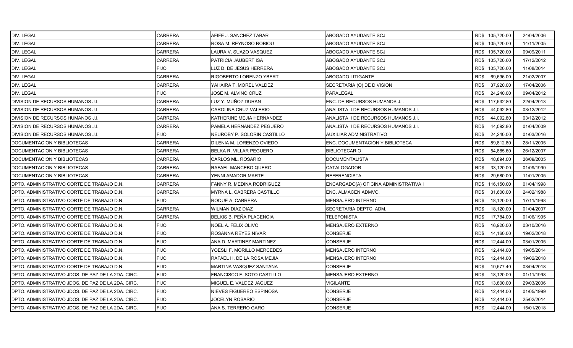| DIV. LEGAL                                         | <b>CARRERA</b> | AFIFE J. SANCHEZ TABAR      | ABOGADO AYUDANTE SCJ                  | RD\$ 105,720.00   | 24/04/2006 |
|----------------------------------------------------|----------------|-----------------------------|---------------------------------------|-------------------|------------|
| DIV. LEGAL                                         | <b>CARRERA</b> | ROSA M. REYNOSO ROBIOU      | ABOGADO AYUDANTE SCJ                  | RD\$ 105,720.00   | 14/11/2005 |
| DIV. LEGAL                                         | <b>CARRERA</b> | LAURA V. SUAZO VASQUEZ      | ABOGADO AYUDANTE SCJ                  | RD\$ 105,720.00   | 09/09/2011 |
| DIV. LEGAL                                         | <b>CARRERA</b> | PATRICIA JAUBERT ISA        | ABOGADO AYUDANTE SCJ                  | RD\$ 105,720.00   | 17/12/2012 |
| DIV. LEGAL                                         | <b>FIJO</b>    | LUZ D. DE JESUS HERRERA     | ABOGADO AYUDANTE SCJ                  | RD\$ 105,720.00   | 11/08/2014 |
| DIV. LEGAL                                         | <b>CARRERA</b> | RIGOBERTO LORENZO YBERT     | ABOGADO LITIGANTE                     | RD\$<br>69,696.00 | 21/02/2007 |
| DIV. LEGAL                                         | <b>CARRERA</b> | YAHAIRA T. MOREL VALDEZ     | SECRETARIA (O) DE DIVISION            | RD\$<br>37,920.00 | 17/04/2006 |
| DIV. LEGAL                                         | <b>FIJO</b>    | JOSE M. ALVINO CRUZ         | PARALEGAL                             | RD\$<br>24,240.00 | 09/04/2012 |
| DIVISION DE RECURSOS HUMANOS J.I.                  | <b>CARRERA</b> | LUZ Y. MUÑOZ DURAN          | ENC. DE RECURSOS HUMANOS J.I.         | RD\$ 117,532.80   | 22/04/2013 |
| DIVISION DE RECURSOS HUMANOS J.I.                  | <b>CARRERA</b> | CAROLINA CRUZ VALERIO       | ANALISTA II DE RECURSOS HUMANOS J.I.  | RD\$<br>44,092.80 | 03/12/2012 |
| DIVISION DE RECURSOS HUMANOS J.I.                  | <b>CARRERA</b> | KATHERINE MEJIA HERNANDEZ   | ANALISTA II DE RECURSOS HUMANOS J.I.  | 44,092.80<br>RD\$ | 03/12/2012 |
| DIVISION DE RECURSOS HUMANOS J.I.                  | <b>CARRERA</b> | PAMELA HERNANDEZ PEGUERO    | ANALISTA II DE RECURSOS HUMANOS J.I.  | RD\$<br>44,092.80 | 01/04/2009 |
| DIVISION DE RECURSOS HUMANOS J.I.                  | <b>FIJO</b>    | NEUROBY P. SOLORIN CASTILLO | AUXILIAR ADMINISTRATIVO               | RD\$<br>24,240.00 | 01/03/2016 |
| DOCUMENTACION Y BIBLIOTECAS                        | <b>CARRERA</b> | DILENIA M. LORENZO OVIEDO   | ENC. DOCUMENTACION Y BIBLIOTECA       | RD\$<br>89,812.80 | 28/11/2005 |
| DOCUMENTACION Y BIBLIOTECAS                        | <b>CARRERA</b> | BELKA R. VILLAR PEGUERO     | <b>BIBLIOTECARIO I</b>                | RD\$<br>54,885.60 | 26/12/2007 |
| DOCUMENTACION Y BIBLIOTECAS                        | <b>CARRERA</b> | CARLOS ML. ROSARIO          | DOCUMENTALISTA                        | 48,894.00<br>RD\$ | 26/09/2005 |
| DOCUMENTACION Y BIBLIOTECAS                        | <b>CARRERA</b> | RAFAEL MANCEBO QUERO        | CATALOGADOR                           | RD\$<br>33,120.00 | 01/09/1990 |
| DOCUMENTACION Y BIBLIOTECAS                        | <b>CARRERA</b> | YENNI AMADOR MARTE          | <b>REFERENCISTA</b>                   | RD\$<br>29,580.00 | 11/01/2005 |
| DPTO. ADMINISTRATIVO CORTE DE TRABAJO D.N.         | <b>CARRERA</b> | FANNY R. MEDINA RODRIGUEZ   | ENCARGADO(A) OFICINA ADMINISTRATIVA I | RD\$ 116,150.00   | 01/04/1998 |
| DPTO. ADMINISTRATIVO CORTE DE TRABAJO D.N.         | <b>CARRERA</b> | MYRNA L. CABRERA CASTILLO   | ENC. ALMACEN ADMVO.                   | RD\$<br>31,600.00 | 24/02/1988 |
| DPTO. ADMINISTRATIVO CORTE DE TRABAJO D.N.         | <b>FIJO</b>    | ROQUE A. CABRERA            | MENSAJERO INTERNO                     | RD\$<br>18,120.00 | 17/11/1998 |
| DPTO. ADMINISTRATIVO CORTE DE TRABAJO D.N.         | <b>CARRERA</b> | WILMAN DIAZ DIAZ            | SECRETARIA DEPTO. ADM.                | RD\$<br>18,120.00 | 01/04/2007 |
| DPTO. ADMINISTRATIVO CORTE DE TRABAJO D.N.         | <b>CARRERA</b> | BELKIS B. PEÑA PLACENCIA    | <b>TELEFONISTA</b>                    | RD\$<br>17,784.00 | 01/06/1995 |
| DPTO. ADMINISTRATIVO CORTE DE TRABAJO D.N.         | <b>FIJO</b>    | NOEL A. FELIX OLIVO         | MENSAJERO EXTERNO                     | 16,920.00<br>RD\$ | 03/10/2016 |
| DPTO. ADMINISTRATIVO CORTE DE TRABAJO D.N.         | <b>FIJO</b>    | ROSANNA REYES NIVAR         | CONSERJE                              | RD\$<br>14,160.00 | 19/02/2018 |
| DPTO. ADMINISTRATIVO CORTE DE TRABAJO D.N.         | <b>FIJO</b>    | ANA D. MARTINEZ MARTINEZ    | CONSERJE                              | 12,444.00<br>RD\$ | 03/01/2005 |
| DPTO. ADMINISTRATIVO CORTE DE TRABAJO D.N.         | <b>FIJO</b>    | YOESLI F. MORILLO MERCEDES  | MENSAJERO INTERNO                     | RD\$<br>12,444.00 | 19/05/2014 |
| DPTO. ADMINISTRATIVO CORTE DE TRABAJO D.N.         | <b>FIJO</b>    | RAFAEL H. DE LA ROSA MEJIA  | MENSAJERO INTERNO                     | RD\$<br>12,444.00 | 19/02/2018 |
| DPTO. ADMINISTRATIVO CORTE DE TRABAJO D.N.         | <b>FIJO</b>    | MARTINA VASQUEZ SANTANA     | <b>CONSERJE</b>                       | RD\$<br>10,577.40 | 03/04/2018 |
| DPTO. ADMINISTRATIVO JDOS. DE PAZ DE LA 2DA. CIRC. | <b>FIJO</b>    | FRANCISCO F. SOTO CASTILLO  | MENSAJERO EXTERNO                     | RD\$<br>18,120.00 | 01/11/1998 |
| DPTO. ADMINISTRATIVO JDOS. DE PAZ DE LA 2DA. CIRC. | <b>FIJO</b>    | MIGUEL E. VALDEZ JAQUEZ     | VIGILANTE                             | RD\$<br>13,800.00 | 29/03/2006 |
| DPTO. ADMINISTRATIVO JDOS. DE PAZ DE LA 2DA. CIRC. | <b>FIJO</b>    | NIEVES FIGUEREO ESPINOSA    | CONSERJE                              | 12,444.00<br>RD\$ | 01/05/1999 |
| DPTO. ADMINISTRATIVO JDOS. DE PAZ DE LA 2DA. CIRC. | <b>FIJO</b>    | JOCELYN ROSARIO             | CONSERJE                              | RD\$<br>12,444.00 | 25/02/2014 |
| DPTO, ADMINISTRATIVO JDOS, DE PAZ DE LA 2DA, CIRC. | <b>FIJO</b>    | ANA S. TERRERO GARO         | CONSERJE                              | 12,444.00<br>RD\$ | 15/01/2018 |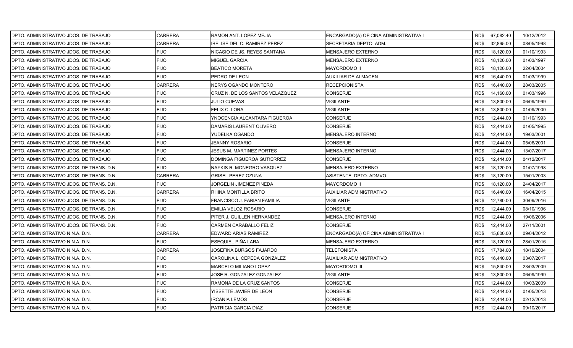| DPTO. ADMINISTRATIVO JDOS. DE TRABAJO     | <b>CARRERA</b> | RAMON ANT. LOPEZ MEJIA              | ENCARGADO(A) OFICINA ADMINISTRATIVA I |      | RD\$ 67,082.40 | 10/12/2012 |
|-------------------------------------------|----------------|-------------------------------------|---------------------------------------|------|----------------|------------|
| IDPTO. ADMINISTRATIVO JDOS. DE TRABAJO    | <b>CARRERA</b> | <b>IBELISE DEL C. RAMIREZ PEREZ</b> | SECRETARIA DEPTO. ADM.                | RD\$ | 32,895.00      | 08/05/1998 |
| DPTO. ADMINISTRATIVO JDOS. DE TRABAJO     | <b>FIJO</b>    | NICASIO DE JS. REYES SANTANA        | <b>MENSAJERO EXTERNO</b>              | RD\$ | 18,120.00      | 01/10/1993 |
| DPTO. ADMINISTRATIVO JDOS. DE TRABAJO     | <b>FIJO</b>    | MIGUEL GARCIA                       | MENSAJERO EXTERNO                     | RD\$ | 18,120.00      | 01/03/1997 |
| DPTO. ADMINISTRATIVO JDOS. DE TRABAJO     | <b>FIJO</b>    | <b>BEATICO MORETA</b>               | MAYORDOMO II                          | RD\$ | 18,120.00      | 22/04/2004 |
| DPTO. ADMINISTRATIVO JDOS. DE TRABAJO     | <b>FIJO</b>    | PEDRO DE LEON                       | AUXILIAR DE ALMACEN                   | RD\$ | 16,440.00      | 01/03/1999 |
| DPTO. ADMINISTRATIVO JDOS. DE TRABAJO     | <b>CARRERA</b> | NERYS OGANDO MONTERO                | RECEPCIONISTA                         | RD\$ | 16,440.00      | 28/03/2005 |
| DPTO. ADMINISTRATIVO JDOS. DE TRABAJO     | <b>FIJO</b>    | CRUZ N. DE LOS SANTOS VELAZQUEZ     | <b>CONSERJE</b>                       | RD\$ | 14,160.00      | 01/03/1996 |
| DPTO. ADMINISTRATIVO JDOS. DE TRABAJO     | <b>FIJO</b>    | <b>JULIO CUEVAS</b>                 | VIGILANTE                             | RD\$ | 13,800.00      | 06/09/1999 |
| IDPTO. ADMINISTRATIVO JDOS. DE TRABAJO    | <b>FIJO</b>    | FELIX C. LORA                       | <b>VIGILANTE</b>                      | RD\$ | 13,800.00      | 01/09/2000 |
| DPTO. ADMINISTRATIVO JDOS. DE TRABAJO     | <b>FIJO</b>    | YNOCENCIA ALCANTARA FIGUEROA        | CONSERJE                              | RD\$ | 12,444.00      | 01/10/1993 |
| DPTO. ADMINISTRATIVO JDOS. DE TRABAJO     | <b>FIJO</b>    | DAMARIS LAURENT OLIVERO             | CONSERJE                              | RD\$ | 12,444.00      | 01/05/1995 |
| DPTO. ADMINISTRATIVO JDOS. DE TRABAJO     | <b>FIJO</b>    | YUDELKA OGANDO                      | MENSAJERO INTERNO                     | RD\$ | 12,444.00      | 19/03/2001 |
| DPTO. ADMINISTRATIVO JDOS. DE TRABAJO     | <b>FIJO</b>    | JEANNY ROSARIO                      | CONSERJE                              | RD\$ | 12,444.00      | 05/06/2001 |
| DPTO. ADMINISTRATIVO JDOS. DE TRABAJO     | <b>FIJO</b>    | <b>JESUS M. MARTINEZ PORTES</b>     | MENSAJERO INTERNO                     | RD\$ | 12,444.00      | 13/07/2017 |
| DPTO. ADMINISTRATIVO JDOS. DE TRABAJO     | <b>FIJO</b>    | DOMINGA FIGUEROA GUTIERREZ          | CONSERJE                              | RD\$ | 12.444.00      | 04/12/2017 |
| DPTO. ADMINISTRATIVO JDOS. DE TRANS. D.N. | <b>FIJO</b>    | NAYKIS R. MONEGRO VASQUEZ           | MENSAJERO EXTERNO                     | RD\$ | 18,120.00      | 01/07/1998 |
| DPTO. ADMINISTRATIVO JDOS. DE TRANS. D.N. | <b>CARRERA</b> | <b>GRISEL PEREZ OZUNA</b>           | ASISTENTE DPTO ADMVO.                 | RD\$ | 18,120.00      | 15/01/2003 |
| DPTO. ADMINISTRATIVO JDOS. DE TRANS. D.N. | <b>FIJO</b>    | JORGELIN JIMENEZ PINEDA             | <b>MAYORDOMO II</b>                   | RD\$ | 18,120.00      | 24/04/2017 |
| DPTO. ADMINISTRATIVO JDOS. DE TRANS. D.N. | <b>CARRERA</b> | RHINA MONTILLA BRITO                | AUXILIAR ADMINISTRATIVO               | RD\$ | 16,440.00      | 16/04/2015 |
| DPTO. ADMINISTRATIVO JDOS. DE TRANS. D.N. | <b>FIJO</b>    | FRANCISCO J. FABIAN FAMILIA         | VIGILANTE                             | RD\$ | 12,780.00      | 30/09/2016 |
| DPTO. ADMINISTRATIVO JDOS. DE TRANS. D.N. | <b>FIJO</b>    | EMILIA VELOZ ROSARIO                | CONSERJE                              | RD\$ | 12,444.00      | 08/10/1996 |
| DPTO. ADMINISTRATIVO JDOS. DE TRANS. D.N. | <b>FIJO</b>    | PITER J. GUILLEN HERNANDEZ          | MENSAJERO INTERNO                     | RD\$ | 12,444.00      | 19/06/2006 |
| DPTO. ADMINISTRATIVO JDOS. DE TRANS. D.N. | <b>FIJO</b>    | CARMEN CARABALLO FELIZ              | <b>CONSERJE</b>                       | RD\$ | 12,444.00      | 27/11/2001 |
| DPTO. ADMINISTRATIVO N.N.A. D.N.          | <b>CARRERA</b> | EDWARD ARIAS RAMIREZ                | ENCARGADO(A) OFICINA ADMINISTRATIVA I | RD\$ | 45,600.00      | 09/04/2012 |
| DPTO. ADMINISTRATIVO N.N.A. D.N.          | <b>FIJO</b>    | ESEQUIEL PIÑA LARA                  | MENSAJERO EXTERNO                     | RD\$ | 18,120.00      | 28/01/2016 |
| DPTO. ADMINISTRATIVO N.N.A. D.N.          | <b>CARRERA</b> | JOSEFINA BURGOS FAJARDO             | TELEFONISTA                           | RD\$ | 17,784.00      | 18/10/2004 |
| IDPTO. ADMINISTRATIVO N.N.A. D.N.         | <b>FIJO</b>    | CAROLINA L. CEPEDA GONZALEZ         | AUXILIAR ADMINISTRATIVO               | RD\$ | 16,440.00      | 03/07/2017 |
| DPTO. ADMINISTRATIVO N.N.A. D.N.          | <b>FIJO</b>    | <b>MARCELO MILIANO LOPEZ</b>        | <b>MAYORDOMO III</b>                  | RD\$ | 15,840.00      | 23/03/2009 |
| IDPTO. ADMINISTRATIVO N.N.A. D.N.         | <b>FIJO</b>    | JOSE R. GONZALEZ GONZALEZ           | VIGILANTE                             | RD\$ | 13,800.00      | 06/09/1999 |
| DPTO. ADMINISTRATIVO N.N.A. D.N.          | <b>FIJO</b>    | RAMONA DE LA CRUZ SANTOS            | <b>CONSERJE</b>                       | RD\$ | 12,444.00      | 10/03/2009 |
| DPTO. ADMINISTRATIVO N.N.A. D.N.          | <b>FIJO</b>    | YISSETTE JAVIER DE LEON             | CONSERJE                              | RD\$ | 12,444.00      | 01/05/2013 |
| DPTO. ADMINISTRATIVO N.N.A. D.N.          | <b>FIJO</b>    | <b>IRCANIA LEMOS</b>                | CONSERJE                              | RD\$ | 12,444.00      | 02/12/2013 |
| DPTO. ADMINISTRATIVO N.N.A. D.N.          | <b>FIJO</b>    | PATRICIA GARCIA DIAZ                | <b>CONSERJE</b>                       | RD\$ | 12,444.00      | 09/10/2017 |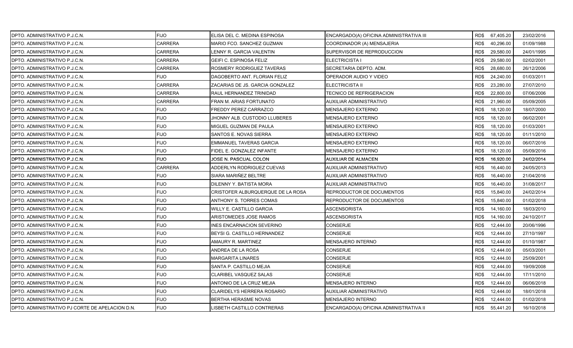| DPTO. ADMINISTRATIVO P.J.C.N.                   | <b>FIJO</b>    | IELISA DEL C. MEDINA ESPINOSA     | ENCARGADO(A) OFICINA ADMINISTRATIVA III |      | RD\$ 67,405.20 | 23/02/2016 |
|-------------------------------------------------|----------------|-----------------------------------|-----------------------------------------|------|----------------|------------|
| DPTO. ADMINISTRATIVO P.J.C.N.                   | <b>CARRERA</b> | MARIO FCO. SANCHEZ GUZMAN         | COORDINADOR (A) MENSAJERIA              | RD\$ | 40,296.00      | 01/09/1988 |
| DPTO. ADMINISTRATIVO P.J.C.N.                   | <b>CARRERA</b> | LENNY R. GARCIA VALENTIN          | SUPERVISOR DE REPRODUCCION              | RD\$ | 29,580.00      | 24/01/1995 |
| DPTO. ADMINISTRATIVO P.J.C.N.                   | <b>CARRERA</b> | <b>GEIFI C. ESPINOSA FELIZ</b>    | ELECTRICISTA I                          | RD\$ | 29,580.00      | 02/02/2001 |
| DPTO. ADMINISTRATIVO P.J.C.N.                   | <b>CARRERA</b> | ROSMERY RODRIGUEZ TAVERAS         | SECRETARIA DEPTO. ADM.                  | RD\$ | 28,680.00      | 26/12/2006 |
| DPTO. ADMINISTRATIVO P.J.C.N.                   | FIJO           | DAGOBERTO ANT. FLORIAN FELIZ      | OPERADOR AUDIO Y VIDEO                  | RD\$ | 24,240.00      | 01/03/2011 |
| DPTO. ADMINISTRATIVO P.J.C.N.                   | <b>CARRERA</b> | ZACARIAS DE JS. GARCIA GONZALEZ   | <b>ELECTRICISTA II</b>                  | RD\$ | 23,280.00      | 27/07/2010 |
| DPTO. ADMINISTRATIVO P.J.C.N.                   | <b>CARRERA</b> | RAUL HERNANDEZ TRINIDAD           | TECNICO DE REFRIGERACION                | RD\$ | 22,800.00      | 07/06/2006 |
| DPTO. ADMINISTRATIVO P.J.C.N.                   | <b>CARRERA</b> | FRAN M. ARIAS FORTUNATO           | AUXILIAR ADMINISTRATIVO                 | RD\$ | 21,960.00      | 05/09/2005 |
| DPTO. ADMINISTRATIVO P.J.C.N.                   | <b>FIJO</b>    | FREDDY PEREZ CARRAZCO             | MENSAJERO EXTERNO                       | RD\$ | 18,120.00      | 18/07/2000 |
| DPTO. ADMINISTRATIVO P.J.C.N.                   | <b>FIJO</b>    | JHONNY ALB. CUSTODIO LLUBERES     | MENSAJERO EXTERNO                       | RD\$ | 18,120.00      | 06/02/2001 |
| DPTO. ADMINISTRATIVO P.J.C.N.                   | <b>FIJO</b>    | MIGUEL GUZMAN DE PAULA            | MENSAJERO EXTERNO                       | RD\$ | 18,120.00      | 01/03/2001 |
| DPTO. ADMINISTRATIVO P.J.C.N.                   | <b>FIJO</b>    | SANTOS E. NOVAS SIERRA            | MENSAJERO EXTERNO                       | RD\$ | 18,120.00      | 01/11/2010 |
| DPTO. ADMINISTRATIVO P.J.C.N.                   | <b>FIJO</b>    | <b>EMMANUEL TAVERAS GARCIA</b>    | MENSAJERO EXTERNO                       | RD\$ | 18,120.00      | 06/07/2016 |
| DPTO. ADMINISTRATIVO P.J.C.N.                   | <b>FIJO</b>    | FIDEL E. GONZALEZ INFANTE         | <b>MENSAJERO EXTERNO</b>                | RD\$ | 18,120.00      | 05/09/2016 |
| DPTO. ADMINISTRATIVO P.J.C.N.                   | <b>FIJO</b>    | JOSE N. PASCUAL COLON             | <b>AUXILIAR DE ALMACEN</b>              | RD\$ | 16,920.00      | 24/02/2014 |
| DPTO. ADMINISTRATIVO P.J.C.N.                   | <b>CARRERA</b> | ADDERLYN RODRIGUEZ CUEVAS         | AUXILIAR ADMINISTRATIVO                 | RD\$ | 16,440.00      | 24/05/2013 |
| DPTO. ADMINISTRATIVO P.J.C.N.                   | <b>FIJO</b>    | SIARA MARIÑEZ BELTRE              | AUXILIAR ADMINISTRATIVO                 | RD\$ | 16,440.00      | 21/04/2016 |
| DPTO. ADMINISTRATIVO P.J.C.N.                   | <b>FIJO</b>    | <b>DILENNY Y. BATISTA MORA</b>    | <b>AUXILIAR ADMINISTRATIVO</b>          | RD\$ | 16,440.00      | 31/08/2017 |
| DPTO. ADMINISTRATIVO P.J.C.N.                   | <b>FIJO</b>    | CRISTOFER ALBURQUERQUE DE LA ROSA | REPRODUCTOR DE DOCUMENTOS               | RD\$ | 15,840.00      | 24/02/2014 |
| DPTO. ADMINISTRATIVO P.J.C.N.                   | <b>FIJO</b>    | ANTHONY S. TORRES COMAS           | REPRODUCTOR DE DOCUMENTOS               | RD\$ | 15,840.00      | 01/02/2018 |
| DPTO. ADMINISTRATIVO P.J.C.N.                   | <b>FIJO</b>    | WILLY E. CASTILLO GARCIA          | ASCENSORISTA                            | RD\$ | 14,160.00      | 18/03/2010 |
| DPTO. ADMINISTRATIVO P.J.C.N.                   | <b>FIJO</b>    | ARISTOMEDES JOSE RAMOS            | <b>ASCENSORISTA</b>                     | RD\$ | 14,160.00      | 24/10/2017 |
| DPTO. ADMINISTRATIVO P.J.C.N.                   | <b>FIJO</b>    | <b>INES ENCARNACION SEVERINO</b>  | <b>CONSERJE</b>                         | RD\$ | 12,444.00      | 20/06/1996 |
| DPTO. ADMINISTRATIVO P.J.C.N.                   | <b>FIJO</b>    | BEYSI G. CASTILLO HERNANDEZ       | <b>CONSERJE</b>                         | RD\$ | 12,444.00      | 27/10/1997 |
| DPTO. ADMINISTRATIVO P.J.C.N.                   | <b>FIJO</b>    | AMAURY R. MARTINEZ                | <b>MENSAJERO INTERNO</b>                | RD\$ | 12,444.00      | 01/10/1987 |
| DPTO. ADMINISTRATIVO P.J.C.N.                   | <b>FIJO</b>    | ANDREA DE LA ROSA                 | <b>CONSERJE</b>                         | RD\$ | 12,444.00      | 05/03/2001 |
| DPTO. ADMINISTRATIVO P.J.C.N.                   | <b>FIJO</b>    | MARGARITA LINARES                 | CONSERJE                                | RD\$ | 12,444.00      | 25/09/2001 |
| DPTO. ADMINISTRATIVO P.J.C.N.                   | <b>FIJO</b>    | SANTA P. CASTILLO MEJIA           | <b>CONSERJE</b>                         | RD\$ | 12,444.00      | 19/09/2008 |
| DPTO. ADMINISTRATIVO P.J.C.N.                   | <b>FIJO</b>    | CLARIBEL VASQUEZ SALAS            | <b>CONSERJE</b>                         | RD\$ | 12,444.00      | 17/11/2010 |
| DPTO. ADMINISTRATIVO P.J.C.N.                   | <b>FIJO</b>    | ANTONIO DE LA CRUZ MEJIA          | <b>MENSAJERO INTERNO</b>                | RD\$ | 12,444.00      | 06/06/2018 |
| DPTO. ADMINISTRATIVO P.J.C.N.                   | <b>FIJO</b>    | CLARIDELYS HERRERA ROSARIO        | AUXILIAR ADMINISTRATIVO                 | RD\$ | 12,444.00      | 18/01/2018 |
| DPTO. ADMINISTRATIVO P.J.C.N.                   | <b>FIJO</b>    | BERTHA HERASME NOVAS              | MENSAJERO INTERNO                       | RD\$ | 12,444.00      | 01/02/2018 |
| DPTO. ADMINISTRATIVO PJ CORTE DE APELACION D.N. | <b>FIJO</b>    | LISBETH CASTILLO CONTRERAS        | ENCARGADO(A) OFICINA ADMINISTRATIVA II  | RD\$ | 55,441.20      | 16/10/2018 |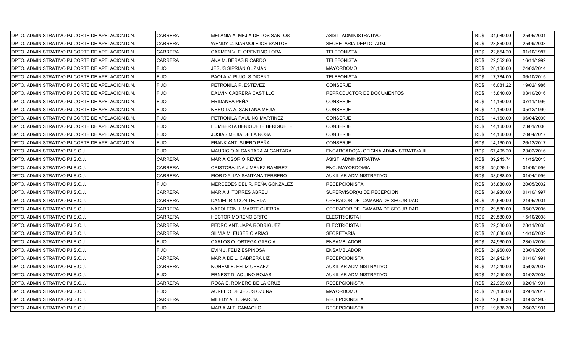| DPTO. ADMINISTRATIVO PJ CORTE DE APELACION D.N. | <b>CARRERA</b> | MELANIA A. MEJIA DE LOS SANTOS      | ASIST. ADMINISTRATIVO                   |      | RD\$ 34,980.00 | 25/05/2001 |
|-------------------------------------------------|----------------|-------------------------------------|-----------------------------------------|------|----------------|------------|
| DPTO. ADMINISTRATIVO PJ CORTE DE APELACION D.N. | <b>CARRERA</b> | WENDY C. MARMOLEJOS SANTOS          | SECRETARIA DEPTO. ADM.                  | RD\$ | 28,860.00      | 25/09/2008 |
| DPTO. ADMINISTRATIVO PJ CORTE DE APELACION D.N. | <b>CARRERA</b> | CARMEN V. FLORENTINO LORA           | <b>TELEFONISTA</b>                      | RD\$ | 22,654.20      | 01/10/1987 |
| DPTO. ADMINISTRATIVO PJ CORTE DE APELACION D.N. | <b>CARRERA</b> | ANA M. BERAS RICARDO                | TELEFONISTA                             | RD\$ | 22,552.80      | 16/11/1992 |
| DPTO. ADMINISTRATIVO PJ CORTE DE APELACION D.N. | <b>FIJO</b>    | JESUS SIPRIAN GUZMAN                | MAYORDOMO I                             | RD\$ | 20,160.00      | 24/03/2014 |
| DPTO. ADMINISTRATIVO PJ CORTE DE APELACION D.N. | <b>FIJO</b>    | PAOLA V. PUJOLS DICENT              | TELEFONISTA                             | RD\$ | 17,784.00      | 06/10/2015 |
| DPTO. ADMINISTRATIVO PJ CORTE DE APELACION D.N. | <b>FIJO</b>    | PETRONILA P. ESTEVEZ                | CONSERJE                                | RD\$ | 16,081.22      | 19/02/1986 |
| DPTO. ADMINISTRATIVO PJ CORTE DE APELACION D.N. | <b>FIJO</b>    | DALVIN CABRERA CASTILLO             | REPRODUCTOR DE DOCUMENTOS               | RD\$ | 15,840.00      | 03/10/2016 |
| DPTO. ADMINISTRATIVO PJ CORTE DE APELACION D.N. | <b>FIJO</b>    | ERIDANEA PEÑA                       | CONSERJE                                | RD\$ | 14,160.00      | 07/11/1996 |
| DPTO. ADMINISTRATIVO PJ CORTE DE APELACION D.N. | <b>FIJO</b>    | NERGIDA A. SANTANA MEJIA            | CONSERJE                                | RD\$ | 14,160.00      | 05/12/1990 |
| DPTO. ADMINISTRATIVO PJ CORTE DE APELACION D.N. | <b>FIJO</b>    | PETRONILA PAULINO MARTINEZ          | CONSERJE                                | RD\$ | 14,160.00      | 06/04/2000 |
| DPTO. ADMINISTRATIVO PJ CORTE DE APELACION D.N. | <b>FIJO</b>    | HUMBERTA BERIGUETE BERIGUETE        | CONSERJE                                | RD\$ | 14,160.00      | 23/01/2006 |
| DPTO. ADMINISTRATIVO PJ CORTE DE APELACION D.N. | <b>FIJO</b>    | JOSIAS MEJIA DE LA ROSA             | CONSERJE                                | RD\$ | 14,160.00      | 20/04/2017 |
| DPTO. ADMINISTRATIVO PJ CORTE DE APELACION D.N. | <b>FIJO</b>    | FRANK ANT. SUERO PEÑA               | CONSERJE                                | RD\$ | 14,160.00      | 26/12/2017 |
| DPTO. ADMINISTRATIVO PJ S.C.J.                  | <b>FIJO</b>    | MAURICIO ALCANTARA ALCANTARA        | ENCARGADO(A) OFICINA ADMINISTRATIVA III | RD\$ | 67,405.20      | 23/02/2016 |
| DPTO. ADMINISTRATIVO PJ S.C.J.                  | <b>CARRERA</b> | <b>MARIA OSORIO REYES</b>           | ASIST. ADMINISTRATIVA                   | RD\$ | 39,243.74      | 11/12/2013 |
| DPTO. ADMINISTRATIVO PJ S.C.J.                  | CARRERA        | <b>CRISTOBALINA JIMENEZ RAMIREZ</b> | ENC. MAYORDOMIA                         | RD\$ | 39,029.14      | 01/09/1996 |
| DPTO. ADMINISTRATIVO PJ S.C.J.                  | <b>CARRERA</b> | FIOR D'ALIZA SANTANA TERRERO        | AUXILIAR ADMINISTRATIVO                 | RD\$ | 38,088.00      | 01/04/1996 |
| DPTO. ADMINISTRATIVO PJ S.C.J.                  | <b>FIJO</b>    | MERCEDES DEL R. PEÑA GONZALEZ       | <b>RECEPCIONISTA</b>                    | RD\$ | 35,880.00      | 20/05/2002 |
| DPTO. ADMINISTRATIVO PJ S.C.J.                  | <b>CARRERA</b> | <b>MARIA J. TORRES ABREU</b>        | SUPERVISOR(A) DE RECEPCION              | RD\$ | 34,980.00      | 01/10/1997 |
| DPTO. ADMINISTRATIVO PJ S.C.J.                  | <b>CARRERA</b> | DANIEL RINCON TEJEDA                | OPERADOR DE CAMARA DE SEGURIDAD         | RD\$ | 29,580.00      | 21/05/2001 |
| DPTO. ADMINISTRATIVO PJ S.C.J.                  | CARRERA        | NAPOLEON J. MARTE GUERRA            | OPERADOR DE CAMARA DE SEGURIDAD         | RD\$ | 29,580.00      | 05/07/2006 |
| DPTO. ADMINISTRATIVO PJ S.C.J.                  | <b>CARRERA</b> | <b>HECTOR MORENO BRITO</b>          | ELECTRICISTA I                          | RD\$ | 29,580.00      | 15/10/2008 |
| DPTO. ADMINISTRATIVO PJ S.C.J.                  | <b>CARRERA</b> | PEDRO ANT. JAPA RODRIGUEZ           | ELECTRICISTA I                          | RD\$ | 29,580.00      | 28/11/2008 |
| DPTO. ADMINISTRATIVO PJ S.C.J.                  | <b>CARRERA</b> | <b>SILVIA M. EUSEBIO ARIAS</b>      | SECRETARIA                              | RD\$ | 28,680.00      | 14/10/2002 |
| DPTO. ADMINISTRATIVO PJ S.C.J.                  | <b>FIJO</b>    | CARLOS O. ORTEGA GARCIA             | ENSAMBLADOR                             | RD\$ | 24,960.00      | 23/01/2006 |
| DPTO. ADMINISTRATIVO PJ S.C.J.                  | <b>FIJO</b>    | EVIN J. FELIZ ESPINOSA              | ENSAMBLADOR                             | RD\$ | 24,960.00      | 23/01/2006 |
| DPTO. ADMINISTRATIVO PJ S.C.J.                  | <b>CARRERA</b> | MARIA DE L. CABRERA LIZ             | RECEPCIONISTA                           | RD\$ | 24,942.14      | 01/10/1991 |
| DPTO. ADMINISTRATIVO PJ S.C.J.                  | <b>CARRERA</b> | NOHEMI E. FELIZ URBAEZ              | AUXILIAR ADMINISTRATIVO                 | RD\$ | 24,240.00      | 05/03/2007 |
| DPTO. ADMINISTRATIVO PJ S.C.J.                  | <b>FIJO</b>    | ERNEST D. AQUINO ROJAS              | AUXILIAR ADMINISTRATIVO                 | RD\$ | 24,240.00      | 01/02/2008 |
| DPTO. ADMINISTRATIVO PJ S.C.J.                  | <b>CARRERA</b> | ROSA E. ROMERO DE LA CRUZ           | RECEPCIONISTA                           | RD\$ | 22,999.00      | 02/01/1991 |
| DPTO. ADMINISTRATIVO PJ S.C.J.                  | <b>FIJO</b>    | AURELIO DE JESUS OZUNA              | MAYORDOMO I                             | RD\$ | 20,160.00      | 02/01/2017 |
| DPTO. ADMINISTRATIVO PJ S.C.J.                  | <b>CARRERA</b> | MILEDY ALT. GARCIA                  | RECEPCIONISTA                           | RD\$ | 19,638.30      | 01/03/1985 |
| DPTO. ADMINISTRATIVO PJ S.C.J.                  | <b>FIJO</b>    | <b>MARIA ALT. CAMACHO</b>           | <b>RECEPCIONISTA</b>                    | RD\$ | 19,638.30      | 26/03/1991 |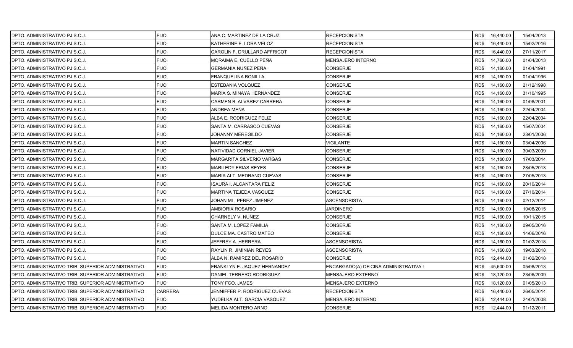| DPTO. ADMINISTRATIVO PJ S.C.J.                      | <b>FIJO</b>    | ANA C. MARTINEZ DE LA CRUZ           | <b>RECEPCIONISTA</b>                  |      | RD\$ 16,440.00 | 15/04/2013 |
|-----------------------------------------------------|----------------|--------------------------------------|---------------------------------------|------|----------------|------------|
| IDPTO. ADMINISTRATIVO PJ S.C.J.                     | <b>FIJO</b>    | KATHERINE E. LORA VELOZ              | <b>RECEPCIONISTA</b>                  | RD\$ | 16,440.00      | 15/02/2016 |
| <b>DPTO. ADMINISTRATIVO PJ S.C.J.</b>               | <b>FIJO</b>    | CAROLIN F. DRULLARD AFFRICOT         | <b>RECEPCIONISTA</b>                  | RD\$ | 16,440.00      | 27/11/2017 |
| DPTO. ADMINISTRATIVO PJ S.C.J.                      | <b>FIJO</b>    | MORAIMA E. CUELLO PEÑA               | <b>MENSAJERO INTERNO</b>              | RD\$ | 14,760.00      | 01/04/2013 |
| DPTO. ADMINISTRATIVO PJ S.C.J.                      | <b>FIJO</b>    | GERMANIA NUÑEZ PEÑA                  | <b>CONSERJE</b>                       | RD\$ | 14,160.00      | 01/04/1991 |
| DPTO. ADMINISTRATIVO PJ S.C.J.                      | <b>FIJO</b>    | FRANQUELINA BONILLA                  | CONSERJE                              | RD\$ | 14,160.00      | 01/04/1996 |
| DPTO. ADMINISTRATIVO PJ S.C.J.                      | <b>FIJO</b>    | ESTEBANIA VOLQUEZ                    | CONSERJE                              | RD\$ | 14,160.00      | 21/12/1998 |
| IDPTO. ADMINISTRATIVO PJ S.C.J.                     | <b>FIJO</b>    | MARIA S. MINAYA HERNANDEZ            | CONSERJE                              | RD\$ | 14,160.00      | 31/10/1995 |
| DPTO. ADMINISTRATIVO PJ S.C.J.                      | <b>FIJO</b>    | CARMEN B. ALVAREZ CABRERA            | <b>CONSERJE</b>                       | RD\$ | 14,160.00      | 01/08/2001 |
| DPTO. ADMINISTRATIVO PJ S.C.J.                      | <b>FIJO</b>    | ANDREA MENA                          | <b>CONSERJE</b>                       | RD\$ | 14,160.00      | 22/04/2004 |
| DPTO. ADMINISTRATIVO PJ S.C.J.                      | <b>FIJO</b>    | ALBA E. RODRIGUEZ FELIZ              | CONSERJE                              | RD\$ | 14,160.00      | 22/04/2004 |
| DPTO. ADMINISTRATIVO PJ S.C.J.                      | <b>FIJO</b>    | SANTA M. CARRASCO CUEVAS             | <b>CONSERJE</b>                       | RD\$ | 14,160.00      | 15/07/2004 |
| IDPTO. ADMINISTRATIVO PJ S.C.J.                     | <b>FIJO</b>    | JOHANNY MEREGILDO                    | <b>CONSERJE</b>                       | RD\$ | 14,160.00      | 23/01/2006 |
| <b>DPTO. ADMINISTRATIVO PJ S.C.J.</b>               | <b>FIJO</b>    | <b>MARTIN SANCHEZ</b>                | <b>VIGILANTE</b>                      | RD\$ | 14,160.00      | 03/04/2006 |
| DPTO. ADMINISTRATIVO PJ S.C.J.                      | <b>FIJO</b>    | NATIVIDAD CORNIEL JAVIER             | <b>CONSERJE</b>                       | RD\$ | 14,160.00      | 30/03/2009 |
| IDPTO. ADMINISTRATIVO PJ S.C.J.                     | <b>FIJO</b>    | MARGARITA SILVERIO VARGAS            | <b>CONSERJE</b>                       | RD\$ | 14,160.00      | 17/03/2014 |
| DPTO. ADMINISTRATIVO PJ S.C.J.                      | <b>FIJO</b>    | MARILEDY FRIAS REYES                 | <b>CONSERJE</b>                       | RD\$ | 14,160.00      | 28/05/2013 |
| IDPTO. ADMINISTRATIVO PJ S.C.J.                     | <b>FIJO</b>    | MARIA ALT. MEDRANO CUEVAS            | <b>CONSERJE</b>                       | RD\$ | 14,160.00      | 27/05/2013 |
| DPTO. ADMINISTRATIVO PJ S.C.J.                      | <b>FIJO</b>    | ISAURA I. ALCANTARA FELIZ            | <b>CONSERJE</b>                       | RD\$ | 14,160.00      | 20/10/2014 |
| DPTO. ADMINISTRATIVO PJ S.C.J.                      | <b>FIJO</b>    | MARTINA TEJEDA VASQUEZ               | CONSERJE                              | RD\$ | 14,160.00      | 27/10/2014 |
| DPTO. ADMINISTRATIVO PJ S.C.J.                      | <b>FIJO</b>    | JOHAN ML. PEREZ JIMENEZ              | ASCENSORISTA                          | RD\$ | 14,160.00      | 02/12/2014 |
| DPTO. ADMINISTRATIVO PJ S.C.J.                      | <b>FIJO</b>    | AMBIORIX ROSARIO                     | JARDINERO                             | RD\$ | 14,160.00      | 10/08/2015 |
| DPTO. ADMINISTRATIVO PJ S.C.J.                      | <b>FIJO</b>    | CHARNELY V. NUÑEZ                    | <b>CONSERJE</b>                       | RD\$ | 14,160.00      | 10/11/2015 |
| <b>DPTO. ADMINISTRATIVO PJ S.C.J.</b>               | <b>FIJO</b>    | SANTA M. LOPEZ FAMILIA               | <b>CONSERJE</b>                       | RD\$ | 14,160.00      | 09/05/2016 |
| IDPTO. ADMINISTRATIVO PJ S.C.J.                     | <b>FIJO</b>    | DULCE MA. CASTRO MATEO               | <b>CONSERJE</b>                       | RD\$ | 14,160.00      | 14/06/2016 |
| DPTO. ADMINISTRATIVO PJ S.C.J.                      | <b>FIJO</b>    | JEFFREY A. HERRERA                   | ASCENSORISTA                          | RD\$ | 14,160.00      | 01/02/2018 |
| DPTO. ADMINISTRATIVO PJ S.C.J.                      | <b>FIJO</b>    | RAYLIN R. JIMINIAN REYES             | ASCENSORISTA                          | RD\$ | 14,160.00      | 19/03/2018 |
| IDPTO. ADMINISTRATIVO PJ S.C.J.                     | <b>FIJO</b>    | ALBA N. RAMIREZ DEL ROSARIO          | <b>CONSERJE</b>                       | RD\$ | 12,444.00      | 01/02/2018 |
| DPTO. ADMINISTRATIVO TRIB. SUPERIOR ADMINISTRATIVO  | <b>FIJO</b>    | FRANKLYN E. JAQUEZ HERNANDEZ         | ENCARGADO(A) OFICINA ADMINISTRATIVA I | RD\$ | 45,600.00      | 05/08/2013 |
| IDPTO. ADMINISTRATIVO TRIB. SUPERIOR ADMINISTRATIVO | <b>FIJO</b>    | DANIEL TERRERO RODRIGUEZ             | <b>MENSAJERO EXTERNO</b>              | RD\$ | 18,120.00      | 23/06/2009 |
| DPTO. ADMINISTRATIVO TRIB. SUPERIOR ADMINISTRATIVO  | <b>FIJO</b>    | TONY FCO. JAMES                      | <b>MENSAJERO EXTERNO</b>              | RD\$ | 18,120.00      | 01/05/2013 |
| DPTO. ADMINISTRATIVO TRIB. SUPERIOR ADMINISTRATIVO  | <b>CARRERA</b> | <b>IENNIFFER P. RODRIGUEZ CUEVAS</b> | RECEPCIONISTA                         | RD\$ | 16,440.00      | 26/05/2014 |
| IDPTO. ADMINISTRATIVO TRIB. SUPERIOR ADMINISTRATIVO | <b>FIJO</b>    | YUDELKA ALT. GARCIA VASQUEZ          | MENSAJERO INTERNO                     | RD\$ | 12,444.00      | 24/01/2008 |
| DPTO. ADMINISTRATIVO TRIB. SUPERIOR ADMINISTRATIVO  | <b>FIJO</b>    | MELIDA MONTERO ARNO                  | <b>CONSERJE</b>                       | RD\$ | 12,444.00      | 01/12/2011 |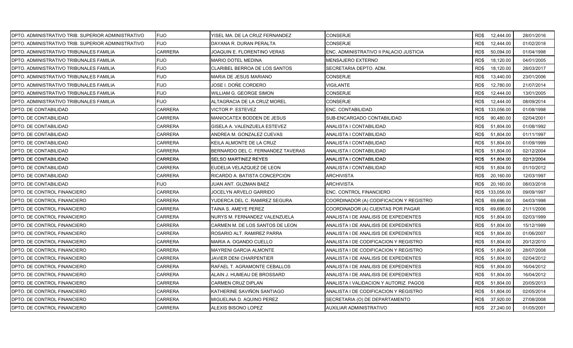| DPTO. ADMINISTRATIVO TRIB. SUPERIOR ADMINISTRATIVO | <b>FIJO</b>    | YISEL MA. DE LA CRUZ FERNANDEZ    | CONSERJE                                | RD\$ 12,444.00    | 28/01/2016 |
|----------------------------------------------------|----------------|-----------------------------------|-----------------------------------------|-------------------|------------|
| DPTO. ADMINISTRATIVO TRIB. SUPERIOR ADMINISTRATIVO | <b>FIJO</b>    | DAYANA R. DURAN PERALTA           | CONSERJE                                | RD\$<br>12,444.00 | 01/02/2018 |
| DPTO. ADMINISTRATIVO TRIBUNALES FAMILIA            | <b>CARRERA</b> | JOAQUIN E. FLORENTINO VERAS       | ENC. ADMINISTRATIVO II PALACIO JUSTICIA | RD\$<br>50,094.00 | 01/04/1998 |
| DPTO. ADMINISTRATIVO TRIBUNALES FAMILIA            | <b>FIJO</b>    | <b>MARIO DOTEL MEDINA</b>         | <b>MENSAJERO EXTERNO</b>                | RD\$<br>18,120.00 | 04/01/2005 |
| DPTO. ADMINISTRATIVO TRIBUNALES FAMILIA            | <b>FIJO</b>    | CLARIBEL BERROA DE LOS SANTOS     | SECRETARIA DEPTO. ADM.                  | RD\$<br>18,120.00 | 28/03/2017 |
| DPTO. ADMINISTRATIVO TRIBUNALES FAMILIA            | <b>FIJO</b>    | MARIA DE JESUS MARIANO            | CONSERJE                                | RD\$<br>13,440.00 | 23/01/2006 |
| DPTO. ADMINISTRATIVO TRIBUNALES FAMILIA            | <b>FIJO</b>    | JOSE I. DOÑE CORDERO              | VIGILANTE                               | RD\$<br>12,780.00 | 21/07/2014 |
| DPTO. ADMINISTRATIVO TRIBUNALES FAMILIA            | <b>FIJO</b>    | <b>WILLIAM G. GEORGE SIMON</b>    | <b>CONSERJE</b>                         | RD\$<br>12,444.00 | 13/01/2005 |
| DPTO. ADMINISTRATIVO TRIBUNALES FAMILIA            | <b>FIJO</b>    | ALTAGRACIA DE LA CRUZ MOREL       | <b>CONSERJE</b>                         | RD\$<br>12,444.00 | 08/09/2014 |
| DPTO. DE CONTABILIDAD                              | <b>CARRERA</b> | <b>VICTOR P. ESTEVEZ</b>          | ENC. CONTABILIDAD                       | RD\$ 133,056.00   | 01/08/1998 |
| DPTO. DE CONTABILIDAD                              | CARRERA        | MANIOCATEX BODDEN DE JESUS        | SUB-ENCARGADO CONTABILIDAD              | 90,480.00<br>RD\$ | 02/04/2001 |
| DPTO. DE CONTABILIDAD                              | CARRERA        | GISELA A. VALENZUELA ESTEVEZ      | ANALISTA I CONTABILIDAD                 | RD\$<br>51,804.00 | 01/08/1992 |
| <b>DPTO. DE CONTABILIDAD</b>                       | CARRERA        | ANDREA M. GONZALEZ CUEVAS         | ANALISTA I CONTABILIDAD                 | RD\$<br>51,804.00 | 01/11/1997 |
| DPTO. DE CONTABILIDAD                              | CARRERA        | KEILA ALMONTE DE LA CRUZ          | ANALISTA I CONTABILIDAD                 | RD\$<br>51,804.00 | 01/09/1999 |
| DPTO. DE CONTABILIDAD                              | <b>CARRERA</b> | BERNARDO DEL C. FERNANDEZ TAVERAS | ANALISTA I CONTABILIDAD                 | RD\$<br>51,804.00 | 02/12/2004 |
| DPTO. DE CONTABILIDAD                              | CARRERA        | <b>SELSO MARTINEZ REYES</b>       | ANALISTA I CONTABILIDAD                 | 51,804.00<br>RD\$ | 02/12/2004 |
| DPTO. DE CONTABILIDAD                              | CARRERA        | EUDELIA VELAZQUEZ DE LEON         | ANALISTA I CONTABILIDAD                 | RD\$<br>51,804.00 | 01/10/2012 |
| <b>DPTO. DE CONTABILIDAD</b>                       | <b>CARRERA</b> | RICARDO A. BATISTA CONCEPCION     | ARCHIVISTA                              | RD\$<br>20,160.00 | 12/03/1997 |
| DPTO. DE CONTABILIDAD                              | <b>FIJO</b>    | JUAN ANT. GUZMAN BAEZ             | <b>ARCHIVISTA</b>                       | RD\$<br>20,160.00 | 08/03/2018 |
| DPTO. DE CONTROL FINANCIERO                        | <b>CARRERA</b> | JOCELYN ARVELO GARRIDO            | ENC. CONTROL FINANCIERO                 | RD\$ 133,056.00   | 09/09/1997 |
| DPTO. DE CONTROL FINANCIERO                        | CARRERA        | YUDERCA DEL C. RAMIREZ SEGURA     | COORDINADOR (A) CODIFICACION Y REGISTRO | RD\$<br>69,696.00 | 04/03/1998 |
| DPTO. DE CONTROL FINANCIERO                        | CARRERA        | TAINA S. AMEYE PEREZ              | COORDINADOR (A) CUENTAS POR PAGAR       | RD\$<br>69,696.00 | 21/11/2006 |
| DPTO. DE CONTROL FINANCIERO                        | CARRERA        | NURYS M. FERNANDEZ VALENZUELA     | ANALISTA I DE ANALISIS DE EXPEDIENTES   | RD\$<br>51,804.00 | 02/03/1999 |
| DPTO. DE CONTROL FINANCIERO                        | CARRERA        | CARMEN M. DE LOS SANTOS DE LEON   | ANALISTA I DE ANALISIS DE EXPEDIENTES   | RD\$<br>51,804.00 | 15/12/1999 |
| DPTO. DE CONTROL FINANCIERO                        | <b>CARRERA</b> | ROSARIO ALT. RAMIREZ PARRA        | ANALISTA I DE ANALISIS DE EXPEDIENTES   | RD\$<br>51,804.00 | 01/06/2007 |
| DPTO. DE CONTROL FINANCIERO                        | CARRERA        | MARIA A. OGANDO CUELLO            | ANALISTA I DE CODIFICACION Y REGISTRO   | RD\$<br>51,804.00 | 20/12/2010 |
| DPTO. DE CONTROL FINANCIERO                        | CARRERA        | <b>MAYRENI GARCIA ALMONTE</b>     | ANALISTA I DE CODIFICACION Y REGISTRO   | RD\$<br>51,804.00 | 28/07/2008 |
| DPTO. DE CONTROL FINANCIERO                        | CARRERA        | JAVIER DENI CHARPENTIER           | ANALISTA I DE ANALISIS DE EXPEDIENTES   | RD\$<br>51,804.00 | 02/04/2012 |
| DPTO. DE CONTROL FINANCIERO                        | CARRERA        | RAFAEL T. AGRAMONTE CEBALLOS      | ANALISTA I DE ANALISIS DE EXPEDIENTES   | RD\$<br>51,804.00 | 16/04/2012 |
| DPTO. DE CONTROL FINANCIERO                        | CARRERA        | ALAIN J. HUMEAU DE BROSSARD       | ANALISTA I DE ANALISIS DE EXPEDIENTES   | RD\$<br>51,804.00 | 16/04/2012 |
| DPTO. DE CONTROL FINANCIERO                        | CARRERA        | <b>CARMEN CRUZ DIPLAN</b>         | ANALISTA I VALIDACION Y AUTORIZ. PAGOS  | RD\$<br>51,804.00 | 20/05/2013 |
| DPTO. DE CONTROL FINANCIERO                        | CARRERA        | KATHERINE SAVIÑON SANTIAGO        | ANALISTA I DE CODIFICACION Y REGISTRO   | RD\$<br>51,804.00 | 02/05/2014 |
| DPTO. DE CONTROL FINANCIERO                        | CARRERA        | MIGUELINA D. AQUINO PEREZ         | SECRETARIA (O) DE DEPARTAMENTO          | RD\$<br>37,920.00 | 27/08/2008 |
| DPTO. DE CONTROL FINANCIERO                        | <b>CARRERA</b> | ALEXIS BISONO LOPEZ               | <b>AUXILIAR ADMINISTRATIVO</b>          | RD\$<br>27,240.00 | 01/05/2001 |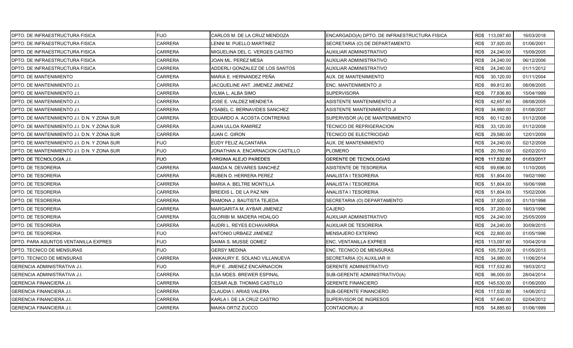| DPTO. DE INFRAESTRUCTURA FISICA             | <b>FIJO</b>    | CARLOS M. DE LA CRUZ MENDOZA     | ENCARGADO(A) DPTO. DE INFRAESTRUCTURA FISICA | RD\$ 113,097.60   | 16/03/2018 |
|---------------------------------------------|----------------|----------------------------------|----------------------------------------------|-------------------|------------|
| DPTO. DE INFRAESTRUCTURA FISICA             | <b>CARRERA</b> | LENNI M. PUELLO MARTINEZ         | SECRETARIA (O) DE DEPARTAMENTO               | RD\$<br>37,920.00 | 01/06/2001 |
| <b>DPTO. DE INFRAESTRUCTURA FISICA</b>      | CARRERA        | MIGUELINA DEL C. VERGES CASTRO   | AUXILIAR ADMINISTRATIVO                      | RD\$<br>24,240.00 | 15/09/2005 |
| DPTO. DE INFRAESTRUCTURA FISICA             | <b>CARRERA</b> | JOAN ML. PEREZ MESA              | <b>AUXILIAR ADMINISTRATIVO</b>               | RD\$<br>24,240.00 | 06/12/2006 |
| DPTO. DE INFRAESTRUCTURA FISICA             | CARRERA        | ADDERLI GONZALEZ DE LOS SANTOS   | AUXILIAR ADMINISTRATIVO                      | RD\$<br>24,240.00 | 01/11/2012 |
| DPTO. DE MANTENIMIENTO                      | CARRERA        | MARIA E. HERNANDEZ PEÑA          | AUX. DE MANTENIMIENTO                        | RD\$<br>30,120.00 | 01/11/2004 |
| DPTO. DE MANTENIMIENTO J.I.                 | <b>CARRERA</b> | JACQUELINE ANT. JIMENEZ JIMENEZ  | ENC. MANTENIMIENTO JI                        | RD\$<br>89,812.80 | 08/08/2005 |
| <b>DPTO. DE MANTENIMIENTO J.I.</b>          | CARRERA        | VILMA L. ALBA SIMO               | <b>SUPERVISORA</b>                           | RD\$<br>77,836.80 | 15/04/1999 |
| DPTO. DE MANTENIMIENTO J.I.                 | <b>CARRERA</b> | JOSE E. VALDEZ MENDIETA          | ASISTENTE MANTENIMIENTO JI                   | RD\$<br>42,657.60 | 08/08/2005 |
| DPTO. DE MANTENIMIENTO J.I.                 | <b>CARRERA</b> | YSABEL C. BERNAVIDES SANCHEZ     | ASISTENTE MANTENIMIENTO JI                   | RD\$<br>34,980.00 | 01/08/2007 |
| DPTO. DE MANTENIMIENTO J.I. D.N. Y ZONA SUR | <b>CARRERA</b> | EDUARDO A. ACOSTA CONTRERAS      | SUPERVISOR (A) DE MANTENIMIENTO              | RD\$<br>60,112.80 | 01/12/2008 |
| DPTO. DE MANTENIMIENTO J.I. D.N. Y ZONA SUR | CARRERA        | JUAN ULLOA RAMIREZ               | TECNICO DE REFRIGERACION                     | RD\$<br>33,120.00 | 01/12/2008 |
| DPTO. DE MANTENIMIENTO J.I. D.N. Y ZONA SUR | <b>CARRERA</b> | JUAN C. GIRON                    | TECNICO DE ELECTRICIDAD                      | RD\$<br>29,580.00 | 12/01/2009 |
| DPTO. DE MANTENIMIENTO J.I. D.N. Y ZONA SUR | <b>FIJO</b>    | EUDY FELIZ ALCANTARA             | AUX. DE MANTENIMIENTO                        | RD\$<br>24,240.00 | 02/12/2008 |
| DPTO. DE MANTENIMIENTO J.I. D.N. Y ZONA SUR | <b>FIJO</b>    | JONATHAN A. ENCARNACION CASTILLO | <b>PLOMERO</b>                               | RD\$<br>20,760.00 | 02/02/2010 |
| <b>DPTO. DE TECNOLOGIA J.I.</b>             | <b>FIJO</b>    | VIRGINIA ALEJO PAREDES           | <b>GERENTE DE TECNOLOGIAS</b>                | RD\$ 117,532.80   | 01/03/2017 |
| <b>DPTO. DE TESORERIA</b>                   | <b>CARRERA</b> | AMADA N. DEVARES SANCHEZ         | ASISTENTE DE TESORERIA                       | RD\$<br>69,696.00 | 11/10/2005 |
| <b>DPTO. DE TESORERIA</b>                   | CARRERA        | RUBEN D. HERRERA PEREZ           | ANALISTA I TESORERIA                         | RD\$<br>51,804.00 | 19/02/1990 |
| <b>DPTO. DE TESORERIA</b>                   | <b>CARRERA</b> | MARIA A. BELTRE MONTILLA         | ANALISTA I TESORERIA                         | RD\$<br>51,804.00 | 16/06/1998 |
| <b>DPTO. DE TESORERIA</b>                   | <b>CARRERA</b> | BREIDIS L. DE LA PAZ NIN         | ANALISTA I TESORERIA                         | RD\$<br>51,804.00 | 15/02/2006 |
| <b>DPTO. DE TESORERIA</b>                   | CARRERA        | RAMONA J. BAUTISTA TEJEDA        | SECRETARIA (O) DEPARTAMENTO                  | RD\$<br>37,920.00 | 01/10/1998 |
| DPTO. DE TESORERIA                          | <b>CARRERA</b> | MARGARITA M. AYBAR JIMENEZ       | <b>CAJERO</b>                                | RD\$<br>37,200.00 | 18/03/1996 |
| <b>DPTO. DE TESORERIA</b>                   | <b>CARRERA</b> | GLORIBI M. MADERA HIDALGO        | AUXILIAR ADMINISTRATIVO                      | RD\$<br>24,240.00 | 25/05/2009 |
| <b>DPTO. DE TESORERIA</b>                   | <b>CARRERA</b> | AUDRI L. REYES ECHAVARRIA        | AUXILIAR DE TESORERIA                        | RD\$<br>24,240.00 | 30/09/2015 |
| <b>DPTO. DE TESORERIA</b>                   | <b>FIJO</b>    | <b>ANTONIO URBAEZ JIMENEZ</b>    | <b>MENSAJERO EXTERNO</b>                     | RD\$<br>22,800.00 | 01/05/1996 |
| DPTO. PARA ASUNTOS VENTANILLA EXPRES        | <b>FIJO</b>    | SAIMA S. MUSSE GOMEZ             | ENC. VENTANILLA EXPRES                       | RD\$ 113,097.60   | 10/04/2018 |
| DPTO. TECNICO DE MENSURAS                   | <b>FIJO</b>    | <b>GERSY MEDINA</b>              | ENC. TECNICO DE MENSURAS                     | RD\$ 105,720.00   | 01/05/2013 |
| <b>DPTO. TECNICO DE MENSURAS</b>            | <b>CARRERA</b> | ANIKAURY E. SOLANO VILLANUEVA    | SECRETARIA (O) AUXILIAR III                  | RD\$<br>34,980.00 | 11/06/2014 |
| <b>GERENCIA ADMINISTRATIVA J.I.</b>         | <b>FIJO</b>    | RUP E. JIMENEZ ENCARNACION       | <b>GERENTE ADMINISTRATIVO</b>                | RD\$ 117,532.80   | 19/03/2012 |
| IGERENCIA ADMINISTRATIVA J.I.               | <b>CARRERA</b> | <b>LSA MDES. BREWER ESPINAL</b>  | SUB-GERENTE ADMINISTRATIVO(A)                | RD\$<br>96,000.00 | 28/04/2014 |
| <b>GERENCIA FINANCIERA J.I.</b>             | CARRERA        | CESAR ALB. THOMAS CASTILLO       | <b>GERENTE FINANCIERO</b>                    | RD\$ 145,530.00   | 01/06/2000 |
| <b>GERENCIA FINANCIERA J.I.</b>             | CARRERA        | CLAUDIA I. ARIAS VALERA          | SUB-GERENTE FINANCIERO                       | RD\$ 117,532.80   | 14/06/2012 |
| <b>GERENCIA FINANCIERA J.I.</b>             | CARRERA        | KARLA I. DE LA CRUZ CASTRO       | SUPERVISOR DE INGRESOS                       | 57,640.00<br>RD\$ | 02/04/2012 |
| <b>GERENCIA FINANCIERA J.I.</b>             | <b>CARRERA</b> | MAIKA ORTIZ ZUCCO                | CONTADOR(A) JI                               | 54,885.60<br>RD\$ | 01/06/1999 |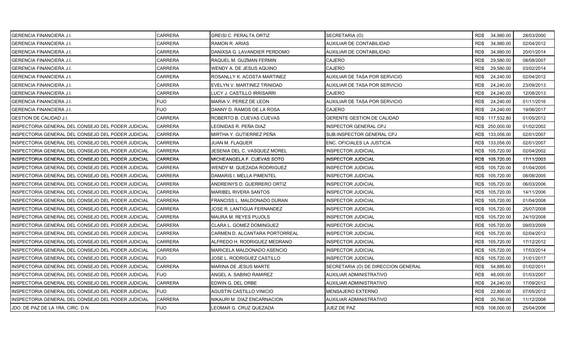| <b>GERENCIA FINANCIERA J.I.</b>                     | <b>CARRERA</b> | <b>GREISI C. PERALTA ORTIZ</b> | SECRETARIA (O)                      | RD\$ 34,980.00    | 28/03/2000 |
|-----------------------------------------------------|----------------|--------------------------------|-------------------------------------|-------------------|------------|
| IGERENCIA FINANCIERA J.I.                           | <b>CARRERA</b> | RAMON R. ARIAS                 | AUXILIAR DE CONTABILIDAD            | RD\$<br>34,980.00 | 02/04/2012 |
| <b>GERENCIA FINANCIERA J.I.</b>                     | <b>CARRERA</b> | DANIXSA G. LAVANDIER PERDOMO   | AUXILIAR DE CONTABILIDAD            | RD\$<br>34,980.00 | 20/01/2014 |
| <b>GERENCIA FINANCIERA J.I.</b>                     | <b>CARRERA</b> | RAQUEL M. GUZMAN FERMIN        | CAJERO                              | RD\$<br>29,580.00 | 08/08/2007 |
| <b>GERENCIA FINANCIERA J.I.</b>                     | <b>CARRERA</b> | WENDY A. DE JESUS AQUINO       | <b>CAJERO</b>                       | RD\$<br>29,580.00 | 03/02/2014 |
| <b>GERENCIA FINANCIERA J.I.</b>                     | <b>CARRERA</b> | ROSANLLY K. ACOSTA MARTINEZ    | AUXILIAR DE TASA POR SERVICIO       | RD\$<br>24,240.00 | 02/04/2012 |
| <b>GERENCIA FINANCIERA J.I.</b>                     | <b>CARRERA</b> | EVELYN V. MARTINEZ TRINIDAD    | AUXILIAR DE TASA POR SERVICIO       | RD\$<br>24,240.00 | 23/09/2013 |
| <b>GERENCIA FINANCIERA J.I.</b>                     | <b>CARRERA</b> | LUCY J. CASTILLO IRRISARRI     | <b>CAJERO</b>                       | RD\$<br>24,240.00 | 12/08/2013 |
| <b>GERENCIA FINANCIERA J.I.</b>                     | <b>FIJO</b>    | MARIA V. PEREZ DE LEON         | AUXILIAR DE TASA POR SERVICIO       | RD\$<br>24,240.00 | 01/11/2016 |
| <b>GERENCIA FINANCIERA J.I.</b>                     | <b>FIJO</b>    | DANNY D. RAMOS DE LA ROSA      | CAJERO                              | RD\$<br>24,240.00 | 19/06/2017 |
| <b>GESTION DE CALIDAD J.I.</b>                      | <b>CARRERA</b> | ROBERTO B. CUEVAS CUEVAS       | <b>GERENTE GESTION DE CALIDAD</b>   | RD\$ 117,532.80   | 01/05/2012 |
| INSPECTORIA GENERAL DEL CONSEJO DEL PODER JUDICIAL  | <b>CARRERA</b> | LEONIDAS R. PEÑA DIAZ          | NSPECTOR GENERAL CPJ                | RD\$ 250,000.00   | 01/02/2002 |
| INSPECTORIA GENERAL DEL CONSEJO DEL PODER JUDICIAL  | <b>CARRERA</b> | MIRTHA Y. GUTIERREZ PEÑA       | SUB-INSPECTOR GENERAL CPJ           | RD\$ 133,056.00   | 02/01/2007 |
| INSPECTORIA GENERAL DEL CONSEJO DEL PODER JUDICIAL  | <b>CARRERA</b> | JUAN M. FLAQUER                | ENC. OFICIALES LA JUSTICIA          | RD\$ 133,056.00   | 02/01/2007 |
| INSPECTORIA GENERAL DEL CONSEJO DEL PODER JUDICIAL  | <b>CARRERA</b> | JESENIA DEL C. VASQUEZ MOREL   | <b>INSPECTOR JUDICIAL</b>           | RD\$ 105,720.00   | 02/04/2002 |
| INSPECTORIA GENERAL DEL CONSEJO DEL PODER JUDICIAL  | <b>CARRERA</b> | MICHEANGELA F. CUEVAS SOTO     | NSPECTOR JUDICIAL                   | RD\$ 105,720.00   | 17/11/2003 |
| INSPECTORIA GENERAL DEL CONSEJO DEL PODER JUDICIAL  | <b>CARRERA</b> | WENDY M. QUEZADA RODRIGUEZ     | NSPECTOR JUDICIAL                   | RD\$ 105,720.00   | 01/04/2005 |
| IINSPECTORIA GENERAL DEL CONSEJO DEL PODER JUDICIAL | <b>CARRERA</b> | DAMARIS I. MELLA PIMENTEL      | <b>INSPECTOR JUDICIAL</b>           | RD\$ 105,720.00   | 08/08/2005 |
| INSPECTORIA GENERAL DEL CONSEJO DEL PODER JUDICIAL  | <b>CARRERA</b> | ANDREINYS D. GUERRERO ORTIZ    | <b>INSPECTOR JUDICIAL</b>           | RD\$ 105,720.00   | 06/03/2006 |
| INSPECTORIA GENERAL DEL CONSEJO DEL PODER JUDICIAL  | <b>CARRERA</b> | MARIBEL RIVERA SANTOS          | NSPECTOR JUDICIAL                   | RD\$ 105,720.00   | 14/11/2006 |
| INSPECTORIA GENERAL DEL CONSEJO DEL PODER JUDICIAL  | <b>CARRERA</b> | FRANCISS L. MALDONADO DURAN    | NSPECTOR JUDICIAL                   | RD\$ 105,720.00   | 01/04/2008 |
| INSPECTORIA GENERAL DEL CONSEJO DEL PODER JUDICIAL  | <b>CARRERA</b> | JOSE R. LANTIGUA FERNANDEZ     | NSPECTOR JUDICIAL                   | RD\$ 105,720.00   | 25/07/2008 |
| INSPECTORIA GENERAL DEL CONSEJO DEL PODER JUDICIAL  | <b>CARRERA</b> | MAURA M. REYES PUJOLS          | NSPECTOR JUDICIAL                   | RD\$ 105,720.00   | 24/10/2008 |
| INSPECTORIA GENERAL DEL CONSEJO DEL PODER JUDICIAL  | <b>CARRERA</b> | CLARA L. GOMEZ DOMINGUEZ       | <b>INSPECTOR JUDICIAL</b>           | RD\$ 105,720.00   | 09/03/2009 |
| INSPECTORIA GENERAL DEL CONSEJO DEL PODER JUDICIAL  | <b>CARRERA</b> | CARMEN D. ALCANTARA PORTORREAL | NSPECTOR JUDICIAL                   | RD\$ 105,720.00   | 02/04/2012 |
| INSPECTORIA GENERAL DEL CONSEJO DEL PODER JUDICIAL  | <b>CARRERA</b> | ALFREDO H. RODRIGUEZ MEDRANO   | NSPECTOR JUDICIAL                   | RD\$ 105,720.00   | 17/12/2012 |
| INSPECTORIA GENERAL DEL CONSEJO DEL PODER JUDICIAL  | <b>CARRERA</b> | MARICELA MALDONADO ASENCIO     | NSPECTOR JUDICIAL                   | RD\$ 105,720.00   | 17/03/2014 |
| INSPECTORIA GENERAL DEL CONSEJO DEL PODER JUDICIAL  | <b>FIJO</b>    | JOSE L. RODRIGUEZ CASTILLO     | <b>INSPECTOR JUDICIAL</b>           | RD\$ 105,720.00   | 31/01/2017 |
| INSPECTORIA GENERAL DEL CONSEJO DEL PODER JUDICIAL  | <b>CARRERA</b> | MARINA DE JESUS MARTE          | SECRETARIA (O) DE DIRECCION GENERAL | RD\$<br>54,885.60 | 01/02/2011 |
| INSPECTORIA GENERAL DEL CONSEJO DEL PODER JUDICIAL  | <b>FIJO</b>    | ANGEL A. SABINO RAMIREZ        | AUXILIAR ADMINISTRATIVO             | RD\$<br>48,000.00 | 01/03/2007 |
| INSPECTORIA GENERAL DEL CONSEJO DEL PODER JUDICIAL  | <b>CARRERA</b> | EDWIN G. DEL ORBE              | AUXILIAR ADMINISTRATIVO             | RD\$<br>24,240.00 | 17/09/2012 |
| INSPECTORIA GENERAL DEL CONSEJO DEL PODER JUDICIAL  | <b>FIJO</b>    | AGUSTIN CASTILLO VINICIO       | MENSAJERO EXTERNO                   | RD\$<br>22,800.00 | 07/05/2012 |
| INSPECTORIA GENERAL DEL CONSEJO DEL PODER JUDICIAL  | <b>CARRERA</b> | NIKAURI M. DIAZ ENCARNACION    | AUXILIAR ADMINISTRATIVO             | RD\$<br>20,760.00 | 11/12/2008 |
| JDO. DE PAZ DE LA 1RA. CIRC. D.N.                   | <b>FIJO</b>    | LEOMAR G. CRUZ QUEZADA         | JUEZ DE PAZ                         | RD\$ 108,000.00   | 25/04/2006 |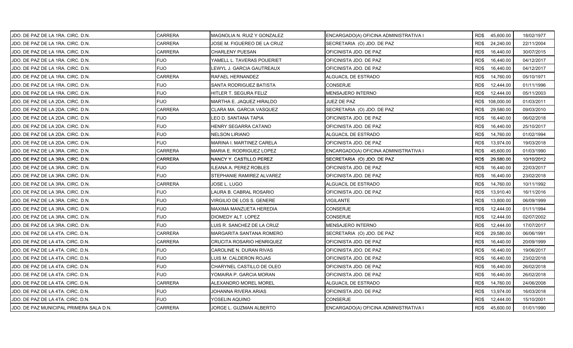| JDO. DE PAZ DE LA 1RA. CIRC. D.N.       | <b>CARRERA</b> | <b>MAGNOLIA N. RUIZ Y GONZALEZ</b> | ENCARGADO(A) OFICINA ADMINISTRATIVA I | RD\$ 45,600.00  |           | 18/02/1977 |
|-----------------------------------------|----------------|------------------------------------|---------------------------------------|-----------------|-----------|------------|
| JDO. DE PAZ DE LA 1RA. CIRC. D.N.       | <b>CARRERA</b> | JOSE M. FIGUEREO DE LA CRUZ        | SECRETARIA (O) JDO. DE PAZ            | RD\$            | 24,240.00 | 22/11/2004 |
| JDO. DE PAZ DE LA 1RA. CIRC. D.N.       | <b>CARRERA</b> | CHARLENY PUESAN                    | OFICINISTA JDO. DE PAZ                | RD\$            | 16,440.00 | 30/07/2015 |
| JDO. DE PAZ DE LA 1RA. CIRC. D.N.       | <b>FIJO</b>    | YAMELL L. TAVERAS POUERIET         | OFICINISTA JDO. DE PAZ                | RD\$            | 16,440.00 | 04/12/2017 |
| JDO. DE PAZ DE LA 1RA. CIRC. D.N.       | <b>FIJO</b>    | LEWYL J. GARCIA GAUTREAUX          | OFICINISTA JDO. DE PAZ                | RD\$            | 16,440.00 | 04/12/2017 |
| JDO. DE PAZ DE LA 1RA. CIRC. D.N.       | <b>CARRERA</b> | RAFAEL HERNANDEZ                   | ALGUACIL DE ESTRADO                   | RD\$            | 14,760.00 | 05/10/1971 |
| JDO. DE PAZ DE LA 1RA. CIRC. D.N.       | <b>FIJO</b>    | SANTA RODRIGUEZ BATISTA            | <b>CONSERJE</b>                       | RD\$            | 12,444.00 | 01/11/1996 |
| JDO. DE PAZ DE LA 1RA. CIRC. D.N.       | <b>FIJO</b>    | HITLER T. SEGURA FELIZ             | <b>MENSAJERO INTERNO</b>              | RD\$            | 12,444.00 | 05/11/2003 |
| JDO. DE PAZ DE LA 2DA. CIRC. D.N.       | <b>FIJO</b>    | MARTHA E. JAQUEZ HIRALDO           | JUEZ DE PAZ                           | RD\$ 108,000.00 |           | 01/03/2011 |
| JDO. DE PAZ DE LA 2DA. CIRC. D.N.       | CARRERA        | CLARA MA. GARCIA VASQUEZ           | SECRETARIA (O) JDO. DE PAZ            | RD\$            | 29,580.00 | 09/03/2010 |
| JDO. DE PAZ DE LA 2DA. CIRC. D.N.       | <b>FIJO</b>    | LEO D. SANTANA TAPIA               | OFICINISTA JDO. DE PAZ                | RD\$            | 16,440.00 | 06/02/2018 |
| JDO. DE PAZ DE LA 2DA. CIRC. D.N.       | <b>FIJO</b>    | HENRY SEGARRA CATANO               | OFICINISTA JDO. DE PAZ                | RD\$            | 16,440.00 | 25/10/2017 |
| JDO. DE PAZ DE LA 2DA. CIRC. D.N.       | <b>FIJO</b>    | NELSON LIRIANO                     | ALGUACIL DE ESTRADO                   | RD\$            | 14,760.00 | 01/02/1994 |
| JDO. DE PAZ DE LA 2DA. CIRC. D.N.       | <b>FIJO</b>    | MARINA I. MARTINEZ CARELA          | OFICINISTA JDO. DE PAZ                | RD\$            | 13,974.00 | 19/03/2018 |
| JDO. DE PAZ DE LA 3RA. CIRC. D.N.       | <b>CARRERA</b> | MARIA E. RODRIGUEZ LOPEZ           | ENCARGADO(A) OFICINA ADMINISTRATIVA I | RD\$            | 45,600.00 | 01/03/1990 |
| JDO. DE PAZ DE LA 3RA. CIRC. D.N.       | <b>CARRERA</b> | NANCY Y. CASTILLO PEREZ            | SECRETARIA (O) JDO. DE PAZ            | RD\$            | 29,580.00 | 10/10/2012 |
| JDO. DE PAZ DE LA 3RA. CIRC. D.N.       | <b>FIJO</b>    | LEANA A. PEREZ ROBLES              | OFICINISTA JDO. DE PAZ                | RD\$            | 16,440.00 | 22/03/2017 |
| JDO. DE PAZ DE LA 3RA. CIRC. D.N.       | <b>FIJO</b>    | STEPHANIE RAMIREZ ALVAREZ          | OFICINISTA JDO. DE PAZ                | RD\$            | 16,440.00 | 23/02/2018 |
| JDO. DE PAZ DE LA 3RA. CIRC. D.N.       | <b>CARRERA</b> | JOSE L. LUGO                       | ALGUACIL DE ESTRADO                   | RD\$            | 14,760.00 | 10/11/1992 |
| IJDO. DE PAZ DE LA 3RA. CIRC. D.N.      | <b>FIJO</b>    | LAURA B. CABRAL ROSARIO            | OFICINISTA JDO. DE PAZ                | RD\$            | 13,910.40 | 16/11/2016 |
| JDO. DE PAZ DE LA 3RA. CIRC. D.N.       | <b>FIJO</b>    | VIRGILIO DE LOS S. GENERE          | VIGILANTE                             | RD\$            | 13,800.00 | 06/09/1999 |
| JDO. DE PAZ DE LA 3RA. CIRC. D.N.       | <b>FIJO</b>    | MAXIMA MANZUETA HEREDIA            | <b>CONSERJE</b>                       | RD\$            | 12,444.00 | 01/11/1994 |
| JDO. DE PAZ DE LA 3RA. CIRC. D.N.       | <b>FIJO</b>    | DIOMEDY ALT. LOPEZ                 | <b>CONSERJE</b>                       | RD\$            | 12,444.00 | 02/07/2002 |
| JDO. DE PAZ DE LA 3RA. CIRC. D.N.       | <b>FIJO</b>    | LUIS R. SANCHEZ DE LA CRUZ         | MENSAJERO INTERNO                     | RD\$            | 12,444.00 | 17/07/2017 |
| JDO. DE PAZ DE LA 4TA. CIRC. D.N.       | <b>CARRERA</b> | MARGARITA SANTANA ROMERO           | SECRETARIA (O) JDO. DE PAZ            | RD\$            | 29,580.00 | 06/06/1991 |
| JDO. DE PAZ DE LA 4TA. CIRC. D.N.       | <b>CARRERA</b> | <b>CRUCITA ROSARIO HENRIQUEZ</b>   | OFICINISTA JDO. DE PAZ                | RD\$            | 16,440.00 | 20/09/1999 |
| JDO. DE PAZ DE LA 4TA. CIRC. D.N.       | <b>FIJO</b>    | CAROLINE N. DURAN RIVAS            | OFICINISTA JDO. DE PAZ                | RD\$            | 16,440.00 | 19/06/2017 |
| JDO. DE PAZ DE LA 4TA. CIRC. D.N.       | <b>FIJO</b>    | LUIS M. CALDERON ROJAS             | OFICINISTA JDO. DE PAZ                | RD\$            | 16,440.00 | 23/02/2018 |
| JDO. DE PAZ DE LA 4TA. CIRC. D.N.       | <b>FIJO</b>    | CHARYNEL CASTILLO DE OLEO          | OFICINISTA JDO. DE PAZ                | RD\$            | 16,440.00 | 26/02/2018 |
| JDO. DE PAZ DE LA 4TA. CIRC. D.N.       | <b>FIJO</b>    | YOMAIRA P. GARCIA MORAN            | OFICINISTA JDO. DE PAZ                | RD\$            | 16,440.00 | 26/02/2018 |
| JDO. DE PAZ DE LA 4TA. CIRC. D.N.       | <b>CARRERA</b> | ALEXANDRO MOREL MOREL              | ALGUACIL DE ESTRADO                   | RD\$            | 14,760.00 | 24/06/2008 |
| JDO. DE PAZ DE LA 4TA. CIRC. D.N.       | <b>FIJO</b>    | JOHANNA RIVERA ARIAS               | OFICINISTA JDO. DE PAZ                | RD\$            | 13,974.00 | 16/03/2018 |
| JDO. DE PAZ DE LA 4TA. CIRC. D.N.       | <b>FIJO</b>    | YOSELIN AQUINO                     | <b>CONSERJE</b>                       | RD\$            | 12,444.00 | 15/10/2001 |
| JDO. DE PAZ MUNICIPAL PRIMERA SALA D.N. | <b>CARRERA</b> | JORGE L. GUZMAN ALBERTO            | ENCARGADO(A) OFICINA ADMINISTRATIVA I | RD\$            | 45,600.00 | 01/01/1990 |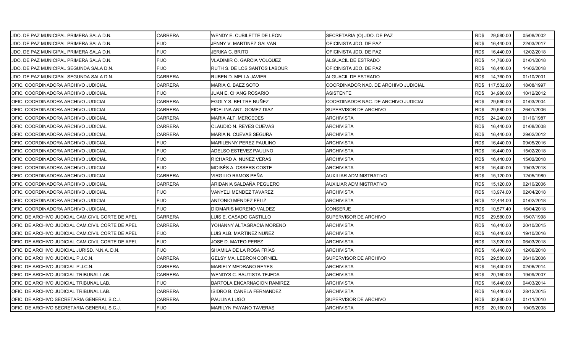| JDO. DE PAZ MUNICIPAL PRIMERA SALA D.N.           | <b>CARRERA</b> | WENDY E. CUBILETTE DE LEON      | SECRETARIA (O) JDO. DE PAZ           | RD\$ 29,580.00    | 05/08/2002 |
|---------------------------------------------------|----------------|---------------------------------|--------------------------------------|-------------------|------------|
| JDO. DE PAZ MUNICIPAL PRIMERA SALA D.N.           | <b>FIJO</b>    | JENNY V. MARTINEZ GALVAN        | OFICINISTA JDO. DE PAZ               | RD\$<br>16,440.00 | 22/03/2017 |
| JDO. DE PAZ MUNICIPAL PRIMERA SALA D.N.           | <b>FIJO</b>    | JERIKA C. BRITO                 | OFICINISTA JDO. DE PAZ               | RD\$<br>16,440.00 | 12/02/2018 |
| JDO. DE PAZ MUNICIPAL PRIMERA SALA D.N.           | <b>FIJO</b>    | VLADIMIR O. GARCIA VOLQUEZ      | ALGUACIL DE ESTRADO                  | RD\$<br>14,760.00 | 01/01/2018 |
| JDO. DE PAZ MUNICIPAL SEGUNDA SALA D.N.           | <b>FIJO</b>    | RUTH S. DE LOS SANTOS LABOUR    | OFICINISTA JDO. DE PAZ               | RD\$<br>16,440.00 | 14/02/2018 |
| JDO. DE PAZ MUNICIPAL SEGUNDA SALA D.N.           | CARRERA        | RUBEN D. MELLA JAVIER           | ALGUACIL DE ESTRADO                  | 14,760.00<br>RD\$ | 01/10/2001 |
| OFIC. COORDINADORA ARCHIVO JUDICIAL               | CARRERA        | MARIA C. BAEZ SOTO              | COORDINADOR NAC. DE ARCHIVO JUDICIAL | RD\$ 117,532.80   | 18/08/1997 |
| OFIC. COORDINADORA ARCHIVO JUDICIAL               | <b>FIJO</b>    | JUAN E. CHANG ROSARIO           | <b>ASISTENTE</b>                     | RD\$<br>34,980.00 | 10/12/2012 |
| OFIC. COORDINADORA ARCHIVO JUDICIAL               | <b>CARRERA</b> | EGGLY S. BELTRE NUÑEZ           | COORDINADOR NAC. DE ARCHIVO JUDICIAL | RD\$<br>29,580.00 | 01/03/2004 |
| OFIC. COORDINADORA ARCHIVO JUDICIAL               | <b>CARRERA</b> | FIDELINA ANT. GOMEZ DIAZ        | SUPERVISOR DE ARCHIVO                | RD\$<br>29,580.00 | 26/01/2006 |
| OFIC. COORDINADORA ARCHIVO JUDICIAL               | CARRERA        | MARIA ALT. MERCEDES             | ARCHIVISTA                           | 24,240.00<br>RD\$ | 01/10/1987 |
| OFIC. COORDINADORA ARCHIVO JUDICIAL               | CARRERA        | CLAUDIO N. REYES CUEVAS         | ARCHIVISTA                           | RD\$<br>16,440.00 | 01/08/2008 |
| OFIC. COORDINADORA ARCHIVO JUDICIAL               | <b>CARRERA</b> | MARIA N. CUEVAS SEGURA          | <b>ARCHIVISTA</b>                    | RD\$<br>16,440.00 | 29/02/2012 |
| OFIC. COORDINADORA ARCHIVO JUDICIAL               | FIJO           | MARILENNY PEREZ PAULINO         | <b>ARCHIVISTA</b>                    | RD\$<br>16,440.00 | 09/05/2016 |
| OFIC. COORDINADORA ARCHIVO JUDICIAL               | <b>FIJO</b>    | ADELSO ESTEVEZ PAULINO          | ARCHIVISTA                           | RD\$<br>16,440.00 | 15/02/2018 |
| OFIC. COORDINADORA ARCHIVO JUDICIAL               | <b>FIJO</b>    | RICHARD A. NUÑEZ VERAS          | <b>ARCHIVISTA</b>                    | RD\$<br>16,440.00 | 15/02/2018 |
| IOFIC. COORDINADORA ARCHIVO JUDICIAL              | <b>FIJO</b>    | MOISÉS A. OSSERS COSTE          | ARCHIVISTA                           | RD\$<br>16,440.00 | 19/03/2018 |
| OFIC. COORDINADORA ARCHIVO JUDICIAL               | <b>CARRERA</b> | VIRGILIO RAMOS PEÑA             | AUXILIAR ADMINISTRATIVO              | RD\$<br>15,120.00 | 12/05/1980 |
| OFIC. COORDINADORA ARCHIVO JUDICIAL               | <b>CARRERA</b> | ARIDANIA SALDAÑA PEGUERO        | AUXILIAR ADMINISTRATIVO              | RD\$<br>15,120.00 | 02/10/2006 |
| OFIC. COORDINADORA ARCHIVO JUDICIAL               | <b>FIJO</b>    | VANYELI MENDEZ TAVAREZ          | ARCHIVISTA                           | RD\$<br>13,974.00 | 02/04/2018 |
| OFIC. COORDINADORA ARCHIVO JUDICIAL               | <b>FIJO</b>    | <b>ANTONIO MENDEZ FELIZ</b>     | <b>ARCHIVISTA</b>                    | RD\$<br>12,444.00 | 01/02/2018 |
| OFIC. COORDINADORA ARCHIVO JUDICIAL               | FIJO           | DIOMARIS MORENO VALDEZ          | CONSERJE                             | RD\$<br>10,577.40 | 16/04/2018 |
| OFIC. DE ARCHIVO JUDICIAL CAM.CIVIL CORTE DE APEL | <b>CARRERA</b> | LUIS E. CASADO CASTILLO         | SUPERVISOR DE ARCHIVO                | 29,580.00<br>RD\$ | 15/07/1998 |
| OFIC. DE ARCHIVO JUDICIAL CAM.CIVIL CORTE DE APEL | <b>CARRERA</b> | YOHANNY ALTAGRACIA MORENO       | <b>ARCHIVISTA</b>                    | RD\$<br>16,440.00 | 20/10/2015 |
| OFIC. DE ARCHIVO JUDICIAL CAM.CIVIL CORTE DE APEL | <b>FIJO</b>    | LUIS ALB. MARTINEZ NUÑEZ        | ARCHIVISTA                           | RD\$<br>16,440.00 | 19/10/2016 |
| OFIC. DE ARCHIVO JUDICIAL CAM.CIVIL CORTE DE APEL | <b>FIJO</b>    | JOSE D. MATEO PEREZ             | <b>ARCHIVISTA</b>                    | RD\$<br>13,920.00 | 06/03/2018 |
| OFIC. DE ARCHIVO JUDICIAL JURISD. N.N.A. D.N.     | FIJO           | SHAMILA DE LA ROSA FRÍAS        | ARCHIVISTA                           | RD\$<br>16,440.00 | 12/06/2018 |
| OFIC. DE ARCHIVO JUDICIAL P.J.C.N.                | <b>CARRERA</b> | <b>GELSY MA. LEBRON CORNIEL</b> | SUPERVISOR DE ARCHIVO                | RD\$<br>29,580.00 | 26/10/2006 |
| OFIC. DE ARCHIVO JUDICIAL P.J.C.N.                | <b>CARRERA</b> | <b>MARIELY MEDRANO REYES</b>    | <b>ARCHIVISTA</b>                    | RD\$<br>16,440.00 | 02/06/2014 |
| OFIC. DE ARCHIVO JUDICIAL TRIBUNAL LAB.           | <b>CARRERA</b> | WENDYS C. BAUTISTA TEJEDA       | ARCHIVISTA                           | RD\$<br>20,160.00 | 19/09/2007 |
| OFIC. DE ARCHIVO JUDICIAL TRIBUNAL LAB.           | <b>FIJO</b>    | BARTOLA ENCARNACION RAMIREZ     | ARCHIVISTA                           | RD\$<br>16,440.00 | 04/03/2014 |
| OFIC. DE ARCHIVO JUDICIAL TRIBUNAL LAB.           | <b>CARRERA</b> | ISIDRO B. CANELA FERNANDEZ      | ARCHIVISTA                           | RD\$<br>16,440.00 | 28/12/2015 |
| OFIC. DE ARCHIVO SECRETARIA GENERAL S.C.J.        | CARRERA        | PAULINA LUGO                    | SUPERVISOR DE ARCHIVO                | RD\$<br>32,880.00 | 01/11/2010 |
| OFIC. DE ARCHIVO SECRETARIA GENERAL S.C.J.        | <b>FIJO</b>    | <b>MARILYN PAYANO TAVERAS</b>   | <b>ARCHIVISTA</b>                    | RD\$ 20,160.00    | 10/09/2008 |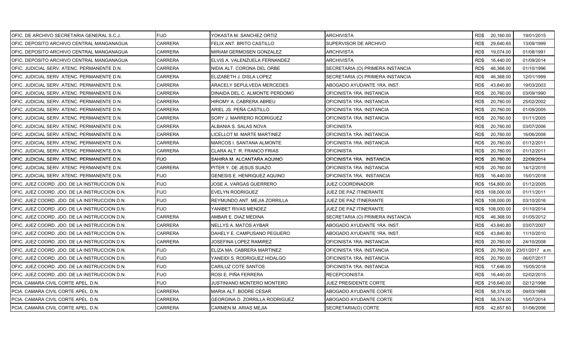| OFIC. DE ARCHIVO SECRETARIA GENERAL S.C.J.    | <b>FIJO</b>    | YOKASTA M. SANCHEZ ORTIZ       | ARCHIVISTA                       |                 | RD\$ 20,160.00 | 19/01/2015      |
|-----------------------------------------------|----------------|--------------------------------|----------------------------------|-----------------|----------------|-----------------|
| IOFIC. DEPOSITO ARCHIVO CENTRAL MANGANAGUA    | <b>CARRERA</b> | FELIX ANT. BRITO CASTILLO      | SUPERVISOR DE ARCHIVO            | RD\$            | 29,640.65      | 13/09/1999      |
| OFIC. DEPOSITO ARCHIVO CENTRAL MANGANAGUA     | <b>CARRERA</b> | MIRIAM GERMOSEN GONZALEZ       | <b>ARCHIVISTA</b>                | RD\$            | 19,074.00      | 01/08/1991      |
| OFIC. DEPOSITO ARCHIVO CENTRAL MANGANAGUA     | <b>CARRERA</b> | ELVIS A. VALENZUELA FERNANDEZ  | ARCHIVISTA                       | RD\$            | 16,440.00      | 01/09/2014      |
| OFIC. JUDICIAL SERV. ATENC. PERMANENTE D.N.   | CARRERA        | NIDIA ALT. CORONA DEL ORBE     | SECRETARIA (O) PRIMERA INSTANCIA | RD\$            | 46,368.00      | 01/10/1996      |
| OFIC. JUDICIAL SERV. ATENC. PERMANENTE D.N.   | CARRERA        | ELIZABETH J. DISLA LOPEZ       | SECRETARIA (O) PRIMERA INSTANCIA | RD\$            | 46,368.00      | 12/01/1999      |
| OFIC. JUDICIAL SERV. ATENC. PERMANENTE D.N.   | CARRERA        | ARACELY SEPULVEDA MERCEDES     | ABOGADO AYUDANTE 1RA. INST.      | RD\$            | 43,840.80      | 19/03/2003      |
| OFIC. JUDICIAL SERV. ATENC. PERMANENTE D.N.   | CARRERA        | DINAIDA DEL C. ALMONTE PERDOMO | OFICINISTA 1RA. INSTANCIA        | RD\$            | 20,760.00      | 03/09/1990      |
| OFIC. JUDICIAL SERV. ATENC. PERMANENTE D.N.   | <b>CARRERA</b> | HIROMY A. CABRERA ABREU        | OFICINISTA 1RA. INSTANCIA        | RD\$            | 20,760.00      | 25/02/2002      |
| OFIC. JUDICIAL SERV. ATENC. PERMANENTE D.N.   | <b>CARRERA</b> | ARIEL JS. PEÑA CASTILLO        | OFICINISTA 1RA. INSTANCIA        | RD\$            | 20,760.00      | 01/09/2005      |
| OFIC. JUDICIAL SERV. ATENC. PERMANENTE D.N.   | CARRERA        | SORY J. MARRERO RODRIGUEZ      | OFICINISTA 1RA. INSTANCIA        | RD\$            | 20,760.00      | 01/11/2005      |
| OFIC. JUDICIAL SERV. ATENC. PERMANENTE D.N.   | CARRERA        | ALBANIA S. SALAS NOVA          | <b>OFICINISTA</b>                | RD\$            | 20,760.00      | 03/07/2006      |
| OFIC. JUDICIAL SERV. ATENC. PERMANENTE D.N.   | CARRERA        | LICELLOT M. MARTE MARTINEZ     | OFICINISTA 1RA. INSTANCIA        | RD\$            | 20,760.00      | 16/06/2008      |
| OFIC. JUDICIAL SERV. ATENC. PERMANENTE D.N.   | <b>CARRERA</b> | MARCOS I. SANTANA ALMONTE      | OFICINISTA 1RA. INSTANCIA        | RD\$            | 20,760.00      | 01/12/2011      |
| OFIC. JUDICIAL SERV. ATENC. PERMANENTE D.N.   | <b>CARRERA</b> | CLARA ALT. R. FRANCO FRIAS     | <b>OFICINISTA</b>                | RD\$            | 20,760.00      | 01/12/2011      |
| OFIC. JUDICIAL SERV. ATENC. PERMANENTE D.N.   | <b>FIJO</b>    | SAHIRA M. ALCANTARA AQUINO     | OFICINISTA 1RA. INSTANCIA        | RD\$            | 20,760.00      | 22/09/2014      |
| OFIC. JUDICIAL SERV. ATENC. PERMANENTE D.N.   | <b>CARRERA</b> | PITER Y. DE JESUS SUAZO        | OFICINISTA 1RA. INSTANCIA        | RD\$            | 20,760.00      | 14/12/2015      |
| OFIC. JUDICIAL SERV. ATENC. PERMANENTE D.N.   | <b>FIJO</b>    | GENESIS E. HENRIQUEZ AQUINO    | OFICINISTA 1RA. INSTANCIA        | RD\$            | 16,440.00      | 15/01/2018      |
| OFIC. JUEZ COORD. JDO. DE LA INSTRUCCION D.N. | <b>FIJO</b>    | JOSE A. VARGAS GUERRERO        | JUEZ COORDINADOR                 | RD\$ 154,800.00 |                | 01/12/2005      |
| OFIC. JUEZ COORD. JDO. DE LA INSTRUCCION D.N. | <b>FIJO</b>    | <b>EVELYN RODRIGUEZ</b>        | JUEZ DE PAZ ITINERANTE           | RD\$ 108,000.00 |                | 01/11/2011      |
| OFIC. JUEZ COORD. JDO. DE LA INSTRUCCION D.N. | <b>FIJO</b>    | REYMUNDO ANT. MEJIA ZORRILLA   | JUEZ DE PAZ ITINERANTE           | RD\$ 108,000.00 |                | 03/10/2016      |
| OFIC. JUEZ COORD. JDO. DE LA INSTRUCCION D.N. | <b>FIJO</b>    | YANIBET RIVAS MENDEZ           | JUEZ DE PAZ ITINERANTE           | RD\$ 108,000.00 |                | 01/10/2014      |
| OFIC. JUEZ COORD. JDO. DE LA INSTRUCCION D.N. | CARRERA        | AMBAR E. DIAZ MEDINA           | SECRETARIA (O) PRIMERA INSTANCIA | RD\$            | 46,368.00      | 01/05/2012      |
| OFIC. JUEZ COORD. JDO. DE LA INSTRUCCION D.N. | CARRERA        | NELLYS A. MATOS AYBAR          | ABOGADO AYUDANTE 1RA. INST.      | RD\$            | 43,840.80      | 03/07/2007      |
| OFIC. JUEZ COORD. JDO. DE LA INSTRUCCION D.N. | <b>CARRERA</b> | DAHELY E. CAMPUSANO PEGUERO    | ABOGADO AYUDANTE 1RA. INST.      | RD\$            | 43,840.80      | 11/10/2010      |
| OFIC. JUEZ COORD. JDO. DE LA INSTRUCCION D.N. | CARRERA        | JOSEFINA LOPEZ RAMIREZ         | OFICINISTA 1RA. INSTANCIA        | RD\$            | 20,760.00      | 24/10/2008      |
| OFIC. JUEZ COORD. JDO. DE LA INSTRUCCION D.N. | FIJO           | ELIZA MA. CABRERA MARTINEZ     | OFICINISTA 1RA. INSTANCIA        | RD\$            | 20,760.00      | 23/01/2017 a.m. |
| OFIC. JUEZ COORD. JDO. DE LA INSTRUCCION D.N. | <b>FIJO</b>    | YANEIDI S. RODRIGUEZ HIDALGO   | OFICINISTA 1RA. INSTANCIA        | RD\$            | 20,760.00      | 06/07/2017      |
| OFIC. JUEZ COORD. JDO. DE LA INSTRUCCION D.N. | <b>FIJO</b>    | CARILUZ COTE SANTOS            | OFICINISTA 1RA. INSTANCIA        | RD\$            | 17,646.00      | 15/05/2018      |
| OFIC. JUEZ COORD. JDO. DE LA INSTRUCCION D.N. | FIJO           | ROSI E. PIÑA FERRERA           | <b>RECEPCIONISTA</b>             | RD\$            | 16,440.00      | 02/02/2015      |
| PCIA. CAMARA CIVIL CORTE APEL. D.N.           | <b>FIJO</b>    | JUSTINIANO MONTERO MONTERO     | JUEZ PRESIDENTE CORTE            | RD\$ 218,640.00 |                | 02/12/1998      |
| PCIA. CAMARA CIVIL CORTE APEL. D.N.           | CARRERA        | MARIA ALT. BODRE CESAR         | ABOGADO AYUDANTE CORTE           | RD\$            | 58,374.00      | 09/03/1988      |
| PCIA. CAMARA CIVIL CORTE APEL. D.N.           | CARRERA        | GEORGINA D. ZORRILLA RODRIGUEZ | ABOGADO AYUDANTE CORTE           | RD\$            | 58,374.00      | 15/07/2014      |
| PCIA. CAMARA CIVIL CORTE APEL. D.N.           | <b>CARRERA</b> | CARMEN M. ARIAS MEJIA          | SECRETARIA(O) CORTE              | RD\$42,657.60   |                | 01/06/2006      |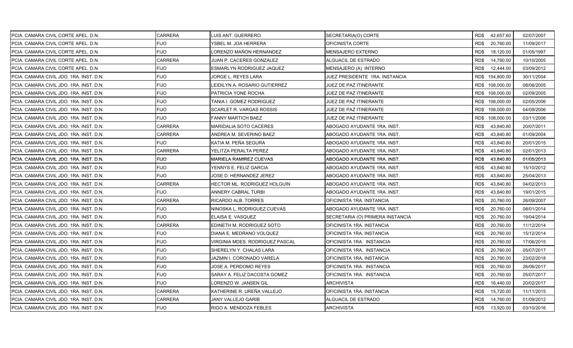| PCIA. CAMARA CIVIL CORTE APEL. D.N.     | <b>CARRERA</b> | LUIS ANT. GUERRERO              | SECRETARIA(O) CORTE              | RD\$42,657.60     | 02/07/2007 |
|-----------------------------------------|----------------|---------------------------------|----------------------------------|-------------------|------------|
| PCIA. CAMARA CIVIL CORTE APEL. D.N.     | <b>FIJO</b>    | YSBEL M. JOA HERRERA            | OFICINISTA CORTE                 | RD\$<br>20,760.00 | 11/09/2017 |
| PCIA. CAMARA CIVIL CORTE APEL. D.N.     | <b>FIJO</b>    | LORENZO MAÑON HERNANDEZ         | <b>MENSAJERO EXTERNO</b>         | RD\$<br>18,120.00 | 01/05/1997 |
| PCIA. CAMARA CIVIL CORTE APEL. D.N.     | <b>CARRERA</b> | JUAN P. CACERES GONZALEZ        | ALGUACIL DE ESTRADO              | RD\$<br>14,760.00 | 10/10/2005 |
| PCIA. CAMARA CIVIL CORTE APEL. D.N.     | <b>FIJO</b>    | ESMARLYN RODRIGUEZ JAQUEZ       | MENSAJERO (A) INTERNO            | RD\$<br>12,444.00 | 03/09/2012 |
| PCIA. CAMARA CIVIL JDO. 1RA. INST. D.N. | <b>FIJO</b>    | JORGE L. REYES LARA             | JUEZ PRESIDENTE 1RA. INSTANCIA   | RD\$ 154,800.00   | 30/11/2004 |
| PCIA. CAMARA CIVIL JDO. 1RA. INST. D.N. | <b>FIJO</b>    | LEIDILYN A. ROSARIO GUTIERREZ   | JUEZ DE PAZ ITINERANTE           | RD\$ 108,000.00   | 08/06/2005 |
| PCIA. CAMARA CIVIL JDO. 1RA. INST. D.N. | <b>FIJO</b>    | PATRICIA YONE ROCHA             | JUEZ DE PAZ ITINERANTE           | RD\$ 108,000.00   | 02/09/2005 |
| PCIA. CAMARA CIVIL JDO. 1RA. INST. D.N. | <b>FIJO</b>    | TANIA I. GOMEZ RODRIGUEZ        | JUEZ DE PAZ ITINERANTE           | RD\$ 108,000.00   | 02/05/2006 |
| PCIA. CAMARA CIVIL JDO. 1RA. INST. D.N. | <b>FIJO</b>    | SCARLET R. VARGAS ROSSIS        | JUEZ DE PAZ ITINERANTE           | RD\$ 108,000.00   | 04/09/2006 |
| PCIA. CAMARA CIVIL JDO. 1RA. INST. D.N. | <b>FIJO</b>    | FANNY MARTICH BAEZ              | JUEZ DE PAZ ITINERANTE           | RD\$ 108,000.00   | 03/11/2006 |
| PCIA. CAMARA CIVIL JDO. 1RA. INST. D.N. | <b>CARRERA</b> | MARIDALIA SOTO CACERES          | ABOGADO AYUDANTE 1RA. INST.      | RD\$<br>43,840.80 | 20/07/2011 |
| PCIA. CAMARA CIVIL JDO. 1RA. INST. D.N. | <b>CARRERA</b> | ANDREA M. SEVERINO BAEZ         | ABOGADO AYUDANTE 1RA. INST.      | 43,840.80<br>RD\$ | 01/09/2004 |
| PCIA. CAMARA CIVIL JDO. 1RA. INST. D.N. | <b>FIJO</b>    | KATIA M. PEÑA SEGURA            | ABOGADO AYUDANTE 1RA. INST.      | RD\$<br>43,840.80 | 20/01/2015 |
| PCIA. CAMARA CIVIL JDO. 1RA. INST. D.N. | <b>CARRERA</b> | YELITZA PERALTA PEREZ           | ABOGADO AYUDANTE 1RA. INST.      | RD\$<br>43,840.80 | 02/01/2013 |
| PCIA. CAMARA CIVIL JDO. 1RA. INST. D.N. | <b>FIJO</b>    | MARIELA RAMIREZ CUEVAS          | ABOGADO AYUDANTE 1RA. INST.      | RD\$<br>43,840.80 | 01/05/2013 |
| PCIA. CAMARA CIVIL JDO. 1RA. INST. D.N. | <b>FIJO</b>    | YENNYS E. FELIZ GARCIA          | ABOGADO AYUDANTE 1RA. INST.      | RD\$<br>43,840.80 | 15/10/2012 |
| PCIA. CAMARA CIVIL JDO. 1RA. INST. D.N. | <b>FIJO</b>    | JOSE D. HERNANDEZ JEREZ         | ABOGADO AYUDANTE 1RA. INST.      | RD\$<br>43,840.80 | 25/04/2013 |
| PCIA. CAMARA CIVIL JDO. 1RA. INST. D.N. | <b>CARRERA</b> | HECTOR ML. RODRIGUEZ HOLGUIN    | ABOGADO AYUDANTE 1RA. INST.      | RD\$<br>43,840.80 | 04/02/2013 |
| PCIA. CAMARA CIVIL JDO. 1RA. INST. D.N. | <b>FIJO</b>    | ANNERY CABRAL TURBI             | ABOGADO AYUDANTE 1RA. INST.      | RD\$<br>43,840.80 | 19/01/2015 |
| PCIA. CAMARA CIVIL JDO. 1RA. INST. D.N. | CARRERA        | RICARDO ALB. TORRES             | OFICINISTA 1RA. INSTANCIA        | 20,760.00<br>RD\$ | 26/09/2007 |
| PCIA. CAMARA CIVIL JDO. 1RA. INST. D.N. | <b>FIJO</b>    | NINOSKA L. RODRIGUEZ CUEVAS     | ABOGADO AYUDANTE 1RA. INST.      | 20,760.00<br>RD\$ | 08/01/2014 |
| PCIA. CAMARA CIVIL JDO. 1RA. INST. D.N. | <b>FIJO</b>    | ELAISA E. VASQUEZ               | SECRETARIA (O) PRIMERA INSTANCIA | 20,760.00<br>RD\$ | 19/04/2014 |
| PCIA. CAMARA CIVIL JDO. 1RA. INST. D.N. | <b>CARRERA</b> | EDINETH M. RODRIGUEZ SOTO       | OFICINISTA 1RA. INSTANCIA        | 20,760.00<br>RD\$ | 11/12/2014 |
| PCIA. CAMARA CIVIL JDO. 1RA. INST. D.N. | <b>FIJO</b>    | DIANA E. MEDRANO VOLQUEZ        | OFICINISTA 1RA. INSTANCIA        | RD\$<br>20,760.00 | 15/12/2014 |
| PCIA. CAMARA CIVIL JDO. 1RA. INST. D.N. | <b>FIJO</b>    | VIRGINIA MDES. RODRIGUEZ PASCAL | OFICINISTA 1RA. INSTANCIA        | RD\$<br>20,760.00 | 17/06/2015 |
| PCIA. CAMARA CIVIL JDO. 1RA. INST. D.N. | <b>FIJO</b>    | SHERELYN Y. CHALAS LARA         | OFICINISTA 1RA. INSTANCIA        | RD\$<br>20,760.00 | 05/07/2017 |
| PCIA. CAMARA CIVIL JDO. 1RA. INST. D.N. | <b>FIJO</b>    | JAZMIN I. CORONADO VARELA       | OFICINISTA 1RA. INSTANCIA        | RD\$<br>20,760.00 | 23/02/2018 |
| PCIA. CAMARA CIVIL JDO. 1RA. INST. D.N. | <b>FIJO</b>    | JOSE A. PERDOMO REYES           | OFICINISTA 1RA. INSTANCIA        | RD\$<br>20,760.00 | 26/06/2017 |
| PCIA. CAMARA CIVIL JDO. 1RA. INST. D.N. | <b>FIJO</b>    | SARAY A. FELIZ DACOSTA GOMEZ    | OFICINISTA 1RA. INSTANCIA        | RD\$<br>20,760.00 | 05/07/2017 |
| PCIA. CAMARA CIVIL JDO. 1RA. INST. D.N. | <b>FIJO</b>    | LORENZO W. JANSEN GIL           | ARCHIVISTA                       | RD\$<br>16,440.00 | 20/02/2017 |
| PCIA. CAMARA CIVIL JDO. 1RA. INST. D.N. | CARRERA        | KATHERINE R. UREÑA VALLEJO      | OFICINISTA 1RA. INSTANCIA        | RD\$<br>15,720.00 | 11/11/2015 |
| PCIA. CAMARA CIVIL JDO. 1RA. INST. D.N. | CARRERA        | JANY VALLEJO GARIB              | ALGUACIL DE ESTRADO              | RD\$<br>14,760.00 | 01/09/2012 |
| PCIA. CAMARA CIVIL JDO. 1RA. INST. D.N. | <b>FIJO</b>    | RIGO A. MENDOZA FEBLES          | <b>ARCHIVISTA</b>                | RD\$<br>13,920.00 | 03/10/2016 |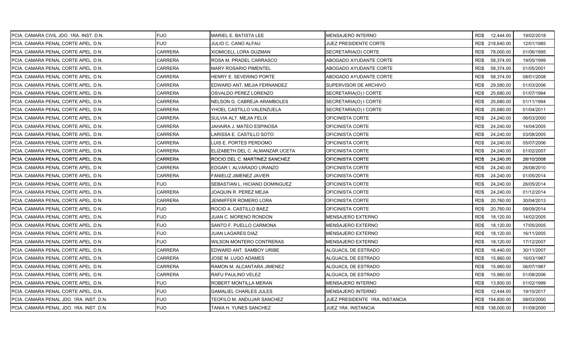| PCIA. CAMARA CIVIL JDO. 1RA. INST. D.N. | <b>FIJO</b>    | MARIEL E. BATISTA LEE           | MENSAJERO INTERNO              | RD\$ 12,444.00    | 19/02/2018 |
|-----------------------------------------|----------------|---------------------------------|--------------------------------|-------------------|------------|
| PCIA. CAMARA PENAL CORTE APEL. D.N.     | <b>FIJO</b>    | JULIO C. CANO ALFAU             | JUEZ PRESIDENTE CORTE          | RD\$ 218,640.00   | 12/01/1985 |
| PCIA. CAMARA PENAL CORTE APEL. D.N.     | CARRERA        | XIOMICELL LORA GUZMAN           | SECRETARIA(O) CORTE            | 78,000.00<br>RD\$ | 01/06/1995 |
| PCIA. CAMARA PENAL CORTE APEL. D.N.     | <b>CARRERA</b> | ROSA M. PRADEL CARRASCO         | ABOGADO AYUDANTE CORTE         | RD\$<br>58,374.00 | 19/05/1999 |
| PCIA. CAMARA PENAL CORTE APEL. D.N.     | CARRERA        | MARY ROSARIO PIMENTEL           | ABOGADO AYUDANTE CORTE         | RD\$<br>58,374.00 | 01/05/2001 |
| PCIA. CAMARA PENAL CORTE APEL. D.N.     | CARRERA        | HENRY E. SEVERINO PORTE         | ABOGADO AYUDANTE CORTE         | RD\$<br>58,374.00 | 08/01/2008 |
| PCIA. CAMARA PENAL CORTE APEL. D.N.     | CARRERA        | EDWARD ANT. MEJIA FERNANDEZ     | SUPERVISOR DE ARCHIVO          | 29,580.00<br>RD\$ | 01/03/2006 |
| PCIA. CAMARA PENAL CORTE APEL. D.N.     | CARRERA        | OSVALDO PEREZ LORENZO           | SECRETARIA(O) I CORTE          | RD\$<br>25,680.00 | 01/07/1994 |
| PCIA. CAMARA PENAL CORTE APEL. D.N.     | <b>CARRERA</b> | NELSON G. CABREJA ARAMBOLES     | SECRETARIA(O) I CORTE          | RD\$<br>25,680.00 | 01/11/1994 |
| PCIA. CAMARA PENAL CORTE APEL. D.N.     | CARRERA        | YHOEL CASTILLO VALENZUELA       | SECRETARIA(O) I CORTE          | RD\$<br>25,680.00 | 01/04/2011 |
| PCIA. CAMARA PENAL CORTE APEL. D.N.     | CARRERA        | SULVIA ALT. MEJIA FELIX         | OFICINISTA CORTE               | RD\$<br>24,240.00 | 06/03/2000 |
| PCIA. CAMARA PENAL CORTE APEL. D.N.     | CARRERA        | JAHAIRA J. MATEO ESPINOSA       | OFICINISTA CORTE               | RD\$<br>24,240.00 | 14/04/2005 |
| PCIA. CAMARA PENAL CORTE APEL. D.N.     | CARRERA        | LARISSA E. CASTILLO SOTO        | OFICINISTA CORTE               | RD\$<br>24,240.00 | 03/08/2005 |
| PCIA. CAMARA PENAL CORTE APEL. D.N.     | <b>CARRERA</b> | LUIS E. PORTES PERDOMO          | OFICINISTA CORTE               | RD\$<br>24,240.00 | 05/07/2006 |
| PCIA. CAMARA PENAL CORTE APEL. D.N.     | <b>CARRERA</b> | ELIZABETH DEL C. ALMANZAR UCETA | OFICINISTA CORTE               | RD\$<br>24,240.00 | 01/02/2007 |
| PCIA. CAMARA PENAL CORTE APEL. D.N.     | CARRERA        | ROCIO DEL C. MARTINEZ SANCHEZ   | OFICINISTA CORTE               | RD\$<br>24,240.00 | 28/10/2008 |
| PCIA. CAMARA PENAL CORTE APEL. D.N.     | CARRERA        | EDGAR I. ALVARADO LIRANZO       | OFICINISTA CORTE               | RD\$<br>24,240.00 | 26/08/2010 |
| PCIA. CAMARA PENAL CORTE APEL. D.N.     | CARRERA        | FANIELIZ JIMENEZ JAVIER         | OFICINISTA CORTE               | RD\$<br>24,240.00 | 01/05/2014 |
| PCIA. CAMARA PENAL CORTE APEL. D.N.     | <b>FIJO</b>    | SEBASTIAN L. HICIANO DOMINGUEZ  | OFICINISTA CORTE               | RD\$<br>24,240.00 | 26/05/2014 |
| PCIA. CAMARA PENAL CORTE APEL. D.N.     | <b>CARRERA</b> | JOAQUIN R. PEREZ MEJIA          | OFICINISTA CORTE               | RD\$<br>24,240.00 | 01/12/2014 |
| PCIA. CAMARA PENAL CORTE APEL. D.N.     | CARRERA        | JENNIFFER ROMERO LORA           | OFICINISTA CORTE               | 20,760.00<br>RD\$ | 30/04/2013 |
| PCIA. CAMARA PENAL CORTE APEL. D.N.     | <b>FIJO</b>    | ROCIO A. CASTILLO BAEZ          | OFICINISTA CORTE               | RD\$<br>20,760.00 | 09/09/2014 |
| PCIA. CAMARA PENAL CORTE APEL. D.N.     | <b>FIJO</b>    | JUAN C. MORENO RONDON           | MENSAJERO EXTERNO              | RD\$<br>18,120.00 | 14/02/2005 |
| PCIA. CAMARA PENAL CORTE APEL. D.N.     | FIJO           | SANTO F. PUELLO CARMONA         | MENSAJERO EXTERNO              | RD\$<br>18,120.00 | 17/05/2005 |
| PCIA. CAMARA PENAL CORTE APEL. D.N.     | <b>FIJO</b>    | JUAN LAGARES DIAZ               | MENSAJERO EXTERNO              | RD\$<br>18,120.00 | 16/11/2005 |
| PCIA. CAMARA PENAL CORTE APEL. D.N.     | <b>FIJO</b>    | WILSON MONTERO CONTRERAS        | MENSAJERO EXTERNO              | RD\$<br>18,120.00 | 17/12/2007 |
| PCIA. CAMARA PENAL CORTE APEL. D.N.     | CARRERA        | EDWARD ANT. SAMBOY URIBE        | ALGUACIL DE ESTRADO            | RD\$<br>16,440.00 | 30/11/2007 |
| PCIA. CAMARA PENAL CORTE APEL. D.N.     | CARRERA        | JOSE M. LUGO ADAMES             | ALGUACIL DE ESTRADO            | RD\$<br>15,960.00 | 16/03/1987 |
| PCIA. CAMARA PENAL CORTE APEL. D.N.     | CARRERA        | RAMON M. ALCANTARA JIMENEZ      | ALGUACIL DE ESTRADO            | RD\$<br>15,960.00 | 06/07/1987 |
| PCIA. CAMARA PENAL CORTE APEL. D.N.     | <b>CARRERA</b> | RAFU PAULINO VELEZ              | ALGUACIL DE ESTRADO            | RD\$<br>15,960.00 | 01/08/2006 |
| PCIA. CAMARA PENAL CORTE APEL. D.N.     | <b>FIJO</b>    | ROBERT MONTILLA MERAN           | MENSAJERO INTERNO              | RD\$<br>13,800.00 | 01/02/1999 |
| PCIA. CAMARA PENAL CORTE APEL. D.N.     | <b>FIJO</b>    | <b>GAMALIEL CHARLES JULES</b>   | MENSAJERO INTERNO              | RD\$<br>12,444.00 | 19/10/2017 |
| PCIA. CAMARA PENAL JDO. 1RA. INST. D.N. | <b>FIJO</b>    | TEOFILO M. ANDUJAR SANCHEZ      | JUEZ PRESIDENTE 1RA. INSTANCIA | RD\$ 154,800.00   | 08/03/2000 |
| PCIA. CAMARA PENAL JDO. 1RA. INST. D.N. | <b>FIJO</b>    | TANIA H. YUNES SANCHEZ          | JUEZ 1RA. INSTANCIA            | RD\$ 138,000.00   | 01/09/2000 |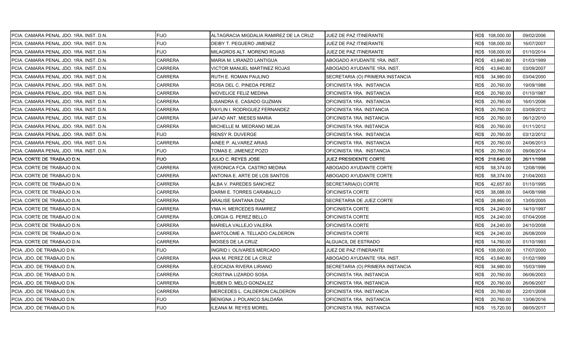| PCIA. CAMARA PENAL JDO. 1RA. INST. D.N. | <b>FIJO</b>    | ALTAGRACIA MIGDALIA RAMIREZ DE LA CRUZ | JUEZ DE PAZ ITINERANTE           | RD\$ 108,000.00   | 09/02/2006 |
|-----------------------------------------|----------------|----------------------------------------|----------------------------------|-------------------|------------|
| PCIA. CAMARA PENAL JDO. 1RA. INST. D.N. | <b>FIJO</b>    | DEIBY T. PEGUERO JIMENEZ               | JUEZ DE PAZ ITINERANTE           | RD\$ 108,000.00   | 16/07/2007 |
| PCIA. CAMARA PENAL JDO. 1RA. INST. D.N. | <b>FIJO</b>    | MILAGROS ALT. MORENO ROJAS             | JUEZ DE PAZ ITINERANTE           | RD\$ 108,000.00   | 01/10/2014 |
| PCIA. CAMARA PENAL JDO. 1RA. INST. D.N. | <b>CARRERA</b> | MARIA M. LIRANZO LANTIGUA              | ABOGADO AYUDANTE 1RA. INST.      | RD\$<br>43,840.80 | 01/03/1999 |
| PCIA. CAMARA PENAL JDO. 1RA. INST. D.N. | <b>CARRERA</b> | VICTOR MANUEL MARTINEZ ROJAS           | ABOGADO AYUDANTE 1RA. INST.      | RD\$<br>43,840.80 | 03/09/2007 |
| PCIA. CAMARA PENAL JDO. 1RA. INST. D.N. | <b>CARRERA</b> | RUTH E. ROMAN PAULINO                  | SECRETARIA (O) PRIMERA INSTANCIA | RD\$<br>34,980.00 | 03/04/2000 |
| PCIA. CAMARA PENAL JDO. 1RA. INST. D.N. | <b>CARRERA</b> | ROSA DEL C. PINEDA PEREZ               | OFICINISTA 1RA. INSTANCIA        | RD\$<br>20,760.00 | 19/09/1988 |
| PCIA. CAMARA PENAL JDO. 1RA. INST. D.N. | CARRERA        | NIOVELICE FELIZ MEDINA                 | OFICINISTA 1RA. INSTANCIA        | RD\$<br>20,760.00 | 01/10/1987 |
| PCIA. CAMARA PENAL JDO. 1RA. INST. D.N. | <b>CARRERA</b> | LISANDRA E. CASADO GUZMAN              | OFICINISTA 1RA. INSTANCIA        | RD\$<br>20,760.00 | 16/01/2006 |
| PCIA. CAMARA PENAL JDO. 1RA. INST. D.N. | <b>CARRERA</b> | RAYLIN I. RODRIGUEZ FERNANDEZ          | OFICINISTA 1RA. INSTANCIA        | RD\$<br>20,760.00 | 03/09/2012 |
| PCIA. CAMARA PENAL JDO. 1RA. INST. D.N. | <b>CARRERA</b> | JAFAD ANT. MIESES MARIA                | OFICINISTA 1RA. INSTANCIA        | RD\$<br>20,760.00 | 06/12/2010 |
| PCIA. CAMARA PENAL JDO. 1RA. INST. D.N. | <b>CARRERA</b> | MICHELLE M. MEDRANO MEJIA              | OFICINISTA 1RA. INSTANCIA        | RD\$<br>20,760.00 | 01/11/2012 |
| PCIA. CAMARA PENAL JDO. 1RA. INST. D.N. | <b>FIJO</b>    | <b>RENSY R. DUVERGE</b>                | OFICINISTA 1RA. INSTANCIA        | RD\$<br>20,760.00 | 03/12/2012 |
| PCIA. CAMARA PENAL JDO. 1RA. INST. D.N. | <b>CARRERA</b> | AINEE P. ALVAREZ ARIAS                 | OFICINISTA 1RA. INSTANCIA        | RD\$<br>20,760.00 | 24/06/2013 |
| PCIA. CAMARA PENAL JDO. 1RA. INST. D.N. | <b>FIJO</b>    | TOMAS E. JIMENEZ POZO                  | OFICINISTA 1RA. INSTANCIA        | RD\$<br>20,760.00 | 09/06/2014 |
| PCIA. CORTE DE TRABAJO D.N.             | <b>FIJO</b>    | JULIO C. REYES JOSE                    | JUEZ PRESIDENTE CORTE            | RD\$ 218,640.00   | 26/11/1998 |
| PCIA. CORTE DE TRABAJO D.N.             | <b>CARRERA</b> | VERONICA FCA. CASTRO MEDINA            | ABOGADO AYUDANTE CORTE           | RD\$<br>58,374.00 | 12/08/1996 |
| PCIA. CORTE DE TRABAJO D.N.             | <b>CARRERA</b> | ANTONIA E. ARTE DE LOS SANTOS          | ABOGADO AYUDANTE CORTE           | RD\$<br>58,374.00 | 21/04/2003 |
| PCIA. CORTE DE TRABAJO D.N.             | <b>CARRERA</b> | ALBA V. PAREDES SANCHEZ                | SECRETARIA(O) CORTE              | RD\$<br>42,657.60 | 01/10/1995 |
| PCIA. CORTE DE TRABAJO D.N.             | <b>CARRERA</b> | DARMI E. TORRES CARABALLO              | OFICINISTA CORTE                 | RD\$<br>38,088.00 | 04/08/1998 |
| PCIA. CORTE DE TRABAJO D.N.             | <b>CARRERA</b> | ARALISE SANTANA DIAZ                   | SECRETARIA DE JUEZ CORTE         | RD\$<br>28,860.00 | 13/05/2005 |
| PCIA. CORTE DE TRABAJO D.N.             | CARRERA        | YMA H. MERCEDES RAMIREZ                | OFICINISTA CORTE                 | 24,240.00<br>RD\$ | 14/10/1997 |
| PCIA. CORTE DE TRABAJO D.N.             | <b>CARRERA</b> | LORGIA G. PEREZ BELLO                  | OFICINISTA CORTE                 | RD\$<br>24,240.00 | 07/04/2008 |
| PCIA. CORTE DE TRABAJO D.N.             | <b>CARRERA</b> | MARIELA VALLEJO VALERA                 | OFICINISTA CORTE                 | RD\$<br>24,240.00 | 24/10/2008 |
| PCIA. CORTE DE TRABAJO D.N.             | <b>CARRERA</b> | BARTOLOME A. TELLADO CALDERON          | OFICINISTA CORTE                 | RD\$<br>24,240.00 | 26/08/2009 |
| PCIA. CORTE DE TRABAJO D.N.             | <b>CARRERA</b> | MOISES DE LA CRUZ                      | ALGUACIL DE ESTRADO              | RD\$<br>14,760.00 | 01/10/1993 |
| PCIA. JDO. DE TRABAJO D.N.              | <b>FIJO</b>    | NGRID I. OLIVARES MERCADO              | JUEZ DE PAZ ITINERANTE           | RD\$ 108,000.00   | 17/07/2000 |
| PCIA. JDO. DE TRABAJO D.N.              | <b>CARRERA</b> | ANA M. PEREZ DE LA CRUZ                | ABOGADO AYUDANTE 1RA. INST.      | RD\$<br>43,840.80 | 01/02/1999 |
| PCIA. JDO. DE TRABAJO D.N.              | <b>CARRERA</b> | LEOCADIA RIVERA LIRIANO                | SECRETARIA (O) PRIMERA INSTANCIA | RD\$<br>34,980.00 | 15/03/1999 |
| PCIA. JDO. DE TRABAJO D.N.              | <b>CARRERA</b> | CRISTINA LIZARDO SOSA                  | OFICINISTA 1RA. INSTANCIA        | RD\$<br>20,760.00 | 06/06/2003 |
| PCIA. JDO. DE TRABAJO D.N.              | <b>CARRERA</b> | RUBEN D. MELO GONZALEZ                 | OFICINISTA 1RA. INSTANCIA        | RD\$<br>20,760.00 | 26/06/2007 |
| PCIA. JDO. DE TRABAJO D.N.              | <b>CARRERA</b> | MERCEDES L. CALDERON CALDERON          | OFICINISTA 1RA. INSTANCIA        | RD\$<br>20,760.00 | 22/01/2008 |
| PCIA. JDO. DE TRABAJO D.N.              | <b>FIJO</b>    | BENIGNA J. POLANCO SALDAÑA             | OFICINISTA 1RA. INSTANCIA        | 20,760.00<br>RD\$ | 13/06/2016 |
| PCIA. JDO. DE TRABAJO D.N.              | <b>FIJO</b>    | LEANA M. REYES MOREL                   | OFICINISTA 1RA. INSTANCIA        | RD\$<br>15,720.00 | 08/05/2017 |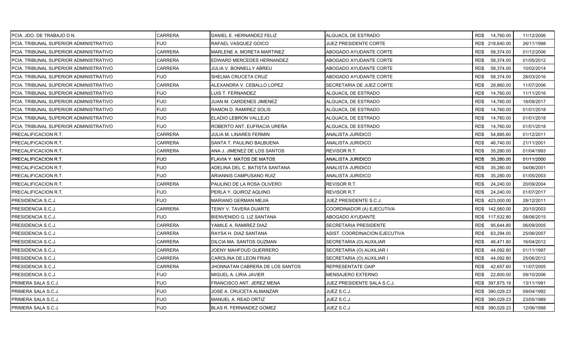| PCIA. JDO. DE TRABAJO D.N.             | CARRERA        | DANIEL E. HERNANDEZ FELIZ       | ALGUACIL DE ESTRADO           | RD\$ 14,760.00    | 11/12/2006 |
|----------------------------------------|----------------|---------------------------------|-------------------------------|-------------------|------------|
| PCIA. TRIBUNAL SUPERIOR ADMINISTRATIVO | <b>FIJO</b>    | RAFAEL VASQUEZ GOICO            | JUEZ PRESIDENTE CORTE         | RD\$ 218,640.00   | 26/11/1998 |
| PCIA. TRIBUNAL SUPERIOR ADMINISTRATIVO | <b>CARRERA</b> | MARLENE A. MORETA MARTINEZ      | ABOGADO AYUDANTE CORTE        | 58,374.00<br>RD\$ | 01/12/2006 |
| PCIA. TRIBUNAL SUPERIOR ADMINISTRATIVO | <b>CARRERA</b> | EDWARD MERCEDES HERNANDEZ       | ABOGADO AYUDANTE CORTE        | RD\$<br>58,374.00 | 01/05/2012 |
| PCIA. TRIBUNAL SUPERIOR ADMINISTRATIVO | <b>CARRERA</b> | JULIA V. BONNELLY ABREU         | ABOGADO AYUDANTE CORTE        | RD\$<br>58,374.00 | 10/02/2014 |
| PCIA. TRIBUNAL SUPERIOR ADMINISTRATIVO | <b>FIJO</b>    | SHELMA CRUCETA CRUZ             | ABOGADO AYUDANTE CORTE        | RD\$<br>58,374.00 | 28/03/2016 |
| PCIA. TRIBUNAL SUPERIOR ADMINISTRATIVO | <b>CARRERA</b> | ALEXANDRA V. CEBALLO LOPEZ      | SECRETARIA DE JUEZ CORTE      | RD\$<br>28,860.00 | 11/07/2006 |
| PCIA. TRIBUNAL SUPERIOR ADMINISTRATIVO | <b>FIJO</b>    | LUIS T. FERNANDEZ               | ALGUACIL DE ESTRADO           | RD\$<br>14,760.00 | 11/11/2016 |
| PCIA. TRIBUNAL SUPERIOR ADMINISTRATIVO | <b>FIJO</b>    | JUAN M. CARDENES JIMENEZ        | ALGUACIL DE ESTRADO           | RD\$<br>14,760.00 | 18/09/2017 |
| PCIA. TRIBUNAL SUPERIOR ADMINISTRATIVO | <b>FIJO</b>    | RAMON D. RAMIREZ SOLIS          | ALGUACIL DE ESTRADO           | RD\$<br>14,760.00 | 01/01/2018 |
| PCIA. TRIBUNAL SUPERIOR ADMINISTRATIVO | <b>FIJO</b>    | ELADIO LEBRON VALLEJO           | ALGUACIL DE ESTRADO           | 14,760.00<br>RD\$ | 01/01/2018 |
| PCIA. TRIBUNAL SUPERIOR ADMINISTRATIVO | <b>FIJO</b>    | ROBERTO ANT. EUFRACIA UREÑA     | ALGUACIL DE ESTRADO           | RD\$<br>14,760.00 | 01/01/2018 |
| <b>PRECALIFICACION R.T.</b>            | <b>CARRERA</b> | JULIA M. LINARES FERMIN         | ANALISTA JURIDICO             | RD\$<br>54,885.60 | 01/12/2011 |
| PRECALIFICACION R.T.                   | <b>CARRERA</b> | SANTA T. PAULINO BALBUENA       | ANALISTA JURIDICO             | RD\$<br>46,740.00 | 21/11/2001 |
| <b>PRECALIFICACION R.T.</b>            | <b>CARRERA</b> | ANA J. JIMENEZ DE LOS SANTOS    | REVISOR R.T.                  | RD\$<br>35,280.00 | 01/04/1993 |
| PRECALIFICACION R.T.                   | <b>FIJO</b>    | FLAVIA Y. MATOS DE MATOS        | <b>ANALISTA JURIDICO</b>      | RD\$<br>35,280.00 | 01/11/2000 |
| PRECALIFICACION R.T.                   | <b>FIJO</b>    | ADELINA DEL C. BATISTA SANTANA  | ANALISTA JURIDICO             | RD\$<br>35,280.00 | 04/06/2001 |
| <b>PRECALIFICACION R.T.</b>            | <b>FIJO</b>    | ARIANNIS CAMPUSANO RUIZ         | ANALISTA JURIDICO             | RD\$<br>35,280.00 | 01/05/2003 |
| PRECALIFICACION R.T.                   | <b>CARRERA</b> | PAULINO DE LA ROSA OLIVERO      | REVISOR R.T.                  | RD\$<br>24,240.00 | 20/09/2004 |
| PRECALIFICACION R.T.                   | <b>FIJO</b>    | PERLA Y. QUIROZ AQUINO          | <b>REVISOR R.T</b>            | RD\$<br>24,240.00 | 01/07/2017 |
| <b>PRESIDENCIA S.C.J.</b>              | <b>FIJO</b>    | MARIANO GERMAN MEJIA            | JUEZ PRESIDENTE S.C.J.        | RD\$ 423,000.00   | 28/12/2011 |
| PRESIDENCIA S.C.J.                     | <b>CARRERA</b> | TEINY V. TAVERA DUARTE          | COORDINADOR (A) EJECUTIVA     | RD\$ 142,560.00   | 20/10/2003 |
| PRESIDENCIA S.C.J.                     | <b>FIJO</b>    | BIENVENIDO G. LIZ SANTANA       | ABOGADO AYUDANTE              | RD\$ 117,532.80   | 08/06/2015 |
| PRESIDENCIA S.C.J.                     | <b>CARRERA</b> | YAMILE A. RAMIREZ DIAZ          | SECRETARIA PRESIDENTE         | 95,644.80<br>RD\$ | 06/09/2005 |
| <b>PRESIDENCIA S.C.J.</b>              | <b>CARRERA</b> | RAYSA H. DIAZ SANTANA           | ASIST. COORDINACION EJECUTIVA | RD\$<br>63,294.00 | 25/06/2007 |
| <b>PRESIDENCIA S.C.J.</b>              | CARRERA        | DILCIA MA. SANTOS GUZMAN        | SECRETARIA (O) AUXILIAR       | 46,471.80<br>RD\$ | 16/04/2012 |
| PRESIDENCIA S.C.J.                     | CARRERA        | JOENY MAHFOUD GUERRERO          | SECRETARIA (O) AUXILIAR I     | RD\$<br>44,092.80 | 01/11/1997 |
| PRESIDENCIA S.C.J.                     | CARRERA        | CAROLINA DE LEON FRIAS          | SECRETARIA (O) AUXILIAR I     | RD\$<br>44,092.80 | 25/06/2012 |
| PRESIDENCIA S.C.J.                     | <b>CARRERA</b> | JHONNATAN CABRERA DE LOS SANTOS | REPRESENTATE OAIP             | RD\$<br>42,657.60 | 11/07/2005 |
| <b>PRESIDENCIA S.C.J.</b>              | <b>FIJO</b>    | MIGUEL A. LIRIA JAVIER          | <b>MENSAJERO EXTERNO</b>      | RD\$<br>22,800.00 | 09/10/2006 |
| PRIMERA SALA S.C.J.                    | <b>FIJO</b>    | FRANCISCO ANT. JEREZ MENA       | JUEZ PRESIDENTE SALA S.C.J.   | RD\$ 397,875.19   | 13/11/1991 |
| PRIMERA SALA S.C.J.                    | <b>FIJO</b>    | JOSE A. CRUCETA ALMANZAR        | JUEZ S.C.J.                   | RD\$ 390,029.23   | 09/04/1992 |
| PRIMERA SALA S.C.J.                    | <b>FIJO</b>    | MANUEL A. READ ORTIZ            | JUEZ S.C.J.                   | RD\$ 390,029.23   | 23/05/1989 |
| PRIMERA SALA S.C.J.                    | <b>FIJO</b>    | BLAS R. FERNANDEZ GOMEZ         | JUEZ S.C.J.                   | RD\$ 390,029.23   | 12/06/1998 |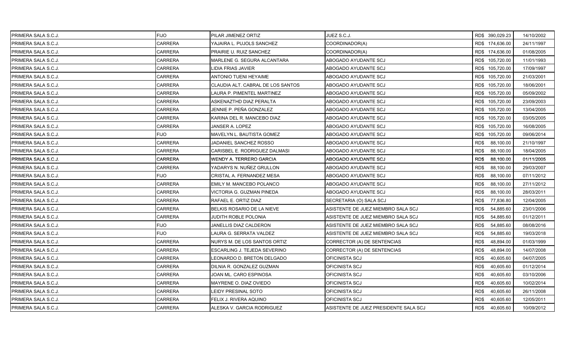| <b>PRIMERA SALA S.C.J.</b> | <b>FIJO</b>    | PILAR JIMENEZ ORTIZ               | JUEZ S.C.J.                           |      | RD\$ 390,029.23 | 14/10/2002 |
|----------------------------|----------------|-----------------------------------|---------------------------------------|------|-----------------|------------|
| PRIMERA SALA S.C.J.        | <b>CARRERA</b> | YAJAIRA L. PUJOLS SANCHEZ         | COORDINADOR(A)                        |      | RD\$ 174,636.00 | 24/11/1997 |
| PRIMERA SALA S.C.J.        | <b>CARRERA</b> | PRAIRIE U. RUIZ SANCHEZ           | COORDINADOR(A)                        |      | RD\$ 174,636.00 | 01/08/2005 |
| PRIMERA SALA S.C.J.        | <b>CARRERA</b> | MARLENE G. SEGURA ALCANTARA       | ABOGADO AYUDANTE SCJ                  |      | RD\$ 105,720.00 | 11/01/1993 |
| PRIMERA SALA S.C.J.        | <b>CARRERA</b> | LIDIA FRIAS JAVIER                | ABOGADO AYUDANTE SCJ                  |      | RD\$ 105,720.00 | 17/09/1997 |
| PRIMERA SALA S.C.J.        | <b>CARRERA</b> | ANTONIO TUENI HEYAIME             | ABOGADO AYUDANTE SCJ                  |      | RD\$ 105,720.00 | 21/03/2001 |
| PRIMERA SALA S.C.J.        | <b>CARRERA</b> | CLAUDIA ALT. CABRAL DE LOS SANTOS | ABOGADO AYUDANTE SCJ                  |      | RD\$ 105,720.00 | 18/06/2001 |
| <b>PRIMERA SALA S.C.J.</b> | CARRERA        | LAURA P. PIMENTEL MARTINEZ        | ABOGADO AYUDANTE SCJ                  |      | RD\$ 105,720.00 | 05/09/2002 |
| PRIMERA SALA S.C.J.        | <b>CARRERA</b> | ASKENAZTHD DIAZ PERALTA           | ABOGADO AYUDANTE SCJ                  |      | RD\$ 105,720.00 | 23/09/2003 |
| IPRIMERA SALA S.C.J.       | <b>CARRERA</b> | JENNIE P. PEÑA GONZALEZ           | ABOGADO AYUDANTE SCJ                  |      | RD\$ 105,720.00 | 13/04/2005 |
| PRIMERA SALA S.C.J.        | <b>CARRERA</b> | KARINA DEL R. MANCEBO DIAZ        | ABOGADO AYUDANTE SCJ                  |      | RD\$ 105,720.00 | 03/05/2005 |
| PRIMERA SALA S.C.J.        | CARRERA        | JANSER A. LOPEZ                   | ABOGADO AYUDANTE SCJ                  |      | RD\$ 105,720.00 | 16/08/2005 |
| <b>PRIMERA SALA S.C.J.</b> | <b>FIJO</b>    | MAVELYN L. BAUTISTA GOMEZ         | ABOGADO AYUDANTE SCJ                  |      | RD\$ 105,720.00 | 09/06/2014 |
| PRIMERA SALA S.C.J.        | <b>CARRERA</b> | JADANIEL SANCHEZ ROSSO            | ABOGADO AYUDANTE SCJ                  | RD\$ | 88,100.00       | 21/10/1997 |
| PRIMERA SALA S.C.J.        | <b>CARRERA</b> | CARISBEL E. RODRIGUEZ DALMASI     | ABOGADO AYUDANTE SCJ                  | RD\$ | 88,100.00       | 18/04/2005 |
| PRIMERA SALA S.C.J.        | <b>CARRERA</b> | WENDY A. TERRERO GARCIA           | ABOGADO AYUDANTE SCJ                  | RD\$ | 88,100.00       | 01/11/2005 |
| PRIMERA SALA S.C.J.        | <b>CARRERA</b> | YADARYS N. NUÑEZ GRULLON          | ABOGADO AYUDANTE SCJ                  | RD\$ | 88,100.00       | 29/03/2007 |
| PRIMERA SALA S.C.J.        | <b>FIJO</b>    | CRISTAL A. FERNANDEZ MESA         | ABOGADO AYUDANTE SCJ                  | RD\$ | 88,100.00       | 07/11/2012 |
| PRIMERA SALA S.C.J.        | <b>CARRERA</b> | EMILY M. MANCEBO POLANCO          | ABOGADO AYUDANTE SCJ                  | RD\$ | 88,100.00       | 27/11/2012 |
| PRIMERA SALA S.C.J.        | <b>CARRERA</b> | VICTORIA G. GUZMAN PINEDA         | ABOGADO AYUDANTE SCJ                  | RD\$ | 88,100.00       | 28/03/2011 |
| PRIMERA SALA S.C.J.        | <b>CARRERA</b> | RAFAEL E. ORTIZ DIAZ              | SECRETARIA (O) SALA SCJ               | RD\$ | 77,836.80       | 12/04/2005 |
| PRIMERA SALA S.C.J.        | CARRERA        | BELKIS ROSARIO DE LA NIEVE        | ASISTENTE DE JUEZ MIEMBRO SALA SCJ    | RD\$ | 54,885.60       | 23/01/2006 |
| PRIMERA SALA S.C.J.        | <b>CARRERA</b> | JUDITH ROBLE POLONIA              | ASISTENTE DE JUEZ MIEMBRO SALA SCJ    | RD\$ | 54,885.60       | 01/12/2011 |
| PRIMERA SALA S.C.J.        | <b>FIJO</b>    | JANELLIS DIAZ CALDERON            | ASISTENTE DE JUEZ MIEMBRO SALA SCJ    | RD\$ | 54,885.60       | 08/08/2016 |
| PRIMERA SALA S.C.J.        | <b>FIJO</b>    | LAURA G. SERRATA VALDEZ           | ASISTENTE DE JUEZ MIEMBRO SALA SCJ    | RD\$ | 54,885.60       | 19/03/2018 |
| PRIMERA SALA S.C.J.        | <b>CARRERA</b> | NURYS M. DE LOS SANTOS ORTIZ      | CORRECTOR (A) DE SENTENCIAS           | RD\$ | 48,894.00       | 01/03/1999 |
| PRIMERA SALA S.C.J.        | <b>CARRERA</b> | ESCARLING J. TEJEDA SEVERINO      | CORRECTOR (A) DE SENTENCIAS           | RD\$ | 48,894.00       | 14/07/2008 |
| PRIMERA SALA S.C.J.        | <b>CARRERA</b> | LEONARDO D. BRETON DELGADO        | OFICINISTA SCJ                        | RD\$ | 40,605.60       | 04/07/2005 |
| PRIMERA SALA S.C.J.        | <b>CARRERA</b> | DILNIA R. GONZALEZ GUZMAN         | OFICINISTA SCJ                        | RD\$ | 40,605.60       | 01/12/2014 |
| PRIMERA SALA S.C.J.        | <b>CARRERA</b> | JOAN ML. CARO ESPINOSA            | OFICINISTA SCJ                        | RD\$ | 40,605.60       | 03/10/2006 |
| PRIMERA SALA S.C.J.        | CARRERA        | MAYRENE O. DIAZ OVIEDO            | OFICINISTA SCJ                        | RD\$ | 40,605.60       | 10/02/2014 |
| PRIMERA SALA S.C.J.        | CARRERA        | LEIDY PRESINAL SOTO               | OFICINISTA SCJ                        | RD\$ | 40,605.60       | 26/11/2008 |
| PRIMERA SALA S.C.J.        | CARRERA        | FELIX J. RIVERA AQUINO            | OFICINISTA SCJ                        | RD\$ | 40,605.60       | 12/05/2011 |
| PRIMERA SALA S.C.J.        | <b>CARRERA</b> | ALESKA V. GARCIA RODRIGUEZ        | ASISTENTE DE JUEZ PRESIDENTE SALA SCJ | RD\$ | 40,605.60       | 10/09/2012 |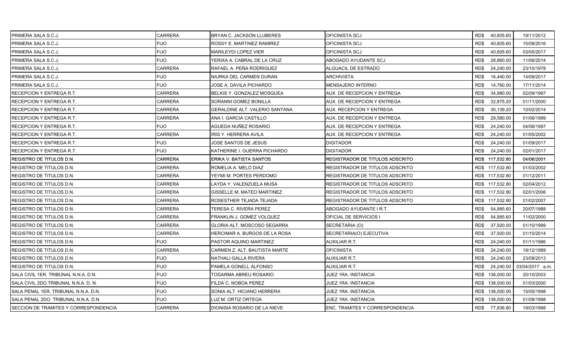| PRIMERA SALA S.C.J.                   | CARRERA        | BRYAN C. JACKSON LLUBERES      | OFICINISTA SCJ                  | RD\$40,605.60   |           | 19/11/2012      |
|---------------------------------------|----------------|--------------------------------|---------------------------------|-----------------|-----------|-----------------|
| <b>PRIMERA SALA S.C.J.</b>            | <b>FIJO</b>    | ROSSY E. MARTINEZ RAMIREZ      | OFICINISTA SCJ                  | RD\$            | 40,605.60 | 15/08/2016      |
| PRIMERA SALA S.C.J.                   | <b>FIJO</b>    | <b>MARILEYDI LOPEZ VIER</b>    | OFICINISTA SCJ                  | RD\$            | 40,605.60 | 03/05/2017      |
| PRIMERA SALA S.C.J.                   | <b>FIJO</b>    | YERIXA A. CABRAL DE LA CRUZ    | ABOGADO AYUDANTE SCJ            | RD\$            | 28,860.00 | 11/06/2014      |
| PRIMERA SALA S.C.J.                   | CARRERA        | RAFAEL A. PEÑA RODRIGUEZ       | ALGUACIL DE ESTRADO             | RD\$            | 24,240.00 | 23/10/1978      |
| PRIMERA SALA S.C.J.                   | <b>FIJO</b>    | NIURKA DEL CARMEN DURAN        | ARCHIVISTA                      | RD\$            | 16,440.00 | 14/09/2017      |
| PRIMERA SALA S.C.J.                   | <b>FIJO</b>    | JOSE A. DAVILA PICHARDO        | MENSAJERO INTERNO               | RD\$            | 14,760.00 | 17/11/2014      |
| <b>RECEPCION Y ENTREGA R.T.</b>       | CARRERA        | BELKIS Y. GONZALEZ MOSQUEA     | AUX. DE RECEPCION Y ENTREGA     | RD\$            | 34,980.00 | 02/09/1997      |
| <b>RECEPCION Y ENTREGA R.T.</b>       | <b>CARRERA</b> | SORANNI GOMEZ BONILLA          | AUX. DE RECEPCION Y ENTREGA     | RD\$            | 32,875.20 | 01/11/2000      |
| <b>RECEPCION Y ENTREGA R.T.</b>       | <b>CARRERA</b> | GERALDINE ALT. VALERIO SANTANA | AUX. RECEPCION Y ENTREGA        | RD\$            | 30,139.20 | 10/02/2014      |
| <b>RECEPCION Y ENTREGA R.T.</b>       | <b>CARRERA</b> | ANA I. GARCIA CASTILLO         | AUX. DE RECEPCION Y ENTREGA     | RD\$            | 29,580.00 | 01/06/1999      |
| <b>RECEPCION Y ENTREGA R.T.</b>       | <b>FIJO</b>    | AGUEDA NUÑEZ ROSARIO           | AUX. DE RECEPCION Y ENTREGA     | RD\$            | 24,240.00 | 04/06/1997      |
| <b>IRECEPCION Y ENTREGA R.T.</b>      | <b>CARRERA</b> | IRIS Y. HERRERA AVILA          | AUX. DE RECEPCION Y ENTREGA     | RD\$            | 24,240.00 | 01/05/2002      |
| <b>RECEPCION Y ENTREGA R.T.</b>       | <b>FIJO</b>    | JOSE SANTOS DE JESUS           | <b>DIGITADOR</b>                | RD\$            | 24,240.00 | 01/09/2017      |
| <b>RECEPCION Y ENTREGA R.T.</b>       | <b>FIJO</b>    | KATHERINE I. GUERRA PICHARDO   | <b>DIGITADOR</b>                | RD\$            | 24,240.00 | 02/01/2017      |
| IREGISTRO DE TITULOS D.N.             | <b>CARRERA</b> | ERIKA V. BATISTA SANTOS        | REGISTRADOR DE TITULOS ADSCRITO | RD\$ 117,532.80 |           | 04/06/2001      |
| <b>REGISTRO DE TITULOS D.N.</b>       | <b>CARRERA</b> | ROMELIA A. MELO DIAZ           | REGISTRADOR DE TITULOS ADSCRITO | RD\$ 117,532.80 |           | 01/03/2002      |
| REGISTRO DE TITULOS D.N.              | CARRERA        | YEYMI M. PORTES PERDOMO        | REGISTRADOR DE TITULOS ADSCRITO | RD\$ 117,532.80 |           | 01/12/2011      |
| IREGISTRO DE TITULOS D.N.             | <b>CARRERA</b> | LAYDA Y. VALENZUELA MUSA       | REGISTRADOR DE TITULOS ADSCRITO | RD\$ 117,532.80 |           | 02/04/2012      |
| REGISTRO DE TITULOS D.N.              | <b>CARRERA</b> | GISSELLE M. MATEO MARTINEZ     | REGISTRADOR DE TITULOS ADSCRITO | RD\$ 117,532.80 |           | 02/01/2006      |
| REGISTRO DE TITULOS D.N.              | CARRERA        | ROSESTHER TEJADA TEJADA        | REGISTRADOR DE TITULOS ADSCRITO | RD\$ 117,532.80 |           | 01/02/2007      |
| REGISTRO DE TITULOS D.N.              | <b>CARRERA</b> | TERESA C. RIVERA PEREZ         | ABOGADO AYUDANTE I R.T.         | RD\$            | 54,885.60 | 20/07/1988      |
| REGISTRO DE TITULOS D.N.              | <b>CARRERA</b> | FRANKLIN J. GOMEZ VOLQUEZ      | OFICIAL DE SERVICIOS I          | RD\$            | 54,885.60 | 11/02/2000      |
| REGISTRO DE TITULOS D.N.              | <b>CARRERA</b> | GLORIA ALT. MOSCOSO SEGARRA    | SECRETARIA (O)                  | RD\$            | 37,920.00 | 01/10/1999      |
| IREGISTRO DE TITULOS D.N.             | <b>CARRERA</b> | HERCIMAR A. BURGOS DE LA ROSA  | SECRETARIA(O) EJECUTIVA         | RD\$            | 37,920.00 | 01/10/2014      |
| REGISTRO DE TITULOS D.N.              | <b>FIJO</b>    | PASTOR AQUINO MARTINEZ         | AUXILIAR R.T.                   | RD\$            | 24,240.00 | 01/11/1986      |
| IREGISTRO DE TITULOS D.N.             | CARRERA        | CARMEN Z. ALT. BAUTISTA MARTE  | <b>OFICINISTA</b>               | RD\$            | 24,240.00 | 18/12/1989      |
| REGISTRO DE TITULOS D.N.              | <b>FIJO</b>    | NATHALI GALLA RIVERA           | AUXILIAR R.T.                   | RD\$            | 24,240.00 | 23/09/2013      |
| REGISTRO DE TITULOS D.N.              | <b>FIJO</b>    | PAMELA GONELL ALFONSO          | AUXILIAR R.T.                   | RD\$            | 24,240.00 | 03/04/2017 a.m. |
| SALA CIVIL 1ER. TRIBUNAL N.N.A. D.N.  | <b>FIJO</b>    | TOGARMA ABREU ROSARIO          | JUEZ 1RA. INSTANCIA             | RD\$ 138,000.00 |           | 20/10/2003      |
| SALA CIVIL 2DO TRIBUNAL N.N.A. D. N.  | <b>FIJO</b>    | FILDA C. NOBOA PEREZ           | JUEZ 1RA. INSTANCIA             | RD\$ 138,000.00 |           | 01/03/2000      |
| SALA PENAL 1ER. TRIBUNAL N.N.A. D.N.  | <b>FIJO</b>    | SONIA ALT. HICIANO HERRERA     | JUEZ 1RA. INSTANCIA             | RD\$ 138,000.00 |           | 15/05/1998      |
| SALA PENAL 2DO. TRIBUNAL N.N.A. D.N.  | <b>FIJO</b>    | LUZ M. ORTIZ ORTEGA            | JUEZ 1RA. INSTANCIA             | RD\$ 138,000.00 |           | 01/08/1998      |
| SECCION DE TRAMITES Y CORRESPONDENCIA | <b>CARRERA</b> | DIONISIA ROSARIO DE LA NIEVE   | ENC. TRAMITES Y CORRESPONDENCIA | RD\$ 77,836.80  |           | 19/03/1998      |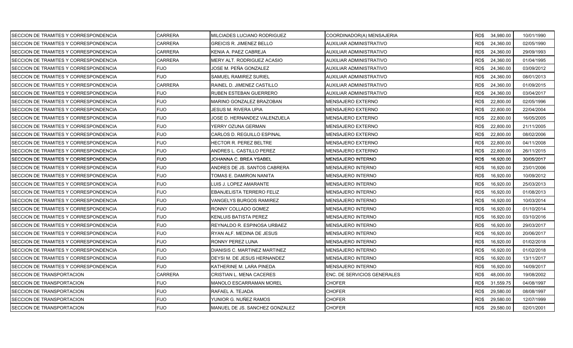| SECCION DE TRAMITES Y CORRESPONDENCIA        | CARRERA        | MILCIADES LUCIANO RODRIGUEZ    | COORDINADOR(A) MENSAJERIA   |      | RD\$ 34,980.00 | 10/01/1990 |
|----------------------------------------------|----------------|--------------------------------|-----------------------------|------|----------------|------------|
| SECCION DE TRAMITES Y CORRESPONDENCIA        | <b>CARRERA</b> | GREICIS R. JIMENEZ BELLO       | AUXILIAR ADMINISTRATIVO     | RD\$ | 24,360.00      | 02/05/1990 |
| <b>SECCION DE TRAMITES Y CORRESPONDENCIA</b> | CARRERA        | KENIA A. PAEZ CABREJA          | AUXILIAR ADMINISTRATIVO     | RD\$ | 24,360.00      | 29/09/1993 |
| <b>SECCION DE TRAMITES Y CORRESPONDENCIA</b> | <b>CARRERA</b> | MERY ALT. RODRIGUEZ ACASIO     | AUXILIAR ADMINISTRATIVO     | RD\$ | 24,360.00      | 01/04/1995 |
| SECCION DE TRAMITES Y CORRESPONDENCIA        | <b>FIJO</b>    | JOSE M. PEÑA GONZALEZ          | AUXILIAR ADMINISTRATIVO     | RD\$ | 24,360.00      | 03/09/2012 |
| SECCION DE TRAMITES Y CORRESPONDENCIA        | FIJO           | SAMUEL RAMIREZ SURIEL          | AUXILIAR ADMINISTRATIVO     | RD\$ | 24,360.00      | 08/01/2013 |
| SECCION DE TRAMITES Y CORRESPONDENCIA        | <b>CARRERA</b> | RAINEL D. JIMENEZ CASTILLO     | AUXILIAR ADMINISTRATIVO     | RD\$ | 24,360.00      | 01/09/2015 |
| SECCION DE TRAMITES Y CORRESPONDENCIA        | <b>FIJO</b>    | RUBEN ESTEBAN GUERRERO         | AUXILIAR ADMINISTRATIVO     | RD\$ | 24,360.00      | 03/04/2017 |
| SECCION DE TRAMITES Y CORRESPONDENCIA        | <b>FIJO</b>    | MARINO GONZALEZ BRAZOBAN       | MENSAJERO EXTERNO           | RD\$ | 22,800.00      | 02/05/1996 |
| SECCION DE TRAMITES Y CORRESPONDENCIA        | <b>FIJO</b>    | JESUS M. RIVERA UPIA           | MENSAJERO EXTERNO           | RD\$ | 22,800.00      | 22/04/2004 |
| SECCION DE TRAMITES Y CORRESPONDENCIA        | <b>FIJO</b>    | JOSE D. HERNANDEZ VALENZUELA   | MENSAJERO EXTERNO           | RD\$ | 22,800.00      | 16/05/2005 |
| SECCION DE TRAMITES Y CORRESPONDENCIA        | <b>FIJO</b>    | YERRY OZUNA GERMAN             | MENSAJERO EXTERNO           | RD\$ | 22,800.00      | 21/11/2005 |
| SECCION DE TRAMITES Y CORRESPONDENCIA        | <b>FIJO</b>    | CARLOS D. REGUILLO ESPINAL     | MENSAJERO EXTERNO           | RD\$ | 22,800.00      | 08/02/2006 |
| SECCION DE TRAMITES Y CORRESPONDENCIA        | FIJO           | HECTOR R. PEREZ BELTRE         | MENSAJERO EXTERNO           | RD\$ | 22,800.00      | 04/11/2008 |
| SECCION DE TRAMITES Y CORRESPONDENCIA        | <b>FIJO</b>    | ANDRES L. CASTILLO PEREZ       | MENSAJERO EXTERNO           | RD\$ | 22,800.00      | 26/11/2015 |
| SECCION DE TRAMITES Y CORRESPONDENCIA        | <b>FIJO</b>    | JOHANNA C. BREA YSABEL         | MENSAJERO INTERNO           | RD\$ | 16.920.00      | 30/05/2017 |
| SECCION DE TRAMITES Y CORRESPONDENCIA        | <b>FIJO</b>    | ANDRES DE JS. SANTOS CABRERA   | MENSAJERO INTERNO           | RD\$ | 16,920.00      | 23/01/2006 |
| SECCION DE TRAMITES Y CORRESPONDENCIA        | <b>FIJO</b>    | TOMAS E. DAMIRON NANITA        | MENSAJERO INTERNO           | RD\$ | 16,920.00      | 10/09/2012 |
| SECCION DE TRAMITES Y CORRESPONDENCIA        | <b>FIJO</b>    | LUIS J. LOPEZ AMARANTE         | MENSAJERO INTERNO           | RD\$ | 16,920.00      | 25/03/2013 |
| <b>SECCION DE TRAMITES Y CORRESPONDENCIA</b> | <b>FIJO</b>    | EBANJELISTA TERRERO FELIZ      | MENSAJERO INTERNO           | RD\$ | 16,920.00      | 01/08/2013 |
| SECCION DE TRAMITES Y CORRESPONDENCIA        | FIJO           | VANGELYS BURGOS RAMIREZ        | MENSAJERO INTERNO           | RD\$ | 16,920.00      | 10/03/2014 |
| SECCION DE TRAMITES Y CORRESPONDENCIA        | <b>FIJO</b>    | RONNY COLLADO GOMEZ            | MENSAJERO INTERNO           | RD\$ | 16,920.00      | 01/10/2014 |
| SECCION DE TRAMITES Y CORRESPONDENCIA        | <b>FIJO</b>    | KENLUIS BATISTA PEREZ          | MENSAJERO INTERNO           | RD\$ | 16,920.00      | 03/10/2016 |
| SECCION DE TRAMITES Y CORRESPONDENCIA        | FIJO           | REYNALDO R. ESPINOSA URBAEZ    | MENSAJERO INTERNO           | RD\$ | 16,920.00      | 29/03/2017 |
| SECCION DE TRAMITES Y CORRESPONDENCIA        | <b>FIJO</b>    | RYAN ALF. MEDINA DE JESUS      | MENSAJERO INTERNO           | RD\$ | 16,920.00      | 20/06/2017 |
| SECCION DE TRAMITES Y CORRESPONDENCIA        | <b>FIJO</b>    | RONNY PEREZ LUNA               | MENSAJERO INTERNO           | RD\$ | 16,920.00      | 01/02/2018 |
| SECCION DE TRAMITES Y CORRESPONDENCIA        | FIJO           | DIANISIS C. MARTINEZ MARTINEZ  | MENSAJERO INTERNO           | RD\$ | 16,920.00      | 01/02/2018 |
| SECCION DE TRAMITES Y CORRESPONDENCIA        | <b>FIJO</b>    | DEYSI M. DE JESUS HERNANDEZ    | MENSAJERO INTERNO           | RD\$ | 16,920.00      | 13/11/2017 |
| SECCION DE TRAMITES Y CORRESPONDENCIA        | <b>FIJO</b>    | KATHERINE M. LARA PINEDA       | MENSAJERO INTERNO           | RD\$ | 16,920.00      | 14/09/2017 |
| SECCION DE TRANSPORTACION                    | <b>CARRERA</b> | CRISTIAN L. MENA CACERES       | ENC. DE SERVICIOS GENERALES | RD\$ | 48,000.00      | 19/08/2002 |
| SECCION DE TRANSPORTACION                    | <b>FIJO</b>    | MANOLO ESCARRAMAN MOREL        | CHOFER                      | RD\$ | 31,559.75      | 04/08/1997 |
| SECCION DE TRANSPORTACION                    | <b>FIJO</b>    | RAFAEL A. TEJADA               | <b>CHOFER</b>               | RD\$ | 29,580.00      | 08/08/1997 |
| SECCION DE TRANSPORTACION                    | <b>FIJO</b>    | YUNIOR G. NUÑEZ RAMOS          | CHOFER                      | RD\$ | 29,580.00      | 12/07/1999 |
| SECCION DE TRANSPORTACION                    | FIJO           | MANUEL DE JS. SANCHEZ GONZALEZ | <b>CHOFER</b>               | RD\$ | 29,580.00      | 02/01/2001 |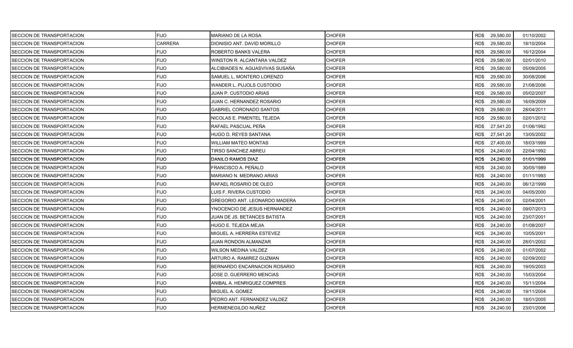| SECCION DE TRANSPORTACION | <b>FIJO</b>    | <b>MARIANO DE LA ROSA</b>       | <b>CHOFER</b> |      | RD\$ 29,580.00 | 01/10/2002 |
|---------------------------|----------------|---------------------------------|---------------|------|----------------|------------|
| SECCION DE TRANSPORTACION | <b>CARRERA</b> | DIONISIO ANT. DAVID MORILLO     | <b>CHOFER</b> | RD\$ | 29,580.00      | 18/10/2004 |
| SECCION DE TRANSPORTACION | <b>FIJO</b>    | ROBERTO BANKS VALERA            | <b>CHOFER</b> | RD\$ | 29,580.00      | 16/12/2004 |
| SECCION DE TRANSPORTACION | <b>FIJO</b>    | WINSTON R. ALCANTARA VALDEZ     | <b>CHOFER</b> | RD\$ | 29,580.00      | 02/01/2010 |
| SECCION DE TRANSPORTACION | <b>FIJO</b>    | ALCIBIADES N. AGUASVIVAS SUSAÑA | <b>CHOFER</b> | RD\$ | 29,580.00      | 05/09/2005 |
| SECCION DE TRANSPORTACION | <b>FIJO</b>    | SAMUEL L. MONTERO LORENZO       | <b>CHOFER</b> | RD\$ | 29,580.00      | 30/08/2006 |
| SECCION DE TRANSPORTACION | <b>FIJO</b>    | WANDER L. PUJOLS CUSTODIO       | CHOFER        | RD\$ | 29,580.00      | 21/08/2006 |
| SECCION DE TRANSPORTACION | <b>FIJO</b>    | JUAN P. CUSTODIO ARIAS          | <b>CHOFER</b> | RD\$ | 29,580.00      | 05/02/2007 |
| SECCION DE TRANSPORTACION | <b>FIJO</b>    | JUAN C. HERNANDEZ ROSARIO       | <b>CHOFER</b> | RD\$ | 29,580.00      | 16/09/2009 |
| SECCION DE TRANSPORTACION | <b>FIJO</b>    | <b>GABRIEL CORONADO SANTOS</b>  | <b>CHOFER</b> | RD\$ | 29,580.00      | 28/04/2011 |
| SECCION DE TRANSPORTACION | <b>FIJO</b>    | NICOLAS E. PIMENTEL TEJEDA      | <b>CHOFER</b> | RD\$ | 29,580.00      | 02/01/2012 |
| SECCION DE TRANSPORTACION | <b>FIJO</b>    | RAFAEL PASCUAL PEÑA             | CHOFER        | RD\$ | 27,541.20      | 01/06/1992 |
| SECCION DE TRANSPORTACION | <b>FIJO</b>    | HUGO D. REYES SANTANA           | <b>CHOFER</b> | RD\$ | 27,541.20      | 13/05/2002 |
| SECCION DE TRANSPORTACION | <b>FIJO</b>    | WILLIAM MATEO MONTAS            | <b>CHOFER</b> | RD\$ | 27,400.00      | 18/03/1999 |
| SECCION DE TRANSPORTACION | <b>FIJO</b>    | TIRSO SANCHEZ ABREU             | <b>CHOFER</b> | RD\$ | 24,240.00      | 22/04/1992 |
| SECCION DE TRANSPORTACION | <b>FIJO</b>    | DANILO RAMOS DIAZ               | <b>CHOFER</b> | RD\$ | 24,240.00      | 01/01/1999 |
| SECCION DE TRANSPORTACION | <b>FIJO</b>    | FRANCISCO A. PEÑALO             | CHOFER        | RD\$ | 24,240.00      | 30/05/1989 |
| SECCION DE TRANSPORTACION | <b>FIJO</b>    | MARIANO N. MEDRANO ARIAS        | <b>CHOFER</b> | RD\$ | 24,240.00      | 01/11/1993 |
| SECCION DE TRANSPORTACION | <b>FIJO</b>    | RAFAEL ROSARIO DE OLEO          | <b>CHOFER</b> | RD\$ | 24,240.00      | 06/12/1999 |
| SECCION DE TRANSPORTACION | <b>FIJO</b>    | LUIS F. RIVERA CUSTODIO         | <b>CHOFER</b> | RD\$ | 24,240.00      | 04/05/2000 |
| SECCION DE TRANSPORTACION | <b>FIJO</b>    | GREGORIO ANT. LEONARDO MADERA   | <b>CHOFER</b> | RD\$ | 24,240.00      | 02/04/2001 |
| SECCION DE TRANSPORTACION | <b>FIJO</b>    | YNOCENCIO DE JESUS HERNANDEZ    | CHOFER        | RD\$ | 24,240.00      | 09/07/2013 |
| SECCION DE TRANSPORTACION | <b>FIJO</b>    | JUAN DE JS. BETANCES BATISTA    | <b>CHOFER</b> | RD\$ | 24,240.00      | 23/07/2001 |
| SECCION DE TRANSPORTACION | <b>FIJO</b>    | HUGO E. TEJEDA MEJIA            | <b>CHOFER</b> | RD\$ | 24,240.00      | 01/08/2007 |
| SECCION DE TRANSPORTACION | <b>FIJO</b>    | MIGUEL A. HERRERA ESTEVEZ       | <b>CHOFER</b> | RD\$ | 24,240.00      | 10/05/2001 |
| SECCION DE TRANSPORTACION | <b>FIJO</b>    | JUAN RONDON ALMANZAR            | <b>CHOFER</b> | RD\$ | 24,240.00      | 28/01/2002 |
| SECCION DE TRANSPORTACION | <b>FIJO</b>    | WILSON MEDINA VALDEZ            | CHOFER        | RD\$ | 24,240.00      | 01/07/2002 |
| SECCION DE TRANSPORTACION | <b>FIJO</b>    | ARTURO A. RAMIREZ GUZMAN        | <b>CHOFER</b> | RD\$ | 24,240.00      | 02/09/2002 |
| SECCION DE TRANSPORTACION | <b>FIJO</b>    | BERNARDO ENCARNACION ROSARIO    | <b>CHOFER</b> | RD\$ | 24,240.00      | 19/05/2003 |
| SECCION DE TRANSPORTACION | <b>FIJO</b>    | JOSE D. GUERRERO MENCIAS        | <b>CHOFER</b> | RD\$ | 24,240.00      | 15/03/2004 |
| SECCION DE TRANSPORTACION | <b>FIJO</b>    | ANIBAL A. HENRIQUEZ COMPRES     | <b>CHOFER</b> | RD\$ | 24,240.00      | 15/11/2004 |
| SECCION DE TRANSPORTACION | <b>FIJO</b>    | MIGUEL A. GOMEZ                 | <b>CHOFER</b> | RD\$ | 24,240.00      | 19/11/2004 |
| SECCION DE TRANSPORTACION | <b>FIJO</b>    | PEDRO ANT. FERNANDEZ VALDEZ     | CHOFER        | RD\$ | 24,240.00      | 18/01/2005 |
| SECCION DE TRANSPORTACION | <b>FIJO</b>    | HERMENEGILDO NUÑEZ              | <b>CHOFER</b> | RD\$ | 24,240.00      | 23/01/2006 |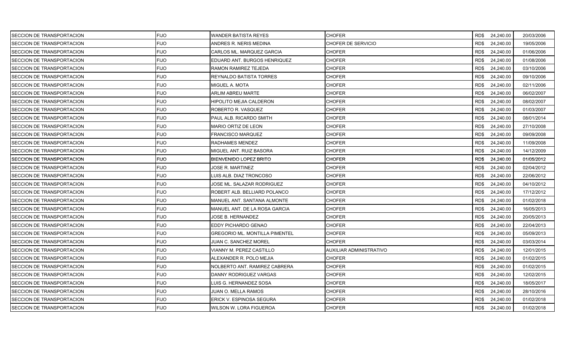| SECCION DE TRANSPORTACION | <b>FIJO</b> | WANDER BATISTA REYES           | CHOFER                  |      | RD\$ 24,240.00 | 20/03/2006 |
|---------------------------|-------------|--------------------------------|-------------------------|------|----------------|------------|
| SECCION DE TRANSPORTACION | <b>FIJO</b> | ANDRES R. NERIS MEDINA         | CHOFER DE SERVICIO      | RD\$ | 24,240.00      | 19/05/2006 |
| SECCION DE TRANSPORTACION | <b>FIJO</b> | CARLOS ML. MARQUEZ GARCIA      | <b>CHOFER</b>           | RD\$ | 24,240.00      | 01/06/2006 |
| SECCION DE TRANSPORTACION | <b>FIJO</b> | EDUARD ANT. BURGOS HENRIQUEZ   | <b>CHOFER</b>           | RD\$ | 24,240.00      | 01/08/2006 |
| SECCION DE TRANSPORTACION | <b>FIJO</b> | RAMON RAMIREZ TEJEDA           | <b>CHOFER</b>           | RD\$ | 24,240.00      | 03/10/2006 |
| SECCION DE TRANSPORTACION | <b>FIJO</b> | REYNALDO BATISTA TORRES        | <b>CHOFER</b>           | RD\$ | 24,240.00      | 09/10/2006 |
| SECCION DE TRANSPORTACION | <b>FIJO</b> | MIGUEL A. MOTA                 | <b>CHOFER</b>           | RD\$ | 24,240.00      | 02/11/2006 |
| SECCION DE TRANSPORTACION | <b>FIJO</b> | <b>ARLIM ABREU MARTE</b>       | <b>CHOFER</b>           | RD\$ | 24,240.00      | 06/02/2007 |
| SECCION DE TRANSPORTACION | FIJO        | HIPOLITO MEJIA CALDERON        | <b>CHOFER</b>           | RD\$ | 24,240.00      | 08/02/2007 |
| SECCION DE TRANSPORTACION | <b>FIJO</b> | ROBERTO R. VASQUEZ             | <b>CHOFER</b>           | RD\$ | 24,240.00      | 01/03/2007 |
| SECCION DE TRANSPORTACION | <b>FIJO</b> | PAUL ALB. RICARDO SMITH        | <b>CHOFER</b>           | RD\$ | 24,240.00      | 08/01/2014 |
| SECCION DE TRANSPORTACION | <b>FIJO</b> | MARIO ORTIZ DE LEON            | <b>CHOFER</b>           | RD\$ | 24,240.00      | 27/10/2008 |
| SECCION DE TRANSPORTACION | <b>FIJO</b> | FRANCISCO MARQUEZ              | <b>CHOFER</b>           | RD\$ | 24,240.00      | 09/09/2008 |
| SECCION DE TRANSPORTACION | <b>FIJO</b> | RADHAMES MENDEZ                | <b>CHOFER</b>           | RD\$ | 24,240.00      | 11/09/2008 |
| SECCION DE TRANSPORTACION | <b>FIJO</b> | MIGUEL ANT. RUIZ BASORA        | <b>CHOFER</b>           | RD\$ | 24,240.00      | 14/12/2009 |
| SECCION DE TRANSPORTACION | <b>FIJO</b> | BIENVENIDO LOPEZ BRITO         | CHOFER                  | RD\$ | 24,240.00      | 01/05/2012 |
| SECCION DE TRANSPORTACION | <b>FIJO</b> | JOSE R. MARTINEZ               | <b>CHOFER</b>           | RD\$ | 24,240.00      | 02/04/2012 |
| SECCION DE TRANSPORTACION | FIJO        | LUIS ALB. DIAZ TRONCOSO        | <b>CHOFER</b>           | RD\$ | 24,240.00      | 22/06/2012 |
| SECCION DE TRANSPORTACION | <b>FIJO</b> | JOSE ML. SALAZAR RODRIGUEZ     | <b>CHOFER</b>           | RD\$ | 24,240.00      | 04/10/2012 |
| SECCION DE TRANSPORTACION | <b>FIJO</b> | ROBERT ALB. BELLIARD POLANCO   | <b>CHOFER</b>           | RD\$ | 24,240.00      | 17/12/2012 |
| SECCION DE TRANSPORTACION | <b>FIJO</b> | MANUEL ANT. SANTANA ALMONTE    | <b>CHOFER</b>           | RD\$ | 24,240.00      | 01/02/2018 |
| SECCION DE TRANSPORTACION | <b>FIJO</b> | MANUEL ANT. DE LA ROSA GARCIA  | <b>CHOFER</b>           | RD\$ | 24,240.00      | 16/05/2013 |
| SECCION DE TRANSPORTACION | <b>FIJO</b> | JOSE B. HERNANDEZ              | <b>CHOFER</b>           | RD\$ | 24,240.00      | 20/05/2013 |
| SECCION DE TRANSPORTACION | <b>FIJO</b> | EDDY PICHARDO GENAO            | <b>CHOFER</b>           | RD\$ | 24,240.00      | 22/04/2013 |
| SECCION DE TRANSPORTACION | <b>FIJO</b> | GREGORIO ML. MONTILLA PIMENTEL | <b>CHOFER</b>           | RD\$ | 24,240.00      | 05/09/2013 |
| SECCION DE TRANSPORTACION | <b>FIJO</b> | JUAN C. SANCHEZ MOREL          | <b>CHOFER</b>           | RD\$ | 24,240.00      | 03/03/2014 |
| SECCION DE TRANSPORTACION | <b>FIJO</b> | VIANNY M. PEREZ CASTILLO       | AUXILIAR ADMINISTRATIVO | RD\$ | 24,240.00      | 12/01/2015 |
| SECCION DE TRANSPORTACION | <b>FIJO</b> | ALEXANDER R. POLO MEJIA        | <b>CHOFER</b>           | RD\$ | 24,240.00      | 01/02/2015 |
| SECCION DE TRANSPORTACION | <b>FIJO</b> | NOLBERTO ANT. RAMIREZ CABRERA  | <b>CHOFER</b>           | RD\$ | 24,240.00      | 01/02/2015 |
| SECCION DE TRANSPORTACION | FIJO        | DANNY RODRIGUEZ VARGAS         | <b>CHOFER</b>           | RD\$ | 24,240.00      | 12/02/2015 |
| SECCION DE TRANSPORTACION | <b>FIJO</b> | LUIS G. HERNANDEZ SOSA         | <b>CHOFER</b>           | RD\$ | 24,240.00      | 18/05/2017 |
| SECCION DE TRANSPORTACION | <b>FIJO</b> | JUAN O. MELLA RAMOS            | <b>CHOFER</b>           | RD\$ | 24,240.00      | 28/10/2016 |
| SECCION DE TRANSPORTACION | <b>FIJO</b> | ERICK V. ESPINOSA SEGURA       | CHOFER                  | RD\$ | 24,240.00      | 01/02/2018 |
| SECCION DE TRANSPORTACION | <b>FIJO</b> | WILSON W. LORA FIGUEROA        | <b>CHOFER</b>           | RD\$ | 24,240.00      | 01/02/2018 |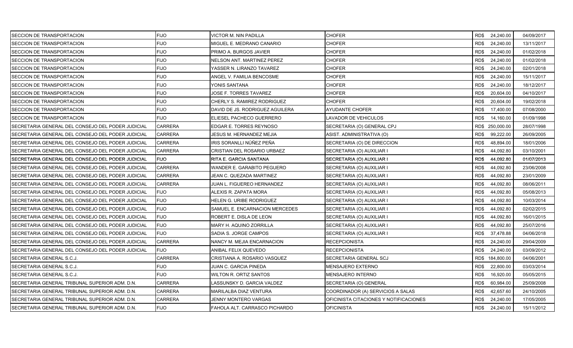| SECCION DE TRANSPORTACION                         | <b>FIJO</b>    | VICTOR M. NIN PADILLA           | CHOFER                                 | RD\$ 24,240.00    | 04/09/2017 |
|---------------------------------------------------|----------------|---------------------------------|----------------------------------------|-------------------|------------|
| SECCION DE TRANSPORTACION                         | <b>FIJO</b>    | MIGUEL E. MEDRANO CANARIO       | <b>CHOFER</b>                          | RD\$<br>24,240.00 | 13/11/2017 |
| SECCION DE TRANSPORTACION                         | <b>FIJO</b>    | PRIMO A. BURGOS JAVIER          | <b>CHOFER</b>                          | RD\$<br>24,240.00 | 01/02/2018 |
| SECCION DE TRANSPORTACION                         | <b>FIJO</b>    | NELSON ANT. MARTINEZ PEREZ      | <b>CHOFER</b>                          | RD\$<br>24,240.00 | 01/02/2018 |
| SECCION DE TRANSPORTACION                         | <b>FIJO</b>    | YASSER N. LIRANZO TAVAREZ       | <b>CHOFER</b>                          | RD\$<br>24,240.00 | 02/01/2018 |
| SECCION DE TRANSPORTACION                         | <b>FIJO</b>    | ANGEL V. FAMILIA BENCOSME       | <b>CHOFER</b>                          | RD\$<br>24,240.00 | 15/11/2017 |
| SECCION DE TRANSPORTACION                         | <b>FIJO</b>    | YONIS SANTANA                   | <b>CHOFER</b>                          | RD\$<br>24,240.00 | 18/12/2017 |
| SECCION DE TRANSPORTACION                         | <b>FIJO</b>    | JOSE F. TORRES TAVAREZ          | <b>CHOFER</b>                          | 20,604.00<br>RD\$ | 04/10/2017 |
| SECCION DE TRANSPORTACION                         | <b>FIJO</b>    | CHERLY S. RAMIREZ RODRIGUEZ     | <b>CHOFER</b>                          | RD\$<br>20,604.00 | 19/02/2018 |
| SECCION DE TRANSPORTACION                         | <b>FIJO</b>    | DAVID DE JS. RODRIGUEZ AGUILERA | AYUDANTE CHOFER                        | RD\$<br>17,400.00 | 07/08/2000 |
| SECCION DE TRANSPORTACION                         | <b>FIJO</b>    | ELIESEL PACHECO GUERRERO        | LAVADOR DE VEHICULOS                   | RD\$<br>14,160.00 | 01/09/1998 |
| SECRETARIA GENERAL DEL CONSEJO DEL PODER JUDICIAL | <b>CARRERA</b> | EDGAR E. TORRES REYNOSO         | SECRETARIA (O) GENERAL CPJ             | RD\$ 250,000.00   | 28/07/1998 |
| SECRETARIA GENERAL DEL CONSEJO DEL PODER JUDICIAL | CARRERA        | JESUS M. HERNANDEZ MEJIA        | ASIST. ADMINISTRATIVA (O)              | 99,222.00<br>RD\$ | 26/09/2005 |
| SECRETARIA GENERAL DEL CONSEJO DEL PODER JUDICIAL | <b>CARRERA</b> | IRIS SORANLLI NÚÑEZ PEÑA        | SECRETARIA (O) DE DIRECCION            | RD\$<br>48,894.00 | 18/01/2006 |
| SECRETARIA GENERAL DEL CONSEJO DEL PODER JUDICIAL | <b>CARRERA</b> | CRISTIAN DEL ROSARIO URBAEZ     | SECRETARIA (O) AUXILIAR I              | RD\$<br>44,092.80 | 03/10/2001 |
| SECRETARIA GENERAL DEL CONSEJO DEL PODER JUDICIAL | <b>FIJO</b>    | RITA E. GARCIA SANTANA          | SECRETARIA (O) AUXILIAR I              | 44,092.80<br>RD\$ | 01/07/2013 |
| SECRETARIA GENERAL DEL CONSEJO DEL PODER JUDICIAL | <b>CARRERA</b> | WANDER E. GARABITO PEGUERO      | SECRETARIA (O) AUXILIAR I              | RD\$<br>44,092.80 | 23/06/2008 |
| SECRETARIA GENERAL DEL CONSEJO DEL PODER JUDICIAL | <b>CARRERA</b> | JEAN C. QUEZADA MARTINEZ        | SECRETARIA (O) AUXILIAR I              | RD\$<br>44,092.80 | 23/01/2009 |
| SECRETARIA GENERAL DEL CONSEJO DEL PODER JUDICIAL | <b>CARRERA</b> | JUAN L. FIGUEREO HERNANDEZ      | SECRETARIA (O) AUXILIAR I              | RD\$<br>44,092.80 | 08/06/2011 |
| SECRETARIA GENERAL DEL CONSEJO DEL PODER JUDICIAL | <b>FIJO</b>    | ALEXIS R. ZAPATA MORA           | SECRETARIA (O) AUXILIAR I              | RD\$<br>44,092.80 | 05/08/2013 |
| SECRETARIA GENERAL DEL CONSEJO DEL PODER JUDICIAL | <b>FIJO</b>    | HELEN G. URIBE RODRIGUEZ        | SECRETARIA (O) AUXILIAR I              | 44,092.80<br>RD\$ | 10/03/2014 |
| SECRETARIA GENERAL DEL CONSEJO DEL PODER JUDICIAL | <b>FIJO</b>    | SAMUEL E. ENCARNACION MERCEDES  | SECRETARIA (O) AUXILIAR I              | RD\$<br>44,092.80 | 02/02/2015 |
| SECRETARIA GENERAL DEL CONSEJO DEL PODER JUDICIAL | <b>FIJO</b>    | ROBERT E. DISLA DE LEON         | SECRETARIA (O) AUXILIAR I              | RD\$<br>44,092.80 | 16/01/2015 |
| SECRETARIA GENERAL DEL CONSEJO DEL PODER JUDICIAL | <b>FIJO</b>    | MARY H. AQUINO ZORRILLA         | SECRETARIA (O) AUXILIAR I              | 44,092.80<br>RD\$ | 25/07/2016 |
| SECRETARIA GENERAL DEL CONSEJO DEL PODER JUDICIAL | <b>FIJO</b>    | SADIA S. JORGE CAMPOS           | SECRETARIA (O) AUXILIAR I              | RD\$<br>37,478.88 | 04/06/2018 |
| SECRETARIA GENERAL DEL CONSEJO DEL PODER JUDICIAL | <b>CARRERA</b> | NANCY M. MEJIA ENCARNACION      | <b>RECEPCIONISTA</b>                   | RD\$<br>24,240.00 | 29/04/2009 |
| SECRETARIA GENERAL DEL CONSEJO DEL PODER JUDICIAL | <b>FIJO</b>    | ANIBAL FELIX QUEVEDO            | RECEPCIONISTA                          | RD\$<br>24,240.00 | 03/09/2012 |
| SECRETARIA GENERAL S.C.J.                         | <b>CARRERA</b> | CRISTIANA A. ROSARIO VASQUEZ    | SECRETARIA GENERAL SCJ                 | RD\$ 184,800.00   | 04/06/2001 |
| SECRETARIA GENERAL S.C.J.                         | <b>FIJO</b>    | JUAN C. GARCIA PINEDA           | <b>MENSAJERO EXTERNO</b>               | RD\$<br>22,800.00 | 03/03/2014 |
| SECRETARIA GENERAL S.C.J.                         | <b>FIJO</b>    | <b>WILTON R. ORTIZ SANTOS</b>   | MENSAJERO INTERNO                      | RD\$<br>16,920.00 | 05/05/2015 |
| SECRETARIA GENERAL TRIBUNAL SUPERIOR ADM. D.N.    | <b>CARRERA</b> | LASSUNSKY D. GARCIA VALDEZ      | SECRETARIA (O) GENERAL                 | RD\$<br>60,984.00 | 25/09/2008 |
| SECRETARIA GENERAL TRIBUNAL SUPERIOR ADM. D.N.    | <b>CARRERA</b> | MARILALBA DIAZ VENTURA          | COORDINADOR (A) SERVICIOS A SALAS      | RD\$<br>42,657.60 | 24/10/2005 |
| SECRETARIA GENERAL TRIBUNAL SUPERIOR ADM. D.N.    | CARRERA        | JENNY MONTERO VARGAS            | OFICINISTA CITACIONES Y NOTIFICACIONES | RD\$<br>24,240.00 | 17/05/2005 |
| SECRETARIA GENERAL TRIBUNAL SUPERIOR ADM. D.N.    | <b>FIJO</b>    | FAHOLA ALT. CARRASCO PICHARDO   | <b>OFICINISTA</b>                      | RD\$ 24,240.00    | 15/11/2012 |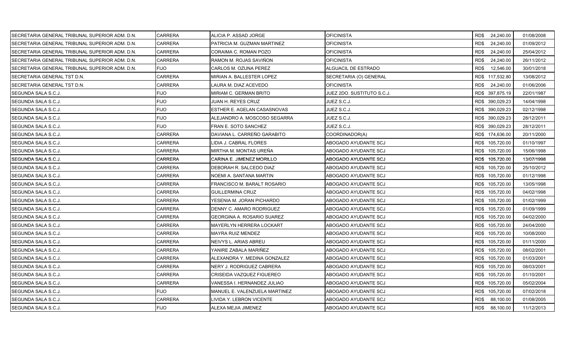| SECRETARIA GENERAL TRIBUNAL SUPERIOR ADM. D.N. | CARRERA        | ALICIA P. ASSAD JORGE               | <b>OFICINISTA</b>          | RD\$ 24,240.00    | 01/08/2008 |
|------------------------------------------------|----------------|-------------------------------------|----------------------------|-------------------|------------|
| SECRETARIA GENERAL TRIBUNAL SUPERIOR ADM. D.N. | <b>CARRERA</b> | PATRICIA M. GUZMAN MARTINEZ         | OFICINISTA                 | RD\$<br>24,240.00 | 01/09/2012 |
| SECRETARIA GENERAL TRIBUNAL SUPERIOR ADM. D.N. | <b>CARRERA</b> | CORAIMA C. ROMAN POZO               | <b>OFICINISTA</b>          | 24,240.00<br>RD\$ | 25/04/2012 |
| SECRETARIA GENERAL TRIBUNAL SUPERIOR ADM. D.N. | <b>CARRERA</b> | RAMON M. ROJAS SAVIÑON              | <b>OFICINISTA</b>          | RD\$<br>24,240.00 | 26/11/2012 |
| SECRETARIA GENERAL TRIBUNAL SUPERIOR ADM. D.N. | <b>FIJO</b>    | CARLOS M. OZUNA PEREZ               | <b>ALGUACIL DE ESTRADO</b> | RD\$<br>12,546.00 | 30/01/2018 |
| SECRETARIA GENERAL TST D.N.                    | <b>CARRERA</b> | MIRIAN A. BALLESTER LOPEZ           | SECRETARIA (O) GENERAL     | RD\$ 117,532.80   | 13/08/2012 |
| SECRETARIA GENERAL TST D.N.                    | CARRERA        | LAURA M. DIAZ ACEVEDO               | OFICINISTA                 | RD\$<br>24,240.00 | 01/06/2006 |
| SEGUNDA SALA S.C.J.                            | <b>FIJO</b>    | MIRIAM C. GERMAN BRITO              | JUEZ 2DO. SUSTITUTO S.C.J. | RD\$ 397,875.19   | 22/01/1987 |
| SEGUNDA SALA S.C.J.                            | <b>FIJO</b>    | JUAN H. REYES CRUZ                  | JUEZ S.C.J.                | RD\$ 390,029.23   | 14/04/1998 |
| SEGUNDA SALA S.C.J.                            | <b>FIJO</b>    | <b>IESTHER E. AGELAN CASASNOVAS</b> | JUEZ S.C.J.                | RD\$ 390,029.23   | 02/12/1998 |
| SEGUNDA SALA S.C.J.                            | <b>FIJO</b>    | ALEJANDRO A. MOSCOSO SEGARRA        | JUEZ S.C.J.                | RD\$ 390,029.23   | 28/12/2011 |
| SEGUNDA SALA S.C.J.                            | <b>FIJO</b>    | FRAN E. SOTO SANCHEZ                | JUEZ S.C.J.                | RD\$ 390,029.23   | 28/12/2011 |
| SEGUNDA SALA S.C.J.                            | <b>CARRERA</b> | IDAVIANA L. CARREÑO GARABITO        | COORDINADOR(A)             | RD\$ 174,636.00   | 20/11/2000 |
| SEGUNDA SALA S.C.J.                            | <b>CARRERA</b> | LIDIA J. CABRAL FLORES              | ABOGADO AYUDANTE SCJ       | RD\$ 105,720.00   | 01/10/1997 |
| SEGUNDA SALA S.C.J.                            | <b>CARRERA</b> | MIRTHA M. MONTAS UREÑA              | ABOGADO AYUDANTE SCJ       | RD\$ 105,720.00   | 15/06/1998 |
| SEGUNDA SALA S.C.J.                            | CARRERA        | CARINA E. JIMENEZ MORILLO           | ABOGADO AYUDANTE SCJ       | RD\$ 105,720.00   | 13/07/1998 |
| SEGUNDA SALA S.C.J.                            | <b>CARRERA</b> | DEBORAH R. SALCEDO DIAZ             | ABOGADO AYUDANTE SCJ       | RD\$ 105,720.00   | 25/10/2012 |
| SEGUNDA SALA S.C.J.                            | <b>CARRERA</b> | NOEMI A. SANTANA MARTIN             | ABOGADO AYUDANTE SCJ       | RD\$ 105,720.00   | 01/12/1998 |
| SEGUNDA SALA S.C.J.                            | <b>CARRERA</b> | FRANCISCO M. BARALT ROSARIO         | ABOGADO AYUDANTE SCJ       | RD\$ 105,720.00   | 13/05/1998 |
| SEGUNDA SALA S.C.J.                            | <b>CARRERA</b> | <b>GUILLERMINA CRUZ</b>             | ABOGADO AYUDANTE SCJ       | RD\$ 105,720.00   | 04/02/1998 |
| SEGUNDA SALA S.C.J.                            | <b>CARRERA</b> | YESENIA M. JORAN PICHARDO           | ABOGADO AYUDANTE SCJ       | RD\$ 105,720.00   | 01/02/1999 |
| SEGUNDA SALA S.C.J.                            | CARRERA        | DENNY C. AMARO RODRIGUEZ            | ABOGADO AYUDANTE SCJ       | RD\$ 105,720.00   | 01/09/1999 |
| SEGUNDA SALA S.C.J.                            | <b>CARRERA</b> | <b>GEORGINA A. ROSARIO SUAREZ</b>   | ABOGADO AYUDANTE SCJ       | RD\$ 105,720.00   | 04/02/2000 |
| SEGUNDA SALA S.C.J.                            | <b>CARRERA</b> | MAYERLYN HERRERA LOCKART            | ABOGADO AYUDANTE SCJ       | RD\$ 105,720.00   | 24/04/2000 |
| SEGUNDA SALA S.C.J.                            | CARRERA        | <b>MAYRA RUIZ MENDEZ</b>            | ABOGADO AYUDANTE SCJ       | RD\$ 105,720.00   | 10/08/2000 |
| SEGUNDA SALA S.C.J.                            | <b>CARRERA</b> | NEIVYS L. ARIAS ABREU               | ABOGADO AYUDANTE SCJ       | RD\$ 105,720.00   | 01/11/2000 |
| SEGUNDA SALA S.C.J.                            | CARRERA        | YANIRE ZABALA MARIÑEZ               | ABOGADO AYUDANTE SCJ       | RD\$ 105,720.00   | 08/02/2001 |
| SEGUNDA SALA S.C.J.                            | <b>CARRERA</b> | ALEXANDRA Y. MEDINA GONZALEZ        | ABOGADO AYUDANTE SCJ       | RD\$ 105,720.00   | 01/03/2001 |
| SEGUNDA SALA S.C.J.                            | <b>CARRERA</b> | NERY J. RODRIGUEZ CABRERA           | ABOGADO AYUDANTE SCJ       | RD\$ 105,720.00   | 08/03/2001 |
| SEGUNDA SALA S.C.J.                            | CARRERA        | <b>CRISEIDA VAZQUEZ FIGUEREO</b>    | ABOGADO AYUDANTE SCJ       | RD\$ 105,720.00   | 01/10/2001 |
| SEGUNDA SALA S.C.J.                            | <b>CARRERA</b> | VANESSA I. HERNANDEZ JULIAO         | ABOGADO AYUDANTE SCJ       | RD\$ 105,720.00   | 05/02/2004 |
| SEGUNDA SALA S.C.J.                            | <b>FIJO</b>    | MANUEL E. VALENZUELA MARTINEZ       | ABOGADO AYUDANTE SCJ       | RD\$ 105,720.00   | 07/02/2018 |
| SEGUNDA SALA S.C.J.                            | CARRERA        | LIVIDA Y. LEBRON VICENTE            | ABOGADO AYUDANTE SCJ       | RD\$<br>88,100.00 | 01/08/2005 |
| SEGUNDA SALA S.C.J.                            | <b>FIJO</b>    | ALEXA MEJIA JIMENEZ                 | ABOGADO AYUDANTE SCJ       | RD\$ 88,100.00    | 11/12/2013 |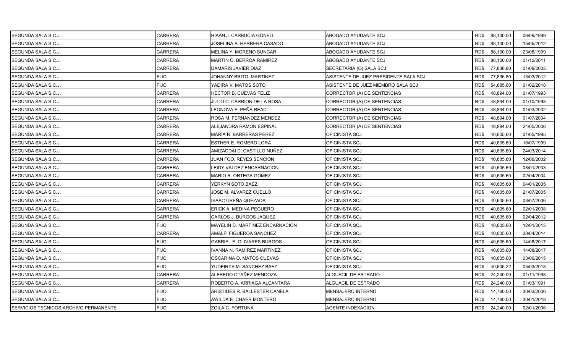| SEGUNDA SALA S.C.J.                          | <b>CARRERA</b> | HIAAN J. CARBUCIA GONELL          | ABOGADO AYUDANTE SCJ                  |      | RD\$ 88,100.00 | 06/09/1999 |
|----------------------------------------------|----------------|-----------------------------------|---------------------------------------|------|----------------|------------|
| SEGUNDA SALA S.C.J.                          | <b>CARRERA</b> | JOSELINA A. HERRERA CASADO        | ABOGADO AYUDANTE SCJ                  | RD\$ | 88,100.00      | 15/05/2012 |
| SEGUNDA SALA S.C.J.                          | <b>CARRERA</b> | MELINA Y. MORENO SUNCAR           | ABOGADO AYUDANTE SCJ                  | RD\$ | 88,100.00      | 23/08/1999 |
| SEGUNDA SALA S.C.J.                          | CARRERA        | MARTIN O. BERROA RAMIREZ          | ABOGADO AYUDANTE SCJ                  | RD\$ | 88,100.00      | 01/12/2011 |
| SEGUNDA SALA S.C.J.                          | <b>CARRERA</b> | DAMARIS JAVIER DIAZ               | SECRETARIA (O) SALA SCJ               | RD\$ | 77,836.80      | 01/08/2005 |
| SEGUNDA SALA S.C.J.                          | <b>FIJO</b>    | JOHANNY BRITO MARTINEZ            | ASISTENTE DE JUEZ PRESIDENTE SALA SCJ | RD\$ | 77,836.80      | 13/03/2012 |
| SEGUNDA SALA S.C.J.                          | <b>FIJO</b>    | YADIRA V. MATOS SOTO              | ASISTENTE DE JUEZ MIEMBRO SALA SCJ    | RD\$ | 54,885.60      | 01/02/2018 |
| SEGUNDA SALA S.C.J.                          | <b>CARRERA</b> | HECTOR B. CUEVAS FELIZ            | CORRECTOR (A) DE SENTENCIAS           | RD\$ | 48,894.00      | 01/07/1993 |
| SEGUNDA SALA S.C.J.                          | <b>CARRERA</b> | JULIO C. CARRION DE LA ROSA       | CORRECTOR (A) DE SENTENCIAS           | RD\$ | 48,894.00      | 01/10/1998 |
| SEGUNDA SALA S.C.J.                          | <b>CARRERA</b> | LEONOVA E. PEÑA READ              | CORRECTOR (A) DE SENTENCIAS           | RD\$ | 48,894.00      | 01/03/2002 |
| SEGUNDA SALA S.C.J.                          | <b>CARRERA</b> | ROSA M. FERNANDEZ MENDEZ          | CORRECTOR (A) DE SENTENCIAS           | RD\$ | 48,894.00      | 01/07/2004 |
| SEGUNDA SALA S.C.J.                          | CARRERA        | ALEJANDRA RAMON ESPINAL           | CORRECTOR (A) DE SENTENCIAS           | RD\$ | 48,894.00      | 24/05/2006 |
| <b>ISEGUNDA SALA S.C.J</b>                   | <b>CARRERA</b> | MARIA R. BARRERAS PEREZ           | OFICINISTA SCJ                        | RD\$ | 40,605.60      | 01/05/1995 |
| SEGUNDA SALA S.C.J.                          | <b>CARRERA</b> | ESTHER E. ROMERO LORA             | OFICINISTA SCJ                        | RD\$ | 40,605.60      | 16/07/1999 |
| SEGUNDA SALA S.C.J.                          | CARRERA        | AMIZADDAI D. CASTILLO NUÑEZ       | OFICINISTA SCJ                        | RD\$ | 40,605.60      | 24/03/2014 |
| SEGUNDA SALA S.C.J.                          | <b>CARRERA</b> | JUAN FCO. REYES SENCION           | OFICINISTA SCJ                        | RD\$ | 40,605.60      | 12/06/2002 |
| SEGUNDA SALA S.C.J.                          | CARRERA        | EIDY VALDEZ ENCARNACION           | OFICINISTA SCJ                        | RD\$ | 40,605.60      | 08/01/2003 |
| SEGUNDA SALA S.C.J.                          | <b>CARRERA</b> | MARIO R. ORTEGA GOMEZ             | OFICINISTA SCJ                        | RD\$ | 40,605.60      | 02/04/2004 |
| SEGUNDA SALA S.C.J.                          | <b>CARRERA</b> | YERKYN SOTO BAEZ                  | OFICINISTA SCJ                        | RD\$ | 40,605.60      | 04/01/2005 |
| SEGUNDA SALA S.C.J.                          | <b>CARRERA</b> | JOSE M. ALVAREZ CUELLO            | OFICINISTA SCJ                        | RD\$ | 40,605.60      | 21/07/2005 |
| SEGUNDA SALA S.C.J.                          | CARRERA        | ISAAC UREÑA QUEZADA               | OFICINISTA SCJ                        | RD\$ | 40,605.60      | 03/07/2006 |
| SEGUNDA SALA S.C.J.                          | <b>CARRERA</b> | ERICK A. MEDINA PEGUERO           | OFICINISTA SCJ                        | RD\$ | 40,605.60      | 02/01/2008 |
| SEGUNDA SALA S.C.J.                          | CARRERA        | CARLOS J. BURGOS JAQUEZ           | OFICINISTA SCJ                        | RD\$ | 40,605.60      | 02/04/2012 |
| SEGUNDA SALA S.C.J.                          | <b>FIJO</b>    | MAYELIN D. MARTINEZ ENCARNACION   | OFICINISTA SCJ                        | RD\$ | 40,605.60      | 12/01/2015 |
| SEGUNDA SALA S.C.J.                          | <b>CARRERA</b> | AMALFI FIGUEROA SANCHEZ           | OFICINISTA SCJ                        | RD\$ | 40,605.60      | 28/04/2014 |
| SEGUNDA SALA S.C.J.                          | <b>FIJO</b>    | <b>GABRIEL E. OLIVARES BURGOS</b> | OFICINISTA SCJ                        | RD\$ | 40,605.60      | 14/08/2017 |
| SEGUNDA SALA S.C.J.                          | <b>FIJO</b>    | IVANNA N. RAMIREZ MARTINEZ        | OFICINISTA SCJ                        | RD\$ | 40,605.60      | 14/08/2017 |
| SEGUNDA SALA S.C.J.                          | <b>FIJO</b>    | OSCARINA O. MATOS CUEVAS          | OFICINISTA SCJ                        | RD\$ | 40,605.60      | 03/06/2015 |
| SEGUNDA SALA S.C.J.                          | <b>FIJO</b>    | YUDEIRYS M. SANCHEZ BAEZ          | OFICINISTA SCJ                        | RD\$ | 40,605.22      | 05/03/2018 |
| SEGUNDA SALA S.C.J.                          | <b>CARRERA</b> | ALFREDO OTAÑEZ MENDOZA            | ALGUACIL DE ESTRADO                   | RD\$ | 24,240.00      | 01/11/1998 |
| SEGUNDA SALA S.C.J.                          | <b>CARRERA</b> | ROBERTO A. ARRIAGA ALCANTARA      | ALGUACIL DE ESTRADO                   | RD\$ | 24,240.00      | 01/03/1991 |
| SEGUNDA SALA S.C.J.                          | <b>FIJO</b>    | ARISTIDES R. BALLESTER CANELA     | MENSAJERO INTERNO                     | RD\$ | 14,760.00      | 30/03/2006 |
| SEGUNDA SALA S.C.J.                          | <b>FIJO</b>    | AWILDA E. CHAER MONTERO           | MENSAJERO INTERNO                     | RD\$ | 14,760.00      | 30/01/2018 |
| <b>SERVICIOS TECNICOS ARCHIVO PERMANENTE</b> | <b>FIJO</b>    | ZOILA C. FORTUNA                  | <b>AGENTE INDEXACION</b>              | RD\$ | 24,240.00      | 02/01/2006 |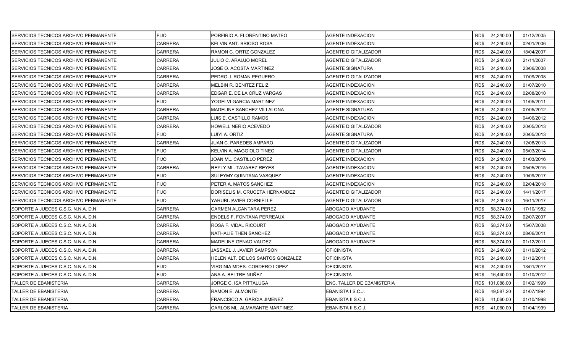| SERVICIOS TECNICOS ARCHIVO PERMANENTE        | <b>FIJO</b>    | PORFIRIO A. FLORENTINO MATEO      | AGENTE INDEXACION          |      | RD\$ 24,240.00  | 01/12/2005 |
|----------------------------------------------|----------------|-----------------------------------|----------------------------|------|-----------------|------------|
| SERVICIOS TECNICOS ARCHIVO PERMANENTE        | <b>CARRERA</b> | KELVIN ANT. BRIOSO ROSA           | AGENTE INDEXACION          | RD\$ | 24,240.00       | 02/01/2006 |
| SERVICIOS TECNICOS ARCHIVO PERMANENTE        | <b>CARRERA</b> | RAMON C. ORTIZ GONZALEZ           | AGENTE DIGITALIZADOR       | RD\$ | 24,240.00       | 18/04/2007 |
| SERVICIOS TECNICOS ARCHIVO PERMANENTE        | <b>CARRERA</b> | JULIO C. ARAUJO MOREL             | AGENTE DIGITALIZADOR       | RD\$ | 24,240.00       | 21/11/2007 |
| SERVICIOS TECNICOS ARCHIVO PERMANENTE        | CARRERA        | JOSE O. ACOSTA MARTINEZ           | AGENTE SIGNATURA           | RD\$ | 24,240.00       | 23/06/2008 |
| SERVICIOS TECNICOS ARCHIVO PERMANENTE        | CARRERA        | PEDRO J. ROMAN PEGUERO            | AGENTE DIGITALIZADOR       | RD\$ | 24,240.00       | 17/09/2008 |
| SERVICIOS TECNICOS ARCHIVO PERMANENTE        | CARRERA        | MELBIN R. BENITEZ FELIZ           | AGENTE INDEXACION          | RD\$ | 24,240.00       | 01/07/2010 |
| <b>SERVICIOS TECNICOS ARCHIVO PERMANENTE</b> | CARRERA        | EDGAR E. DE LA CRUZ VARGAS        | <b>AGENTE INDEXACION</b>   | RD\$ | 24,240.00       | 02/08/2010 |
| SERVICIOS TECNICOS ARCHIVO PERMANENTE        | <b>FIJO</b>    | YOGELVI GARCIA MARTINEZ           | AGENTE INDEXACION          | RD\$ | 24,240.00       | 11/05/2011 |
| SERVICIOS TECNICOS ARCHIVO PERMANENTE        | <b>CARRERA</b> | MADELINE SANCHEZ VILLALONA        | AGENTE SIGNATURA           | RD\$ | 24,240.00       | 07/05/2012 |
| SERVICIOS TECNICOS ARCHIVO PERMANENTE        | <b>CARRERA</b> | LUIS E. CASTILLO RAMOS            | AGENTE INDEXACION          | RD\$ | 24,240.00       | 04/06/2012 |
| SERVICIOS TECNICOS ARCHIVO PERMANENTE        | CARRERA        | HOWELL NERIO ACEVEDO              | AGENTE DIGITALIZADOR       | RD\$ | 24,240.00       | 20/05/2013 |
| SERVICIOS TECNICOS ARCHIVO PERMANENTE        | <b>FIJO</b>    | LUIYI A. ORTIZ                    | AGENTE SIGNATURA           | RD\$ | 24,240.00       | 20/05/2013 |
| SERVICIOS TECNICOS ARCHIVO PERMANENTE        | <b>CARRERA</b> | JUAN C. PAREDES AMPARO            | AGENTE DIGITALIZADOR       | RD\$ | 24,240.00       | 12/08/2013 |
| SERVICIOS TECNICOS ARCHIVO PERMANENTE        | <b>FIJO</b>    | KELVIN A. MAGGIOLO TINEO          | AGENTE DIGITALIZADOR       | RD\$ | 24,240.00       | 05/03/2014 |
| SERVICIOS TECNICOS ARCHIVO PERMANENTE        | <b>FIJO</b>    | JOAN ML. CASTILLO PEREZ           | AGENTE INDEXACION          | RD\$ | 24,240.00       | 01/03/2016 |
| SERVICIOS TECNICOS ARCHIVO PERMANENTE        | <b>CARRERA</b> | REYLY ML. TAVAREZ REYES           | AGENTE INDEXACION          | RD\$ | 24,240.00       | 05/05/2015 |
| SERVICIOS TECNICOS ARCHIVO PERMANENTE        | <b>FIJO</b>    | SULEYMY QUINTANA VASQUEZ          | <b>AGENTE INDEXACION</b>   | RD\$ | 24,240.00       | 19/09/2017 |
| SERVICIOS TECNICOS ARCHIVO PERMANENTE        | <b>FIJO</b>    | PETER A. MATOS SANCHEZ            | <b>AGENTE INDEXACION</b>   | RD\$ | 24,240.00       | 02/04/2018 |
| SERVICIOS TECNICOS ARCHIVO PERMANENTE        | <b>FIJO</b>    | DORISELIS M. CRUCETA HERNANDEZ    | AGENTE DIGITALIZADOR       | RD\$ | 24,240.00       | 14/11/2017 |
| SERVICIOS TECNICOS ARCHIVO PERMANENTE        | <b>FIJO</b>    | YARUBI JAVIER CORNIELLE           | AGENTE DIGITALIZADOR       | RD\$ | 24,240.00       | 16/11/2017 |
| SOPORTE A JUECES C.S.C. N.N.A. D.N.          | CARRERA        | CARMEN ALCANTARA PEREZ            | ABOGADO AYUDANTE           | RD\$ | 58,374.00       | 17/10/1982 |
| SOPORTE A JUECES C.S.C. N.N.A. D.N.          | CARRERA        | ENDELS F. FONTANA PERREAUX        | ABOGADO AYUDANTE           | RD\$ | 58,374.00       | 02/07/2007 |
| SOPORTE A JUECES C.S.C. N.N.A. D.N.          | CARRERA        | ROSA F. VIDAL RICOURT             | ABOGADO AYUDANTE           | RD\$ | 58,374.00       | 15/07/2008 |
| SOPORTE A JUECES C.S.C. N.N.A. D.N.          | <b>CARRERA</b> | NATHALIE THEN SANCHEZ             | ABOGADO AYUDANTE           | RD\$ | 58,374.00       | 08/06/2011 |
| SOPORTE A JUECES C.S.C. N.N.A. D.N.          | CARRERA        | MADELINE GENAO VALDEZ             | ABOGADO AYUDANTE           | RD\$ | 58,374.00       | 01/12/2011 |
| SOPORTE A JUECES C.S.C. N.N.A. D.N.          | CARRERA        | JASSAEL J. JAVIER SAMPSON         | OFICINISTA                 | RD\$ | 24,240.00       | 01/10/2012 |
| SOPORTE A JUECES C.S.C. N.N.A. D.N.          | <b>CARRERA</b> | HELEN ALT. DE LOS SANTOS GONZALEZ | <b>OFICINISTA</b>          | RD\$ | 24,240.00       | 01/12/2011 |
| SOPORTE A JUECES C.S.C. N.N.A. D.N.          | FIJO           | VIRGINIA MDES. CORDERO LOPEZ      | <b>OFICINISTA</b>          | RD\$ | 24,240.00       | 13/01/2017 |
| SOPORTE A JUECES C.S.C. N.N.A. D.N.          | <b>FIJO</b>    | ANA A. BELTRE NUÑEZ               | <b>OFICINISTA</b>          | RD\$ | 16,440.00       | 01/10/2012 |
| ITALLER DE EBANISTERIA                       | CARRERA        | JORGE C. ISA PITTALUGA            | ENC. TALLER DE EBANISTERIA |      | RD\$ 101,088.00 | 01/02/1999 |
| <b>TALLER DE EBANISTERIA</b>                 | CARRERA        | RAMON E. ALMONTE                  | EBANISTA I S.C.J.          | RD\$ | 49,587.20       | 01/07/1994 |
| TALLER DE EBANISTERIA                        | CARRERA        | FRANCISCO A. GARCIA JIMENEZ       | EBANISTA II S.C.J.         | RD\$ | 41,060.00       | 01/10/1998 |
| <b>TALLER DE EBANISTERIA</b>                 | CARRERA        | CARLOS ML. ALMARANTE MARTINEZ     | EBANISTA II S.C.J.         |      | RD\$41,060.00   | 01/04/1999 |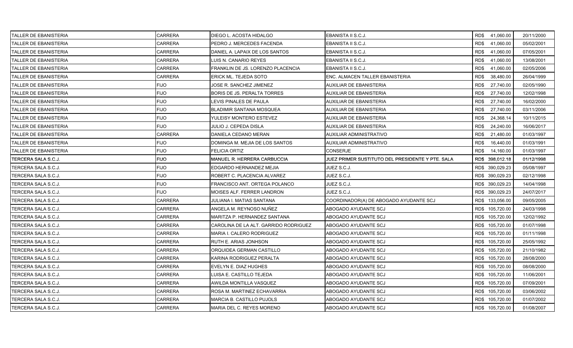| TALLER DE EBANISTERIA        | CARRERA        | DIEGO L. ACOSTA HIDALGO               | EBANISTA II S.C.J.                               | RD\$41,060.00     | 20/11/2000 |
|------------------------------|----------------|---------------------------------------|--------------------------------------------------|-------------------|------------|
| ITALLER DE EBANISTERIA       | <b>CARRERA</b> | PEDRO J. MERCEDES FACENDA             | EBANISTA II S.C.J.                               | RD\$<br>41,060.00 | 05/02/2001 |
| <b>TALLER DE EBANISTERIA</b> | <b>CARRERA</b> | DANIEL A. LAPAIX DE LOS SANTOS        | EBANISTA II S.C.J.                               | RD\$<br>41,060.00 | 07/05/2001 |
| <b>TALLER DE EBANISTERIA</b> | <b>CARRERA</b> | LUIS N. CANARIO REYES                 | EBANISTA II S.C.J.                               | RD\$<br>41,060.00 | 13/08/2001 |
| TALLER DE EBANISTERIA        | CARRERA        | FRANKLIN DE JS. LORENZO PLACENCIA     | EBANISTA II S.C.J.                               | RD\$<br>41,060.00 | 02/05/2006 |
| <b>TALLER DE EBANISTERIA</b> | <b>CARRERA</b> | ERICK ML. TEJEDA SOTO                 | ENC. ALMACEN TALLER EBANISTERIA                  | RD\$<br>38,480.00 | 26/04/1999 |
| TALLER DE EBANISTERIA        | <b>FIJO</b>    | JOSE R. SANCHEZ JIMENEZ               | <b>AUXILIAR DE EBANISTERIA</b>                   | RD\$<br>27,740.00 | 02/05/1990 |
| <b>TALLER DE EBANISTERIA</b> | <b>FIJO</b>    | <b>BORIS DE JS. PERALTA TORRES</b>    | AUXILIAR DE EBANISTERIA                          | RD\$<br>27,740.00 | 12/02/1998 |
| <b>TALLER DE EBANISTERIA</b> | <b>FIJO</b>    | LEVIS PINALES DE PAULA                | AUXILIAR DE EBANISTERIA                          | RD\$<br>27,740.00 | 16/02/2000 |
| TALLER DE EBANISTERIA        | <b>FIJO</b>    | <b>BLADIMIR SANTANA MOSQUEA</b>       | AUXILIAR DE EBANISTERIA                          | RD\$<br>27,740.00 | 03/11/2006 |
| <b>TALLER DE EBANISTERIA</b> | <b>FIJO</b>    | YULEISY MONTERO ESTEVEZ               | AUXILIAR DE EBANISTERIA                          | RD\$<br>24,368.14 | 10/11/2015 |
| TALLER DE EBANISTERIA        | <b>FIJO</b>    | JULIO J. CEPEDA DISLA                 | AUXILIAR DE EBANISTERIA                          | RD\$<br>24,240.00 | 16/06/2017 |
| ITALLER DE EBANISTERIA       | <b>CARRERA</b> | DANIELA CEDANO MERAN                  | AUXILIAR ADMINISTRATIVO                          | RD\$<br>21,480.00 | 01/03/1997 |
| <b>TALLER DE EBANISTERIA</b> | <b>FIJO</b>    | DOMINGA M. MEJIA DE LOS SANTOS        | AUXILIAR ADMINISTRATIVO                          | RD\$<br>16,440.00 | 01/03/1991 |
| TALLER DE EBANISTERIA        | <b>FIJO</b>    | <b>FELICIA ORTIZ</b>                  | <b>CONSERJE</b>                                  | RD\$<br>14,160.00 | 01/03/1997 |
| ITERCERA SALA S.C.J.         | <b>FIJO</b>    | <b>MANUEL R. HERRERA CARBUCCIA</b>    | JUEZ PRIMER SUSTITUTO DEL PRESIDENTE Y PTE. SALA | RD\$ 398,012.18   | 01/12/1998 |
| TERCERA SALA S.C.J.          | <b>FIJO</b>    | EDGARDO HERNANDEZ MEJIA               | JUEZ S.C.J.                                      | RD\$ 390,029.23   | 05/08/1997 |
| TERCERA SALA S.C.J.          | <b>FIJO</b>    | ROBERT C. PLACENCIA ALVAREZ           | JUEZ S.C.J.                                      | RD\$ 390,029.23   | 02/12/1998 |
| TERCERA SALA S.C.J.          | <b>FIJO</b>    | FRANCISCO ANT. ORTEGA POLANCO         | JUEZ S.C.J.                                      | RD\$ 390,029.23   | 14/04/1998 |
| TERCERA SALA S.C.J.          | <b>FIJO</b>    | MOISES ALF. FERRER LANDRON            | JUEZ S.C.J.                                      | RD\$ 390,029.23   | 24/07/2017 |
| TERCERA SALA S.C.J.          | CARRERA        | JULIANA I. MATIAS SANTANA             | COORDINADOR(A) DE ABOGADO AYUDANTE SCJ           | RD\$ 133,056.00   | 09/05/2005 |
| TERCERA SALA S.C.J.          | CARRERA        | ANGELA M. REYNOSO NUÑEZ               | ABOGADO AYUDANTE SCJ                             | RD\$ 105,720.00   | 24/03/1998 |
| TERCERA SALA S.C.J.          | <b>CARRERA</b> | MARITZA P. HERNANDEZ SANTANA          | ABOGADO AYUDANTE SCJ                             | RD\$ 105,720.00   | 12/02/1992 |
| TERCERA SALA S.C.J.          | <b>CARRERA</b> | CAROLINA DE LA ALT. GARRIDO RODRIGUEZ | ABOGADO AYUDANTE SCJ                             | RD\$ 105,720.00   | 01/07/1998 |
| TERCERA SALA S.C.J.          | <b>CARRERA</b> | MARIA I. CALERO RODRIGUEZ             | ABOGADO AYUDANTE SCJ                             | RD\$ 105,720.00   | 01/11/1998 |
| TERCERA SALA S.C.J.          | CARRERA        | RUTH E. ARIAS JONHSON                 | ABOGADO AYUDANTE SCJ                             | RD\$ 105,720.00   | 25/05/1992 |
| TERCERA SALA S.C.J.          | CARRERA        | ORQUIDEA GERMAN CASTILLO              | ABOGADO AYUDANTE SCJ                             | RD\$ 105,720.00   | 21/10/1982 |
| TERCERA SALA S.C.J.          | <b>CARRERA</b> | KARINA RODRIGUEZ PERALTA              | ABOGADO AYUDANTE SCJ                             | RD\$ 105,720.00   | 28/08/2000 |
| TERCERA SALA S.C.J.          | <b>CARRERA</b> | EVELYN E. DIAZ HUGHES                 | ABOGADO AYUDANTE SCJ                             | RD\$ 105,720.00   | 08/08/2000 |
| ITERCERA SALA S.C.J.         | <b>CARRERA</b> | LUISA E. CASTILLO TEJEDA              | ABOGADO AYUDANTE SCJ                             | RD\$ 105,720.00   | 11/06/2001 |
| TERCERA SALA S.C.J.          | CARRERA        | AWILDA MONTILLA VASQUEZ               | ABOGADO AYUDANTE SCJ                             | RD\$ 105,720.00   | 07/09/2001 |
| TERCERA SALA S.C.J.          | CARRERA        | ROSA M. MARTINEZ ECHAVARRIA           | ABOGADO AYUDANTE SCJ                             | RD\$ 105,720.00   | 03/06/2002 |
| TERCERA SALA S.C.J.          | CARRERA        | MARCIA B. CASTILLO PUJOLS             | ABOGADO AYUDANTE SCJ                             | RD\$ 105,720.00   | 01/07/2002 |
| TERCERA SALA S.C.J.          | <b>CARRERA</b> | MARIA DEL C. REYES MORENO             | ABOGADO AYUDANTE SCJ                             | RD\$ 105,720.00   | 01/08/2007 |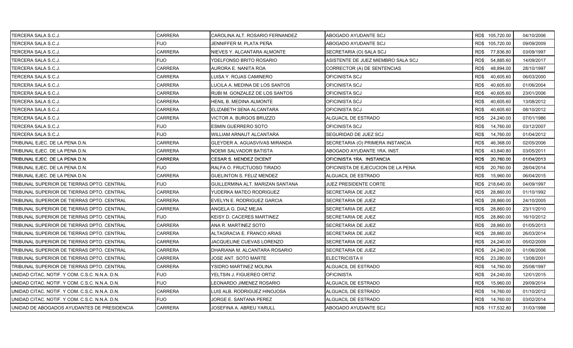| TERCERA SALA S.C.J.                            | CARRERA        | CAROLINA ALT. ROSARIO FERNANDEZ  | ABOGADO AYUDANTE SCJ               | RD\$ 105,720.00   | 04/10/2006 |
|------------------------------------------------|----------------|----------------------------------|------------------------------------|-------------------|------------|
| TERCERA SALA S.C.J.                            | <b>FIJO</b>    | JENNIFFER M. PLATA PEÑA          | ABOGADO AYUDANTE SCJ               | RD\$ 105,720.00   | 09/09/2009 |
| TERCERA SALA S.C.J.                            | <b>CARRERA</b> | NIEVES Y. ALCANTARA ALMONTE      | SECRETARIA (O) SALA SCJ            | 77,836.80<br>RD\$ | 03/09/1997 |
| TERCERA SALA S.C.J.                            | <b>FIJO</b>    | YDELFONSO BRITO ROSARIO          | ASISTENTE DE JUEZ MIEMBRO SALA SCJ | RD\$<br>54,885.60 | 14/09/2017 |
| TERCERA SALA S.C.J.                            | CARRERA        | AURORA E. NANITA ROA             | CORRECTOR (A) DE SENTENCIAS        | RD\$<br>48,894.00 | 28/10/1997 |
| TERCERA SALA S.C.J.                            | CARRERA        | LUISA Y. ROJAS CAMINERO          | OFICINISTA SCJ                     | RD\$<br>40,605.60 | 06/03/2000 |
| TERCERA SALA S.C.J.                            | CARRERA        | LUCILA A. MEDINA DE LOS SANTOS   | OFICINISTA SCJ                     | RD\$<br>40,605.60 | 01/06/2004 |
| TERCERA SALA S.C.J.                            | <b>CARRERA</b> | RUBI M. GONZALEZ DE LOS SANTOS   | OFICINISTA SCJ                     | RD\$<br>40,605.60 | 23/01/2006 |
| TERCERA SALA S.C.J.                            | <b>CARRERA</b> | HENIL B. MEDINA ALMONTE          | OFICINISTA SCJ                     | RD\$<br>40,605.60 | 13/08/2012 |
| TERCERA SALA S.C.J.                            | CARRERA        | ELIZABETH SENA ALCANTARA         | OFICINISTA SCJ                     | RD\$<br>40,605.60 | 08/10/2012 |
| TERCERA SALA S.C.J.                            | <b>CARRERA</b> | VICTOR A. BURGOS BRUZZO          | ALGUACIL DE ESTRADO                | RD\$<br>24,240.00 | 07/01/1986 |
| TERCERA SALA S.C.J.                            | <b>FIJO</b>    | ESMIN GUERRERO SOTO              | OFICINISTA SCJ                     | RD\$<br>14,760.00 | 03/12/2007 |
| TERCERA SALA S.C.J.                            | <b>FIJO</b>    | WILLIAM ARNAUT ALCANTARA         | SEGURIDAD DE JUEZ SCJ              | RD\$<br>14,760.00 | 01/04/2012 |
| TRIBUNAL EJEC. DE LA PENA D.N.                 | <b>CARRERA</b> | GLEYDER A. AGUASVIVAS MIRANDA    | SECRETARIA (O) PRIMERA INSTANCIA   | RD\$<br>46,368.00 | 02/05/2006 |
| TRIBUNAL EJEC. DE LA PENA D.N.                 | <b>CARRERA</b> | NOEMI SALVADOR BATISTA           | ABOGADO AYUDANTE 1RA. INST.        | RD\$<br>43,840.80 | 03/05/2011 |
| TRIBUNAL EJEC. DE LA PENA D.N.                 | CARRERA        | CESAR S. MENDEZ DICENT           | OFICINISTA 1RA. INSTANCIA          | RD\$<br>20,760.00 | 01/04/2013 |
| TRIBUNAL EJEC. DE LA PENA D.N.                 | <b>FIJO</b>    | RALFA O. FRUCTUOSO TIRADO        | OFICINISTA DE EJECUCION DE LA PENA | RD\$<br>20,760.00 | 28/04/2014 |
| TRIBUNAL EJEC. DE LA PENA D.N.                 | <b>CARRERA</b> | <b>GUELINTON S. FELIZ MENDEZ</b> | ALGUACIL DE ESTRADO                | RD\$<br>15,960.00 | 06/04/2015 |
| TRIBUNAL SUPERIOR DE TIERRAS DPTO. CENTRAL     | <b>FIJO</b>    | GUILLERMINA ALT. MARIZAN SANTANA | JUEZ PRESIDENTE CORTE              | RD\$ 218,640.00   | 04/09/1997 |
| TRIBUNAL SUPERIOR DE TIERRAS DPTO. CENTRAL     | <b>CARRERA</b> | YUDERKA MATEO RODRIGUEZ          | SECRETARIA DE JUEZ                 | RD\$<br>28,860.00 | 01/10/1992 |
| TRIBUNAL SUPERIOR DE TIERRAS DPTO. CENTRAL     | CARRERA        | EVELYN E. RODRIGUEZ GARCIA       | SECRETARIA DE JUEZ                 | 28,860.00<br>RD\$ | 24/10/2005 |
| TRIBUNAL SUPERIOR DE TIERRAS DPTO. CENTRAL     | CARRERA        | ANGELA G. DIAZ MEJIA             | SECRETARIA DE JUEZ                 | RD\$<br>28,860.00 | 23/11/2010 |
| TRIBUNAL SUPERIOR DE TIERRAS DPTO. CENTRAL     | <b>FIJO</b>    | KEISY D. CACERES MARTINEZ        | SECRETARIA DE JUEZ                 | RD\$<br>28,860.00 | 16/10/2012 |
| TRIBUNAL SUPERIOR DE TIERRAS DPTO. CENTRAL     | <b>CARRERA</b> | ANA R. MARTINEZ SOTO             | SECRETARIA DE JUEZ                 | 28,860.00<br>RD\$ | 01/05/2013 |
| ITRIBUNAL SUPERIOR DE TIERRAS DPTO. CENTRAL    | <b>CARRERA</b> | ALTAGRACIA E. FRANCO ARIAS       | SECRETARIA DE JUEZ                 | RD\$<br>28,860.00 | 26/03/2014 |
| TRIBUNAL SUPERIOR DE TIERRAS DPTO. CENTRAL     | CARRERA        | JACQUELINE CUEVAS LORENZO        | SECRETARIA DE JUEZ                 | RD\$<br>24,240.00 | 05/02/2009 |
| TRIBUNAL SUPERIOR DE TIERRAS DPTO. CENTRAL     | CARRERA        | DHARIANA M. ALCANTARA ROSARIO    | SECRETARIA DE JUEZ                 | RD\$<br>24,240.00 | 01/06/2006 |
| TRIBUNAL SUPERIOR DE TIERRAS DPTO. CENTRAL     | CARRERA        | JOSE ANT. SOTO MARTE             | ELECTRICISTA II                    | RD\$<br>23,280.00 | 13/08/2001 |
| TRIBUNAL SUPERIOR DE TIERRAS DPTO. CENTRAL     | <b>CARRERA</b> | YSIDRO MARTINEZ MOLINA           | ALGUACIL DE ESTRADO                | RD\$<br>14,760.00 | 25/08/1997 |
| UNIDAD CITAC. NOTIF. Y COM. C.S.C. N.N.A. D.N. | <b>FIJO</b>    | YELTSIN J. FIGUEREO ORTIZ        | <b>OFICINISTA</b>                  | RD\$<br>24,240.00 | 12/01/2015 |
| UNIDAD CITAC. NOTIF. Y COM. C.S.C. N.N.A. D.N. | <b>FIJO</b>    | EONARDO JIMENEZ ROSARIO          | ALGUACIL DE ESTRADO                | RD\$<br>15,960.00 | 29/09/2014 |
| UNIDAD CITAC. NOTIF. Y COM. C.S.C. N.N.A. D.N. | <b>CARRERA</b> | LUIS ALB. RODRIGUEZ HINOJOSA     | ALGUACIL DE ESTRADO                | RD\$<br>14,760.00 | 01/10/2012 |
| UNIDAD CITAC. NOTIF. Y COM. C.S.C. N.N.A. D.N. | <b>FIJO</b>    | JORGE E. SANTANA PEREZ           | ALGUACIL DE ESTRADO                | 14,760.00<br>RD\$ | 03/02/2014 |
| UNIDAD DE ABOGADOS AYUDANTES DE PRESIDENCIA    | <b>CARRERA</b> | JOSEFINA A. ABREU YARULL         | ABOGADO AYUDANTE SCJ               | RD\$ 117,532.80   | 31/03/1998 |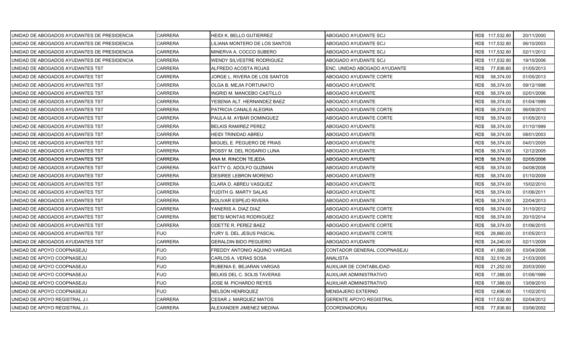| UNIDAD DE ABOGADOS AYUDANTES DE PRESIDENCIA | CARRERA        | <b>HEIDI K. BELLO GUTIERREZ</b>   | ABOGADO AYUDANTE SCJ           | RD\$ 117,532.80   | 20/11/2000 |
|---------------------------------------------|----------------|-----------------------------------|--------------------------------|-------------------|------------|
| UNIDAD DE ABOGADOS AYUDANTES DE PRESIDENCIA | CARRERA        | LILIANA MONTERO DE LOS SANTOS     | ABOGADO AYUDANTE SCJ           | RD\$ 117,532.80   | 06/10/2003 |
| UNIDAD DE ABOGADOS AYUDANTES DE PRESIDENCIA | <b>CARRERA</b> | MINERVA A. COCCO SUBERO           | ABOGADO AYUDANTE SCJ           | RD\$ 117,532.80   | 02/11/2012 |
| UNIDAD DE ABOGADOS AYUDANTES DE PRESIDENCIA | <b>CARRERA</b> | WENDY SILVESTRE RODRIGUEZ         | ABOGADO AYUDANTE SCJ           | RD\$ 117,532.80   | 19/10/2006 |
| UNIDAD DE ABOGADOS AYUDANTES TST            | <b>CARRERA</b> | ALFREDO ACOSTA ROJAS              | ENC. UNIDAD ABOGADO AYUDANTE   | RD\$<br>77,836.80 | 01/05/2013 |
| UNIDAD DE ABOGADOS AYUDANTES TST            | CARRERA        | JORGE L. RIVERA DE LOS SANTOS     | ABOGADO AYUDANTE CORTE         | RD\$<br>58,374.00 | 01/05/2013 |
| UNIDAD DE ABOGADOS AYUDANTES TST            | CARRERA        | OLGA B. MEJIA FORTUNATO           | ABOGADO AYUDANTE               | RD\$<br>58,374.00 | 09/12/1998 |
| UNIDAD DE ABOGADOS AYUDANTES TST            | CARRERA        | <b>INGRID M. MANCEBO CASTILLO</b> | ABOGADO AYUDANTE               | RD\$<br>58,374.00 | 02/01/2006 |
| UNIDAD DE ABOGADOS AYUDANTES TST            | CARRERA        | YESENIA ALT. HERNANDEZ BAEZ       | ABOGADO AYUDANTE               | RD\$<br>58,374.00 | 01/04/1999 |
| UNIDAD DE ABOGADOS AYUDANTES TST            | CARRERA        | PATRICIA CANALS ALEGRIA           | ABOGADO AYUDANTE CORTE         | RD\$<br>58,374.00 | 06/09/2010 |
| UNIDAD DE ABOGADOS AYUDANTES TST            | CARRERA        | PAULA M. AYBAR DOMINGUEZ          | ABOGADO AYUDANTE CORTE         | RD\$<br>58,374.00 | 01/05/2013 |
| UNIDAD DE ABOGADOS AYUDANTES TST            | CARRERA        | <b>BELKIS RAMIREZ PEREZ</b>       | ABOGADO AYUDANTE               | RD\$<br>58,374.00 | 01/10/1999 |
| UNIDAD DE ABOGADOS AYUDANTES TST            | CARRERA        | HEIDI TRINIDAD ABREU              | ABOGADO AYUDANTE               | RD\$<br>58,374.00 | 08/01/2003 |
| UNIDAD DE ABOGADOS AYUDANTES TST            | <b>CARRERA</b> | MIGUEL E. PEGUERO DE FRIAS        | ABOGADO AYUDANTE               | RD\$<br>58,374.00 | 04/01/2005 |
| UNIDAD DE ABOGADOS AYUDANTES TST            | <b>CARRERA</b> | ROSSY M. DEL ROSARIO LUNA         | ABOGADO AYUDANTE               | RD\$<br>58,374.00 | 12/12/2005 |
| UNIDAD DE ABOGADOS AYUDANTES TST            | CARRERA        | ANA M. RINCON TEJEDA              | ABOGADO AYUDANTE               | 58,374.00<br>RD\$ | 02/05/2006 |
| UNIDAD DE ABOGADOS AYUDANTES TST            | CARRERA        | KATTY G. ADOLFO GUZMAN            | ABOGADO AYUDANTE               | RD\$<br>58,374.00 | 04/08/2008 |
| UNIDAD DE ABOGADOS AYUDANTES TST            | CARRERA        | DESIREE LEBRON MORENO             | ABOGADO AYUDANTE               | RD\$<br>58,374.00 | 01/10/2009 |
| UNIDAD DE ABOGADOS AYUDANTES TST            | <b>CARRERA</b> | CLARA D. ABREU VASQUEZ            | ABOGADO AYUDANTE               | RD\$<br>58,374.00 | 15/02/2010 |
| UNIDAD DE ABOGADOS AYUDANTES TST            | <b>CARRERA</b> | YUDITH G. MARTY SALAS             | ABOGADO AYUDANTE               | RD\$<br>58,374.00 | 01/06/2011 |
| UNIDAD DE ABOGADOS AYUDANTES TST            | CARRERA        | <b>BOLIVAR ESPEJO RIVERA</b>      | ABOGADO AYUDANTE               | 58,374.00<br>RD\$ | 22/04/2013 |
| UNIDAD DE ABOGADOS AYUDANTES TST            | CARRERA        | YANERIS A. DIAZ DIAZ              | ABOGADO AYUDANTE CORTE         | RD\$<br>58,374.00 | 31/10/2012 |
| UNIDAD DE ABOGADOS AYUDANTES TST            | <b>CARRERA</b> | <b>BETSI MONTAS RODRIGUEZ</b>     | ABOGADO AYUDANTE CORTE         | RD\$<br>58,374.00 | 20/10/2014 |
| UNIDAD DE ABOGADOS AYUDANTES TST            | CARRERA        | ODETTE R. PEREZ BAEZ              | ABOGADO AYUDANTE CORTE         | 58,374.00<br>RD\$ | 01/06/2015 |
| UNIDAD DE ABOGADOS AYUDANTES TST            | <b>FIJO</b>    | YURY S. DEL JESUS PASCAL          | ABOGADO AYUDANTE CORTE         | RD\$<br>28,860.00 | 01/05/2013 |
| UNIDAD DE ABOGADOS AYUDANTES TST            | <b>CARRERA</b> | <b>GERALDIN BIDO PEGUERO</b>      | ABOGADO AYUDANTE               | RD\$<br>24,240.00 | 02/11/2009 |
| UNIDAD DE APOYO COOPNASEJU                  | FIJO           | FREDDY ANTONIO AQUINO VARGAS      | CONTADOR GENERAL COOPNASEJU    | RD\$<br>41,580.00 | 03/04/2006 |
| UNIDAD DE APOYO COOPNASEJU                  | <b>FIJO</b>    | CARLOS A. VERAS SOSA              | ANALISTA                       | RD\$<br>32,516.26 | 21/03/2005 |
| UNIDAD DE APOYO COOPNASEJU                  | <b>FIJO</b>    | RUBENIA E. BEJARAN VARGAS         | AUXILIAR DE CONTABILIDAD       | RD\$<br>21,252.00 | 20/03/2000 |
| UNIDAD DE APOYO COOPNASEJU                  | <b>FIJO</b>    | BELKIS DEL C. SOLIS TAVERAS       | AUXILIAR ADMINISTRATIVO        | RD\$<br>17,388.00 | 01/06/1999 |
| UNIDAD DE APOYO COOPNASEJU                  | <b>FIJO</b>    | JOSE M. PICHARDO REYES            | AUXILIAR ADMINISTRATIVO        | RD\$<br>17,388.00 | 13/09/2010 |
| UNIDAD DE APOYO COOPNASEJU                  | <b>FIJO</b>    | <b>NELSON HENRIQUEZ</b>           | MENSAJERO EXTERNO              | 12,696.00<br>RD\$ | 11/02/2010 |
| UNIDAD DE APOYO REGISTRAL J.I.              | CARRERA        | CESAR J. MARQUEZ MATOS            | <b>GERENTE APOYO REGISTRAL</b> | RD\$ 117,532.80   | 02/04/2012 |
| UNIDAD DE APOYO REGISTRAL J.I.              | <b>CARRERA</b> | ALEXANDER JIMENEZ MEDINA          | COORDINADOR(A)                 | RD\$ 77,836.80    | 03/06/2002 |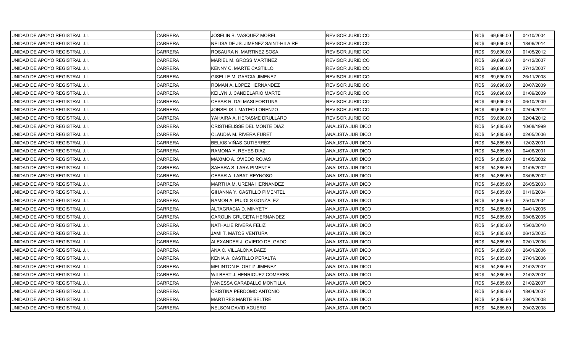| UNIDAD DE APOYO REGISTRAL J.I.  | CARRERA        | JOSELIN B. VASQUEZ MOREL            | <b>REVISOR JURIDICO</b>  |      | RD\$ 69,696.00 | 04/10/2004 |
|---------------------------------|----------------|-------------------------------------|--------------------------|------|----------------|------------|
| IUNIDAD DE APOYO REGISTRAL J.I. | CARRERA        | NELISA DE JS. JIMENEZ SAINT-HILAIRE | <b>REVISOR JURIDICO</b>  | RD\$ | 69,696.00      | 18/06/2014 |
| IUNIDAD DE APOYO REGISTRAL J.I. | <b>CARRERA</b> | ROSAURA N. MARTINEZ SOSA            | <b>REVISOR JURIDICO</b>  | RD\$ | 69,696.00      | 01/05/2012 |
| UNIDAD DE APOYO REGISTRAL J.I.  | CARRERA        | MARIEL M. GROSS MARTINEZ            | <b>REVISOR JURIDICO</b>  | RD\$ | 69,696.00      | 04/12/2007 |
| UNIDAD DE APOYO REGISTRAL J.I.  | CARRERA        | KENNY C. MARTE CASTILLO             | REVISOR JURIDICO         | RD\$ | 69,696.00      | 27/12/2007 |
| UNIDAD DE APOYO REGISTRAL J.I.  | CARRERA        | GISELLE M. GARCIA JIMENEZ           | REVISOR JURIDICO         | RD\$ | 69,696.00      | 26/11/2008 |
| UNIDAD DE APOYO REGISTRAL J.I.  | CARRERA        | ROMAN A. LOPEZ HERNANDEZ            | REVISOR JURIDICO         | RD\$ | 69,696.00      | 20/07/2009 |
| IUNIDAD DE APOYO REGISTRAL J.I. | <b>CARRERA</b> | KEILYN J. CANDELARIO MARTE          | <b>REVISOR JURIDICO</b>  | RD\$ | 69,696.00      | 01/09/2009 |
| UNIDAD DE APOYO REGISTRAL J.I.  | CARRERA        | CESAR R. DALMASI FORTUNA            | <b>REVISOR JURIDICO</b>  | RD\$ | 69,696.00      | 06/10/2009 |
| UNIDAD DE APOYO REGISTRAL J.I.  | CARRERA        | JORSELIS I. MATEO LORENZO           | <b>REVISOR JURIDICO</b>  | RD\$ | 69,696.00      | 02/04/2012 |
| UNIDAD DE APOYO REGISTRAL J.I.  | CARRERA        | YAHAIRA A. HERASME DRULLARD         | REVISOR JURIDICO         | RD\$ | 69,696.00      | 02/04/2012 |
| UNIDAD DE APOYO REGISTRAL J.I.  | CARRERA        | CRISTHELISSE DEL MONTE DIAZ         | ANALISTA JURIDICO        | RD\$ | 54,885.60      | 10/08/1999 |
| UNIDAD DE APOYO REGISTRAL J.I.  | CARRERA        | CLAUDIA M. RIVERA FURET             | ANALISTA JURIDICO        | RD\$ | 54,885.60      | 02/05/2006 |
| UNIDAD DE APOYO REGISTRAL J.I.  | CARRERA        | BELKIS VIÑAS GUTIERREZ              | ANALISTA JURIDICO        | RD\$ | 54,885.60      | 12/02/2001 |
| UNIDAD DE APOYO REGISTRAL J.I.  | <b>CARRERA</b> | RAMONA Y. REYES DIAZ                | ANALISTA JURIDICO        | RD\$ | 54,885.60      | 04/06/2001 |
| UNIDAD DE APOYO REGISTRAL J.I.  | CARRERA        | MAXIMO A. OVIEDO ROJAS              | ANALISTA JURIDICO        | RD\$ | 54,885.60      | 01/05/2002 |
| IUNIDAD DE APOYO REGISTRAL J.I. | CARRERA        | SAHARA S. LARA PIMENTEL             | ANALISTA JURIDICO        | RD\$ | 54,885.60      | 01/05/2002 |
| UNIDAD DE APOYO REGISTRAL J.I.  | CARRERA        | CESAR A. LABAT REYNOSO              | ANALISTA JURIDICO        | RD\$ | 54,885.60      | 03/06/2002 |
| UNIDAD DE APOYO REGISTRAL J.I.  | <b>CARRERA</b> | MARTHA M. UREÑA HERNANDEZ           | ANALISTA JURIDICO        | RD\$ | 54,885.60      | 26/05/2003 |
| IUNIDAD DE APOYO REGISTRAL J.I. | CARRERA        | <b>GIHANNA Y. CASTILLO PIMENTEL</b> | ANALISTA JURIDICO        | RD\$ | 54,885.60      | 01/10/2004 |
| UNIDAD DE APOYO REGISTRAL J.I.  | CARRERA        | RAMON A. PUJOLS GONZALEZ            | ANALISTA JURIDICO        | RD\$ | 54,885.60      | 25/10/2004 |
| UNIDAD DE APOYO REGISTRAL J.I.  | CARRERA        | ALTAGRACIA D. MINYETY               | ANALISTA JURIDICO        | RD\$ | 54,885.60      | 04/01/2005 |
| UNIDAD DE APOYO REGISTRAL J.I.  | CARRERA        | CAROLIN CRUCETA HERNANDEZ           | ANALISTA JURIDICO        | RD\$ | 54,885.60      | 08/08/2005 |
| IUNIDAD DE APOYO REGISTRAL J.I. | <b>CARRERA</b> | NATHALIE RIVERA FELIZ               | ANALISTA JURIDICO        | RD\$ | 54,885.60      | 15/03/2010 |
| UNIDAD DE APOYO REGISTRAL J.I.  | CARRERA        | JAMI T. MATOS VENTURA               | ANALISTA JURIDICO        | RD\$ | 54,885.60      | 06/12/2005 |
| UNIDAD DE APOYO REGISTRAL J.I.  | CARRERA        | ALEXANDER J. OVIEDO DELGADO         | ANALISTA JURIDICO        | RD\$ | 54,885.60      | 02/01/2006 |
| UNIDAD DE APOYO REGISTRAL J.I.  | CARRERA        | ANA C. VILLALONA BAEZ               | ANALISTA JURIDICO        | RD\$ | 54,885.60      | 26/01/2006 |
| UNIDAD DE APOYO REGISTRAL J.I.  | CARRERA        | KENIA A. CASTILLO PERALTA           | ANALISTA JURIDICO        | RD\$ | 54,885.60      | 27/01/2006 |
| UNIDAD DE APOYO REGISTRAL J.I.  | <b>CARRERA</b> | MELINTON E. ORTIZ JIMENEZ           | ANALISTA JURIDICO        | RD\$ | 54,885.60      | 21/02/2007 |
| UNIDAD DE APOYO REGISTRAL J.I.  | CARRERA        | WILBERT J. HENRIQUEZ COMPRES        | ANALISTA JURIDICO        | RD\$ | 54,885.60      | 21/02/2007 |
| UNIDAD DE APOYO REGISTRAL J.I.  | <b>CARRERA</b> | VANESSA CARABALLO MONTILLA          | <b>ANALISTA JURIDICO</b> | RD\$ | 54,885.60      | 21/02/2007 |
| UNIDAD DE APOYO REGISTRAL J.I.  | CARRERA        | CRISTINA PERDOMO ANTONIO            | ANALISTA JURIDICO        | RD\$ | 54,885.60      | 18/04/2007 |
| UNIDAD DE APOYO REGISTRAL J.I.  | CARRERA        | <b>MARTIRES MARTE BELTRE</b>        | ANALISTA JURIDICO        | RD\$ | 54,885.60      | 28/01/2008 |
| UNIDAD DE APOYO REGISTRAL J.I.  | <b>CARRERA</b> | <b>NELSON DAVID AGUERO</b>          | ANALISTA JURIDICO        | RD\$ | 54,885.60      | 20/02/2008 |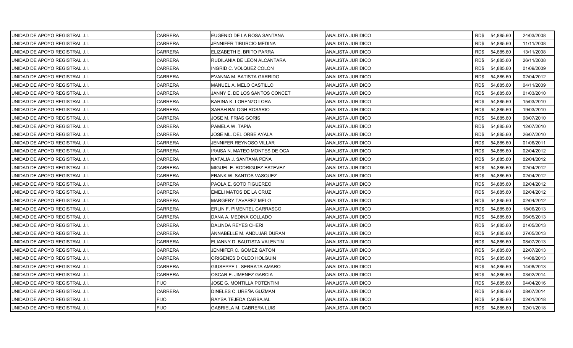| UNIDAD DE APOYO REGISTRAL J.I.  | CARRERA        | EUGENIO DE LA ROSA SANTANA        | ANALISTA JURIDICO        |      | RD\$ 54,885.60 | 24/03/2008 |
|---------------------------------|----------------|-----------------------------------|--------------------------|------|----------------|------------|
| UNIDAD DE APOYO REGISTRAL J.I.  | CARRERA        | JENNIFER TIBURCIO MEDINA          | ANALISTA JURIDICO        | RD\$ | 54,885.60      | 11/11/2008 |
| IUNIDAD DE APOYO REGISTRAL J.I. | <b>CARRERA</b> | ELIZABETH E. BRITO PARRA          | ANALISTA JURIDICO        | RD\$ | 54,885.60      | 13/11/2008 |
| UNIDAD DE APOYO REGISTRAL J.I.  | <b>CARRERA</b> | RUDILANIA DE LEON ALCANTARA       | ANALISTA JURIDICO        | RD\$ | 54,885.60      | 26/11/2008 |
| UNIDAD DE APOYO REGISTRAL J.I.  | CARRERA        | INGRID C. VOLQUEZ COLON           | ANALISTA JURIDICO        | RD\$ | 54,885.60      | 01/09/2009 |
| UNIDAD DE APOYO REGISTRAL J.I.  | CARRERA        | EVANNA M. BATISTA GARRIDO         | ANALISTA JURIDICO        | RD\$ | 54,885.60      | 02/04/2012 |
| UNIDAD DE APOYO REGISTRAL J.I.  | CARRERA        | MANUEL A. MELO CASTILLO           | ANALISTA JURIDICO        | RD\$ | 54,885.60      | 04/11/2009 |
| IUNIDAD DE APOYO REGISTRAL J.I. | <b>CARRERA</b> | JANNY E. DE LOS SANTOS CONCET     | ANALISTA JURIDICO        | RD\$ | 54,885.60      | 01/03/2010 |
| UNIDAD DE APOYO REGISTRAL J.I.  | <b>CARRERA</b> | KARINA K. LORENZO LORA            | ANALISTA JURIDICO        | RD\$ | 54,885.60      | 15/03/2010 |
| UNIDAD DE APOYO REGISTRAL J.I.  | CARRERA        | SARAH BALOGH ROSARIO              | ANALISTA JURIDICO        | RD\$ | 54,885.60      | 19/03/2010 |
| UNIDAD DE APOYO REGISTRAL J.I.  | CARRERA        | JOSE M. FRIAS GORIS               | ANALISTA JURIDICO        | RD\$ | 54,885.60      | 08/07/2010 |
| UNIDAD DE APOYO REGISTRAL J.I.  | CARRERA        | PAMELA W. TAPIA                   | ANALISTA JURIDICO        | RD\$ | 54,885.60      | 12/07/2010 |
| UNIDAD DE APOYO REGISTRAL J.I.  | <b>CARRERA</b> | JOSE ML. DEL ORBE AYALA           | ANALISTA JURIDICO        | RD\$ | 54,885.60      | 26/07/2010 |
| UNIDAD DE APOYO REGISTRAL J.I.  | CARRERA        | JENNIFER REYNOSO VILLAR           | ANALISTA JURIDICO        | RD\$ | 54,885.60      | 01/06/2011 |
| UNIDAD DE APOYO REGISTRAL J.I.  | CARRERA        | IRAISA N. MATEO MONTES DE OCA     | ANALISTA JURIDICO        | RD\$ | 54,885.60      | 02/04/2012 |
| UNIDAD DE APOYO REGISTRAL J.I.  | CARRERA        | NATALIA J. SANTANA PEÑA           | <b>ANALISTA JURIDICO</b> | RD\$ | 54,885.60      | 02/04/2012 |
| UNIDAD DE APOYO REGISTRAL J.I.  | CARRERA        | MIGUEL E. RODRIGUEZ ESTEVEZ       | ANALISTA JURIDICO        | RD\$ | 54,885.60      | 02/04/2012 |
| UNIDAD DE APOYO REGISTRAL J.I.  | <b>CARRERA</b> | FRANK W. SANTOS VASQUEZ           | ANALISTA JURIDICO        | RD\$ | 54,885.60      | 02/04/2012 |
| UNIDAD DE APOYO REGISTRAL J.I.  | <b>CARRERA</b> | PAOLA E. SOTO FIGUEREO            | ANALISTA JURIDICO        | RD\$ | 54,885.60      | 02/04/2012 |
| UNIDAD DE APOYO REGISTRAL J.I.  | CARRERA        | EMELI MATOS DE LA CRUZ            | ANALISTA JURIDICO        | RD\$ | 54,885.60      | 02/04/2012 |
| UNIDAD DE APOYO REGISTRAL J.I.  | CARRERA        | MARGERY TAVAREZ MELO              | ANALISTA JURIDICO        | RD\$ | 54,885.60      | 02/04/2012 |
| UNIDAD DE APOYO REGISTRAL J.I.  | CARRERA        | ERLIN F. PIMENTEL CARRASCO        | ANALISTA JURIDICO        | RD\$ | 54,885.60      | 18/06/2013 |
| UNIDAD DE APOYO REGISTRAL J.I.  | CARRERA        | DANA A. MEDINA COLLADO            | ANALISTA JURIDICO        | RD\$ | 54,885.60      | 06/05/2013 |
| IUNIDAD DE APOYO REGISTRAL J.I. | <b>CARRERA</b> | DALINDA REYES CHERI               | ANALISTA JURIDICO        | RD\$ | 54,885.60      | 01/05/2013 |
| UNIDAD DE APOYO REGISTRAL J.I.  | <b>CARRERA</b> | ANNABELLE M. ANDUJAR DURAN        | ANALISTA JURIDICO        | RD\$ | 54,885.60      | 27/05/2013 |
| UNIDAD DE APOYO REGISTRAL J.I.  | CARRERA        | ELIANNY D. BAUTISTA VALENTIN      | ANALISTA JURIDICO        | RD\$ | 54,885.60      | 08/07/2013 |
| UNIDAD DE APOYO REGISTRAL J.I.  | CARRERA        | JENNIFER C. GOMEZ GATON           | ANALISTA JURIDICO        | RD\$ | 54,885.60      | 22/07/2013 |
| UNIDAD DE APOYO REGISTRAL J.I.  | <b>CARRERA</b> | ORIGENES D OLEO HOLGUIN           | ANALISTA JURIDICO        | RD\$ | 54,885.60      | 14/08/2013 |
| UNIDAD DE APOYO REGISTRAL J.I.  | <b>CARRERA</b> | GIUSEPPE L. SERRATA AMARO         | ANALISTA JURIDICO        | RD\$ | 54,885.60      | 14/08/2013 |
| UNIDAD DE APOYO REGISTRAL J.I.  | CARRERA        | OSCAR E. JIMENEZ GARCIA           | ANALISTA JURIDICO        | RD\$ | 54,885.60      | 03/02/2014 |
| UNIDAD DE APOYO REGISTRAL J.I.  | <b>FIJO</b>    | <b>JOSE G. MONTILLA POTENTINI</b> | ANALISTA JURIDICO        | RD\$ | 54,885.60      | 04/04/2016 |
| UNIDAD DE APOYO REGISTRAL J.I.  | <b>CARRERA</b> | DINELES C. UREÑA GUZMAN           | ANALISTA JURIDICO        | RD\$ | 54,885.60      | 08/07/2014 |
| UNIDAD DE APOYO REGISTRAL J.I.  | FIJO           | RAYSA TEJEDA CARBAJAL             | ANALISTA JURIDICO        | RD\$ | 54,885.60      | 02/01/2018 |
| UNIDAD DE APOYO REGISTRAL J.I.  | <b>FIJO</b>    | GABRIELA M. CABRERA LUIS          | ANALISTA JURIDICO        | RD\$ | 54,885.60      | 02/01/2018 |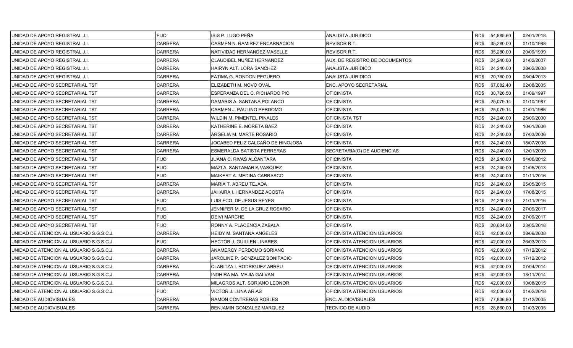| UNIDAD DE APOYO REGISTRAL J.I.           | <b>FIJO</b>    | ISIS P. LUGO PEÑA                 | <b>ANALISTA JURIDICO</b>       |      | RD\$ 54,885.60 | 02/01/2018 |
|------------------------------------------|----------------|-----------------------------------|--------------------------------|------|----------------|------------|
| UNIDAD DE APOYO REGISTRAL J.I.           | <b>CARRERA</b> | CARMEN N. RAMIREZ ENCARNACION     | REVISOR R.T.                   | RD\$ | 35,280.00      | 01/10/1988 |
| UNIDAD DE APOYO REGISTRAL J.I.           | <b>CARRERA</b> | NATIVIDAD HERNANDEZ MASELLE       | <b>REVISOR R.T.</b>            | RD\$ | 35,280.00      | 20/09/1999 |
| UNIDAD DE APOYO REGISTRAL J.I.           | <b>CARRERA</b> | CLAUDIBEL NUÑEZ HERNANDEZ         | AUX. DE REGISTRO DE DOCUMENTOS | RD\$ | 24,240.00      | 21/02/2007 |
| UNIDAD DE APOYO REGISTRAL J.I.           | CARRERA        | HAIRYN ALT. LORA SANCHEZ          | ANALISTA JURIDICO              | RD\$ | 24,240.00      | 28/02/2008 |
| UNIDAD DE APOYO REGISTRAL J.I.           | CARRERA        | FATIMA G. RONDON PEGUERO          | ANALISTA JURIDICO              | RD\$ | 20,760.00      | 08/04/2013 |
| UNIDAD DE APOYO SECRETARIAL TST          | CARRERA        | ELIZABETH M. NOVO OVAL            | ENC. APOYO SECRETARIAL         | RD\$ | 67,082.40      | 02/08/2005 |
| UNIDAD DE APOYO SECRETARIAL TST          | <b>CARRERA</b> | ESPERANZA DEL C. PICHARDO PIO     | <b>OFICINISTA</b>              | RD\$ | 38,726.50      | 01/09/1997 |
| UNIDAD DE APOYO SECRETARIAL TST          | <b>CARRERA</b> | DAMARIS A. SANTANA POLANCO        | <b>OFICINISTA</b>              | RD\$ | 25,079.14      | 01/10/1987 |
| UNIDAD DE APOYO SECRETARIAL TST          | CARRERA        | CARMEN J. PAULINO PERDOMO         | <b>OFICINISTA</b>              | RD\$ | 25,079.14      | 01/01/1986 |
| UNIDAD DE APOYO SECRETARIAL TST          | CARRERA        | WILDIN M. PIMENTEL PINALES        | <b>OFICINISTA TST</b>          | RD\$ | 24,240.00      | 25/09/2000 |
| UNIDAD DE APOYO SECRETARIAL TST          | CARRERA        | KATHERINE E. MORETA BAEZ          | <b>OFICINISTA</b>              | RD\$ | 24,240.00      | 10/01/2006 |
| UNIDAD DE APOYO SECRETARIAL TST          | CARRERA        | ARGELIA M. MARTE ROSARIO          | <b>OFICINISTA</b>              | RD\$ | 24,240.00      | 07/03/2006 |
| UNIDAD DE APOYO SECRETARIAL TST          | <b>CARRERA</b> | JOCABED FELIZ CALCAÑO DE HINOJOSA | <b>OFICINISTA</b>              | RD\$ | 24,240.00      | 18/07/2008 |
| UNIDAD DE APOYO SECRETARIAL TST          | CARRERA        | <b>ESMERALDA BATISTA FERRERAS</b> | SECRETARIA(O) DE AUDIENCIAS    | RD\$ | 24,240.00      | 12/01/2009 |
| UNIDAD DE APOYO SECRETARIAL TST          | <b>FIJO</b>    | JUANA C. RIVAS ALCANTARA          | <b>OFICINISTA</b>              | RD\$ | 24,240.00      | 04/06/2012 |
| UNIDAD DE APOYO SECRETARIAL TST          | <b>FIJO</b>    | MAZI A. SANTAMARIA VASQUEZ        | <b>OFICINISTA</b>              | RD\$ | 24,240.00      | 01/05/2013 |
| UNIDAD DE APOYO SECRETARIAL TST          | <b>FIJO</b>    | MAIKERT A. MEDINA CARRASCO        | <b>OFICINISTA</b>              | RD\$ | 24,240.00      | 01/11/2016 |
| UNIDAD DE APOYO SECRETARIAL TST          | <b>CARRERA</b> | MARIA T. ABREU TEJADA             | <b>OFICINISTA</b>              | RD\$ | 24,240.00      | 05/05/2015 |
| UNIDAD DE APOYO SECRETARIAL TST          | <b>CARRERA</b> | JAHAIRA I. HERNANDEZ ACOSTA       | <b>OFICINISTA</b>              | RD\$ | 24,240.00      | 17/08/2015 |
| UNIDAD DE APOYO SECRETARIAL TST          | <b>FIJO</b>    | LUIS FCO. DE JESUS REYES          | <b>OFICINISTA</b>              | RD\$ | 24,240.00      | 21/11/2016 |
| UNIDAD DE APOYO SECRETARIAL TST          | <b>FIJO</b>    | JENNIFER M. DE LA CRUZ ROSARIO    | <b>OFICINISTA</b>              | RD\$ | 24,240.00      | 27/09/2017 |
| UNIDAD DE APOYO SECRETARIAL TST          | <b>FIJO</b>    | <b>DEIVI MARCHE</b>               | <b>OFICINISTA</b>              | RD\$ | 24,240.00      | 27/09/2017 |
| UNIDAD DE APOYO SECRETARIAL TST          | <b>FIJO</b>    | RONNY A. PLACENCIA ZABALA         | <b>OFICINISTA</b>              | RD\$ | 20,604.00      | 23/05/2018 |
| UNIDAD DE ATENCION AL USUARIO S.G.S.C.J. | <b>CARRERA</b> | HEIDY M. SANTANA ANGELES          | OFICINISTA ATENCION USUARIOS   | RD\$ | 42,000.00      | 08/09/2008 |
| UNIDAD DE ATENCION AL USUARIO S.G.S.C.J. | <b>FIJO</b>    | <b>HECTOR J. GUILLEN LINARES</b>  | OFICINISTA ATENCION USUARIOS   | RD\$ | 42,000.00      | 26/03/2013 |
| UNIDAD DE ATENCION AL USUARIO S.G.S.C.J. | <b>CARRERA</b> | ANAMERCY PERDOMO SORIANO          | OFICINISTA ATENCION USUARIOS   | RD\$ | 42,000.00      | 17/12/2012 |
| UNIDAD DE ATENCION AL USUARIO S.G.S.C.J. | <b>CARRERA</b> | JAROLINE P. GONZALEZ BONIFACIO    | OFICINISTA ATENCION USUARIOS   | RD\$ | 42,000.00      | 17/12/2012 |
| UNIDAD DE ATENCION AL USUARIO S.G.S.C.J. | <b>CARRERA</b> | CLARITZA I. RODRIGUEZ ABREU       | OFICINISTA ATENCION USUARIOS   | RD\$ | 42,000.00      | 07/04/2014 |
| UNIDAD DE ATENCION AL USUARIO S.G.S.C.J. | <b>CARRERA</b> | INDHIRA MA. MEJIA GALVAN          | OFICINISTA ATENCION USUARIOS   | RD\$ | 42,000.00      | 13/11/2014 |
| UNIDAD DE ATENCION AL USUARIO S.G.S.C.J. | CARRERA        | MILAGROS ALT. SORIANO LEONOR      | OFICINISTA ATENCION USUARIOS   | RD\$ | 42,000.00      | 10/08/2015 |
| UNIDAD DE ATENCION AL USUARIO S.G.S.C.J. | <b>FIJO</b>    | VICTOR J. LUNA ARIAS              | OFICINISTA ATENCION USUARIOS   | RD\$ | 42,000.00      | 01/02/2018 |
| UNIDAD DE AUDIOVISUALES                  | CARRERA        | RAMON CONTRERAS ROBLES            | ENC. AUDIOVISUALES             | RD\$ | 77,836.80      | 01/12/2005 |
| UNIDAD DE AUDIOVISUALES                  | <b>CARRERA</b> | BENJAMIN GONZALEZ MARQUEZ         | <b>TECNICO DE AUDIO</b>        | RD\$ | 28,860.00      | 01/03/2005 |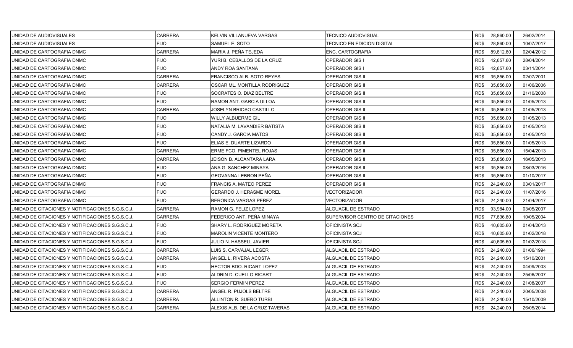| UNIDAD DE AUDIOVISUALES                          | <b>CARRERA</b> | KELVIN VILLANUEVA VARGAS        | TECNICO AUDIOVISUAL             |      | RD\$ 28,860.00 | 26/02/2014 |
|--------------------------------------------------|----------------|---------------------------------|---------------------------------|------|----------------|------------|
| UNIDAD DE AUDIOVISUALES                          | FIJO.          | SAMUEL E. SOTO                  | TECNICO EN EDICION DIGITAL      | RD\$ | 28,860.00      | 10/07/2017 |
| UNIDAD DE CARTOGRAFIA DNMC                       | <b>CARRERA</b> | MARIA J. PEÑA TEJEDA            | ENC. CARTOGRAFIA                | RD\$ | 89,812.80      | 02/04/2012 |
| UNIDAD DE CARTOGRAFIA DNMC                       | <b>FIJO</b>    | YURI B. CEBALLOS DE LA CRUZ     | <b>OPERADOR GIS I</b>           | RD\$ | 42,657.60      | 28/04/2014 |
| UNIDAD DE CARTOGRAFIA DNMC                       | <b>FIJO</b>    | ANDY ROA SANTANA                | <b>OPERADOR GIS I</b>           | RD\$ | 42.657.60      | 03/11/2014 |
| UNIDAD DE CARTOGRAFIA DNMC                       | CARRERA        | FRANCISCO ALB. SOTO REYES       | <b>OPERADOR GIS II</b>          | RD\$ | 35,856.00      | 02/07/2001 |
| UNIDAD DE CARTOGRAFIA DNMC                       | <b>CARRERA</b> | OSCAR ML. MONTILLA RODRIGUEZ    | <b>OPERADOR GIS II</b>          | RD\$ | 35,856.00      | 01/06/2006 |
| UNIDAD DE CARTOGRAFIA DNMC                       | FIJO           | SOCRATES O. DIAZ BELTRE         | <b>OPERADOR GIS II</b>          | RD\$ | 35,856.00      | 21/10/2008 |
| UNIDAD DE CARTOGRAFIA DNMC                       | <b>FIJO</b>    | RAMON ANT. GARCIA ULLOA         | OPERADOR GIS II                 | RD\$ | 35,856.00      | 01/05/2013 |
| UNIDAD DE CARTOGRAFIA DNMC                       | <b>CARRERA</b> | JOSELYN BRIOSO CASTILLO         | <b>OPERADOR GIS II</b>          | RD\$ | 35,856.00      | 01/05/2013 |
| UNIDAD DE CARTOGRAFIA DNMC                       | <b>FIJO</b>    | WILLY ALBUERME GIL              | <b>OPERADOR GIS II</b>          | RD\$ | 35,856.00      | 01/05/2013 |
| UNIDAD DE CARTOGRAFIA DNMC                       | <b>FIJO</b>    | NATALIA M. LAVANDIER BATISTA    | <b>OPERADOR GIS II</b>          | RD\$ | 35,856.00      | 01/05/2013 |
| UNIDAD DE CARTOGRAFIA DNMC                       | <b>FIJO</b>    | CANDY J. GARCIA MATOS           | <b>OPERADOR GIS II</b>          | RD\$ | 35,856.00      | 01/05/2013 |
| UNIDAD DE CARTOGRAFIA DNMC                       | <b>FIJO</b>    | ELIAS E. DUARTE LIZARDO         | <b>OPERADOR GIS II</b>          | RD\$ | 35,856.00      | 01/05/2013 |
| UNIDAD DE CARTOGRAFIA DNMC                       | <b>CARRERA</b> | ERME FCO. PIMENTEL ROJAS        | <b>OPERADOR GIS II</b>          | RD\$ | 35,856.00      | 15/04/2013 |
| UNIDAD DE CARTOGRAFIA DNMC                       | CARRERA        | JEISON B. ALCANTARA LARA        | <b>OPERADOR GIS II</b>          | RD\$ | 35,856.00      | 16/05/2013 |
| UNIDAD DE CARTOGRAFIA DNMC                       | <b>FIJO</b>    | ANA G. SANCHEZ MINAYA           | OPERADOR GIS II                 | RD\$ | 35,856.00      | 08/03/2016 |
| UNIDAD DE CARTOGRAFIA DNMC                       | <b>FIJO</b>    | GEOVANNA LEBRON PEÑA            | <b>OPERADOR GIS II</b>          | RD\$ | 35,856.00      | 01/10/2017 |
| UNIDAD DE CARTOGRAFIA DNMC                       | <b>FIJO</b>    | <b>FRANCIS A. MATEO PEREZ</b>   | <b>OPERADOR GIS II</b>          | RD\$ | 24,240.00      | 03/01/2017 |
| UNIDAD DE CARTOGRAFIA DNMC                       | <b>FIJO</b>    | <b>GERARDO J. HERASME MOREL</b> | VECTORIZADOR                    | RD\$ | 24,240.00      | 11/07/2016 |
| UNIDAD DE CARTOGRAFIA DNMC                       | <b>FIJO</b>    | <b>BERONICA VARGAS PEREZ</b>    | VECTORIZADOR                    | RD\$ | 24,240.00      | 21/04/2017 |
| UNIDAD DE CITACIONES Y NOTIFICACIONES S.G.S.C.J. | <b>CARRERA</b> | RAMON G. FELIZ LOPEZ            | ALGUACIL DE ESTRADO             | RD\$ | 93,984.00      | 03/05/2007 |
| UNIDAD DE CITACIONES Y NOTIFICACIONES S.G.S.C.J. | <b>CARRERA</b> | FEDERICO ANT. PEÑA MINAYA       | SUPERVISOR CENTRO DE CITACIONES | RD\$ | 77,836.80      | 10/05/2004 |
| UNIDAD DE CITACIONES Y NOTIFICACIONES S.G.S.C.J. | <b>FIJO</b>    | SHARY L. RODRIGUEZ MORETA       | <b>OFICINISTA SCJ</b>           | RD\$ | 40,605.60      | 01/04/2013 |
| UNIDAD DE CITACIONES Y NOTIFICACIONES S.G.S.C.J. | <b>FIJO</b>    | <b>MAROLIN VICENTE MONTERO</b>  | OFICINISTA SCJ                  | RD\$ | 40,605.60      | 01/02/2018 |
| UNIDAD DE CITACIONES Y NOTIFICACIONES S.G.S.C.J. | <b>FIJO</b>    | JULIO N. HASSELL JAVIER         | OFICINISTA SCJ                  | RD\$ | 40,605.60      | 01/02/2018 |
| UNIDAD DE CITACIONES Y NOTIFICACIONES S.G.S.C.J. | <b>CARRERA</b> | LUIS S. CARVAJAL LEGER          | ALGUACIL DE ESTRADO             | RD\$ | 24,240.00      | 01/06/1994 |
| UNIDAD DE CITACIONES Y NOTIFICACIONES S.G.S.C.J. | <b>CARRERA</b> | ANGEL L. RIVERA ACOSTA          | ALGUACIL DE ESTRADO             | RD\$ | 24,240.00      | 15/10/2001 |
| UNIDAD DE CITACIONES Y NOTIFICACIONES S.G.S.C.J. | <b>FIJO</b>    | <b>HECTOR BDO, RICART LOPEZ</b> | ALGUACIL DE ESTRADO             | RD\$ | 24,240.00      | 04/09/2003 |
| UNIDAD DE CITACIONES Y NOTIFICACIONES S.G.S.C.J. | <b>FIJO</b>    | ALDRIN D. CUELLO RICART         | ALGUACIL DE ESTRADO             | RD\$ | 24,240.00      | 25/06/2007 |
| UNIDAD DE CITACIONES Y NOTIFICACIONES S.G.S.C.J. | <b>FIJO</b>    | <b>SERGIO FERMIN PEREZ</b>      | ALGUACIL DE ESTRADO             | RD\$ | 24,240.00      | 21/08/2007 |
| UNIDAD DE CITACIONES Y NOTIFICACIONES S.G.S.C.J. | <b>CARRERA</b> | ANGEL R. PUJOLS BELTRE          | ALGUACIL DE ESTRADO             | RD\$ | 24,240.00      | 20/05/2008 |
| UNIDAD DE CITACIONES Y NOTIFICACIONES S.G.S.C.J. | CARRERA        | ALLINTON R. SUERO TURBI         | ALGUACIL DE ESTRADO             | RD\$ | 24,240.00      | 15/10/2009 |
| UNIDAD DE CITACIONES Y NOTIFICACIONES S.G.S.C.J. | <b>CARRERA</b> | ALEXIS ALB. DE LA CRUZ TAVERAS  | ALGUACIL DE ESTRADO             | RD\$ | 24,240.00      | 26/05/2014 |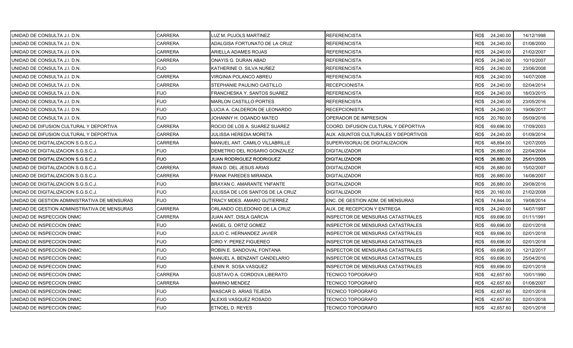| UNIDAD DE CONSULTA J.I. D.N.                 | CARRERA        | LUZ M. PUJOLS MARTINEZ           | <b>REFERENCISTA</b>                      |      | RD\$ 24,240.00 | 14/12/1998 |
|----------------------------------------------|----------------|----------------------------------|------------------------------------------|------|----------------|------------|
| UNIDAD DE CONSULTA J.I. D.N.                 | <b>CARRERA</b> | ADALGISA FORTUNATO DE LA CRUZ    | <b>REFERENCISTA</b>                      | RD\$ | 24,240.00      | 01/08/2000 |
| UNIDAD DE CONSULTA J.I. D.N.                 | <b>CARRERA</b> | ARIELLA ADAMES ROJAS             | <b>REFERENCISTA</b>                      | RD\$ | 24,240.00      | 21/02/2007 |
| UNIDAD DE CONSULTA J.I. D.N.                 | CARRERA        | ONAYIS G. DURAN ABAD             | <b>REFERENCISTA</b>                      | RD\$ | 24,240.00      | 10/10/2007 |
| UNIDAD DE CONSULTA J.I. D.N.                 | <b>FIJO</b>    | KATHERINE O. SILVA NUÑEZ         | <b>REFERENCISTA</b>                      | RD\$ | 24,240.00      | 23/06/2008 |
| UNIDAD DE CONSULTA J.I. D.N.                 | CARRERA        | VIRGINIA POLANCO ABREU           | REFERENCISTA                             | RD\$ | 24,240.00      | 14/07/2008 |
| UNIDAD DE CONSULTA J.I. D.N.                 | <b>CARRERA</b> | STEPHANIE PAULINO CASTILLO       | <b>RECEPCIONISTA</b>                     | RD\$ | 24,240.00      | 02/04/2014 |
| UNIDAD DE CONSULTA J.I. D.N.                 | <b>FIJO</b>    | FRANCHESKA Y. SANTOS SUAREZ      | <b>REFERENCISTA</b>                      | RD\$ | 24,240.00      | 18/03/2015 |
| UNIDAD DE CONSULTA J.I. D.N.                 | <b>FIJO</b>    | <b>MARLON CASTILLO PORTES</b>    | REFERENCISTA                             | RD\$ | 24,240.00      | 23/05/2016 |
| UNIDAD DE CONSULTA J.I. D.N.                 | <b>FIJO</b>    | LUCIA A. CALDERON DE LEONARDO    | <b>RECEPCIONISTA</b>                     | RD\$ | 24,240.00      | 19/06/2017 |
| UNIDAD DE CONSULTA J.I. D.N.                 | <b>FIJO</b>    | JOHANNY H. OGANDO MATEO          | OPERADOR DE IMPRESION                    | RD\$ | 20.760.00      | 05/09/2016 |
| UNIDAD DE DIFUSION CULTURAL Y DEPORTIVA      | <b>CARRERA</b> | ROCIO DE LOS A. SUAREZ SUAREZ    | COORD. DIFUSION CULTURAL Y DEPORTIVA     | RD\$ | 69,696.00      | 17/09/2003 |
| UNIDAD DE DIFUSION CULTURAL Y DEPORTIVA      | <b>CARRERA</b> | JULISSA HEREDIA MORETA           | AUX. ASUNTOS CULTURALES Y DEPORTIVOS     | RD\$ | 24,240.00      | 01/09/2014 |
| UNIDAD DE DIGITALIZACION S.G.S.C.J.          | <b>CARRERA</b> | MANUEL ANT. CAMILO VILLABRILLE   | SUPERVISOR(A) DE DIGITALIZACION          | RD\$ | 48,894.00      | 12/07/2005 |
| UNIDAD DE DIGITALIZACION S.G.S.C.J.          | <b>FIJO</b>    | DEMETRIO DEL ROSARIO GONZALEZ    | <b>DIGITALIZADOR</b>                     | RD\$ | 26,880.00      | 22/04/2004 |
| UNIDAD DE DIGITALIZACION S.G.S.C.J.          | <b>FIJO</b>    | JUAN RODRIGUEZ RODRIGUEZ         | <b>DIGITALIZADOR</b>                     | RD\$ | 26,880.00      | 25/01/2005 |
| UNIDAD DE DIGITALIZACION S.G.S.C.J.          | CARRERA        | IRAN D. DEL JESUS ARIAS          | <b>DIGITALIZADOR</b>                     | RD\$ | 26,880.00      | 15/02/2007 |
| UNIDAD DE DIGITALIZACION S.G.S.C.J.          | <b>CARRERA</b> | <b>FRANK PAREDES MIRANDA</b>     | <b>DIGITALIZADOR</b>                     | RD\$ | 26,880.00      | 14/08/2007 |
| UNIDAD DE DIGITALIZACION S.G.S.C.J.          | <b>FIJO</b>    | BRAYAN C. AMARANTE YNFANTE       | <b>DIGITALIZADOR</b>                     | RD\$ | 26,880.00      | 29/08/2016 |
| UNIDAD DE DIGITALIZACION S.G.S.C.J.          | <b>FIJO</b>    | JULISSA DE LOS SANTOS DE LA CRUZ | <b>DIGITALIZADOR</b>                     | RD\$ | 20,160.00      | 21/02/2008 |
| UNIDAD DE GESTION ADMINISTRATIVA DE MENSURAS | <b>FIJO</b>    | TRACY MDES. AMARO GUTIERREZ      | ENC. DE GESTION ADM. DE MENSURAS         | RD\$ | 74,844.00      | 19/08/2014 |
| UNIDAD DE GESTION ADMINISTRATIVA DE MENSURAS | <b>CARRERA</b> | ORLANDO CELEDONIO DE LA CRUZ     | AUX. DE RECEPCION Y ENTREGA              | RD\$ | 24,240.00      | 14/07/1997 |
| UNIDAD DE INSPECCION DNMC                    | <b>CARRERA</b> | JUAN ANT. DISLA GARCIA           | <b>INSPECTOR DE MENSURAS CATASTRALES</b> | RD\$ | 69,696.00      | 01/11/1991 |
| UNIDAD DE INSPECCION DNMC                    | <b>FIJO</b>    | ANGEL G. ORTIZ GOMEZ             | INSPECTOR DE MENSURAS CATASTRALES        | RD\$ | 69,696.00      | 02/01/2018 |
| UNIDAD DE INSPECCION DNMC                    | <b>FIJO</b>    | JULIO C. HERNANDEZ JAVIER        | <b>INSPECTOR DE MENSURAS CATASTRALES</b> | RD\$ | 69,696.00      | 02/01/2018 |
| UNIDAD DE INSPECCION DNMC                    | <b>FIJO</b>    | CIRO Y. PEREZ FIGUEREO           | INSPECTOR DE MENSURAS CATASTRALES        | RD\$ | 69,696.00      | 02/01/2018 |
| UNIDAD DE INSPECCION DNMC                    | <b>FIJO</b>    | ROBIN E. SANDOVAL FONTANA        | INSPECTOR DE MENSURAS CATASTRALES        | RD\$ | 69,696.00      | 12/12/2017 |
| UNIDAD DE INSPECCION DNMC                    | <b>FIJO</b>    | MANUEL A. BENZANT CANDELARIO     | INSPECTOR DE MENSURAS CATASTRALES        | RD\$ | 69,696.00      | 25/04/2016 |
| UNIDAD DE INSPECCION DNMC                    | <b>FIJO</b>    | LENIN R. SOSA VASQUEZ            | <b>INSPECTOR DE MENSURAS CATASTRALES</b> | RD\$ | 69,696.00      | 02/01/2018 |
| UNIDAD DE INSPECCION DNMC                    | <b>CARRERA</b> | GUSTAVO A. CORDOVA LIBERATO      | TECNICO TOPOGRAFO                        | RD\$ | 42,657.60      | 10/01/1990 |
| UNIDAD DE INSPECCION DNMC                    | <b>CARRERA</b> | <b>MARINO MENDEZ</b>             | <b>TECNICO TOPOGRAFO</b>                 | RD\$ | 42,657.60      | 01/08/2007 |
| UNIDAD DE INSPECCION DNMC                    | <b>FIJO</b>    | WASCAR D. ARIAS TEJEDA           | TECNICO TOPOGRAFO                        | RD\$ | 42,657.60      | 02/01/2018 |
| UNIDAD DE INSPECCION DNMC                    | <b>FIJO</b>    | ALEXIS VASQUEZ ROSADO            | TECNICO TOPOGRAFO                        | RD\$ | 42,657.60      | 02/01/2018 |
| UNIDAD DE INSPECCION DNMC                    | <b>FIJO</b>    | ETNOEL D. REYES                  | <b>TECNICO TOPOGRAFO</b>                 | RD\$ | 42,657.60      | 02/01/2018 |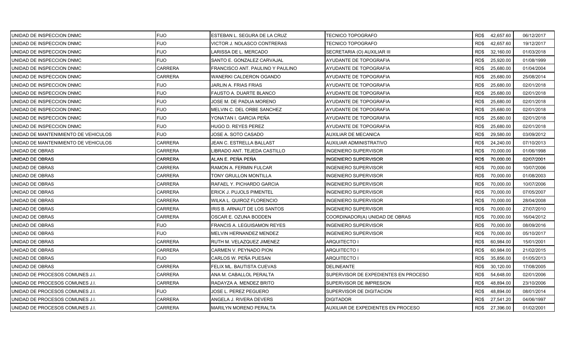| UNIDAD DE INSPECCION DNMC            | <b>FIJO</b>    | ESTEBAN L. SEGURA DE LA CRUZ     | TECNICO TOPOGRAFO                    |      | RD\$42,657.60  | 06/12/2017 |
|--------------------------------------|----------------|----------------------------------|--------------------------------------|------|----------------|------------|
| UNIDAD DE INSPECCION DNMC            | <b>FIJO</b>    | VICTOR J. NOLASCO CONTRERAS      | TECNICO TOPOGRAFO                    | RD\$ | 42,657.60      | 19/12/2017 |
| UNIDAD DE INSPECCION DNMC            | <b>FIJO</b>    | LARISSA DE L. MERCADO            | SECRETARIA (O) AUXILIAR III          | RD\$ | 32,160.00      | 01/03/2018 |
| UNIDAD DE INSPECCION DNMC            | <b>FIJO</b>    | SANTO E. GONZALEZ CARVAJAL       | AYUDANTE DE TOPOGRAFIA               | RD\$ | 25,920.00      | 01/08/1999 |
| UNIDAD DE INSPECCION DNMC            | <b>CARRERA</b> | FRANCISCO ANT. PAULINO Y PAULINO | AYUDANTE DE TOPOGRAFIA               | RD\$ | 25,680.00      | 01/04/2004 |
| UNIDAD DE INSPECCION DNMC            | <b>CARRERA</b> | WANERKI CALDERON OGANDO          | AYUDANTE DE TOPOGRAFIA               | RD\$ | 25,680.00      | 25/08/2014 |
| UNIDAD DE INSPECCION DNMC            | <b>FIJO</b>    | JARLIN A. FRIAS FRIAS            | AYUDANTE DE TOPOGRAFIA               | RD\$ | 25,680.00      | 02/01/2018 |
| UNIDAD DE INSPECCION DNMC            | <b>FIJO</b>    | FAUSTO A. DUARTE BLANCO          | AYUDANTE DE TOPOGRAFIA               | RD\$ | 25,680.00      | 02/01/2018 |
| UNIDAD DE INSPECCION DNMC            | <b>FIJO</b>    | JOSE M. DE PADUA MORENO          | AYUDANTE DE TOPOGRAFIA               | RD\$ | 25,680.00      | 02/01/2018 |
| UNIDAD DE INSPECCION DNMC            | <b>FIJO</b>    | MELVIN C. DEL ORBE SANCHEZ       | AYUDANTE DE TOPOGRAFIA               | RD\$ | 25,680.00      | 02/01/2018 |
| UNIDAD DE INSPECCION DNMC            | <b>FIJO</b>    | YONATAN I. GARCIA PEÑA           | AYUDANTE DE TOPOGRAFIA               | RD\$ | 25,680.00      | 02/01/2018 |
| UNIDAD DE INSPECCION DNMC            | <b>FIJO</b>    | HUGO D. REYES PEREZ              | AYUDANTE DE TOPOGRAFIA               | RD\$ | 25,680.00      | 02/01/2018 |
| UNIDAD DE MANTENIMIENTO DE VEHICULOS | <b>FIJO</b>    | JOSE A. SOTO CASADO              | AUXILIAR DE MECANICA                 | RD\$ | 29,580.00      | 03/09/2012 |
| UNIDAD DE MANTENIMIENTO DE VEHICULOS | <b>CARRERA</b> | JEAN C. ESTRELLA BALLAST         | AUXILIAR ADMINISTRATIVO              | RD\$ | 24,240.00      | 07/10/2013 |
| UNIDAD DE OBRAS                      | <b>CARRERA</b> | LIBRADO ANT. TEJEDA CASTILLO     | INGENIERO SUPERVISOR                 | RD\$ | 70,000.00      | 01/06/1998 |
| UNIDAD DE OBRAS                      | <b>CARRERA</b> | ALAN E. PEÑA PEÑA                | NGENIERO SUPERVISOR                  | RD\$ | 70,000.00      | 02/07/2001 |
| UNIDAD DE OBRAS                      | CARRERA        | RAMON A. FERMIN FULCAR           | NGENIERO SUPERVISOR                  | RD\$ | 70,000.00      | 10/07/2006 |
| UNIDAD DE OBRAS                      | CARRERA        | TONY GRULLON MONTILLA            | INGENIERO SUPERVISOR                 | RD\$ | 70,000.00      | 01/08/2003 |
| UNIDAD DE OBRAS                      | <b>CARRERA</b> | RAFAEL Y. PICHARDO GARCIA        | <b>INGENIERO SUPERVISOR</b>          | RD\$ | 70,000.00      | 10/07/2006 |
| UNIDAD DE OBRAS                      | CARRERA        | ERICK J. PUJOLS PIMENTEL         | INGENIERO SUPERVISOR                 | RD\$ | 70,000.00      | 07/05/2007 |
| UNIDAD DE OBRAS                      | CARRERA        | WILKA L. QUIROZ FLORENCIO        | INGENIERO SUPERVISOR                 | RD\$ | 70,000.00      | 28/04/2008 |
| UNIDAD DE OBRAS                      | CARRERA        | RIS B. ARNAUT DE LOS SANTOS      | NGENIERO SUPERVISOR                  | RD\$ | 70,000.00      | 27/07/2010 |
| UNIDAD DE OBRAS                      | <b>CARRERA</b> | OSCAR E. OZUNA BODDEN            | COORDINADOR(A) UNIDAD DE OBRAS       | RD\$ | 70,000.00      | 16/04/2012 |
| UNIDAD DE OBRAS                      | <b>FIJO</b>    | FRANCIS A. LEGUISAMON REYES      | INGENIERO SUPERVISOR                 | RD\$ | 70,000.00      | 08/09/2016 |
| UNIDAD DE OBRAS                      | <b>FIJO</b>    | MELVIN HERNANDEZ MENDEZ          | <b>INGENIERO SUPERVISOR</b>          | RD\$ | 70,000.00      | 05/10/2017 |
| UNIDAD DE OBRAS                      | <b>CARRERA</b> | RUTH M. VELAZQUEZ JIMENEZ        | ARQUITECTO I                         | RD\$ | 60,984.00      | 15/01/2001 |
| UNIDAD DE OBRAS                      | CARRERA        | CARMEN V. PEYNADO PION           | <b>ARQUITECTO I</b>                  | RD\$ | 60,984.00      | 21/02/2015 |
| UNIDAD DE OBRAS                      | <b>FIJO</b>    | CARLOS W. PEÑA PUESAN            | ARQUITECTO I                         | RD\$ | 35,856.00      | 01/05/2013 |
| UNIDAD DE OBRAS                      | <b>CARRERA</b> | FELIX ML. BAUTISTA CUEVAS        | <b>DELINEANTE</b>                    | RD\$ | 30,120.00      | 17/08/2005 |
| UNIDAD DE PROCESOS COMUNES J.I.      | <b>CARRERA</b> | ANA M. CABALLOL PERALTA          | SUPERVISOR DE EXPEDIENTES EN PROCESO | RD\$ | 54,648.00      | 02/01/2006 |
| UNIDAD DE PROCESOS COMUNES J.I.      | <b>CARRERA</b> | RADAYZA A. MENDEZ BRITO          | SUPERVISOR DE IMPRESION              | RD\$ | 48,894.00      | 23/10/2006 |
| UNIDAD DE PROCESOS COMUNES J.I.      | <b>FIJO</b>    | JOSE L. PEREZ PEGUERO            | SUPERVISOR DE DIGITACION             | RD\$ | 48,894.00      | 08/01/2014 |
| UNIDAD DE PROCESOS COMUNES J.I.      | CARRERA        | ANGELA J. RIVERA DEVERS          | <b>DIGITADOR</b>                     | RD\$ | 27,541.20      | 04/06/1997 |
| UNIDAD DE PROCESOS COMUNES J.I.      | <b>CARRERA</b> | MARILYN MORENO PERALTA           | AUXILIAR DE EXPEDIENTES EN PROCESO   |      | RD\$ 27,396.00 | 01/02/2001 |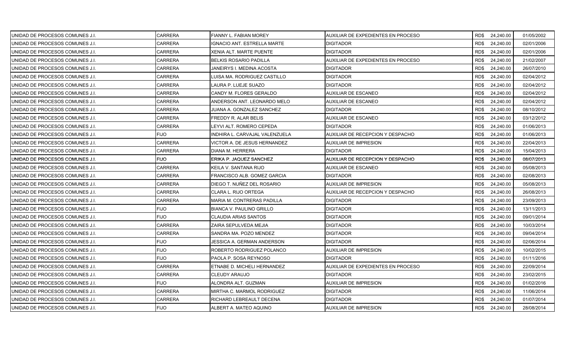| UNIDAD DE PROCESOS COMUNES J.I.  | CARRERA        | FIANNY L. FABIAN MOREY          | AUXILIAR DE EXPEDIENTES EN PROCESO |      | RD\$ 24,240.00 | 01/05/2002 |
|----------------------------------|----------------|---------------------------------|------------------------------------|------|----------------|------------|
| UNIDAD DE PROCESOS COMUNES J.I.  | <b>CARRERA</b> | IGNACIO ANT. ESTRELLA MARTE     | <b>DIGITADOR</b>                   | RD\$ | 24,240.00      | 02/01/2006 |
| UNIDAD DE PROCESOS COMUNES J.I.  | CARRERA        | XENIA ALT. MARTE PUENTE         | <b>DIGITADOR</b>                   | RD\$ | 24,240.00      | 02/01/2006 |
| UNIDAD DE PROCESOS COMUNES J.I.  | <b>CARRERA</b> | <b>BELKIS ROSARIO PADILLA</b>   | AUXILIAR DE EXPEDIENTES EN PROCESO | RD\$ | 24,240.00      | 21/02/2007 |
| UNIDAD DE PROCESOS COMUNES J.I.  | CARRERA        | JANEIRYS I. MEDINA ACOSTA       | <b>DIGITADOR</b>                   | RD\$ | 24,240.00      | 26/07/2010 |
| UNIDAD DE PROCESOS COMUNES J.I.  | CARRERA        | LUISA MA. RODRIGUEZ CASTILLO    | <b>DIGITADOR</b>                   | RD\$ | 24,240.00      | 02/04/2012 |
| UNIDAD DE PROCESOS COMUNES J.I.  | CARRERA        | LAURA P. LUEJE SUAZO            | <b>DIGITADOR</b>                   | RD\$ | 24,240.00      | 02/04/2012 |
| UNIDAD DE PROCESOS COMUNES J.I.  | CARRERA        | CANDY M. FLORES GERALDO         | <b>AUXILIAR DE ESCANEO</b>         | RD\$ | 24,240.00      | 02/04/2012 |
| UNIDAD DE PROCESOS COMUNES J.I.  | <b>CARRERA</b> | ANDERSON ANT. LEONARDO MELO     | AUXILIAR DE ESCANEO                | RD\$ | 24,240.00      | 02/04/2012 |
| UNIDAD DE PROCESOS COMUNES J.I.  | CARRERA        | JUANA A. GONZALEZ SANCHEZ       | <b>DIGITADOR</b>                   | RD\$ | 24,240.00      | 08/10/2012 |
| UNIDAD DE PROCESOS COMUNES J.I.  | CARRERA        | FREDDY R. ALAR BELIS            | AUXILIAR DE ESCANEO                | RD\$ | 24,240.00      | 03/12/2012 |
| UNIDAD DE PROCESOS COMUNES J.I.  | CARRERA        | EYVI ALT. ROMERO CEPEDA         | <b>DIGITADOR</b>                   | RD\$ | 24,240.00      | 01/06/2013 |
| UNIDAD DE PROCESOS COMUNES J.I.  | FIJO.          | INDHIRA L. CARVAJAL VALENZUELA  | AUXILIAR DE RECEPCION Y DESPACHO   | RD\$ | 24,240.00      | 01/06/2013 |
| UNIDAD DE PROCESOS COMUNES J.I.  | <b>CARRERA</b> | VICTOR A. DE JESUS HERNANDEZ    | <b>AUXILIAR DE IMPRESION</b>       | RD\$ | 24,240.00      | 22/04/2013 |
| UNIDAD DE PROCESOS COMUNES J.I.  | CARRERA        | DIANA M. HERRERA                | <b>DIGITADOR</b>                   | RD\$ | 24,240.00      | 15/04/2013 |
| IUNIDAD DE PROCESOS COMUNES J.I. | <b>FIJO</b>    | ERIKA P. JAQUEZ SANCHEZ         | AUXILIAR DE RECEPCION Y DESPACHO   | RD\$ | 24.240.00      | 08/07/2013 |
| UNIDAD DE PROCESOS COMUNES J.I.  | <b>CARRERA</b> | KEILA V. SANTANA RIJO           | AUXILIAR DE ESCANEO                | RD\$ | 24,240.00      | 05/08/2013 |
| UNIDAD DE PROCESOS COMUNES J.I.  | CARRERA        | FRANCISCO ALB. GOMEZ GARCIA     | <b>DIGITADOR</b>                   | RD\$ | 24,240.00      | 02/08/2013 |
| UNIDAD DE PROCESOS COMUNES J.I.  | <b>CARRERA</b> | DIEGO T. NUÑEZ DEL ROSARIO      | <b>AUXILIAR DE IMPRESION</b>       | RD\$ | 24,240.00      | 05/08/2013 |
| UNIDAD DE PROCESOS COMUNES J.I.  | <b>CARRERA</b> | CLARA L. RIJO ORTEGA            | AUXILIAR DE RECEPCION Y DESPACHO   | RD\$ | 24,240.00      | 26/08/2013 |
| UNIDAD DE PROCESOS COMUNES J.I.  | CARRERA        | MARIA M. CONTRERAS PADILLA      | <b>DIGITADOR</b>                   | RD\$ | 24,240.00      | 23/09/2013 |
| UNIDAD DE PROCESOS COMUNES J.I.  | <b>FIJO</b>    | <b>BIANCA V. PAULINO GRILLO</b> | <b>DIGITADOR</b>                   | RD\$ | 24,240.00      | 13/11/2013 |
| UNIDAD DE PROCESOS COMUNES J.I.  | <b>FIJO</b>    | <b>CLAUDIA ARIAS SANTOS</b>     | <b>DIGITADOR</b>                   | RD\$ | 24,240.00      | 09/01/2014 |
| UNIDAD DE PROCESOS COMUNES J.I.  | CARRERA        | ZAIRA SEPULVEDA MEJIA           | <b>DIGITADOR</b>                   | RD\$ | 24,240.00      | 10/03/2014 |
| UNIDAD DE PROCESOS COMUNES J.I.  | <b>CARRERA</b> | SANDRA MA. POZO MENDEZ          | <b>DIGITADOR</b>                   | RD\$ | 24,240.00      | 09/04/2014 |
| UNIDAD DE PROCESOS COMUNES J.I.  | <b>FIJO</b>    | JESSICA A. GERMAN ANDERSON      | <b>DIGITADOR</b>                   | RD\$ | 24,240.00      | 02/06/2014 |
| UNIDAD DE PROCESOS COMUNES J.I.  | <b>FIJO</b>    | ROBERTO RODRIGUEZ POLANCO       | AUXILIAR DE IMPRESION              | RD\$ | 24,240.00      | 10/02/2015 |
| UNIDAD DE PROCESOS COMUNES J.I.  | <b>FIJO</b>    | PAOLA P. SOSA REYNOSO           | <b>DIGITADOR</b>                   | RD\$ | 24,240.00      | 01/11/2016 |
| UNIDAD DE PROCESOS COMUNES J.I.  | <b>CARRERA</b> | ETNABE D. MICHELI HERNANDEZ     | AUXILIAR DE EXPEDIENTES EN PROCESO | RD\$ | 24,240.00      | 22/09/2014 |
| UNIDAD DE PROCESOS COMUNES J.I.  | <b>CARRERA</b> | CLEUDY ARAUJO                   | <b>DIGITADOR</b>                   | RD\$ | 24,240.00      | 23/02/2015 |
| UNIDAD DE PROCESOS COMUNES J.I.  | <b>FIJO</b>    | ALONDRA ALT. GUZMAN             | AUXILIAR DE IMPRESION              | RD\$ | 24,240.00      | 01/02/2016 |
| UNIDAD DE PROCESOS COMUNES J.I.  | CARRERA        | MIRTHA C. MARMOL RODRIGUEZ      | <b>DIGITADOR</b>                   | RD\$ | 24,240.00      | 11/06/2014 |
| UNIDAD DE PROCESOS COMUNES J.I.  | CARRERA        | RICHARD LEBREAULT DECENA        | <b>DIGITADOR</b>                   | RD\$ | 24,240.00      | 01/07/2014 |
| UNIDAD DE PROCESOS COMUNES J.I.  | <b>FIJO</b>    | ALBERT A. MATEO AQUINO          | <b>AUXILIAR DE IMPRESION</b>       | RD\$ | 24,240.00      | 28/08/2014 |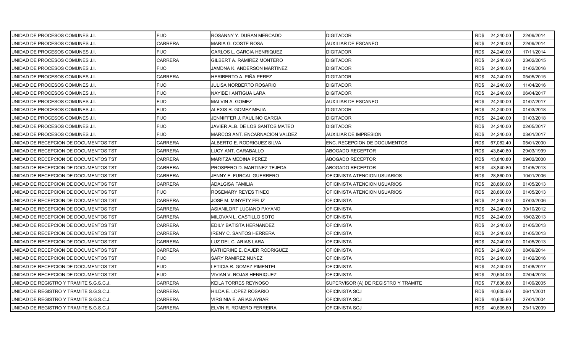| UNIDAD DE PROCESOS COMUNES J.I.         | <b>FIJO</b>    | ROSANNY Y. DURAN MERCADO        | DIGITADOR                            |      | RD\$ 24,240.00 | 22/09/2014 |
|-----------------------------------------|----------------|---------------------------------|--------------------------------------|------|----------------|------------|
| UNIDAD DE PROCESOS COMUNES J.I.         | <b>CARRERA</b> | MARIA G. COSTE ROSA             | AUXILIAR DE ESCANEO                  | RD\$ | 24,240.00      | 22/09/2014 |
| UNIDAD DE PROCESOS COMUNES J.I.         | <b>FIJO</b>    | CARLOS L. GARCIA HENRIQUEZ      | <b>DIGITADOR</b>                     | RD\$ | 24,240.00      | 17/11/2014 |
| UNIDAD DE PROCESOS COMUNES J.I.         | <b>CARRERA</b> | GILBERT A. RAMIREZ MONTERO      | <b>DIGITADOR</b>                     | RD\$ | 24,240.00      | 23/02/2015 |
| UNIDAD DE PROCESOS COMUNES J.I.         | <b>FIJO</b>    | JAMDNA K. ANDERSON MARTINEZ     | DIGITADOR                            | RD\$ | 24,240.00      | 01/02/2016 |
| UNIDAD DE PROCESOS COMUNES J.I.         | <b>CARRERA</b> | HERIBERTO A. PIÑA PEREZ         | DIGITADOR                            | RD\$ | 24,240.00      | 05/05/2015 |
| UNIDAD DE PROCESOS COMUNES J.I.         | <b>FIJO</b>    | <b>JULISA NORBERTO ROSARIO</b>  | <b>DIGITADOR</b>                     | RD\$ | 24,240.00      | 11/04/2016 |
| UNIDAD DE PROCESOS COMUNES J.I.         | <b>FIJO</b>    | NAYIBE I ANTIGUA LARA           | <b>DIGITADOR</b>                     | RD\$ | 24,240.00      | 06/04/2017 |
| UNIDAD DE PROCESOS COMUNES J.I.         | <b>FIJO</b>    | MALVIN A. GOMEZ                 | AUXILIAR DE ESCANEO                  | RD\$ | 24,240.00      | 01/07/2017 |
| UNIDAD DE PROCESOS COMUNES J.I.         | <b>FIJO</b>    | ALEXIS R. GOMEZ MEJIA           | DIGITADOR                            | RD\$ | 24,240.00      | 01/03/2018 |
| UNIDAD DE PROCESOS COMUNES J.I.         | <b>FIJO</b>    | JENNIFFER J. PAULINO GARCIA     | DIGITADOR                            | RD\$ | 24,240.00      | 01/03/2018 |
| UNIDAD DE PROCESOS COMUNES J.I.         | <b>FIJO</b>    | JAVIER ALB. DE LOS SANTOS MATEO | <b>DIGITADOR</b>                     | RD\$ | 24,240.00      | 02/05/2017 |
| UNIDAD DE PROCESOS COMUNES J.I.         | <b>FIJO</b>    | MARCOS ANT. ENCARNACION VALDEZ  | AUXILIAR DE IMPRESION                | RD\$ | 24,240.00      | 03/01/2017 |
| UNIDAD DE RECEPCION DE DOCUMENTOS TST   | <b>CARRERA</b> | ALBERTO E. RODRIGUEZ SILVA      | ENC. RECEPCION DE DOCUMENTOS         | RD\$ | 67,082.40      | 05/01/2000 |
| UNIDAD DE RECEPCION DE DOCUMENTOS TST   | <b>CARRERA</b> | LUCY ANT. CARABALLO             | ABOGADO RECEPTOR                     | RD\$ | 43,840.80      | 29/03/1999 |
| UNIDAD DE RECEPCION DE DOCUMENTOS TST   | <b>CARRERA</b> | MARITZA MEDINA PEREZ            | ABOGADO RECEPTOR                     | RD\$ | 43,840.80      | 09/02/2000 |
| UNIDAD DE RECEPCION DE DOCUMENTOS TST   | CARRERA        | PROSPERO D. MARTINEZ TEJEDA     | ABOGADO RECEPTOR                     | RD\$ | 43,840.80      | 01/05/2013 |
| UNIDAD DE RECEPCION DE DOCUMENTOS TST   | <b>CARRERA</b> | JENNY E. FURCAL GUERRERO        | OFICINISTA ATENCION USUARIOS         | RD\$ | 28,860.00      | 10/01/2006 |
| UNIDAD DE RECEPCION DE DOCUMENTOS TST   | <b>CARRERA</b> | ADALGISA FAMILIA                | OFICINISTA ATENCION USUARIOS         | RD\$ | 28,860.00      | 01/05/2013 |
| UNIDAD DE RECEPCION DE DOCUMENTOS TST   | <b>FIJO</b>    | ROSEMARY REYES TINEO            | OFICINISTA ATENCION USUARIOS         | RD\$ | 28,860.00      | 01/05/2013 |
| UNIDAD DE RECEPCION DE DOCUMENTOS TST   | CARRERA        | JOSE M. MINYETY FELIZ           | <b>OFICINISTA</b>                    | RD\$ | 24,240.00      | 07/03/2006 |
| UNIDAD DE RECEPCION DE DOCUMENTOS TST   | <b>CARRERA</b> | ASIANILORT LUCIANO PAYANO       | <b>OFICINISTA</b>                    | RD\$ | 24,240.00      | 30/10/2012 |
| UNIDAD DE RECEPCION DE DOCUMENTOS TST   | <b>CARRERA</b> | MILOVAN L. CASTILLO SOTO        | <b>OFICINISTA</b>                    | RD\$ | 24,240.00      | 18/02/2013 |
| UNIDAD DE RECEPCION DE DOCUMENTOS TST   | <b>CARRERA</b> | EDILY BATISTA HERNANDEZ         | <b>OFICINISTA</b>                    | RD\$ | 24,240.00      | 01/05/2013 |
| UNIDAD DE RECEPCION DE DOCUMENTOS TST   | <b>CARRERA</b> | <b>IRENY C. SANTOS HERRERA</b>  | <b>OFICINISTA</b>                    | RD\$ | 24,240.00      | 01/05/2013 |
| UNIDAD DE RECEPCION DE DOCUMENTOS TST   | <b>CARRERA</b> | LUZ DEL C. ARIAS LARA           | <b>OFICINISTA</b>                    | RD\$ | 24,240.00      | 01/05/2013 |
| UNIDAD DE RECEPCION DE DOCUMENTOS TST   | <b>CARRERA</b> | KATHERINE E. DAJER RODRIGUEZ    | OFICINISTA                           | RD\$ | 24,240.00      | 08/09/2014 |
| UNIDAD DE RECEPCION DE DOCUMENTOS TST   | <b>FIJO</b>    | SARY RAMIREZ NUÑEZ              | <b>OFICINISTA</b>                    | RD\$ | 24,240.00      | 01/02/2016 |
| UNIDAD DE RECEPCION DE DOCUMENTOS TST   | <b>FIJO</b>    | LETICIA R. GOMEZ PIMENTEL       | <b>OFICINISTA</b>                    | RD\$ | 24,240.00      | 01/08/2017 |
| UNIDAD DE RECEPCION DE DOCUMENTOS TST   | <b>FIJO</b>    | VIVIAN V. ROJAS HENRIQUEZ       | <b>OFICINISTA</b>                    | RD\$ | 20,604.00      | 02/04/2018 |
| UNIDAD DE REGISTRO Y TRAMITE S.G.S.C.J. | <b>CARRERA</b> | KEILA TORRES REYNOSO            | SUPERVISOR (A) DE REGISTRO Y TRAMITE | RD\$ | 77,836.80      | 01/09/2005 |
| UNIDAD DE REGISTRO Y TRAMITE S.G.S.C.J. | <b>CARRERA</b> | HILDA E. LOPEZ ROSARIO          | OFICINISTA SCJ                       | RD\$ | 40,605.60      | 06/11/2001 |
| UNIDAD DE REGISTRO Y TRAMITE S.G.S.C.J. | CARRERA        | VIRGINIA E. ARIAS AYBAR         | OFICINISTA SCJ                       | RD\$ | 40,605.60      | 27/01/2004 |
| UNIDAD DE REGISTRO Y TRAMITE S.G.S.C.J. | <b>CARRERA</b> | ELVIN R. ROMERO FERREIRA        | OFICINISTA SCJ                       | RD\$ | 40,605.60      | 23/11/2009 |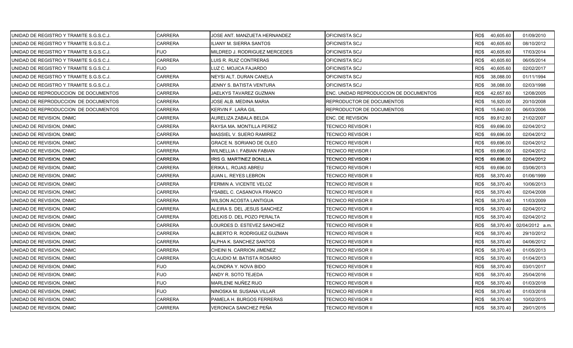| UNIDAD DE REGISTRO Y TRAMITE S.G.S.C.J. | <b>CARRERA</b> | JOSE ANT. MANZUETA HERNANDEZ    | OFICINISTA SCJ                         |      | RD\$40,605.60 | 01/09/2010      |
|-----------------------------------------|----------------|---------------------------------|----------------------------------------|------|---------------|-----------------|
| UNIDAD DE REGISTRO Y TRAMITE S.G.S.C.J. | <b>CARRERA</b> | ILIANY M. SIERRA SANTOS         | OFICINISTA SCJ                         | RD\$ | 40,605.60     | 08/10/2012      |
| UNIDAD DE REGISTRO Y TRAMITE S.G.S.C.J. | <b>FIJO</b>    | MILDRED J. RODRIGUEZ MERCEDES   | OFICINISTA SCJ                         | RD\$ | 40,605.60     | 17/03/2014      |
| UNIDAD DE REGISTRO Y TRAMITE S.G.S.C.J. | <b>CARRERA</b> | LUIS R. RUIZ CONTRERAS          | OFICINISTA SCJ                         | RD\$ | 40,605.60     | 06/05/2014      |
| UNIDAD DE REGISTRO Y TRAMITE S.G.S.C.J. | <b>FIJO</b>    | LUZ C. MOJICA FAJARDO           | OFICINISTA SCJ                         | RD\$ | 40,605.60     | 02/02/2017      |
| UNIDAD DE REGISTRO Y TRAMITE S.G.S.C.J. | <b>CARRERA</b> | NEYSI ALT. DURAN CANELA         | OFICINISTA SCJ                         | RD\$ | 38,088.00     | 01/11/1994      |
| UNIDAD DE REGISTRO Y TRAMITE S.G.S.C.J. | <b>CARRERA</b> | JENNY S. BATISTA VENTURA        | OFICINISTA SCJ                         | RD\$ | 38,088.00     | 02/03/1998      |
| UNIDAD DE REPRODUCCION DE DOCUMENTOS    | CARRERA        | JAELKYS TAVAREZ GUZMAN          | ENC. UNIDAD REPRODUCCION DE DOCUMENTOS | RD\$ | 42,657.60     | 12/08/2005      |
| UNIDAD DE REPRODUCCION DE DOCUMENTOS    | <b>CARRERA</b> | JOSE ALB. MEDINA MARIA          | REPRODUCTOR DE DOCUMENTOS              | RD\$ | 16,920.00     | 20/10/2008      |
| UNIDAD DE REPRODUCCION DE DOCUMENTOS    | <b>CARRERA</b> | KERVIN F. LARA GIL              | REPRODUCTOR DE DOCUMENTOS              | RD\$ | 15,840.00     | 06/03/2006      |
| UNIDAD DE REVISION, DNMC                | <b>CARRERA</b> | AURELIZA ZABALA BELDA           | ENC. DE REVISION                       | RD\$ | 89,812.80     | 21/02/2007      |
| UNIDAD DE REVISION, DNMC                | <b>CARRERA</b> | RAYSA MA. MONTILLA PEREZ        | TECNICO REVISOR I                      | RD\$ | 69,696.00     | 02/04/2012      |
| UNIDAD DE REVISION, DNMC                | <b>CARRERA</b> | MASSIEL V. SUERO RAMIREZ        | TECNICO REVISOR I                      | RD\$ | 69,696.00     | 02/04/2012      |
| UNIDAD DE REVISION, DNMC                | <b>CARRERA</b> | <b>GRACE N. SORIANO DE OLEO</b> | TECNICO REVISOR I                      | RD\$ | 69,696.00     | 02/04/2012      |
| UNIDAD DE REVISION, DNMC                | <b>CARRERA</b> | WILNELLIA I. FABIAN FABIAN      | TECNICO REVISOR I                      | RD\$ | 69,696.00     | 02/04/2012      |
| UNIDAD DE REVISION, DNMC                | CARRERA        | IRIS G. MARTINEZ BONILLA        | TECNICO REVISOR I                      | RD\$ | 69,696.00     | 02/04/2012      |
| UNIDAD DE REVISION, DNMC                | <b>CARRERA</b> | ERIKA L. ROJAS ABREU            | FECNICO REVISOR I                      | RD\$ | 69,696.00     | 03/06/2013      |
| UNIDAD DE REVISION, DNMC                | <b>CARRERA</b> | JUAN L. REYES LEBRON            | TECNICO REVISOR II                     | RD\$ | 58,370.40     | 01/06/1999      |
| UNIDAD DE REVISION, DNMC                | <b>CARRERA</b> | FERMIN A. VICENTE VELOZ         | TECNICO REVISOR II                     | RD\$ | 58,370.40     | 10/06/2013      |
| UNIDAD DE REVISION, DNMC                | <b>CARRERA</b> | YSABEL C. CASANOVA FRANCO       | TECNICO REVISOR II                     | RD\$ | 58,370.40     | 02/04/2008      |
| UNIDAD DE REVISION, DNMC                | <b>CARRERA</b> | WILSON ACOSTA LANTIGUA          | TECNICO REVISOR II                     | RD\$ | 58,370.40     | 11/03/2009      |
| UNIDAD DE REVISION, DNMC                | CARRERA        | ALEIRA S. DEL JESUS SANCHEZ     | TECNICO REVISOR II                     | RD\$ | 58,370.40     | 02/04/2012      |
| UNIDAD DE REVISION, DNMC                | <b>CARRERA</b> | DELKIS D. DEL POZO PERALTA      | TECNICO REVISOR II                     | RD\$ | 58,370.40     | 02/04/2012      |
| UNIDAD DE REVISION, DNMC                | <b>CARRERA</b> | LOURDES D. ESTEVEZ SANCHEZ      | TECNICO REVISOR II                     | RD\$ | 58,370.40     | 02/04/2012 a.m. |
| UNIDAD DE REVISION, DNMC                | <b>CARRERA</b> | ALBERTO R. RODRIGUEZ GUZMAN     | TECNICO REVISOR II                     | RD\$ | 58,370.40     | 29/10/2012      |
| UNIDAD DE REVISION, DNMC                | <b>CARRERA</b> | ALPHA K. SANCHEZ SANTOS         | TECNICO REVISOR II                     | RD\$ | 58,370.40     | 04/06/2012      |
| UNIDAD DE REVISION, DNMC                | CARRERA        | CHEINI N. CARRION JIMENEZ       | FECNICO REVISOR II                     | RD\$ | 58,370.40     | 01/05/2013      |
| UNIDAD DE REVISION, DNMC                | <b>CARRERA</b> | CLAUDIO M. BATISTA ROSARIO      | TECNICO REVISOR II                     | RD\$ | 58,370.40     | 01/04/2013      |
| UNIDAD DE REVISION, DNMC                | <b>FIJO</b>    | ALONDRA Y. NOVA BIDO            | TECNICO REVISOR II                     | RD\$ | 58,370.40     | 03/01/2017      |
| UNIDAD DE REVISION, DNMC                | <b>FIJO</b>    | ANDY R. SOTO TEJEDA             | TECNICO REVISOR II                     | RD\$ | 58,370.40     | 25/04/2016      |
| UNIDAD DE REVISION, DNMC                | <b>FIJO</b>    | MARLENE NUÑEZ RIJO              | TECNICO REVISOR II                     | RD\$ | 58,370.40     | 01/03/2018      |
| UNIDAD DE REVISION, DNMC                | <b>FIJO</b>    | NINOSKA M. SUSANA VILLAR        | FECNICO REVISOR II                     | RD\$ | 58,370.40     | 01/03/2018      |
| UNIDAD DE REVISION, DNMC                | CARRERA        | PAMELA H. BURGOS FERRERAS       | TECNICO REVISOR II                     | RD\$ | 58,370.40     | 10/02/2015      |
| UNIDAD DE REVISION, DNMC                | <b>CARRERA</b> | VERONICA SANCHEZ PEÑA           | <b>TECNICO REVISOR II</b>              | RD\$ | 58,370.40     | 29/01/2015      |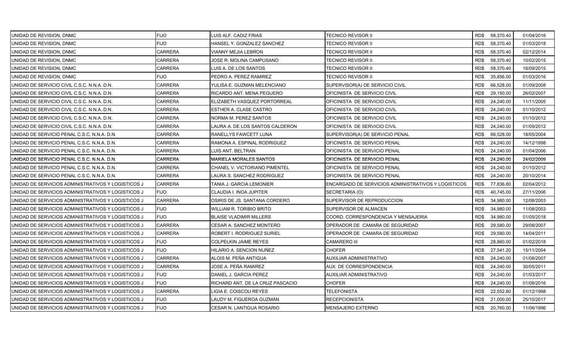| UNIDAD DE REVISION, DNMC                           | <b>FIJO</b>    | LUIS ALF. CADIZ FRIAS             | TECNICO REVISOR II                                  |      | RD\$ 58,370.40 | 01/04/2016 |
|----------------------------------------------------|----------------|-----------------------------------|-----------------------------------------------------|------|----------------|------------|
| UNIDAD DE REVISION, DNMC                           | <b>FIJO</b>    | HANSEL Y. GONZALEZ SANCHEZ        | TECNICO REVISOR II                                  | RD\$ | 58,370.40      | 01/03/2018 |
| UNIDAD DE REVISION, DNMC                           | <b>CARRERA</b> | <b>VIANNY MEJIA LEBRON</b>        | TECNICO REVISOR II                                  | RD\$ | 58,370.40      | 02/12/2014 |
| UNIDAD DE REVISION, DNMC                           | <b>CARRERA</b> | JOSE R. MOLINA CAMPUSANO          | TECNICO REVISOR II                                  | RD\$ | 58,370.40      | 10/02/2015 |
| UNIDAD DE REVISION, DNMC                           | <b>CARRERA</b> | LUIS A. DE LOS SANTOS             | TECNICO REVISOR II                                  | RD\$ | 58,370.40      | 16/09/2015 |
| UNIDAD DE REVISION, DNMC                           | <b>FIJO</b>    | PEDRO A. PEREZ RAMIREZ            | TECNICO REVISOR II                                  | RD\$ | 35,856.00      | 01/03/2016 |
| UNIDAD DE SERVICIO CIVIL C.S.C. N.N.A. D.N.        | <b>CARRERA</b> | YULISA E. GUZMAN MELENCIANO       | SUPERVISOR(A) DE SERVICIO CIVIL                     | RD\$ | 66,528.00      | 01/09/2008 |
| UNIDAD DE SERVICIO CIVIL C.S.C. N.N.A. D.N.        | <b>CARRERA</b> | RICARDO ANT. MENA PEGUERO         | OFICINISTA DE SERVICIO CIVIL                        | RD\$ | 29,150.00      | 26/02/2007 |
| UNIDAD DE SERVICIO CIVIL C.S.C. N.N.A. D.N.        | <b>CARRERA</b> | ELIZABETH VASQUEZ PORTORREAL      | OFICINISTA DE SERVICIO CIVIL                        | RD\$ | 24,240.00      | 11/11/2005 |
| UNIDAD DE SERVICIO CIVIL C.S.C. N.N.A. D.N.        | <b>CARRERA</b> | ESTHER A. CLASE CASTRO            | OFICINISTA DE SERVICIO CIVIL                        | RD\$ | 24,240.00      | 01/10/2012 |
| UNIDAD DE SERVICIO CIVIL C.S.C. N.N.A. D.N.        | CARRERA        | NORMA M. PEREZ SANTOS             | OFICINISTA DE SERVICIO CIVIL                        | RD\$ | 24,240.00      | 01/10/2012 |
| UNIDAD DE SERVICIO CIVIL C.S.C. N.N.A. D.N.        | CARRERA        | LAURA A. DE LOS SANTOS CALDERON   | OFICINISTA DE SERVICIO CIVIL                        | RD\$ | 24,240.00      | 01/09/2012 |
| UNIDAD DE SERVICIO PENAL C.S.C. N.N.A. D.N.        | <b>CARRERA</b> | RANELLYS FAWCETT LUNA             | SUPERVISOR(A) DE SERVICIO PENAL                     | RD\$ | 66,528.00      | 18/05/2004 |
| UNIDAD DE SERVICIO PENAL C.S.C. N.N.A. D.N.        | <b>CARRERA</b> | RAMONA A. ESPINAL RODRIGUEZ       | OFICINISTA DE SERVICIO PENAL                        | RD\$ | 24,240.00      | 14/12/1998 |
| UNIDAD DE SERVICIO PENAL C.S.C. N.N.A. D.N.        | <b>CARRERA</b> | LUIS ANT. BELTRAN                 | OFICINISTA DE SERVICIO PENAL                        | RD\$ | 24,240.00      | 01/04/2006 |
| UNIDAD DE SERVICIO PENAL C.S.C. N.N.A. D.N.        | <b>CARRERA</b> | <b>MARIELA MORALES SANTOS</b>     | OFICINISTA DE SERVICIO PENAL                        | RD\$ | 24,240.00      | 24/02/2009 |
| UNIDAD DE SERVICIO PENAL C.S.C. N.N.A. D.N.        | CARRERA        | CHANEL V. VICTORIANO PIMENTEL     | OFICINISTA DE SERVICIO PENAL                        | RD\$ | 24,240.00      | 01/10/2012 |
| UNIDAD DE SERVICIO PENAL C.S.C. N.N.A. D.N.        | <b>CARRERA</b> | LAURA S. SANCHEZ RODRIGUEZ        | OFICINISTA DE SERVICIO PENAL                        | RD\$ | 24,240.00      | 20/10/2014 |
| UNIDAD DE SERVICIOS ADMINISTRATIVOS Y LOGISTICOS J | <b>CARRERA</b> | TANIA J. GARCIA LEMONIER          | ENCARGADO DE SERVICIOS ADMINISTRATIVOS Y LOGISTICOS | RD\$ | 77,836.80      | 02/04/2012 |
| UNIDAD DE SERVICIOS ADMINISTRATIVOS Y LOGISTICOS J | <b>FIJO</b>    | CLAUDIA I. INOA JUPITER           | SECRETARIA (O)                                      | RD\$ | 40,745.00      | 27/11/2006 |
| UNIDAD DE SERVICIOS ADMINISTRATIVOS Y LOGISTICOS J | <b>CARRERA</b> | OSIRIS DE JS. SANTANA CORDERO     | SUPERVISOR DE REPRODUCCION                          | RD\$ | 34,980.00      | 12/08/2003 |
| UNIDAD DE SERVICIOS ADMINISTRATIVOS Y LOGISTICOS J | <b>FIJO</b>    | WILLIAM R. TORIBIO BRITO          | SUPERVISOR DE ALMACEN                               | RD\$ | 34,980.00      | 11/08/2003 |
| UNIDAD DE SERVICIOS ADMINISTRATIVOS Y LOGISTICOS J | <b>FIJO</b>    | <b>BLAISE VLADIMIR MILLERS</b>    | COORD. CORRESPONDENCIA Y MENSAJERIA                 | RD\$ | 34,980.00      | 01/05/2018 |
| UNIDAD DE SERVICIOS ADMINISTRATIVOS Y LOGISTICOS J | <b>CARRERA</b> | <b>CESAR A. SANCHEZ MONTERO</b>   | OPERADOR DE CAMARA DE SEGURIDAD                     | RD\$ | 29,580.00      | 29/08/2007 |
| UNIDAD DE SERVICIOS ADMINISTRATIVOS Y LOGISTICOS J | <b>CARRERA</b> | <b>ROBERT I. RODRIGUEZ SURIEL</b> | OPERADOR DE CAMARA DE SEGURIDAD                     | RD\$ | 29,580.00      | 14/04/2011 |
| UNIDAD DE SERVICIOS ADMINISTRATIVOS Y LOGISTICOS J | <b>FIJO</b>    | <b>COLPELKIN JAIME REYES</b>      | <b>CAMARERO III</b>                                 | RD\$ | 28,860.00      | 01/02/2018 |
| UNIDAD DE SERVICIOS ADMINISTRATIVOS Y LOGISTICOS J | <b>FIJO</b>    | HILARIO A. SENCION NUÑEZ          | CHOFER                                              | RD\$ | 27,541.20      | 15/11/2004 |
| UNIDAD DE SERVICIOS ADMINISTRATIVOS Y LOGISTICOS J | <b>CARRERA</b> | ALOIS M. PEÑA ANTIGUA             | AUXILIAR ADMINISTRATIVO                             | RD\$ | 24,240.00      | 01/08/2007 |
| UNIDAD DE SERVICIOS ADMINISTRATIVOS Y LOGISTICOS J | <b>CARRERA</b> | JOSE A. PEÑA RAMIREZ              | AUX. DE CORRESPONDENCIA                             | RD\$ | 24,240.00      | 30/05/2011 |
| UNIDAD DE SERVICIOS ADMINISTRATIVOS Y LOGISTICOS J | <b>FIJO</b>    | DANIEL J. GARCIA PEREZ            | AUXILIAR ADMINISTRATIVO                             | RD\$ | 24,240.00      | 01/03/2017 |
| UNIDAD DE SERVICIOS ADMINISTRATIVOS Y LOGISTICOS J | <b>FIJO</b>    | RICHARD ANT. DE LA CRUZ PASCACIO  | <b>CHOFER</b>                                       | RD\$ | 24,240.00      | 01/08/2016 |
| UNIDAD DE SERVICIOS ADMINISTRATIVOS Y LOGISTICOS J | <b>CARRERA</b> | IGIA E. COISCOU REYES             | TELEFONISTA                                         | RD\$ | 22,552.80      | 01/12/1998 |
| UNIDAD DE SERVICIOS ADMINISTRATIVOS Y LOGISTICOS J | <b>FIJO</b>    | LAUDY M. FIGUEROA GUZMÁN          | RECEPCIONISTA                                       | RD\$ | 21,000.00      | 25/10/2017 |
| UNIDAD DE SERVICIOS ADMINISTRATIVOS Y LOGISTICOS J | <b>FIJO</b>    | CESAR N. LANTIGUA ROSARIO         | <b>MENSAJERO EXTERNO</b>                            | RD\$ | 20,760.00      | 11/06/1996 |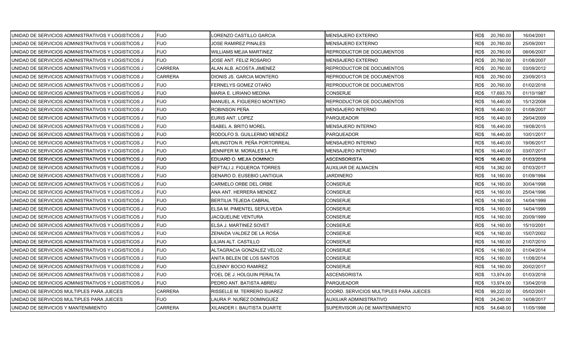| UNIDAD DE SERVICIOS ADMINISTRATIVOS Y LOGISTICOS J | <b>FIJO</b>    | LORENZO CASTILLO GARCIA           | MENSAJERO EXTERNO                      |      | RD\$ 20,760.00 | 16/04/2001 |
|----------------------------------------------------|----------------|-----------------------------------|----------------------------------------|------|----------------|------------|
| UNIDAD DE SERVICIOS ADMINISTRATIVOS Y LOGISTICOS J | <b>FIJO</b>    | JOSE RAMIREZ PINALES              | MENSAJERO EXTERNO                      | RD\$ | 20,760.00      | 25/09/2001 |
| UNIDAD DE SERVICIOS ADMINISTRATIVOS Y LOGISTICOS J | <b>FIJO</b>    | <b>WILLIAMS MEJIA MARTINEZ</b>    | REPRODUCTOR DE DOCUMENTOS              | RD\$ | 20,760.00      | 08/06/2007 |
| UNIDAD DE SERVICIOS ADMINISTRATIVOS Y LOGISTICOS J | <b>FIJO</b>    | JOSE ANT. FELIZ ROSARIO           | MENSAJERO EXTERNO                      | RD\$ | 20,760.00      | 01/08/2007 |
| UNIDAD DE SERVICIOS ADMINISTRATIVOS Y LOGISTICOS J | <b>CARRERA</b> | ALAN ALB. ACOSTA JIMENEZ          | REPRODUCTOR DE DOCUMENTOS              | RD\$ | 20,760.00      | 03/09/2012 |
| UNIDAD DE SERVICIOS ADMINISTRATIVOS Y LOGISTICOS J | <b>CARRERA</b> | DIONIS JS. GARCIA MONTERO         | REPRODUCTOR DE DOCUMENTOS              | RD\$ | 20,760.00      | 23/09/2013 |
| UNIDAD DE SERVICIOS ADMINISTRATIVOS Y LOGISTICOS J | <b>FIJO</b>    | FERNELYS GOMEZ OTAÑO              | REPRODUCTOR DE DOCUMENTOS              | RD\$ | 20,760.00      | 01/02/2018 |
| UNIDAD DE SERVICIOS ADMINISTRATIVOS Y LOGISTICOS J | <b>FIJO</b>    | <b>MARIA E. LIRIANO MEDINA</b>    | CONSERJE                               | RD\$ | 17,693.70      | 01/10/1987 |
| UNIDAD DE SERVICIOS ADMINISTRATIVOS Y LOGISTICOS J | <b>FIJO</b>    | MANUEL A. FIGUEREO MONTERO        | REPRODUCTOR DE DOCUMENTOS              | RD\$ | 16,440.00      | 15/12/2008 |
| UNIDAD DE SERVICIOS ADMINISTRATIVOS Y LOGISTICOS J | <b>FIJO</b>    | ROBINSON PEÑA                     | MENSAJERO INTERNO                      | RD\$ | 16,440.00      | 01/08/2007 |
| UNIDAD DE SERVICIOS ADMINISTRATIVOS Y LOGISTICOS J | <b>FIJO</b>    | EURIS ANT. LOPEZ                  | PARQUEADOR                             | RD\$ | 16,440.00      | 29/04/2009 |
| UNIDAD DE SERVICIOS ADMINISTRATIVOS Y LOGISTICOS J | <b>FIJO</b>    | <b>ISABEL A. BRITO MOREL</b>      | MENSAJERO INTERNO                      | RD\$ | 16,440.00      | 19/08/2015 |
| UNIDAD DE SERVICIOS ADMINISTRATIVOS Y LOGISTICOS J | <b>FIJO</b>    | RODOLFO S. GUILLERMO MENDEZ       | PARQUEADOR                             | RD\$ | 16,440.00      | 10/01/2017 |
| UNIDAD DE SERVICIOS ADMINISTRATIVOS Y LOGISTICOS J | <b>FIJO</b>    | ARLINGTON R. PEÑA PORTORREAL      | MENSAJERO INTERNO                      | RD\$ | 16,440.00      | 19/06/2017 |
| UNIDAD DE SERVICIOS ADMINISTRATIVOS Y LOGISTICOS J | <b>FIJO</b>    | JENNIFER M. MORALES LA PE         | MENSAJERO INTERNO                      | RD\$ | 16,440.00      | 03/07/2017 |
| UNIDAD DE SERVICIOS ADMINISTRATIVOS Y LOGISTICOS J | <b>FIJO</b>    | EDUARD O. MEJIA DOMINICI          | ASCENSORISTA                           | RD\$ | 16,440.00      | 01/03/2018 |
| UNIDAD DE SERVICIOS ADMINISTRATIVOS Y LOGISTICOS J | <b>FIJO</b>    | NEFTALI J. FIGUEROA TORRES        | AUXILIAR DE ALMACEN                    | RD\$ | 14,382.00      | 07/03/2017 |
| UNIDAD DE SERVICIOS ADMINISTRATIVOS Y LOGISTICOS J | <b>FIJO</b>    | <b>GENARO D. EUSEBIO LANTIGUA</b> | <b>JARDINERO</b>                       | RD\$ | 14,160.00      | 01/09/1994 |
| UNIDAD DE SERVICIOS ADMINISTRATIVOS Y LOGISTICOS J | <b>FIJO</b>    | CARMELO ORBE DEL ORBE             | CONSERJE                               | RD\$ | 14,160.00      | 30/04/1998 |
| UNIDAD DE SERVICIOS ADMINISTRATIVOS Y LOGISTICOS J | <b>FIJO</b>    | ANA ANT. HERRERA MENDEZ           | CONSERJE                               | RD\$ | 14,160.00      | 25/04/1996 |
| UNIDAD DE SERVICIOS ADMINISTRATIVOS Y LOGISTICOS J | <b>FIJO</b>    | <b>BERTILIA TEJEDA CABRAL</b>     | CONSERJE                               | RD\$ | 14,160.00      | 14/04/1999 |
| UNIDAD DE SERVICIOS ADMINISTRATIVOS Y LOGISTICOS J | <b>FIJO</b>    | ELSA M. PIMENTEL SEPULVEDA        | CONSERJE                               | RD\$ | 14,160.00      | 14/04/1999 |
| UNIDAD DE SERVICIOS ADMINISTRATIVOS Y LOGISTICOS J | <b>FIJO</b>    | JACQUELINE VENTURA                | CONSERJE                               | RD\$ | 14,160.00      | 20/09/1999 |
| UNIDAD DE SERVICIOS ADMINISTRATIVOS Y LOGISTICOS J | <b>FIJO</b>    | ELSA J. MARTINEZ SOVET            | <b>CONSERJE</b>                        | RD\$ | 14,160.00      | 15/10/2001 |
| UNIDAD DE SERVICIOS ADMINISTRATIVOS Y LOGISTICOS J | <b>FIJO</b>    | ZENAIDA VALDEZ DE LA ROSA         | <b>CONSERJE</b>                        | RD\$ | 14,160.00      | 15/07/2002 |
| UNIDAD DE SERVICIOS ADMINISTRATIVOS Y LOGISTICOS J | <b>FIJO</b>    | LILIAN ALT. CASTILLO              | CONSERJE                               | RD\$ | 14,160.00      | 21/07/2010 |
| UNIDAD DE SERVICIOS ADMINISTRATIVOS Y LOGISTICOS J | <b>FIJO</b>    | ALTAGRACIA GONZALEZ VELOZ         | CONSERJE                               | RD\$ | 14,160.00      | 01/04/2014 |
| UNIDAD DE SERVICIOS ADMINISTRATIVOS Y LOGISTICOS J | <b>FIJO</b>    | ANITA BELEN DE LOS SANTOS         | CONSERJE                               | RD\$ | 14,160.00      | 11/08/2014 |
| UNIDAD DE SERVICIOS ADMINISTRATIVOS Y LOGISTICOS J | <b>FIJO</b>    | <b>CLENNY BOCIO RAMIREZ</b>       | CONSERJE                               | RD\$ | 14,160.00      | 20/02/2017 |
| UNIDAD DE SERVICIOS ADMINISTRATIVOS Y LOGISTICOS J | <b>FIJO</b>    | YOEL DE J. HOLGUIN PERALTA        | ASCENSORISTA                           | RD\$ | 13,974.00      | 01/03/2018 |
| UNIDAD DE SERVICIOS ADMINISTRATIVOS Y LOGISTICOS J | <b>FIJO</b>    | PEDRO ANT. BATISTA ABREU          | <b>PARQUEADOR</b>                      | RD\$ | 13,974.00      | 13/04/2018 |
| UNIDAD DE SERVICIOS MULTIPLES PARA JUECES          | <b>CARRERA</b> | RISSELLE M. TERRERO SUAREZ        | COORD. SERVICIOS MULTIPLES PARA JUECES | RD\$ | 99,222.00      | 05/02/2001 |
| UNIDAD DE SERVICIOS MULTIPLES PARA JUECES          | <b>FIJO</b>    | LAURA P. NUÑEZ DOMINGUEZ          | AUXILIAR ADMINISTRATIVO                | RD\$ | 24,240.00      | 14/08/2017 |
| UNIDAD DE SERVICIOS Y MANTENIMIENTO                | <b>CARRERA</b> | XILANDER I. BAUTISTA DUARTE       | SUPERVISOR (A) DE MANTENIMIENTO        | RD\$ | 54,648.00      | 11/05/1998 |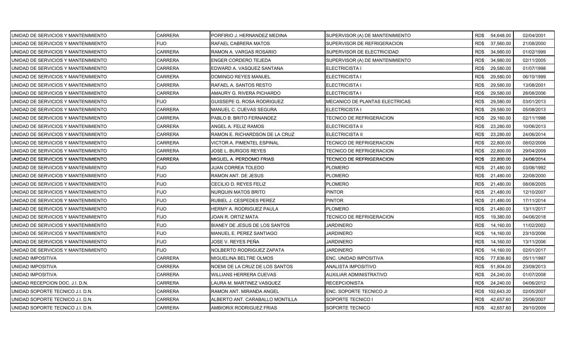| UNIDAD DE SERVICIOS Y MANTENIMIENTO | <b>CARRERA</b> | PORFIRIO J. HERNANDEZ MEDINA      | SUPERVISOR (A) DE MANTENIMIENTO       | RD\$ 54,648.00    | 02/04/2001 |
|-------------------------------------|----------------|-----------------------------------|---------------------------------------|-------------------|------------|
| UNIDAD DE SERVICIOS Y MANTENIMIENTO | <b>FIJO</b>    | RAFAEL CABRERA MATOS              | SUPERVISOR DE REFRIGERACION           | RD\$<br>37,560.00 | 21/08/2000 |
| UNIDAD DE SERVICIOS Y MANTENIMIENTO | <b>CARRERA</b> | RAMON A. VARGAS ROSARIO           | SUPERVISOR DE ELECTRICIDAD            | RD\$<br>34,980.00 | 01/02/1999 |
| UNIDAD DE SERVICIOS Y MANTENIMIENTO | <b>CARRERA</b> | <b>ENGER CORDERO TEJEDA</b>       | SUPERVISOR (A) DE MANTENIMIENTO       | RD\$<br>34,980.00 | 02/11/2005 |
| UNIDAD DE SERVICIOS Y MANTENIMIENTO | CARRERA        | EDWARD A. VASQUEZ SANTANA         | ELECTRICISTA I                        | RD\$<br>29,580.00 | 01/07/1998 |
| UNIDAD DE SERVICIOS Y MANTENIMIENTO | CARRERA        | DOMINGO REYES MANUEL              | <b>ELECTRICISTA I</b>                 | 29,580.00<br>RD\$ | 06/10/1999 |
| UNIDAD DE SERVICIOS Y MANTENIMIENTO | <b>CARRERA</b> | RAFAEL A. SANTOS RESTO            | ELECTRICISTA I                        | RD\$<br>29,580.00 | 13/08/2001 |
| UNIDAD DE SERVICIOS Y MANTENIMIENTO | <b>CARRERA</b> | AMAURY G. RIVERA PICHARDO         | <b>ELECTRICISTA I</b>                 | RD\$<br>29,580.00 | 28/08/2006 |
| UNIDAD DE SERVICIOS Y MANTENIMIENTO | <b>FIJO</b>    | <b>GUISSEPE G. ROSA RODRIGUEZ</b> | <b>MECANICO DE PLANTAS ELECTRICAS</b> | RD\$<br>29,580.00 | 03/01/2013 |
| UNIDAD DE SERVICIOS Y MANTENIMIENTO | <b>CARRERA</b> | MANUEL C. CUEVAS SEGURA           | ELECTRICISTA I                        | RD\$<br>29,580.00 | 05/08/2013 |
| UNIDAD DE SERVICIOS Y MANTENIMIENTO | CARRERA        | PABLO B. BRITO FERNANDEZ          | TECNICO DE REFRIGERACION              | RD\$<br>29,160.00 | 02/11/1998 |
| UNIDAD DE SERVICIOS Y MANTENIMIENTO | <b>CARRERA</b> | ANGEL A. FELIZ RAMOS              | <b>ELECTRICISTA II</b>                | RD\$<br>23,280.00 | 10/06/2013 |
| UNIDAD DE SERVICIOS Y MANTENIMIENTO | <b>CARRERA</b> | RAMON E. RICHARDSON DE LA CRUZ    | <b>ELECTRICISTA II</b>                | 23,280.00<br>RD\$ | 24/06/2014 |
| UNIDAD DE SERVICIOS Y MANTENIMIENTO | CARRERA        | VICTOR A. PIMENTEL ESPINAL        | TECNICO DE REFRIGERACION              | RD\$<br>22,800.00 | 08/02/2006 |
| UNIDAD DE SERVICIOS Y MANTENIMIENTO | <b>CARRERA</b> | JOSE L. BURGOS REYES              | TECNICO DE REFRIGERACION              | RD\$<br>22,800.00 | 29/04/2009 |
| UNIDAD DE SERVICIOS Y MANTENIMIENTO | CARRERA        | MIGUEL A. PERDOMO FRIAS           | TECNICO DE REFRIGERACION              | RD\$<br>22,800.00 | 24/06/2014 |
| UNIDAD DE SERVICIOS Y MANTENIMIENTO | <b>FIJO</b>    | JUAN CORREA TOLEDO                | PLOMERO                               | RD\$<br>21,480.00 | 03/06/1992 |
| UNIDAD DE SERVICIOS Y MANTENIMIENTO | <b>FIJO</b>    | RAMON ANT. DE JESUS               | <b>PLOMERO</b>                        | RD\$<br>21,480.00 | 22/08/2000 |
| UNIDAD DE SERVICIOS Y MANTENIMIENTO | <b>FIJO</b>    | CECILIO D. REYES FELIZ            | <b>PLOMERO</b>                        | RD\$<br>21,480.00 | 08/08/2005 |
| UNIDAD DE SERVICIOS Y MANTENIMIENTO | <b>FIJO</b>    | <b>NURQUIN MATOS BRITO</b>        | <b>PINTOR</b>                         | RD\$<br>21,480.00 | 12/10/2007 |
| UNIDAD DE SERVICIOS Y MANTENIMIENTO | <b>FIJO</b>    | RUBIEL J. CESPEDES PEREZ          | <b>PINTOR</b>                         | 21,480.00<br>RD\$ | 17/11/2014 |
| UNIDAD DE SERVICIOS Y MANTENIMIENTO | <b>FIJO</b>    | HERMY A. RODRIGUEZ PAULA          | PLOMERO                               | 21,480.00<br>RD\$ | 13/11/2017 |
| UNIDAD DE SERVICIOS Y MANTENIMIENTO | <b>FIJO</b>    | JOAN R. ORTIZ MATA                | <b>TECNICO DE REFRIGERACION</b>       | RD\$<br>19,380.00 | 04/06/2018 |
| UNIDAD DE SERVICIOS Y MANTENIMIENTO | <b>FIJO</b>    | BIANEY DE JESUS DE LOS SANTOS     | <b>JARDINERO</b>                      | 14,160.00<br>RD\$ | 11/02/2002 |
| UNIDAD DE SERVICIOS Y MANTENIMIENTO | <b>FIJO</b>    | MANUEL E. PEREZ SANTIAGO          | <b>JARDINERO</b>                      | RD\$<br>14,160.00 | 23/10/2006 |
| UNIDAD DE SERVICIOS Y MANTENIMIENTO | <b>FIJO</b>    | JOSE V. REYES PEÑA                | JARDINERO                             | 14,160.00<br>RD\$ | 13/11/2006 |
| UNIDAD DE SERVICIOS Y MANTENIMIENTO | <b>FIJO</b>    | NOLBERTO RODRIGUEZ ZAPATA         | <b>JARDINERO</b>                      | RD\$<br>14,160.00 | 02/01/2017 |
| UNIDAD IMPOSITIVA                   | <b>CARRERA</b> | MIGUELINA BELTRE OLMOS            | ENC. UNIDAD IMPOSITIVA                | RD\$<br>77,836.80 | 05/11/1997 |
| UNIDAD IMPOSITIVA                   | <b>CARRERA</b> | NOEMI DE LA CRUZ DE LOS SANTOS    | ANALISTA IMPOSITIVO                   | RD\$<br>51,804.00 | 23/09/2013 |
| UNIDAD IMPOSITIVA                   | CARRERA        | WILLIANS HERRERA CUEVAS           | AUXILIAR ADMINISTRATIVO               | RD\$<br>24,240.00 | 01/07/2008 |
| UNIDAD RECEPCION DOC. J.I. D.N.     | CARRERA        | LAURA M. MARTINEZ VASQUEZ         | <b>RECEPCIONISTA</b>                  | RD\$<br>24,240.00 | 04/06/2012 |
| UNIDAD SOPORTE TECNICO J.I. D.N.    | CARRERA        | RAMON ANT. MIRANDA ANGEL          | ENC. SOPORTE TECNICO JI               | RD\$ 102,643.20   | 02/05/2007 |
| UNIDAD SOPORTE TECNICO J.I. D.N.    | CARRERA        | ALBERTO ANT. CARABALLO MONTILLA   | SOPORTE TECNICO I                     | 42,657.60<br>RD\$ | 25/06/2007 |
| UNIDAD SOPORTE TECNICO J.I. D.N.    | <b>CARRERA</b> | AMBIORIX RODRIGUEZ FRIAS          | SOPORTE TECNICO                       | RD\$<br>42,657.60 | 29/10/2009 |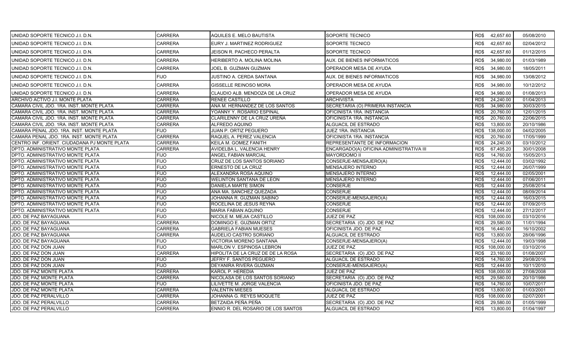| <b>CARRERA</b><br>RD\$<br>42,657.60<br>UNIDAD SOPORTE TECNICO J.I. D.N.<br>EURY J. MARTINEZ RODRIGUEZ<br>SOPORTE TECNICO<br><b>CARRERA</b><br>SOPORTE TECNICO<br>RD\$<br>42,657.60<br>UNIDAD SOPORTE TECNICO J.I. D.N.<br><b>JEISON R. PACHECO PERALTA</b><br>01/12/2015<br><b>CARRERA</b><br>AUX. DE BIENES INFORMATICOS<br>RD\$<br>34,980.00<br>UNIDAD SOPORTE TECNICO J.I. D.N.<br><b>HERIBERTO A. MOLINA MOLINA</b><br>01/03/1989<br><b>CARRERA</b><br>RD\$<br>34,980.00<br>UNIDAD SOPORTE TECNICO J.I. D.N.<br>JOEL B. GUZMAN GUZMAN<br>OPERADOR MESA DE AYUDA<br>18/05/2011<br><b>FIJO</b><br>RD\$<br>34,980.00<br>JUSTINO A. CERDA SANTANA<br>AUX. DE BIENES INFORMATICOS<br>UNIDAD SOPORTE TECNICO J.I. D.N.<br><b>CARRERA</b><br><b>GISSELLE REINOSO MORA</b><br>OPERADOR MESA DE AYUDA<br>RD\$<br>34,980.00<br>UNIDAD SOPORTE TECNICO J.I. D.N.<br><b>CARRERA</b><br>34,980.00<br>UNIDAD SOPORTE TECNICO J.I. D.N.<br>CLAUDIO ALB. MENDOZA DE LA CRUZ<br>OPERADOR MESA DE AYUDA<br>RD\$<br>01/08/2013<br><b>CARRERA</b><br>ARCHIVO ACTIVO J.I. MONTE PLATA<br><b>RENEE CASTILLO</b><br><b>ARCHIVISTA</b><br>RD\$<br>24,240.00<br>01/04/2013<br><b>CARRERA</b><br>CAMARA CIVIL JDO. 1RA. INST. MONTE PLATA<br>ANA M. HERNANDEZ DE LOS SANTOS<br>SECRETARIA (O) PRIMERA INSTANCIA<br>RD\$<br>34,980.00<br>30/03/2015<br><b>CARRERA</b><br>YOANNY Y. ROSARIO ESPINAL<br>OFICINISTA 1RA. INSTANCIA<br>20,760.00<br>12/01/2015<br>CAMARA CIVIL JDO. 1RA. INST. MONTE PLATA<br>RD\$<br><b>CARRERA</b><br>RD\$<br>20,760.00<br>22/06/2015<br>CAMARA CIVIL JDO. 1RA. INST. MONTE PLATA<br>CLARILENNY DE LA CRUZ UREÑA<br>OFICINISTA 1RA. INSTANCIA<br>CAMARA CIVIL JDO. 1RA. INST. MONTE PLATA<br><b>CARRERA</b><br>ALFREDO AQUINO<br>ALGUACIL DE ESTRADO<br>13,800.00<br>20/10/1986<br>RD\$<br>CAMARA PENAL JDO. 1RA. INST. MONTE PLATA<br><b>FIJO</b><br><b>JUAN P. ORTIZ PEGUERO</b><br><b>JUEZ 1RA. INSTANCIA</b><br>RD\$<br>138,000.00 | 05/08/2010 |
|-----------------------------------------------------------------------------------------------------------------------------------------------------------------------------------------------------------------------------------------------------------------------------------------------------------------------------------------------------------------------------------------------------------------------------------------------------------------------------------------------------------------------------------------------------------------------------------------------------------------------------------------------------------------------------------------------------------------------------------------------------------------------------------------------------------------------------------------------------------------------------------------------------------------------------------------------------------------------------------------------------------------------------------------------------------------------------------------------------------------------------------------------------------------------------------------------------------------------------------------------------------------------------------------------------------------------------------------------------------------------------------------------------------------------------------------------------------------------------------------------------------------------------------------------------------------------------------------------------------------------------------------------------------------------------------------------------------------------------------------------------------------------------------------------------------------------------------------------------------------------------------------------------------------------------------------------|------------|
|                                                                                                                                                                                                                                                                                                                                                                                                                                                                                                                                                                                                                                                                                                                                                                                                                                                                                                                                                                                                                                                                                                                                                                                                                                                                                                                                                                                                                                                                                                                                                                                                                                                                                                                                                                                                                                                                                                                                               | 02/04/2012 |
|                                                                                                                                                                                                                                                                                                                                                                                                                                                                                                                                                                                                                                                                                                                                                                                                                                                                                                                                                                                                                                                                                                                                                                                                                                                                                                                                                                                                                                                                                                                                                                                                                                                                                                                                                                                                                                                                                                                                               |            |
|                                                                                                                                                                                                                                                                                                                                                                                                                                                                                                                                                                                                                                                                                                                                                                                                                                                                                                                                                                                                                                                                                                                                                                                                                                                                                                                                                                                                                                                                                                                                                                                                                                                                                                                                                                                                                                                                                                                                               |            |
|                                                                                                                                                                                                                                                                                                                                                                                                                                                                                                                                                                                                                                                                                                                                                                                                                                                                                                                                                                                                                                                                                                                                                                                                                                                                                                                                                                                                                                                                                                                                                                                                                                                                                                                                                                                                                                                                                                                                               |            |
|                                                                                                                                                                                                                                                                                                                                                                                                                                                                                                                                                                                                                                                                                                                                                                                                                                                                                                                                                                                                                                                                                                                                                                                                                                                                                                                                                                                                                                                                                                                                                                                                                                                                                                                                                                                                                                                                                                                                               | 13/08/2012 |
|                                                                                                                                                                                                                                                                                                                                                                                                                                                                                                                                                                                                                                                                                                                                                                                                                                                                                                                                                                                                                                                                                                                                                                                                                                                                                                                                                                                                                                                                                                                                                                                                                                                                                                                                                                                                                                                                                                                                               | 10/12/2012 |
|                                                                                                                                                                                                                                                                                                                                                                                                                                                                                                                                                                                                                                                                                                                                                                                                                                                                                                                                                                                                                                                                                                                                                                                                                                                                                                                                                                                                                                                                                                                                                                                                                                                                                                                                                                                                                                                                                                                                               |            |
|                                                                                                                                                                                                                                                                                                                                                                                                                                                                                                                                                                                                                                                                                                                                                                                                                                                                                                                                                                                                                                                                                                                                                                                                                                                                                                                                                                                                                                                                                                                                                                                                                                                                                                                                                                                                                                                                                                                                               |            |
|                                                                                                                                                                                                                                                                                                                                                                                                                                                                                                                                                                                                                                                                                                                                                                                                                                                                                                                                                                                                                                                                                                                                                                                                                                                                                                                                                                                                                                                                                                                                                                                                                                                                                                                                                                                                                                                                                                                                               |            |
|                                                                                                                                                                                                                                                                                                                                                                                                                                                                                                                                                                                                                                                                                                                                                                                                                                                                                                                                                                                                                                                                                                                                                                                                                                                                                                                                                                                                                                                                                                                                                                                                                                                                                                                                                                                                                                                                                                                                               |            |
|                                                                                                                                                                                                                                                                                                                                                                                                                                                                                                                                                                                                                                                                                                                                                                                                                                                                                                                                                                                                                                                                                                                                                                                                                                                                                                                                                                                                                                                                                                                                                                                                                                                                                                                                                                                                                                                                                                                                               |            |
|                                                                                                                                                                                                                                                                                                                                                                                                                                                                                                                                                                                                                                                                                                                                                                                                                                                                                                                                                                                                                                                                                                                                                                                                                                                                                                                                                                                                                                                                                                                                                                                                                                                                                                                                                                                                                                                                                                                                               |            |
|                                                                                                                                                                                                                                                                                                                                                                                                                                                                                                                                                                                                                                                                                                                                                                                                                                                                                                                                                                                                                                                                                                                                                                                                                                                                                                                                                                                                                                                                                                                                                                                                                                                                                                                                                                                                                                                                                                                                               | 04/02/2005 |
| <b>CARRERA</b><br>20,760.00<br>CAMARA PENAL JDO. 1RA. INST. MONTE PLATA<br>RAQUEL A. PEREZ VALENCIA<br>OFICINISTA 1RA. INSTANCIA<br>RD\$                                                                                                                                                                                                                                                                                                                                                                                                                                                                                                                                                                                                                                                                                                                                                                                                                                                                                                                                                                                                                                                                                                                                                                                                                                                                                                                                                                                                                                                                                                                                                                                                                                                                                                                                                                                                      | 17/05/1999 |
| <b>CARRERA</b><br>CENTRO INF. ORIENT. CIUDADANA PJ MONTE PLATA<br>KEILA M. GOMEZ FANITH<br>REPRESENTANTE DE INFORMACION<br>RD\$<br>24,240.00<br>03/10/2012                                                                                                                                                                                                                                                                                                                                                                                                                                                                                                                                                                                                                                                                                                                                                                                                                                                                                                                                                                                                                                                                                                                                                                                                                                                                                                                                                                                                                                                                                                                                                                                                                                                                                                                                                                                    |            |
| <b>CARRERA</b><br>DPTO. ADMINISTRATIVO MONTE PLATA<br>AVIDELBA L. VALENCIA HENRY<br>ENCARGADO(A) OFICINA ADMINISTRATIVA III<br>RD\$<br>67.405.20<br>30/01/2008                                                                                                                                                                                                                                                                                                                                                                                                                                                                                                                                                                                                                                                                                                                                                                                                                                                                                                                                                                                                                                                                                                                                                                                                                                                                                                                                                                                                                                                                                                                                                                                                                                                                                                                                                                                |            |
| DPTO. ADMINISTRATIVO MONTE PLATA<br><b>FIJO</b><br>ANGEL FABIAN MARCIAL<br><b>MAYORDOMO II</b><br>RD\$<br>14,760.00                                                                                                                                                                                                                                                                                                                                                                                                                                                                                                                                                                                                                                                                                                                                                                                                                                                                                                                                                                                                                                                                                                                                                                                                                                                                                                                                                                                                                                                                                                                                                                                                                                                                                                                                                                                                                           | 15/05/2013 |
| <b>FIJO</b><br>CRUZ DE LOS SANTOS SORIANO<br>CONSERJE-MENSAJERO(A)<br>RD\$<br>12,444.00<br><b>DPTO. ADMINISTRATIVO MONTE PLATA</b>                                                                                                                                                                                                                                                                                                                                                                                                                                                                                                                                                                                                                                                                                                                                                                                                                                                                                                                                                                                                                                                                                                                                                                                                                                                                                                                                                                                                                                                                                                                                                                                                                                                                                                                                                                                                            | 03/02/1992 |
| 26/07/1999<br><b>FIJO</b><br><b>MENSAJERO INTERNO</b><br>RD\$<br>12,444.00<br>DPTO. ADMINISTRATIVO MONTE PLATA<br>ERNESTO DE LA CRUZ                                                                                                                                                                                                                                                                                                                                                                                                                                                                                                                                                                                                                                                                                                                                                                                                                                                                                                                                                                                                                                                                                                                                                                                                                                                                                                                                                                                                                                                                                                                                                                                                                                                                                                                                                                                                          |            |
| <b>FIJO</b><br>12,444.00<br>02/05/2001<br>DPTO. ADMINISTRATIVO MONTE PLATA<br>ALEXANDRA ROSA AQUINO<br>MENSAJERO INTERNO<br>RD\$                                                                                                                                                                                                                                                                                                                                                                                                                                                                                                                                                                                                                                                                                                                                                                                                                                                                                                                                                                                                                                                                                                                                                                                                                                                                                                                                                                                                                                                                                                                                                                                                                                                                                                                                                                                                              |            |
| <b>FIJO</b><br>RD\$<br>07/06/2011<br>DPTO. ADMINISTRATIVO MONTE PLATA<br><b>WELINTON SANTANA DE LEON</b><br><b>MENSAJERO INTERNO</b><br>12,444.00                                                                                                                                                                                                                                                                                                                                                                                                                                                                                                                                                                                                                                                                                                                                                                                                                                                                                                                                                                                                                                                                                                                                                                                                                                                                                                                                                                                                                                                                                                                                                                                                                                                                                                                                                                                             |            |
| <b>FIJO</b><br><b>CONSERJE</b><br>12,444.00<br>25/08/2014<br>DPTO. ADMINISTRATIVO MONTE PLATA<br>DANIELA MARTE SIMON<br>RD\$                                                                                                                                                                                                                                                                                                                                                                                                                                                                                                                                                                                                                                                                                                                                                                                                                                                                                                                                                                                                                                                                                                                                                                                                                                                                                                                                                                                                                                                                                                                                                                                                                                                                                                                                                                                                                  |            |
| <b>FIJO</b><br><b>CONSERJE</b><br>08/09/2014<br>DPTO. ADMINISTRATIVO MONTE PLATA<br>ANA MA. SANCHEZ QUEZADA<br>RD\$<br>12,444.00                                                                                                                                                                                                                                                                                                                                                                                                                                                                                                                                                                                                                                                                                                                                                                                                                                                                                                                                                                                                                                                                                                                                                                                                                                                                                                                                                                                                                                                                                                                                                                                                                                                                                                                                                                                                              |            |
| <b>FIJO</b><br>CONSERJE-MENSAJERO(A)<br>DPTO. ADMINISTRATIVO MONTE PLATA<br>JOHANNA R. GUZMAN SABINO<br>RD\$<br>12,444.00                                                                                                                                                                                                                                                                                                                                                                                                                                                                                                                                                                                                                                                                                                                                                                                                                                                                                                                                                                                                                                                                                                                                                                                                                                                                                                                                                                                                                                                                                                                                                                                                                                                                                                                                                                                                                     | 16/03/2015 |
| <b>FIJO</b><br><b>CONSERJE</b><br>RD\$<br>12,444.00<br>07/09/2015<br>DPTO. ADMINISTRATIVO MONTE PLATA<br>ROCELINA DE JESUS REYNA                                                                                                                                                                                                                                                                                                                                                                                                                                                                                                                                                                                                                                                                                                                                                                                                                                                                                                                                                                                                                                                                                                                                                                                                                                                                                                                                                                                                                                                                                                                                                                                                                                                                                                                                                                                                              |            |
| <b>FIJO</b><br><b>CONSERJE</b><br>12.444.00<br>27/12/2017<br>DPTO. ADMINISTRATIVO MONTE PLATA<br><b>MARIA FABIAN AQUINO</b><br>RD\$                                                                                                                                                                                                                                                                                                                                                                                                                                                                                                                                                                                                                                                                                                                                                                                                                                                                                                                                                                                                                                                                                                                                                                                                                                                                                                                                                                                                                                                                                                                                                                                                                                                                                                                                                                                                           |            |
| JDO. DE PAZ BAYAGUANA<br><b>FIJO</b><br>NICOLE M. MEJIA CASTILLO<br><b>JUEZ DE PAZ</b><br>RD\$<br>108,000.00<br>03/10/2016                                                                                                                                                                                                                                                                                                                                                                                                                                                                                                                                                                                                                                                                                                                                                                                                                                                                                                                                                                                                                                                                                                                                                                                                                                                                                                                                                                                                                                                                                                                                                                                                                                                                                                                                                                                                                    |            |
| <b>CARRERA</b><br>29,580.00<br>JDO. DE PAZ BAYAGUANA<br>DOMINGO E. GUZMAN ORTIZ<br>SECRETARIA (O) JDO. DE PAZ<br>RD\$<br>11/01/1994                                                                                                                                                                                                                                                                                                                                                                                                                                                                                                                                                                                                                                                                                                                                                                                                                                                                                                                                                                                                                                                                                                                                                                                                                                                                                                                                                                                                                                                                                                                                                                                                                                                                                                                                                                                                           |            |
| JDO. DE PAZ BAYAGUANA<br><b>CARRERA</b><br>RD\$<br>GABRIELA FABIAN MUESES<br>OFICINISTA JDO. DE PAZ<br>16,440.00                                                                                                                                                                                                                                                                                                                                                                                                                                                                                                                                                                                                                                                                                                                                                                                                                                                                                                                                                                                                                                                                                                                                                                                                                                                                                                                                                                                                                                                                                                                                                                                                                                                                                                                                                                                                                              | 16/10/2002 |
| <b>CARRERA</b><br>13,800.00<br>28/06/1996<br>JDO. DE PAZ BAYAGUANA<br>AUDELIO CASTRO SORIANO<br>ALGUACIL DE ESTRADO<br>RD\$                                                                                                                                                                                                                                                                                                                                                                                                                                                                                                                                                                                                                                                                                                                                                                                                                                                                                                                                                                                                                                                                                                                                                                                                                                                                                                                                                                                                                                                                                                                                                                                                                                                                                                                                                                                                                   |            |
| <b>FIJO</b><br>RD\$<br>12,444.00<br>19/03/1998<br>JDO. DE PAZ BAYAGUANA<br>VICTORIA MORENO SANTANA<br>CONSERJE-MENSAJERO(A)                                                                                                                                                                                                                                                                                                                                                                                                                                                                                                                                                                                                                                                                                                                                                                                                                                                                                                                                                                                                                                                                                                                                                                                                                                                                                                                                                                                                                                                                                                                                                                                                                                                                                                                                                                                                                   |            |
| <b>FIJO</b><br>108,000.00<br>JDO. DE PAZ DON JUAN<br>MARLON V. ESPINOSA LEBRON<br>JUEZ DE PAZ<br>RD\$<br>03/10/2016                                                                                                                                                                                                                                                                                                                                                                                                                                                                                                                                                                                                                                                                                                                                                                                                                                                                                                                                                                                                                                                                                                                                                                                                                                                                                                                                                                                                                                                                                                                                                                                                                                                                                                                                                                                                                           |            |
| <b>CARRERA</b><br>JDO. DE PAZ DON JUAN<br>HIPOLITA DE LA CRUZ DE DE LA ROSA<br>SECRETARIA (O) JDO. DE PAZ<br>RD\$<br>23,160.00<br>01/08/2007                                                                                                                                                                                                                                                                                                                                                                                                                                                                                                                                                                                                                                                                                                                                                                                                                                                                                                                                                                                                                                                                                                                                                                                                                                                                                                                                                                                                                                                                                                                                                                                                                                                                                                                                                                                                  |            |
| <b>FIJO</b><br>29/08/2016<br>JDO. DE PAZ DON JUAN<br>JEFRY F. SANTOS PEGUERO<br>RD\$<br>14,760.00<br>ALGUACIL DE ESTRADO                                                                                                                                                                                                                                                                                                                                                                                                                                                                                                                                                                                                                                                                                                                                                                                                                                                                                                                                                                                                                                                                                                                                                                                                                                                                                                                                                                                                                                                                                                                                                                                                                                                                                                                                                                                                                      |            |
| <b>FIJO</b><br>RD\$<br>12.444.00<br>10/11/2010<br>JDO. DE PAZ DON JUAN<br>DEYANIRA RIVERA GUZMAN<br>CONSERJE-MENSAJERO(A)                                                                                                                                                                                                                                                                                                                                                                                                                                                                                                                                                                                                                                                                                                                                                                                                                                                                                                                                                                                                                                                                                                                                                                                                                                                                                                                                                                                                                                                                                                                                                                                                                                                                                                                                                                                                                     |            |
| <b>CARRERA</b><br>108.000.00<br><b>JDO. DE PAZ MONTE PLATA</b><br>KAROL P. HEREDIA<br>JUEZ DE PAZ<br>RD\$<br>27/08/2008                                                                                                                                                                                                                                                                                                                                                                                                                                                                                                                                                                                                                                                                                                                                                                                                                                                                                                                                                                                                                                                                                                                                                                                                                                                                                                                                                                                                                                                                                                                                                                                                                                                                                                                                                                                                                       |            |
| JDO. DE PAZ MONTE PLATA<br><b>CARRERA</b><br>NICOLASA DE LOS SANTOS SORIANO<br>SECRETARIA (O) JDO. DE PAZ<br>RD\$<br>29,580.00<br>20/10/1986                                                                                                                                                                                                                                                                                                                                                                                                                                                                                                                                                                                                                                                                                                                                                                                                                                                                                                                                                                                                                                                                                                                                                                                                                                                                                                                                                                                                                                                                                                                                                                                                                                                                                                                                                                                                  |            |
| <b>FIJO</b><br>10/07/2017<br>JDO. DE PAZ MONTE PLATA<br>LILIVETTE M. JORGE VALENCIA<br>OFICINISTA JDO. DE PAZ<br>RD\$<br>14,760.00                                                                                                                                                                                                                                                                                                                                                                                                                                                                                                                                                                                                                                                                                                                                                                                                                                                                                                                                                                                                                                                                                                                                                                                                                                                                                                                                                                                                                                                                                                                                                                                                                                                                                                                                                                                                            |            |
| <b>CARRERA</b><br>JDO. DE PAZ MONTE PLATA<br><b>VALENTIN MIESES</b><br>ALGUACIL DE ESTRADO<br>RD\$<br>13,800.00<br>01/03/2001                                                                                                                                                                                                                                                                                                                                                                                                                                                                                                                                                                                                                                                                                                                                                                                                                                                                                                                                                                                                                                                                                                                                                                                                                                                                                                                                                                                                                                                                                                                                                                                                                                                                                                                                                                                                                 |            |
| <b>CARRERA</b><br><b>JDO. DE PAZ PERALVILLO</b><br>JOHANNA G. REYES MOQUETE<br>JUEZ DE PAZ<br>RD\$<br>108,000.00<br>02/07/2001                                                                                                                                                                                                                                                                                                                                                                                                                                                                                                                                                                                                                                                                                                                                                                                                                                                                                                                                                                                                                                                                                                                                                                                                                                                                                                                                                                                                                                                                                                                                                                                                                                                                                                                                                                                                                |            |
| <b>CARRERA</b><br>JDO. DE PAZ PERALVILLO<br>BETZAIDA PEÑA PEÑA<br>SECRETARIA (O) JDO. DE PAZ<br>RD\$<br>29,580.00<br>01/05/1999                                                                                                                                                                                                                                                                                                                                                                                                                                                                                                                                                                                                                                                                                                                                                                                                                                                                                                                                                                                                                                                                                                                                                                                                                                                                                                                                                                                                                                                                                                                                                                                                                                                                                                                                                                                                               |            |
| JDO. DE PAZ PERALVILLO<br><b>CARRERA</b><br>ENNIO R. DEL ROSARIO DE LOS SANTOS<br>ALGUACIL DE ESTRADO<br>RD\$<br>13,800.00<br>01/04/1997                                                                                                                                                                                                                                                                                                                                                                                                                                                                                                                                                                                                                                                                                                                                                                                                                                                                                                                                                                                                                                                                                                                                                                                                                                                                                                                                                                                                                                                                                                                                                                                                                                                                                                                                                                                                      |            |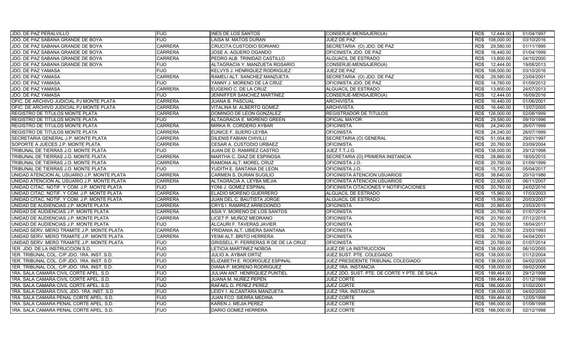| JDO. DE PAZ PERALVILLO                       | <b>FIJO</b>    | <b>INES DE LOS SANTOS</b>            | CONSERJE-MENSAJERO(A)                        | RD\$<br>12,444.00  | 01/04/1997 |
|----------------------------------------------|----------------|--------------------------------------|----------------------------------------------|--------------------|------------|
| JDO. DE PAZ SABANA GRANDE DE BOYA            | <b>FIJO</b>    | LAISA M. MATOS DURAN                 | <b>JUEZ DE PAZ</b>                           | RD\$<br>108,000.00 | 03/10/2016 |
| JDO. DE PAZ SABANA GRANDE DE BOYA            | <b>CARRERA</b> | CRUCITA CUSTODIO SORIANO             | SECRETARIA (O) JDO. DE PAZ                   | RD\$<br>29,580.00  | 01/11/1995 |
| JDO. DE PAZ SABANA GRANDE DE BOYA            | <b>CARRERA</b> | JOSE A. AGUERO OGANDO                | OFICINISTA JDO. DE PAZ                       | 16,440.00<br>RD\$  | 01/04/1999 |
| JDO. DE PAZ SABANA GRANDE DE BOYA            | <b>CARRERA</b> | PEDRO ALB. TRINIDAD CASTILLO         | ALGUACIL DE ESTRADO                          | RD\$<br>13,800.00  | 04/10/2000 |
| JDO. DE PAZ SABANA GRANDE DE BOYA            | <b>FIJO</b>    | ALTAGRACIA Y. MANZUETA ROSARIO       | CONSERJE-MENSAJERO(A)                        | RD\$<br>12,444.00  | 19/08/2013 |
| JDO. DE PAZ YAMASA                           | <b>FIJO</b>    | KELVYS J. HENRIQUEZ RODRIGUEZ        | JUEZ DE PAZ                                  | RD\$<br>108,000.00 | 03/10/2016 |
| JDO. DE PAZ YAMASA                           | <b>CARRERA</b> | RAMELI ALT. SANCHEZ MANZUETA         | SECRETARIA (O) JDO. DE PAZ                   | RD\$<br>29,580.00  | 23/04/2001 |
| JDO. DE PAZ YAMASA                           | <b>FIJO</b>    | YANNY J. MORENO DE LA CRUZ           | OFICINISTA JDO. DE PAZ                       | 14,760.00<br>RD\$  | 01/09/2012 |
| JDO. DE PAZ YAMASA                           | <b>CARRERA</b> | EUGENIO C. DE LA CRUZ                | <b>ALGUACIL DE ESTRADO</b>                   | RD\$<br>13,800.00  | 24/07/2013 |
| JDO. DE PAZ YAMASA                           | <b>FIJO</b>    | JENNIFFER SANCHEZ MARTINEZ           | CONSERJE-MENSAJERO(A)                        | 12,444.00<br>RD\$  | 16/09/2016 |
| OFIC. DE ARCHIVO JUDICIAL PJ MONTE PLATA     | <b>CARRERA</b> | <b>JUANA B. PASCUAL</b>              | <b>ARCHIVISTA</b>                            | RD\$<br>16,440.00  | 01/06/2001 |
| OFIC. DE ARCHIVO JUDICIAL PJ MONTE PLATA     | <b>CARRERA</b> | VITALINA M. ALBERTO GOMEZ            | <b>ARCHIVISTA</b>                            | RD\$<br>16,440.00  | 13/07/2005 |
| <b>REGISTRO DE TITULOS MONTE PLATA</b>       | <b>CARRERA</b> | DOMINGO DE LEON GONZALEZ             | <b>REGISTRADOR DE TITULOS</b>                | 126,000.00<br>RD\$ | 02/08/1999 |
| <b>REGISTRO DE TITULOS MONTE PLATA</b>       | <b>FIJO</b>    | ALTAGRACIA E. MORENO GREEN           | OFICIAL MAYOR                                | RD\$<br>29,580.00  | 09/10/1996 |
| REGISTRO DE TITULOS MONTE PLATA              | <b>CARRERA</b> | MIRKA R. CORDERO AYBAR               | <b>OFICINISTA</b>                            | RD\$<br>24,240.00  | 26/07/1999 |
| <b>REGISTRO DE TITULOS MONTE PLATA</b>       | <b>CARRERA</b> | EUNICE F. SUERO LEYBA                | <b>OFICINISTA</b>                            | RD\$<br>24,240.00  | 26/07/1999 |
| SECRETARIA GENERAL J.P. MONTE PLATA          | <b>CARRERA</b> | <b>DILENIS FABIAN CHIVILLI</b>       | SECRETARIA (O) GENERAL                       | RD\$<br>51,004.80  | 29/01/1997 |
| SOPORTE A JUECES J.P. MONTE PLATA            | <b>CARRERA</b> | CESAR A. CUSTODIO URBAEZ             | <b>OFICINISTA</b>                            | RD\$<br>20,760.00  | 03/09/2004 |
| TRIBUNAL DE TIERRAS J.O. MONTE PLATA         | <b>FIJO</b>    | JUAN DE D. RAMIREZ CASTRO            | JUEZ T.T.J.O.                                | RD\$<br>138,000.00 | 29/12/1998 |
| TRIBUNAL DE TIERRAS J.O. MONTE PLATA         | <b>CARRERA</b> | MARTHA C. DIAZ DE ESPINOSA           | SECRETARIA (O) PRIMERA INSTANCIA             | 28,860.00<br>RD\$  | 18/05/2015 |
| TRIBUNAL DE TIERRAS J.O. MONTE PLATA         | <b>CARRERA</b> | RAMONA ALT. MOREL CRUZ               | OFICINISTA J.O.                              | RD\$<br>20,760.00  | 01/09/1999 |
| TRIBUNAL DE TIERRAS J.O. MONTE PLATA         | <b>FIJO</b>    | YUDITH E. SANTANA DE LEON            | OFICINISTA J.O.                              | RD\$<br>15,720.00  | 05/04/2017 |
| UNIDAD ATENCION AL USUARIO J.P. MONTE PLATA  | <b>CARRERA</b> | CARMEN S. DURAN SUGILIO              | OFICINISTA ATENCION USUARIOS                 | 38,640.00<br>RD\$  | 20/10/1986 |
| UNIDAD ATENCION AL USUARIO J.P. MONTE PLATA  | <b>CARRERA</b> | ALTAGRACIA A. LEYBA MEJIA            | OFICINISTA ATENCION USUARIOS                 | RD\$<br>22.920.00  | 06/11/2007 |
| UNIDAD CITAC. NOTIF. Y COM. J.P. MONTE PLATA | FIJO.          | YONI J. GOMEZ ESPINAL                | OFICINISTA CITACIONES Y NOTIFICACIONES       | RD\$<br>20,760.00  | 24/02/2016 |
| UNIDAD CITAC. NOTIF. Y COM. J.P. MONTE PLATA | <b>CARRERA</b> | ELADIO MORENO GUERRERO               | ALGUACIL DE ESTRADO                          | 15,960.00<br>RD\$  | 17/03/2003 |
| UNIDAD CITAC. NOTIF. Y COM. J.P. MONTE PLATA | <b>CARRERA</b> | JUAN DEL C. BAUTISTA JORGE           | ALGUACIL DE ESTRADO                          | RD\$<br>15,960.00  | 20/03/2007 |
| UNIDAD DE AUDIENCIAS J.P. MONTE PLATA        | <b>CARRERA</b> | CRYS I. RAMIREZ ARREDONDO            | <b>OFICINISTA</b>                            | 20,865.60<br>RD\$  | 23/03/2015 |
| UNIDAD DE AUDIENCIAS J.P. MONTE PLATA        | <b>CARRERA</b> | ASIA Y. MORENO DE LOS SANTOS         | <b>OFICINISTA</b>                            | 20,760.00<br>RD\$  | 01/07/2014 |
| UNIDAD DE AUDIENCIAS J.P. MONTE PLATA        | <b>CARRERA</b> | LICET P. MUÑOZ MEDRANO               | <b>OFICINISTA</b>                            | RD\$<br>20,760.00  | 07/12/2015 |
| UNIDAD DE AUDIENCIAS J.P. MONTE PLATA        | <b>FIJO</b>    | ALCAURI F. TAVERAS JAVIER            | <b>OFICINISTA</b>                            | 20,760.00<br>RD\$  | 18/04/2017 |
| UNIDAD SERV. MERO TRAMITE J.P. MONTE PLATA   | <b>CARRERA</b> | YRIDANIA ALT. UBIERA SANTANA         | <b>OFICINISTA</b>                            | RD\$<br>20,760.00  | 23/03/1993 |
| UNIDAD SERV. MERO TRAMITE J.P. MONTE PLATA   | <b>CARRERA</b> | YEIMI ALT. BRITO HERRERA             | <b>OFICINISTA</b>                            | RD\$<br>20,760.00  | 04/04/2001 |
| UNIDAD SERV. MERO TRAMITE J.P. MONTE PLATA   | <b>FIJO</b>    | GRISSELL P. FERRERAS R DE DE LA CRUZ | <b>OFICINISTA</b>                            | 20,760.00<br>RD\$  | 01/07/2014 |
| 1ER. JDO. DE LA INSTRUCCION S.D.             | <b>FIJO</b>    | LETICIA MARTINEZ NOBOA               | JUEZ DE LA INSTRUCCION                       | RD\$<br>138,000.00 | 06/10/2005 |
| 1ER. TRIBUNAL COL. C/P JDO. 1RA. INST. S.D.  | <b>FIJO</b>    | JULIO A. AYBAR ORTIZ                 | JUEZ SUST. PTE. COLEGIADO                    | RD\$ 138,000.00    | 01/12/2004 |
| 1ER. TRIBUNAL COL. C/P JDO. 1RA. INST. S.D.  | <b>FIJO</b>    | ELIZABETH E. RODRIGUEZ ESPINAL       | JUEZ PRESIDENTE TRIBUNAL COLEGIADO           | RD\$ 138,000.00    | 04/02/2005 |
| 1ER. TRIBUNAL COL. C/P JDO. 1RA. INST. S.D.  | <b>FIJO</b>    | DIANA P. MORENO RODRIGUEZ            | JUEZ 1RA. INSTANCIA                          | RD\$ 138,000.00    | 09/02/2006 |
| 1RA. SALA CAMARA CIVIL CORTE APEL. S.D.      | <b>FIJO</b>    | <b>JULIAN ANT. HENRIQUEZ PUNTIEL</b> | JUEZ 2DO. SUST. PTE. DE CORTE Y PTE. DE SALA | RD\$<br>199,464.00 | 29/12/1998 |
| 1RA. SALA CAMARA CIVIL CORTE APEL. S.D.      | <b>FIJO</b>    | JUANA M. NUÑEZ PEPEN                 | <b>JUEZ CORTE</b>                            | RD\$ 199,464.00    | 01/12/1998 |
| 1RA. SALA CAMARA CIVIL CORTE APEL. S.D.      | <b>FIJO</b>    | RAFAEL D. PEREZ PEREZ                | <b>JUEZ CORTE</b>                            | RD\$<br>186,000.00 | 01/02/2001 |
| 1RA. SALA CAMARA CIVIL JDO. 1RA. INST. S.D.  | <b>FIJO</b>    | LEIDY I. ALCANTARA MANZUETA          | <b>JUEZ 1RA. INSTANCIA</b>                   | 138,000.00<br>RD\$ | 04/02/2005 |
| 1RA. SALA CAMARA PENAL CORTE APEL. S.D.      | <b>FIJO</b>    | JUAN FCO. SIERRA MEDINA              | <b>JUEZ CORTE</b>                            | RD\$<br>199,464.00 | 12/05/1998 |
| 1RA. SALA CAMARA PENAL CORTE APEL. S.D.      | <b>FIJO</b>    | KAREN J. MEJIA PEREZ                 | <b>JUEZ CORTE</b>                            | 186,000.00<br>RD\$ | 01/08/1998 |
| 1RA, SALA CAMARA PENAL CORTE APEL, S.D.      | <b>FIJO</b>    | DARIO GOMEZ HERRERA                  | <b>JUEZ CORTE</b>                            | RD\$ 186,000.00    | 02/12/1998 |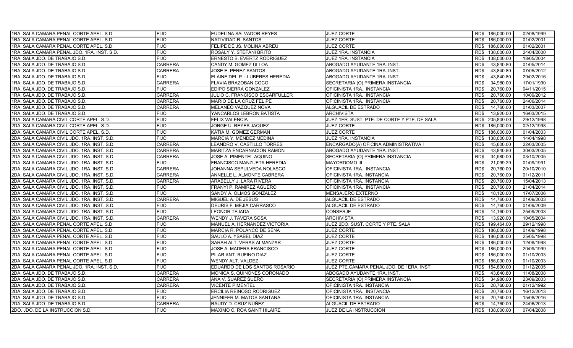| 1RA. SALA CAMARA PENAL CORTE APEL. S.D.     | <b>FIJO</b>    | EUDELINA SALVADOR REYES          | <b>JUEZ CORTE</b>                            | RD\$ 186,000.00    | 02/08/1999 |
|---------------------------------------------|----------------|----------------------------------|----------------------------------------------|--------------------|------------|
| 1RA. SALA CAMARA PENAL CORTE APEL. S.D.     | <b>FIJO</b>    | NATIVIDAD R. SANTOS              | <b>JUEZ CORTE</b>                            | RD\$ 186,000.00    | 01/02/2001 |
| 1RA. SALA CAMARA PENAL CORTE APEL. S.D.     | <b>FIJO</b>    | FELIPE DE JS. MOLINA ABREU       | <b>JUEZ CORTE</b>                            | RD\$ 186,000.00    | 01/02/2001 |
| 1RA. SALA CAMARA PENAL JDO. 1RA. INST. S.D. | <b>FIJO</b>    | ROSALY Y. STEFANI BRITO          | JUEZ 1RA. INSTANCIA                          | RD\$ 138,000.00    | 24/04/2000 |
| 1RA. SALA JDO. DE TRABAJO S.D.              | <b>FIJO</b>    | ERNESTO B. EVERTZ RODRIGUEZ      | JUEZ 1RA. INSTANCIA                          | RD\$ 138,000.00    | 18/05/2004 |
| 1RA, SALA JDO, DE TRABAJO S.D.              | <b>CARRERA</b> | CANDY M. GOMEZ ULLOA             | ABOGADO AYUDANTE 1RA. INST.                  | RD\$<br>43,840.80  | 01/05/2014 |
| 1RA. SALA JDO. DE TRABAJO S.D.              | <b>CARRERA</b> | JOSE E. PEREZ SANTOS             | ABOGADO AYUDANTE 1RA. INST.                  | 43,840.80<br>RD\$  | 07/05/2012 |
| 1RA. SALA JDO. DE TRABAJO S.D.              | <b>FIJO</b>    | ELAINE DEL P. LLUBERES HEREDIA   | ABOGADO AYUDANTE 1RA. INST.                  | 43.840.80<br>RD\$  | 29/02/2016 |
| 1RA. SALA JDO. DE TRABAJO S.D.              | <b>CARRERA</b> | FLAVIA BRAZOBAN COCO             | SECRETARIA (O) PRIMERA INSTANCIA             | 34,980.00<br>RD\$  | 17/01/1990 |
| 1RA, SALA JDO, DE TRABAJO S.D.              | <b>FIJO</b>    | EDIPO SIERRA GONZALEZ            | OFICINISTA 1RA. INSTANCIA                    | RD\$<br>20,760.00  | 04/11/2015 |
| 1RA. SALA JDO. DE TRABAJO S.D.              | <b>CARRERA</b> | JULIO C. FRANCISCO ESCARFULLER   | OFICINISTA 1RA. INSTANCIA                    | 20,760.00<br>RD\$  | 10/09/2012 |
| 1RA. SALA JDO. DE TRABAJO S.D.              | <b>CARRERA</b> | MARIO DE LA CRUZ FELIPE          | OFICINISTA 1RA. INSTANCIA                    | 20,760.00<br>RD\$  | 24/06/2014 |
| 1RA. SALA JDO. DE TRABAJO S.D.              | <b>CARRERA</b> | MELANEO VAZQUEZ NOVA             | ALGUACIL DE ESTRADO                          | 14,760.00<br>RD\$  | 01/03/2007 |
| 1RA. SALA JDO. DE TRABAJO S.D.              | <b>FIJO</b>    | YANCARLOS LEBRON BATISTA         | <b>ARCHIVISTA</b>                            | 13,920.00<br>RD\$  | 16/03/2015 |
| 2DA. SALA CAMARA CIVIL CORTE APEL. S.D.     | <b>FIJO</b>    | <b>FELIX VALENCIA</b>            | JUEZ 1ER. SUST. PTE. DE CORTE Y PTE. DE SALA | RD\$ 205,800.00    | 29/12/1998 |
| 2DA. SALA CAMARA CIVIL CORTE APEL. S.D.     | <b>FIJO</b>    | JORGE U. REYES JAQUEZ            | JUEZ CORTE                                   | RD\$<br>186,000.00 | 02/12/1998 |
| 2DA. SALA CAMARA CIVIL CORTE APEL. S.D.     | <b>FIJO</b>    | KATIA M. GOMEZ GERMAN            | <b>JUEZ CORTE</b>                            | RD\$<br>186,000.00 | 01/04/2003 |
| 2DA, SALA CAMARA CIVIL JDO, 1RA, INST, S.D. | <b>FIJO</b>    | <b>MARCIA Y. MENDEZ MEDINA</b>   | JUEZ 1RA. INSTANCIA                          | RD\$<br>138.000.00 | 14/04/1998 |
| 2DA. SALA CAMARA CIVIL JDO. 1RA. INST. S.D. | <b>CARRERA</b> | LEANDRO V. CASTILLO TORRES       | ENCARGADO(A) OFICINA ADMINISTRATIVA I        | RD\$<br>45,600.00  | 22/03/2005 |
| 2DA. SALA CAMARA CIVIL JDO. 1RA. INST. S.D. | <b>CARRERA</b> | <b>MARITZA ENCARNACION RAMON</b> | ABOGADO AYUDANTE 1RA. INST.                  | RD\$<br>43.840.80  | 30/03/2005 |
| 2DA. SALA CAMARA CIVIL JDO. 1RA. INST. S.D. | <b>CARRERA</b> | JOSE A. PIMENTEL AQUINO          | SECRETARIA (O) PRIMERA INSTANCIA             | RD\$<br>34,980.00  | 03/10/2005 |
| 2DA. SALA CAMARA CIVIL JDO. 1RA. INST. S.D. | <b>FIJO</b>    | FRANCISCO MANZUETA HEREDIA       | <b>MAYORDOMO III</b>                         | 21,099.29<br>RD\$  | 01/09/1991 |
| 2DA. SALA CAMARA CIVIL JDO. 1RA. INST. S.D. | <b>CARRERA</b> | JOHANNA SEPULVEDA NOLASCO        | OFICINISTA 1RA. INSTANCIA                    | RD\$<br>20,760.00  | 20/10/2010 |
| 2DA. SALA CAMARA CIVIL JDO. 1RA. INST. S.D. | <b>CARRERA</b> | ANNELLE L. ALMONTE CABRERA       | OFICINISTA 1RA. INSTANCIA                    | 20,760.00<br>RD\$  | 01/12/2011 |
| 2DA. SALA CAMARA CIVIL JDO. 1RA. INST. S.D. | <b>CARRERA</b> | ARABELLY J. LARA RIVERA          | OFICINISTA 1RA. INSTANCIA                    | RD\$<br>20,760.00  | 15/04/2013 |
| 2DA. SALA CAMARA CIVIL JDO. 1RA. INST. S.D. | <b>FIJO</b>    | FRANYI P. RAMIREZ AGUERO         | OFICINISTA 1RA. INSTANCIA                    | 20,760.00<br>RD\$  | 21/04/2014 |
| 2DA. SALA CAMARA CIVIL JDO. 1RA. INST. S.D. | <b>FIJO</b>    | SANDY A. OLMOS GONZALEZ          | <b>MENSAJERO EXTERNO</b>                     | 18,120.00<br>RD\$  | 17/07/2006 |
| 2DA. SALA CAMARA CIVIL JDO. 1RA. INST. S.D. | <b>CARRERA</b> | MIGUEL A. DE JESUS               | ALGUACIL DE ESTRADO                          | 14,760.00<br>RD\$  | 01/09/2003 |
| 2DA. SALA CAMARA CIVIL JDO. 1RA. INST. S.D. | <b>FIJO</b>    | DEURIS F. MEJIA CARRASCO         | ALGUACIL DE ESTRADO                          | 14,760.00<br>RD\$  | 01/09/2009 |
| 2DA. SALA CAMARA CIVIL JDO. 1RA. INST. S.D. | <b>FIJO</b>    | LEONOR TEJADA                    | <b>CONSERJE</b>                              | 14,160.00<br>RD\$  | 25/09/2003 |
| 2DA. SALA CAMARA CIVIL JDO. 1RA. INST. S.D. | <b>CARRERA</b> | WENDY J. TAVERA SOSA             | ARCHIVISTA                                   | RD\$<br>13,920.00  | 10/05/2004 |
| 2DA. SALA CAMARA PENAL CORTE APEL. S.D.     | <b>FIJO</b>    | MANUEL A. HERNANDEZ VICTORIA     | JUEZ 2DO. SUST. CORTE Y PTE. SALA            | RD\$<br>199,464.00 | 29/12/1998 |
| 2DA. SALA CAMARA PENAL CORTE APEL. S.D.     | <b>FIJO</b>    | MARCIA R. POLANCO DE SENA        | <b>JUEZ CORTE</b>                            | RD\$ 186,000.00    | 01/09/1998 |
| 2DA. SALA CAMARA PENAL CORTE APEL. S.D.     | <b>FIJO</b>    | SAULO A. YSABEL DIAZ             | <b>JUEZ CORTE</b>                            | RD\$ 186,000.00    | 25/05/1998 |
| 2DA. SALA CAMARA PENAL CORTE APEL. S.D.     | <b>FIJO</b>    | SARAH ALT. VERAS ALMANZAR        | <b>JUEZ CORTE</b>                            | RD\$ 186,000.00    | 12/08/1998 |
| 2DA. SALA CAMARA PENAL CORTE APEL. S.D.     | <b>FIJO</b>    | JOSE A. MADERA FRANCISCO         | <b>JUEZ CORTE</b>                            | RD\$ 186,000.00    | 20/09/1999 |
| 2DA. SALA CAMARA PENAL CORTE APEL. S.D.     | <b>FIJO</b>    | PILAR ANT. RUFINO DIAZ           | <b>JUEZ CORTE</b>                            | RD\$ 186,000.00    | 01/10/2003 |
| 2DA. SALA CAMARA PENAL CORTE APEL. S.D.     | <b>FIJO</b>    | WENDY ALT. VALDEZ                | <b>JUEZ CORTE</b>                            | RD\$ 186,000.00    | 01/10/2003 |
| 2DA. SALA CAMARA PENAL JDO. 1RA. INST. S.D. | <b>FIJO</b>    | EDUARDO DE LOS SANTOS ROSARIO    | JUEZ PTE.CAMARA PENAL JDO. DE 1ERA. INST     | 154,800.00<br>RD\$ | 01/12/2005 |
| 2DA. SALA JDO. DE TRABAJO S.D.              | <b>CARRERA</b> | MONICA S. QUIÑONES CORONADO      | ABOGADO AYUDANTE 1RA. INST.                  | RD\$<br>43,840.80  | 11/08/2008 |
| 2DA. SALA JDO. DE TRABAJO S.D.              | <b>CARRERA</b> | ANA V. SUAREZ SUERO              | SECRETARIA (O) PRIMERA INSTANCIA             | 34,980.00<br>RD\$  | 23/09/2003 |
| 2DA. SALA JDO. DE TRABAJO S.D.              | <b>CARRERA</b> | <b>VICENTE PIMENTEL</b>          | OFICINISTA 1RA. INSTANCIA                    | 20,760.00<br>RD\$  | 01/12/1992 |
| 2DA. SALA JDO. DE TRABAJO S.D.              | <b>FIJO</b>    | <b>ERCILIA REINOSO RODRIGUEZ</b> | OFICINISTA 1RA. INSTANCIA                    | RD\$<br>20,760.00  | 16/12/2013 |
| 2DA. SALA JDO. DE TRABAJO S.D.              | <b>FIJO</b>    | JENNIFER M. MATOS SANTANA        | OFICINISTA 1RA. INSTANCIA                    | RD\$<br>20,760.00  | 15/08/2016 |
| 2DA. SALA JDO. DE TRABAJO S.D.              | <b>CARRERA</b> | RAUDY D. CRUZ NUÑEZ              | ALGUACIL DE ESTRADO                          | 14,760.00<br>RD\$  | 24/06/2013 |
| 2DO. JDO. DE LA INSTRUCCION S.D.            | <b>FIJO</b>    | MAXIMO C. ROA SAINT HILAIRE      | JUEZ DE LA INSTRUCCION                       | RD\$ 138,000.00    | 07/04/2008 |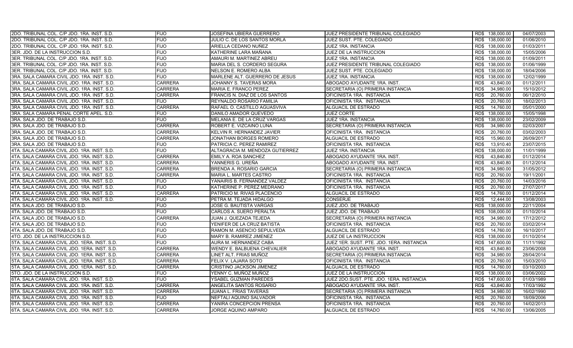| 2DO. TRIBUNAL COL. C/P JDO. 1RA. INST. S.D.  | <b>FIJO</b>    | JOSEFINA UBIERA GUERRERO        | JUEZ PRESIDENTE TRIBUNAL COLEGIADO        | RD\$ 138,000.00    | 04/07/2003 |
|----------------------------------------------|----------------|---------------------------------|-------------------------------------------|--------------------|------------|
| 2DO. TRIBUNAL COL. C/P JDO. 1RA. INST. S.D.  | <b>FIJO</b>    | JULIO C. DE LOS SANTOS MORLA    | JUEZ SUST. PTE. COLEGIADO                 | RD\$ 138,000.00    | 01/06/2010 |
| 2DO. TRIBUNAL COL. C/P JDO. 1RA. INST. S.D.  | <b>FIJO</b>    | ARIELLA CEDANO NUÑEZ            | JUEZ 1RA. INSTANCIA                       | RD\$ 138,000.00    | 01/03/2011 |
| 3ER. JDO. DE LA INSTRUCCION S.D.             | <b>FIJO</b>    | KATHERINE LARA MAÑANA           | JUEZ DE LA INSTRUCCION                    | RD\$ 138,000.00    | 15/05/2006 |
| 3ER. TRIBUNAL COL. C/P JDO. 1RA. INST. S.D.  | <b>FIJO</b>    | AMAURI M. MARTINEZ ABREU        | JUEZ 1RA. INSTANCIA                       | RD\$ 138,000.00    | 01/09/2011 |
| 3ER. TRIBUNAL COL. C/P JDO. 1RA. INST. S.D.  | <b>FIJO</b>    | MARIA DEL S. CORDERO SEGURA     | JUEZ PRESIDENTE TRIBUNAL COLEGIADO        | RD\$ 138,000.00    | 01/06/1999 |
| 3ER. TRIBUNAL COL. C/P JDO. 1RA. INST. S.D.  | <b>FIJO</b>    | NELSON E. ROMERO ALBA           | JUEZ SUST. PTE. COLEGIADO                 | RD\$ 138,000.00    | 18/04/2006 |
| 3RA. SALA CAMARA CIVIL JDO. 1RA. INST. S.D.  | <b>FIJO</b>    | MARLENE ALT. GUERRERO DE JESUS  | JUEZ 1RA. INSTANCIA                       | 138,000.00<br>RD\$ | 12/02/1999 |
| 3RA. SALA CAMARA CIVIL JDO. 1RA. INST. S.D.  | <b>CARRERA</b> | JOHANNY S. TAVERAS MORA         | ABOGADO AYUDANTE 1RA. INST.               | 43.840.00<br>RD\$  | 01/12/2011 |
| 3RA, SALA CAMARA CIVIL JDO, 1RA, INST, S.D.  | <b>CARRERA</b> | <b>MARIA E. FRANCO PEREZ</b>    | SECRETARIA (O) PRIMERA INSTANCIA          | RD\$<br>34,980.00  | 15/10/2012 |
| 3RA. SALA CAMARA CIVIL JDO. 1RA. INST. S.D.  | <b>CARRERA</b> | FRANCIS N. DIAZ DE LOS SANTOS   | OFICINISTA 1RA. INSTANCIA                 | 20,760.00<br>RD\$  | 06/12/2010 |
| 3RA. SALA CAMARA CIVIL JDO. 1RA. INST. S.D.  | <b>FIJO</b>    | REYNALDO ROSARIO FAMILIA        | OFICINISTA 1RA. INSTANCIA                 | RD\$<br>20,760.00  | 18/02/2013 |
| 3RA. SALA CAMARA CIVIL JDO. 1RA. INST. S.D.  | <b>CARRERA</b> | RAFAEL O. CASTILLO AGUASVIVA    | ALGUACIL DE ESTRADO                       | RD\$<br>14,760.00  | 05/01/2000 |
| 3RA, SALA CAMARA PENAL CORTE APEL, S.D.      | <b>FIJO</b>    | DANILO AMADOR QUEVEDO           | <b>JUEZ CORTE</b>                         | 138.000.00<br>RD\$ | 15/05/1998 |
| 3RA. SALA JDO. DE TRABAJO S.D.               | <b>FIJO</b>    | MELANIA E. DE LA CRUZ VARGAS    | JUEZ 1RA. INSTANCIA                       | RD\$<br>138,000.00 | 23/02/2009 |
| 3RA. SALA JDO. DE TRABAJO S.D.               | <b>CARRERA</b> | ROBERT E. VIZCAINO LUNA         | SECRETARIA (O) PRIMERA INSTANCIA          | RD\$<br>34,980.00  | 02/03/2007 |
| 3RA. SALA JDO. DE TRABAJO S.D.               | <b>CARRERA</b> | KELVIN R. HERNANDEZ JAVIER      | OFICINISTA 1RA. INSTANCIA                 | RD\$<br>20,760.00  | 03/02/2003 |
| 3RA. SALA JDO. DE TRABAJO S.D.               | <b>CARRERA</b> | JONATHAN BORGES ROMERO          | ALGUACIL DE ESTRADO                       | 15,960.00<br>RD\$  | 26/09/2017 |
| 3RA. SALA JDO. DE TRABAJO S.D.               | <b>FIJO</b>    | PATRICIA C. PEREZ RAMIREZ       | OFICINISTA 1RA. INSTANCIA                 | RD\$<br>13,910.40  | 23/07/2015 |
| 4TA. SALA CAMARA CIVIL JDO. 1RA. INST. S.D.  | <b>FIJO</b>    | ALTAGRACIA M. MENDOZA GUTIERREZ | JUEZ 1RA. INSTANCIA                       | 138,000.00<br>RD\$ | 11/01/1999 |
| 4TA. SALA CAMARA CIVIL JDO. 1RA. INST. S.D.  | <b>CARRERA</b> | EMILY A. ROA SANCHEZ            | ABOGADO AYUDANTE 1RA. INST.               | 43,840.80<br>RD\$  | 01/12/2014 |
| 4TA. SALA CAMARA CIVIL JDO. 1RA. INST. S.D.  | <b>CARRERA</b> | YANNERIS G. UREÑA               | ABOGADO AYUDANTE 1RA. INST.               | 43,840.80<br>RD\$  | 01/12/2014 |
| 4TA, SALA CAMARA CIVIL JDO, 1RA, INST, S.D.  | <b>CARRERA</b> | BRENDA A. ROSARIO GARCIA        | SECRETARIA (O) PRIMERA INSTANCIA          | RD\$<br>34,980.00  | 31/05/2012 |
| 4TA. SALA CAMARA CIVIL JDO. 1RA. INST. S.D.  | <b>CARRERA</b> | MARIA L. MARTES CASTRO          | OFICINISTA 1RA. INSTANCIA                 | 20,760.00<br>RD\$  | 19/11/2001 |
| 4TA. SALA CAMARA CIVIL JDO. 1RA. INST. S.D.  | <b>FIJO</b>    | YANAIRIS B. FERNANDEZ VALDEZ    | OFICINISTA 1RA. INSTANCIA                 | 20,760.00<br>RD\$  | 14/03/2016 |
| 4TA. SALA CAMARA CIVIL JDO. 1RA. INST. S.D.  | <b>FIJO</b>    | KATHERINE P. PEREZ MEDRANO      | OFICINISTA 1RA. INSTANCIA                 | 20,760.00<br>RD\$  | 27/07/2017 |
| 4TA, SALA CAMARA CIVIL JDO, 1RA, INST, S.D.  | <b>CARRERA</b> | PATRICIO M. RIVAS PLACENCIO     | <b>ALGUACIL DE ESTRADO</b>                | 14,760.00<br>RD\$  | 01/12/2014 |
| 4TA. SALA CAMARA CIVIL JDO. 1RA. INST. S.D.  | <b>FIJO</b>    | PETRA M. TEJADA HIDALGO         | <b>CONSERJE</b>                           | RD\$<br>12,444.00  | 13/08/2003 |
| 4TA. SALA JDO. DE TRABAJO S.D.               | <b>FIJO</b>    | JOSE G. BAUTISTA VARGAS         | JUEZ JDO. DE TRABAJO                      | 138,000.00<br>RD\$ | 22/11/2004 |
| 4TA. SALA JDO. DE TRABAJO S.D.               | <b>FIJO</b>    | CARLOS A. SUERO PERALTA         | JUEZ JDO. DE TRABAJO                      | RD\$ 108,000.00    | 01/10/2014 |
| 4TA. SALA JDO. DE TRABAJO S.D.               | <b>CARRERA</b> | JUAN J. QUEZADA TEJEDA          | SECRETARIA (O) PRIMERA INSTANCIA          | RD\$<br>34,980.00  | 17/12/2012 |
| 4TA. SALA JDO. DE TRABAJO S.D.               | <b>FIJO</b>    | YENIFER DE LA CRUZ BATISTA      | OFICINISTA 1RA. INSTANCIA                 | RD\$<br>20,760.00  | 03/02/2014 |
| 4TA. SALA JDO. DE TRABAJO S.D.               | <b>FIJO</b>    | RAMON M. ASENCIO SEPULVEDA      | ALGUACIL DE ESTRADO                       | RD\$<br>14,760.00  | 16/10/2017 |
| 4TO. JDO. DE LA INSTRUCCION S.D.             | <b>FIJO</b>    | MARY B. RAMIREZ JIMENEZ         | JUEZ DE LA INSTRUCCION                    | 138,000.00<br>RD\$ | 01/10/2014 |
| 5TA. SALA CAMARA CIVIL JDO. 1ERA. INST. S.D. | <b>FIJO</b>    | AURA M. HERNANDEZ CABA          | JUEZ 1ER. SUST. PTE. JDO. 1ERA. INSTANCIA | RD\$ 147,600.00    | 11/11/1992 |
| 5TA. SALA CAMARA CIVIL JDO. 1ERA. INST. S.D. | <b>CARRERA</b> | WENDY E. BALBUENA CHEVALIER     | ABOGADO AYUDANTE 1RA. INST.               | RD\$<br>43,840.80  | 23/06/2008 |
| 5TA. SALA CAMARA CIVIL JDO. 1ERA. INST. S.D. | <b>CARRERA</b> | LINET ALT. FRIAS MUÑOZ          | SECRETARIA (O) PRIMERA INSTANCIA          | 34,980.00<br>RD\$  | 28/04/2014 |
| 5TA. SALA CAMARA CIVIL JDO. 1ERA. INST. S.D. | <b>CARRERA</b> | FELIX V. LAJARA SOTO            | OFICINISTA 1RA. INSTANCIA                 | 20,760.00<br>RD\$  | 15/03/2010 |
| 5TA. SALA CAMARA CIVIL JDO. 1ERA. INST. S.D. | <b>CARRERA</b> | CRISTINO JACKSON JIMENEZ        | ALGUACIL DE ESTRADO                       | 14,760.00<br>RD\$  | 03/10/2003 |
| 5TO. JDO. DE LA INSTRUCCION S.D.             | <b>FIJO</b>    | YENNY C. MUÑOZ MUÑOZ            | JUEZ DE LA INSTRUCCION                    | RD\$<br>138,000.00 | 03/06/2002 |
| 6TA. SALA CAMARA CIVIL JDO. 1RA. INST. S.D.  | <b>FIJO</b>    | YSABEL GUZMAN PAREDES           | JUEZ 2DO SUST. PTE. JDO. 1ERA. INSTANCIA  | 147,600.00<br>RD\$ | 01/03/1989 |
| 6TA. SALA CAMARA CIVIL JDO. 1RA. INST. S.D.  | <b>CARRERA</b> | ANGELITA SANTOS ROSARIO         | ABOGADO AYUDANTE 1RA. INST.               | 43.840.80<br>RD\$  | 17/03/1992 |
| 6TA. SALA CAMARA CIVIL JDO. 1RA. INST. S.D.  | <b>CARRERA</b> | JUANA L. FRIAS TAVERAS          | SECRETARIA (O) PRIMERA INSTANCIA          | RD\$<br>34,980.00  | 16/02/1990 |
| 6TA. SALA CAMARA CIVIL JDO. 1RA. INST. S.D.  | <b>FIJO</b>    | NEFTALI AQUINO SALVADOR         | OFICINISTA 1RA. INSTANCIA                 | RD\$<br>20,760.00  | 18/09/2006 |
| 6TA. SALA CAMARA CIVIL JDO. 1RA. INST. S.D.  | <b>CARRERA</b> | YANIRA CONCEPCION PRENSA        | OFICINISTA 1RA. INSTANCIA                 | 20,760.00<br>RD\$  | 14/02/2013 |
| 6TA. SALA CAMARA CIVIL JDO. 1RA. INST. S.D.  | <b>CARRERA</b> | JORGE AQUINO AMPARO             | ALGUACIL DE ESTRADO                       | 14,760.00<br>RD\$  | 13/06/2005 |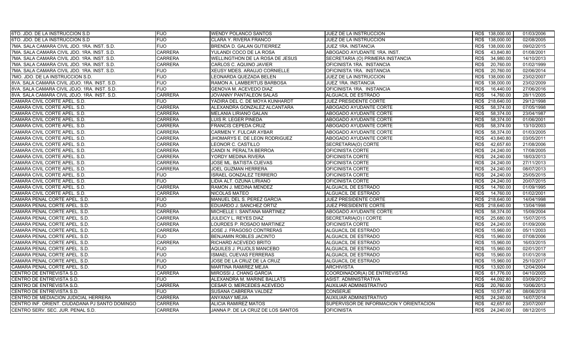| 6TO. JDO. DE LA INSTRUCCION S.D.               | <b>FIJO</b>    | <b>WENDY POLANCO SANTOS</b>       | JUEZ DE LA INSTRUCCION                  | RD\$ 138,000.00    | 01/03/2006 |
|------------------------------------------------|----------------|-----------------------------------|-----------------------------------------|--------------------|------------|
| 6TO. JDO. DE LA INSTRUCCION S.D.               | <b>FIJO</b>    | CLARA Y. RIVERA FRANCO            | JUEZ DE LA INSTRUCCION                  | RD\$ 138,000.00    | 02/08/2005 |
| 7MA. SALA CAMARA CIVIL JDO. 1RA. INST. S.D.    | <b>FIJO</b>    | BRENDA D. GALAN GUTIERREZ         | JUEZ 1RA. INSTANCIA                     | RD\$ 138,000.00    | 09/02/2015 |
| 7MA. SALA CAMARA CIVIL JDO. 1RA. INST. S.D.    | <b>CARRERA</b> | YULANDI COCO DE LA ROSA           | ABOGADO AYUDANTE 1RA. INST.             | RD\$<br>43,840.80  | 01/08/2001 |
| 7MA. SALA CAMARA CIVIL JDO. 1RA. INST. S.D.    | <b>CARRERA</b> | WELLINGTHON DE LA ROSA DE JESUS   | SECRETARIA (O) PRIMERA INSTANCIA        | RD\$<br>34,980.00  | 14/10/2013 |
| 7MA, SALA CAMARA CIVIL JDO, 1RA, INST, S.D.    | <b>CARRERA</b> | CARLOS C. AQUINO JAVIER           | OFICINISTA 1RA. INSTANCIA               | 20,760.00<br>RD\$  | 01/02/1999 |
| 7MA. SALA CAMARA CIVIL JDO. 1RA. INST. S.D.    | <b>FIJO</b>    | XEUSY MDES. ARAUJO CORNIELLE      | OFICINISTA 1RA. INSTANCIA               | RD\$<br>20,760.00  | 02/06/2014 |
| 7MO. JDO. DE LA INSTRUCCION S.D.               | <b>FIJO</b>    | LEONARDA QUEZADA BELEN            | JUEZ DE LA INSTRUCCION                  | 138,000.00<br>RD\$ | 23/02/2007 |
| 8VA. SALA CAMARA CIVIL JDJO. 1RA. INST. S.D.   | <b>FIJO</b>    | RAMON A. LAMBERTUS BARBOSA        | JUEZ 1RA. INSTANCIA                     | 138,000.00<br>RD\$ | 23/02/2009 |
| 8VA. SALA CAMARA CIVIL JDJO. 1RA. INST. S.D.   | <b>FIJO</b>    | GENOVA M. ACEVEDO DIAZ            | OFICINISTA 1RA. INSTANCIA               | RD\$<br>16,440.00  | 27/06/2016 |
| 8VA. SALA CAMARA CIVIL JDJO. 1RA. INST. S.D.   | <b>CARRERA</b> | JOVANNY PANTALEON SALAS           | ALGUACIL DE ESTRADO                     | 14,760.00<br>RD\$  | 28/11/2005 |
| CAMARA CIVIL CORTE APEL. S.D.                  | <b>FIJO</b>    | YADIRA DEL C. DE MOYA KUNHARDT    | JUEZ PRESIDENTE CORTE                   | RD\$<br>218,640.00 | 29/12/1998 |
| CAMARA CIVIL CORTE APEL. S.D.                  | <b>CARRERA</b> | ALEXANDRA GONZALEZ ALCANTARA      | ABOGADO AYUDANTE CORTE                  | RD\$<br>58,374.00  | 07/05/1998 |
| CAMARA CIVIL CORTE APEL. S.D.                  | <b>CARRERA</b> | <b>MELANIA LIRIANO GALAN</b>      | ABOGADO AYUDANTE CORTE                  | 58,374.00<br>RD\$  | 23/04/1987 |
| CAMARA CIVIL CORTE APEL. S.D.                  | <b>CARRERA</b> | LUIS R. LEGER PINEDA              | ABOGADO AYUDANTE CORTE                  | RD\$<br>58,374.00  | 01/06/2001 |
| CAMARA CIVIL CORTE APEL. S.D.                  | <b>CARRERA</b> | <b>FRANCIS CEPEDA CRUZ</b>        | ABOGADO AYUDANTE CORTE                  | 58,374.00<br>RD\$  | 13/10/2003 |
| CAMARA CIVIL CORTE APEL. S.D.                  | <b>CARRERA</b> | CARMEN Y. FULCAR AYBAR            | ABOGADO AYUDANTE CORTE                  | RD\$<br>58,374.00  | 01/03/2005 |
| CAMARA CIVIL CORTE APEL, S.D.                  | <b>CARRERA</b> | JHOMARYS E. DE LEON RODRIGUEZ     | ABOGADO AYUDANTE CORTE                  | RD\$<br>43.840.80  | 03/05/2011 |
| CAMARA CIVIL CORTE APEL. S.D.                  | <b>CARRERA</b> | LEONOR C. CASTILLO                | SECRETARIA(O) CORTE                     | RD\$<br>42,657.60  | 21/08/2006 |
| CAMARA CIVIL CORTE APEL. S.D.                  | <b>CARRERA</b> | CANDI N. PERALTA BERROA           | OFICINISTA CORTE                        | 24.240.00<br>RD\$  | 17/08/2005 |
| CAMARA CIVIL CORTE APEL. S.D.                  | <b>CARRERA</b> | YORDY MEDINA RIVERA               | OFICINISTA CORTE                        | RD\$<br>24,240.00  | 18/03/2013 |
| CAMARA CIVIL CORTE APEL. S.D.                  | <b>CARRERA</b> | JOSE ML. BATISTA CUEVAS           | <b>OFICINISTA CORTE</b>                 | 24,240.00<br>RD\$  | 27/11/2013 |
| CAMARA CIVIL CORTE APEL. S.D.                  | <b>CARRERA</b> | JOEL GUZMAN HERRERA               | OFICINISTA CORTE                        | RD\$<br>24,240.00  | 08/07/2013 |
| CAMARA CIVIL CORTE APEL. S.D.                  | <b>FIJO</b>    | <b>ISRAEL GONZALEZ TERRERO</b>    | OFICINISTA CORTE                        | RD\$<br>24,240.00  | 25/05/2015 |
| CAMARA CIVIL CORTE APEL. S.D.                  | <b>FIJO</b>    | LIDIA ALT. OZUNA LIRIANO          | OFICINISTA CORTE                        | RD\$<br>24,240.00  | 20/07/2015 |
| CAMARA CIVIL CORTE APEL. S.D.                  | <b>CARRERA</b> | RAMON J. MEDINA MENDEZ            | ALGUACIL DE ESTRADO                     | RD\$<br>14,760.00  | 01/09/1995 |
| CAMARA CIVIL CORTE APEL. S.D.                  | <b>CARRERA</b> | NICOLAS MATEO                     | ALGUACIL DE ESTRADO                     | 14,760.00<br>RD\$  | 01/02/2001 |
| CAMARA PENAL CORTE APEL. S.D.                  | <b>FIJO</b>    | MANUEL DEL S. PEREZ GARCIA        | JUEZ PRESIDENTE CORTE                   | 218,640.00<br>RD\$ | 14/04/1998 |
| CAMARA PENAL CORTE APEL. S.D.                  | <b>FIJO</b>    | EDUARDO J. SANCHEZ ORTIZ          | <b>JUEZ PRESIDENTE CORTE</b>            | RD\$ 218,640.00    | 13/04/1998 |
| CAMARA PENAL CORTE APEL. S.D.                  | <b>CARRERA</b> | MICHELLE I. SANTANA MARTINEZ      | ABOGADO AYUDANTE CORTE                  | 58.374.00<br>RD\$  | 15/09/2004 |
| CAMARA PENAL CORTE APEL. S.D.                  | <b>CARRERA</b> | JULEICY L. REYES DIAZ             | SECRETARIA(O) I CORTE                   | RD\$<br>25,680.00  | 15/07/2015 |
| CAMARA PENAL CORTE APEL. S.D.                  | <b>CARRERA</b> | LOURDES P. ROSADO MARTINEZ        | OFICINISTA CORTE                        | RD\$<br>24,240.00  | 01/09/2006 |
| CAMARA PENAL CORTE APEL. S.D.                  | <b>CARRERA</b> | JOSE J. FRAGOSO CONTRERAS         | ALGUACIL DE ESTRADO                     | RD\$<br>15,960.00  | 05/11/2003 |
| CAMARA PENAL CORTE APEL. S.D.                  | <b>FIJO</b>    | <b>BENJAMIN ROBLES JACINTO</b>    | ALGUACIL DE ESTRADO                     | RD\$<br>15,960.00  | 07/08/2006 |
| CAMARA PENAL CORTE APEL, S.D.                  | <b>CARRERA</b> | RICHARD ACEVEDO BRITO             | ALGUACIL DE ESTRADO                     | RD\$<br>15,960.00  | 16/03/2015 |
| CAMARA PENAL CORTE APEL. S.D.                  | <b>FIJO</b>    | <b>AQUILES J. PUJOLS MANCEBO</b>  | ALGUACIL DE ESTRADO                     | RD\$<br>15,960.00  | 02/01/2017 |
| CAMARA PENAL CORTE APEL. S.D.                  | <b>FIJO</b>    | ISMAEL CUEVAS FERRERAS            | ALGUACIL DE ESTRADO                     | 15,960.00<br>RD\$  | 01/01/2018 |
| CAMARA PENAL CORTE APEL. S.D.                  | <b>FIJO</b>    | JOSE DE LA CRUZ DE LA CRUZ        | ALGUACIL DE ESTRADO                     | RD\$<br>15,960.00  | 25/10/2017 |
| CAMARA PENAL CORTE APEL. S.D.                  | <b>FIJO</b>    | <b>MARTINA RAMIREZ MEJIA</b>      | <b>ARCHIVISTA</b>                       | 13,920.00<br>RD\$  | 12/04/2004 |
| CENTRO DE ENTREVISTA S.D.                      | <b>CARRERA</b> | MIROSSI J. CHANG GARCIA           | COORDINADOR(A) DE ENTREVISTAS           | RD\$<br>61,776.00  | 04/10/2005 |
| CENTRO DE ENTREVISTA S.D.                      | <b>FIJO</b>    | ALEXANDRA M. MARINE BALLATS       | ASIST. ADMINISTRATIVA                   | RD\$<br>44,092.80  | 03/09/2012 |
| CENTRO DE ENTREVISTA S.D.                      | <b>CARRERA</b> | CESAR O. MERCEDES ACEVEDO         | <b>AUXILIAR ADMINISTRATIVO</b>          | 20,760.00<br>RD\$  | 10/06/2013 |
| CENTRO DE ENTREVISTA S.D.                      | <b>FIJO</b>    | SUSANA CABRERA VALDEZ             | <b>CONSERJE</b>                         | 10,577.40<br>RD\$  | 08/06/2018 |
| CENTRO DE MEDIACION JUDICIAL HERRERA           | <b>CARRERA</b> | <b>ANYANAY MEJIA</b>              | <b>AUXILIAR ADMINISTRATIVO</b>          | RD\$<br>24,240.00  | 14/07/2014 |
| CENTRO INF. ORIENT. CIUDADANA PJ SANTO DOMINGO | <b>CARRERA</b> | ALICIA RAMIREZ MATOS              | SUPERVISOR DE INFORMACION Y ORIENTACION | RD\$<br>42,657.60  | 23/07/2007 |
| CENTRO SERV. SEC. JUR. PENAL S.D.              | <b>CARRERA</b> | JANNA P. DE LA CRUZ DE LOS SANTOS | <b>OFICINISTA</b>                       | RD\$<br>24.240.00  | 08/12/2015 |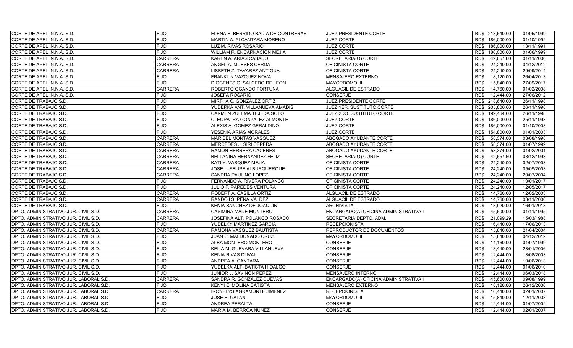| CORTE DE APEL. N.N.A. S.D.             | <b>FIJO</b>    | ELENA E. BERRIDO BADIA DE CONTRERAS | <b>JUEZ PRESIDENTE CORTE</b>          | RD\$ 218,640.00    | 01/05/1999 |
|----------------------------------------|----------------|-------------------------------------|---------------------------------------|--------------------|------------|
| CORTE DE APEL. N.N.A. S.D.             | <b>FIJO</b>    | MARTIN A. ALCANTARA MORENO          | <b>JUEZ CORTE</b>                     | RD\$ 186,000.00    | 01/10/1992 |
| CORTE DE APEL. N.N.A. S.D.             | <b>FIJO</b>    | LUZ M. RIVAS ROSARIO                | <b>JUEZ CORTE</b>                     | RD\$ 186,000.00    | 13/11/1991 |
| CORTE DE APEL. N.N.A. S.D.             | <b>FIJO</b>    | WILLIAM R. ENCARNACION MEJIA        | <b>JUEZ CORTE</b>                     | RD\$<br>186,000.00 | 01/06/1999 |
| CORTE DE APEL. N.N.A. S.D.             | <b>CARRERA</b> | KAREN A. ARIAS CASADO               | SECRETARIA(O) CORTE                   | 42,657.60<br>RD\$  | 01/11/2006 |
| CORTE DE APEL. N.N.A. S.D.             | <b>CARRERA</b> | ANGEL A. MUESES CERDA               | OFICINISTA CORTE                      | 24,240.00<br>RD\$  | 04/12/2012 |
| CORTE DE APEL. N.N.A. S.D.             | <b>CARRERA</b> | LISBETH Z. TAVAREZ ANTIGUA          | OFICINISTA CORTE                      | RD\$<br>24,240.00  | 29/09/2014 |
| CORTE DE APEL. N.N.A. S.D.             | <b>FIJO</b>    | FRANKLIN VAZQUEZ NOVA               | <b>MENSAJERO EXTERNO</b>              | 18,120.00<br>RD\$  | 26/04/2013 |
| CORTE DE APEL. N.N.A. S.D.             | <b>FIJO</b>    | DIOGENES G. SALCEDO DE LEON         | <b>MAYORDOMO III</b>                  | 15,840.00<br>RD\$  | 27/09/2017 |
| CORTE DE APEL. N.N.A. S.D.             | <b>CARRERA</b> | ROBERTO OGANDO FORTUNA              | <b>ALGUACIL DE ESTRADO</b>            | RD\$<br>14,760.00  | 01/02/2008 |
| CORTE DE APEL. N.N.A. S.D.             | <b>FIJO</b>    | <b>JOSEFA ROSARIO</b>               | <b>CONSERJE</b>                       | 12,444.00<br>RD\$  | 27/06/2012 |
| CORTE DE TRABAJO S.D.                  | <b>FIJO</b>    | MIRTHA C. GONZALEZ ORTIZ            | JUEZ PRESIDENTE CORTE                 | RD\$ 218,640.00    | 26/11/1998 |
| CORTE DE TRABAJO S.D.                  | <b>FIJO</b>    | YUDERKA ANT. VILLANUEVA AMADIS      | JUEZ 1ER. SUSTITUTO CORTE             | RD\$ 205,800.00    | 26/11/1998 |
| CORTE DE TRABAJO S.D.                  | <b>FIJO</b>    | CARMEN ZULEMA TEJEDA SOTO           | JUEZ 2DO. SUSTITUTO CORTE             | 199,464.00<br>RD\$ | 26/11/1998 |
| CORTE DE TRABAJO S.D.                  | <b>FIJO</b>    | CLEOPATRA GONZALEZ ALMONTE          | <b>JUEZ CORTE</b>                     | RD\$ 186,000.00    | 25/11/1998 |
| CORTE DE TRABAJO S.D.                  | <b>FIJO</b>    | ALEXIS A. GOMEZ GERALDINO           | <b>JUEZ CORTE</b>                     | RD\$ 186,000.00    | 01/10/2003 |
| <b>CORTE DE TRABAJO S.D.</b>           | <b>FIJO</b>    | YESENIA ARIAS MORALES               | <b>JUEZ CORTE</b>                     | 154,800.00<br>RD\$ | 01/01/2003 |
| CORTE DE TRABAJO S.D.                  | <b>CARRERA</b> | MARIBEL MONTAS VASQUEZ              | ABOGADO AYUDANTE CORTE                | 58,374.00<br>RD\$  | 03/08/1998 |
| CORTE DE TRABAJO S.D.                  | <b>CARRERA</b> | MERCEDES J. SIRI CEPEDA             | ABOGADO AYUDANTE CORTE                | RD\$<br>58,374.00  | 01/07/1999 |
| CORTE DE TRABAJO S.D.                  | <b>CARRERA</b> | RAMON HERRERA CACERES               | ABOGADO AYUDANTE CORTE                | 58,374.00<br>RD\$  | 01/02/2001 |
| CORTE DE TRABAJO S.D.                  | <b>CARRERA</b> | BELLANIRA HERNANDEZ FELIZ           | SECRETARIA(O) CORTE                   | 42,657.60<br>RD\$  | 08/12/1993 |
| CORTE DE TRABAJO S.D.                  | <b>CARRERA</b> | KATI Y. VASQUEZ MEJIA               | OFICINISTA CORTE                      | 24,240.00<br>RD\$  | 02/07/2003 |
| CORTE DE TRABAJO S.D.                  | <b>CARRERA</b> | JOSE L. FELIPE ALBURQUERQUE         | OFICINISTA CORTE                      | RD\$<br>24,240.00  | 05/09/2003 |
| CORTE DE TRABAJO S.D.                  | <b>CARRERA</b> | SANDRA PAULINO LOPEZ                | OFICINISTA CORTE                      | RD\$<br>24,240.00  | 20/07/2004 |
| CORTE DE TRABAJO S.D.                  | <b>FIJO</b>    | FERNANDO A. RIVERA POLANCO          | OFICINISTA CORTE                      | RD\$<br>24,240.00  | 10/01/2017 |
| CORTE DE TRABAJO S.D.                  | <b>FIJO</b>    | JULIO F. PAREDES VENTURA            | OFICINISTA CORTE                      | RD\$<br>24,240.00  | 12/05/2017 |
| CORTE DE TRABAJO S.D.                  | <b>CARRERA</b> | ROBERT A. CASILLA ORTIZ             | ALGUACIL DE ESTRADO                   | 14,760.00<br>RD\$  | 12/02/2003 |
| CORTE DE TRABAJO S.D.                  | <b>CARRERA</b> | RANDOJ S. PEÑA VALDEZ               | ALGUACIL DE ESTRADO                   | RD\$<br>14,760.00  | 03/11/2006 |
| CORTE DE TRABAJO S.D.                  | <b>FIJO</b>    | KENIA SANCHEZ DE JOAQUIN            | <b>ARCHIVISTA</b>                     | 13,920.00<br>RD\$  | 16/01/2018 |
| DPTO. ADMINISTRATIVO JUR. CIVIL S.D.   | <b>CARRERA</b> | CASIMIRA MADE MONTERO               | ENCARGADO(A) OFICINA ADMINISTRATIVA I | 45.600.00<br>RD\$  | 01/11/1995 |
| DPTO. ADMINISTRATIVO JUR. CIVIL S.D.   | <b>CARRERA</b> | JOSEFINA ALT. POLANCO ROSADO        | SECRETARIA DEPTO. ADM.                | RD\$<br>21,099.29  | 15/03/1988 |
| DPTO. ADMINISTRATIVO JUR. CIVIL S.D.   | <b>FIJO</b>    | YUDELKY MARTINEZ GARCIA             | <b>RECEPCIONISTA</b>                  | RD\$<br>16,440.00  | 17/06/2013 |
| DPTO. ADMINISTRATIVO JUR. CIVIL S.D.   | <b>CARRERA</b> | RAMONA VASQUEZ BAUTISTA             | REPRODUCTOR DE DOCUMENTOS             | RD\$<br>15,840.00  | 21/04/2004 |
| DPTO. ADMINISTRATIVO JUR. CIVIL S.D.   | <b>FIJO</b>    | JUAN C. MALDONADO CRUZ              | <b>MAYORDOMO III</b>                  | RD\$<br>15,840.00  | 04/12/2012 |
| DPTO. ADMINISTRATIVO JUR. CIVIL S.D.   | <b>FIJO</b>    | ALBA MONTERO MONTERO                | <b>CONSERJE</b>                       | RD\$<br>14,160.00  | 01/07/1999 |
| DPTO. ADMINISTRATIVO JUR. CIVIL S.D.   | <b>FIJO</b>    | KEILA M. GUEVARA VILLANUEVA         | <b>CONSERJE</b>                       | RD\$<br>13,440.00  | 23/01/2006 |
| DPTO. ADMINISTRATIVO JUR. CIVIL S.D.   | <b>FIJO</b>    | KENIA RIVAS DUVAL                   | <b>CONSERJE</b>                       | 12,444.00<br>RD\$  | 13/08/2003 |
| DPTO. ADMINISTRATIVO JUR. CIVIL S.D.   | <b>FIJO</b>    | <b>ANDREA ALCANTARA</b>             | <b>CONSERJE</b>                       | RD\$<br>12,444.00  | 10/06/2013 |
| DPTO. ADMINISTRATIVO JUR. CIVIL S.D.   | <b>FIJO</b>    | YUDELKA ALT. BATISTA HIDALGO        | <b>CONSERJE</b>                       | 12,444.00<br>RD\$  | 01/06/2010 |
| DPTO. ADMINISTRATIVO JUR. CIVIL S.D.   | <b>FIJO</b>    | JUNIOR J. SAVIÑON PEREZ             | MENSAJERO INTERNO                     | RD\$<br>12,444.00  | 06/03/2018 |
| DPTO. ADMINISTRATIVO JUR. LABORAL S.D. | <b>CARRERA</b> | SANDRA R. GONZALEZ CUEVAS           | ENCARGADO(A) OFICINA ADMINISTRATIVA I | RD\$<br>45,600.00  | 09/08/1999 |
| DPTO. ADMINISTRATIVO JUR. LABORAL S.D. | <b>FIJO</b>    | KENYI E. MOLINA BATISTA             | <b>MENSAJERO EXTERNO</b>              | 18,120.00<br>RD\$  | 26/12/2006 |
| DPTO. ADMINISTRATIVO JUR. LABORAL S.D. | <b>CARRERA</b> | <b>IRONELYS AGRAMONTE JIMENEZ</b>   | <b>RECEPCIONISTA</b>                  | 16,440.00<br>RD\$  | 02/01/2007 |
| DPTO. ADMINISTRATIVO JUR. LABORAL S.D. | <b>FIJO</b>    | JOSE E. GALAN                       | <b>MAYORDOMO III</b>                  | RD\$<br>15,840.00  | 12/11/2008 |
| DPTO. ADMINISTRATIVO JUR. LABORAL S.D. | <b>FIJO</b>    | ANDREA PERALTA                      | <b>CONSERJE</b>                       | 12,444.00<br>RD\$  | 01/07/2002 |
| DPTO. ADMINISTRATIVO JUR. LABORAL S.D. | <b>FIJO</b>    | MARIA M. BERROA NUÑEZ               | <b>CONSERJE</b>                       | RD\$<br>12.444.00  | 02/01/2007 |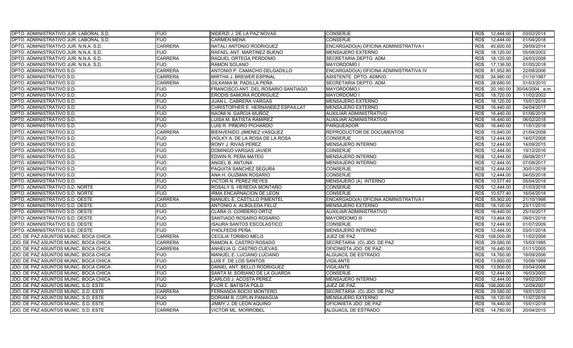| DPTO. ADMINISTRATIVO JUR. LABORAL S.D. | <b>FIJO</b>    | NIDERZI J. DE LA PAZ NOVAS          | <b>CONSERJE</b>                        | RD\$ | 12,444.00  | 03/02/2014      |
|----------------------------------------|----------------|-------------------------------------|----------------------------------------|------|------------|-----------------|
| DPTO. ADMINISTRATIVO JUR. LABORAL S.D. | <b>FIJO</b>    | <b>CARMEN MENA</b>                  | <b>CONSERJE</b>                        | RD\$ | 12,444.00  | 01/04/2018      |
| DPTO. ADMINISTRATIVO JUR. N.N.A. S.D.  | <b>CARRERA</b> | NATALI ANTONIO RODRIGUEZ            | ENCARGADO(A) OFICINA ADMINISTRATIVA I  | RD\$ | 45,600.00  | 29/09/2014      |
| DPTO. ADMINISTRATIVO JUR. N.N.A. S.D.  | <b>FIJO</b>    | RAFAEL ANT. MARTINEZ BUENO          | <b>MENSAJERO EXTERNO</b>               | RD\$ | 18,120.00  | 05/08/2002      |
| DPTO. ADMINISTRATIVO JUR. N.N.A. S.D.  | <b>CARRERA</b> | RAQUEL ORTEGA PERDOMO               | SECRETARIA DEPTO. ADM.                 | RD\$ | 18,120.00  | 24/03/2008      |
| DPTO. ADMINISTRATIVO JUR. N.N.A. S.D.  | <b>FIJO</b>    | RAMON SOLANO                        | <b>MAYORDOMO I</b>                     | RD\$ | 17,136.00  | 01/05/2018      |
| DPTO. ADMINISTRATIVO S.D.              | <b>CARRERA</b> | ANTONIO P. CAMACHO DELGADILLO       | ENCARGADO(A) OFICINA ADMINISTRATIVA IV | RD\$ | 81,952.80  | 22/08/2006      |
| DPTO. ADMINISTRATIVO S.D.              | <b>CARRERA</b> | MIRTHA J. BREWER ESPINAL            | ASISTENTE DPTO. ADMVO.                 | RD\$ | 34,980.00  | 01/10/1987      |
| DPTO. ADMINISTRATIVO S.D.              | <b>CARRERA</b> | GILKANIA M. PADILLA PEÑA            | SECRETARIA DEPTO. ADM.                 | RD\$ | 28,680.00  | 01/03/2010      |
| DPTO. ADMINISTRATIVO S.D.              | <b>FIJO</b>    | FRANCISCO ANT. DEL ROSARIO SANTIAGO | <b>MAYORDOMO I</b>                     | RD\$ | 20,160.00  | 30/04/2004 a.m. |
| DPTO. ADMINISTRATIVO S.D.              | <b>FIJO</b>    | ERODIS SAMORA RODRIGUEZ             | MAYORDOMO I                            | RD\$ | 18,720.00  | 11/02/2002      |
| DPTO. ADMINISTRATIVO S.D.              | <b>FIJO</b>    | <b>JUAN L. CABRERA VARGAS</b>       | <b>MENSAJERO EXTERNO</b>               | RD\$ | 18,120.00  | 15/01/2018      |
| DPTO. ADMINISTRATIVO S.D.              | <b>FIJO</b>    | CHRISTOPHER E. HERNANDEZ ESPAILLAT  | <b>MENSAJERO EXTERNO</b>               | RD\$ | 16,440.00  | 04/04/2017      |
| DPTO. ADMINISTRATIVO S.D.              | <b>FIJO</b>    | NAOMI N. GARCIA MUÑOZ               | AUXILIAR ADMINISTRATIVO                | RD\$ | 16.440.00  | 01/06/2018      |
| DPTO. ADMINISTRATIVO S.D.              | <b>FIJO</b>    | LUISA M. BATISTA RAMIREZ            | AUXILIAR ADMINISTRATIVO                | RD\$ | 16,440.00  | 06/02/2018      |
| DPTO. ADMINISTRATIVO S.D.              | <b>FIJO</b>    | LUIS R. PIÑEIRO PICHARDO            | <b>PARQUEADOR</b>                      | RD\$ | 16,440.00  | 11/01/2018      |
| DPTO. ADMINISTRATIVO S.D.              | <b>CARRERA</b> | BIENVENIDO JIMENEZ VASQUEZ          | REPRODUCTOR DE DOCUMENTOS              | RD\$ | 15,840.00  | 21/04/2008      |
| DPTO. ADMINISTRATIVO S.D.              | <b>FIJO</b>    | VIOLKY A. DE LA ROSA DE LA ROSA     | <b>CONSERJE</b>                        | RD\$ | 12.444.00  | 14/07/2008      |
| DPTO. ADMINISTRATIVO S.D.              | <b>FIJO</b>    | RONY J. RIVAS PEREZ                 | <b>MENSAJERO INTERNO</b>               | RD\$ | 12,444.00  | 14/09/2015      |
| DPTO. ADMINISTRATIVO S.D.              | <b>FIJO</b>    | DOMINGO VARGAS JAVIER               | <b>CONSERJE</b>                        | RD\$ | 12.444.00  | 19/12/2016      |
| DPTO. ADMINISTRATIVO S.D.              | <b>FIJO</b>    | EDWIN R. PEÑA MATEO                 | MENSAJERO INTERNO                      | RD\$ | 12,444.00  | 09/08/2017      |
| DPTO. ADMINISTRATIVO S.D.              | <b>FIJO</b>    | ANGEL B. ANTUNA                     | MENSAJERO INTERNO                      | RD\$ | 12,444.00  | 07/08/2017      |
| DPTO. ADMINISTRATIVO S.D.              | <b>FIJO</b>    | PAQUITA SANCHEZ SEGURA              | <b>CONSERJE</b>                        | RD\$ | 12,444.00  | 30/01/2018      |
| DPTO. ADMINISTRATIVO S.D.              | <b>FIJO</b>    | ANA H. GUZMAN ROSARIO               | <b>CONSERJE</b>                        | RD\$ | 12,444.00  | 04/05/2018      |
| DPTO. ADMINISTRATIVO S.D.              | <b>FIJO</b>    | <b>VICTOR N. PEREZ REYES</b>        | MENSAJERO (A) INTERNO                  | RD\$ | 10,577.40  | 05/04/2018      |
| DPTO. ADMINISTRATIVO S.D. NORTE        | <b>FIJO</b>    | ROSALY S. HEREDIA MONTAÑO           | CONSERJE                               | RD\$ | 12,444.00  | 01/03/2018      |
| DPTO. ADMINISTRATIVO S.D. NORTE        | <b>FIJO</b>    | IRMA ENCARNACION DE LEON            | <b>CONSERJE</b>                        | RD\$ | 10,577.40  | 16/04/2018      |
| DPTO. ADMINISTRATIVO S.D. OESTE        | <b>CARRERA</b> | MANUEL E. CASTILLO PIMENTEL         | ENCARGADO(A) OFICINA ADMINISTRATIVA I  | RD\$ | 55,902.00  | 21/10/1998      |
| DPTO. ADMINISTRATIVO S.D. OESTE        | <b>FIJO</b>    | ANTONIO A. ALBOLEDA FELIZ           | <b>MENSAJERO EXTERNO</b>               | RD\$ | 18,120.00  | 23/11/2010      |
| DPTO. ADMINISTRATIVO S.D. OESTE        | <b>FIJO</b>    | CLARA O. CORDERO ORTIZ              | AUXILIAR ADMINISTRATIVO                | RD\$ | 16,440.00  | 25/10/2017      |
| DPTO. ADMINISTRATIVO S.D. OESTE        | <b>FIJO</b>    | SANTIAGO ROSARIO ROSARIO            | <b>MAYORDOMO III</b>                   | RD\$ | 13,464.00  | 09/01/2018      |
| DPTO. ADMINISTRATIVO S.D. OESTE        | <b>FIJO</b>    | ISAURA SANTOS ESCOLASTICO           | <b>CONSERJE</b>                        | RD\$ | 12,444.00  | 01/07/2009      |
| DPTO. ADMINISTRATIVO S.D. OESTE        | <b>FIJO</b>    | YHOLFEDIS PEÑA                      | MENSAJERO INTERNO                      | RD\$ | 12,444.00  | 03/01/2018      |
| JDO. DE PAZ ASUNTOS MUNIC. BOCA CHICA  | <b>CARRERA</b> | CECILIA TORIBIO MELO                | JUEZ DE PAZ                            | RD\$ | 108,000.00 | 11/02/2008      |
| JDO. DE PAZ ASUNTOS MUNIC. BOCA CHICA  | <b>CARRERA</b> | RAMON A. CASTRO ROSADO              | SECRETARIA (O) JDO. DE PAZ             | RD\$ | 29.580.00  | 15/03/1995      |
| JDO. DE PAZ ASUNTOS MUNIC. BOCA CHICA  | <b>CARRERA</b> | ANHELIA G. CASTRO CUEVAS            | OFICINISTA JDO. DE PAZ                 | RD\$ | 16,440.00  | 01/11/2005      |
| JDO. DE PAZ ASUNTOS MUNIC. BOCA CHICA  | <b>FIJO</b>    | MANUEL E. LUCIANO LUCIANO           | ALGUACIL DE ESTRADO                    | RD\$ | 14,760.00  | 18/09/2006      |
| JDO. DE PAZ ASUNTOS MUNIC. BOCA CHICA  | <b>FIJO</b>    | LUIS F. DE LOS SANTOS               | <b>VIGILANTE</b>                       | RD\$ | 13,800.00  | 10/09/1999      |
| JDO. DE PAZ ASUNTOS MUNIC. BOCA CHICA  | <b>FIJO</b>    | DANIEL ANT. BELLO RODRIGUEZ         | <b>VIGILANTE</b>                       | RD\$ | 13,800.00  | 03/04/2006      |
| JDO. DE PAZ ASUNTOS MUNIC. BOCA CHICA  | <b>FIJO</b>    | SANTA M. SORIANO DE LA GUARDA       | <b>CONSERJE</b>                        | RD\$ | 12.444.00  | 16/03/2005      |
| JDO. DE PAZ ASUNTOS MUNIC. BOCA CHICA  | <b>FIJO</b>    | CARLOS J. ACOSTA PEREZ              | <b>MENSAJERO INTERNO</b>               | RD\$ | 12,444.00  | 19/02/2007      |
| JDO. DE PAZ ASUNTOS MUNIC. S.D. ESTE   | <b>FIJO</b>    | FLOR E. BATISTA POLO                | JUEZ DE PAZ                            | RD\$ | 108,000.00 | 12/09/2007      |
| JDO. DE PAZ ASUNTOS MUNIC. S.D. ESTE   | <b>CARRERA</b> | FERNANDA BOCIO MONTERO              | SECRETARIA (O) JDO. DE PAZ             | RD\$ | 29,580.00  | 19/01/2015      |
| JDO. DE PAZ ASUNTOS MUNIC. S.D. ESTE   | <b>FIJO</b>    | DORIAM B. COPLIN PANIAGUA           | MENSAJERO EXTERNO                      | RD\$ | 18,120.00  | 11/07/2016      |
| JDO. DE PAZ ASUNTOS MUNIC. S.D. ESTE   | <b>FIJO</b>    | JIMMY J. DE LEON AQUINO             | OFICINISTA JDO. DE PAZ                 | RD\$ | 16,440.00  | 15/01/2018      |
| JDO. DE PAZ ASUNTOS MUNIC. S.D. ESTE   | <b>CARRERA</b> | <b>VICTOR ML. MORROBEL</b>          | ALGUACIL DE ESTRADO                    | RD\$ | 14,760.00  | 20/04/2015      |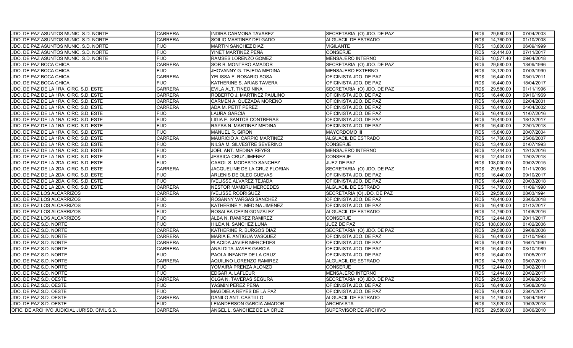| JDO. DE PAZ ASUNTOS MUNIC. S.D. NORTE        | <b>CARRERA</b> | <b>INDIRA CARMONA TAVAREZ</b>  | SECRETARIA (O) JDO. DE PAZ | 29,580.00<br>RD\$  | 07/04/2003 |
|----------------------------------------------|----------------|--------------------------------|----------------------------|--------------------|------------|
| JDO. DE PAZ ASUNTOS MUNIC. S.D. NORTE        | <b>CARRERA</b> | SOILIO MARTINEZ DELGADO        | ALGUACIL DE ESTRADO        | RD\$<br>14,760.00  | 01/10/2008 |
| JDO. DE PAZ ASUNTOS MUNIC. S.D. NORTE        | <b>FIJO</b>    | <b>MARTIN SANCHEZ DIAZ</b>     | <b>VIGILANTE</b>           | 13,800.00<br>RD\$  | 06/09/1999 |
| JDO. DE PAZ ASUNTOS MUNIC. S.D. NORTE        | <b>FIJO</b>    | YINET MARTINEZ PEÑA            | <b>CONSERJE</b>            | RD\$<br>12,444.00  | 07/11/2017 |
| JDO. DE PAZ ASUNTOS MUNIC. S.D. NORTE        | <b>FIJO</b>    | RAMSES LORENZO GOMEZ           | <b>MENSAJERO INTERNO</b>   | 10,577.40<br>RD\$  | 09/04/2018 |
| JDO. DE PAZ BOCA CHICA                       | <b>CARRERA</b> | SOR B. MONTERO AMADOR          | SECRETARIA (O) JDO. DE PAZ | 29,580.00<br>RD\$  | 13/09/1996 |
| JDO. DE PAZ BOCA CHICA                       | <b>FIJO</b>    | JHOVANNY G. TEJEDA MEDINA      | MENSAJERO EXTERNO          | 18,120.00<br>RD\$  | 07/03/1990 |
| JDO. DE PAZ BOCA CHICA                       | <b>CARRERA</b> | YELISSA E. ROSARIO SOSA        | OFICINISTA JDO. DE PAZ     | 16,440.00<br>RD\$  | 03/01/2011 |
| JDO. DE PAZ BOCA CHICA                       | <b>FIJO</b>    | KATHERINE S. ARIAS TAVERA      | OFICINISTA JDO. DE PAZ     | 16,440.00<br>RD\$  | 18/04/2017 |
| JDO. DE PAZ DE LA 1RA. CIRC. S.D. ESTE       | <b>CARRERA</b> | EVILA ALT. TINEO NINA          | SECRETARIA (O) JDO. DE PAZ | RD\$<br>29,580.00  | 01/11/1996 |
| JDO. DE PAZ DE LA 1RA. CIRC. S.D. ESTE       | <b>CARRERA</b> | ROBERTO J. MARTINEZ PAULINO    | OFICINISTA JDO. DE PAZ     | 16,440.00<br>RD\$  | 09/10/1969 |
| JDO. DE PAZ DE LA 1RA. CIRC. S.D. ESTE       | <b>CARRERA</b> | CARMEN A. QUEZADA MORENO       | OFICINISTA JDO. DE PAZ     | RD\$<br>16.440.00  | 02/04/2001 |
| JDO. DE PAZ DE LA 1RA. CIRC. S.D. ESTE       | <b>CARRERA</b> | ADA M. PETIT PEREZ             | OFICINISTA JDO. DE PAZ     | RD\$<br>16,440.00  | 04/04/2002 |
| JDO. DE PAZ DE LA 1RA. CIRC. S.D. ESTE       | <b>FIJO</b>    | <b>LAURA GARCIA</b>            | OFICINISTA JDO. DE PAZ     | RD\$<br>16.440.00  | 11/07/2016 |
| JDO. DE PAZ DE LA 1RA. CIRC. S.D. ESTE       | <b>FIJO</b>    | LIGIA E. SANTOS CONTRERAS      | OFICINISTA JDO. DE PAZ     | RD\$<br>16,440.00  | 18/12/2017 |
| JDO. DE PAZ DE LA 1RA. CIRC. S.D. ESTE       | <b>FIJO</b>    | RAYSA N. MARTINEZ MEDINA       | OFICINISTA JDO. DE PAZ     | RD\$<br>16,440.00  | 22/01/2018 |
| JDO. DE PAZ DE LA 1RA. CIRC. S.D. ESTE       | <b>FIJO</b>    | MANUEL R. GIRON                | <b>MAYORDOMO III</b>       | RD\$<br>15,840.00  | 20/07/2004 |
| JDO. DE PAZ DE LA 1RA. CIRC. S.D. ESTE       | <b>CARRERA</b> | MAURICIO A. CARPIO MARTINEZ    | ALGUACIL DE ESTRADO        | RD\$<br>14,760.00  | 25/06/2007 |
| JDO. DE PAZ DE LA 1RA. CIRC. S.D. ESTE       | <b>FIJO</b>    | NILSA M. SILVESTRE SEVERINO    | <b>CONSERJE</b>            | RD\$<br>13,440.00  | 01/07/1993 |
| JDO. DE PAZ DE LA 1RA. CIRC. S.D. ESTE       | <b>FIJO</b>    | JOEL ANT. MEDINA REYES         | <b>MENSAJERO INTERNO</b>   | RD\$<br>12,444.00  | 12/12/2016 |
| JDO. DE PAZ DE LA 1RA. CIRC. S.D. ESTE       | <b>FIJO</b>    | JESSICA CRUZ JIMENEZ           | <b>CONSERJE</b>            | 12,444.00<br>RD\$  | 12/02/2018 |
| JDO. DE PAZ DE LA 2DA. CIRC. S.D. ESTE       | <b>FIJO</b>    | CAROL S. MODESTO SANCHEZ       | JUEZ DE PAZ                | 108,000.00<br>RD\$ | 09/02/2015 |
| JDO. DE PAZ DE LA 2DA. CIRC. S.D. ESTE       | <b>CARRERA</b> | JACQUELINE DE LA CRUZ FLORIAN  | SECRETARIA (O) JDO. DE PAZ | RD\$<br>29,580.00  | 01/11/2006 |
| JDO. DE PAZ DE LA 2DA. CIRC. S.D. ESTE       | <b>FIJO</b>    | ARLENIS DE OLEO CUEVAS         | OFICINISTA JDO. DE PAZ     | RD\$<br>16,440.00  | 09/10/2017 |
| JDO. DE PAZ DE LA 2DA. CIRC. S.D. ESTE       | <b>FIJO</b>    | <b>IVELISSE ALVAREZ TEJADA</b> | OFICINISTA JDO. DE PAZ     | RD\$<br>16.440.00  | 20/03/2018 |
| JDO. DE PAZ DE LA 2DA. CIRC. S.D. ESTE       | <b>CARRERA</b> | <b>NESTOR MAMBRU MERCEDES</b>  | ALGUACIL DE ESTRADO        | 14,760.00<br>RD\$  | 11/09/1990 |
| JDO. DE PAZ LOS ALCARRIZOS                   | <b>CARRERA</b> | <b>IVELISSE RODRIGUEZ</b>      | SECRETARIA (O) JDO. DE PAZ | RD\$<br>29,580.00  | 08/03/1994 |
| JDO. DE PAZ LOS ALCARRIZOS                   | <b>FIJO</b>    | ROSANNY VARGAS SANCHEZ         | OFICINISTA JDO. DE PAZ     | RD\$<br>16,440.00  | 23/05/2018 |
| JDO. DE PAZ LOS ALCARRIZOS                   | <b>FIJO</b>    | KATHERINE Y. MEDINA JIMENEZ    | OFICINISTA JDO. DE PAZ     | 16,440.00<br>RD\$  | 01/12/2017 |
| JDO. DE PAZ LOS ALCARRIZOS                   | <b>FIJO</b>    | ROSALBA CEPIN GONZALEZ         | ALGUACIL DE ESTRADO        | RD\$<br>14,760.00  | 11/08/2016 |
| JDO. DE PAZ LOS ALCARRIZOS                   | <b>FIJO</b>    | ALBA N. RAMIREZ RAMIREZ        | <b>CONSERJE</b>            | RD\$<br>12,444.00  | 20/11/2017 |
| JDO. DE PAZ S.D. NORTE                       | <b>FIJO</b>    | HILDA N. SANCHEZ LUNA          | JUEZ DE PAZ                | RD\$<br>108,000.00 | 01/02/2006 |
| JDO. DE PAZ S.D. NORTE                       | <b>CARRERA</b> | KATHERINE R. BURGOS DIAZ       | SECRETARIA (O) JDO. DE PAZ | RD\$<br>29,580.00  | 29/08/2006 |
| JDO. DE PAZ S.D. NORTE                       | <b>CARRERA</b> | MARIA E. ANTIGUA VASQUEZ       | OFICINISTA JDO. DE PAZ     | RD\$<br>16,440.00  | 01/10/1993 |
| JDO. DE PAZ S.D. NORTE                       | <b>CARRERA</b> | PLACIDA JAVIER MERCEDES        | OFICINISTA JDO. DE PAZ     | 16,440.00<br>RD\$  | 16/01/1990 |
| JDO. DE PAZ S.D. NORTE                       | <b>CARRERA</b> | ANALDITA JAVIER GARCIA         | OFICINISTA JDO. DE PAZ     | RD\$<br>16,440.00  | 03/10/1989 |
| JDO. DE PAZ S.D. NORTE                       | <b>FIJO</b>    | PAOLA INFANTE DE LA CRUZ       | OFICINISTA JDO. DE PAZ     | RD\$<br>16,440.00  | 17/05/2017 |
| JDO. DE PAZ S.D. NORTE                       | <b>CARRERA</b> | AQUILINO LORENZO RAMIREZ       | ALGUACIL DE ESTRADO        | 14,760.00<br>RD\$  | 05/07/2010 |
| JDO. DE PAZ S.D. NORTE                       | <b>FIJO</b>    | YOMAIRA PRENZA ALONZO          | <b>CONSERJE</b>            | RD\$<br>12,444.00  | 03/02/2011 |
| JDO. DE PAZ S.D. NORTE                       | <b>FIJO</b>    | EDGAR A. LAFLEUR               | <b>MENSAJERO INTERNO</b>   | 12.444.00<br>RD\$  | 20/02/2017 |
| JDO. DE PAZ S.D. OESTE                       | <b>CARRERA</b> | OLGA N. TAVERAS SEGURA         | SECRETARIA (O) JDO. DE PAZ | RD\$<br>29,580.00  | 03/09/2012 |
| JDO. DE PAZ S.D. OESTE                       | <b>FIJO</b>    | YASMIN PEREZ PEÑA              | OFICINISTA JDO. DE PAZ     | 16,440.00<br>RD\$  | 15/08/2016 |
| JDO. DE PAZ S.D. OESTE                       | <b>FIJO</b>    | MAGDIELA REYES DE LA PAZ       | OFICINISTA JDO. DE PAZ     | RD\$<br>16,440.00  | 23/01/2017 |
| JDO. DE PAZ S.D. OESTE                       | <b>CARRERA</b> | DANILO ANT. CASTILLO           | ALGUACIL DE ESTRADO        | RD\$<br>14,760.00  | 13/04/1987 |
| JDO. DE PAZ S.D. OESTE                       | <b>FIJO</b>    | LEIANDERSON GARCIA AMADOR      | <b>ARCHIVISTA</b>          | 13,920.00<br>RD\$  | 19/03/2018 |
| OFIC. DE ARCHIVO JUDICIAL JURISD. CIVIL S.D. | <b>CARRERA</b> | ANGEL L. SANCHEZ DE LA CRUZ    | SUPERVISOR DE ARCHIVO      | RD\$<br>29,580.00  | 08/06/2010 |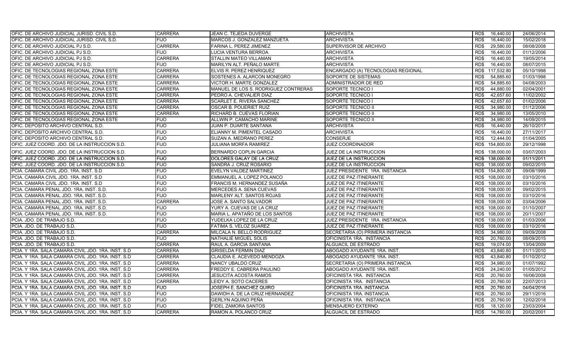| OFIC. DE ARCHIVO JUDICIAL JURISD. CIVIL S.D.        | <b>CARRERA</b> | JEAN C. TEJEDA DUVERGE               | <b>ARCHIVISTA</b>                  | 16,440.00<br>RD\$  | 24/06/2014 |
|-----------------------------------------------------|----------------|--------------------------------------|------------------------------------|--------------------|------------|
| OFIC. DE ARCHIVO JUDICIAL JURISD. CIVIL S.D.        | <b>FIJO</b>    | MARCOS J. GONZALEZ MANZUETA          | <b>ARCHIVISTA</b>                  | RD\$<br>16.440.00  | 15/02/2018 |
| OFIC. DE ARCHIVO JUDICIAL PJ S.D.                   | <b>CARRERA</b> | FARINA L. PEREZ JIMENEZ              | SUPERVISOR DE ARCHIVO              | 29,580.00<br>RD\$  | 08/08/2008 |
| OFIC. DE ARCHIVO JUDICIAL PJ S.D.                   | <b>FIJO</b>    | LUCIA VENTURA BERROA                 | <b>ARCHIVISTA</b>                  | RD\$<br>16,440.00  | 01/12/2006 |
| OFIC. DE ARCHIVO JUDICIAL PJ S.D.                   | <b>CARRERA</b> | STALLIN MATEO VILLAMAN               | <b>ARCHIVISTA</b>                  | RD\$<br>16,440.00  | 19/05/2014 |
| OFIC. DE ARCHIVO JUDICIAL PJ S.D.                   | <b>FIJO</b>    | MARILYN ALT. PEÑALO MARTE            | <b>ARCHIVISTA</b>                  | RD\$<br>16,440.00  | 08/07/2015 |
| OFIC. DE TECNOLOGIAS REGIONAL ZONA ESTE             | <b>CARRERA</b> | ELVIS R. PEREZ HENRIQUEZ             | ENCARGADO (A) TECNOLOGIAS REGIONAL | RD\$<br>117,532.80 | 05/10/1998 |
| OFIC. DE TECNOLOGIAS REGIONAL ZONA ESTE             | <b>CARRERA</b> | SOSTENES A. ALARCON MONEGRO          | SOPORTE DE SISTEMAS                | 54,885.60<br>RD\$  | 01/03/1998 |
| OFIC. DE TECNOLOGIAS REGIONAL ZONA ESTE             | <b>CARRERA</b> | VICTOR H. MARTE GONZALEZ             | ADMINISTRADOR DE RED               | 54,885.60<br>RD\$  | 04/08/2003 |
| OFIC. DE TECNOLOGIAS REGIONAL ZONA ESTE             | <b>CARRERA</b> | MANUEL DE LOS S. RODRIGUEZ CONTRERAS | SOPORTE TECNICO I                  | 44.880.00<br>RD\$  | 02/04/2001 |
| OFIC. DE TECNOLOGIAS REGIONAL ZONA ESTE             | <b>CARRERA</b> | PEDRO A. CHEVALIER DIAZ              | SOPORTE TECNICO I                  | 42.657.60<br>RD\$  | 11/02/2002 |
| OFIC. DE TECNOLOGIAS REGIONAL ZONA ESTE             | <b>CARRERA</b> | SCARLET E. RIVERA SANCHEZ            | SOPORTE TECNICO I                  | RD\$<br>42,657.60  | 01/02/2006 |
| OFIC. DE TECNOLOGIAS REGIONAL ZONA ESTE             | <b>CARRERA</b> | OSCAR B. POUERIET RUIZ               | SOPORTE TECNICO II                 | RD\$<br>34,980.00  | 01/12/2006 |
| OFIC. DE TECNOLOGIAS REGIONAL ZONA ESTE             | <b>CARRERA</b> | RICHARD B. CUEVAS FLORIAN            | SOPORTE TECNICO II                 | RD\$<br>34,980.00  | 13/05/2010 |
| OFIC. DE TECNOLOGIAS REGIONAL ZONA ESTE             | <b>FIJO</b>    | ALLWIN P. CAMACHO MARINE             | SOPORTE TECNICO II                 | 34,980.00<br>RD\$  | 14/09/2015 |
| OFIC. DEPOSITO ARCHIVO CENTRAL S.D.                 | <b>FIJO</b>    | JUAN P. DUARTE SANTANA               | <b>ARCHIVISTA</b>                  | RD\$<br>16,440.00  | 26/10/2017 |
| OFIC. DEPOSITO ARCHIVO CENTRAL S.D.                 | <b>FIJO</b>    | ELIANNY M. PIMENTEL CASADO           | <b>ARCHIVISTA</b>                  | RD\$<br>16,440.00  | 27/11/2017 |
| OFIC. DEPOSITO ARCHIVO CENTRAL S.D.                 | <b>FIJO</b>    | SUZAN A. MEDRANO PEREZ               | <b>CONSERJE</b>                    | 12.444.00<br>RD\$  | 01/04/2005 |
| OFIC. JUEZ COORD. JDO. DE LA INSTRUCCION S.D.       | <b>FIJO</b>    | JULIANA MORFA RAMIREZ                | <b>JUEZ COORDINADOR</b>            | 154,800.00<br>RD\$ | 29/12/1998 |
| OFIC. JUEZ COORD. JDO. DE LA INSTRUCCION S.D.       | <b>FIJO</b>    | BERNARDO COPLIN GARCIA               | JUEZ DE LA INSTRUCCION             | RD\$ 138,000.00    | 03/07/2003 |
| OFIC. JUEZ COORD. JDO. DE LA INSTRUCCION S.D.       | <b>FIJO</b>    | DOLORES GALAY DE LA CRUZ             | JUEZ DE LA INSTRUCCION             | RD\$ 138,000.00    | 01/11/2011 |
| OFIC. JUEZ COORD. JDO. DE LA INSTRUCCION S.D.       | <b>FIJO</b>    | SANDRA J. CRUZ ROSARIO               | JUEZ DE LA INSTRUCCION             | RD\$ 138,000.00    | 09/02/2015 |
| PCIA. CAMARA CIVIL JDO. 1RA. INST. S.D.             | <b>FIJO</b>    | EVELYN VALDEZ MARTINEZ               | JUEZ PRESIDENTE 1RA. INSTANCIA     | RD\$ 154,800.00    | 09/08/1999 |
| PCIA. CAMARA CIVIL JDO. 1RA. INST. S.D.             | <b>FIJO</b>    | EMMANUEL A. LOPEZ POLANCO            | JUEZ DE PAZ ITINERANTE             | RD\$ 108,000.00    | 03/10/2016 |
| PCIA. CAMARA CIVIL JDO. 1RA. INST. S.D.             | <b>FIJO</b>    | FRANCIS M. HERNANDEZ SUSAÑA          | <b>JUEZ DE PAZ ITINERANTE</b>      | RD\$<br>108,000.00 | 03/10/2016 |
| PCIA. CAMARA PENAL JDO. 1RA. INST. S.D.             | <b>FIJO</b>    | MERCEDES A. SENA CUEVAS              | JUEZ DE PAZ ITINERANTE             | RD\$ 108,000.00    | 09/02/2015 |
| PCIA. CAMARA PENAL JDO. 1RA. INST. S.D.             | <b>FIJO</b>    | MARLENY ALT. SANTOS ROJAS            | <b>JUEZ DE PAZ ITINERANTE</b>      | RD\$ 108,000.00    | 03/10/2016 |
| PCIA. CAMARA PENAL JDO. 1RA. INST. S.D.             | <b>CARRERA</b> | JOSE A. SANTO SALVADOR               | JUEZ DE PAZ ITINERANTE             | RD\$ 108,000.00    | 03/04/2006 |
| PCIA. CAMARA PENAL JDO. 1RA. INST. S.D.             | <b>FIJO</b>    | YURY A. CUEVAS DE LA CRUZ            | JUEZ DE PAZ ITINERANTE             | RD\$ 108,000.00    | 01/10/2007 |
| PCIA. CAMARA PENAL JDO. 1RA. INST. S.D.             | <b>FIJO</b>    | MARIA L. APATAÑO DE LOS SANTOS       | JUEZ DE PAZ ITINERANTE             | RD\$ 108,000.00    | 20/11/2007 |
| PCIA. JDO. DE TRABAJO S.D.                          | <b>FIJO</b>    | YUDELKA LOPEZ DE LA CRUZ             | JUEZ PRESIDENTE 1RA. INSTANCIA     | RD\$ 138,000.00    | 01/03/2006 |
| PCIA. JDO. DE TRABAJO S.D.                          | <b>FIJO</b>    | FATIMA S. VELOZ SUAREZ               | JUEZ DE PAZ ITINERANTE             | RD\$ 108,000.00    | 03/10/2016 |
| PCIA. JDO. DE TRABAJO S.D.                          | <b>CARRERA</b> | MILCALA N. BELLO RODRIGUEZ           | SECRETARIA (O) PRIMERA INSTANCIA   | RD\$<br>34,980.00  | 09/09/2008 |
| PCIA, JDO, DE TRABAJO S.D.                          | <b>FIJO</b>    | NATHALIE MIGUEL SOLIS                | OFICINISTA 1RA. INSTANCIA          | RD\$<br>20.760.00  | 08/09/2015 |
| PCIA. JDO. DE TRABAJO S.D.                          | <b>CARRERA</b> | RAUL A. GARCIA SANTANA               | ALGUACIL DE ESTRADO                | RD\$<br>19,074.00  | 13/04/2009 |
| PCIA. Y 1RA. SALA CAMARA CIVIL JDO. 1RA. INST. S.D  | <b>CARRERA</b> | <b>GRISELDA FERMIN DIAZ</b>          | ABOGADO AYUDANTE 1RA. INST.        | RD\$<br>43,840.80  | 01/11/2010 |
| PCIA. Y 1RA. SALA CAMARA CIVIL JDO. 1RA. INST. S.D. | <b>CARRERA</b> | CLAUDIA E. ACEVEDO MENDOZA           | ABOGADO AYUDANTE 1RA. INST.        | 43,840.80<br>RD\$  | 01/10/2012 |
| PCIA. Y 1RA. SALA CAMARA CIVIL JDO. 1RA. INST. S.D  | <b>CARRERA</b> | NANCY UBALDO CRUZ                    | SECRETARIA (O) PRIMERA INSTANCIA   | 34,980.00<br>RD\$  | 01/07/1992 |
| PCIA, Y 1RA, SALA CAMARA CIVIL JDO, 1RA, INST, S.D. | <b>CARRERA</b> | FREDDY E. CABRERA PAULINO            | ABOGADO AYUDANTE 1RA. INST.        | RD\$<br>24,240.00  | 01/05/2012 |
| PCIA. Y 1RA. SALA CAMARA CIVIL JDO. 1RA. INST. S.D. | <b>CARRERA</b> | JESUCITA ACOSTA RAMOS                | OFICINISTA 1RA. INSTANCIA          | RD\$<br>20,760.00  | 16/06/2008 |
| PCIA. Y 1RA. SALA CAMARA CIVIL JDO. 1RA. INST. S.D. | <b>CARRERA</b> | LEIDY A. SOTO CACERES                | OFICINISTA 1RA. INSTANCIA          | 20,760.00<br>RD\$  | 22/07/2013 |
| PCIA. Y 1RA. SALA CAMARA CIVIL JDO. 1RA. INST. S.D  | <b>FIJO</b>    | JOSEPH E. SANCHEZ QUIRO              | OFICINISTA 1RA. INSTANCIA          | 20,760.00<br>RD\$  | 04/04/2016 |
| PCIA. Y 1RA. SALA CAMARA CIVIL JDO. 1RA. INST. S.D  | <b>FIJO</b>    | DAWIDH A. DE LA CRUZ HERNANDEZ       | OFICINISTA 1RA. INSTANCIA          | RD\$<br>20.760.00  | 29/11/2016 |
| PCIA. Y 1RA. SALA CAMARA CIVIL JDO. 1RA. INST. S.D. | <b>FIJO</b>    | GERLYN AQUINO PEÑA                   | OFICINISTA 1RA. INSTANCIA          | RD\$<br>20,760.00  | 12/02/2018 |
| PCIA. Y 1RA. SALA CAMARA CIVIL JDO. 1RA. INST. S.D. | <b>FIJO</b>    | FIDEL ZAMORA SANTOS                  | <b>MENSAJERO EXTERNO</b>           | 18,120.00<br>RD\$  | 23/03/2004 |
| PCIA. Y 1RA. SALA CAMARA CIVIL JDO. 1RA. INST. S.D  | <b>CARRERA</b> | RAMON A. POLANCO CRUZ                | ALGUACIL DE ESTRADO                | RD\$<br>14,760.00  | 20/02/2001 |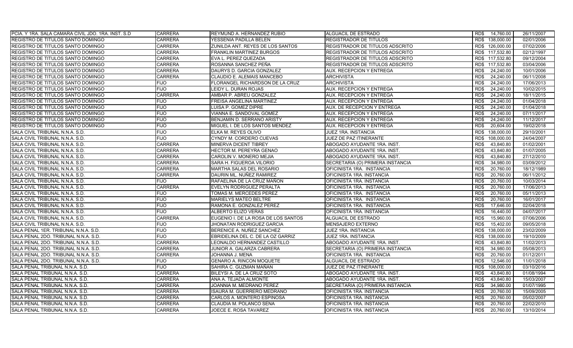| PCIA. Y 1RA. SALA CAMARA CIVIL JDO. 1RA. INST. S.D. | <b>CARRERA</b> | REYMUND A. HERNANDEZ RUBIO          | ALGUACIL DE ESTRADO              | RD\$ 14,760.00     | 26/11/2007 |
|-----------------------------------------------------|----------------|-------------------------------------|----------------------------------|--------------------|------------|
| REGISTRO DE TITULOS SANTO DOMINGO                   | <b>CARRERA</b> | YESSENIA PADILLA BELEN              | REGISTRADOR DE TITULOS           | RD\$ 138,000.00    | 02/01/2006 |
| REGISTRO DE TITULOS SANTO DOMINGO                   | <b>CARRERA</b> | ZUNILDA ANT. REYES DE LOS SANTOS    | REGISTRADOR DE TITULOS ADSCRITO  | RD\$ 126,000.00    | 07/02/2006 |
| REGISTRO DE TITULOS SANTO DOMINGO                   | <b>CARRERA</b> | <b>FRANKLIN MARTINEZ BURGOS</b>     | REGISTRADOR DE TITULOS ADSCRITO  | RD\$ 117.532.80    | 02/12/1997 |
| REGISTRO DE TITULOS SANTO DOMINGO                   | <b>CARRERA</b> | EVA L. PEREZ QUEZADA                | REGISTRADOR DE TITULOS ADSCRITO  | RD\$ 117,532.80    | 09/12/2004 |
| REGISTRO DE TITULOS SANTO DOMINGO                   | <b>CARRERA</b> | ROSANNA SANCHEZ PEÑA                | REGISTRADOR DE TITULOS ADSCRITO  | RD\$ 117,532.80    | 03/04/2006 |
| REGISTRO DE TITULOS SANTO DOMINGO                   | <b>CARRERA</b> | DAURYS D. GARCIA GONZALEZ           | <b>AUX. RECEPCION Y ENTREGA</b>  | RD\$<br>24,240.00  | 10/01/2006 |
| REGISTRO DE TITULOS SANTO DOMINGO                   | <b>CARRERA</b> | CLAUDIO E. ALEMAIS MANCEBO          | <b>ARCHIVISTA</b>                | 24,240.00<br>RD\$  | 06/11/2008 |
| REGISTRO DE TITULOS SANTO DOMINGO                   | <b>FIJO</b>    | FLORANGEL RICHARDSON DE LA CRUZ     | <b>ARCHIVISTA</b>                | RD\$<br>24,240.00  | 17/06/2013 |
| REGISTRO DE TITULOS SANTO DOMINGO                   | <b>FIJO</b>    | LEIDY L. DURAN ROJAS                | <b>AUX. RECEPCION Y ENTREGA</b>  | RD\$<br>24,240.00  | 10/02/2015 |
| REGISTRO DE TITULOS SANTO DOMINGO                   | <b>CARRERA</b> | AMBAR P. ABREU GONZALEZ             | AUX. RECEPCION Y ENTREGA         | RD\$<br>24,240.00  | 18/11/2015 |
| REGISTRO DE TITULOS SANTO DOMINGO                   | <b>FIJO</b>    | FREISA ANGELINA MARTINEZ            | AUX. RECEPCION Y ENTREGA         | 24,240.00<br>RD\$  | 01/04/2018 |
| REGISTRO DE TITULOS SANTO DOMINGO                   | <b>FIJO</b>    | LUISA P. GOMEZ DIPRE                | AUX. DE RECEPCION Y ENTREGA      | RD\$<br>24,240.00  | 01/04/2018 |
| REGISTRO DE TITULOS SANTO DOMINGO                   | <b>FIJO</b>    | VIANNA E. SANDOVAL GOMEZ            | AUX. RECEPCION Y ENTREGA         | 24,240.00<br>RD\$  | 07/11/2017 |
| REGISTRO DE TITULOS SANTO DOMINGO                   | <b>FIJO</b>    | BENJAMIN D. SERRANO ARISTY          | AUX. RECEPCION Y ENTREGA         | RD\$<br>24,240.00  | 11/12/2017 |
| REGISTRO DE TITULOS SANTO DOMINGO                   | <b>FIJO</b>    | MIGUEL I. DE LOS SANTOS MENDEZ      | AUX. RECEPCION Y ENTREGA         | 20,604.00<br>RD\$  | 19/02/2018 |
| SALA CIVIL TRIBUNAL N.N.A. S.D.                     | <b>FIJO</b>    | ELKA M. REYES OLIVO                 | JUEZ 1RA. INSTANCIA              | 138,000.00<br>RD\$ | 29/10/2001 |
| SALA CIVIL TRIBUNAL N.N.A. S.D.                     | <b>FIJO</b>    | CYNDY M. CORDERO CUEVAS             | JUEZ DE PAZ ITINERANTE           | RD\$ 108,000.00    | 24/04/2007 |
| SALA CIVIL TRIBUNAL N.N.A. S.D.                     | <b>CARRERA</b> | MINERVA DICENT TIBREY               | ABOGADO AYUDANTE 1RA. INST.      | 43,840.80<br>RD\$  | 01/02/2001 |
| SALA CIVIL TRIBUNAL N.N.A. S.D.                     | <b>CARRERA</b> | HECTOR M. PEREYRA GENAO             | ABOGADO AYUDANTE 1RA. INST.      | RD\$<br>43,840.80  | 01/07/2005 |
| SALA CIVIL TRIBUNAL N.N.A. S.D.                     | <b>CARRERA</b> | CAROLIN V. MONERO MEJIA             | ABOGADO AYUDANTE 1RA. INST.      | 43,840.80<br>RD\$  | 27/12/2010 |
| SALA CIVIL TRIBUNAL N.N.A. S.D.                     | <b>CARRERA</b> | SARA H. FIGUEROA VILORIO            | SECRETARIA (O) PRIMERA INSTANCIA | RD\$<br>34,980.00  | 03/09/2012 |
| SALA CIVIL TRIBUNAL N.N.A. S.D.                     | <b>CARRERA</b> | MARTHA SALAS DEL ROSARIO            | OFICINISTA 1RA. INSTANCIA        | 20,760.00<br>RD\$  | 18/12/1989 |
| SALA CIVIL TRIBUNAL N.N.A. S.D.                     | <b>CARRERA</b> | DAURIN ML. NUÑEZ RAMIREZ            | OFICINISTA 1RA. INSTANCIA        | RD\$<br>20,760.00  | 06/11/2012 |
| SALA CIVIL TRIBUNAL N.N.A. S.D.                     | <b>FIJO</b>    | RAFAELINA DE LA CRUZ MAÑON          | OFICINISTA 1RA. INSTANCIA        | RD\$<br>20,760.00  | 10/03/2014 |
| SALA CIVIL TRIBUNAL N.N.A. S.D.                     | <b>CARRERA</b> | EVELYN RODRIGUEZ PERALTA            | OFICINISTA 1RA. INSTANCIA        | RD\$<br>20,760.00  | 17/06/2013 |
| SALA CIVIL TRIBUNAL N.N.A. S.D.                     | <b>FIJO</b>    | TOMAS M. MERCEDES PEREZ             | OFICINISTA 1RA. INSTANCIA        | RD\$<br>20.760.00  | 05/11/2013 |
| SALA CIVIL TRIBUNAL N.N.A. S.D.                     | <b>FIJO</b>    | <b>MARIELYS MATEO BELTRE</b>        | OFICINISTA 1RA. INSTANCIA        | RD\$<br>20,760.00  | 16/01/2017 |
| SALA CIVIL TRIBUNAL N.N.A. S.D.                     | <b>FIJO</b>    | RAMONA E. GONZALEZ PEREZ            | OFICINISTA 1RA. INSTANCIA        | 17.646.00<br>RD\$  | 02/04/2018 |
| SALA CIVIL TRIBUNAL N.N.A. S.D.                     | <b>FIJO</b>    | ALBERTO ELIZO VERAS                 | OFICINISTA 1RA. INSTANCIA        | RD\$<br>16,440.00  | 04/07/2017 |
| SALA CIVIL TRIBUNAL N.N.A. S.D.                     | <b>CARRERA</b> | EUGENIO I. DE LA ROSA DE LOS SANTOS | ALGUACIL DE ESTRADO              | RD\$<br>15,960.00  | 07/06/2006 |
| SALA CIVIL TRIBUNAL N.N.A. S.D.                     | <b>FIJO</b>    | JHONATAN RODRIGUEZ GARCIA           | MENSAJERO EXTERNO                | RD\$<br>15,402.00  | 09/05/2018 |
| SALA PENAL 1ER. TRIBUNAL N.N.A. S.D.                | <b>FIJO</b>    | BERENICE A. NUÑEZ SANCHEZ           | JUEZ 1RA. INSTANCIA              | 138,000.00<br>RD\$ | 23/02/2009 |
| SALA PENAL 2DO. TRIBUNAL N.N.A. S.D.                | <b>FIJO</b>    | EBRIDELINA DEL C. DE LA OZ GARRIZ   | JUEZ 1RA. INSTANCIA              | 138,000.00<br>RD\$ | 19/10/2009 |
| SALA PENAL 2DO. TRIBUNAL N.N.A. S.D.                | <b>CARRERA</b> | LEONALDO HERNANDEZ CASTILLO         | ABOGADO AYUDANTE 1RA. INST.      | 43.840.80<br>RD\$  | 11/02/2013 |
| SALA PENAL 2DO. TRIBUNAL N.N.A. S.D.                | <b>CARRERA</b> | JUNIOR A. GALARZA CABRERA           | SECRETARIA (O) PRIMERA INSTANCIA | RD\$<br>34,980.00  | 05/08/2013 |
| SALA PENAL 2DO. TRIBUNAL N.N.A. S.D.                | <b>CARRERA</b> | JOHANNA J. MENA                     | OFICINISTA 1RA. INSTANCIA        | 20,760.00<br>RD\$  | 01/12/2011 |
| SALA PENAL 2DO. TRIBUNAL N.N.A. S.D.                | <b>FIJO</b>    | <b>GENARO A. RINCON MOQUETE</b>     | ALGUACIL DE ESTRADO              | RD\$<br>12.546.00  | 11/01/2018 |
| SALA PENAL TRIBUNAL N.N.A. S.D.                     | <b>FIJO</b>    | SAHIRA C. GUZMAN MAÑAN              | JUEZ DE PAZ ITINERANTE           | 108,000.00<br>RD\$ | 03/10/2016 |
| SALA PENAL TRIBUNAL N.N.A. S.D.                     | <b>CARRERA</b> | BILEYSI A. DE LA CRUZ SOTO          | ABOGADO AYUDANTE 1RA. INST.      | RD\$<br>43,840.80  | 01/08/1994 |
| SALA PENAL TRIBUNAL N.N.A. S.D.                     | <b>CARRERA</b> | ANA A. TEJADA ALMONTE               | ABOGADO AYUDANTE 1RA. INST.      | RD\$<br>43,840.80  | 15/03/2007 |
| SALA PENAL TRIBUNAL N.N.A. S.D.                     | CARRERA        | JOANNIA M. MEDRANO PEREZ            | SECRETARIA (O) PRIMERA INSTANCIA | 34,980.00<br>RD\$  | 01/07/1995 |
| SALA PENAL TRIBUNAL N.N.A. S.D.                     | <b>CARRERA</b> | ISAURA M. GUERRERO MEDRANO          | OFICINISTA 1RA. INSTANCIA        | 20,760.00<br>RD\$  | 15/09/2005 |
| SALA PENAL TRIBUNAL N.N.A. S.D.                     | CARRERA        | CARLOS A. MONTERO ESPINOSA          | OFICINISTA 1RA. INSTANCIA        | RD\$<br>20,760.00  | 05/02/2007 |
| SALA PENAL TRIBUNAL N.N.A. S.D.                     | CARRERA        | CLAUDIA M. POLANCO SENA             | OFICINISTA 1RA. INSTANCIA        | 20,760.00<br>RD\$  | 22/02/2010 |
| SALA PENAL TRIBUNAL N.N.A. S.D.                     | <b>CARRERA</b> | JOECE E. ROSA TAVAREZ               | OFICINISTA 1RA. INSTANCIA        | RD\$<br>20,760.00  | 13/10/2014 |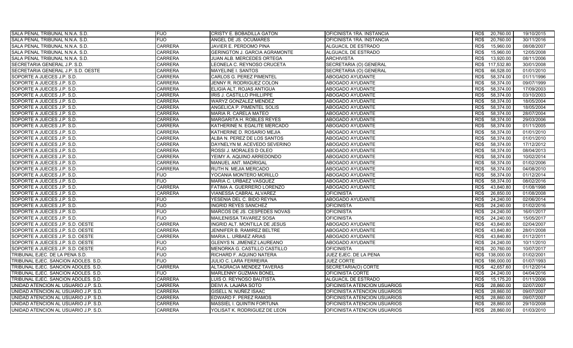| SALA PENAL TRIBUNAL N.N.A. S.D.      | <b>FIJO</b>    | <b>CRISTY E. BOBADILLA GATON</b>     | OFICINISTA 1RA. INSTANCIA    | 20,760.00<br>RD\$  | 19/10/2015 |
|--------------------------------------|----------------|--------------------------------------|------------------------------|--------------------|------------|
| SALA PENAL TRIBUNAL N.N.A. S.D.      | <b>FIJO</b>    | ANGEL DE JS. OCUMARES                | OFICINISTA 1RA. INSTANCIA    | RD\$<br>20,760.00  | 30/11/2016 |
| SALA PENAL TRIBUNAL N.N.A. S.D.      | <b>CARRERA</b> | JAVIER E. PERDOMO PINA               | ALGUACIL DE ESTRADO          | 15,960.00<br>RD\$  | 08/08/2007 |
| SALA PENAL TRIBUNAL N.N.A. S.D.      | <b>CARRERA</b> | <b>GERINGTON J. GARCIA AGRAMONTE</b> | ALGUACIL DE ESTRADO          | RD\$<br>15,960.00  | 12/05/2008 |
| SALA PENAL TRIBUNAL N.N.A. S.D.      | <b>CARRERA</b> | JUAN ALB. MERCEDES ORTEGA            | <b>ARCHIVISTA</b>            | 13,920.00<br>RD\$  | 08/11/2006 |
| SECRETARIA GENERAL J.P. S.D.         | <b>CARRERA</b> | EONELA C. REYNOSO CRUCETA            | SECRETARIA (O) GENERAL       | 117,532.80<br>RD\$ | 30/01/2008 |
| SECRETARIA GENERAL J.P. S.D. OESTE   | <b>CARRERA</b> | MAYELINE I. SANTOS                   | SECRETARIA (O) GENERAL       | 66,528.00<br>RD\$  | 01/01/2010 |
| SOPORTE A JUECES J.P. S.D.           | <b>CARRERA</b> | CARLOS G. PEREZ PIMENTEL             | ABOGADO AYUDANTE             | 58,374.00<br>RD\$  | 01/11/1996 |
| SOPORTE A JUECES J.P. S.D.           | <b>CARRERA</b> | JENNY R. RODRIGUEZ COLON             | ABOGADO AYUDANTE             | RD\$<br>58,374.00  | 09/07/1999 |
| SOPORTE A JUECES J.P. S.D.           | <b>CARRERA</b> | ELIGIA ALT. ROJAS ANTIGUA            | ABOGADO AYUDANTE             | RD\$<br>58,374.00  | 17/09/2003 |
| SOPORTE A JUECES J.P. S.D.           | <b>CARRERA</b> | IRIS J. CASTILLO PHILLIPPE           | ABOGADO AYUDANTE             | 58,374.00<br>RD\$  | 03/10/2003 |
| SOPORTE A JUECES J.P. S.D.           | <b>CARRERA</b> | WARYZ GONZALEZ MENDEZ                | ABOGADO AYUDANTE             | 58,374.00<br>RD\$  | 18/05/2004 |
| SOPORTE A JUECES J.P. S.D.           | <b>CARRERA</b> | ANGELICA P. PIMENTEL SOLIS           | ABOGADO AYUDANTE             | RD\$<br>58,374.00  | 18/05/2004 |
| SOPORTE A JUECES J.P. S.D.           | <b>CARRERA</b> | <b>MARIA R. CARELA MATEO</b>         | ABOGADO AYUDANTE             | 58,374.00<br>RD\$  | 28/07/2004 |
| SOPORTE A JUECES J.P. S.D.           | <b>CARRERA</b> | MARGARITA H. ROBLES REYES            | ABOGADO AYUDANTE             | RD\$<br>58,374.00  | 29/03/2006 |
| SOPORTE A JUECES J.P. S.D.           | <b>CARRERA</b> | KATHERINE N. EGALITE MERCADO         | ABOGADO AYUDANTE             | RD\$<br>58,374.00  | 01/11/2005 |
| SOPORTE A JUECES J.P. S.D.           | <b>CARRERA</b> | KATHERINE D. ROSARIO MEJIA           | ABOGADO AYUDANTE             | 58,374.00<br>RD\$  | 01/01/2010 |
| SOPORTE A JUECES J.P. S.D.           | <b>CARRERA</b> | ALBA N. PEREZ DE LOS SANTOS          | <b>ABOGADO AYUDANTE</b>      | RD\$<br>58,374.00  | 01/01/2010 |
| SOPORTE A JUECES J.P. S.D.           | <b>CARRERA</b> | DAYNELYN M. ACEVEDO SEVERINO         | ABOGADO AYUDANTE             | RD\$<br>58,374.00  | 17/12/2012 |
| SOPORTE A JUECES J.P. S.D.           | <b>CARRERA</b> | ROSSI J. MORALES D OLEO              | ABOGADO AYUDANTE             | RD\$<br>58.374.00  | 08/04/2013 |
| SOPORTE A JUECES J.P. S.D.           | <b>CARRERA</b> | YEIMY A. AQUINO ARREDONDO            | ABOGADO AYUDANTE             | RD\$<br>58,374.00  | 10/02/2014 |
| SOPORTE A JUECES J.P. S.D.           | <b>CARRERA</b> | MANUEL ANT. MADRIGAL                 | ABOGADO AYUDANTE             | 58,374.00<br>RD\$  | 01/02/2006 |
| SOPORTE A JUECES J.P. S.D.           | <b>CARRERA</b> | RUTH N. MEJIA MERCADO                | ABOGADO AYUDANTE             | RD\$<br>58,374.00  | 04/08/2010 |
| SOPORTE A JUECES J.P. S.D.           | <b>FIJO</b>    | YOCANIA MONTERO MORILLO              | ABOGADO AYUDANTE             | 58,374.00<br>RD\$  | 01/12/2014 |
| SOPORTE A JUECES J.P. S.D.           | <b>FIJO</b>    | MARIA C. URBAEZ VASQUEZ              | ABOGADO AYUDANTE             | RD\$<br>58,374.00  | 08/02/2016 |
| SOPORTE A JUECES J.P. S.D.           | <b>CARRERA</b> | FATIMA A. GUERRERO LORENZO           | ABOGADO AYUDANTE             | RD\$<br>43,840.80  | 01/08/1998 |
| SOPORTE A JUECES J.P. S.D.           | <b>CARRERA</b> | VIANESSA CABRAL ALVAREZ              | <b>OFICINISTA</b>            | 26,850.00<br>RD\$  | 01/08/2008 |
| SOPORTE A JUECES J.P. S.D.           | <b>FIJO</b>    | YESENIA DEL C. BIDO REYNA            | ABOGADO AYUDANTE             | RD\$<br>24,240.00  | 02/06/2014 |
| SOPORTE A JUECES J.P. S.D.           | <b>FIJO</b>    | INGRID REYES SANCHEZ                 | <b>OFICINISTA</b>            | 24,240.00<br>RD\$  | 01/02/2016 |
| SOPORTE A JUECES J.P. S.D.           | <b>FIJO</b>    | MARCOS DE JS. CESPEDES NOVAS         | <b>OFICINISTA</b>            | 24,240.00<br>RD\$  | 16/01/2017 |
| SOPORTE A JUECES J.P. S.D.           | <b>FIJO</b>    | <b>MAILENISSA TAVAREZ SOSA</b>       | <b>OFICINISTA</b>            | 24,240.00<br>RD\$  | 15/05/2017 |
| SOPORTE A JUECES J.P. S.D. OESTE     | <b>CARRERA</b> | INGRID ALT. MONTILLA DE JESUS        | ABOGADO AYUDANTE             | RD\$<br>43,840.80  | 02/04/2007 |
| SOPORTE A JUECES J.P. S.D. OESTE     | <b>CARRERA</b> | JENNIFER B. RAMIREZ BELTRE           | ABOGADO AYUDANTE             | RD\$<br>43,840.80  | 28/01/2008 |
| SOPORTE A JUECES J.P. S.D. OESTE     | <b>CARRERA</b> | MARIA L. URBAEZ ARIAS                | ABOGADO AYUDANTE             | RD\$<br>43,840.80  | 01/12/2011 |
| SOPORTE A JUECES J.P. S.D. OESTE     | <b>FIJO</b>    | GLENYS N. JIMENEZ LAUREANO           | ABOGADO AYUDANTE             | 24,240.00<br>RD\$  | 10/11/2010 |
| SOPORTE A JUECES J.P. S.D. OESTE     | <b>FIJO</b>    | MENORKA G. CASTILLO CASTILLO         | <b>OFICINISTA</b>            | RD\$<br>20,760.00  | 10/07/2017 |
| TRIBUNAL EJEC. DE LA PENA S.D.       | <b>FIJO</b>    | RICHARD F. AQUINO NATERA             | JUEZ EJEC. DE LA PENA        | RD\$<br>138,000.00 | 01/02/2001 |
| TRIBUNAL EJEC. SANCION ADOLES. S.D.  | <b>FIJO</b>    | <b>JULIO C. LARA FERREIRA</b>        | <b>JUEZ CORTE</b>            | 186,000.00<br>RD\$ | 01/07/1993 |
| TRIBUNAL EJEC. SANCION ADOLES. S.D.  | <b>CARRERA</b> | ALTAGRACIA MENDEZ TAVERAS            | SECRETARIA(O) CORTE          | 42,657.60<br>RD\$  | 01/12/2014 |
| TRIBUNAL EJEC. SANCION ADOLES. S.D.  | <b>FIJO</b>    | MARLENNY GUZMAN BONEL                | OFICINISTA CORTE             | RD\$<br>24,240.00  | 04/04/2016 |
| TRIBUNAL EJEC. SANCION ADOLES. S.D.  | <b>CARRERA</b> | LUIS O. REYNOSO BAUTISTA             | ALGUACIL DE ESTRADO          | 15,175.20<br>RD\$  | 01/11/2006 |
| UNIDAD ATENCION AL USUARIO J.P. S.D. | <b>CARRERA</b> | DEIVI A. LAJARA SOTO                 | OFICINISTA ATENCION USUARIOS | RD\$<br>28,860.00  | 02/07/2007 |
| UNIDAD ATENCION AL USUARIO J.P. S.D. | <b>CARRERA</b> | GISELL N. NUÑEZ ISAAC                | OFICINISTA ATENCION USUARIOS | RD\$<br>28,860.00  | 09/07/2007 |
| UNIDAD ATENCION AL USUARIO J.P. S.D. | <b>CARRERA</b> | EDWARD F. PEREZ RAMOS                | OFICINISTA ATENCION USUARIOS | RD\$<br>28,860.00  | 09/07/2007 |
| UNIDAD ATENCION AL USUARIO J.P. S.D. | CARRERA        | MASSIEL I. QUINTIN FORTUNA           | OFICINISTA ATENCION USUARIOS | 28,860.00<br>RD\$  | 29/10/2008 |
| UNIDAD ATENCION AL USUARIO J.P. S.D. | <b>CARRERA</b> | YOLISAT K. RODRIGUEZ DE LEON         | OFICINISTA ATENCION USUARIOS | 28.860.00<br>RD\$  | 01/03/2010 |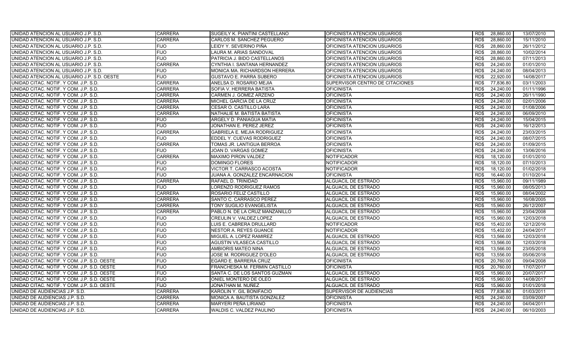| UNIDAD ATENCION AL USUARIO J.P. S.D.        | <b>CARRERA</b> | SUGEILY K. PIANTINI CASTELLANO       | OFICINISTA ATENCION USUARIOS    | RD\$ | 28,860.00 | 13/07/2010 |
|---------------------------------------------|----------------|--------------------------------------|---------------------------------|------|-----------|------------|
| UNIDAD ATENCION AL USUARIO J.P. S.D.        | <b>CARRERA</b> | CARLOS M. SANCHEZ PEGUERO            | OFICINISTA ATENCION USUARIOS    | RD\$ | 28,860.00 | 15/11/2010 |
| UNIDAD ATENCION AL USUARIO J.P. S.D.        | <b>FIJO</b>    | LEIDY Y. SEVERINO PIÑA               | OFICINISTA ATENCION USUARIOS    | RD\$ | 28,860.00 | 26/11/2012 |
| UNIDAD ATENCION AL USUARIO J.P. S.D.        | <b>FIJO</b>    | LAURA M. ARIAS SANDOVAL              | OFICINISTA ATENCION USUARIOS    | RD\$ | 28,860.00 | 10/02/2014 |
| UNIDAD ATENCION AL USUARIO J.P. S.D.        | <b>FIJO</b>    | PATRICIA J. BIDO CASTELLANOS         | OFICINISTA ATENCION USUARIOS    | RD\$ | 28,860.00 | 07/11/2013 |
| UNIDAD ATENCION AL USUARIO J.P. S.D.        | <b>CARRERA</b> | CYNTHIA I. SANTANA HERNANDEZ         | OFICINISTA ATENCION USUARIOS    | RD\$ | 24,240.00 | 01/01/2010 |
| UNIDAD ATENCION AL USUARIO J.P. S.D.        | <b>FIJO</b>    | <b>MONICA MA. RICHARDSON HERRERA</b> | OFICINISTA ATENCION USUARIOS    | RD\$ | 24,240.00 | 08/04/2013 |
| UNIDAD ATENCION AL USUARIO J.P. S.D. OESTE  | <b>FIJO</b>    | GUSTAVO E. PARRA SUBERO              | OFICINISTA ATENCION USUARIOS    | RD\$ | 22,920.00 | 14/08/2017 |
| UNIDAD CITAC. NOTIF. Y COM. J.P. S.D.       | <b>CARRERA</b> | ANELSA D. ROSARIO MEJIA              | SUPERVISOR CENTRO DE CITACIONES | RD\$ | 77,836.80 | 03/11/2003 |
| UNIDAD CITAC. NOTIF. Y COM. J.P. S.D.       | <b>CARRERA</b> | SOFIA V. HERRERA BATISTA             | <b>OFICINISTA</b>               | RD\$ | 24,240.00 | 01/11/1996 |
| UNIDAD CITAC. NOTIF. Y COM. J.P. S.D.       | <b>CARRERA</b> | CARMEN J. GOMEZ ARZENO               | <b>OFICINISTA</b>               | RD\$ | 24,240.00 | 26/11/1990 |
| UNIDAD CITAC. NOTIF. Y COM. J.P. S.D.       | <b>CARRERA</b> | MICHEL GARCIA DE LA CRUZ             | <b>OFICINISTA</b>               | RD\$ | 24,240.00 | 02/01/2006 |
| UNIDAD CITAC. NOTIF. Y COM. J.P. S.D.       | <b>CARRERA</b> | CESAR O. CASTILLO LARA               | <b>OFICINISTA</b>               | RD\$ | 24,240.00 | 01/08/2006 |
| UNIDAD CITAC. NOTIF. Y COM. J.P. S.D.       | <b>CARRERA</b> | NATHALIE M. BATISTA BATISTA          | <b>OFICINISTA</b>               | RD\$ | 24,240.00 | 06/09/2010 |
| UNIDAD CITAC. NOTIF. Y COM. J.P. S.D.       | <b>FIJO</b>    | ARGELY D. PANIAGUA MATIA             | <b>OFICINISTA</b>               | RD\$ | 24,240.00 | 15/04/2015 |
| UNIDAD CITAC. NOTIF. Y COM. J.P. S.D.       | <b>FIJO</b>    | JONATHAN E. PEREZ JEREZ              | <b>OFICINISTA</b>               | RD\$ | 24,240.00 | 16/12/2013 |
| UNIDAD CITAC. NOTIF. Y COM. J.P. S.D.       | <b>CARRERA</b> | <b>GABRIELA E. MEJIA RODRIGUEZ</b>   | <b>OFICINISTA</b>               | RD\$ | 24,240.00 | 23/03/2015 |
| UNIDAD CITAC. NOTIF. Y COM. J.P. S.D.       | <b>FIJO</b>    | EDDEL Y. CUEVAS RODRIGUEZ            | <b>OFICINISTA</b>               | RD\$ | 24,240.00 | 08/07/2015 |
| UNIDAD CITAC. NOTIF. Y COM. J.P. S.D.       | <b>CARRERA</b> | TOMAS JR. LANTIGUA BERROA            | <b>OFICINISTA</b>               | RD\$ | 24,240.00 | 01/09/2015 |
| UNIDAD CITAC. NOTIF. Y COM. J.P. S.D.       | <b>FIJO</b>    | JOAN D. VARGAS GOMEZ                 | <b>OFICINISTA</b>               | RD\$ | 24,240.00 | 13/06/2016 |
| UNIDAD CITAC. NOTIF. Y COM. J.P. S.D.       | <b>CARRERA</b> | <b>MAXIMO PIRON VALDEZ</b>           | <b>NOTIFICADOR</b>              | RD\$ | 18,120.00 | 01/01/2010 |
| UNIDAD CITAC. NOTIF. Y COM. J.P. S.D.       | <b>FIJO</b>    | DOMINGO FLORES                       | <b>NOTIFICADOR</b>              | RD\$ | 18,120.00 | 07/10/2013 |
| UNIDAD CITAC. NOTIF. Y COM. J.P. S.D.       | <b>FIJO</b>    | VICTOR T. CARRASCO ACOSTA            | <b>NOTIFICADOR</b>              | RD\$ | 18,120.00 | 01/02/2018 |
| UNIDAD CITAC. NOTIF. Y COM. J.P. S.D.       | <b>FIJO</b>    | JUANA A. GONZALEZ ENCARNACION        | <b>OFICINISTA</b>               | RD\$ | 16,440.00 | 01/10/2014 |
| UNIDAD CITAC. NOTIF. Y COM. J.P. S.D.       | <b>CARRERA</b> | <b>RAFAEL D. TRINIDAD</b>            | ALGUACIL DE ESTRADO             | RD\$ | 15.960.00 | 09/11/1989 |
| UNIDAD CITAC. NOTIF. Y COM. J.P. S.D.       | FIJO           | LORENZO RODRIGUEZ RAMOS              | ALGUACIL DE ESTRADO             | RD\$ | 15,960.00 | 08/05/2013 |
| UNIDAD CITAC. NOTIF. Y COM. J.P. S.D.       | <b>CARRERA</b> | ROSARIO FELIZ CASTILLO               | ALGUACIL DE ESTRADO             | RD\$ | 15,960.00 | 08/04/2002 |
| UNIDAD CITAC. NOTIF. Y COM. J.P. S.D.       | <b>CARRERA</b> | SANTO C. CARRASCO PEREZ              | ALGUACIL DE ESTRADO             | RD\$ | 15,960.00 | 16/08/2005 |
| UNIDAD CITAC. NOTIF. Y COM. J.P. S.D.       | <b>CARRERA</b> | TONY SUGILIO EVANGELISTA             | ALGUACIL DE ESTRADO             | RD\$ | 15,960.00 | 26/12/2007 |
| UNIDAD CITAC. NOTIF. Y COM. J.P. S.D.       | <b>CARRERA</b> | PABLO N. DE LA CRUZ MANZANILLO       | ALGUACIL DE ESTRADO             | RD\$ | 15,960.00 | 23/04/2008 |
| UNIDAD CITAC. NOTIF. Y COM. J.P. S.D.       | FIJO           | CREULIN V. VALDEZ LOPEZ              | ALGUACIL DE ESTRADO             | RD\$ | 15,960.00 | 12/03/2018 |
| UNIDAD CITAC. NOTIF. Y COM. J.P. S.D.       | <b>FIJO</b>    | LUIS E. CABRERA DRULLARD             | <b>NOTIFICADOR</b>              | RD\$ | 15,402.00 | 12/12/2016 |
| UNIDAD CITAC. NOTIF. Y COM. J.P. S.D.       | <b>FIJO</b>    | <b>NESTOR A. REYES GUANCE</b>        | <b>NOTIFICADOR</b>              | RD\$ | 15,402.00 | 24/04/2017 |
| UNIDAD CITAC. NOTIF. Y COM. J.P. S.D.       | <b>FIJO</b>    | MIGUEL A. LOPEZ RAMIREZ              | ALGUACIL DE ESTRADO             | RD\$ | 13,566.00 | 12/03/2018 |
| UNIDAD CITAC. NOTIF. Y COM. J.P. S.D.       | <b>FIJO</b>    | AGUSTIN VILASECA CASTILLO            | ALGUACIL DE ESTRADO             | RD\$ | 13,566.00 | 12/03/2018 |
| UNIDAD CITAC. NOTIF. Y COM. J.P. S.D.       | <b>FIJO</b>    | AMBIORIS MATEO NINA                  | ALGUACIL DE ESTRADO             | RD\$ | 13,566.00 | 23/05/2018 |
| UNIDAD CITAC. NOTIF. Y COM. J.P. S.D.       | <b>FIJO</b>    | JOSE M. RODRIGUEZ D'OLEO             | ALGUACIL DE ESTRADO             | RD\$ | 13,556.00 | 05/06/2018 |
| UNIDAD CITAC. NOTIF. Y COM. J.P. S.D. OESTE | <b>FIJO</b>    | EGARD E. BARRERA CRUZ                | <b>OFICINISTA</b>               | RD\$ | 20,760.00 | 09/04/2008 |
| UNIDAD CITAC. NOTIF. Y COM. J.P. S.D. OESTE | <b>FIJO</b>    | FRANCHESKA M. FERMIN CASTILLO        | <b>OFICINISTA</b>               | RD\$ | 20,760.00 | 17/07/2017 |
| UNIDAD CITAC. NOTIF. Y COM. J.P. S.D. OESTE | <b>FIJO</b>    | SANTA C. DE LOS SANTOS GUZMAN        | <b>ALGUACIL DE ESTRADO</b>      | RD\$ | 15,960.00 | 20/07/2017 |
| UNIDAD CITAC. NOTIF. Y COM. J.P. S.D. OESTE | <b>FIJO</b>    | ONIEL MONTERO DE OLEO                | ALGUACIL DE ESTRADO             | RD\$ | 15,960.00 | 14/08/2017 |
| UNIDAD CITAC. NOTIF. Y COM. J.P. S.D. OESTE | <b>FIJO</b>    | JONATHAN M. NUÑEZ                    | ALGUACIL DE ESTRADO             | RD\$ | 15,960.00 | 01/01/2018 |
| UNIDAD DE AUDIENCIAS J.P. S.D.              | <b>CARRERA</b> | KAROLIN Y. GIL BONIFACIO             | SUPERVISOR DE AUDIENCIAS        | RD\$ | 77,836.80 | 01/03/2011 |
| UNIDAD DE AUDIENCIAS J.P. S.D.              | <b>CARRERA</b> | MONICA A. BAUTISTA GONZALEZ          | <b>OFICINISTA</b>               | RD\$ | 24,240.00 | 03/09/2007 |
| UNIDAD DE AUDIENCIAS J.P. S.D.              | <b>CARRERA</b> | MARYERI PEÑA LIRIANO                 | <b>OFICINISTA</b>               | RD\$ | 24,240.00 | 04/04/2011 |
| UNIDAD DE AUDIENCIAS J.P. S.D.              | <b>CARRERA</b> | WALDIS C. VALDEZ PAULINO             | <b>OFICINISTA</b>               | RD\$ | 24.240.00 | 06/10/2003 |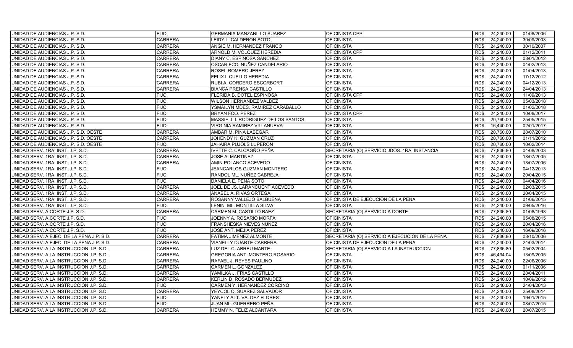| UNIDAD DE AUDIENCIAS J.P. S.D.            | <b>FIJO</b>    | <b>GERMANIA MANZANILLO SUAREZ</b>   | OFICINISTA CPP                                 | RD\$ | 24,240.00 | 01/08/2006 |
|-------------------------------------------|----------------|-------------------------------------|------------------------------------------------|------|-----------|------------|
| UNIDAD DE AUDIENCIAS J.P. S.D.            | <b>CARRERA</b> | LEIDY L. CALDERON SOTO              | <b>OFICINISTA</b>                              | RD\$ | 24,240.00 | 30/09/2003 |
| UNIDAD DE AUDIENCIAS J.P. S.D.            | <b>CARRERA</b> | ANGIE M. HERNANDEZ FRANCO           | <b>OFICINISTA</b>                              | RD\$ | 24,240.00 | 30/10/2007 |
| UNIDAD DE AUDIENCIAS J.P. S.D.            | <b>CARRERA</b> | ARNOLD M. VOLQUEZ HEREDIA           | OFICINISTA CPP                                 | RD\$ | 24,240.00 | 01/12/2011 |
| UNIDAD DE AUDIENCIAS J.P. S.D.            | <b>CARRERA</b> | DIANY C. ESPINOSA SANCHEZ           | <b>OFICINISTA</b>                              | RD\$ | 24,240.00 | 03/01/2012 |
| UNIDAD DE AUDIENCIAS J.P. S.D.            | <b>CARRERA</b> | OSCAR FCO. NUÑEZ CANDELARIO         | <b>OFICINISTA</b>                              | RD\$ | 24,240.00 | 04/02/2013 |
| UNIDAD DE AUDIENCIAS J.P. S.D.            | <b>CARRERA</b> | ROSEL ROMERO JEREZ                  | <b>OFICINISTA</b>                              | RD\$ | 24,240.00 | 01/04/2013 |
| UNIDAD DE AUDIENCIAS J.P. S.D.            | <b>CARRERA</b> | FELIX I. CUELLO HEREDIA             | <b>OFICINISTA</b>                              | RD\$ | 24,240.00 | 17/12/2012 |
| UNIDAD DE AUDIENCIAS J.P. S.D.            | <b>CARRERA</b> | RUBI A. CORDERO ESCORBORT           | <b>OFICINISTA</b>                              | RD\$ | 24,240.00 | 04/12/2013 |
| UNIDAD DE AUDIENCIAS J.P. S.D.            | <b>CARRERA</b> | <b>BIANCA PRENSA CASTILLO</b>       | <b>OFICINISTA</b>                              | RD\$ | 24,240.00 | 24/04/2013 |
| UNIDAD DE AUDIENCIAS J.P. S.D.            | <b>FIJO</b>    | FLERIDA B. DOTEL ESPINOSA           | <b>OFICINISTA CPP</b>                          | RD\$ | 24,240.00 | 11/09/2013 |
| UNIDAD DE AUDIENCIAS J.P. S.D.            | <b>FIJO</b>    | <b>WILSON HERNANDEZ VALDEZ</b>      | <b>OFICINISTA</b>                              | RD\$ | 24,240.00 | 05/03/2018 |
| UNIDAD DE AUDIENCIAS J.P. S.D.            | <b>FIJO</b>    | YSMAILYN MDES. RAMIREZ CARABALLO    | <b>OFICINISTA</b>                              | RD\$ | 24,240.00 | 01/02/2018 |
| UNIDAD DE AUDIENCIAS J.P. S.D.            | <b>FIJO</b>    | BRYAN FCO. PEREZ                    | OFICINISTA CPP                                 | RD\$ | 24,240.00 | 10/08/2017 |
| UNIDAD DE AUDIENCIAS J.P. S.D.            | <b>FIJO</b>    | MASSIELL I. RODRIGUEZ DE LOS SANTOS | <b>OFICINISTA</b>                              | RD\$ | 20,760.00 | 25/05/2015 |
| UNIDAD DE AUDIENCIAS J.P. S.D.            | <b>FIJO</b>    | VIRGINIA RAMIREZ VILLANUEVA         | <b>OFICINISTA</b>                              | RD\$ | 16,440.00 | 02/01/2017 |
| UNIDAD DE AUDIENCIAS J.P. S.D. OESTE      | <b>CARRERA</b> | AMBAR M. PINA LABEGAR               | <b>OFICINISTA</b>                              | RD\$ | 20,760.00 | 28/07/2010 |
| UNIDAD DE AUDIENCIAS J.P. S.D. OESTE      | <b>CARRERA</b> | JOHENDY K. GUZMAN CRUZ              | <b>OFICINISTA</b>                              | RD\$ | 20,760.00 | 01/11/2012 |
| UNIDAD DE AUDIENCIAS J.P. S.D. OESTE      | <b>FIJO</b>    | JAHAIRA PUJOLS LUPERON              | <b>OFICINISTA</b>                              | RD\$ | 20,760.00 | 10/02/2014 |
| UNIDAD SERV. 1RA. INST. J.P. S.D.         | <b>CARRERA</b> | <b>IVETTE C. CALCAGÑO PEÑA</b>      | SECRETARIA (O) SERVICIO JDOS. 1RA. INSTANCIA   | RD\$ | 77,836.80 | 04/08/2003 |
| UNIDAD SERV. 1RA. INST. J.P. S.D.         | <b>CARRERA</b> | <b>JOSE A. MARTINEZ</b>             | <b>OFICINISTA</b>                              | RD\$ | 24,240.00 | 18/07/2005 |
| UNIDAD SERV. 1RA. INST. J.P. S.D.         | <b>CARRERA</b> | AMIN POLANCO ACEVEDO                | <b>OFICINISTA</b>                              | RD\$ | 24,240.00 | 13/07/2006 |
| UNIDAD SERV. 1RA. INST. J.P. S.D.         | <b>FIJO</b>    | JEANCARLOS GUZMAN MONTERO           | <b>OFICINISTA</b>                              | RD\$ | 24,240.00 | 04/12/2013 |
| UNIDAD SERV. 1RA. INST. J.P. S.D.         | <b>FIJO</b>    | RANDOL ML. NUÑEZ CABREJA            | <b>OFICINISTA</b>                              | RD\$ | 24,240.00 | 20/04/2015 |
| UNIDAD SERV. 1RA. INST. J.P. S.D.         | <b>FIJO</b>    | DANIELA E. PEÑA SOTO                | <b>OFICINISTA</b>                              | RD\$ | 24,240.00 | 04/04/2016 |
| UNIDAD SERV. 1RA. INST. J.P. S.D.         | <b>CARRERA</b> | JOEL DE JS. LARANCUENT ACEVEDO      | <b>OFICINISTA</b>                              | RD\$ | 24,240.00 | 02/03/2015 |
| UNIDAD SERV. 1RA. INST. J.P. S.D.         | <b>CARRERA</b> | ANABEL A. RIVAS ORTEGA              | <b>OFICINISTA</b>                              | RD\$ | 24,240.00 | 20/04/2015 |
| UNIDAD SERV. 1RA. INST. J.P. S.D.         | <b>CARRERA</b> | ROSANNY VALLEJO BALBUENA            | OFICINISTA DE EJECUCION DE LA PENA             | RD\$ | 24,240.00 | 01/06/2015 |
| UNIDAD SERV. 1RA. INST. J.P. S.D.         | <b>FIJO</b>    | LENIN ML. MONTILLA SILVA            | <b>OFICINISTA</b>                              | RD\$ | 24,240.00 | 09/05/2016 |
| UNIDAD SERV. A CORTE J.P. S.D.            | <b>CARRERA</b> | CARMEN M. CASTILLO BAEZ             | SECRETARIA (O) SERVICIO A CORTE                | RD\$ | 77,836.80 | 01/08/1998 |
| UNIDAD SERV. A CORTE J.P. S.D.            | FIJO           | JOENNY A. ROSARIO MORFA             | <b>OFICINISTA</b>                              | RD\$ | 24,240.00 | 05/08/2015 |
| UNIDAD SERV. A CORTE J.P. S.D.            | <b>FIJO</b>    | FRANSHESKA NIEVES NUÑEZ             | <b>OFICINISTA</b>                              | RD\$ | 24,240.00 | 20/04/2016 |
| UNIDAD SERV. A CORTE J.P. S.D.            | <b>FIJO</b>    | JOSE ANT. MEJIA PEREZ               | <b>OFICINISTA</b>                              | RD\$ | 24,240.00 | 16/09/2016 |
| UNIDAD SERV. A EJEC. DE LA PENA J.P. S.D. | <b>CARRERA</b> | FATIMA JIMENEZ ALMONTE              | SECRETARIA (O) SERVICIO A EJECUCION DE LA PENA | RD\$ | 77,836.80 | 03/10/2006 |
| UNIDAD SERV. A EJEC. DE LA PENA J.P. S.D. | <b>CARRERA</b> | <b>VIANELLY DUARTE CABRERA</b>      | OFICINISTA DE EJECUCION DE LA PENA             | RD\$ | 24,240.00 | 24/03/2014 |
| UNIDAD SERV. A LA INSTRUCCION J.P. S.D.   | <b>CARRERA</b> | LUZ DEL C. ABREU MARTE              | SECRETARIA (O) SERVICIO A LA INSTRUCCION       | RD\$ | 77,836.80 | 05/02/2004 |
| UNIDAD SERV. A LA INSTRUCCION J.P. S.D.   | <b>CARRERA</b> | GREGORIA ANT. MONTERO ROSARIO       | <b>OFICINISTA</b>                              | RD\$ | 46,434.04 | 13/09/2005 |
| UNIDAD SERV. A LA INSTRUCCION J.P. S.D.   | <b>CARRERA</b> | RAFAEL J. REYES PAULINO             | <b>OFICINISTA</b>                              | RD\$ | 24,240.00 | 22/06/2006 |
| UNIDAD SERV. A LA INSTRUCCION J.P. S.D.   | <b>CARRERA</b> | CARMEN L. GONZALEZ                  | <b>OFICINISTA</b>                              | RD\$ | 24,240.00 | 01/11/2006 |
| UNIDAD SERV. A LA INSTRUCCION J.P. S.D.   | <b>CARRERA</b> | YAMILKA J. FRIAS CASTILLO           | <b>OFICINISTA</b>                              | RDS  | 24,240.00 | 28/04/2011 |
| UNIDAD SERV. A LA INSTRUCCION J.P. S.D.   | <b>CARRERA</b> | KERLIN D. ROSADO BERMUDEZ           | <b>OFICINISTA</b>                              | RD\$ | 24,240.00 | 10/09/2012 |
| UNIDAD SERV. A LA INSTRUCCION J.P. S.D.   | <b>FIJO</b>    | CARMEN Y. HERNANDEZ CORCINO         | <b>OFICINISTA</b>                              | RD\$ | 24,240.00 | 24/04/2013 |
| UNIDAD SERV. A LA INSTRUCCION J.P. S.D.   | <b>CARRERA</b> | YEYCOL O. SUAREZ SALVADOR           | <b>OFICINISTA</b>                              | RD\$ | 24,240.00 | 25/08/2014 |
| UNIDAD SERV. A LA INSTRUCCION J.P. S.D.   | <b>FIJO</b>    | YANELY ALT. VALDEZ FLORES           | <b>OFICINISTA</b>                              | RD\$ | 24,240.00 | 19/01/2015 |
| UNIDAD SERV. A LA INSTRUCCION J.P. S.D.   | <b>FIJO</b>    | JUAN ML. GUERRERO PEÑA              | <b>OFICINISTA</b>                              | RD\$ | 24,240.00 | 08/07/2015 |
| UNIDAD SERV. A LA INSTRUCCION J.P. S.D.   | <b>CARRERA</b> | HEMMY N. FELIZ ALCANTARA            | <b>OFICINISTA</b>                              | RD\$ | 24,240.00 | 20/07/2015 |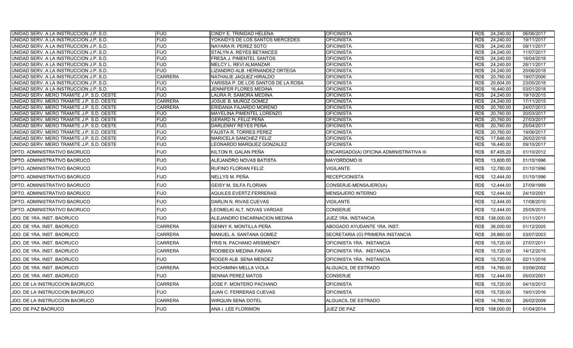| UNIDAD SERV. A LA INSTRUCCION J.P. S.D.                                                | <b>FIJO</b>                | CINDY E. TRINIDAD HELENA                       | <b>OFICINISTA</b>                       | RD\$         | 24,240.00              | 06/06/2017               |
|----------------------------------------------------------------------------------------|----------------------------|------------------------------------------------|-----------------------------------------|--------------|------------------------|--------------------------|
| UNIDAD SERV. A LA INSTRUCCION J.P. S.D.                                                | <b>FIJO</b>                | YOKAIDYS DE LOS SANTOS MERCEDES                | <b>OFICINISTA</b>                       | RD\$         | 24,240.00              | 19/11/2017               |
| UNIDAD SERV. A LA INSTRUCCION J.P. S.D.                                                | <b>FIJO</b>                | NAYARA R. PEREZ SOTO                           | <b>OFICINISTA</b>                       | RD\$         | 24,240.00              | 09/11/2017               |
| UNIDAD SERV. A LA INSTRUCCION J.P. S.D.                                                | <b>FIJO</b>                | STALYN A. REYES BETANCES                       | <b>OFICINISTA</b>                       | RD\$         | 24,240.00              | 11/07/2017               |
| UNIDAD SERV. A LA INSTRUCCION J.P. S.D.                                                | <b>FIJO</b>                | FRESA J. PIMENTEL SANTOS                       | <b>OFICINISTA</b>                       | RD\$         | 24,240.00              | 18/04/2018               |
| UNIDAD SERV. A LA INSTRUCCION J.P. S.D.                                                | <b>FIJO</b>                | MELCY L. REVI ALMANZAR                         | <b>OFICINISTA</b>                       | RD\$         | 24,240.00              | 28/11/2017               |
| UNIDAD SERV. A LA INSTRUCCION J.P. S.D.                                                | <b>FIJO</b>                | LIZANDRO ALB. HERNANDEZ ORTEGA                 | <b>OFICINISTA</b>                       | RD\$         | 24,240.00              | 20/06/2018               |
| UNIDAD SERV. A LA INSTRUCCION J.P. S.D.                                                | <b>CARRERA</b>             | NATHALIE JAQUEZ HIRALDO                        | <b>OFICINISTA</b>                       | RD\$         | 20,760.00              | 19/07/2006               |
| UNIDAD SERV. A LA INSTRUCCION J.P. S.D.                                                | <b>FIJO</b>                | YARISSA P. DE LOS SANTOS DE LA ROSA            | <b>OFICINISTA</b>                       | RD\$         | 20,604.00              | 23/05/2018               |
| UNIDAD SERV. A LA INSTRUCCION J.P. S.D.                                                | <b>FIJO</b><br><b>FIJO</b> | JENNIFER FLORES MEDINA                         | <b>OFICINISTA</b>                       | RD\$         | 16,440.00<br>24,240.00 | 03/01/2018               |
| UNIDAD SERV. MERO TRAMITE J.P. S.D. OESTE<br>UNIDAD SERV. MERO TRAMITE J.P. S.D. OESTE | <b>CARRERA</b>             | LAURA R. SAMORA MEDINA<br>JOSUE B. MUÑOZ GOMEZ | <b>OFICINISTA</b><br><b>OFICINISTA</b>  | RD\$<br>RD\$ | 24,240.00              | 19/10/2015<br>17/11/2015 |
| UNIDAD SERV. MERO TRAMITE J.P. S.D. OESTE                                              | <b>CARRERA</b>             | ERIDANIA FAJARDO MORENO                        | <b>OFICINISTA</b>                       | RD\$         | 20,760.00              | 24/07/2013               |
| UNIDAD SERV. MERO TRAMITE J.P. S.D. OESTE                                              | <b>FIJO</b>                | MAYELINA PIMENTEL LORENZO                      | <b>OFICINISTA</b>                       | RD\$         | 20,760.00              | 20/03/2017               |
| UNIDAD SERV. MERO TRAMITE J.P. S.D. OESTE                                              | <b>FIJO</b>                | GERARD N. FELIZ PEÑA                           | <b>OFICINISTA</b>                       | RD\$         | 20,760.00              | 27/03/2017               |
| UNIDAD SERV. MERO TRAMITE J.P. S.D. OESTE                                              | <b>FIJO</b>                | DARLENNY REYES PEÑA                            | <b>OFICINISTA</b>                       | RD\$         | 20,760.00              | 25/04/2017               |
| UNIDAD SERV. MERO TRAMITE J.P. S.D. OESTE                                              | <b>FIJO</b>                | <b>FAUSTA R. TORRES PEREZ</b>                  | <b>OFICINISTA</b>                       | RD\$         | 20,760.00              | 19/06/2017               |
| UNIDAD SERV. MERO TRAMITE J.P. S.D. OESTE                                              | <b>FIJO</b>                | MARICELA SANCHEZ FELIZ                         | <b>OFICINISTA</b>                       | RD\$         | 17,646.00              | 26/02/2018               |
| UNIDAD SERV. MERO TRAMITE J.P. S.D. OESTE                                              | <b>FIJO</b>                | LEONARDO MARQUEZ GONZALEZ                      | OFICINISTA                              | RD\$         | 16,440.00              | 09/10/2017               |
| DPTO. ADMINISTRATIVO BAORUCO                                                           | <b>FIJO</b>                | KILTON R. GALAN PEÑA                           | ENCARGADO(A) OFICINA ADMINISTRATIVA III | RD\$         | 67,405.20              | 01/10/2012               |
| DPTO. ADMINISTRATIVO BAORUCO                                                           | <b>FIJO</b>                | ALEJANDRO NOVAS BATISTA                        | MAYORDOMO III                           | RD\$         | 13,800.00              | 01/10/1996               |
| <b>DPTO. ADMINISTRATIVO BAORUCO</b>                                                    | <b>FIJO</b>                | RUFINO FLORIAN FELIZ                           | VIGILANTE                               | RD\$         | 12,780.00              | 01/10/1996               |
| <b>DPTO. ADMINISTRATIVO BAORUCO</b>                                                    | <b>FIJO</b>                | NELLYS M. PEÑA                                 | <b>RECEPCIONISTA</b>                    | RD\$         | 12,444.00              | 01/10/1996               |
| IDPTO. ADMINISTRATIVO BAORUCO                                                          | <b>FIJO</b>                | <b>GEISY M. SILFA FLORIAN</b>                  | CONSERJE-MENSAJERO(A)                   | RD\$         | 12,444.00              | 27/09/1999               |
| DPTO. ADMINISTRATIVO BAORUCO                                                           | <b>FIJO</b>                | <b>AQUILES EVERTZ FERRERAS</b>                 | <b>MENSAJERO INTERNO</b>                | RD\$         | 12,444.00              | 24/10/2001               |
| DPTO. ADMINISTRATIVO BAORUCO                                                           | <b>FIJO</b>                | DARLIN N. RIVAS CUEVAS                         | <b>VIGILANTE</b>                        | RD\$         | 12,444.00              | 17/08/2010               |
| <b>DPTO. ADMINISTRATIVO BAORUCO</b>                                                    | <b>FIJO</b>                | LEOMELKI ALT. NOVAS VARGAS                     | CONSERJE                                | RD\$         | 12,444.00              | 25/05/2015               |
| JDO. DE 1RA. INST. BAORUCO                                                             | <b>FIJO</b>                | ALEJANDRO ENCARNACION MEDINA                   | JUEZ 1RA. INSTANCIA                     | RD\$         | 138,000.00             | 01/11/2011               |
| JDO. DE 1RA. INST. BAORUCO                                                             | <b>CARRERA</b>             | GENNY K. MONTILLA PEÑA                         | ABOGADO AYUDANTE 1RA. INST.             | RD\$         | 36,000.00              | 01/12/2005               |
| JDO. DE 1RA. INST. BAORUCO                                                             | <b>CARRERA</b>             | MANUEL A. SANTANA GOMEZ                        | SECRETARIA (O) PRIMERA INSTANCIA        | RD\$         | 28,860.00              | 03/07/2003               |
| JDO. DE 1RA. INST. BAORUCO                                                             | CARRERA                    | YRIS N. PACHANO ARISMENDY                      | OFICINISTA 1RA. INSTANCIA               | RD\$         | 15,720.00              | 27/07/2011               |
| JDO. DE 1RA. INST. BAORUCO                                                             | <b>CARRERA</b>             | RODIBEIDI MEDINA FABIAN                        | OFICINISTA 1RA. INSTANCIA               | RD\$         | 15,720.00              | 14/12/2015               |
| JDO. DE 1RA. INST. BAORUCO                                                             | <b>FIJO</b>                | ROGER ALB. SENA MENDEZ                         | OFICINISTA 1RA. INSTANCIA               | RD\$         | 15,720.00              | 02/11/2016               |
| JDO. DE 1RA. INST. BAORUCO                                                             | <b>CARRERA</b>             | HOCHIMINH MELLA VIOLA                          | <b>ALGUACIL DE ESTRADO</b>              | RD\$         | 14,760.00              | 03/06/2002               |
| JDO. DE 1RA. INST. BAORUCO                                                             | <b>FIJO</b>                | SENNIA PEREZ MATOS                             | CONSERJE                                | RD\$         | 12,444.00              | 05/03/2001               |
| JDO. DE LA INSTRUCCION BAORUCO                                                         | <b>CARRERA</b>             | JOSE F. MONTERO PACHANO                        | <b>OFICINISTA</b>                       | RD\$         | 15,720.00              | 04/10/2012               |
| JDO. DE LA INSTRUCCION BAORUCO                                                         | <b>FIJO</b>                | JUAN C. FERRERAS CUEVAS                        | OFICINISTA                              | RD\$         | 15,720.00              | 19/01/2016               |
| JDO. DE LA INSTRUCCION BAORUCO                                                         | <b>CARRERA</b>             | WIRQUIN SENA DOTEL                             | ALGUACIL DE ESTRADO                     | RD\$         | 14,760.00              | 26/02/2009               |
| JDO. DE PAZ BAORUCO                                                                    | <b>FIJO</b>                | ANA I. LEE FLORIMON                            | JUEZ DE PAZ                             |              | RD\$ 108,000.00        | 01/04/2014               |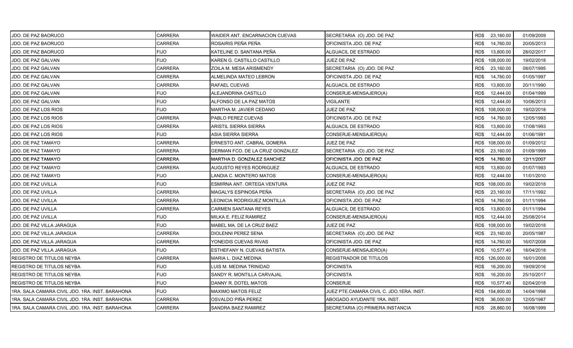| JDO. DE PAZ BAORUCO                             | CARRERA        | WAIDER ANT. ENCARNACION CUEVAS  | SECRETARIA (O) JDO. DE PAZ               | RD\$ 23,160.00    | 01/09/2009 |
|-------------------------------------------------|----------------|---------------------------------|------------------------------------------|-------------------|------------|
| JDO. DE PAZ BAORUCO                             | <b>CARRERA</b> | ROSAIRIS PEÑA PEÑA              | OFICINISTA JDO. DE PAZ                   | RD\$<br>14,760.00 | 20/05/2013 |
| JDO. DE PAZ BAORUCO                             | <b>FIJO</b>    | KATELINE D. SANTANA PEÑA        | ALGUACIL DE ESTRADO                      | RD\$<br>13,800.00 | 28/02/2017 |
| JDO. DE PAZ GALVAN                              | <b>FIJO</b>    | KAREN G. CASTILLO CASTILLO      | JUEZ DE PAZ                              | RD\$ 108,000.00   | 19/02/2018 |
| JDO. DE PAZ GALVAN                              | <b>CARRERA</b> | ZOILA M. MESA ARISMENDY         | SECRETARIA (O) JDO. DE PAZ               | RD\$<br>23,160.00 | 08/07/1995 |
| JDO. DE PAZ GALVAN                              | CARRERA        | ALMELINDA MATEO LEBRON          | OFICINISTA JDO. DE PAZ                   | RD\$<br>14,760.00 | 01/05/1997 |
| JDO. DE PAZ GALVAN                              | <b>CARRERA</b> | RAFAEL CUEVAS                   | ALGUACIL DE ESTRADO                      | RD\$<br>13,800.00 | 20/11/1990 |
| JDO. DE PAZ GALVAN                              | <b>FIJO</b>    | ALEJANDRINA CASTILLO            | CONSERJE-MENSAJERO(A)                    | RD\$<br>12,444.00 | 01/04/1999 |
| JDO. DE PAZ GALVAN                              | <b>FIJO</b>    | ALFONSO DE LA PAZ MATOS         | VIGILANTE                                | RD\$<br>12,444.00 | 10/06/2013 |
| JDO. DE PAZ LOS RIOS                            | <b>FIJO</b>    | MARTHA M. JAVIER CEDANO         | JUEZ DE PAZ                              | RD\$ 108,000.00   | 19/02/2018 |
| JDO. DE PAZ LOS RIOS                            | CARRERA        | PABLO PEREZ CUEVAS              | OFICINISTA JDO. DE PAZ                   | RD\$<br>14,760.00 | 12/05/1993 |
| JDO. DE PAZ LOS RIOS                            | CARRERA        | ARISTIL SIERRA SIERRA           | ALGUACIL DE ESTRADO                      | RD\$<br>13,800.00 | 17/08/1993 |
| <b>JDO. DE PAZ LOS RIOS</b>                     | <b>FIJO</b>    | ASIA SIERRA SIERRA              | CONSERJE-MENSAJERO(A)                    | RD\$<br>12,444.00 | 01/06/1991 |
| JDO. DE PAZ TAMAYO                              | <b>CARRERA</b> | ERNESTO ANT. CABRAL GOMERA      | JUEZ DE PAZ                              | RD\$ 108,000.00   | 01/09/2012 |
| JDO. DE PAZ TAMAYO                              | <b>CARRERA</b> | GERMAN FCO. DE LA CRUZ GONZALEZ | SECRETARIA (O) JDO. DE PAZ               | RD\$<br>23,160.00 | 01/09/1999 |
| JDO. DE PAZ TAMAYO                              | <b>CARRERA</b> | MARTHA D. GONZALEZ SANCHEZ      | OFICINISTA JDO. DE PAZ                   | 14,760.00<br>RD\$ | 12/11/2007 |
| JDO. DE PAZ TAMAYO                              | <b>CARRERA</b> | AUGUSTO REYES RODRIGUEZ         | ALGUACIL DE ESTRADO                      | 13,800.00<br>RD\$ | 01/07/1993 |
| JDO. DE PAZ TAMAYO                              | <b>FIJO</b>    | LANDIA C. MONTERO MATOS         | CONSERJE-MENSAJERO(A)                    | RD\$<br>12,444.00 | 11/01/2010 |
| JDO. DE PAZ UVILLA                              | <b>FIJO</b>    | ESMIRNA ANT. ORTEGA VENTURA     | JUEZ DE PAZ                              | RD\$ 108,000.00   | 19/02/2018 |
| JDO. DE PAZ UVILLA                              | <b>CARRERA</b> | MAGALYS ESPINOSA PEÑA           | SECRETARIA (O) JDO. DE PAZ               | RD\$<br>23,160.00 | 17/11/1992 |
| JDO. DE PAZ UVILLA                              | CARRERA        | EONICIA RODRIGUEZ MONTILLA      | OFICINISTA JDO. DE PAZ                   | 14,760.00<br>RD\$ | 01/11/1994 |
| JDO. DE PAZ UVILLA                              | CARRERA        | CARMEN SANTANA REYES            | ALGUACIL DE ESTRADO                      | RD\$<br>13,800.00 | 01/11/1994 |
| JDO. DE PAZ UVILLA                              | <b>FIJO</b>    | MILKA E. FELIZ RAMIREZ          | CONSERJE-MENSAJERO(A)                    | RD\$<br>12,444.00 | 25/08/2014 |
| JDO. DE PAZ VILLA JARAGUA                       | <b>FIJO</b>    | MABEL MA. DE LA CRUZ BAEZ       | JUEZ DE PAZ                              | RD\$ 108,000.00   | 19/02/2018 |
| JDO. DE PAZ VILLA JARAGUA                       | <b>CARRERA</b> | DIOLENNI PEREZ SENA             | SECRETARIA (O) JDO. DE PAZ               | RD\$<br>23,160.00 | 20/05/1987 |
| JDO. DE PAZ VILLA JARAGUA                       | <b>CARRERA</b> | YONEIDIS CUEVAS RIVAS           | OFICINISTA JDO. DE PAZ                   | RD\$<br>14,760.00 | 16/07/2008 |
| JDO. DE PAZ VILLA JARAGUA                       | <b>FIJO</b>    | ESTHEFANY N. CUEVAS BATISTA     | CONSERJE-MENSAJERO(A)                    | RD\$<br>10,577.40 | 18/04/2018 |
| <b>REGISTRO DE TITULOS NEYBA</b>                | <b>CARRERA</b> | MARIA L. DIAZ MEDINA            | REGISTRADOR DE TITULOS                   | RD\$ 126,000.00   | 16/01/2008 |
| <b>REGISTRO DE TITULOS NEYBA</b>                | <b>FIJO</b>    | LUIS M. MEDINA TRINIDAD         | <b>OFICINISTA</b>                        | RD\$<br>16,200.00 | 19/09/2016 |
| <b>REGISTRO DE TITULOS NEYBA</b>                | <b>FIJO</b>    | SANDY R. MONTILLA CARVAJAL      | <b>OFICINISTA</b>                        | RD\$<br>16,200.00 | 25/10/2017 |
| <b>REGISTRO DE TITULOS NEYBA</b>                | <b>FIJO</b>    | DANNY R. DOTEL MATOS            | <b>CONSERJE</b>                          | RD\$<br>10,577.40 | 02/04/2018 |
| 1RA. SALA CAMARA CIVIL JDO. 1RA. INST. BARAHONA | <b>FIJO</b>    | MAXIMO MATOS FELIZ              | JUEZ PTE CAMARA CIVIL C. JDO 1ERA. INST. | RD\$ 154,800.00   | 14/04/1998 |
| 1RA. SALA CAMARA CIVIL JDO. 1RA. INST. BARAHONA | <b>CARRERA</b> | OSVALDO PIÑA PEREZ              | ABOGADO AYUDANTE 1RA. INST.              | RD\$<br>36,000.00 | 12/05/1987 |
| 1RA. SALA CAMARA CIVIL JDO. 1RA. INST. BARAHONA | <b>CARRERA</b> | SANDRA BAEZ RAMIREZ             | SECRETARIA (O) PRIMERA INSTANCIA         | 28,860.00<br>RD\$ | 16/08/1999 |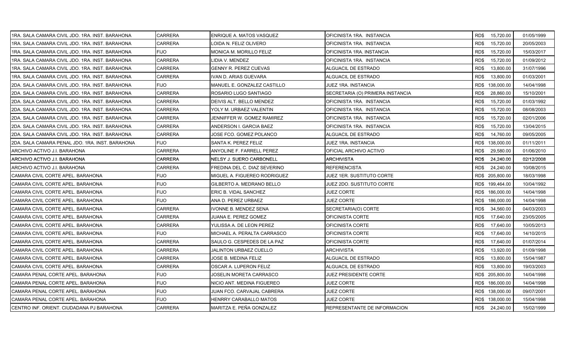| 1RA. SALA CAMARA CIVIL JDO. 1RA. INST. BARAHONA | CARRERA        | <b>ENRIQUE A. MATOS VASQUEZ</b> | OFICINISTA 1RA. INSTANCIA        | RD\$ | 15,720.00       | 01/05/1999 |
|-------------------------------------------------|----------------|---------------------------------|----------------------------------|------|-----------------|------------|
| 1RA. SALA CAMARA CIVIL JDO. 1RA. INST. BARAHONA | <b>CARRERA</b> | LOIDA N. FELIZ OLIVERO          | OFICINISTA 1RA. INSTANCIA        | RD\$ | 15,720.00       | 20/05/2003 |
| 1RA. SALA CAMARA CIVIL JDO. 1RA. INST. BARAHONA | FIJO           | <b>MONICA M. MORILLO FELIZ</b>  | OFICINISTA 1RA. INSTANCIA        | RD\$ | 15,720.00       | 15/03/2017 |
| 1RA. SALA CAMARA CIVIL JDO. 1RA. INST. BARAHONA | <b>CARRERA</b> | LIDIA V. MENDEZ                 | OFICINISTA 1RA. INSTANCIA        | RD\$ | 15,720.00       | 01/09/2012 |
| 1RA. SALA CAMARA CIVIL JDO. 1RA. INST. BARAHONA | <b>CARRERA</b> | <b>GENNY R. PEREZ CUEVAS</b>    | ALGUACIL DE ESTRADO              | RD\$ | 13,800.00       | 31/07/1996 |
| 1RA. SALA CAMARA CIVIL JDO. 1RA. INST. BARAHONA | CARRERA        | IVAN D. ARIAS GUEVARA           | ALGUACIL DE ESTRADO              | RD\$ | 13,800.00       | 01/03/2001 |
| 2DA. SALA CAMARA CIVIL JDO. 1RA. INST. BARAHONA | FIJO           | MANUEL E. GONZALEZ CASTILLO     | JUEZ 1RA. INSTANCIA              |      | RD\$ 138,000.00 | 14/04/1998 |
| 2DA. SALA CAMARA CIVIL JDO. 1RA. INST. BARAHONA | CARRERA        | ROSARIO LUGO SANTIAGO           | SECRETARIA (O) PRIMERA INSTANCIA | RD\$ | 28,860.00       | 15/10/2001 |
| 2DA. SALA CAMARA CIVIL JDO. 1RA. INST. BARAHONA | CARRERA        | DEIVIS ALT. BELLO MENDEZ        | OFICINISTA 1RA. INSTANCIA        | RD\$ | 15,720.00       | 01/03/1992 |
| 2DA. SALA CAMARA CIVIL JDO. 1RA. INST. BARAHONA | <b>CARRERA</b> | YOLY M. URBAEZ VALENTIN         | OFICINISTA 1RA. INSTANCIA        | RD\$ | 15,720.00       | 08/08/2003 |
| 2DA. SALA CAMARA CIVIL JDO. 1RA. INST. BARAHONA | CARRERA        | JENNIFFER W. GOMEZ RAMIREZ      | OFICINISTA 1RA. INSTANCIA        | RD\$ | 15,720.00       | 02/01/2006 |
| 2DA. SALA CAMARA CIVIL JDO. 1RA. INST. BARAHONA | CARRERA        | ANDERSON I. GARCIA BAEZ         | OFICINISTA 1RA. INSTANCIA        | RD\$ | 15,720.00       | 13/04/2015 |
| 2DA, SALA CAMARA CIVIL JDO, 1RA, INST, BARAHONA | CARRERA        | JOSE FCO. GOMEZ POLANCO         | ALGUACIL DE ESTRADO              | RD\$ | 14,760.00       | 09/05/2005 |
| 2DA. SALA CAMARA PENAL JDO. 1RA. INST. BARAHONA | FIJO           | <b>SANTA K. PEREZ FELIZ</b>     | JUEZ 1RA. INSTANCIA              |      | RD\$ 138,000.00 | 01/11/2011 |
| ARCHIVO ACTIVO J.I. BARAHONA                    | <b>CARRERA</b> | ANYOLINE F. FARRELL PEREZ       | OFICIAL ARCHIVO ACTIVO           | RD\$ | 29,580.00       | 01/06/2010 |
| ARCHIVO ACTIVO J.I. BARAHONA                    | CARRERA        | NELSY J. SUERO CARBONELL        | ARCHIVISTA                       | RD\$ | 24,240.00       | 02/12/2008 |
| ARCHIVO ACTIVO J.I. BARAHONA                    | <b>CARRERA</b> | FREDINA DEL C. DIAZ SEVERINO    | REFERENCISTA                     | RD\$ | 24,240.00       | 10/08/2015 |
| CAMARA CIVIL CORTE APEL. BARAHONA               | <b>FIJO</b>    | MIGUEL A. FIGUEREO RODRIGUEZ    | JUEZ 1ER. SUSTITUTO CORTE        |      | RD\$ 205,800.00 | 18/03/1998 |
| CAMARA CIVIL CORTE APEL. BARAHONA               | <b>FIJO</b>    | GILBERTO A. MEDRANO BELLO       | JUEZ 2DO. SUSTITUTO CORTE        |      | RD\$ 199,464.00 | 10/04/1992 |
| CAMARA CIVIL CORTE APEL. BARAHONA               | <b>FIJO</b>    | ERIC B. VIDAL SANCHEZ           | JUEZ CORTE                       |      | RD\$ 186,000.00 | 14/04/1998 |
| CAMARA CIVIL CORTE APEL. BARAHONA               | <b>FIJO</b>    | ANA D. PEREZ URBAEZ             | JUEZ CORTE                       |      | RD\$ 186,000.00 | 14/04/1998 |
| CAMARA CIVIL CORTE APEL. BARAHONA               | CARRERA        | <b>IVONNE B. MENDEZ SENA</b>    | SECRETARIA(O) CORTE              | RD\$ | 34,560.00       | 04/03/2003 |
| CAMARA CIVIL CORTE APEL. BARAHONA               | CARRERA        | JUANA E. PEREZ GOMEZ            | OFICINISTA CORTE                 | RD\$ | 17,640.00       | 23/05/2005 |
| CAMARA CIVIL CORTE APEL. BARAHONA               | CARRERA        | YULISSA A. DE LEON PEREZ        | OFICINISTA CORTE                 | RD\$ | 17,640.00       | 10/05/2013 |
| CAMARA CIVIL CORTE APEL. BARAHONA               | FIJO.          | IMICHAEL A. PERALTA CARRASCO    | OFICINISTA CORTE                 | RD\$ | 17,640.00       | 14/10/2015 |
| CAMARA CIVIL CORTE APEL. BARAHONA               | CARRERA        | SAULO G. CESPEDES DE LA PAZ     | OFICINISTA CORTE                 | RD\$ | 17,640.00       | 01/07/2014 |
| CAMARA CIVIL CORTE APEL. BARAHONA               | CARRERA        | JALINTON URBAEZ CUELLO          | ARCHIVISTA                       | RD\$ | 13,920.00       | 01/09/1998 |
| CAMARA CIVIL CORTE APEL. BARAHONA               | <b>CARRERA</b> | JOSE B. MEDINA FELIZ            | ALGUACIL DE ESTRADO              | RD\$ | 13,800.00       | 15/04/1987 |
| CAMARA CIVIL CORTE APEL. BARAHONA               | CARRERA        | OSCAR A. LUPERON FELIZ          | ALGUACIL DE ESTRADO              | RD\$ | 13,800.00       | 19/03/2003 |
| CAMARA PENAL CORTE APEL. BARAHONA               | FIJO           | JOSELIN MORETA CARRASCO         | JUEZ PRESIDENTE CORTE            |      | RD\$ 205,800.00 | 14/04/1998 |
| CAMARA PENAL CORTE APEL. BARAHONA               | <b>FIJO</b>    | NICIO ANT. MEDINA FIGUEREO      | JUEZ CORTE                       |      | RD\$ 186,000.00 | 14/04/1998 |
| CAMARA PENAL CORTE APEL. BARAHONA               | <b>FIJO</b>    | JUAN FCO. CARVAJAL CABRERA      | JUEZ CORTE                       |      | RD\$ 138,000.00 | 09/07/2001 |
| CAMARA PENAL CORTE APEL. BARAHONA               | <b>FIJO</b>    | HENRRY CARABALLO MATOS          | JUEZ CORTE                       |      | RD\$ 138,000.00 | 15/04/1998 |
| CENTRO INF. ORIENT. CIUDADANA PJ BARAHONA       | <b>CARRERA</b> | MARITZA E. PEÑA GONZALEZ        | REPRESENTANTE DE INFORMACION     |      | RD\$ 24,240.00  | 15/02/1999 |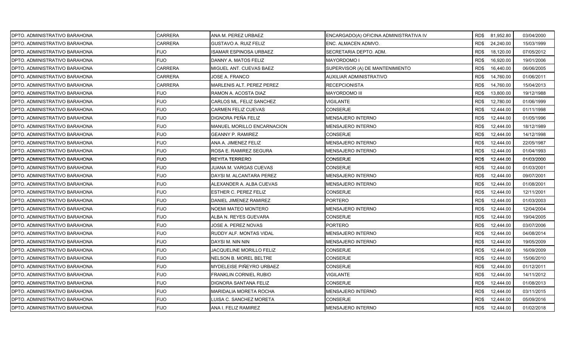| DPTO. ADMINISTRATIVO BARAHONA  | <b>CARRERA</b> | ANA M. PEREZ URBAEZ              | ENCARGADO(A) OFICINA ADMINISTRATIVA IV |      | RD\$ 81,952.80 | 03/04/2000 |
|--------------------------------|----------------|----------------------------------|----------------------------------------|------|----------------|------------|
| IDPTO. ADMINISTRATIVO BARAHONA | <b>CARRERA</b> | GUSTAVO A. RUIZ FELIZ            | ENC. ALMACEN ADMVO.                    | RD\$ | 24,240.00      | 15/03/1999 |
| DPTO. ADMINISTRATIVO BARAHONA  | <b>FIJO</b>    | <b>ISAMAR ESPINOSA URBAEZ</b>    | SECRETARIA DEPTO. ADM.                 | RD\$ | 18,120.00      | 07/05/2012 |
| IDPTO. ADMINISTRATIVO BARAHONA | <b>FIJO</b>    | DANNY A. MATOS FELIZ             | MAYORDOMO I                            | RD\$ | 16,920.00      | 19/01/2006 |
| DPTO. ADMINISTRATIVO BARAHONA  | <b>CARRERA</b> | MIGUEL ANT. CUEVAS BAEZ          | SUPERVISOR (A) DE MANTENIMIENTO        | RD\$ | 16,440.00      | 06/06/2005 |
| DPTO. ADMINISTRATIVO BARAHONA  | <b>CARRERA</b> | JOSE A. FRANCO                   | AUXILIAR ADMINISTRATIVO                | RD\$ | 14,760.00      | 01/06/2011 |
| DPTO. ADMINISTRATIVO BARAHONA  | <b>CARRERA</b> | <b>MARLENIS ALT. PEREZ PEREZ</b> | RECEPCIONISTA                          | RD\$ | 14,760.00      | 15/04/2013 |
| DPTO. ADMINISTRATIVO BARAHONA  | <b>FIJO</b>    | RAMON A. ACOSTA DIAZ             | <b>MAYORDOMO III</b>                   | RD\$ | 13,800.00      | 19/12/1988 |
| DPTO. ADMINISTRATIVO BARAHONA  | <b>FIJO</b>    | CARLOS ML. FELIZ SANCHEZ         | VIGILANTE                              | RD\$ | 12,780.00      | 01/06/1999 |
| DPTO. ADMINISTRATIVO BARAHONA  | <b>FIJO</b>    | <b>CARMEN FELIZ CUEVAS</b>       | CONSERJE                               | RD\$ | 12,444.00      | 01/11/1998 |
| DPTO. ADMINISTRATIVO BARAHONA  | <b>FIJO</b>    | DIGNORA PEÑA FELIZ               | MENSAJERO INTERNO                      | RD\$ | 12,444.00      | 01/05/1996 |
| DPTO. ADMINISTRATIVO BARAHONA  | <b>FIJO</b>    | MANUEL MORILLO ENCARNACION       | MENSAJERO INTERNO                      | RD\$ | 12,444.00      | 18/12/1989 |
| DPTO. ADMINISTRATIVO BARAHONA  | <b>FIJO</b>    | <b>GEANNY P. RAMIREZ</b>         | <b>CONSERJE</b>                        | RD\$ | 12,444.00      | 14/12/1998 |
| DPTO. ADMINISTRATIVO BARAHONA  | <b>FIJO</b>    | ANA A. JIMENEZ FELIZ             | MENSAJERO INTERNO                      | RD\$ | 12,444.00      | 22/05/1987 |
| DPTO. ADMINISTRATIVO BARAHONA  | <b>FIJO</b>    | ROSA E. RAMIREZ SEGURA           | <b>MENSAJERO INTERNO</b>               | RD\$ | 12,444.00      | 01/04/1993 |
| DPTO. ADMINISTRATIVO BARAHONA  | <b>FIJO</b>    | <b>REYITA TERRERO</b>            | <b>CONSERJE</b>                        | RD\$ | 12,444.00      | 01/03/2000 |
| DPTO. ADMINISTRATIVO BARAHONA  | <b>FIJO</b>    | JUANA M. VARGAS CUEVAS           | CONSERJE                               | RD\$ | 12,444.00      | 01/03/2001 |
| DPTO. ADMINISTRATIVO BARAHONA  | <b>FIJO</b>    | DAYSI M. ALCANTARA PEREZ         | <b>MENSAJERO INTERNO</b>               | RD\$ | 12,444.00      | 09/07/2001 |
| DPTO. ADMINISTRATIVO BARAHONA  | <b>FIJO</b>    | ALEXANDER A. ALBA CUEVAS         | MENSAJERO INTERNO                      | RD\$ | 12,444.00      | 01/08/2001 |
| DPTO. ADMINISTRATIVO BARAHONA  | <b>FIJO</b>    | <b>ESTHER C. PEREZ FELIZ</b>     | <b>CONSERJE</b>                        | RD\$ | 12,444.00      | 12/11/2001 |
| DPTO. ADMINISTRATIVO BARAHONA  | <b>FIJO</b>    | DANIEL JIMENEZ RAMIREZ           | <b>PORTERO</b>                         | RD\$ | 12,444.00      | 01/03/2003 |
| DPTO. ADMINISTRATIVO BARAHONA  | <b>FIJO</b>    | NOEMI MATEO MONTERO              | MENSAJERO INTERNO                      | RD\$ | 12,444.00      | 12/04/2004 |
| DPTO. ADMINISTRATIVO BARAHONA  | <b>FIJO</b>    | ALBA N. REYES GUEVARA            | <b>CONSERJE</b>                        | RD\$ | 12,444.00      | 19/04/2005 |
| DPTO. ADMINISTRATIVO BARAHONA  | <b>FIJO</b>    | JOSE A. PEREZ NOVAS              | <b>PORTERO</b>                         | RD\$ | 12,444.00      | 03/07/2006 |
| DPTO. ADMINISTRATIVO BARAHONA  | <b>FIJO</b>    | RUDDY ALF. MONTAS VIDAL          | <b>MENSAJERO INTERNO</b>               | RD\$ | 12,444.00      | 04/08/2014 |
| DPTO. ADMINISTRATIVO BARAHONA  | <b>FIJO</b>    | DAYSI M. NIN NIN                 | MENSAJERO INTERNO                      | RD\$ | 12,444.00      | 19/05/2009 |
| DPTO. ADMINISTRATIVO BARAHONA  | <b>FIJO</b>    | JACQUELINE MORILLO FELIZ         | <b>CONSERJE</b>                        | RD\$ | 12,444.00      | 16/09/2009 |
| DPTO. ADMINISTRATIVO BARAHONA  | <b>FIJO</b>    | NELSON B. MOREL BELTRE           | <b>CONSERJE</b>                        | RD\$ | 12,444.00      | 15/06/2010 |
| DPTO. ADMINISTRATIVO BARAHONA  | <b>FIJO</b>    | MYDELEISE PIÑEYRO URBAEZ         | <b>CONSERJE</b>                        | RD\$ | 12,444.00      | 01/12/2011 |
| DPTO. ADMINISTRATIVO BARAHONA  | <b>FIJO</b>    | FRANKLIN CORNIEL RUBIO           | VIGILANTE                              | RD\$ | 12,444.00      | 14/11/2012 |
| DPTO. ADMINISTRATIVO BARAHONA  | <b>FIJO</b>    | <b>DIGNORA SANTANA FELIZ</b>     | CONSERJE                               | RD\$ | 12,444.00      | 01/08/2013 |
| DPTO. ADMINISTRATIVO BARAHONA  | <b>FIJO</b>    | MARIDALIA MORETA ROCHA           | MENSAJERO INTERNO                      | RD\$ | 12,444.00      | 03/11/2015 |
| DPTO. ADMINISTRATIVO BARAHONA  | <b>FIJO</b>    | LUISA C. SANCHEZ MORETA          | CONSERJE                               | RD\$ | 12,444.00      | 05/09/2016 |
| DPTO. ADMINISTRATIVO BARAHONA  | <b>FIJO</b>    | ANA I. FELIZ RAMIREZ             | MENSAJERO INTERNO                      | RD\$ | 12,444.00      | 01/02/2018 |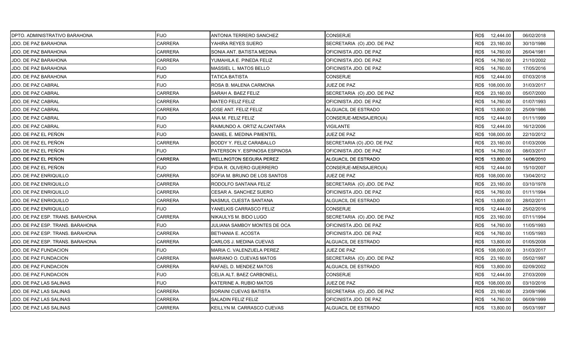| DPTO. ADMINISTRATIVO BARAHONA    | <b>FIJO</b>    | ANTONIA TERRERO SANCHEZ        | <b>CONSERJE</b>            | RD\$ 12,444.00    | 06/02/2018 |
|----------------------------------|----------------|--------------------------------|----------------------------|-------------------|------------|
| JDO. DE PAZ BARAHONA             | <b>CARRERA</b> | YAHIRA REYES SUERO             | SECRETARIA (O) JDO. DE PAZ | RD\$<br>23,160.00 | 30/10/1986 |
| JDO. DE PAZ BARAHONA             | <b>CARRERA</b> | SONIA ANT. BATISTA MEDINA      | OFICINISTA JDO. DE PAZ     | RD\$<br>14,760.00 | 26/04/1981 |
| JDO. DE PAZ BARAHONA             | <b>CARRERA</b> | YUMAHILA E. PINEDA FELIZ       | OFICINISTA JDO. DE PAZ     | RD\$<br>14,760.00 | 21/10/2002 |
| JDO. DE PAZ BARAHONA             | <b>FIJO</b>    | MASSIEL L. MATOS BELLO         | OFICINISTA JDO. DE PAZ     | RD\$<br>14,760.00 | 17/05/2016 |
| JDO. DE PAZ BARAHONA             | <b>FIJO</b>    | TATICA BATISTA                 | CONSERJE                   | RD\$<br>12,444.00 | 07/03/2018 |
| JDO. DE PAZ CABRAL               | <b>FIJO</b>    | ROSA B. MALENA CARMONA         | JUEZ DE PAZ                | RD\$ 108,000.00   | 31/03/2017 |
| <b>JDO. DE PAZ CABRAL</b>        | <b>CARRERA</b> | SARAH A. BAEZ FELIZ            | SECRETARIA (O) JDO. DE PAZ | RD\$<br>23,160.00 | 05/07/2000 |
| JDO. DE PAZ CABRAL               | <b>CARRERA</b> | <b>MATEO FELIZ FELIZ</b>       | OFICINISTA JDO. DE PAZ     | RD\$<br>14,760.00 | 01/07/1993 |
| JDO. DE PAZ CABRAL               | <b>CARRERA</b> | JOSE ANT. FELIZ FELIZ          | ALGUACIL DE ESTRADO        | RD\$<br>13,800.00 | 25/09/1986 |
| <b>JDO. DE PAZ CABRAL</b>        | <b>FIJO</b>    | ANA M. FELIZ FELIZ             | CONSERJE-MENSAJERO(A)      | RD\$<br>12,444.00 | 01/11/1999 |
| JDO. DE PAZ CABRAL               | <b>FIJO</b>    | RAIMUNDO A. ORTIZ ALCANTARA    | VIGILANTE                  | RD\$<br>12,444.00 | 16/12/2006 |
| JDO. DE PAZ EL PEÑON             | <b>FIJO</b>    | DANIEL E. MEDINA PIMENTEL      | <b>JUEZ DE PAZ</b>         | RD\$ 108,000.00   | 22/10/2012 |
| JDO. DE PAZ EL PEÑON             | <b>CARRERA</b> | BODDY Y. FELIZ CARABALLO       | SECRETARIA (O) JDO. DE PAZ | 23,160.00<br>RD\$ | 01/03/2006 |
| JDO. DE PAZ EL PEÑON             | <b>FIJO</b>    | PATERSON Y. ESPINOSA ESPINOSA  | OFICINISTA JDO. DE PAZ     | RD\$<br>14,760.00 | 08/03/2017 |
| JDO. DE PAZ EL PEÑON             | <b>CARRERA</b> | <b>WELLINGTON SEGURA PEREZ</b> | ALGUACIL DE ESTRADO        | RD\$<br>13,800.00 | 14/06/2010 |
| JDO. DE PAZ EL PEÑON             | <b>FIJO</b>    | FIDIA R. OLIVERO GUERRERO      | CONSERJE-MENSAJERO(A)      | RD\$<br>12,444.00 | 15/10/2007 |
| <b>JDO. DE PAZ ENRIQUILLO</b>    | <b>CARRERA</b> | SOFIA M. BRUNO DE LOS SANTOS   | JUEZ DE PAZ                | RD\$ 108,000.00   | 13/04/2012 |
| JDO. DE PAZ ENRIQUILLO           | <b>CARRERA</b> | RODOLFO SANTANA FELIZ          | SECRETARIA (O) JDO. DE PAZ | 23,160.00<br>RD\$ | 03/10/1978 |
| JDO. DE PAZ ENRIQUILLO           | <b>CARRERA</b> | CESAR A. SANCHEZ SUERO         | OFICINISTA JDO. DE PAZ     | RD\$<br>14,760.00 | 01/11/1994 |
| JDO. DE PAZ ENRIQUILLO           | CARRERA        | NASMUL CUESTA SANTANA          | ALGUACIL DE ESTRADO        | RD\$<br>13,800.00 | 28/02/2011 |
| <b>JDO. DE PAZ ENRIQUILLO</b>    | <b>FIJO</b>    | YANELKIS CARRASCO FELIZ        | <b>CONSERJE</b>            | RD\$<br>12,444.00 | 25/02/2016 |
| JDO. DE PAZ ESP. TRANS. BARAHONA | CARRERA        | NIKAULYS M. BIDO LUGO          | SECRETARIA (O) JDO. DE PAZ | RD\$<br>23,160.00 | 07/11/1994 |
| JDO. DE PAZ ESP. TRANS. BARAHONA | <b>FIJO</b>    | JULIANA SAMBOY MONTES DE OCA   | OFICINISTA JDO. DE PAZ     | 14,760.00<br>RD\$ | 11/05/1993 |
| JDO. DE PAZ ESP. TRANS. BARAHONA | <b>CARRERA</b> | BETHANIA E. ACOSTA             | OFICINISTA JDO. DE PAZ     | RD\$<br>14,760.00 | 11/05/1993 |
| JDO. DE PAZ ESP. TRANS. BARAHONA | <b>CARRERA</b> | CARLOS J. MEDINA CUEVAS        | ALGUACIL DE ESTRADO        | RD\$<br>13,800.00 | 01/05/2008 |
| JDO. DE PAZ FUNDACION            | <b>FIJO</b>    | MARIA C. VALENZUELA PEREZ      | JUEZ DE PAZ                | RD\$ 108,000.00   | 31/03/2017 |
| JDO. DE PAZ FUNDACION            | <b>CARRERA</b> | MARIANO O. CUEVAS MATOS        | SECRETARIA (O) JDO. DE PAZ | RD\$<br>23,160.00 | 05/02/1997 |
| JDO. DE PAZ FUNDACION            | <b>CARRERA</b> | RAFAEL D. MENDEZ MATOS         | ALGUACIL DE ESTRADO        | 13,800.00<br>RD\$ | 02/09/2002 |
| <b>JDO. DE PAZ FUNDACION</b>     | <b>FIJO</b>    | CELIA ALT. BAEZ CARBONELL      | <b>CONSERJE</b>            | RD\$<br>12,444.00 | 27/03/2009 |
| JDO. DE PAZ LAS SALINAS          | <b>FIJO</b>    | KATERINE A. RUBIO MATOS        | <b>JUEZ DE PAZ</b>         | RD\$ 108,000.00   | 03/10/2016 |
| <b>JDO. DE PAZ LAS SALINAS</b>   | CARRERA        | SORAINI CUEVAS BATISTA         | SECRETARIA (O) JDO. DE PAZ | 23,160.00<br>RD\$ | 23/09/1996 |
| JDO. DE PAZ LAS SALINAS          | CARRERA        | SALADIN FELIZ FELIZ            | OFICINISTA JDO. DE PAZ     | 14,760.00<br>RD\$ | 06/09/1999 |
| JDO. DE PAZ LAS SALINAS          | <b>CARRERA</b> | KEILLYN M. CARRASCO CUEVAS     | ALGUACIL DE ESTRADO        | RD\$<br>13,800.00 | 05/03/1997 |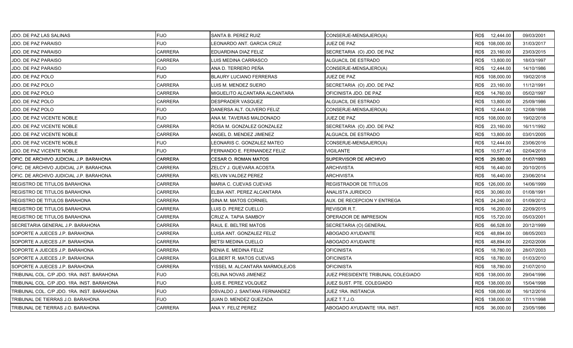| JDO. DE PAZ LAS SALINAS                    | <b>FIJO</b>    | SANTA B. PEREZ RUIZ            | CONSERJE-MENSAJERO(A)              | RD\$ 12,444.00    | 09/03/2001 |
|--------------------------------------------|----------------|--------------------------------|------------------------------------|-------------------|------------|
| <b>JDO. DE PAZ PARAISO</b>                 | <b>FIJO</b>    | LEONARDO ANT. GARCIA CRUZ      | JUEZ DE PAZ                        | RD\$ 108,000.00   | 31/03/2017 |
| JDO. DE PAZ PARAISO                        | <b>CARRERA</b> | EDUARDINA DIAZ FELIZ           | SECRETARIA (O) JDO. DE PAZ         | RD\$<br>23,160.00 | 23/03/2015 |
| JDO. DE PAZ PARAISO                        | <b>CARRERA</b> | LUIS MEDINA CARRASCO           | ALGUACIL DE ESTRADO                | RD\$<br>13,800.00 | 18/03/1997 |
| JDO. DE PAZ PARAISO                        | <b>FIJO</b>    | ANA D. TERRERO PEÑA            | CONSERJE-MENSAJERO(A)              | RD\$<br>12,444.00 | 14/10/1986 |
| JDO. DE PAZ POLO                           | <b>FIJO</b>    | <b>BLAURY LUCIANO FERRERAS</b> | <b>JUEZ DE PAZ</b>                 | RD\$ 108,000.00   | 19/02/2018 |
| JDO. DE PAZ POLO                           | CARRERA        | LUIS M. MENDEZ SUERO           | SECRETARIA (O) JDO. DE PAZ         | RD\$<br>23,160.00 | 11/12/1991 |
| JDO. DE PAZ POLO                           | <b>CARRERA</b> | MIGUELITO ALCANTARA ALCANTARA  | OFICINISTA JDO. DE PAZ             | RD\$<br>14,760.00 | 05/02/1997 |
| JDO. DE PAZ POLO                           | <b>CARRERA</b> | DESPRADER VASQUEZ              | ALGUACIL DE ESTRADO                | RD\$<br>13,800.00 | 25/09/1986 |
| JDO. DE PAZ POLO                           | <b>FIJO</b>    | DANERSA ALT. OLIVERO FELIZ     | CONSERJE-MENSAJERO(A)              | RD\$<br>12,444.00 | 12/08/1998 |
| JDO. DE PAZ VICENTE NOBLE                  | <b>FIJO</b>    | ANA M. TAVERAS MALDONADO       | <b>JUEZ DE PAZ</b>                 | RD\$ 108,000.00   | 19/02/2018 |
| JDO. DE PAZ VICENTE NOBLE                  | CARRERA        | ROSA M. GONZALEZ GONZALEZ      | SECRETARIA (O) JDO. DE PAZ         | RD\$<br>23,160.00 | 16/11/1992 |
| <b>JDO. DE PAZ VICENTE NOBLE</b>           | <b>CARRERA</b> | ANGEL D. MENDEZ JIMENEZ        | <b>ALGUACIL DE ESTRADO</b>         | RD\$<br>13,800.00 | 03/01/2005 |
| JDO. DE PAZ VICENTE NOBLE                  | <b>FIJO</b>    | LEONARIS C. GONZALEZ MATEO     | CONSERJE-MENSAJERO(A)              | RD\$<br>12,444.00 | 23/06/2016 |
| JDO. DE PAZ VICENTE NOBLE                  | <b>FIJO</b>    | FERNANDO E. FERNANDEZ FELIZ    | <b>VIGILANTE</b>                   | RD\$<br>10,577.40 | 02/04/2018 |
| OFIC. DE ARCHIVO JUDICIAL J.P. BARAHONA    | <b>CARRERA</b> | CESAR O. ROMAN MATOS           | SUPERVISOR DE ARCHIVO              | 29,580.00<br>RD\$ | 01/07/1993 |
| OFIC. DE ARCHIVO JUDICIAL J.P. BARAHONA    | CARRERA        | ZELCY J. GUEVARA ACOSTA        | ARCHIVISTA                         | RD\$<br>16,440.00 | 20/10/2015 |
| OFIC. DE ARCHIVO JUDICIAL J.P. BARAHONA    | <b>CARRERA</b> | KELVIN VALDEZ PEREZ            | <b>ARCHIVISTA</b>                  | RD\$<br>16,440.00 | 23/06/2014 |
| <b>REGISTRO DE TITULOS BARAHONA</b>        | <b>CARRERA</b> | MARIA C. CUEVAS CUEVAS         | <b>REGISTRADOR DE TITULOS</b>      | RD\$ 126,000.00   | 14/06/1999 |
| <b>REGISTRO DE TITULOS BARAHONA</b>        | <b>CARRERA</b> | ELBIA ANT. PEREZ ALCANTARA     | ANALISTA JURIDICO                  | RD\$<br>30,060.00 | 01/08/1991 |
| <b>REGISTRO DE TITULOS BARAHONA</b>        | <b>CARRERA</b> | GINA M. MATOS CORNIEL          | AUX. DE RECEPCION Y ENTREGA        | 24,240.00<br>RD\$ | 01/09/2012 |
| <b>REGISTRO DE TITULOS BARAHONA</b>        | CARRERA        | LUIS D. PEREZ CUELLO           | REVISOR R.T.                       | RD\$<br>16,200.00 | 22/09/2015 |
| <b>REGISTRO DE TITULOS BARAHONA</b>        | <b>CARRERA</b> | CRUZ A. TAPIA SAMBOY           | OPERADOR DE IMPRESION              | RD\$<br>15,720.00 | 05/03/2001 |
| SECRETARIA GENERAL J.P. BARAHONA           | <b>CARRERA</b> | RAUL E. BELTRE MATOS           | SECRETARIA (O) GENERAL             | RD\$<br>66,528.00 | 20/12/1999 |
| SOPORTE A JUECES J.P. BARAHONA             | CARRERA        | LUISA ANT. GONZALEZ FELIZ      | ABOGADO AYUDANTE                   | RD\$<br>48,894.00 | 08/05/2003 |
| SOPORTE A JUECES J.P. BARAHONA             | <b>CARRERA</b> | <b>BETSI MEDINA CUELLO</b>     | ABOGADO AYUDANTE                   | 48,894.00<br>RD\$ | 22/02/2006 |
| SOPORTE A JUECES J.P. BARAHONA             | CARRERA        | KENIA E. MEDINA FELIZ          | OFICINISTA                         | RD\$<br>18,780.00 | 28/07/2003 |
| SOPORTE A JUECES J.P. BARAHONA             | CARRERA        | GILBERT R. MATOS CUEVAS        | OFICINISTA                         | RD\$<br>18,780.00 | 01/03/2010 |
| SOPORTE A JUECES J.P. BARAHONA             | <b>CARRERA</b> | YISSEL M. ALCANTARA MARMOLEJOS | <b>OFICINISTA</b>                  | RD\$<br>18,780.00 | 21/07/2010 |
| TRIBUNAL COL. C/P JDO. 1RA. INST. BARAHONA | <b>FIJO</b>    | CELINA NOVAS JIMENEZ           | JUEZ PRESIDENTE TRIBUNAL COLEGIADO | RD\$ 138,000.00   | 29/04/1996 |
| TRIBUNAL COL. C/P JDO. 1RA. INST. BARAHONA | <b>FIJO</b>    | LUIS E. PEREZ VOLQUEZ          | JUEZ SUST. PTE. COLEGIADO          | RD\$ 138,000.00   | 15/04/1998 |
| TRIBUNAL COL. C/P JDO. 1RA. INST. BARAHONA | <b>FIJO</b>    | OSVALDO J. SANTANA FERNANDEZ   | JUEZ 1RA. INSTANCIA                | RD\$ 108,000.00   | 16/12/2016 |
| TRIBUNAL DE TIERRAS J.O. BARAHONA          | <b>FIJO</b>    | JUAN D. MENDEZ QUEZADA         | JUEZ T.T.J.O.                      | RD\$ 138,000.00   | 17/11/1998 |
| TRIBUNAL DE TIERRAS J.O. BARAHONA          | <b>CARRERA</b> | ANA Y. FELIZ PEREZ             | ABOGADO AYUDANTE 1RA. INST.        | RD\$ 36,000.00    | 23/05/1986 |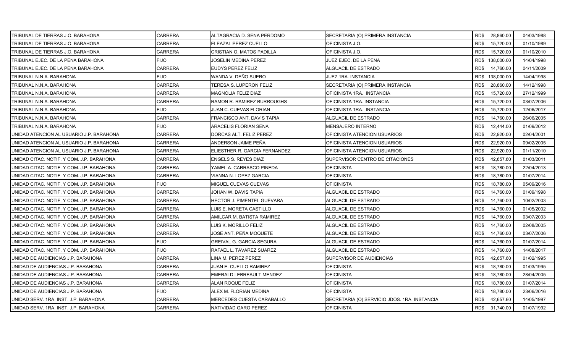| TRIBUNAL DE TIERRAS J.O. BARAHONA         | <b>CARRERA</b> | ALTAGRACIA D. SENA PERDOMO      | SECRETARIA (O) PRIMERA INSTANCIA             | RD\$ 28,860.00  |           | 04/03/1988 |
|-------------------------------------------|----------------|---------------------------------|----------------------------------------------|-----------------|-----------|------------|
| TRIBUNAL DE TIERRAS J.O. BARAHONA         | CARRERA        | ELEAZAL PEREZ CUELLO            | OFICINISTA J.O.                              | RD\$            | 15,720.00 | 01/10/1989 |
| TRIBUNAL DE TIERRAS J.O. BARAHONA         | <b>CARRERA</b> | CRISTIAN O. MATOS PADILLA       | OFICINISTA J.O.                              | RD\$            | 15,720.00 | 01/10/2010 |
| TRIBUNAL EJEC. DE LA PENA BARAHONA        | <b>FIJO</b>    | JOSELIN MEDINA PEREZ            | JUEZ EJEC. DE LA PENA                        | RD\$ 138,000.00 |           | 14/04/1998 |
| TRIBUNAL EJEC. DE LA PENA BARAHONA        | <b>CARRERA</b> | EUDYS PEREZ FELIZ               | ALGUACIL DE ESTRADO                          | RD\$            | 14,760.00 | 04/11/2009 |
| TRIBUNAL N.N.A. BARAHONA                  | <b>FIJO</b>    | WANDA V. DEÑO SUERO             | JUEZ 1RA. INSTANCIA                          | RD\$ 138,000.00 |           | 14/04/1998 |
| TRIBUNAL N.N.A. BARAHONA                  | <b>CARRERA</b> | TERESA S. LUPERON FELIZ         | SECRETARIA (O) PRIMERA INSTANCIA             | RD\$            | 28,860.00 | 14/12/1998 |
| ITRIBUNAL N.N.A. BARAHONA                 | <b>CARRERA</b> | <b>MAGNOLIA FELIZ DIAZ</b>      | OFICINISTA 1RA. INSTANCIA                    | RD\$            | 15,720.00 | 27/12/1999 |
| TRIBUNAL N.N.A. BARAHONA                  | <b>CARRERA</b> | RAMON R. RAMIREZ BURROUGHS      | OFICINISTA 1RA. INSTANCIA                    | RD\$            | 15,720.00 | 03/07/2006 |
| TRIBUNAL N.N.A. BARAHONA                  | <b>FIJO</b>    | JUAN C. CUEVAS FLORIAN          | OFICINISTA 1RA. INSTANCIA                    | RD\$            | 15,720.00 | 12/06/2017 |
| TRIBUNAL N.N.A. BARAHONA                  | <b>CARRERA</b> | FRANCISCO ANT. DAVIS TAPIA      | ALGUACIL DE ESTRADO                          | RD\$            | 14,760.00 | 26/06/2005 |
| TRIBUNAL N.N.A. BARAHONA                  | <b>FIJO</b>    | ARACELIS FLORIAN SENA           | MENSAJERO INTERNO                            | RD\$            | 12,444.00 | 01/09/2012 |
| UNIDAD ATENCION AL USUARIO J.P. BARAHONA  | <b>CARRERA</b> | DORCAS ALT. FELIZ PEREZ         | OFICINISTA ATENCION USUARIOS                 | RD\$            | 22,920.00 | 02/04/2001 |
| UNIDAD ATENCION AL USUARIO J.P. BARAHONA  | <b>CARRERA</b> | ANDERSON JAIME PEÑA             | OFICINISTA ATENCION USUARIOS                 | RD\$            | 22,920.00 | 09/02/2005 |
| UNIDAD ATENCION AL USUARIO J.P. BARAHONA  | <b>CARRERA</b> | ELIESTHER R. GARCIA FERNANDEZ   | OFICINISTA ATENCION USUARIOS                 | RD\$            | 22,920.00 | 01/11/2010 |
| UNIDAD CITAC, NOTIF, Y COM, J.P. BARAHONA | <b>CARRERA</b> | <b>ENGELS S. REYES DIAZ</b>     | SUPERVISOR CENTRO DE CITACIONES              | RD\$            | 42,657.60 | 01/03/2011 |
| UNIDAD CITAC. NOTIF. Y COM. J.P. BARAHONA | CARRERA        | YAMEL A. CARRASCO PINEDA        | OFICINISTA                                   | RD\$            | 18,780.00 | 22/04/2013 |
| UNIDAD CITAC. NOTIF. Y COM. J.P. BARAHONA | CARRERA        | VIANNA N. LOPEZ GARCIA          | <b>OFICINISTA</b>                            | RD\$            | 18,780.00 | 01/07/2014 |
| UNIDAD CITAC. NOTIF. Y COM. J.P. BARAHONA | <b>FIJO</b>    | MIGUEL CUEVAS CUEVAS            | <b>OFICINISTA</b>                            | RD\$            | 18,780.00 | 05/09/2016 |
| UNIDAD CITAC. NOTIF. Y COM. J.P. BARAHONA | <b>CARRERA</b> | JOHAN W. DAVIS TAPIA            | ALGUACIL DE ESTRADO                          | RD\$            | 14,760.00 | 01/09/1998 |
| UNIDAD CITAC. NOTIF. Y COM. J.P. BARAHONA | <b>CARRERA</b> | HECTOR J. PIMENTEL GUEVARA      | ALGUACIL DE ESTRADO                          | RD\$            | 14,760.00 | 10/02/2003 |
| UNIDAD CITAC. NOTIF. Y COM. J.P. BARAHONA | CARRERA        | LUIS E. MORETA CASTILLO         | ALGUACIL DE ESTRADO                          | RD\$            | 14,760.00 | 01/05/2002 |
| UNIDAD CITAC. NOTIF. Y COM. J.P. BARAHONA | <b>CARRERA</b> | AMILCAR M. BATISTA RAMIREZ      | ALGUACIL DE ESTRADO                          | RD\$            | 14,760.00 | 03/07/2003 |
| UNIDAD CITAC. NOTIF. Y COM. J.P. BARAHONA | <b>CARRERA</b> | LUIS K. MORILLO FELIZ           | ALGUACIL DE ESTRADO                          | RD\$            | 14,760.00 | 02/08/2005 |
| UNIDAD CITAC. NOTIF. Y COM. J.P. BARAHONA | <b>CARRERA</b> | JOSE ANT. PEÑA MOQUETE          | <b>ALGUACIL DE ESTRADO</b>                   | RD\$            | 14,760.00 | 03/07/2006 |
| UNIDAD CITAC. NOTIF. Y COM. J.P. BARAHONA | <b>FIJO</b>    | <b>GREIVAL G. GARCIA SEGURA</b> | ALGUACIL DE ESTRADO                          | RD\$            | 14,760.00 | 01/07/2014 |
| UNIDAD CITAC. NOTIF. Y COM. J.P. BARAHONA | <b>FIJO</b>    | RAFAEL L. TAVAREZ SUAREZ        | ALGUACIL DE ESTRADO                          | RD\$            | 14,760.00 | 14/08/2017 |
| UNIDAD DE AUDIENCIAS J.P. BARAHONA        | CARRERA        | LINA M. PEREZ PEREZ             | SUPERVISOR DE AUDIENCIAS                     | RD\$            | 42,657.60 | 01/02/1995 |
| UNIDAD DE AUDIENCIAS J.P. BARAHONA        | <b>CARRERA</b> | JUAN E. CUELLO RAMIREZ          | <b>OFICINISTA</b>                            | RD\$            | 18,780.00 | 01/03/1995 |
| UNIDAD DE AUDIENCIAS J.P. BARAHONA        | CARRERA        | EMERALD LEBREAULT MENDEZ        | <b>OFICINISTA</b>                            | RD\$            | 18,780.00 | 28/04/2005 |
| UNIDAD DE AUDIENCIAS J.P. BARAHONA        | <b>CARRERA</b> | ALAN ROQUE FELIZ                | <b>OFICINISTA</b>                            | RD\$            | 18,780.00 | 01/07/2014 |
| UNIDAD DE AUDIENCIAS J.P. BARAHONA        | <b>FIJO</b>    | ALEX M. FLORIAN MEDINA          | <b>OFICINISTA</b>                            | RD\$            | 18,780.00 | 23/06/2016 |
| UNIDAD SERV. 1RA. INST. J.P. BARAHONA     | CARRERA        | MERCEDES CUESTA CARABALLO       | SECRETARIA (O) SERVICIO JDOS. 1RA. INSTANCIA | RD\$            | 42,657.60 | 14/05/1997 |
| UNIDAD SERV. 1RA. INST. J.P. BARAHONA     | <b>CARRERA</b> | NATIVIDAD GARO PEREZ            | <b>OFICINISTA</b>                            | RD\$ 31,740.00  |           | 01/07/1992 |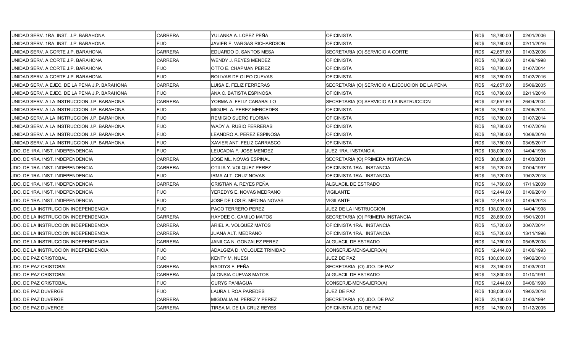| UNIDAD SERV. 1RA. INST. J.P. BARAHONA         | <b>CARRERA</b> | YULANKA A. LOPEZ PEÑA        | <b>OFICINISTA</b>                              | RD\$ 18,780.00    | 02/01/2006 |
|-----------------------------------------------|----------------|------------------------------|------------------------------------------------|-------------------|------------|
| UNIDAD SERV. 1RA. INST. J.P. BARAHONA         | <b>FIJO</b>    | JAVIER E. VARGAS RICHARDSON  | <b>OFICINISTA</b>                              | 18,780.00<br>RD\$ | 02/11/2016 |
| UNIDAD SERV. A CORTE J.P. BARAHONA            | <b>CARRERA</b> | EDUARDO D. SANTOS MESA       | SECRETARIA (O) SERVICIO A CORTE                | RD\$<br>42,657.60 | 01/03/2006 |
| UNIDAD SERV. A CORTE J.P. BARAHONA            | <b>CARRERA</b> | WENDY J. REYES MENDEZ        | <b>OFICINISTA</b>                              | RD\$<br>18,780.00 | 01/09/1998 |
| UNIDAD SERV. A CORTE J.P. BARAHONA            | <b>FIJO</b>    | OTTO E. CHAPMAN PEREZ        | <b>OFICINISTA</b>                              | RD\$<br>18,780.00 | 01/07/2014 |
| UNIDAD SERV. A CORTE J.P. BARAHONA            | <b>FIJO</b>    | BOLIVAR DE OLEO CUEVAS       | <b>OFICINISTA</b>                              | RD\$<br>18,780.00 | 01/02/2016 |
| UNIDAD SERV. A EJEC. DE LA PENA J.P. BARAHONA | <b>CARRERA</b> | LUISA E. FELIZ FERRERAS      | SECRETARIA (O) SERVICIO A EJECUCION DE LA PENA | 42,657.60<br>RD\$ | 05/09/2005 |
| UNIDAD SERV. A EJEC. DE LA PENA J.P. BARAHONA | <b>FIJO</b>    | ANA C. BATISTA ESPINOSA      | <b>OFICINISTA</b>                              | 18,780.00<br>RD\$ | 02/11/2016 |
| UNIDAD SERV. A LA INSTRUCCION J.P. BARAHONA   | <b>CARRERA</b> | YORMA A. FELIZ CARABALLO     | SECRETARIA (O) SERVICIO A LA INSTRUCCION       | RD\$<br>42,657.60 | 26/04/2004 |
| UNIDAD SERV. A LA INSTRUCCION J.P. BARAHONA   | <b>FIJO</b>    | MIGUEL A. PEREZ MERCEDES     | <b>OFICINISTA</b>                              | RD\$<br>18,780.00 | 02/06/2014 |
| UNIDAD SERV. A LA INSTRUCCION J.P. BARAHONA   | <b>FIJO</b>    | REMIGIO SUERO FLORIAN        | <b>OFICINISTA</b>                              | 18,780.00<br>RD\$ | 01/07/2014 |
| UNIDAD SERV. A LA INSTRUCCION J.P. BARAHONA   | <b>FIJO</b>    | WADY A. RUBIO FERRERAS       | OFICINISTA                                     | RD\$<br>18,780.00 | 11/07/2016 |
| UNIDAD SERV. A LA INSTRUCCION J.P. BARAHONA   | <b>FIJO</b>    | LEANDRO A. PEREZ ESPINOSA    | <b>OFICINISTA</b>                              | RD\$<br>18,780.00 | 10/08/2016 |
| UNIDAD SERV. A LA INSTRUCCION J.P. BARAHONA   | <b>FIJO</b>    | XAVIER ANT. FELIZ CARRASCO   | <b>OFICINISTA</b>                              | RD\$<br>18,780.00 | 03/05/2017 |
| JDO. DE 1RA. INST. INDEPENDENCIA              | <b>FIJO</b>    | LEUCADIA F. JOSE MENDEZ      | JUEZ 1RA. INSTANCIA                            | RD\$ 138,000.00   | 14/04/1998 |
| JDO. DE 1RA. INST. INDEPENDENCIA              | <b>CARRERA</b> | JOSE ML. NOVAS ESPINAL       | SECRETARIA (O) PRIMERA INSTANCIA               | RD\$<br>38,088.00 | 01/03/2001 |
| JDO. DE 1RA. INST. INDEPENDENCIA              | CARRERA        | OTILIA Y. VOLQUEZ PEREZ      | OFICINISTA 1RA. INSTANCIA                      | 15,720.00<br>RD\$ | 07/04/1997 |
| JDO. DE 1RA. INST. INDEPENDENCIA              | <b>FIJO</b>    | IRMA ALT. CRUZ NOVAS         | OFICINISTA 1RA. INSTANCIA                      | RD\$<br>15,720.00 | 19/02/2018 |
| JDO. DE 1RA. INST. INDEPENDENCIA              | <b>CARRERA</b> | CRISTIAN A. REYES PEÑA       | ALGUACIL DE ESTRADO                            | RD\$<br>14,760.00 | 17/11/2009 |
| JDO. DE 1RA. INST. INDEPENDENCIA              | <b>FIJO</b>    | YEREDYS E. NOVAS MEDRANO     | <b>VIGILANTE</b>                               | RD\$<br>12,444.00 | 01/09/2010 |
| JDO. DE 1RA. INST. INDEPENDENCIA              | <b>FIJO</b>    | JOSE DE LOS R. MEDINA NOVAS  | VIGILANTE                                      | RD\$<br>12,444.00 | 01/04/2013 |
| JDO. DE LA INSTRUCCION INDEPENDENCIA          | <b>FIJO</b>    | PACO TERRERO PEREZ           | JUEZ DE LA INSTRUCCION                         | RD\$ 138,000.00   | 14/04/1998 |
| JDO. DE LA INSTRUCCION INDEPENDENCIA          | <b>CARRERA</b> | HAYDEE C. CAMILO MATOS       | SECRETARIA (O) PRIMERA INSTANCIA               | RD\$<br>28,860.00 | 15/01/2001 |
| JDO. DE LA INSTRUCCION INDEPENDENCIA          | <b>CARRERA</b> | ARIEL A. VOLQUEZ MATOS       | OFICINISTA 1RA. INSTANCIA                      | RD\$<br>15,720.00 | 30/07/2014 |
| JDO. DE LA INSTRUCCION INDEPENDENCIA          | CARRERA        | JUANA ALT. MEDRANO           | OFICINISTA 1RA. INSTANCIA                      | RD\$<br>15,720.00 | 13/11/1996 |
| JDO. DE LA INSTRUCCION INDEPENDENCIA          | <b>CARRERA</b> | JANILCA N. GONZALEZ PEREZ    | ALGUACIL DE ESTRADO                            | 14,760.00<br>RD\$ | 05/08/2008 |
| JDO. DE LA INSTRUCCION INDEPENDENCIA          | <b>FIJO</b>    | ADALGIZA D. VOLQUEZ TRINIDAD | CONSERJE-MENSAJERO(A)                          | RD\$<br>12,444.00 | 01/06/1993 |
| JDO. DE PAZ CRISTOBAL                         | <b>FIJO</b>    | KENTY M. NUESI               | JUEZ DE PAZ                                    | RD\$ 108,000.00   | 19/02/2018 |
| JDO. DE PAZ CRISTOBAL                         | <b>CARRERA</b> | RADDYS F. PEÑA               | SECRETARIA (O) JDO. DE PAZ                     | RD\$<br>23,160.00 | 01/03/2001 |
| JDO. DE PAZ CRISTOBAL                         | <b>CARRERA</b> | ALONSIA CUEVAS MATOS         | ALGUACIL DE ESTRADO                            | RD\$<br>13,800.00 | 01/10/1991 |
| JDO. DE PAZ CRISTOBAL                         | <b>FIJO</b>    | <b>CURYS PANIAGUA</b>        | CONSERJE-MENSAJERO(A)                          | RD\$<br>12,444.00 | 04/06/1998 |
| JDO. DE PAZ DUVERGE                           | <b>FIJO</b>    | LAURA I. ROA PAREDES         | <b>JUEZ DE PAZ</b>                             | RD\$ 108,000.00   | 19/02/2018 |
| JDO. DE PAZ DUVERGE                           | CARRERA        | MIGDALIA M. PEREZ Y PEREZ    | SECRETARIA (O) JDO. DE PAZ                     | RD\$<br>23,160.00 | 01/03/1994 |
| JDO. DE PAZ DUVERGE                           | <b>CARRERA</b> | TIRSA M. DE LA CRUZ REYES    | OFICINISTA JDO. DE PAZ                         | RD\$ 14,760.00    | 01/12/2005 |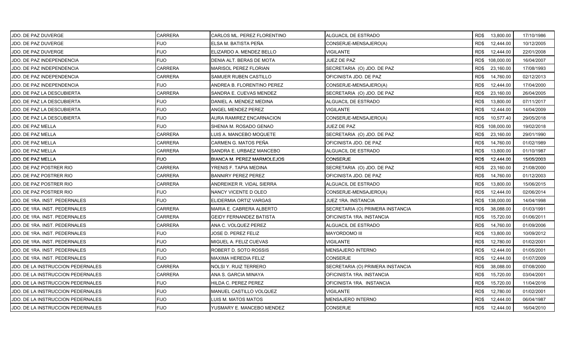| JDO. DE PAZ DUVERGE                      | <b>CARRERA</b> | CARLOS ML. PEREZ FLORENTINO       | ALGUACIL DE ESTRADO              | RD\$ 13,800.00    | 17/10/1986 |
|------------------------------------------|----------------|-----------------------------------|----------------------------------|-------------------|------------|
| JDO. DE PAZ DUVERGE                      | <b>FIJO</b>    | ELSA M. BATISTA PEÑA              | CONSERJE-MENSAJERO(A)            | RD\$<br>12,444.00 | 10/12/2005 |
| JDO. DE PAZ DUVERGE                      | <b>FIJO</b>    | ELIZARDO A. MENDEZ BELLO          | <b>VIGILANTE</b>                 | RD\$<br>12,444.00 | 22/01/2008 |
| JDO. DE PAZ INDEPENDENCIA                | <b>FIJO</b>    | DENIA ALT. BERAS DE MOTA          | <b>JUEZ DE PAZ</b>               | RD\$ 108,000.00   | 16/04/2007 |
| <b>JDO. DE PAZ INDEPENDENCIA</b>         | CARRERA        | <b>MARISOL PEREZ FLORIAN</b>      | SECRETARIA (O) JDO. DE PAZ       | RD\$<br>23,160.00 | 17/08/1993 |
| JDO. DE PAZ INDEPENDENCIA                | CARRERA        | SAMUER RUBEN CASTILLO             | OFICINISTA JDO. DE PAZ           | RD\$<br>14,760.00 | 02/12/2013 |
| JDO. DE PAZ INDEPENDENCIA                | <b>FIJO</b>    | ANDREA B. FLORENTINO PEREZ        | CONSERJE-MENSAJERO(A)            | RD\$<br>12,444.00 | 17/04/2000 |
| JDO. DE PAZ LA DESCUBIERTA               | <b>CARRERA</b> | SANDRA E. CUEVAS MENDEZ           | SECRETARIA (O) JDO. DE PAZ       | RD\$<br>23,160.00 | 26/04/2005 |
| <b>JDO. DE PAZ LA DESCUBIERTA</b>        | <b>FIJO</b>    | DANIEL A. MENDEZ MEDINA           | ALGUACIL DE ESTRADO              | RD\$<br>13,800.00 | 07/11/2017 |
| JDO. DE PAZ LA DESCUBIERTA               | <b>FIJO</b>    | ANGEL MENDEZ PEREZ                | <b>VIGILANTE</b>                 | RD\$<br>12,444.00 | 14/04/2009 |
| <b>JDO. DE PAZ LA DESCUBIERTA</b>        | <b>FIJO</b>    | AURA RAMIREZ ENCARNACION          | CONSERJE-MENSAJERO(A)            | 10,577.40<br>RD\$ | 29/05/2018 |
| JDO. DE PAZ MELLA                        | <b>FIJO</b>    | SHENIA M. ROSADO GENAO            | JUEZ DE PAZ                      | RD\$ 108,000.00   | 19/02/2018 |
| JDO. DE PAZ MELLA                        | <b>CARRERA</b> | LUIS A. MANCEBO MOQUETE           | SECRETARIA (O) JDO. DE PAZ       | 23,160.00<br>RD\$ | 29/01/1990 |
| JDO. DE PAZ MELLA                        | <b>CARRERA</b> | CARMEN G. MATOS PEÑA              | OFICINISTA JDO. DE PAZ           | RD\$<br>14,760.00 | 01/02/1989 |
| JDO. DE PAZ MELLA                        | CARRERA        | SANDRA E. URBAEZ MANCEBO          | ALGUACIL DE ESTRADO              | 13,800.00<br>RD\$ | 01/10/1987 |
| <b>JDO. DE PAZ MELLA</b>                 | <b>FIJO</b>    | <b>BIANCA M. PEREZ MARMOLEJOS</b> | <b>CONSERJE</b>                  | RD\$<br>12,444.00 | 15/05/2003 |
| JDO. DE PAZ POSTRER RIO                  | <b>CARRERA</b> | YRENIS F. TAPIA MEDINA            | SECRETARIA (O) JDO. DE PAZ       | RD\$<br>23,160.00 | 21/08/2000 |
| JDO. DE PAZ POSTRER RIO                  | <b>CARRERA</b> | <b>BANNIRY PEREZ PEREZ</b>        | OFICINISTA JDO. DE PAZ           | RD\$<br>14,760.00 | 01/12/2003 |
| JDO. DE PAZ POSTRER RIO                  | <b>CARRERA</b> | ANDREIKER R. VIDAL SIERRA         | ALGUACIL DE ESTRADO              | RD\$<br>13,800.00 | 15/06/2015 |
| JDO. DE PAZ POSTRER RIO                  | <b>FIJO</b>    | NANCY VICENTE D OLEO              | CONSERJE-MENSAJERO(A)            | RD\$<br>12,444.00 | 02/06/2014 |
| JDO. DE 1RA. INST. PEDERNALES            | <b>FIJO</b>    | ELIDERMIA ORTIZ VARGAS            | JUEZ 1RA. INSTANCIA              | RD\$ 138,000.00   | 14/04/1998 |
| JDO. DE 1RA. INST. PEDERNALES            | <b>CARRERA</b> | MARIA E. CABRERA ALBERTO          | SECRETARIA (O) PRIMERA INSTANCIA | RD\$<br>38,088.00 | 01/03/1991 |
| JDO. DE 1RA. INST. PEDERNALES            | <b>CARRERA</b> | GEIDY FERNANDEZ BATISTA           | OFICINISTA 1RA. INSTANCIA        | RD\$<br>15,720.00 | 01/06/2011 |
| JDO. DE 1RA. INST. PEDERNALES            | <b>CARRERA</b> | ANA C. VOLQUEZ PEREZ              | <b>ALGUACIL DE ESTRADO</b>       | 14,760.00<br>RD\$ | 01/09/2006 |
| JDO. DE 1RA. INST. PEDERNALES            | <b>FIJO</b>    | JOSE D. PEREZ FELIZ               | <b>MAYORDOMO III</b>             | RD\$<br>13,800.00 | 10/09/2012 |
| JDO. DE 1RA. INST. PEDERNALES            | <b>FIJO</b>    | MIGUEL A. FELIZ CUEVAS            | <b>VIGILANTE</b>                 | RD\$<br>12,780.00 | 01/02/2001 |
| JDO. DE 1RA. INST. PEDERNALES            | <b>FIJO</b>    | ROBERT D. SOTO ROSSIS             | MENSAJERO INTERNO                | RD\$<br>12,444.00 | 01/05/2001 |
| JDO. DE 1RA. INST. PEDERNALES            | <b>FIJO</b>    | <b>MAXIMA HEREDIA FELIZ</b>       | <b>CONSERJE</b>                  | RD\$<br>12,444.00 | 01/07/2009 |
| JDO. DE LA INSTRUCCION PEDERNALES        | <b>CARRERA</b> | NOLSI Y. RUIZ TERRERO             | SECRETARIA (O) PRIMERA INSTANCIA | RD\$<br>38,088.00 | 07/08/2000 |
| JDO. DE LA INSTRUCCION PEDERNALES        | <b>CARRERA</b> | ANA S. GARCIA MINAYA              | OFICINISTA 1RA. INSTANCIA        | RD\$<br>15,720.00 | 03/04/2001 |
| <b>JDO. DE LA INSTRUCCION PEDERNALES</b> | <b>FIJO</b>    | HILDA C. PEREZ PEREZ              | OFICINISTA 1RA. INSTANCIA        | RD\$<br>15,720.00 | 11/04/2016 |
| JDO. DE LA INSTRUCCION PEDERNALES        | <b>FIJO</b>    | MANUEL CASTILLO VOLQUEZ           | VIGILANTE                        | RD\$<br>12,780.00 | 01/02/2001 |
| JDO. DE LA INSTRUCCION PEDERNALES        | <b>FIJO</b>    | LUIS M. MATOS MATOS               | MENSAJERO INTERNO                | RD\$<br>12,444.00 | 06/04/1987 |
| JDO. DE LA INSTRUCCION PEDERNALES        | <b>FIJO</b>    | YUSMARY E. MANCEBO MENDEZ         | <b>CONSERJE</b>                  | 12,444.00<br>RD\$ | 16/04/2010 |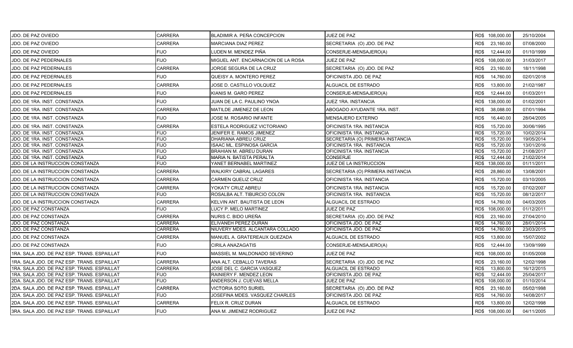| JDO. DE PAZ OVIEDO                          | <b>CARRERA</b> | BLADIMIR A. PEÑA CONCEPCION        | JUEZ DE PAZ                      | RD\$ 108,000.00    | 25/10/2004 |
|---------------------------------------------|----------------|------------------------------------|----------------------------------|--------------------|------------|
| JDO. DE PAZ OVIEDO                          | <b>CARRERA</b> | <b>MARCIANA DIAZ PEREZ</b>         | SECRETARIA (O) JDO. DE PAZ       | RD\$<br>23,160.00  | 07/08/2000 |
| JDO. DE PAZ OVIEDO                          | <b>FIJO</b>    | LUDEN M. MENDEZ PIÑA               | CONSERJE-MENSAJERO(A)            | RD\$<br>12,444.00  | 01/10/1999 |
| JDO. DE PAZ PEDERNALES                      | <b>FIJO</b>    | MIGUEL ANT. ENCARNACION DE LA ROSA | JUEZ DE PAZ                      | RD\$ 108,000.00    | 31/03/2017 |
| <b>JDO. DE PAZ PEDERNALES</b>               | <b>CARRERA</b> | JORGE SEGURA DE LA CRUZ            | SECRETARIA (O) JDO. DE PAZ       | RD\$<br>23,160.00  | 18/11/1998 |
| JDO. DE PAZ PEDERNALES                      | <b>FIJO</b>    | <b>QUEISY A. MONTERO PEREZ</b>     | OFICINISTA JDO. DE PAZ           | RD\$<br>14,760.00  | 02/01/2018 |
| JDO. DE PAZ PEDERNALES                      | <b>CARRERA</b> | JOSE D. CASTILLO VOLQUEZ           | ALGUACIL DE ESTRADO              | RD\$<br>13,800.00  | 21/02/1987 |
| JDO. DE PAZ PEDERNALES                      | <b>FIJO</b>    | KIANIS M. GARO PEREZ               | CONSERJE-MENSAJERO(A)            | RD\$<br>12,444.00  | 01/03/2011 |
| JDO. DE 1RA. INST. CONSTANZA                | <b>FIJO</b>    | JUAN DE LA C. PAULINO YNOA         | JUEZ 1RA. INSTANCIA              | RD\$ 138,000.00    | 01/02/2001 |
| JDO. DE 1RA. INST. CONSTANZA                | <b>CARRERA</b> | MATILDE JIMENEZ DE LEON            | ABOGADO AYUDANTE 1RA. INST.      | RD\$<br>38,088.00  | 07/01/1994 |
| JDO. DE 1RA. INST. CONSTANZA                | <b>FIJO</b>    | JOSE M. ROSARIO INFANTE            | <b>MENSAJERO EXTERNO</b>         | RD\$<br>16,440.00  | 28/04/2005 |
| JDO. DE 1RA. INST. CONSTANZA                | <b>CARRERA</b> | ESTELA RODRIGUEZ VICTORIANO        | OFICINISTA 1RA. INSTANCIA        | 15,720.00<br>RD\$  | 30/06/1995 |
| JDO. DE 1RA. INST. CONSTANZA                | <b>FIJO</b>    | JENIFER E. RAMOS JIMENEZ           | OFICINISTA 1RA. INSTANCIA        | 15,720.00<br>RD\$  | 10/02/2014 |
| JDO. DE 1RA. INST. CONSTANZA                | <b>FIJO</b>    | DHARIANA ABREU CRUZ                | SECRETARIA (O) PRIMERA INSTANCIA | RD\$<br>15,720.00  | 19/05/2014 |
| JDO. DE 1RA. INST. CONSTANZA                | <b>FIJO</b>    | ISAAC ML. ESPINOSA GARCIA          | OFICINISTA 1RA. INSTANCIA        | 15,720.00<br>RD\$  | 13/01/2016 |
| JDO. DE 1RA. INST. CONSTANZA                | <b>FIJO</b>    | <b>BRAHIAN M. ABREU DURAN</b>      | OFICINISTA 1RA. INSTANCIA        | 15,720.00<br>RD\$  | 21/08/2017 |
| JDO. DE 1RA. INST. CONSTANZA                | <b>FIJO</b>    | MARIA N. BATISTA PERALTA           | <b>CONSERJE</b>                  | 12,444.00<br>RD\$  | 21/02/2014 |
| JDO. DE LA INSTRUCCION CONSTANZA            | <b>FIJO</b>    | YANET BERNABEL MARTINEZ            | JUEZ DE LA INSTRUCCION           | 138,000.00<br>RD\$ | 01/11/2011 |
| JDO. DE LA INSTRUCCION CONSTANZA            | <b>CARRERA</b> | <b>WALKIRY CABRAL LAGARES</b>      | SECRETARIA (O) PRIMERA INSTANCIA | RD\$<br>28,860.00  | 13/08/2001 |
| JDO. DE LA INSTRUCCION CONSTANZA            | <b>CARRERA</b> | <b>CARMEN QUELIZ CRUZ</b>          | OFICINISTA 1RA. INSTANCIA        | RD\$<br>15,720.00  | 03/10/2005 |
| JDO. DE LA INSTRUCCION CONSTANZA            | <b>CARRERA</b> | YOKATY CRUZ ABREU                  | OFICINISTA 1RA. INSTANCIA        | RD\$<br>15,720.00  | 07/02/2007 |
| JDO. DE LA INSTRUCCION CONSTANZA            | <b>FIJO</b>    | ROSALBA ALT. TIBURCIO COLON        | OFICINISTA 1RA. INSTANCIA        | 15,720.00<br>RD\$  | 08/12/2017 |
| JDO. DE LA INSTRUCCION CONSTANZA            | <b>CARRERA</b> | KELVIN ANT. BAUTISTA DE LEON       | ALGUACIL DE ESTRADO              | RD\$<br>14,760.00  | 04/03/2005 |
| JDO. DE PAZ CONSTANZA                       | <b>FIJO</b>    | LUCY P. MELO MARTINEZ              | <b>JUEZ DE PAZ</b>               | 108,000.00<br>RD\$ | 01/12/2011 |
| JDO. DE PAZ CONSTANZA                       | <b>CARRERA</b> | NURIS C. BIDO UREÑA                | SECRETARIA (O) JDO. DE PAZ       | RD\$<br>23,160.00  | 27/04/2010 |
| JDO. DE PAZ CONSTANZA                       | <b>CARRERA</b> | ELIVANEH PEREZ DURAN               | OFICINISTA JDO. DE PAZ           | RD\$<br>14,760.00  | 28/01/2014 |
| JDO. DE PAZ CONSTANZA                       | <b>CARRERA</b> | NIUVERY MDES. ALCANTARA COLLADO    | OFICINISTA JDO. DE PAZ           | RD\$<br>14,760.00  | 23/03/2015 |
| JDO. DE PAZ CONSTANZA                       | <b>CARRERA</b> | MANUEL A. GRATEREAUX QUEZADA       | ALGUACIL DE ESTRADO              | RD\$<br>13,800.00  | 15/07/2002 |
| JDO. DE PAZ CONSTANZA                       | <b>FIJO</b>    | CIRILA ANAZAGATIS                  | CONSERJE-MENSAJERO(A)            | RD\$<br>12,444.00  | 13/09/1999 |
| 1RA. SALA JDO. DE PAZ ESP. TRANS. ESPAILLAT | <b>FIJO</b>    | MASSIEL M. MALDONADO SEVERINO      | <b>JUEZ DE PAZ</b>               | RD\$ 108,000.00    | 01/05/2008 |
| 1RA. SALA JDO. DE PAZ ESP. TRANS. ESPAILLAT | <b>CARRERA</b> | ANA ALT. CEBALLO TAVERAS           | SECRETARIA (O) JDO. DE PAZ       | RD\$<br>23,160.00  | 12/02/1998 |
| 1RA. SALA JDO. DE PAZ ESP. TRANS. ESPAILLAT | <b>CARRERA</b> | JOSE DEL C. GARCIA VASQUEZ         | ALGUACIL DE ESTRADO              | RD\$<br>13,800.00  | 16/12/2015 |
| 1RA. SALA JDO. DE PAZ ESP. TRANS. ESPAILLAT | <b>FIJO</b>    | RAINIERY F. MENDEZ LEON            | OFICINISTA JDO. DE PAZ           | 12,444.00<br>RD\$  | 25/04/2017 |
| 2DA. SALA JDO. DE PAZ ESP. TRANS. ESPAILLAT | <b>FIJO</b>    | ANDERSON J. CUEVAS MELLA           | JUEZ DE PAZ                      | RD\$ 108,000.00    | 01/10/2014 |
| 2DA. SALA JDO. DE PAZ ESP. TRANS. ESPAILLAT | <b>CARRERA</b> | <b>VICTORIA SOTO SURIEL</b>        | SECRETARIA (O) JDO. DE PAZ       | RD\$<br>23,160.00  | 05/02/1998 |
| 2DA. SALA JDO. DE PAZ ESP. TRANS. ESPAILLAT | <b>FIJO</b>    | JOSEFINA MDES. VASQUEZ CHARLES     | OFICINISTA JDO. DE PAZ           | RD\$<br>14,760.00  | 14/08/2017 |
| 2DA. SALA JDO. DE PAZ ESP. TRANS. ESPAILLAT | <b>CARRERA</b> | FELIX R. CRUZ DURAN                | ALGUACIL DE ESTRADO              | RD\$<br>13,800.00  | 12/02/1998 |
| 3RA. SALA JDO. DE PAZ ESP. TRANS. ESPAILLAT | <b>FIJO</b>    | ANA M. JIMENEZ RODRIGUEZ           | JUEZ DE PAZ                      | RD\$ 108,000.00    | 04/11/2005 |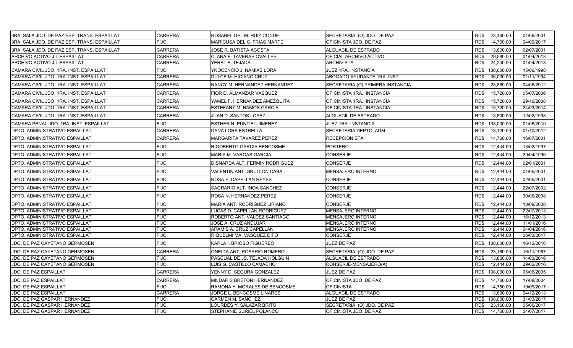| 3RA. SALA JDO. DE PAZ ESP. TRANS. ESPAILLAT | <b>CARRERA</b> | ROSABEL DEL M. RUIZ CONDE        | SECRETARIA (O) JDO. DE PAZ       | RD\$ 23,160.00     | 01/06/2001 |
|---------------------------------------------|----------------|----------------------------------|----------------------------------|--------------------|------------|
| 3RA. SALA JDO. DE PAZ ESP. TRANS. ESPAILLAT | <b>FIJO</b>    | MARICUSA DEL C. FRIAS MARTE      | OFICINISTA JDO. DE PAZ           | 14,760.00<br>RD\$  | 04/09/2017 |
| 3RA. SALA JDO. DE PAZ ESP. TRANS. ESPAILLAT | <b>CARRERA</b> | JOSE R. BATISTA ACOSTA           | ALGUACIL DE ESTRADO              | RD\$<br>13,800.00  | 02/07/2001 |
| ARCHIVO ACTIVO J.I. ESPAILLAT               | <b>CARRERA</b> | <b>CLARA F. TAVERAS OVALLES</b>  | OFICIAL ARCHIVO ACTIVO           | 29,580.00<br>RD\$  | 01/04/2013 |
| ARCHIVO ACTIVO J.I. ESPAILLAT               | <b>CARRERA</b> | YERAL E. TEJADA                  | ARCHIVISTA                       | RD\$<br>24,240.00  | 01/04/2013 |
| CAMARA CIVIL JDO. 1RA. INST. ESPAILLAT      | FIJO           | YNOCENCIO J. NAMIAS LORA         | JUEZ 1RA. INSTANCIA              | RD\$<br>138,000.00 | 15/06/1998 |
| CAMARA CIVIL JDO. 1RA. INST. ESPAILLAT      | <b>CARRERA</b> | DULCE M. HICIANO CRUZ            | ABOGADO AYUDANTE 1RA. INST.      | 36,000.00<br>RD\$  | 01/11/1994 |
| CAMARA CIVIL JDO. 1RA. INST. ESPAILLAT      | CARRERA        | NANCY M. HERNANDEZ HERNANDEZ     | SECRETARIA (O) PRIMERA INSTANCIA | RD\$<br>28,860.00  | 04/06/2012 |
| CAMARA CIVIL JDO. 1RA. INST. ESPAILLAT      | CARRERA        | FIOR D. ALMANZAR VASQUEZ         | OFICINISTA 1RA. INSTANCIA        | RD\$<br>15,720.00  | 05/07/2006 |
| CAMARA CIVIL JDO. 1RA. INST. ESPAILLAT      | <b>CARRERA</b> | YAMEL F. HERNANDEZ AMEZQUITA     | OFICINISTA 1RA. INSTANCIA        | RD\$<br>15,720.00  | 29/10/2008 |
| CAMARA CIVIL JDO. 1RA. INST. ESPAILLAT      | CARRERA        | <b>ESTEFANY M. RAMOS GARCIA</b>  | OFICINISTA 1RA. INSTANCIA        | RD\$<br>15,720.00  | 24/03/2014 |
| CAMARA CIVIL JDO. 1RA. INST. ESPAILLAT      | <b>CARRERA</b> | JUAN D. SANTOS LOPEZ             | ALGUACIL DE ESTRADO              | RD\$<br>13,800.00  | 12/02/1998 |
| CAMARA PENAL JDO. 1RA. INST. ESPAILLAT      | FIJO           | <b>ESTHER N. PUNTIEL JIMENEZ</b> | JUEZ 1RA. INSTANCIA              | RD\$<br>138,000.00 | 01/06/2010 |
| DPTO. ADMINISTRATIVO ESPAILLAT              | CARRERA        | <b>DANA LORA ESTRELLA</b>        | SECRETARIA DEPTO. ADM.           | 18,120.00<br>RD\$  | 01/10/2012 |
| DPTO. ADMINISTRATIVO ESPAILLAT              | CARRERA        | <b>MARGARITA TAVAREZ PEREZ</b>   | <b>RECEPCIONISTA</b>             | RD\$<br>14,760.00  | 16/07/2001 |
| DPTO. ADMINISTRATIVO ESPAILLAT              | <b>FIJO</b>    | <b>RIGOBERTO GARCIA BENCOSME</b> | PORTERO                          | RD\$<br>12,444.00  | 13/02/1997 |
| <b>DPTO. ADMINISTRATIVO ESPAILLAT</b>       | <b>FIJO</b>    | <b>MARIA M. VARGAS GARCIA</b>    | <b>CONSERJE</b>                  | RD\$<br>12,444.00  | 29/04/1996 |
| <b>DPTO. ADMINISTRATIVO ESPAILLAT</b>       | <b>FIJO</b>    | DISNARDA ALT. FERMIN RODRIGUEZ   | <b>CONSERJE</b>                  | RD\$<br>12,444.00  | 02/01/2001 |
| <b>IDPTO. ADMINISTRATIVO ESPAILLAT</b>      | <b>FIJO</b>    | VALENTIN ANT. GRULLON CABA       | MENSAJERO INTERNO                | RD\$<br>12,444.00  | 01/05/2001 |
| DPTO. ADMINISTRATIVO ESPAILLAT              | <b>FIJO</b>    | <b>ROSA E. CAPELLAN REYES</b>    | <b>CONSERJE</b>                  | RD\$<br>12,444.00  | 02/05/2001 |
| <b>DPTO. ADMINISTRATIVO ESPAILLAT</b>       | <b>FIJO</b>    | SAGRARIO ALT. INOA SANCHEZ       | <b>CONSERJE</b>                  | RD\$<br>12,444.00  | 22/07/2002 |
| DPTO. ADMINISTRATIVO ESPAILLAT              | <b>FIJO</b>    | <b>ROSA N. HERNANDEZ PEREZ</b>   | CONSERJE                         | RD\$<br>12,444.00  | 30/06/2008 |
| <b>DPTO. ADMINISTRATIVO ESPAILLAT</b>       | <b>FIJO</b>    | MARIA ANT. RODRIGUEZ LIRIANO     | <b>CONSERJE</b>                  | RD\$<br>12.444.00  | 18/08/2008 |
| DPTO. ADMINISTRATIVO ESPAILLAT              | <b>FIJO</b>    | LUCAS D. CAPELLAN RODRIGUEZ      | MENSAJERO INTERNO                | 12,444.00<br>RD\$  | 22/07/2013 |
| DPTO. ADMINISTRATIVO ESPAILLAT              | <b>FIJO</b>    | ROBERTO ANT. VALDEZ SANTIAGO     | <b>MENSAJERO INTERNO</b>         | RD\$<br>12,444.00  | 16/12/2013 |
| DPTO. ADMINISTRATIVO ESPAILLAT              | <b>FIJO</b>    | JOSE A. CRUZ ANDUJAR             | MENSAJERO INTERNO                | RD\$<br>12,444.00  | 11/01/2016 |
| DPTO. ADMINISTRATIVO ESPAILLAT              | <b>FIJO</b>    | ARAMIS A. CRUZ CAPELLAN          | <b>MENSAJERO INTERNO</b>         | RD\$<br>12,444.00  | 04/04/2016 |
| DPTO. ADMINISTRATIVO ESPAILLAT              | <b>FIJO</b>    | RIQUELMI MA. VASQUEZ DIFO        | <b>CONSERJE</b>                  | 12,444.00<br>RD\$  | 06/03/2017 |
| JDO. DE PAZ CAYETANO GERMOSEN               | <b>FIJO</b>    | KARLA I. BRIOSO FIGUEREO         | JUEZ DE PAZ                      | RD\$<br>108,000.00 | 16/12/2016 |
| JDO. DE PAZ CAYETANO GERMOSEN               | <b>CARRERA</b> | ONEIDA ANT. ROSARIO ROMERO       | SECRETARIA (O) JDO. DE PAZ       | 23,160.00<br>RD\$  | 16/11/1987 |
| JDO. DE PAZ CAYETANO GERMOSEN               | <b>FIJO</b>    | PASCUAL DE JS. TEJADA HOLGUIN    | ALGUACIL DE ESTRADO              | RD\$<br>13,800.00  | 14/03/2016 |
| JDO. DE PAZ CAYETANO GERMOSEN               | <b>FIJO</b>    | LUIS G. CASTILLO CAMACHO         | CONSERJE-MENSAJERO(A)            | RD\$<br>12,444.00  | 29/02/2016 |
| <b>JDO. DE PAZ ESPAILLAT</b>                | CARRERA        | YENNY D. SEGURA GONZALEZ         | JUEZ DE PAZ                      | RD\$ 108,000.00    | 06/06/2005 |
| JDO. DE PAZ ESPAILLAT                       | <b>CARRERA</b> | MILDARIS BRETON HERNANDEZ        | OFICINISTA JDO. DE PAZ           | RD\$<br>14,760.00  | 17/08/2004 |
| JDO. DE PAZ ESPAILLAT                       | <b>FIJO</b>    | RAMONA Y. MORALES DE BENCOSME    | <b>OFICINISTA</b>                | RD\$<br>14,760.00  | 19/09/2017 |
| <b>JDO. DE PAZ ESPAILLAT</b>                | <b>CARRERA</b> | JORGE L. BENCOSME LINARES        | ALGUACIL DE ESTRADO              | 13,800.00<br>RD\$  | 04/12/2013 |
| JDO. DE PAZ GASPAR HERNANDEZ                | <b>FIJO</b>    | <b>CARMEN M. SANCHEZ</b>         | JUEZ DE PAZ                      | RD\$<br>108,000.00 | 31/03/2017 |
| JDO. DE PAZ GASPAR HERNANDEZ                | <b>FIJO</b>    | LOURDES Y. SALAZAR BRITO         | SECRETARIA (O) JDO. DE PAZ       | RD\$<br>23,160.00  | 05/06/2017 |
| JDO. DE PAZ GASPAR HERNANDEZ                | <b>FIJO</b>    | <b>STEPHANIE SURIEL POLANCO</b>  | OFICINISTA JDO. DE PAZ           | RD\$<br>14,760.00  | 04/07/2017 |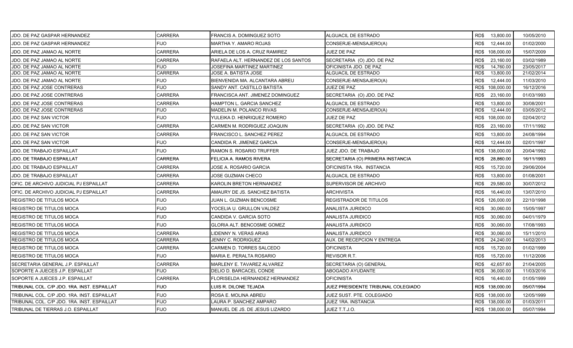| JDO. DE PAZ GASPAR HERNANDEZ                | <b>CARRERA</b> | FRANCIS A. DOMINGUEZ SOTO            | ALGUACIL DE ESTRADO                |      | RD\$ 13,800.00  | 10/05/2010 |
|---------------------------------------------|----------------|--------------------------------------|------------------------------------|------|-----------------|------------|
| JDO. DE PAZ GASPAR HERNANDEZ                | FIJO           | MARTHA Y. AMARO ROJAS                | CONSERJE-MENSAJERO(A)              | RD\$ | 12,444.00       | 01/02/2000 |
| JDO. DE PAZ JAMAO AL NORTE                  | <b>CARRERA</b> | ARIELA DE LOS A. CRUZ RAMIREZ        | JUEZ DE PAZ                        |      | RD\$ 108,000.00 | 15/07/2009 |
| <b>JDO. DE PAZ JAMAO AL NORTE</b>           | <b>CARRERA</b> | RAFAELA ALT. HERNANDEZ DE LOS SANTOS | SECRETARIA (O) JDO. DE PAZ         | RD\$ | 23,160.00       | 03/02/1989 |
| JDO. DE PAZ JAMAO AL NORTE                  | <b>FIJO</b>    | JOSEFINA MARTINEZ MARTINEZ           | OFICINISTA JDO. DE PAZ             | RD\$ | 14,760.00       | 23/05/2017 |
| JDO. DE PAZ JAMAO AL NORTE                  | <b>CARRERA</b> | JOSE A. BATISTA JOSE                 | ALGUACIL DE ESTRADO                | RD\$ | 13,800.00       | 21/02/2014 |
| JDO. DE PAZ JAMAO AL NORTE                  | <b>FIJO</b>    | BIENVENIDA MA. ALCANTARA ABREU       | CONSERJE-MENSAJERO(A)              | RD\$ | 12,444.00       | 11/03/2010 |
| JDO. DE PAZ JOSE CONTRERAS                  | <b>FIJO</b>    | SANDY ANT. CASTILLO BATISTA          | JUEZ DE PAZ                        | RD\$ | 108,000.00      | 16/12/2016 |
| JDO. DE PAZ JOSE CONTRERAS                  | <b>CARRERA</b> | FRANCISCA ANT. JIMENEZ DOMINGUEZ     | SECRETARIA (O) JDO. DE PAZ         | RD\$ | 23,160.00       | 01/03/1993 |
| JDO. DE PAZ JOSE CONTRERAS                  | <b>CARRERA</b> | HAMPTON L. GARCIA SANCHEZ            | ALGUACIL DE ESTRADO                | RD\$ | 13,800.00       | 30/08/2001 |
| JDO. DE PAZ JOSE CONTRERAS                  | FIJO           | MADELIN M. POLANCO RIVAS             | CONSERJE-MENSAJERO(A)              | RD\$ | 12,444.00       | 03/05/2012 |
| <b>JDO. DE PAZ SAN VICTOR</b>               | <b>FIJO</b>    | YULEIKA D. HENRIQUEZ ROMERO          | JUEZ DE PAZ                        |      | RD\$ 108,000.00 | 02/04/2012 |
| JDO. DE PAZ SAN VICTOR                      | <b>CARRERA</b> | CARMEN M. RODRIGUEZ JOAQUIN          | SECRETARIA (O) JDO. DE PAZ         | RD\$ | 23,160.00       | 17/11/1992 |
| <b>JDO. DE PAZ SAN VICTOR</b>               | CARRERA        | FRANCISCO L. SANCHEZ PEREZ           | ALGUACIL DE ESTRADO                | RD\$ | 13,800.00       | 24/08/1994 |
| JDO. DE PAZ SAN VICTOR                      | <b>FIJO</b>    | CANDIDA R. JIMENEZ GARCIA            | CONSERJE-MENSAJERO(A)              | RD\$ | 12,444.00       | 02/01/1997 |
| <b>JDO. DE TRABAJO ESPAILLAT</b>            | <b>FIJO</b>    | RAMON S. ROSARIO TRUFFER             | JUEZ JDO. DE TRABAJO               |      | RD\$ 138,000.00 | 20/04/1992 |
| JDO. DE TRABAJO ESPAILLAT                   | <b>CARRERA</b> | FELICIA A. RAMOS RIVERA              | SECRETARIA (O) PRIMERA INSTANCIA   | RD\$ | 28,860.00       | 16/11/1993 |
| <b>JDO. DE TRABAJO ESPAILLAT</b>            | <b>CARRERA</b> | JOSE A. ROSARIO GARCIA               | OFICINISTA 1RA. INSTANCIA          | RD\$ | 15,720.00       | 29/06/2004 |
| <b>JDO. DE TRABAJO ESPAILLAT</b>            | <b>CARRERA</b> | JOSE GUZMAN CHECO                    | ALGUACIL DE ESTRADO                | RD\$ | 13,800.00       | 01/08/2001 |
| OFIC. DE ARCHIVO JUDICIAL PJ ESPAILLAT      | <b>CARRERA</b> | KAROLIN BRETON HERNANDEZ             | SUPERVISOR DE ARCHIVO              | RD\$ | 29,580.00       | 30/07/2012 |
| OFIC. DE ARCHIVO JUDICIAL PJ ESPAILLAT      | <b>CARRERA</b> | AMAURY DE JS. SANCHEZ BATISTA        | <b>ARCHIVISTA</b>                  | RD\$ | 16,440.00       | 13/07/2010 |
| <b>REGISTRO DE TITULOS MOCA</b>             | <b>FIJO</b>    | JUAN L. GUZMAN BENCOSME              | REGISTRADOR DE TITULOS             |      | RD\$ 126,000.00 | 22/10/1998 |
| <b>REGISTRO DE TITULOS MOCA</b>             | <b>FIJO</b>    | YOCELIA U. GRULLON VALDEZ            | ANALISTA JURIDICO                  | RD\$ | 30,060.00       | 15/05/1997 |
| <b>REGISTRO DE TITULOS MOCA</b>             | <b>FIJO</b>    | CANDIDA V. GARCIA SOTO               | ANALISTA JURIDICO                  | RD\$ | 30,060.00       | 04/01/1979 |
| REGISTRO DE TITULOS MOCA                    | <b>FIJO</b>    | GLORIA ALT. BENCOSME GOMEZ           | ANALISTA JURIDICO                  | RD\$ | 30,060.00       | 17/08/1993 |
| <b>REGISTRO DE TITULOS MOCA</b>             | <b>CARRERA</b> | LIDENNY N. VERAS ARIAS               | ANALISTA JURIDICO                  | RD\$ | 30,060.00       | 15/11/2010 |
| REGISTRO DE TITULOS MOCA                    | <b>CARRERA</b> | <b>JENNY C. RODRIGUEZ</b>            | AUX. DE RECEPCION Y ENTREGA        | RD\$ | 24,240.00       | 14/02/2013 |
| <b>REGISTRO DE TITULOS MOCA</b>             | CARRERA        | CARMEN D. TORRES SALCEDO             | <b>OFICINISTA</b>                  | RD\$ | 15,720.00       | 01/02/1999 |
| REGISTRO DE TITULOS MOCA                    | <b>FIJO</b>    | MARIA E. PERALTA ROSARIO             | REVISOR R.T.                       | RD\$ | 15,720.00       | 11/12/2006 |
| SECRETARIA GENERAL J.P. ESPAILLAT           | <b>CARRERA</b> | MARLENY E. TAVAREZ ALVAREZ           | SECRETARIA (O) GENERAL             | RD\$ | 42,657.60       | 21/04/2005 |
| SOPORTE A JUECES J.P. ESPAILLAT             | FIJO           | DELIO D. BARCACEL CONDE              | <b>ABOGADO AYUDANTE</b>            | RD\$ | 36,000.00       | 11/03/2016 |
| SOPORTE A JUECES J.P. ESPAILLAT             | <b>CARRERA</b> | FLORISELDA HERNANDEZ HERNANDEZ       | <b>OFICINISTA</b>                  | RD\$ | 16,440.00       | 01/05/1999 |
| TRIBUNAL COL. C/P JDO. 1RA. INST. ESPAILLAT | <b>FIJO</b>    | LUIS R. DILONE TEJADA                | JUEZ PRESIDENTE TRIBUNAL COLEGIADO |      | RD\$ 138,000.00 | 05/07/1994 |
| TRIBUNAL COL. C/P JDO. 1RA. INST. ESPAILLAT | <b>FIJO</b>    | ROSA E. MOLINA ABREU                 | JUEZ SUST. PTE. COLEGIADO          |      | RD\$ 138,000.00 | 12/05/1999 |
| TRIBUNAL COL. C/P JDO. 1RA. INST. ESPAILLAT | <b>FIJO</b>    | LAURA P. SANCHEZ AMPARO              | JUEZ 1RA. INSTANCIA                |      | RD\$ 138,000.00 | 01/03/2011 |
| TRIBUNAL DE TIERRAS J.O. ESPAILLAT          | <b>FIJO</b>    | MANUEL DE JS. DE JESUS LIZARDO       | JUEZ T.T.J.O.                      |      | RD\$ 138,000.00 | 05/07/1994 |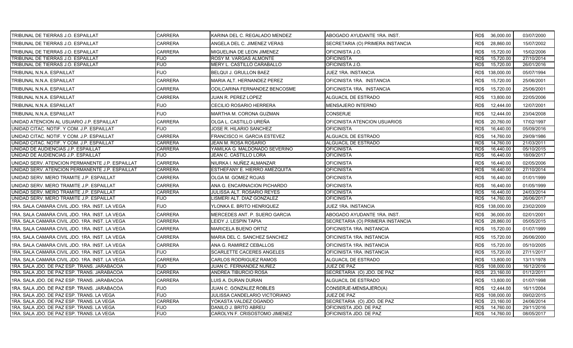| TRIBUNAL DE TIERRAS J.O. ESPAILLAT              | CARRERA        | KARINA DEL C. REGALADO MENDEZ    | ABOGADO AYUDANTE 1RA. INST.      | RD\$ | 36,000.00       | 03/07/2000 |
|-------------------------------------------------|----------------|----------------------------------|----------------------------------|------|-----------------|------------|
| TRIBUNAL DE TIERRAS J.O. ESPAILLAT              | <b>CARRERA</b> | ANGELA DEL C. JIMENEZ VERAS      | SECRETARIA (O) PRIMERA INSTANCIA | RD\$ | 28.860.00       | 15/07/2002 |
| TRIBUNAL DE TIERRAS J.O. ESPAILLAT              | <b>CARRERA</b> | MIGUELINA DE LEON JIMENEZ        | OFICINISTA J.O.                  | RD\$ | 15,720.00       | 15/02/2006 |
| TRIBUNAL DE TIERRAS J.O. ESPAILLAT              | FIJO           | ROSY M. VARGAS ALMONTE           | <b>OFICINISTA</b>                | RD\$ | 15,720.00       | 27/10/2014 |
| TRIBUNAL DE TIERRAS J.O. ESPAILLAT              | FIJO           | MERY L. CASTILLO CARABALLO       | OFICINISTA J.O.                  | RD\$ | 15,720.00       | 26/01/2016 |
| TRIBUNAL N.N.A. ESPAILLAT                       | <b>FIJO</b>    | BELQUI J. GRULLON BAEZ           | JUEZ 1RA. INSTANCIA              |      | RD\$ 138,000.00 | 05/07/1994 |
| TRIBUNAL N.N.A. ESPAILLAT                       | CARRERA        | MARIA ALT. HERNANDEZ PEREZ       | OFICINISTA 1RA. INSTANCIA        | RD\$ | 15,720.00       | 25/06/2001 |
| TRIBUNAL N.N.A. ESPAILLAT                       | CARRERA        | ODILCARINA FERNANDEZ BENCOSME    | OFICINISTA 1RA. INSTANCIA        | RD\$ | 15,720.00       | 25/06/2001 |
| TRIBUNAL N.N.A. ESPAILLAT                       | CARRERA        | JUAN R. PEREZ LOPEZ              | ALGUACIL DE ESTRADO              | RD\$ | 13,800.00       | 22/05/2006 |
| TRIBUNAL N.N.A. ESPAILLAT                       | <b>FIJO</b>    | CECILIO ROSARIO HERRERA          | <b>MENSAJERO INTERNO</b>         | RD\$ | 12,444.00       | 12/07/2001 |
| TRIBUNAL N.N.A. ESPAILLAT                       | <b>FIJO</b>    | MARTHA M. CORONA GUZMAN          | <b>CONSERJE</b>                  | RD\$ | 12,444.00       | 23/04/2008 |
| UNIDAD ATENCION AL USUARIO J.P. ESPAILLAT       | <b>CARRERA</b> | OLGA L. CASTILLO UREÑA           | OFICINISTA ATENCION USUARIOS     | RD\$ | 20,760.00       | 17/02/1997 |
| UNIDAD CITAC. NOTIF. Y COM. J.P. ESPAILLAT      | <b>FIJO</b>    | JOSE R. HILARIO SANCHEZ          | <b>OFICINISTA</b>                | RD\$ | 16,440.00       | 05/09/2016 |
| UNIDAD CITAC. NOTIF. Y COM. J.P. ESPAILLAT      | <b>CARRERA</b> | FRANCISCO H. GARCIA ESTEVEZ      | ALGUACIL DE ESTRADO              | RD\$ | 14,760.00       | 29/09/1986 |
| UNIDAD CITAC. NOTIF. Y COM. J.P. ESPAILLAT      | <b>CARRERA</b> | JEAN M. ROSA ROSARIO             | ALGUACIL DE ESTRADO              | RD\$ | 14,760.00       | 21/03/2011 |
| UNIDAD DE AUDIENCIAS J.P. ESPAILLAT             | <b>CARRERA</b> | YAMILKA G. MALDONADO SEVERINO    | <b>OFICINISTA</b>                | RD\$ | 16,440.00       | 05/10/2015 |
| UNIDAD DE AUDIENCIAS J.P. ESPAILLAT             | <b>FIJO</b>    | JEAN C. CASTILLO LORA            | <b>OFICINISTA</b>                | RD\$ | 16,440.00       | 18/09/2017 |
| UNIDAD SERV. ATENCION PERMANENTE J.P. ESPAILLAT | CARRERA        | NIURKA I. NUÑEZ ALMANZAR         | OFICINISTA                       | RD\$ | 16,440.00       | 02/05/2006 |
| UNIDAD SERV. ATENCION PERMANENTE J.P. ESPAILLAT | CARRERA        | ESTHEFANY E. HIERRO AMEZQUITA    | <b>OFICINISTA</b>                | RD\$ | 16,440.00       | 27/10/2014 |
| UNIDAD SERV. MERO TRAMITE J.P. ESPAILLAT        | CARRERA        | OLGA M. GOMEZ ROJAS              | OFICINISTA                       | RD\$ | 16,440.00       | 01/01/1999 |
| UNIDAD SERV. MERO TRAMITE J.P. ESPAILLAT        | <b>CARRERA</b> | ANA G. ENCARNACION PICHARDO      | <b>OFICINISTA</b>                | RD\$ | 16,440.00       | 01/05/1999 |
| UNIDAD SERV. MERO TRAMITE J.P. ESPAILLAT        | CARRERA        | JULISSA ALT. ROSARIO REYES       | <b>OFICINISTA</b>                | RD\$ | 16,440.00       | 24/03/2014 |
| UNIDAD SERV. MERO TRAMITE J.P. ESPAILLAT        | <b>FIJO</b>    | LISMERI ALT. DIAZ GONZALEZ       | <b>OFICINISTA</b>                | RD\$ | 14,760.00       | 26/06/2017 |
| 1RA. SALA CAMARA CIVIL JDO. 1RA. INST. LA VEGA  | <b>FIJO</b>    | YLONKA E. BRITO HENRIQUEZ        | JUEZ 1RA. INSTANCIA              | RD\$ | 138,000.00      | 23/02/2009 |
| 1RA. SALA CAMARA CIVIL JDO. 1RA. INST. LA VEGA  | <b>CARRERA</b> | MERCEDES ANT. P. SUERO GARCIA    | ABOGADO AYUDANTE 1RA. INST.      | RD\$ | 36,000.00       | 02/01/2001 |
| 1RA. SALA CAMARA CIVIL JDO. 1RA. INST. LA VEGA  | CARRERA        | LEIDY J. LESPIN TAPIA            | SECRETARIA (O) PRIMERA INSTANCIA | RD\$ | 28,860.00       | 05/05/2015 |
| 1RA, SALA CAMARA CIVIL JDO, 1RA, INST, LA VEGA  | <b>CARRERA</b> | <b>MARICELA BUENO ORTIZ</b>      | OFICINISTA 1RA. INSTANCIA        | RD\$ | 15,720.00       | 01/07/1999 |
| 1RA. SALA CAMARA CIVIL JDO. 1RA. INST. LA VEGA  | <b>CARRERA</b> | MARIA DEL C. SANCHEZ SANCHEZ     | OFICINISTA 1RA. INSTANCIA        | RD\$ | 15,720.00       | 26/06/2000 |
| 1RA. SALA CAMARA CIVIL JDO. 1RA. INST. LA VEGA  | <b>CARRERA</b> | ANA G. RAMIREZ CEBALLOS          | OFICINISTA 1RA. INSTANCIA        | RD\$ | 15,720.00       | 05/10/2005 |
| 1RA. SALA CAMARA CIVIL JDO. 1RA. INST. LA VEGA  | <b>FIJO</b>    | <b>SCARLETTE CACERES ANGELES</b> | OFICINISTA 1RA. INSTANCIA        | RD\$ | 15,720.00       | 27/11/2017 |
| 1RA. SALA CAMARA CIVIL JDO. 1RA. INST. LA VEGA  | <b>CARRERA</b> | <b>CARLOS RODRIGUEZ RAMOS</b>    | <b>ALGUACIL DE ESTRADO</b>       | RD\$ | 13.800.00       | 13/11/1978 |
| 1RA. SALA JDO. DE PAZ ESP. TRANS. JARABACOA     | FIJO           | JUAN C. FERNANDEZ NUÑEZ          | JUEZ DE PAZ                      | RD\$ | 108,000.00      | 16/12/2016 |
| 1RA. SALA JDO. DE PAZ ESP. TRANS. JARABACOA     | CARRERA        | ANDREA TIBURCIO ROSA             | SECRETARIA (O) JDO. DE PAZ       | RD\$ | 23,160.00       | 01/12/2011 |
| 1RA. SALA JDO. DE PAZ ESP. TRANS. JARABACOA     | <b>CARRERA</b> | LUIS A. DURAN DURAN              | ALGUACIL DE ESTRADO              | RD\$ | 13,800.00       | 01/07/1998 |
| 1RA. SALA JDO. DE PAZ ESP. TRANS. JARABACOA     | FIJO           | JUAN C. GONZALEZ ROBLES          | CONSERJE-MENSAJERO(A)            | RD\$ | 12,444.00       | 16/11/2004 |
| 1RA, SALA JDO, DE PAZ ESP, TRANS, LA VEGA       | <b>FIJO</b>    | JULISSA CANDELARIO VICTORIANO    | <b>JUEZ DE PAZ</b>               | RD\$ | 108.000.00      | 09/02/2015 |
| 1RA. SALA JDO. DE PAZ ESP. TRANS. LA VEGA       | <b>CARRERA</b> | YOKASTA VALDEZ OGANDO            | SECRETARIA (O) JDO. DE PAZ       | RD\$ | 23,160.00       | 24/06/2014 |
| 1RA. SALA JDO. DE PAZ ESP. TRANS. LA VEGA       | FIJO           | DANILO J. BRITO ABREU            | OFICINISTA JDO. DE PAZ           | RD\$ | 14,760.00       | 29/11/2016 |
| 1RA. SALA JDO. DE PAZ ESP. TRANS. LA VEGA       | <b>FIJO</b>    | CAROLYN F. CRISOSTOMO JIMENEZ    | OFICINISTA JDO. DE PAZ           | RD\$ | 14,760.00       | 08/05/2017 |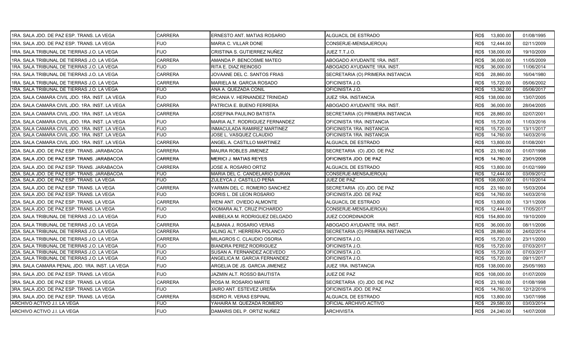| 1RA. SALA JDO. DE PAZ ESP. TRANS. LA VEGA      | <b>CARRERA</b> | ERNESTO ANT. MATIAS ROSARIO    | ALGUACIL DE ESTRADO              | RD\$ 13,800.00    | 01/08/1995 |
|------------------------------------------------|----------------|--------------------------------|----------------------------------|-------------------|------------|
| 1RA, SALA JDO, DE PAZ ESP, TRANS, LA VEGA      | <b>FIJO</b>    | MARIA C. VILLAR DONE           | CONSERJE-MENSAJERO(A)            | RD\$<br>12,444.00 | 02/11/2009 |
| 1RA. SALA TRIBUNAL DE TIERRAS J.O. LA VEGA     | <b>FIJO</b>    | CRISTINA S. GUTIERREZ NUÑEZ    | JUEZ T.T.J.O.                    | RD\$ 138,000.00   | 19/10/2009 |
| 1RA. SALA TRIBUNAL DE TIERRAS J.O. LA VEGA     | <b>CARRERA</b> | AMANDA P. BENCOSME MATEO       | ABOGADO AYUDANTE 1RA. INST.      | RD\$<br>36,000.00 | 11/05/2009 |
| 1RA. SALA TRIBUNAL DE TIERRAS J.O. LA VEGA     | <b>FIJO</b>    | RITA E. DIAZ REINOSO           | ABOGADO AYUDANTE 1RA. INST.      | RD\$<br>36,000.00 | 11/06/2014 |
| 1RA. SALA TRIBUNAL DE TIERRAS J.O. LA VEGA     | <b>CARRERA</b> | JOVAANE DEL C. SANTOS FRIAS    | SECRETARIA (O) PRIMERA INSTANCIA | RD\$<br>28,860.00 | 16/04/1980 |
| 1RA. SALA TRIBUNAL DE TIERRAS J.O. LA VEGA     | <b>CARRERA</b> | MARIELA M. GARCIA ROSADO       | OFICINISTA J.O.                  | RD\$<br>15,720.00 | 05/06/2002 |
| 1RA. SALA TRIBUNAL DE TIERRAS J.O. LA VEGA     | <b>FIJO</b>    | ANA A. QUEZADA CONIL           | OFICINISTA J.O.                  | 13,362.00<br>RD\$ | 05/06/2017 |
| 2DA. SALA CAMARA CIVIL JDO. 1RA. INST. LA VEGA | <b>FIJO</b>    | IRCANIA V. HERNANDEZ TRINIDAD  | JUEZ 1RA. INSTANCIA              | RD\$ 138,000.00   | 13/07/2005 |
| 2DA. SALA CAMARA CIVIL JDO. 1RA. INST. LA VEGA | <b>CARRERA</b> | PATRICIA E. BUENO FERRERA      | ABOGADO AYUDANTE 1RA. INST.      | 36,000.00<br>RD\$ | 28/04/2005 |
| 2DA. SALA CAMARA CIVIL JDO. 1RA. INST. LA VEGA | <b>CARRERA</b> | JOSEFINA PAULINO BATISTA       | SECRETARIA (O) PRIMERA INSTANCIA | RD\$<br>28,860.00 | 02/07/2001 |
| 2DA. SALA CAMARA CIVIL JDO. 1RA. INST. LA VEGA | <b>FIJO</b>    | MARIA ALT. RODRIGUEZ FERNANDEZ | OFICINISTA 1RA. INSTANCIA        | RD\$<br>15,720.00 | 11/03/2016 |
| 2DA. SALA CAMARA CIVIL JDO. 1RA. INST. LA VEGA | <b>FIJO</b>    | INMACULADA RAMIREZ MARTINEZ    | OFICINISTA 1RA. INSTANCIA        | 15,720.00<br>RD\$ | 13/11/2017 |
| 2DA. SALA CAMARA CIVIL JDO. 1RA. INST. LA VEGA | <b>FIJO</b>    | JOSE L. VASQUEZ CLAUDIO        | OFICINISTA 1RA. INSTANCIA        | 14,760.00<br>RD\$ | 14/03/2016 |
| 2DA. SALA CAMARA CIVIL JDO. 1RA. INST. LA VEGA | <b>CARRERA</b> | ANGEL A. CASTILLO MARTINEZ     | ALGUACIL DE ESTRADO              | RD\$<br>13,800.00 | 01/08/2001 |
| 2DA. SALA JDO. DE PAZ ESP. TRANS. JARABACOA    | <b>CARRERA</b> | MAURA ROBLES JIMENEZ           | SECRETARIA (O) JDO. DE PAZ       | RD\$<br>23,160.00 | 01/07/1998 |
| 2DA. SALA JDO. DE PAZ ESP. TRANS. JARABACOA    | <b>CARRERA</b> | <b>MERICI J. MATIAS REYES</b>  | OFICINISTA JDO. DE PAZ           | RD\$<br>14,760.00 | 23/01/2008 |
| 2DA. SALA JDO. DE PAZ ESP. TRANS. JARABACOA    | <b>CARRERA</b> | JOSE A. ROSARIO ORTIZ          | ALGUACIL DE ESTRADO              | RD\$<br>13,800.00 | 01/02/1999 |
| 2DA. SALA JDO. DE PAZ ESP. TRANS. JARABACOA    | <b>FIJO</b>    | MARIA DEL C. CANDELARIO DURAN  | CONSERJE-MENSAJERO(A)            | RD\$<br>12,444.00 | 03/09/2012 |
| 2DA. SALA JDO. DE PAZ ESP. TRANS. LA VEGA      | <b>FIJO</b>    | ZULEYCA J. CASTILLO PEÑA       | JUEZ DE PAZ                      | RD\$ 108,000.00   | 01/10/2014 |
| 2DA. SALA JDO. DE PAZ ESP. TRANS. LA VEGA      | <b>CARRERA</b> | YARMIN DEL C. ROMERO SANCHEZ   | SECRETARIA (O) JDO. DE PAZ       | RD\$<br>23,160.00 | 15/03/2004 |
| 2DA. SALA JDO. DE PAZ ESP. TRANS. LA VEGA      | <b>FIJO</b>    | DORIS L. DE LEON ROSARIO       | OFICINISTA JDO. DE PAZ           | RD\$<br>14,760.00 | 14/03/2016 |
| 2DA. SALA JDO. DE PAZ ESP. TRANS. LA VEGA      | CARRERA        | WENI ANT. OVIEDO ALMONTE       | ALGUACIL DE ESTRADO              | RD\$<br>13,800.00 | 13/11/2006 |
| 2DA. SALA JDO. DE PAZ ESP. TRANS. LA VEGA      | FIJO           | XIOMARA ALT. CRUZ PICHARDO     | CONSERJE-MENSAJERO(A)            | 12,444.00<br>RD\$ | 17/05/2017 |
| 2DA. SALA TRIBUNAL DE TIERRAS J.O. LA VEGA     | <b>FIJO</b>    | ANIBELKA M. RODRIGUEZ DELGADO  | <b>JUEZ COORDINADOR</b>          | RD\$ 154,800.00   | 19/10/2009 |
| 2DA, SALA TRIBUNAL DE TIERRAS J.O. LA VEGA     | <b>CARRERA</b> | ALBANIA J. ROSARIO VERAS       | ABOGADO AYUDANTE 1RA. INST.      | RD\$<br>36,000.00 | 08/11/2006 |
| 2DA. SALA TRIBUNAL DE TIERRAS J.O. LA VEGA     | <b>CARRERA</b> | AILING ALT. HERRERA POLANCO    | SECRETARIA (O) PRIMERA INSTANCIA | 28,860.00<br>RD\$ | 24/02/2014 |
| 2DA. SALA TRIBUNAL DE TIERRAS J.O. LA VEGA     | <b>CARRERA</b> | MILAGROS C. CLAUDIO OSORIA     | OFICINISTA J.O.                  | RD\$<br>15,720.00 | 23/11/2000 |
| 2DA. SALA TRIBUNAL DE TIERRAS J.O. LA VEGA     | FIJO           | <b>BIANDRA PEREZ RODRIGUEZ</b> | OFICINISTA J.O.                  | 15,720.00<br>RD\$ | 07/03/2017 |
| 2DA. SALA TRIBUNAL DE TIERRAS J.O. LA VEGA     | <b>FIJO</b>    | SUSAN A. FERNANDEZ ACEVEDO     | OFICINISTA J.O.                  | 15,720.00<br>RD\$ | 07/03/2017 |
| 2DA. SALA TRIBUNAL DE TIERRAS J.O. LA VEGA     | <b>FIJO</b>    | ANGELICA M. GARCIA FERNANDEZ   | OFICINISTA J.O.                  | 15,720.00<br>RD\$ | 09/11/2017 |
| 3RA. SALA CAMARA PENAL JDO. 1RA. INST. LA VEGA | <b>FIJO</b>    | ARGELIA DE JS. GARCIA JIMENEZ  | JUEZ 1RA. INSTANCIA              | RD\$ 138,000.00   | 25/05/1993 |
| 3RA. SALA JDO. DE PAZ ESP. TRANS. LA VEGA      | <b>FIJO</b>    | JAZMIN ALT. ROSSO BAUTISTA     | JUEZ DE PAZ                      | RD\$ 108,000.00   | 01/07/2009 |
| 3RA. SALA JDO. DE PAZ ESP. TRANS. LA VEGA      | CARRERA        | ROSA M. ROSARIO MARTE          | SECRETARIA (O) JDO. DE PAZ       | RD\$<br>23,160.00 | 01/08/1998 |
| 3RA. SALA JDO. DE PAZ ESP. TRANS. LA VEGA      | <b>FIJO</b>    | JAIRO ANT. ESTEVEZ UREÑA       | OFICINISTA JDO. DE PAZ           | 14,760.00<br>RD\$ | 12/12/2016 |
| 3RA. SALA JDO. DE PAZ ESP. TRANS. LA VEGA      | <b>CARRERA</b> | <b>ISIDRO R. VERAS ESPINAL</b> | ALGUACIL DE ESTRADO              | RD\$<br>13,800.00 | 13/07/1998 |
| ARCHIVO ACTIVO J.I. LA VEGA                    | <b>FIJO</b>    | YAHAIRA M. QUEZADA ROMERO      | OFICIAL ARCHIVO ACTIVO           | 29,580.00<br>RD\$ | 03/03/2014 |
| ARCHIVO ACTIVO J.I. LA VEGA                    | <b>FIJO</b>    | DAMARIS DEL P. ORTIZ NUÑEZ     | <b>ARCHIVISTA</b>                | RD\$ 24,240.00    | 14/07/2008 |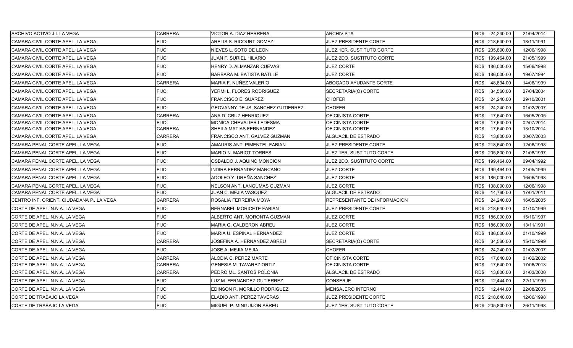| ARCHIVO ACTIVO J.I. LA VEGA              | <b>CARRERA</b> | VICTOR A. DIAZ HERRERA            | <b>ARCHIVISTA</b>            | RD\$ 24,240.00    | 21/04/2014 |
|------------------------------------------|----------------|-----------------------------------|------------------------------|-------------------|------------|
| CAMARA CIVIL CORTE APEL. LA VEGA         | <b>FIJO</b>    | ARELIS S. RICOURT GOMEZ           | JUEZ PRESIDENTE CORTE        | RD\$ 218,640.00   | 13/11/1991 |
| CAMARA CIVIL CORTE APEL. LA VEGA         | <b>FIJO</b>    | NIEVES L. SOTO DE LEON            | JUEZ 1ER. SUSTITUTO CORTE    | RD\$ 205,800.00   | 12/06/1998 |
| CAMARA CIVIL CORTE APEL. LA VEGA         | <b>FIJO</b>    | <b>JUAN F. SURIEL HILARIO</b>     | JUEZ 2DO. SUSTITUTO CORTE    | RD\$ 199,464.00   | 21/05/1999 |
| CAMARA CIVIL CORTE APEL. LA VEGA         | <b>FIJO</b>    | HENRY D. ALMANZAR CUEVAS          | <b>JUEZ CORTE</b>            | RD\$ 186,000.00   | 15/06/1998 |
| CAMARA CIVIL CORTE APEL. LA VEGA         | <b>FIJO</b>    | <b>BARBARA M. BATISTA BATLLE</b>  | <b>JUEZ CORTE</b>            | RD\$ 186,000.00   | 19/07/1994 |
| CAMARA CIVIL CORTE APEL. LA VEGA         | <b>CARRERA</b> | MARIA F. NUÑEZ VALERIO            | ABOGADO AYUDANTE CORTE       | RD\$<br>48,894.00 | 14/06/1999 |
| CAMARA CIVIL CORTE APEL. LA VEGA         | <b>FIJO</b>    | YERMI L. FLORES RODRIGUEZ         | SECRETARIA(O) CORTE          | RD\$<br>34,560.00 | 27/04/2004 |
| CAMARA CIVIL CORTE APEL. LA VEGA         | <b>FIJO</b>    | FRANCISCO E. SUAREZ               | <b>CHOFER</b>                | RD\$<br>24,240.00 | 29/10/2001 |
| CAMARA CIVIL CORTE APEL. LA VEGA         | <b>FIJO</b>    | GEOVANNY DE JS. SANCHEZ GUTIERREZ | <b>CHOFER</b>                | RD\$<br>24,240.00 | 01/02/2007 |
| CAMARA CIVIL CORTE APEL. LA VEGA         | <b>CARRERA</b> | ANA D. CRUZ HENRIQUEZ             | OFICINISTA CORTE             | RD\$<br>17,640.00 | 16/05/2005 |
| CAMARA CIVIL CORTE APEL. LA VEGA         | <b>FIJO</b>    | <b>MONICA CHEVALIER LEDESMA</b>   | OFICINISTA CORTE             | RD\$<br>17.640.00 | 02/07/2014 |
| CAMARA CIVIL CORTE APEL. LA VEGA         | <b>CARRERA</b> | SHEILA MATIAS FERNANDEZ           | OFICINISTA CORTE             | 17,640.00<br>RD\$ | 13/10/2014 |
| CAMARA CIVIL CORTE APEL. LA VEGA         | CARRERA        | FRANCISCO ANT. GALVEZ GUZMAN      | ALGUACIL DE ESTRADO          | RD\$<br>13,800.00 | 30/07/2003 |
| CAMARA PENAL CORTE APEL. LA VEGA         | <b>FIJO</b>    | AMAURIS ANT. PIMENTEL FABIAN      | <b>JUEZ PRESIDENTE CORTE</b> | RD\$ 218,640.00   | 12/06/1998 |
| CAMARA PENAL CORTE APEL. LA VEGA         | <b>FIJO</b>    | <b>MARIO N. MARIOT TORRES</b>     | JUEZ 1ER. SUSTITUTO CORTE    | RD\$ 205,800.00   | 21/08/1997 |
| CAMARA PENAL CORTE APEL. LA VEGA         | <b>FIJO</b>    | OSBALDO J. AQUINO MONCION         | JUEZ 2DO. SUSTITUTO CORTE    | RD\$ 199,464.00   | 09/04/1992 |
| CAMARA PENAL CORTE APEL. LA VEGA         | <b>FIJO</b>    | INDIRA FERNANDEZ MARCANO          | <b>JUEZ CORTE</b>            | RD\$ 199,464.00   | 21/05/1999 |
| CAMARA PENAL CORTE APEL. LA VEGA         | <b>FIJO</b>    | ADOLFO Y. UREÑA SANCHEZ           | <b>JUEZ CORTE</b>            | RD\$ 186,000.00   | 16/06/1998 |
| CAMARA PENAL CORTE APEL. LA VEGA         | <b>FIJO</b>    | NELSON ANT. LANGUMAS GUZMAN       | <b>JUEZ CORTE</b>            | RD\$ 138,000.00   | 12/06/1998 |
| CAMARA PENAL CORTE APEL. LA VEGA         | <b>FIJO</b>    | JUAN C. MEJIA VASQUEZ             | <b>ALGUACIL DE ESTRADO</b>   | RD\$<br>14,760.00 | 17/01/2011 |
| CENTRO INF. ORIENT. CIUDADANA PJ LA VEGA | <b>CARRERA</b> | ROSALIA FERREIRA MOYA             | REPRESENTANTE DE INFORMACION | RD\$<br>24,240.00 | 16/05/2005 |
| CORTE DE APEL. N.N.A. LA VEGA            | <b>FIJO</b>    | BERNABEL MORICETE FABIAN          | JUEZ PRESIDENTE CORTE        | RD\$ 218,640.00   | 01/10/1999 |
| CORTE DE APEL. N.N.A. LA VEGA            | <b>FIJO</b>    | ALBERTO ANT. MORONTA GUZMAN       | <b>JUEZ CORTE</b>            | RD\$ 186,000.00   | 15/10/1997 |
| CORTE DE APEL. N.N.A. LA VEGA            | <b>FIJO</b>    | MARIA G. CALDERON ABREU           | <b>JUEZ CORTE</b>            | RD\$ 186,000.00   | 13/11/1991 |
| CORTE DE APEL. N.N.A. LA VEGA            | <b>FIJO</b>    | MARIA U. ESPINAL HERNANDEZ        | <b>JUEZ CORTE</b>            | RD\$ 186,000.00   | 01/10/1999 |
| CORTE DE APEL. N.N.A. LA VEGA            | <b>CARRERA</b> | JOSEFINA A. HERNANDEZ ABREU       | SECRETARIA(O) CORTE          | RD\$<br>34,560.00 | 15/10/1999 |
| CORTE DE APEL. N.N.A. LA VEGA            | <b>FIJO</b>    | JOSE A. MEJIA MEJIA               | <b>CHOFER</b>                | RD\$<br>24,240.00 | 01/02/2007 |
| CORTE DE APEL. N.N.A. LA VEGA            | <b>CARRERA</b> | ALODIA C. PEREZ MARTE             | OFICINISTA CORTE             | RD\$<br>17,640.00 | 01/02/2002 |
| CORTE DE APEL. N.N.A. LA VEGA            | <b>CARRERA</b> | <b>GENESIS M. TAVAREZ ORTIZ</b>   | OFICINISTA CORTE             | 17,640.00<br>RD\$ | 17/06/2013 |
| CORTE DE APEL. N.N.A. LA VEGA            | <b>CARRERA</b> | PEDRO ML. SANTOS POLONIA          | ALGUACIL DE ESTRADO          | RD\$<br>13,800.00 | 21/03/2000 |
| CORTE DE APEL. N.N.A. LA VEGA            | <b>FIJO</b>    | LUZ M. FERNANDEZ GUTIERREZ        | <b>CONSERJE</b>              | RD\$<br>12,444.00 | 22/11/1999 |
| CORTE DE APEL. N.N.A. LA VEGA            | <b>FIJO</b>    | EDINSON R. MORILLO RODRIGUEZ      | MENSAJERO INTERNO            | RD\$<br>12,444.00 | 22/08/2005 |
| CORTE DE TRABAJO LA VEGA                 | <b>FIJO</b>    | ELADIO ANT. PEREZ TAVERAS         | <b>JUEZ PRESIDENTE CORTE</b> | RD\$ 218,640.00   | 12/06/1998 |
| CORTE DE TRABAJO LA VEGA                 | <b>FIJO</b>    | MIGUEL P. MINGUIJON ABREU         | JUEZ 1ER. SUSTITUTO CORTE    | RD\$ 205,800.00   | 26/11/1998 |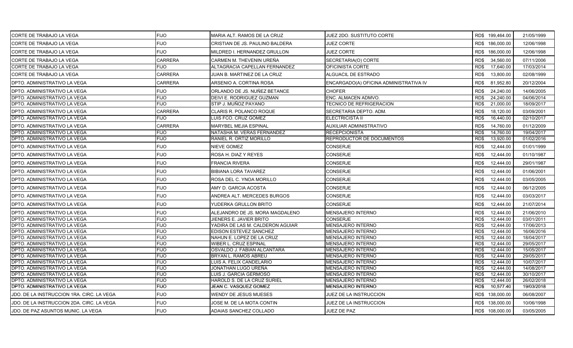| CORTE DE TRABAJO LA VEGA                  | <b>FIJO</b>    | MARIA ALT. RAMOS DE LA CRUZ      | <b>JUEZ 2DO. SUSTITUTO CORTE</b>       |                   | RD\$ 199,464.00 | 21/05/1999 |
|-------------------------------------------|----------------|----------------------------------|----------------------------------------|-------------------|-----------------|------------|
| CORTE DE TRABAJO LA VEGA                  | <b>FIJO</b>    | CRISTIAN DE JS. PAULINO BALDERA  | <b>JUEZ CORTE</b>                      |                   | RD\$ 186,000.00 | 12/06/1998 |
| CORTE DE TRABAJO LA VEGA                  | <b>FIJO</b>    | MILDRED I. HERNANDEZ GRULLON     | <b>JUEZ CORTE</b>                      |                   | RD\$ 186,000.00 | 12/06/1998 |
| CORTE DE TRABAJO LA VEGA                  | <b>CARRERA</b> | CARMEN M. THEVENIN UREÑA         | SECRETARIA(O) CORTE                    | RD\$              | 34,560.00       | 07/11/2006 |
| CORTE DE TRABAJO LA VEGA                  | <b>FIJO</b>    | ALTAGRACIA CAPELLAN FERNANDEZ    | OFICINISTA CORTE                       | RD\$              | 17,640.00       | 17/03/2014 |
| CORTE DE TRABAJO LA VEGA                  | <b>CARRERA</b> | JUAN B. MARTINEZ DE LA CRUZ      | ALGUACIL DE ESTRADO                    | RD\$              | 13,800.00       | 02/08/1999 |
| DPTO. ADMINISTRATIVO LA VEGA              | <b>CARRERA</b> | ARSENIO A. CORTINA ROSA          | ENCARGADO(A) OFICINA ADMINISTRATIVA IV | RD\$              | 81,952.80       | 20/12/2004 |
| DPTO. ADMINISTRATIVO LA VEGA              | <b>FIJO</b>    | ORLANDO DE JS. NUÑEZ BETANCE     | <b>CHOFER</b>                          | RD\$              | 24,240.00       | 14/06/2005 |
| DPTO. ADMINISTRATIVO LA VEGA              | <b>FIJO</b>    | DEIVI E. RODRIGUEZ GUZMAN        | ENC. ALMACEN ADMVO.                    | RD\$              | 24,240.00       | 04/06/2014 |
| DPTO. ADMINISTRATIVO LA VEGA              | <b>FIJO</b>    | STIP J. MUÑOZ PAYANO             | <b>TECNICO DE REFRIGERACION</b>        | RD\$              | 21,000.00       | 18/09/2017 |
| DPTO. ADMINISTRATIVO LA VEGA              | <b>CARRERA</b> | CLARIS R. POLANCO ROQUE          | SECRETARIA DEPTO. ADM.                 | RD\$              | 18,120.00       | 03/09/2001 |
| DPTO. ADMINISTRATIVO LA VEGA              | <b>FIJO</b>    | LUIS FCO. CRUZ GOMEZ             | <b>ELECTRICISTA II</b>                 | RD\$              | 16,440.00       | 02/10/2017 |
| DPTO. ADMINISTRATIVO LA VEGA              | <b>CARRERA</b> | MARYBEL MEJIA ESPINAL            | AUXILIAR ADMINISTRATIVO                | RD\$              | 14,760.00       | 01/12/2009 |
| DPTO. ADMINISTRATIVO LA VEGA              | <b>FIJO</b>    | NATASHA M. VERAS FERNANDEZ       | <b>RECEPCIONISTA</b>                   | $R\overline{D\$}$ | 14,760.00       | 19/04/2017 |
| DPTO. ADMINISTRATIVO LA VEGA              | <b>FIJO</b>    | RANIEL R. ORTIZ MORILLO          | REPRODUCTOR DE DOCUMENTOS              | RD\$              | 13,920.00       | 01/02/2016 |
| DPTO. ADMINISTRATIVO LA VEGA              | <b>FIJO</b>    | NIEVE GOMEZ                      | <b>CONSERJE</b>                        | RD\$              | 12,444.00       | 01/01/1999 |
| DPTO. ADMINISTRATIVO LA VEGA              | <b>FIJO</b>    | ROSA H. DIAZ Y REYES             | <b>CONSERJE</b>                        | RD\$              | 12,444.00       | 01/10/1987 |
| DPTO. ADMINISTRATIVO LA VEGA              | <b>FIJO</b>    | <b>FRANCIA RIVERA</b>            | <b>CONSERJE</b>                        | RD\$              | 12,444.00       | 29/01/1987 |
| DPTO. ADMINISTRATIVO LA VEGA              | <b>FIJO</b>    | <b>BIBIANA LORA TAVAREZ</b>      | <b>CONSERJE</b>                        | RD\$              | 12,444.00       | 01/06/2001 |
| DPTO. ADMINISTRATIVO LA VEGA              | <b>FIJO</b>    | ROSA DEL C. YNOA MORILLO         | <b>CONSERJE</b>                        | RD\$              | 12,444.00       | 03/05/2005 |
| DPTO. ADMINISTRATIVO LA VEGA              | <b>FIJO</b>    | AMY D. GARCIA ACOSTA             | CONSERJE                               | RD\$              | 12,444.00       | 06/12/2005 |
| DPTO. ADMINISTRATIVO LA VEGA              | <b>FIJO</b>    | ANDREA ALT. MERCEDES BURGOS      | <b>CONSERJE</b>                        | RD\$              | 12,444.00       | 03/03/2017 |
| DPTO. ADMINISTRATIVO LA VEGA              | <b>FIJO</b>    | YUDERKA GRULLON BRITO            | <b>CONSERJE</b>                        | RD\$              | 12,444.00       | 21/07/2014 |
| DPTO. ADMINISTRATIVO LA VEGA              | <b>FIJO</b>    | ALEJANDRO DE JS. MORA MAGDALENO  | <b>MENSAJERO INTERNO</b>               | RD\$              | 12,444.00       | 21/06/2010 |
| DPTO. ADMINISTRATIVO LA VEGA              | <b>FIJO</b>    | JIENERS E. JAVIER BRITO          | <b>CONSERJE</b>                        | RD\$              | 12,444.00       | 03/01/2011 |
| DPTO. ADMINISTRATIVO LA VEGA              | <b>FIJO</b>    | YADIRA DE LAS M. CALDERON AGUIAR | <b>MENSAJERO INTERNO</b>               | RD\$              | 12,444.00       | 17/06/2013 |
| DPTO. ADMINISTRATIVO LA VEGA              | <b>FIJO</b>    | EDISON ESTEVEZ SANCHEZ           | <b>MENSAJERO INTERNO</b>               | RD\$              | 12,444.00       | 16/06/2016 |
| DPTO. ADMINISTRATIVO LA VEGA              | <b>FIJO</b>    | NAHUN E. LOPEZ DE LA CRUZ        | MENSAJERO INTERNO                      | RD\$              | 12,444.00       | 18/04/2017 |
| DPTO. ADMINISTRATIVO LA VEGA              | <b>FIJO</b>    | <b>WIBER L. CRUZ ESPINAL</b>     | MENSAJERO INTERNO                      | RD\$              | 12,444.00       | 29/05/2017 |
| DPTO. ADMINISTRATIVO LA VEGA              | <b>FIJO</b>    | OSVALDO J. FABIAN ALCANTARA      | <b>MENSAJERO INTERNO</b>               | RD\$              | 12,444.00       | 15/05/2017 |
| DPTO. ADMINISTRATIVO LA VEGA              | <b>FIJO</b>    | BRYAN L. RAMOS ABREU             | MENSAJERO INTERNO                      | RD\$              | 12,444.00       | 29/05/2017 |
| DPTO. ADMINISTRATIVO LA VEGA              | <b>FIJO</b>    | LUIS A. FELIX CANDELARIO         | <b>MENSAJERO INTERNO</b>               | RD\$              | 12,444.00       | 10/07/2017 |
| DPTO. ADMINISTRATIVO LA VEGA              | <b>FIJO</b>    | JONATHAN LUGO UREÑA              | MENSAJERO INTERNO                      | RD\$              | 12,444.00       | 14/08/2017 |
| DPTO. ADMINISTRATIVO LA VEGA              | <b>FIJO</b>    | LUIS J. GARCIA GERMOSO           | <b>MENSAJERO INTERNO</b>               | RD\$              | 12,444.00       | 30/10/2017 |
| DPTO. ADMINISTRATIVO LA VEGA              | <b>FIJO</b>    | HAROLD S. DE LA CRUZ SURIEL      | MENSAJERO INTERNO                      | RD\$              | 12,444.00       | 26/02/2018 |
| DPTO. ADMINISTRATIVO LA VEGA              | <b>FIJO</b>    | JEAN C. VASQUEZ GOMEZ            | <b>MENSAJERO INTERNO</b>               | RD\$              | 10,577.40       | 19/03/2018 |
| JDO. DE LA INSTRUCCION 1RA. CIRC. LA VEGA | <b>FIJO</b>    | WENDY DE JESUS MUESES            | JUEZ DE LA INSTRUCCION                 |                   | RD\$ 138,000.00 | 06/08/2007 |
| JDO. DE LA INSTRUCCION 2DA. CIRC. LA VEGA | <b>FIJO</b>    | JOSE M. DE LA MOTA CONTIN        | JUEZ DE LA INSTRUCCION                 |                   | RD\$ 138,000.00 | 10/06/1998 |
| JDO. DE PAZ ASUNTOS MUNIC. LA VEGA        | <b>FIJO</b>    | ADAIAS SANCHEZ COLLADO           | JUEZ DE PAZ                            |                   | RD\$ 108,000.00 | 03/05/2005 |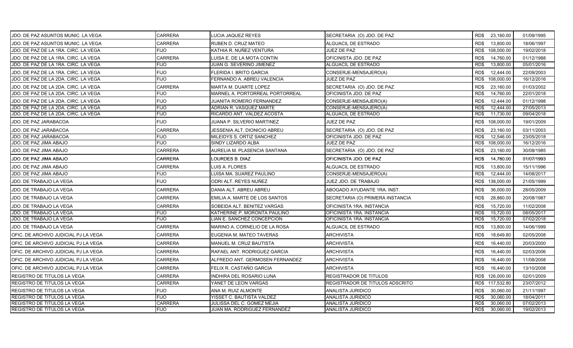| JDO. DE PAZ ASUNTOS MUNIC. LA VEGA   | <b>CARRERA</b> | LUCIA JAQUEZ REYES              | SECRETARIA (O) JDO. DE PAZ       | RD\$ 23,160.00     | 01/09/1995 |
|--------------------------------------|----------------|---------------------------------|----------------------------------|--------------------|------------|
| JDO. DE PAZ ASUNTOS MUNIC. LA VEGA   | <b>CARRERA</b> | RUBEN D. CRUZ MATEO             | <b>ALGUACIL DE ESTRADO</b>       | 13,800.00<br>RD\$  | 18/06/1997 |
| JDO. DE PAZ DE LA 1RA. CIRC. LA VEGA | <b>FIJO</b>    | KATHIA R. NUÑEZ VENTURA         | JUEZ DE PAZ                      | 108,000.00<br>RD\$ | 19/02/2018 |
| JDO. DE PAZ DE LA 1RA. CIRC. LA VEGA | <b>CARRERA</b> | LUISA E. DE LA MOTA CONTIN      | OFICINISTA JDO. DE PAZ           | 14,760.00<br>RD\$  | 01/12/1988 |
| JDO. DE PAZ DE LA 1RA. CIRC. LA VEGA | <b>FIJO</b>    | JUAN G. SEVERINO JIMENEZ        | ALGUACIL DE ESTRADO              | 13,800.00<br>RD\$  | 05/01/2016 |
| JDO. DE PAZ DE LA 1RA. CIRC. LA VEGA | <b>FIJO</b>    | <b>FLERIDA I. BRITO GARCIA</b>  | CONSERJE-MENSAJERO(A)            | RD\$<br>12,444.00  | 22/09/2003 |
| JDO. DE PAZ DE LA 2DA. CIRC. LA VEGA | <b>FIJO</b>    | FERNANDO A. ABREU VALENCIA      | <b>JUEZ DE PAZ</b>               | 108,000.00<br>RD\$ | 16/12/2016 |
| JDO. DE PAZ DE LA 2DA. CIRC. LA VEGA | <b>CARRERA</b> | MARTA M. DUARTE LOPEZ           | SECRETARIA (O) JDO. DE PAZ       | RD\$<br>23,160.00  | 01/03/2002 |
| JDO. DE PAZ DE LA 2DA. CIRC. LA VEGA | <b>FIJO</b>    | MARNEL A. PORTORREAL PORTORREAL | OFICINISTA JDO. DE PAZ           | 14,760.00<br>RD\$  | 22/01/2018 |
| JDO. DE PAZ DE LA 2DA. CIRC. LA VEGA | <b>FIJO</b>    | JUANITA ROMERO FERNANDEZ        | CONSERJE-MENSAJERO(A)            | RD\$<br>12.444.00  | 01/12/1998 |
| JDO. DE PAZ DE LA 2DA. CIRC. LA VEGA | <b>FIJO</b>    | ADRIAN R. VASQUEZ MARTE         | CONSERJE-MENSAJERO(A)            | RD\$<br>12,444.00  | 27/05/2013 |
| JDO. DE PAZ DE LA 2DA. CIRC. LA VEGA | <b>FIJO</b>    | RICARDO ANT. VALDEZ ACOSTA      | ALGUACIL DE ESTRADO              | 11,730.00<br>RD\$  | 09/04/2018 |
| JDO. DE PAZ JARABACOA                | <b>FIJO</b>    | JUANA P. SILVERIO MARTINEZ      | <b>JUEZ DE PAZ</b>               | RD\$ 108,000.00    | 19/01/2009 |
| JDO. DE PAZ JARABACOA                | <b>CARRERA</b> | JESSENIA ALT. DIONICIO ABREU    | SECRETARIA (O) JDO. DE PAZ       | 23,160.00<br>RD\$  | 03/11/2003 |
| JDO. DE PAZ JARABACOA                | <b>FIJO</b>    | MILEIDYS S. ORTIZ SANCHEZ       | OFICINISTA JDO. DE PAZ           | RD\$<br>12,546.00  | 23/05/2018 |
| JDO. DE PAZ JIMA ABAJO               | <b>FIJO</b>    | SINDY LIZARDO ALBA              | JUEZ DE PAZ                      | 108,000.00<br>RD\$ | 16/12/2016 |
| JDO. DE PAZ JIMA ABAJO               | <b>CARRERA</b> | AURELIA M. PLASENCIA SANTANA    | SECRETARIA (O) JDO. DE PAZ       | 23,160.00<br>RD\$  | 30/08/1985 |
| JDO. DE PAZ JIMA ABAJO               | <b>CARRERA</b> | LOURDES B. DIAZ                 | OFICINISTA JDO. DE PAZ           | RD\$<br>14,760.00  | 01/07/1993 |
| JDO. DE PAZ JIMA ABAJO               | <b>CARRERA</b> | LUIS A. FLORES                  | ALGUACIL DE ESTRADO              | RD\$<br>13,800.00  | 15/11/1996 |
| JDO. DE PAZ JIMA ABAJO               | <b>FIJO</b>    | LUISA MA. SUAREZ PAULINO        | CONSERJE-MENSAJERO(A)            | RD\$<br>12,444.00  | 14/08/2017 |
| JDO. DE TRABAJO LA VEGA              | <b>FIJO</b>    | ODRI ALT. REYES NUÑEZ           | JUEZ JDO. DE TRABAJO             | RD\$ 138,000.00    | 21/05/1999 |
| JDO. DE TRABAJO LA VEGA              | <b>CARRERA</b> | DANIA ALT. ABREU ABREU          | ABOGADO AYUDANTE 1RA. INST.      | RD\$<br>36,000.00  | 28/05/2009 |
| JDO. DE TRABAJO LA VEGA              | CARRERA        | EMILIA A. MARTE DE LOS SANTOS   | SECRETARIA (O) PRIMERA INSTANCIA | RD\$<br>28,860.00  | 20/08/1987 |
| JDO. DE TRABAJO LA VEGA              | <b>CARRERA</b> | SOBEIDA ALT. BENITEZ VARGAS     | OFICINISTA 1RA. INSTANCIA        | RD\$<br>15,720.00  | 11/02/2008 |
| JDO. DE TRABAJO LA VEGA              | <b>FIJO</b>    | KATHERINE P. MORONTA PAULINO    | OFICINISTA 1RA. INSTANCIA        | 15,720.00<br>RD\$  | 08/05/2017 |
| JDO. DE TRABAJO LA VEGA              | <b>FIJO</b>    | LIAN E. SANCHEZ CONCEPCION      | OFICINISTA 1RA. INSTANCIA        | 15,720.00<br>RD\$  | 07/02/2018 |
| JDO. DE TRABAJO LA VEGA              | <b>CARRERA</b> | MARINO A. CORNELIO DE LA ROSA   | ALGUACIL DE ESTRADO              | RD\$<br>13,800.00  | 14/06/1999 |
| OFIC. DE ARCHIVO JUDICIAL PJ LA VEGA | <b>CARRERA</b> | EUGENIA M. MATEO TAVERAS        | <b>ARCHIVISTA</b>                | RD\$<br>18,649.80  | 02/05/2008 |
| OFIC. DE ARCHIVO JUDICIAL PJ LA VEGA | <b>CARRERA</b> | MANUEL M. CRUZ BAUTISTA         | <b>ARCHIVISTA</b>                | RD\$<br>16,440.00  | 20/03/2000 |
| OFIC. DE ARCHIVO JUDICIAL PJ LA VEGA | <b>CARRERA</b> | RAFAEL ANT. RODRIGUEZ GARCIA    | ARCHIVISTA                       | RD\$<br>16,440.00  | 02/03/2006 |
| OFIC. DE ARCHIVO JUDICIAL PJ LA VEGA | CARRERA        | ALFREDO ANT. GERMOSEN FERNANDEZ | ARCHIVISTA                       | RD\$<br>16,440.00  | 11/08/2008 |
| OFIC. DE ARCHIVO JUDICIAL PJ LA VEGA | <b>CARRERA</b> | FELIX R. CASTAÑO GARCIA         | <b>ARCHIVISTA</b>                | RD\$<br>16,440.00  | 13/10/2008 |
| <b>REGISTRO DE TITULOS LA VEGA</b>   | <b>CARRERA</b> | INDHIRA DEL ROSARIO LUNA        | REGISTRADOR DE TITULOS           | RD\$ 126,000.00    | 02/01/2009 |
| <b>REGISTRO DE TITULOS LA VEGA</b>   | <b>CARRERA</b> | YANET DE LEON VARGAS            | REGISTRADOR DE TITULOS ADSCRITO  | RD\$ 117,532.80    | 23/07/2012 |
| <b>REGISTRO DE TITULOS LA VEGA</b>   | <b>FIJO</b>    | ANA M. RUIZ ALMONTE             | ANALISTA JURIDICO                | 30,060.00<br>RD\$  | 21/11/1997 |
| <b>REGISTRO DE TITULOS LA VEGA</b>   | <b>FIJO</b>    | YISSET C. BAUTISTA VALDEZ       | ANALISTA JURIDICO                | RD\$<br>30,060.00  | 18/04/2011 |
| REGISTRO DE TITULOS LA VEGA          | <b>CARRERA</b> | JULISSA DEL C. GOMEZ MEJIA      | ANALISTA JURIDICO                | 30,060.00<br>RD\$  | 07/02/2013 |
| <b>REGISTRO DE TITULOS LA VEGA</b>   | <b>FIJO</b>    | JUAN MA. RODRIGUEZ FERNANDEZ    | ANALISTA JURIDICO                | RD\$<br>30,060.00  | 19/02/2013 |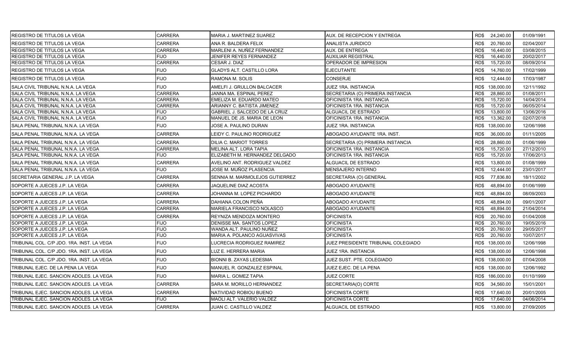| <b>IREGISTRO DE TITULOS LA VEGA</b>       | <b>CARRERA</b> | <b>MARIA J. MARTINEZ SUAREZ</b> | AUX. DE RECEPCION Y ENTREGA        | RD\$ 24,240.00    | 01/09/1991 |
|-------------------------------------------|----------------|---------------------------------|------------------------------------|-------------------|------------|
| REGISTRO DE TITULOS LA VEGA               | <b>CARRERA</b> | ANA R. BALDERA FELIX            | <b>ANALISTA JURIDICO</b>           | RD\$<br>20,760.00 | 02/04/2007 |
| REGISTRO DE TITULOS LA VEGA               | <b>CARRERA</b> | MARLENI A. NUÑEZ FERNANDEZ      | <b>AUX. DE ENTREGA</b>             | RD\$<br>16.440.00 | 03/08/2015 |
| REGISTRO DE TITULOS LA VEGA               | <b>FIJO</b>    | <b>JENIFER REYES FERNANDEZ</b>  | <b>AUXILIAR REGISTRAL</b>          | 16.440.00<br>RD\$ | 20/02/2017 |
| REGISTRO DE TITULOS LA VEGA               | <b>CARRERA</b> | CESAR J. DIAZ                   | OPERADOR DE IMPRESION              | RD\$<br>15,720.00 | 08/09/2014 |
| <b>REGISTRO DE TITULOS LA VEGA</b>        | <b>FIJO</b>    | GLADYS ALT. CASTILLO LORA       | <b>EJECUTANTE</b>                  | RD\$<br>14,760.00 | 17/02/1999 |
| <b>REGISTRO DE TITULOS LA VEGA</b>        | <b>FIJO</b>    | RAMONA M. SOLIS                 | <b>CONSERJE</b>                    | RD\$<br>12,444.00 | 17/03/1987 |
| SALA CIVIL TRIBUNAL N.N.A. LA VEGA        | <b>FIJO</b>    | AMELFI J. GRULLON BALCACER      | JUEZ 1RA. INSTANCIA                | RD\$ 138,000.00   | 12/11/1992 |
| ISALA CIVIL TRIBUNAL N.N.A. LA VEGA       | <b>CARRERA</b> | JANNA MA. ESPINAL PEREZ         | SECRETARIA (O) PRIMERA INSTANCIA   | 28,860.00<br>RD\$ | 01/08/2011 |
| SALA CIVIL TRIBUNAL N.N.A. LA VEGA        | <b>CARRERA</b> | EMELIZA M. EDUARDO MATEO        | OFICINISTA 1RA. INSTANCIA          | RD\$<br>15,720.00 | 14/04/2014 |
| SALA CIVIL TRIBUNAL N.N.A. LA VEGA        | <b>CARRERA</b> | ARIANNY C. BATISTA JIMENEZ      | OFICINISTA 1RA. INSTANCIA          | RD\$<br>15,720.00 | 06/05/2014 |
| SALA CIVIL TRIBUNAL N.N.A. LA VEGA        | <b>FIJO</b>    | GABRIEL J. SALCEDO DE LA CRUZ   | ALGUACIL DE ESTRADO                | RD\$<br>13,800.00 | 13/06/2016 |
| SALA CIVIL TRIBUNAL N.N.A. LA VEGA        | <b>FIJO</b>    | MANUEL DE JS. MARIA DE LEON     | OFICINISTA 1RA. INSTANCIA          | 13,362.00<br>RD\$ | 02/07/2018 |
| SALA PENAL TRIBUNAL N.N.A. LA VEGA        | <b>FIJO</b>    | JOSE A. PAULINO DURAN           | JUEZ 1RA. INSTANCIA                | RD\$ 138,000.00   | 12/06/1998 |
| SALA PENAL TRIBUNAL N.N.A. LA VEGA        | <b>CARRERA</b> | LEIDY C. PAULINO RODRIGUEZ      | ABOGADO AYUDANTE 1RA. INST.        | RD\$<br>36,000.00 | 01/11/2005 |
| SALA PENAL TRIBUNAL N.N.A. LA VEGA        | <b>CARRERA</b> | <b>DILIA C. MARIOT TORRES</b>   | SECRETARIA (O) PRIMERA INSTANCIA   | RD\$<br>28.860.00 | 01/06/1999 |
| SALA PENAL TRIBUNAL N.N.A. LA VEGA        | <b>CARRERA</b> | MELINA ALT. LORA TAPIA          | OFICINISTA 1RA. INSTANCIA          | RD\$<br>15,720.00 | 27/12/2010 |
| SALA PENAL TRIBUNAL N.N.A. LA VEGA        | FIJO           | ELIZABETH M. HERNANDEZ DELGADO  | OFICINISTA 1RA. INSTANCIA          | RD\$<br>15,720.00 | 17/06/2013 |
| SALA PENAL TRIBUNAL N.N.A. LA VEGA        | <b>CARRERA</b> | AVELINO ANT. RODRIGUEZ VALDEZ   | ALGUACIL DE ESTRADO                | 13,800.00<br>RD\$ | 01/08/1999 |
| SALA PENAL TRIBUNAL N.N.A. LA VEGA        | FIJO           | JOSE M. MUÑOZ PLASENCIA         | MENSAJERO INTERNO                  | RD\$<br>12,444.00 | 23/01/2017 |
| ISECRETARIA GENERAL J.P. LA VEGA          | CARRERA        | SENNIA M. MARMOLEJOS GUTIERREZ  | SECRETARIA (O) GENERAL             | RD\$<br>77,836.80 | 18/11/2002 |
| SOPORTE A JUECES J.P. LA VEGA             | CARRERA        | JAQUELINE DIAZ ACOSTA           | ABOGADO AYUDANTE                   | 48,894.00<br>RD\$ | 01/06/1999 |
| SOPORTE A JUECES J.P. LA VEGA             | <b>CARRERA</b> | JOHANNA M. LOPEZ PICHARDO       | ABOGADO AYUDANTE                   | 48,894.00<br>RD\$ | 08/09/2003 |
| SOPORTE A JUECES J.P. LA VEGA             | <b>CARRERA</b> | DAHIANA COLON PEÑA              | ABOGADO AYUDANTE                   | 48,894.00<br>RD\$ | 09/01/2007 |
| SOPORTE A JUECES J.P. LA VEGA             | <b>CARRERA</b> | MARIELA FRANCISCO NOLASCO       | ABOGADO AYUDANTE                   | 48,894.00<br>RD\$ | 21/04/2014 |
| SOPORTE A JUECES J.P. LA VEGA             | <b>CARRERA</b> | REYNIZA MENDOZA MONTERO         | <b>OFICINISTA</b>                  | RD\$<br>20,760.00 | 01/04/2008 |
| SOPORTE A JUECES J.P. LA VEGA             | <b>FIJO</b>    | DENISSE MA. SANTOS LOPEZ        | <b>OFICINISTA</b>                  | 20,760.00<br>RD\$ | 19/05/2016 |
| SOPORTE A JUECES J.P. LA VEGA             | <b>FIJO</b>    | WANDA ALT. PAULINO NUÑEZ        | <b>OFICINISTA</b>                  | 20,760.00<br>RD\$ | 29/05/2017 |
| SOPORTE A JUECES J.P. LA VEGA             | <b>FIJO</b>    | MARIA A. POLANCO AGUASVIVAS     | <b>OFICINISTA</b>                  | RD\$<br>20,760.00 | 10/07/2017 |
| TRIBUNAL COL. C/P JDO. 1RA. INST. LA VEGA | <b>FIJO</b>    | LUCRECIA RODRIGUEZ RAMIREZ      | JUEZ PRESIDENTE TRIBUNAL COLEGIADO | RD\$ 138,000.00   | 12/06/1998 |
| TRIBUNAL COL. C/P JDO. 1RA. INST. LA VEGA | <b>FIJO</b>    | LUZ E. HERRERA MARIA            | <b>JUEZ 1RA. INSTANCIA</b>         | RD\$ 138,000.00   | 12/06/1998 |
| TRIBUNAL COL. C/P JDO. 1RA. INST. LA VEGA | <b>FIJO</b>    | <b>BIONNI B. ZAYAS LEDESMA</b>  | JUEZ SUST. PTE. COLEGIADO          | RD\$ 138,000.00   | 07/04/2008 |
| TRIBUNAL EJEC. DE LA PENA LA VEGA         | <b>FIJO</b>    | MANUEL R. GONZALEZ ESPINAL      | JUEZ EJEC. DE LA PENA              | RD\$ 138,000.00   | 12/06/1992 |
| TRIBUNAL EJEC. SANCION ADOLES. LA VEGA    | FIJO           | MARIA L. GOMEZ TAPIA            | <b>JUEZ CORTE</b>                  | RD\$ 186,000.00   | 01/10/1999 |
| TRIBUNAL EJEC. SANCION ADOLES. LA VEGA    | <b>CARRERA</b> | SARA M. MORILLO HERNANDEZ       | SECRETARIA(O) CORTE                | RD\$<br>34,560.00 | 15/01/2001 |
| TRIBUNAL EJEC. SANCION ADOLES. LA VEGA    | <b>CARRERA</b> | NATIVIDAD ROBIOU BUENO          | OFICINISTA CORTE                   | RD\$<br>17,640.00 | 20/01/2005 |
| TRIBUNAL EJEC. SANCION ADOLES. LA VEGA    | FIJO           | MAOLI ALT. VALERIO VALDEZ       | OFICINISTA CORTE                   | RD\$<br>17,640.00 | 04/06/2014 |
| TRIBUNAL EJEC. SANCION ADOLES. LA VEGA    | <b>CARRERA</b> | JUAN C. CASTILLO VALDEZ         | ALGUACIL DE ESTRADO                | RD\$<br>13,800.00 | 27/09/2005 |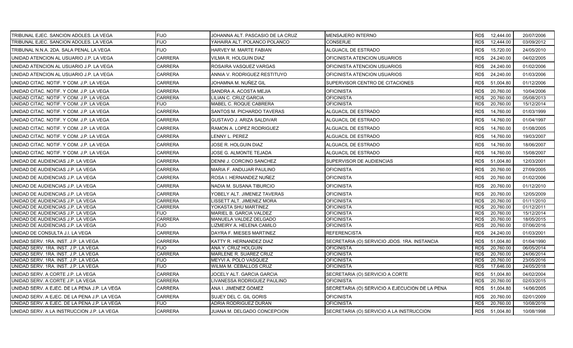| TRIBUNAL EJEC. SANCION ADOLES. LA VEGA       | <b>FIJO</b>    | JOHANNA ALT. PASCASIO DE LA CRUZ | MENSAJERO INTERNO                              |      | RD\$ 12,444.00 | 20/07/2006 |
|----------------------------------------------|----------------|----------------------------------|------------------------------------------------|------|----------------|------------|
| TRIBUNAL EJEC. SANCION ADOLES. LA VEGA       | FIJO           | YAHAIRA ALT. POLANCO POLANCO     | CONSERJE                                       | RD\$ | 12,444.00      | 03/09/2012 |
| TRIBUNAL N.N.A. 2DA. SALA PENAL LA VEGA      | <b>FIJO</b>    | HARVEY M. MARTE FABIAN           | ALGUACIL DE ESTRADO                            | RD\$ | 15,720.00      | 24/05/2010 |
| UNIDAD ATENCION AL USUARIO J.P. LA VEGA      | <b>CARRERA</b> | VILMA R. HOLGUIN DIAZ            | OFICINISTA ATENCION USUARIOS                   | RD\$ | 24,240.00      | 04/02/2005 |
| UNIDAD ATENCION AL USUARIO J.P. LA VEGA      | <b>CARRERA</b> | ROSAIRA VASQUEZ VARGAS           | OFICINISTA ATENCION USUARIOS                   | RD\$ | 24,240.00      | 01/02/2006 |
| UNIDAD ATENCION AL USUARIO J.P. LA VEGA      | <b>CARRERA</b> | ANNIA V. RODRIGUEZ RESTITUYO     | OFICINISTA ATENCION USUARIOS                   | RD\$ | 24,240.00      | 01/03/2006 |
| UNIDAD CITAC. NOTIF. Y COM. J.P. LA VEGA     | <b>CARRERA</b> | JOHAMNA M. NUÑEZ GIL             | SUPERVISOR CENTRO DE CITACIONES                | RD\$ | 51,004.80      | 01/12/2006 |
| UNIDAD CITAC, NOTIF, Y COM, J.P. LA VEGA     | <b>CARRERA</b> | SANDRA A. ACOSTA MEJIA           | <b>OFICINISTA</b>                              | RD\$ | 20,760.00      | 10/04/2006 |
| UNIDAD CITAC. NOTIF. Y COM. J.P. LA VEGA     | <b>CARRERA</b> | LILIAN C. CRUZ GARCIA            | <b>OFICINISTA</b>                              | RD\$ | 20,760.00      | 05/08/2013 |
| UNIDAD CITAC. NOTIF. Y COM. J.P. LA VEGA     | <b>FIJO</b>    | MABEL C. ROQUE CABRERA           | OFICINISTA                                     | RD\$ | 20,760.00      | 15/12/2014 |
| UNIDAD CITAC. NOTIF. Y COM. J.P. LA VEGA     | CARRERA        | SANTOS M. PICHARDO TAVERAS       | ALGUACIL DE ESTRADO                            | RD\$ | 14,760.00      | 01/03/1999 |
| UNIDAD CITAC. NOTIF. Y COM. J.P. LA VEGA     | CARRERA        | GUSTAVO J. ARIZA SALDIVAR        | ALGUACIL DE ESTRADO                            | RD\$ | 14,760.00      | 01/04/1997 |
| UNIDAD CITAC. NOTIF. Y COM. J.P. LA VEGA     | CARRERA        | RAMON A. LOPEZ RODRIGUEZ         | ALGUACIL DE ESTRADO                            | RD\$ | 14,760.00      | 01/08/2005 |
| UNIDAD CITAC. NOTIF. Y COM. J.P. LA VEGA     | <b>CARRERA</b> | LENNY L. PEREZ                   | ALGUACIL DE ESTRADO                            | RD\$ | 14,760.00      | 19/03/2007 |
| UNIDAD CITAC. NOTIF. Y COM. J.P. LA VEGA     | <b>CARRERA</b> | JOSE R. HOLGUIN DIAZ             | ALGUACIL DE ESTRADO                            | RD\$ | 14,760.00      | 18/06/2007 |
| UNIDAD CITAC. NOTIF. Y COM. J.P. LA VEGA     | CARRERA        | JOSE G. ALMONTE TEJADA           | ALGUACIL DE ESTRADO                            | RD\$ | 14,760.00      | 15/08/2007 |
| UNIDAD DE AUDIENCIAS J.P. LA VEGA            | CARRERA        | DENNI J. CORCINO SANCHEZ         | SUPERVISOR DE AUDIENCIAS                       | RD\$ | 51,004.80      | 12/03/2001 |
| UNIDAD DE AUDIENCIAS J.P. LA VEGA            | CARRERA        | MARIA F. ANDUJAR PAULINO         | <b>OFICINISTA</b>                              | RD\$ | 20,760.00      | 27/09/2005 |
| UNIDAD DE AUDIENCIAS J.P. LA VEGA            | CARRERA        | ROSA I. HERNANDEZ NUÑEZ          | <b>OFICINISTA</b>                              | RD\$ | 20,760.00      | 01/02/2006 |
| UNIDAD DE AUDIENCIAS J.P. LA VEGA            | <b>CARRERA</b> | NADIA M. SUSANA TIBURCIO         | <b>OFICINISTA</b>                              | RD\$ | 20,760.00      | 01/12/2010 |
| UNIDAD DE AUDIENCIAS J.P. LA VEGA            | <b>CARRERA</b> | YOBELY ALT. JIMENEZ TAVERAS      | <b>OFICINISTA</b>                              | RD\$ | 20,760.00      | 12/05/2009 |
| UNIDAD DE AUDIENCIAS J.P. LA VEGA            | <b>CARRERA</b> | LISSETT ALT. JIMENEZ MORA        | <b>OFICINISTA</b>                              | RD\$ | 20,760.00      | 01/11/2010 |
| UNIDAD DE AUDIENCIAS J.P. LA VEGA            | <b>CARRERA</b> | YOKASTA SHU MARTINEZ             | OFICINISTA                                     | RD\$ | 20,760.00      | 01/12/2011 |
| UNIDAD DE AUDIENCIAS J.P. LA VEGA            | FIJO           | MARIEL B. GARCIA VALDEZ          | OFICINISTA                                     | RD\$ | 20,760.00      | 15/12/2014 |
| UNIDAD DE AUDIENCIAS J.P. LA VEGA            | <b>CARRERA</b> | MANUELA VALDEZ DELGADO           | OFICINISTA                                     | RD\$ | 20,760.00      | 18/05/2015 |
| UNIDAD DE AUDIENCIAS J.P. LA VEGA            | FIJO           | LIZMEIRY A. HELENA CAMILO        | OFICINISTA                                     | RD\$ | 20,760.00      | 07/06/2016 |
| UNIDAD DE CONSULTA J.I. LA VEGA              | CARRERA        | DAYRA F. MIESES MARTINEZ         | REFERENCISTA                                   | RD\$ | 24,240.00      | 01/03/2001 |
| UNIDAD SERV. 1RA. INST. J.P. LA VEGA         | CARRERA        | KATTY R. HERNANDEZ DIAZ          | SECRETARIA (O) SERVICIO JDOS. 1RA. INSTANCIA   | RD\$ | 51,004.80      | 01/04/1990 |
| UNIDAD SERV. 1RA. INST. J.P. LA VEGA         | <b>FIJO</b>    | ANA Y. CRUZ HOLGUIN              | OFICINISTA                                     | RD\$ | 20,760.00      | 06/05/2014 |
| UNIDAD SERV. 1RA. INST. J.P. LA VEGA         | <b>CARRERA</b> | MARLENE R. SUAREZ CRUZ           | <b>OFICINISTA</b>                              | RD\$ | 20,760.00      | 24/06/2014 |
| UNIDAD SERV. 1RA. INST. J.P. LA VEGA         | <b>FIJO</b>    | MEYVI A. POLO VASQUEZ            | OFICINISTA                                     | RD\$ | 20,760.00      | 23/05/2016 |
| UNIDAD SERV. 1RA. INST. J.P. LA VEGA         | <b>FIJO</b>    | WILMA M. CEBALLOS CRUZ           | <b>OFICINISTA</b>                              | RD\$ | 17,646.00      | 24/05/2018 |
| UNIDAD SERV. A CORTE J.P. LA VEGA            | <b>CARRERA</b> | JOCELY ALT. GARCIA GARCIA        | SECRETARIA (O) SERVICIO A CORTE                | RD\$ | 51,004.80      | 04/02/2004 |
| UNIDAD SERV. A CORTE J.P. LA VEGA            | CARRERA        | LIVANESSA RODRIGUEZ PAULINO      | <b>OFICINISTA</b>                              | RD\$ | 20,760.00      | 02/03/2015 |
| UNIDAD SERV. A EJEC. DE LA PENA J.P. LA VEGA | CARRERA        | ANA I. JIMENEZ GOMEZ             | SECRETARIA (O) SERVICIO A EJECUCION DE LA PENA | RD\$ | 51,004.80      | 14/06/2005 |
| UNIDAD SERV. A EJEC. DE LA PENA J.P. LA VEGA | <b>CARRERA</b> | SUJEY DEL C. GIL GORIS           | <b>OFICINISTA</b>                              | RD\$ | 20,760.00      | 02/01/2009 |
| UNIDAD SERV. A EJEC. DE LA PENA J.P. LA VEGA | FIJO           | ADRIA RODRIGUEZ DURAN            | <b>OFICINISTA</b>                              | RD\$ | 20,760.00      | 10/08/2016 |
| UNIDAD SERV. A LA INSTRUCCION J.P. LA VEGA   | <b>CARRERA</b> | JUANA M. DELGADO CONCEPCION      | SECRETARIA (O) SERVICIO A LA INSTRUCCION       | RD\$ | 51,004.80      | 10/08/1998 |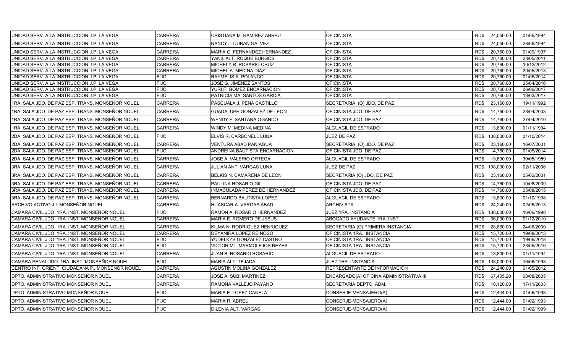| UNIDAD SERV. A LA INSTRUCCION J.P. LA VEGA       | CARRERA        | CRISTIANA M. RAMIREZ ABREU     | OFICINISTA                              | RD\$ 24,050.00    | 01/05/1994 |
|--------------------------------------------------|----------------|--------------------------------|-----------------------------------------|-------------------|------------|
| UNIDAD SERV. A LA INSTRUCCION J.P. LA VEGA       | <b>CARRERA</b> | NANCY J. DURAN GALVEZ          | <b>OFICINISTA</b>                       | RD\$<br>24,050.00 | 28/06/1994 |
| UNIDAD SERV. A LA INSTRUCCION J.P. LA VEGA       | <b>CARRERA</b> | MARIA G. FERNANDEZ HERNANDEZ   | <b>OFICINISTA</b>                       | 20,760.00<br>RD\$ | 01/09/1997 |
| UNIDAD SERV. A LA INSTRUCCION J.P. LA VEGA       | <b>CARRERA</b> | YANIL ALT. ROQUE BURGOS        | <b>OFICINISTA</b>                       | RD\$<br>20,760.00 | 23/05/2011 |
| UNIDAD SERV. A LA INSTRUCCION J.P. LA VEGA       | <b>CARRERA</b> | MICHELY R. ROSARIO CRUZ        | <b>OFICINISTA</b>                       | 20,760.00<br>RD\$ | 10/12/2012 |
| UNIDAD SERV. A LA INSTRUCCION J.P. LA VEGA       | <b>CARRERA</b> | MICHEL A. MEDINA DIAZ          | <b>OFICINISTA</b>                       | 20,760.00<br>RD\$ | 20/05/2013 |
| UNIDAD SERV. A LA INSTRUCCION J.P. LA VEGA       | <b>FIJO</b>    | RAYMELIS A. POLANCO            | OFICINISTA                              | RD\$<br>20,760.00 | 01/05/2014 |
| UNIDAD SERV. A LA INSTRUCCION J.P. LA VEGA       | <b>FIJO</b>    | JOSE G. JIMENEZ SANTOS         | <b>OFICINISTA</b>                       | 20,760.00<br>RD\$ | 25/04/2016 |
| UNIDAD SERV. A LA INSTRUCCION J.P. LA VEGA       | <b>FIJO</b>    | YURI F. GOMEZ ENCARNACION      | <b>OFICINISTA</b>                       | RD\$<br>20,760.00 | 06/06/2017 |
| UNIDAD SERV. A LA INSTRUCCION J.P. LA VEGA       | FIJO           | PATRICIA MA. SANTOS GARCIA     | OFICINISTA                              | 20,760.00<br>RD\$ | 13/03/2017 |
| 1RA. SALA JDO. DE PAZ ESP. TRANS. MONSEÑOR NOUEL | <b>CARRERA</b> | PASCUALA J. PEÑA CASTILLO      | SECRETARIA (O) JDO. DE PAZ              | RD\$<br>23,160.00 | 19/11/1992 |
| 1RA. SALA JDO. DE PAZ ESP. TRANS. MONSEÑOR NOUEL | <b>CARRERA</b> | GUADALUPE GONZALEZ DE LEON     | OFICINISTA JDO. DE PAZ                  | RD\$<br>14,760.00 | 28/04/2003 |
| 1RA. SALA JDO. DE PAZ ESP. TRANS. MONSEÑOR NOUEL | <b>CARRERA</b> | WENDY F. SANTANA OGANDO        | OFICINISTA JDO. DE PAZ                  | RD\$<br>14,760.00 | 27/04/2010 |
| 1RA. SALA JDO. DE PAZ ESP. TRANS. MONSEÑOR NOUEL | <b>CARRERA</b> | WINDY M. MEDINA MEDINA         | ALGUACIL DE ESTRADO                     | 13,800.00<br>RD\$ | 01/11/1994 |
| 2DA. SALA JDO. DE PAZ ESP. TRANS. MONSEÑOR NOUEL | <b>FIJO</b>    | ELVIS R. CARBONELL LUNA        | JUEZ DE PAZ                             | RD\$ 108,000.00   | 01/10/2014 |
| 2DA. SALA JDO. DE PAZ ESP. TRANS. MONSEÑOR NOUEL | <b>CARRERA</b> | VENTURA ABAD PANIAGUA          | SECRETARIA (O) JDO. DE PAZ              | RD\$<br>23,160.00 | 16/07/2001 |
| 2DA. SALA JDO. DE PAZ ESP. TRANS. MONSEÑOR NOUEL | <b>FIJO</b>    | ANDREINA BAUTISTA ENCARNACION  | OFICINISTA JDO. DE PAZ                  | 14,760.00<br>RD\$ | 01/05/2014 |
| 2DA. SALA JDO. DE PAZ ESP. TRANS. MONSEÑOR NOUEL | <b>CARRERA</b> | JOSE A. VALERIO ORTEGA         | ALGUACIL DE ESTRADO                     | RD\$<br>13,800.00 | 30/05/1989 |
| 3RA. SALA JDO. DE PAZ ESP. TRANS. MONSEÑOR NOUEL | <b>CARRERA</b> | JULIAN ANT. VARGAS LUNA        | JUEZ DE PAZ                             | RD\$ 108,000.00   | 02/11/2006 |
| 3RA. SALA JDO. DE PAZ ESP. TRANS. MONSEÑOR NOUEL | CARRERA        | BELKIS N. CAMARENA DE LEON     | SECRETARIA (O) JDO. DE PAZ              | RD\$<br>23,160.00 | 05/02/2001 |
| 3RA. SALA JDO. DE PAZ ESP. TRANS. MONSEÑOR NOUEL | <b>CARRERA</b> | PAULINA ROSARIO GIL            | OFICINISTA JDO. DE PAZ                  | RD\$<br>14,760.00 | 10/08/2009 |
| 3RA. SALA JDO. DE PAZ ESP. TRANS. MONSEÑOR NOUEL | <b>CARRERA</b> | INMACULADA PEREZ DE HERNANDEZ  | OFICINISTA JDO. DE PAZ                  | 14,760.00<br>RD\$ | 05/08/2015 |
| 3RA. SALA JDO. DE PAZ ESP. TRANS. MONSEÑOR NOUEL | <b>CARRERA</b> | <b>BERNARDO BAUTISTA LOPEZ</b> | ALGUACIL DE ESTRADO                     | RD\$<br>13,800.00 | 01/10/1998 |
| ARCHIVO ACTIVO J.I. MONSEÑOR NOUEL               | CARRERA        | HUASCAR A. VARGAS ABAD         | <b>ARCHIVISTA</b>                       | RD\$<br>24,240.00 | 02/05/2013 |
| CAMARA CIVIL JDO. 1RA. INST. MONSEÑOR NOUEL      | <b>FIJO</b>    | RAMON A. ROSARIO HERNANDEZ     | JUEZ 1RA. INSTANCIA                     | RD\$ 138,000.00   | 16/06/1998 |
| CAMARA CIVIL JDO. 1RA. INST. MONSEÑOR NOUEL      | <b>CARRERA</b> | MARIA E. ROMERO DE JESUS       | ABOGADO AYUDANTE 1RA. INST              | 36,000.00<br>RD\$ | 01/12/2010 |
| CAMARA CIVIL JDO. 1RA. INST. MONSEÑOR NOUEL      | <b>CARRERA</b> | KILMA N. RODRIGUEZ HENRIQUEZ   | SECRETARIA (O) PRIMERA INSTANCIA        | RD\$<br>28,860.00 | 24/06/2000 |
| CAMARA CIVIL JDO. 1RA. INST. MONSEÑOR NOUEL      | <b>CARRERA</b> | DEYANIRA LOPEZ REINOSO         | OFICINISTA 1RA. INSTANCIA               | RD\$<br>15,720.00 | 19/08/2013 |
| CAMARA CIVIL JDO. 1RA. INST. MONSEÑOR NOUEL      | FIJO           | YUDELKYS GONZALEZ CASTRO       | OFICINISTA 1RA. INSTANCIA               | 15,720.00<br>RD\$ | 19/06/2018 |
| CAMARA CIVIL JDO. 1RA. INST. MONSEÑOR NOUEL      | <b>FIJO</b>    | VICTOR ML. MARMOLEJOS REYES    | OFICINISTA 1RA. INSTANCIA               | 15,720.00<br>RD\$ | 23/05/2016 |
| CAMARA CIVIL JDO. 1RA. INST. MONSEÑOR NOUEL      | <b>CARRERA</b> | JUAN B. ROSARIO ROSARIO        | ALGUACIL DE ESTRADO                     | RD\$<br>13,800.00 | 01/11/1994 |
| CAMARA PENAL JDO. 1RA. INST. MONSEÑOR NOUEL      | <b>FIJO</b>    | MARIA ALT. TEJADA              | JUEZ 1RA. INSTANCIA                     | RD\$ 138,000.00   | 16/06/1998 |
| CENTRO INF. ORIENT. CIUDADANA PJ MONSEÑOR NOUEL  | <b>CARRERA</b> | AGUSTIN MOLINA GONZALEZ        | REPRESENTANTE DE INFORMACION            | 24,240.00<br>RD\$ | 01/05/2012 |
| DPTO. ADMINISTRATIVO MONSEÑOR NOUEL              | <b>CARRERA</b> | JOSE A. SUBI MARTINEZ          | ENCARGADO(A) OFICINA ADMINISTRATIVA III | RD\$<br>67,405.20 | 08/08/2005 |
| DPTO. ADMINISTRATIVO MONSEÑOR NOUEL              | <b>CARRERA</b> | RAMONA VALLEJO PAYANO          | SECRETARIA DEPTO. ADM.                  | RD\$<br>18,120.00 | 17/11/2003 |
| DPTO. ADMINISTRATIVO MONSEÑOR NOUEL              | <b>FIJO</b>    | MARIA E. LOPEZ CANELA          | CONSERJE-MENSAJERO(A)                   | 12,444.00<br>RD\$ | 01/06/1998 |
| DPTO. ADMINISTRATIVO MONSEÑOR NOUEL              | <b>FIJO</b>    | <b>MARIA R. ABREU</b>          | CONSERJE-MENSAJERO(A)                   | RD\$<br>12,444.00 | 01/02/1993 |
| DPTO. ADMINISTRATIVO MONSEÑOR NOUEL              | <b>FIJO</b>    | DILENIA ALT. VARGAS            | CONSERJE-MENSAJERO(A)                   | 12,444.00<br>RD\$ | 01/02/1999 |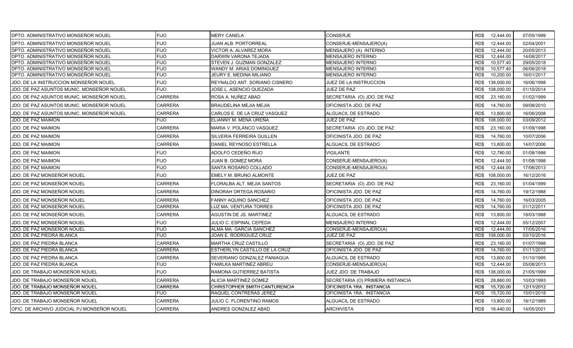| DPTO. ADMINISTRATIVO MONSEÑOR NOUEL         | <b>FIJO</b>    | <b>MERY CANELA</b>             | CONSERJE                         | RD\$ 12,444.00     | 07/05/1999 |
|---------------------------------------------|----------------|--------------------------------|----------------------------------|--------------------|------------|
| DPTO. ADMINISTRATIVO MONSEÑOR NOUEL         | <b>FIJO</b>    | <b>JUAN ALB. PORTORREAL</b>    | CONSERJE-MENSAJERO(A)            | RD\$<br>12,444.00  | 02/04/2001 |
| DPTO. ADMINISTRATIVO MONSEÑOR NOUEL         | <b>FIJO</b>    | VICTOR A. ALVAREZ MORA         | MENSAJERO (A) INTERNO            | RD\$<br>12,444.00  | 20/05/2013 |
| DPTO. ADMINISTRATIVO MONSEÑOR NOUEL         | <b>FIJO</b>    | DARWIN VARONA TEJADA           | <b>MENSAJERO INTERNO</b>         | 12,444.00<br>RD\$  | 14/08/2017 |
| DPTO. ADMINISTRATIVO MONSEÑOR NOUEL         | <b>FIJO</b>    | STEVEN J. GUZMAN GONZALEZ      | <b>MENSAJERO INTERNO</b>         | 10,577.40<br>RD\$  | 29/05/2018 |
| DPTO. ADMINISTRATIVO MONSEÑOR NOUEL         | <b>FIJO</b>    | WANDY M. ARIAS DOMINGUEZ       | MENSAJERO INTERNO                | 10,577.40<br>RD\$  | 06/06/2018 |
| DPTO. ADMINISTRATIVO MONSEÑOR NOUEL         | <b>FIJO</b>    | JEURY E. MEDINA MILIANO        | <b>MENSAJERO INTERNO</b>         | 10,200.00<br>RD\$  | 16/01/2017 |
| JDO. DE LA INSTRUCCION MONSEÑOR NOUEL       | <b>FIJO</b>    | REYNALDO ANT. SORIANO CISNERO  | JUEZ DE LA INSTRUCCION           | RD\$ 138,000.00    | 16/06/1998 |
| JDO. DE PAZ ASUNTOS MUNIC. MONSEÑOR NOUEL   | <b>FIJO</b>    | JOSE L. ASENCIO QUEZADA        | JUEZ DE PAZ                      | RD\$ 108,000.00    | 01/10/2014 |
| JDO. DE PAZ ASUNTOS MUNIC. MONSEÑOR NOUEL   | <b>CARRERA</b> | ROSA A. NUÑEZ ABAD             | SECRETARIA (O) JDO. DE PAZ       | 23,160.00<br>RD\$  | 01/02/1999 |
| JDO. DE PAZ ASUNTOS MUNIC. MONSEÑOR NOUEL   | <b>CARRERA</b> | <b>BRAUDELINA MEJIA MEJIA</b>  | OFICINISTA JDO. DE PAZ           | RD\$<br>14,760.00  | 09/08/2010 |
| JDO. DE PAZ ASUNTOS MUNIC. MONSEÑOR NOUEL   | <b>CARRERA</b> | CARLOS E. DE LA CRUZ VASQUEZ   | ALGUACIL DE ESTRADO              | RD\$<br>13,800.00  | 16/06/2008 |
| JDO. DE PAZ MAIMON                          | FIJO           | ELIANNY M. MENA UREÑA          | JUEZ DE PAZ                      | RD\$<br>108,000.00 | 03/09/2012 |
| JDO. DE PAZ MAIMON                          | <b>CARRERA</b> | MARIA V. POLANCO VASQUEZ       | SECRETARIA (O) JDO. DE PAZ       | 23,160.00<br>RD\$  | 01/09/1998 |
| JDO. DE PAZ MAIMON                          | CARRERA        | SILVERIA FERREIRA GUILLEN      | OFICINISTA JDO. DE PAZ           | RD\$<br>14,760.00  | 10/07/2006 |
| JDO. DE PAZ MAIMON                          | <b>CARRERA</b> | DANIEL REYNOSO ESTRELLA        | ALGUACIL DE ESTRADO              | RD\$<br>13,800.00  | 14/07/2006 |
| JDO. DE PAZ MAIMON                          | <b>FIJO</b>    | ADOLFO CEDEÑO RIJO             | VIGILANTE                        | RD\$<br>12,780.00  | 01/08/1998 |
| JDO. DE PAZ MAIMON                          | <b>FIJO</b>    | JUAN B. GOMEZ MORA             | CONSERJE-MENSAJERO(A)            | RD\$<br>12,444.00  | 01/08/1998 |
| JDO. DE PAZ MAIMON                          | <b>FIJO</b>    | SANTA ROSARIO COLLADO          | CONSERJE-MENSAJERO(A)            | 12,444.00<br>RD\$  | 17/06/2013 |
| JDO. DE PAZ MONSEÑOR NOUEL                  | <b>FIJO</b>    | EMELY M. BRUNO ALMONTE         | JUEZ DE PAZ                      | RD\$ 108,000.00    | 16/12/2016 |
| JDO. DE PAZ MONSEÑOR NOUEL                  | <b>CARRERA</b> | FLORALBA ALT. MEJIA SANTOS     | SECRETARIA (O) JDO. DE PAZ       | RD\$<br>23,160.00  | 01/04/1999 |
| JDO. DE PAZ MONSEÑOR NOUEL                  | <b>CARRERA</b> | <b>DINORAH ORTEGA ROSARIO</b>  | OFICINISTA JDO. DE PAZ           | RD\$<br>14,760.00  | 19/12/1988 |
| JDO. DE PAZ MONSEÑOR NOUEL                  | <b>CARRERA</b> | FANNY AQUINO SANCHEZ           | OFICINISTA JDO. DE PAZ           | RD\$<br>14,760.00  | 16/03/2005 |
| JDO. DE PAZ MONSEÑOR NOUEL                  | <b>CARRERA</b> | LUZ MA. VENTURA TORRES         | OFICINISTA JDO. DE PAZ           | 14,760.00<br>RD\$  | 01/12/2011 |
| JDO. DE PAZ MONSEÑOR NOUEL                  | <b>CARRERA</b> | <b>AGUSTIN DE JS. MARTINEZ</b> | ALGUACIL DE ESTRADO              | 13,800.00<br>RD\$  | 18/03/1988 |
| JDO. DE PAZ MONSEÑOR NOUEL                  | <b>FIJO</b>    | JULIO C. ESPINAL CEPEDA        | <b>MENSAJERO INTERNO</b>         | RD\$<br>12,444.00  | 05/12/2007 |
| JDO. DE PAZ MONSEÑOR NOUEL                  | <b>FIJO</b>    | ALMA MA. GARCIA SANCHEZ        | CONSERJE-MENSAJERO(A)            | RD\$<br>12,444.00  | 17/05/2016 |
| JDO. DE PAZ PIEDRA BLANCA                   | <b>FIJO</b>    | JOAN E. RODRIGUEZ CRUZ         | JUEZ DE PAZ                      | 108,000.00<br>RD\$ | 03/10/2016 |
| JDO. DE PAZ PIEDRA BLANCA                   | <b>CARRERA</b> | MARTHA CRUZ CASTILLO           | SECRETARIA (O) JDO. DE PAZ       | RD\$<br>23,160.00  | 01/07/1998 |
| JDO. DE PAZ PIEDRA BLANCA                   | <b>CARRERA</b> | ESTHERLYN CASTILLO DE LA CRUZ  | OFICINISTA JDO. DE PAZ           | 14,760.00<br>RD\$  | 01/11/2012 |
| JDO. DE PAZ PIEDRA BLANCA                   | <b>CARRERA</b> | SEVERIANO GONZALEZ PANIAGUA    | ALGUACIL DE ESTRADO              | RD\$<br>13,800.00  | 01/10/1995 |
| JDO. DE PAZ PIEDRA BLANCA                   | FIJO           | YAMILKA MARTINEZ ABREU         | CONSERJE-MENSAJERO(A)            | 12,444.00<br>RD\$  | 05/08/2013 |
| JDO. DE TRABAJO MONSEÑOR NOUEL              | <b>FIJO</b>    | RAMONA GUTIERREZ BATISTA       | JUEZ JDO. DE TRABAJO             | RD\$ 138,000.00    | 21/05/1999 |
| JDO. DE TRABAJO MONSEÑOR NOUEL              | <b>CARRERA</b> | ALICIA MARTINEZ GOMEZ          | SECRETARIA (O) PRIMERA INSTANCIA | RD\$<br>28,860.00  | 10/03/1993 |
| JDO. DE TRABAJO MONSEÑOR NOUEL              | <b>CARRERA</b> | CHRISTOPHER SMITH CANTURENCIA  | OFICINISTA 1RA. INSTANCIA        | 15,720.00<br>RD\$  | 12/11/2012 |
| JDO. DE TRABAJO MONSEÑOR NOUEL              | FIJO           | RAQUEL CONTRERAS JEREZ         | OFICINISTA 1RA. INSTANCIA        | RD\$<br>15,720.00  | 15/01/2018 |
| JDO. DE TRABAJO MONSEÑOR NOUEL              | <b>CARRERA</b> | JULIO C. FLORENTINO RAMOS      | ALGUACIL DE ESTRADO              | RD\$<br>13,800.00  | 18/12/1989 |
| OFIC. DE ARCHIVO JUDICIAL PJ MONSEÑOR NOUEL | <b>CARRERA</b> | ANDRES GONZALEZ ABAD           | <b>ARCHIVISTA</b>                | 16,440.00<br>RD\$  | 14/05/2001 |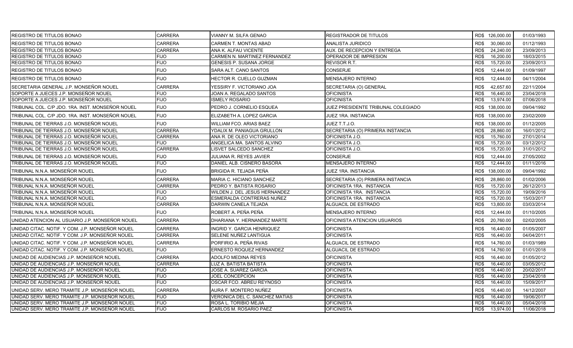| <b>REGISTRO DE TITULOS BONAO</b>                 | <b>CARRERA</b> | VIANNY M. SILFA GENAO             | <b>REGISTRADOR DE TITULOS</b>      | RD\$ 126,000.00    | 01/03/1993 |
|--------------------------------------------------|----------------|-----------------------------------|------------------------------------|--------------------|------------|
| <b>REGISTRO DE TITULOS BONAO</b>                 | <b>CARRERA</b> | CARMEN T. MONTAS ABAD             | ANALISTA JURIDICO                  | 30,060.00<br>RD\$  | 01/12/1993 |
| <b>REGISTRO DE TITULOS BONAO</b>                 | <b>CARRERA</b> | ANA K. ALFAU VICENTE              | AUX. DE RECEPCION Y ENTREGA        | 24,240.00<br>RD\$  | 23/09/2013 |
| REGISTRO DE TITULOS BONAO                        | <b>FIJO</b>    | CARMEN N. MARTINEZ FERNANDEZ      | OPERADOR DE IMPRESION              | 16,200.00<br>RD\$  | 18/03/2015 |
| REGISTRO DE TITULOS BONAO                        | <b>FIJO</b>    | GENESIS P. SUSANA JORGE           | REVISOR R.T.                       | RD\$<br>15,720.00  | 23/09/2013 |
| <b>REGISTRO DE TITULOS BONAO</b>                 | <b>FIJO</b>    | SARA ALT. CANO SANTOS             | <b>CONSERJE</b>                    | RD\$<br>12,444.00  | 01/09/1997 |
| <b>IREGISTRO DE TITULOS BONAO</b>                | <b>FIJO</b>    | <b>HECTOR R. CUELLO GUZMAN</b>    | <b>MENSAJERO INTERNO</b>           | RD\$<br>12.444.00  | 04/11/2004 |
| SECRETARIA GENERAL J.P. MONSEÑOR NOUEL           | <b>CARRERA</b> | YESSIRY F. VICTORIANO JOA         | SECRETARIA (O) GENERAL             | RD\$<br>42,657.60  | 22/11/2004 |
| SOPORTE A JUECES J.P. MONSEÑOR NOUEL             | <b>FIJO</b>    | JOAN A. REGALADO SANTOS           | <b>OFICINISTA</b>                  | RD\$<br>16,440.00  | 23/04/2018 |
| SOPORTE A JUECES J.P. MONSEÑOR NOUEL             | <b>FIJO</b>    | <b>ISMELY ROSARIO</b>             | <b>OFICINISTA</b>                  | RD\$<br>13,974.00  | 07/06/2018 |
| TRIBUNAL COL. C/P JDO. 1RA. INST. MONSEÑOR NOUEL | <b>FIJO</b>    | PEDRO J. CORNELIO ESQUEA          | JUEZ PRESIDENTE TRIBUNAL COLEGIADO | RD\$ 138,000.00    | 09/04/1992 |
| TRIBUNAL COL. C/P JDO. 1RA. INST. MONSEÑOR NOUEL | <b>FIJO</b>    | ELIZABETH A. LOPEZ GARCIA         | JUEZ 1RA. INSTANCIA                | RD\$ 138,000.00    | 23/02/2009 |
| TRIBUNAL DE TIERRAS J.O. MONSEÑOR NOUEL          | <b>FIJO</b>    | WILLIAM FCO. ARIAS BAEZ           | JUEZ T.T.J.O.                      | RD\$<br>138,000.00 | 01/12/2005 |
| TRIBUNAL DE TIERRAS J.O. MONSEÑOR NOUEL          | <b>CARRERA</b> | YDALIX M. PANIAGUA GRULLON        | SECRETARIA (O) PRIMERA INSTANCIA   | 28,860.00<br>RD\$  | 16/01/2012 |
| TRIBUNAL DE TIERRAS J.O. MONSEÑOR NOUEL          | <b>CARRERA</b> | ANA R. DE OLEO VICTORIANO         | OFICINISTA J.O.                    | RD\$<br>15,760.00  | 27/01/2014 |
| TRIBUNAL DE TIERRAS J.O. MONSEÑOR NOUEL          | <b>FIJO</b>    | ANGELICA MA. SANTOS ALVINO        | OFICINISTA J.O.                    | 15,720.00<br>RD\$  | 03/12/2012 |
| TRIBUNAL DE TIERRAS J.O. MONSEÑOR NOUEL          | <b>CARRERA</b> | LISVET SALCEDO SANCHEZ            | OFICINISTA J.O.                    | RD\$<br>15,720.00  | 31/01/2012 |
| TRIBUNAL DE TIERRAS J.O. MONSEÑOR NOUEL          | <b>FIJO</b>    | JULIANA R. REYES JAVIER           | <b>CONSERJE</b>                    | RD\$<br>12,444.00  | 27/05/2002 |
| TRIBUNAL DE TIERRAS J.O. MONSEÑOR NOUEL          | <b>FIJO</b>    | DANIEL ALB. CISNERO BASORA        | MENSAJERO INTERNO                  | 12,444.00<br>RD\$  | 01/11/2016 |
| TRIBUNAL N.N.A. MONSEÑOR NOUEL                   | <b>FIJO</b>    | BRIGIDA R. TEJADA PEÑA            | JUEZ 1RA. INSTANCIA                | RD\$ 138,000.00    | 09/04/1992 |
| TRIBUNAL N.N.A. MONSEÑOR NOUEL                   | <b>CARRERA</b> | MARIA C. HICIANO SANCHEZ          | SECRETARIA (O) PRIMERA INSTANCIA   | RD\$<br>28,860.00  | 01/02/2006 |
| TRIBUNAL N.N.A. MONSEÑOR NOUEL                   | <b>CARRERA</b> | PEDRO Y. BATISTA ROSARIO          | OFICINISTA 1RA. INSTANCIA          | 15,720.00<br>RD\$  | 26/12/2013 |
| ITRIBUNAL N.N.A. MONSEÑOR NOUEL                  | <b>FIJO</b>    | WILDEN J. DEL JESUS HERNANDEZ     | OFICINISTA 1RA. INSTANCIA          | 15,720.00<br>RD\$  | 19/09/2016 |
| TRIBUNAL N.N.A. MONSEÑOR NOUEL                   | <b>FIJO</b>    | ESMERALDA CONTRERAS NUÑEZ         | OFICINISTA 1RA. INSTANCIA          | 15,720.00<br>RD\$  | 15/03/2017 |
| TRIBUNAL N.N.A. MONSEÑOR NOUEL                   | <b>CARRERA</b> | DARWIN CANELA TEJADA              | ALGUACIL DE ESTRADO                | RD\$<br>13,800.00  | 03/03/2014 |
| TRIBUNAL N.N.A. MONSEÑOR NOUEL                   | <b>FIJO</b>    | ROBERT A. PEÑA PEÑA               | <b>MENSAJERO INTERNO</b>           | RD\$<br>12,444.00  | 01/10/2005 |
| UNIDAD ATENCION AL USUARIO J.P. MONSEÑOR NOUEL   | <b>CARRERA</b> | DHARIANA Y. HERNANDEZ MARTE       | OFICINISTA ATENCION USUARIOS       | RD\$<br>20.760.00  | 02/02/2005 |
| UNIDAD CITAC. NOTIF. Y COM. J.P. MONSEÑOR NOUEL  | <b>CARRERA</b> | <b>INGRID Y. GARCIA HENRIQUEZ</b> | <b>OFICINISTA</b>                  | RD\$<br>16,440.00  | 01/05/2007 |
| UNIDAD CITAC. NOTIF. Y COM. J.P. MONSEÑOR NOUEL  | <b>CARRERA</b> | SELENE NUÑEZ LANTIGUA             | <b>OFICINISTA</b>                  | RD\$<br>16,440.00  | 04/04/2011 |
| UNIDAD CITAC. NOTIF. Y COM. J.P. MONSEÑOR NOUEL  | <b>CARRERA</b> | PORFIRIO A. PEÑA RIVAS            | ALGUACIL DE ESTRADO                | RD\$<br>14,760.00  | 01/03/1989 |
| UNIDAD CITAC. NOTIF. Y COM. J.P. MONSEÑOR NOUEL  | <b>FIJO</b>    | ERNESTO ROQUEZ HERNANDEZ          | ALGUACIL DE ESTRADO                | 14,760.00<br>RD\$  | 01/01/2018 |
| UNIDAD DE AUDIENCIAS J.P. MONSEÑOR NOUEL         | <b>CARRERA</b> | <b>ADOLFO MEDINA REYES</b>        | <b>OFICINISTA</b>                  | RD\$<br>16,440.00  | 01/05/2012 |
| UNIDAD DE AUDIENCIAS J.P. MONSEÑOR NOUEL         | <b>CARRERA</b> | <b>LUZ A. BATISTA BATISTA</b>     | <b>OFICINISTA</b>                  | RD\$<br>16.440.00  | 03/05/2012 |
| UNIDAD DE AUDIENCIAS J.P. MONSEÑOR NOUEL         | <b>FIJO</b>    | JOSE A. SUAREZ GARCIA             | <b>OFICINISTA</b>                  | RD\$<br>16,440.00  | 20/02/2017 |
| UNIDAD DE AUDIENCIAS J.P. MONSEÑOR NOUEL         | <b>FIJO</b>    | JOEL CONCEPCION                   | <b>OFICINISTA</b>                  | 16,440.00<br>RD\$  | 23/04/2018 |
| UNIDAD DE AUDIENCIAS J.P. MONSEÑOR NOUEL         | <b>FIJO</b>    | OSCAR FCO. ABREU REYNOSO          | <b>OFICINISTA</b>                  | RD\$<br>16,440.00  | 15/09/2017 |
| UNIDAD SERV. MERO TRAMITE J.P. MONSEÑOR NOUEL    | <b>CARRERA</b> | AURA F. MONTERO NUÑEZ             | <b>OFICINISTA</b>                  | RD\$<br>16,440.00  | 14/12/2007 |
| UNIDAD SERV. MERO TRAMITE J.P. MONSEÑOR NOUEL    | <b>FIJO</b>    | VERONICA DEL C. SANCHEZ MATIAS    | <b>OFICINISTA</b>                  | 16.440.00<br>RD\$  | 19/06/2017 |
| UNIDAD SERV. MERO TRAMITE J.P. MONSEÑOR NOUEL    | <b>FIJO</b>    | ROSA L. TORIBIO MEJIA             | <b>OFICINISTA</b>                  | RD\$<br>16,440.00  | 05/04/2018 |
| UNIDAD SERV. MERO TRAMITE J.P. MONSEÑOR NOUEL    | <b>FIJO</b>    | CARLOS M. ROSARIO PAEZ            | <b>OFICINISTA</b>                  | RD\$<br>13,974.00  | 11/06/2018 |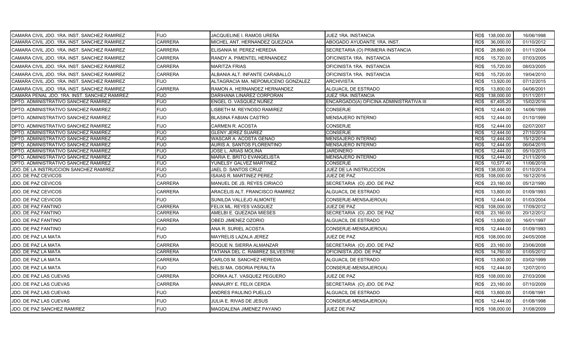| CAMARA CIVIL JDO. 1RA. INST. SANCHEZ RAMIREZ | <b>FIJO</b>    | JACQUELINE I. RAMOS UREÑA          | JUEZ 1RA. INSTANCIA                     | RD\$ 138,000.00 |            | 16/06/1998 |
|----------------------------------------------|----------------|------------------------------------|-----------------------------------------|-----------------|------------|------------|
| CAMARA CIVIL JDO. 1RA. INST. SANCHEZ RAMIREZ | CARRERA        | MICHEL ANT. HERNANDEZ QUEZADA      | ABOGADO AYUDANTE 1RA. INST.             | RD\$            | 36,000.00  | 01/10/2012 |
| CAMARA CIVIL JDO. 1RA. INST. SANCHEZ RAMIREZ | <b>CARRERA</b> | ELISANIA M. PEREZ HEREDIA          | SECRETARIA (O) PRIMERA INSTANCIA        | RD\$            | 28,860.00  | 01/11/2004 |
| CAMARA CIVIL JDO. 1RA. INST. SANCHEZ RAMIREZ | CARRERA        | RANDY A. PIMENTEL HERNANDEZ        | OFICINISTA 1RA. INSTANCIA               | RD\$            | 15,720.00  | 07/03/2005 |
| CAMARA CIVIL JDO. 1RA. INST. SANCHEZ RAMIREZ | <b>CARRERA</b> | <b>MARITZA FRIAS</b>               | OFICINISTA 1RA. INSTANCIA               | RD\$            | 15,720.00  | 08/03/2005 |
| CAMARA CIVIL JDO. 1RA. INST. SANCHEZ RAMIREZ | <b>CARRERA</b> | ALBANIA ALT. INFANTE CARABALLO     | OFICINISTA 1RA. INSTANCIA               | RD\$            | 15,720.00  | 19/04/2010 |
| CAMARA CIVIL JDO. 1RA. INST. SANCHEZ RAMIREZ | <b>FIJO</b>    | ALTAGRACIA MA. NEPOMUCENO GONZALEZ | <b>ARCHIVISTA</b>                       | RD\$            | 13,920.00  | 07/12/2015 |
| CAMARA CIVIL JDO. 1RA. INST. SANCHEZ RAMIREZ | <b>CARRERA</b> | RAMON A. HERNANDEZ HERNANDEZ       | ALGUACIL DE ESTRADO                     | RD\$            | 13,800.00  | 04/06/2001 |
| CAMARA PENAL JDO. 1RA. INST. SANCHEZ RAMIREZ | <b>FIJO</b>    | DARIHANA LINAREZ CORPORAN          | JUEZ 1RA. INSTANCIA                     | RD\$            | 138,000.00 | 01/11/2011 |
| DPTO. ADMINISTRATIVO SANCHEZ RAMIREZ         | <b>FIJO</b>    | ENGEL O. VASQUEZ NUÑEZ             | ENCARGADO(A) OFICINA ADMINISTRATIVA III | RD\$            | 67,405.20  | 15/02/2016 |
| DPTO. ADMINISTRATIVO SANCHEZ RAMIREZ         | <b>FIJO</b>    | ISBETH M. REYNOSO RAMIREZ          | <b>CONSERJE</b>                         | RD\$            | 12,444.00  | 14/06/1999 |
| DPTO. ADMINISTRATIVO SANCHEZ RAMIREZ         | <b>FIJO</b>    | <b>BLASINA FABIAN CASTRO</b>       | MENSAJERO INTERNO                       | RD\$            | 12,444.00  | 01/10/1999 |
| DPTO. ADMINISTRATIVO SANCHEZ RAMIREZ         | <b>FIJO</b>    | <b>CARMEN R. ACOSTA</b>            | CONSERJE                                | RD\$            | 12,444.00  | 02/07/2007 |
| DPTO. ADMINISTRATIVO SANCHEZ RAMIREZ         | <b>FIJO</b>    | <b>GLENY JEREZ SUAREZ</b>          | <b>CONSERJE</b>                         | RD\$            | 12,444.00  | 27/10/2014 |
| DPTO. ADMINISTRATIVO SANCHEZ RAMIREZ         | <b>FIJO</b>    | WASCAR A. ACOSTA GENAO             | <b>MENSAJERO INTERNO</b>                | RD\$            | 12,444.00  | 15/12/2014 |
| DPTO. ADMINISTRATIVO SANCHEZ RAMIREZ         | <b>FIJO</b>    | AURIS A. SANTOS FLORENTINO         | <b>MENSAJERO INTERNO</b>                | RD\$            | 12,444.00  | 06/04/2015 |
| DPTO. ADMINISTRATIVO SANCHEZ RAMIREZ         | <b>FIJO</b>    | JOSE L. ARIAS MOLINA               | <b>JARDINERO</b>                        | RD\$            | 12,444.00  | 05/10/2015 |
| DPTO. ADMINISTRATIVO SANCHEZ RAMIREZ         | <b>FIJO</b>    | MARIA E. BRITO EVANGELISTA         | <b>MENSAJERO INTERNO</b>                | RD\$            | 12,444.00  | 21/11/2016 |
| DPTO. ADMINISTRATIVO SANCHEZ RAMIREZ         | <b>FIJO</b>    | YUNELSY GALVEZ MARTINEZ            | <b>CONSERJE</b>                         | RD\$            | 10,577.40  | 11/06/2018 |
| JDO. DE LA INSTRUCCION SANCHEZ RAMIREZ       | <b>FIJO</b>    | JAEL D. SANTOS CRUZ                | JUEZ DE LA INSTRUCCION                  | RD\$            | 138,000.00 | 01/10/2014 |
| JDO. DE PAZ CEVICOS                          | <b>FIJO</b>    | <b>ISAIAS R. MARTINEZ PEREZ</b>    | JUEZ DE PAZ                             | RD\$            | 108,000.00 | 16/12/2016 |
| JDO. DE PAZ CEVICOS                          | <b>CARRERA</b> | MANUEL DE JS. REYES CIRIACO        | SECRETARIA (O) JDO. DE PAZ              | RD\$            | 23,160.00  | 05/12/1990 |
| JDO. DE PAZ CEVICOS                          | <b>CARRERA</b> | ARACELIS ALT. FRANCISCO RAMIREZ    | ALGUACIL DE ESTRADO                     | RD\$            | 13,800.00  | 01/09/1993 |
| JDO. DE PAZ CEVICOS                          | <b>FIJO</b>    | SUNILDA VALLEJO ALMONTE            | CONSERJE-MENSAJERO(A)                   | RD\$            | 12,444.00  | 01/03/2004 |
| JDO. DE PAZ FANTINO                          | <b>CARRERA</b> | <b>FELIX ML. REYES VASQUEZ</b>     | JUEZ DE PAZ                             | RD\$            | 108,000.00 | 17/09/2012 |
| JDO. DE PAZ FANTINO                          | CARRERA        | AMELBI E. QUEZADA MIESES           | SECRETARIA (O) JDO. DE PAZ              | RD\$            | 23,160.00  | 20/12/2012 |
| JDO. DE PAZ FANTINO                          | CARRERA        | OBED JIMENEZ OZORIO                | <b>ALGUACIL DE ESTRADO</b>              | RD\$            | 13,800.00  | 16/01/1997 |
| <b>JDO. DE PAZ FANTINO</b>                   | <b>FIJO</b>    | ANA R. SURIEL ACOSTA               | CONSERJE-MENSAJERO(A)                   | RD\$            | 12,444.00  | 01/09/1993 |
| JDO. DE PAZ LA MATA                          | <b>FIJO</b>    | <b>MAYRELIS LAZALA JEREZ</b>       | JUEZ DE PAZ                             | RD\$            | 108,000.00 | 24/05/2008 |
| JDO. DE PAZ LA MATA                          | <b>CARRERA</b> | ROQUE N. SIERRA ALMANZAR           | SECRETARIA (O) JDO. DE PAZ              | RD\$            | 23,160.00  | 23/06/2008 |
| JDO. DE PAZ LA MATA                          | <b>CARRERA</b> | TATIANA DEL C. RAMIREZ SILVESTRE   | OFICINISTA JDO. DE PAZ                  | RD\$            | 14,760.00  | 01/05/2012 |
| JDO. DE PAZ LA MATA                          | <b>CARRERA</b> | CARLOS M. SANCHEZ HEREDIA          | ALGUACIL DE ESTRADO                     | RD\$            | 13,800.00  | 03/02/1999 |
| JDO. DE PAZ LA MATA                          | <b>FIJO</b>    | NELSI MA. OSORIA PERALTA           | CONSERJE-MENSAJERO(A)                   | RD\$            | 12,444.00  | 12/07/2010 |
| JDO. DE PAZ LAS CUEVAS                       | <b>CARRERA</b> | DORKA ALT. VASQUEZ PEGUERO         | JUEZ DE PAZ                             | RD\$ 108,000.00 |            | 27/03/2006 |
| JDO. DE PAZ LAS CUEVAS                       | <b>CARRERA</b> | ANNAURY E. FELIX CERDA             | SECRETARIA (O) JDO. DE PAZ              | RD\$            | 23,160.00  | 07/10/2009 |
| JDO. DE PAZ LAS CUEVAS                       | <b>FIJO</b>    | ANDRES PAULINO PUELLO              | ALGUACIL DE ESTRADO                     | RD\$            | 13,800.00  | 01/08/1991 |
| JDO. DE PAZ LAS CUEVAS                       | <b>FIJO</b>    | JULIA E. RIVAS DE JESUS            | CONSERJE-MENSAJERO(A)                   | RD\$            | 12,444.00  | 01/08/1998 |
| JDO. DE PAZ SANCHEZ RAMIREZ                  | <b>FIJO</b>    | MAGDALENA JIMENEZ PAYANO           | <b>JUEZ DE PAZ</b>                      | RD\$ 108,000.00 |            | 31/08/2009 |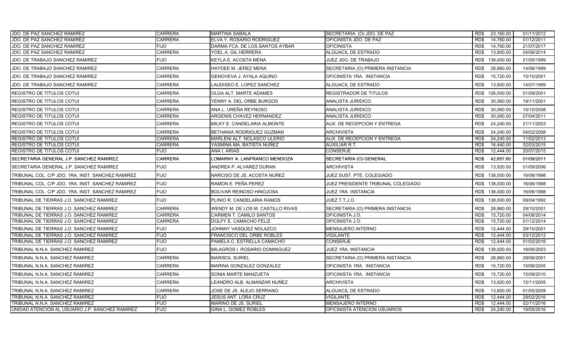| JDO. DE PAZ SANCHEZ RAMIREZ                       | <b>CARRERA</b> | <b>MARTINA SABALA</b>             | SECRETARIA (O) JDO. DE PAZ         | RD\$<br>23,160.00  | 01/11/2012 |
|---------------------------------------------------|----------------|-----------------------------------|------------------------------------|--------------------|------------|
| JDO. DE PAZ SANCHEZ RAMIREZ                       | <b>CARRERA</b> | ELVA Y. ROSARIO RODRIGUEZ         | OFICINISTA JDO. DE PAZ             | RD\$<br>14,760.00  | 01/12/2011 |
| JDO. DE PAZ SANCHEZ RAMIREZ                       | <b>FIJO</b>    | DARMA FCA. DE LOS SANTOS AYBAR    | OFICINISTA                         | 14,760.00<br>RD\$  | 21/07/2017 |
| JDO. DE PAZ SANCHEZ RAMIREZ                       | <b>CARRERA</b> | YOEL A. GIL HERRERA               | ALGUACIL DE ESTRADO                | 13,800.00<br>RD\$  | 24/06/2014 |
| JDO. DE TRABAJO SANCHEZ RAMIREZ                   | <b>FIJO</b>    | KEYLA E. ACOSTA MENA              | JUEZ JDO. DE TRABAJO               | RD\$<br>138,000.00 | 21/05/1999 |
| JDO. DE TRABAJO SANCHEZ RAMIREZ                   | <b>CARRERA</b> | HAYDEE M. JEREZ MENA              | SECRETARIA (O) PRIMERA INSTANCIA   | RD\$<br>28,860.00  | 14/06/1999 |
| JDO. DE TRABAJO SANCHEZ RAMIREZ                   | <b>CARRERA</b> | GENOVEVA J. AYALA AQUINO          | OFICINISTA 1RA. INSTANCIA          | RD\$<br>15,720.00  | 15/10/2001 |
| JDO. DE TRABAJO SANCHEZ RAMIREZ                   | CARRERA        | LAUDISEO E. LOPEZ SANCHEZ         | ALGUACIL DE ESTRADO                | RD\$<br>13,800.00  | 14/07/1999 |
| <b>REGISTRO DE TITULOS COTUI</b>                  | <b>CARRERA</b> | OLGA ALT. MARTE ADAMES            | REGISTRADOR DE TITULOS             | RD\$ 126,000.00    | 01/09/2001 |
| <b>REGISTRO DE TITULOS COTUI</b>                  | CARRERA        | YENNY A. DEL ORBE BURGOS          | ANALISTA JURIDICO                  | RD\$<br>30,060.00  | 19/11/2001 |
| IREGISTRO DE TITULOS COTUI                        | <b>CARRERA</b> | ANA L. UREÑA REYNOSO              | <b>ANALISTA JURIDICO</b>           | RD\$<br>30,060.00  | 15/10/2008 |
| <b>REGISTRO DE TITULOS COTUI</b>                  | <b>CARRERA</b> | ARGENIS CHAVEZ HERNANDEZ          | ANALISTA JURIDICO                  | RD\$<br>30,060.00  | 07/04/2011 |
| <b>REGISTRO DE TITULOS COTUI</b>                  | <b>CARRERA</b> | MILKY E. CANDELARIA ALMONTE       | AUX. DE RECEPCION Y ENTREGA        | RD\$<br>24,240.00  | 21/11/2003 |
| <b>REGISTRO DE TITULOS COTUI</b>                  | <b>CARRERA</b> | BETHANIA RODRIGUEZ GUZMAN         | <b>ARCHIVISTA</b>                  | RD\$<br>24,240.00  | 04/02/2008 |
| <b>REGISTRO DE TITULOS COTUI</b>                  | <b>CARRERA</b> | MARLENI ALT. NOLASCO ULERIO       | AUX. DE RECEPCION Y ENTREGA        | 24,240.00<br>RD\$  | 11/02/2013 |
| <b>REGISTRO DE TITULOS COTUI</b>                  | <b>CARRERA</b> | YASMINA MA. BATISTA NUÑEZ         | AUXILIAR R.T.                      | RD\$<br>16,440.00  | 02/03/2015 |
| <b>REGISTRO DE TITULOS COTUI</b>                  | <b>FIJO</b>    | ANA I. ARIAS                      | <b>CONSERJE</b>                    | 12,444.00<br>RD\$  | 20/07/2015 |
| SECRETARIA GENERAL J.P. SANCHEZ RAMIREZ           | <b>CARRERA</b> | LOMARNY A. LANFRANCO MENDOZA      | SECRETARIA (O) GENERAL             | RD\$<br>42,657.60  | 01/08/2011 |
| SECRETARIA GENERAL J.P. SANCHEZ RAMIREZ           | <b>FIJO</b>    | ANDREA P. ALVAREZ DURAN           | <b>ARCHIVISTA</b>                  | RD\$<br>13,920.00  | 01/09/2006 |
| TRIBUNAL COL. C/P JDO. 1RA. INST. SANCHEZ RAMIREZ | <b>FIJO</b>    | NARCISO DE JS. ACOSTA NUÑEZ       | JUEZ SUST. PTE. COLEGIADO          | RD\$ 138,000.00    | 16/06/1998 |
| TRIBUNAL COL. C/P JDO. 1RA. INST. SANCHEZ RAMIREZ | <b>FIJO</b>    | RAMON E. PEÑA PEREZ               | JUEZ PRESIDENTE TRIBUNAL COLEGIADO | RD\$ 138,000.00    | 16/06/1998 |
| TRIBUNAL COL. C/P JDO. 1RA. INST. SANCHEZ RAMIREZ | <b>FIJO</b>    | BOLIVAR REINOSO HINOJOSA          | JUEZ 1RA. INSTANCIA                | RD\$ 138,000.00    | 16/06/1998 |
| TRIBUNAL DE TIERRAS J.O. SANCHEZ RAMIREZ          | <b>FIJO</b>    | PLINIO R. CANDELARIA RAMOS        | JUEZ T.T.J.O.                      | RD\$ 138,000.00    | 09/04/1992 |
| TRIBUNAL DE TIERRAS J.O. SANCHEZ RAMIREZ          | <b>CARRERA</b> | WENDY M. DE LOS M. CASTILLO RIVAS | SECRETARIA (O) PRIMERA INSTANCIA   | RD\$<br>28,860.00  | 29/10/2001 |
| TRIBUNAL DE TIERRAS J.O. SANCHEZ RAMIREZ          | <b>CARRERA</b> | CARMEN T. CAMILO SANTOS           | OFICINISTA J.O.                    | RD\$<br>15,720.00  | 04/08/2014 |
| TRIBUNAL DE TIERRAS J.O. SANCHEZ RAMIREZ          | <b>CARRERA</b> | DOLFY E. CAMACHO FELIZ            | OFICINISTA J.O.                    | RD\$<br>15,720.00  | 01/12/2014 |
| TRIBUNAL DE TIERRAS J.O. SANCHEZ RAMIREZ          | <b>FIJO</b>    | JOHNNY VASQUEZ NOLAZCO            | <b>MENSAJERO INTERNO</b>           | RD\$<br>12,444.00  | 29/10/2001 |
| TRIBUNAL DE TIERRAS J.O. SANCHEZ RAMIREZ          | <b>FIJO</b>    | FRANCISCO DEL ORBE ROBLES         | VIGILANTE                          | 12.444.00<br>RD\$  | 03/12/2012 |
| TRIBUNAL DE TIERRAS J.O. SANCHEZ RAMIREZ          | <b>FIJO</b>    | PAMELA C. ESTRELLA CAMACHO        | <b>CONSERJE</b>                    | RD\$<br>12,444.00  | 01/02/2016 |
| TRIBUNAL N.N.A. SANCHEZ RAMIREZ                   | <b>FIJO</b>    | MILAGROS I. ROSARIO DOMINGUEZ     | JUEZ 1RA. INSTANCIA                | RD\$<br>138,000.00 | 18/06/2003 |
| TRIBUNAL N.N.A. SANCHEZ RAMIREZ                   | <b>CARRERA</b> | <b>MARISOL SURIEL</b>             | SECRETARIA (O) PRIMERA INSTANCIA   | RD\$<br>28,860.00  | 29/06/2001 |
| TRIBUNAL N.N.A. SANCHEZ RAMIREZ                   | CARRERA        | MARINA GONZALEZ GONZALEZ          | OFICINISTA 1RA. INSTANCIA          | 15,720.00<br>RD\$  | 15/06/2005 |
| TRIBUNAL N.N.A. SANCHEZ RAMIREZ                   | CARRERA        | SONIA MARTE MANZUETA              | OFICINISTA 1RA. INSTANCIA          | RD\$<br>15,720.00  | 15/09/2010 |
| TRIBUNAL N.N.A. SANCHEZ RAMIREZ                   | <b>CARRERA</b> | LEANDRO ALB. ALMANZAR NUÑEZ       | <b>ARCHIVISTA</b>                  | RD\$<br>13,920.00  | 15/11/2005 |
| TRIBUNAL N.N.A. SANCHEZ RAMIREZ                   | <b>CARRERA</b> | JOSE DE JS. ALEJO SERRANO         | ALGUACIL DE ESTRADO                | RD\$<br>13,800.00  | 01/05/2009 |
| TRIBUNAL N.N.A. SANCHEZ RAMIREZ                   | <b>FIJO</b>    | <b>JESUS ANT. LORA CRUZ</b>       | VIGILANTE                          | RD\$<br>12,444.00  | 29/02/2016 |
| TRIBUNAL N.N.A. SANCHEZ RAMIREZ                   | <b>FIJO</b>    | MARINO DE JS. SURIEL              | MENSAJERO INTERNO                  | 12,444.00<br>RD\$  | 02/11/2016 |
| UNIDAD ATENCION AL USUARIO J.P. SANCHEZ RAMIREZ   | <b>FIJO</b>    | GINA L. GOMEZ ROBLES              | OFICINISTA ATENCION USUARIOS       | RD\$<br>24,240.00  | 19/05/2016 |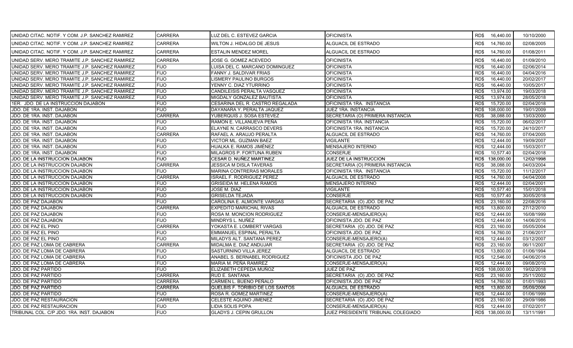| UNIDAD CITAC. NOTIF. Y COM. J.P. SANCHEZ RAMIREZ | <b>CARRERA</b> | LUZ DEL C. ESTEVEZ GARCIA        | <b>OFICINISTA</b>                  |      | RD\$ 16,440.00  | 10/10/2000 |
|--------------------------------------------------|----------------|----------------------------------|------------------------------------|------|-----------------|------------|
| UNIDAD CITAC. NOTIF. Y COM. J.P. SANCHEZ RAMIREZ | <b>CARRERA</b> | WILTON J. HIDALGO DE JESUS       | ALGUACIL DE ESTRADO                | RD\$ | 14,760.00       | 02/08/2005 |
| UNIDAD CITAC. NOTIF. Y COM. J.P. SANCHEZ RAMIREZ | <b>CARRERA</b> | <b>ESTALIN MENDEZ MOREL</b>      | ALGUACIL DE ESTRADO                | RD\$ | 14,760.00       | 01/08/2011 |
| UNIDAD SERV. MERO TRAMITE J.P. SANCHEZ RAMIREZ   | <b>CARRERA</b> | JOSE G. GOMEZ ACEVEDO            | <b>OFICINISTA</b>                  | RD\$ | 16,440.00       | 01/09/2010 |
| UNIDAD SERV. MERO TRAMITE J.P. SANCHEZ RAMIREZ   | <b>FIJO</b>    | LUISA DEL C. MARCANO DOMINGUEZ   | <b>OFICINISTA</b>                  | RD\$ | 16,440.00       | 02/06/2014 |
| UNIDAD SERV. MERO TRAMITE J.P. SANCHEZ RAMIREZ   | <b>FIJO</b>    | FANNY J. SALDIVAR FRIAS          | <b>OFICINISTA</b>                  | RD\$ | 16,440.00       | 04/04/2016 |
| UNIDAD SERV. MERO TRAMITE J.P. SANCHEZ RAMIREZ   | <b>FIJO</b>    | <b>LISMERY PAULINO BURGOS</b>    | <b>OFICINISTA</b>                  | RD\$ | 16,440.00       | 20/02/2017 |
| UNIDAD SERV. MERO TRAMITE J.P. SANCHEZ RAMIREZ   | <b>FIJO</b>    | YENNY C. DIAZ YTURRINO           | <b>OFICINISTA</b>                  | RD\$ | 16,440.00       | 10/05/2017 |
| UNIDAD SERV. MERO TRAMITE J.P. SANCHEZ RAMIREZ   | <b>FIJO</b>    | CANDILEISIS PERALTA VASQUEZ      | <b>OFICINISTA</b>                  | RD\$ | 13,974.00       | 19/03/2018 |
| UNIDAD SERV. MERO TRAMITE J.P. SANCHEZ RAMIREZ   | <b>FIJO</b>    | MIGDALY GONZALEZ BAUTISTA        | <b>OFICINISTA</b>                  | RD\$ | 13,974.00       | 28/05/2018 |
| 1ER. JDO. DE LA INSTRUCCION DAJABON              | <b>FIJO</b>    | CESARINA DEL R. CASTRO REGALADA  | OFICINISTA 1RA. INSTANCIA          | RD\$ | 15,720.00       | 02/04/2018 |
| JDO. DE 1RA. INST. DAJABON                       | <b>FIJO</b>    | DAYANARA Y. PERALTA JAQUEZ       | <b>JUEZ 1RA. INSTANCIA</b>         | RD\$ | 108,000.00      | 19/01/2009 |
| JDO. DE 1RA. INST. DAJABON                       | <b>CARRERA</b> | YUBERQUIS J. SOSA ESTEVEZ        | SECRETARIA (O) PRIMERA INSTANCIA   | RD\$ | 38,088.00       | 13/03/2000 |
| JDO. DE 1RA. INST. DAJABON                       | <b>FIJO</b>    | RAMON E. VILLANUEVA PEÑA         | OFICINISTA 1RA. INSTANCIA          | RD\$ | 15,720.00       | 06/02/2017 |
| JDO. DE 1RA. INST. DAJABON                       | <b>FIJO</b>    | ELAYNE N. CARRASCO DEVERS        | OFICINISTA 1RA. INSTANCIA          | RD\$ | 15,720.00       | 24/10/2017 |
| JDO. DE 1RA. INST. DAJABON                       | <b>CARRERA</b> | RAFAEL A. ARAUJO PERALTA         | ALGUACIL DE ESTRADO                | RD\$ | 14,760.00       | 07/04/2005 |
| JDO. DE 1RA. INST. DAJABON                       | <b>FIJO</b>    | VICTOR ML. GUZMAN BAEZ           | <b>VIGILANTE</b>                   | RD\$ | 12,444.00       | 19/09/2007 |
| JDO. DE 1RA. INST. DAJABON                       | <b>FIJO</b>    | HUALKA E. RAMOS JIMÉNEZ          | MENSAJERO INTERNO                  | RD\$ | 12,444.00       | 15/03/2017 |
| JDO. DE 1RA. INST. DAJABON                       | <b>FIJO</b>    | MILAGROS P. FORTUNA RUBEN        | CONSERJE                           | RD\$ | 10,577.40       | 02/04/2018 |
| JDO. DE LA INSTRUCCION DAJABON                   | <b>FIJO</b>    | CESAR D. NUÑEZ MARTINEZ          | JUEZ DE LA INSTRUCCION             | RD\$ | 138,000.00      | 12/02/1998 |
| JDO. DE LA INSTRUCCION DAJABON                   | <b>CARRERA</b> | <b>JESSICA M DISLA TAVERAS</b>   | SECRETARIA (O) PRIMERA INSTANCIA   | RD\$ | 38,088.00       | 04/03/2004 |
| JDO. DE LA INSTRUCCION DAJABON                   | <b>FIJO</b>    | MARINA CONTRERAS MORALES         | OFICINISTA 1RA. INSTANCIA          | RD\$ | 15,720.00       | 11/12/2017 |
| JDO. DE LA INSTRUCCION DAJABON                   | <b>CARRERA</b> | <b>ISRAEL F. RODRIGUEZ PEREZ</b> | ALGUACIL DE ESTRADO                | RD\$ | 14,760.00       | 04/04/2008 |
| JDO. DE LA INSTRUCCION DAJABON                   | <b>FIJO</b>    | <b>GRISEIDA M. HELENA RAMOS</b>  | MENSAJERO INTERNO                  | RD\$ | 12,444.00       | 02/04/2001 |
| JDO. DE LA INSTRUCCION DAJABON                   | <b>FIJO</b>    | JOSE M. DIAZ                     | VIGILANTE                          | RD\$ | 10,577.40       | 15/01/2018 |
| JDO. DE LA INSTRUCCION DAJABON                   | <b>FIJO</b>    | <b>GRISELDA TEJADA</b>           | CONSERJE                           | RD\$ | 10,577.40       | 30/05/2018 |
| JDO. DE PAZ DAJABON                              | <b>FIJO</b>    | CAROLINA E. ALMONTE VARGAS       | SECRETARIA (O) JDO. DE PAZ         | RD\$ | 23,160.00       | 22/08/2016 |
| <b>JDO. DE PAZ DAJABON</b>                       | <b>CARRERA</b> | <b>EXPEDITO MARICHAL RIVAS</b>   | ALGUACIL DE ESTRADO                | RD\$ | 13,800.00       | 27/12/2010 |
| JDO. DE PAZ DAJABON                              | <b>FIJO</b>    | ROSA M. MONCION RODRIGUEZ        | CONSERJE-MENSAJERO(A)              | RD\$ | 12,444.00       | 16/08/1999 |
| JDO. DE PAZ DAJABON                              | <b>FIJO</b>    | MINDRYS L. NUÑEZ                 | OFICINISTA JDO. DE PAZ             | RD\$ | 12,444.00       | 14/06/2016 |
| JDO. DE PAZ EL PINO                              | <b>CARRERA</b> | YOKASTA E. LOMBERT VARGAS        | SECRETARIA (O) JDO. DE PAZ         | RD\$ | 23,160.00       | 05/05/2004 |
| JDO. DE PAZ EL PINO                              | <b>FIJO</b>    | <b>EMMANUEL ESPINAL PERALTA</b>  | OFICINISTA JDO. DE PAZ             | RD\$ | 14,760.00       | 21/06/2017 |
| JDO. DE PAZ EL PINO                              | <b>FIJO</b>    | MILADYS ALT. SANTANA PEREZ       | CONSERJE-MENSAJERO(A)              | RD\$ | 12,444.00       | 03/12/2007 |
| JDO. DE PAZ LOMA DE CABRERA                      | <b>CARRERA</b> | MIDALMA E. DIAZ ANDUJAR          | SECRETARIA (O) JDO. DE PAZ         | RD\$ | 23,160.00       | 06/11/2007 |
| JDO. DE PAZ LOMA DE CABRERA                      | <b>FIJO</b>    | <b>SASTURNINO VILLA JEREZ</b>    | ALGUACIL DE ESTRADO                | RD\$ | 13,800.00       | 01/06/1994 |
| JDO. DE PAZ LOMA DE CABRERA                      | <b>FIJO</b>    | ANABEL S. BERNABEL RODRIGUEZ     | OFICINISTA JDO. DE PAZ             | RD\$ | 12,546.00       | 04/06/2018 |
| JDO. DE PAZ LOMA DE CABRERA                      | <b>FIJO</b>    | MARIA M. PEÑA RAMIREZ            | CONSERJE-MENSAJERO(A)              | RD\$ | 12,444.00       | 09/08/2010 |
| <b>JDO. DE PAZ PARTIDO</b>                       | <b>FIJO</b>    | ELIZABETH CEPEDA MUÑOZ           | JUEZ DE PAZ                        | RD\$ | 108,000.00      | 19/02/2018 |
| JDO. DE PAZ PARTIDO                              | <b>CARRERA</b> | RUD E. SANTANA                   | SECRETARIA (O) JDO. DE PAZ         | RD\$ | 23,160.00       | 25/11/2002 |
| JDO. DE PAZ PARTIDO                              | <b>CARRERA</b> | CARMEN L. BUENO PEÑALO           | OFICINISTA JDO. DE PAZ             | RD\$ | 14,760.00       | 01/01/1993 |
| JDO. DE PAZ PARTIDO                              | <b>CARRERA</b> | QUELBIS F. TORIBIO DE LOS SANTOS | ALGUACIL DE ESTRADO                | RD\$ | 13,800.00       | 05/09/2006 |
| JDO. DE PAZ PARTIDO                              | <b>FIJO</b>    | ROSA R. GOMEZ MARTINEZ           | CONSERJE-MENSAJERO(A)              | RD\$ | 12,444.00       | 01/06/1999 |
| JDO. DE PAZ RESTAURACION                         | <b>CARRERA</b> | CELESTE AQUINO JIMENEZ           | SECRETARIA (O) JDO. DE PAZ         | RD\$ | 23,160.00       | 29/09/1986 |
| JDO. DE PAZ RESTAURACION                         | <b>FIJO</b>    | LIDIA SOLIS POPA                 | CONSERJE-MENSAJERO(A)              | RD\$ | 12,444.00       | 07/02/2017 |
| TRIBUNAL COL. C/P JDO. 1RA. INST. DAJABON        | <b>FIJO</b>    | <b>GLADYS J. CEPIN GRULLON</b>   | JUEZ PRESIDENTE TRIBUNAL COLEGIADO |      | RD\$ 138,000.00 | 13/11/1991 |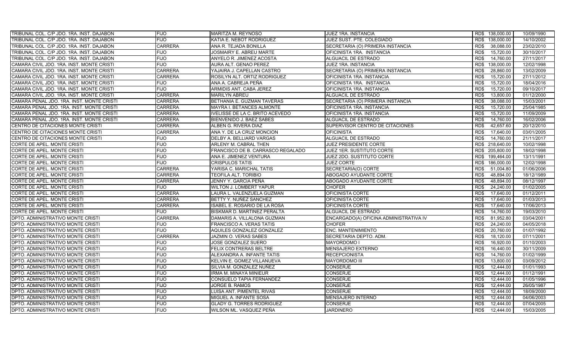| TRIBUNAL COL. C/P JDO. 1RA. INST. DAJABON | <b>FIJO</b>    | MARITZA M. REYNOSO                     | JUEZ 1RA. INSTANCIA                    | RD\$ 138,000.00    | 10/09/1990 |
|-------------------------------------------|----------------|----------------------------------------|----------------------------------------|--------------------|------------|
| TRIBUNAL COL. C/P JDO. 1RA. INST. DAJABON | <b>FIJO</b>    | KATIA E. NEBOT RODRIGUEZ               | JUEZ SUST. PTE. COLEGIADO              | RD\$ 138,000.00    | 14/10/2002 |
| TRIBUNAL COL. C/P JDO. 1RA. INST. DAJABON | <b>CARRERA</b> | ANA R. TEJADA BONILLA                  | SECRETARIA (O) PRIMERA INSTANCIA       | 38,088.00<br>RD\$  | 23/02/2010 |
| TRIBUNAL COL. C/P JDO. 1RA. INST. DAJABON | <b>FIJO</b>    | JOSMAIRY E. ABREU MARTE                | OFICINISTA 1RA. INSTANCIA              | RD\$<br>15,720.00  | 30/10/2017 |
| TRIBUNAL COL. C/P JDO. 1RA. INST. DAJABON | <b>FIJO</b>    | ANYELO R. JIMENEZ ACOSTA               | <b>ALGUACIL DE ESTRADO</b>             | 14,760.00<br>RD\$  | 27/11/2017 |
| CAMARA CIVIL JDO. 1RA. INST. MONTE CRISTI | <b>FIJO</b>    | AURA ALT. GENAO PEREZ                  | JUEZ 1RA. INSTANCIA                    | 138,000.00<br>RD\$ | 12/02/1998 |
| CAMARA CIVIL JDO. 1RA. INST. MONTE CRISTI | <b>CARRERA</b> | YAJAIRA J. CAPELLAN CASTRO             | SECRETARIA (O) PRIMERA INSTANCIA       | 28,860.00<br>RD\$  | 13/02/2009 |
| CAMARA CIVIL JDO. 1RA. INST. MONTE CRISTI | <b>CARRERA</b> | ROSILYN ALT. ORTIZ RODRIGUEZ           | OFICINISTA 1RA. INSTANCIA              | 15,720.00<br>RD\$  | 27/11/2012 |
| CAMARA CIVIL JDO. 1RA. INST. MONTE CRISTI | <b>FIJO</b>    | ANA A. CABREJA PEÑA                    | OFICINISTA 1RA. INSTANCIA              | 15.720.00<br>RD\$  | 18/04/2016 |
| CAMARA CIVIL JDO. 1RA. INST. MONTE CRISTI | <b>FIJO</b>    | ARMIDIS ANT. CABA JEREZ                | OFICINISTA 1RA. INSTANCIA              | RD\$<br>15,720.00  | 09/10/2017 |
| CAMARA CIVIL JDO. 1RA. INST. MONTE CRISTI | <b>CARRERA</b> | <b>MARILYN ABREU</b>                   | ALGUACIL DE ESTRADO                    | RD\$<br>13,800.00  | 01/12/2000 |
| CAMARA PENAL JDO. 1RA. INST. MONTE CRISTI | <b>CARRERA</b> | BETHANIA E. GUZMAN TAVERAS             | SECRETARIA (O) PRIMERA INSTANCIA       | RD\$<br>38.088.00  | 15/03/2001 |
| CAMARA PENAL JDO. 1RA. INST. MONTE CRISTI | <b>CARRERA</b> | MAYRA I. BETANCES ALMONTE              | OFICINISTA 1RA. INSTANCIA              | RD\$<br>15,720.00  | 25/04/1985 |
| CAMARA PENAL JDO. 1RA. INST. MONTE CRISTI | <b>CARRERA</b> | <b>IVELISSE DE LA C. BRITO ACEVEDO</b> | OFICINISTA 1RA. INSTANCIA              | RD\$<br>15,720.00  | 11/09/2009 |
| CAMARA PENAL JDO. 1RA. INST. MONTE CRISTI | <b>CARRERA</b> | BIENVENIDO J. BAEZ SABES               | ALGUACIL DE ESTRADO                    | RD\$<br>14,760.00  | 16/02/2006 |
| CENTRO DE CITACIONES MONTE CRISTI         | <b>CARRERA</b> | ALBEN G. RIVERA DIAZ                   | SUPERVISOR CENTRO DE CITACIONES        | 42,657.60<br>RD\$  | 20/12/2010 |
| CENTRO DE CITACIONES MONTE CRISTI         | <b>CARRERA</b> | ANA Y. DE LA CRUZ MONCION              | <b>OFICINISTA</b>                      | RD\$<br>17,640.00  | 03/01/2005 |
| CENTRO DE CITACIONES MONTE CRISTI         | <b>FIJO</b>    | DELBY A. BELLIARD VARGAS               | ALGUACIL DE ESTRADO                    | 14,760.00<br>RD\$  | 21/11/2017 |
| CORTE DE APEL. MONTE CRISTI               | <b>FIJO</b>    | ARLENY M. CABRAL THEN                  | JUEZ PRESIDENTE CORTE                  | RD\$<br>218,640.00 | 10/02/1998 |
| CORTE DE APEL. MONTE CRISTI               | <b>FIJO</b>    | FRANCISCO DE B. CARRASCO REGALADO      | <b>JUEZ 1ER. SUSTITUTO CORTE</b>       | RD\$ 205,800.00    | 18/02/1998 |
| CORTE DE APEL. MONTE CRISTI               | <b>FIJO</b>    | ANA E. JIMENEZ VENTURA                 | JUEZ 2DO. SUSTITUTO CORTE              | 199,464.00<br>RD\$ | 13/11/1991 |
| CORTE DE APEL. MONTE CRISTI               | <b>FIJO</b>    | <b>CRISPULOS TATIS</b>                 | <b>JUEZ CORTE</b>                      | 186,000.00<br>RD\$ | 12/02/1998 |
| CORTE DE APEL. MONTE CRISTI               | <b>CARRERA</b> | YARISA C. MARICHAL TATIS               | SECRETARIA(O) CORTE                    | RD\$<br>51,004.80  | 01/06/2006 |
| CORTE DE APEL. MONTE CRISTI               | <b>CARRERA</b> | TEOFILA ALT. TORIBIO                   | ABOGADO AYUDANTE CORTE                 | 48.894.00<br>RD\$  | 18/12/1989 |
| CORTE DE APEL. MONTE CRISTI               | <b>CARRERA</b> | JENNY Y. GARCIA PEÑA                   | <b>ABOGADO AYUDANTE CORTE</b>          | 48.894.00<br>RD\$  | 08/12/1997 |
| CORTE DE APEL. MONTE CRISTI               | <b>FIJO</b>    | WILTON J. LOMBERT YAPUR                | <b>CHOFER</b>                          | 24,240.00<br>RD\$  | 01/02/2005 |
| <b>CORTE DE APEL. MONTE CRISTI</b>        | <b>CARRERA</b> | LAURA L. VALENZUELA GUZMAN             | OFICINISTA CORTE                       | RD\$<br>17.640.00  | 01/12/2011 |
| CORTE DE APEL. MONTE CRISTI               | <b>CARRERA</b> | BETTY Y. NUÑEZ SANCHEZ                 | OFICINISTA CORTE                       | RD\$<br>17,640.00  | 01/03/2013 |
| CORTE DE APEL. MONTE CRISTI               | <b>CARRERA</b> | ISABEL E. ROSARIO DE LA ROSA           | OFICINISTA CORTE                       | 17.640.00<br>RD\$  | 17/06/2013 |
| CORTE DE APEL. MONTE CRISTI               | <b>FIJO</b>    | BISKMAR D. MARTINEZ PERALTA            | ALGUACIL DE ESTRADO                    | RD\$<br>14,760.00  | 19/03/2010 |
| DPTO. ADMINISTRATIVO MONTE CRISTI         | <b>CARRERA</b> | DAMARIS A. VILLALONA GUZMAN            | ENCARGADO(A) OFICINA ADMINISTRATIVA IV | RD\$<br>81,952.80  | 03/04/2001 |
| DPTO. ADMINISTRATIVO MONTE CRISTI         | <b>FIJO</b>    | FRANCISCO A. VERAS TATIS               | <b>CHOFER</b>                          | RD\$<br>24,240.00  | 04/05/2018 |
| DPTO. ADMINISTRATIVO MONTE CRISTI         | <b>FIJO</b>    | AQUILES GONZALEZ GONZALEZ              | ENC. MANTENIMIENTO                     | RD\$<br>20,760.00  | 01/07/1992 |
| DPTO. ADMINISTRATIVO MONTE CRISTI         | <b>CARRERA</b> | JAZMIN O. VERAS SABES                  | SECRETARIA DEPTO. ADM.                 | RD\$<br>18,120.00  | 07/11/2001 |
| DPTO. ADMINISTRATIVO MONTE CRISTI         | <b>FIJO</b>    | JOSE GONZALEZ SUERO                    | MAYORDOMO I                            | 16,920.00<br>RD\$  | 01/10/2003 |
| DPTO. ADMINISTRATIVO MONTE CRISTI         | <b>FIJO</b>    | FELIX CONTRERAS BELTRE                 | MENSAJERO EXTERNO                      | RD\$<br>16,440.00  | 30/11/2009 |
| DPTO. ADMINISTRATIVO MONTE CRISTI         | <b>FIJO</b>    | ALEXANDRA A. INFANTE TATIS             | RECEPCIONISTA                          | 14,760.00<br>RD\$  | 01/02/1999 |
| DPTO. ADMINISTRATIVO MONTE CRISTI         | <b>FIJO</b>    | KELVIN E. GOMEZ VILLANUEVA             | <b>MAYORDOMO III</b>                   | RD\$<br>13,800.00  | 03/09/2012 |
| DPTO. ADMINISTRATIVO MONTE CRISTI         | <b>FIJO</b>    | SILVIA M. GONZALEZ NUÑEZ               | CONSERJE                               | RD\$<br>12,444.00  | 01/01/1993 |
| DPTO. ADMINISTRATIVO MONTE CRISTI         | <b>FIJO</b>    | IRMA M. MINAYA MINIEUR                 | <b>CONSERJE</b>                        | RD\$<br>12.444.00  | 01/12/1991 |
| DPTO. ADMINISTRATIVO MONTE CRISTI         | <b>FIJO</b>    | CONSUELO TAPIA FERNANDEZ               | <b>CONSERJE</b>                        | RD\$<br>12,444.00  | 01/05/1996 |
| DPTO. ADMINISTRATIVO MONTE CRISTI         | <b>FIJO</b>    | JORGE B. RAMOS                         | <b>CONSERJE</b>                        | 12.444.00<br>RD\$  | 26/05/1987 |
| DPTO. ADMINISTRATIVO MONTE CRISTI         | <b>FIJO</b>    | LUISA ANT. PIMENTEL RIVAS              | <b>CONSERJE</b>                        | RD\$<br>12,444.00  | 18/09/2000 |
| DPTO. ADMINISTRATIVO MONTE CRISTI         | <b>FIJO</b>    | MIGUEL A. INFANTE SOSA                 | MENSAJERO INTERNO                      | RD\$<br>12.444.00  | 04/06/2003 |
| DPTO. ADMINISTRATIVO MONTE CRISTI         | <b>FIJO</b>    | <b>GLADY G. TORRES RODRIGUEZ</b>       | <b>CONSERJE</b>                        | 12,444.00<br>RD\$  | 07/04/2005 |
| DPTO. ADMINISTRATIVO MONTE CRISTI         | <b>FIJO</b>    | WILSON ML. VASQUEZ PEÑA                | <b>JARDINERO</b>                       | RD\$<br>12,444.00  | 15/03/2005 |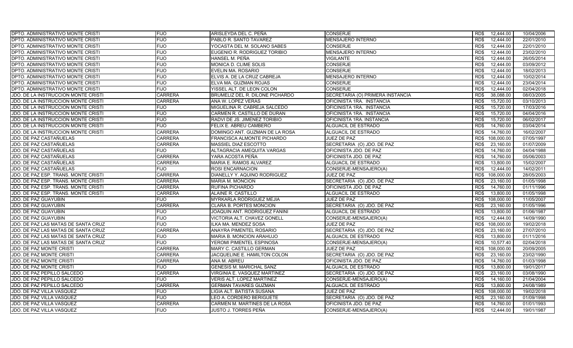| <b>DPTO. ADMINISTRATIVO MONTE CRISTI</b> | <b>FIJO</b>    | ARISLEYDA DEL C. PEÑA            | <b>CONSERJE</b>                  | 12,444.00<br>RD\$  | 10/04/2006 |
|------------------------------------------|----------------|----------------------------------|----------------------------------|--------------------|------------|
| <b>DPTO. ADMINISTRATIVO MONTE CRISTI</b> | <b>FIJO</b>    | PABLO R. SANTO TAVAREZ           | MENSAJERO INTERNO                | RD\$<br>12,444.00  | 22/01/2010 |
| DPTO. ADMINISTRATIVO MONTE CRISTI        | <b>FIJO</b>    | YOCASTA DEL M. SOLANO SABES      | <b>CONSERJE</b>                  | RD\$<br>12,444.00  | 22/01/2010 |
| DPTO. ADMINISTRATIVO MONTE CRISTI        | <b>FIJO</b>    | EUGENIO R. RODRIGUEZ TORIBIO     | <b>MENSAJERO INTERNO</b>         | RD\$<br>12,444.00  | 23/02/2010 |
| <b>DPTO. ADMINISTRATIVO MONTE CRISTI</b> | <b>FIJO</b>    | HANSEL M. PEÑA                   | VIGILANTE                        | RD\$<br>12,444.00  | 26/05/2014 |
| DPTO. ADMINISTRATIVO MONTE CRISTI        | <b>FIJO</b>    | MONICA D. CLIME SOLIS            | <b>CONSERJE</b>                  | 12.444.00<br>RD\$  | 03/09/2012 |
| DPTO. ADMINISTRATIVO MONTE CRISTI        | <b>FIJO</b>    | EVELIN MA. ROSARIO               | <b>CONSERJE</b>                  | RD\$<br>12.444.00  | 18/02/2013 |
| DPTO. ADMINISTRATIVO MONTE CRISTI        | <b>FIJO</b>    | ELVIS A. DE LA CRUZ CABREJA      | <b>MENSAJERO INTERNO</b>         | 12.444.00<br>RD\$  | 10/02/2014 |
| DPTO. ADMINISTRATIVO MONTE CRISTI        | <b>FIJO</b>    | ELVA MA. GUZMAN ROJAS            | <b>CONSERJE</b>                  | 12,444.00<br>RD\$  | 23/04/2014 |
| DPTO. ADMINISTRATIVO MONTE CRISTI        | <b>FIJO</b>    | YISSEL ALT. DE LEON COLON        | <b>CONSERJE</b>                  | RD\$<br>12.444.00  | 02/04/2018 |
| JDO. DE LA INSTRUCCION MONTE CRISTI      | <b>CARRERA</b> | BRUMELIZ DEL R. DILONE PICHARDO  | SECRETARIA (O) PRIMERA INSTANCIA | 38,088.00<br>RD\$  | 08/03/2005 |
| JDO. DE LA INSTRUCCION MONTE CRISTI      | <b>CARRERA</b> | ANA W. LOPEZ VERAS               | OFICINISTA 1RA. INSTANCIA        | RD\$<br>15,720.00  | 03/10/2013 |
| JDO. DE LA INSTRUCCION MONTE CRISTI      | <b>FIJO</b>    | MIGUELINA R. CABREJA SALCEDO     | OFICINISTA 1RA. INSTANCIA        | RD\$<br>15,720.00  | 17/03/2016 |
| JDO. DE LA INSTRUCCION MONTE CRISTI      | <b>FIJO</b>    | CARMEN R. CASTILLO DE DURAN      | OFICINISTA 1RA. INSTANCIA        | 15,720.00<br>RD\$  | 04/04/2016 |
| JDO. DE LA INSTRUCCION MONTE CRISTI      | <b>FIJO</b>    | RADVI DE JS. JIMENEZ TORIBIO     | OFICINISTA 1RA. INSTANCIA        | RD\$<br>15,720.00  | 06/02/2017 |
| JDO. DE LA INSTRUCCION MONTE CRISTI      | <b>FIJO</b>    | FELIX E. ABREU CAMBERO           | <b>ALGUACIL DE ESTRADO</b>       | 14,760.00<br>RD\$  | 03/04/2014 |
| JDO. DE LA INSTRUCCION MONTE CRISTI      | <b>CARRERA</b> | DOMINGO ANT. GUZMAN DE LA ROSA   | <b>ALGUACIL DE ESTRADO</b>       | RD\$<br>14,760.00  | 16/02/2007 |
| JDO. DE PAZ CASTAÑUELAS                  | <b>CARRERA</b> | FRANCISCA ALMONTE PICHARDO       | JUEZ DE PAZ                      | 108.000.00<br>RD\$ | 07/05/1997 |
| JDO. DE PAZ CASTAÑUELAS                  | <b>CARRERA</b> | MASSIEL DIAZ ESCOTTO             | SECRETARIA (O) JDO. DE PAZ       | RD\$<br>23,160.00  | 01/07/2009 |
| JDO. DE PAZ CASTAÑUELAS                  | <b>FIJO</b>    | ALTAGRACIA AMEQUITA VARGAS       | OFICINISTA JDO. DE PAZ           | 14,760.00<br>RD\$  | 04/04/1988 |
| JDO. DE PAZ CASTAÑUELAS                  | <b>CARRERA</b> | YARA ACOSTA PEÑA                 | OFICINISTA JDO. DE PAZ           | RD\$<br>14,760.00  | 05/06/2003 |
| JDO. DE PAZ CASTAÑUELAS                  | <b>CARRERA</b> | MARIA E. RAMOS ALVAREZ           | ALGUACIL DE ESTRADO              | 13,800.00<br>RD\$  | 15/02/2007 |
| JDO. DE PAZ CASTAÑUELAS                  | <b>FIJO</b>    | <b>ROSI ENCARNACION</b>          | CONSERJE-MENSAJERO(A)            | RD\$<br>12,444.00  | 14/02/2011 |
| JDO. DE PAZ ESP. TRANS. MONTE CRISTI     | <b>CARRERA</b> | DIANELLY Y. AQUINO RODRIGUEZ     | JUEZ DE PAZ                      | RD\$<br>108,000.00 | 28/05/2003 |
| JDO. DE PAZ ESP. TRANS. MONTE CRISTI     | <b>CARRERA</b> | MARIA M. MONCION                 | SECRETARIA (O) JDO. DE PAZ       | RD\$<br>23,160.00  | 01/05/1998 |
| JDO. DE PAZ ESP. TRANS. MONTE CRISTI     | <b>CARRERA</b> | RUFINA PICHARDO                  | OFICINISTA JDO. DE PAZ           | RD\$<br>14,760.00  | 01/11/1996 |
| JDO. DE PAZ ESP. TRANS. MONTE CRISTI     | <b>CARRERA</b> | ALAINE R. CASTILLO               | ALGUACIL DE ESTRADO              | 13,800.00<br>RD\$  | 01/05/1998 |
| JDO. DE PAZ GUAYUBIN                     | <b>FIJO</b>    | MYRKARLA RODRIGUEZ MEJIA         | JUEZ DE PAZ                      | RD\$<br>108,000.00 | 11/05/2007 |
| JDO. DE PAZ GUAYUBIN                     | <b>CARRERA</b> | CLARA B. PORTES MONCION          | SECRETARIA (O) JDO. DE PAZ       | 23,160.00<br>RD\$  | 01/05/1996 |
| <b>JDO. DE PAZ GUAYUBIN</b>              | <b>FIJO</b>    | JOAQUIN ANT. RODRIGUEZ FANINI    | ALGUACIL DE ESTRADO              | 13.800.00<br>RD\$  | 01/06/1987 |
| JDO. DE PAZ GUAYUBIN                     | <b>FIJO</b>    | VICTORIA ALT. CHAVEZ GONELL      | CONSERJE-MENSAJERO(A)            | RD\$<br>12.444.00  | 14/09/1990 |
| JDO. DE PAZ LAS MATAS DE SANTA CRUZ      | <b>FIJO</b>    | ILKA MA. MENDEZ SOSA             | <b>JUEZ DE PAZ</b>               | RD\$<br>108,000.00 | 19/02/2018 |
| JDO. DE PAZ LAS MATAS DE SANTA CRUZ      | <b>CARRERA</b> | ANAYRA PIMENTEL ROSARIO          | SECRETARIA (O) JDO. DE PAZ       | RD\$<br>23,160.00  | 27/07/2010 |
| JDO. DE PAZ LAS MATAS DE SANTA CRUZ      | <b>FIJO</b>    | MARIA B. MONCION ARAHUJO         | ALGUACIL DE ESTRADO              | RD\$<br>13,800.00  | 01/11/2016 |
| JDO. DE PAZ LAS MATAS DE SANTA CRUZ      | <b>FIJO</b>    | YEROMI PIMENTEL ESPINOSA         | CONSERJE-MENSAJERO(A)            | 10,577.40<br>RD\$  | 02/04/2018 |
| JDO. DE PAZ MONTE CRISTI                 | <b>CARRERA</b> | MARY C. CASTILLO GERMAN          | <b>JUEZ DE PAZ</b>               | RD\$<br>108,000.00 | 20/09/2005 |
| <b>JDO. DE PAZ MONTE CRISTI</b>          | <b>CARRERA</b> | JACQUELINE E. HAMILTON COLON     | SECRETARIA (O) JDO. DE PAZ       | 23,160.00<br>RD\$  | 23/02/1990 |
| JDO. DE PAZ MONTE CRISTI                 | <b>CARRERA</b> | ANA M. ABREU                     | OFICINISTA JDO. DE PAZ           | RD\$<br>14,760.00  | 01/03/1998 |
| JDO. DE PAZ MONTE CRISTI                 | <b>FIJO</b>    | <b>GENESIS M. MARICHAL SANZ</b>  | ALGUACIL DE ESTRADO              | 13,800.00<br>RD\$  | 19/01/2017 |
| JDO. DE PAZ PEPILLO SALCEDO              | <b>CARRERA</b> | VIRGINIA E. VASQUEZ MARTINEZ     | SECRETARIA (O) JDO. DE PAZ       | RD\$<br>23,160.00  | 03/08/1990 |
| JDO. DE PAZ PEPILLO SALCEDO              | <b>FIJO</b>    | <b>VERIS ALT. LOPEZ MARTINEZ</b> | CONSERJE-MENSAJERO(A)            | RD\$<br>14,160.00  | 21/04/2004 |
| JDO. DE PAZ PEPILLO SALCEDO              | <b>CARRERA</b> | <b>GERMAN TAVARES GUZMAN</b>     | ALGUACIL DE ESTRADO              | RD\$<br>13,800.00  | 24/08/1989 |
| JDO. DE PAZ VILLA VASQUEZ                | <b>FIJO</b>    | LIGIA ALT. BATISTA SUSANA        | JUEZ DE PAZ                      | 108,000.00<br>RD\$ | 19/02/2018 |
| JDO. DE PAZ VILLA VASQUEZ                | <b>FIJO</b>    | LEO A. CORDERO BERIGUETE         | SECRETARIA (O) JDO. DE PAZ       | RD\$<br>23,160.00  | 01/09/1998 |
| JDO. DE PAZ VILLA VASQUEZ                | <b>CARRERA</b> | CARMEN M. MARTINES DE LA ROSA    | OFICINISTA JDO. DE PAZ           | 14,760.00<br>RD\$  | 01/01/1993 |
| JDO. DE PAZ VILLA VASQUEZ                | <b>FIJO</b>    | JUSTO J. TORRES PEÑA             | CONSERJE-MENSAJERO(A)            | RD\$<br>12.444.00  | 19/01/1987 |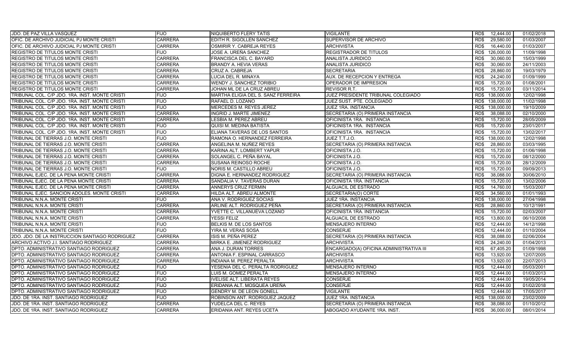| JDO. DE PAZ VILLA VASQUEZ                      | <b>FIJO</b>    | <b>NIQUIBERTO FLERY TATIS</b>      | <b>VIGILANTE</b>                        | 12,444.00<br>RD\$  | 01/02/2018 |
|------------------------------------------------|----------------|------------------------------------|-----------------------------------------|--------------------|------------|
| OFIC. DE ARCHIVO JUDICIAL PJ MONTE CRISTI      | <b>CARRERA</b> | EDITH R. SIGOLLEN SANCHEZ          | SUPERVISOR DE ARCHIVO                   | RD\$<br>29,580.00  | 01/03/2007 |
| OFIC. DE ARCHIVO JUDICIAL PJ MONTE CRISTI      | <b>CARRERA</b> | OSMIRIR Y. CABREJA REYES           | <b>ARCHIVISTA</b>                       | RD\$<br>16,440.00  | 01/03/2007 |
| <b>REGISTRO DE TITULOS MONTE CRISTI</b>        | <b>FIJO</b>    | JOSE A. UREÑA SANCHEZ              | <b>REGISTRADOR DE TITULOS</b>           | 126,000.00<br>RD\$ | 11/09/1998 |
| <b>REGISTRO DE TITULOS MONTE CRISTI</b>        | <b>CARRERA</b> | FRANCISCA DEL C. BAYARD            | ANALISTA JURIDICO                       | RD\$<br>30,060.00  | 15/03/1999 |
| REGISTRO DE TITULOS MONTE CRISTI               | <b>CARRERA</b> | <b>BRANDY A. HEVIA VERAS</b>       | ANALISTA JURIDICO                       | RD\$<br>30,060.00  | 24/11/2003 |
| <b>REGISTRO DE TITULOS MONTE CRISTI</b>        | <b>CARRERA</b> | CRUZ A. CABREJA                    | <b>SECRETARIA</b>                       | RD\$<br>28,860.00  | 19/03/1979 |
| <b>REGISTRO DE TITULOS MONTE CRISTI</b>        | <b>CARRERA</b> | LUCIA DEL R. MINAYA                | AUX. DE RECEPCION Y ENTREGA             | RD\$<br>24,240.00  | 01/09/1999 |
| <b>REGISTRO DE TITULOS MONTE CRISTI</b>        | <b>CARRERA</b> | WENDY J. SANCHEZ TORIBIO           | OPERADOR DE IMPRESION                   | 15,720.00<br>RD\$  | 01/08/2001 |
| REGISTRO DE TITULOS MONTE CRISTI               | <b>CARRERA</b> | JOHAN ML DE LA CRUZ ABREU          | REVISOR R.T.                            | RD\$<br>15,720.00  | 03/11/2014 |
| TRIBUNAL COL. C/P JDO. 1RA. INST. MONTE CRISTI | <b>FIJO</b>    | MARTHA ELIGIA DEL S. SANZ FERREIRA | JUEZ PRESIDENTE TRIBUNAL COLEGIADO      | 138,000.00<br>RD\$ | 12/02/1998 |
| TRIBUNAL COL. C/P JDO. 1RA. INST. MONTE CRISTI | <b>FIJO</b>    | RAFAEL D. LOZANO                   | JUEZ SUST, PTE, COLEGIADO               | 138,000.00<br>RD\$ | 11/02/1998 |
| TRIBUNAL COL. C/P JDO. 1RA. INST. MONTE CRISTI | <b>FIJO</b>    | MERCEDES M. REYES JEREZ            | JUEZ 1RA. INSTANCIA                     | RD\$<br>138,000.00 | 19/10/2009 |
| TRIBUNAL COL. C/P JDO. 1RA. INST. MONTE CRISTI | <b>CARRERA</b> | <b>INGRID J. MARTE JIMENEZ</b>     | SECRETARIA (O) PRIMERA INSTANCIA        | 38,088.00<br>RD\$  | 02/10/2000 |
| TRIBUNAL COL. C/P JDO. 1RA. INST. MONTE CRISTI | <b>CARRERA</b> | LESBIA M. PEREZ ABREU              | OFICINISTA 1RA. INSTANCIA               | 15,720.00<br>RD\$  | 28/05/2009 |
| TRIBUNAL COL. C/P JDO. 1RA. INST. MONTE CRISTI | <b>FIJO</b>    | <b>QUISI M. MEDINA BATISTA</b>     | OFICINISTA 1RA. INSTANCIA               | 15,720.00<br>RD\$  | 23/01/2017 |
| TRIBUNAL COL. C/P JDO. 1RA. INST. MONTE CRISTI | <b>FIJO</b>    | ELIANA TAVERAS DE LOS SANTOS       | OFICINISTA 1RA. INSTANCIA               | RD\$<br>15,720.00  | 13/02/2017 |
| TRIBUNAL DE TIERRAS J.O. MONTE CRISTI          | <b>FIJO</b>    | RAMONA O. HERNANDEZ FERREIRA       | JUEZ T.T.J.O.                           | RD\$<br>138,000.00 | 12/02/1998 |
| TRIBUNAL DE TIERRAS J.O. MONTE CRISTI          | <b>CARRERA</b> | ANGELINA M. NUÑEZ REYES            | SECRETARIA (O) PRIMERA INSTANCIA        | RD\$<br>28,860.00  | 03/03/1995 |
| TRIBUNAL DE TIERRAS J.O. MONTE CRISTI          | <b>CARRERA</b> | KARINA ALT. LOMBERT YAPUR          | OFICINISTA J.O.                         | RD\$<br>15,720.00  | 01/06/1998 |
| TRIBUNAL DE TIERRAS J.O. MONTE CRISTI          | <b>CARRERA</b> | SOLANGEL C. PEÑA BAYAL             | OFICINISTA J.O.                         | RD\$<br>15,720.00  | 08/12/2000 |
| TRIBUNAL DE TIERRAS J.O. MONTE CRISTI          | <b>CARRERA</b> | SUSANA REINOSO ROCHE               | OFICINISTA J.O.                         | RD\$<br>15,720.00  | 28/12/2009 |
| TRIBUNAL DE TIERRAS J.O. MONTE CRISTI          | <b>FIJO</b>    | NORIS M. CASTILLO ABREU            | OFICINISTA J.O.                         | RD\$<br>15,720.00  | 09/09/2013 |
| TRIBUNAL EJEC. DE LA PENA MONTE CRISTI         | <b>CARRERA</b> | DIGNA E. HERNANDEZ RODRIGUEZ       | SECRETARIA (O) PRIMERA INSTANCIA        | 38,088.00<br>RD\$  | 30/06/2010 |
| TRIBUNAL EJEC. DE LA PENA MONTE CRISTI         | <b>CARRERA</b> | SANDALIA V. TAVERAS DURAN          | OFICINISTA 1RA. INSTANCIA               | RD\$<br>15.720.00  | 13/02/2006 |
| TRIBUNAL EJEC. DE LA PENA MONTE CRISTI         | <b>CARRERA</b> | ANNERYS CRUZ FERMIN                | ALGUACIL DE ESTRADO                     | RD\$<br>14,760.00  | 15/03/2007 |
| TRIBUNAL EJEC. SANCION ADOLES. MONTE CRISTI    | <b>CARRERA</b> | HILDA ALT. ABREU ALMONTE           | SECRETARIA(O) CORTE                     | 34,560.00<br>RD\$  | 01/01/1993 |
| TRIBUNAL N.N.A. MONTE CRISTI                   | <b>FIJO</b>    | ANA V. RODRIGUEZ SOCIAS            | JUEZ 1RA. INSTANCIA                     | RD\$<br>138,000.00 | 27/04/1998 |
| TRIBUNAL N.N.A. MONTE CRISTI                   | <b>CARRERA</b> | ARLINE ALT. RODRIGUEZ PEÑA         | SECRETARIA (O) PRIMERA INSTANCIA        | 28,860.00<br>RD\$  | 10/12/1991 |
| TRIBUNAL N.N.A. MONTE CRISTI                   | <b>CARRERA</b> | YVETTE C. VILLANUEVA LOZANO        | OFICINISTA 1RA. INSTANCIA               | 15,720.00<br>RD\$  | 02/03/2007 |
| TRIBUNAL N.N.A. MONTE CRISTI                   | <b>CARRERA</b> | YESSI FELIZ                        | ALGUACIL DE ESTRADO                     | RD\$<br>13,800.00  | 06/10/2008 |
| TRIBUNAL N.N.A. MONTE CRISTI                   | <b>FIJO</b>    | BELKIS M. DE LOS SANTOS            | <b>MENSAJERO INTERNO</b>                | 12,444.00<br>RD\$  | 14/12/1998 |
| TRIBUNAL N.N.A. MONTE CRISTI                   | <b>FIJO</b>    | YIRA M. VERAS SOSA                 | <b>CONSERJE</b>                         | RD\$<br>12,444.00  | 01/10/2004 |
| 2DO. JDO. DE LA INSTRUCCION SANTIAGO RODRIGUEZ | <b>CARRERA</b> | ISIS M. PEÑA PEREZ                 | SECRETARIA (O) PRIMERA INSTANCIA        | RD\$<br>38,088.00  | 02/06/2004 |
| ARCHIVO ACTIVO J.I. SANTIAGO RODRIGUEZ         | <b>CARRERA</b> | MIRKA E. JIMENEZ RODRIGUEZ         | <b>ARCHIVISTA</b>                       | 24,240.00<br>RD\$  | 01/04/2013 |
| DPTO. ADMINISTRATIVO SANTIAGO RODRIGUEZ        | <b>CARRERA</b> | ANA J. DURAN TORRES                | ENCARGADO(A) OFICINA ADMINISTRATIVA III | RD\$<br>67,405.20  | 01/09/1998 |
| DPTO. ADMINISTRATIVO SANTIAGO RODRIGUEZ        | <b>CARRERA</b> | ANTONIA F. ESPINAL CARRASCO        | <b>ARCHIVISTA</b>                       | RD\$<br>13,920.00  | 12/07/2005 |
| DPTO. ADMINISTRATIVO SANTIAGO RODRIGUEZ        | <b>CARRERA</b> | INDIANA M. PEREZ PERALTA           | <b>ARCHIVISTA</b>                       | RD\$<br>13,920.00  | 22/07/2013 |
| DPTO. ADMINISTRATIVO SANTIAGO RODRIGUEZ        | <b>FIJO</b>    | YESENIA DEL C. PERALTA RODRIGUEZ   | <b>MENSAJERO INTERNO</b>                | 12,444.00<br>RD\$  | 05/03/2001 |
| DPTO. ADMINISTRATIVO SANTIAGO RODRIGUEZ        | <b>FIJO</b>    | LUIS M. GOMEZ PERALTA              | <b>MENSAJERO INTERNO</b>                | RD\$<br>12.444.00  | 01/03/2013 |
| DPTO. ADMINISTRATIVO SANTIAGO RODRIGUEZ        | <b>FIJO</b>    | IVELISE ALT. LIBERATA REYES        | <b>CONSERJE</b>                         | RD\$<br>12.444.00  | 19/05/2014 |
| DPTO. ADMINISTRATIVO SANTIAGO RODRIGUEZ        | <b>FIJO</b>    | ERIDANIA ALT. MOSQUEA UREÑA        | <b>CONSERJE</b>                         | RD\$<br>12.444.00  | 01/02/2018 |
| DPTO. ADMINISTRATIVO SANTIAGO RODRIGUEZ        | <b>FIJO</b>    | <b>GENDRY M. DE LEON GONELL</b>    | <b>VIGILANTE</b>                        | 12.444.00<br>RD\$  | 17/05/2017 |
| JDO. DE 1RA. INST. SANTIAGO RODRIGUEZ          | <b>FIJO</b>    | ROBINSON ANT. RODRIGUEZ JAQUEZ     | <b>JUEZ 1RA. INSTANCIA</b>              | RD\$<br>138,000.00 | 23/02/2009 |
| JDO. DE 1RA. INST. SANTIAGO RODRIGUEZ          | <b>CARRERA</b> | YUDELCA DEL C. REYES               | SECRETARIA (O) PRIMERA INSTANCIA        | 38,088.00<br>RD\$  | 01/10/2012 |
| JDO. DE 1RA. INST. SANTIAGO RODRIGUEZ          | <b>CARRERA</b> | ERIDANIA ANT. REYES UCETA          | ABOGADO AYUDANTE 1RA. INST.             | RD\$<br>36,000.00  | 08/01/2014 |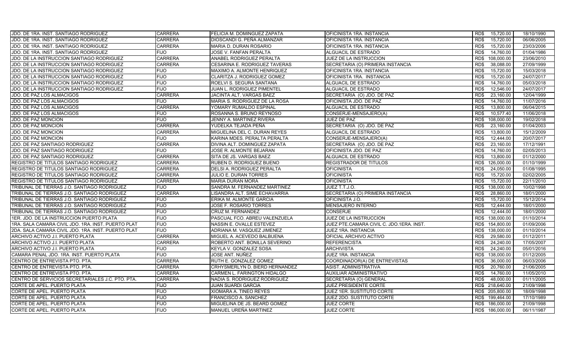| JJDO. DE 1RA. INST. SANTIAGO RODRIGUEZ             | <b>CARRERA</b> | FELICIA M. DOMINGUEZ ZAPATA    | <b>OFICINISTA 1RA. INSTANCIA</b>         | RD\$<br>15,720.00  | 18/10/1990 |
|----------------------------------------------------|----------------|--------------------------------|------------------------------------------|--------------------|------------|
| JDO. DE 1RA. INST. SANTIAGO RODRIGUEZ              | <b>CARRERA</b> | DIOSCANDI G. PEÑA ALMANZAR     | OFICINISTA 1RA. INSTANCIA                | RD\$<br>15,720.00  | 06/06/2005 |
| JDO. DE 1RA. INST. SANTIAGO RODRIGUEZ              | <b>CARRERA</b> | MARIA D. DURAN ROSARIO         | OFICINISTA 1RA. INSTANCIA                | 15,720.00<br>RD\$  | 23/03/2006 |
| JDO. DE 1RA. INST. SANTIAGO RODRIGUEZ              | <b>FIJO</b>    | JOSE V. FANFAN PERALTA         | ALGUACIL DE ESTRADO                      | 14,760.00<br>RD\$  | 01/04/1986 |
| JDO. DE LA INSTRUCCION SANTIAGO RODRIGUEZ          | <b>CARRERA</b> | ANABEL RODRIGUEZ PERALTA       | JUEZ DE LA INSTRUCCION                   | 108,000.00<br>RD\$ | 23/06/2010 |
| JDO. DE LA INSTRUCCION SANTIAGO RODRIGUEZ          | <b>CARRERA</b> | CESARINA E. RODRIGUEZ TAVERAS  | SECRETARIA (O) PRIMERA INSTANCIA         | 38,088.00<br>RD\$  | 27/09/1999 |
| JDO. DE LA INSTRUCCION SANTIAGO RODRIGUEZ          | <b>FIJO</b>    | MAXIMO A. ALMONTE HENRIQUEZ    | OFICINISTA 1RA. INSTANCIA                | RD\$<br>15,720.00  | 15/03/2018 |
| JDO. DE LA INSTRUCCION SANTIAGO RODRIGUEZ          | <b>FIJO</b>    | CLARITZA J. RODRIGUEZ GOMEZ    | OFICINISTA 1RA. INSTANCIA                | 15.720.00<br>RD\$  | 24/07/2017 |
| JDO. DE LA INSTRUCCION SANTIAGO RODRIGUEZ          | <b>FIJO</b>    | ROELVI S. SEGURA SANTANA       | ALGUACIL DE ESTRADO                      | 14,760.00<br>RD\$  | 05/03/2018 |
| JDO. DE LA INSTRUCCION SANTIAGO RODRIGUEZ          | <b>FIJO</b>    | JUAN L. RODRIGUEZ PIMENTEL     | ALGUACIL DE ESTRADO                      | RD\$<br>12,546.00  | 24/07/2017 |
| JDO. DE PAZ LOS ALMACIGOS                          | <b>CARRERA</b> | JACINTA ALT. VARGAS BAEZ       | SECRETARIA (O) JDO. DE PAZ               | 23,160.00<br>RD\$  | 12/04/1999 |
| JDO. DE PAZ LOS ALMACIGOS                          | <b>FIJO</b>    | MARIA S. RODRIGUEZ DE LA ROSA  | OFICINISTA JDO. DE PAZ                   | RD\$<br>14,760.00  | 11/07/2016 |
| JDO. DE PAZ LOS ALMACIGOS                          | <b>CARRERA</b> | YOMARY RUMALDO ESPINAL         | ALGUACIL DE ESTRADO                      | RD\$<br>13,800.00  | 06/04/2015 |
| <b>JDO. DE PAZ LOS ALMACIGOS</b>                   | <b>FIJO</b>    | ROSANNA S. BRUNO REYNOSO       | CONSERJE-MENSAJERO(A)                    | 10,577.40<br>RD\$  | 11/06/2018 |
| JDO. DE PAZ MONCION                                | <b>FIJO</b>    | JENNY A. MARTINEZ RIVERA       | JUEZ DE PAZ                              | RD\$<br>108,000.00 | 19/02/2018 |
| JDO. DE PAZ MONCION                                | <b>CARRERA</b> | YUDELKA TEJADA PEÑA            | SECRETARIA (O) JDO. DE PAZ               | RD\$<br>23,160.00  | 01/04/2003 |
| <b>JDO. DE PAZ MONCION</b>                         | <b>CARRERA</b> | MIGUELINA DEL C. DURAN REYES   | ALGUACIL DE ESTRADO                      | RD\$<br>13,800.00  | 15/12/2009 |
| <b>JDO. DE PAZ MONCION</b>                         | <b>FIJO</b>    | KARINA MDES. PERALTA PERALTA   | CONSERJE-MENSAJERO(A)                    | RD\$<br>12.444.00  | 20/07/2017 |
| JDO. DE PAZ SANTIAGO RODRIGUEZ                     | <b>CARRERA</b> | DIVINA ALT. DOMINGUEZ ZAPATA   | SECRETARIA (O) JDO. DE PAZ               | RD\$<br>23,160.00  | 17/12/1991 |
| JDO. DE PAZ SANTIAGO RODRIGUEZ                     | <b>FIJO</b>    | JOSE R. ALMONTE BEJARAN        | OFICINISTA JDO. DE PAZ                   | RD\$<br>14.760.00  | 02/05/2013 |
| JDO. DE PAZ SANTIAGO RODRIGUEZ                     | <b>CARRERA</b> | SITA DE JS. VARGAS BAEZ        | ALGUACIL DE ESTRADO                      | RD\$<br>13,800.00  | 01/12/2000 |
| REGISTRO DE TITULOS SANTIAGO RODRIGUEZ             | <b>CARRERA</b> | RUBEN D. RODRIGUEZ BUENO       | <b>REGISTRADOR DE TITULOS</b>            | 126,000.00<br>RD\$ | 01/10/1999 |
| REGISTRO DE TITULOS SANTIAGO RODRIGUEZ             | <b>CARRERA</b> | DELSI A. RODRIGUEZ PERALTA     | <b>OFICINISTA</b>                        | RD\$<br>24,050.00  | 01/08/1995 |
| REGISTRO DE TITULOS SANTIAGO RODRIGUEZ             | <b>CARRERA</b> | JULIO E. DURAN TORRES          | <b>OFICINISTA</b>                        | 15,720.00<br>RD\$  | 02/02/2005 |
| REGISTRO DE TITULOS SANTIAGO RODRIGUEZ             | <b>CARRERA</b> | <b>MARIA DURAN MORA</b>        | <b>OFICINISTA</b>                        | 15.720.00<br>RD\$  | 22/11/2010 |
| TRIBUNAL DE TIERRAS J.O. SANTIAGO RODRIGUEZ        | <b>FIJO</b>    | SANDRA M. FERNANDEZ MARTINEZ   | JUEZ T.T.J.O.                            | 138,000.00<br>RD\$ | 10/02/1998 |
| TRIBUNAL DE TIERRAS J.O. SANTIAGO RODRIGUEZ        | <b>CARRERA</b> | LISANDRA ALT. SIME ECHAVARRIA  | SECRETARIA (O) PRIMERA INSTANCIA         | 28,860.00<br>RD\$  | 18/01/2000 |
| TRIBUNAL DE TIERRAS J.O. SANTIAGO RODRIGUEZ        | <b>FIJO</b>    | ERIKA M. ALMONTE GARCIA        | OFICINISTA J.O.                          | RD\$<br>15,720.00  | 15/12/2014 |
| TRIBUNAL DE TIERRAS J.O. SANTIAGO RODRIGUEZ        | <b>FIJO</b>    | JOSE F. ROSARIO TORRES         | <b>MENSAJERO INTERNO</b>                 | 12,444.00<br>RD\$  | 18/01/2000 |
| TRIBUNAL DE TIERRAS J.O. SANTIAGO RODRIGUEZ        | <b>FIJO</b>    | CRUZ M. FERNANDEZ              | <b>CONSERJE</b>                          | 12.444.00<br>RD\$  | 18/01/2000 |
| 1ER. JDO. DE LA INSTRUCCION PUERTO PLATA           | <b>FIJO</b>    | PASCUAL FCO. ABREU VALENZUELA  | JUEZ DE LA INSTRUCCION                   | RD\$<br>138.000.00 | 01/10/2014 |
| 1RA. SALA CAMARA CIVIL JDO. 1RA. INST. PUERTO PLAT | <b>FIJO</b>    | NASSIN E. OVALLE ESTEVEZ       | JUEZ PTE.CAMARA CIVIL C. JDO.1ERA. INST. | RD\$<br>154,800.00 | 01/09/2006 |
| 2DA. SALA CAMARA CIVIL JDO. 1RA. INST. PUERTO PLAT | <b>FIJO</b>    | ADRIANA M. VASQUEZ JIMENEZ     | <b>JUEZ 1RA. INSTANCIA</b>               | RD\$<br>138,000.00 | 01/10/2014 |
| ARCHIVO ACTIVO J.I. PUERTO PLATA                   | <b>CARRERA</b> | MIGUEL A. ACEVEDO BALBUENA     | OFICIAL ARCHIVO ACTIVO                   | RD\$<br>29,580.00  | 01/12/2011 |
| ARCHIVO ACTIVO J.I. PUERTO PLATA                   | <b>CARRERA</b> | ROBERTO ANT. BONILLA SEVERINO  | <b>REFERENCISTA</b>                      | 24,240.00<br>RD\$  | 17/05/2007 |
| ARCHIVO ACTIVO J.I. PUERTO PLATA                   | <b>FIJO</b>    | KEYLA V. GONZALEZ SOSA         | <b>ARCHIVISTA</b>                        | RD\$<br>24,240.00  | 05/01/2016 |
| CAMARA PENAL JDO. 1RA. INST. PUERTO PLATA          | <b>FIJO</b>    | JOSE ANT. NUÑEZ                | JUEZ 1RA. INSTANCIA                      | 138,000.00<br>RD\$ | 01/12/2005 |
| CENTRO DE ENTREVISTA PTO. PTA.                     | <b>CARRERA</b> | RUTH E. GONZALEZ GOMEZ         | COORDINADOR(A) DE ENTREVISTAS            | RD\$<br>36,000.00  | 06/03/2006 |
| CENTRO DE ENTREVISTA PTO. PTA.                     | <b>CARRERA</b> | CRHYSMERLYN D. BIERD HERNANDEZ | ASIST. ADMINISTRATIVA                    | 20,760.00<br>RD\$  | 21/06/2005 |
| CENTRO DE ENTREVISTA PTO. PTA.                     | <b>CARRERA</b> | CARMEN L. FARINGTON HIDALGO    | AUXILIAR ADMINISTRATIVO                  | RD\$<br>14,760.00  | 11/05/2010 |
| CENTRO DE SERVICIOS SECRETARIALES J.C. PTO. PTA.   | <b>CARRERA</b> | NADIA S. RODRIGUEZ RODRIGUEZ   | SECRETARIA (O) GENERAL                   | RD\$<br>48,000.00  | 01/11/2005 |
| CORTE DE APEL. PUERTO PLATA                        | <b>FIJO</b>    | JUAN SUARDI GARCIA             | JUEZ PRESIDENTE CORTE                    | RD\$ 218,640.00    | 21/09/1998 |
| CORTE DE APEL. PUERTO PLATA                        | <b>FIJO</b>    | XIOMARA A. TINEO REYES         | JUEZ 1ER. SUSTITUTO CORTE                | RD\$ 205,800.00    | 18/09/1998 |
| CORTE DE APEL. PUERTO PLATA                        | <b>FIJO</b>    | FRANCISCO A. SANCHEZ           | JUEZ 2DO. SUSTITUTO CORTE                | RD\$<br>199,464.00 | 17/10/1989 |
| CORTE DE APEL. PUERTO PLATA                        | <b>FIJO</b>    | MIGUELINA DE JS. BEARD GOMEZ   | <b>JUEZ CORTE</b>                        | 186,000.00<br>RD\$ | 21/09/1998 |
| CORTE DE APEL. PUERTO PLATA                        | <b>FIJO</b>    | MANUEL UREÑA MARTINEZ          | <b>JUEZ CORTE</b>                        | RD\$ 186,000.00    | 06/11/1987 |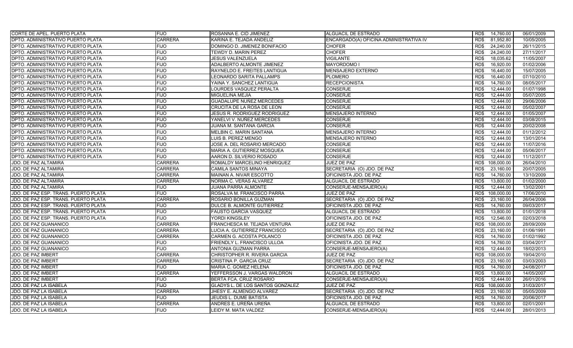| <b>CORTE DE APEL. PUERTO PLATA</b>       | <b>FIJO</b>    | ROSANNA E. CID JIMENEZ              | ALGUACIL DE ESTRADO                    | 14,760.00<br>RD\$  | 06/01/2009 |
|------------------------------------------|----------------|-------------------------------------|----------------------------------------|--------------------|------------|
| DPTO. ADMINISTRATIVO PUERTO PLATA        | <b>CARRERA</b> | KARINA E. TEJADA ANDELIZ            | ENCARGADO(A) OFICINA ADMINISTRATIVA IV | RD\$<br>81,952.80  | 10/05/2005 |
| DPTO. ADMINISTRATIVO PUERTO PLATA        | <b>FIJO</b>    | DOMINGO D. JIMENEZ BONIFACIO        | <b>CHOFER</b>                          | 24,240.00<br>RD\$  | 26/11/2015 |
| DPTO. ADMINISTRATIVO PUERTO PLATA        | <b>FIJO</b>    | TEWDY D. MARIN PEREZ                | <b>CHOFER</b>                          | RD\$<br>24,240.00  | 27/11/2017 |
| DPTO. ADMINISTRATIVO PUERTO PLATA        | <b>FIJO</b>    | <b>JESUS VALENZUELA</b>             | <b>VIGILANTE</b>                       | RD\$<br>18,035.62  | 11/05/2007 |
| DPTO. ADMINISTRATIVO PUERTO PLATA        | <b>FIJO</b>    | ADALBERTO ALMONTE JIMENEZ           | <b>MAYORDOMO I</b>                     | 16,920.00<br>RD\$  | 01/02/2006 |
| DPTO. ADMINISTRATIVO PUERTO PLATA        | <b>FIJO</b>    | RAYNELDO E. FREITES LANTIGUA        | MENSAJERO EXTERNO                      | RD\$<br>16,440.00  | 15/07/2005 |
| DPTO. ADMINISTRATIVO PUERTO PLATA        | <b>FIJO</b>    | LEONARDO SARITA PALLAMPS            | <b>PLOMERO</b>                         | 16.440.00<br>RD\$  | 07/10/2010 |
| DPTO. ADMINISTRATIVO PUERTO PLATA        | <b>FIJO</b>    | YAINA Y. SANCHEZ LANTIGUA           | <b>RECEPCIONISTA</b>                   | 14,760.00<br>RD\$  | 08/05/2017 |
| DPTO. ADMINISTRATIVO PUERTO PLATA        | <b>FIJO</b>    | LOURDES VASQUEZ PERALTA             | <b>CONSERJE</b>                        | RD\$<br>12.444.00  | 01/07/1998 |
| DPTO. ADMINISTRATIVO PUERTO PLATA        | <b>FIJO</b>    | MIGUELINA MEJIA                     | <b>CONSERJE</b>                        | 12,444.00<br>RD\$  | 05/07/2005 |
| DPTO. ADMINISTRATIVO PUERTO PLATA        | <b>FIJO</b>    | GUADALUPE NUÑEZ MERCEDES            | <b>CONSERJE</b>                        | RD\$<br>12.444.00  | 29/06/2006 |
| DPTO. ADMINISTRATIVO PUERTO PLATA        | <b>FIJO</b>    | CRUCITA DE LA ROSA DE LEON          | <b>CONSERJE</b>                        | RD\$<br>12,444.00  | 05/02/2007 |
| DPTO. ADMINISTRATIVO PUERTO PLATA        | <b>FIJO</b>    | <b>JESUS R. RODRIGUEZ RODRIGUEZ</b> | <b>MENSAJERO INTERNO</b>               | 12.444.00<br>RD\$  | 01/05/2007 |
| DPTO. ADMINISTRATIVO PUERTO PLATA        | <b>FIJO</b>    | YANELVI V. NUÑEZ MERCEDES           | <b>CONSERJE</b>                        | RD\$<br>12,444.00  | 03/08/2015 |
| DPTO. ADMINISTRATIVO PUERTO PLATA        | <b>FIJO</b>    | JUANA M. SANTANA GARCIA             | <b>CONSERJE</b>                        | 12,444.00<br>RD\$  | 20/02/2008 |
| DPTO. ADMINISTRATIVO PUERTO PLATA        | <b>FIJO</b>    | MELBIN C. MARIN SANTANA             | MENSAJERO INTERNO                      | RD\$<br>12,444.00  | 01/12/2012 |
| <b>DPTO. ADMINISTRATIVO PUERTO PLATA</b> | <b>FIJO</b>    | LUIS B. PEREZ MENGO                 | <b>MENSAJERO INTERNO</b>               | RD\$<br>12.444.00  | 13/01/2014 |
| DPTO. ADMINISTRATIVO PUERTO PLATA        | <b>FIJO</b>    | JOSE A. DEL ROSARIO MERCADO         | <b>CONSERJE</b>                        | RD\$<br>12,444.00  | 11/07/2016 |
| <b>DPTO. ADMINISTRATIVO PUERTO PLATA</b> | <b>FIJO</b>    | MARIA A. GUTIERREZ MOSQUEA          | <b>CONSERJE</b>                        | 12.444.00<br>RD\$  | 05/06/2017 |
| DPTO. ADMINISTRATIVO PUERTO PLATA        | <b>FIJO</b>    | AARON D. SILVERIO ROSADO            | <b>CONSERJE</b>                        | RD\$<br>12,444.00  | 11/12/2017 |
| JDO. DE PAZ ALTAMIRA                     | <b>CARRERA</b> | ROMALDY MARCELINO HENRIQUEZ         | JUEZ DE PAZ                            | 108,000.00<br>RD\$ | 26/04/2010 |
| JDO. DE PAZ ALTAMIRA                     | <b>CARRERA</b> | CAMILA SANTOS MINAYA                | SECRETARIA (O) JDO. DE PAZ             | RD\$<br>23,160.00  | 20/07/2005 |
| JDO. DE PAZ ALTAMIRA                     | <b>CARRERA</b> | MAINAN A. NIVAR ESCOTTO             | OFICINISTA JDO. DE PAZ                 | 14,760.00<br>RD\$  | 13/10/2009 |
| JDO. DE PAZ ALTAMIRA                     | <b>CARRERA</b> | NORMA C. VERAS ALVAREZ              | ALGUACIL DE ESTRADO                    | RD\$<br>13,800.00  | 01/02/2000 |
| JDO. DE PAZ ALTAMIRA                     | <b>FIJO</b>    | JUANA PARRA ALMONTE                 | CONSERJE-MENSAJERO(A)                  | RD\$<br>12,444.00  | 13/02/2001 |
| JDO. DE PAZ ESP. TRANS. PUERTO PLATA     | <b>FIJO</b>    | ROSALVA M. FRANCISCO PARRA          | JUEZ DE PAZ                            | 108,000.00<br>RD\$ | 17/06/2010 |
| JDO. DE PAZ ESP. TRANS. PUERTO PLATA     | <b>CARRERA</b> | ROSARIO BONILLA GUZMAN              | SECRETARIA (O) JDO. DE PAZ             | 23,160.00<br>RD\$  | 26/04/2006 |
| JDO. DE PAZ ESP. TRANS. PUERTO PLATA     | <b>FIJO</b>    | DULCE B. ALMONTE GUTIERREZ          | OFICINISTA JDO. DE PAZ                 | 14,760.00<br>RD\$  | 09/03/2017 |
| JDO. DE PAZ ESP. TRANS. PUERTO PLATA     | <b>FIJO</b>    | <b>FAUSTO GARCIA VASQUEZ</b>        | ALGUACIL DE ESTRADO                    | 13.800.00<br>RD\$  | 01/01/2018 |
| JDO. DE PAZ ESP. TRANS. PUERTO PLATA     | FIJO           | YORDI KINGSLEY                      | OFICINISTA JDO. DE PAZ                 | RD\$<br>12,546.00  | 02/03/2018 |
| JDO. DE PAZ GUANANICO                    | <b>CARRERA</b> | FRANCHESCA M. TEJADA VENTURA        | JUEZ DE PAZ                            | RD\$<br>108,000.00 | 28/09/2009 |
| JDO. DE PAZ GUANANICO                    | <b>CARRERA</b> | LUCIA A. GUTIERREZ FRANCISCO        | SECRETARIA (O) JDO. DE PAZ             | RD\$<br>23,160.00  | 01/06/1991 |
| JDO. DE PAZ GUANANICO                    | <b>CARRERA</b> | CARMEN G. ACOSTA POLANCO            | OFICINISTA JDO. DE PAZ                 | RD\$<br>14,760.00  | 01/02/1992 |
| JDO. DE PAZ GUANANICO                    | <b>FIJO</b>    | FRIENDLY L. FRANCISCO ULLOA         | OFICINISTA JDO. DE PAZ                 | 14,760.00<br>RD\$  | 03/04/2017 |
| JDO. DE PAZ GUANANICO                    | <b>FIJO</b>    | <b>ANTONIA GUZMAN PARRA</b>         | CONSERJE-MENSAJERO(A)                  | RD\$<br>12,444.00  | 18/02/2013 |
| JDO. DE PAZ IMBERT                       | <b>CARRERA</b> | CHRISTOPHER R. RIVERA GARCIA        | JUEZ DE PAZ                            | 108,000.00<br>RD\$ | 19/04/2010 |
| JDO. DE PAZ IMBERT                       | <b>CARRERA</b> | CRISTINA P. GARCIA CRUZ             | SECRETARIA (O) JDO. DE PAZ             | RD\$<br>23,160.00  | 03/03/2003 |
| JDO. DE PAZ IMBERT                       | <b>FIJO</b>    | MARIA C. GOMEZ HELENA               | OFICINISTA JDO. DE PAZ                 | 14,760.00<br>RD\$  | 24/08/2017 |
| <b>JDO. DE PAZ IMBERT</b>                | <b>CARRERA</b> | YEFFERSSON J. VARGAS WALDRON        | ALGUACIL DE ESTRADO                    | RD\$<br>13,800.00  | 14/05/2007 |
| JDO. DE PAZ IMBERT                       | <b>FIJO</b>    | BERTA FCA. CRUZ ROSARIO             | CONSERJE-MENSAJERO(A)                  | RD\$<br>12.444.00  | 26/01/2016 |
| JDO. DE PAZ LA ISABELA                   | <b>FIJO</b>    | GLADYS L. DE LOS SANTOS GONZALEZ    | JUEZ DE PAZ                            | 108,000.00<br>RD\$ | 31/03/2017 |
| JDO. DE PAZ LA ISABELA                   | <b>CARRERA</b> | JHESY E. ALMENGO ALVAREZ            | SECRETARIA (O) JDO. DE PAZ             | RD\$<br>23,160.00  | 05/05/2009 |
| JDO. DE PAZ LA ISABELA                   | <b>FIJO</b>    | JEUDIS L. DUME BATISTA              | OFICINISTA JDO. DE PAZ                 | RD\$<br>14,760.00  | 20/06/2017 |
| JDO. DE PAZ LA ISABELA                   | <b>CARRERA</b> | ANDRES E. UREÑA UREÑA               | ALGUACIL DE ESTRADO                    | 13,800.00<br>RD\$  | 02/01/2001 |
| JDO. DE PAZ LA ISABELA                   | <b>FIJO</b>    | LEIDY M. MATA VALDEZ                | CONSERJE-MENSAJERO(A)                  | RD\$<br>12.444.00  | 28/01/2013 |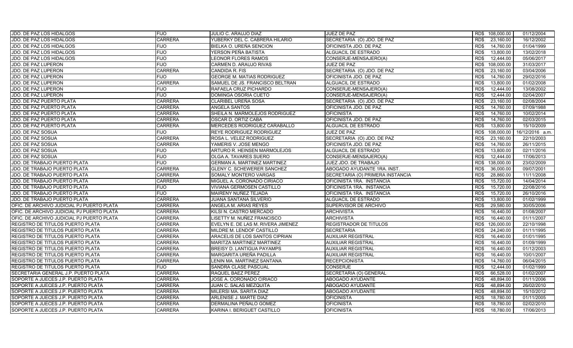| JDO. DE PAZ LOS HIDALGOS                  | <b>FIJO</b>    | JULIO C. ARAUJO DIAZ               | JUEZ DE PAZ                      | RD\$ 108,000.00    | 01/12/2004      |
|-------------------------------------------|----------------|------------------------------------|----------------------------------|--------------------|-----------------|
| JDO. DE PAZ LOS HIDALGOS                  | <b>CARRERA</b> | YUBERKY DEL C. CABRERA HILARIO     | SECRETARIA (O) JDO. DE PAZ       | RD\$<br>23,160.00  | 16/12/2002      |
| JDO. DE PAZ LOS HIDALGOS                  | <b>FIJO</b>    | BIELKA O. UREÑA SENCION            | OFICINISTA JDO. DE PAZ           | 14,760.00<br>RD\$  | 01/04/1999      |
| JDO. DE PAZ LOS HIDALGOS                  | <b>FIJO</b>    | YERSON PEÑA BATISTA                | ALGUACIL DE ESTRADO              | RD\$<br>13,800.00  | 13/02/2018      |
| JDO. DE PAZ LOS HIDALGOS                  | <b>FIJO</b>    | LEONOR FLORES RAMOS                | CONSERJE-MENSAJERO(A)            | 12,444.00<br>RD\$  | 05/06/2017      |
| <b>JDO. DE PAZ LUPERON</b>                | <b>FIJO</b>    | CARMEN D. ARAUJO RIVAS             | <b>JUEZ DE PAZ</b>               | 108,000.00<br>RD\$ | 31/03/2017      |
| JDO. DE PAZ LUPERON                       | <b>CARRERA</b> | CANDIDA R. FIS                     | SECRETARIA (O) JDO. DE PAZ       | 23,160.00<br>RD\$  | 03/04/2006      |
| JDO. DE PAZ LUPERON                       | <b>FIJO</b>    | <b>GEORGE M. MATIAS RODRIGUEZ</b>  | OFICINISTA JDO. DE PAZ           | 14,760.00<br>RD\$  | 29/02/2016      |
| JDO. DE PAZ LUPERON                       | <b>CARRERA</b> | SAMUEL DE JS. FRANCISCO BELTRAN    | ALGUACIL DE ESTRADO              | 13,800.00<br>RD\$  | 01/02/2008      |
| JDO. DE PAZ LUPERON                       | <b>FIJO</b>    | RAFAELA CRUZ PICHARDO              | CONSERJE-MENSAJERO(A)            | RD\$<br>12.444.00  | 13/08/2002      |
| JDO. DE PAZ LUPERON                       | <b>FIJO</b>    | DOMINGA OSORIA CUETO               | CONSERJE-MENSAJERO(A)            | 12,444.00<br>RD\$  | 02/04/2007      |
| JDO. DE PAZ PUERTO PLATA                  | <b>CARRERA</b> | CLARIBEL UREÑA SOSA                | SECRETARIA (O) JDO. DE PAZ       | RD\$<br>23,160.00  | 02/08/2004      |
| JDO. DE PAZ PUERTO PLATA                  | <b>CARRERA</b> | ANGELA SANTOS                      | OFICINISTA JDO. DE PAZ           | RD\$<br>14,760.00  | 07/09/1988      |
| JDO. DE PAZ PUERTO PLATA                  | <b>CARRERA</b> | SHEILA N. MARMOLEJOS RODRIGUEZ     | <b>OFICINISTA</b>                | 14,760.00<br>RD\$  | 10/02/2014      |
| JDO. DE PAZ PUERTO PLATA                  | <b>CARRERA</b> | OSCAR D. ORTIZ CABA                | OFICINISTA JDO. DE PAZ           | RD\$<br>14,760.00  | 02/03/2015      |
| JDO. DE PAZ PUERTO PLATA                  | <b>CARRERA</b> | MERCEDES RODRIGUEZ CARABALLO       | ALGUACIL DE ESTRADO              | RD\$<br>13,800.00  | 15/10/2009      |
| <b>JDO. DE PAZ SOSUA</b>                  | <b>FIJO</b>    | REYE RODRIGUEZ RODRIGUEZ           | JUEZ DE PAZ                      | RD\$<br>108,000.00 | 16/12/2016 a.m. |
| <b>JDO. DE PAZ SOSUA</b>                  | <b>CARRERA</b> | ROSA L. VELEZ RODRIGUEZ            | SECRETARIA (O) JDO. DE PAZ       | RD\$<br>23.160.00  | 22/10/2003      |
| JDO. DE PAZ SOSUA                         | <b>CARRERA</b> | YAMERIS V. JOSE MENGO              | OFICINISTA JDO. DE PAZ           | RD\$<br>14,760.00  | 26/11/2015      |
| JDO. DE PAZ SOSUA                         | <b>FIJO</b>    | ARTURO R. HEINSEN MARMOLEJOS       | ALGUACIL DE ESTRADO              | RD\$<br>13,800.00  | 02/11/2016      |
| JDO. DE PAZ SOSUA                         | <b>FIJO</b>    | OLGA A. TAVARES SUERO              | CONSERJE-MENSAJERO(A)            | RD\$<br>12,444.00  | 17/06/2013      |
| JDO. DE TRABAJO PUERTO PLATA              | <b>FIJO</b>    | <b>GERMAN A. MARTINEZ MARTINEZ</b> | JUEZ JDO. DE TRABAJO             | 138,000.00<br>RD\$ | 23/02/2009      |
| JDO. DE TRABAJO PUERTO PLATA              | <b>CARRERA</b> | <b>GLENY C. SCHEWERER SANCHEZ</b>  | ABOGADO AYUDANTE 1RA. INST.      | RD\$<br>36,000.00  | 09/07/2001      |
| JDO. DE TRABAJO PUERTO PLATA              | <b>CARRERA</b> | SOMALY MONTERO VARGAS              | SECRETARIA (O) PRIMERA INSTANCIA | 28,860.00<br>RD\$  | 11/11/2008      |
| JDO. DE TRABAJO PUERTO PLATA              | <b>CARRERA</b> | MIGUEL A. CORONADO CIRIACO         | OFICINISTA 1RA. INSTANCIA        | 15,720.00<br>RD\$  | 14/04/2014      |
| JDO. DE TRABAJO PUERTO PLATA              | <b>FIJO</b>    | VIVIANA GERMOSEN CASTILLO          | OFICINISTA 1RA. INSTANCIA        | 15,720.00<br>RD\$  | 22/08/2016      |
| JDO. DE TRABAJO PUERTO PLATA              | <b>FIJO</b>    | MAIRENY NUÑEZ TEJADA               | OFICINISTA 1RA. INSTANCIA        | 15,720.00<br>RD\$  | 26/10/2016      |
| JDO. DE TRABAJO PUERTO PLATA              | <b>CARRERA</b> | JUANA SANTANA SILVERIO             | ALGUACIL DE ESTRADO              | RD\$<br>13,800.00  | 01/02/1999      |
| OFIC. DE ARCHIVO JUDICIAL PJ PUERTO PLATA | <b>CARRERA</b> | ANGELA M. ARIAS REYES              | SUPERVISOR DE ARCHIVO            | 29,580.00<br>RD\$  | 30/05/2006      |
| OFIC. DE ARCHIVO JUDICIAL PJ PUERTO PLATA | <b>CARRERA</b> | KILSI N. CASTRO MERCADO            | <b>ARCHIVISTA</b>                | 16.440.00<br>RD\$  | 01/08/2007      |
| OFIC. DE ARCHIVO JUDICIAL PJ PUERTO PLATA | <b>CARRERA</b> | LISETTY M. NUÑEZ FRANCISCO         | <b>ARCHIVISTA</b>                | RD\$<br>16,440.00  | 01/11/2007      |
| REGISTRO DE TITULOS PUERTO PLATA          | <b>CARRERA</b> | EVELYN E. DE LAS M. RIVERA JIMENEZ | REGISTRADOR DE TITULOS           | RD\$<br>126,000.00 | 22/10/1998      |
| REGISTRO DE TITULOS PUERTO PLATA          | <b>CARRERA</b> | MILDRE M. LENDOF CASTILLO          | <b>SECRETARIA</b>                | RD\$<br>24,240.00  | 01/11/1995      |
| REGISTRO DE TITULOS PUERTO PLATA          | <b>CARRERA</b> | ARACELIS DE LOS SANTOS CIPRIAN     | <b>AUXILIAR REGISTRAL</b>        | RD\$<br>16,440.00  | 01/01/1995      |
| REGISTRO DE TITULOS PUERTO PLATA          | <b>CARRERA</b> | MARITZA MARTINEZ MARTINEZ          | <b>AUXILIAR REGISTRAL</b>        | RD\$<br>16,440.00  | 01/09/1999      |
| REGISTRO DE TITULOS PUERTO PLATA          | <b>CARRERA</b> | BREISY D. LANTIGUA PAYAMPS         | <b>AUXILIAR REGISTRAL</b>        | RD\$<br>16,440.00  | 01/12/2003      |
| REGISTRO DE TITULOS PUERTO PLATA          | <b>CARRERA</b> | MARGARITA UREÑA PADILLA            | <b>AUXILIAR REGISTRAL</b>        | 16,440.00<br>RD\$  | 10/01/2007      |
| REGISTRO DE TITULOS PUERTO PLATA          | <b>CARRERA</b> | LENIN MA. MARTINEZ SANTANA         | <b>RECEPCIONISTA</b>             | RD\$<br>14,760.00  | 06/04/2015      |
| <b>REGISTRO DE TITULOS PUERTO PLATA</b>   | <b>FIJO</b>    | SANDRA CLASE PASCUAL               | <b>CONSERJE</b>                  | 12,444.00<br>RD\$  | 01/02/1999      |
| SECRETARIA GENERAL J.P. PUERTO PLATA      | <b>CARRERA</b> | RAQUEL BAEZ PEREZ                  | SECRETARIA (O) GENERAL           | RD\$<br>66,528.00  | 01/02/2007      |
| SOPORTE A JUECES J.P. PUERTO PLATA        | <b>CARRERA</b> | JOSE A. CORONADO CIRIACO           | <b>ABOGADO AYUDANTE</b>          | RD\$<br>48,894.00  | 01/11/2006      |
| SOPORTE A JUECES J.P. PUERTO PLATA        | <b>CARRERA</b> | JUAN C. SALAS MEZQUITA             | ABOGADO AYUDANTE                 | 48.894.00<br>RD\$  | 26/02/2010      |
| SOPORTE A JUECES J.P. PUERTO PLATA        | <b>CARRERA</b> | MILERSI MA. SARITA DIAZ            | ABOGADO AYUDANTE                 | 48,894.00<br>RD\$  | 15/10/2012      |
| SOPORTE A JUECES J.P. PUERTO PLATA        | <b>CARRERA</b> | ARLENISE J. MARTE DIAZ             | <b>OFICINISTA</b>                | RD\$<br>18,780.00  | 01/11/2005      |
| SOPORTE A JUECES J.P. PUERTO PLATA        | CARRERA        | DERMALINA PEÑALO GOMEZ             | <b>OFICINISTA</b>                | 18,780.00<br>RD\$  | 02/02/2010      |
| SOPORTE A JUECES J.P. PUERTO PLATA        | <b>CARRERA</b> | KARINA I. BERIGUET CASTILLO        | <b>OFICINISTA</b>                | RD\$<br>18,780.00  | 17/06/2013      |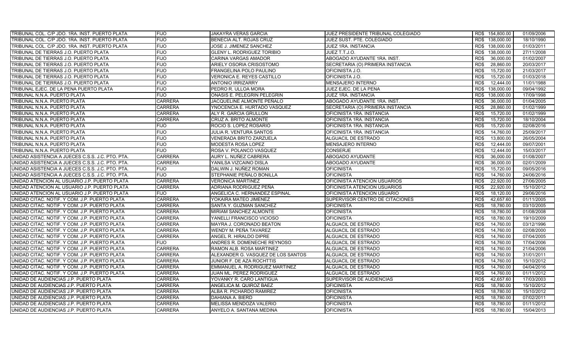| TRIBUNAL COL. C/P JDO. 1RA. INST. PUERTO PLATA   | <b>FIJO</b>    | JAKAYRA VERAS GARCIA               | JUEZ PRESIDENTE TRIBUNAL COLEGIADO |      | RD\$ 154,800.00 | 01/09/2006 |
|--------------------------------------------------|----------------|------------------------------------|------------------------------------|------|-----------------|------------|
| TRIBUNAL COL. C/P JDO. 1RA. INST. PUERTO PLATA   | <b>FIJO</b>    | BENECIA ALT. ROJAS CRUZ            | JUEZ SUST. PTE. COLEGIADO          |      | RD\$ 138,000.00 | 18/10/1990 |
| TRIBUNAL COL. C/P JDO. 1RA. INST. PUERTO PLATA   | <b>FIJO</b>    | JOSE J. JIMENEZ SANCHEZ            | JUEZ 1RA. INSTANCIA                | RD\$ | 138,000.00      | 01/03/2011 |
| TRIBUNAL DE TIERRAS J.O. PUERTO PLATA            | <b>FIJO</b>    | GLENY L. RODRIGUEZ TORIBIO         | JUEZ T.T.J.O.                      | RD\$ | 138,000.00      | 27/11/2008 |
| TRIBUNAL DE TIERRAS J.O. PUERTO PLATA            | <b>FIJO</b>    | CARINA VARGAS AMADOR               | ABOGADO AYUDANTE 1RA. INST.        | RD\$ | 36,000.00       | 01/02/2007 |
| TRIBUNAL DE TIERRAS J.O. PUERTO PLATA            | <b>FIJO</b>    | ARIELY OSORIA CRISOSTOMO           | SECRETARIA (O) PRIMERA INSTANCIA   | RD\$ | 28,860.00       | 20/03/2017 |
| TRIBUNAL DE TIERRAS J.O. PUERTO PLATA            | <b>FIJO</b>    | FRANGELINA POLO PAULINO            | OFICINISTA J.O.                    | RD\$ | 15,720.00       | 21/03/2017 |
| TRIBUNAL DE TIERRAS J.O. PUERTO PLATA            | <b>FIJO</b>    | VERONICA E. REYES CASTILLO         | OFICINISTA J.O.                    | RD\$ | 15,720.00       | 01/03/2018 |
| TRIBUNAL DE TIERRAS J.O. PUERTO PLATA            | <b>FIJO</b>    | <b>ANTONIO IRRIZARRY</b>           | <b>MENSAJERO INTERNO</b>           | RD\$ | 12.444.00       | 11/01/1988 |
| TRIBUNAL EJEC. DE LA PENA PUERTO PLATA           | <b>FIJO</b>    | PEDRO R. ULLOA MORA                | JUEZ EJEC. DE LA PENA              | RD\$ | 138,000.00      | 09/04/1992 |
| TRIBUNAL N.N.A. PUERTO PLATA                     | FIJO           | ONASIS E. PELEGRIN PELEGRIN        | JUEZ 1RA. INSTANCIA                | RD\$ | 138,000.00      | 17/09/1998 |
| TRIBUNAL N.N.A. PUERTO PLATA                     | <b>CARRERA</b> | JACQUELINE ALMONTE PEÑALO          | ABOGADO AYUDANTE 1RA. INST.        | RD\$ | 36,000.00       | 01/04/2005 |
| TRIBUNAL N.N.A. PUERTO PLATA                     | <b>CARRERA</b> | YNOCENCIA E. HURTADO VASQUEZ       | SECRETARIA (O) PRIMERA INSTANCIA   | RD\$ | 28,860.00       | 01/02/1999 |
| TRIBUNAL N.N.A. PUERTO PLATA                     | <b>CARRERA</b> | ALY R. GARCIA GRULLON              | OFICINISTA 1RA. INSTANCIA          | RD\$ | 15.720.00       | 01/02/1999 |
| TRIBUNAL N.N.A. PUERTO PLATA                     | <b>CARRERA</b> | CRUZ A. BRITO ALMONTE              | OFICINISTA 1RA. INSTANCIA          | RD\$ | 15,720.00       | 18/10/2004 |
| TRIBUNAL N.N.A. PUERTO PLATA                     | <b>FIJO</b>    | ROCIO S. LOPEZ ROSARIO             | OFICINISTA 1RA. INSTANCIA          | RD\$ | 15,720.00       | 02/08/2016 |
| TRIBUNAL N.N.A. PUERTO PLATA                     | <b>FIJO</b>    | JULIA R. VENTURA SANTOS            | OFICINISTA 1RA. INSTANCIA          | RD\$ | 14,760.00       | 25/09/2017 |
| TRIBUNAL N.N.A. PUERTO PLATA                     | <b>FIJO</b>    | VENERADA BRITO ZARZUELA            | ALGUACIL DE ESTRADO                | RD\$ | 13,800.00       | 26/05/2004 |
| TRIBUNAL N.N.A. PUERTO PLATA                     | <b>FIJO</b>    | MODESTA ROSA LOPEZ                 | <b>MENSAJERO INTERNO</b>           | RD\$ | 12,444.00       | 09/07/2001 |
| TRIBUNAL N.N.A. PUERTO PLATA                     | <b>FIJO</b>    | ROSA V. POLANCO VASQUEZ            | <b>CONSERJE</b>                    | RD\$ | 12,444.00       | 15/03/2017 |
| UNIDAD ASISTENCIA A JUECES C.S.S. J.C. PTO. PTA. | <b>CARRERA</b> | AURY L. NUÑEZ CABRERA              | ABOGADO AYUDANTE                   | RD\$ | 36,000.00       | 01/08/2007 |
| UNIDAD ASISTENCIA A JUECES C.S.S. J.C. PTO. PTA. | <b>CARRERA</b> | YANILSA VIZCAINO DISLA             | ABOGADO AYUDANTE                   | RD\$ | 36,000.00       | 02/01/2009 |
| UNIDAD ASISTENCIA A JUECES C.S.S. J.C. PTO. PTA. | <b>FIJO</b>    | DALWIN J. NUÑEZ ROMAN              | <b>OFICINISTA</b>                  | RD\$ | 15,720.00       | 09/05/2016 |
| UNIDAD ASISTENCIA A JUECES C.S.S. J.C. PTO. PTA. | <b>FIJO</b>    | STEPHANIE PEÑALO BONILLA           | <b>OFICINISTA</b>                  | RD\$ | 14,760.00       | 24/06/2016 |
| UNIDAD ATENCION AL USUARIO J.P. PUERTO PLATA     | <b>CARRERA</b> | VERONICA MARTINEZ                  | OFICINISTA ATENCION USUARIOS       | RD\$ | 22,920.00       | 27/06/2005 |
| UNIDAD ATENCION AL USUARIO J.P. PUERTO PLATA     | <b>CARRERA</b> | ADRIANA RODRIGUEZ PEÑA             | OFICINISTA ATENCION USUARIOS       | RD\$ | 22,920.00       | 15/10/2012 |
| UNIDAD ATENCION AL USUARIO J.P. PUERTO PLATA     | <b>FIJO</b>    | ANGELICA C. HERNANDEZ ESPINAL      | OFICINISTA ATENCION USUARIO        | RD\$ | 18,120.00       | 29/06/2016 |
| UNIDAD CITAC. NOTIF. Y COM. J.P. PUERTO PLATA    | <b>CARRERA</b> | YOKAIRA MATEO JIMENEZ              | SUPERVISOR CENTRO DE CITACIONES    | RD\$ | 42,657.60       | 01/11/2005 |
| UNIDAD CITAC. NOTIF. Y COM. J.P. PUERTO PLATA    | <b>CARRERA</b> | SANTA Y. GUZMAN SANCHEZ            | <b>OFICINISTA</b>                  | RD\$ | 18,780.00       | 03/10/2005 |
| UNIDAD CITAC. NOTIF. Y COM. J.P. PUERTO PLATA    | <b>CARRERA</b> | MIRIAM SANCHEZ ALMONTE             | <b>OFICINISTA</b>                  | RD\$ | 18,780.00       | 01/08/2008 |
| UNIDAD CITAC. NOTIF. Y COM. J.P. PUERTO PLATA    | <b>CARRERA</b> | YANELLI FRANCISCO VICIOSO          | OFICINISTA                         | RD\$ | 18,780.00       | 19/10/2009 |
| UNIDAD CITAC. NOTIF. Y COM. J.P. PUERTO PLATA    | <b>CARRERA</b> | MAYRA J. CORONADO BEATON           | <b>ALGUACIL DE ESTRADO</b>         | RD\$ | 14,760.00       | 03/12/1996 |
| UNIDAD CITAC. NOTIF. Y COM. J.P. PUERTO PLATA    | <b>CARRERA</b> | WENDY M. PEÑA TAVAREZ              | <b>ALGUACIL DE ESTRADO</b>         | RD\$ | 14,760.00       | 02/08/2000 |
| UNIDAD CITAC. NOTIF. Y COM. J.P. PUERTO PLATA    | <b>CARRERA</b> | ANGEL R. HIRALDO DIPRE             | ALGUACIL DE ESTRADO                | RD\$ | 14,760.00       | 07/04/2005 |
| UNIDAD CITAC, NOTIF, Y COM, J.P. PUERTO PLATA    | <b>FIJO</b>    | ANDRES R. DOMENECHE REYNOSO        | <b>ALGUACIL DE ESTRADO</b>         | RD\$ | 14,760.00       | 17/04/2006 |
| UNIDAD CITAC. NOTIF. Y COM. J.P. PUERTO PLATA    | <b>CARRERA</b> | RAMON ALB. ROSA MARTINEZ           | ALGUACIL DE ESTRADO                | RD\$ | 14,760.00       | 21/04/2006 |
| UNIDAD CITAC. NOTIF. Y COM. J.P. PUERTO PLATA    | CARRERA        | ALEXANDER G. VASQUEZ DE LOS SANTOS | ALGUACIL DE ESTRADO                | RD\$ | 14,760.00       | 31/01/2011 |
| UNIDAD CITAC. NOTIF. Y COM. J.P. PUERTO PLATA    | <b>CARRERA</b> | JUNIOR F. DE AZA ROCHTTIS          | ALGUACIL DE ESTRADO                | RD\$ | 14,760.00       | 15/10/2012 |
| UNIDAD CITAC. NOTIF. Y COM. J.P. PUERTO PLATA    | <b>CARRERA</b> | EMMANUEL A. RODRIGUEZ MARTINEZ     | ALGUACIL DE ESTRADO                | RD\$ | 14,760.00       | 04/04/2016 |
| UNIDAD CITAC. NOTIF. Y COM. J.P. PUERTO PLATA    | CARRERA        | JUAN ML. PEREZ RODRIGUEZ           | ALGUACIL DE ESTRADO                | RD\$ | 14,760.00       | 01/11/2012 |
| UNIDAD DE AUDIENCIAS J.P. PUERTO PLATA           | CARRERA        | YOVANKY R. CARO LANTIGUA           | SUPERVISOR DE AUDIENCIAS           | RD\$ | 42,657.60       | 17/03/2003 |
| UNIDAD DE AUDIENCIAS J.P. PUERTO PLATA           | CARRERA        | ANGELICA M. QUIROZ BAEZ            | <b>OFICINISTA</b>                  | RD\$ | 18,780.00       | 15/10/2012 |
| UNIDAD DE AUDIENCIAS J.P. PUERTO PLATA           | <b>CARRERA</b> | ALBA R. PICHARDO RAMIREZ           | <b>OFICINISTA</b>                  | RD\$ | 18,780.00       | 15/10/2012 |
| UNIDAD DE AUDIENCIAS J.P. PUERTO PLATA           | <b>CARRERA</b> | DAHIANA A. BIERD                   | <b>OFICINISTA</b>                  | RD\$ | 18,780.00       | 07/02/2011 |
| UNIDAD DE AUDIENCIAS J.P. PUERTO PLATA           | CARRERA        | MELISSA MENDOZA VALERIO            | <b>OFICINISTA</b>                  | RD\$ | 18,780.00       | 01/11/2012 |
| UNIDAD DE AUDIENCIAS J.P. PUERTO PLATA           | <b>CARRERA</b> | ANYELO A. SANTANA MEDINA           | <b>OFICINISTA</b>                  | RD\$ | 18,780.00       | 15/04/2013 |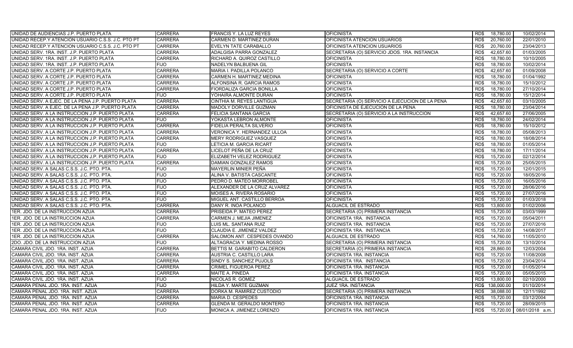| UNIDAD DE AUDIENCIAS J.P. PUERTO PLATA             | <b>CARRERA</b> | FRANCIS Y. LA LUZ REYES          | <b>OFICINISTA</b>                              | RD\$ | 18,780.00  | 10/02/2014      |
|----------------------------------------------------|----------------|----------------------------------|------------------------------------------------|------|------------|-----------------|
| UNIDAD RECEP Y ATENCION USUARIO C.S.S. J.C. PTO PT | <b>CARRERA</b> | CARMEN D. MARTINEZ DURAN         | OFICINISTA ATENCION USUARIOS                   | RD\$ | 20,760.00  | 22/01/2010      |
| UNIDAD RECEP Y ATENCION USUARIO C.S.S. J.C. PTO PT | <b>CARRERA</b> | EVELYN TATE CARABALLO            | OFICINISTA ATENCION USUARIOS                   | RD\$ | 20,760.00  | 23/04/2013      |
| UNIDAD SERV. 1RA. INST. J.P. PUERTO PLATA          | <b>CARRERA</b> | ADALGISA PARRA GONZALEZ          | SECRETARIA (O) SERVICIO JDOS. 1RA. INSTANCIA   | RD\$ | 42,657.60  | 01/03/2005      |
| UNIDAD SERV. 1RA. INST. J.P. PUERTO PLATA          | <b>CARRERA</b> | RICHARD A. QUIROZ CASTILLO       | <b>OFICINISTA</b>                              | RD\$ | 18,780.00  | 10/10/2005      |
| JNIDAD SERV. 1RA. INST. J.P. PUERTO PLATA          | <b>FIJO</b>    | NADELYN BALBUENA GIL             | <b>OFICINISTA</b>                              | RD\$ | 18,780.00  | 10/02/2014      |
| UNIDAD SERV. A CORTE J.P. PUERTO PLATA             | <b>CARRERA</b> | MARIA I. PADILLA POLANCO         | SECRETARIA (O) SERVICIO A CORTE                | RD\$ | 42,657.60  | 01/09/2008      |
| UNIDAD SERV. A CORTE J.P. PUERTO PLATA             | <b>CARRERA</b> | CARMEN H. MARTINEZ MEDINA        | <b>OFICINISTA</b>                              | RD\$ | 18,780.00  | 01/04/1992      |
| UNIDAD SERV. A CORTE J.P. PUERTO PLATA             | <b>CARRERA</b> | ALFONSINA R. GARCIA RAMOS        | <b>OFICINISTA</b>                              | RD\$ | 18,780.00  | 15/10/2012      |
| UNIDAD SERV. A CORTE J.P. PUERTO PLATA             | <b>CARRERA</b> | <b>FIORDALIZA GARCIA BONILLA</b> | <b>OFICINISTA</b>                              | RD\$ | 18,780.00  | 27/10/2014      |
| UNIDAD SERV. A CORTE J.P. PUERTO PLATA             | <b>FIJO</b>    | YOHAIRA ALMONTE DURAN            | <b>OFICINISTA</b>                              | RD\$ | 18,780.00  | 15/12/2014      |
| UNIDAD SERV. A EJEC. DE LA PENA J.P. PUERTO PLATA  | <b>CARRERA</b> | CINTHIA M. REYES LANTIGUA        | SECRETARIA (O) SERVICIO A EJECUCION DE LA PENA | RD\$ | 42,657.60  | 03/10/2005      |
| UNIDAD SERV. A EJEC. DE LA PENA J.P. PUERTO PLATA  | <b>CARRERA</b> | MADOLY DORVILLE GUZMAN           | OFICINISTA DE EJECUCION DE LA PENA             | RD\$ | 18,780.00  | 23/04/2014      |
| UNIDAD SERV. A LA INSTRUCCION J.P. PUERTO PLATA    | <b>CARRERA</b> | FELICIA SANTANA GARCIA           | SECRETARIA (O) SERVICIO A LA INSTRUCCION       | RD\$ | 42,657.60  | 27/06/2005      |
| UNIDAD SERV. A LA INSTRUCCION J.P. PUERTO PLATA    | <b>FIJO</b>    | YOKASTA LEBRON ALMONTE           | <b>OFICINISTA</b>                              | RD\$ | 18,780.00  | 24/02/2014      |
| UNIDAD SERV. A LA INSTRUCCION J.P. PUERTO PLATA    | <b>CARRERA</b> | FIDELIA PERALTA SILVERIO         | <b>OFICINISTA</b>                              | RD\$ | 18,780.00  | 15/10/2012      |
| UNIDAD SERV. A LA INSTRUCCION J.P. PUERTO PLATA    | <b>CARRERA</b> | VERONICA Y. HERNANDEZ ULLOA      | <b>OFICINISTA</b>                              | RD\$ | 18,780.00  | 05/08/2013      |
| UNIDAD SERV. A LA INSTRUCCION J.P. PUERTO PLATA    | <b>CARRERA</b> | <b>MERY RODRIGUEZ VASQUEZ</b>    | <b>OFICINISTA</b>                              | RD\$ | 18,780.00  | 18/08/2014      |
| UNIDAD SERV. A LA INSTRUCCION J.P. PUERTO PLATA    | <b>FIJO</b>    | LETICIA M. GARCIA RICART         | <b>OFICINISTA</b>                              | RD\$ | 18,780.00  | 01/05/2014      |
| UNIDAD SERV. A LA INSTRUCCION J.P. PUERTO PLATA    | <b>CARRERA</b> | LICELOT PEÑA DE LA CRUZ          | <b>OFICINISTA</b>                              | RD\$ | 18,780.00  | 17/11/2014      |
| UNIDAD SERV. A LA INSTRUCCION J.P. PUERTO PLATA    | <b>FIJO</b>    | ELIZABETH VELEZ RODRIGUEZ        | OFICINISTA                                     | RD\$ | 15,720.00  | 02/12/2014      |
| UNIDAD SERV. A LA INSTRUCCION J.P. PUERTO PLATA    | <b>CARRERA</b> | DAMIAN GONZALEZ RAMOS            | <b>OFICINISTA</b>                              | RD\$ | 15,720.00  | 25/05/2015      |
| UNIDAD SERV. A SALAS C.S.S. J.C. PTO. PTA.         | <b>FIJO</b>    | <b>MAYERLIN MINIER PEÑA</b>      | <b>OFICINISTA</b>                              | RD\$ | 15,720.00  | 12/01/2015      |
| UNIDAD SERV. A SALAS C.S.S. J.C. PTO. PTA.         | <b>FIJO</b>    | ALINA V. BATISTA CASCANTE        | <b>OFICINISTA</b>                              | RD\$ | 15,720.00  | 18/05/2016      |
| UNIDAD SERV. A SALAS C.S.S. J.C. PTO. PTA.         | <b>FIJO</b>    | PEDRO D. MATEO MORROBEL          | <b>OFICINISTA</b>                              | RD\$ | 15,720.00  | 16/05/2016      |
| UNIDAD SERV. A SALAS C.S.S. J.C. PTO. PTA.         | <b>FIJO</b>    | ALEXANDER DE LA CRUZ ALVAREZ     | <b>OFICINISTA</b>                              | RD\$ | 15,720.00  | 28/06/2016      |
| JNIDAD SERV. A SALAS C.S.S. J.C. PTO. PTA.         | <b>FIJO</b>    | MOISES A. RIVERA ROSARIO         | <b>OFICINISTA</b>                              | RD\$ | 15,720.00  | 27/07/2016      |
| UNIDAD SERV. A SALAS C.S.S. J.C. PTO. PTA.         | <b>FIJO</b>    | MIGUEL ANT. CASTILLO BERROA      | <b>OFICINISTA</b>                              | RD\$ | 15,720.00  | 01/03/2018      |
| UNIDAD SERV. A SALAS C.S.S. J.C. PTO. PTA.         | <b>CARRERA</b> | DANY R. INOA POLANCO             | <b>ALGUACIL DE ESTRADO</b>                     | RD\$ | 13,800.00  | 01/02/2006      |
| 1ER. JDO. DE LA INSTRUCCION AZUA                   | <b>CARRERA</b> | PRISEIDA P. MATEO PEREZ          | SECRETARIA (O) PRIMERA INSTANCIA               | RD\$ | 15,720.00  | 03/03/1999      |
| 1ER. JDO. DE LA INSTRUCCION AZUA                   | <b>CARRERA</b> | CARMEN J. MEJIA JIMENEZ          | OFICINISTA 1RA. INSTANCIA                      | RD\$ | 15,720.00  | 05/04/2011      |
| 1ER. JDO. DE LA INSTRUCCION AZUA                   | <b>FIJO</b>    | LUIS ML. SANTANA RUIZ            | OFICINISTA 1RA. INSTANCIA                      | RD\$ | 15,720.00  | 27/07/2016      |
| 1ER. JDO. DE LA INSTRUCCION AZUA                   | <b>FIJO</b>    | CLAUDIA E. JIMENEZ VALDEZ        | OFICINISTA 1RA. INSTANCIA                      | RD\$ | 15,720.00  | 14/08/2017      |
| 1ER. JDO. DE LA INSTRUCCION AZUA                   | <b>CARRERA</b> | SALOMON ANT. CESPEDES OVANDO     | ALGUACIL DE ESTRADO                            | RD\$ | 14,760.00  | 11/05/2010      |
| 2DO. JDO. DE LA INSTRUCCION AZUA                   | <b>FIJO</b>    | ALTAGRACIA Y. MEDINA ROSSO       | SECRETARIA (O) PRIMERA INSTANCIA               | RD\$ | 15,720.00  | 13/10/2014      |
| CAMARA CIVIL JDO. 1RA. INST. AZUA                  | <b>CARRERA</b> | BETTIS M. GARABITO CALDERON      | SECRETARIA (O) PRIMERA INSTANCIA               | RD\$ | 28,860.00  | 12/03/2004      |
| CAMARA CIVIL JDO. 1RA. INST. AZUA                  | <b>CARRERA</b> | AUSTRIA C. CASTILLO LARA         | OFICINISTA 1RA. INSTANCIA                      | RD\$ | 15,720.00  | 11/08/2008      |
| CAMARA CIVIL JDO. 1RA. INST. AZUA                  | <b>CARRERA</b> | SINDY S. SANCHEZ PUJOLS          | OFICINISTA 1RA. INSTANCIA                      | RD\$ | 15,720.00  | 23/04/2014      |
| CAMARA CIVIL JDO. 1RA. INST. AZUA                  | <b>CARRERA</b> | <b>CRIMEL FIGUEROA PEREZ</b>     | OFICINISTA 1RA. INSTANCIA                      | RD\$ | 15,720.00  | 01/05/2014      |
| CAMARA CIVIL JDO. 1RA. INST. AZUA                  | <b>CARRERA</b> | MAITE A. PINEDA                  | OFICINISTA 1RA. INSTANCIA                      | RD\$ | 15,720.00  | 05/05/2015      |
| CAMARA CIVIL JDO. 1RA. INST. AZUA                  | <b>FIJO</b>    | NICOLAS R. GOMEZ                 | ALGUACIL DE ESTRADO                            | RD\$ | 13,800.00  | 02/10/2000      |
| CAMARA PENAL JDO. 1RA. INST. AZUA                  | <b>FIJO</b>    | HILDA Y. MARTE GUZMAN            | JUEZ 1RA. INSTANCIA                            | RD\$ | 138,000.00 | 01/10/2014      |
| CAMARA PENAL JDO. 1RA. INST. AZUA                  | <b>CARRERA</b> | DORKA M. RAMIREZ CUSTODIO        | SECRETARIA (O) PRIMERA INSTANCIA               | RD\$ | 38,088.00  | 12/11/1992      |
| CAMARA PENAL JDO. 1RA. INST. AZUA                  | <b>CARRERA</b> | MARIA D. CESPEDES                | OFICINISTA 1RA. INSTANCIA                      | RD\$ | 15,720.00  | 03/12/2004      |
| CAMARA PENAL JDO. 1RA. INST. AZUA                  | <b>CARRERA</b> | <b>GLENDA M. GERALDO MONTERO</b> | OFICINISTA 1RA. INSTANCIA                      | RD\$ | 15,720.00  | 28/09/2015      |
| CAMARA PENAL JDO. 1RA. INST. AZUA                  | <b>FIJO</b>    | MONICA A. JIMENEZ LORENZO        | OFICINISTA 1RA. INSTANCIA                      | RD\$ | 15,720.00  | 08/01/2018 a.m. |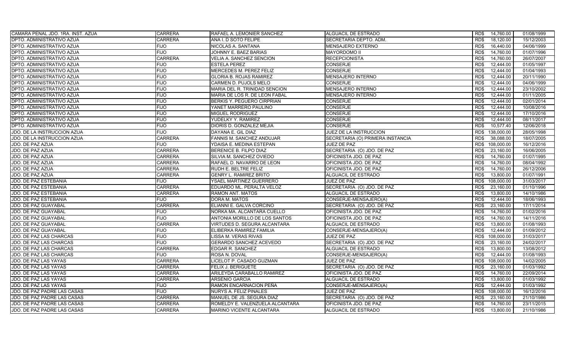| CAMARA PENAL JDO. 1RA. INST. AZUA | <b>CARRERA</b> | RAFAEL A. LEMONIER SANCHEZ      | ALGUACIL DE ESTRADO              | 14,760.00<br>RD\$  | 01/08/1999 |
|-----------------------------------|----------------|---------------------------------|----------------------------------|--------------------|------------|
| DPTO. ADMINISTRATIVO AZUA         | <b>CARRERA</b> | ANA I. D SOTO FELIPE            | SECRETARIA DEPTO. ADM.           | RD\$<br>18,120.00  | 15/12/2003 |
| DPTO. ADMINISTRATIVO AZUA         | <b>FIJO</b>    | NICOLAS A. SANTANA              | MENSAJERO EXTERNO                | RD\$<br>16,440.00  | 04/06/1999 |
| DPTO. ADMINISTRATIVO AZUA         | <b>FIJO</b>    | JOHNNY E. BAEZ BARIAS           | <b>MAYORDOMO II</b>              | 14,760.00<br>RD\$  | 01/07/1996 |
| DPTO. ADMINISTRATIVO AZUA         | <b>CARRERA</b> | VELIA A. SANCHEZ SENCION        | RECEPCIONISTA                    | 14,760.00<br>RD\$  | 26/07/2007 |
| DPTO. ADMINISTRATIVO AZUA         | <b>FIJO</b>    | <b>ESTELA PEREZ</b>             | CONSERJE                         | RD\$<br>12.444.00  | 01/05/1997 |
| DPTO. ADMINISTRATIVO AZUA         | <b>FIJO</b>    | MERCEDES M. PEREZ FELIZ         | <b>CONSERJE</b>                  | RD\$<br>12,444.00  | 01/04/1993 |
| DPTO. ADMINISTRATIVO AZUA         | <b>FIJO</b>    | <b>GLORIA B. ROJAS RAMIREZ</b>  | <b>MENSAJERO INTERNO</b>         | 12,444.00<br>RD\$  | 20/11/1990 |
| DPTO. ADMINISTRATIVO AZUA         | <b>FIJO</b>    | CARMEN D. PUJOLS MELO           | <b>CONSERJE</b>                  | 12.444.00<br>RD\$  | 04/06/1999 |
| DPTO. ADMINISTRATIVO AZUA         | <b>FIJO</b>    | MARIA DEL R. TRINIDAD SENCION   | <b>MENSAJERO INTERNO</b>         | RD\$<br>12.444.00  | 23/10/2002 |
| DPTO. ADMINISTRATIVO AZUA         | <b>FIJO</b>    | MARIA DE LOS R. DE LEON FABAL   | MENSAJERO INTERNO                | RD\$<br>12,444.00  | 01/11/2005 |
| DPTO. ADMINISTRATIVO AZUA         | <b>FIJO</b>    | BERKIS Y. PEGUERO CIRPRIAN      | <b>CONSERJE</b>                  | RD\$<br>12,444.00  | 02/01/2014 |
| DPTO. ADMINISTRATIVO AZUA         | <b>FIJO</b>    | YANET MARRERO PAULINO           | <b>CONSERJE</b>                  | RD\$<br>12,444.00  | 10/08/2016 |
| DPTO. ADMINISTRATIVO AZUA         | <b>FIJO</b>    | MIGUEL RODRIGUEZ                | <b>CONSERJE</b>                  | 12,444.00<br>RD\$  | 17/10/2016 |
| DPTO. ADMINISTRATIVO AZUA         | <b>FIJO</b>    | YUDELKY Y. RAMIREZ              | <b>CONSERJE</b>                  | RD\$<br>12,444.00  | 08/11/2017 |
| DPTO. ADMINISTRATIVO AZUA         | <b>FIJO</b>    | DIORIS D. GONZALEZ MEJIA        | <b>CONSERJE</b>                  | 10,577.40<br>RD\$  | 12/06/2018 |
| JDO. DE LA INSTRUCCION AZUA       | <b>FIJO</b>    | DAYANA E. GIL DIAZ              | <b>JUEZ DE LA INSTRUCCION</b>    | 138,000.00<br>RD\$ | 28/05/1998 |
| JDO. DE LA INSTRUCCION AZUA       | <b>CARRERA</b> | FANNIS M. SANCHEZ ANDUJAR       | SECRETARIA (O) PRIMERA INSTANCIA | RD\$<br>38,088.00  | 18/07/2005 |
| JDO. DE PAZ AZUA                  | <b>FIJO</b>    | YDAISA E. MEDINA ESTEPAN        | JUEZ DE PAZ                      | 108,000.00<br>RD\$ | 16/12/2016 |
| JDO. DE PAZ AZUA                  | <b>CARRERA</b> | BERENICE B. FILPO DIAZ          | SECRETARIA (O) JDO. DE PAZ       | RD\$<br>23,160.00  | 16/06/2005 |
| JDO. DE PAZ AZUA                  | <b>CARRERA</b> | SILVIA M. SANCHEZ OVIEDO        | OFICINISTA JDO. DE PAZ           | 14,760.00<br>RD\$  | 01/07/1995 |
| JDO. DE PAZ AZUA                  | <b>CARRERA</b> | RAFAEL D. NAVARRO DE LEON       | OFICINISTA JDO. DE PAZ           | 14,760.00<br>RD\$  | 08/04/1992 |
| JDO. DE PAZ AZUA                  | <b>CARRERA</b> | RUDH E. BELTRE FELIZ            | OFICINISTA JDO. DE PAZ           | 14,760.00<br>RD\$  | 26/12/2006 |
| JDO. DE PAZ AZUA                  | <b>CARRERA</b> | <b>GENRY L. RAMIREZ BRITO</b>   | ALGUACIL DE ESTRADO              | 13,800.00<br>RD\$  | 01/07/1991 |
| <b>JDO. DE PAZ ESTEBANIA</b>      | <b>FIJO</b>    | YSAEL MARTINEZ GUERRERO         | JUEZ DE PAZ                      | RD\$<br>108,000.00 | 31/03/2017 |
| JDO. DE PAZ ESTEBANIA             | <b>CARRERA</b> | EDUARDO ML. PERALTA VELOZ       | SECRETARIA (O) JDO. DE PAZ       | RD\$<br>23,160.00  | 01/10/1996 |
| JDO. DE PAZ ESTEBANIA             | <b>CARRERA</b> | RAMON ANT. MATOS                | ALGUACIL DE ESTRADO              | RD\$<br>13,800.00  | 14/10/1986 |
| JDO. DE PAZ ESTEBANIA             | <b>FIJO</b>    | DORA M. MATOS                   | CONSERJE-MENSAJERO(A)            | RD\$<br>12,444.00  | 18/06/1993 |
| JDO. DE PAZ GUAYABAL              | <b>CARRERA</b> | ELIANNI E. GALVA CORCINO        | SECRETARIA (O) JDO. DE PAZ       | 23,160.00<br>RD\$  | 17/11/2014 |
| <b>JDO. DE PAZ GUAYABAL</b>       | <b>FIJO</b>    | NORKA MA. ALCANTARA CUELLO      | OFICINISTA JDO. DE PAZ           | 14,760.00<br>RD\$  | 01/02/2016 |
| JDO. DE PAZ GUAYABAL              | <b>FIJO</b>    | ANTONIA MORILLO DE LOS SANTOS   | OFICINISTA JDO. DE PAZ           | 14,760.00<br>RD\$  | 14/11/2016 |
| JDO. DE PAZ GUAYABAL              | <b>CARRERA</b> | VIRTUDES D. SEGURA ALCANTARA    | <b>ALGUACIL DE ESTRADO</b>       | RD\$<br>13,800.00  | 01/08/1993 |
| JDO. DE PAZ GUAYABAL              | <b>FIJO</b>    | ELIBERKA RAMIREZ FAMILIA        | CONSERJE-MENSAJERO(A)            | RD\$<br>12,444.00  | 01/09/2012 |
| JDO. DE PAZ LAS CHARCAS           | <b>FIJO</b>    | LISSA M. VERAS RIVAS            | JUEZ DE PAZ                      | RD\$<br>108,000.00 | 31/03/2017 |
| JDO. DE PAZ LAS CHARCAS           | <b>FIJO</b>    | GERARDO SANCHEZ ACEVEDO         | SECRETARIA (O) JDO. DE PAZ       | 23,160.00<br>RD\$  | 24/02/2017 |
| JDO. DE PAZ LAS CHARCAS           | <b>CARRERA</b> | EDGAR R. SANCHEZ                | ALGUACIL DE ESTRADO              | RD\$<br>13,800.00  | 13/08/2012 |
| JDO. DE PAZ LAS CHARCAS           | <b>FIJO</b>    | ROSA N. DOVAL                   | CONSERJE-MENSAJERO(A)            | 12,444.00<br>RD\$  | 01/08/1993 |
| JDO. DE PAZ LAS YAYAS             | <b>CARRERA</b> | LICELOT P. CASADO GUZMAN        | JUEZ DE PAZ                      | RD\$<br>108,000.00 | 14/02/2005 |
| JDO. DE PAZ LAS YAYAS             | <b>CARRERA</b> | FELIX J. BERIGUETE              | SECRETARIA (O) JDO. DE PAZ       | RD\$<br>23,160.00  | 01/03/1992 |
| <b>JDO. DE PAZ LAS YAYAS</b>      | <b>CARRERA</b> | ARILEYDA CARABALLO RAMIREZ      | OFICINISTA JDO. DE PAZ           | 14,760.00<br>RD\$  | 22/09/2014 |
| JDO. DE PAZ LAS YAYAS             | <b>CARRERA</b> | ARSENIO GARCIA                  | ALGUACIL DE ESTRADO              | RD\$<br>13,800.00  | 01/03/1992 |
| JDO. DE PAZ LAS YAYAS             | <b>FIJO</b>    | RAMON ENCARNACION PEÑA          | CONSERJE-MENSAJERO(A)            | 12,444.00<br>RD\$  | 01/03/1992 |
| JDO. DE PAZ PADRE LAS CASAS       | <b>FIJO</b>    | <b>NURYS A. FELIZ PINALES</b>   | JUEZ DE PAZ                      | RD\$<br>108,000.00 | 16/12/2016 |
| JDO. DE PAZ PADRE LAS CASAS       | <b>CARRERA</b> | MANUEL DE JS. SEGURA DIAZ       | SECRETARIA (O) JDO. DE PAZ       | RD\$<br>23,160.00  | 21/10/1986 |
| JDO. DE PAZ PADRE LAS CASAS       | <b>CARRERA</b> | ROMELDY E. VALENZUELA ALCANTARA | OFICINISTA JDO. DE PAZ           | 14,760.00<br>RD\$  | 23/11/2015 |
| JDO. DE PAZ PADRE LAS CASAS       | <b>CARRERA</b> | MARINO VICENTE ALCANTARA        | ALGUACIL DE ESTRADO              | 13,800.00<br>RD\$  | 21/10/1986 |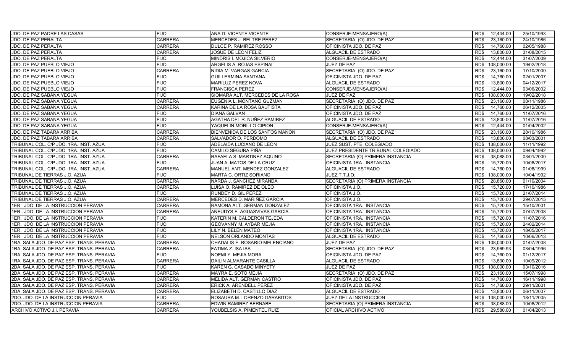| JDO. DE PAZ PADRE LAS CASAS               | <b>FIJO</b>    | ANA D. VICENTE VICENTE           | CONSERJE-MENSAJERO(A)              | RD\$ | 12,444.00  | 25/10/1993 |
|-------------------------------------------|----------------|----------------------------------|------------------------------------|------|------------|------------|
| JDO. DE PAZ PERALTA                       | <b>CARRERA</b> | MERCEDES J. BELTRE PEREZ         | SECRETARIA (O) JDO. DE PAZ         | RD\$ | 23,160.00  | 24/10/1986 |
| JDO. DE PAZ PERALTA                       | <b>CARRERA</b> | DULCE P. RAMIREZ ROSSO           | OFICINISTA JDO. DE PAZ             | RD\$ | 14,760.00  | 02/05/1988 |
| JDO. DE PAZ PERALTA                       | <b>CARRERA</b> | JOSUE DE LEON FELIZ              | ALGUACIL DE ESTRADO                | RD\$ | 13,800.00  | 31/08/2015 |
| JDO. DE PAZ PERALTA                       | <b>FIJO</b>    | MINDRIS I. MOJICA SILVERIO       | CONSERJE-MENSAJERO(A)              | RD\$ | 12,444.00  | 31/07/2009 |
| JDO. DE PAZ PUEBLO VIEJO                  | FIJO           | ARGELIS A. ROJAS ESPINAL         | JUEZ DE PAZ                        | RD\$ | 108.000.00 | 19/02/2018 |
| JDO. DE PAZ PUEBLO VIEJO                  | <b>CARRERA</b> | NIDIA M. VARGAS GARCIA           | SECRETARIA (O) JDO. DE PAZ         | RD\$ | 23,160.00  | 17/10/2000 |
| JDO. DE PAZ PUEBLO VIEJO                  | <b>FIJO</b>    | GUILLERMINA SANTANA              | OFICINISTA JDO. DE PAZ             | RD\$ | 14,760.00  | 02/01/2007 |
| JDO. DE PAZ PUEBLO VIEJO                  | <b>FIJO</b>    | MARILUZ PEREZ NOVA               | <b>ALGUACIL DE ESTRADO</b>         | RD\$ | 13,800.00  | 04/12/2017 |
| JDO. DE PAZ PUEBLO VIEJO                  | <b>FIJO</b>    | <b>FRANCISCA PEREZ</b>           | CONSERJE-MENSAJERO(A)              | RD\$ | 12,444.00  | 03/06/2002 |
| JDO. DE PAZ SABANA YEGUA                  | <b>FIJO</b>    | SIOMARA ALT. MERCEDES DE LA ROSA | <b>JUEZ DE PAZ</b>                 | RD\$ | 108,000.00 | 19/02/2018 |
| JDO. DE PAZ SABANA YEGUA                  | <b>CARRERA</b> | EUGENIA L. MONTAÑO GUZMAN        | SECRETARIA (O) JDO. DE PAZ         | RD\$ | 23,160.00  | 08/11/1986 |
| JDO. DE PAZ SABANA YEGUA                  | <b>CARRERA</b> | KARINA DE LA ROSA BAUTISTA       | OFICINISTA JDO. DE PAZ             | RD\$ | 14,760.00  | 06/12/2005 |
| JDO. DE PAZ SABANA YEGUA                  | <b>FIJO</b>    | DIANA GALVAN                     | OFICINISTA JDO. DE PAZ             | RD\$ | 14,760.00  | 11/07/2016 |
| JDO. DE PAZ SABANA YEGUA                  | <b>FIJO</b>    | AGATHA DEL R. NUÑEZ RAMIREZ      | ALGUACIL DE ESTRADO                | RD\$ | 13,800.00  | 11/07/2016 |
| JDO. DE PAZ SABANA YEGUA                  | <b>FIJO</b>    | YAQUELIN MORILLO CIPION          | CONSERJE-MENSAJERO(A)              | RD\$ | 12,444.00  | 01/04/2002 |
| JDO. DE PAZ TABARA ARRIBA                 | <b>CARRERA</b> | BIENVENIDA DE LOS SANTOS MAÑON   | SECRETARIA (O) JDO. DE PAZ         | RD\$ | 23,160.00  | 28/10/1986 |
| JDO. DE PAZ TABARA ARRIBA                 | <b>CARRERA</b> | SALVADOR O. PERDOMO              | ALGUACIL DE ESTRADO                | RD\$ | 13,800.00  | 08/03/2001 |
| TRIBUNAL COL. C/P JDO. 1RA. INST. AZUA    | <b>FIJO</b>    | ADELAIDA LUCIANO DE LEON         | JUEZ SUST. PTE. COLEGIADO          | RD\$ | 138,000.00 | 11/11/1992 |
| TRIBUNAL COL. C/P JDO. 1RA. INST. AZUA    | <b>FIJO</b>    | CAMILO SEGURA PIÑA               | JUEZ PRESIDENTE TRIBUNAL COLEGIADO | RD\$ | 138,000.00 | 09/04/1992 |
| TRIBUNAL COL. C/P JDO. 1RA. INST. AZUA    | <b>CARRERA</b> | RAFAELA S. MARTINEZ AQUINO       | SECRETARIA (O) PRIMERA INSTANCIA   | RD\$ | 38,088.00  | 03/01/2000 |
| TRIBUNAL COL. C/P JDO. 1RA. INST. AZUA    | <b>FIJO</b>    | JUAN A. MATOS DE LA CRUZ         | OFICINISTA 1RA. INSTANCIA          | RD\$ | 15,720.00  | 10/08/2017 |
| TRIBUNAL COL. C/P JDO. 1RA. INST. AZUA    | <b>CARRERA</b> | MANUEL ANT. MENDEZ GONZALEZ      | ALGUACIL DE ESTRADO                | RD\$ | 14,760.00  | 01/08/1999 |
| TRIBUNAL DE TIERRAS J.O. AZUA             | <b>FIJO</b>    | MARTA C. ORTIZ SORIANO           | JUEZ T.T.J.O.                      | RD\$ | 138,000.00 | 10/04/1992 |
| TRIBUNAL DE TIERRAS J.O. AZUA             | <b>CARRERA</b> | NARDA J. SANCHEZ MIRANDA         | SECRETARIA (O) PRIMERA INSTANCIA   | RD\$ | 28,860.00  | 01/10/2004 |
| TRIBUNAL DE TIERRAS J.O. AZUA             | CARRERA        | LUISA O. RAMIREZ DE OLEO         | OFICINISTA J.O.                    | RD\$ | 15,720.00  | 17/10/1986 |
| TRIBUNAL DE TIERRAS J.O. AZUA             | <b>FIJO</b>    | RUNDEY D. GIL PEREZ              | OFICINISTA J.O.                    | RD\$ | 15,720.00  | 21/07/2014 |
| TRIBUNAL DE TIERRAS J.O. AZUA             | <b>CARRERA</b> | MERCEDES D. MARIÑEZ GARCIA       | OFICINISTA J.O.                    | RD\$ | 15,720.00  | 29/07/2015 |
| 1ER. JDO. DE LA INSTRUCCION PERAVIA       | <b>CARRERA</b> | RAMONA ALT. GERMAN GONZALEZ      | OFICINISTA 1RA. INSTANCIA          | RD\$ | 15,720.00  | 15/10/2001 |
| 1ER. JDO. DE LA INSTRUCCION PERAVIA       | <b>CARRERA</b> | ANEUDYS E. AGUASVIVAS GARCIA     | OFICINISTA 1RA. INSTANCIA          | RD\$ | 15.720.00  | 07/07/2008 |
| 1ER. JDO. DE LA INSTRUCCION PERAVIA       | <b>FIJO</b>    | KATERIN M. CALDERON TEJEDA       | OFICINISTA 1RA. INSTANCIA          | RD\$ | 15,720.00  | 11/07/2016 |
| 1ER. JDO. DE LA INSTRUCCION PERAVIA       | <b>FIJO</b>    | GEOVANNY M. AYBAR MEJIA          | OFICINISTA 1RA. INSTANCIA          | RD\$ | 15,720.00  | 24/02/2014 |
| 1ER. JDO. DE LA INSTRUCCION PERAVIA       | <b>FIJO</b>    | LILY N. BELEN MATEO              | OFICINISTA 1RA. INSTANCIA          | RD\$ | 15,720.00  | 18/05/2017 |
| 1ER. JDO. DE LA INSTRUCCION PERAVIA       | <b>FIJO</b>    | NELSON ORLANDO MONTAS            | ALGUACIL DE ESTRADO                | RD\$ | 14,760.00  | 10/06/2013 |
| 1RA. SALA JDO. DE PAZ ESP. TRANS. PERAVIA | <b>CARRERA</b> | CHADALIS E. ROSARIO MELENCIANO   | JUEZ DE PAZ                        | RD\$ | 108,000.00 | 01/07/2008 |
| 1RA. SALA JDO. DE PAZ ESP. TRANS. PERAVIA | CARRERA        | FATIMA Z. ISA ISA                | SECRETARIA (O) JDO. DE PAZ         | RD\$ | 23,969.93  | 03/04/1996 |
| 1RA. SALA JDO. DE PAZ ESP. TRANS. PERAVIA | <b>FIJO</b>    | NOEMI Y. MEJIA MORA              | OFICINISTA JDO. DE PAZ             | RD\$ | 14,760.00  | 01/12/2017 |
| 1RA. SALA JDO. DE PAZ ESP. TRANS. PERAVIA | CARRERA        | DAILIN ALMARANTE CASILLA         | ALGUACIL DE ESTRADO                | RD\$ | 13,800.00  | 10/09/2012 |
| 2DA. SALA JDO. DE PAZ ESP. TRANS. PERAVIA | <b>FIJO</b>    | KAREN G. CASADO MINYETY          | JUEZ DE PAZ                        | RD\$ | 108,000.00 | 03/10/2016 |
| 2DA. SALA JDO. DE PAZ ESP. TRANS. PERAVIA | <b>CARRERA</b> | MAYRA E. SOTO MEJIA              | SECRETARIA (O) JDO. DE PAZ         | RD\$ | 23,160.00  | 15/07/1998 |
| 2DA. SALA JDO. DE PAZ ESP. TRANS. PERAVIA | <b>CARRERA</b> | MELIDA ALT. GERMAN CASTRO        | OFICINISTA JDO. DE PAZ             | RD\$ | 14,760.00  | 16/11/1998 |
| 2DA. SALA JDO. DE PAZ ESP. TRANS. PERAVIA | CARRERA        | ERICK A. ARENDELL PEREZ          | OFICINISTA JDO. DE PAZ             | RD\$ | 14,760.00  | 29/11/2001 |
| 2DA. SALA JDO. DE PAZ ESP. TRANS. PERAVIA | <b>CARRERA</b> | ELIZABETH D. CASTILLO DIAZ       | ALGUACIL DE ESTRADO                | RD\$ | 13,800.00  | 06/11/2007 |
| 2DO. JDO. DE LA INSTRUCCION PERAVIA       | <b>FIJO</b>    | ROSAURA M. LORENZO GARABITOS     | JUEZ DE LA INSTRUCCION             | RD\$ | 138,000.00 | 18/11/2005 |
| 2DO. JDO. DE LA INSTRUCCION PERAVIA       | CARRERA        | EDWIN RAMIREZ BERNABE            | SECRETARIA (O) PRIMERA INSTANCIA   | RD\$ | 38,088.00  | 10/08/2012 |
| ARCHIVO ACTIVO J.I. PERAVIA               | <b>CARRERA</b> | YOUBELSIS A. PIMENTEL RUIZ       | OFICIAL ARCHIVO ACTIVO             | RD\$ | 29,580.00  | 01/04/2013 |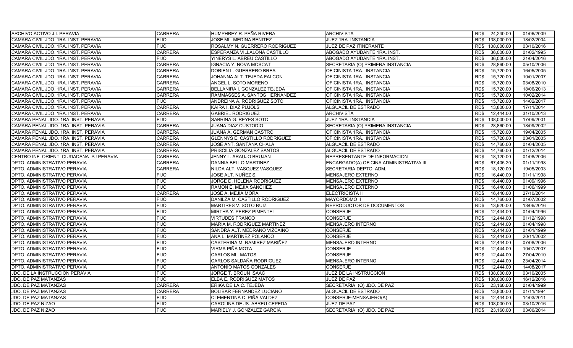| ARCHIVO ACTIVO J.I. PERAVIA              | <b>CARRERA</b> | HUMPHREY R. PEÑA RIVERA          | <b>ARCHIVISTA</b>                       | 24,240.00<br>RD\$  | 01/06/2009 |
|------------------------------------------|----------------|----------------------------------|-----------------------------------------|--------------------|------------|
| CAMARA CIVIL JDO. 1RA. INST. PERAVIA     | <b>FIJO</b>    | JOSE ML. MEDINA BENITEZ          | JUEZ 1RA. INSTANCIA                     | RD\$ 138,000.00    | 18/02/2004 |
| CAMARA CIVIL JDO. 1RA. INST. PERAVIA     | <b>FIJO</b>    | ROSALMY N. GUERRERO RODRIGUEZ    | JUEZ DE PAZ ITINERANTE                  | 108,000.00<br>RD\$ | 03/10/2016 |
| CAMARA CIVIL JDO. 1RA. INST. PERAVIA     | <b>CARRERA</b> | ESPERANZA VILLALONA CASTILLO     | ABOGADO AYUDANTE 1RA. INST.             | RD\$<br>36,000.00  | 01/02/1995 |
| CAMARA CIVIL JDO. 1RA. INST. PERAVIA     | FIJO           | YINERYS L. ABREU CASTILLO        | ABOGADO AYUDANTE 1RA. INST.             | RD\$<br>36,000.00  | 21/04/2016 |
| CAMARA CIVIL JDO. 1RA. INST. PERAVIA     | <b>CARRERA</b> | <b>IGNACIA Y. NOVA MOSCAT</b>    | SECRETARIA (O) PRIMERA INSTANCIA        | 28,860.00<br>RD\$  | 05/10/2006 |
| CAMARA CIVIL JDO. 1RA. INST. PERAVIA     | <b>CARRERA</b> | DORIEN L. GUERRERO BREA          | OFICINISTA 1RA. INSTANCIA               | RD\$<br>15,720.00  | 16/05/2005 |
| CAMARA CIVIL JDO. 1RA. INST. PERAVIA     | <b>CARRERA</b> | JOHANNA ALT. TEJEDA FALCON       | OFICINISTA 1RA. INSTANCIA               | 15,720.00<br>RD\$  | 10/01/2007 |
| CAMARA CIVIL JDO. 1RA. INST. PERAVIA     | <b>CARRERA</b> | ANGEL L. SOTO MORENO             | OFICINISTA 1RA. INSTANCIA               | 15.720.00<br>RD\$  | 03/08/2010 |
| CAMARA CIVIL JDO, 1RA, INST, PERAVIA     | <b>CARRERA</b> | BELLANIRA I. GONZALEZ TEJEDA     | OFICINISTA 1RA. INSTANCIA               | RD\$<br>15.720.00  | 18/06/2013 |
| CAMARA CIVIL JDO. 1RA. INST. PERAVIA     | <b>CARRERA</b> | RAMMASSES A. SANTOS HERNANDEZ    | OFICINISTA 1RA. INSTANCIA               | 15,720.00<br>RD\$  | 10/02/2014 |
| CAMARA CIVIL JDO. 1RA. INST. PERAVIA     | <b>FIJO</b>    | ANDREINA A. RODRIGUEZ SOTO       | OFICINISTA 1RA. INSTANCIA               | RD\$<br>15.720.00  | 14/02/2017 |
| CAMARA CIVIL JDO. 1RA. INST. PERAVIA     | <b>CARRERA</b> | KAIRA I. DIAZ PUJOLS             | ALGUACIL DE ESTRADO                     | RD\$<br>13,800.00  | 17/11/2014 |
| CAMARA CIVIL JDO. 1RA. INST. PERAVIA     | <b>CARRERA</b> | <b>GABRIEL RODRIGUEZ</b>         | <b>ARCHIVISTA</b>                       | 12.444.00<br>RD\$  | 31/10/2013 |
| CAMARA PENAL JDO. 1RA. INST. PERAVIA     | <b>FIJO</b>    | SABRINA G. REYES SOTO            | JUEZ 1RA. INSTANCIA                     | RD\$<br>138,000.00 | 17/09/2001 |
| CAMARA PENAL JDO. 1RA. INST. PERAVIA     | <b>CARRERA</b> | JUANA DIAZ CUSTODIO              | SECRETARIA (O) PRIMERA INSTANCIA        | RD\$<br>28,860.00  | 18/09/2002 |
| CAMARA PENAL JDO. 1RA. INST. PERAVIA     | <b>CARRERA</b> | JUANA A. GERMAN CASTRO           | OFICINISTA 1RA. INSTANCIA               | RD\$<br>15,720.00  | 19/04/2005 |
| CAMARA PENAL JDO. 1RA. INST. PERAVIA     | <b>CARRERA</b> | GLENNYS E. CASTILLO RODRIGUEZ    | OFICINISTA 1RA. INSTANCIA               | RD\$<br>15,720.00  | 03/01/2005 |
| CAMARA PENAL JDO. 1RA. INST. PERAVIA     | <b>CARRERA</b> | JOSE ANT. SANTANA CHALA          | <b>ALGUACIL DE ESTRADO</b>              | RD\$<br>14,760.00  | 01/04/2005 |
| CAMARA PENAL JDO. 1RA. INST. PERAVIA     | <b>CARRERA</b> | PRISCILIA GONZALEZ SANTOS        | ALGUACIL DE ESTRADO                     | RD\$<br>14,760.00  | 01/12/2014 |
| CENTRO INF. ORIENT. CIUDADANA PJ PERAVIA | <b>CARRERA</b> | JENNY L. ARAUJO BRUJAN           | REPRESENTANTE DE INFORMACION            | 18,120.00<br>RD\$  | 01/08/2006 |
| DPTO. ADMINISTRATIVO PERAVIA             | <b>CARRERA</b> | DANNIA BELLO MARTINEZ            | ENCARGADO(A) OFICINA ADMINISTRATIVA III | 67,405.20<br>RD\$  | 01/11/1998 |
| DPTO. ADMINISTRATIVO PERAVIA             | <b>CARRERA</b> | NILDA ALT. VASQUEZ VASQUEZ       | SECRETARIA DEPTO, ADM.                  | RD\$<br>18,120.00  | 19/05/2003 |
| DPTO. ADMINISTRATIVO PERAVIA             | <b>FIJO</b>    | JOSE ALT. NUÑEZ S.               | MENSAJERO EXTERNO                       | RD\$<br>16,440.00  | 01/11/1998 |
| DPTO. ADMINISTRATIVO PERAVIA             | <b>FIJO</b>    | JORGE D. HELENA RODRIGUEZ        | <b>MENSAJERO EXTERNO</b>                | 16,440.00<br>RD\$  | 01/09/1996 |
| DPTO. ADMINISTRATIVO PERAVIA             | <b>FIJO</b>    | RAMON E. MEJIA SANCHEZ           | <b>MENSAJERO EXTERNO</b>                | RD\$<br>16.440.00  | 01/06/1999 |
| DPTO. ADMINISTRATIVO PERAVIA             | <b>CARRERA</b> | <b>JOSE A. MEJIA MORA</b>        | <b>ELECTRICISTA II</b>                  | 16.440.00<br>RD\$  | 27/10/2014 |
| DPTO. ADMINISTRATIVO PERAVIA             | <b>FIJO</b>    | DANILZA M. CASTILLO RODRIGUEZ    | <b>MAYORDOMO II</b>                     | RD\$<br>14,760.00  | 01/07/2002 |
| DPTO. ADMINISTRATIVO PERAVIA             | <b>FIJO</b>    | MARTIRES V. SOTO RUIZ            | REPRODUCTOR DE DOCUMENTOS               | RD\$<br>13,920.00  | 13/06/2016 |
| DPTO. ADMINISTRATIVO PERAVIA             | <b>FIJO</b>    | MIRTHA Y. PEREZ PIMENTEL         | <b>CONSERJE</b>                         | RD\$<br>12.444.00  | 01/04/1996 |
| DPTO. ADMINISTRATIVO PERAVIA             | <b>FIJO</b>    | <b>VIRTUDES FRANCO</b>           | <b>CONSERJE</b>                         | RD\$<br>12,444.00  | 01/12/1998 |
| DPTO. ADMINISTRATIVO PERAVIA             | <b>FIJO</b>    | MARIA M. RODRIGUEZ MARTINEZ      | <b>MENSAJERO INTERNO</b>                | RD\$<br>12,444.00  | 01/04/1998 |
| DPTO. ADMINISTRATIVO PERAVIA             | <b>FIJO</b>    | SANDRA ALT. MEDRANO VIZCAINO     | <b>CONSERJE</b>                         | RD\$<br>12,444.00  | 01/01/1999 |
| DPTO. ADMINISTRATIVO PERAVIA             | <b>FIJO</b>    | ANA L. MARTINEZ POLANCO          | <b>CONSERJE</b>                         | RD\$<br>12,444.00  | 20/11/2002 |
| DPTO. ADMINISTRATIVO PERAVIA             | <b>FIJO</b>    | CASTERINA M. RAMIREZ MARIÑEZ     | <b>MENSAJERO INTERNO</b>                | RD\$<br>12.444.00  | 07/08/2006 |
| DPTO. ADMINISTRATIVO PERAVIA             | <b>FIJO</b>    | VIRMA PIÑA MOTA                  | <b>CONSERJE</b>                         | RD\$<br>12,444.00  | 10/07/2007 |
| DPTO. ADMINISTRATIVO PERAVIA             | <b>FIJO</b>    | <b>CARLOS ML. MATOS</b>          | <b>CONSERJE</b>                         | 12,444.00<br>RD\$  | 27/04/2010 |
| DPTO. ADMINISTRATIVO PERAVIA             | <b>FIJO</b>    | CARLOS SALDAÑA RODRIGUEZ         | <b>MENSAJERO INTERNO</b>                | 12.444.00<br>RD\$  | 23/04/2014 |
| DPTO. ADMINISTRATIVO PERAVIA             | <b>FIJO</b>    | ANTONIO MATOS GONZALES           | <b>CONSERJE</b>                         | RD\$<br>12.444.00  | 14/08/2017 |
| JDO. DE LA INSTRUCCION PERAVIA           | <b>FIJO</b>    | JORGE T. BROUN ISAAC             | JUEZ DE LA INSTRUCCION                  | RD\$<br>138,000.00 | 03/10/2005 |
| JDO. DE PAZ MATANZAS                     | <b>FIJO</b>    | ELBA E. RODRIGUEZ MATOS          | JUEZ DE PAZ                             | 108,000.00<br>RD\$ | 16/12/2016 |
| JDO. DE PAZ MATANZAS                     | <b>CARRERA</b> | ERIKA DE LA C. TEJEDA            | SECRETARIA (O) JDO. DE PAZ              | 23,160.00<br>RD\$  | 01/04/1999 |
| JDO. DE PAZ MATANZAS                     | <b>CARRERA</b> | <b>BOLIBAR FERNANDEZ LUCIANO</b> | ALGUACIL DE ESTRADO                     | RD\$<br>13,800.00  | 01/11/1994 |
| <b>JDO. DE PAZ MATANZAS</b>              | <b>FIJO</b>    | CLEMENTINA C. PIÑA VALDEZ        | CONSERJE-MENSAJERO(A)                   | RD\$<br>12.444.00  | 14/03/2011 |
| JDO. DE PAZ NIZAO                        | <b>FIJO</b>    | CAROLINA DE JS. ABREU CEPEDA     | JUEZ DE PAZ                             | 108,000.00<br>RD\$ | 03/10/2016 |
| JDO. DE PAZ NIZAO                        | <b>FIJO</b>    | MARIELY J. GONZALEZ GARCIA       | SECRETARIA (O) JDO. DE PAZ              | RD\$<br>23,160.00  | 03/06/2014 |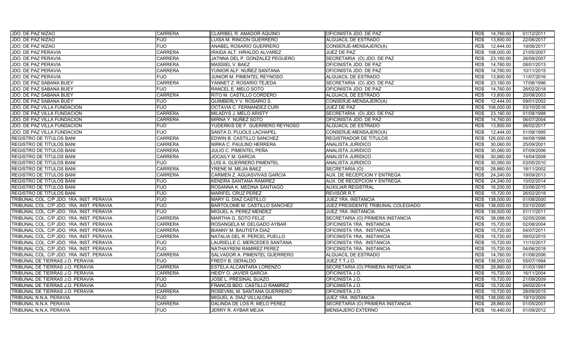| JDO. DE PAZ NIZAO                         | <b>CARRERA</b> | CLARIBEL R. AMADOR AQUINO          | OFICINISTA JDO. DE PAZ             | RD\$<br>14,760.00  | 01/12/2011 |
|-------------------------------------------|----------------|------------------------------------|------------------------------------|--------------------|------------|
| JDO. DE PAZ NIZAO                         | <b>FIJO</b>    | LUISA M. RINCON GUERRERO           | ALGUACIL DE ESTRADO                | RD\$<br>13,800.00  | 22/06/2017 |
| JDO. DE PAZ NIZAO                         | <b>FIJO</b>    | ANABEL ROSARIO GUERRERO            | CONSERJE-MENSAJERO(A)              | 12,444.00<br>RD\$  | 19/06/2017 |
| <b>JDO. DE PAZ PERAVIA</b>                | <b>CARRERA</b> | <b>IRAIDA ALT. HIRALDO ALVAREZ</b> | JUEZ DE PAZ                        | RD\$<br>108,000.00 | 21/05/2007 |
| JDO. DE PAZ PERAVIA                       | <b>CARRERA</b> | JATNNA DEL P. GONZALEZ PEGUERO     | SECRETARIA (O) JDO. DE PAZ         | 23,160.00<br>RD\$  | 26/09/2007 |
| JDO. DE PAZ PERAVIA                       | <b>CARRERA</b> | MASSIEL V. BAEZ                    | OFICINISTA JDO. DE PAZ             | 14,760.00<br>RD\$  | 08/01/2013 |
| <b>JDO. DE PAZ PERAVIA</b>                | <b>CARRERA</b> | YUNIOR ALF. NUÑEZ SANTANA          | OFICINISTA JDO. DE PAZ             | RD\$<br>14,760.00  | 10/11/2015 |
| JDO. DE PAZ PERAVIA                       | <b>FIJO</b>    | JUNIOR M. PIMENTEL REYNOSO         | ALGUACIL DE ESTRADO                | 13,800.00<br>RD\$  | 11/07/2016 |
| JDO. DE PAZ SABANA BUEY                   | <b>CARRERA</b> | YANNET Z. ROSARIO TEJEDA           | SECRETARIA (O) JDO. DE PAZ         | 23,160.00<br>RD\$  | 17/06/1996 |
| JDO. DE PAZ SABANA BUEY                   | <b>FIJO</b>    | RANCEL E. MELO SOTO                | OFICINISTA JDO. DE PAZ             | RD\$<br>14,760.00  | 26/02/2018 |
| JDO. DE PAZ SABANA BUEY                   | <b>CARRERA</b> | RITO M. CASTILLO CORDERO           | ALGUACIL DE ESTRADO                | 13,800.00<br>RD\$  | 20/08/2003 |
| JDO. DE PAZ SABANA BUEY                   | <b>FIJO</b>    | QUIMBERLY V. ROSARIO S.            | CONSERJE-MENSAJERO(A)              | 12.444.00<br>RD\$  | 09/01/2002 |
| JDO. DE PAZ VILLA FUNDACION               | <b>FIJO</b>    | OCTAVIA C. FERNANDEZ CURI          | <b>JUEZ DE PAZ</b>                 | RD\$<br>108,000.00 | 03/10/2016 |
| JDO. DE PAZ VILLA FUNDACION               | <b>CARRERA</b> | MILADYS J. MELO ARISTY             | SECRETARIA (O) JDO. DE PAZ         | RD\$<br>23,160.00  | 01/08/1998 |
| JDO. DE PAZ VILLA FUNDACION               | <b>CARRERA</b> | MIRNA Y. NUÑEZ SOTO                | OFICINISTA JDO. DE PAZ             | RD\$<br>14,760.00  | 06/07/2004 |
| JDO. DE PAZ VILLA FUNDACION               | <b>FIJO</b>    | YUDERKIS DE F. GUERRERO REYNOSO    | ALGUACIL DE ESTRADO                | 13,800.00<br>RD\$  | 06/02/2017 |
| JDO. DE PAZ VILLA FUNDACION               | <b>FIJO</b>    | SANTA D. PUJOLS LACHAPEL           | CONSERJE-MENSAJERO(A)              | RD\$<br>12,444.00  | 01/08/1995 |
| <b>REGISTRO DE TITULOS BANI</b>           | <b>CARRERA</b> | EDWIN B. CASTILLO SANCHEZ          | REGISTRADOR DE TITULOS             | RD\$<br>126,000.00 | 04/09/1998 |
| REGISTRO DE TITULOS BANI                  | <b>CARRERA</b> | NIRKA C. PAULINO HERRERA           | <b>ANALISTA JURIDICO</b>           | RD\$<br>30,060.00  | 25/09/2001 |
| <b>REGISTRO DE TITULOS BANI</b>           | <b>CARRERA</b> | JULIO C. PIMENTEL PEÑA             | ANALISTA JURIDICO                  | 30,060.00<br>RD\$  | 07/09/2006 |
| <b>REGISTRO DE TITULOS BANI</b>           | <b>CARRERA</b> | JOCAILY M. GARCIA                  | ANALISTA JURIDICO                  | 30,060.00<br>RD\$  | 14/04/2008 |
| <b>REGISTRO DE TITULOS BANI</b>           | <b>FIJO</b>    | LUIS A. GUERRERO PIMENTEL          | ANALISTA JURIDICO                  | 30,060.00<br>RD\$  | 03/05/2010 |
| <b>REGISTRO DE TITULOS BANI</b>           | <b>CARRERA</b> | YRENE M. MEJIA BAEZ                | SECRETARIA (O)                     | RD\$<br>28,860.00  | 18/11/2002 |
| REGISTRO DE TITULOS BANI                  | <b>CARRERA</b> | CARMEN Z. AGUASVIVAS GARCIA        | AUX. DE RECEPCION Y ENTREGA        | 24,240.00<br>RD\$  | 19/09/2013 |
| <b>REGISTRO DE TITULOS BANI</b>           | <b>FIJO</b>    | KENDRA SANTANA RAMIREZ             | AUX. DE RECEPCION Y ENTREGA        | RD\$<br>24,240.00  | 10/02/2014 |
| <b>REGISTRO DE TITULOS BANI</b>           | <b>FIJO</b>    | ROSANNA K. MEDINA SANTIAGO         | AUXILIAR REGISTRAL                 | RD\$<br>16,200.00  | 03/06/2015 |
| <b>REGISTRO DE TITULOS BANI</b>           | <b>FIJO</b>    | <b>MARIFEL CRUZ PEREZ</b>          | <b>REVISOR R.T.</b>                | RD\$<br>15,720.00  | 26/02/2018 |
| TRIBUNAL COL. C/P JDO. 1RA. INST. PERAVIA | <b>FIJO</b>    | MARY G. DIAZ CASTILLO              | JUEZ 1RA. INSTANCIA                | RD\$<br>138,000.00 | 01/08/2000 |
| TRIBUNAL COL. C/P JDO. 1RA. INST. PERAVIA | <b>FIJO</b>    | BARTOLOME M. CASTILLO SANCHEZ      | JUEZ PRESIDENTE TRIBUNAL COLEGIADO | 138,000.00<br>RD\$ | 03/10/2000 |
| TRIBUNAL COL. C/P JDO. 1RA. INST. PERAVIA | <b>FIJO</b>    | MIGUEL A. PEREZ MENDEZ             | JUEZ 1RA. INSTANCIA                | RD\$ 138,000.00    | 01/11/2011 |
| TRIBUNAL COL. C/P JDO. 1RA. INST. PERAVIA | <b>CARRERA</b> | MARTHA G. SOTO FELIZ               | SECRETARIA (O) PRIMERA INSTANCIA   | RD\$<br>38,088.00  | 02/05/2006 |
| TRIBUNAL COL. C/P JDO. 1RA. INST. PERAVIA | <b>CARRERA</b> | ROSANGELA M. DELGADO AYBAR         | OFICINISTA 1RA. INSTANCIA          | RD\$<br>15,720.00  | 02/08/2004 |
| TRIBUNAL COL. C/P JDO. 1RA. INST. PERAVIA | <b>CARRERA</b> | BIANNY M. BAUTISTA DIAZ            | OFICINISTA 1RA. INSTANCIA          | RD\$<br>15,720.00  | 04/07/2011 |
| TRIBUNAL COL. C/P JDO. 1RA. INST. PERAVIA | <b>CARRERA</b> | NATALIA DEL R. PERCEL PUELLO       | OFICINISTA 1RA. INSTANCIA          | 15,720.00<br>RD\$  | 09/02/2015 |
| TRIBUNAL COL. C/P JDO. 1RA. INST. PERAVIA | <b>FIJO</b>    | LAURIELLE C. MERCEDES SANTANA      | OFICINISTA 1RA. INSTANCIA          | RD\$<br>15,720.00  | 11/10/2017 |
| TRIBUNAL COL. C/P JDO. 1RA. INST. PERAVIA | <b>FIJO</b>    | NATHAYRENI RAMIREZ PEREZ           | OFICINISTA 1RA. INSTANCIA          | 15,720.00<br>RD\$  | 04/06/2018 |
| TRIBUNAL COL. C/P JDO. 1RA. INST. PERAVIA | <b>CARRERA</b> | SALVADOR A. PIMENTEL GUERRERO      | ALGUACIL DE ESTRADO                | 14,760.00<br>RD\$  | 01/08/2006 |
| TRIBUNAL DE TIERRAS J.O. PERAVIA          | <b>FIJO</b>    | FREDY B. GERALDO                   | JUEZ T.T.J.O.                      | RD\$<br>138,000.00 | 05/07/1994 |
| TRIBUNAL DE TIERRAS J.O. PERAVIA          | <b>CARRERA</b> | ESTELA ALCANTARA LORENZO           | SECRETARIA (O) PRIMERA INSTANCIA   | 28.860.00<br>RD\$  | 01/03/1997 |
| TRIBUNAL DE TIERRAS J.O. PERAVIA          | <b>CARRERA</b> | HEIDY O. JAVIER GARCIA             | OFICINISTA J.O.                    | 15,720.00<br>RD\$  | 16/11/2004 |
| TRIBUNAL DE TIERRAS J.O. PERAVIA          | <b>FIJO</b>    | JOSE L. PRESINAL SUAZO             | OFICINISTA J.O.                    | RD\$<br>15,720.00  | 21/09/2009 |
| TRIBUNAL DE TIERRAS J.O. PERAVIA          | <b>FIJO</b>    | FRANCIS BDO. CASTILLO RAMIREZ      | OFICINISTA J.O.                    | 15,720.00<br>RD\$  | 04/02/2014 |
| TRIBUNAL DE TIERRAS J.O. PERAVIA          | <b>CARRERA</b> | ROSEVMIL M. SANTANA GUERRERO       | OFICINISTA J.O.                    | RD\$<br>15,720.00  | 28/09/2015 |
| TRIBUNAL N.N.A. PERAVIA                   | <b>FIJO</b>    | MIGUEL A. DIAZ VILLALONA           | JUEZ 1RA. INSTANCIA                | RD\$<br>138,000.00 | 19/10/2009 |
| TRIBUNAL N.N.A. PERAVIA                   | <b>CARRERA</b> | DALINDA DE LOS R. MELO PEREZ       | SECRETARIA (O) PRIMERA INSTANCIA   | 28,860.00<br>RD\$  | 01/05/2007 |
| TRIBUNAL N.N.A. PERAVIA                   | <b>FIJO</b>    | JERRY R. AYBAR MEJIA               | <b>MENSAJERO EXTERNO</b>           | RD\$<br>16,440.00  | 01/09/2012 |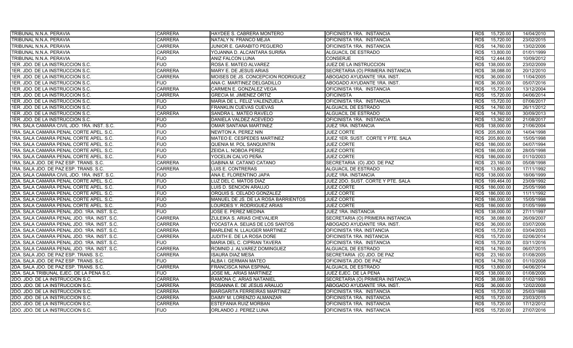| TRIBUNAL N.N.A. PERAVIA                     | <b>CARRERA</b> | HAYDEE S. CABRERA MONTERO           | OFICINISTA 1RA. INSTANCIA         | RD\$<br>15,720.00  | 14/04/2010 |
|---------------------------------------------|----------------|-------------------------------------|-----------------------------------|--------------------|------------|
| TRIBUNAL N.N.A. PERAVIA                     | <b>CARRERA</b> | NATALY N. FRANCO MEJIA              | OFICINISTA 1RA. INSTANCIA         | RD\$<br>15,720.00  | 23/02/2015 |
| TRIBUNAL N.N.A. PERAVIA                     | <b>CARRERA</b> | JUNIOR E. GARABITO PEGUERO          | OFICINISTA 1RA. INSTANCIA         | 14,760.00<br>RD\$  | 13/02/2006 |
| TRIBUNAL N.N.A. PERAVIA                     | <b>CARRERA</b> | YOJANNA D. ALCANTARA SURIÑA         | ALGUACIL DE ESTRADO               | 13,800.00<br>RD\$  | 01/01/1999 |
| TRIBUNAL N.N.A. PERAVIA                     | <b>FIJO</b>    | ANIZ FALCON LUNA                    | <b>CONSERJE</b>                   | RD\$<br>12.444.00  | 10/09/2012 |
| 1ER. JDO. DE LA INSTRUCCION S.C.            | <b>FIJO</b>    | ROSA E. MATEO ALVAREZ               | JUEZ DE LA INSTRUCCION            | 138,000.00<br>RD\$ | 23/02/2009 |
| 1ER. JDO. DE LA INSTRUCCION S.C.            | <b>CARRERA</b> | MARY E. DE JESUS ARIAS              | SECRETARIA (O) PRIMERA INSTANCIA  | RD\$<br>38,088.00  | 20/12/2010 |
| 1ER. JDO. DE LA INSTRUCCION S.C.            | <b>CARRERA</b> | MOISES DE JS. CONCEPCION RODRIGUEZ  | ABOGADO AYUDANTE 1RA. INST.       | RD\$<br>36,000.00  | 11/04/2005 |
| 1ER. JDO. DE LA INSTRUCCION S.C.            | <b>FIJO</b>    | ANA C. MARTINEZ DELGADILLO          | ABOGADO AYUDANTE 1RA. INST.       | RD\$<br>36.000.00  | 05/07/2016 |
| 1ER. JDO. DE LA INSTRUCCION S.C.            | <b>CARRERA</b> | CARMEN E. GONZALEZ VEGA             | OFICINISTA 1RA. INSTANCIA         | RD\$<br>15,720.00  | 13/12/2004 |
| 1ER. JDO. DE LA INSTRUCCION S.C.            | <b>CARRERA</b> | <b>GRECIA M. JIMENEZ ORTIZ</b>      | <b>OFICINISTA</b>                 | 15,720.00<br>RD\$  | 04/06/2014 |
| 1ER. JDO. DE LA INSTRUCCION S.C.            | <b>FIJO</b>    | MARIA DE L. FELIZ VALENZUELA        | OFICINISTA 1RA. INSTANCIA         | 15,720.00<br>RD\$  | 07/06/2017 |
| 1ER. JDO. DE LA INSTRUCCION S.C.            | <b>FIJO</b>    | FRANKLIN CUEVAS CUEVAS              | ALGUACIL DE ESTRADO               | RD\$<br>14,760.00  | 26/11/2012 |
| 1ER. JDO. DE LA INSTRUCCION S.C.            | <b>CARRERA</b> | SANDRA L. MATEO RAVELO              | ALGUACIL DE ESTRADO               | 14,760.00<br>RD\$  | 30/09/2013 |
| 1ER. JDO. DE LA INSTRUCCION S.C.            | <b>FIJO</b>    | DANIELA VALDEZ ACEVEDO              | OFICINISTA 1RA. INSTANCIA         | RD\$<br>13,362.00  | 21/08/2017 |
| 1RA. SALA CAMARA CIVIL JDO. 1RA. INST. S.C. | <b>FIJO</b>    | OMAR SANTANA MARTINEZ               | JUEZ 1RA. INSTANCIA               | 138,000.00<br>RD\$ | 21/06/2004 |
| 1RA. SALA CAMARA PENAL CORTE APEL. S.C.     | <b>FIJO</b>    | NEWTON A. PEREZ NIN                 | <b>JUEZ CORTE</b>                 | RD\$ 205,800.00    | 14/04/1998 |
| 1RA. SALA CAMARA PENAL CORTE APEL. S.C.     | <b>FIJO</b>    | <b>MATEO E. CESPEDES MARTINEZ</b>   | JUEZ 1ER. SUST. CORTE Y PTE. SALA | RD\$ 205,800.00    | 15/05/1998 |
| 1RA. SALA CAMARA PENAL CORTE APEL. S.C.     | <b>FIJO</b>    | QUENIA M. POL SANQUINTIN            | <b>JUEZ CORTE</b>                 | RD\$ 186,000.00    | 04/07/1994 |
| 1RA. SALA CAMARA PENAL CORTE APEL. S.C.     | <b>FIJO</b>    | ZEIDA L. NOBOA PEREZ                | <b>JUEZ CORTE</b>                 | 186,000.00<br>RD\$ | 28/05/1998 |
| 1RA. SALA CAMARA PENAL CORTE APEL. S.C.     | <b>FIJO</b>    | YOCELIN CALVO PEÑA                  | <b>JUEZ CORTE</b>                 | 186,000.00<br>RD\$ | 01/10/2003 |
| 1RA. SALA JDO. DE PAZ ESP. TRANS. S.C.      | <b>CARRERA</b> | GABINA M. CATANO CATANO             | SECRETARIA (O) JDO. DE PAZ        | 23,160.00<br>RD\$  | 05/08/1998 |
| 1RA. SALA JDO. DE PAZ ESP. TRANS. S.C.      | <b>CARRERA</b> | LUIS E. CONTRERAS                   | ALGUACIL DE ESTRADO               | RD\$<br>13,800.00  | 17/11/1992 |
| 2DA. SALA CAMARA CIVIL JDO. 1RA. INST. S.C. | <b>FIJO</b>    | ANA E. FLORENTINO JAPA              | JUEZ 1RA. INSTANCIA               | RD\$<br>138,000.00 | 18/06/1999 |
| 2DA. SALA CAMARA PENAL CORTE APEL. S.C.     | <b>FIJO</b>    | LUZ DEL C. MATOS DIAZ               | JUEZ 2DO. SUST. CORTE Y PTE. SALA | RD\$ 199,464.00    | 23/09/1992 |
| 2DA. SALA CAMARA PENAL CORTE APEL. S.C.     | <b>FIJO</b>    | LUIS D. SENCION ARAUJO              | <b>JUEZ CORTE</b>                 | RD\$ 186,000.00    | 25/05/1998 |
| 2DA. SALA CAMARA PENAL CORTE APEL. S.C.     | <b>FIJO</b>    | ORQUIS S. CELADO GONZALEZ           | <b>JUEZ CORTE</b>                 | 186,000.00<br>RD\$ | 11/11/1992 |
| 2DA. SALA CAMARA PENAL CORTE APEL. S.C.     | <b>FIJO</b>    | MANUEL DE JS. DE LA ROSA BARRIENTOS | <b>JUEZ CORTE</b>                 | RD\$ 186,000.00    | 15/05/1998 |
| 2DA. SALA CAMARA PENAL CORTE APEL. S.C.     | <b>FIJO</b>    | LOURDES Y. RODRIGUEZ ARIAS          | <b>JUEZ CORTE</b>                 | RD\$ 186,000.00    | 01/05/1999 |
| 2DA. SALA CAMARA PENAL JDO. 1RA. INST. S.C. | <b>FIJO</b>    | JOSE E. PEREZ MEDINA                | JUEZ 1RA. INSTANCIA               | RD\$ 138,000.00    | 27/11/1997 |
| 2DA. SALA CAMARA PENAL JDO. 1RA. INST. S.C. | <b>CARRERA</b> | ZULEIKA S. ARIAS CHEVALIER          | SECRETARIA (O) PRIMERA INSTANCIA  | RD\$<br>38,088.00  | 26/09/2007 |
| 2DA. SALA CAMARA PENAL JDO. 1RA. INST. S.C. | <b>CARRERA</b> | YOCASTA A. SEIJAS DE LOS SANTOS     | ABOGADO AYUDANTE 1RA. INST.       | RD\$<br>36,000.00  | 03/07/2006 |
| 2DA. SALA CAMARA PENAL JDO. 1RA. INST. S.C. | <b>CARRERA</b> | <b>MARLENE N. LLAUGER MARTINEZ</b>  | OFICINISTA 1RA. INSTANCIA         | 15.720.00<br>RD\$  | 03/04/2003 |
| 2DA. SALA CAMARA PENAL JDO. 1RA. INST. S.C. | <b>CARRERA</b> | JUDITH E. DE LA ROSA DOÑE           | OFICINISTA 1RA. INSTANCIA         | RDS<br>15,720.00   | 02/06/2014 |
| 2DA. SALA CAMARA PENAL JDO. 1RA. INST. S.C. | <b>FIJO</b>    | MARIA DEL C. CIPRIAN TAVERA         | OFICINISTA 1RA. INSTANCIA         | RD\$<br>15.720.00  | 03/11/2016 |
| 2DA. SALA CAMARA PENAL JDO. 1RA. INST. S.C. | <b>CARRERA</b> | ROMNID J. ALVAREZ DOMINGUEZ         | ALGUACIL DE ESTRADO               | RD\$<br>14,760.00  | 06/07/2015 |
| 2DA. SALA JDO. DE PAZ ESP. TRANS. S.C.      | <b>CARRERA</b> | <b>ISAURA DIAZ MESA</b>             | SECRETARIA (O) JDO. DE PAZ        | 23,160.00<br>RD\$  | 01/08/2005 |
| 2DA. SALA JDO. DE PAZ ESP. TRANS. S.C.      | <b>FIJO</b>    | ALBA I. GERMAN MATEO                | OFICINISTA JDO. DE PAZ            | RD\$<br>14,760.00  | 01/10/2008 |
| 2DA. SALA JDO. DE PAZ ESP. TRANS. S.C.      | <b>CARRERA</b> | <b>FRANCISCA NINA ESPINAL</b>       | ALGUACIL DE ESTRADO               | RD\$<br>13,800.00  | 04/06/2014 |
| 2DA. SALA TRIBUNAL EJEC. DE LA PENA S.C.    | <b>FIJO</b>    | JOSE ML. ARIAS MARTINEZ             | JUEZ EJEC. DE LA PENA             | RD\$<br>138,000.00 | 01/08/2006 |
| 2DO. JDO. DE LA INSTRUCCION S.C.            | <b>CARRERA</b> | RAMONA C. ARIAS NATANIEL            | SECRETARIA (O) PRIMERA INSTANCIA  | 38,088.00<br>RD\$  | 01/02/1993 |
| 2DO. JDO. DE LA INSTRUCCION S.C.            | <b>CARRERA</b> | ROSANNA E. DE JESUS ARAUJO          | ABOGADO AYUDANTE 1RA. INST.       | RD\$<br>36.000.00  | 12/02/2008 |
| 2DO. JDO. DE LA INSTRUCCION S.C.            | <b>CARRERA</b> | <b>MARGARITA FERREIRAS MARTINEZ</b> | OFICINISTA 1RA. INSTANCIA         | RD\$<br>15,720.00  | 25/03/1988 |
| 2DO. JDO. DE LA INSTRUCCION S.C.            | <b>CARRERA</b> | DAIMY M. LORENZO ALMANZAR           | OFICINISTA 1RA. INSTANCIA         | RD\$<br>15,720.00  | 23/03/2015 |
| 2DO. JDO. DE LA INSTRUCCION S.C.            | <b>CARRERA</b> | ESTEFANIA RUIZ MORBAN               | OFICINISTA 1RA. INSTANCIA         | 15,720.00<br>RD\$  | 17/12/2012 |
| 2DO. JDO. DE LA INSTRUCCION S.C.            | <b>FIJO</b>    | ORLANDO J. PEREZ LUNA               | OFICINISTA 1RA. INSTANCIA         | RD\$<br>15,720.00  | 27/07/2016 |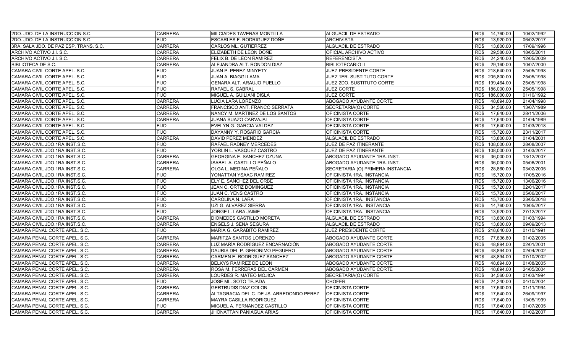| <b>2DO. JDO. DE LA INSTRUCCION S.C.</b> | <b>CARRERA</b> | MILCIADES TAVERAS MONTILLA               | <b>ALGUACIL DE ESTRADO</b>       | 14,760.00<br>RD\$  | 10/02/1992 |
|-----------------------------------------|----------------|------------------------------------------|----------------------------------|--------------------|------------|
| 2DO. JDO. DE LA INSTRUCCION S.C.        | <b>FIJO</b>    | ESCARLES F. RODRIGUEZ DOÑE               | <b>ARCHIVISTA</b>                | RD\$<br>13,920.00  | 06/02/2017 |
| 3RA. SALA JDO. DE PAZ ESP. TRANS. S.C.  | <b>CARRERA</b> | CARLOS ML. GUTIERREZ                     | ALGUACIL DE ESTRADO              | RD\$<br>13,800.00  | 17/09/1996 |
| ARCHIVO ACTIVO J.I. S.C.                | <b>CARRERA</b> | ELIZABETH DE LEON DOÑE                   | OFICIAL ARCHIVO ACTIVO           | RD\$<br>29,580.00  | 18/05/2011 |
| ARCHIVO ACTIVO J.I. S.C.                | <b>CARRERA</b> | FELIX B. DE LEON RAMIREZ                 | <b>REFERENCISTA</b>              | RD\$<br>24,240.00  | 12/05/2009 |
| <b>BIBLIOTECA DE S.C.</b>               | <b>CARRERA</b> | ALEJANDRA ALT. RONDON DIAZ               | <b>BIBLIOTECARIO II</b>          | 29,160.00<br>RD\$  | 10/07/2000 |
| CAMARA CIVIL CORTE APEL. S.C.           | <b>FIJO</b>    | <b>JUAN P. PEREZ MINYETY</b>             | <b>JUEZ PRESIDENTE CORTE</b>     | RD\$ 218,640.00    | 25/05/1998 |
| CAMARA CIVIL CORTE APEL. S.C.           | <b>FIJO</b>    | JUAN A. BIAGGI LAMA                      | JUEZ 1ER. SUSTITUTO CORTE        | RD\$ 205,800.00    | 25/05/1998 |
| CAMARA CIVIL CORTE APEL. S.C.           | <b>FIJO</b>    | GENARA ALT. ARAUJO PUELLO                | JUEZ 2DO. SUSTITUTO CORTE        | RD\$ 199,464.00    | 25/05/1998 |
| CAMARA CIVIL CORTE APEL. S.C.           | <b>FIJO</b>    | RAFAEL S. CABRAL                         | <b>JUEZ CORTE</b>                | RD\$ 186,000.00    | 25/05/1998 |
| CAMARA CIVIL CORTE APEL. S.C.           | <b>FIJO</b>    | MIGUEL A. GUILIANI DISLA                 | <b>JUEZ CORTE</b>                | RD\$<br>186,000.00 | 01/10/1992 |
| CAMARA CIVIL CORTE APEL. S.C.           | <b>CARRERA</b> | LUCIA LARA LORENZO                       | ABOGADO AYUDANTE CORTE           | RD\$<br>48,894.00  | 21/04/1998 |
| CAMARA CIVIL CORTE APEL. S.C.           | <b>CARRERA</b> | FRANCISCO ANT. FRANCO SERRATA            | SECRETARIA(O) CORTE              | 34,560.00<br>RD\$  | 13/07/1989 |
| CAMARA CIVIL CORTE APEL. S.C.           | <b>CARRERA</b> | NANCY M. MARTINEZ DE LOS SANTOS          | OFICINISTA CORTE                 | RD\$<br>17,640.00  | 28/11/2006 |
| CAMARA CIVIL CORTE APEL. S.C.           | <b>CARRERA</b> | JUANA SUAZO CARVAJAL                     | OFICINISTA CORTE                 | 17.640.00<br>RD\$  | 01/04/1989 |
| CAMARA CIVIL CORTE APEL, S.C.           | <b>FIJO</b>    | EVELYN G. GARCIA VALDEZ                  | OFICINISTA CORTE                 | 17.640.00<br>RD\$  | 01/03/2018 |
| CAMARA CIVIL CORTE APEL. S.C.           | <b>FIJO</b>    | DAYANNY Y. ROSARIO GARCIA                | OFICINISTA CORTE                 | RD\$<br>15,720.00  | 23/11/2017 |
| CAMARA CIVIL CORTE APEL. S.C.           | <b>CARRERA</b> | DAVID PEREZ MENDEZ                       | ALGUACIL DE ESTRADO              | RD\$<br>13.800.00  | 01/04/2001 |
| CAMARA CIVIL JDO.1RA.INST.S.C.          | <b>FIJO</b>    | RAFAEL RADNEY MERCEDES                   | JUEZ DE PAZ ITINERANTE           | 108,000.00<br>RD\$ | 28/08/2007 |
| CAMARA CIVIL JDO.1RA.INST.S.C.          | <b>FIJO</b>    | YORLIN L. VASQUEZ CASTRO                 | JUEZ DE PAZ ITINERANTE           | RD\$<br>108,000.00 | 31/03/2017 |
| CAMARA CIVIL JDO.1RA.INST.S.C.          | <b>CARRERA</b> | GEORGINA E. SANCHEZ OZUNA                | ABOGADO AYUDANTE 1RA. INST.      | RD\$<br>36,000.00  | 13/12/2007 |
| CAMARA CIVIL JDO.1RA.INST.S.C.          | <b>CARRERA</b> | ISABEL A. CASTILLO PEÑALO                | ABOGADO AYUDANTE 1RA. INST.      | RD\$<br>36,000.00  | 05/06/2001 |
| CAMARA CIVIL JDO.1RA.INST.S.C.          | <b>CARRERA</b> | OLGA L. MEDINA PEÑALO                    | SECRETARIA (O) PRIMERA INSTANCIA | 28,860.00<br>RD\$  | 03/02/2005 |
| CAMARA CIVIL JDO.1RA.INST.S.C.          | <b>FIJO</b>    | YONATTAN YSAAC RAMIREZ                   | OFICINISTA 1RA. INSTANCIA        | 15.720.00<br>RD\$  | 17/05/2016 |
| CAMARA CIVIL JDO.1RA.INST.S.C.          | <b>FIJO</b>    | ELY E. SANCHEZ DEL ORBE                  | OFICINISTA 1RA. INSTANCIA        | RD\$<br>15,720.00  | 13/06/2016 |
| CAMARA CIVIL JDO 1RA INST S.C.          | <b>FIJO</b>    | JEAN C. ORTIZ DOMINGUEZ                  | OFICINISTA 1RA. INSTANCIA        | RD\$<br>15,720.00  | 02/01/2017 |
| CAMARA CIVIL JDO.1RA.INST.S.C.          | <b>FIJO</b>    | JUAN C. YENS CASTRO                      | OFICINISTA 1RA. INSTANCIA        | 15,720.00<br>RD\$  | 05/06/2017 |
| CAMARA CIVIL JDO.1RA.INST.S.C.          | <b>FIJO</b>    | CAROLINA N. LARA                         | OFICINISTA 1RA. INSTANCIA        | 15,720.00<br>RD\$  | 23/05/2018 |
| CAMARA CIVIL JDO.1RA.INST.S.C.          | <b>FIJO</b>    | UZI G. ALVAREZ SIERRA                    | OFICINISTA 1RA. INSTANCIA        | 14.760.00<br>RD\$  | 10/05/2017 |
| CAMARA CIVIL JDO.1RA.INST.S.C.          | <b>FIJO</b>    | JORGE L. LARA JAIME                      | OFICINISTA 1RA. INSTANCIA        | RD\$<br>13,920.00  | 27/12/2017 |
| CAMARA CIVIL JDO.1RA.INST.S.C.          | <b>CARRERA</b> | DIOMEDES CASTILLO MORETA                 | ALGUACIL DE ESTRADO              | 13,800.00<br>RD\$  | 01/03/1994 |
| CAMARA CIVIL JDO.1RA.INST.S.C.          | <b>CARRERA</b> | <b>ENGELS J. SENA SEGURA</b>             | ALGUACIL DE ESTRADO              | RD\$<br>13,800.00  | 09/09/2013 |
| CAMARA PENAL CORTE APEL. S.C.           | <b>FIJO</b>    | MARIA G. GARABITO RAMIREZ                | JUEZ PRESIDENTE CORTE            | RD\$ 218,640.00    | 01/10/1991 |
| CAMARA PENAL CORTE APEL. S.C.           | <b>CARRERA</b> | MARITZA SANTOS LORENZO                   | ABOGADO AYUDANTE CORTE           | RD\$<br>77,836.80  | 01/02/2005 |
| CAMARA PENAL CORTE APEL. S.C.           | <b>CARRERA</b> | LUZ MARÍA RODRÍGUEZ ENCARNACIÓN          | ABOGADO AYUDANTE CORTE           | 48,894.00<br>RD\$  | 02/01/2001 |
| CAMARA PENAL CORTE APEL. S.C.           | <b>CARRERA</b> | DAURIS DEL P. GERONIMO PEGUERO           | ABOGADO AYUDANTE CORTE           | 48.894.00<br>RD\$  | 02/04/2002 |
| CAMARA PENAL CORTE APEL. S.C.           | <b>CARRERA</b> | CARMEN E. RODRIGUEZ SANCHEZ              | ABOGADO AYUDANTE CORTE           | RD\$<br>48,894.00  | 07/10/2002 |
| CAMARA PENAL CORTE APEL. S.C.           | <b>CARRERA</b> | BELKYS RAMIREZ DE LEON                   | ABOGADO AYUDANTE CORTE           | 48.894.00<br>RD\$  | 01/08/2005 |
| CAMARA PENAL CORTE APEL. S.C.           | <b>CARRERA</b> | ROSA M. FERRERAS DEL CARMEN              | ABOGADO AYUDANTE CORTE           | RD\$<br>48,894.00  | 24/05/2004 |
| CAMARA PENAL CORTE APEL. S.C.           | <b>CARRERA</b> | LOURDES R. MATEO MOJICA                  | SECRETARIA(O) CORTE              | 34,560.00<br>RD\$  | 01/03/1994 |
| CAMARA PENAL CORTE APEL. S.C.           | FIJO           | JOSE ML. SOTO TEJADA                     | <b>CHOFER</b>                    | RD\$<br>24.240.00  | 04/10/2004 |
| CAMARA PENAL CORTE APEL. S.C.           | <b>CARRERA</b> | <b>GERTRUDIS DIAZ COLON</b>              | OFICINISTA CORTE                 | RD\$<br>17,640.00  | 01/11/1994 |
| CAMARA PENAL CORTE APEL. S.C.           | <b>CARRERA</b> | ALTAGRACIA DEL C. DE JS. ARREDONDO PEREZ | <b>OFICINISTA CORTE</b>          | 17,640.00<br>RD\$  | 26/09/1997 |
| CAMARA PENAL CORTE APEL. S.C.           | <b>CARRERA</b> | MAYRA CASILLA RODRIGUEZ                  | OFICINISTA CORTE                 | RD\$<br>17,640.00  | 13/05/1999 |
| CAMARA PENAL CORTE APEL. S.C.           | <b>FIJO</b>    | MIGUEL A. FERNANDEZ CASTILLO             | OFICINISTA CORTE                 | 17,640.00<br>RD\$  | 01/07/2005 |
| CAMARA PENAL CORTE APEL. S.C.           | <b>CARRERA</b> | JHONATTAN PANIAGUA ARIAS                 | OFICINISTA CORTE                 | RD\$<br>17.640.00  | 01/02/2007 |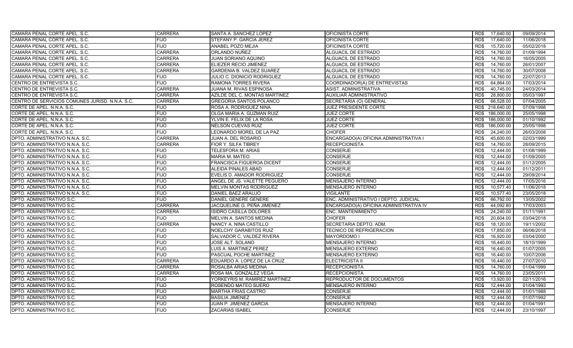| CAMARA PENAL CORTE APEL. S.C.                   | <b>CARRERA</b> | SANTA A. SANCHEZ LOPEZ           | OFICINISTA CORTE                       | RD\$<br>17,640.00  | 09/09/2014 |
|-------------------------------------------------|----------------|----------------------------------|----------------------------------------|--------------------|------------|
| CAMARA PENAL CORTE APEL. S.C.                   | <b>FIJO</b>    | STEFANY P. GARCIA JEREZ          | OFICINISTA CORTE                       | RD\$<br>17,640.00  | 11/06/2018 |
| CAMARA PENAL CORTE APEL. S.C.                   | <b>FIJO</b>    | ANABEL POZO MEJIA                | OFICINISTA CORTE                       | 15,720.00<br>RD\$  | 05/02/2018 |
| CAMARA PENAL CORTE APEL. S.C.                   | <b>CARRERA</b> | ORLANDO NUÑEZ                    | ALGUACIL DE ESTRADO                    | 14,760.00<br>RD\$  | 01/09/1994 |
| CAMARA PENAL CORTE APEL. S.C.                   | <b>CARRERA</b> | JUAN SORIANO AQUINO              | ALGUACIL DE ESTRADO                    | RD\$<br>14,760.00  | 16/05/2005 |
| CAMARA PENAL CORTE APEL, S.C.                   | <b>CARRERA</b> | ELIEZER RECIO JIMENEZ            | ALGUACIL DE ESTRADO                    | RD\$<br>14,760.00  | 26/01/2007 |
| CAMARA PENAL CORTE APEL. S.C.                   | <b>CARRERA</b> | GARDENIA B. VALDEZ SUAREZ        | ALGUACIL DE ESTRADO                    | RD\$<br>14,760.00  | 30/07/2008 |
| CAMARA PENAL CORTE APEL. S.C.                   | <b>FIJO</b>    | JULIO C. DIONICIO RODRIGUEZ      | ALGUACIL DE ESTRADO                    | 14,760.00<br>RD\$  | 22/07/2013 |
| CENTRO DE ENTREVISTA S.C.                       | <b>FIJO</b>    | RAMONA TORRES RIVERA             | COORDINADOR(A) DE ENTREVISTAS          | 64.864.00<br>RD\$  | 17/03/2014 |
| CENTRO DE ENTREVISTA S.C.                       | <b>CARRERA</b> | JUANA M. RIVAS ESPINOSA          | ASIST. ADMINISTRATIVA                  | RD\$<br>40,745.00  | 24/03/2014 |
| CENTRO DE ENTREVISTA S.C.                       | <b>CARRERA</b> | AZILDE DEL C. MONTAS MARTINEZ    | <b>AUXILIAR ADMINISTRATIVO</b>         | RD\$<br>28,800.00  | 05/03/1997 |
| CENTRO DE SERVICIOS COMUNES JURISD. N.N.A. S.C. | <b>CARRERA</b> | <b>GREGORIA SANTOS POLANCO</b>   | SECRETARIA (O) GENERAL                 | RD\$<br>66,528.00  | 07/04/2005 |
| CORTE DE APEL. N.N.A. S.C.                      | <b>FIJO</b>    | ROSA A. RODRIGUEZ NINA           | JUEZ PRESIDENTE CORTE                  | RD\$ 218,640.00    | 07/09/1998 |
| CORTE DE APEL. N.N.A. S.C.                      | <b>FIJO</b>    | OLGA MARIA A. GUZMAN RUIZ        | <b>JUEZ CORTE</b>                      | 186,000.00<br>RD\$ | 25/05/1998 |
| CORTE DE APEL. N.N.A. S.C.                      | <b>FIJO</b>    | YLVIN E. FELIX DE LA ROSA        | <b>JUEZ CORTE</b>                      | RD\$<br>186,000.00 | 01/10/1992 |
| CORTE DE APEL. N.N.A. S.C.                      | <b>FIJO</b>    | <b>NELSON CUEVAS RUIZ</b>        | <b>JUEZ CORTE</b>                      | RD\$<br>186,000.00 | 25/05/1998 |
| CORTE DE APEL. N.N.A. S.C.                      | <b>FIJO</b>    | LEONARDO MOREL DE LA PAZ         | <b>CHOFER</b>                          | RD\$<br>24,240.00  | 26/03/2008 |
| DPTO, ADMINISTRATIVO N.N.A. S.C.                | <b>CARRERA</b> | JUAN A. DEL ROSARIO              | ENCARGADO(A) OFICINA ADMINISTRATIVA I  | 45.600.00<br>RD\$  | 02/03/1999 |
| DPTO. ADMINISTRATIVO N.N.A. S.C.                | <b>CARRERA</b> | <b>FIOR Y. SILFA TIBREY</b>      | <b>RECEPCIONISTA</b>                   | RD\$<br>14,760.00  | 28/09/2015 |
| DPTO, ADMINISTRATIVO N.N.A. S.C.                | <b>FIJO</b>    | TELESFORA M. ARIAS               | <b>CONSERJE</b>                        | 12.444.00<br>RD\$  | 01/08/1999 |
| DPTO. ADMINISTRATIVO N.N.A. S.C.                | <b>FIJO</b>    | <b>MARIA M. MATEO</b>            | <b>CONSERJE</b>                        | RD\$<br>12,444.00  | 01/09/2005 |
| DPTO. ADMINISTRATIVO N.N.A. S.C.                | <b>FIJO</b>    | <b>FRANCISCA FIGUEROA DICENT</b> | <b>CONSERJE</b>                        | 12,444.00<br>RD\$  | 01/12/2005 |
| DPTO. ADMINISTRATIVO N.N.A. S.C.                | <b>FIJO</b>    | <b>ALEIDA PINALES ABAD</b>       | <b>CONSERJE</b>                        | RD\$<br>12,444.00  | 01/12/2011 |
| DPTO. ADMINISTRATIVO N.N.A. S.C.                | <b>FIJO</b>    | EVELIS D. AMADOR RODRIGUEZ       | <b>CONSERJE</b>                        | 12,444.00<br>RD\$  | 29/09/2014 |
| DPTO. ADMINISTRATIVO N.N.A. S.C.                | <b>FIJO</b>    | ANGEL DE JS. VALETTE PEGUERO     | <b>MENSAJERO INTERNO</b>               | RD\$<br>12.444.00  | 17/05/2016 |
| DPTO. ADMINISTRATIVO N.N.A. S.C.                | <b>FIJO</b>    | <b>MELVIN MONTAS RODRIGUEZ</b>   | <b>MENSAJERO INTERNO</b>               | RD\$<br>10,577.40  | 11/06/2018 |
| DPTO. ADMINISTRATIVO N.N.A. S.C.                | <b>FIJO</b>    | DANIEL BAEZ ARAUJO               | <b>VIGILANTE</b>                       | RD\$<br>10,577.40  | 23/05/2018 |
| DPTO. ADMINISTRATIVO S.C.                       | <b>FIJO</b>    | DANIEL GENERE GENERE             | ENC. ADMINISTRATIVO I DEPTO. JUDICIAL  | RD\$<br>66,792.00  | 13/05/2002 |
| DPTO. ADMINISTRATIVO S.C.                       | <b>CARRERA</b> | JACQUELINE G. PEÑA JIMENEZ       | ENCARGADO(A) OFICINA ADMINISTRATIVA IV | 44,092.80<br>RD\$  | 17/03/2003 |
| DPTO. ADMINISTRATIVO S.C.                       | <b>CARRERA</b> | ISIDRO CASILLA DOLORES           | ENC. MANTENIMIENTO                     | 24.240.00<br>RD\$  | 01/11/1991 |
| DPTO. ADMINISTRATIVO S.C.                       | <b>FIJO</b>    | MELVIN A. SANTOS MEDINA          | <b>CHOFER</b>                          | RD\$<br>20.604.00  | 03/04/2018 |
| DPTO. ADMINISTRATIVO S.C.                       | <b>CARRERA</b> | NANCY A. NINA CASTILLO           | SECRETARIA DEPTO. ADM.                 | 18,120.00<br>RD\$  | 19/11/2002 |
| DPTO. ADMINISTRATIVO S.C.                       | <b>FIJO</b>    | <b>NOELCHY GARABITOS RUIZ</b>    | <b>TECNICO DE REFRIGERACION</b>        | 17,850.00<br>RD\$  | 06/06/2018 |
| DPTO. ADMINISTRATIVO S.C.                       | <b>FIJO</b>    | SALVADOR C. VALDEZ RIVERA        | <b>MAYORDOMO I</b>                     | RD\$<br>16,920.00  | 03/04/2000 |
| DPTO. ADMINISTRATIVO S.C.                       | <b>FIJO</b>    | JOSE ALT. SOLANO                 | <b>MENSAJERO INTERNO</b>               | RD\$<br>16,440.00  | 18/10/1999 |
| DPTO. ADMINISTRATIVO S.C.                       | <b>FIJO</b>    | LUIS A. MARTINEZ PEREZ           | <b>MENSAJERO EXTERNO</b>               | RD\$<br>16,440.00  | 01/07/2005 |
| DPTO. ADMINISTRATIVO S.C.                       | <b>FIJO</b>    | PASCUAL POCHE MARTINEZ           | MENSAJERO EXTERNO                      | 16,440.00<br>RD\$  | 10/07/2006 |
| DPTO. ADMINISTRATIVO S.C.                       | <b>CARRERA</b> | EDUARDO A. LOPEZ DE LA CRUZ      | <b>ELECTRICISTA II</b>                 | RD\$<br>16,440.00  | 27/07/2010 |
| DPTO. ADMINISTRATIVO S.C.                       | <b>CARRERA</b> | ROSALBA ARIAS MEDINA             | <b>RECEPCIONISTA</b>                   | RD\$<br>14,760.00  | 01/04/1999 |
| DPTO. ADMINISTRATIVO S.C.                       | <b>CARRERA</b> | ROSA MA. GONZALEZ VEGA           | <b>RECEPCIONISTA</b>                   | RD\$<br>14,760.00  | 23/05/2011 |
| DPTO. ADMINISTRATIVO S.C.                       | <b>FIJO</b>    | YORKEYRIS M. RAMIREZ MARTINEZ    | REPRODUCTOR DE DOCUMENTOS              | RD\$<br>13.920.00  | 02/11/2016 |
| DPTO. ADMINISTRATIVO S.C.                       | <b>FIJO</b>    | ROSENDO MATEO SUERO              | <b>MENSAJERO INTERNO</b>               | 12.444.00<br>RD\$  | 01/04/1993 |
| DPTO. ADMINISTRATIVO S.C.                       | <b>FIJO</b>    | <b>MARTHA FRIAS CASTRO</b>       | <b>CONSERJE</b>                        | 12.444.00<br>RD\$  | 01/01/1988 |
| DPTO. ADMINISTRATIVO S.C.                       | <b>FIJO</b>    | <b>BASILIA JIMENEZ</b>           | <b>CONSERJE</b>                        | RD\$<br>12,444.00  | 01/07/1992 |
| DPTO. ADMINISTRATIVO S.C.                       | <b>FIJO</b>    | JUAN P. JIMENEZ GARCIA           | <b>MENSAJERO INTERNO</b>               | RD\$<br>12,444.00  | 01/04/1991 |
| DPTO. ADMINISTRATIVO S.C.                       | <b>FIJO</b>    | ZACARIAS ISABEL                  | <b>CONSERJE</b>                        | RD\$<br>12.444.00  | 23/10/1997 |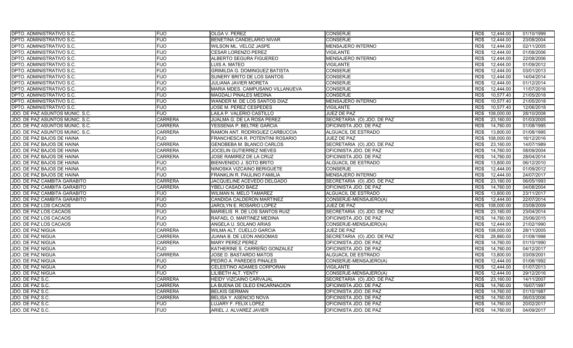| DPTO. ADMINISTRATIVO S.C.       | <b>FIJO</b>    | OLGA V. PEREZ                    | <b>CONSERJE</b>            | 12,444.00<br>RD\$  | 01/10/1999 |
|---------------------------------|----------------|----------------------------------|----------------------------|--------------------|------------|
| DPTO. ADMINISTRATIVO S.C.       | <b>FIJO</b>    | BENETINA CANDELARIO NIVAR        | <b>CONSERJE</b>            | RD\$<br>12,444.00  | 23/08/2004 |
| DPTO. ADMINISTRATIVO S.C.       | <b>FIJO</b>    | WILSON ML. VELOZ JASPE           | <b>MENSAJERO INTERNO</b>   | RD\$<br>12,444.00  | 02/11/2005 |
| DPTO. ADMINISTRATIVO S.C.       | <b>FIJO</b>    | <b>CESAR LORENZO PEREZ</b>       | <b>VIGILANTE</b>           | RD\$<br>12,444.00  | 01/08/2006 |
| DPTO. ADMINISTRATIVO S.C.       | <b>FIJO</b>    | ALBERTO SEGURA FIGUEREO          | <b>MENSAJERO INTERNO</b>   | 12,444.00<br>RD\$  | 22/08/2006 |
| DPTO. ADMINISTRATIVO S.C.       | <b>FIJO</b>    | LUIS A. MATEO                    | <b>VIGILANTE</b>           | 12,444.00<br>RD\$  | 01/09/2012 |
| DPTO. ADMINISTRATIVO S.C.       | <b>FIJO</b>    | GRIMILDA G. DOMINGUEZ BATISTA    | <b>CONSERJE</b>            | RD\$<br>12,444.00  | 03/01/2013 |
| DPTO. ADMINISTRATIVO S.C.       | <b>FIJO</b>    | SUNERY BRITO DE LOS SANTOS       | <b>CONSERJE</b>            | 12.444.00<br>RD\$  | 14/04/2014 |
| DPTO. ADMINISTRATIVO S.C.       | <b>FIJO</b>    | <b>JULIANA JAVIER MORETA</b>     | <b>CONSERJE</b>            | 12,444.00<br>RD\$  | 01/12/2014 |
| DPTO. ADMINISTRATIVO S.C.       | <b>FIJO</b>    | MARIA MDES. CAMPUSANO VILLANUEVA | <b>CONSERJE</b>            | RD\$<br>12.444.00  | 11/07/2016 |
| DPTO. ADMINISTRATIVO S.C.       | <b>FIJO</b>    | <b>MAGDALI PINALES MEDINA</b>    | <b>CONSERJE</b>            | 10,577.40<br>RD\$  | 21/05/2018 |
| DPTO. ADMINISTRATIVO S.C.       | <b>FIJO</b>    | WANDER M. DE LOS SANTOS DIAZ     | <b>MENSAJERO INTERNO</b>   | RD\$<br>10,577.40  | 21/05/2018 |
| DPTO. ADMINISTRATIVO S.C.       | <b>FIJO</b>    | JOSE M. PEREZ CESPEDES           | VIGILANTE                  | 10,577.40<br>RD\$  | 12/06/2018 |
| JDO. DE PAZ ASUNTOS MUNIC. S.C. | <b>FIJO</b>    | LAILA P. VALERIO CASTILLO        | JUEZ DE PAZ                | 108,000.00<br>RD\$ | 28/10/2008 |
| JDO. DE PAZ ASUNTOS MUNIC. S.C. | <b>CARRERA</b> | JUALMA G. DE LA ROSA PEREZ       | SECRETARIA (O) JDO. DE PAZ | RD\$<br>23,160.00  | 01/03/2005 |
| JDO. DE PAZ ASUNTOS MUNIC. S.C. | <b>CARRERA</b> | YESSENIA P. BELTRE GARCIA        | OFICINISTA JDO. DE PAZ     | 14,760.00<br>RD\$  | 01/08/1995 |
| JDO. DE PAZ ASUNTOS MUNIC. S.C. | <b>CARRERA</b> | RAMON ANT. RODRIGUEZ CARBUCCIA   | ALGUACIL DE ESTRADO        | RD\$<br>13,800.00  | 01/08/1995 |
| JDO. DE PAZ BAJOS DE HAINA      | <b>FIJO</b>    | FRANCHESCA R. POTENTINI ROSARIO  | JUEZ DE PAZ                | 108.000.00<br>RD\$ | 16/12/2016 |
| JDO. DE PAZ BAJOS DE HAINA      | <b>CARRERA</b> | GENOBEBA M. BLANCO CARLOS        | SECRETARIA (O) JDO. DE PAZ | RD\$<br>23,160.00  | 14/07/1989 |
| JDO. DE PAZ BAJOS DE HAINA      | <b>CARRERA</b> | JOCELIN GUTIERREZ NIEVES         | OFICINISTA JDO. DE PAZ     | 14,760.00<br>RD\$  | 08/09/2004 |
| JDO. DE PAZ BAJOS DE HAINA      | <b>CARRERA</b> | JOSE RAMIREZ DE LA CRUZ          | OFICINISTA JDO. DE PAZ     | RD\$<br>14,760.00  | 28/04/2014 |
| JDO. DE PAZ BAJOS DE HAINA      | <b>FIJO</b>    | BIENVENIDO J. SOTO BRITO         | ALGUACIL DE ESTRADO        | 13,800.00<br>RD\$  | 06/12/2010 |
| JDO. DE PAZ BAJOS DE HAINA      | <b>FIJO</b>    | NINOSKA VIZCAINO BERIGUETE       | <b>CONSERJE</b>            | RD\$<br>12,444.00  | 01/09/2012 |
| JDO. DE PAZ BAJOS DE HAINA      | <b>FIJO</b>    | FRANKLIN R. PAULINO FAMILIA      | <b>MENSAJERO INTERNO</b>   | 12,444.00<br>RD\$  | 24/07/2017 |
| JDO. DE PAZ CAMBITA GARABITO    | <b>CARRERA</b> | JACQUELINE ACEVEDO DELGADO       | SECRETARIA (O) JDO. DE PAZ | RD\$<br>23,160.00  | 06/05/1993 |
| JDO. DE PAZ CAMBITA GARABITO    | <b>CARRERA</b> | YBELI CASADO BAEZ                | OFICINISTA JDO. DE PAZ     | 14,760.00<br>RD\$  | 04/08/2004 |
| JDO. DE PAZ CAMBITA GARABITO    | <b>FIJO</b>    | WILMAN N. MELO TAMAREZ           | ALGUACIL DE ESTRADO        | 13,800.00<br>RD\$  | 23/11/2017 |
| JDO. DE PAZ CAMBITA GARABITO    | <b>FIJO</b>    | CANDIDA CALDERON MARTINEZ        | CONSERJE-MENSAJERO(A)      | RD\$<br>12,444.00  | 22/07/2014 |
| JDO. DE PAZ LOS CACAOS          | <b>FIJO</b>    | JAROLYN E. ROSARIO LOPEZ         | JUEZ DE PAZ                | 108,000.00<br>RD\$ | 03/08/2009 |
| JDO. DE PAZ LOS CACAOS          | <b>FIJO</b>    | MARIELIS R. DE LOS SANTOS RUIZ   | SECRETARIA (O) JDO. DE PAZ | 23,160.00<br>RD\$  | 23/04/2014 |
| JDO. DE PAZ LOS CACAOS          | <b>FIJO</b>    | RAFAEL O. MARTINEZ MEDINA        | OFICINISTA JDO. DE PAZ     | RD\$<br>14,760.00  | 25/06/2015 |
| JDO. DE PAZ LOS CACAOS          | <b>FIJO</b>    | ANGELA U. SOLANO ARIAS           | CONSERJE-MENSAJERO(A)      | 12,444.00<br>RD\$  | 21/02/1990 |
| <b>JDO. DE PAZ NIGUA</b>        | <b>CARRERA</b> | WILMA ALT. CUELLO GARCIA         | <b>JUEZ DE PAZ</b>         | 108,000.00<br>RD\$ | 28/11/2005 |
| JDO. DE PAZ NIGUA               | <b>CARRERA</b> | JUANA B. DE LEON ANGOMAS         | SECRETARIA (O) JDO. DE PAZ | 28,860.00<br>RD\$  | 01/08/1998 |
| JDO. DE PAZ NIGUA               | <b>CARRERA</b> | <b>MARY PEREZ PEREZ</b>          | OFICINISTA JDO. DE PAZ     | RD\$<br>14,760.00  | 01/10/1990 |
| JDO. DE PAZ NIGUA               | <b>FIJO</b>    | KATHERINE S. CARREÑO GONZALEZ    | OFICINISTA JDO. DE PAZ     | RD\$<br>14,760.00  | 04/12/2017 |
| JDO. DE PAZ NIGUA               | <b>CARRERA</b> | JOSE D. BASTARDO MATOS           | ALGUACIL DE ESTRADO        | 13,800.00<br>RD\$  | 03/09/2001 |
| <b>JDO. DE PAZ NIGUA</b>        | <b>FIJO</b>    | PEDRO A. PAREDES PINALES         | CONSERJE-MENSAJERO(A)      | RD\$<br>12,444.00  | 01/06/1992 |
| JDO. DE PAZ NIGUA               | <b>FIJO</b>    | CELESTINO ADAMES CORPORAN        | VIGILANTE                  | 12,444.00<br>RD\$  | 01/07/2013 |
| JDO. DE PAZ NIGUA               | <b>FIJO</b>    | LILIBETH ALT. YENTY              | CONSERJE-MENSAJERO(A)      | RD\$<br>12,444.00  | 29/12/2016 |
| JDO. DE PAZ S.C.                | <b>CARRERA</b> | HEIDY VIZCAINO CARVAJAL          | SECRETARIA (O) JDO. DE PAZ | 23,160.00<br>RD\$  | 14/11/2007 |
| JDO. DE PAZ S.C.                | CARRERA        | LA BUENA DE OLEO ENCARNACION     | OFICINISTA JDO. DE PAZ     | 14,760.00<br>RD\$  | 16/07/1997 |
| JDO. DE PAZ S.C.                | <b>CARRERA</b> | <b>BELKIS GERMAN</b>             | OFICINISTA JDO. DE PAZ     | 14,760.00<br>RD\$  | 01/10/1987 |
| JDO. DE PAZ S.C.                | <b>CARRERA</b> | BELISA Y. ASENCIO NOVA           | OFICINISTA JDO. DE PAZ     | RD\$<br>14,760.00  | 06/03/2006 |
| JDO. DE PAZ S.C.                | <b>FIJO</b>    | LUJARY F. FELIX LOPEZ            | OFICINISTA JDO. DE PAZ     | 14,760.00<br>RD\$  | 20/02/2017 |
| JDO. DE PAZ S.C.                | <b>FIJO</b>    | ARIEL J. ALVAREZ JAVIER          | OFICINISTA JDO. DE PAZ     | RD\$<br>14,760.00  | 04/09/2017 |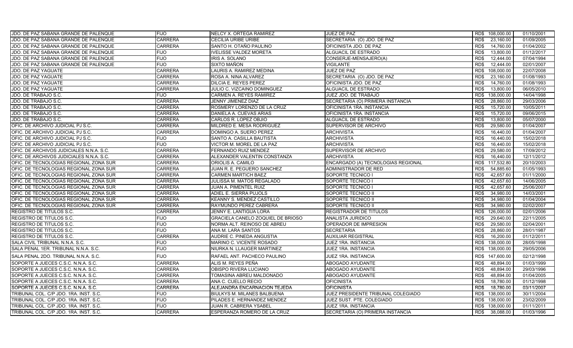| JDO. DE PAZ SABANA GRANDE DE PALENQUE    | <b>FIJO</b>    | NELCY X. ORTEGA RAMIREZ           | JUEZ DE PAZ                        |      | RD\$ 108,000.00 | 01/10/2001 |
|------------------------------------------|----------------|-----------------------------------|------------------------------------|------|-----------------|------------|
| JDO. DE PAZ SABANA GRANDE DE PALENQUE    | <b>CARRERA</b> | CECILIA URIBE URIBE               | SECRETARIA (O) JDO. DE PAZ         | RD\$ | 23,160.00       | 01/09/2005 |
| JDO. DE PAZ SABANA GRANDE DE PALENQUE    | <b>CARRERA</b> | SANTO H. OTAÑO PAULINO            | OFICINISTA JDO. DE PAZ             | RD\$ | 14,760.00       | 01/04/2002 |
| JDO. DE PAZ SABANA GRANDE DE PALENQUE    | FIJO           | <b>IVELISSE VALDEZ MORETA</b>     | ALGUACIL DE ESTRADO                | RD\$ | 13,800.00       | 01/12/2017 |
| JDO. DE PAZ SABANA GRANDE DE PALENQUE    | <b>FIJO</b>    | IRIS A. SOLANO                    | CONSERJE-MENSAJERO(A)              | RD\$ | 12,444.00       | 07/04/1994 |
| JDO. DE PAZ SABANA GRANDE DE PALENQUE    | <b>FIJO</b>    | SIXTO MAÑON                       | <b>VIGILANTE</b>                   | RD\$ | 12,444.00       | 02/01/2007 |
| JDO. DE PAZ YAGUATE                      | <b>CARRERA</b> | LAURIS A. RAMIREZ MEDINA          | <b>JUEZ DE PAZ</b>                 | RD\$ | 108,000.00      | 22/07/2008 |
| JDO. DE PAZ YAGUATE                      | <b>CARRERA</b> | ROSA A. NINA ALVAREZ              | SECRETARIA (O) JDO. DE PAZ         | RD\$ | 23,160.00       | 01/08/1993 |
| JDO. DE PAZ YAGUATE                      | <b>CARRERA</b> | DILCIA E. REYES PEREZ             | OFICINISTA JDO. DE PAZ             | RD\$ | 14,760.00       | 01/08/1993 |
| JDO. DE PAZ YAGUATE                      | CARRERA        | JULIO C. VIZCAINO DOMINGUEZ       | ALGUACIL DE ESTRADO                | RD\$ | 13,800.00       | 06/05/2010 |
| JDO. DE TRABAJO S.C.                     | FIJO           | CARMEN A. REYES RAMIREZ           | JUEZ JDO. DE TRABAJO               | RD\$ | 138,000.00      | 14/04/1998 |
| JDO. DE TRABAJO S.C.                     | <b>CARRERA</b> | <b>JENNY JIMENEZ DIAZ</b>         | SECRETARIA (O) PRIMERA INSTANCIA   | RD\$ | 28,860.00       | 29/03/2006 |
| JDO. DE TRABAJO S.C.                     | <b>CARRERA</b> | ROSMERY LORENZO DE LA CRUZ        | OFICINISTA 1RA. INSTANCIA          | RD\$ | 15,720.00       | 10/05/2011 |
| JDO. DE TRABAJO S.C.                     | CARRERA        | DANIELA A. CUEVAS ARIAS           | OFICINISTA 1RA. INSTANCIA          | RD\$ | 15,720.00       | 09/06/2015 |
| JDO. DE TRABAJO S.C.                     | <b>CARRERA</b> | CARLOS R. LOPEZ OBJIO             | ALGUACIL DE ESTRADO                | RD\$ | 13,800.00       | 05/07/2000 |
| OFIC. DE ARCHIVO JUDICIAL PJ S.C.        | <b>CARRERA</b> | MILDRED E. MESA RODRIGUEZ         | SUPERVISOR DE ARCHIVO              | RD\$ | 29,580.00       | 01/04/2007 |
| OFIC. DE ARCHIVO JUDICIAL PJ S.C.        | <b>CARRERA</b> | DOMINGO A. SUERO PEREZ            | ARCHIVISTA                         | RD\$ | 16,440.00       | 01/04/2007 |
| OFIC. DE ARCHIVO JUDICIAL PJ S.C.        | <b>FIJO</b>    | SANTO A. CASILLA BAUTISTA         | <b>ARCHIVISTA</b>                  | RD\$ | 16.440.00       | 15/02/2018 |
| OFIC. DE ARCHIVO JUDICIAL PJ S.C.        | <b>FIJO</b>    | VICTOR M. MOREL DE LA PAZ         | <b>ARCHIVISTA</b>                  | RD\$ | 16,440.00       | 15/02/2018 |
| OFIC. DE ARCHIVOS JUDICIALES N.N.A. S.C. | <b>CARRERA</b> | FERNANDO RUIZ MENDEZ              | SUPERVISOR DE ARCHIVO              | RD\$ | 29,580.00       | 17/09/2012 |
| OFIC. DE ARCHIVOS JUDICIALES N.N.A. S.C. | <b>CARRERA</b> | ALEXANDER VALENTIN CONSTANZA      | ARCHIVISTA                         | RD\$ | 16,440.00       | 12/11/2012 |
| OFIC. DE TECNOLOGIAS REGIONAL ZONA SUR   | CARRERA        | ORIOLIS A. CAMILO                 | ENCARGADO (A) TECNOLOGIAS REGIONAL | RD\$ | 117,532.80      | 20/10/2003 |
| OFIC. DE TECNOLOGIAS REGIONAL ZONA SUR   | CARRERA        | JUAN R. E. PEGUERO SANCHEZ        | ADMINISTRADOR DE RED               | RD\$ | 54,885.60       | 01/05/1993 |
| OFIC. DE TECNOLOGIAS REGIONAL ZONA SUR   | <b>CARRERA</b> | <b>CARMEN MARTICH BAEZ</b>        | SOPORTE TECNICO I                  | RD\$ | 42,657.60       | 01/11/2000 |
| OFIC. DE TECNOLOGIAS REGIONAL ZONA SUR   | <b>CARRERA</b> | JULISSA M. MATOS REGALADO         | SOPORTE TECNICO I                  | RD\$ | 42,657.60       | 14/06/2005 |
| OFIC. DE TECNOLOGIAS REGIONAL ZONA SUR   | CARRERA        | JUAN A. PIMENTEL RUIZ             | SOPORTE TECNICO I                  | RD\$ | 42,657.60       | 25/06/2007 |
| OFIC. DE TECNOLOGIAS REGIONAL ZONA SUR   | <b>CARRERA</b> | ADIEL E. SIERRA PUJOLS            | SOPORTE TECNICO II                 | RD\$ | 34,980.00       | 14/03/2001 |
| OFIC. DE TECNOLOGIAS REGIONAL ZONA SUR   | CARRERA        | KEANNY S. MENDEZ CASTILLO         | SOPORTE TECNICO II                 | RD\$ | 34,980.00       | 01/04/2004 |
| OFIC. DE TECNOLOGIAS REGIONAL ZONA SUR   | <b>CARRERA</b> | RAYMUNDO PEREZ CABRERA            | SOPORTE TECNICO II                 | RD\$ | 34.980.00       | 02/02/2007 |
| <b>REGISTRO DE TITULOS S.C.</b>          | <b>CARRERA</b> | JENNY E. LANTIGUA LORA            | REGISTRADOR DE TITULOS             | RD\$ | 126,000.00      | 02/01/2006 |
| REGISTRO DE TITULOS S.C.                 | FIJO           | GRACIELA CANELO ZOQUIEL DE BRIOSO | ANALISTA JURIDICO                  | RD\$ | 29,640.00       | 22/11/2005 |
| <b>REGISTRO DE TITULOS S.C.</b>          | <b>FIJO</b>    | NORMA ALT. REINOSO DE ABREU       | OPERADOR DE IMPRESION              | RD\$ | 29,580.00       | 02/04/2001 |
| <b>REGISTRO DE TITULOS S.C.</b>          | <b>FIJO</b>    | ANA M. LARA SANTOS                | <b>SECRETARIA</b>                  | RD\$ | 28,860.00       | 28/01/1987 |
| REGISTRO DE TITULOS S.C.                 | <b>CARRERA</b> | AUDRIE C. PINEDA ANGUSTIA         | <b>AUXILIAR REGISTRAL</b>          | RD\$ | 16,200.00       | 01/12/2011 |
| SALA CIVIL TRIBUNAL N.N.A. S.C.          | <b>FIJO</b>    | MARINO C. VICENTE ROSADO          | JUEZ 1RA. INSTANCIA                | RD\$ | 138,000.00      | 28/05/1998 |
| SALA PENAL 1ER. TRIBUNAL N.N.A. S.C.     | <b>FIJO</b>    | NIURKA N. LLAUGER MARTINEZ        | JUEZ 1RA. INSTANCIA                | RD\$ | 138,000.00      | 29/05/2006 |
| SALA PENAL 2DO. TRIBUNAL N.N.A. S.C.     | <b>FIJO</b>    | RAFAEL ANT. PACHECO PAULINO       | JUEZ 1RA. INSTANCIA                |      | RD\$ 147,600.00 | 02/12/1998 |
| SOPORTE A JUECES C.S.C. N.N.A. S.C.      | <b>CARRERA</b> | ALIS M. REYES PEÑA                | <b>ABOGADO AYUDANTE</b>            | RD\$ | 48,894.00       | 01/03/1999 |
| SOPORTE A JUECES C.S.C. N.N.A. S.C.      | CARRERA        | OBISPO RIVERA LUCIANO             | <b>ABOGADO AYUDANTE</b>            | RD\$ | 48,894.00       | 29/03/1996 |
| SOPORTE A JUECES C.S.C. N.N.A. S.C.      | CARRERA        | TOMASINA ABREU MALDONADO          | ABOGADO AYUDANTE                   | RD\$ | 48,894.00       | 01/04/2005 |
| SOPORTE A JUECES C.S.C. N.N.A. S.C.      | CARRERA        | ANA C. CUELLO RECIO               | <b>OFICINISTA</b>                  | RD\$ | 18,780.00       | 01/12/1998 |
| SOPORTE A JUECES C.S.C. N.N.A. S.C.      | <b>CARRERA</b> | ALEJANDRA ENCARNACION TEJEDA      | OFICINISTA                         | RD\$ | 18,780.00       | 03/11/2007 |
| TRIBUNAL COL. C/P JDO. 1RA. INST. S.C.   | <b>FIJO</b>    | BIULKYS M. MILANES BALBUENA       | JUEZ PRESIDENTE TRIBUNAL COLEGIADO | RD\$ | 138,000.00      | 30/11/2004 |
| TRIBUNAL COL. C/P JDO. 1RA. INST. S.C.   | <b>FIJO</b>    | PILADES E. HERNANDEZ MENDEZ       | JUEZ SUST. PTE. COLEGIADO          | RD\$ | 138,000.00      | 23/02/2009 |
| TRIBUNAL COL. C/P JDO. 1RA. INST. S.C.   | <b>FIJO</b>    | JUAN R. CABRERA YSABEL            | JUEZ 1RA. INSTANCIA                | RD\$ | 138,000.00      | 01/11/2011 |
| TRIBUNAL COL. C/P JDO. 1RA. INST. S.C.   | <b>CARRERA</b> | ESPERANZA ROMERO DE LA CRUZ       | SECRETARIA (O) PRIMERA INSTANCIA   | RD\$ | 38,088.00       | 01/03/1996 |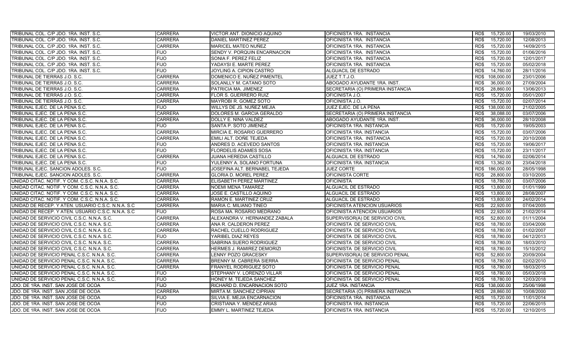| TRIBUNAL COL. C/P JDO. 1RA. INST. S.C.              | <b>CARRERA</b> | VICTOR ANT. DIONICIO AQUINO   | OFICINISTA 1RA. INSTANCIA        | RD\$<br>15,720.00  | 19/03/2010 |
|-----------------------------------------------------|----------------|-------------------------------|----------------------------------|--------------------|------------|
| TRIBUNAL COL. C/P JDO. 1RA. INST. S.C.              | <b>CARRERA</b> | DANIEL MARTINEZ PEREZ         | OFICINISTA 1RA. INSTANCIA        | 15,720.00<br>RD\$  | 12/08/2013 |
| TRIBUNAL COL. C/P JDO. 1RA. INST. S.C.              | <b>CARRERA</b> | MARICEL MATEO NUÑEZ           | OFICINISTA 1RA. INSTANCIA        | RD\$<br>15,720.00  | 14/09/2015 |
| TRIBUNAL COL. C/P JDO. 1RA. INST. S.C.              | <b>FIJO</b>    | SENDY V. PORQUIN ENCARNACION  | OFICINISTA 1RA. INSTANCIA        | 15,720.00<br>RD\$  | 01/06/2016 |
| TRIBUNAL COL. C/P JDO. 1RA. INST. S.C.              | <b>FIJO</b>    | SONIA F. PEREZ FELIZ          | OFICINISTA 1RA. INSTANCIA        | RD\$<br>15,720.00  | 12/01/2017 |
| TRIBUNAL COL. C/P JDO. 1RA. INST. S.C.              | <b>FIJO</b>    | YADAYSI E. MARTE PEREZ        | OFICINISTA 1RA. INSTANCIA        | RD\$<br>15,720.00  | 05/02/2018 |
| TRIBUNAL COL. C/P JDO. 1RA. INST. S.C.              | <b>FIJO</b>    | JOYLING A. CIPION CASTRO      | ALGUACIL DE ESTRADO              | 14,760.00<br>RD\$  | 28/11/2016 |
| TRIBUNAL DE TIERRAS J.O. S.C.                       | <b>CARRERA</b> | DOMENICO E. NUÑEZ PIMENTEL    | JUEZ T.T.J.O.                    | RD\$<br>108,000.00 | 23/01/2006 |
| TRIBUNAL DE TIERRAS J.O. S.C.                       | <b>CARRERA</b> | SOLANLLY M. CATANO SOTO       | ABOGADO AYUDANTE 1RA. INST.      | 36,000.00<br>RD\$  | 27/09/2004 |
| TRIBUNAL DE TIERRAS J.O. S.C.                       | <b>CARRERA</b> | PATRICIA MA. JIMENEZ          | SECRETARIA (O) PRIMERA INSTANCIA | RD\$<br>28,860.00  | 13/06/2013 |
| TRIBUNAL DE TIERRAS J.O. S.C.                       | <b>CARRERA</b> | FLOR S. GUERRERO RUIZ         | OFICINISTA J.O.                  | 15,720.00<br>RD\$  | 05/01/2007 |
| TRIBUNAL DE TIERRAS J.O. S.C.                       | <b>CARRERA</b> | MAYROBI R. GOMEZ SOTO         | OFICINISTA J.O.                  | 15,720.00<br>RD\$  | 02/07/2014 |
| TRIBUNAL EJEC. DE LA PENA S.C.                      | <b>FIJO</b>    | WILLYS DE JS. NUÑEZ MEJIA     | JUEZ EJEC. DE LA PENA            | RD\$<br>138,000.00 | 21/02/2005 |
| TRIBUNAL EJEC. DE LA PENA S.C.                      | <b>CARRERA</b> | DOLORES M. GARCIA GERALDO     | SECRETARIA (O) PRIMERA INSTANCIA | 38,088.00<br>RD\$  | 03/07/2006 |
| TRIBUNAL EJEC. DE LA PENA S.C.                      | <b>CARRERA</b> | DOLLY E. NINA VALDEZ          | ABOGADO AYUDANTE 1RA. INST.      | 36,000.00<br>RD\$  | 28/10/2008 |
| TRIBUNAL EJEC. DE LA PENA S.C.                      | <b>FIJO</b>    | SANTA P. SOTO JIMENEZ         | OFICINISTA 1RA. INSTANCIA        | 15,720.00<br>RD\$  | 19/05/2003 |
| TRIBUNAL EJEC. DE LA PENA S.C.                      | <b>CARRERA</b> | MIRCIA E. ROSARIO GUERRERO    | OFICINISTA 1RA. INSTANCIA        | RD\$<br>15,720.00  | 03/07/2006 |
| TRIBUNAL EJEC. DE LA PENA S.C.                      | <b>CARRERA</b> | EMILI ALT. DOÑE TEJEDA        | OFICINISTA 1RA. INSTANCIA        | 15,720.00<br>RD\$  | 20/10/2008 |
| TRIBUNAL EJEC. DE LA PENA S.C.                      | <b>FIJO</b>    | ANDRES D. ACEVEDO SANTOS      | OFICINISTA 1RA. INSTANCIA        | RD\$<br>15,720.00  | 19/06/2017 |
| TRIBUNAL EJEC. DE LA PENA S.C.                      | <b>FIJO</b>    | <b>FLORDELIS ADAMES SOSA</b>  | OFICINISTA 1RA. INSTANCIA        | RD\$<br>15,720.00  | 23/11/2017 |
| TRIBUNAL EJEC. DE LA PENA S.C.                      | <b>CARRERA</b> | JUANA HEREDIA CASTILLO        | ALGUACIL DE ESTRADO              | 14,760.00<br>RD\$  | 02/06/2014 |
| TRIBUNAL EJEC. DE LA PENA S.C.                      | <b>FIJO</b>    | YULENNY A. SOLANO FORTUNA     | OFICINISTA 1RA. INSTANCIA        | RD\$<br>13,362.00  | 23/04/2018 |
| TRIBUNAL EJEC. SANCION ADOLES. S.C.                 | <b>FIJO</b>    | JOSEFINA ALT. BERNABEL TEJEDA | <b>JUEZ CORTE</b>                | RD\$<br>186,000.00 | 28/05/1998 |
| TRIBUNAL EJEC. SANCION ADOLES. S.C.                 | <b>CARRERA</b> | <b>GLORIA D. MOREL PEREZ</b>  | OFICINISTA CORTE                 | 28,800.00<br>RD\$  | 03/10/2005 |
| UNIDAD CITAC. NOTIF. Y COM. C.S.C. N.N.A. S.C.      | <b>CARRERA</b> | ELISABETH PEREZ MARTINEZ      | <b>OFICINISTA</b>                | RD\$<br>18.780.00  | 03/07/2006 |
| UNIDAD CITAC. NOTIF. Y COM. C.S.C. N.N.A. S.C.      | <b>CARRERA</b> | <b>NOEMI MENA TAMAREZ</b>     | ALGUACIL DE ESTRADO              | RD\$<br>13,800.00  | 01/01/1999 |
| UNIDAD CITAC. NOTIF. Y COM. C.S.C. N.N.A. S.C.      | <b>CARRERA</b> | JOSE E. CASTILLO AQUINO       | ALGUACIL DE ESTRADO              | 13,800.00<br>RD\$  | 28/08/2007 |
| UNIDAD CITAC. NOTIF. Y COM. C.S.C. N.N.A. S.C.      | <b>CARRERA</b> | RAMON E. MARTINEZ CRUZ        | ALGUACIL DE ESTRADO              | RD\$<br>13,800.00  | 24/02/2014 |
| UNIDAD DE RECEP. Y ATEN. USUARIO C.S.C. N.N.A. S.C. | <b>CARRERA</b> | MARIA C. MILIANO TINEO        | OFICINISTA ATENCION USUARIOS     | 22,920.00<br>RD\$  | 07/04/2005 |
| UNIDAD DE RECEP. Y ATEN. USUARIO C.S.C. N.N.A. S.C. | <b>FIJO</b>    | ROSA MA. ROSARIO MEDRANO      | OFICINISTA ATENCION USUARIOS     | 22,920.00<br>RD\$  | 21/02/2014 |
| UNIDAD DE SERVICIO CIVIL C.S.C. N.N.A. S.C.         | <b>CARRERA</b> | ALEXANDRA V. HERNANDEZ ZABALA | SUPERVISOR(A) DE SERVICIO CIVIL  | RD\$<br>52,800.00  | 01/11/2004 |
| UNIDAD DE SERVICIO CIVIL C.S.C. N.N.A. S.C.         | <b>CARRERA</b> | ANA R. CALDERON PEREZ         | OFICINISTA DE SERVICIO CIVIL     | 18,780.00<br>RD\$  | 03/04/2006 |
| UNIDAD DE SERVICIO CIVIL C.S.C. N.N.A. S.C.         | <b>CARRERA</b> | RACHEL CUELLO RODRIGUEZ       | OFICINISTA DE SERVICIO CIVIL     | RD\$<br>18,780.00  | 01/02/2007 |
| UNIDAD DE SERVICIO CIVIL C.S.C. N.N.A. S.C.         | <b>FIJO</b>    | YARIBEL DIAZ REYES            | OFICINISTA DE SERVICIO CIVIL     | RD\$<br>18,780.00  | 04/12/2013 |
| UNIDAD DE SERVICIO CIVIL C.S.C. N.N.A. S.C.         | <b>CARRERA</b> | SABRINA SUERO RODRIGUEZ       | OFICINISTA DE SERVICIO CIVIL     | 18,780.00<br>RD\$  | 18/03/2010 |
| UNIDAD DE SERVICIO CIVIL C.S.C. N.N.A. S.C.         | <b>CARRERA</b> | HERMES J. RAMIREZ DEMORIZI    | OFICINISTA DE SERVICIO CIVIL     | RD\$<br>18,780.00  | 15/10/2012 |
| UNIDAD DE SERVICIO PENAL C.S.C. N.N.A. S.C.         | <b>CARRERA</b> | LENNY POZO GRACESKY           | SUPERVISOR(A) DE SERVICIO PENAL  | 52,800.00<br>RD\$  | 20/09/2004 |
| UNIDAD DE SERVICIO PENAL C.S.C. N.N.A. S.C.         | <b>CARRERA</b> | BRENNY M. CABRERA SIERRA      | OFICINISTA DE SERVICIO PENAL     | RD\$<br>18,780.00  | 02/02/2010 |
| UNIDAD DE SERVICIO PENAL C.S.C. N.N.A. S.C.         | <b>CARRERA</b> | FRANYEL RODRIGUEZ SOTO        | OFICINISTA DE SERVICIO PENAL     | 18,780.00<br>RD\$  | 18/03/2015 |
| UNIDAD DE SERVICIO PENAL C.S.C. N.N.A. S.C.         | <b>FIJO</b>    | STEPHANY V. LORENZO VILLAR    | OFICINISTA DE SERVICIO PENAL     | RD\$<br>18,780.00  | 05/03/2018 |
| UNIDAD DE SERVICIO PENAL C.S.C. N.N.A. S.C.         | <b>FIJO</b>    | HONEY M. TEJEDA SANCHEZ       | OFICINISTA DE SERVICIO PENAL     | 18,780.00<br>RD\$  | 12/03/2018 |
| JDO. DE 1RA. INST. SAN JOSE DE OCOA                 | <b>FIJO</b>    | RICHARD D. ENCARNACION SOTO   | JUEZ 1RA. INSTANCIA              | RD\$<br>138,000.00 | 25/06/1998 |
| JDO. DE 1RA. INST. SAN JOSE DE OCOA                 | <b>CARRERA</b> | MIRTA M. SANCHEZ CIPRIAN      | SECRETARIA (O) PRIMERA INSTANCIA | 28,860.00<br>RD\$  | 10/08/2000 |
| JDO. DE 1RA. INST. SAN JOSE DE OCOA                 | <b>FIJO</b>    | SILVIA E. MEJIA ENCARNACION   | OFICINISTA 1RA. INSTANCIA        | RD\$<br>15,720.00  | 11/01/2014 |
| JDO. DE 1RA. INST. SAN JOSE DE OCOA                 | <b>FIJO</b>    | CRISTIANA Y. MENDEZ ARIAS     | OFICINISTA 1RA. INSTANCIA        | 15,720.00<br>RD\$  | 22/06/2015 |
| JDO. DE 1RA. INST. SAN JOSE DE OCOA                 | <b>FIJO</b>    | EMMY L. MARTINEZ TEJEDA       | OFICINISTA 1RA. INSTANCIA        | RD\$<br>15.720.00  | 12/10/2015 |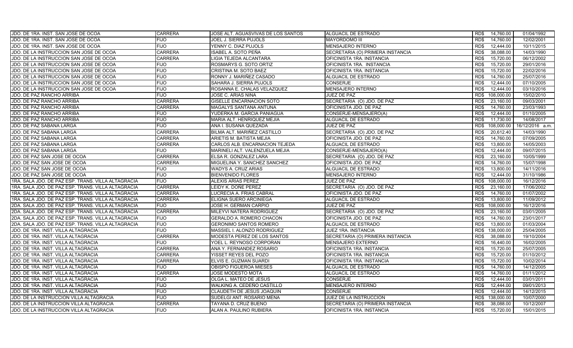| JDO. DE 1RA. INST. SAN JOSE DE OCOA                | <b>CARRERA</b> | JOSE ALT. AGUASVIVAS DE LOS SANTOS | ALGUACIL DE ESTRADO              | 14,760.00<br>RD\$  | 01/04/1992      |
|----------------------------------------------------|----------------|------------------------------------|----------------------------------|--------------------|-----------------|
| JDO. DE 1RA. INST. SAN JOSE DE OCOA                | <b>FIJO</b>    | <b>JOEL J. SIERRA PUJOLS</b>       | <b>MAYORDOMO III</b>             | RD\$<br>14,760.00  | 12/02/2001      |
| JDO. DE 1RA. INST. SAN JOSE DE OCOA                | <b>FIJO</b>    | YENNY C. DIAZ PUJOLS               | MENSAJERO INTERNO                | 12,444.00<br>RD\$  | 10/11/2015      |
| JDO. DE LA INSTRUCCION SAN JOSE DE OCOA            | <b>CARRERA</b> | ISABEL A. SOTO PEÑA                | SECRETARIA (O) PRIMERA INSTANCIA | RD\$<br>38,088.00  | 14/03/1990      |
| JDO. DE LA INSTRUCCION SAN JOSE DE OCOA            | <b>CARRERA</b> | LIGIA TEJEDA ALCANTARA             | OFICINISTA 1RA. INSTANCIA        | 15,720.00<br>RD\$  | 06/12/2002      |
| JDO. DE LA INSTRUCCION SAN JOSE DE OCOA            | <b>FIJO</b>    | ROSMARYS G. SOTO ORTIZ             | OFICINISTA 1RA. INSTANCIA        | 15,720.00<br>RD\$  | 29/01/2016      |
| JDO. DE LA INSTRUCCION SAN JOSE DE OCOA            | <b>FIJO</b>    | CRISTINA M. SOTO BAEZ              | OFICINISTA 1RA. INSTANCIA        | 15,720.00<br>RD\$  | 22/02/2016      |
| JDO. DE LA INSTRUCCION SAN JOSE DE OCOA            | <b>FIJO</b>    | RONNY J. MARIÑEZ CASADO            | ALGUACIL DE ESTRADO              | 14,760.00<br>RD\$  | 25/07/2016      |
| JDO. DE LA INSTRUCCION SAN JOSE DE OCOA            | <b>FIJO</b>    | SAHARA J. SIERRA PUJOLS            | <b>CONSERJE</b>                  | 12,444.00<br>RD\$  | 07/10/2005      |
| JDO. DE LA INSTRUCCION SAN JOSE DE OCOA            | <b>FIJO</b>    | ROSANNA E. CHALAS VELAZQUEZ        | <b>MENSAJERO INTERNO</b>         | RD\$<br>12.444.00  | 03/10/2016      |
| JDO. DE PAZ RANCHO ARRIBA                          | <b>FIJO</b>    | JOSE C. ARIAS NINA                 | JUEZ DE PAZ                      | 108,000.00<br>RD\$ | 15/02/2010      |
| JDO. DE PAZ RANCHO ARRIBA                          | <b>CARRERA</b> | GISELLE ENCARNACION SOTO           | SECRETARIA (O) JDO. DE PAZ       | 23,160.00<br>RD\$  | 09/03/2001      |
| JDO. DE PAZ RANCHO ARRIBA                          | <b>CARRERA</b> | MAGALYS SANTANA ANTUNA             | OFICINISTA JDO. DE PAZ           | 14,760.00<br>RD\$  | 23/03/1993      |
| JDO. DE PAZ RANCHO ARRIBA                          | <b>FIJO</b>    | YUDERKA M. GARCIA PANIAGUA         | CONSERJE-MENSAJERO(A)            | 12.444.00<br>RD\$  | 01/10/2005      |
| JDO. DE PAZ RANCHO ARRIBA                          | <b>FIJO</b>    | MARIA ALT. HENRIQUEZ MEJIA         | ALGUACIL DE ESTRADO              | RD\$<br>11,730.00  | 14/08/2017      |
| JDO. DE PAZ SABANA LARGA                           | <b>FIJO</b>    | ANA I. SUSANA QUEZADA              | JUEZ DE PAZ                      | RD\$<br>108,000.00 | 16/12/2016 a.m. |
| JDO. DE PAZ SABANA LARGA                           | <b>CARRERA</b> | BILMA ALT. MARIÑEZ CASTILLO        | SECRETARIA (O) JDO. DE PAZ       | RD\$<br>20,612.40  | 14/03/1990      |
| <b>JDO. DE PAZ SABANA LARGA</b>                    | <b>CARRERA</b> | ARIETIS M. BATISTA MEJIA           | OFICINISTA JDO. DE PAZ           | RD\$<br>14,760.00  | 07/09/2005      |
| JDO. DE PAZ SABANA LARGA                           | <b>CARRERA</b> | CARLOS ALB. ENCARNACION TEJEDA     | ALGUACIL DE ESTRADO              | RD\$<br>13,800.00  | 14/05/2003      |
| JDO. DE PAZ SABANA LARGA                           | <b>FIJO</b>    | MARINELI ALT. VALENZUELA MEJIA     | CONSERJE-MENSAJERO(A)            | 12.444.00<br>RD\$  | 09/07/2015      |
| JDO. DE PAZ SAN JOSE DE OCOA                       | <b>CARRERA</b> | ELSA R. GONZALEZ LARA              | SECRETARIA (O) JDO. DE PAZ       | RD\$<br>23,160.00  | 10/05/1999      |
| JDO. DE PAZ SAN JOSE DE OCOA                       | <b>CARRERA</b> | MIGUELINA Y. SANCHEZ SANCHEZ       | OFICINISTA JDO. DE PAZ           | 14,760.00<br>RD\$  | 15/07/1998      |
| JDO. DE PAZ SAN JOSE DE OCOA                       | <b>FIJO</b>    | <b>WADYS A. CRUZ ARIAS</b>         | ALGUACIL DE ESTRADO              | RD\$<br>13,800.00  | 14/11/2016      |
| JDO. DE PAZ SAN JOSE DE OCOA                       | <b>FIJO</b>    | <b>BIENVENIDO FLORES</b>           | MENSAJERO INTERNO                | 12,444.00<br>RD\$  | 31/10/1986      |
| 1RA. SALA JDO. DE PAZ ESP. TRANS. VILLA ALTAGRACIA | <b>FIJO</b>    | <b>ALEXIS ARIAS PEREZ</b>          | JUEZ DE PAZ                      | RD\$<br>108,000.00 | 16/12/2016      |
| 1RA. SALA JDO. DE PAZ ESP. TRANS. VILLA ALTAGRACIA | <b>CARRERA</b> | LEIDY K. DOÑE PEREZ                | SECRETARIA (O) JDO. DE PAZ       | 23,160.00<br>RD\$  | 17/06/2002      |
| 1RA. SALA JDO. DE PAZ ESP. TRANS. VILLA ALTAGRACIA | <b>CARRERA</b> | LUCRECIA A. FRIAS CABRAL           | OFICINISTA JDO. DE PAZ           | 14,760.00<br>RD\$  | 01/07/2002      |
| 1RA. SALA JDO. DE PAZ ESP. TRANS. VILLA ALTAGRACIA | <b>CARRERA</b> | ELIGNA SUERO ARCINIEGA             | ALGUACIL DE ESTRADO              | RD\$<br>13,800.00  | 11/09/2012      |
| 2DA. SALA JDO. DE PAZ ESP. TRANS. VILLA ALTAGRACIA | <b>FIJO</b>    | JOSE H. GERMAN CARPIO              | JUEZ DE PAZ                      | 108,000.00<br>RD\$ | 16/12/2016      |
| 2DA. SALA JDO. DE PAZ ESP. TRANS. VILLA ALTAGRACIA | <b>CARRERA</b> | MILEYVI NATERA RODRIGUEZ           | SECRETARIA (O) JDO. DE PAZ       | RD\$<br>23,160.00  | 03/01/2005      |
| 2DA. SALA JDO. DE PAZ ESP. TRANS. VILLA ALTAGRACIA | <b>FIJO</b>    | GERALDO A. ROMERO CHACON           | OFICINISTA JDO. DE PAZ           | RD\$<br>14,760.00  | 23/01/2017      |
| 2DA. SALA JDO. DE PAZ ESP. TRANS. VILLA ALTAGRACIA | <b>FIJO</b>    | <b>GERONIMO SANTOS ROMERO</b>      | ALGUACIL DE ESTRADO              | RD\$<br>13,800.00  | 01/03/2004      |
| JDO. DE 1RA. INST. VILLA ALTAGRACIA                | <b>FIJO</b>    | MASSIEL I. ALONZO RODRIGUEZ        | JUEZ 1RA. INSTANCIA              | RD\$<br>138,000.00 | 25/04/2005      |
| JDO. DE 1RA. INST. VILLA ALTAGRACIA                | <b>CARRERA</b> | MODESTA PEREZ DE LOS SANTOS        | SECRETARIA (O) PRIMERA INSTANCIA | RD\$<br>38,088.00  | 19/10/2004      |
| JDO. DE 1RA. INST. VILLA ALTAGRACIA                | <b>FIJO</b>    | YOEL L. REYNOSO CORPORAN           | <b>MENSAJERO EXTERNO</b>         | 16,440.00<br>RD\$  | 16/02/2005      |
| JDO. DE 1RA. INST. VILLA ALTAGRACIA                | <b>CARRERA</b> | ANA Y. FERNANDEZ ROSARIO           | OFICINISTA 1RA. INSTANCIA        | RD\$<br>15,720.00  | 25/07/2005      |
| JDO. DE 1RA. INST. VILLA ALTAGRACIA                | <b>CARRERA</b> | YISSET REYES DEL POZO              | OFICINISTA 1RA. INSTANCIA        | 15,720.00<br>RD\$  | 01/10/2012      |
| JDO. DE 1RA. INST. VILLA ALTAGRACIA                | <b>CARRERA</b> | ELVIS E. GUZMAN SUARDI             | OFICINISTA 1RA. INSTANCIA        | RD\$<br>15,720.00  | 10/02/2014      |
| JDO. DE 1RA. INST. VILLA ALTAGRACIA                | <b>FIJO</b>    | <b>OBISPO FIGUEROA MIESES</b>      | ALGUACIL DE ESTRADO              | 14,760.00<br>RD\$  | 14/12/2005      |
| JDO. DE 1RA. INST. VILLA ALTAGRACIA                | <b>CARRERA</b> | <b>JOSE MODESTO MOTA</b>           | ALGUACIL DE ESTRADO              | RD\$<br>14,760.00  | 01/11/2012      |
| JDO. DE 1RA. INST. VILLA ALTAGRACIA                | <b>FIJO</b>    | OLGA L. MATEO DE JESUS             | <b>CONSERJE</b>                  | 12.444.00<br>RD\$  | 03/01/2011      |
| JDO. DE 1RA. INST. VILLA ALTAGRACIA                | <b>FIJO</b>    | WALKING A. CEDEÑO CASTILLO         | <b>MENSAJERO INTERNO</b>         | RD\$<br>12.444.00  | 09/01/2013      |
| JDO. DE 1RA. INST. VILLA ALTAGRACIA                | <b>FIJO</b>    | CLAUDETH DE JESUS JOAQUIN          | <b>CONSERJE</b>                  | RD\$<br>12.444.00  | 14/12/2015      |
| JDO. DE LA INSTRUCCION VILLA ALTAGRACIA            | <b>FIJO</b>    | SUDELGI ANT. ROSARIO MENA          | JUEZ DE LA INSTRUCCION           | RD\$<br>138,000.00 | 10/07/2000      |
| JDO. DE LA INSTRUCCION VILLA ALTAGRACIA            | <b>CARRERA</b> | TAYANA D. CRUZ BUENO               | SECRETARIA (O) PRIMERA INSTANCIA | 38,088.00<br>RD\$  | 10/12/2007      |
| JDO. DE LA INSTRUCCION VILLA ALTAGRACIA            | <b>FIJO</b>    | ALAN A. PAULINO RUBIERA            | OFICINISTA 1RA. INSTANCIA        | RD\$<br>15,720.00  | 15/01/2015      |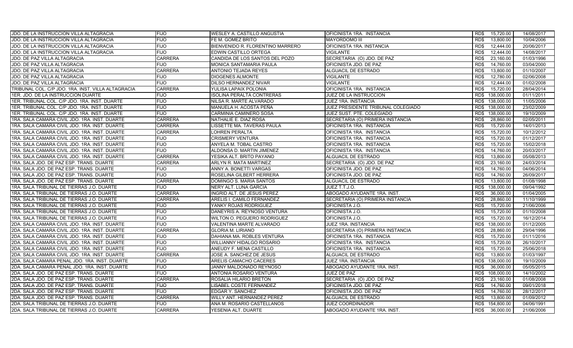| JDO. DE LA INSTRUCCION VILLA ALTAGRACIA            | <b>FIJO</b>    | WESLEY A. CASTILLO ANGUSTIA      | OFICINISTA 1RA. INSTANCIA          | RD\$<br>15,720.00  | 14/08/2017 |
|----------------------------------------------------|----------------|----------------------------------|------------------------------------|--------------------|------------|
| JDO. DE LA INSTRUCCION VILLA ALTAGRACIA            | <b>FIJO</b>    | FE M. GOMEZ BRITO                | <b>MAYORDOMO III</b>               | RD\$<br>13,800.00  | 10/04/2006 |
| JDO. DE LA INSTRUCCION VILLA ALTAGRACIA            | <b>FIJO</b>    | BIENVENIDO R. FLORENTINO MARRERO | OFICINISTA 1RA. INSTANCIA          | 12,444.00<br>RD\$  | 20/06/2017 |
| JDO. DE LA INSTRUCCION VILLA ALTAGRACIA            | <b>FIJO</b>    | EDWIN CASTILLO ORTEGA            | <b>VIGILANTE</b>                   | RD\$<br>12,444.00  | 14/08/2017 |
| JDO. DE PAZ VILLA ALTAGRACIA                       | <b>CARRERA</b> | CANDIDA DE LOS SANTOS DEL POZO   | SECRETARIA (O) JDO. DE PAZ         | 23,160.00<br>RD\$  | 01/03/1996 |
| <b>JDO. DE PAZ VILLA ALTAGRACIA</b>                | <b>FIJO</b>    | MONICA SANTAMARIA PAULA          | OFICINISTA JDO. DE PAZ             | 14,760.00<br>RD\$  | 03/04/2000 |
| <b>JDO. DE PAZ VILLA ALTAGRACIA</b>                | <b>CARRERA</b> | ANTONIO TEJADA REYES             | ALGUACIL DE ESTRADO                | 13,800.00<br>RD\$  | 01/10/2007 |
| <b>JDO. DE PAZ VILLA ALTAGRACIA</b>                | <b>FIJO</b>    | DIOGENES ALMONTE                 | VIGILANTE                          | 12.780.00<br>RD\$  | 02/06/2008 |
| <b>JDO. DE PAZ VILLA ALTAGRACIA</b>                | <b>FIJO</b>    | DILSO HERNANDEZ NIVAR            | <b>VIGILANTE</b>                   | 12,444.00<br>RD\$  | 01/02/2008 |
| TRIBUNAL COL. C/P JDO. 1RA. INST. VILLA ALTAGRACIA | <b>CARRERA</b> | YULISA LAPAIX POLONIA            | OFICINISTA 1RA. INSTANCIA          | RD\$<br>15,720.00  | 28/04/2014 |
| 1ER. JDO. DE LA INSTRUCCION DUARTE                 | <b>FIJO</b>    | ISOLINA PERALTA CONTRERAS        | JUEZ DE LA INSTRUCCION             | 138,000.00<br>RD\$ | 01/11/2011 |
| 1ER. TRIBUNAL COL. C/P JDO. 1RA. INST. DUARTE      | <b>FIJO</b>    | NILSA R. MARTE ALVARADO          | JUEZ 1RA. INSTANCIA                | 138,000.00<br>RD\$ | 11/05/2006 |
| 1ER. TRIBUNAL COL. C/P JDO. 1RA. INST. DUARTE      | <b>FIJO</b>    | MANUELA H. ACOSTA PEÑA           | JUEZ PRESIDENTE TRIBUNAL COLEGIADO | RD\$ 138,000.00    | 23/02/2009 |
| 1ER. TRIBUNAL COL. C/P JDO. 1RA. INST. DUARTE      | <b>FIJO</b>    | CARMINIA CAMINERO SOSA           | JUEZ SUST. PTE. COLEGIADO          | 138,000.00<br>RD\$ | 19/10/2009 |
| 1RA. SALA CAMARA CIVIL JDO. 1RA. INST. DUARTE      | <b>CARRERA</b> | NATHALIE E. DIAZ ROSA            | SECRETARIA (O) PRIMERA INSTANCIA   | 28,860.00<br>RD\$  | 02/05/2011 |
| 1RA. SALA CAMARA CIVIL JDO. 1RA. INST. DUARTE      | <b>CARRERA</b> | LISSETTE MA. TAVERAS PAULA       | OFICINISTA 1RA. INSTANCIA          | 15,720.00<br>RD\$  | 14/01/2013 |
| 1RA. SALA CAMARA CIVIL JDO. 1RA. INST. DUARTE      | <b>CARRERA</b> | LOHREN PERALTA                   | OFICINISTA 1RA. INSTANCIA          | 15,720.00<br>RD\$  | 10/12/2012 |
| 1RA. SALA CAMARA CIVIL JDO. 1RA. INST. DUARTE      | <b>FIJO</b>    | <b>CRISMERY VENTURA</b>          | OFICINISTA 1RA. INSTANCIA          | RD\$<br>15,720.00  | 01/12/2017 |
| 1RA. SALA CAMARA CIVIL JDO. 1RA. INST. DUARTE      | <b>FIJO</b>    | ANYELA M. TOBAL CASTRO           | OFICINISTA 1RA. INSTANCIA          | RD\$<br>15,720.00  | 15/02/2018 |
| 1RA. SALA CAMARA CIVIL JDO. 1RA. INST. DUARTE      | <b>FIJO</b>    | ALDONSA D. MARTIN JIMENEZ        | OFICINISTA 1RA. INSTANCIA          | 14,760.00<br>RD\$  | 20/03/2017 |
| 1RA. SALA CAMARA CIVIL JDO. 1RA. INST. DUARTE      | <b>CARRERA</b> | YESIKA ALT. BRITO PAYANO         | ALGUACIL DE ESTRADO                | RD\$<br>13,800.00  | 05/08/2013 |
| 1RA. SALA JDO. DE PAZ ESP. TRANS. DUARTE           | <b>CARRERA</b> | ARLYN R. MATA MARTINEZ           | SECRETARIA (O) JDO. DE PAZ         | 23,160.00<br>RD\$  | 24/03/2014 |
| 1RA. SALA JDO. DE PAZ ESP. TRANS. DUARTE           | <b>FIJO</b>    | ANNY A. BONETTI VARGAS           | OFICINISTA JDO. DE PAZ             | RD\$<br>14,760.00  | 04/06/2014 |
| 1RA. SALA JDO. DE PAZ ESP. TRANS. DUARTE           | <b>FIJO</b>    | ROSELINA GILBERT HERRERA         | OFICINISTA JDO. DE PAZ             | 14,760.00<br>RD\$  | 26/09/2017 |
| 1RA. SALA JDO. DE PAZ ESP. TRANS. DUARTE           | <b>CARRERA</b> | DOMINGO S. MARIA SANTOS          | <b>ALGUACIL DE ESTRADO</b>         | RD\$<br>13,800.00  | 01/08/1998 |
| 1RA. SALA TRIBUNAL DE TIERRAS J.O. DUARTE          | <b>FIJO</b>    | NERY ALT. LUNA GARCIA            | JUEZ T.T.J.O.                      | 138,000.00<br>RD\$ | 09/04/1992 |
| 1RA. SALA TRIBUNAL DE TIERRAS J.O. DUARTE          | <b>CARRERA</b> | INGRID ALT. DE JESUS PEREZ       | ABOGADO AYUDANTE 1RA. INST.        | 36,000.00<br>RD\$  | 01/04/2005 |
| 1RA. SALA TRIBUNAL DE TIERRAS J.O. DUARTE          | <b>CARRERA</b> | ARELIS I. CAMILO FERNANDEZ       | SECRETARIA (O) PRIMERA INSTANCIA   | 28,860.00<br>RD\$  | 11/10/1999 |
| 1RA. SALA TRIBUNAL DE TIERRAS J.O. DUARTE          | <b>FIJO</b>    | YANKY ROJAS RODRIGUEZ            | OFICINISTA J.O.                    | 15,720.00<br>RD\$  | 21/06/2006 |
| 1RA. SALA TRIBUNAL DE TIERRAS J.O. DUARTE          | <b>FIJO</b>    | DANEYRIS A. REYNOSO VENTURA      | OFICINISTA J.O.                    | 15.720.00<br>RD\$  | 01/10/2008 |
| 1RA. SALA TRIBUNAL DE TIERRAS J.O. DUARTE          | <b>FIJO</b>    | WILTON O. PEGUERO RODRIGUEZ      | OFICINISTA J.O.                    | RD\$<br>15,720.00  | 16/12/2014 |
| 2DA. SALA CAMARA CIVIL JDO. 1RA. INST. DUARTE      | <b>FIJO</b>    | VALENTINA MARTE ALVARADO         | JUEZ 1RA. INSTANCIA                | RD\$<br>138,000.00 | 01/12/2005 |
| 2DA. SALA CAMARA CIVIL JDO. 1RA. INST. DUARTE      | <b>CARRERA</b> | <b>GLORIA M. LIRIANO</b>         | SECRETARIA (O) PRIMERA INSTANCIA   | RD\$<br>28,860.00  | 29/04/1996 |
| 2DA. SALA CAMARA CIVIL JDO. 1RA. INST. DUARTE      | <b>FIJO</b>    | DAHIANA MA. ROBLES VENTURA       | OFICINISTA 1RA. INSTANCIA          | RD\$<br>15,720.00  | 01/11/2016 |
| 2DA. SALA CAMARA CIVIL JDO. 1RA. INST. DUARTE      | <b>FIJO</b>    | WILLIANNY HIDALGO ROSARIO        | OFICINISTA 1RA. INSTANCIA          | RD\$<br>15,720.00  | 26/10/2017 |
| 2DA. SALA CAMARA CIVIL JDO. 1RA. INST. DUARTE      | <b>FIJO</b>    | ANEUDY F. MENA CASTILLO          | OFICINISTA 1RA. INSTANCIA          | RD\$<br>15,720.00  | 25/06/2018 |
| 2DA. SALA CAMARA CIVIL JDO. 1RA. INST. DUARTE      | <b>CARRERA</b> | JOSE A. SANCHEZ DE JESUS         | ALGUACIL DE ESTRADO                | 13,800.00<br>RD\$  | 01/03/1997 |
| 2DA. SALA CAMARA PENAL JDO. 1RA. INST. DUARTE      | <b>FIJO</b>    | ARELIS CAMACHO CACERES           | JUEZ 1RA. INSTANCIA                | RD\$<br>138,000.00 | 19/10/2009 |
| 2DA. SALA CAMARA PENAL JDO. 1RA. INST. DUARTE      | <b>FIJO</b>    | JANNY MALDONADO REYNOSO          | ABOGADO AYUDANTE 1RA. INST.        | 36,000.00<br>RD\$  | 05/05/2015 |
| 2DA. SALA JDO. DE PAZ ESP. TRANS. DUARTE           | <b>FIJO</b>    | ANTONIA ROSARIO VENTURA          | JUEZ DE PAZ                        | RD\$<br>108,000.00 | 14/10/2002 |
| 2DA. SALA JDO. DE PAZ ESP. TRANS. DUARTE           | <b>CARRERA</b> | ROSALIA HILARIO BRETON           | SECRETARIA (O) JDO. DE PAZ         | 23,160.00<br>RD\$  | 01/08/2008 |
| 2DA. SALA JDO. DE PAZ ESP. TRANS. DUARTE           | <b>FIJO</b>    | LISABEL COSTE FERNANDEZ          | OFICINISTA JDO. DE PAZ             | 14,760.00<br>RD\$  | 09/01/2018 |
| 2DA. SALA JDO. DE PAZ ESP. TRANS. DUARTE           | <b>FIJO</b>    | EDGAR Y. SANCHEZ                 | OFICINISTA JDO. DE PAZ             | RD\$<br>14,760.00  | 28/12/2017 |
| 2DA. SALA JDO. DE PAZ ESP. TRANS. DUARTE           | <b>CARRERA</b> | WILLY ANT. HERNANDEZ PEREZ       | ALGUACIL DE ESTRADO                | RD\$<br>13,800.00  | 01/09/2012 |
| 2DA. SALA TRIBUNAL DE TIERRAS J.O. DUARTE          | <b>FIJO</b>    | ANA M. ROSARIO CASTELLANOS       | JUEZ COORDINADOR                   | 154,800.00<br>RD\$ | 04/06/1991 |
| 2DA. SALA TRIBUNAL DE TIERRAS J.O. DUARTE          | <b>CARRERA</b> | YESENIA ALT. DUARTE              | ABOGADO AYUDANTE 1RA. INST.        | 36,000.00<br>RD\$  | 21/06/2006 |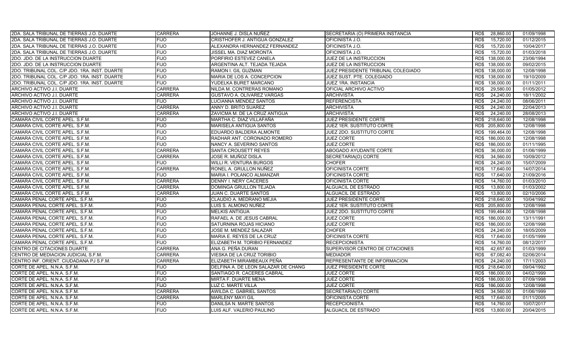| 2DA. SALA TRIBUNAL DE TIERRAS J.O. DUARTE     | <b>CARRERA</b> | JOHANNE J. DISLA NUÑEZ              | SECRETARIA (O) PRIMERA INSTANCIA   | 28,860.00<br>RD\$  | 01/09/1998 |
|-----------------------------------------------|----------------|-------------------------------------|------------------------------------|--------------------|------------|
| 2DA. SALA TRIBUNAL DE TIERRAS J.O. DUARTE     | <b>FIJO</b>    | CRISTHOFER J. ANTIGUA GONZALEZ      | OFICINISTA J.O.                    | RD\$<br>15,720.00  | 01/12/2015 |
| 2DA. SALA TRIBUNAL DE TIERRAS J.O. DUARTE     | <b>FIJO</b>    | ALEXANDRA HERNANDEZ FERNANDEZ       | OFICINISTA J.O.                    | 15,720.00<br>RD\$  | 10/04/2017 |
| 2DA. SALA TRIBUNAL DE TIERRAS J.O. DUARTE     | <b>FIJO</b>    | JISSEL MA. DIAZ MORONTA             | OFICINISTA J.O.                    | 15,720.00<br>RD\$  | 01/03/2018 |
| 2DO. JDO. DE LA INSTRUCCION DUARTE            | <b>FIJO</b>    | PORFIRIO ESTEVEZ CANELA             | JUEZ DE LA INSTRUCCION             | RD\$<br>138,000.00 | 23/06/1994 |
| 2DO. JDO. DE LA INSTRUCCION DUARTE            | <b>FIJO</b>    | ARGENTINA ALT. TEJADA TEJADA        | JUEZ DE LA INSTRUCCION             | 138,000.00<br>RD\$ | 09/02/2015 |
| 2DO. TRIBUNAL COL. C/P JDO. 1RA. INST. DUARTE | <b>FIJO</b>    | RAMON I. GIL GUZMAN                 | JUEZ PRESIDENTE TRIBUNAL COLEGIADO | RD\$ 138,000.00    | 12/08/1998 |
| 2DO. TRIBUNAL COL. C/P JDO. 1RA. INST. DUARTE | <b>FIJO</b>    | MARIA DE LOS A. CONCEPCION          | JUEZ SUST. PTE. COLEGIADO          | RD\$ 138,000.00    | 19/10/2009 |
| 2DO. TRIBUNAL COL. C/P JDO. 1RA. INST. DUARTE | <b>FIJO</b>    | YUDELKA BURET MARCANO               | JUEZ 1RA. INSTANCIA                | RD\$ 138,000.00    | 01/11/2011 |
| ARCHIVO ACTIVO J.I. DUARTE                    | <b>CARRERA</b> | NILDA M. CONTRERAS ROMANO           | OFICIAL ARCHIVO ACTIVO             | RD\$<br>29,580.00  | 01/05/2012 |
| ARCHIVO ACTIVO J.I. DUARTE                    | <b>CARRERA</b> | GUSTAVO A. OLIVAREZ VARGAS          | <b>ARCHIVISTA</b>                  | 24,240.00<br>RD\$  | 18/11/2002 |
| ARCHIVO ACTIVO J.I. DUARTE                    | <b>FIJO</b>    | LUCIANNA MENDEZ SANTOS              | <b>REFERENCISTA</b>                | RD\$<br>24,240.00  | 08/06/2011 |
| ARCHIVO ACTIVO J.I. DUARTE                    | <b>CARRERA</b> | ANNY D. BRITO SUAREZ                | <b>ARCHIVISTA</b>                  | RD\$<br>24,240.00  | 22/04/2013 |
| ARCHIVO ACTIVO J.I. DUARTE                    | <b>CARRERA</b> | ZAVICMA M. DE LA CRUZ ANTIGUA       | <b>ARCHIVISTA</b>                  | RD\$<br>24,240.00  | 28/08/2013 |
| CAMARA CIVIL CORTE APEL. S.F.M.               | <b>FIJO</b>    | MARTHA C. DIAZ VILLAFAÑA            | <b>JUEZ PRESIDENTE CORTE</b>       | RD\$ 218,640.00    | 12/08/1998 |
| CAMARA CIVIL CORTE APEL. S.F.M.               | <b>FIJO</b>    | MARISELA ANTIGUA SANTOS             | JUEZ 1ER. SUSTITUTO CORTE          | RD\$ 205,800.00    | 12/08/1998 |
| CAMARA CIVIL CORTE APEL. S.F.M.               | <b>FIJO</b>    | EDUARDO BALDERA ALMONTE             | JUEZ 2DO. SUSTITUTO CORTE          | RD\$ 199,464.00    | 12/08/1998 |
| CAMARA CIVIL CORTE APEL. S.F.M.               | <b>FIJO</b>    | RADHAR ANT. CORONADO ROMERO         | <b>JUEZ CORTE</b>                  | RD\$ 186,000.00    | 12/08/1998 |
| CAMARA CIVIL CORTE APEL. S.F.M.               | <b>FIJO</b>    | NANCY A. SEVERINO SANTOS            | <b>JUEZ CORTE</b>                  | RD\$<br>186,000.00 | 01/11/1995 |
| CAMARA CIVIL CORTE APEL. S.F.M.               | <b>CARRERA</b> | SANTA CROUSETT REYES                | ABOGADO AYUDANTE CORTE             | 36,000.00<br>RD\$  | 01/06/1999 |
| CAMARA CIVIL CORTE APEL. S.F.M.               | <b>CARRERA</b> | JOSE R. MUÑOZ DISLA                 | SECRETARIA(O) CORTE                | 34,560.00<br>RD\$  | 10/09/2012 |
| CAMARA CIVIL CORTE APEL. S.F.M.               | <b>FIJO</b>    | WILLI R. VENTURA BURGOS             | <b>CHOFER</b>                      | 24,240.00<br>RD\$  | 15/07/2009 |
| CAMARA CIVIL CORTE APEL. S.F.M.               | <b>CARRERA</b> | RONEL A. GRULLON NUÑEZ              | OFICINISTA CORTE                   | RD\$<br>17.640.00  | 14/07/2014 |
| CAMARA CIVIL CORTE APEL. S.F.M.               | <b>FIJO</b>    | MARIA I. POLANCO ALMANZAR           | OFICINISTA CORTE                   | 17,640.00<br>RD\$  | 21/09/2016 |
| CAMARA CIVIL CORTE APEL. S.F.M.               | <b>CARRERA</b> | <b>DENNY I. NERY CACERES</b>        | OFICINISTA CORTE                   | 14,760.00<br>RD\$  | 01/03/2010 |
| CAMARA CIVIL CORTE APEL. S.F.M.               | <b>CARRERA</b> | DOMINGA GRULLON TEJADA              | ALGUACIL DE ESTRADO                | RD\$<br>13,800.00  | 01/03/2002 |
| CAMARA CIVIL CORTE APEL. S.F.M.               | <b>CARRERA</b> | <b>JUAN C. DUARTE SANTOS</b>        | ALGUACIL DE ESTRADO                | RD\$<br>13,800.00  | 02/10/2006 |
| CAMARA PENAL CORTE APEL. S.F.M.               | <b>FIJO</b>    | CLAUDIO A. MEDRANO MEJIA            | JUEZ PRESIDENTE CORTE              | RD\$ 218,640.00    | 10/04/1992 |
| CAMARA PENAL CORTE APEL. S.F.M.               | <b>FIJO</b>    | LUIS S. ALMONO NUÑEZ                | JUEZ 1ER. SUSTITUTO CORTE          | RD\$ 205,800.00    | 12/08/1998 |
| CAMARA PENAL CORTE APEL. S.F.M.               | <b>FIJO</b>    | <b>MELKIS ANTIGUA</b>               | JUEZ 2DO. SUSTITUTO CORTE          | RD\$ 199,464.00    | 12/08/1998 |
| CAMARA PENAL CORTE APEL. S.F.M.               | <b>FIJO</b>    | RAFAEL A. DE JESUS CABRAL           | <b>JUEZ CORTE</b>                  | RD\$ 186,000.00    | 13/11/1991 |
| CAMARA PENAL CORTE APEL. S.F.M.               | <b>FIJO</b>    | SATURNINA ROJAS HICIANO             | <b>JUEZ CORTE</b>                  | RD\$ 186,000.00    | 12/08/1998 |
| CAMARA PENAL CORTE APEL. S.F.M.               | <b>FIJO</b>    | JOSE M. MENDEZ SALAZAR              | <b>CHOFER</b>                      | RD\$<br>24,240.00  | 18/05/2009 |
| CAMARA PENAL CORTE APEL. S.F.M.               | <b>FIJO</b>    | MARIA E. REYES DE LA CRUZ           | OFICINISTA CORTE                   | RD\$<br>17,640.00  | 01/05/1999 |
| CAMARA PENAL CORTE APEL. S.F.M.               | <b>FIJO</b>    | ELIZABETH M. TORIBIO FERNANDEZ      | <b>RECEPCIONISTA</b>               | 14,760.00<br>RD\$  | 08/12/2017 |
| CENTRO DE CITACIONES DUARTE                   | <b>CARRERA</b> | ANA G. PEÑA DURAN                   | SUPERVISOR CENTRO DE CITACIONES    | RD\$<br>42,657.60  | 01/03/1999 |
| CENTRO DE MEDIACION JUDICIAL S.F.M.           | <b>CARRERA</b> | VIESKA DE LA CRUZ TORIBIO           | <b>MEDIADOR</b>                    | 67,082.40<br>RD\$  | 02/06/2014 |
| CENTRO INF. ORIENT. CIUDADANA PJ S.F.M.       | <b>CARRERA</b> | ELIZABETH MIRAMBEAUX PEÑA           | REPRESENTANTE DE INFORMACION       | RD\$<br>24,240.00  | 17/11/2003 |
| CORTE DE APEL. N.N.A. S.F.M.                  | <b>FIJO</b>    | DELFINA A. DE LEON SALAZAR DE CHANG | JUEZ PRESIDENTE CORTE              | RD\$ 218,640.00    | 09/04/1992 |
| CORTE DE APEL. N.N.A. S.F.M.                  | <b>FIJO</b>    | SANTIAGO R. CACERES CABRAL          | <b>JUEZ CORTE</b>                  | 186,000.00<br>RD\$ | 04/02/1999 |
| CORTE DE APEL. N.N.A. S.F.M.                  | <b>FIJO</b>    | MIRTA F. DUARTE MENA                | <b>JUEZ CORTE</b>                  | RD\$<br>186,000.00 | 07/09/1998 |
| CORTE DE APEL. N.N.A. S.F.M.                  | <b>FIJO</b>    | LUZ C. MARTE VILLA                  | <b>JUEZ CORTE</b>                  | 186,000.00<br>RD\$ | 12/08/1998 |
| CORTE DE APEL. N.N.A. S.F.M.                  | <b>CARRERA</b> | AWILDA C. GABRIEL SANTOS            | SECRETARIA(O) CORTE                | RD\$<br>34,560.00  | 01/06/1999 |
| CORTE DE APEL. N.N.A. S.F.M.                  | <b>CARRERA</b> | <b>MARLENY MAYI GIL</b>             | OFICINISTA CORTE                   | RD\$<br>17.640.00  | 01/11/2005 |
| CORTE DE APEL. N.N.A. S.F.M.                  | <b>FIJO</b>    | DANILSA N. MARTE SANTOS             | <b>RECEPCIONISTA</b>               | 14,760.00<br>RD\$  | 10/07/2017 |
| CORTE DE APEL. N.N.A. S.F.M.                  | <b>FIJO</b>    | LUIS ALF. VALERIO PAULINO           | ALGUACIL DE ESTRADO                | RD\$<br>13,800.00  | 20/04/2015 |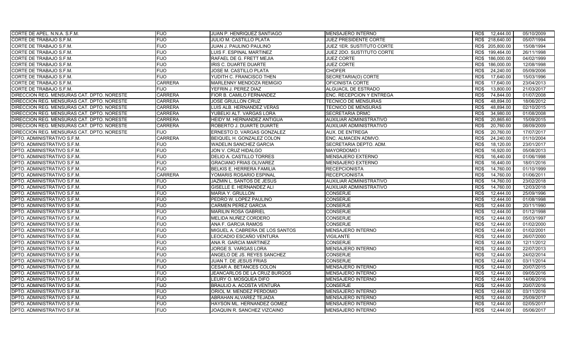| CORTE DE TRABAJO S.F.M.<br><b>FIJO</b><br>JULIO M. CASTILLO PLATA<br>JUEZ PRESIDENTE CORTE<br>RD\$ 218,640.00<br><b>FIJO</b><br>JUEZ 1ER. SUSTITUTO CORTE<br>RD\$ 205,800.00<br>CORTE DE TRABAJO S.F.M.<br>JUAN J. PAULINO PAULINO<br><b>FIJO</b><br>JUEZ 2DO. SUSTITUTO CORTE<br>RD\$ 199,464.00<br>CORTE DE TRABAJO S.F.M.<br>LUIS F. ESPINAL MARTINEZ<br><b>FIJO</b><br>RAFAEL DE G. FRETT MEJIA<br>CORTE DE TRABAJO S.F.M.<br><b>JUEZ CORTE</b><br>RD\$ 186,000.00<br><b>FIJO</b><br>CORTE DE TRABAJO S.F.M.<br><b>IRIS C. DUARTE DUARTE</b><br><b>JUEZ CORTE</b><br>186.000.00<br>RD\$<br><b>FIJO</b><br><b>CORTE DE TRABAJO S.F.M.</b><br><b>JOSE M. CASTILLO PLATA</b><br><b>CHOFER</b><br>RD\$<br>24,240.00 | 05/07/1994<br>15/08/1994<br>26/11/1998<br>04/02/1999<br>12/08/1998<br>05/09/2006<br>15/03/1996<br>23/04/2013<br>21/03/2017<br>01/07/2008 |
|---------------------------------------------------------------------------------------------------------------------------------------------------------------------------------------------------------------------------------------------------------------------------------------------------------------------------------------------------------------------------------------------------------------------------------------------------------------------------------------------------------------------------------------------------------------------------------------------------------------------------------------------------------------------------------------------------------------------|------------------------------------------------------------------------------------------------------------------------------------------|
|                                                                                                                                                                                                                                                                                                                                                                                                                                                                                                                                                                                                                                                                                                                     |                                                                                                                                          |
|                                                                                                                                                                                                                                                                                                                                                                                                                                                                                                                                                                                                                                                                                                                     |                                                                                                                                          |
|                                                                                                                                                                                                                                                                                                                                                                                                                                                                                                                                                                                                                                                                                                                     |                                                                                                                                          |
|                                                                                                                                                                                                                                                                                                                                                                                                                                                                                                                                                                                                                                                                                                                     |                                                                                                                                          |
|                                                                                                                                                                                                                                                                                                                                                                                                                                                                                                                                                                                                                                                                                                                     |                                                                                                                                          |
|                                                                                                                                                                                                                                                                                                                                                                                                                                                                                                                                                                                                                                                                                                                     |                                                                                                                                          |
| <b>FIJO</b><br>SECRETARIA(O) CORTE<br>17,640.00<br>CORTE DE TRABAJO S.F.M.<br>YUDITH C. FRANCISCO THEN<br>RD\$                                                                                                                                                                                                                                                                                                                                                                                                                                                                                                                                                                                                      |                                                                                                                                          |
| <b>CARRERA</b><br>CORTE DE TRABAJO S.F.M.<br>MARLENNY MENDOZA REMIGIO<br>OFICINISTA CORTE<br>RD\$<br>17,640.00                                                                                                                                                                                                                                                                                                                                                                                                                                                                                                                                                                                                      |                                                                                                                                          |
| <b>FIJO</b><br>YEFRIN J. PEREZ DIAZ<br>ALGUACIL DE ESTRADO<br>13,800.00<br>CORTE DE TRABAJO S.F.M.<br>RD\$                                                                                                                                                                                                                                                                                                                                                                                                                                                                                                                                                                                                          |                                                                                                                                          |
| DIRECCION REG. MENSURAS CAT. DPTO. NORESTE<br><b>CARRERA</b><br>FIOR B. CAMILO FERNANDEZ<br>ENC. RECEPCION Y ENTREGA<br>RD\$<br>74,844.00                                                                                                                                                                                                                                                                                                                                                                                                                                                                                                                                                                           |                                                                                                                                          |
| <b>CARRERA</b><br>RD\$<br>48,894.00<br>DIRECCION REG. MENSURAS CAT. DPTO. NORESTE<br>JOSE GRULLON CRUZ<br><b>TECNICO DE MENSURAS</b>                                                                                                                                                                                                                                                                                                                                                                                                                                                                                                                                                                                | 18/06/2012                                                                                                                               |
| <b>CARRERA</b><br>48.894.00<br>DIRECCION REG. MENSURAS CAT. DPTO. NORESTE<br>LUIS ALB. HERNANDEZ VERAS<br><b>TECNICO DE MENSURAS</b><br>RD\$                                                                                                                                                                                                                                                                                                                                                                                                                                                                                                                                                                        | 02/10/2015                                                                                                                               |
| <b>CARRERA</b><br>34,980.00<br>DIRECCION REG. MENSURAS CAT. DPTO. NORESTE<br>YUBELKI ALT. VARGAS LORA<br><b>SECRETARIA DRMC</b><br>RD\$                                                                                                                                                                                                                                                                                                                                                                                                                                                                                                                                                                             | 01/08/2008                                                                                                                               |
| DIRECCION REG. MENSURAS CAT. DPTO. NORESTE<br><b>CARRERA</b><br>HEIDY M. HERNANDEZ ANTIGUA<br><b>AUXILIAR ADMINISTRATIVO</b><br>RD\$<br>20,865.60                                                                                                                                                                                                                                                                                                                                                                                                                                                                                                                                                                   | 15/09/2015                                                                                                                               |
| <b>CARRERA</b><br>DIRECCION REG. MENSURAS CAT. DPTO. NORESTE<br>20,760.00<br>ROBERTO J. DUARTE DUARTE<br>AUXILIAR ADMINISTRATIVO<br>RD\$                                                                                                                                                                                                                                                                                                                                                                                                                                                                                                                                                                            | 08/09/2009                                                                                                                               |
| DIRECCION REG. MENSURAS CAT. DPTO. NORESTE<br><b>FIJO</b><br>ERNESTO D. VARGAS GONZALEZ<br><b>AUX. DE ENTREGA</b><br>RD\$<br>20,760.00                                                                                                                                                                                                                                                                                                                                                                                                                                                                                                                                                                              | 17/07/2017                                                                                                                               |
| <b>CARRERA</b><br>24,240.00<br>DPTO. ADMINISTRATIVO S.F.M.<br>BEIQUEL H. GONZALEZ COLON<br>ENC. ALMACEN ADMVO.<br>RD\$                                                                                                                                                                                                                                                                                                                                                                                                                                                                                                                                                                                              | 01/10/2004                                                                                                                               |
| <b>FIJO</b><br><b>WADELIN SANCHEZ GARCIA</b><br>SECRETARIA DEPTO. ADM.<br>18,120.00<br>DPTO. ADMINISTRATIVO S.F.M.<br>RD\$                                                                                                                                                                                                                                                                                                                                                                                                                                                                                                                                                                                          | 23/01/2017                                                                                                                               |
| <b>FIJO</b><br>RD\$<br>16,920.00<br><b>DPTO. ADMINISTRATIVO S.F.M.</b><br>JON V. CRUZ HIDALGO<br>MAYORDOMO I                                                                                                                                                                                                                                                                                                                                                                                                                                                                                                                                                                                                        | 05/08/2013                                                                                                                               |
| <b>FIJO</b><br>DPTO. ADMINISTRATIVO S.F.M.<br>DELIO A. CASTILLO TORRES<br><b>MENSAJERO EXTERNO</b><br>RD\$<br>16,440.00                                                                                                                                                                                                                                                                                                                                                                                                                                                                                                                                                                                             | 01/06/1998                                                                                                                               |
| <b>FIJO</b><br>DPTO. ADMINISTRATIVO S.F.M.<br><b>GRACIANO FRIAS OLIVAREZ</b><br>MENSAJERO EXTERNO<br>RD\$<br>16.440.00                                                                                                                                                                                                                                                                                                                                                                                                                                                                                                                                                                                              | 18/01/2016                                                                                                                               |
| <b>FIJO</b><br>DPTO. ADMINISTRATIVO S.F.M.<br><b>BELKIS E. HERRERA FAMILIA</b><br><b>RECEPCIONISTA</b><br>RD\$<br>14,760.00                                                                                                                                                                                                                                                                                                                                                                                                                                                                                                                                                                                         | 01/10/1999                                                                                                                               |
| <b>CARRERA</b><br>R <sub>D</sub><br>14,760.00<br>DPTO. ADMINISTRATIVO S.F.M.<br>YOMARIS ROSARIO ESPINAL<br><b>RECEPCIONISTA</b>                                                                                                                                                                                                                                                                                                                                                                                                                                                                                                                                                                                     | 01/06/2011                                                                                                                               |
| DPTO. ADMINISTRATIVO S.F.M.<br><b>FIJO</b><br>JAZMIN L. SANTOS DE JESUS<br><b>AUXILIAR ADMINISTRATIVO</b><br>RD\$<br>14,760.00                                                                                                                                                                                                                                                                                                                                                                                                                                                                                                                                                                                      | 23/02/2018                                                                                                                               |
| DPTO. ADMINISTRATIVO S.F.M.<br><b>FIJO</b><br><b>GISELLE E. HERNANDEZ ALI</b><br>AUXILIAR ADMINISTRATIVO<br>RD\$<br>14,760.00                                                                                                                                                                                                                                                                                                                                                                                                                                                                                                                                                                                       | 12/03/2018                                                                                                                               |
| <b>FIJO</b><br><b>CONSERJE</b><br>12,444.00<br>DPTO. ADMINISTRATIVO S.F.M.<br><b>MARIA Y. GRULLON</b><br>RD\$                                                                                                                                                                                                                                                                                                                                                                                                                                                                                                                                                                                                       | 25/09/1996                                                                                                                               |
| DPTO. ADMINISTRATIVO S.F.M.<br><b>FIJO</b><br>PEDRO W. LOPEZ PAULINO<br><b>CONSERJE</b><br>RD\$<br>12,444.00                                                                                                                                                                                                                                                                                                                                                                                                                                                                                                                                                                                                        | 01/08/1998                                                                                                                               |
| <b>FIJO</b><br><b>CONSERJE</b><br><b>CARMEN PEREZ GARCIA</b><br>12,444.00<br>DPTO. ADMINISTRATIVO S.F.M.<br>RD\$                                                                                                                                                                                                                                                                                                                                                                                                                                                                                                                                                                                                    | 20/11/1990                                                                                                                               |
| <b>CONSERJE</b><br>DPTO. ADMINISTRATIVO S.F.M.<br><b>FIJO</b><br><b>MARILIN ROSA GABRIEL</b><br>RD\$<br>12.444.00                                                                                                                                                                                                                                                                                                                                                                                                                                                                                                                                                                                                   | 01/12/1998                                                                                                                               |
| <b>FIJO</b><br>DPTO. ADMINISTRATIVO S.F.M.<br>MELIDA NUÑEZ CORDERO<br><b>CONSERJE</b><br>RD\$<br>12,444.00                                                                                                                                                                                                                                                                                                                                                                                                                                                                                                                                                                                                          | 05/03/1997                                                                                                                               |
| <b>FIJO</b><br><b>CONSERJE</b><br>12.444.00<br>DPTO. ADMINISTRATIVO S.F.M.<br>ANA F. GARCIA RAMOS<br>RD\$                                                                                                                                                                                                                                                                                                                                                                                                                                                                                                                                                                                                           | 01/02/2000                                                                                                                               |
| <b>FIJO</b><br>MIGUEL A. CABRERA DE LOS SANTOS<br><b>MENSAJERO INTERNO</b><br>RD\$<br>12.444.00<br>DPTO. ADMINISTRATIVO S.F.M.                                                                                                                                                                                                                                                                                                                                                                                                                                                                                                                                                                                      | 01/02/2001                                                                                                                               |
| <b>FIJO</b><br>DPTO. ADMINISTRATIVO S.F.M.<br>LEOCADIO ESCAÑO VENTURA<br><b>VIGILANTE</b><br>RD\$<br>12.444.00                                                                                                                                                                                                                                                                                                                                                                                                                                                                                                                                                                                                      | 26/07/2000                                                                                                                               |
| <b>FIJO</b><br><b>CONSERJE</b><br>12.444.00<br>DPTO. ADMINISTRATIVO S.F.M.<br>ANA R. GARCIA MARTINEZ<br>RD\$                                                                                                                                                                                                                                                                                                                                                                                                                                                                                                                                                                                                        | 12/11/2012                                                                                                                               |
| <b>FIJO</b><br>MENSAJERO INTERNO<br>12,444.00<br>DPTO. ADMINISTRATIVO S.F.M.<br>JORGE S. VARGAS LORA<br>RD\$                                                                                                                                                                                                                                                                                                                                                                                                                                                                                                                                                                                                        | 22/07/2013                                                                                                                               |
| <b>FIJO</b><br>ANGELO DE JS. REYES SANCHEZ<br><b>CONSERJE</b><br>RD\$<br>12,444.00<br>DPTO. ADMINISTRATIVO S.F.M.                                                                                                                                                                                                                                                                                                                                                                                                                                                                                                                                                                                                   | 24/02/2014                                                                                                                               |
| DPTO. ADMINISTRATIVO S.F.M.<br><b>FIJO</b><br>JUAN T. DE JESUS FRIAS<br><b>CONSERJE</b><br>RD\$<br>12,444.00                                                                                                                                                                                                                                                                                                                                                                                                                                                                                                                                                                                                        | 03/11/2014                                                                                                                               |
| <b>FIJO</b><br>MENSAJERO INTERNO<br>12,444.00<br>DPTO. ADMINISTRATIVO S.F.M.<br>CESAR A. BETANCES COLON<br>RD\$                                                                                                                                                                                                                                                                                                                                                                                                                                                                                                                                                                                                     | 20/07/2015                                                                                                                               |
| <b>FIJO</b><br>12,444.00<br>DPTO. ADMINISTRATIVO S.F.M.<br>JEANCARLOS DE LA CRUZ BURGOS<br><b>MENSAJERO INTERNO</b><br>RD\$                                                                                                                                                                                                                                                                                                                                                                                                                                                                                                                                                                                         | 09/05/2016                                                                                                                               |
| <b>FIJO</b><br>DPTO. ADMINISTRATIVO S.F.M.<br>LEURY O. MOSQUEA DIFO<br>MENSAJERO INTERNO<br>RD\$<br>12.444.00                                                                                                                                                                                                                                                                                                                                                                                                                                                                                                                                                                                                       | 14/06/2016                                                                                                                               |
| <b>FIJO</b><br>BRAULIO A. ACOSTA VENTURA<br>RD\$<br>12.444.00<br>DPTO. ADMINISTRATIVO S.F.M.<br><b>CONSERJE</b>                                                                                                                                                                                                                                                                                                                                                                                                                                                                                                                                                                                                     | 20/07/2016                                                                                                                               |
| <b>FIJO</b><br><b>MENSAJERO INTERNO</b><br>DPTO. ADMINISTRATIVO S.F.M.<br>ORIOL M. MENDEZ PERDOMO<br>RD\$<br>12,444.00                                                                                                                                                                                                                                                                                                                                                                                                                                                                                                                                                                                              | 03/11/2016                                                                                                                               |
| DPTO. ADMINISTRATIVO S.F.M.<br><b>FIJO</b><br>ABRAHAN ALVAREZ TEJADA<br>RD\$<br>12.444.00<br><b>MENSAJERO INTERNO</b>                                                                                                                                                                                                                                                                                                                                                                                                                                                                                                                                                                                               | 25/09/2017                                                                                                                               |
| <b>FIJO</b><br>RD\$<br>12,444.00<br>DPTO. ADMINISTRATIVO S.F.M.<br>HAYSON ML. HERNANDEZ GOMEZ<br><b>MENSAJERO INTERNO</b>                                                                                                                                                                                                                                                                                                                                                                                                                                                                                                                                                                                           | 02/05/2017                                                                                                                               |
| <b>FIJO</b><br>12,444.00<br><b>DPTO. ADMINISTRATIVO S.F.M.</b><br>JOAQUIN R. SANCHEZ VIZCAINO<br><b>MENSAJERO INTERNO</b><br>RD\$                                                                                                                                                                                                                                                                                                                                                                                                                                                                                                                                                                                   | 05/06/2017                                                                                                                               |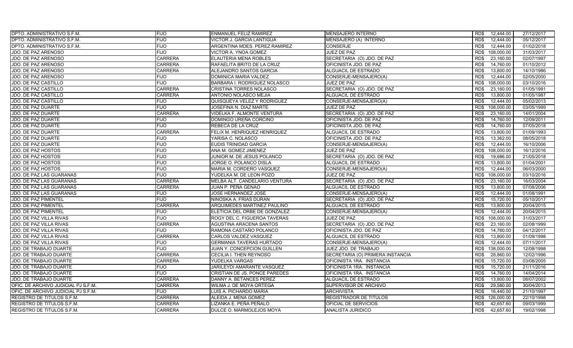| <b>DPTO. ADMINISTRATIVO S.F.M.</b>  | <b>FIJO</b>    | <b>ENMANUEL FELIZ RAMIREZ</b>   | <b>MENSAJERO INTERNO</b>         | 12,444.00<br>RD\$  | 27/12/2017 |
|-------------------------------------|----------------|---------------------------------|----------------------------------|--------------------|------------|
| DPTO. ADMINISTRATIVO S.F.M.         | <b>FIJO</b>    | VICTOR J. GARCIA LANTIGUA       | MENSAJERO (A) INTERNO            | RD\$<br>12,444.00  | 05/12/2017 |
| DPTO. ADMINISTRATIVO S.F.M.         | <b>FIJO</b>    | ARGENTINA MDES. PEREZ RAMIREZ   | <b>CONSERJE</b>                  | RD\$<br>12,444.00  | 01/02/2018 |
| JDO. DE PAZ ARENOSO                 | <b>FIJO</b>    | VICTOR A. YNOA GOMEZ            | JUEZ DE PAZ                      | RD\$<br>108,000.00 | 31/03/2017 |
| JDO. DE PAZ ARENOSO                 | <b>CARRERA</b> | ELAUTERIA MENA ROBLES           | SECRETARIA (O) JDO. DE PAZ       | RD\$<br>23,160.00  | 02/07/1997 |
| JDO. DE PAZ ARENOSO                 | <b>CARRERA</b> | RAFAELITA BRITO DE LA CRUZ      | OFICINISTA JDO. DE PAZ           | 14,760.00<br>RD\$  | 01/10/2012 |
| JDO. DE PAZ ARENOSO                 | <b>CARRERA</b> | ALEJANDRO SANTOS GARCIA         | <b>ALGUACIL DE ESTRADO</b>       | RD\$<br>13,800.00  | 14/10/1986 |
| JDO. DE PAZ ARENOSO                 | <b>FIJO</b>    | DOMINICA MARIA VALDEZ           | CONSERJE-MENSAJERO(A)            | 12,444.00<br>RD\$  | 02/05/2000 |
| JDO. DE PAZ CASTILLO                | <b>FIJO</b>    | BARBARA I. RODRIGUEZ NOLASCO    | JUEZ DE PAZ                      | 108.000.00<br>RD\$ | 03/10/2016 |
| <b>JDO. DE PAZ CASTILLO</b>         | <b>CARRERA</b> | CRISTINA TORRES NOLASCO         | SECRETARIA (O) JDO. DE PAZ       | RD\$<br>23,160.00  | 01/05/1991 |
| JDO. DE PAZ CASTILLO                | <b>CARRERA</b> | ANTONIO NOLASCO MEJIA           | ALGUACIL DE ESTRADO              | 13,800.00<br>RD\$  | 01/05/1987 |
| <b>JDO. DE PAZ CASTILLO</b>         | <b>FIJO</b>    | QUISQUEYA VELEZ Y RODRIGUEZ     | CONSERJE-MENSAJERO(A)            | RD\$<br>12,444.00  | 05/02/2013 |
| JDO. DE PAZ DUARTE                  | <b>FIJO</b>    | JOSEFINA N. DIAZ MARTE          | <b>JUEZ DE PAZ</b>               | RD\$<br>108,000.00 | 03/05/1999 |
| JDO. DE PAZ DUARTE                  | <b>CARRERA</b> | VIDELKA F. ALMONTE VENTURA      | SECRETARIA (O) JDO. DE PAZ       | 23,160.00<br>RD\$  | 14/01/2004 |
| JDO. DE PAZ DUARTE                  | <b>FIJO</b>    | DOMINGO UREÑA CORCINO           | OFICINISTA JDO. DE PAZ           | 14,760.00<br>RD\$  | 12/09/2011 |
| JDO. DE PAZ DUARTE                  | <b>FIJO</b>    | REBECA DE LA CRUZ               | OFICINISTA JDO. DE PAZ           | 14,760.00<br>RD\$  | 07/05/2018 |
| JDO. DE PAZ DUARTE                  | <b>CARRERA</b> | FELIX M. HENRIQUEZ HENRIQUEZ    | ALGUACIL DE ESTRADO              | RD\$<br>13,800.00  | 01/09/1993 |
| JDO. DE PAZ DUARTE                  | <b>FIJO</b>    | YARISA C. NOLASCO               | OFICINISTA JDO. DE PAZ           | 13,362.00<br>RD\$  | 08/05/2018 |
| JDO. DE PAZ DUARTE                  | <b>FIJO</b>    | EUDIS TRINIDAD GARCIA           | CONSERJE-MENSAJERO(A)            | RD\$<br>12,444.00  | 16/10/2006 |
| JDO. DE PAZ HOSTOS                  | <b>FIJO</b>    | ANA M. GOMEZ JIMENEZ            | JUEZ DE PAZ                      | 108,000.00<br>RD\$ | 16/12/2016 |
| <b>JDO. DE PAZ HOSTOS</b>           | <b>FIJO</b>    | JUNIOR M. DE JESUS POLANCO      | SECRETARIA (O) JDO. DE PAZ       | 19,686.00<br>RD\$  | 21/05/2018 |
| JDO. DE PAZ HOSTOS                  | <b>FIJO</b>    | JORGE O. POLANCO DISLA          | ALGUACIL DE ESTRADO              | 13,800.00<br>RD\$  | 01/04/2001 |
| <b>JDO. DE PAZ HOSTOS</b>           | <b>FIJO</b>    | MARIA M. CORDERO VASQUEZ        | CONSERJE-MENSAJERO(A)            | RD\$<br>12.444.00  | 06/03/2000 |
| JDO. DE PAZ LAS GUARANAS            | <b>FIJO</b>    | YUDELKA M. DE LEON POZO         | JUEZ DE PAZ                      | 108,000.00<br>RD\$ | 03/10/2016 |
| JDO. DE PAZ LAS GUARANAS            | <b>CARRERA</b> | MELBA ALT. CANDELARIO VENTURA   | SECRETARIA (O) JDO. DE PAZ       | 23.160.00<br>RD\$  | 16/03/2004 |
| JDO. DE PAZ LAS GUARANAS            | <b>CARRERA</b> | JUAN P. PEÑA GENAO              | ALGUACIL DE ESTRADO              | RD\$<br>13,800.00  | 07/08/2006 |
| <b>JDO. DE PAZ LAS GUARANAS</b>     | <b>FIJO</b>    | JOSE HERNANDEZ JOSE             | CONSERJE-MENSAJERO(A)            | 12,444.00<br>RD\$  | 01/08/1991 |
| JDO. DE PAZ PIMENTEL                | <b>FIJO</b>    | NINOSKA A. FRIAS DURAN          | SECRETARIA (O) JDO. DE PAZ       | RD\$<br>15,720.00  | 05/10/2017 |
| JDO. DE PAZ PIMENTEL                | <b>CARRERA</b> | ARQUIMEDES MARTINEZ PAULINO     | ALGUACIL DE ESTRADO              | 13,800.00<br>RD\$  | 20/04/2015 |
| JDO. DE PAZ PIMENTEL                | <b>FIJO</b>    | ELETICIA DEL ORBE DE GONZALEZ   | CONSERJE-MENSAJERO(A)            | RD\$<br>12,444.00  | 20/04/2015 |
| <b>JDO. DE PAZ VILLA RIVAS</b>      | <b>FIJO</b>    | ROGY DEL C. FIGUEROA TAVERAS    | JUEZ DE PAZ                      | 108,000.00<br>RD\$ | 31/03/2017 |
| JDO. DE PAZ VILLA RIVAS             | <b>CARRERA</b> | AGUSTINA ARACENA SANTOS         | SECRETARIA (O) JDO. DE PAZ       | RD\$<br>23,160.00  | 02/08/1999 |
| JDO. DE PAZ VILLA RIVAS             | <b>FIJO</b>    | RAMONA CASTAÑO POLANCO          | OFICINISTA JDO. DE PAZ           | RD\$<br>14,760.00  | 04/12/2017 |
| JDO. DE PAZ VILLA RIVAS             | <b>CARRERA</b> | CARLOS VALDEZ VASQUEZ           | ALGUACIL DE ESTRADO              | RD\$<br>13,800.00  | 01/09/1998 |
| JDO. DE PAZ VILLA RIVAS             | <b>FIJO</b>    | <b>GERMANIA TAVERAS HURTADO</b> | CONSERJE-MENSAJERO(A)            | RD\$<br>12,444.00  | 07/11/2017 |
| JDO. DE TRABAJO DUARTE              | <b>FIJO</b>    | JUAN Y. CONCEPCION GUILLEN      | JUEZ JDO. DE TRABAJO             | 138,000.00<br>RD\$ | 12/08/1998 |
| JDO. DE TRABAJO DUARTE              | <b>CARRERA</b> | CECILIA I. THEN REYNOSO         | SECRETARIA (O) PRIMERA INSTANCIA | 28,860.00<br>RD\$  | 12/02/1996 |
| JDO. DE TRABAJO DUARTE              | <b>CARRERA</b> | YUDELKA VARGAS                  | OFICINISTA 1RA. INSTANCIA        | RD\$<br>15,720.00  | 03/08/2005 |
| <b>JDO. DE TRABAJO DUARTE</b>       | <b>FIJO</b>    | JARILEYDI AMARANTE VASQUEZ      | OFICINISTA 1RA. INSTANCIA        | RD\$<br>15,720.00  | 21/11/2016 |
| <b>JDO. DE TRABAJO DUARTE</b>       | <b>FIJO</b>    | CRISTIAN DE JS. PONCE PAREDES   | OFICINISTA 1RA. INSTANCIA        | 14,760.00<br>RD\$  | 14/04/2014 |
| JDO. DE TRABAJO DUARTE              | <b>CARRERA</b> | DANNY A. BETANCES PEREZ         | ALGUACIL DE ESTRADO              | RD\$<br>13,800.00  | 08/07/2002 |
| OFIC. DE ARCHIVO JUDICIAL PJ S.F.M. | CARRERA        | WILMA J. DE MOYA ORTEGA         | SUPERVISOR DE ARCHIVO            | 29,580.00<br>RD\$  | 30/04/2013 |
| OFIC. DE ARCHIVO JUDICIAL PJ S.F.M. | <b>FIJO</b>    | LUIS A. PICHARDO MARIA          | <b>ARCHIVISTA</b>                | RD\$<br>16,440.00  | 21/10/1997 |
| REGISTRO DE TITULOS S.F.M.          | <b>CARRERA</b> | ALEIDA J. MENA GOMEZ            | <b>REGISTRADOR DE TITULOS</b>    | RD\$<br>126,000.00 | 22/10/1998 |
| REGISTRO DE TITULOS S.F.M.          | <b>CARRERA</b> | LIZANKA E. PEÑA PEÑALO          | OFICIAL DE SERVICIOS             | 42,657.60<br>RD\$  | 09/03/1999 |
| <b>REGISTRO DE TITULOS S.F.M.</b>   | <b>CARRERA</b> | DULCE O. MARMOLEJOS MOYA        | ANALISTA JURIDICO                | RD\$<br>42,657.60  | 19/02/1998 |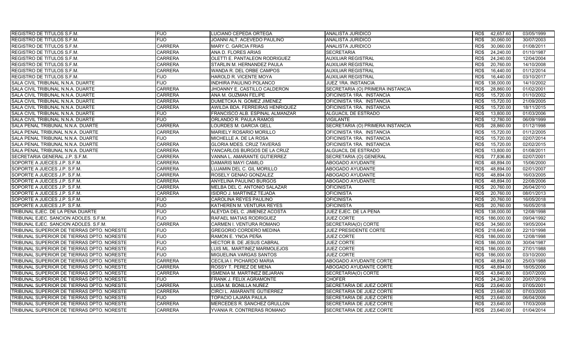| REGISTRO DE TITULOS S.F.M.                 | <b>FIJO</b>    | LUCIANO CEPEDA ORTEGA            | <b>ANALISTA JURIDICO</b>         | 42,657.60<br>RD\$  | 03/05/1999 |
|--------------------------------------------|----------------|----------------------------------|----------------------------------|--------------------|------------|
| REGISTRO DE TITULOS S.F.M.                 | <b>FIJO</b>    | JOANNI ALT. ACEVEDO PAULINO      | ANALISTA JURIDICO                | RD\$<br>30,060.00  | 30/07/2003 |
| REGISTRO DE TITULOS S.F.M.                 | <b>CARRERA</b> | <b>MARY C. GARCIA FRIAS</b>      | ANALISTA JURIDICO                | 30,060.00<br>RD\$  | 01/08/2011 |
| REGISTRO DE TITULOS S.F.M.                 | <b>CARRERA</b> | ANA D. FLORES ARIAS              | <b>SECRETARIA</b>                | RD\$<br>24,240.00  | 01/10/1987 |
| REGISTRO DE TITULOS S.F.M.                 | <b>CARRERA</b> | OLETTI E. PANTALEON RODRIGUEZ    | <b>AUXILIAR REGISTRAL</b>        | 24,240.00<br>RD\$  | 12/04/2004 |
| REGISTRO DE TITULOS S.F.M.                 | <b>CARRERA</b> | STARLIN M. HERNANDEZ PAULA       | <b>AUXILIAR REGISTRAL</b>        | 20,760.00<br>RD\$  | 14/10/2008 |
| REGISTRO DE TITULOS S.F.M.                 | <b>CARRERA</b> | WANDA R. DEL ORBE CAMPOS         | <b>AUXILIAR REGISTRAL</b>        | 16,440.00<br>RD\$  | 01/12/2014 |
| REGISTRO DE TITULOS S.F.M.                 | <b>FIJO</b>    | HAROLD R. VICENTE MOYA           | <b>AUXILIAR REGISTRAL</b>        | RD\$<br>16.440.00  | 03/10/2017 |
| SALA CIVIL TRIBUNAL N.N.A. DUARTE          | <b>FIJO</b>    | INDHIRA PAULINO POLANCO          | JUEZ 1RA. INSTANCIA              | 138.000.00<br>RD\$ | 14/10/2002 |
| SALA CIVIL TRIBUNAL N.N.A. DUARTE          | <b>CARRERA</b> | JHOANNY E. CASTILLO CALDERON     | SECRETARIA (O) PRIMERA INSTANCIA | RD\$<br>28,860.00  | 01/02/2001 |
| SALA CIVIL TRIBUNAL N.N.A. DUARTE          | <b>CARRERA</b> | ANA M. GUZMAN FELIPE             | OFICINISTA 1RA. INSTANCIA        | 15,720.00<br>RD\$  | 01/10/2002 |
| SALA CIVIL TRIBUNAL N.N.A. DUARTE          | <b>CARRERA</b> | DUMETCKA N. GOMEZ JIMENEZ        | OFICINISTA 1RA. INSTANCIA        | RD\$<br>15,720.00  | 21/09/2005 |
| SALA CIVIL TRIBUNAL N.N.A. DUARTE          | <b>CARRERA</b> | AWILDA BDA. FERREIRAS HENRIQUEZ  | OFICINISTA 1RA. INSTANCIA        | 15,720.00<br>RD\$  | 18/11/2015 |
| SALA CIVIL TRIBUNAL N.N.A. DUARTE          | <b>FIJO</b>    | FRANCISCO ALB. ESPINAL ALMANZAR  | ALGUACIL DE ESTRADO              | 13,800.00<br>RD\$  | 01/03/2006 |
| SALA CIVIL TRIBUNAL N.N.A. DUARTE          | <b>FIJO</b>    | ORLANDO R. PAULA RAMOS           | <b>VIGILANTE</b>                 | RD\$<br>12,780.00  | 06/09/1999 |
| SALA PENAL TRIBUNAL N.N.A. DUARTE          | <b>CARRERA</b> | LOURDES M. GARCIA GELL           | SECRETARIA (O) PRIMERA INSTANCIA | 28,860.00<br>RD\$  | 01/12/1998 |
| SALA PENAL TRIBUNAL N.N.A. DUARTE          | <b>CARRERA</b> | MARIELY ROSARIO MORILLO          | OFICINISTA 1RA. INSTANCIA        | 15,720.00<br>RD\$  | 01/12/2005 |
| SALA PENAL TRIBUNAL N.N.A. DUARTE          | <b>FIJO</b>    | MICHELLE A. DE LA ROSA           | OFICINISTA 1RA. INSTANCIA        | RD\$<br>15,720.00  | 02/07/2014 |
| SALA PENAL TRIBUNAL N.N.A. DUARTE          | <b>CARRERA</b> | GLORIA MDES. CRUZ TAVERAS        | OFICINISTA 1RA. INSTANCIA        | RD\$<br>15,720.00  | 02/02/2015 |
| SALA PENAL TRIBUNAL N.N.A. DUARTE          | <b>CARRERA</b> | YANCARLOS BURGOS DE LA CRUZ      | ALGUACIL DE ESTRADO              | 13,800.00<br>RD\$  | 01/08/2011 |
| SECRETARIA GENERAL J.P. S.F.M.             | <b>CARRERA</b> | VANNA L. AMARANTE GUTIERREZ      | SECRETARIA (O) GENERAL           | RD\$<br>77,836.80  | 02/07/2001 |
| SOPORTE A JUECES J.P. S.F.M.               | <b>CARRERA</b> | <b>DAMARIS MAYI CAMILO</b>       | ABOGADO AYUDANTE                 | 48,894.00<br>RD\$  | 15/06/2000 |
| SOPORTE A JUECES J.P. S.F.M.               | <b>CARRERA</b> | LUJAMIN DEL C. GIL MORILLO       | ABOGADO AYUDANTE                 | RD\$<br>48,894.00  | 02/01/2007 |
| SOPORTE A JUECES J.P. S.F.M.               | <b>CARRERA</b> | ROSELY GENAO GONZALEZ            | ABOGADO AYUDANTE                 | 48,894.00<br>RD\$  | 16/03/2005 |
| SOPORTE A JUECES J.P. S.F.M.               | <b>CARRERA</b> | ANYELINA PAULINO BURGOS          | ABOGADO AYUDANTE                 | 48,894.00<br>RD\$  | 22/08/2006 |
| SOPORTE A JUECES J.P. S.F.M.               | <b>CARRERA</b> | MELBA DEL C. ANTONIO SALAZAR     | <b>OFICINISTA</b>                | RD\$<br>20,760.00  | 26/04/2010 |
| SOPORTE A JUECES J.P. S.F.M.               | <b>CARRERA</b> | <b>ISIDRO J. MARTINEZ TEJADA</b> | <b>OFICINISTA</b>                | 20,760.00<br>RD\$  | 08/01/2013 |
| SOPORTE A JUECES J.P. S.F.M.               | <b>FIJO</b>    | CAROLINA REYES PAULINO           | <b>OFICINISTA</b>                | 20,760.00<br>RD\$  | 16/05/2018 |
| SOPORTE A JUECES J.P. S.F.M.               | <b>FIJO</b>    | KATHEREN M. VENTURA REYES        | <b>OFICINISTA</b>                | 20,760.00<br>RD\$  | 16/05/2018 |
| TRIBUNAL EJEC. DE LA PENA DUARTE           | <b>FIJO</b>    | ALEYDA DEL C. JIMENEZ ACOSTA     | JUEZ EJEC. DE LA PENA            | RD\$ 138,000.00    | 12/08/1998 |
| TRIBUNAL EJEC. SANCION ADOLES, S.F.M.      | <b>FIJO</b>    | RAFAEL MATIAS RODRIGUEZ          | JUEZ CORTE                       | 186.000.00<br>RD\$ | 09/04/1992 |
| TRIBUNAL EJEC. SANCION ADOLES. S.F.M.      | <b>CARRERA</b> | CARMEN I. VENTURA ROMANO         | SECRETARIA(O) CORTE              | RD\$<br>34,560.00  | 19/05/2004 |
| TRIBUNAL SUPERIOR DE TIERRAS DPTO. NORESTE | <b>FIJO</b>    | <b>GREGORIO CORDERO MEDINA</b>   | JUEZ PRESIDENTE CORTE            | RD\$ 218,640.00    | 22/10/1998 |
| TRIBUNAL SUPERIOR DE TIERRAS DPTO. NORESTE | <b>FIJO</b>    | RAMON E. YNOA PEÑA               | <b>JUEZ CORTE</b>                | RD\$ 186,000.00    | 12/08/1998 |
| TRIBUNAL SUPERIOR DE TIERRAS DPTO. NORESTE | <b>FIJO</b>    | HECTOR B. DE JESUS CABRAL        | <b>JUEZ CORTE</b>                | RD\$ 186,000.00    | 30/04/1987 |
| TRIBUNAL SUPERIOR DE TIERRAS DPTO. NORESTE | <b>FIJO</b>    | LUIS ML. MARTINEZ MARMOLEJOS     | <b>JUEZ CORTE</b>                | RD\$ 186,000.00    | 27/01/1988 |
| TRIBUNAL SUPERIOR DE TIERRAS DPTO. NORESTE | <b>FIJO</b>    | MIGUELINA VARGAS SANTOS          | JUEZ CORTE                       | RD\$<br>186,000.00 | 03/10/2000 |
| TRIBUNAL SUPERIOR DE TIERRAS DPTO. NORESTE | <b>CARRERA</b> | CECILIA I. PICHARDO MARIA        | ABOGADO AYUDANTE CORTE           | RD\$<br>48,894.00  | 25/03/1988 |
| TRIBUNAL SUPERIOR DE TIERRAS DPTO. NORESTE | <b>CARRERA</b> | ROSSY T. PEREZ DE MENA           | ABOGADO AYUDANTE CORTE           | 48,894.00<br>RD\$  | 18/05/2006 |
| TRIBUNAL SUPERIOR DE TIERRAS DPTO. NORESTE | <b>CARRERA</b> | ISMENIA M. MARTINEZ BEJARAN      | SECRETARIA(O) CORTE              | RD\$<br>43,840.80  | 03/07/2000 |
| TRIBUNAL SUPERIOR DE TIERRAS DPTO. NORESTE | <b>FIJO</b>    | FRANK J. FELIX AGRAMONTE         | <b>CHOFER</b>                    | 24,240.00<br>RD\$  | 20/07/2016 |
| TRIBUNAL SUPERIOR DE TIERRAS DPTO. NORESTE | <b>CARRERA</b> | LUISA M. BONILLA NUÑEZ           | SECRETARIA DE JUEZ CORTE         | 23,640.00<br>RD\$  | 07/05/2001 |
| TRIBUNAL SUPERIOR DE TIERRAS DPTO. NORESTE | <b>CARRERA</b> | CIRCI L. AMARANTE GUTIERREZ      | SECRETARIA DE JUEZ CORTE         | 23,640.00<br>RD\$  | 07/03/2005 |
| TRIBUNAL SUPERIOR DE TIERRAS DPTO. NORESTE | <b>FIJO</b>    | TOPACIO LAJARA PAULA             | SECRETARIA DE JUEZ CORTE         | RD\$<br>23,640.00  | 06/04/2006 |
| TRIBUNAL SUPERIOR DE TIERRAS DPTO. NORESTE | <b>CARRERA</b> | MERCEDES R. SANCHEZ GRULLON      | SECRETARIA DE JUEZ CORTE         | 23,640.00<br>RD\$  | 17/03/2008 |
| TRIBUNAL SUPERIOR DE TIERRAS DPTO. NORESTE |                |                                  |                                  |                    |            |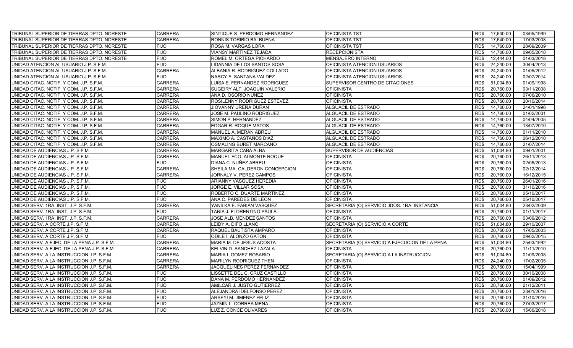| TRIBUNAL SUPERIOR DE TIERRAS DPTO. NORESTE  | <b>CARRERA</b> | SINTIQUE S. PERDOMO HERNANDEZ  | <b>OFICINISTA TST</b>                          | RD\$ | 17,640.00 | 03/05/1999 |
|---------------------------------------------|----------------|--------------------------------|------------------------------------------------|------|-----------|------------|
| TRIBUNAL SUPERIOR DE TIERRAS DPTO. NORESTE  | <b>CARRERA</b> | RONNIS TORIBIO BALBUENA        | <b>OFICINISTA TST</b>                          | RD\$ | 17,640.00 | 17/03/2008 |
| TRIBUNAL SUPERIOR DE TIERRAS DPTO. NORESTE  | <b>FIJO</b>    | ROSA M. VARGAS LORA            | <b>OFICINISTA TST</b>                          | RD\$ | 14,760.00 | 28/09/2009 |
| TRIBUNAL SUPERIOR DE TIERRAS DPTO. NORESTE  | <b>FIJO</b>    | <b>VIANSY MARTINEZ TEJADA</b>  | <b>RECEPCIONISTA</b>                           | RD\$ | 14,760.00 | 09/05/2018 |
| TRIBUNAL SUPERIOR DE TIERRAS DPTO. NORESTE  | <b>FIJO</b>    | ROMEL M. ORTEGA PICHARDO       | <b>MENSAJERO INTERNO</b>                       | RD\$ | 12,444.00 | 01/03/2018 |
| UNIDAD ATENCION AL USUARIO J.P. S.F.M.      | <b>FIJO</b>    | LIDANNIA DE LOS SANTOS SOSA    | OFICINISTA ATENCION USUARIOS                   | RD\$ | 24,240.00 | 30/04/2013 |
| UNIDAD ATENCION AL USUARIO J.P. S.F.M.      | <b>CARRERA</b> | ALBANIA R. RODRIGUEZ COLLADO   | OFICINISTA ATENCION USUARIOS                   | RD\$ | 24,240.00 | 01/05/2012 |
| UNIDAD ATENCION AL USUARIO J.P. S.F.M.      | <b>FIJO</b>    | NARCY E. SANTANA VALDEZ        | OFICINISTA ATENCION USUARIOS                   | RD\$ | 24,240.00 | 02/07/2014 |
| UNIDAD CITAC. NOTIF. Y COM. J.P. S.F.M.     | <b>CARRERA</b> | LUISA E. FERNANDEZ RODRIGUEZ   | SUPERVISOR CENTRO DE CITACIONES                | RD\$ | 51.004.80 | 01/09/1998 |
| UNIDAD CITAC. NOTIF. Y COM. J.P. S.F.M.     | <b>CARRERA</b> | SUGEIRY ALT. JOAQUIN VALERIO   | <b>OFICINISTA</b>                              | RD\$ | 20,760.00 | 03/11/2008 |
| UNIDAD CITAC. NOTIF. Y COM. J.P. S.F.M.     | <b>CARRERA</b> | ANA D. OSORIO NUÑEZ            | <b>OFICINISTA</b>                              | RD\$ | 20,760.00 | 07/06/2010 |
| UNIDAD CITAC. NOTIF. Y COM. J.P. S.F.M.     | <b>CARRERA</b> | ROSILENNY RODRIGUEZ ESTEVEZ    | <b>OFICINISTA</b>                              | RD\$ | 20,760.00 | 20/10/2014 |
| UNIDAD CITAC. NOTIF. Y COM. J.P. S.F.M.     | <b>CARRERA</b> | JIOVANNY UREÑA DURAN           | ALGUACIL DE ESTRADO                            | RD\$ | 14,760.00 | 24/01/1996 |
| UNIDAD CITAC. NOTIF. Y COM. J.P. S.F.M.     | <b>CARRERA</b> | JOSE M. PAULINO RODRIGUEZ      | ALGUACIL DE ESTRADO                            | RD\$ | 14,760.00 | 01/02/2001 |
| UNIDAD CITAC. NOTIF. Y COM. J.P. S.F.M.     | <b>CARRERA</b> | SIMON P. HERNANDEZ             | ALGUACIL DE ESTRADO                            | RD\$ | 14,760.00 | 04/04/2005 |
| UNIDAD CITAC. NOTIF. Y COM. J.P. S.F.M.     | <b>CARRERA</b> | EDGAR R. ROQUE MATOS           | ALGUACIL DE ESTRADO                            | RD\$ | 14,760.00 | 13/07/2010 |
| UNIDAD CITAC. NOTIF. Y COM. J.P. S.F.M.     | <b>CARRERA</b> | MANUEL A. MERAN ABREU          | ALGUACIL DE ESTRADO                            | RD\$ | 14,760.00 | 01/11/2010 |
| UNIDAD CITAC. NOTIF. Y COM. J.P. S.F.M.     | <b>CARRERA</b> | MAXIMO A. CASTAÑOS DIAZ        | ALGUACIL DE ESTRADO                            | RD\$ | 14,760.00 | 06/12/2010 |
| UNIDAD CITAC. NOTIF. Y COM. J.P. S.F.M.     | <b>CARRERA</b> | OSMALING BURET MARCANO         | ALGUACIL DE ESTRADO                            | RD\$ | 14,760.00 | 21/07/2014 |
| UNIDAD DE AUDIENCIAS J.P. S.F.M.            | <b>CARRERA</b> | MARGARITA CABA ALBA            | SUPERVISOR DE AUDIENCIAS                       | RD\$ | 51.004.80 | 09/01/2001 |
| UNIDAD DE AUDIENCIAS J.P. S.F.M.            | <b>CARRERA</b> | MANUEL FCO. ALMONTE ROQUE      | <b>OFICINISTA</b>                              | RD\$ | 20,760.00 | 26/11/2013 |
| UNIDAD DE AUDIENCIAS J.P. S.F.M.            | <b>FIJO</b>    | DIANA C. NUÑEZ ABREU           | <b>OFICINISTA</b>                              | RD\$ | 20,760.00 | 02/05/2013 |
| UNIDAD DE AUDIENCIAS J.P. S.F.M.            | <b>CARRERA</b> | SHEILA MA. CALDERON CONCEPCION | <b>OFICINISTA</b>                              | RD\$ | 20,760.00 | 02/12/2014 |
| UNIDAD DE AUDIENCIAS J.P. S.F.M.            | <b>CARRERA</b> | JORNALY V. PEREZ CAMPOS        | <b>OFICINISTA</b>                              | RD\$ | 20,760.00 | 16/12/2015 |
| UNIDAD DE AUDIENCIAS J.P. S.F.M.            | <b>FIJO</b>    | ARIANNY VASQUEZ HEREDIA        | <b>OFICINISTA</b>                              | RD\$ | 20,760.00 | 26/01/2016 |
| UNIDAD DE AUDIENCIAS J.P. S.F.M.            | <b>FIJO</b>    | JORGE E. VILLAR SOSA           | <b>OFICINISTA</b>                              | RD\$ | 20,760.00 | 31/10/2016 |
| UNIDAD DE AUDIENCIAS J.P. S.F.M.            | <b>FIJO</b>    | ROBERTO C. DUARTE MARTINEZ     | <b>OFICINISTA</b>                              | RD\$ | 20,760.00 | 05/10/2017 |
| UNIDAD DE AUDIENCIAS J.P. S.F.M.            | <b>FIJO</b>    | ANA C. PAREDES DE LEON         | <b>OFICINISTA</b>                              | RD\$ | 20,760.00 | 05/10/2017 |
| UNIDAD SERV. 1RA. INST. J.P. S.F.M.         | <b>CARRERA</b> | YANILKA E. FABIAN VASQUEZ      | SECRETARIA (O) SERVICIO JDOS. 1RA. INSTANCIA   | RD\$ | 51,004.80 | 23/02/2009 |
| UNIDAD SERV. 1RA. INST. J.P. S.F.M.         | <b>FIJO</b>    | TANIA J. FLORENTINO PAULA      | <b>OFICINISTA</b>                              | RD\$ | 20.760.00 | 01/11/2017 |
| UNIDAD SERV. 1RA. INST. J.P. S.F.M.         | <b>CARRERA</b> | JOSE ALB. MENDEZ SANTOS        | <b>OFICINISTA</b>                              | RD\$ | 20,760.00 | 03/09/2012 |
| UNIDAD SERV. A CORTE J.P. S.F.M.            | <b>CARRERA</b> | LEIDY A. DIFO LLANO            | SECRETARIA (O) SERVICIO A CORTE                | RD\$ | 51,004.80 | 29/10/2007 |
| UNIDAD SERV. A CORTE J.P. S.F.M.            | <b>CARRERA</b> | RAQUEL BAUTISTA AMPARO         | <b>OFICINISTA</b>                              | RD\$ | 20,760.00 | 17/05/2005 |
| UNIDAD SERV. A CORTE J.P. S.F.M.            | <b>FIJO</b>    | ODILE I. ALONZO GATON          | <b>OFICINISTA</b>                              | RD\$ | 20,760.00 | 09/02/2015 |
| UNIDAD SERV. A EJEC. DE LA PENA J.P. S.F.M. | <b>CARRERA</b> | MARIA M. DE JESUS ACOSTA       | SECRETARIA (O) SERVICIO A EJECUCION DE LA PENA | RD\$ | 51.004.80 | 25/03/1992 |
| UNIDAD SERV. A EJEC. DE LA PENA J.P. S.F.M. | <b>CARRERA</b> | KELVIN D. SANCHEZ LAZALA       | <b>OFICINISTA</b>                              | RD\$ | 20,760.00 | 11/11/2010 |
| UNIDAD SERV. A LA INSTRUCCION J.P. S.F.M.   | <b>CARRERA</b> | MARIA I. GOMEZ ROSARIO         | SECRETARIA (O) SERVICIO A LA INSTRUCCION       | RD\$ | 51,004.80 | 01/09/2008 |
| UNIDAD SERV. A LA INSTRUCCION J.P. S.F.M.   | <b>CARRERA</b> | MARILYN RODRIGUEZ THEN         | <b>OFICINISTA</b>                              | RD\$ | 24,240.00 | 17/02/2005 |
| UNIDAD SERV. A LA INSTRUCCION J.P. S.F.M.   | <b>CARRERA</b> | JACQUELINES PEREZ FERNANDEZ    | <b>OFICINISTA</b>                              | RD\$ | 20,760.00 | 15/04/1999 |
| UNIDAD SERV. A LA INSTRUCCION J.P. S.F.M.   | <b>FIJO</b>    | LISSETTE DEL C. CRUZ CASTILLO  | <b>OFICINISTA</b>                              | RD\$ | 20,760.00 | 30/10/2008 |
| UNIDAD SERV. A LA INSTRUCCION J.P. S.F.M.   | <b>FIJO</b>    | DANA M. PERDOMO HERNANDEZ      | <b>OFICINISTA</b>                              | RD\$ | 20,760.00 | 01/09/2012 |
| UNIDAD SERV. A LA INSTRUCCION J.P. S.F.M.   | <b>FIJO</b>    | AMILCAR J. JUSTO GUTIERREZ     | OFICINISTA                                     | RD\$ | 20,760.00 | 01/12/2011 |
| UNIDAD SERV. A LA INSTRUCCION J.P. S.F.M.   | <b>FIJO</b>    | ALEJANDRA IDELFONSO PEREZ      | <b>OFICINISTA</b>                              | RD\$ | 20,760.00 | 23/01/2016 |
| UNIDAD SERV. A LA INSTRUCCION J.P. S.F.M.   | <b>FIJO</b>    | ARSEYI M. JIMENEZ FELIZ        | <b>OFICINISTA</b>                              | RD\$ | 20,760.00 | 31/10/2016 |
| UNIDAD SERV. A LA INSTRUCCION J.P. S.F.M.   | <b>FIJO</b>    | JAZMIN L. CORREA MENA          | <b>OFICINISTA</b>                              | RD\$ | 20,760.00 | 27/03/2017 |
| UNIDAD SERV. A LA INSTRUCCION J.P. S.F.M.   | <b>FIJO</b>    | LUZ Z. CONCE OLIVARES          | <b>OFICINISTA</b>                              | RD\$ | 20,760.00 | 15/06/2018 |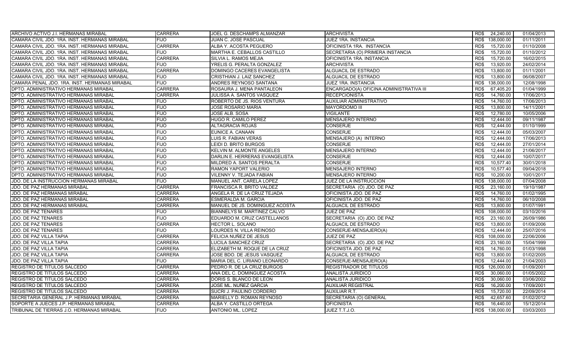| ARCHIVO ACTIVO J.I. HERMANAS MIRABAL          | <b>CARRERA</b> | JOEL G. DESCHAMPS ALMANZAR     | <b>ARCHIVISTA</b>                       | RD\$<br>24,240.00  | 01/04/2013 |
|-----------------------------------------------|----------------|--------------------------------|-----------------------------------------|--------------------|------------|
| CAMARA CIVIL JDO. 1RA. INST. HERMANAS MIRABAL | <b>FIJO</b>    | <b>JUAN C. JOSE PASCUAL</b>    | JUEZ 1RA. INSTANCIA                     | RD\$<br>138,000.00 | 01/11/2011 |
| CAMARA CIVIL JDO. 1RA. INST. HERMANAS MIRABAL | <b>CARRERA</b> | ALBA Y. ACOSTA PEGUERO         | OFICINISTA 1RA. INSTANCIA               | 15,720.00<br>RD\$  | 01/10/2008 |
| CAMARA CIVIL JDO. 1RA. INST. HERMANAS MIRABAL | <b>FIJO</b>    | MARTHA E. CEBALLOS CASTILLO    | SECRETARIA (O) PRIMERA INSTANCIA        | 15,720.00<br>RD\$  | 01/10/2012 |
| CAMARA CIVIL JDO. 1RA. INST. HERMANAS MIRABAL | <b>CARRERA</b> | SILVIA L. RAMOS MEJIA          | OFICINISTA 1RA. INSTANCIA               | RD\$<br>15,720.00  | 16/02/2015 |
| CAMARA CIVIL JDO. 1RA. INST. HERMANAS MIRABAL | <b>FIJO</b>    | YRELIS G. PERALTA GONZALEZ     | <b>ARCHIVISTA</b>                       | RD\$<br>13,920.00  | 24/02/2014 |
| CAMARA CIVIL JDO. 1RA. INST. HERMANAS MIRABAL | <b>CARRERA</b> | DOMINGO CACERES EVANGELISTA    | ALGUACIL DE ESTRADO                     | RD\$<br>13,800.00  | 01/11/2001 |
| CAMARA CIVIL JDO. 1RA. INST. HERMANAS MIRABAL | <b>FIJO</b>    | CRISTHIAN J. LAIZ SANCHEZ      | ALGUACIL DE ESTRADO                     | 13,800.00<br>RD\$  | 06/08/2007 |
| CAMARA PENAL JDO. 1RA. INST. HERMANAS MIRABAL | <b>FIJO</b>    | ANDRES REYNOSO SANTANA         | JUEZ 1RA. INSTANCIA                     | 138.000.00<br>RD\$ | 12/08/1998 |
| DPTO. ADMINISTRATIVO HERMANAS MIRABAL         | <b>CARRERA</b> | ROSAURA J. MENA PANTALEON      | ENCARGADO(A) OFICINA ADMINISTRATIVA III | RD\$<br>67,405.20  | 01/04/1999 |
| DPTO. ADMINISTRATIVO HERMANAS MIRABAL         | <b>CARRERA</b> | JULISSA A. SANTOS VASQUEZ      | <b>RECEPCIONISTA</b>                    | 14,760.00<br>RD\$  | 17/06/2013 |
| DPTO. ADMINISTRATIVO HERMANAS MIRABAL         | <b>FIJO</b>    | ROBERTO DE JS. RIOS VENTURA    | AUXILIAR ADMINISTRATIVO                 | RD\$<br>14,760.00  | 17/06/2013 |
| DPTO. ADMINISTRATIVO HERMANAS MIRABAL         | <b>FIJO</b>    | JOSE ROSARIO MARIA             | MAYORDOMO III                           | RD\$<br>13,800.00  | 14/11/2001 |
| DPTO. ADMINISTRATIVO HERMANAS MIRABAL         | <b>FIJO</b>    | JOSE ALB. SOSA                 | <b>VIGILANTE</b>                        | RD\$<br>12,780.00  | 10/05/2006 |
| DPTO. ADMINISTRATIVO HERMANAS MIRABAL         | <b>FIJO</b>    | HUGO R. CAMILO PEREZ           | <b>MENSAJERO INTERNO</b>                | RD\$<br>12,444.00  | 09/11/1987 |
| DPTO. ADMINISTRATIVO HERMANAS MIRABAL         | <b>FIJO</b>    | ALTAGRACIA ROJAS               | CONSERJE                                | 12,444.00<br>RD\$  | 01/10/1999 |
| DPTO. ADMINISTRATIVO HERMANAS MIRABAL         | <b>FIJO</b>    | EUNICE A. CANAAN               | <b>CONSERJE</b>                         | RD\$<br>12,444.00  | 05/03/2007 |
| DPTO. ADMINISTRATIVO HERMANAS MIRABAL         | <b>FIJO</b>    | LUIS R. FABIAN VERAS           | MENSAJERO (A) INTERNO                   | RD\$<br>12.444.00  | 17/06/2013 |
| DPTO. ADMINISTRATIVO HERMANAS MIRABAL         | <b>FIJO</b>    | <b>LEIDI D. BRITO BURGOS</b>   | <b>CONSERJE</b>                         | RD\$<br>12.444.00  | 27/01/2014 |
| DPTO. ADMINISTRATIVO HERMANAS MIRABAL         | <b>FIJO</b>    | KELVIN M. ALMONTE ANGELES      | <b>MENSAJERO INTERNO</b>                | 12.444.00<br>RD\$  | 21/06/2017 |
| DPTO. ADMINISTRATIVO HERMANAS MIRABAL         | <b>FIJO</b>    | DARLIN E. HERRERAS EVANGELISTA | <b>CONSERJE</b>                         | RD\$<br>12,444.00  | 10/07/2017 |
| DPTO. ADMINISTRATIVO HERMANAS MIRABAL         | <b>FIJO</b>    | MILDRED A. SANTOS PERALTA      | <b>CONSERJE</b>                         | 10,577.40<br>RD\$  | 30/01/2018 |
| DPTO. ADMINISTRATIVO HERMANAS MIRABAL         | <b>FIJO</b>    | RAMON YAPORT VALERIO           | <b>MENSAJERO INTERNO</b>                | RD\$<br>10,577.40  | 09/04/2018 |
| DPTO. ADMINISTRATIVO HERMANAS MIRABAL         | <b>FIJO</b>    | VILENNY V. TEJADA FABIAN       | <b>MENSAJERO INTERNO</b>                | 10,200.00<br>RD\$  | 10/01/2017 |
| JDO. DE LA INSTRUCCION HERMANAS MIRABAL       | <b>FIJO</b>    | MANUEL ANT. CARELA LOPEZ       | JUEZ DE LA INSTRUCCION                  | RD\$<br>138,000.00 | 07/04/2008 |
| JDO. DE PAZ HERMANAS MIRABAL                  | <b>CARRERA</b> | FRANCISCA R. BRITO VALDEZ      | SECRETARIA (O) JDO. DE PAZ              | 23,160.00<br>RD\$  | 19/10/1987 |
| JDO. DE PAZ HERMANAS MIRABAL                  | <b>CARRERA</b> | ANGELA R. DE LA CRUZ TEJADA    | OFICINISTA JDO. DE PAZ                  | 14,760.00<br>RD\$  | 01/02/1995 |
| JDO. DE PAZ HERMANAS MIRABAL                  | <b>CARRERA</b> | ESMERALDA M. GARCIA            | OFICINISTA JDO. DE PAZ                  | RD\$<br>14,760.00  | 06/10/2008 |
| JDO. DE PAZ HERMANAS MIRABAL                  | <b>CARRERA</b> | MANUEL DE JS. DOMINGUEZ ACOSTA | ALGUACIL DE ESTRADO                     | 13,800.00<br>RD\$  | 01/07/1991 |
| JDO. DE PAZ TENARES                           | <b>FIJO</b>    | BIANNELYS M. MARTINEZ CALVO    | <b>JUEZ DE PAZ</b>                      | 108.000.00<br>RD\$ | 03/10/2016 |
| <b>JDO. DE PAZ TENARES</b>                    | <b>FIJO</b>    | EDUARDO M. CRUZ CASTELLANOS    | SECRETARIA (O) JDO. DE PAZ              | RD\$<br>23,160.00  | 26/09/1986 |
| JDO. DE PAZ TENARES                           | <b>CARRERA</b> | <b>HECTOR L. SOLANO</b>        | ALGUACIL DE ESTRADO                     | 13,800.00<br>RD\$  | 01/09/2006 |
| <b>JDO. DE PAZ TENARES</b>                    | <b>FIJO</b>    | LOURDES N. VILLA REINOSO       | CONSERJE-MENSAJERO(A)                   | 12,444.00<br>RD\$  | 25/07/2016 |
| JDO. DE PAZ VILLA TAPIA                       | <b>CARRERA</b> | FELICIA NUÑEZ DE JESUS         | JUEZ DE PAZ                             | RD\$<br>108,000.00 | 22/06/2006 |
| <b>JDO. DE PAZ VILLA TAPIA</b>                | <b>CARRERA</b> | LUCILA SANCHEZ CRUZ            | SECRETARIA (O) JDO. DE PAZ              | 23,160.00<br>RD\$  | 15/04/1999 |
| JDO. DE PAZ VILLA TAPIA                       | <b>CARRERA</b> | ELIZABETH M. ROQUE DE LA CRUZ  | OFICINISTA JDO. DE PAZ                  | RD\$<br>14,760.00  | 01/03/1998 |
| JDO. DE PAZ VILLA TAPIA                       | <b>CARRERA</b> | JOSE BDO. DE JESUS VASQUEZ     | <b>ALGUACIL DE ESTRADO</b>              | 13,800.00<br>RD\$  | 01/02/2005 |
| JDO. DE PAZ VILLA TAPIA                       | <b>FIJO</b>    | MARIA DEL C. LIRIANO LEONARDO  | CONSERJE-MENSAJERO(A)                   | RD\$<br>12,444.00  | 21/04/2003 |
| REGISTRO DE TITULOS SALCEDO                   | <b>CARRERA</b> | PEDRO R. DE LA CRUZ BURGOS     | REGISTRADOR DE TITULOS                  | 126,000.00<br>RD\$ | 01/09/2001 |
| REGISTRO DE TITULOS SALCEDO                   | <b>CARRERA</b> | ANA DEL C. DOMINGUEZ ACOSTA    | ANALISTA JURIDICO                       | RD\$<br>30,060.00  | 01/05/2002 |
| REGISTRO DE TITULOS SALCEDO                   | <b>CARRERA</b> | DORIS S. BLANCO DE LEON        | ANALISTA JURIDICO                       | 30,060.00<br>RD\$  | 03/06/2002 |
| REGISTRO DE TITULOS SALCEDO                   | CARRERA        | JOSE ML. NUÑEZ GARCIA          | AUXILIAR REGISTRAL                      | 16,200.00<br>RD\$  | 17/09/2001 |
| REGISTRO DE TITULOS SALCEDO                   | <b>CARRERA</b> | SUCRI J. PAULINO CORDERO       | <b>AUXILIAR R.T.</b>                    | 15,720.00<br>RD\$  | 22/09/2014 |
| SECRETARIA GENERAL J.P. HERMANAS MIRABAL      | <b>CARRERA</b> | MARIELLY D. ROMAN REYNOSO      | SECRETARIA (O) GENERAL                  | RD\$<br>42,657.60  | 01/02/2012 |
| SOPORTE A JUECES J.P. HERMANAS MIRABAL        | <b>CARRERA</b> | ALBA Y. CASTILLO ORTEGA        | <b>OFICINISTA</b>                       | RD\$<br>16,440.00  | 15/12/2014 |
| TRIBUNAL DE TIERRAS J.O. HERMANAS MIRABAL     | <b>FIJO</b>    | <b>ANTONIO ML. LOPEZ</b>       | JUEZ T.T.J.O.                           | RD\$ 138,000.00    | 03/03/2003 |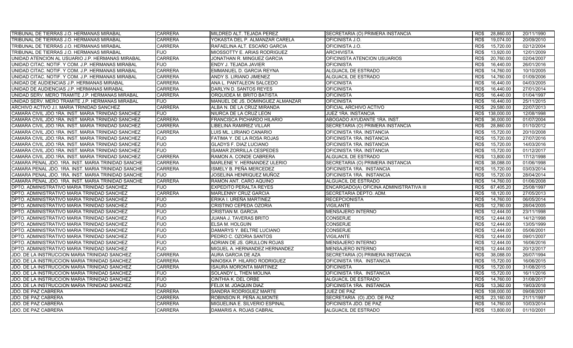| TRIBUNAL DE TIERRAS J.O. HERMANAS MIRABAL           | <b>CARRERA</b> | MILDRED ALT. TEJADA PEREZ        | SECRETARIA (O) PRIMERA INSTANCIA        | RD\$ | 28,860.00  | 20/11/1990 |
|-----------------------------------------------------|----------------|----------------------------------|-----------------------------------------|------|------------|------------|
| TRIBUNAL DE TIERRAS J.O. HERMANAS MIRABAL           | <b>CARRERA</b> | YOKASTA DEL P. ALMANZAR CARELA   | OFICINISTA J.O.                         | RD\$ | 19,074.00  | 20/09/2010 |
| TRIBUNAL DE TIERRAS J.O. HERMANAS MIRABAL           | CARRERA        | RAFAELINA ALT. ESCAÑO GARCIA     | OFICINISTA J.O.                         | RD\$ | 15,720.00  | 02/12/2004 |
| TRIBUNAL DE TIERRAS J.O. HERMANAS MIRABAL           | <b>FIJO</b>    | MIOSSOTTY E. ARIAS RODRIGUEZ     | <b>ARCHIVISTA</b>                       | RD\$ | 13,920.00  | 12/01/2009 |
| UNIDAD ATENCION AL USUARIO J.P. HERMANAS MIRABAL    | <b>CARRERA</b> | JONATHAN R. MINGUEZ GARCIA       | OFICINISTA ATENCION USUARIOS            | RD\$ | 20,760.00  | 02/04/2007 |
| UNIDAD CITAC. NOTIF. Y COM. J.P. HERMANAS MIRABAL   | <b>FIJO</b>    | ENDY J. TEJADA JAVIER            | <b>OFICINISTA</b>                       | RD\$ | 16,440.00  | 26/01/2016 |
| UNIDAD CITAC. NOTIF. Y COM. J.P. HERMANAS MIRABAL   | <b>CARRERA</b> | EMMANUEL D. GARCIA REYNA         | <b>ALGUACIL DE ESTRADO</b>              | RD\$ | 14,760.00  | 10/10/2005 |
| UNIDAD CITAC. NOTIF. Y COM. J.P. HERMANAS MIRABAL   | <b>CARRERA</b> | ANDY S. LIRIANO JIMENEZ          | ALGUACIL DE ESTRADO                     | RD\$ | 14,760.00  | 01/09/2006 |
| UNIDAD DE AUDIENCIAS J.P. HERMANAS MIRABAL          | <b>CARRERA</b> | ANA L. PANTALEON SALCEDO         | <b>OFICINISTA</b>                       | RD\$ | 16,440.00  | 04/03/2005 |
| UNIDAD DE AUDIENCIAS J.P. HERMANAS MIRABAL          | <b>CARRERA</b> | DARLYN D. SANTOS REYES           | <b>OFICINISTA</b>                       | RD\$ | 16.440.00  | 27/01/2014 |
| UNIDAD SERV. MERO TRAMITE J.P. HERMANAS MIRABAL     | <b>CARRERA</b> | ORQUIDEA M. BRITO BATISTA        | <b>OFICINISTA</b>                       | RD\$ | 16,440.00  | 01/04/1997 |
| UNIDAD SERV. MERO TRAMITE J.P. HERMANAS MIRABAL     | <b>FIJO</b>    | MANUEL DE JS. DOMINGUEZ ALMANZAR | <b>OFICINISTA</b>                       | RD\$ | 16,440.00  | 25/11/2015 |
| ARCHIVO ACTIVO J.I. MARIA TRINIDAD SANCHEZ          | <b>CARRERA</b> | ALBA N. DE LA CRUZ MIRANDA       | OFICIAL ARCHIVO ACTIVO                  | RD\$ | 29,580.00  | 22/07/2013 |
| CAMARA CIVIL JDO.1RA. INST. MARIA TRINIDAD SANCHEZ  | <b>FIJO</b>    | NIURCA DE LA CRUZ LEON           | <b>JUEZ 1RA. INSTANCIA</b>              | RD\$ | 138,000.00 | 12/08/1998 |
| CAMARA CIVIL JDO.1RA. INST. MARIA TRINIDAD SANCHEZ  | <b>CARRERA</b> | FRANCISCA PICHARDO HILARIO       | ABOGADO AYUDANTE 1RA. INST.             | RD\$ | 36,000.00  | 01/07/2004 |
| CAMARA CIVIL JDO.1RA. INST. MARIA TRINIDAD SANCHEZ  | <b>CARRERA</b> | LIBELINA RAMIREZ VILLAR          | SECRETARIA (O) PRIMERA INSTANCIA        | RD\$ | 28,860.00  | 01/10/2012 |
| CAMARA CIVIL JDO.1RA. INST. MARIA TRINIDAD SANCHEZ  | <b>CARRERA</b> | LUIS ML. LIRIANO CANARIO         | OFICINISTA 1RA. INSTANCIA               | RD\$ | 15,720.00  | 20/10/2008 |
| CAMARA CIVIL JDO.1RA. INST. MARIA TRINIDAD SANCHEZ  | <b>FIJO</b>    | FATIMA Y. DE LA ROSA ROJAS       | OFICINISTA 1RA. INSTANCIA               | RD\$ | 15,720.00  | 27/07/2016 |
| CAMARA CIVIL JDO.1RA. INST. MARIA TRINIDAD SANCHEZ  | <b>FIJO</b>    | <b>GLADYS F. DIAZ LUCIANO</b>    | OFICINISTA 1RA. INSTANCIA               | RD\$ | 15,720.00  | 14/03/2016 |
| CAMARA CIVIL JDO.1RA. INST. MARIA TRINIDAD SANCHEZ  | <b>FIJO</b>    | <b>ISAMAR ZORRILLA CESPEDES</b>  | OFICINISTA 1RA. INSTANCIA               | RD\$ | 15,720.00  | 01/12/2017 |
| CAMARA CIVIL JDO.1RA. INST. MARIA TRINIDAD SANCHEZ  | <b>CARRERA</b> | RAMON A. CONDE CABRERA           | ALGUACIL DE ESTRADO                     | RD\$ | 13,800.00  | 17/12/1998 |
| CAMARA PENAL JDO. 1RA. INST. MARIA TRINIDAD SANCHE  | <b>CARRERA</b> | MARLENE Y. HERNANDEZ ULERIO      | SECRETARIA (O) PRIMERA INSTANCIA        | RD\$ | 38,088.00  | 01/06/1998 |
| ICAMARA PENAL JDO. 1RA. INST. MARIA TRINIDAD SANCHE | <b>CARRERA</b> | ISMELY B. PEÑA MERCEDEZ          | OFICINISTA 1RA. INSTANCIA               | RD\$ | 15,720.00  | 03/03/2014 |
| CAMARA PENAL JDO. 1RA. INST. MARIA TRINIDAD SANCHE  | <b>FIJO</b>    | JOSELINA HENRIQUEZ MUÑOZ         | OFICINISTA 1RA. INSTANCIA               | RD\$ | 15,720.00  | 28/04/2014 |
| CAMARA PENAL JDO. 1RA. INST. MARIA TRINIDAD SANCHE  | <b>CARRERA</b> | RAMON ANT. CARO AQUINO           | ALGUACIL DE ESTRADO                     | RD\$ | 14,760.00  | 01/06/2008 |
| DPTO. ADMINISTRATIVO MARIA TRINIDAD SANCHEZ         | <b>FIJO</b>    | EXPEDITO PERALTA REYES           | ENCARGADO(A) OFICINA ADMINISTRATIVA III | RD\$ | 67,405.20  | 25/08/1997 |
| DPTO. ADMINISTRATIVO MARIA TRINIDAD SANCHEZ         | <b>CARRERA</b> | MARLENNY CRUZ GARCIA             | SECRETARIA DEPTO. ADM.                  | RD\$ | 18,120.00  | 27/05/2013 |
| DPTO. ADMINISTRATIVO MARIA TRINIDAD SANCHEZ         | <b>FIJO</b>    | ERIKA I. UREÑA MARTINEZ          | <b>RECEPCIONISTA</b>                    | RD\$ | 14,760.00  | 06/05/2014 |
| DPTO. ADMINISTRATIVO MARIA TRINIDAD SANCHEZ         | <b>FIJO</b>    | CRISTINO CEPEDA OZORIA           | <b>VIGILANTE</b>                        | RD\$ | 12,780.00  | 28/04/2005 |
| DPTO. ADMINISTRATIVO MARIA TRINIDAD SANCHEZ         | <b>FIJO</b>    | CRISTIAN M. GARCIA               | <b>MENSAJERO INTERNO</b>                | RD\$ | 12,444.00  | 23/11/1998 |
| DPTO. ADMINISTRATIVO MARIA TRINIDAD SANCHEZ         | <b>FIJO</b>    | JUANA J. TAVERAS BRITO           | CONSERJE                                | RD\$ | 12,444.00  | 14/12/1998 |
| DPTO. ADMINISTRATIVO MARIA TRINIDAD SANCHEZ         | <b>FIJO</b>    | ELSA M. HOLGUIN                  | CONSERJE                                | RD\$ | 12,444.00  | 13/05/1999 |
| DPTO. ADMINISTRATIVO MARIA TRINIDAD SANCHEZ         | <b>FIJO</b>    | DAMARYS Y. BELTRE LUCIANO        | <b>CONSERJE</b>                         | RD\$ | 12,444.00  | 05/06/2001 |
| DPTO. ADMINISTRATIVO MARIA TRINIDAD SANCHEZ         | <b>FIJO</b>    | PEDRO C. OZORIA SANTOS           | <b>VIGILANTE</b>                        | RD\$ | 12,444.00  | 09/01/2007 |
| DPTO. ADMINISTRATIVO MARIA TRINIDAD SANCHEZ         | <b>FIJO</b>    | ADRIAN DE JS. GRULLON ROJAS      | MENSAJERO INTERNO                       | RD\$ | 12,444.00  | 16/06/2016 |
| DPTO. ADMINISTRATIVO MARIA TRINIDAD SANCHEZ         | <b>FIJO</b>    | MIGUEL A. HERNANDEZ HERNANDEZ    | MENSAJERO INTERNO                       | RD\$ | 12,444.00  | 20/12/2017 |
| JDO. DE LA INSTRUCCION MARIA TRINIDAD SANCHEZ       | CARRERA        | AURA GARCIA DE AZA               | SECRETARIA (O) PRIMERA INSTANCIA        | RD\$ | 38,088.00  | 26/07/1994 |
| JDO. DE LA INSTRUCCION MARIA TRINIDAD SANCHEZ       | <b>CARRERA</b> | NINOSKA P. HILARIO RODRIGUEZ     | OFICINISTA 1RA. INSTANCIA               | RD\$ | 15,720.00  | 16/06/2015 |
| JDO. DE LA INSTRUCCION MARIA TRINIDAD SANCHEZ       | <b>CARRERA</b> | ISAURA MORONTA MARTINEZ          | OFICINISTA                              | RD\$ | 15,720.00  | 31/08/2015 |
| JDO. DE LA INSTRUCCION MARIA TRINIDAD SANCHEZ       | <b>FIJO</b>    | SOLANDY L. THEN MOLINA           | OFICINISTA 1RA. INSTANCIA               | RD\$ | 15,720.00  | 16/11/2016 |
| JDO. DE LA INSTRUCCION MARIA TRINIDAD SANCHEZ       | FIJO           | CINTHIA K. DEL ORBE              | ALGUACIL DE ESTRADO                     | RD\$ | 14,760.00  | 31/08/2017 |
| JDO. DE LA INSTRUCCION MARIA TRINIDAD SANCHEZ       | <b>FIJO</b>    | FELIX M. JOAQUIN DIAZ            | OFICINISTA 1RA. INSTANCIA               | RD\$ | 13,362.00  | 19/03/2018 |
| JDO. DE PAZ CABRERA                                 | <b>CARRERA</b> | SANDRA RODRIGUEZ MARTE           | <b>JUEZ DE PAZ</b>                      | RD\$ | 108,000.00 | 09/08/2001 |
| JDO. DE PAZ CABRERA                                 | <b>CARRERA</b> | ROBINSON R. PEÑA ALMONTE         | SECRETARIA (O) JDO. DE PAZ              | RD\$ | 23,160.00  | 21/11/1997 |
| JDO. DE PAZ CABRERA                                 | CARRERA        | MIGUELINA E. SILVERIO ESPINAL    | OFICINISTA JDO. DE PAZ                  | RD\$ | 14,760.00  | 10/03/2014 |
| JDO. DE PAZ CABRERA                                 | <b>CARRERA</b> | DAMARIS A. ROJAS CABRAL          | ALGUACIL DE ESTRADO                     | RD\$ | 13,800.00  | 01/10/2001 |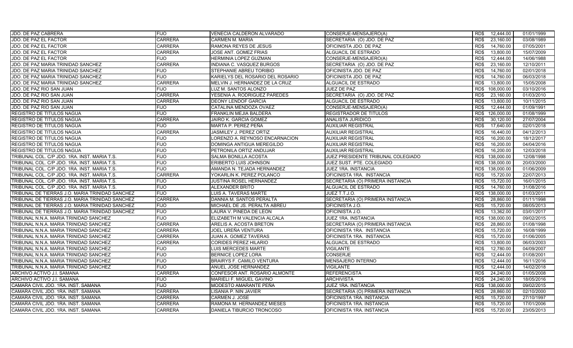| JDO. DE PAZ CABRERA                             | <b>FIJO</b>    | VENECIA CALDERON ALVARADO        | CONSERJE-MENSAJERO(A)              | RD\$<br>12,444.00  | 01/01/1999 |
|-------------------------------------------------|----------------|----------------------------------|------------------------------------|--------------------|------------|
| JDO. DE PAZ EL FACTOR                           | <b>CARRERA</b> | CARMEN M. MARIA                  | SECRETARIA (O) JDO. DE PAZ         | RD\$<br>23,160.00  | 03/08/1989 |
| JDO. DE PAZ EL FACTOR                           | <b>CARRERA</b> | RAMONA REYES DE JESUS            | OFICINISTA JDO. DE PAZ             | 14,760.00<br>RD\$  | 07/05/2001 |
| JDO. DE PAZ EL FACTOR                           | <b>CARRERA</b> | <b>JOSE ANT. GOMEZ FRIAS</b>     | ALGUACIL DE ESTRADO                | RD\$<br>13,800.00  | 15/07/2009 |
| JDO. DE PAZ EL FACTOR                           | <b>FIJO</b>    | HERMINIA LOPEZ GUZMAN            | CONSERJE-MENSAJERO(A)              | 12,444.00<br>RD\$  | 14/06/1988 |
| JDO. DE PAZ MARIA TRINIDAD SANCHEZ              | <b>CARRERA</b> | INDIANA C. VASQUEZ BURGOS        | SECRETARIA (O) JDO. DE PAZ         | 23,160.00<br>RD\$  | 12/10/2011 |
| JDO. DE PAZ MARIA TRINIDAD SANCHEZ              | <b>FIJO</b>    | STEPHANIE ABREU TORIBIO          | OFICINISTA JDO. DE PAZ             | 14,760.00<br>RD\$  | 02/01/2018 |
| JDO. DE PAZ MARIA TRINIDAD SANCHEZ              | <b>FIJO</b>    | KARIELYS DEL ROSARIO DEL ROSARIO | OFICINISTA JDO. DE PAZ             | 14,760.00<br>RD\$  | 06/03/2018 |
| JDO. DE PAZ MARIA TRINIDAD SANCHEZ              | <b>CARRERA</b> | MELVIN J. HERNANDEZ DE LA CRUZ   | ALGUACIL DE ESTRADO                | 13,800.00<br>RD\$  | 15/05/2008 |
| JDO. DE PAZ RIO SAN JUAN                        | <b>FIJO</b>    | LUZ M. SANTOS ALONZO             | JUEZ DE PAZ                        | RD\$<br>108,000.00 | 03/10/2016 |
| JDO. DE PAZ RIO SAN JUAN                        | <b>CARRERA</b> | YESENIA A. RODRIGUEZ PAREDES     | SECRETARIA (O) JDO. DE PAZ         | 23,160.00<br>RD\$  | 01/03/2010 |
| JDO. DE PAZ RIO SAN JUAN                        | <b>CARRERA</b> | <b>DEONY LENDOF GARCIA</b>       | ALGUACIL DE ESTRADO                | RD\$<br>13,800.00  | 10/11/2015 |
| JDO. DE PAZ RIO SAN JUAN                        | <b>FIJO</b>    | CATALINA MENDOZA OVAEZ           | CONSERJE-MENSAJERO(A)              | RD\$<br>12,444.00  | 01/09/1991 |
| <b>REGISTRO DE TITULOS NAGUA</b>                | <b>FIJO</b>    | FRANKLIN MEJIA BALDERA           | REGISTRADOR DE TITULOS             | 126,000.00<br>RD\$ | 01/08/1999 |
| REGISTRO DE TITULOS NAGUA                       | <b>CARRERA</b> | JAIRO K. GARCIA GOMEZ            | ANALISTA JURIDICO                  | RD\$<br>30,120.00  | 27/07/2004 |
| REGISTRO DE TITULOS NAGUA                       | <b>FIJO</b>    | MARTA P. PEREZ PEÑA              | AUXILIAR REGISTRAL                 | 17,640.00<br>RD\$  | 02/01/2018 |
| REGISTRO DE TITULOS NAGUA                       | <b>CARRERA</b> | JASMILEY J. PEREZ ORTIZ          | AUXILIAR REGISTRAL                 | RD\$<br>16,440.00  | 04/12/2013 |
| <b>REGISTRO DE TITULOS NAGUA</b>                | <b>FIJO</b>    | LORENZO A. REYNOSO ENCARNACION   | AUXILIAR REGISTRAL                 | RD\$<br>16.200.00  | 18/12/2017 |
| REGISTRO DE TITULOS NAGUA                       | <b>FIJO</b>    | DOMINGA ANTIGUA MEREGILDO        | AUXILIAR REGISTRAL                 | RD\$<br>16,200.00  | 04/04/2016 |
| REGISTRO DE TITULOS NAGUA                       | <b>FIJO</b>    | PETRONILA ORTIZ ANDUJAR          | AUXILIAR REGISTRAL                 | 16.200.00<br>RD\$  | 12/03/2018 |
| TRIBUNAL COL. C/P JDO. 1RA. INST. MARIA T.S.    | <b>FIJO</b>    | SALMA BONILLA ACOSTA             | JUEZ PRESIDENTE TRIBUNAL COLEGIADO | RD\$<br>138,000.00 | 12/08/1998 |
| TRIBUNAL COL. C/P JDO. 1RA. INST. MARIA T.S.    | <b>FIJO</b>    | ERIBERTO LUIS JOHNSON            | JUEZ SUST. PTE. COLEGIADO          | RD\$ 138,000.00    | 20/03/2000 |
| TRIBUNAL COL. C/P JDO. 1RA. INST. MARIA T.S.    | <b>FIJO</b>    | AMANDA N. TEJADA HERNANDEZ       | JUEZ 1RA. INSTANCIA                | RD\$<br>138,000.00 | 01/06/2009 |
| TRIBUNAL COL. C/P JDO. 1RA. INST. MARIA T.S.    | <b>CARRERA</b> | YOKARLIN K. PEREZ POLANCO        | OFICINISTA 1RA. INSTANCIA          | 15,720.00<br>RD\$  | 22/07/2013 |
| TRIBUNAL COL. C/P JDO. 1RA. INST. MARIA T.S.    | <b>FIJO</b>    | <b>JUSTINA ROSEL HERNANDEZ</b>   | SECRETARIA (O) PRIMERA INSTANCIA   | RD\$<br>15,720.00  | 16/01/2015 |
| TRIBUNAL COL. C/P JDO. 1RA. INST. MARIA T.S.    | <b>FIJO</b>    | ALEXANDER BRITO                  | <b>ALGUACIL DE ESTRADO</b>         | 14,760.00<br>RD\$  | 31/08/2016 |
| TRIBUNAL DE TIERRAS J.O. MARIA TRINIDAD SANCHEZ | <b>FIJO</b>    | LUIS A. TAVERAS MARTE            | JUEZ T.T.J.O.                      | 138,000.00<br>RD\$ | 01/03/2011 |
| TRIBUNAL DE TIERRAS J.O. MARIA TRINIDAD SANCHEZ | <b>CARRERA</b> | DANNIA M. SANTOS PERALTA         | SECRETARIA (O) PRIMERA INSTANCIA   | 28,860.00<br>RD\$  | 01/11/1998 |
| TRIBUNAL DE TIERRAS J.O. MARIA TRINIDAD SANCHEZ | <b>FIJO</b>    | MICHAEL DE JS. PERALTA ABREU     | OFICINISTA J.O.                    | 15,720.00<br>RD\$  | 08/05/2013 |
| TRIBUNAL DE TIERRAS J.O. MARIA TRINIDAD SANCHEZ | <b>FIJO</b>    | LAURA V. PINEDA DE LEON          | OFICINISTA J.O.                    | 13.362.00<br>RD\$  | 03/01/2017 |
| TRIBUNAL N.N.A. MARIA TRINIDAD SANCHEZ          | <b>FIJO</b>    | ELIZABETH M VALENCIA ALCALA      | JUEZ 1RA. INSTANCIA                | RD\$<br>138,000.00 | 09/02/2015 |
| TRIBUNAL N.N.A. MARIA TRINIDAD SANCHEZ          | <b>CARRERA</b> | ARELIS A. ACOSTA BRETON          | SECRETARIA (O) PRIMERA INSTANCIA   | RD\$<br>28,860.00  | 01/08/1998 |
| TRIBUNAL N.N.A. MARIA TRINIDAD SANCHEZ          | <b>CARRERA</b> | JOEL UREÑA VENTURA               | OFICINISTA 1RA. INSTANCIA          | RD\$<br>15,720.00  | 16/08/1999 |
| TRIBUNAL N.N.A. MARIA TRINIDAD SANCHEZ          | <b>CARRERA</b> | JUAN A. GOMEZ TAVERAS            | OFICINISTA 1RA. INSTANCIA          | RD\$<br>15,720.00  | 01/06/2005 |
| TRIBUNAL N.N.A. MARIA TRINIDAD SANCHEZ          | <b>CARRERA</b> | <b>CORIDES PEREZ HILARIO</b>     | ALGUACIL DE ESTRADO                | RD\$<br>13,800.00  | 06/03/2003 |
| TRIBUNAL N.N.A. MARIA TRINIDAD SANCHEZ          | <b>FIJO</b>    | LUIS MERCEDES MARTE              | VIGILANTE                          | RD\$<br>12,780.00  | 04/09/2007 |
| TRIBUNAL N.N.A. MARIA TRINIDAD SANCHEZ          | <b>FIJO</b>    | <b>BERNICE LOPEZ LORA</b>        | <b>CONSERJE</b>                    | 12,444.00<br>RD\$  | 01/08/2001 |
| TRIBUNAL N.N.A. MARIA TRINIDAD SANCHEZ          | <b>FIJO</b>    | <b>BRAIRYS F. CAMILO VENTURA</b> | <b>MENSAJERO INTERNO</b>           | RD\$<br>12,444.00  | 16/11/2016 |
| TRIBUNAL N.N.A. MARIA TRINIDAD SANCHEZ          | <b>FIJO</b>    | ANUEL JOSE HERNANDEZ             | VIGILANTE                          | 12,444.00<br>RD\$  | 14/02/2018 |
| ARCHIVO ACTIVO J.I. SAMANA                      | <b>CARRERA</b> | CONFESOR ANT. ROSARIO ALMONTE    | REFERENCISTA                       | RD\$<br>24,240.00  | 01/05/2008 |
| ARCHIVO ACTIVO J.I. SAMANA                      | <b>FIJO</b>    | MARIELI F. MIGUEL GAVINO         | ARCHIVISTA                         | 24,240.00<br>RD\$  | 18/05/2016 |
| CAMARA CIVIL JDO. 1RA. INST. SAMANA             | <b>FIJO</b>    | MODESTO AMARANTE PEÑA            | JUEZ 1RA. INSTANCIA                | RD\$<br>138,000.00 | 09/02/2015 |
| CAMARA CIVIL JDO. 1RA. INST. SAMANA             | <b>CARRERA</b> | LISANIA P. NIN JAVIER            | SECRETARIA (O) PRIMERA INSTANCIA   | 28,860.00<br>RD\$  | 02/10/2000 |
| CAMARA CIVIL JDO. 1RA. INST. SAMANA             | <b>CARRERA</b> | CARMEN J. JOSE                   | OFICINISTA 1RA. INSTANCIA          | RD\$<br>15,720.00  | 27/10/1997 |
| CAMARA CIVIL JDO. 1RA. INST. SAMANA             | <b>CARRERA</b> | RAMONA M. HERNANDEZ MIESES       | OFICINISTA 1RA. INSTANCIA          | 15,720.00<br>RD\$  | 17/01/2006 |
| CAMARA CIVIL JDO. 1RA. INST. SAMANA             | <b>CARRERA</b> | DANIELA TIBURCIO TRONCOSO        | OFICINISTA 1RA. INSTANCIA          | RD\$<br>15,720.00  | 23/05/2013 |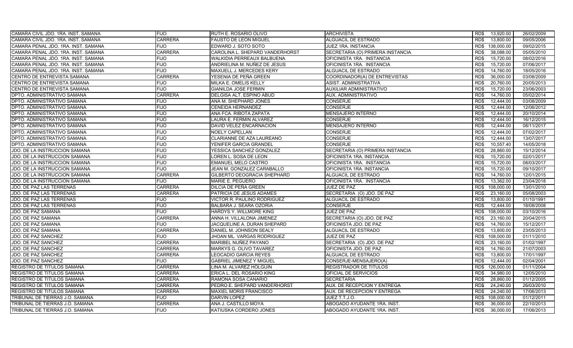| CAMARA CIVIL JDO. 1RA. INST. SAMANA  | <b>FIJO</b>    | RUTH E. ROSARIO OLIVO            | <b>ARCHIVISTA</b>                | RD\$<br>13,920.00  | 26/02/2009 |
|--------------------------------------|----------------|----------------------------------|----------------------------------|--------------------|------------|
| CAMARA CIVIL JDO. 1RA. INST. SAMANA  | <b>CARRERA</b> | <b>FAUSTO DE LEON MIGUEL</b>     | <b>ALGUACIL DE ESTRADO</b>       | RD\$<br>13,800.00  | 09/05/2006 |
| CAMARA PENAL JDO. 1RA. INST. SAMANA  | <b>FIJO</b>    | EDWARD J. SOTO SOTO              | JUEZ 1RA. INSTANCIA              | 138,000.00<br>RD\$ | 09/02/2015 |
| CAMARA PENAL JDO. 1RA. INST. SAMANA  | <b>CARRERA</b> | CAROLINA L. SHEPARD VANDERHORST  | SECRETARIA (O) PRIMERA INSTANCIA | RD\$<br>38,088.00  | 05/05/2010 |
| CAMARA PENAL JDO. 1RA. INST. SAMANA  | <b>FIJO</b>    | WALKIDIA PERREAUX BALBUENA       | OFICINISTA 1RA. INSTANCIA        | RD\$<br>15,720.00  | 08/02/2016 |
| CAMARA PENAL JDO. 1RA. INST. SAMANA  | <b>FIJO</b>    | ANDRIELINA M. NUÑEZ DE JESUS     | OFICINISTA 1RA. INSTANCIA        | 15,720.00<br>RD\$  | 07/06/2017 |
| CAMARA PENAL JDO. 1RA. INST. SAMANA  | <b>FIJO</b>    | MAXUELL J. MERCEDES KERY         | ALGUACIL DE ESTRADO              | RD\$<br>14,760.00  | 18/05/2016 |
| CENTRO DE ENTREVISTA SAMANA          | <b>CARRERA</b> | YESENIA DE PEÑA GREEN            | COORDINADOR(A) DE ENTREVISTAS    | 36,000.00<br>RD\$  | 03/08/2009 |
| CENTRO DE ENTREVISTA SAMANA          | <b>FIJO</b>    | MILKA E. OMELIS KELLY            | ASIST. ADMINISTRATIVA            | 20,760.00<br>RD\$  | 20/05/2013 |
| CENTRO DE ENTREVISTA SAMANA          | <b>FIJO</b>    | <b>GIANILDA JOSE FERMIN</b>      | <b>AUXILIAR ADMINISTRATIVO</b>   | RD\$<br>15,720.00  | 23/06/2003 |
| DPTO. ADMINISTRATIVO SAMANA          | <b>CARRERA</b> | DELGISA ALT. ESPINO ABUD         | AUX. ADMINISTRATIVO              | 14,760.00<br>RD\$  | 05/02/2014 |
| DPTO. ADMINISTRATIVO SAMANA          | <b>FIJO</b>    | ANA M. SHEPHARD JONES            | <b>CONSERJE</b>                  | RD\$<br>12.444.00  | 03/08/2009 |
| DPTO. ADMINISTRATIVO SAMANA          | <b>FIJO</b>    | <b>CENEIDA HERNANDEZ</b>         | <b>CONSERJE</b>                  | RD\$<br>12,444.00  | 12/06/2012 |
| DPTO. ADMINISTRATIVO SAMANA          | <b>FIJO</b>    | ANA FCA. RIBOTA ZAPATA           | <b>MENSAJERO INTERNO</b>         | 12.444.00<br>RD\$  | 20/10/2014 |
| DPTO. ADMINISTRATIVO SAMANA          | <b>FIJO</b>    | LAURA E. FERMIN ALVAREZ          | <b>CONSERJE</b>                  | RD\$<br>12,444.00  | 16/12/2015 |
| DPTO. ADMINISTRATIVO SAMANA          | <b>FIJO</b>    | DAVID VELEZ ENCARNACION          | MENSAJERO INTERNO                | 12,444.00<br>RD\$  | 08/11/2017 |
| DPTO. ADMINISTRATIVO SAMANA          | <b>FIJO</b>    | <b>NOELY CAPELLAN</b>            | <b>CONSERJE</b>                  | RD\$<br>12,444.00  | 07/02/2017 |
| DPTO. ADMINISTRATIVO SAMANA          | <b>FIJO</b>    | <b>CLARIANNE DE AZA LAUREANO</b> | <b>CONSERJE</b>                  | RD\$<br>12.444.00  | 13/07/2017 |
| DPTO. ADMINISTRATIVO SAMANA          | <b>FIJO</b>    | YENIFER GARCIA GRANDEL           | <b>CONSERJE</b>                  | RD\$<br>10,557.40  | 14/05/2018 |
| <b>JDO. DE LA INSTRUCCION SAMANA</b> | <b>FIJO</b>    | YESSICA SANCHEZ GONZALEZ         | SECRETARIA (O) PRIMERA INSTANCIA | RD\$<br>28.860.00  | 15/12/2014 |
| JDO. DE LA INSTRUCCION SAMANA        | <b>FIJO</b>    | LOREN L. SOSA DE LEON            | OFICINISTA 1RA. INSTANCIA        | RD\$<br>15,720.00  | 02/01/2017 |
| JDO. DE LA INSTRUCCION SAMANA        | <b>FIJO</b>    | <b>EMANUEL MELO CASTRO</b>       | OFICINISTA 1RA. INSTANCIA        | 15,720.00<br>RD\$  | 08/03/2017 |
| JDO. DE LA INSTRUCCION SAMANA        | <b>FIJO</b>    | JEAN M. GONZALEZ CARABALLO       | OFICINISTA 1RA. INSTANCIA        | RD\$<br>15,720.00  | 09/10/2017 |
| JDO. DE LA INSTRUCCION SAMANA        | <b>CARRERA</b> | GILBERTO DEOGRACIA SHEPHARD      | ALGUACIL DE ESTRADO              | 14,760.00<br>RD\$  | 12/01/2015 |
| JDO. DE LA INSTRUCCION SAMANA        | <b>FIJO</b>    | MARIE E. PEGUERO                 | OFICINISTA 1RA. INSTANCIA        | 13,362.00<br>RD\$  | 23/04/2018 |
| JDO. DE PAZ LAS TERRENAS             | <b>CARRERA</b> | DILCIA DE PEÑA GREEN             | JUEZ DE PAZ                      | 108,000.00<br>RD\$ | 13/01/2010 |
| JDO. DE PAZ LAS TERRENAS             | <b>CARRERA</b> | PATRICIA DE JESUS ADAMES         | SECRETARIA (O) JDO. DE PAZ       | 23,160.00<br>RD\$  | 05/08/2003 |
| JDO. DE PAZ LAS TERRENAS             | <b>FIJO</b>    | VICTOR R. PAULINO RODRIGUEZ      | ALGUACIL DE ESTRADO              | RD\$<br>13,800.00  | 01/10/1991 |
| JDO. DE PAZ LAS TERRENAS             | <b>FIJO</b>    | BALBARA J. SEARA OZORIA          | <b>CONSERJE</b>                  | 12,444.00<br>RD\$  | 18/08/2008 |
| JDO. DE PAZ SAMANA                   | <b>FIJO</b>    | HARDYS Y. WILLMORE KING          | JUEZ DE PAZ                      | 108.000.00<br>RD\$ | 03/10/2016 |
| JDO. DE PAZ SAMANA                   | <b>CARRERA</b> | ANNA H. VILLALONA JIMENEZ        | SECRETARIA (O) JDO. DE PAZ       | 23,160.00<br>RD\$  | 20/04/2015 |
| JDO. DE PAZ SAMANA                   | <b>FIJO</b>    | JACQUELINE A. DURAN SHEPARD      | OFICINISTA JDO. DE PAZ           | 14,760.00<br>RD\$  | 15/12/2017 |
| JDO. DE PAZ SAMANA                   | <b>CARRERA</b> | DANIEL M. JOHNSON SEALY          | ALGUACIL DE ESTRADO              | RD\$<br>13,800.00  | 23/05/2013 |
| JDO. DE PAZ SANCHEZ                  | <b>FIJO</b>    | JHOAN ML. VARGAS RODRIGUEZ       | <b>JUEZ DE PAZ</b>               | RD\$<br>108,000.00 | 01/11/2010 |
| JDO. DE PAZ SANCHEZ                  | <b>CARRERA</b> | MARIBEL NUÑEZ PAYANO             | SECRETARIA (O) JDO. DE PAZ       | 23,160.00<br>RD\$  | 01/02/1997 |
| JDO. DE PAZ SANCHEZ                  | <b>CARRERA</b> | MARKYS G. OLIVO TAVAREZ          | OFICINISTA JDO. DE PAZ           | RD\$<br>14,760.00  | 21/07/2003 |
| JDO. DE PAZ SANCHEZ                  | <b>CARRERA</b> | LEOCADIO GARCIA REYES            | ALGUACIL DE ESTRADO              | 13,800.00<br>RD\$  | 17/01/1997 |
| JDO. DE PAZ SANCHEZ                  | <b>FIJO</b>    | <b>GABRIEL JIMENEZ Y MIGUEL</b>  | CONSERJE-MENSAJERO(A)            | RD\$<br>12,444.00  | 02/04/2001 |
| <b>REGISTRO DE TITULOS SAMANA</b>    | <b>CARRERA</b> | LINA M. ALVAREZ HOLGUIN          | REGISTRADOR DE TITULOS           | 126,000.00<br>RD\$ | 01/11/2004 |
| REGISTRO DE TITULOS SAMANA           | <b>CARRERA</b> | ERICA L. DEL ROSARIO KING        | OFICIAL DE SERVICIOS             | RD\$<br>34,980.00  | 12/05/2010 |
| REGISTRO DE TITULOS SAMANA           | <b>CARRERA</b> | RAMONA SOSA CANARIO              | <b>SECRETARIA</b>                | RD\$<br>28,860.00  | 01/12/2005 |
| <b>REGISTRO DE TITULOS SAMANA</b>    | <b>CARRERA</b> | PEDRO E. SHEPARD VANDERHORST     | AUX. DE RECEPCION Y ENTREGA      | RD\$<br>24,240.00  | 26/03/2010 |
| REGISTRO DE TITULOS SAMANA           | <b>CARRERA</b> | <b>MAXIEL MORIS FRANCISCO</b>    | AUX. DE RECEPCION Y ENTREGA      | 24,240.00<br>RD\$  | 17/06/2013 |
| TRIBUNAL DE TIERRAS J.O. SAMANA      | <b>FIJO</b>    | DARVIN LOPEZ                     | JUEZ T.T.J.O.                    | RD\$<br>108,000.00 | 01/12/2011 |
| TRIBUNAL DE TIERRAS J.O. SAMANA      | <b>CARRERA</b> | ANA J. CASTILLO MOYA             | ABOGADO AYUDANTE 1RA. INST.      | 36,000.00<br>RD\$  | 22/10/2013 |
| TRIBUNAL DE TIERRAS J.O. SAMANA      | <b>FIJO</b>    | KATIUSKA CORDERO JONES           | ABOGADO AYUDANTE 1RA. INST.      | RD\$<br>36,000.00  | 17/06/2013 |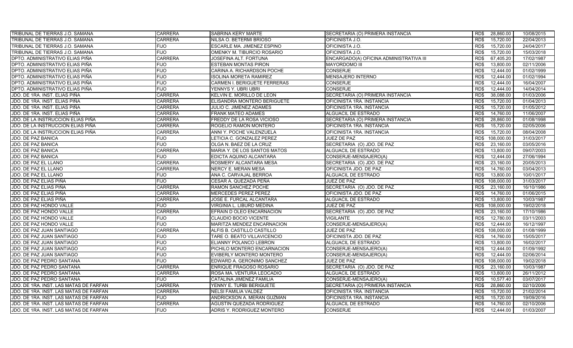| TRIBUNAL DE TIERRAS J.O. SAMANA        | <b>CARRERA</b> | SABRINA KERY MARTE               | SECRETARIA (O) PRIMERA INSTANCIA        | RD\$<br>28,860.00  | 10/08/2015 |
|----------------------------------------|----------------|----------------------------------|-----------------------------------------|--------------------|------------|
| TRIBUNAL DE TIERRAS J.O. SAMANA        | <b>CARRERA</b> | NILSA O. BETERMI BRIOSO          | OFICINISTA J.O.                         | RD\$<br>15,720.00  | 22/04/2013 |
| TRIBUNAL DE TIERRAS J.O. SAMANA        | <b>FIJO</b>    | ESCARLE MA. JIMENEZ ESPINO       | OFICINISTA J.O.                         | 15,720.00<br>RD\$  | 24/04/2017 |
| TRIBUNAL DE TIERRAS J.O. SAMANA        | <b>FIJO</b>    | OMENKY M. TIBURCIO ROSARIO       | OFICINISTA J.O.                         | 15,720.00<br>RD\$  | 15/03/2018 |
| DPTO. ADMINISTRATIVO ELIAS PIÑA        | <b>CARRERA</b> | JOSEFINA ALT. FORTUNA            | ENCARGADO(A) OFICINA ADMINISTRATIVA III | RD\$<br>67,405.20  | 17/02/1987 |
| DPTO. ADMINISTRATIVO ELIAS PIÑA        | <b>FIJO</b>    | ESTEBAN MONTAS PIRON             | <b>MAYORDOMO III</b>                    | RD\$<br>13,800.00  | 02/11/2006 |
| DPTO. ADMINISTRATIVO ELIAS PIÑA        | <b>FIJO</b>    | CARINA A. RICHARDSON POCHE       | <b>CONSERJE</b>                         | RD\$<br>12,444.00  | 01/02/1999 |
| DPTO. ADMINISTRATIVO ELIAS PIÑA        | <b>FIJO</b>    | ISOLINA MORETA RAMIREZ           | <b>MENSAJERO INTERNO</b>                | 12.444.00<br>RD\$  | 01/02/1994 |
| DPTO. ADMINISTRATIVO ELIAS PIÑA        | <b>FIJO</b>    | CARMEN I. BERIGUETE FERRERAS     | <b>CONSERJE</b>                         | 12,444.00<br>RD\$  | 16/04/2007 |
| DPTO. ADMINISTRATIVO ELIAS PIÑA        | <b>FIJO</b>    | YENNYS Y. UBRI UBRI              | <b>CONSERJE</b>                         | RD\$<br>12.444.00  | 14/04/2014 |
| JDO. DE 1RA. INST. ELIAS PIÑA          | <b>CARRERA</b> | <b>KELVIN E. MORILLO DE LEON</b> | SECRETARIA (O) PRIMERA INSTANCIA        | 38,088.00<br>RD\$  | 01/03/2006 |
| JDO. DE 1RA. INST. ELIAS PIÑA          | <b>CARRERA</b> | ELISANDRA MONTERO BERIGUETE      | OFICINISTA 1RA. INSTANCIA               | RD\$<br>15,720.00  | 01/04/2013 |
| JDO. DE 1RA. INST. ELIAS PIÑA          | <b>CARRERA</b> | JULIO C. JIMENEZ ADAMES          | OFICINISTA 1RA. INSTANCIA               | RD\$<br>15,720.00  | 01/05/2012 |
| JDO. DE 1RA. INST. ELIAS PIÑA          | <b>CARRERA</b> | <b>FRANK MATEO ADAMES</b>        | ALGUACIL DE ESTRADO                     | RD\$<br>14,760.00  | 11/06/2007 |
| JDO. DE LA INSTRUCCION ELIAS PIÑA      | <b>CARRERA</b> | FREDDY DE LA ROSA VICIOSO        | SECRETARIA (O) PRIMERA INSTANCIA        | RD\$<br>28,860.00  | 01/08/1998 |
| JDO. DE LA INSTRUCCION ELIAS PIÑA      | <b>CARRERA</b> | ROGELIO RAMON MONTERO            | OFICINISTA 1RA. INSTANCIA               | 15,720.00<br>RD\$  | 02/05/2006 |
| JDO. DE LA INSTRUCCION ELIAS PIÑA      | <b>CARRERA</b> | ANNI Y. POCHE VALENZUELA         | OFICINISTA 1RA. INSTANCIA               | RD\$<br>15,720.00  | 08/04/2008 |
| JDO. DE PAZ BANICA                     | <b>FIJO</b>    | LETICIA C. GONZALEZ PEREZ        | JUEZ DE PAZ                             | 108.000.00<br>RD\$ | 31/03/2017 |
| JDO. DE PAZ BANICA                     | <b>FIJO</b>    | OLGA N. BAEZ DE LA CRUZ          | SECRETARIA (O) JDO. DE PAZ              | RD\$<br>23,160.00  | 03/05/2016 |
| <b>JDO. DE PAZ BANICA</b>              | <b>CARRERA</b> | MARIA Y. DE LOS SANTOS MATOS     | ALGUACIL DE ESTRADO                     | 13,800.00<br>RD\$  | 09/07/2003 |
| JDO. DE PAZ BANICA                     | <b>FIJO</b>    | EDICTA AQUINO ALCANTARA          | CONSERJE-MENSAJERO(A)                   | RD\$<br>12,444.00  | 27/06/1994 |
| JDO. DE PAZ EL LLANO                   | <b>CARRERA</b> | ROSMERY ALCANTARA MESA           | SECRETARIA (O) JDO. DE PAZ              | 23,160.00<br>RD\$  | 20/05/2013 |
| JDO. DE PAZ EL LLANO                   | <b>CARRERA</b> | NERCY E. MERAN MESA              | OFICINISTA JDO. DE PAZ                  | RD\$<br>14,760.00  | 03/04/2013 |
| JDO. DE PAZ EL LLANO                   | <b>FIJO</b>    | ANA C. CARVAJAL BERROA           | ALGUACIL DE ESTRADO                     | 13,800.00<br>RD\$  | 10/01/2017 |
| JDO. DE PAZ ELIAS PIÑA                 | <b>FIJO</b>    | CESAR A. QUEZADA PEÑA            | <b>JUEZ DE PAZ</b>                      | 108,000.00<br>RD\$ | 31/03/2017 |
| JDO. DE PAZ ELIAS PIÑA                 | <b>CARRERA</b> | RAMON SANCHEZ POCHE              | SECRETARIA (O) JDO. DE PAZ              | 23,160.00<br>RD\$  | 16/10/1986 |
| JDO. DE PAZ ELIAS PIÑA                 | <b>CARRERA</b> | <b>MERCEDES PEREZ PEREZ</b>      | OFICINISTA JDO. DE PAZ                  | 14,760.00<br>RD\$  | 01/06/2015 |
| JDO. DE PAZ ELIAS PIÑA                 | <b>CARRERA</b> | JOSE E. FURCAL ALCANTARA         | ALGUACIL DE ESTRADO                     | RD\$<br>13,800.00  | 10/03/1987 |
| JDO. DE PAZ HONDO VALLE                | <b>FIJO</b>    | VIRGINIA L. LIBURD MEDINA        | JUEZ DE PAZ                             | 108,000.00<br>RD\$ | 19/02/2018 |
| JDO. DE PAZ HONDO VALLE                | <b>CARRERA</b> | EFRAIN D OLEO ENCARNACION        | SECRETARIA (O) JDO. DE PAZ              | 23,160.00<br>RD\$  | 17/10/1986 |
| JDO. DE PAZ HONDO VALLE                | <b>FIJO</b>    | CLAUDIO BOCIO VICENTE            | VIGILANTE                               | RD\$<br>12,780.00  | 03/11/2003 |
| JDO. DE PAZ HONDO VALLE                | <b>FIJO</b>    | MARITZA MENDEZ ENCARNACION       | CONSERJE-MENSAJERO(A)                   | 12,444.00<br>RD\$  | 16/12/1997 |
| JDO. DE PAZ JUAN SANTIAGO              | <b>CARRERA</b> | ALFIS B. CASTILLO CASTILLO       | JUEZ DE PAZ                             | 108,000.00<br>RD\$ | 01/08/1999 |
| JDO. DE PAZ JUAN SANTIAGO              | <b>FIJO</b>    | TARE O. BEATO VILLAVICENCIO      | OFICINISTA JDO. DE PAZ                  | 14,760.00<br>RD\$  | 15/05/2017 |
| JDO. DE PAZ JUAN SANTIAGO              | <b>FIJO</b>    | ELIANNY POLANCO LEBRON           | ALGUACIL DE ESTRADO                     | RD\$<br>13,800.00  | 16/02/2017 |
| JDO. DE PAZ JUAN SANTIAGO              | <b>FIJO</b>    | PICHILO MONTERO ENCARNACION      | CONSERJE-MENSAJERO(A)                   | RD\$<br>12,444.00  | 01/09/1992 |
| JDO. DE PAZ JUAN SANTIAGO              | <b>FIJO</b>    | EVIBERLY MONTERO MONTERO         | CONSERJE-MENSAJERO(A)                   | 12,444.00<br>RD\$  | 02/06/2014 |
| JDO. DE PAZ PEDRO SANTANA              | <b>FIJO</b>    | EDWARD A. GERONIMO SANCHEZ       | JUEZ DE PAZ                             | RD\$<br>108,000.00 | 19/02/2018 |
| JDO. DE PAZ PEDRO SANTANA              | <b>CARRERA</b> | ENRIQUE FRAGOSO ROSARIO          | SECRETARIA (O) JDO. DE PAZ              | 23,160.00<br>RD\$  | 10/03/1987 |
| JDO. DE PAZ PEDRO SANTANA              | <b>CARRERA</b> | ROSA MA. VENTURA LEOCADIO        | ALGUACIL DE ESTRADO                     | RD\$<br>13,800.00  | 26/11/2012 |
| JDO. DE PAZ PEDRO SANTANA              | <b>FIJO</b>    | CATALINA JIMENEZ FAMILIA         | CONSERJE-MENSAJERO(A)                   | RD\$<br>10,577.40  | 03/07/2017 |
| JDO. DE 1RA. INST. LAS MATAS DE FARFAN | <b>CARRERA</b> | YENNY E. TURBI BERIGUETE         | SECRETARIA (O) PRIMERA INSTANCIA        | 28,860.00<br>RD\$  | 02/10/2006 |
| JDO. DE 1RA. INST. LAS MATAS DE FARFAN | <b>CARRERA</b> | NELSI FAMILIA VALDEZ             | OFICINISTA 1RA. INSTANCIA               | 15,720.00<br>RD\$  | 21/02/2014 |
| JDO. DE 1RA. INST. LAS MATAS DE FARFAN | <b>FIJO</b>    | ANDRICKSON A. MERAN GUZMAN       | OFICINISTA 1RA. INSTANCIA               | RD\$<br>15,720.00  | 19/09/2016 |
| JDO. DE 1RA. INST. LAS MATAS DE FARFAN | <b>CARRERA</b> | AGUSTIN QUEZADA RODRIGUEZ        | ALGUACIL DE ESTRADO                     | 14,760.00<br>RD\$  | 02/10/2006 |
| JDO. DE 1RA. INST. LAS MATAS DE FARFAN | <b>FIJO</b>    | ADRIS Y. RODRIGUEZ MONTERO       | <b>CONSERJE</b>                         | RD\$<br>12.444.00  | 01/03/2007 |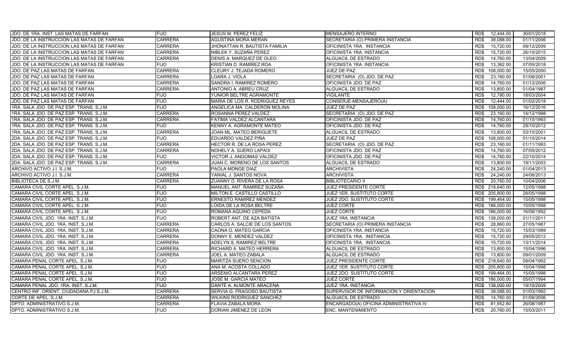| JDO. DE 1RA. INST. LAS MATAS DE FARFAN     | <b>FIJO</b>    | JESUS M. PEREZ FELIZ            | <b>MENSAJERO INTERNO</b>                | 12,444.00<br>RD\$  | 30/01/2018 |
|--------------------------------------------|----------------|---------------------------------|-----------------------------------------|--------------------|------------|
| JDO. DE LA INSTRUCCION LAS MATAS DE FARFAN | <b>CARRERA</b> | AGUSTINA MORA MERAN             | SECRETARIA (O) PRIMERA INSTANCIA        | RD\$<br>38,088.00  | 01/11/2006 |
| JDO. DE LA INSTRUCCION LAS MATAS DE FARFAN | <b>CARRERA</b> | JHONATTAN R. BAUTISTA FAMILIA   | OFICINISTA 1RA. INSTANCIA               | RD\$<br>15,720.00  | 09/12/2009 |
| JDO. DE LA INSTRUCCION LAS MATAS DE FARFAN | <b>CARRERA</b> | NIBLEK Y. SUZAÑA PEREZ          | OFICINISTA 1RA. INSTANCIA               | RD\$<br>15,720.00  | 26/10/2015 |
| JDO. DE LA INSTRUCCION LAS MATAS DE FARFAN | <b>CARRERA</b> | DENIS A. MARQUEZ DE OLEO        | ALGUACIL DE ESTRADO                     | 14,760.00<br>RD\$  | 13/04/2009 |
| JDO. DE LA INSTRUCCION LAS MATAS DE FARFAN | <b>FIJO</b>    | KRISTIAN D. RAMIREZ ROA         | OFICINISTA 1RA. INSTANCIA               | 13,362.00<br>RD\$  | 07/05/2018 |
| JDO. DE PAZ LAS MATAS DE FARFAN            | <b>CARRERA</b> | CLEURY J. TEJADA ROMERO         | JUEZ DE PAZ                             | RD\$<br>108,000.00 | 15/05/2000 |
| JDO. DE PAZ LAS MATAS DE FARFAN            | <b>CARRERA</b> | LOARA J. VIOLA                  | SECRETARIA (O) JDO. DE PAZ              | 23,160.00<br>RD\$  | 01/06/2001 |
| JDO. DE PAZ LAS MATAS DE FARFAN            | <b>CARRERA</b> | SANDRA I. RAMIREZ ROMERO        | OFICINISTA JDO. DE PAZ                  | 14,760.00<br>RD\$  | 01/12/2006 |
| JDO. DE PAZ LAS MATAS DE FARFAN            | <b>CARRERA</b> | ANTONIO A. ABREU CRUZ           | ALGUACIL DE ESTRADO                     | RD\$<br>13,800.00  | 01/04/1987 |
| JDO. DE PAZ LAS MATAS DE FARFAN            | <b>FIJO</b>    | YUNIOR BELTRE AGRAMONTE         | <b>VIGILANTE</b>                        | RD\$<br>12,780.00  | 18/03/2004 |
| JDO. DE PAZ LAS MATAS DE FARFAN            | <b>FIJO</b>    | MARIA DE LOS R. RODRIGUEZ REYES | CONSERJE-MENSAJERO(A)                   | RD\$<br>12,444.00  | 01/02/2018 |
| 1RA. SALA JDO. DE PAZ ESP. TRANS. S.J.M.   | <b>FIJO</b>    | ANGELICA MA. CALDERON MOLINA    | JUEZ DE PAZ                             | 108,000.00<br>RD\$ | 16/12/2016 |
| 1RA. SALA JDO. DE PAZ ESP. TRANS. S.J.M.   | <b>CARRERA</b> | ROSANNA PEREZ VALDEZ            | SECRETARIA (O) JDO. DE PAZ              | 23,160.00<br>RD\$  | 14/12/1998 |
| 1RA. SALA JDO. DE PAZ ESP. TRANS. S.J.M.   | <b>CARRERA</b> | FATIMA VALDEZ ALCANTARA         | OFICINISTA JDO. DE PAZ                  | RD\$<br>14,760.00  | 01/10/1993 |
| 1RA. SALA JDO. DE PAZ ESP. TRANS. S.J.M.   | <b>FIJO</b>    | KENNY A. AGRAMONTE MATEO        | OFICINISTA JDO. DE PAZ                  | 14,760.00<br>RD\$  | 29/10/2012 |
| 1RA. SALA JDO. DE PAZ ESP. TRANS. S.J.M.   | <b>CARRERA</b> | JOAN ML. MATEO BERIGUETE        | ALGUACIL DE ESTRADO                     | RD\$<br>13,800.00  | 03/10/2001 |
| 2DA. SALA JDO. DE PAZ ESP. TRANS. S.J.M.   | <b>FIJO</b>    | EDUARDO VALDEZ PIÑA             | JUEZ DE PAZ                             | 108,000.00<br>RD\$ | 01/10/2014 |
| 2DA. SALA JDO. DE PAZ ESP. TRANS. S.J.M.   | <b>CARRERA</b> | HECTOR R. DE LA ROSA PEREZ      | SECRETARIA (O) JDO. DE PAZ              | RD\$<br>23,160.00  | 01/11/1993 |
| 2DA. SALA JDO. DE PAZ ESP. TRANS. S.J.M.   | <b>CARRERA</b> | NOHELY A. SUERO LAPAIX          | OFICINISTA JDO. DE PAZ                  | RD\$<br>14,760.00  | 07/05/2012 |
| 2DA. SALA JDO. DE PAZ ESP. TRANS. S.J.M.   | <b>FIJO</b>    | VICTOR J. ANGOMAS VALDEZ        | OFICINISTA JDO. DE PAZ                  | 14,760.00<br>RD\$  | 22/10/2014 |
| 2DA. SALA JDO. DE PAZ ESP. TRANS. S.J.M.   | <b>CARRERA</b> | JUAN C. MORENO DE LOS SANTOS    | ALGUACIL DE ESTRADO                     | 13,800.00<br>RD\$  | 19/11/2003 |
| ARCHIVO ACTIVO J.I. S.J.M.                 | <b>FIJO</b>    | PAOLA MONGE DIAZ                | ARCHIVISTA                              | RD\$<br>24,240.00  | 01/04/2013 |
| ARCHIVO ACTIVO J.I. S.J.M.                 | <b>CARRERA</b> | YANIAL J. SANTOS NOVA           | <b>ARCHIVISTA</b>                       | 24,240.00<br>RD\$  | 24/06/2013 |
| <b>BIBLIOTECA DE S.J.M.</b>                | <b>CARRERA</b> | ZUANNY D. RIVERA DE LA ROSA     | <b>BIBLIOTECARIO II</b>                 | 20.760.00<br>RD\$  | 10/04/2006 |
| CAMARA CIVIL CORTE APEL. S.J.M.            | <b>FIJO</b>    | MANUEL ANT. RAMIREZ SUZAÑA      | <b>JUEZ PRESIDENTE CORTE</b>            | RD\$ 218,640.00    | 12/05/1998 |
| CAMARA CIVIL CORTE APEL, S.J.M.            | <b>FIJO</b>    | MILTON E. CASTILLO CASTILLO     | JUEZ 1ER. SUSTITUTO CORTE               | RD\$ 205,800.00    | 28/05/1998 |
| CAMARA CIVIL CORTE APEL. S.J.M.            | <b>FIJO</b>    | ERNESTO RAMIREZ MENDEZ          | JUEZ 2DO. SUSTITUTO CORTE               | RD\$ 199,464.00    | 15/05/1998 |
| CAMARA CIVIL CORTE APEL. S.J.M.            | <b>FIJO</b>    | LOIDA DE LA ROSA BELTRE         | <b>JUEZ CORTE</b>                       | RD\$ 186,000.00    | 15/05/1998 |
| CAMARA CIVIL CORTE APEL. S.J.M.            | <b>FIJO</b>    | ROMANA AQUINO CEPEDA            | <b>JUEZ CORTE</b>                       | RD\$<br>186,000.00 | 16/06/1992 |
| CAMARA CIVIL JDO. 1RA. INST. S.J.M.        | <b>FIJO</b>    | ROBERT ANT. DE AZA BATISTA      | JUEZ 1RA. INSTANCIA                     | RD\$<br>138,000.00 | 01/11/2011 |
| CAMARA CIVIL JDO. 1RA. INST. S.J.M.        | <b>CARRERA</b> | CARLOS A. SALCIE DE LOS SANTOS  | SECRETARIA (O) PRIMERA INSTANCIA        | 28,860.00<br>RD\$  | 27/05/1987 |
| CAMARA CIVIL JDO. 1RA. INST. S.J.M.        | <b>CARRERA</b> | CAONA O. MATEO GARCIA           | OFICINISTA 1RA. INSTANCIA               | RD\$<br>15,720.00  | 15/03/1999 |
| CAMARA CIVIL JDO. 1RA. INST. S.J.M.        | <b>CARRERA</b> | DONNY E. MENDEZ VALDEZ          | OFICINISTA 1RA. INSTANCIA               | RD\$<br>15,720.00  | 29/05/2012 |
| CAMARA CIVIL JDO. 1RA. INST. S.J.M.        | <b>CARRERA</b> | ADELYN S. RAMIREZ BELTRE        | OFICINISTA 1RA. INSTANCIA               | 15,720.00<br>RD\$  | 13/11/2014 |
| CAMARA CIVIL JDO. 1RA. INST. S.J.M.        | <b>CARRERA</b> | RICHARD A. MATEO HERRERA        | ALGUACIL DE ESTRADO                     | RD\$<br>13,800.00  | 15/04/1996 |
| CAMARA CIVIL JDO. 1RA. INST. S.J.M.        | <b>CARRERA</b> | JOEL A. MATEO ZABALA            | ALGUACIL DE ESTRADO                     | 13,800.00<br>RD\$  | 09/01/2009 |
| CAMARA PENAL CORTE APEL. S.J.M.            | <b>FIJO</b>    | MARITZA SUERO SENCION           | JUEZ PRESIDENTE CORTE                   | RD\$ 218,640.00    | 09/04/1992 |
| CAMARA PENAL CORTE APEL. S.J.M.            | <b>FIJO</b>    | ANA M. ACOSTA COLLADO           | JUEZ 1ER. SUSTITUTO CORTE               | RD\$ 205,800.00    | 15/04/1998 |
| CAMARA PENAL CORTE APEL, S.J.M.            | <b>FIJO</b>    | ARSENIO ALCANTARA PEREZ         | JUEZ 2DO. SUSTITUTO CORTE               | RD\$<br>199,464.00 | 15/05/1998 |
| CAMARA PENAL CORTE APEL. S.J.M.            | <b>FIJO</b>    | JOSE M. GARCIA MATEO            | <b>JUEZ CORTE</b>                       | RD\$<br>186,000.00 | 05/07/1994 |
| CAMARA PENAL JDO. 1RA. INST. S.J.M.        | <b>FIJO</b>    | DANTE A. ALMONTE ARACENA        | JUEZ 1RA. INSTANCIA                     | RD\$<br>138,000.00 | 19/10/2009 |
| CENTRO INF. ORIENT. CIUDADANA PJ S.J.M.    | <b>CARRERA</b> | SERVIA G. FRAGOSO BAUTISTA      | SUPERVISOR DE INFORMACION Y ORIENTACION | RD\$<br>38,088.00  | 01/03/1992 |
| CORTE DE APEL. S.J.M.                      | <b>CARRERA</b> | WILKINS RODRIGUEZ SANCHEZ       | ALGUACIL DE ESTRADO                     | RD\$<br>14,760.00  | 01/06/2006 |
| DPTO. ADMINISTRATIVO S.J.M.                | <b>CARRERA</b> | FLAVIA ZABALA MORA              | ENCARGADO(A) OFICINA ADMINISTRATIVA IV  | 81,952.80<br>RD\$  | 26/08/1987 |
| DPTO. ADMINISTRATIVO S.J.M.                | <b>FIJO</b>    | DORIAN JIMENEZ DE LEON          | ENC. MANTENIMIENTO                      | RD\$<br>20,760.00  | 15/03/2011 |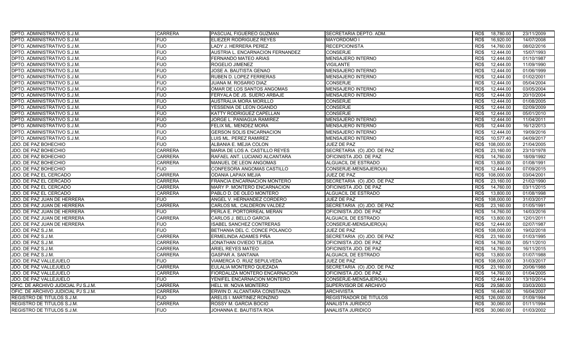| <b>DPTO. ADMINISTRATIVO S.J.M.</b>  | <b>CARRERA</b> | <b>PASCUAL FIGUEREO GUZMAN</b>   | SECRETARIA DEPTO. ADM.        | 18,780.00<br>RD\$            | 23/11/2009 |
|-------------------------------------|----------------|----------------------------------|-------------------------------|------------------------------|------------|
| DPTO. ADMINISTRATIVO S.J.M.         | <b>FIJO</b>    | ELIEZER RODRIGUEZ REYES          | <b>MAYORDOMO I</b>            | RD\$<br>16,920.00            | 14/07/2008 |
| DPTO. ADMINISTRATIVO S.J.M.         | <b>FIJO</b>    | LADY J. HERRERA PEREZ            | <b>RECEPCIONISTA</b>          | RD\$<br>14,760.00            | 08/02/2016 |
| DPTO. ADMINISTRATIVO S.J.M.         | <b>FIJO</b>    | AUSTRIA L. ENCARNACION FERNANDEZ | <b>CONSERJE</b>               | RD\$<br>12,444.00            | 15/07/1993 |
| DPTO. ADMINISTRATIVO S.J.M.         | <b>FIJO</b>    | FERNANDO MATEO ARIAS             | <b>MENSAJERO INTERNO</b>      | RD\$<br>12,444.00            | 01/10/1987 |
| DPTO. ADMINISTRATIVO S.J.M.         | <b>FIJO</b>    | ROGELIO JIMENEZ                  | <b>VIGILANTE</b>              | 12,444.00<br>RD\$            | 11/09/1990 |
| DPTO. ADMINISTRATIVO S.J.M.         | <b>FIJO</b>    | <b>JOSE A. BAUTISTA GENAO</b>    | MENSAJERO INTERNO             | RD\$<br>12,444.00            | 01/06/1999 |
| DPTO. ADMINISTRATIVO S.J.M.         | <b>FIJO</b>    | RUBEN D. LOPEZ FERRERAS          | MENSAJERO INTERNO             | 12,444.00<br>RD\$            | 01/02/2001 |
| DPTO. ADMINISTRATIVO S.J.M.         | <b>FIJO</b>    | JUANA M. ROSARIO DIAZ            | <b>CONSERJE</b>               | 12.444.00<br>RD\$            | 05/04/2004 |
| DPTO. ADMINISTRATIVO S.J.M.         | <b>FIJO</b>    | OMAR DE LOS SANTOS ANGOMAS       | <b>MENSAJERO INTERNO</b>      | RD\$<br>12.444.00            | 03/05/2004 |
| DPTO. ADMINISTRATIVO S.J.M.         | <b>FIJO</b>    | FERYALA DE JS. SUERO ARBAJE      | MENSAJERO INTERNO             | 12,444.00<br>RD\$            | 20/10/2004 |
| DPTO. ADMINISTRATIVO S.J.M.         | <b>FIJO</b>    | <b>AUSTRALIA MORA MORILLO</b>    | <b>CONSERJE</b>               | RD\$<br>12.444.00            | 01/08/2005 |
| DPTO. ADMINISTRATIVO S.J.M.         | <b>FIJO</b>    | YESSENIA DE LEON OGANDO          | <b>CONSERJE</b>               | RD\$<br>12,444.00            | 02/09/2009 |
| DPTO. ADMINISTRATIVO S.J.M.         | <b>FIJO</b>    | KATTY RODRIGUEZ CAPELLAN         | <b>CONSERJE</b>               | RD\$<br>12.444.00            | 05/01/2010 |
| DPTO. ADMINISTRATIVO S.J.M.         | <b>FIJO</b>    | JORGE L. PANIAGUA RAMIREZ        | <b>MENSAJERO INTERNO</b>      | R <sub>D</sub><br>12,444.00  | 11/04/2011 |
| DPTO. ADMINISTRATIVO S.J.M.         | <b>FIJO</b>    | FELIX ML. MENDEZ MORA            | <b>MENSAJERO INTERNO</b>      | 12,444.00<br>RD\$            | 16/12/2013 |
| DPTO. ADMINISTRATIVO S.J.M.         | <b>FIJO</b>    | <b>GERSON SOLIS ENCARNACION</b>  | MENSAJERO INTERNO             | RD\$<br>12,444.00            | 19/09/2016 |
| DPTO. ADMINISTRATIVO S.J.M.         | <b>FIJO</b>    | LUIS ML. PEREZ RAMIREZ           | MENSAJERO INTERNO             | RD\$<br>10,577.40            | 04/09/2017 |
| JDO. DE PAZ BOHECHIO                | <b>FIJO</b>    | ALBANIA E. MEJIA COLON           | JUEZ DE PAZ                   | RD\$<br>108,000.00           | 21/04/2005 |
| JDO. DE PAZ BOHECHIO                | <b>CARRERA</b> | MARIA DE LOS A. CASTILLO REYES   | SECRETARIA (O) JDO. DE PAZ    | RD\$<br>23,160.00            | 23/10/1978 |
| JDO. DE PAZ BOHECHIO                | <b>CARRERA</b> | RAFAEL ANT. LUCIANO ALCANTARA    | OFICINISTA JDO. DE PAZ        | 14,760.00<br>RD\$            | 18/09/1992 |
| JDO. DE PAZ BOHECHIO                | <b>CARRERA</b> | MANUEL DE LEON ANGOMAS           | ALGUACIL DE ESTRADO           | 13,800.00<br>RD\$            | 01/08/1991 |
| JDO. DE PAZ BOHECHIO                | <b>FIJO</b>    | CONFESORA ANGOMAS CASTILLO       | CONSERJE-MENSAJERO(A)         | RD\$<br>12.444.00            | 07/09/2015 |
| JDO. DE PAZ EL CERCADO              | <b>CARRERA</b> | ODANIA LAPAIX MEJIA              | JUEZ DE PAZ                   | 108,000.00<br>RD\$           | 03/04/2001 |
| JDO. DE PAZ EL CERCADO              | <b>CARRERA</b> | FRANCIA ENCARNACION MONTERO      | SECRETARIA (O) JDO. DE PAZ    | 23,160.00<br>RD\$            | 21/02/1990 |
| JDO. DE PAZ EL CERCADO              | <b>CARRERA</b> | MARY P. MONTERO ENCARNACION      | OFICINISTA JDO. DE PAZ        | RD\$<br>14,760.00            | 03/11/2015 |
| JDO. DE PAZ EL CERCADO              | <b>CARRERA</b> | PABLO D. DE OLEO MONTERO         | ALGUACIL DE ESTRADO           | 13,800.00<br>RD\$            | 01/08/1998 |
| JDO. DE PAZ JUAN DE HERRERA         | <b>FIJO</b>    | ANGEL V. HERNANDEZ CORDERO       | JUEZ DE PAZ                   | R <sub>D</sub><br>108,000.00 | 31/03/2017 |
| JDO. DE PAZ JUAN DE HERRERA         | <b>CARRERA</b> | CARLOS ML. CALDERON VALDEZ       | SECRETARIA (O) JDO. DE PAZ    | RD\$<br>23,160.00            | 01/05/1991 |
| JDO. DE PAZ JUAN DE HERRERA         | <b>FIJO</b>    | PERLA E. PORTORREAL MERAN        | OFICINISTA JDO. DE PAZ        | RD\$<br>14,760.00            | 14/03/2016 |
| JDO. DE PAZ JUAN DE HERRERA         | <b>CARRERA</b> | CARLOS J. BELLO GARCIA           | ALGUACIL DE ESTRADO           | RD\$<br>13,800.00            | 12/01/2011 |
| JDO. DE PAZ JUAN DE HERRERA         | <b>FIJO</b>    | <b>ISABEL SANCHEZ CONTRERAS</b>  | CONSERJE-MENSAJERO(A)         | RD\$<br>12,444.00            | 02/07/1987 |
| JDO. DE PAZ S.J.M.                  | <b>FIJO</b>    | BETHANIA DEL C. CONCE POLANCO    | JUEZ DE PAZ                   | RD\$<br>108,000.00           | 19/02/2018 |
| JDO. DE PAZ S.J.M.                  | <b>CARRERA</b> | ERMELINDA ADAMES PIÑA            | SECRETARIA (O) JDO. DE PAZ    | RD\$<br>23,160.00            | 01/03/1995 |
| JDO. DE PAZ S.J.M.                  | <b>CARRERA</b> | JONATHAN OVIEDO TEJEDA           | OFICINISTA JDO. DE PAZ        | RD\$<br>14,760.00            | 05/11/2010 |
| JDO. DE PAZ S.J.M.                  | <b>CARRERA</b> | ARIEL REYES MATEO                | OFICINISTA JDO. DE PAZ        | RD\$<br>14,760.00            | 16/11/2015 |
| JDO. DE PAZ S.J.M.                  | <b>CARRERA</b> | <b>GASPAR A. SANTANA</b>         | ALGUACIL DE ESTRADO           | 13,800.00<br>RD\$            | 01/07/1988 |
| JDO. DE PAZ VALLEJUELO              | <b>FIJO</b>    | VIAMERCA O. RUIZ SEPULVEDA       | JUEZ DE PAZ                   | RD\$<br>108,000.00           | 31/03/2017 |
| JDO. DE PAZ VALLEJUELO              | <b>CARRERA</b> | EULALIA MONTERO QUEZADA          | SECRETARIA (O) JDO. DE PAZ    | 23,160.00<br>RD\$            | 20/06/1988 |
| JDO. DE PAZ VALLEJUELO              | <b>CARRERA</b> | FIORDALIZA MONTERO ENCARNACION   | OFICINISTA JDO. DE PAZ        | 14,760.00<br>RD\$            | 01/04/2005 |
| JDO. DE PAZ VALLEJUELO              | <b>FIJO</b>    | YENIFEL ENCARNACION MONTERO      | CONSERJE-MENSAJERO(A)         | RD\$<br>12,444.00            | 13/10/2014 |
| OFIC. DE ARCHIVO JUDICIAL PJ S.J.M. | <b>CARRERA</b> | HELL W. NOVA MONTERO             | SUPERVISOR DE ARCHIVO         | RD\$<br>29,580.00            | 03/03/2003 |
| OFIC. DE ARCHIVO JUDICIAL PJ S.J.M. | <b>CARRERA</b> | ERWIN D. ALCANTARA CONSTANZA     | <b>ARCHIVISTA</b>             | RD\$<br>16,440.00            | 16/04/2007 |
| REGISTRO DE TITULOS S.J.M.          | <b>FIJO</b>    | ARELIS I. MARTINEZ RONZINO       | <b>REGISTRADOR DE TITULOS</b> | RD\$<br>126,000.00           | 01/09/1994 |
| REGISTRO DE TITULOS S.J.M.          | <b>CARRERA</b> | ROSSY M. GARCIA BOCIO            | ANALISTA JURIDICO             | 30,060.00<br>RD\$            | 01/11/1994 |
| <b>REGISTRO DE TITULOS S.J.M.</b>   | <b>FIJO</b>    | JOHANNA E. BAUTISTA ROA          | <b>ANALISTA JURIDICO</b>      | RD\$<br>30,060.00            | 01/03/2002 |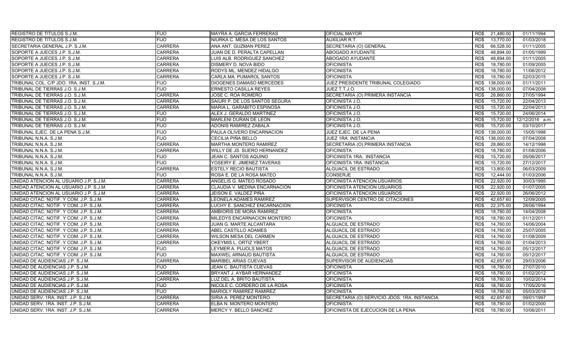| <b>REGISTRO DE TITULOS S.J.M.</b>        | <b>FIJO</b>    | <b>MAYRA A. GARCIA FERRERAS</b> | <b>OFICIAL MAYOR</b>                         | RD\$ | 21,480.00  | 01/11/1994      |
|------------------------------------------|----------------|---------------------------------|----------------------------------------------|------|------------|-----------------|
| REGISTRO DE TITULOS S.J.M.               | <b>FIJO</b>    | NIURKA C. MESA DE LOS SANTOS    | <b>AUXILIAR R.T.</b>                         | RD\$ | 13,770.00  | 01/03/2018      |
| SECRETARIA GENERAL J.P. S.J.M.           | <b>CARRERA</b> | ANA ANT. GUZMAN PEREZ           | SECRETARIA (O) GENERAL                       | RD\$ | 66,528.00  | 01/11/2005      |
| SOPORTE A JUECES J.P. S.J.M.             | <b>CARRERA</b> | JUAN DE D. PERALTA CAPELLAN     | ABOGADO AYUDANTE                             | RD\$ | 48,894.00  | 01/05/1999      |
| SOPORTE A JUECES J.P. S.J.M.             | <b>CARRERA</b> | LUIS ALB. RODRIGUEZ SANCHEZ     | ABOGADO AYUDANTE                             | RD\$ | 48,894.00  | 01/11/2005      |
| SOPORTE A JUECES J.P. S.J.M.             | <b>CARRERA</b> | DISMERY D. NOVA BIDO            | <b>OFICINISTA</b>                            | RD\$ | 18,780.00  | 01/09/2005      |
| SOPORTE A JUECES J.P. S.J.M.             | <b>CARRERA</b> | RODYS ML. MENDEZ HIDALGO        | <b>OFICINISTA</b>                            | RD\$ | 18,780.00  | 11/06/2012      |
| SOPORTE A JUECES J.P. S.J.M.             | <b>CARRERA</b> | CARLA MA. PUMAROL SANTOS        | <b>OFICINISTA</b>                            | RD\$ | 18.780.00  | 02/03/2015      |
| TRIBUNAL COL. C/P JDO. 1RA. INST. S.J.M. | <b>FIJO</b>    | <b>DIOGENES DAMASO MERCEDES</b> | JUEZ PRESIDENTE TRIBUNAL COLEGIADO           | RD\$ | 138.000.00 | 01/11/2011      |
| TRIBUNAL DE TIERRAS J.O. S.J.M           | <b>FIJO</b>    | <b>ERNESTO CASILLA REYES</b>    | JUEZ T.T.J.O.                                | RD\$ | 138,000.00 | 07/04/2008      |
| TRIBUNAL DE TIERRAS J.O. S.J.M.          | <b>CARRERA</b> | JOSE C. ROA ROMERO              | SECRETARIA (O) PRIMERA INSTANCIA             | RD\$ | 28,860.00  | 27/05/1994      |
| TRIBUNAL DE TIERRAS J.O. S.J.M.          | <b>CARRERA</b> | SAIURI P. DE LOS SANTOS SEGURA  | OFICINISTA J.O.                              | RD\$ | 15,720.00  | 22/04/2013      |
| TRIBUNAL DE TIERRAS J.O. S.J.M.          | <b>CARRERA</b> | MARIA L. GARABITO ESPINOSA      | OFICINISTA J.O.                              | RD\$ | 15,720.00  | 22/04/2013      |
| TRIBUNAL DE TIERRAS J.O. S.J.M           | <b>FIJO</b>    | ALEX J. GERALDO MARTINEZ        | OFICINISTA J.O.                              | RD\$ | 15,720.00  | 24/06/2014      |
| TRIBUNAL DE TIERRAS J.O. S.J.M.          | <b>FIJO</b>    | MARLENI DURAN DE LEON           | OFICINISTA J.O.                              | RD\$ | 15,720.00  | 12/12/2016 a.m. |
| TRIBUNAL DE TIERRAS J.O. S.J.M.          | <b>FIJO</b>    | ADONIS RAMIREZ ZABALA           | OFICINISTA J.O.                              | RD\$ | 15,720.00  | 03/10/2017      |
| TRIBUNAL EJEC. DE LA PENA S.J.M.         | <b>FIJO</b>    | PAULA OLIVERO ENCARNACION       | JUEZ EJEC. DE LA PENA                        | RD\$ | 138,000.00 | 15/05/1998      |
| TRIBUNAL N.N.A. S.J.M.                   | <b>FIJO</b>    | CECILIA PIÑA BELLO              | <b>JUEZ 1RA. INSTANCIA</b>                   | RD\$ | 138.000.00 | 07/04/2008      |
| TRIBUNAL N.N.A. S.J.M.                   | <b>CARRERA</b> | MARTHA MONTERO RAMIREZ          | SECRETARIA (O) PRIMERA INSTANCIA             | RD\$ | 28,860.00  | 14/12/1998      |
| TRIBUNAL N.N.A. S.J.M.                   | <b>CARRERA</b> | WILLY DE JS. SUERO HERNANDEZ    | <b>OFICINISTA</b>                            | RD\$ | 18.780.00  | 01/08/2006      |
| TRIBUNAL N.N.A. S.J.M.                   | <b>FIJO</b>    | JEAN C. SANTOS AQUINO           | OFICINISTA 1RA. INSTANCIA                    | RD\$ | 15,720.00  | 05/06/2017      |
| TRIBUNAL N.N.A. S.J.M                    | <b>FIJO</b>    | YOSEIRY E. JIMENEZ TAVERAS      | OFICINISTA 1RA. INSTANCIA                    | RD\$ | 15,720.00  | 27/12/2017      |
| TRIBUNAL N.N.A. S.J.M.                   | <b>CARRERA</b> | <b>ESTELY RECIO BAUTISTA</b>    | ALGUACIL DE ESTRADO                          | RD\$ | 13,800.00  | 06/03/2009      |
| TRIBUNAL N.N.A. S.J.M.                   | <b>FIJO</b>    | ROSA E. DE LA ROSA MATEO        | <b>CONSERJE</b>                              | RD\$ | 12,444.00  | 01/03/2006      |
| UNIDAD ATENCION AL USUARIO J.P. S.J.M    | <b>CARRERA</b> | ANGELIS G. MATEO ROSADO         | OFICINISTA ATENCION USUARIOS                 | RD\$ | 22,920.00  | 30/03/1995      |
| UNIDAD ATENCION AL USUARIO J.P. S.J.M.   | <b>CARRERA</b> | CLAUDIA V. MEDINA ENCARNACION   | OFICINISTA ATENCION USUARIOS                 | RD\$ | 22,920.00  | 01/07/2005      |
| UNIDAD ATENCION AL USUARIO J.P. S.J.M    | <b>CARRERA</b> | JEISON E. VALDEZ PIÑA           | OFICINISTA ATENCION USUARIOS                 | RD\$ | 22,920.00  | 26/06/2012      |
| UNIDAD CITAC. NOTIF. Y COM. J.P. S.J.M.  | <b>CARRERA</b> | LEONELA ADAMES RAMIREZ          | SUPERVISOR CENTRO DE CITACIONES              | RD\$ | 42,657.60  | 12/09/2005      |
| UNIDAD CITAC. NOTIF. Y COM. J.P. S.J.M.  | <b>CARRERA</b> | LUCHY E. SANCHEZ ENCARNACION    | <b>OFICINISTA</b>                            | RD\$ | 22,375.00  | 28/06/1994      |
| UNIDAD CITAC. NOTIF. Y COM. J.P. S.J.M.  | <b>CARRERA</b> | AMBIORIS DE MORA RAMIREZ        | <b>OFICINISTA</b>                            | RD\$ | 18.780.00  | 14/04/2008      |
| UNIDAD CITAC. NOTIF. Y COM. J.P. S.J.M.  | <b>CARRERA</b> | MILEDYS ENCARNACION MONTERO     | <b>OFICINISTA</b>                            | RD\$ | 18,780.00  | 01/12/2011      |
| UNIDAD CITAC. NOTIF. Y COM. J.P. S.J.M.  | <b>CARRERA</b> | <b>JUAN G. MARTE ALCANTARA</b>  | ALGUACIL DE ESTRADO                          | RD\$ | 14,760.00  | 14/06/2004      |
| UNIDAD CITAC. NOTIF. Y COM. J.P. S.J.M.  | <b>CARRERA</b> | ABEL CASTILLO ADAMES            | ALGUACIL DE ESTRADO                          | RD\$ | 14,760.00  | 25/07/2005      |
| UNIDAD CITAC. NOTIF. Y COM. J.P. S.J.M.  | <b>CARRERA</b> | WILSON MESA DEL CARMEN          | ALGUACIL DE ESTRADO                          | RD\$ | 14,760.00  | 01/08/2009      |
| UNIDAD CITAC. NOTIF. Y COM. J.P. S.J.M.  | <b>CARRERA</b> | OKEYMIS L. ORTIZ YBERT          | ALGUACIL DE ESTRADO                          | RD\$ | 14,760.00  | 01/04/2013      |
| UNIDAD CITAC. NOTIF. Y COM. J.P. S.J.M.  | FIJO           | LEYMER A. PUJOLS MATOS          | ALGUACIL DE ESTRADO                          | RD\$ | 14,760.00  | 05/12/2017      |
| UNIDAD CITAC. NOTIF. Y COM. J.P. S.J.M.  | <b>FIJO</b>    | MAXWEL ARNAUD BAUTISTA          | ALGUACIL DE ESTRADO                          | RD\$ | 14,760.00  | 05/12/2017      |
| UNIDAD DE AUDIENCIAS J.P. S.J.M.         | <b>CARRERA</b> | <b>MARIBEL ARIAS CUEVAS</b>     | SUPERVISOR DE AUDIENCIAS                     | RD\$ | 42,657.60  | 29/03/2006      |
| UNIDAD DE AUDIENCIAS J.P. S.J.M.         | <b>FIJO</b>    | JEAN C. BAUTISTA CUEVAS         | <b>OFICINISTA</b>                            | RD\$ | 18,780.00  | 27/07/2010      |
| UNIDAD DE AUDIENCIAS J.P. S.J.M.         | <b>CARRERA</b> | BRYANT J. AYBAR HERNANDEZ       | <b>OFICINISTA</b>                            | RD\$ | 18,780.00  | 01/02/2012      |
| UNIDAD DE AUDIENCIAS J.P. S.J.M.         | <b>CARRERA</b> | LUZ DEL A. BRITO BAUTISTA       | <b>OFICINISTA</b>                            | RD\$ | 18,780.00  | 10/02/2014      |
| UNIDAD DE AUDIENCIAS J.P. S.J.M.         | FIJO.          | NICOLE C. CORDERO DE LA ROSA    | <b>OFICINISTA</b>                            | RD\$ | 18,780.00  | 17/05/2016      |
| UNIDAD DE AUDIENCIAS J.P. S.J.M.         | <b>FIJO</b>    | MARIOLY RAMIREZ RAMIREZ         | <b>OFICINISTA</b>                            | RD\$ | 18,780.00  | 05/03/2018      |
| UNIDAD SERV. 1RA. INST. J.P. S.J.M.      | <b>CARRERA</b> | SIRIA A. PEREZ MONTERO          | SECRETARIA (O) SERVICIO JDOS. 1RA. INSTANCIA | RD\$ | 42,657.60  | 09/01/1997      |
| UNIDAD SERV. 1RA. INST. J.P. S.J.M.      | <b>CARRERA</b> | ELBA N. MONTERO MONTERO         | <b>OFICINISTA</b>                            | RD\$ | 18,780.00  | 01/02/2000      |
| UNIDAD SERV. 1RA. INST. J.P. S.J.M.      | <b>CARRERA</b> | MERCY Y. BELLO SANCHEZ          | OFICINISTA DE EJECUCION DE LA PENA           | RD\$ | 18,780.00  | 10/06/2011      |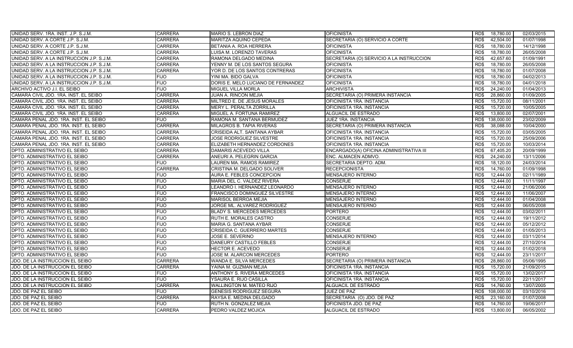| UNIDAD SERV. 1RA. INST. J.P. S.J.M.       | <b>CARRERA</b> | MARIO S. LEBRON DIAZ               | <b>OFICINISTA</b>                        | RD\$ | 18,780.00  | 02/03/2015 |
|-------------------------------------------|----------------|------------------------------------|------------------------------------------|------|------------|------------|
| UNIDAD SERV. A CORTE J.P. S.J.M.          | <b>CARRERA</b> | MARITZA AQUINO CEPEDA              | SECRETARIA (O) SERVICIO A CORTE          | RD\$ | 42,504.00  | 01/07/1998 |
| UNIDAD SERV. A CORTE J.P. S.J.M.          | <b>CARRERA</b> | BETANIA A. ROA HERRERA             | <b>OFICINISTA</b>                        | RD\$ | 18,780.00  | 14/12/1998 |
| UNIDAD SERV. A CORTE J.P. S.J.M.          | <b>CARRERA</b> | LUISA M. LORENZO TAVERAS           | <b>OFICINISTA</b>                        | RD\$ | 18,780.00  | 26/05/2008 |
| UNIDAD SERV. A LA INSTRUCCION J.P. S.J.M. | <b>CARRERA</b> | RAMONA DELGADO MEDINA              | SECRETARIA (O) SERVICIO A LA INSTRUCCION | RD\$ | 42,657.60  | 01/09/1991 |
| UNIDAD SERV. A LA INSTRUCCION J.P. S.J.M. | <b>CARRERA</b> | YENNY M. DE LOS SANTOS SEGURA      | <b>OFICINISTA</b>                        | RD\$ | 18,780.00  | 26/05/2008 |
| UNIDAD SERV. A LA INSTRUCCION J.P. S.J.M. | <b>CARRERA</b> | YOR D. DE LOS SANTOS CONTRERAS     | <b>OFICINISTA</b>                        | RD\$ | 18,780.00  | 01/07/2008 |
| UNIDAD SERV. A LA INSTRUCCION J.P. S.J.M  | <b>FIJO</b>    | YINI MA. BIDO GALVA                | <b>OFICINISTA</b>                        | RD\$ | 18,780.00  | 04/02/2013 |
| UNIDAD SERV. A LA INSTRUCCION J.P. S.J.M. | <b>FIJO</b>    | DORIS E. MELO LUCIANO DE FERNANDEZ | <b>OFICINISTA</b>                        | RD\$ | 18.780.00  | 04/01/2018 |
| ARCHIVO ACTIVO J.I. EL SEIBO              | <b>FIJO</b>    | <b>MIGUEL VILLA MORLA</b>          | <b>ARCHIVISTA</b>                        | RD\$ | 24,240.00  | 01/04/2013 |
| CAMARA CIVIL JDO. 1RA. INST. EL SEIBO     | <b>CARRERA</b> | JUAN A. RINCON MEJIA               | SECRETARIA (O) PRIMERA INSTANCIA         | RD\$ | 28,860.00  | 01/09/2005 |
| CAMARA CIVIL JDO. 1RA. INST. EL SEIBO     | <b>CARRERA</b> | MILTRED E. DE JESUS MORALES        | OFICINISTA 1RA. INSTANCIA                | RD\$ | 15.720.00  | 08/11/2001 |
| CAMARA CIVIL JDO. 1RA. INST. EL SEIBO     | <b>CARRERA</b> | MERY L. PERALTA ZORRILLA           | OFICINISTA 1RA. INSTANCIA                | RD\$ | 15,720.00  | 10/05/2005 |
| CAMARA CIVIL JDO. 1RA. INST. EL SEIBO     | <b>CARRERA</b> | MIGUEL A. FORTUNA RAMIREZ          | <b>ALGUACIL DE ESTRADO</b>               | RD\$ | 13,800.00  | 02/07/2001 |
| CAMARA PENAL JDO. 1RA. INST. EL SEIBO     | <b>FIJO</b>    | RAMONA M. SANTANA BERMUDEZ         | JUEZ 1RA. INSTANCIA                      | RD\$ | 138,000.00 | 23/02/2009 |
| CAMARA PENAL JDO. 1RA. INST. EL SEIBO     | <b>CARRERA</b> | MILAGROS B. TAPIA RIVERAS          | SECRETARIA (O) PRIMERA INSTANCIA         | RD\$ | 38,088.00  | 10/04/2000 |
| CAMARA PENAL JDO. 1RA. INST. EL SEIBO     | <b>CARRERA</b> | CRISEIDA ALT. SANTANA AYBAR        | OFICINISTA 1RA. INSTANCIA                | RD\$ | 15,720.00  | 03/05/2005 |
| CAMARA PENAL JDO. 1RA. INST. EL SEIBO     | <b>CARRERA</b> | <b>JOSE RODRIGUEZ SILVESTRE</b>    | OFICINISTA 1RA. INSTANCIA                | RD\$ | 15,720.00  | 25/09/2006 |
| CAMARA PENAL JDO. 1RA. INST. EL SEIBO     | <b>CARRERA</b> | ELIZABETH HERNANDEZ CORDONES       | OFICINISTA 1RA. INSTANCIA                | RD\$ | 15,720.00  | 10/03/2014 |
| DPTO. ADMINISTRATIVO EL SEIBO             | <b>CARRERA</b> | DAMARIS ACEVEDO VILLA              | ENCARGADO(A) OFICINA ADMINISTRATIVA III  | RD\$ | 67,405.20  | 20/09/1999 |
| DPTO. ADMINISTRATIVO EL SEIBO             | <b>CARRERA</b> | ANEURI A. PELEGRIN GARCIA          | ENC. ALMACEN ADMVO.                      | RD\$ | 24,240.00  | 13/11/2006 |
| DPTO. ADMINISTRATIVO EL SEIBO             | <b>FIJO</b>    | LAUREN MA. RAMOS RAMIREZ           | SECRETARIA DEPTO. ADM.                   | RD\$ | 18,120.00  | 24/03/2014 |
| DPTO. ADMINISTRATIVO EL SEIBO             | <b>CARRERA</b> | CRISTINA M. DELGADO SOLIVER        | <b>RECEPCIONISTA</b>                     | RD\$ | 14,760.00  | 01/09/1998 |
| DPTO. ADMINISTRATIVO EL SEIBO             | <b>FIJO</b>    | AURA E. FEBLES CONCEPCION          | MENSAJERO INTERNO                        | RD\$ | 12.444.00  | 02/11/1989 |
| DPTO. ADMINISTRATIVO EL SEIBO             | <b>FIJO</b>    | MARIA DEL C. VALDEZ RIVERA         | <b>CONSERJE</b>                          | RD\$ | 12,444.00  | 11/11/1997 |
| DPTO. ADMINISTRATIVO EL SEIBO             | <b>FIJO</b>    | LEANDRO I. HERNANDEZ LEONARDO      | MENSAJERO INTERNO                        | RD\$ | 12.444.00  | 21/06/2006 |
| DPTO. ADMINISTRATIVO EL SEIBO             | <b>FIJO</b>    | FRANCISCO DOMINGUEZ SILVESTRE      | MENSAJERO INTERNO                        | RD\$ | 12.444.00  | 11/06/2007 |
| DPTO. ADMINISTRATIVO EL SEIBO             | <b>FIJO</b>    | MARISOL BERROA MEJIA               | MENSAJERO INTERNO                        | RD\$ | 12,444.00  | 01/04/2008 |
| DPTO. ADMINISTRATIVO EL SEIBO             | <b>FIJO</b>    | JORGE ML. ALVAREZ RODRIGUEZ        | MENSAJERO INTERNO                        | RD\$ | 12.444.00  | 06/05/2008 |
| DPTO. ADMINISTRATIVO EL SEIBO             | <b>FIJO</b>    | <b>BLADY S. MERCEDES MERCEDES</b>  | <b>PORTERO</b>                           | RD\$ | 12.444.00  | 03/02/2011 |
| DPTO. ADMINISTRATIVO EL SEIBO             | <b>FIJO</b>    | RUTH E. MORALES CASTRO             | CONSERJE                                 | RD\$ | 12,444.00  | 19/11/2012 |
| DPTO. ADMINISTRATIVO EL SEIBO             | <b>FIJO</b>    | MARIA G. SANTANA AYBAR             | <b>CONSERJE</b>                          | RD\$ | 12,444.00  | 05/12/2012 |
| DPTO. ADMINISTRATIVO EL SEIBO             | <b>FIJO</b>    | CRISEIDA C. GUERRERO MARTES        | <b>CONSERJE</b>                          | RD\$ | 12,444.00  | 01/05/2013 |
| DPTO. ADMINISTRATIVO EL SEIBO             | <b>FIJO</b>    | JOSE E. SEVERINO                   | MENSAJERO INTERNO                        | RD\$ | 12,444.00  | 03/11/2014 |
| DPTO. ADMINISTRATIVO EL SEIBO             | <b>FIJO</b>    | DANEURY CASTILLO FEBLES            | <b>CONSERJE</b>                          | RD\$ | 12.444.00  | 27/10/2014 |
| DPTO. ADMINISTRATIVO EL SEIBO             | <b>FIJO</b>    | HECTOR E. ACEVEDO                  | <b>CONSERJE</b>                          | RD\$ | 12,444.00  | 01/02/2018 |
| DPTO. ADMINISTRATIVO EL SEIBO             | <b>FIJO</b>    | JOSE M. ALARCON MERCEDES           | <b>PORTERO</b>                           | RD\$ | 12,444.00  | 23/11/2017 |
| JDO. DE LA INSTRUCCION EL SEIBO           | <b>CARRERA</b> | <b>WANDA E. SILVA MERCEDES</b>     | SECRETARIA (O) PRIMERA INSTANCIA         | RD\$ | 28.860.00  | 05/06/1995 |
| JDO. DE LA INSTRUCCION EL SEIBO           | <b>CARRERA</b> | YAINA M. GUZMAN MEJIA              | OFICINISTA 1RA. INSTANCIA                | RD\$ | 15.720.00  | 21/09/2015 |
| JDO. DE LA INSTRUCCION EL SEIBO           | FIJO           | ANTHONY S. RIVERA MERCEDES         | OFICINISTA 1RA. INSTANCIA                | RD\$ | 15,720.00  | 13/02/2017 |
| JDO. DE LA INSTRUCCION EL SEIBO           | <b>FIJO</b>    | YSAURA E. RIJO CASILLA             | OFICINISTA 1RA. INSTANCIA                | RD\$ | 15,720.00  | 22/11/2017 |
| JDO. DE LA INSTRUCCION EL SEIBO           | <b>CARRERA</b> | <b>WALLINGTON M. MATEO RIJO</b>    | ALGUACIL DE ESTRADO                      | RD\$ | 14,760.00  | 13/07/2005 |
| JDO. DE PAZ EL SEIBO                      | <b>FIJO</b>    | <b>GENESIS RODRIGUEZ SEGURA</b>    | JUEZ DE PAZ                              | RD\$ | 108,000.00 | 03/10/2016 |
| JDO. DE PAZ EL SEIBO                      | <b>CARRERA</b> | RAYSA E. MEDINA DELGADO            | SECRETARIA (O) JDO. DE PAZ               | RD\$ | 23,160.00  | 01/07/2008 |
| JDO. DE PAZ EL SEIBO                      | <b>FIJO</b>    | RUTH N. GONZALEZ MEJIA             | OFICINISTA JDO. DE PAZ                   | RD\$ | 14,760.00  | 19/06/2017 |
| JDO. DE PAZ EL SEIBO                      | <b>CARRERA</b> | PEDRO VALDEZ MOJICA                | ALGUACIL DE ESTRADO                      | RD\$ | 13,800.00  | 06/05/2002 |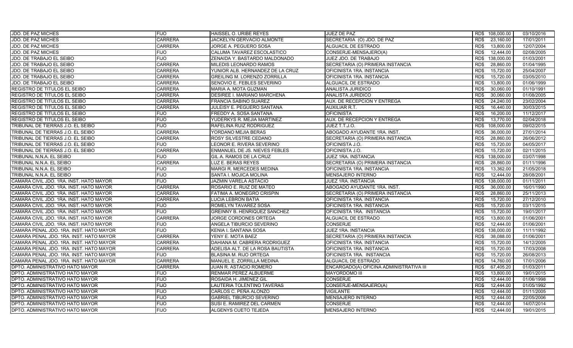| JDO. DE PAZ MICHES                      | <b>FIJO</b>    | HAISSEL O. URIBE REYES              | JUEZ DE PAZ                             | RD\$ 108,000.00    | 03/10/2016 |
|-----------------------------------------|----------------|-------------------------------------|-----------------------------------------|--------------------|------------|
| JDO. DE PAZ MICHES                      | <b>CARRERA</b> | JACKELYN GERVACIO ALMONTE           | SECRETARIA (O) JDO. DE PAZ              | RD\$<br>23,160.00  | 17/01/2011 |
| JDO. DE PAZ MICHES                      | <b>CARRERA</b> | JORGE A. PEGUERO SOSA               | ALGUACIL DE ESTRADO                     | RD\$<br>13,800.00  | 12/07/2004 |
| JDO. DE PAZ MICHES                      | <b>FIJO</b>    | CALUMA TAVAREZ ESCOLASTICO          | CONSERJE-MENSAJERO(A)                   | RD\$<br>12,444.00  | 02/08/2005 |
| JDO. DE TRABAJO EL SEIBO                | <b>FIJO</b>    | ZENAIDA Y. BASTARDO MALDONADO       | JUEZ JDO. DE TRABAJO                    | 138,000.00<br>RD\$ | 01/03/2001 |
| JDO. DE TRABAJO EL SEIBO                | <b>CARRERA</b> | MILEDIS LEONARDO RAMOS              | SECRETARIA (O) PRIMERA INSTANCIA        | RD\$<br>28,860.00  | 01/04/1995 |
| JDO. DE TRABAJO EL SEIBO                | <b>CARRERA</b> | YUNIOR ALB. HERNANDEZ DE LA CRUZ    | OFICINISTA 1RA. INSTANCIA               | RD\$<br>15,720.00  | 25/04/2007 |
| JDO. DE TRABAJO EL SEIBO                | <b>CARRERA</b> | <b>GREILING M. LORENZO ZORRILLA</b> | OFICINISTA 1RA. INSTANCIA               | 15,720.00<br>RD\$  | 03/05/2010 |
| JDO. DE TRABAJO EL SEIBO                | <b>CARRERA</b> | SENOVIO E. FEBLES SEVERINO          | ALGUACIL DE ESTRADO                     | 13.800.00<br>RD\$  | 01/06/1999 |
| REGISTRO DE TITULOS EL SEIBO            | <b>CARRERA</b> | <b>MARIA A. MOTA GUZMAN</b>         | ANALISTA JURIDICO                       | RD\$<br>30,060.00  | 01/10/1991 |
| REGISTRO DE TITULOS EL SEIBO            | <b>CARRERA</b> | DESIREE I. MARIANO MARCHENA         | ANALISTA JURIDICO                       | RD\$<br>30,060.00  | 01/08/2005 |
| <b>REGISTRO DE TITULOS EL SEIBO</b>     | <b>CARRERA</b> | <b>FRANCIA SABINO SUAREZ</b>        | AUX. DE RECEPCION Y ENTREGA             | RD\$<br>24,240.00  | 23/02/2004 |
| REGISTRO DE TITULOS EL SEIBO            | <b>CARRERA</b> | JULEISY E. PEGUERO SANTANA          | <b>AUXILIAR R.T.</b>                    | RD\$<br>16,440.00  | 30/03/2015 |
| REGISTRO DE TITULOS EL SEIBO            | <b>FIJO</b>    | FREDDY A. SOSA SANTANA              | <b>OFICINISTA</b>                       | RD\$<br>16,200.00  | 11/12/2017 |
| REGISTRO DE TITULOS EL SEIBO            | <b>FIJO</b>    | YUDERKYS R. MEJIA MARTINEZ          | AUX. DE RECEPCION Y ENTREGA             | RD\$<br>13,770.00  | 02/04/2018 |
| TRIBUNAL DE TIERRAS J.O. EL SEIBO       | <b>FIJO</b>    | RAFELINA RUIZ RODRIGUEZ             | JUEZ T.T.J.O.                           | 108,000.00<br>RD\$ | 09/02/2015 |
| TRIBUNAL DE TIERRAS J.O. EL SEIBO       | <b>CARRERA</b> | YORDANO MEJIA BERAS                 | ABOGADO AYUDANTE 1RA. INST              | 36.000.00<br>RD\$  | 27/01/2014 |
| TRIBUNAL DE TIERRAS J.O. EL SEIBO       | <b>CARRERA</b> | ROSY SILVESTRE CEDANO               | SECRETARIA (O) PRIMERA INSTANCIA        | RD\$<br>28,860.00  | 26/06/2012 |
| TRIBUNAL DE TIERRAS J.O. EL SEIBO       | <b>FIJO</b>    | LEONOR E. RIVERA SEVERINO           | OFICINISTA J.O.                         | RD\$<br>15,720.00  | 04/05/2017 |
| TRIBUNAL DE TIERRAS J.O. EL SEIBO       | <b>CARRERA</b> | ENMANUEL DE JS. NIEVES FEBLES       | OFICINISTA J.O.                         | 15,720.00<br>RD\$  | 02/11/2015 |
| TRIBUNAL N.N.A. EL SEIBO                | <b>FIJO</b>    | GIL A. RAMOS DE LA CRUZ             | JUEZ 1RA. INSTANCIA                     | 138,000.00<br>RD\$ | 03/07/1998 |
| TRIBUNAL N.N.A. EL SEIBO                | <b>CARRERA</b> | LUZ E. BERAS REYES                  | SECRETARIA (O) PRIMERA INSTANCIA        | 28.860.00<br>RD\$  | 01/11/1996 |
| TRIBUNAL N.N.A. EL SEIBO                | <b>FIJO</b>    | MARGI R. MERCEDES MEDINA            | OFICINISTA 1RA. INSTANCIA               | RD\$<br>13,362.00  | 21/05/2018 |
| FRIBUNAL N.N.A. EL SEIBO                | <b>FIJO</b>    | SANTA I. MOJICA MOLINA              | <b>MENSAJERO INTERNO</b>                | 12,444.00<br>RD\$  | 28/08/2001 |
| CAMARA CIVIL JDO. 1RA. INST. HATO MAYOR | <b>FIJO</b>    | JAZMIN VARELA ASTACIO               | JUEZ 1RA. INSTANCIA                     | RD\$<br>138,000.00 | 01/11/2011 |
| CAMARA CIVIL JDO. 1RA. INST. HATO MAYOR | <b>CARRERA</b> | ROSARIO E. RUIZ DE MATEO            | ABOGADO AYUDANTE 1RA. INST.             | RD\$<br>36,000.00  | 16/01/1990 |
| CAMARA CIVIL JDO. 1RA. INST. HATO MAYOR | <b>CARRERA</b> | FATIMA A. MONEGRO CRISPIN           | SECRETARIA (O) PRIMERA INSTANCIA        | RD\$<br>28,860.00  | 25/11/2013 |
| CAMARA CIVIL JDO. 1RA. INST. HATO MAYOR | <b>CARRERA</b> | <b>LUCIA LEBRON BATIA</b>           | OFICINISTA 1RA. INSTANCIA               | RD\$<br>15,720.00  | 27/12/2010 |
| CAMARA CIVIL JDO. 1RA. INST. HATO MAYOR | <b>FIJO</b>    | ROMELYN TAVAREZ SOSA                | OFICINISTA 1RA. INSTANCIA               | 15.720.00<br>RD\$  | 03/11/2015 |
| CAMARA CIVIL JDO, 1RA, INST, HATO MAYOR | <b>FIJO</b>    | <b>GREINNY B. HENRIQUEZ SANCHEZ</b> | OFICINISTA 1RA. INSTANCIA               | RD\$<br>15.720.00  | 19/01/2017 |
| CAMARA CIVIL JDO. 1RA. INST. HATO MAYOR | <b>CARRERA</b> | JORGE CORDONES ORTEGA               | ALGUACIL DE ESTRADO                     | RD\$<br>13,800.00  | 01/06/2001 |
| CAMARA CIVIL JDO. 1RA. INST. HATO MAYOR | <b>FIJO</b>    | <b>ANGELA TIBURCIO SEVERINO</b>     | <b>CONSERJE</b>                         | RD\$<br>12,444.00  | 01/06/2001 |
| CAMARA PENAL JDO. 1RA. INST. HATO MAYOR | <b>FIJO</b>    | KENIA I. SANTANA SOSA               | JUEZ 1RA. INSTANCIA                     | RD\$<br>138,000.00 | 11/11/1992 |
| CAMARA PENAL JDO. 1RA. INST. HATO MAYOR | <b>CARRERA</b> | YENY E. MOTA BAEZ                   | SECRETARIA (O) PRIMERA INSTANCIA        | RD\$<br>38,088.00  | 01/06/2001 |
| CAMARA PENAL JDO. 1RA. INST. HATO MAYOR | <b>CARRERA</b> | DAHIANA M. CABRERA RODRIGUEZ        | OFICINISTA 1RA. INSTANCIA               | RD\$<br>15,720.00  | 14/12/2005 |
| CAMARA PENAL JDO. 1RA. INST. HATO MAYOR | <b>CARRERA</b> | ADELISA ALT. DE LA ROSA BAUTISTA    | OFICINISTA 1RA. INSTANCIA               | RD\$<br>15,720.00  | 17/03/2008 |
| CAMARA PENAL JDO. 1RA. INST. HATO MAYOR | <b>FIJO</b>    | BLASINA M. RIJO ORTEGA              | OFICINISTA 1RA. INSTANCIA               | 15,720.00<br>RD\$  | 26/08/2013 |
| CAMARA PENAL JDO. 1RA. INST. HATO MAYOR | <b>CARRERA</b> | MANUEL E. ZORRILLA MEDINA           | ALGUACIL DE ESTRADO                     | RD\$<br>14,760.00  | 17/01/2006 |
| DPTO. ADMINISTRATIVO HATO MAYOR         | <b>CARRERA</b> | JUAN R. ASTACIO ROMERO              | ENCARGADO(A) OFICINA ADMINISTRATIVA III | RD\$<br>67,405.20  | 01/03/2011 |
| DPTO. ADMINISTRATIVO HATO MAYOR         | <b>FIJO</b>    | RENMAR PEREZ ALBUERME               | <b>MAYORDOMO III</b>                    | 13.800.00<br>RD\$  | 19/01/2015 |
| DPTO. ADMINISTRATIVO HATO MAYOR         | <b>FIJO</b>    | ROSAIDA H. JIMENEZ GIL              | <b>CONSERJE</b>                         | RD\$<br>12,444.00  | 01/06/1998 |
| DPTO. ADMINISTRATIVO HATO MAYOR         | <b>FIJO</b>    | LAUTERIA TOLENTINO TAVERAS          | CONSERJE-MENSAJERO(A)                   | 12.444.00<br>RD\$  | 01/05/1992 |
| DPTO. ADMINISTRATIVO HATO MAYOR         | <b>FIJO</b>    | CARLOS C. PEÑA ALONZO               | <b>VIGILANTE</b>                        | RD\$<br>12,444.00  | 01/11/2005 |
| DPTO. ADMINISTRATIVO HATO MAYOR         | <b>FIJO</b>    | <b>GABRIEL TIBURCIO SEVERINO</b>    | <b>MENSAJERO INTERNO</b>                | RD\$<br>12.444.00  | 22/05/2006 |
| DPTO. ADMINISTRATIVO HATO MAYOR         | <b>FIJO</b>    | SUSI E. RAMIREZ DEL CARMEN          | <b>CONSERJE</b>                         | RD\$<br>12,444.00  | 14/07/2014 |
| DPTO. ADMINISTRATIVO HATO MAYOR         | <b>FIJO</b>    | ALGENYS CUETO TEJEDA                | MENSAJERO INTERNO                       | RD\$<br>12,444.00  | 19/01/2015 |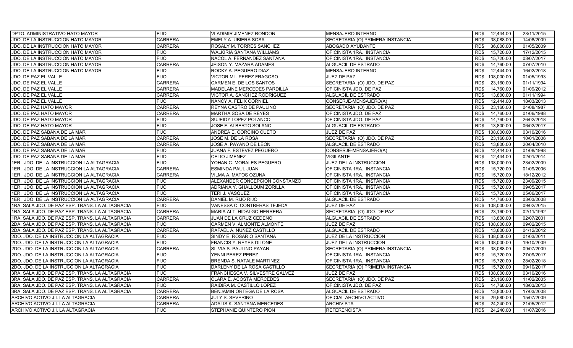| <b>DPTO. ADMINISTRATIVO HATO MAYOR</b>          | <b>FIJO</b>    | <b>VLADIMIR JIMENEZ RONDON</b>   | MENSAJERO INTERNO                | RD\$<br>12,444.00  | 23/11/2015 |
|-------------------------------------------------|----------------|----------------------------------|----------------------------------|--------------------|------------|
| JDO. DE LA INSTRUCCION HATO MAYOR               | <b>CARRERA</b> | EMELY A. UBIERA SOSA             | SECRETARIA (O) PRIMERA INSTANCIA | RD\$<br>38,088.00  | 14/08/2009 |
| JDO. DE LA INSTRUCCION HATO MAYOR               | <b>CARRERA</b> | ROSALY M. TORRES SANCHEZ         | ABOGADO AYUDANTE                 | RD\$<br>36,000.00  | 01/05/2009 |
| JDO. DE LA INSTRUCCION HATO MAYOR               | <b>FIJO</b>    | <b>WALKIRIA SANTANA WILLIAMS</b> | OFICINISTA 1RA. INSTANCIA        | 15,720.00<br>RD\$  | 17/12/2015 |
| JDO. DE LA INSTRUCCION HATO MAYOR               | <b>FIJO</b>    | NACOL A. FERNANDEZ SANTANA       | OFICINISTA 1RA. INSTANCIA        | RD\$<br>15,720.00  | 03/07/2017 |
| JDO. DE LA INSTRUCCION HATO MAYOR               | <b>CARRERA</b> | JEISON Y. MAZARA ADAMES          | ALGUACIL DE ESTRADO              | RD\$<br>14,760.00  | 07/07/2010 |
| JDO. DE LA INSTRUCCION HATO MAYOR               | <b>FIJO</b>    | ROCKY A. PEGUERO DIAZ            | <b>MENSAJERO INTERNO</b>         | 12,444.00<br>RD\$  | 16/02/2018 |
| JDO. DE PAZ EL VALLE                            | <b>FIJO</b>    | VICTOR ML. PEREZ FRAGOSO         | JUEZ DE PAZ                      | RD\$<br>108,000.00 | 01/05/1993 |
| JDO. DE PAZ EL VALLE                            | <b>CARRERA</b> | CARMEN E. DE LOS SANTOS          | SECRETARIA (O) JDO. DE PAZ       | 23,160.00<br>RD\$  | 01/11/1994 |
| JDO. DE PAZ EL VALLE                            | <b>CARRERA</b> | MADELAINE MERCEDES PARDILLA      | OFICINISTA JDO. DE PAZ           | RD\$<br>14,760.00  | 01/09/2012 |
| JDO. DE PAZ EL VALLE                            | <b>CARRERA</b> | VICTOR A. SANCHEZ RODRIGUEZ      | ALGUACIL DE ESTRADO              | 13,800.00<br>RD\$  | 01/11/1994 |
| JDO. DE PAZ EL VALLE                            | <b>FIJO</b>    | NANCY A. FELIX CORNIEL           | CONSERJE-MENSAJERO(A)            | 12,444.00<br>RD\$  | 18/03/2013 |
| JDO. DE PAZ HATO MAYOR                          | <b>CARRERA</b> | REYNA CASTRO DE PAULINO          | SECRETARIA (O) JDO. DE PAZ       | RD\$<br>23,160.00  | 04/08/1987 |
| JDO. DE PAZ HATO MAYOR                          | <b>CARRERA</b> | MARTHA SOSA DE REYES             | OFICINISTA JDO. DE PAZ           | 14,760.00<br>RD\$  | 01/06/1988 |
| JDO. DE PAZ HATO MAYOR                          | <b>FIJO</b>    | SUJEIDY LOPEZ POLANCO            | OFICINISTA JDO. DE PAZ           | 14,760.00<br>RD\$  | 26/02/2018 |
| <b>JDO. DE PAZ HATO MAYOR</b>                   | <b>FIJO</b>    | JOSE F. ALBERTO SOLANO           | ALGUACIL DE ESTRADO              | 13,800.00<br>RD\$  | 06/02/2017 |
| JDO. DE PAZ SABANA DE LA MAR                    | <b>FIJO</b>    | ANDREA E. CORCINO CUETO          | JUEZ DE PAZ                      | RD\$<br>108,000.00 | 03/10/2016 |
| JDO. DE PAZ SABANA DE LA MAR                    | <b>CARRERA</b> | JOSE M. DE LA ROSA               | SECRETARIA (O) JDO. DE PAZ       | 23,160.00<br>RD\$  | 10/01/2006 |
| JDO. DE PAZ SABANA DE LA MAR                    | <b>CARRERA</b> | JOSE A. PAYANO DE LEON           | ALGUACIL DE ESTRADO              | RD\$<br>13,800.00  | 20/04/2010 |
| JDO. DE PAZ SABANA DE LA MAR                    | <b>FIJO</b>    | JUANA F. ESTEVEZ PEGUERO         | CONSERJE-MENSAJERO(A)            | RD\$<br>12.444.00  | 01/08/1998 |
| JDO. DE PAZ SABANA DE LA MAR                    | <b>FIJO</b>    | <b>CELIO JIMENEZ</b>             | <b>VIGILANTE</b>                 | RD\$<br>12,444.00  | 02/01/2014 |
| 1ER. JDO. DE LA INSTRUCCION LA ALTAGRACIA       | <b>FIJO</b>    | YOHAN C. MORALES PEGUERO         | JUEZ DE LA INSTRUCCION           | RD\$<br>138,000.00 | 23/02/2009 |
| 1ER. JDO. DE LA INSTRUCCION LA ALTAGRACIA       | <b>CARRERA</b> | ESMINDA PAUL JUAN                | OFICINISTA 1RA. INSTANCIA        | RD\$<br>15,720.00  | 01/09/2006 |
| 1ER. JDO. DE LA INSTRUCCION LA ALTAGRACIA       | <b>CARRERA</b> | VILMA A. MATOS OZUNA             | OFICINISTA 1RA. INSTANCIA        | 15,720.00<br>RD\$  | 18/12/2012 |
| 1ER. JDO. DE LA INSTRUCCION LA ALTAGRACIA       | <b>FIJO</b>    | ALEXANDER CONCEPCION CONSTANZO   | OFICINISTA 1RA. INSTANCIA        | RD\$<br>15.720.00  | 23/09/2015 |
| 1ER. JDO. DE LA INSTRUCCION LA ALTAGRACIA       | <b>FIJO</b>    | ADRIANA Y. GHALLOUM ZORILLA      | OFICINISTA 1RA. INSTANCIA        | RD\$<br>15,720.00  | 09/05/2017 |
| 1ER. JDO. DE LA INSTRUCCION LA ALTAGRACIA       | <b>FIJO</b>    | TERI J. VASQUEZ                  | OFICINISTA 1RA. INSTANCIA        | 15,720.00<br>RD\$  | 05/06/2017 |
| 1ER. JDO. DE LA INSTRUCCION LA ALTAGRACIA       | <b>CARRERA</b> | DANIEL M. RIJO RIJO              | ALGUACIL DE ESTRADO              | 14,760.00<br>RD\$  | 03/03/2008 |
| 1RA. SALA JDO. DE PAZ ESP. TRANS. LA ALTAGRACIA | <b>FIJO</b>    | VANESSA C. CONTRERAS TEJEDA      | JUEZ DE PAZ                      | 108,000.00<br>RD\$ | 09/02/2015 |
| 1RA. SALA JDO. DE PAZ ESP. TRANS. LA ALTAGRACIA | <b>CARRERA</b> | MARIA ALT. HIDALGO HERRERA       | SECRETARIA (O) JDO. DE PAZ       | 23,160.00<br>RD\$  | 02/11/1992 |
| 1RA. SALA JDO. DE PAZ ESP. TRANS. LA ALTAGRACIA | <b>CARRERA</b> | JUAN DE LA CRUZ CEDEÑO           | ALGUACIL DE ESTRADO              | RD\$<br>13,800.00  | 02/07/2001 |
| 2DA. SALA JDO. DE PAZ ESP. TRANS. LA ALTAGRACIA | <b>FIJO</b>    | CARMEN V. ALMONTE ALMONTE        | JUEZ DE PAZ                      | 108,000.00<br>RD\$ | 09/02/2015 |
| 2DA. SALA JDO. DE PAZ ESP. TRANS. LA ALTAGRACIA | <b>CARRERA</b> | RAFAEL A. NUÑEZ CASTILLO         | ALGUACIL DE ESTRADO              | RD\$<br>13,800.00  | 04/12/2012 |
| 2DO. JDO. DE LA INSTRUCCION LA ALTAGRACIA       | <b>FIJO</b>    | SINDY E. ROSARIO SANTANA         | JUEZ DE LA INSTRUCCION           | RD\$<br>138,000.00 | 01/03/2011 |
| 2DO. JDO. DE LA INSTRUCCION LA ALTAGRACIA       | <b>FIJO</b>    | <b>FRANCIS Y. REYES DILONE</b>   | JUEZ DE LA INSTRUCCION           | 138,000.00<br>RD\$ | 19/10/2009 |
| 2DO. JDO. DE LA INSTRUCCION LA ALTAGRACIA       | <b>CARRERA</b> | SILVIA S. PAULINO PAYAN          | SECRETARIA (O) PRIMERA INSTANCIA | RD\$<br>38,088.00  | 09/07/2009 |
| 2DO. JDO. DE LA INSTRUCCION LA ALTAGRACIA       | <b>FIJO</b>    | YENNI PEREZ PEREZ                | OFICINISTA 1RA. INSTANCIA        | 15,720.00<br>RD\$  | 27/09/2017 |
| 2DO. JDO. DE LA INSTRUCCION LA ALTAGRACIA       | <b>FIJO</b>    | BRENDA S. NATALE MARTINEZ        | OFICINISTA 1RA. INSTANCIA        | RD\$<br>15,720.00  | 28/02/2018 |
| 2DO. JDO. DE LA INSTRUCCION LA ALTAGRACIA       | <b>FIJO</b>    | DARLENY DE LA ROSA CASTILLO      | SECRETARIA (O) PRIMERA INSTANCIA | 15,720.00<br>RD\$  | 09/10/2017 |
| 3RA. SALA JDO. DE PAZ ESP. TRANS. LA ALTAGRACIA | <b>FIJO</b>    | FRANCHESCA V. SILVESTRE GALVEZ   | JUEZ DE PAZ                      | RD\$<br>108.000.00 | 03/10/2016 |
| 3RA. SALA JDO. DE PAZ ESP. TRANS. LA ALTAGRACIA | <b>CARRERA</b> | CLARA E. ACOSTA MERCEDES         | SECRETARIA (O) JDO. DE PAZ       | 23,160.00<br>RD\$  | 11/02/2005 |
| 3RA. SALA JDO. DE PAZ ESP. TRANS. LA ALTAGRACIA | <b>FIJO</b>    | RAIDIRA M. CASTILLO LOPEZ        | OFICINISTA JDO. DE PAZ           | RD\$<br>14,760.00  | 18/03/2013 |
| 3RA. SALA JDO. DE PAZ ESP. TRANS. LA ALTAGRACIA | <b>CARRERA</b> | BENJAMIN ORTEGA DE LA ROSA       | ALGUACIL DE ESTRADO              | RD\$<br>13,800.00  | 17/03/2008 |
| ARCHIVO ACTIVO J.I. LA ALTAGRACIA               | <b>CARRERA</b> | JULY S. SEVERINO                 | OFICIAL ARCHIVO ACTIVO           | RD\$<br>29,580.00  | 15/07/2009 |
| ARCHIVO ACTIVO J.I. LA ALTAGRACIA               | <b>CARRERA</b> | ADALIS K. SANTANA MERCEDES       | <b>ARCHIVISTA</b>                | 24,240.00<br>RD\$  | 21/05/2012 |
| ARCHIVO ACTIVO J.I. LA ALTAGRACIA               | <b>FIJO</b>    | STEPHANIE QUINTERO PION          | <b>REFERENCISTA</b>              | RD\$<br>24.240.00  | 11/07/2016 |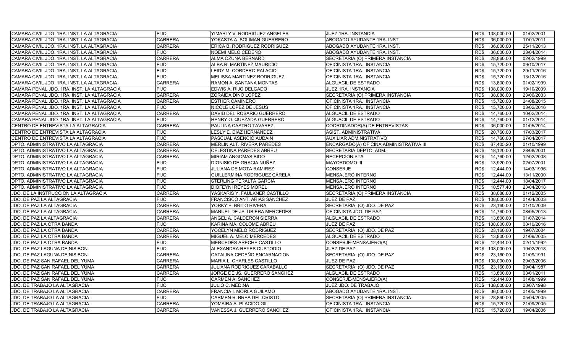| CAMARA CIVIL JDO. 1RA. INST. LA ALTAGRACIA | <b>FIJO</b>    | YIMARLY V. RODRIGUEZ ANGELES   | <b>JUEZ 1RA. INSTANCIA</b>              | RD\$ 138,000.00    | 01/02/2001 |
|--------------------------------------------|----------------|--------------------------------|-----------------------------------------|--------------------|------------|
| CAMARA CIVIL JDO. 1RA. INST. LA ALTAGRACIA | <b>CARRERA</b> | YOKASTA A. SOLIMAN GUERRERO    | ABOGADO AYUDANTE 1RA. INST.             | RD\$<br>36,000.00  | 17/01/2011 |
| CAMARA CIVIL JDO. 1RA. INST. LA ALTAGRACIA | <b>CARRERA</b> | ERICA B. RODRIGUEZ RODRIGUEZ   | ABOGADO AYUDANTE 1RA. INST.             | 36,000.00<br>RD\$  | 25/11/2013 |
| CAMARA CIVIL JDO. 1RA. INST. LA ALTAGRACIA | <b>FIJO</b>    | NOEMI MELO CEDEÑO              | ABOGADO AYUDANTE 1RA. INST.             | RD\$<br>36,000.00  | 23/04/2014 |
| CAMARA CIVIL JDO. 1RA. INST. LA ALTAGRACIA | <b>CARRERA</b> | ALMA OZUNA BERNARD             | SECRETARIA (O) PRIMERA INSTANCIA        | 28,860.00<br>RD\$  | 02/02/1999 |
| CAMARA CIVIL JDO. 1RA. INST. LA ALTAGRACIA | <b>FIJO</b>    | ALBA R. MARTINEZ MAURICIO      | OFICINISTA 1RA. INSTANCIA               | 15,720.00<br>RD\$  | 09/10/2017 |
| CAMARA CIVIL JDO. 1RA. INST. LA ALTAGRACIA | <b>FIJO</b>    | LEIDY M. CORDERO PALACIO       | OFICINISTA 1RA. INSTANCIA               | RD\$<br>15,720.00  | 29/11/2016 |
| CAMARA CIVIL JDO. 1RA. INST. LA ALTAGRACIA | <b>FIJO</b>    | MELISSA MARTINEZ RODRIGUEZ     | OFICINISTA 1RA. INSTANCIA               | 15,720.00<br>RD\$  | 13/12/2016 |
| CAMARA CIVIL JDO. 1RA. INST. LA ALTAGRACIA | <b>CARRERA</b> | RAMON A. SANTANA MONTAS        | ALGUACIL DE ESTRADO                     | 13,800.00<br>RD\$  | 01/02/1999 |
| CAMARA PENAL JDO. 1RA. INST. LA ALTAGRACIA | <b>FIJO</b>    | EDWIS A. RIJO DELGADO          | JUEZ 1RA. INSTANCIA                     | RD\$<br>138,000.00 | 19/10/2009 |
| CAMARA PENAL JDO. 1RA. INST. LA ALTAGRACIA | <b>CARRERA</b> | ZORAIDA DINO LOPEZ             | SECRETARIA (O) PRIMERA INSTANCIA        | RD\$<br>38,088.00  | 23/06/2003 |
| CAMARA PENAL JDO. 1RA. INST. LA ALTAGRACIA | <b>CARRERA</b> | <b>ESTHER CAMINERO</b>         | OFICINISTA 1RA. INSTANCIA               | RD\$<br>15,720.00  | 24/08/2015 |
| CAMARA PENAL JDO. 1RA. INST. LA ALTAGRACIA | <b>FIJO</b>    | NICOLE LOPEZ DE JESUS          | OFICINISTA 1RA. INSTANCIA               | RD\$<br>15,720.00  | 03/02/2016 |
| CAMARA PENAL JDO. 1RA. INST. LA ALTAGRACIA | <b>CARRERA</b> | DAVID DEL ROSARIO GUERRERO     | ALGUACIL DE ESTRADO                     | 14,760.00<br>RD\$  | 10/02/2014 |
| CAMARA PENAL JDO. 1RA. INST. LA ALTAGRACIA | <b>FIJO</b>    | HENRY O. QUEZADA GUERRERO      | <b>ALGUACIL DE ESTRADO</b>              | RD\$<br>14,760.00  | 01/12/2014 |
| CENTRO DE ENTREVISTA LA ALTAGRACIA         | <b>CARRERA</b> | PAULINA CASTRO TAVAREZ         | COORDINADOR(A) DE ENTREVISTAS           | 36,000.00<br>RD\$  | 01/05/2014 |
| CENTRO DE ENTREVISTA LA ALTAGRACIA         | <b>FIJO</b>    | <b>LESLY E. DIAZ HERNANDEZ</b> | ASIST. ADMINISTRATIVA                   | RD\$<br>20,760.00  | 17/03/2017 |
| CENTRO DE ENTREVISTA LA ALTAGRACIA         | <b>FIJO</b>    | PASCUAL ASENCIO AUDAIN         | AUXILIAR ADMINISTRATIVO                 | RD\$<br>14,760.00  | 07/04/2017 |
| DPTO. ADMINISTRATIVO LA ALTAGRACIA         | <b>CARRERA</b> | MERLIN ALT. RIVERA PAREDES     | ENCARGADO(A) OFICINA ADMINISTRATIVA III | RD\$<br>67,405.20  | 01/10/1999 |
| DPTO. ADMINISTRATIVO LA ALTAGRACIA         | <b>CARRERA</b> | CELESTINA PAREDES ABREU        | SECRETARIA DEPTO. ADM.                  | RD\$<br>18,120.00  | 28/08/2001 |
| DPTO. ADMINISTRATIVO LA ALTAGRACIA         | <b>CARRERA</b> | MIRIAM ANGOMAS BIDO            | <b>RECEPCIONISTA</b>                    | 14,760.00<br>RD\$  | 12/02/2008 |
| DPTO. ADMINISTRATIVO LA ALTAGRACIA         | <b>FIJO</b>    | DIONISIO DE GRACIA NUÑEZ       | <b>MAYORDOMO III</b>                    | 13,920.00<br>RD\$  | 02/07/2001 |
| DPTO. ADMINISTRATIVO LA ALTAGRACIA         | <b>FIJO</b>    | JULIANA DE MOTA RAMIREZ        | <b>CONSERJE</b>                         | RD\$<br>12,444.00  | 14/03/1996 |
| DPTO. ADMINISTRATIVO LA ALTAGRACIA         | <b>FIJO</b>    | GUILLERMINA RODRIGUEZ CARELA   | MENSAJERO INTERNO                       | 12,444.00<br>RD\$  | 13/11/2000 |
| DPTO. ADMINISTRATIVO LA ALTAGRACIA         | <b>FIJO</b>    | STERLING PERALTA GARCIA        | <b>MENSAJERO INTERNO</b>                | RD\$<br>12,444.00  | 18/04/2017 |
| DPTO. ADMINISTRATIVO LA ALTAGRACIA         | <b>FIJO</b>    | DIOFEYNI REYES MOREL           | MENSAJERO INTERNO                       | 10,577.40<br>RD\$  | 23/04/2018 |
| JDO. DE LA INSTRUCCION LA ALTAGRACIA       | <b>CARRERA</b> | YASKARIS Y. FAULKNER CASTILLO  | SECRETARIA (O) PRIMERA INSTANCIA        | 38,088.00<br>RD\$  | 01/12/2005 |
| JDO. DE PAZ LA ALTAGRACIA                  | <b>FIJO</b>    | FRANCISCO ANT. ARIAS SANCHEZ   | JUEZ DE PAZ                             | RD\$<br>108,000.00 | 01/04/2003 |
| JDO. DE PAZ LA ALTAGRACIA                  | <b>CARRERA</b> | YORKY E. BRITO RIVERA          | SECRETARIA (O) JDO. DE PAZ              | 23,160.00<br>RD\$  | 01/10/2009 |
| JDO. DE PAZ LA ALTAGRACIA                  | <b>CARRERA</b> | MANUEL DE JS. UBIERA MERCEDES  | OFICINISTA JDO. DE PAZ                  | 14,760.00<br>RD\$  | 08/05/2013 |
| <b>JDO. DE PAZ LA ALTAGRACIA</b>           | <b>CARRERA</b> | ANGEL A. CALDERON SIERRA       | ALGUACIL DE ESTRADO                     | RD\$<br>13,800.00  | 01/07/2014 |
| JDO. DE PAZ LA OTRA BANDA                  | <b>FIJO</b>    | KARINA MA. COLOME ABREU        | JUEZ DE PAZ                             | RD\$<br>108,000.00 | 03/10/2016 |
| JDO. DE PAZ LA OTRA BANDA                  | <b>CARRERA</b> | YOCELYN MELO RODRIGUEZ         | SECRETARIA (O) JDO. DE PAZ              | RD\$<br>23,160.00  | 19/07/2004 |
| JDO. DE PAZ LA OTRA BANDA                  | <b>CARRERA</b> | MIGUEL A. MELO MERCEDES        | <b>ALGUACIL DE ESTRADO</b>              | RD\$<br>13,800.00  | 21/09/2005 |
| JDO. DE PAZ LA OTRA BANDA                  | <b>FIJO</b>    | MERCEDES ARECHE CASTILLO       | CONSERJE-MENSAJERO(A)                   | 12,444.00<br>RD\$  | 02/11/1992 |
| JDO. DE PAZ LAGUNA DE NISIBON              | <b>FIJO</b>    | ALEXANDRA REYES CUSTODIO       | <b>JUEZ DE PAZ</b>                      | RD\$<br>108,000.00 | 19/02/2018 |
| JDO. DE PAZ LAGUNA DE NISIBON              | <b>CARRERA</b> | CATALINA CEDEÑO ENCARNACION    | SECRETARIA (O) JDO. DE PAZ              | 23,160.00<br>RD\$  | 01/09/1991 |
| JDO. DE PAZ SAN RAFAEL DEL YUMA            | <b>CARRERA</b> | MARIA L. CHARLES CASTILLO      | JUEZ DE PAZ                             | RD\$<br>108,000.00 | 29/03/2006 |
| JDO. DE PAZ SAN RAFAEL DEL YUMA            | <b>CARRERA</b> | JULIANA RODRIGUEZ CARABALLO    | SECRETARIA (O) JDO. DE PAZ              | 23,160.00<br>RD\$  | 09/04/1987 |
| JDO. DE PAZ SAN RAFAEL DEL YUMA            | <b>CARRERA</b> | JORGE DE JS. GUERRERO SANCHEZ  | ALGUACIL DE ESTRADO                     | RD\$<br>13,800.00  | 03/01/2011 |
| JDO. DE PAZ SAN RAFAEL DEL YUMA            | <b>FIJO</b>    | CARMEN A. SANCHEZ              | CONSERJE-MENSAJERO(A)                   | 12,444.00<br>RD\$  | 01/08/1999 |
| JDO. DE TRABAJO LA ALTAGRACIA              | <b>FIJO</b>    | JULIO C. MEDINA                | JUEZ JDO. DE TRABAJO                    | 138,000.00<br>RD\$ | 03/07/1998 |
| JDO. DE TRABAJO LA ALTAGRACIA              | <b>CARRERA</b> | FRANCIA I. MORLA GUILAMO       | ABOGADO AYUDANTE 1RA. INST.             | RD\$<br>36,000.00  | 01/05/1999 |
| <b>JDO. DE TRABAJO LA ALTAGRACIA</b>       | <b>FIJO</b>    | CARMEN R. BREA DEL CRISTO      | SECRETARIA (O) PRIMERA INSTANCIA        | RD\$<br>28,860.00  | 05/04/2005 |
| JDO. DE TRABAJO LA ALTAGRACIA              | <b>CARRERA</b> | YOMAIRA A. PLACIDO GIL         | OFICINISTA 1RA. INSTANCIA               | 15,720.00<br>RD\$  | 21/09/2005 |
| JDO. DE TRABAJO LA ALTAGRACIA              | <b>CARRERA</b> | VANESSA J. GUERRERO SANCHEZ    | OFICINISTA 1RA. INSTANCIA               | RD\$<br>15,720.00  | 19/04/2006 |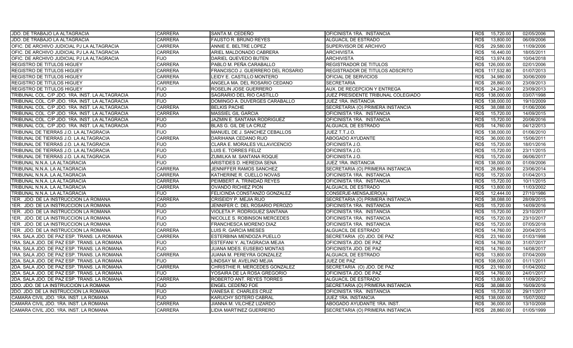| <b>JDO. DE TRABAJO LA ALTAGRACIA</b>            | <b>CARRERA</b> | SANTA M. CEDEÑO                   | OFICINISTA 1RA. INSTANCIA          | RD\$<br>15,720.00  | 02/05/2006 |
|-------------------------------------------------|----------------|-----------------------------------|------------------------------------|--------------------|------------|
| JDO. DE TRABAJO LA ALTAGRACIA                   | <b>CARRERA</b> | <b>FAUSTO R. BRUNO REYES</b>      | ALGUACIL DE ESTRADO                | RD\$<br>13,800.00  | 06/09/2006 |
| OFIC. DE ARCHIVO JUDICIAL PJ LA ALTAGRACIA      | <b>CARRERA</b> | ANNIE E. BELTRE LOPEZ             | SUPERVISOR DE ARCHIVO              | 29,580.00<br>RD\$  | 11/09/2006 |
| OFIC. DE ARCHIVO JUDICIAL PJ LA ALTAGRACIA      | <b>CARRERA</b> | ARIEL MALDONADO CABRERA           | <b>ARCHIVISTA</b>                  | RD\$<br>16,440.00  | 18/05/2011 |
| OFIC. DE ARCHIVO JUDICIAL PJ LA ALTAGRACIA      | <b>FIJO</b>    | DARIEL QUEVEDO BUTEN              | <b>ARCHIVISTA</b>                  | 13,974.00<br>RD\$  | 10/04/2018 |
| <b>REGISTRO DE TITULOS HIGUEY</b>               | <b>CARRERA</b> | PABLO M. PEÑA CARABALLO           | <b>REGISTRADOR DE TITULOS</b>      | 126,000.00<br>RD\$ | 02/01/2006 |
| <b>REGISTRO DE TITULOS HIGUEY</b>               | <b>CARRERA</b> | FRANCISCO J. GUERRERO DEL ROSARIO | REGISTRADOR DE TITULOS ADSCRITO    | 117,532.80<br>RD\$ | 01/07/2013 |
| <b>REGISTRO DE TITULOS HIGUEY</b>               | <b>CARRERA</b> | LEIDY E. CASTILLO MONTERO         | OFICIAL DE SERVICIOS               | 34,980.00<br>RD\$  | 30/06/2009 |
| <b>REGISTRO DE TITULOS HIGUEY</b>               | <b>CARRERA</b> | ANGELA MA. DEL ROSARIO CEDANO     | <b>SECRETARIA</b>                  | 28,860.00<br>RD\$  | 23/09/2013 |
| <b>REGISTRO DE TITULOS HIGUEY</b>               | <b>FIJO</b>    | ROSELIN JOSE GUERRERO             | AUX. DE RECEPCION Y ENTREGA        | RD\$<br>24,240.00  | 23/09/2013 |
| TRIBUNAL COL. C/P JDO. 1RA. INST. LA ALTAGRACIA | <b>FIJO</b>    | SAGRARIO DEL RIO CASTILLO         | JUEZ PRESIDENTE TRIBUNAL COLEGIADO | 138,000.00<br>RD\$ | 03/07/1998 |
| TRIBUNAL COL. C/P JDO. 1RA. INST. LA ALTAGRACIA | <b>FIJO</b>    | DOMINGO A. DUVERGES CARABALLO     | <b>JUEZ 1RA. INSTANCIA</b>         | RD\$<br>138,000.00 | 19/10/2009 |
| TRIBUNAL COL. C/P JDO. 1RA. INST. LA ALTAGRACIA | <b>CARRERA</b> | <b>BELKIS PACHE</b>               | SECRETARIA (O) PRIMERA INSTANCIA   | RD\$<br>38,088.00  | 01/06/2006 |
| TRIBUNAL COL. C/P JDO. 1RA. INST. LA ALTAGRACIA | <b>CARRERA</b> | <b>MASSIEL GIL GARCIA</b>         | OFICINISTA 1RA. INSTANCIA          | 15,720.00<br>RD\$  | 14/09/2015 |
| TRIBUNAL COL. C/P JDO. 1RA. INST. LA ALTAGRACIA | <b>FIJO</b>    | JAZMIN E. SANTANA RODRIGUEZ       | OFICINISTA 1RA. INSTANCIA          | RD\$<br>15,720.00  | 20/06/2016 |
| TRIBUNAL COL. C/P JDO. 1RA. INST. LA ALTAGRACIA | <b>FIJO</b>    | BLAS G. GIL DE LA CRUZ            | ALGUACIL DE ESTRADO                | RD\$<br>14,760.00  | 04/12/2013 |
| TRIBUNAL DE TIERRAS J.O. LA ALTAGRACIA          | <b>FIJO</b>    | MANUEL DE J. SANCHEZ CEBALLOS     | JUEZ T.T.J.O.                      | 138,000.00<br>RD\$ | 01/06/2010 |
| TRIBUNAL DE TIERRAS J.O. LA ALTAGRACIA          | <b>CARRERA</b> | DARIHANA CEDANO RIJO              | <b>ABOGADO AYUDANTE</b>            | RD\$<br>36.000.00  | 15/06/2011 |
| TRIBUNAL DE TIERRAS J.O. LA ALTAGRACIA          | <b>FIJO</b>    | CLARA E. MORALES VILLAVICENCIO    | OFICINISTA J.O.                    | RD\$<br>15,720.00  | 18/01/2016 |
| TRIBUNAL DE TIERRAS J.O. LA ALTAGRACIA          | <b>FIJO</b>    | LUIS E. TORRES FELIZ              | OFICINISTA J.O.                    | 15.720.00<br>RD\$  | 23/11/2015 |
| TRIBUNAL DE TIERRAS J.O. LA ALTAGRACIA          | <b>FIJO</b>    | ZUMILKA M. SANTANA ROQUE          | OFICINISTA J.O.                    | RD\$<br>15,720.00  | 06/06/2017 |
| TRIBUNAL N.N.A. LA ALTAGRACIA                   | <b>FIJO</b>    | ARISTIDES D. HEREDIA SENA         | JUEZ 1RA. INSTANCIA                | 138,000.00<br>RD\$ | 01/09/2006 |
| TRIBUNAL N.N.A. LA ALTAGRACIA                   | <b>CARRERA</b> | JENNIFFER RAMOS SANCHEZ           | SECRETARIA (O) PRIMERA INSTANCIA   | RD\$<br>28,860.00  | 23/06/2014 |
| TRIBUNAL N.N.A. LA ALTAGRACIA                   | <b>CARRERA</b> | KATHERINE R. CUELLO NOVAS         | OFICINISTA 1RA. INSTANCIA          | 15,720.00<br>RD\$  | 01/04/2013 |
| TRIBUNAL N.N.A. LA ALTAGRACIA                   | <b>CARRERA</b> | PEIMBERT A. TRINIDAD REYES        | OFICINISTA 1RA. INSTANCIA          | RD\$<br>15.720.00  | 10/11/2015 |
| TRIBUNAL N.N.A. LA ALTAGRACIA                   | <b>CARRERA</b> | OVANDO RICHIEZ PION               | ALGUACIL DE ESTRADO                | 13,800.00<br>RD\$  | 11/03/2002 |
| TRIBUNAL N.N.A. LA ALTAGRACIA                   | <b>FIJO</b>    | FELICINDA CONSTANZO GONZALEZ      | CONSERJE-MENSAJERO(A)              | 12,444.00<br>RD\$  | 27/10/1986 |
| 1ER. JDO. DE LA INSTRUCCION LA ROMANA           | <b>CARRERA</b> | CRISEIDY P. MEJIA RIJO            | SECRETARIA (O) PRIMERA INSTANCIA   | RD\$<br>38,088.00  | 28/09/2015 |
| 1ER. JDO. DE LA INSTRUCCION LA ROMANA           | <b>FIJO</b>    | JENNIFER C. DEL ROSARIO PEROZO    | OFICINISTA 1RA. INSTANCIA          | 15,720.00<br>RD\$  | 14/09/2016 |
| 1ER. JDO. DE LA INSTRUCCION LA ROMANA           | <b>FIJO</b>    | VIOLETA P. RODRIGUEZ SANTANA      | OFICINISTA 1RA. INSTANCIA          | 15.720.00<br>RD\$  | 23/10/2017 |
| 1ER. JDO. DE LA INSTRUCCION LA ROMANA           | <b>FIJO</b>    | NICOLLE S. ROBINSON MERCEDES      | OFICINISTA 1RA. INSTANCIA          | RD\$<br>15,720.00  | 23/10/2017 |
| 1ER. JDO. DE LA INSTRUCCION LA ROMANA           | <b>FIJO</b>    | FRANCHESCA MORENO DIAZ            | OFICINISTA 1RA. INSTANCIA          | 15,720.00<br>RD\$  | 07/05/2018 |
| 1ER. JDO. DE LA INSTRUCCION LA ROMANA           | <b>CARRERA</b> | LUIS R. GARCIA MIESES             | ALGUACIL DE ESTRADO                | RD\$<br>14,760.00  | 20/04/2015 |
| 1RA. SALA JDO. DE PAZ ESP. TRANS. LA ROMANA     | <b>CARRERA</b> | ESTERBINA MENDOZA PUELLO          | SECRETARIA (O) JDO. DE PAZ         | RD\$<br>23,160.00  | 01/03/1998 |
| 1RA. SALA JDO. DE PAZ ESP. TRANS. LA ROMANA     | <b>FIJO</b>    | ESTEFANI Y. ALTAGRACIA MEJIA      | OFICINISTA JDO. DE PAZ             | 14,760.00<br>RD\$  | 31/07/2017 |
| 1RA. SALA JDO. DE PAZ ESP. TRANS. LA ROMANA     | <b>FIJO</b>    | JUANA MDES. EUSEBIO MONTAS        | OFICINISTA JDO. DE PAZ             | RD\$<br>14,760.00  | 14/08/2017 |
| 1RA. SALA JDO. DE PAZ ESP. TRANS. LA ROMANA     | <b>CARRERA</b> | JUANA M. PEREYRA GONZALEZ         | ALGUACIL DE ESTRADO                | RD\$<br>13,800.00  | 07/04/2009 |
| 2DA. SALA JDO. DE PAZ ESP. TRANS. LA ROMANA     | <b>FIJO</b>    | LINDSAY M. AVELINO MEJIA          | <b>JUEZ DE PAZ</b>                 | RD\$<br>108,000.00 | 01/11/2011 |
| 2DA. SALA JDO. DE PAZ ESP. TRANS. LA ROMANA     | <b>CARRERA</b> | CHRISTHIE R. MERCEDES GONZALEZ    | SECRETARIA (O) JDO. DE PAZ         | 23,160.00<br>RD\$  | 01/04/2002 |
| 2DA. SALA JDO. DE PAZ ESP. TRANS. LA ROMANA     | <b>FIJO</b>    | YOSAIRA DE LA ROSA GREGORIO       | OFICINISTA JDO. DE PAZ             | RD\$<br>14,760.00  | 24/01/2017 |
| 2DA. SALA JDO. DE PAZ ESP. TRANS. LA ROMANA     | <b>CARRERA</b> | ROBERTO ANT. REYES TORRES         | ALGUACIL DE ESTRADO                | RD\$<br>13,800.00  | 11/09/2012 |
| 2DO. JDO. DE LA INSTRUCCION LA ROMANA           | <b>FIJO</b>    | ENGEL CEDEÑO FOE                  | SECRETARIA (O) PRIMERA INSTANCIA   | RD\$<br>38,088.00  | 16/09/2016 |
| 2DO. JDO. DE LA INSTRUCCION LA ROMANA           | <b>FIJO</b>    | VANESA E. CHARLES CRUZ            | OFICINISTA 1RA. INSTANCIA          | RD\$<br>15,720.00  | 29/11/2017 |
| CAMARA CIVIL JDO. 1RA. INST. LA ROMANA          | <b>FIJO</b>    | KARUCHY SOTERO CABRAL             | JUEZ 1RA. INSTANCIA                | RD\$<br>138,000.00 | 15/07/2002 |
| CAMARA CIVIL JDO. 1RA. INST. LA ROMANA          | <b>CARRERA</b> | JIANNA M. VILCHEZ LIZARDO         | ABOGADO AYUDANTE 1RA. INST.        | 36,000.00<br>RD\$  | 13/10/2008 |
| CAMARA CIVIL JDO. 1RA. INST. LA ROMANA          | <b>CARRERA</b> | LIDIA MARTINEZ GUERRERO           | SECRETARIA (O) PRIMERA INSTANCIA   | RD\$<br>28.860.00  | 01/05/1999 |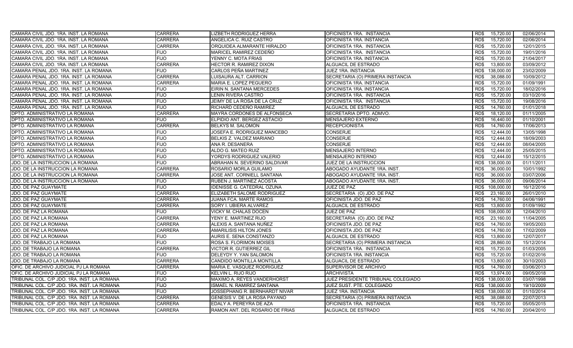| CAMARA CIVIL JDO. 1RA. INST. LA ROMANA      | <b>CARRERA</b> | <b>LIZBETH RODRIGUEZ HERRA</b>  | OFICINISTA 1RA. INSTANCIA          | 15,720.00<br>RD\$  | 02/06/2014 |
|---------------------------------------------|----------------|---------------------------------|------------------------------------|--------------------|------------|
| CAMARA CIVIL JDO. 1RA. INST. LA ROMANA      | <b>CARRERA</b> | ANGELICA C. RUIZ CASTRO         | OFICINISTA 1RA. INSTANCIA          | RD\$<br>15,720.00  | 02/06/2014 |
| CAMARA CIVIL JDO. 1RA. INST. LA ROMANA      | <b>CARRERA</b> | ORQUIDEA ALMARANTE HIRALDO      | OFICINISTA 1RA. INSTANCIA          | 15,720.00<br>RD\$  | 12/01/2015 |
| CAMARA CIVIL JDO. 1RA. INST. LA ROMANA      | <b>FIJO</b>    | MARICEL RAMIREZ CEDEÑO          | OFICINISTA 1RA. INSTANCIA          | RD\$<br>15,720.00  | 19/01/2016 |
| CAMARA CIVIL JDO. 1RA. INST. LA ROMANA      | <b>FIJO</b>    | YENNY C. MOTA FRIAS             | OFICINISTA 1RA. INSTANCIA          | 15,720.00<br>RD\$  | 21/04/2017 |
| CAMARA CIVIL JDO. 1RA. INST. LA ROMANA      | <b>CARRERA</b> | HECTOR R. RAMIREZ DIXON         | <b>ALGUACIL DE ESTRADO</b>         | 13,800.00<br>RD\$  | 03/09/2012 |
| CAMARA PENAL JDO. 1RA. INST. LA ROMANA      | <b>FIJO</b>    | CARLOS PEÑA MARTINEZ            | JUEZ 1RA. INSTANCIA                | RD\$<br>138,000.00 | 23/02/2009 |
| CAMARA PENAL JDO. 1RA. INST. LA ROMANA      | <b>CARRERA</b> | LUISAURA ALT. CARRION           | SECRETARIA (O) PRIMERA INSTANCIA   | 38,088.00<br>RD\$  | 10/09/2012 |
| CAMARA PENAL JDO. 1RA. INST. LA ROMANA      | <b>CARRERA</b> | MARIA E. LOPEZ PEGUERO          | OFICINISTA 1RA. INSTANCIA          | RD\$<br>15.720.00  | 01/09/1991 |
| CAMARA PENAL JDO. 1RA. INST. LA ROMANA      | <b>FIJO</b>    | EIRIN N. SANTANA MERCEDES       | OFICINISTA 1RA. INSTANCIA          | RD\$<br>15.720.00  | 18/02/2016 |
| CAMARA PENAL JDO. 1RA. INST. LA ROMANA      | <b>FIJO</b>    | LENIN RIVERA CASTRO             | OFICINISTA 1RA. INSTANCIA          | 15,720.00<br>RD\$  | 03/10/2016 |
| CAMARA PENAL JDO. 1RA. INST. LA ROMANA      | <b>FIJO</b>    | JEIMY DE LA ROSA DE LA CRUZ     | OFICINISTA 1RA. INSTANCIA          | RD\$<br>15.720.00  | 19/08/2016 |
| CAMARA PENAL JDO. 1RA. INST. LA ROMANA      | <b>FIJO</b>    | RICHARD CEDEÑO RAMIREZ          | ALGUACIL DE ESTRADO                | RD\$<br>14,760.00  | 01/01/2018 |
| DPTO. ADMINISTRATIVO LA ROMANA              | <b>CARRERA</b> | MAYRA CORDONES DE ALFONSECA     | SECRETARIA DPTO, ADMVO.            | 18,120.00<br>RD\$  | 01/11/2005 |
| DPTO. ADMINISTRATIVO LA ROMANA              | <b>FIJO</b>    | ELPIDIO ANT. BERGEZ ASTACIO     | <b>MENSAJERO EXTERNO</b>           | RD\$<br>16,440.00  | 01/10/2001 |
| DPTO. ADMINISTRATIVO LA ROMANA              | <b>CARRERA</b> | BELKYS M. SALOMON               | <b>RECEPCIONISTA</b>               | RD\$<br>14,760.00  | 17/06/2013 |
| DPTO. ADMINISTRATIVO LA ROMANA              | <b>FIJO</b>    | JOSEFA E. RODRIGUEZ MANCEBO     | <b>CONSERJE</b>                    | RD\$<br>12.444.00  | 13/05/1998 |
| DPTO. ADMINISTRATIVO LA ROMANA              | <b>FIJO</b>    | BELKIS Z. VALDEZ MARIANO        | <b>CONSERJE</b>                    | 12,444.00<br>RD\$  | 18/09/2003 |
| DPTO. ADMINISTRATIVO LA ROMANA              | <b>FIJO</b>    | ANA R. DESANERA                 | <b>CONSERJE</b>                    | RD\$<br>12,444.00  | 08/04/2005 |
| DPTO. ADMINISTRATIVO LA ROMANA              | <b>FIJO</b>    | ALDO G. MATEO RUIZ              | <b>MENSAJERO INTERNO</b>           | 12,444.00<br>RD\$  | 25/05/2015 |
| DPTO. ADMINISTRATIVO LA ROMANA              | <b>FIJO</b>    | YORDYS RODRIGUEZ VALERIO        | <b>MENSAJERO INTERNO</b>           | 12,444.00<br>RD\$  | 15/12/2015 |
| JDO. DE LA INSTRUCCION LA ROMANA            | <b>FIJO</b>    | ABRAHAN N. SEVERINO SALDIVAR    | JUEZ DE LA INSTRUCCION             | 138,000.00<br>RD\$ | 01/11/2011 |
| JDO. DE LA INSTRUCCION LA ROMANA            | <b>CARRERA</b> | ROSARIO MORLA GUILAMO           | ABOGADO AYUDANTE 1RA. INST.        | RD\$<br>36,000.00  | 10/01/1992 |
| JDO. DE LA INSTRUCCION LA ROMANA            | <b>CARRERA</b> | JOSE ANT. CORNIELL SANTANA      | ABOGADO AYUDANTE 1RA. INST.        | 36.000.00<br>RD\$  | 03/07/2006 |
| JDO. DE LA INSTRUCCION LA ROMANA            | <b>FIJO</b>    | RUBEN J. MARTINEZ ACOSTA        | ABOGADO AYUDANTE 1RA. INST         | 36.000.00<br>RD\$  | 09/06/2014 |
| JDO. DE PAZ GUAYMATE                        | <b>FIJO</b>    | IDENISSE G. CATEDRAL OZUNA      | JUEZ DE PAZ                        | 108,000.00<br>RD\$ | 16/12/2016 |
| JDO. DE PAZ GUAYMATE                        | <b>CARRERA</b> | ELIZABETH SALOME RODRIGUEZ      | SECRETARIA (O) JDO. DE PAZ         | 23,160.00<br>RD\$  | 26/01/2010 |
| JDO. DE PAZ GUAYMATE                        | <b>CARRERA</b> | JUANA FCA. MARTE RAMOS          | OFICINISTA JDO. DE PAZ             | RD\$<br>14,760.00  | 04/06/1991 |
| JDO. DE PAZ GUAYMATE                        | CARRERA        | SORY I. UBIERA ALVAREZ          | ALGUACIL DE ESTRADO                | 13,800.00<br>RD\$  | 01/09/1992 |
| JDO. DE PAZ LA ROMANA                       | <b>FIJO</b>    | VICKY M. CHALAS DOCEN           | JUEZ DE PAZ                        | RD\$<br>108.000.00 | 12/04/2010 |
| JDO. DE PAZ LA ROMANA                       | <b>CARRERA</b> | YENY E. MARTINEZ RIJO           | SECRETARIA (O) JDO. DE PAZ         | RD\$<br>23,160.00  | 11/04/2005 |
| JDO. DE PAZ LA ROMANA                       | <b>CARRERA</b> | ALEXIS A. SANTANA NUÑEZ         | OFICINISTA JDO. DE PAZ             | RD\$<br>14,760.00  | 19/05/2003 |
| JDO. DE PAZ LA ROMANA                       | <b>CARRERA</b> | <b>AMARILISIS HILTON JONES</b>  | OFICINISTA JDO. DE PAZ             | 14,760.00<br>RD\$  | 17/02/2009 |
| JDO. DE PAZ LA ROMANA                       | <b>FIJO</b>    | AURIS E. SENA CONSTANZO         | ALGUACIL DE ESTRADO                | RD\$<br>13,800.00  | 12/07/2017 |
| JDO. DE TRABAJO LA ROMANA                   | <b>FIJO</b>    | ROSA S. FLORIMON MOISES         | SECRETARIA (O) PRIMERA INSTANCIA   | 28,860.00<br>RD\$  | 15/12/2014 |
| JDO. DE TRABAJO LA ROMANA                   | <b>CARRERA</b> | VICTOR R. GUTIERREZ GIL         | OFICINISTA 1RA. INSTANCIA          | RD\$<br>15,720.00  | 01/03/2005 |
| JDO. DE TRABAJO LA ROMANA                   | <b>FIJO</b>    | DELEYDY Y. YAN SALOMON          | OFICINISTA 1RA. INSTANCIA          | 15,720.00<br>RD\$  | 01/02/2016 |
| JDO. DE TRABAJO LA ROMANA                   | <b>CARRERA</b> | CANDIDO MONTILLA MONTILLA       | ALGUACIL DE ESTRADO                | 13,800.00<br>RD\$  | 30/10/2003 |
| OFIC. DE ARCHIVO JUDICIAL PJ LA ROMANA      | <b>CARRERA</b> | MARIA E. VASQUEZ RODRIGUEZ      | SUPERVISOR DE ARCHIVO              | 14,760.00<br>RD\$  | 03/06/2013 |
| OFIC. DE ARCHIVO JUDICIAL PJ LA ROMANA      | <b>FIJO</b>    | KELVIN L. RIJO RIJO             | <b>ARCHIVISTA</b>                  | RD\$<br>13,974.00  | 09/05/2018 |
| TRIBUNAL COL. C/P JDO. 1RA. INST. LA ROMANA | <b>FIJO</b>    | MAXIMO A. REYES VANDERHORST     | JUEZ PRESIDENTE TRIBUNAL COLEGIADO | RD\$<br>138,000.00 | 03/07/1998 |
| TRIBUNAL COL. C/P JDO. 1RA. INST. LA ROMANA | <b>FIJO</b>    | ISMAEL N. RAMIREZ SANTANA       | JUEZ SUST. PTE. COLEGIADO          | RD\$ 138,000.00    | 19/10/2009 |
| TRIBUNAL COL. C/P JDO. 1RA. INST. LA ROMANA | <b>FIJO</b>    | JOSSEPHANG R. BERNHARDT NIVAR   | JUEZ 1RA. INSTANCIA                | RD\$ 138,000.00    | 01/10/2014 |
| TRIBUNAL COL. C/P JDO. 1RA. INST. LA ROMANA | <b>CARRERA</b> | GENESIS V. DE LA ROSA PAYANO    | SECRETARIA (O) PRIMERA INSTANCIA   | 38,088.00<br>RD\$  | 22/07/2013 |
| TRIBUNAL COL. C/P JDO. 1RA. INST. LA ROMANA | CARRERA        | EDALY A. PEREYRA DE AZA         | OFICINISTA 1RA. INSTANCIA          | 15,720.00<br>RD\$  | 05/05/2015 |
| TRIBUNAL COL. C/P JDO. 1RA. INST. LA ROMANA | <b>CARRERA</b> | RAMON ANT. DEL ROSARIO DE FRIAS | ALGUACIL DE ESTRADO                | RD\$<br>14,760.00  | 20/04/2010 |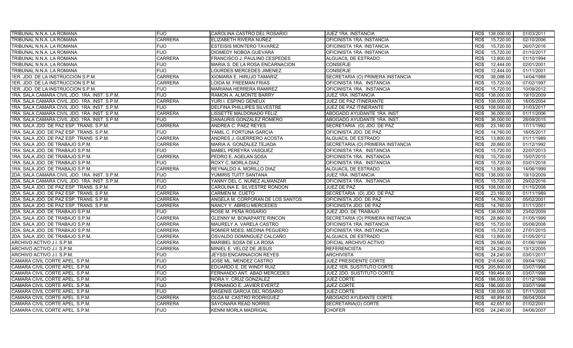| TRIBUNAL N.N.A. LA ROMANA                     | <b>FIJO</b>    | CAROLINA CASTRO DEL ROSARIO        | JUEZ 1RA. INSTANCIA              | RD\$ 138,000.00    | 01/03/2011 |
|-----------------------------------------------|----------------|------------------------------------|----------------------------------|--------------------|------------|
| TRIBUNAL N.N.A. LA ROMANA                     | <b>CARRERA</b> | ELIZABETH RIVERA NUÑEZ             | OFICINISTA 1RA. INSTANCIA        | RD\$<br>15,720.00  | 02/10/2006 |
| TRIBUNAL N.N.A. LA ROMANA                     | <b>FIJO</b>    | <b>ESTEISIS MONTERO TAVAREZ</b>    | OFICINISTA 1RA. INSTANCIA        | 15,720.00<br>RD\$  | 26/07/2016 |
| TRIBUNAL N.N.A. LA ROMANA                     | <b>FIJO</b>    | <b>DIOMEDY NOBOA GUEVARA</b>       | OFICINISTA 1RA. INSTANCIA        | 15,720.00<br>RD\$  | 01/10/2017 |
| TRIBUNAL N.N.A. LA ROMANA                     | <b>CARRERA</b> | FRANCISCO J. PAULINO CESPEDES      | ALGUACIL DE ESTRADO              | 13,800.00<br>RD\$  | 01/10/1994 |
| TRIBUNAL N.N.A. LA ROMANA                     | <b>FIJO</b>    | MARIA S. DE LA ROSA ENCARNACION    | <b>CONSERJE</b>                  | 12.444.00<br>RD\$  | 02/01/2001 |
| TRIBUNAL N.N.A. LA ROMANA                     | <b>FIJO</b>    | LOURDES MERCEDES JIMENEZ           | <b>CONSERJE</b>                  | RD\$<br>12.444.00  | 01/11/2001 |
| 1ER. JDO. DE LA INSTRUCCION S.P.M.            | <b>CARRERA</b> | XIOMARA E. HIRUJO TAMARIZ          | SECRETARIA (O) PRIMERA INSTANCIA | 38.088.00<br>RD\$  | 14/04/1988 |
| 1ER. JDO. DE LA INSTRUCCION S.P.M.            | <b>CARRERA</b> | LOIDA M. FREEMAN FRIAS             | OFICINISTA 1RA. INSTANCIA        | 15,720.00<br>RD\$  | 07/02/1997 |
| 1ER. JDO. DE LA INSTRUCCION S.P.M.            | <b>FIJO</b>    | MARIANA HERRERA RAMIREZ            | OFICINISTA 1RA. INSTANCIA        | RD\$<br>15,720.00  | 10/09/2012 |
| 1RA. SALA CAMARA CIVIL JDO. 1RA. INST. S.P.M. | <b>FIJO</b>    | RAMON A. ALMONTE BARRY             | JUEZ 1RA. INSTANCIA              | RD\$<br>138,000.00 | 19/10/2009 |
| 1RA. SALA CAMARA CIVIL JDO. 1RA. INST. S.P.M. | <b>CARRERA</b> | YURI I. ESPINO GENEUX              | JUEZ DE PAZ ITINERANTE           | RD\$<br>108,000.00 | 18/05/2004 |
| 1RA. SALA CAMARA CIVIL JDO. 1RA. INST. S.P.M. | <b>FIJO</b>    | <b>DELFINA PHILLIPES SILVESTRE</b> | JUEZ DE PAZ ITINERANTE           | 108,000.00<br>RD\$ | 31/03/2017 |
| 1RA. SALA CAMARA CIVIL JDO. 1RA. INST. S.P.M. | <b>CARRERA</b> | LISSETTE MALDONADO FELIZ           | ABOGADO AYUDANTE 1RA. INST.      | 36,000.00<br>RD\$  | 01/11/2006 |
| 1RA. SALA CAMARA CIVIL JDO. 1RA. INST. S.P.M. | FIJO           | DANAURIS GONZALEZ ROMERO           | ABOGADO AYUDANTE 1RA. INST.      | RD\$<br>36,000.00  | 28/09/2015 |
| 1RA. SALA JDO. DE PAZ ESP. TRANS. S.P.M.      | <b>CARRERA</b> | ANDREA C. PAEZ REYES               | SECRETARIA (O) JDO. DE PAZ       | 23,160.00<br>RD\$  | 17/11/1992 |
| 1RA. SALA JDO. DE PAZ ESP. TRANS. S.P.M.      | FIJO           | YAMIL C. FORTUNA GARCIA            | OFICINISTA JDO. DE PAZ           | RD\$<br>14,760.00  | 18/05/2017 |
| 1RA. SALA JDO. DE PAZ ESP. TRANS. S.P.M.      | <b>CARRERA</b> | ANDRES J. GUERRERO ACOSTA          | ALGUACIL DE ESTRADO              | RD\$<br>13.800.00  | 01/11/1989 |
| 1RA. SALA JDO. DE TRABAJO S.P.M.              | <b>CARRERA</b> | MARIA A. GONZALEZ TEJADA           | SECRETARIA (O) PRIMERA INSTANCIA | RD\$<br>28,860.00  | 01/12/1992 |
| 1RA, SALA JDO, DE TRABAJO S.P.M.              | <b>FIJO</b>    | MABEL PEREYRA VASQUEZ              | OFICINISTA 1RA. INSTANCIA        | 15.720.00<br>RD\$  | 22/07/2013 |
| 1RA, SALA JDO, DE TRABAJO S.P.M.              | <b>CARRERA</b> | PEDRO E. AGELAN SOSA               | OFICINISTA 1RA. INSTANCIA        | RD\$<br>15,720.00  | 15/07/2015 |
| 1RA. SALA JDO. DE TRABAJO S.P.M.              | <b>FIJO</b>    | ROXY C. MORLA DIAZ                 | OFICINISTA 1RA. INSTANCIA        | RD\$<br>15,720.00  | 03/01/2018 |
| 1RA. SALA JDO. DE TRABAJO S.P.M.              | <b>CARRERA</b> | REYNALDO A. MORILLO DIAZ           | ALGUACIL DE ESTRADO              | RD\$<br>13,800.00  | 14/06/1999 |
| 2DA. SALA CAMARA CIVIL JDO. 1RA. INST. S.P.M. | <b>FIJO</b>    | YUMIRIS TUITT SANTANA              | JUEZ 1RA. INSTANCIA              | 138,000.00<br>RD\$ | 19/10/2009 |
| 2DA. SALA CAMARA CIVIL JDO. 1RA. INST. S.P.M. | <b>FIJO</b>    | YANNY DEL C. NUÑEZ ALMANZAR        | OFICINISTA 1RA. INSTANCIA        | 15,720.00<br>RD\$  | 29/02/2016 |
| 2DA. SALA JDO. DE PAZ ESP. TRANS. S.P.M.      | FIJO           | CAROLINA E. SILVESTRE RONDON       | JUEZ DE PAZ                      | 108,000.00<br>RD\$ | 01/10/2008 |
| 2DA. SALA JDO. DE PAZ ESP. TRANS. S.P.M.      | <b>CARRERA</b> | <b>CARMEN M. CUETO</b>             | SECRETARIA (O) JDO. DE PAZ       | 23,160.00<br>RD\$  | 01/11/1989 |
| 2DA. SALA JDO. DE PAZ ESP. TRANS. S.P.M.      | <b>CARRERA</b> | ANGELA M. CORPORAN DE LOS SANTOS   | OFICINISTA JDO. DE PAZ           | RD\$<br>14,760.00  | 05/02/2001 |
| 2DA. SALA JDO. DE PAZ ESP. TRANS. S.P.M.      | <b>CARRERA</b> | NANCY Y. ABREU MERCEDES            | OFICINISTA JDO. DE PAZ           | 14,760.00<br>RD\$  | 01/11/2001 |
| 2DA, SALA JDO, DE TRABAJO S.P.M.              | <b>FIJO</b>    | ROSE M. PEÑA ROSARIO               | JUEZ JDO. DE TRABAJO             | 138.000.00<br>RD\$ | 23/02/2009 |
| 2DA, SALA JDO, DE TRABAJO S.P.M.              | <b>CARRERA</b> | <b>GLENNY M. BONAPARTE RINCON</b>  | SECRETARIA (O) PRIMERA INSTANCIA | RD\$<br>28.860.00  | 01/05/1999 |
| 2DA. SALA JDO. DE TRABAJO S.P.M.              | <b>CARRERA</b> | MAURELY A. VARELA CASTRO           | OFICINISTA 1RA. INSTANCIA        | 15,720.00<br>RD\$  | 05/06/2008 |
| 2DA, SALA JDO, DE TRABAJO S.P.M.              | <b>CARRERA</b> | ROMIER MDES. MEDINA PEGUERO        | OFICINISTA 1RA. INSTANCIA        | RD\$<br>15,720.00  | 27/01/2015 |
| 2DA. SALA JDO. DE TRABAJO S.P.M.              | <b>CARRERA</b> | OSVALDO DOMINGUEZ CALCAÑO          | ALGUACIL DE ESTRADO              | RD\$<br>13,800.00  | 01/05/2012 |
| ARCHIVO ACTIVO J.I. S.P.M.                    | <b>CARRERA</b> | MARIBEL SOSA DE LA ROSA            | OFICIAL ARCHIVO ACTIVO           | 29,580.00<br>RD\$  | 01/06/1999 |
| ARCHIVO ACTIVO J.I. S.P.M.                    | <b>CARRERA</b> | MINIEL E. VELOZ DE JESUS           | <b>REFERENCISTA</b>              | RD\$<br>24,240.00  | 13/12/2005 |
| ARCHIVO ACTIVO J.I. S.P.M.                    | <b>FIJO</b>    | <b>JEYSSI ENCARNACION REYES</b>    | <b>ARCHIVISTA</b>                | 24,240.00<br>RD\$  | 03/01/2017 |
| CAMARA CIVIL CORTE APEL. S.P.M.               | <b>FIJO</b>    | JOSE ML. MENDEZ CASTRO             | JUEZ PRESIDENTE CORTE            | RD\$ 218,640.00    | 09/04/1992 |
| CAMARA CIVIL CORTE APEL. S.P.M.               | <b>FIJO</b>    | EDUARDO E. DE WINDT RUIZ           | <b>JUEZ 1ER. SUSTITUTO CORTE</b> | RD\$ 205,800.00    | 03/07/1998 |
| CAMARA CIVIL CORTE APEL. S.P.M.               | <b>FIJO</b>    | FERNANDO ANT. ABAD MERCEDES        | JUEZ 2DO. SUSTITUTO CORTE        | RD\$<br>199,464.00 | 03/07/1998 |
| CAMARA CIVIL CORTE APEL. S.P.M.               | <b>FIJO</b>    | NORA Y. CRUZ GONZALEZ              | <b>JUEZ CORTE</b>                | RD\$ 186,000.00    | 01/12/1998 |
| CAMARA CIVIL CORTE APEL. S.P.M.               | <b>FIJO</b>    | FERNANDO E. JAVIER EVERTZ          | <b>JUEZ CORTE</b>                | RD\$<br>186,000.00 | 03/07/1998 |
| CAMARA CIVIL CORTE APEL. S.P.M.               | <b>FIJO</b>    | ARGENIS GARCIA DEL ROSARIO         | <b>JUEZ CORTE</b>                | 138,000.00<br>RD\$ | 07/11/2005 |
| CAMARA CIVIL CORTE APEL. S.P.M.               | <b>CARRERA</b> | OLGA M. CASTRO RODRIGUEZ           | ABOGADO AYUDANTE CORTE           | RD\$<br>48,894.00  | 06/04/2004 |
| CAMARA CIVIL CORTE APEL. S.P.M.               | <b>CARRERA</b> | SAYONARA READ NORRIS               | SECRETARIA(O) CORTE              | 42,657.60<br>RD\$  | 01/02/2001 |
| CAMARA CIVIL CORTE APEL. S.P.M.               | <b>FIJO</b>    | <b>KENNI MORLA MADRIGAL</b>        | <b>CHOFER</b>                    | RD\$<br>24.240.00  | 04/06/2007 |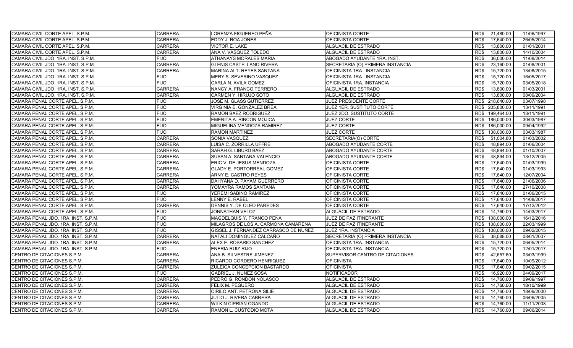| CAMARA CIVIL CORTE APEL. S.P.M.     | <b>CARRERA</b> | LORENZA FIGUEREO PEÑA                 | <b>OFICINISTA CORTE</b>          | 21,480.00<br>RD\$  | 11/06/1997 |
|-------------------------------------|----------------|---------------------------------------|----------------------------------|--------------------|------------|
| CAMARA CIVIL CORTE APEL. S.P.M.     | <b>CARRERA</b> | EDDY J. ROA JONES                     | OFICINISTA CORTE                 | RD\$<br>17,640.00  | 26/05/2014 |
| CAMARA CIVIL CORTE APEL. S.P.M.     | <b>CARRERA</b> | <b>VICTOR E. LAKE</b>                 | ALGUACIL DE ESTRADO              | 13,800.00<br>RD\$  | 01/01/2001 |
| CAMARA CIVIL CORTE APEL. S.P.M.     | <b>CARRERA</b> | ANA V. VASQUEZ TOLEDO                 | ALGUACIL DE ESTRADO              | RD\$<br>13,800.00  | 14/10/2004 |
| CAMARA CIVIL JDO. 1RA. INST. S.P.M. | FIJO           | ATHANAYS MORALES MARIA                | ABOGADO AYUDANTE 1RA. INST.      | RD\$<br>36,000.00  | 11/08/2014 |
| CAMARA CIVIL JDO. 1RA. INST. S.P.M. | <b>CARRERA</b> | <b>GLENIS CASTELLANO RIVERA</b>       | SECRETARIA (O) PRIMERA INSTANCIA | 23,160.00<br>RD\$  | 01/08/2001 |
| CAMARA CIVIL JDO. 1RA. INST. S.P.M. | <b>CARRERA</b> | MARINA ALT. REYES SANTANA             | OFICINISTA 1RA. INSTANCIA        | RD\$<br>15,720.00  | 13/08/2015 |
| CAMARA CIVIL JDO. 1RA. INST. S.P.M. | <b>FIJO</b>    | MERY S. SEVERINO VASQUEZ              | OFICINISTA 1RA. INSTANCIA        | 15,720.00<br>RD\$  | 16/05/2017 |
| CAMARA CIVIL JDO. 1RA. INST. S.P.M. | <b>FIJO</b>    | CARLA N. AVILA GOMEZ                  | OFICINISTA 1RA. INSTANCIA        | 15.720.00<br>RD\$  | 03/05/2018 |
| CAMARA CIVIL JDO, 1RA, INST, S.P.M. | <b>CARRERA</b> | NANCY A. FRANCO TERRERO               | ALGUACIL DE ESTRADO              | RD\$<br>13,800.00  | 01/03/2001 |
| CAMARA CIVIL JDO. 1RA. INST. S.P.M. | <b>CARRERA</b> | CARMEN Y. HIRUJO SOTO                 | ALGUACIL DE ESTRADO              | 13,800.00<br>RD\$  | 08/09/2004 |
| CAMARA PENAL CORTE APEL. S.P.M.     | <b>FIJO</b>    | JOSE M. GLASS GUTIERREZ               | JUEZ PRESIDENTE CORTE            | RD\$ 218,640.00    | 03/07/1998 |
| CAMARA PENAL CORTE APEL. S.P.M.     | <b>FIJO</b>    | VIRGINIA E. GONZALEZ BREA             | JUEZ 1ER. SUSTITUTO CORTE        | RD\$ 205,800.00    | 13/11/1991 |
| CAMARA PENAL CORTE APEL. S.P.M.     | <b>FIJO</b>    | RAMON BAEZ RODRIGUEZ                  | JUEZ 2DO. SUSTITUTO CORTE        | RD\$ 199,464.00    | 13/11/1991 |
| CAMARA PENAL CORTE APEL. S.P.M.     | <b>FIJO</b>    | <b>EMERITA A. RINCON MOJICA</b>       | <b>JUEZ CORTE</b>                | RD\$ 186,000.00    | 30/03/1987 |
| CAMARA PENAL CORTE APEL. S.P.M.     | <b>FIJO</b>    | MIGUELINA MENDOZA RAMIREZ             | <b>JUEZ CORTE</b>                | RD\$ 186,000.00    | 09/04/1992 |
| CAMARA PENAL CORTE APEL. S.P.M.     | <b>FIJO</b>    | <b>RAMON MARTINEZ</b>                 | <b>JUEZ CORTE</b>                | RD\$<br>138,000.00 | 03/03/1987 |
| CAMARA PENAL CORTE APEL. S.P.M.     | <b>CARRERA</b> | SONIA VASQUEZ                         | SECRETARIA(O) CORTE              | 51,004.80<br>RD\$  | 01/03/2002 |
| CAMARA PENAL CORTE APEL. S.P.M.     | <b>CARRERA</b> | LUISA C. ZORRILLA UFFRE               | ABOGADO AYUDANTE CORTE           | RD\$<br>48,894.00  | 01/06/2004 |
| CAMARA PENAL CORTE APEL. S.P.M.     | <b>CARRERA</b> | SARAH G. LIBURD BAEZ                  | ABOGADO AYUDANTE CORTE           | RD\$<br>48,894.00  | 01/10/2007 |
| CAMARA PENAL CORTE APEL. S.P.M.     | <b>CARRERA</b> | SUSAN A. SANTANA VALENCIO             | ABOGADO AYUDANTE CORTE           | 48,894.00<br>RD\$  | 13/12/2005 |
| CAMARA PENAL CORTE APEL. S.P.M.     | <b>CARRERA</b> | ERIC V. DE JESUS MENDOZA              | OFICINISTA CORTE                 | 17,640.00<br>RD\$  | 01/03/1999 |
| CAMARA PENAL CORTE APEL, S.P.M.     | <b>CARRERA</b> | <b>GLADY E. PORTORREAL GOMEZ</b>      | OFICINISTA CORTE                 | RD\$<br>17.640.00  | 01/03/1993 |
| CAMARA PENAL CORTE APEL. S.P.M.     | <b>CARRERA</b> | ARNY E. CASTRO REYES                  | OFICINISTA CORTE                 | 17.640.00<br>RD\$  | 12/07/2004 |
| CAMARA PENAL CORTE APEL. S.P.M.     | <b>CARRERA</b> | DAHYANA D. PAYAM GUERRERO             | OFICINISTA CORTE                 | 17.640.00<br>RD\$  | 21/06/2006 |
| CAMARA PENAL CORTE APEL. S.P.M.     | <b>CARRERA</b> | YOMAYRA RAMOS SANTANA                 | OFICINISTA CORTE                 | RD\$<br>17.640.00  | 27/10/2008 |
| CAMARA PENAL CORTE APEL. S.P.M.     | <b>FIJO</b>    | YEREMI SABINO RAMIREZ                 | OFICINISTA CORTE                 | 17.640.00<br>RD\$  | 01/06/2015 |
| CAMARA PENAL CORTE APEL. S.P.M.     | <b>FIJO</b>    | LENNY E. RABEL                        | OFICINISTA CORTE                 | RD\$<br>17,640.00  | 14/08/2017 |
| CAMARA PENAL CORTE APEL. S.P.M.     | <b>CARRERA</b> | DENNIS Y. DE OLEO PAREDES             | OFICINISTA CORTE                 | RD\$<br>17,640.00  | 17/12/2012 |
| CAMARA PENAL CORTE APEL. S.P.M.     | <b>FIJO</b>    | JONNATHAN VELOZ                       | ALGUACIL DE ESTRADO              | 14,760.00<br>RD\$  | 14/03/2017 |
| CAMARA PENAL JDO. 1RA. INST. S.P.M. | FIJO           | MAGDELQUIS Y. FRANCO PEÑA             | JUEZ DE PAZ ITINERANTE           | RD\$<br>108,000.00 | 16/12/2016 |
| CAMARA PENAL JDO. 1RA. INST. S.P.M. | FIJO           | MILAGROS DE LOS A. CARMONA CAMARENA   | JUEZ DE PAZ ITINERANTE           | RD\$<br>108,000.00 | 22/03/1999 |
| CAMARA PENAL JDO. 1RA. INST. S.P.M. | <b>FIJO</b>    | GISSEL J. FERNANDEZ CARRASCO DE NUÑEZ | JUEZ 1RA. INSTANCIA              | RD\$<br>108,000.00 | 09/02/2015 |
| CAMARA PENAL JDO. 1RA. INST. S.P.M. | <b>CARRERA</b> | NATALI DOMINGUEZ CALCAÑO              | SECRETARIA (O) PRIMERA INSTANCIA | RD\$<br>38,088.00  | 08/01/2007 |
| CAMARA PENAL JDO. 1RA. INST. S.P.M. | <b>CARRERA</b> | ALEX E. ROSARIO SANCHEZ               | OFICINISTA 1RA. INSTANCIA        | 15,720.00<br>RD\$  | 06/05/2014 |
| CAMARA PENAL JDO. 1RA. INST. S.P.M. | FIJO           | ENERIA RUIZ RIJO                      | OFICINISTA 1RA. INSTANCIA        | RD\$<br>15,720.00  | 12/01/2017 |
| CENTRO DE CITACIONES S.P.M.         | <b>CARRERA</b> | ANA B. SILVESTRE JIMENEZ              | SUPERVISOR CENTRO DE CITACIONES  | 42,657.60<br>RD\$  | 03/03/1999 |
| CENTRO DE CITACIONES S.P.M.         | <b>CARRERA</b> | RICARDO CORDERO HENRIQUEZ             | <b>OFICINISTA</b>                | 17.640.00<br>RD\$  | 10/09/2012 |
| CENTRO DE CITACIONES S.P.M.         | <b>CARRERA</b> | ZULEICA CONCEPCION BASTARDO           | <b>OFICINISTA</b>                | RD\$<br>17.640.00  | 09/02/2015 |
| CENTRO DE CITACIONES S.P.M.         | FIJO.          | <b>GABRIEL J. NUÑEZ SOSA</b>          | <b>NOTIFICADOR</b>               | 16,920.00<br>RD\$  | 04/09/2017 |
| CENTRO DE CITACIONES S.P.M.         | <b>CARRERA</b> | PEDRO G. RONDON NOLASCO               | ALGUACIL DE ESTRADO              | RD\$<br>14,760.00  | 09/09/1997 |
| CENTRO DE CITACIONES S.P.M.         | <b>CARRERA</b> | FELIX M. PEGUERO                      | ALGUACIL DE ESTRADO              | 14,760.00<br>RD\$  | 18/10/1999 |
| CENTRO DE CITACIONES S.P.M.         | <b>CARRERA</b> | CIRILO ANT. PETRONA SILIE             | ALGUACIL DE ESTRADO              | RD\$<br>14,760.00  | 18/09/2000 |
| CENTRO DE CITACIONES S.P.M.         | <b>CARRERA</b> | <b>JULIO J. RIVERA CABRERA</b>        | ALGUACIL DE ESTRADO              | RD\$<br>14,760.00  | 06/06/2005 |
| CENTRO DE CITACIONES S.P.M.         | <b>CARRERA</b> | <b>WILKIN CIPRIAN OGANDO</b>          | ALGUACIL DE ESTRADO              | 14,760.00<br>RD\$  | 11/11/2008 |
| CENTRO DE CITACIONES S.P.M.         | <b>CARRERA</b> | RAMON L. CUSTODIO MOTA                | ALGUACIL DE ESTRADO              | RD\$<br>14,760.00  | 09/06/2014 |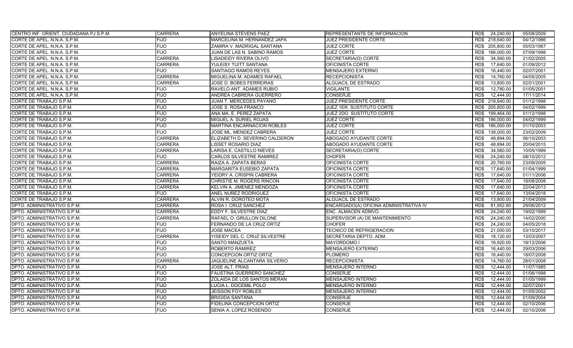| CENTRO INF. ORIENT. CIUDADANA PJ S.P.M. | <b>CARRERA</b> | <b>ANYELINA STEVENS PAEZ</b>      | REPRESENTANTE DE INFORMACION           | RD\$ 24,240.00     | 05/08/2009 |
|-----------------------------------------|----------------|-----------------------------------|----------------------------------------|--------------------|------------|
| CORTE DE APEL. N.N.A. S.P.M.            | <b>FIJO</b>    | MARCELINA M. HERNANDEZ JAPA       | JUEZ PRESIDENTE CORTE                  | RD\$ 218,640.00    | 04/12/1986 |
| CORTE DE APEL. N.N.A. S.P.M.            | <b>FIJO</b>    | ZAMIRA V. MADRIGAL SANTANA        | <b>JUEZ CORTE</b>                      | RD\$ 205,800.00    | 05/03/1987 |
| CORTE DE APEL. N.N.A. S.P.M.            | <b>FIJO</b>    | JUAN DE LAS N. SABINO RAMOS       | <b>JUEZ CORTE</b>                      | 186,000.00<br>RD\$ | 07/09/1998 |
| CORTE DE APEL. N.N.A. S.P.M.            | <b>CARRERA</b> | LISADEIDY RIVERA OLIVO            | SECRETARIA(O) CORTE                    | 34,560.00<br>RD\$  | 21/02/2005 |
| CORTE DE APEL. N.N.A. S.P.M.            | <b>CARRERA</b> | YULEISY TUITT SANTANA             | OFICINISTA CORTE                       | RD\$<br>17.640.00  | 01/09/2012 |
| CORTE DE APEL. N.N.A. S.P.M.            | <b>FIJO</b>    | <b>SANTIAGO RAMOS REYES</b>       | <b>MENSAJERO EXTERNO</b>               | RD\$<br>16,440.00  | 02/07/2001 |
| CORTE DE APEL. N.N.A. S.P.M.            | <b>CARRERA</b> | MIGUELINA M. ADAMES RAFAEL        | <b>RECEPCIONISTA</b>                   | RD\$<br>14,760.00  | 04/05/2005 |
| CORTE DE APEL. N.N.A. S.P.M.            | <b>CARRERA</b> | JOSE D. BOBES FERREIRAS           | <b>ALGUACIL DE ESTRADO</b>             | RD\$<br>13,800.00  | 02/01/2001 |
| CORTE DE APEL. N.N.A. S.P.M.            | <b>FIJO</b>    | RAVELO ANT. ADAMES RUBIO          | VIGILANTE                              | RD\$<br>12,780.00  | 01/05/2001 |
| CORTE DE APEL. N.N.A. S.P.M.            | <b>FIJO</b>    | ANDREA CABRERA GUERRERO           | <b>CONSERJE</b>                        | RD\$<br>12,444.00  | 17/11/2014 |
| CORTE DE TRABAJO S.P.M.                 | <b>FIJO</b>    | JUAN T. MERCEDES PAYANO           | JUEZ PRESIDENTE CORTE                  | RD\$ 218,640.00    | 01/12/1998 |
| CORTE DE TRABAJO S.P.M.                 | <b>FIJO</b>    | JOSE S. ROSA FRANCO               | JUEZ 1ER. SUSTITUTO CORTE              | RD\$ 205,800.00    | 04/02/1999 |
| CORTE DE TRABAJO S.P.M.                 | <b>FIJO</b>    | ANA MA. E. PEREZ ZAPATA           | JUEZ 2DO. SUSTITUTO CORTE              | RD\$ 199.464.00    | 01/12/1998 |
| CORTE DE TRABAJO S.P.M.                 | <b>FIJO</b>    | MIGUEL A. SURIEL ROJAS            | <b>JUEZ CORTE</b>                      | RD\$<br>186,000.00 | 04/02/1999 |
| CORTE DE TRABAJO S.P.M.                 | <b>FIJO</b>    | <b>MARTINA ENCARNACION ROBLES</b> | <b>JUEZ CORTE</b>                      | 186,000.00<br>RD\$ | 01/10/2003 |
| CORTE DE TRABAJO S.P.M.                 | <b>FIJO</b>    | JOSE ML. MENDEZ CABRERA           | <b>JUEZ CORTE</b>                      | RD\$<br>138,000.00 | 23/02/2009 |
| CORTE DE TRABAJO S.P.M.                 | <b>CARRERA</b> | ELIZABETH D. SEVERINO CALDERON    | ABOGADO AYUDANTE CORTE                 | 48,894.00<br>RD\$  | 06/10/2003 |
| CORTE DE TRABAJO S.P.M.                 | <b>CARRERA</b> | LISSET ROSARIO DIAZ               | ABOGADO AYUDANTE CORTE                 | RD\$<br>48,894.00  | 20/04/2015 |
| CORTE DE TRABAJO S.P.M.                 | <b>CARRERA</b> | LARISA E. CASTILLO NIEVES         | SECRETARIA(O) CORTE                    | 34,560.00<br>RD\$  | 10/05/1999 |
| CORTE DE TRABAJO S.P.M.                 | <b>FIJO</b>    | CARLOS SILVESTRE RAMIREZ          | <b>CHOFER</b>                          | 24,240.00<br>RD\$  | 08/10/2012 |
| CORTE DE TRABAJO S.P.M.                 | <b>CARRERA</b> | RAIZA A. ZAPATA BERAS             | OFICINISTA CORTE                       | 20,760.00<br>RD\$  | 23/09/2005 |
| CORTE DE TRABAJO S.P.M.                 | <b>CARRERA</b> | MARGARITA EUSEBIO ZAPATA          | OFICINISTA CORTE                       | RD\$<br>17.640.00  | 01/04/1999 |
| CORTE DE TRABAJO S.P.M.                 | <b>CARRERA</b> | YEIDRY A. CRISPIN CABRERA         | OFICINISTA CORTE                       | 17,640.00<br>RD\$  | 01/11/2006 |
| CORTE DE TRABAJO S.P.M.                 | <b>CARRERA</b> | <b>CHRISTIE M. ROGERS RINCON</b>  | OFICINISTA CORTE                       | 17.640.00<br>RD\$  | 18/08/2008 |
| CORTE DE TRABAJO S.P.M.                 | <b>CARRERA</b> | KELVIN A. JIMENEZ MENDOZA         | OFICINISTA CORTE                       | RD\$<br>17,640.00  | 22/04/2013 |
| CORTE DE TRABAJO S.P.M.                 | <b>FIJO</b>    | ANEL NUÑEZ RODRIGUEZ              | OFICINISTA CORTE                       | 17,640.00<br>RD\$  | 13/04/2018 |
| CORTE DE TRABAJO S.P.M.                 | <b>CARRERA</b> | ALVIN R. DOROTEO MOTA             | ALGUACIL DE ESTRADO                    | RD\$<br>13,800.00  | 21/04/2009 |
| DPTO. ADMINISTRATIVO S.P.M.             | <b>CARRERA</b> | ROSA I. CRUZ SANCHEZ              | ENCARGADO(A) OFICINA ADMINISTRATIVA IV | RD\$<br>81,952.80  | 29/06/2012 |
| DPTO. ADMINISTRATIVO S.P.M.             | <b>CARRERA</b> | EDDY F. SILVESTRE DIAZ            | ENC. ALMACEN ADMVO.                    | 24,240.00<br>RD\$  | 19/02/1999 |
| DPTO. ADMINISTRATIVO S.P.M.             | <b>CARRERA</b> | RAFAEL O. GRULLON DILONE          | SUPERVISOR (A) DE MANTENIMIENTO        | RD\$<br>24,240.00  | 14/02/2000 |
| DPTO. ADMINISTRATIVO S.P.M.             | <b>FIJO</b>    | FERNANDO DE LA CRUZ ORTIZ         | <b>CHOFER</b>                          | RD\$<br>24,240.00  | 04/05/2018 |
| DPTO. ADMINISTRATIVO S.P.M.             | <b>FIJO</b>    | <b>JOSE MACEA</b>                 | <b>TECNICO DE REFRIGERACION</b>        | RD\$<br>21,000.00  | 03/10/2017 |
| DPTO. ADMINISTRATIVO S.P.M.             | <b>CARRERA</b> | YISEIDY DEL C. CRUZ SILVESTRE     | SECRETARIA DEPTO, ADM                  | 18,120.00<br>RD\$  | 13/03/2007 |
| DPTO. ADMINISTRATIVO S.P.M.             | <b>FIJO</b>    | <b>SANTO MANZUETA</b>             | <b>MAYORDOMO I</b>                     | 16,920.00<br>RD\$  | 18/12/2006 |
| DPTO. ADMINISTRATIVO S.P.M.             | <b>FIJO</b>    | ROBERTO RAMIREZ                   | <b>MENSAJERO EXTERNO</b>               | RD\$<br>16,440.00  | 29/03/2006 |
| DPTO. ADMINISTRATIVO S.P.M.             | <b>FIJO</b>    | CONCEPCION ORTIZ ORTIZ            | <b>PLOMERO</b>                         | 16,440.00<br>RD\$  | 18/07/2008 |
| DPTO. ADMINISTRATIVO S.P.M.             | <b>CARRERA</b> | JAQUELINE ALCANTARA SILVERIO      | <b>RECEPCIONISTA</b>                   | RD\$<br>14,760.00  | 28/01/2008 |
| DPTO. ADMINISTRATIVO S.P.M.             | <b>FIJO</b>    | JOSE ALT. FRIAS                   | <b>MENSAJERO INTERNO</b>               | RD\$<br>12,444.00  | 11/07/1985 |
| DPTO. ADMINISTRATIVO S.P.M.             | <b>FIJO</b>    | FAUSTINA GUERRERO SANCHEZ         | <b>CONSERJE</b>                        | RD\$<br>12,444.00  | 01/06/1998 |
| DPTO. ADMINISTRATIVO S.P.M.             | <b>FIJO</b>    | ZOLAIDA DE LOS SANTOS MERAN       | <b>MENSAJERO INTERNO</b>               | RD\$<br>12,444.00  | 01/05/1999 |
| DPTO. ADMINISTRATIVO S.P.M.             | <b>FIJO</b>    | LUCIA L. DOCEMIL POLO             | <b>MENSAJERO INTERNO</b>               | 12.444.00<br>RD\$  | 02/07/2001 |
| DPTO. ADMINISTRATIVO S.P.M.             | <b>FIJO</b>    | <b>JEISSON FOY ROBLES</b>         | <b>MENSAJERO INTERNO</b>               | 12.444.00<br>RD\$  | 01/05/2002 |
| DPTO. ADMINISTRATIVO S.P.M.             | <b>FIJO</b>    | <b>BRIGIDA SANTANA</b>            | <b>CONSERJE</b>                        | RD\$<br>12,444.00  | 01/09/2004 |
| DPTO. ADMINISTRATIVO S.P.M.             | <b>FIJO</b>    | FIDELINA CONCEPCION ORTIZ         | <b>CONSERJE</b>                        | 12,444.00<br>RD\$  | 02/10/2006 |
| DPTO. ADMINISTRATIVO S.P.M.             | <b>FIJO</b>    | SENIA A. LOPEZ ROSENDO            | <b>CONSERJE</b>                        | RD\$<br>12.444.00  | 02/10/2006 |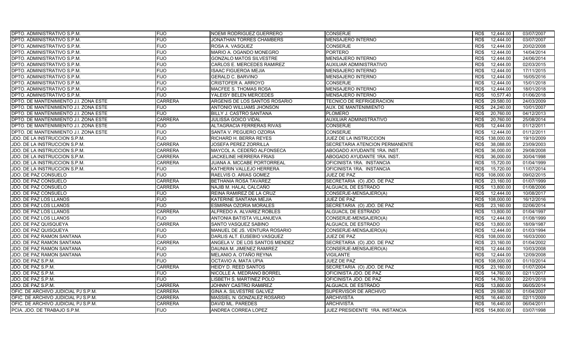| <b>DPTO. ADMINISTRATIVO S.P.M.</b>    | <b>FIJO</b>    | <b>NOEMI RODRIGUEZ GUERRERO</b> | <b>CONSERJE</b>                 | 12,444.00<br>RD\$  | 03/07/2007 |
|---------------------------------------|----------------|---------------------------------|---------------------------------|--------------------|------------|
| DPTO. ADMINISTRATIVO S.P.M.           | <b>FIJO</b>    | JONATHAN TORRES CHAMBERS        | MENSAJERO INTERNO               | RD\$<br>12,444.00  | 03/07/2007 |
| DPTO. ADMINISTRATIVO S.P.M.           | <b>FIJO</b>    | ROSA A. VASQUEZ                 | <b>CONSERJE</b>                 | RD\$<br>12,444.00  | 20/02/2008 |
| DPTO. ADMINISTRATIVO S.P.M.           | <b>FIJO</b>    | MARIO A. OGANDO MONEGRO         | <b>PORTERO</b>                  | RD\$<br>12,444.00  | 14/04/2014 |
| DPTO. ADMINISTRATIVO S.P.M.           | <b>FIJO</b>    | <b>GONZALO MATOS SILVESTRE</b>  | <b>MENSAJERO INTERNO</b>        | RD\$<br>12,444.00  | 24/06/2014 |
| DPTO. ADMINISTRATIVO S.P.M.           | <b>FIJO</b>    | CARLOS E. MERCEDES RAMIREZ      | <b>AUXILIAR ADMINISTRATIVO</b>  | RD\$<br>12.444.00  | 02/03/2015 |
| DPTO. ADMINISTRATIVO S.P.M.           | <b>FIJO</b>    | <b>ISAAC FIGUEROA MEJIA</b>     | <b>MENSAJERO INTERNO</b>        | RD\$<br>12.444.00  | 17/11/2015 |
| DPTO. ADMINISTRATIVO S.P.M.           | <b>FIJO</b>    | <b>GERALD C. BARVINO</b>        | <b>MENSAJERO INTERNO</b>        | 12.444.00<br>RD\$  | 16/05/2016 |
| DPTO. ADMINISTRATIVO S.P.M.           | <b>FIJO</b>    | <b>CRISTOFER A. ARROYO</b>      | <b>CONSERJE</b>                 | 12,444.00<br>RD\$  | 15/01/2018 |
| DPTO. ADMINISTRATIVO S.P.M.           | <b>FIJO</b>    | MACFEE S. THOMAS ROSA           | <b>MENSAJERO INTERNO</b>        | RD\$<br>12.444.00  | 18/01/2018 |
| DPTO. ADMINISTRATIVO S.P.M.           | <b>FIJO</b>    | YALEISY BELEN MERCEDES          | MENSAJERO INTERNO               | 10,577.40<br>RD\$  | 01/06/2018 |
| DPTO. DE MANTENIMIENTO J.I. ZONA ESTE | <b>CARRERA</b> | ARGENIS DE LOS SANTOS ROSARIO   | <b>TECNICO DE REFRIGERACION</b> | RD\$<br>29,580.00  | 24/03/2009 |
| DPTO. DE MANTENIMIENTO J.I. ZONA ESTE | <b>FIJO</b>    | ANTONIO WILLIAMS JHONSON        | AUX. DE MANTENIMIENTO           | RD\$<br>24,240.00  | 10/01/2007 |
| DPTO. DE MANTENIMIENTO J.I. ZONA ESTE | <b>FIJO</b>    | <b>BILLY J. CASTRO SANTANA</b>  | <b>PLOMERO</b>                  | 20,760.00<br>RD\$  | 04/12/2013 |
| DPTO. DE MANTENIMIENTO J.I. ZONA ESTE | <b>CARRERA</b> | JULISSA GOICO VIDAL             | <b>AUXILIAR ADMINISTRATIVO</b>  | RD\$<br>20,760.00  | 25/08/2014 |
| DPTO. DE MANTENIMIENTO J.I. ZONA ESTE | <b>FIJO</b>    | ALTAGRACIA FERRERAS RIVAS       | <b>CONSERJE</b>                 | 12,444.00<br>RD\$  | 01/12/2011 |
| DPTO. DE MANTENIMIENTO J.I. ZONA ESTE | <b>FIJO</b>    | SANTA V. PEGUERO OZORIA         | <b>CONSERJE</b>                 | RD\$<br>12,444.00  | 01/12/2011 |
| JDO. DE LA INSTRUCCION S.P.M.         | <b>FIJO</b>    | RICHARD H. BERRA REYES          | <b>JUEZ DE LA INSTRUCCION</b>   | 138.000.00<br>RD\$ | 19/10/2009 |
| JDO. DE LA INSTRUCCION S.P.M.         | <b>CARRERA</b> | JOSEFA PEREZ ZORRILLA           | SECRETARIA ATENCION PERMANENTE  | RD\$<br>38,088.00  | 23/09/2003 |
| JDO. DE LA INSTRUCCION S.P.M.         | <b>CARRERA</b> | MAYCOL A. CEDEÑO ALFONSECA      | ABOGADO AYUDANTE 1RA. INST.     | 36.000.00<br>RD\$  | 29/08/2008 |
| JDO. DE LA INSTRUCCION S.P.M.         | <b>CARRERA</b> | <b>JACKELINE HERRERA FRIAS</b>  | ABOGADO AYUDANTE 1RA. INST.     | RD\$<br>36,000.00  | 30/04/1998 |
| JDO. DE LA INSTRUCCION S.P.M.         | <b>CARRERA</b> | JUANA A. MCCABE PORTORREAL      | OFICINISTA 1RA. INSTANCIA       | 15,720.00<br>RD\$  | 01/04/1999 |
| JDO. DE LA INSTRUCCION S.P.M.         | <b>FIJO</b>    | KATHERIN VALLEJO HERRERA        | OFICINISTA 1RA. INSTANCIA       | RD\$<br>15,720.00  | 11/07/2014 |
| JDO. DE PAZ CONSUELO                  | <b>FIJO</b>    | RAELVIS O. ARIAS GOMEZ          | JUEZ DE PAZ                     | 108,000.00<br>RD\$ | 09/02/2015 |
| JDO. DE PAZ CONSUELO                  | <b>CARRERA</b> | BETHANIA ROSA TAVAREZ           | SECRETARIA (O) JDO. DE PAZ      | 23,160.00<br>RD\$  | 01/07/1999 |
| JDO. DE PAZ CONSUELO                  | <b>CARRERA</b> | NAJIB M. HALAL CALCAÑO          | ALGUACIL DE ESTRADO             | RD\$<br>13,800.00  | 01/08/2006 |
| JDO. DE PAZ CONSUELO                  | <b>FIJO</b>    | REINA RAMIREZ DE LA CRUZ        | CONSERJE-MENSAJERO(A)           | 12,444.00<br>RD\$  | 10/08/2017 |
| JDO. DE PAZ LOS LLANOS                | <b>FIJO</b>    | KATERINE SANTANA MEJIA          | JUEZ DE PAZ                     | RD\$<br>108,000.00 | 16/12/2016 |
| JDO. DE PAZ LOS LLANOS                | <b>FIJO</b>    | ESMIRNA OZORIA MORALES          | SECRETARIA (O) JDO. DE PAZ      | 23,160.00<br>RD\$  | 02/06/2014 |
| JDO. DE PAZ LOS LLANOS                | <b>CARRERA</b> | ALFREDO A. ALVAREZ ROBLES       | ALGUACIL DE ESTRADO             | 13.800.00<br>RD\$  | 01/04/1997 |
| JDO. DE PAZ LOS LLANOS                | <b>FIJO</b>    | ANTONIA BATISTA VILLANUEVA      | CONSERJE-MENSAJERO(A)           | RD\$<br>12.444.00  | 01/08/1999 |
| JDO. DE PAZ QUISQUEYA                 | <b>CARRERA</b> | SANTO VASQUEZ SABINO            | ALGUACIL DE ESTRADO             | 13,800.00<br>RD\$  | 18/09/1987 |
| JDO. DE PAZ QUISQUEYA                 | <b>FIJO</b>    | MANUEL DE JS. VENTURA ROSARIO   | CONSERJE-MENSAJERO(A)           | 12,444.00<br>RD\$  | 01/03/1994 |
| JDO. DE PAZ RAMON SANTANA             | <b>FIJO</b>    | DARLIS ALT. EUSEBIO VASQUEZ     | JUEZ DE PAZ                     | RD\$<br>108,000.00 | 16/03/2000 |
| JDO. DE PAZ RAMON SANTANA             | <b>CARRERA</b> | ANGELA V. DE LOS SANTOS MENDEZ  | SECRETARIA (O) JDO. DE PAZ      | 23,160.00<br>RD\$  | 01/04/2002 |
| JDO. DE PAZ RAMON SANTANA             | <b>FIJO</b>    | DAUNIA M. JIMENEZ RAMIREZ       | CONSERJE-MENSAJERO(A)           | RD\$<br>12,444.00  | 10/03/2008 |
| JDO. DE PAZ RAMON SANTANA             | <b>FIJO</b>    | MELANIO A. OTAÑO REYNA          | <b>VIGILANTE</b>                | 12,444.00<br>RD\$  | 12/09/2008 |
| JDO. DE PAZ S.P.M.                    | <b>FIJO</b>    | OCTAVIO A. MATA UPIA            | JUEZ DE PAZ                     | RD\$<br>108,000.00 | 01/10/2014 |
| JDO. DE PAZ S.P.M.                    | <b>CARRERA</b> | HEIDY D. REED SANTOS            | SECRETARIA (O) JDO. DE PAZ      | RD\$<br>23,160.00  | 01/07/2004 |
| JDO. DE PAZ S.P.M.                    | <b>FIJO</b>    | NICOLLE A. MEDRANO BORREL       | OFICINISTA JDO. DE PAZ          | RD\$<br>14,760.00  | 02/11/2017 |
| JDO. DE PAZ S.P.M.                    | <b>FIJO</b>    | LISBETH S. MARTINEZ POLO        | OFICINISTA JDO. DE PAZ          | RD\$<br>14,760.00  | 22/01/2018 |
| JDO. DE PAZ S.P.M.                    | <b>CARRERA</b> | JOHNNY CASTRO RAMIREZ           | ALGUACIL DE ESTRADO             | 13,800.00<br>RD\$  | 06/05/2014 |
| OFIC. DE ARCHIVO JUDICIAL PJ S.P.M.   | <b>CARRERA</b> | GINA A. SILVESTRE GALVEZ        | SUPERVISOR DE ARCHIVO           | 29,580.00<br>RD\$  | 01/04/2007 |
| OFIC. DE ARCHIVO JUDICIAL PJ S.P.M.   | <b>CARRERA</b> | MASSIEL N. GONZALEZ ROSARIO     | <b>ARCHIVISTA</b>               | RD\$<br>16,440.00  | 02/11/2009 |
| OFIC. DE ARCHIVO JUDICIAL PJ S.P.M.   | <b>CARRERA</b> | DAVID ML. PAREDES               | <b>ARCHIVISTA</b>               | 16,440.00<br>RD\$  | 06/04/2011 |
| PCIA. JDO. DE TRABAJO S.P.M.          | <b>FIJO</b>    | <b>ANDREA CORREA LOPEZ</b>      | JUEZ PRESIDENTE 1RA. INSTANCIA  | RD\$ 154,800.00    | 03/07/1998 |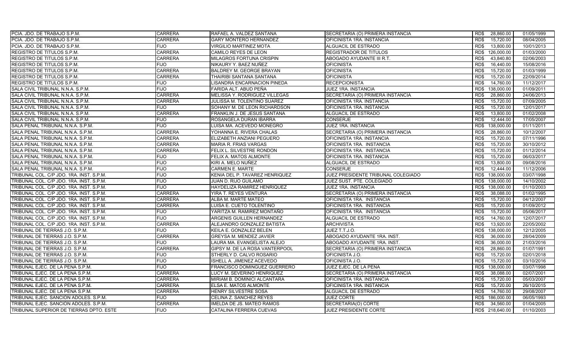| PCIA. JDO. DE TRABAJO S.P.M.             | <b>CARRERA</b> | RAFAEL A. VALDEZ SANTANA       | SECRETARIA (O) PRIMERA INSTANCIA   | 28,860.00<br>RD\$  | 01/05/1999 |
|------------------------------------------|----------------|--------------------------------|------------------------------------|--------------------|------------|
| PCIA. JDO. DE TRABAJO S.P.M.             | <b>CARRERA</b> | GARY MONTERO HERNANDEZ         | OFICINISTA 1RA. INSTANCIA          | RD\$<br>15,720.00  | 08/04/2005 |
| PCIA. JDO. DE TRABAJO S.P.M.             | <b>FIJO</b>    | <b>VIRGILIO MARTINEZ MOTA</b>  | ALGUACIL DE ESTRADO                | 13,800.00<br>RD\$  | 10/01/2013 |
| <b>REGISTRO DE TITULOS S.P.M.</b>        | <b>CARRERA</b> | CAMILO REYES DE LEON           | <b>REGISTRADOR DE TITULOS</b>      | RD\$<br>126,000.00 | 01/03/2000 |
| <b>REGISTRO DE TITULOS S.P.M.</b>        | <b>CARRERA</b> | MILAGROS FORTUNA CRISPIN       | ABOGADO AYUDANTE III R.T.          | 43,840.80<br>RD\$  | 02/06/2003 |
| <b>REGISTRO DE TITULOS S.P.M.</b>        | <b>FIJO</b>    | NIKAURY Y. BAEZ NUÑEZ          | <b>OFICINISTA</b>                  | 16,440.00<br>RD\$  | 15/08/2016 |
| REGISTRO DE TITULOS S.P.M.               | <b>CARRERA</b> | BALDREY M. GEORGE BRAYAN       | <b>OFICINISTA</b>                  | RD\$<br>15,720.00  | 01/03/1999 |
| <b>REGISTRO DE TITULOS S.P.M.</b>        | <b>CARRERA</b> | THAIRIBI SANTANA SANTANA       | <b>OFICINISTA</b>                  | 15,720.00<br>RD\$  | 22/09/2014 |
| REGISTRO DE TITULOS S.P.M.               | <b>FIJO</b>    | LISANDRA ENCARNACION PINEDA    | <b>RECEPCIONISTA</b>               | 14,760.00<br>RD\$  | 11/12/2017 |
| SALA CIVIL TRIBUNAL N.N.A. S.P.M.        | <b>FIJO</b>    | FARIDA ALT. ABUD PEÑA          | JUEZ 1RA. INSTANCIA                | RD\$<br>138,000.00 | 01/09/2011 |
| SALA CIVIL TRIBUNAL N.N.A. S.P.M.        | <b>CARRERA</b> | MELISSA Y. RODRIGUEZ VILLEGAS  | SECRETARIA (O) PRIMERA INSTANCIA   | 28,860.00<br>RD\$  | 24/06/2013 |
| SALA CIVIL TRIBUNAL N.N.A. S.P.M.        | <b>CARRERA</b> | JULISSA M. TOLENTINO SUAREZ    | OFICINISTA 1RA. INSTANCIA          | RD\$<br>15,720.00  | 07/09/2005 |
| SALA CIVIL TRIBUNAL N.N.A. S.P.M.        | <b>FIJO</b>    | SOHANY M. DE LEON RICHARDSON   | OFICINISTA 1RA. INSTANCIA          | RD\$<br>15,720.00  | 12/01/2017 |
| SALA CIVIL TRIBUNAL N.N.A. S.P.M.        | <b>CARRERA</b> | FRANKLIN J. DE JESUS SANTANA   | ALGUACIL DE ESTRADO                | 13,800.00<br>RD\$  | 01/02/2008 |
| SALA CIVIL TRIBUNAL N.N.A. S.P.M.        | <b>FIJO</b>    | ROSANGELA DURAN IBARRA         | <b>CONSERJE</b>                    | RD\$<br>12,444.00  | 17/05/2007 |
| SALA PENAL TRIBUNAL N.N.A. S.P.M.        | <b>FIJO</b>    | LUISA MA. ACEVEDO MONEGRO      | JUEZ 1RA. INSTANCIA                | 138,000.00<br>RD\$ | 01/11/2011 |
| SALA PENAL TRIBUNAL N.N.A. S.P.M.        | <b>CARRERA</b> | YOHANNA E. RIVERA CHALAS       | SECRETARIA (O) PRIMERA INSTANCIA   | 28,860.00<br>RD\$  | 10/12/2007 |
| SALA PENAL TRIBUNAL N.N.A. S.P.M.        | <b>CARRERA</b> | ELIZABETH ANZIANI PEGUERO      | OFICINISTA 1RA. INSTANCIA          | RD\$<br>15.720.00  | 07/11/1996 |
| SALA PENAL TRIBUNAL N.N.A. S.P.M.        | <b>CARRERA</b> | <b>MARIA R. FRIAS VARGAS</b>   | OFICINISTA 1RA. INSTANCIA          | RD\$<br>15,720.00  | 30/10/2012 |
| SALA PENAL TRIBUNAL N.N.A. S.P.M.        | <b>CARRERA</b> | FELIX L. SILVESTRE RONDON      | OFICINISTA 1RA. INSTANCIA          | 15.720.00<br>RD\$  | 01/12/2014 |
| SALA PENAL TRIBUNAL N.N.A. S.P.M.        | <b>FIJO</b>    | FELIX A. MATOS ALMONTE         | OFICINISTA 1RA. INSTANCIA          | RD\$<br>15,720.00  | 06/03/2017 |
| SALA PENAL TRIBUNAL N.N.A. S.P.M.        | <b>FIJO</b>    | KIRI A. MELO NUÑEZ             | ALGUACIL DE ESTRADO                | 13,800.00<br>RD\$  | 09/08/2016 |
| SALA PENAL TRIBUNAL N.N.A. S.P.M.        | <b>FIJO</b>    | CARMEN E. MARTE                | <b>CONSERJE</b>                    | RD\$<br>12,444.00  | 11/12/2006 |
| TRIBUNAL COL. C/P JDO. 1RA. INST. S.P.M. | <b>FIJO</b>    | KENIA DEL P. TAVAREZ HENRIQUEZ | JUEZ PRESIDENTE TRIBUNAL COLEGIADO | 138,000.00<br>RD\$ | 03/07/1998 |
| TRIBUNAL COL. C/P JDO. 1RA. INST. S.P.M. | <b>FIJO</b>    | JUAN D. RIJO GUILAMO           | JUEZ SUST. PTE. COLEGIADO          | RD\$<br>138,000.00 | 14/10/2002 |
| TRIBUNAL COL. C/P JDO. 1RA. INST. S.P.M. | <b>FIJO</b>    | HAYDELIZA RAMIREZ HENRIQUEZ    | <b>JUEZ 1RA. INSTANCIA</b>         | 138,000.00<br>RD\$ | 01/10/2003 |
| TRIBUNAL COL. C/P JDO. 1RA. INST. S.P.M. | <b>CARRERA</b> | YIRA T. REYES VENTURA          | SECRETARIA (O) PRIMERA INSTANCIA   | 38,088.00<br>RD\$  | 01/02/1995 |
| TRIBUNAL COL. C/P JDO. 1RA. INST. S.P.M. | <b>CARRERA</b> | ALBA M. MARTE MATEO            | OFICINISTA 1RA. INSTANCIA          | RD\$<br>15,720.00  | 04/12/2007 |
| TRIBUNAL COL. C/P JDO. 1RA. INST. S.P.M. | <b>CARRERA</b> | LUISA E. CUETO TOLENTINO       | OFICINISTA 1RA. INSTANCIA          | 15,720.00<br>RD\$  | 01/09/2012 |
| TRIBUNAL COL. C/P JDO. 1RA. INST. S.P.M. | <b>FIJO</b>    | YARITZA M. RAMIREZ MONTAÑO     | OFICINISTA 1RA. INSTANCIA          | 15.720.00<br>RD\$  | 05/06/2017 |
| TRIBUNAL COL. C/P JDO. 1RA. INST. S.P.M. | <b>FIJO</b>    | ARGENIS GUILLEN HERNANDEZ      | ALGUACIL DE ESTRADO                | RD\$<br>14,760.00  | 12/07/2017 |
| TRIBUNAL COL. C/P JDO. 1RA. INST. S.P.M. | <b>CARRERA</b> | ALEJANDRO GONZALEZ BATISTA     | <b>ARCHIVISTA</b>                  | 13,920.00<br>RD\$  | 22/05/2002 |
| TRIBUNAL DE TIERRAS J.O. S.P.M.          | <b>FIJO</b>    | KEILA E. GONZALEZ BELEN        | JUEZ T.T.J.O.                      | 138,000.00<br>RD\$ | 12/12/2005 |
| TRIBUNAL DE TIERRAS J.O. S.P.M.          | <b>CARRERA</b> | GREYSA M. MENDEZ JAVIER        | ABOGADO AYUDANTE 1RA. INST.        | RD\$<br>36,000.00  | 28/04/2009 |
| TRIBUNAL DE TIERRAS J.O. S.P.M.          | <b>FIJO</b>    | LAURA MA. EVANGELISTA ALEJO    | ABOGADO AYUDANTE 1RA. INST.        | RD\$<br>36,000.00  | 21/03/2016 |
| TRIBUNAL DE TIERRAS J.O. S.P.M.          | <b>CARRERA</b> | GIPSY M. DE LA ROSA VANTERPOOL | SECRETARIA (O) PRIMERA INSTANCIA   | RD\$<br>28,860.00  | 01/07/1991 |
| TRIBUNAL DE TIERRAS J.O. S.P.M.          | <b>FIJO</b>    | STHERLY D. CALVO ROSARIO       | OFICINISTA J.O.                    | 15,720.00<br>RD\$  | 02/01/2018 |
| TRIBUNAL DE TIERRAS J.O. S.P.M.          | <b>FIJO</b>    | ISHELL A. JIMENEZ ACEVEDO      | OFICINISTA J.O.                    | RD\$<br>15,720.00  | 03/10/2016 |
| TRIBUNAL EJEC. DE LA PENA S.P.M.         | <b>FIJO</b>    | FRANCISCO DOMINGUEZ GUERRERO   | JUEZ EJEC. DE LA PENA              | 138,000.00<br>RD\$ | 03/07/1998 |
| TRIBUNAL EJEC. DE LA PENA S.P.M.         | <b>CARRERA</b> | LUCY M. SEVERINO HENRIQUEZ     | SECRETARIA (O) PRIMERA INSTANCIA   | RD\$<br>38,088.00  | 02/07/2001 |
| TRIBUNAL EJEC. DE LA PENA S.P.M.         | <b>CARRERA</b> | MIRIAM B. DOMINICI ALCANTARA   | OFICINISTA 1RA. INSTANCIA          | RD\$<br>15,720.00  | 05/03/2007 |
| TRIBUNAL EJEC. DE LA PENA S.P.M.         | <b>CARRERA</b> | ELSA E. MATOS ALMONTE          | OFICINISTA 1RA. INSTANCIA          | 15,720.00<br>RD\$  | 26/10/2015 |
| TRIBUNAL EJEC. DE LA PENA S.P.M.         | <b>CARRERA</b> | HENRY SILVESTRE SOSA           | ALGUACIL DE ESTRADO                | 14,760.00<br>RD\$  | 29/08/2007 |
| TRIBUNAL EJEC. SANCION ADOLES. S.P.M.    | <b>FIJO</b>    | CELINA Z. SANCHEZ REYES        | <b>JUEZ CORTE</b>                  | RD\$<br>186,000.00 | 06/05/1993 |
| TRIBUNAL EJEC. SANCION ADOLES. S.P.M.    | <b>CARRERA</b> | IMELDA DE JS. MATEO RAMOS      | SECRETARIA(O) CORTE                | 34,560.00<br>RD\$  | 01/04/2005 |
| TRIBUNAL SUPERIOR DE TIERRAS DPTO. ESTE  | <b>FIJO</b>    | CATALINA FERRERA CUEVAS        | <b>JUEZ PRESIDENTE CORTE</b>       | RD\$ 218,640.00    | 01/10/2003 |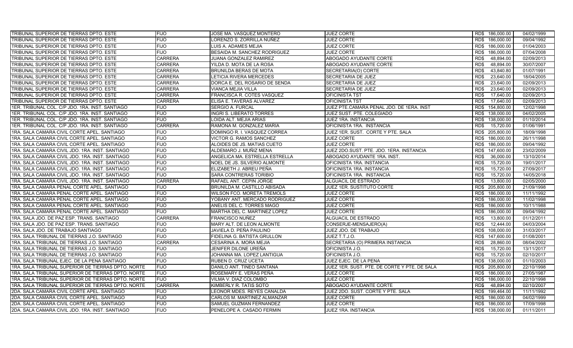| TRIBUNAL SUPERIOR DE TIERRAS DPTO. ESTE            | FIJO           | JOSE MA. VASQUEZ MONTERO            | <b>JUEZ CORTE</b>                            | RD\$ 186,000.00 |            | 04/02/1999 |
|----------------------------------------------------|----------------|-------------------------------------|----------------------------------------------|-----------------|------------|------------|
| TRIBUNAL SUPERIOR DE TIERRAS DPTO. ESTE            | FIJO           | LORENZO S. ZORRILLA NUÑEZ           | <b>JUEZ CORTE</b>                            | RD\$ 186,000.00 |            | 09/04/1992 |
| TRIBUNAL SUPERIOR DE TIERRAS DPTO. ESTE            | <b>FIJO</b>    | LUIS A. ADAMES MEJIA                | <b>JUEZ CORTE</b>                            | RD\$            | 186,000.00 | 01/04/2003 |
| TRIBUNAL SUPERIOR DE TIERRAS DPTO. ESTE            | <b>FIJO</b>    | BESAIDA M. SANCHEZ RODRIGUEZ        | <b>JUEZ CORTE</b>                            | RD\$            | 186,000.00 | 07/04/2008 |
| TRIBUNAL SUPERIOR DE TIERRAS DPTO. ESTE            | <b>CARRERA</b> | <b>JUANA GONZALEZ RAMIREZ</b>       | <b>ABOGADO AYUDANTE CORTE</b>                | RD\$            | 48,894.00  | 02/09/2013 |
| TRIBUNAL SUPERIOR DE TIERRAS DPTO. ESTE            | <b>CARRERA</b> | YILDA D. MOTA DE LA ROSA            | ABOGADO AYUDANTE CORTE                       | RD\$            | 48,894.00  | 30/07/2007 |
| TRIBUNAL SUPERIOR DE TIERRAS DPTO. ESTE            | <b>CARRERA</b> | <b>BRUNILDA BERAS DE MOTA</b>       | SECRETARIA(O) CORTE                          | RD\$            | 43,840.80  | 01/07/1991 |
| TRIBUNAL SUPERIOR DE TIERRAS DPTO. ESTE            | <b>CARRERA</b> | <b>LETICIA RIVERA MERCEDES</b>      | SECRETARIA DE JUEZ                           | RD\$            | 23.640.00  | 18/04/2005 |
| TRIBUNAL SUPERIOR DE TIERRAS DPTO. ESTE            | <b>CARRERA</b> | DORCA E. DEL ROSARIO DE SENDA       | SECRETARIA DE JUEZ                           | RD\$            | 23,640.00  | 02/09/2013 |
| TRIBUNAL SUPERIOR DE TIERRAS DPTO. ESTE            | <b>CARRERA</b> | <b>VIANCA MEJIA VILLA</b>           | SECRETARIA DE JUEZ                           | RD\$            | 23,640.00  | 02/09/2013 |
| TRIBUNAL SUPERIOR DE TIERRAS DPTO. ESTE            | <b>CARRERA</b> | FRANCISCA R. COTES VASQUEZ          | OFICINISTA TST                               | RD\$            | 17,640.00  | 02/09/2013 |
| TRIBUNAL SUPERIOR DE TIERRAS DPTO. ESTE            | <b>CARRERA</b> | ELISA E. TAVERAS ALVAREZ            | <b>OFICINISTA TST</b>                        | RD\$            | 17,640.00  | 02/09/2013 |
| 1ER. TRIBUNAL COL. C/P JDO. 1RA. INST. SANTIAGO    | <b>FIJO</b>    | <b>SERGIO A. FURCAL</b>             | JUEZ PTE.CAMARA PENAL JDO. DE 1ERA. INST     | RD\$            | 154,800.00 | 12/02/1998 |
| 1ER. TRIBUNAL COL. C/P JDO. 1RA. INST. SANTIAGO    | <b>FIJO</b>    | <b>INGRI S. LIBERATO TORRES</b>     | JUEZ SUST. PTE. COLEGIADO                    | RD\$ 138,000.00 |            | 04/02/2005 |
| 1ER. TRIBUNAL COL. C/P JDO. 1RA. INST. SANTIAGO    | <b>FIJO</b>    | LOIDA ALT. MEJIA ARIAS              | JUEZ 1RA. INSTANCIA                          | RD\$            | 138,000.00 | 01/10/2014 |
| 1ER. TRIBUNAL COL. C/P JDO. 1RA. INST. SANTIAGO    | <b>CARRERA</b> | RAMONA M. GONZALEZ MARIA            | OFICINISTA 1RA. INSTANCIA                    | RD\$            | 15,720.00  | 01/06/1991 |
| 1RA. SALA CAMARA CIVIL CORTE APEL. SANTIAGO        | <b>FIJO</b>    | DOMINGO R. I. VASQUEZ CORREA        | JUEZ 1ER. SUST. CORTE Y PTE. SALA            | RD\$            | 205,800.00 | 18/09/1998 |
| 1RA. SALA CAMARA CIVIL CORTE APEL. SANTIAGO        | <b>FIJO</b>    | <b>VICTOR G. RAMOS SANCHEZ</b>      | JUEZ CORTE                                   | RD\$ 186,000.00 |            | 26/11/1998 |
| 1RA. SALA CAMARA CIVIL CORTE APEL. SANTIAGO        | <b>FIJO</b>    | ALOIDES DE JS. MATIAS CUETO         | JUEZ CORTE                                   | RD\$            | 186,000.00 | 09/04/1992 |
| 1RA. SALA CAMARA CIVIL JDO. 1RA. INST. SANTIAGO    | <b>FIJO</b>    | ALDEMARO J. MUÑIZ MENA              | JUEZ 2DO.SUST. PTE. JDO. 1ERA. INSTANCIA     | RD\$            | 147.600.00 | 23/02/2009 |
| 1RA. SALA CAMARA CIVIL JDO. 1RA. INST. SANTIAGO    | <b>FIJO</b>    | ANGELICA MA. ESTRELLA ESTRELLA      | ABOGADO AYUDANTE 1RA. INST.                  | RD\$            | 36,000.00  | 13/10/2014 |
| 1RA. SALA CAMARA CIVIL JDO. 1RA. INST. SANTIAGO    | <b>FIJO</b>    | <b>NOEL DE JS. SILVERIO ALMONTE</b> | OFICINISTA 1RA. INSTANCIA                    | RD\$            | 15,720.00  | 19/01/2017 |
| 1RA. SALA CAMARA CIVIL JDO. 1RA. INST. SANTIAGO    | <b>FIJO</b>    | ELIZABETH J. ABREU PEÑA             | OFICINISTA 1RA. INSTANCIA                    | RD\$            | 15,720.00  | 27/09/2017 |
| 1RA. SALA CAMARA CIVIL JDO. 1RA. INST. SANTIAGO    | <b>FIJO</b>    | <b>SARA CONTRERAS TORIBIO</b>       | OFICINISTA 1RA. INSTANCIA                    | RD\$            | 15,720.00  | 14/05/2018 |
| 1RA. SALA CAMARA CIVIL JDO. 1RA. INST. SANTIAGO    | <b>CARRERA</b> | <b>RAFAEL ANT. CEPIN JORGE</b>      | ALGUACIL DE ESTRADO                          | RD\$            | 13,800.00  | 02/05/2000 |
| 1RA. SALA CAMARA PENAL CORTE APEL. SANTIAGO        | FIJO           | <b>BRUNILDA M. CASTILLO ABISADA</b> | JUEZ 1ER. SUSTITUTO CORTE                    | RD\$            | 205,800.00 | 21/09/1998 |
| 1RA. SALA CAMARA PENAL CORTE APEL. SANTIAGO        | <b>FIJO</b>    | <b>WILSON FCO. MORETA TREMOLS</b>   | <b>JUEZ CORTE</b>                            | RD\$            | 186,000.00 | 11/11/1992 |
| 1RA. SALA CAMARA PENAL CORTE APEL. SANTIAGO        | <b>FIJO</b>    | YOBANY ANT. MERCADO RODRIGUEZ       | JUEZ CORTE                                   | RD\$            | 186,000.00 | 11/02/1998 |
| 1RA. SALA CAMARA PENAL CORTE APEL. SANTIAGO        | <b>FIJO</b>    | ANELIS DEL C. TORRES MAGO           | <b>JUEZ CORTE</b>                            | RD\$            | 186,000.00 | 10/11/1988 |
| 1RA. SALA CAMARA PENAL CORTE APEL. SANTIAGO        | <b>FIJO</b>    | MARTHA DEL C. MARTINEZ LOPEZ        | <b>JUEZ CORTE</b>                            | RD\$            | 186.000.00 | 09/04/1992 |
| 1RA. SALA JDO. DE PAZ ESP. TRANS. SANTIAGO         | <b>CARRERA</b> | FRANCISCO NUÑEZ                     | <b>ALGUACIL DE ESTRADO</b>                   | RD\$            | 13,800.00  | 01/12/2011 |
| 1RA. SALA JDO. DE PAZ ESP. TRANS. SANTIAGO         | <b>FIJO</b>    | MARY ALT. DE LEON ALMONTE           | CONSERJE-MENSAJERO(A)                        | RD\$            | 12,444.00  | 04/03/2004 |
| 1RA. SALA JDO. DE TRABAJO SANTIAGO                 | <b>FIJO</b>    | JAVIELA D. PEÑA PAULINO             | JUEZ JDO. DE TRABAJO                         | RD\$            | 108,000.00 | 31/03/2017 |
| 1RA. SALA TRIBUNAL DE TIERRAS J.O. SANTIAGO        | <b>FIJO</b>    | FIDELINA G. BATISTA GRULLON         | JUEZ T.T.J.O.                                | RD\$            | 147,600.00 | 01/08/2001 |
| 1RA. SALA TRIBUNAL DE TIERRAS J.O. SANTIAGO        | <b>CARRERA</b> | CESARINA A. MORA MEJIA              | SECRETARIA (O) PRIMERA INSTANCIA             | RD\$            | 28,860.00  | 08/04/2002 |
| 1RA. SALA TRIBUNAL DE TIERRAS J.O. SANTIAGO        | <b>FIJO</b>    | JENIFER DILONE UREÑA                | OFICINISTA J.O.                              | RD\$            | 15,720.00  | 13/11/2017 |
| 1RA. SALA TRIBUNAL DE TIERRAS J.O. SANTIAGO        | <b>FIJO</b>    | JOHANNA MA. LOPEZ LANTIGUA          | OFICINISTA J.O.                              | RD\$            | 15,720.00  | 02/10/2017 |
| 1RA. SALA TRIBUNAL EJEC. DE LA PENA SANTIAGO       | <b>FIJO</b>    | <b>RUBEN D. CRUZ UCETA</b>          | JUEZ EJEC. DE LA PENA                        | RD\$            | 138,000.00 | 01/10/2003 |
| 1RA. SALA TRIBUNAL SUPERIOR DE TIERRAS DPTO. NORTE | <b>FIJO</b>    | DANILO ANT. TINEO SANTANA           | JUEZ 1ER. SUST. PTE. DE CORTE Y PTE. DE SALA | RD\$            | 205,800.00 | 22/10/1998 |
| 1RA. SALA TRIBUNAL SUPERIOR DE TIERRAS DPTO. NORTE | <b>FIJO</b>    | ROSEMARY E. VERAS PEÑA              | <b>JUEZ CORTE</b>                            | RD\$            | 186,000.00 | 27/05/1987 |
| 1RA. SALA TRIBUNAL SUPERIOR DE TIERRAS DPTO. NORTE | <b>FIJO</b>    | VILMA V. DIAZ COLOMBO               | <b>JUEZ CORTE</b>                            | RD\$            | 186.000.00 | 22/10/1998 |
| 1RA. SALA TRIBUNAL SUPERIOR DE TIERRAS DPTO. NORTE | <b>CARRERA</b> | <b>KIMBERLY R. TATIS SOTO</b>       | ABOGADO AYUDANTE CORTE                       | RD\$            | 48.894.00  | 02/10/2007 |
| 2DA. SALA CAMARA CIVIL CORTE APEL. SANTIAGO        | <b>FIJO</b>    | LEONOR MDES. REYES CANALDA          | JUEZ 2DO. SUST. CORTE Y PTE. SALA            | RD\$            | 199,464.00 | 11/11/1992 |
| 2DA. SALA CAMARA CIVIL CORTE APEL. SANTIAGO        | <b>FIJO</b>    | CARLOS M. MARTINEZ ALMANZAR         | <b>JUEZ CORTE</b>                            | RD\$            | 186,000.00 | 04/02/1999 |
| 2DA. SALA CAMARA CIVIL CORTE APEL. SANTIAGO        | <b>FIJO</b>    | SAMUEL GUZMAN FERNANDEZ             | <b>JUEZ CORTE</b>                            | RD\$            | 186,000.00 | 17/09/1998 |
| 2DA. SALA CAMARA CIVIL JDO. 1RA. INST. SANTIAGO    | <b>FIJO</b>    | <b>PENELOPE A. CASADO FERMIN</b>    | <b>JUEZ 1RA. INSTANCIA</b>                   | RD\$ 138,000.00 |            | 01/11/2011 |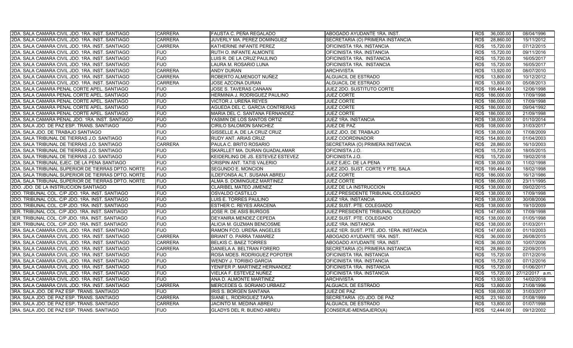| 2DA. SALA CAMARA CIVIL JDO. 1RA. INST. SANTIAGO    | <b>CARRERA</b> | FAUSTA C. PEÑA REGALADO           | ABOGADO AYUDANTE 1RA. INST.               | RD\$ | 36,000.00       | 08/04/1996      |
|----------------------------------------------------|----------------|-----------------------------------|-------------------------------------------|------|-----------------|-----------------|
| 2DA. SALA CAMARA CIVIL JDO. 1RA. INST. SANTIAGO    | <b>CARRERA</b> | JUVERLY MA. PEREZ DOMINGUEZ       | SECRETARIA (O) PRIMERA INSTANCIA          | RD\$ | 28,860.00       | 15/11/2012      |
| 2DA. SALA CAMARA CIVIL JDO. 1RA. INST. SANTIAGO    | <b>CARRERA</b> | KATHERINE INFANTE PEREZ           | OFICINISTA 1RA. INSTANCIA                 | RD\$ | 15,720.00       | 07/12/2015      |
| 2DA. SALA CAMARA CIVIL JDO. 1RA. INST. SANTIAGO    | <b>FIJO</b>    | RUTH O. INFANTE ALMONTE           | OFICINISTA 1RA. INSTANCIA                 | RD\$ | 15,720.00       | 09/11/2016      |
| 2DA. SALA CAMARA CIVIL JDO. 1RA. INST. SANTIAGO    | <b>FIJO</b>    | LUIS R. DE LA CRUZ PAULINO        | OFICINISTA 1RA. INSTANCIA                 | RD\$ | 15,720.00       | 16/05/2017      |
| 2DA. SALA CAMARA CIVIL JDO. 1RA. INST. SANTIAGO    | <b>FIJO</b>    | LAURA M. ROSARIO LUNA             | OFICINISTA 1RA. INSTANCIA                 | RD\$ | 15,720.00       | 16/05/2017      |
| 2DA. SALA CAMARA CIVIL JDO. 1RA. INST. SANTIAGO    | <b>CARRERA</b> | ANDY DURAN                        | <b>ARCHIVISTA</b>                         | RD\$ | 13,920.00       | 08/07/2010      |
| 2DA. SALA CAMARA CIVIL JDO. 1RA. INST. SANTIAGO    | CARRERA        | ROBERTO ALMENGOT NUÑEZ            | <b>ALGUACIL DE ESTRADO</b>                | RD\$ | 13,800.00       | 10/12/2012      |
| 2DA. SALA CAMARA CIVIL JDO. 1RA. INST. SANTIAGO    | <b>CARRERA</b> | JOSE AZCONA DURAN                 | ALGUACIL DE ESTRADO                       | RD\$ | 13,800.00       | 05/08/2013      |
| 2DA. SALA CAMARA PENAL CORTE APEL. SANTIAGO        | <b>FIJO</b>    | JOSE S. TAVERAS CANAAN            | JUEZ 2DO. SUSTITUTO CORTE                 | RD\$ | 199,464.00      | 12/06/1998      |
| 2DA. SALA CAMARA PENAL CORTE APEL. SANTIAGO        | <b>FIJO</b>    | HERMINIA J. RODRIGUEZ PAULINO     | <b>JUEZ CORTE</b>                         | RD\$ | 186,000.00      | 17/09/1998      |
| 2DA. SALA CAMARA PENAL CORTE APEL. SANTIAGO        | <b>FIJO</b>    | VICTOR J. UREÑA REYES             | <b>JUEZ CORTE</b>                         | RD\$ | 186,000.00      | 17/09/1998      |
| 2DA. SALA CAMARA PENAL CORTE APEL. SANTIAGO        | <b>FIJO</b>    | AGUEDA DEL C. GARCIA CONTRERAS    | <b>JUEZ CORTE</b>                         |      | RD\$ 186,000.00 | 09/04/1992      |
| 2DA. SALA CAMARA PENAL CORTE APEL. SANTIAGO        | <b>FIJO</b>    | MARIA DEL C. SANTANA FERNANDEZ    | <b>JUEZ CORTE</b>                         |      | RD\$ 186,000.00 | 21/09/1998      |
| 2DA. SALA CAMARA PENAL JDO. 1RA. INST. SANTIAGO    | <b>FIJO</b>    | YASMIN DE LOS SANTOS ORTIZ        | JUEZ 1RA. INSTANCIA                       | RD\$ | 138,000.00      | 01/10/2014      |
| 2DA. SALA JDO. DE PAZ ESP. TRANS. SANTIAGO         | <b>FIJO</b>    | CIRILO SALOMON SANCHEZ            | JUEZ DE PAZ                               | RD\$ | 108,000.00      | 31/03/2017      |
| 2DA. SALA JDO. DE TRABAJO SANTIAGO                 | <b>FIJO</b>    | GISSELLE A. DE LA CRUZ CRUZ       | JUEZ JDO. DE TRABAJO                      | RD\$ | 138,000.00      | 17/08/2009      |
| 2DA. SALA TRIBUNAL DE TIERRAS J.O. SANTIAGO        | <b>FIJO</b>    | RUDY ANT. ARIAS CRUZ              | JUEZ COORDINADOR                          |      | RD\$ 154,800.00 | 01/04/2003      |
| 2DA. SALA TRIBUNAL DE TIERRAS J.O. SANTIAGO        | <b>CARRERA</b> | PAULA C. BRITO ROSARIO            | SECRETARIA (O) PRIMERA INSTANCIA          | RD\$ | 28,860.00       | 16/10/2003      |
| 2DA. SALA TRIBUNAL DE TIERRAS J.O. SANTIAGO        | <b>FIJO</b>    | SKARLLET MA. DURAN GUADALAMAR     | OFICINISTA J.O.                           | RD\$ | 15,720.00       | 18/05/2015      |
| 2DA. SALA TRIBUNAL DE TIERRAS J.O. SANTIAGO        | <b>FIJO</b>    | KEIDERLING DE JS. ESTEVEZ ESTEVEZ | OFICINISTA J.O.                           | RD\$ | 15,720.00       | 19/02/2018      |
| 2DA. SALA TRIBUNAL EJEC. DE LA PENA SANTIAGO       | <b>FIJO</b>    | CRISPIN ANT. TATIS VALERIO        | JUEZ EJEC. DE LA PENA                     | RD\$ | 138,000.00      | 11/02/1998      |
| 2DA. SALA TRIBUNAL SUPERIOR DE TIERRAS DPTO. NORTE | <b>FIJO</b>    | SEGUNDO E. MONCION                | JUEZ 2DO. SUST. CORTE Y PTE. SALA         | RD\$ | 199,464.00      | 18/02/1998      |
| 2DA. SALA TRIBUNAL SUPERIOR DE TIERRAS DPTO. NORTE | <b>FIJO</b>    | ILDEFONSA ALT. SUSANA ABREU       | <b>JUEZ CORTE</b>                         | RD\$ | 186,000.00      | 16/12/1986      |
| 2DA. SALA TRIBUNAL SUPERIOR DE TIERRAS DPTO. NORTE | <b>FIJO</b>    | ALMA S. DOMINGUEZ MARTINEZ        | <b>JUEZ CORTE</b>                         | RD\$ | 186,000.00      | 23/11/1995      |
| 2DO. JDO. DE LA INSTRUCCION SANTIAGO               | <b>FIJO</b>    | CLARIBEL MATEO JIMENEZ            | JUEZ DE LA INSTRUCCION                    | RD\$ | 138,000.00      | 09/02/2015      |
| 2DO. TRIBUNAL COL. C/P JDO. 1RA. INST. SANTIAGO    | <b>FIJO</b>    | OSVALDO CASTILLO                  | JUEZ PRESIDENTE TRIBUNAL COLEGIADO        | RD\$ | 138,000.00      | 17/09/1998      |
| 2DO. TRIBUNAL COL. C/P JDO. 1RA. INST. SANTIAGO    | <b>FIJO</b>    | LUIS E. TORRES PAULINO            | JUEZ 1RA. INSTANCIA                       | RD\$ | 138,000.00      | 30/08/2006      |
| 2DO. TRIBUNAL COL. C/P JDO. 1RA. INST. SANTIAGO    | <b>FIJO</b>    | ESTHER C. REYES ARACENA           | JUEZ SUST. PTE. COLEGIADO                 |      | RD\$ 138,000.00 | 19/10/2009      |
| 3ER. TRIBUNAL COL. C/P JDO. 1RA. INST. SANTIAGO    | <b>FIJO</b>    | JOSE R. DE ASIS BURGOS            | JUEZ PRESIDENTE TRIBUNAL COLEGIADO        |      | RD\$ 147,600.00 | 17/09/1998      |
| 3ER. TRIBUNAL COL. C/P JDO. 1RA. INST. SANTIAGO    | <b>FIJO</b>    | DEYANIRA MENDEZ CEPEDA            | JUEZ SUST. PTE. COLEGIADO                 |      | RD\$ 138,000.00 | 01/05/1998      |
| 3ER. TRIBUNAL COL. C/P JDO. 1RA. INST. SANTIAGO    | <b>FIJO</b>    | ALICIA M. GUZMAN BENCOSME         | JUEZ 1RA. INSTANCIA                       | RD\$ | 138,000.00      | 01/03/2011      |
| 3RA. SALA CAMARA CIVIL JDO. 1RA. INST. SANTIAGO    | <b>FIJO</b>    | RAMON FCO. UREÑA ANGELES          | JUEZ 1ER. SUST. PTE. JDO. 1ERA. INSTANCIA | RD\$ | 147,600.00      | 01/10/2003      |
| 3RA. SALA CAMARA CIVIL JDO. 1RA. INST. SANTIAGO    | <b>CARRERA</b> | <b>BRIANT O. PARRA TAMAREZ</b>    | ABOGADO AYUDANTE 1RA. INST.               | RD\$ | 36,000.00       | 26/08/2015      |
| 3RA. SALA CAMARA CIVIL JDO. 1RA. INST. SANTIAGO    | <b>CARRERA</b> | <b>BELKIS C. BAEZ TORRES</b>      | ABOGADO AYUDANTE 1RA. INST.               | RD\$ | 36,000.00       | 10/07/2006      |
| 3RA. SALA CAMARA CIVIL JDO. 1RA. INST. SANTIAGO    | <b>CARRERA</b> | DANIELA A. BELTRAN FORERO         | SECRETARIA (O) PRIMERA INSTANCIA          | RD\$ | 28,860.00       | 22/09/2015      |
| 3RA. SALA CAMARA CIVIL JDO. 1RA. INST. SANTIAGO    | <b>FIJO</b>    | ROSA MDES. RODRIGUEZ POPOTER      | OFICINISTA 1RA. INSTANCIA                 | RD\$ | 15,720.00       | 07/12/2016      |
| 3RA. SALA CAMARA CIVIL JDO. 1RA. INST. SANTIAGO    | <b>FIJO</b>    | <b>WENDY J. TORIBIO GARCIA</b>    | OFICINISTA 1RA. INSTANCIA                 | RD\$ | 15,720.00       | 07/12/2016      |
| 3RA. SALA CAMARA CIVIL JDO. 1RA. INST. SANTIAGO    | <b>FIJO</b>    | YENIFER P. MARTINEZ HERNANDEZ     | OFICINISTA 1RA. INSTANCIA                 | RD\$ | 15,720.00       | 01/06/2017      |
| 3RA. SALA CAMARA CIVIL JDO. 1RA. INST. SANTIAGO    | <b>FIJO</b>    | VIELKA F. ESTEVEZ NUÑEZ           | OFICINISTA 1RA. INSTANCIA                 | RD\$ | 15,720.00       | 27/12/2017 a.m. |
| 3RA. SALA CAMARA CIVIL JDO. 1RA. INST. SANTIAGO    | <b>FIJO</b>    | ANA D. ALMONTE MARTINEZ           | ARCHIVISTA                                | RD\$ | 13,920.00       | 14/02/2018      |
| 3RA. SALA CAMARA CIVIL JDO. 1RA. INST. SANTIAGO    | <b>CARRERA</b> | MERCEDES G. SORIANO URBAEZ        | ALGUACIL DE ESTRADO                       | RD\$ | 13,800.00       | 21/08/1996      |
| 3RA. SALA JDO. DE PAZ ESP. TRANS. SANTIAGO         | <b>FIJO</b>    | IRIS S. BORGEN SANTANA            | <b>JUEZ DE PAZ</b>                        | RD\$ | 108.000.00      | 31/03/2017      |
| 3RA. SALA JDO. DE PAZ ESP. TRANS. SANTIAGO         | <b>CARRERA</b> | SIANE L. RODRIGUEZ TAPIA          | SECRETARIA (O) JDO. DE PAZ                | RD\$ | 23,160.00       | 01/08/1999      |
| 3RA. SALA JDO. DE PAZ ESP. TRANS. SANTIAGO         | CARRERA        | JACINTO M. MEDINA ABREU           | ALGUACIL DE ESTRADO                       | RD\$ | 13,800.00       | 01/07/1998      |
| 3RA. SALA JDO. DE PAZ ESP. TRANS. SANTIAGO         | <b>FIJO</b>    | <b>GLADYS DEL R. BUENO ABREU</b>  | CONSERJE-MENSAJERO(A)                     | RD\$ | 12.444.00       | 09/12/2002      |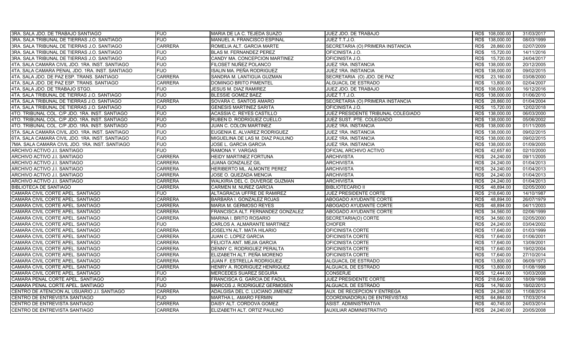| 3RA. SALA JDO. DE TRABAJO SANTIAGO              | <b>FIJO</b>    | MARIA DE LA C. TEJEDA SUAZO       | JUEZ JDO. DE TRABAJO               | RD\$ 108,000.00    | 31/03/2017 |
|-------------------------------------------------|----------------|-----------------------------------|------------------------------------|--------------------|------------|
| 3RA. SALA TRIBUNAL DE TIERRAS J.O. SANTIAGO     | <b>FIJO</b>    | MANUEL A. FRANCISCO ESPINAL       | JUEZ T.T.J.O.                      | RD\$<br>138,000.00 | 08/03/1999 |
| 3RA. SALA TRIBUNAL DE TIERRAS J.O. SANTIAGO     | <b>CARRERA</b> | ROMELIA ALT. GARCIA MARTE         | SECRETARIA (O) PRIMERA INSTANCIA   | 28,860.00<br>RD\$  | 02/07/2009 |
| 3RA. SALA TRIBUNAL DE TIERRAS J.O. SANTIAGO     | <b>FIJO</b>    | BLAS M. FERNANDEZ PEREZ           | OFICINISTA J.O.                    | 15,720.00<br>RD\$  | 14/11/2016 |
| 3RA. SALA TRIBUNAL DE TIERRAS J.O. SANTIAGO     | <b>FIJO</b>    | CANDY MA. CONCEPCION MARTINEZ     | OFICINISTA J.O.                    | RD\$<br>15,720.00  | 24/04/2017 |
| 4TA. SALA CAMARA CIVIL JDO. 1RA. INST. SANTIAGO | <b>FIJO</b>    | FILOSET NUÑEZ POLANCO             | <b>JUEZ 1RA. INSTANCIA</b>         | 138,000.00<br>RD\$ | 20/12/2005 |
| 4TA. SALA CAMARA PENAL JDO. 1RA. INST. SANTIAGO | <b>FIJO</b>    | ISALIN MA. PEÑA RODRIGUEZ         | JUEZ 1RA. INSTANCIA                | 138,000.00<br>RD\$ | 09/02/2015 |
| 4TA. SALA JDO. DE PAZ ESP. TRANS. SANTIAGO      | <b>CARRERA</b> | SANDRA M. LANTIGUA GUZMAN         | SECRETARIA (O) JDO. DE PAZ         | 23,160.00<br>RD\$  | 03/08/2000 |
| 4TA. SALA JDO. DE PAZ ESP. TRANS. SANTIAGO      | <b>CARRERA</b> | DOMINGO BRITO PIMENTEL            | <b>ALGUACIL DE ESTRADO</b>         | 13,800.00<br>RD\$  | 02/04/2007 |
| 4TA. SALA JDO. DE TRABAJO STGO.                 | <b>FIJO</b>    | <b>JESUS M. DIAZ RAMIREZ</b>      | JUEZ JDO. DE TRABAJO               | RD\$<br>108,000.00 | 16/12/2016 |
| 4TA. SALA TRIBUNAL DE TIERRAS J.O. SANTIAGO     | <b>FIJO</b>    | <b>BLESSIE GOMEZ BAEZ</b>         | JUEZ T.T.J.O.                      | 138,000.00<br>RD\$ | 01/06/2010 |
| 4TA. SALA TRIBUNAL DE TIERRAS J.O. SANTIAGO     | <b>CARRERA</b> | SOVARA C. SANTOS AMARO            | SECRETARIA (O) PRIMERA INSTANCIA   | 28,860.00<br>RD\$  | 01/04/2004 |
| 4TA. SALA TRIBUNAL DE TIERRAS J.O. SANTIAGO     | <b>FIJO</b>    | <b>GENESIS MARTINEZ SARITA</b>    | OFICINISTA J.O.                    | RD\$<br>15,720.00  | 12/02/2018 |
| 4TO. TRIBUNAL COL. C/P JDO. 1RA. INST. SANTIAGO | <b>FIJO</b>    | ACASSIA C. REYES CASTILLO         | JUEZ PRESIDENTE TRIBUNAL COLEGIADO | 138,000.00<br>RD\$ | 06/03/2000 |
| 4TO. TRIBUNAL COL. C/P JDO. 1RA. INST. SANTIAGO | <b>FIJO</b>    | RUBEN D. RODRIGUEZ CUELLO         | JUEZ SUST. PTE. COLEGIADO          | 138.000.00<br>RD\$ | 05/06/2002 |
| 4TO. TRIBUNAL COL. C/P JDO. 1RA. INST. SANTIAGO | <b>FIJO</b>    | JUAN C. COLON MARTINEZ            | JUEZ 1RA. INSTANCIA                | RD\$ 138,000.00    | 01/11/2005 |
| 5TA. SALA CAMARA CIVIL JDO. 1RA. INST. SANTIAGO | <b>FIJO</b>    | EUGENIA E. ALVAREZ RODRIGUEZ      | JUEZ 1RA. INSTANCIA                | RD\$ 138,000.00    | 09/02/2015 |
| 6TA. SALA CAMARA CIVIL JDO. 1RA. INST. SANTIAGO | <b>FIJO</b>    | MIGUELINA DE LAS M. DIAZ PAULINO  | <b>JUEZ 1RA. INSTANCIA</b>         | RD\$ 138,000.00    | 09/02/2015 |
| 7MA. SALA CAMARA CIVIL JDO. 1RA. INST. SANTIAGO | <b>FIJO</b>    | JOSE L. GARCIA GARCIA             | JUEZ 1RA. INSTANCIA                | RD\$<br>138,000.00 | 01/09/2005 |
| ARCHIVO ACTIVO J.I. SANTIAGO                    | <b>FIJO</b>    | RAMONA Y. VARGAS                  | OFICIAL ARCHIVO ACTIVO             | RD\$<br>42.657.60  | 02/10/2000 |
| ARCHIVO ACTIVO J.I. SANTIAGO                    | <b>CARRERA</b> | HEIDY MARTINEZ FORTUNA            | <b>ARCHIVISTA</b>                  | RD\$<br>24,240.00  | 09/11/2005 |
| ARCHIVO ACTIVO J.I. SANTIAGO                    | <b>CARRERA</b> | JUANA GONZALEZ GIL                | <b>ARCHIVISTA</b>                  | 24,240.00<br>RD\$  | 01/04/2013 |
| ARCHIVO ACTIVO J.I. SANTIAGO                    | <b>CARRERA</b> | HERIBERTO ML. ALMONTE PEREZ       | <b>ARCHIVISTA</b>                  | RD\$<br>24,240.00  | 01/04/2013 |
| ARCHIVO ACTIVO J.I. SANTIAGO                    | <b>CARRERA</b> | JOSE O. QUEZADA MENCIA            | <b>ARCHIVISTA</b>                  | 24,240.00<br>RD\$  | 01/04/2013 |
| ARCHIVO ACTIVO J.I. SANTIAGO                    | <b>CARRERA</b> | WALKIRIA DEL C. DUVERGE GUZMAN    | <b>ARCHIVISTA</b>                  | RD\$<br>24,240.00  | 01/04/2013 |
| <b>BIBLIOTECA DE SANTIAGO</b>                   | <b>CARRERA</b> | CARMEN M. NUÑEZ GARCIA            | BIBLIOTECARIO II                   | 48,894.00<br>RD\$  | 02/05/2000 |
| CAMARA CIVIL CORTE APEL. SANTIAGO               | <b>FIJO</b>    | ALTAGRACIA UFFRE DE RAMIREZ       | JUEZ PRESIDENTE CORTE              | 218,640.00<br>RD\$ | 14/10/1987 |
| CAMARA CIVIL CORTE APEL. SANTIAGO               | <b>CARRERA</b> | BARBARA I. GONZALEZ ROJAS         | ABOGADO AYUDANTE CORTE             | RD\$<br>48,894.00  | 26/07/1979 |
| CAMARA CIVIL CORTE APEL. SANTIAGO               | <b>CARRERA</b> | MARIA M. GERMOSO REYES            | ABOGADO AYUDANTE CORTE             | RD\$<br>48,894.00  | 04/11/2003 |
| CAMARA CIVIL CORTE APEL. SANTIAGO               | <b>CARRERA</b> | FRANCISCA ALT. FERNANDEZ GONZALEZ | ABOGADO AYUDANTE CORTE             | 34,560.00<br>RD\$  | 02/06/1999 |
| CAMARA CIVIL CORTE APEL. SANTIAGO               | CARRERA        | <b>MARINA I. BRITO ROSARIO</b>    | SECRETARIA(O) CORTE                | RD\$<br>34,560.00  | 02/05/2000 |
| CAMARA CIVIL CORTE APEL. SANTIAGO               | <b>FIJO</b>    | CARLOS A. ALMARANTE MARTINEZ      | CHOFER                             | RD\$<br>24,240.00  | 03/04/2002 |
| CAMARA CIVIL CORTE APEL. SANTIAGO               | <b>CARRERA</b> | JOSELYN ALT. MATA HILARIO         | OFICINISTA CORTE                   | 17,640.00<br>RD\$  | 01/03/1999 |
| CAMARA CIVIL CORTE APEL. SANTIAGO               | <b>CARRERA</b> | JUAN C. LOPEZ GARCIA              | OFICINISTA CORTE                   | 17,640.00<br>RD\$  | 01/06/2001 |
| CAMARA CIVIL CORTE APEL. SANTIAGO               | <b>CARRERA</b> | FELICITA ANT. MEJIA GARCIA        | OFICINISTA CORTE                   | 17.640.00<br>RD\$  | 13/09/2001 |
| CAMARA CIVIL CORTE APEL. SANTIAGO               | <b>CARRERA</b> | DENNY C. RODRIGUEZ PERALTA        | OFICINISTA CORTE                   | RD\$<br>17,640.00  | 19/02/2004 |
| CAMARA CIVIL CORTE APEL. SANTIAGO               | <b>CARRERA</b> | ELIZABETH ALT. PEÑA MORENO        | OFICINISTA CORTE                   | 17,640.00<br>RD\$  | 27/10/2014 |
| CAMARA CIVIL CORTE APEL. SANTIAGO               | <b>CARRERA</b> | JUAN F. ESTRELLA RODRIGUEZ        | ALGUACIL DE ESTRADO                | 13,800.00<br>RD\$  | 06/09/1973 |
| CAMARA CIVIL CORTE APEL. SANTIAGO               | <b>CARRERA</b> | HENRY A. RODRIGUEZ HENRIQUEZ      | ALGUACIL DE ESTRADO                | 13,800.00<br>RD\$  | 01/08/1998 |
| CAMARA CIVIL CORTE APEL. SANTIAGO               | <b>FIJO</b>    | <b>MERCEDES SUAREZ SEGURA</b>     | <b>CONSERJE</b>                    | RD\$<br>12.444.00  | 10/03/2008 |
| CAMARA PENAL CORTE APEL. SANTIAGO               | <b>FIJO</b>    | FRANCISCA G. GARCIA DE FADUL      | JUEZ PRESIDENTE CORTE              | 218,640.00<br>RD\$ | 18/09/1998 |
| CAMARA PENAL CORTE APEL. SANTIAGO               | <b>FIJO</b>    | MARCOS J. RODRIGUEZ GERMOSEN      | ALGUACIL DE ESTRADO                | 14,760.00<br>RD\$  | 18/02/2013 |
| CENTRO DE ATENCION AL USUARIO J.I. SANTIAGO     | <b>CARRERA</b> | ADALGISA DEL C. LUCIANO JIMENEZ   | AUX. DE RECEPCION Y ENTREGA        | 24,240.00<br>RD\$  | 11/08/2014 |
| CENTRO DE ENTREVISTA SANTIAGO                   | <b>FIJO</b>    | MARTHA L. AMARO FERMIN            | COORDINADOR(A) DE ENTREVISTAS      | RD\$<br>64,864.00  | 17/03/2014 |
| CENTRO DE ENTREVISTA SANTIAGO                   | <b>CARRERA</b> | DAISY ALT. CORDOVA GOMEZ          | ASIST. ADMINISTRATIVA              | 40,745.00<br>RD\$  | 24/03/2014 |
| CENTRO DE ENTREVISTA SANTIAGO                   | <b>CARRERA</b> | ELIZABETH ALT. ORTIZ PAULINO      | AUXILIAR ADMINISTRATIVO            | RD\$<br>24,240.00  | 20/05/2008 |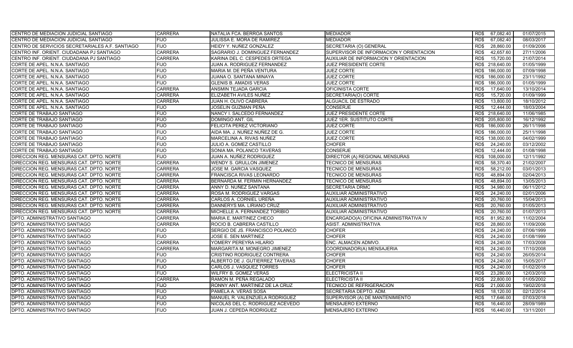| CENTRO DE MEDIACION JUDICIAL SANTIAGO           | <b>CARRERA</b> | NATALIA FCA. BERROA SANTOS       | <b>MEDIADOR</b>                         | RD\$<br>67,082.40           | 01/07/2015 |
|-------------------------------------------------|----------------|----------------------------------|-----------------------------------------|-----------------------------|------------|
| CENTRO DE MEDIACION JUDICIAL SANTIAGO           | <b>FIJO</b>    | JULISSA E. MORA DE RAMIREZ       | <b>MEDIADOR</b>                         | RD\$<br>67,082.40           | 08/03/2017 |
| CENTRO DE SERVICIOS SECRETARIALES A.F. SANTIAGO | <b>FIJO</b>    | HEIDY Y. NUÑEZ GONZALEZ          | SECRETARIA (O) GENERAL                  | RD\$<br>28,860.00           | 01/09/2006 |
| CENTRO INF. ORIENT. CIUDADANA PJ SANTIAGO       | <b>CARRERA</b> | SAGRARIO J. DOMINGUEZ FERNANDEZ  | SUPERVISOR DE INFORMACION Y ORIENTACION | 42,657.60<br>RD\$           | 27/11/2006 |
| CENTRO INF. ORIENT. CIUDADANA PJ SANTIAGO       | <b>CARRERA</b> | KARINA DEL C. CESPEDES ORTEGA    | AUXILIAR DE INFORMACION Y ORIENTACION   | RD\$<br>15,720.00           | 21/07/2014 |
| CORTE DE APEL. N.N.A. SANTIAGO                  | <b>FIJO</b>    | JUAN A. RODRIGUEZ FERNANDEZ      | JUEZ PRESIDENTE CORTE                   | 218,640.00<br>RD\$          | 01/05/1999 |
| CORTE DE APEL. N.N.A. SANTIAGO                  | <b>FIJO</b>    | MARIA M. DE PEÑA VENTURA         | <b>JUEZ CORTE</b>                       | RD\$<br>186,000.00          | 07/09/1998 |
| CORTE DE APEL. N.N.A. SANTIAGO                  | <b>FIJO</b>    | JUANA O. SANTANA MINAYA          | <b>JUEZ CORTE</b>                       | 186,000.00<br>RD\$          | 23/11/1992 |
| CORTE DE APEL. N.N.A. SANTIAGO                  | <b>FIJO</b>    | <b>GLENIS B. AMADIS VERAS</b>    | <b>JUEZ CORTE</b>                       | 186.000.00<br>RD\$          | 01/05/1999 |
| CORTE DE APEL. N.N.A. SANTIAGO                  | <b>CARRERA</b> | ANSMIN TEJADA GARCIA             | OFICINISTA CORTE                        | RD\$<br>17.640.00           | 13/10/2014 |
| CORTE DE APEL. N.N.A. SANTIAGO                  | <b>CARRERA</b> | ELIZABETH AVILES NUÑEZ           | SECRETARIA(O) CORTE                     | 15,720.00<br>RD\$           | 01/09/1999 |
| CORTE DE APEL. N.N.A. SANTIAGO                  | <b>CARRERA</b> | JUAN H. OLIVO CABRERA            | ALGUACIL DE ESTRADO                     | RD\$<br>13.800.00           | 18/10/2012 |
| CORTE DE APEL. N.N.A. SANTIAGO                  | <b>FIJO</b>    | JOSELIN GUZMAN PEÑA              | <b>CONSERJE</b>                         | RD\$<br>12,444.00           | 18/03/2004 |
| CORTE DE TRABAJO SANTIAGO                       | <b>FIJO</b>    | NANCY I. SALCEDO FERNANDEZ       | JUEZ PRESIDENTE CORTE                   | RD\$ 218,640.00             | 11/06/1985 |
| CORTE DE TRABAJO SANTIAGO                       | <b>FIJO</b>    | DOMINGO ANT. GIL                 | JUEZ 1ER. SUSTITUTO CORTE               | RD\$ 205,800.00             | 16/12/1992 |
| CORTE DE TRABAJO SANTIAGO                       | <b>FIJO</b>    | FELICITA PEREZ VICTORIANO        | <b>JUEZ CORTE</b>                       | RD\$<br>186,000.00          | 26/11/1998 |
| CORTE DE TRABAJO SANTIAGO                       | <b>FIJO</b>    | AIDA MA. J. NUÑEZ NUÑEZ DE G.    | <b>JUEZ CORTE</b>                       | RD\$<br>186,000.00          | 25/11/1998 |
| CORTE DE TRABAJO SANTIAGO                       | <b>FIJO</b>    | MARCELINA A. RIVAS NUÑEZ         | <b>JUEZ CORTE</b>                       | 138,000.00<br>RD\$          | 04/02/1999 |
| CORTE DE TRABAJO SANTIAGO                       | <b>FIJO</b>    | JULIO A. GOMEZ CASTILLO          | <b>CHOFER</b>                           | RD\$<br>24,240.00           | 03/12/2002 |
| CORTE DE TRABAJO SANTIAGO                       | <b>FIJO</b>    | SONIA MA. POLANCO TAVERAS        | <b>CONSERJE</b>                         | 12,444.00<br>RD\$           | 01/08/1998 |
| DIRECCION REG. MENSURAS CAT. DPTO. NORTE        | <b>FIJO</b>    | JUAN A. NUÑEZ RODRIGUEZ          | DIRECTOR (A) REGIONAL MENSURAS          | 108,000.00<br>RD\$          | 12/11/1992 |
| DIRECCION REG. MENSURAS CAT. DPTO. NORTE        | <b>CARRERA</b> | WENDY S. GRULLON JIMENEZ         | <b>TECNICO DE MENSURAS</b>              | 58,370.40<br>RD\$           | 21/02/2007 |
| DIRECCION REG. MENSURAS CAT. DPTO. NORTE        | <b>CARRERA</b> | JOSE M. GARCIA VASQUEZ           | <b>TECNICO DE MENSURAS</b>              | RD\$<br>58,212.00           | 03/01/2013 |
| DIRECCION REG. MENSURAS CAT. DPTO. NORTE        | <b>CARRERA</b> | FRANCISCA RIVAS LEONARDO         | TECNICO DE MENSURAS                     | 48,894.00<br>RD\$           | 02/04/2013 |
| DIRECCION REG. MENSURAS CAT. DPTO. NORTE        | <b>CARRERA</b> | BERNARDA M. FERMIN HERNANDEZ     | <b>TECNICO DE MENSURAS</b>              | RD\$<br>48.894.00           | 13/05/2013 |
| DIRECCION REG. MENSURAS CAT. DPTO. NORTE        | <b>CARRERA</b> | ANNY D. NUÑEZ SANTANA            | <b>SECRETARIA DRMC</b>                  | RD\$<br>34,980.00           | 06/11/2012 |
| DIRECCION REG. MENSURAS CAT. DPTO. NORTE        | <b>CARRERA</b> | ROSA M. RODRIGUEZ VARGAS         | <b>AUXILIAR ADMINISTRATIVO</b>          | RD\$<br>24,240.00           | 02/01/2006 |
| DIRECCION REG. MENSURAS CAT. DPTO. NORTE        | <b>CARRERA</b> | CARLOS A. CORNIEL UREÑA          | AUXILIAR ADMINISTRATIVO                 | R <sub>D</sub><br>20,760.00 | 15/04/2013 |
| DIRECCION REG. MENSURAS CAT. DPTO. NORTE        | <b>CARRERA</b> | DANNERYS MA. LIRIANO CRUZ        | AUXILIAR ADMINISTRATIVO                 | RD\$<br>20,760.00           | 01/05/2013 |
| DIRECCION REG. MENSURAS CAT. DPTO. NORTE        | <b>CARRERA</b> | MICHELLE A. FERNANDEZ TORIBIO    | <b>AUXILIAR ADMINISTRATIVO</b>          | 20,760.00<br>RD\$           | 01/07/2013 |
| DPTO. ADMINISTRATIVO SANTIAGO                   | <b>CARRERA</b> | MARIA E. MARTINEZ CHECO          | ENCARGADO(A) OFICINA ADMINISTRATIVA IV  | RD\$<br>81,952.80           | 11/02/2004 |
| DPTO. ADMINISTRATIVO SANTIAGO                   | <b>CARRERA</b> | ROCIO B. CABRERA CASTILLO        | ASIST. ADMINISTRATIVA                   | RD\$<br>28,860.00           | 11/09/2006 |
| DPTO. ADMINISTRATIVO SANTIAGO                   | <b>FIJO</b>    | SERGIO DE JS. FRANCISCO POLANCO  | <b>CHOFER</b>                           | RD\$<br>24,240.00           | 07/06/1999 |
| DPTO. ADMINISTRATIVO SANTIAGO                   | <b>FIJO</b>    | JOSE E. SEN MARTINEZ             | <b>CHOFER</b>                           | RD\$<br>24,240.00           | 01/08/1999 |
| DPTO. ADMINISTRATIVO SANTIAGO                   | <b>CARRERA</b> | YOMERY PEREYRA HILARIO           | ENC. ALMACEN ADMVO.                     | RD\$<br>24,240.00           | 17/03/2008 |
| DPTO. ADMINISTRATIVO SANTIAGO                   | <b>CARRERA</b> | MARGARITA M. MONEGRO JIMENEZ     | COORDINADOR(A) MENSAJERIA               | 24,240.00<br>RD\$           | 17/10/2008 |
| DPTO. ADMINISTRATIVO SANTIAGO                   | <b>FIJO</b>    | CRISTINO RODRIGUEZ CONTRERA      | <b>CHOFER</b>                           | 24,240.00<br>RD\$           | 26/05/2014 |
| DPTO. ADMINISTRATIVO SANTIAGO                   | <b>FIJO</b>    | ALBERTO DE J. GUTIERREZ TAVERAS  | <b>CHOFER</b>                           | RD\$<br>24,240.00           | 15/05/2017 |
| DPTO. ADMINISTRATIVO SANTIAGO                   | <b>FIJO</b>    | CARLOS J. VASQUEZ TORRES         | <b>CHOFER</b>                           | 24,240.00<br>RD\$           | 01/02/2018 |
| DPTO. ADMINISTRATIVO SANTIAGO                   | <b>FIJO</b>    | WILFRY B. GOMEZ VERAS            | <b>ELECTRICISTA II</b>                  | 23,280.00<br>RD\$           | 12/03/2018 |
| DPTO. ADMINISTRATIVO SANTIAGO                   | <b>CARRERA</b> | RAMON M. PEÑA REGALADO           | <b>ELECTRICISTA II</b>                  | RD\$<br>22,800.00           | 01/05/2002 |
| DPTO. ADMINISTRATIVO SANTIAGO                   | <b>FIJO</b>    | RONNY ANT. MARTINEZ DE LA CRUZ   | <b>TECNICO DE REFRIGERACION</b>         | 21,000.00<br>RD\$           | 19/02/2018 |
| DPTO. ADMINISTRATIVO SANTIAGO                   | <b>FIJO</b>    | PAMELA A. VERAS SOSA             | SECRETARIA DEPTO. ADM                   | RD\$<br>18,120.00           | 02/12/2014 |
| DPTO. ADMINISTRATIVO SANTIAGO                   | <b>FIJO</b>    | MANUEL R. VALENZUELA RODRIGUEZ   | SUPERVISOR (A) DE MANTENIMIENTO         | RD\$<br>17.646.00           | 07/03/2018 |
| DPTO. ADMINISTRATIVO SANTIAGO                   | <b>FIJO</b>    | NICOLAS DEL C. RODRIGUEZ ACEVEDO | <b>MENSAJERO EXTERNO</b>                | RD\$<br>16,440.00           | 28/09/1989 |
| DPTO. ADMINISTRATIVO SANTIAGO                   | <b>FIJO</b>    | JUAN J. CEPEDA RODRIGUEZ         | <b>MENSAJERO EXTERNO</b>                | RD\$<br>16,440.00           | 13/11/2001 |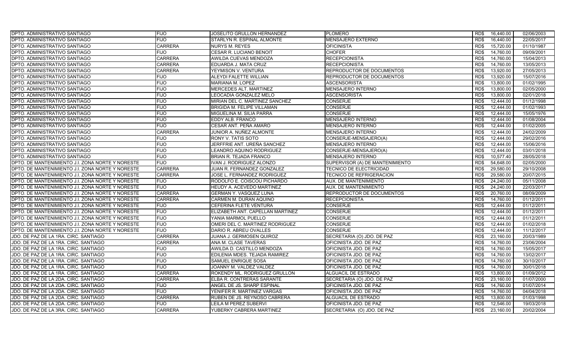| <b>DPTO. ADMINISTRATIVO SANTIAGO</b>             | <b>FIJO</b>    | JOSELITO GRULLON HERNANDEZ        | <b>PLOMERO</b>                  | RD\$ | 16,440.00 | 02/06/2003 |
|--------------------------------------------------|----------------|-----------------------------------|---------------------------------|------|-----------|------------|
| DPTO. ADMINISTRATIVO SANTIAGO                    | <b>FIJO</b>    | STARLYN R. ESPINAL ALMONTE        | <b>MENSAJERO EXTERNO</b>        | RD\$ | 16,440.00 | 22/05/2017 |
| DPTO. ADMINISTRATIVO SANTIAGO                    | <b>CARRERA</b> | <b>NURYS M. REYES</b>             | <b>OFICINISTA</b>               | RD\$ | 15,720.00 | 01/10/1987 |
| DPTO. ADMINISTRATIVO SANTIAGO                    | <b>FIJO</b>    | CESAR R. LUCIANO BENOIT           | <b>CHOFER</b>                   | RD\$ | 14,760.00 | 09/09/2001 |
| DPTO. ADMINISTRATIVO SANTIAGO                    | <b>CARRERA</b> | AWILDA CUEVAS MENDOZA             | <b>RECEPCIONISTA</b>            | RD\$ | 14,760.00 | 15/04/2013 |
| DPTO. ADMINISTRATIVO SANTIAGO                    | <b>CARRERA</b> | EDUARDA J. MATA CRUZ              | <b>RECEPCIONISTA</b>            | RD\$ | 14,760.00 | 13/05/2013 |
| DPTO. ADMINISTRATIVO SANTIAGO                    | <b>CARRERA</b> | YEYMISON V. VENTURA               | REPRODUCTOR DE DOCUMENTOS       | RD\$ | 13,920.00 | 27/05/2013 |
| DPTO. ADMINISTRATIVO SANTIAGO                    | <b>FIJO</b>    | ALEYDI FALETTE WILLIAN            | REPRODUCTOR DE DOCUMENTOS       | RD\$ | 13,920.00 | 15/07/2016 |
| DPTO. ADMINISTRATIVO SANTIAGO                    | <b>FIJO</b>    | MARIANA M. LOPEZ                  | <b>ASCENSORISTA</b>             | RD\$ | 13,800.00 | 01/02/1995 |
| DPTO. ADMINISTRATIVO SANTIAGO                    | <b>FIJO</b>    | MERCEDES ALT. MARTINEZ            | <b>MENSAJERO INTERNO</b>        | RD\$ | 13,800.00 | 02/05/2000 |
| DPTO. ADMINISTRATIVO SANTIAGO                    | <b>FIJO</b>    | LEOCADIA GONZALEZ MELO            | <b>ASCENSORISTA</b>             | RD\$ | 13,800.00 | 02/01/2018 |
| DPTO. ADMINISTRATIVO SANTIAGO                    | <b>FIJO</b>    | MIRIAN DEL C. MARTINEZ SANCHEZ    | <b>CONSERJE</b>                 | RD\$ | 12,444.00 | 01/12/1998 |
| DPTO. ADMINISTRATIVO SANTIAGO                    | <b>FIJO</b>    | <b>BRIGIDA M. FELIPE VILLAMAN</b> | <b>CONSERJE</b>                 | RD\$ | 12,444.00 | 01/02/1993 |
| DPTO. ADMINISTRATIVO SANTIAGO                    | <b>FIJO</b>    | MIGUELINA M. SILIA PARRA          | <b>CONSERJE</b>                 | RD\$ | 12.444.00 | 15/05/1976 |
| DPTO. ADMINISTRATIVO SANTIAGO                    | <b>FIJO</b>    | EDDY ALB. FRANCO                  | <b>MENSAJERO INTERNO</b>        | RD\$ | 12,444.00 | 01/08/2004 |
| DPTO. ADMINISTRATIVO SANTIAGO                    | <b>FIJO</b>    | CESAR ANT. PEÑA AMARO             | MENSAJERO INTERNO               | RD\$ | 12,444.00 | 01/02/2005 |
| DPTO. ADMINISTRATIVO SANTIAGO                    | <b>CARRERA</b> | JUNIOR A. NUÑEZ ALMONTE           | MENSAJERO INTERNO               | RD\$ | 12,444.00 | 24/02/2009 |
| DPTO. ADMINISTRATIVO SANTIAGO                    | <b>FIJO</b>    | RONY V. TATIS SOTO                | CONSERJE-MENSAJERO(A)           | RD\$ | 12.444.00 | 29/02/2016 |
| DPTO. ADMINISTRATIVO SANTIAGO                    | <b>FIJO</b>    | JERFFRIE ANT. UREÑA SANCHEZ       | MENSAJERO INTERNO               | RD\$ | 12,444.00 | 15/06/2016 |
| DPTO. ADMINISTRATIVO SANTIAGO                    | <b>FIJO</b>    | LEANDRO AQUINO RODRIGUEZ          | CONSERJE-MENSAJERO(A)           | RD\$ | 12,444.00 | 03/01/2018 |
| DPTO. ADMINISTRATIVO SANTIAGO                    | <b>FIJO</b>    | BRIAN R. TEJADA FRANCO            | MENSAJERO INTERNO               | RD\$ | 10,577.40 | 28/05/2018 |
| DPTO. DE MANTENIMIENTO J.I. ZONA NORTE Y NORESTE | <b>FIJO</b>    | IVAN J. RODRIGUEZ ALONZO          | SUPERVISOR (A) DE MANTENIMIENTO | RD\$ | 54,648.00 | 02/05/2000 |
| DPTO. DE MANTENIMIENTO J.I. ZONA NORTE Y NORESTE | <b>CARRERA</b> | JUAN R. FERNANDEZ GONZALEZ        | <b>TECNICO DE ELECTRICIDAD</b>  | RD\$ | 29,580.00 | 29/10/2008 |
| DPTO. DE MANTENIMIENTO J.I. ZONA NORTE Y NORESTE | <b>CARRERA</b> | JOSE L. FERNANDEZ RODRIGUEZ       | TECNICO DE REFRIGERACION        | RD\$ | 29,580.00 | 20/07/2015 |
| DPTO. DE MANTENIMIENTO J.I. ZONA NORTE Y NORESTE | <b>FIJO</b>    | RODOLFO E. COISCOU PICHARDO       | AUX. DE MANTENIMIENTO           | RD\$ | 24,240.00 | 05/11/2008 |
| DPTO. DE MANTENIMIENTO J.I. ZONA NORTE Y NORESTE | <b>FIJO</b>    | HEUDY A. ACEVEDO MARTINEZ         | AUX. DE MANTENIMIENTO           | RD\$ | 24,240.00 | 22/03/2017 |
| DPTO. DE MANTENIMIENTO J.I. ZONA NORTE Y NORESTE | <b>CARRERA</b> | GERMAN Y. VASQUEZ LUNA            | REPRODUCTOR DE DOCUMENTOS       | RD\$ | 20,760.00 | 08/09/2009 |
| DPTO. DE MANTENIMIENTO J.I. ZONA NORTE Y NORESTE | <b>CARRERA</b> | CARMEN M. DURAN AQUINO            | <b>RECEPCIONISTA</b>            | RD\$ | 14,760.00 | 01/12/2011 |
| DPTO. DE MANTENIMIENTO J.I. ZONA NORTE Y NORESTE | <b>FIJO</b>    | CEFERINA FLETE VENTURA            | <b>CONSERJE</b>                 | RD\$ | 12,444.00 | 01/12/2011 |
| DPTO. DE MANTENIMIENTO J.I. ZONA NORTE Y NORESTE | <b>FIJO</b>    | ELIZABETH ANT. CAPELLAN MARTINEZ  | <b>CONSERJE</b>                 | RD\$ | 12,444.00 | 01/12/2011 |
| DPTO. DE MANTENIMIENTO J.I. ZONA NORTE Y NORESTE | <b>FIJO</b>    | YANIA MARMOL PUELLO               | <b>CONSERJE</b>                 | RD\$ | 12,444.00 | 01/12/2011 |
| DPTO. DE MANTENIMIENTO J.I. ZONA NORTE Y NORESTE | <b>FIJO</b>    | OMERI DEL C. MARTINEZ RODRIGUEZ   | <b>CONSERJE</b>                 | RD\$ | 12,444.00 | 01/02/2018 |
| DPTO. DE MANTENIMIENTO J.I. ZONA NORTE Y NORESTE | <b>FIJO</b>    | DARIO R. ABREU OVALLES            | <b>CONSERJE</b>                 | RD\$ | 12,444.00 | 11/12/2017 |
| JDO. DE PAZ DE LA 1RA. CIRC. SANTIAGO            | <b>CARRERA</b> | JUANA J. GERMOSEN QUIROZ          | SECRETARIA (O) JDO. DE PAZ      | RD\$ | 23,160.00 | 20/03/1989 |
| JDO. DE PAZ DE LA 1RA. CIRC. SANTIAGO            | <b>CARRERA</b> | ANA M. CLASE TAVERAS              | OFICINISTA JDO. DE PAZ          | RD\$ | 14,760.00 | 23/06/2004 |
| JDO. DE PAZ DE LA 1RA. CIRC. SANTIAGO            | <b>FIJO</b>    | AWILDA D. CASTILLO MENDOZA        | OFICINISTA JDO. DE PAZ          | RD\$ | 14,760.00 | 15/05/2017 |
| JDO. DE PAZ DE LA 1RA. CIRC. SANTIAGO            | <b>FIJO</b>    | EDILENIA MDES. TEJADA RAMIREZ     | OFICINISTA JDO. DE PAZ          | RD\$ | 14,760.00 | 13/02/2017 |
| JDO. DE PAZ DE LA 1RA. CIRC. SANTIAGO            | <b>FIJO</b>    | SAMUEL ENRIQUE SOSA               | OFICINISTA JDO. DE PAZ          | RD\$ | 14,760.00 | 30/10/2017 |
| JDO. DE PAZ DE LA 1RA. CIRC. SANTIAGO            | <b>FIJO</b>    | JOANNY M. VALDEZ VALDEZ           | OFICINISTA JDO. DE PAZ          | RD\$ | 14,760.00 | 30/01/2018 |
| JDO. DE PAZ DE LA 1RA. CIRC. SANTIAGO            | <b>CARRERA</b> | ROKENDY ML. RODRIGUEZ GRULLON     | ALGUACIL DE ESTRADO             | RD\$ | 13,800.00 | 01/09/2012 |
| JDO. DE PAZ DE LA 2DA. CIRC. SANTIAGO            | <b>CARRERA</b> | ELBA R. CONTRERAS SARANTE         | SECRETARIA (O) JDO. DE PAZ      | RD\$ | 23,160.00 | 01/07/2000 |
| JDO. DE PAZ DE LA 2DA. CIRC. SANTIAGO            | <b>FIJO</b>    | ANGEL DE JS. SHARP ESPINAL        | OFICINISTA JDO. DE PAZ          | RD\$ | 14,760.00 | 01/07/2014 |
| JDO. DE PAZ DE LA 2DA. CIRC. SANTIAGO            | <b>FIJO</b>    | YENIFER R. MARTINEZ VARGAS        | OFICINISTA JDO. DE PAZ          | RD\$ | 14,760.00 | 04/04/2018 |
| JDO. DE PAZ DE LA 2DA. CIRC. SANTIAGO            | <b>CARRERA</b> | RUBEN DE JS. REYNOSO CABRERA      | ALGUACIL DE ESTRADO             | RD\$ | 13,800.00 | 01/03/1998 |
| JDO. DE PAZ DE LA 2DA. CIRC. SANTIAGO            | <b>FIJO</b>    | LEILA M PEREZ SUBERVI             | OFICINISTA JDO. DE PAZ          | RD\$ | 12,546.00 | 19/03/2018 |
| JDO. DE PAZ DE LA 3RA. CIRC. SANTIAGO            | <b>CARRERA</b> | YUBERKY CABRERA MARTINEZ          | SECRETARIA (O) JDO. DE PAZ      | RD\$ | 23,160.00 | 20/02/2004 |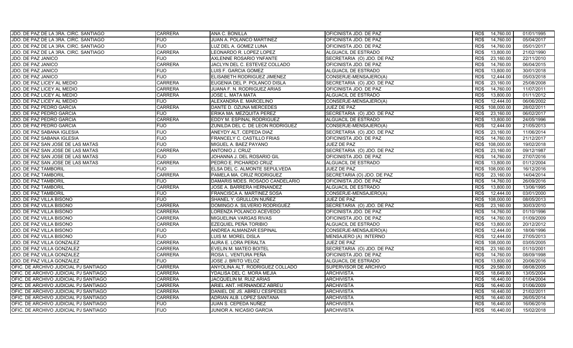| JDO. DE PAZ DE LA 3RA. CIRC. SANTIAGO | <b>CARRERA</b> | ANA C. BONILLA                   | OFICINISTA JDO. DE PAZ     | 14,760.00<br>RD\$  | 01/01/1995 |
|---------------------------------------|----------------|----------------------------------|----------------------------|--------------------|------------|
| JDO. DE PAZ DE LA 3RA. CIRC. SANTIAGO | <b>FIJO</b>    | JUAN A. POLANCO MARTINEZ         | OFICINISTA JDO. DE PAZ     | RD\$<br>14,760.00  | 05/04/2017 |
| JDO. DE PAZ DE LA 3RA. CIRC. SANTIAGO | <b>FIJO</b>    | LUZ DEL A. GOMEZ LUNA            | OFICINISTA JDO. DE PAZ     | 14,760.00<br>RD\$  | 05/01/2017 |
| JDO. DE PAZ DE LA 3RA. CIRC. SANTIAGO | <b>CARRERA</b> | LEONARDO R. LOPEZ LOPEZ          | ALGUACIL DE ESTRADO        | RD\$<br>13,800.00  | 21/02/1990 |
| JDO. DE PAZ JANICO                    | <b>FIJO</b>    | AXLENNE ROSARIO YNFANTE          | SECRETARIA (O) JDO. DE PAZ | 23,160.00<br>RD\$  | 22/11/2010 |
| <b>JDO. DE PAZ JANICO</b>             | <b>CARRERA</b> | JACLYN DEL C. ESTEVEZ COLLADO    | OFICINISTA JDO. DE PAZ     | 14,760.00<br>RD\$  | 06/04/2015 |
| JDO. DE PAZ JANICO                    | <b>FIJO</b>    | LUIS F. GARCIA GOMEZ             | ALGUACIL DE ESTRADO        | 13,800.00<br>RD\$  | 30/01/2018 |
| JDO. DE PAZ JANICO                    | <b>FIJO</b>    | ELISABETH RODRIGUEZ JIMENEZ      | CONSERJE-MENSAJERO(A)      | 12,444.00<br>RD\$  | 05/03/2018 |
| JDO. DE PAZ LICEY AL MEDIO            | <b>CARRERA</b> | EUGENIA DEL P. POLANCO DISLA     | SECRETARIA (O) JDO. DE PAZ | 23,160.00<br>RD\$  | 25/08/2008 |
| JDO. DE PAZ LICEY AL MEDIO            | <b>CARRERA</b> | JUANA F. N. RODRIGUEZ ARIAS      | OFICINISTA JDO. DE PAZ     | RD\$<br>14,760.00  | 11/07/2011 |
| JDO. DE PAZ LICEY AL MEDIO            | <b>CARRERA</b> | JOSE L. MATA MATA                | <b>ALGUACIL DE ESTRADO</b> | 13,800.00<br>RD\$  | 01/11/2012 |
| JDO. DE PAZ LICEY AL MEDIO            | <b>FIJO</b>    | ALEXANDRA E. MARCELINO           | CONSERJE-MENSAJERO(A)      | RD\$<br>12,444.00  | 06/06/2002 |
| JDO. DE PAZ PEDRO GARCIA              | <b>CARRERA</b> | DANTE D. OZUNA MERCEDES          | JUEZ DE PAZ                | RD\$<br>108,000.00 | 28/02/2011 |
| JDO. DE PAZ PEDRO GARCIA              | <b>FIJO</b>    | ERIKA MA. MEZQUITA PEREZ         | SECRETARIA (O) JDO. DE PAZ | 23,160.00<br>RD\$  | 06/02/2017 |
| JDO. DE PAZ PEDRO GARCIA              | <b>CARRERA</b> | EDDY M. ESPINAL RODRIGUEZ        | ALGUACIL DE ESTRADO        | RD\$<br>13,800.00  | 24/05/1996 |
| JDO. DE PAZ PEDRO GARCIA              | <b>FIJO</b>    | ZUNILDA DEL C. DE LEON RODRIGUEZ | CONSERJE-MENSAJERO(A)      | 12,444.00<br>RD\$  | 21/05/2013 |
| JDO. DE PAZ SABANA IGLESIA            | <b>FIJO</b>    | ANEYDY ALT. CEPEDA DIAZ          | SECRETARIA (O) JDO. DE PAZ | RD\$<br>23,160.00  | 11/06/2014 |
| <b>JDO. DE PAZ SABANA IGLESIA</b>     | <b>FIJO</b>    | FRANCELY C. CASTILLO FRIAS       | OFICINISTA JDO. DE PAZ     | RD\$<br>14,760.00  | 21/12/2017 |
| JDO. DE PAZ SAN JOSE DE LAS MATAS     | <b>FIJO</b>    | MIGUEL A. BAEZ PAYANO            | <b>JUEZ DE PAZ</b>         | RD\$<br>108,000.00 | 19/02/2018 |
| JDO. DE PAZ SAN JOSE DE LAS MATAS     | <b>CARRERA</b> | ANTONIO J. CRUZ                  | SECRETARIA (O) JDO. DE PAZ | RD\$<br>23,160.00  | 09/12/1987 |
| JDO. DE PAZ SAN JOSE DE LAS MATAS     | <b>FIJO</b>    | JOHANNA J. DEL ROSARIO GIL       | OFICINISTA JDO. DE PAZ     | RD\$<br>14,760.00  | 27/07/2016 |
| JDO. DE PAZ SAN JOSE DE LAS MATAS     | <b>CARRERA</b> | PEDRO E. PICHARDO CRUZ           | ALGUACIL DE ESTRADO        | 13,800.00<br>RD\$  | 01/12/2004 |
| JDO. DE PAZ TAMBORIL                  | <b>FIJO</b>    | ELSA DEL C. ALMONTE SEPULVEDA    | JUEZ DE PAZ                | RD\$<br>108,000.00 | 16/12/2016 |
| <b>JDO. DE PAZ TAMBORIL</b>           | <b>CARRERA</b> | PAMELA MA. CRUZ RODRIGUEZ        | SECRETARIA (O) JDO. DE PAZ | 23,160.00<br>RD\$  | 14/04/2014 |
| JDO. DE PAZ TAMBORIL                  | <b>FIJO</b>    | DAMARIS MDES. ROSADO CANDELARIO  | OFICINISTA JDO. DE PAZ     | RD\$<br>14,760.00  | 26/09/2016 |
| JDO. DE PAZ TAMBORIL                  | <b>CARRERA</b> | JOSE A. BARRERA HERNANDEZ        | ALGUACIL DE ESTRADO        | 13,800.00<br>RD\$  | 13/06/1995 |
| JDO. DE PAZ TAMBORIL                  | <b>FIJO</b>    | FRANCISCA A. MARTINEZ SOSA       | CONSERJE-MENSAJERO(A)      | 12,444.00<br>RD\$  | 03/01/2000 |
| JDO. DE PAZ VILLA BISONO              | <b>FIJO</b>    | SHANEL Y. GRULLON NUÑEZ          | <b>JUEZ DE PAZ</b>         | RD\$<br>108,000.00 | 08/05/2013 |
| JDO. DE PAZ VILLA BISONO              | <b>CARRERA</b> | DOMINGO A. SILVERIO RODRIGUEZ    | SECRETARIA (O) JDO. DE PAZ | 23,160.00<br>RD\$  | 30/03/2010 |
| JDO. DE PAZ VILLA BISONO              | <b>CARRERA</b> | LORENZA POLANCO ACEVEDO          | OFICINISTA JDO. DE PAZ     | 14,760.00<br>RD\$  | 01/10/1996 |
| JDO. DE PAZ VILLA BISONO              | <b>CARRERA</b> | MIGUELINA VARGAS RIVAS           | OFICINISTA JDO. DE PAZ     | RD\$<br>14,760.00  | 01/09/2009 |
| JDO. DE PAZ VILLA BISONO              | <b>CARRERA</b> | EZEQUIEL PEÑA TORIBIO            | ALGUACIL DE ESTRADO        | 13,800.00<br>RD\$  | 20/12/2012 |
| JDO. DE PAZ VILLA BISONO              | <b>FIJO</b>    | ANDREA ALMANZAR ESPINAL          | CONSERJE-MENSAJERO(A)      | 12,444.00<br>RD\$  | 18/06/1996 |
| JDO. DE PAZ VILLA BISONO              | <b>FIJO</b>    | LUIS M. MOREL DISLA              | MENSAJERO (A) INTERNO      | RD\$<br>12,444.00  | 27/05/2013 |
| JDO. DE PAZ VILLA GONZALEZ            | <b>CARRERA</b> | AURA E. LORA PERALTA             | JUEZ DE PAZ                | 108.000.00<br>RD\$ | 03/05/2005 |
| JDO. DE PAZ VILLA GONZALEZ            | <b>CARRERA</b> | EVELIN M. MATEO BOITEL           | SECRETARIA (O) JDO. DE PAZ | RD\$<br>23,160.00  | 01/10/2001 |
| JDO. DE PAZ VILLA GONZALEZ            | <b>CARRERA</b> | ROSA L. VENTURA PEÑA             | OFICINISTA JDO. DE PAZ     | 14,760.00<br>RD\$  | 08/09/1998 |
| JDO. DE PAZ VILLA GONZALEZ            | <b>FIJO</b>    | JOSE J. BRITO VELOZ              | ALGUACIL DE ESTRADO        | RD\$<br>13,800.00  | 20/06/2016 |
| OFIC. DE ARCHIVO JUDICIAL PJ SANTIAGO | <b>CARRERA</b> | ANYOLINA ALT. RODRIGUEZ COLLADO  | SUPERVISOR DE ARCHIVO      | 29,580.00<br>RD\$  | 08/08/2005 |
| OFIC. DE ARCHIVO JUDICIAL PJ SANTIAGO | <b>CARRERA</b> | YDALISA DEL C. MORA MEJIA        | <b>ARCHIVISTA</b>          | RD\$<br>18,649.80  | 13/05/2004 |
| OFIC. DE ARCHIVO JUDICIAL PJ SANTIAGO | <b>CARRERA</b> | JACQUELIN M. RUIZ ARIAS          | <b>ARCHIVISTA</b>          | 16,440.00<br>RD\$  | 01/04/2004 |
| OFIC. DE ARCHIVO JUDICIAL PJ SANTIAGO | <b>CARRERA</b> | ARIEL ANT. HERNANDEZ ABREU       | <b>ARCHIVISTA</b>          | RD\$<br>16.440.00  | 01/06/2009 |
| OFIC. DE ARCHIVO JUDICIAL PJ SANTIAGO | <b>CARRERA</b> | DANIEL DE JS. ABREU CESPEDES     | <b>ARCHIVISTA</b>          | RD\$<br>16,440.00  | 21/02/2011 |
| OFIC. DE ARCHIVO JUDICIAL PJ SANTIAGO | <b>CARRERA</b> | ADRIAN ALB. LOPEZ SANTANA        | <b>ARCHIVISTA</b>          | RD\$<br>16,440.00  | 26/05/2014 |
| OFIC. DE ARCHIVO JUDICIAL PJ SANTIAGO | <b>FIJO</b>    | JUAN S. CEPEDA NUÑEZ             | <b>ARCHIVISTA</b>          | 16,440.00<br>RD\$  | 16/06/2016 |
| OFIC. DE ARCHIVO JUDICIAL PJ SANTIAGO | <b>FIJO</b>    | JUNIOR A. NICASIO GARCIA         | <b>ARCHIVISTA</b>          | RD\$<br>16,440.00  | 15/02/2018 |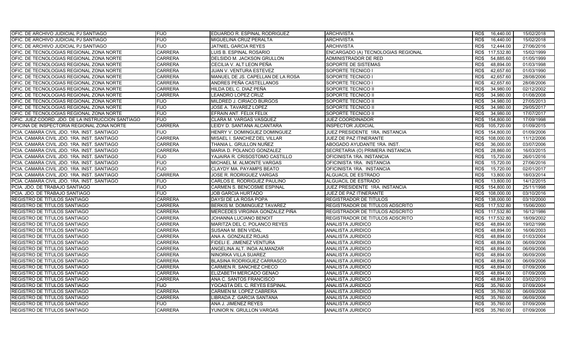| OFIC. DE ARCHIVO JUDICIAL PJ SANTIAGO             | <b>FIJO</b>    | EDUARDO R. ESPINAL RODRIGUEZ      | <b>ARCHIVISTA</b>                  | RD\$ | 16,440.00       | 15/02/2018 |
|---------------------------------------------------|----------------|-----------------------------------|------------------------------------|------|-----------------|------------|
| OFIC. DE ARCHIVO JUDICIAL PJ SANTIAGO             | <b>FIJO</b>    | MIGUELINA CRUZ PERALTA            | <b>ARCHIVISTA</b>                  | RD\$ | 16,440.00       | 15/02/2018 |
| OFIC. DE ARCHIVO JUDICIAL PJ SANTIAGO             | <b>FIJO</b>    | <b>JATNIEL GARCIA REYES</b>       | <b>ARCHIVISTA</b>                  | RD\$ | 12,444.00       | 27/06/2016 |
| OFIC. DE TECNOLOGIAS REGIONAL ZONA NORTE          | <b>CARRERA</b> | LUIS B. ESPINAL ROSARIO           | ENCARGADO (A) TECNOLOGIAS REGIONAL | RD\$ | 117,532.80      | 15/02/1999 |
| OFIC. DE TECNOLOGIAS REGIONAL ZONA NORTE          | <b>CARRERA</b> | DELSIDO M. JACKSON GRULLON        | ADMINISTRADOR DE RED               | RD\$ | 54,885.60       | 01/05/1999 |
| OFIC. DE TECNOLOGIAS REGIONAL ZONA NORTE          | <b>CARRERA</b> | CECILIA V. ALT LEON PEÑA          | SOPORTE DE SISTEMAS                | RD\$ | 48,894.00       | 01/03/1998 |
| OFIC. DE TECNOLOGIAS REGIONAL ZONA NORTE          | <b>CARRERA</b> | JUAN V. VENTURA ESTEVEZ           | SOPORTE TECNICO I                  | RD\$ | 42,657.60       | 01/03/1990 |
| OFIC. DE TECNOLOGIAS REGIONAL ZONA NORTE          | <b>CARRERA</b> | MANUEL DE JS. CAPELLAN DE LA ROSA | SOPORTE TECNICO I                  | RD\$ | 42,657.60       | 28/08/2006 |
| OFIC. DE TECNOLOGIAS REGIONAL ZONA NORTE          | <b>CARRERA</b> | ANDRES PEÑA CASTELLANOS           | SOPORTE TECNICO I                  | RD\$ | 42,657.60       | 28/08/2006 |
| IOFIC. DE TECNOLOGIAS REGIONAL ZONA NORTE         | <b>CARRERA</b> | HILDA DEL C. DIAZ PEÑA            | SOPORTE TECNICO II                 | RD\$ | 34,980.00       | 02/12/2002 |
| OFIC. DE TECNOLOGIAS REGIONAL ZONA NORTE          | <b>CARRERA</b> | LEANDRO LOPEZ CRUZ                | SOPORTE TECNICO II                 | RD\$ | 34,980.00       | 01/08/2008 |
| OFIC. DE TECNOLOGIAS REGIONAL ZONA NORTE          | <b>FIJO</b>    | MILDRED J. CIRIACO BURGOS         | SOPORTE TECNICO II                 | RD\$ | 34,980.00       | 27/05/2013 |
| OFIC. DE TECNOLOGIAS REGIONAL ZONA NORTE          | <b>FIJO</b>    | JOSE A. TAVAREZ LOPEZ             | SOPORTE TECNICO II                 | RD\$ | 34,980.00       | 29/05/2017 |
| OFIC. DE TECNOLOGIAS REGIONAL ZONA NORTE          | <b>FIJO</b>    | EFRAIN ANT. FELIX FELIX           | SOPORTE TECNICO II                 | RD\$ | 34,980.00       | 17/07/2017 |
| OFIC. JUEZ COORD. JDO. DE LA INSTRUCCION SANTIAGO | <b>FIJO</b>    | CLARA M. VARGAS VASQUEZ           | <b>JUEZ COORDINADOR</b>            | RD\$ | 154,800.00      | 17/09/1998 |
| OFICINA DE INSPECTORIA REGIONAL ZONA NORTE        | <b>CARRERA</b> | LEIDY D. SANTANA ALCANTARA        | <b>INSPECTOR JUDICIAL</b>          | RD\$ | 105,720.00      | 01/09/2015 |
| PCIA. CAMARA CIVIL JDO. 1RA. INST. SANTIAGO       | <b>FIJO</b>    | HENRY V. DOMINGUEZ DOMINGUEZ      | JUEZ PRESIDENTE 1RA. INSTANCIA     | RD\$ | 154,800.00      | 01/09/2006 |
| PCIA. CAMARA CIVIL JDO. 1RA. INST. SANTIAGO       | <b>CARRERA</b> | MISAEL I. SANCHEZ DEL VILLAR      | JUEZ DE PAZ ITINERANTE             | RD\$ | 108,000.00      | 11/12/2006 |
| PCIA. CAMARA CIVIL JDO. 1RA. INST. SANTIAGO       | <b>CARRERA</b> | THANIA L. GRULLON NUÑEZ           | ABOGADO AYUDANTE 1RA. INST.        | RD\$ | 36,000.00       | 03/07/2006 |
| PCIA. CAMARA CIVIL JDO. 1RA. INST. SANTIAGO       | <b>CARRERA</b> | MARIA D. POLANCO GONZALEZ         | SECRETARIA (O) PRIMERA INSTANCIA   | RD\$ | 28,860.00       | 16/03/2015 |
| PCIA. CAMARA CIVIL JDO. 1RA. INST. SANTIAGO       | <b>FIJO</b>    | YAJAIRA R. CRISOSTOMO CASTILLO    | OFICINISTA 1RA. INSTANCIA          | RD\$ | 15,720.00       | 26/01/2016 |
| PCIA. CAMARA CIVIL JDO. 1RA. INST. SANTIAGO       | <b>FIJO</b>    | MICHAEL M. ALMONTE VARGAS         | OFICINISTA 1RA. INSTANCIA          | RD\$ | 15,720.00       | 27/06/2016 |
| PCIA, CAMARA CIVIL JDO, 1RA, INST, SANTIAGO       | <b>FIJO</b>    | <b>CLAYDY MA, PAYAMPS BEATO</b>   | OFICINISTA 1RA. INSTANCIA          | RD\$ | 15,720.00       | 02/01/2017 |
| PCIA. CAMARA CIVIL JDO. 1RA. INST. SANTIAGO       | <b>CARRERA</b> | JOSE R. RODRIGUEZ VARGAS          | ALGUACIL DE ESTRADO                | RD\$ | 13,800.00       | 18/03/2014 |
| PCIA. CAMARA CIVIL JDO. 1RA. INST. SANTIAGO       | <b>FIJO</b>    | CARLOS E. RODRIGUEZ PAULINO       | ALGUACIL DE ESTRADO                | RD\$ | 13.800.00       | 14/12/2015 |
| PCIA. JDO. DE TRABAJO SANTIAGO                    | <b>FIJO</b>    | CARMEN S. BENCOSME ESPINAL        | JUEZ PRESIDENTE 1RA. INSTANCIA     | RD\$ | 154,800.00      | 25/11/1998 |
| PCIA. JDO. DE TRABAJO SANTIAGO                    | <b>FIJO</b>    | <b>JOB GARCIA HURTADO</b>         | JUEZ DE PAZ ITINERANTE             |      | RD\$ 108,000.00 | 03/10/2016 |
| REGISTRO DE TITULOS SANTIAGO                      | <b>CARRERA</b> | DAYSI DE LA ROSA POPA             | REGISTRADOR DE TITULOS             |      | RD\$ 138,000.00 | 03/10/2000 |
| REGISTRO DE TITULOS SANTIAGO                      | <b>CARRERA</b> | BERKIS M. DOMINGUEZ TAVAREZ       | REGISTRADOR DE TITULOS ADSCRITO    |      | RD\$ 117,532.80 | 15/06/2000 |
| REGISTRO DE TITULOS SANTIAGO                      | <b>CARRERA</b> | MERCEDES VIRGINIA GONZALEZ PIÑA   | REGISTRADOR DE TITULOS ADSCRITO    |      | RD\$ 117,532.80 | 16/12/1986 |
| <b>REGISTRO DE TITULOS SANTIAGO</b>               | <b>CARRERA</b> | JOHANNA LUCIANO BENOIT            | REGISTRADOR DE TITULOS ADSCRITO    |      | RD\$ 117,532.80 | 18/09/2002 |
| REGISTRO DE TITULOS SANTIAGO                      | <b>CARRERA</b> | MARITZA DEL C. POLANCO REYES      | ANALISTA JURIDICO                  | RD\$ | 48,894.00       | 19/02/1996 |
| REGISTRO DE TITULOS SANTIAGO                      | <b>CARRERA</b> | SUSANA M. BEN VIDAL               | ANALISTA JURIDICO                  | RD\$ | 48,894.00       | 16/06/2003 |
| REGISTRO DE TITULOS SANTIAGO                      | <b>CARRERA</b> | ANA A. GONZALEZ ROJAS             | ANALISTA JURIDICO                  | RD\$ | 48,894.00       | 01/03/2004 |
| <b>REGISTRO DE TITULOS SANTIAGO</b>               | <b>CARRERA</b> | FIDELI E. JIMENEZ VENTURA         | ANALISTA JURIDICO                  | RD\$ | 48,894.00       | 06/09/2006 |
| REGISTRO DE TITULOS SANTIAGO                      | <b>CARRERA</b> | ANGELINA ALT. INOA ALMANZAR       | ANALISTA JURIDICO                  | RD\$ | 48,894.00       | 06/09/2006 |
| REGISTRO DE TITULOS SANTIAGO                      | <b>CARRERA</b> | NINORKA VILLA SUAREZ              | ANALISTA JURIDICO                  | RD\$ | 48,894.00       | 06/09/2006 |
| REGISTRO DE TITULOS SANTIAGO                      | <b>CARRERA</b> | BLASINA RODRIGUEZ CARRASCO        | ANALISTA JURIDICO                  | RD\$ | 48,894.00       | 06/09/2006 |
| REGISTRO DE TITULOS SANTIAGO                      | <b>CARRERA</b> | CARMEN R. SANCHEZ CHECO           | ANALISTA JURIDICO                  | RD\$ | 48.894.00       | 07/09/2006 |
| <b>REGISTRO DE TITULOS SANTIAGO</b>               | <b>CARRERA</b> | ELIZABETH MERCADO GENAO           | ANALISTA JURIDICO                  | RD\$ | 48,894.00       | 07/09/2006 |
| <b>REGISTRO DE TITULOS SANTIAGO</b>               | <b>CARRERA</b> | ANA C. SANTOS FRANCISCO           | ANALISTA JURIDICO                  | RD\$ | 48,894.00       | 03/02/2010 |
| REGISTRO DE TITULOS SANTIAGO                      | <b>FIJO</b>    | YOCASTA DEL C. REYES ESPINAL      | ANALISTA JURIDICO                  | RD\$ | 35,760.00       | 07/09/2004 |
| REGISTRO DE TITULOS SANTIAGO                      | <b>CARRERA</b> | CARMEN M. LOPEZ CABRERA           | ANALISTA JURIDICO                  | RD\$ | 35,760.00       | 06/09/2006 |
| REGISTRO DE TITULOS SANTIAGO                      | <b>CARRERA</b> | LIBRADA Z. GARCIA SANTANA         | ANALISTA JURIDICO                  | RD\$ | 35,760.00       | 06/09/2006 |
| <b>REGISTRO DE TITULOS SANTIAGO</b>               | <b>FIJO</b>    | ANA J. JIMENEZ REYES              | ANALISTA JURIDICO                  | RD\$ | 35,760.00       | 07/09/2006 |
| REGISTRO DE TITULOS SANTIAGO                      | <b>CARRERA</b> | YUNIOR N. GRULLON VARGAS          | ANALISTA JURIDICO                  | RD\$ | 35,760.00       | 07/09/2006 |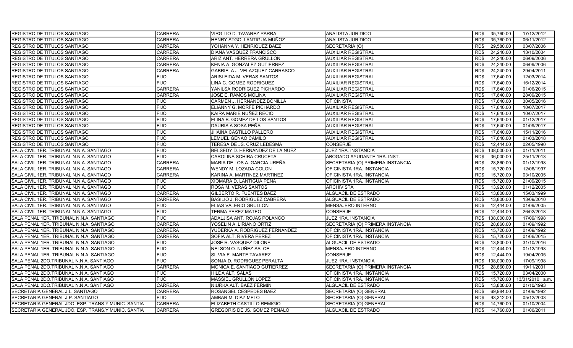| <b>REGISTRO DE TITULOS SANTIAGO</b>                | <b>CARRERA</b> | VIRGILIO D. TAVAREZ PARRA       | <b>ANALISTA JURIDICO</b>         | 35,760.00<br>RD\$           | 17/12/2012      |
|----------------------------------------------------|----------------|---------------------------------|----------------------------------|-----------------------------|-----------------|
| REGISTRO DE TITULOS SANTIAGO                       | <b>CARRERA</b> | HENRY STGO. LANTIGUA MUÑOZ      | ANALISTA JURIDICO                | RD\$<br>35,760.00           | 06/11/2012      |
| REGISTRO DE TITULOS SANTIAGO                       | <b>CARRERA</b> | YOHANNA Y. HENRIQUEZ BAEZ       | SECRETARIA (O)                   | 29,580.00<br>RD\$           | 03/07/2006      |
| REGISTRO DE TITULOS SANTIAGO                       | <b>CARRERA</b> | <b>DIANA VASQUEZ FRANCISCO</b>  | <b>AUXILIAR REGISTRAL</b>        | RD\$<br>24,240.00           | 13/10/2004      |
| REGISTRO DE TITULOS SANTIAGO                       | <b>CARRERA</b> | ARIZ ANT. HERRERA GRULLON       | <b>AUXILIAR REGISTRAL</b>        | RD\$<br>24,240.00           | 06/09/2006      |
| REGISTRO DE TITULOS SANTIAGO                       | <b>CARRERA</b> | KENIA A. GONZALEZ GUTIERREZ     | <b>AUXILIAR REGISTRAL</b>        | 24,240.00<br>RD\$           | 06/09/2006      |
| REGISTRO DE TITULOS SANTIAGO                       | <b>CARRERA</b> | GABRIELA J. VELAZQUEZ CARRASCO  | <b>AUXILIAR REGISTRAL</b>        | RD\$<br>24,240.00           | 29/04/2011      |
| REGISTRO DE TITULOS SANTIAGO                       | <b>FIJO</b>    | ARISLEIDA M. VERAS SANTOS       | <b>AUXILIAR REGISTRAL</b>        | 17,640.00<br>RD\$           | 12/03/2014      |
| REGISTRO DE TITULOS SANTIAGO                       | <b>FIJO</b>    | LINA C. GOMEZ RODRIGUEZ         | <b>AUXILIAR REGISTRAL</b>        | 17.640.00<br>RD\$           | 16/12/2014      |
| <b>REGISTRO DE TITULOS SANTIAGO</b>                | <b>CARRERA</b> | YANILSA RODRIGUEZ PICHARDO      | <b>AUXILIAR REGISTRAL</b>        | RD\$<br>17.640.00           | 01/06/2015      |
| REGISTRO DE TITULOS SANTIAGO                       | <b>CARRERA</b> | JOSE E. RAMOS MOLINA            | <b>AUXILIAR REGISTRAL</b>        | RD\$<br>17,640.00           | 28/09/2015      |
| REGISTRO DE TITULOS SANTIAGO                       | <b>FIJO</b>    | CARMEN J. HERNANDEZ BONILLA     | <b>OFICINISTA</b>                | RD\$<br>17.640.00           | 30/05/2016      |
| <b>REGISTRO DE TITULOS SANTIAGO</b>                | <b>FIJO</b>    | ELIANNY G. MORFE PICHARDO       | <b>AUXILIAR REGISTRAL</b>        | RD\$<br>17,640.00           | 10/07/2017      |
| REGISTRO DE TITULOS SANTIAGO                       | <b>FIJO</b>    | KAIRA MARIE NUÑEZ RECIO         | <b>AUXILIAR REGISTRAL</b>        | 17.640.00<br>RD\$           | 10/07/2017      |
| REGISTRO DE TITULOS SANTIAGO                       | <b>FIJO</b>    | ELINA B. GOMEZ DE LOS SANTOS    | <b>AUXILIAR REGISTRAL</b>        | RD\$<br>17,640.00           | 01/12/2017      |
| REGISTRO DE TITULOS SANTIAGO                       | <b>FIJO</b>    | DAURIS A SOSA PEÑA              | <b>AUXILIAR REGISTRAL</b>        | 17,640.00<br>RD\$           | 01/09/2017      |
| REGISTRO DE TITULOS SANTIAGO                       | <b>FIJO</b>    | JHAINA CASTILLO PALLERO         | <b>AUXILIAR REGISTRAL</b>        | RD\$<br>17,640.00           | 15/11/2016      |
| <b>REGISTRO DE TITULOS SANTIAGO</b>                | <b>FIJO</b>    | LEMUEL GENAO CAMILO             | <b>AUXILIAR REGISTRAL</b>        | 17,640.00<br>RD\$           | 01/03/2018      |
| REGISTRO DE TITULOS SANTIAGO                       | <b>FIJO</b>    | TERESA DE JS. CRUZ LEDESMA      | <b>CONSERJE</b>                  | RD\$<br>12,444.00           | 02/05/1990      |
| SALA CIVIL 1ER. TRIBUNAL N.N.A. SANTIAGO           | <b>FIJO</b>    | BELSEDY D. HERNANDEZ DE LA NUEZ | JUEZ 1RA. INSTANCIA              | RD\$<br>138,000.00          | 01/11/2011      |
| SALA CIVIL 1ER. TRIBUNAL N.N.A. SANTIAGO           | FIJO           | CAROLINA SCHIRA CRUCETA         | ABOGADO AYUDANTE 1RA. INST.      | 36,000.00<br>RD\$           | 25/11/2013      |
| SALA CIVIL 1ER. TRIBUNAL N.N.A. SANTIAGO           | <b>CARRERA</b> | MARIA DE LOS A. GARCIA UREÑA    | SECRETARIA (O) PRIMERA INSTANCIA | 28,860.00<br>RD\$           | 01/12/1998      |
| SALA CIVIL 1ER. TRIBUNAL N.N.A. SANTIAGO           | <b>CARRERA</b> | WENDY M. LOZADA COLON           | OFICINISTA 1RA. INSTANCIA        | RD\$<br>15,720.00           | 12/06/1997      |
| SALA CIVIL 1ER. TRIBUNAL N.N.A. SANTIAGO           | <b>CARRERA</b> | KARINA A. MARTINEZ MARTINEZ     | OFICINISTA 1RA. INSTANCIA        | 15,720.00<br>RD\$           | 03/10/2005      |
| SALA CIVIL 1ER. TRIBUNAL N.N.A. SANTIAGO           | <b>FIJO</b>    | XIOMARA D. LANTIGUA PEÑA        | OFICINISTA 1RA. INSTANCIA        | 15.720.00<br>RD\$           | 21/09/2015      |
| SALA CIVIL 1ER. TRIBUNAL N.N.A. SANTIAGO           | <b>FIJO</b>    | ROSA M. VERAS SANTOS            | <b>ARCHIVISTA</b>                | RD\$<br>13,920.00           | 01/12/2005      |
| SALA CIVIL 1ER. TRIBUNAL N.N.A. SANTIAGO           | <b>CARRERA</b> | <b>GILBERTO R. FUENTES BAEZ</b> | ALGUACIL DE ESTRADO              | 13,800.00<br>RD\$           | 15/03/1999      |
| SALA CIVIL 1ER. TRIBUNAL N.N.A. SANTIAGO           | <b>CARRERA</b> | BASILIO J. RODRIGUEZ CABRERA    | ALGUACIL DE ESTRADO              | R <sub>D</sub><br>13,800.00 | 13/09/2010      |
| SALA CIVIL 1ER. TRIBUNAL N.N.A. SANTIAGO           | <b>FIJO</b>    | ELIAS VALERIO GRULLON           | MENSAJERO INTERNO                | RD\$<br>12.444.00           | 01/09/2005      |
| SALA CIVIL 1ER. TRIBUNAL N.N.A. SANTIAGO           | <b>FIJO</b>    | <b>TERMA PEREZ MATEO</b>        | <b>CONSERJE</b>                  | RD\$<br>12,444.00           | 26/02/2018      |
| SALA PENAL 1ER. TRIBUNAL N.N.A. SANTIAGO           | FIJO           | ADALJISA ANT. ROJAS POLANCO     | JUEZ 1RA. INSTANCIA              | RD\$<br>138,000.00          | 17/09/1998      |
| SALA PENAL 1ER. TRIBUNAL N.N.A. SANTIAGO           | <b>CARRERA</b> | YOSELIN A. LIRIANO ORTIZ        | SECRETARIA (O) PRIMERA INSTANCIA | RD\$<br>28,860.00           | 01/09/1992      |
| SALA PENAL 1ER. TRIBUNAL N.N.A. SANTIAGO           | <b>CARRERA</b> | YUDERKA A. RODRIGUEZ FERNANDEZ  | OFICINISTA 1RA. INSTANCIA        | RD\$<br>15,720.00           | 01/09/1992      |
| SALA PENAL 1ER. TRIBUNAL N.N.A. SANTIAGO           | <b>CARRERA</b> | SOFIA ALT. RIVERA PEREZ         | OFICINISTA 1RA. INSTANCIA        | RD\$<br>15,720.00           | 01/06/2015      |
| SALA PENAL 1ER. TRIBUNAL N.N.A. SANTIAGO           | <b>FIJO</b>    | JOSE R. VASQUEZ DILONE          | ALGUACIL DE ESTRADO              | RD\$<br>13,800.00           | 31/10/2016      |
| SALA PENAL 1ER. TRIBUNAL N.N.A. SANTIAGO           | FIJO           | NELSON O. NUÑEZ SALCE           | MENSAJERO INTERNO                | RD\$<br>12,444.00           | 01/12/1998      |
| SALA PENAL 1ER. TRIBUNAL N.N.A. SANTIAGO           | <b>FIJO</b>    | SILVIA E. MARTE TAVAREZ         | <b>CONSERJE</b>                  | 12,444.00<br>RD\$           | 19/04/2005      |
| SALA PENAL 2DO.TRIBUNAL N.N.A. SANTIAGO            | <b>FIJO</b>    | SONJA D. RODRIGUEZ PERALTA      | <b>JUEZ 1RA. INSTANCIA</b>       | 138.000.00<br>RD\$          | 17/09/1998      |
| SALA PENAL 2DO.TRIBUNAL N.N.A. SANTIAGO            | <b>CARRERA</b> | MONICA E. SANTIAGO GUTIERREZ    | SECRETARIA (O) PRIMERA INSTANCIA | 28.860.00<br>RD\$           | 19/11/2001      |
| SALA PENAL 2DO TRIBUNAL N.N.A. SANTIAGO            | FIJO           | <b>HILDA ALT. SALAS</b>         | OFICINISTA 1RA. INSTANCIA        | 15,720.00<br>RD\$           | 03/04/2000      |
| SALA PENAL 2DO.TRIBUNAL N.N.A. SANTIAGO            | <b>FIJO</b>    | MASSIEL GRULLON LOPEZ           | OFICINISTA 1RA. INSTANCIA        | RD\$<br>15,720.00           | 13/01/2010 a.m. |
| SALA PENAL 2DO.TRIBUNAL N.N.A. SANTIAGO            | <b>CARRERA</b> | NIURKA ALT. BAEZ FERMIN         | ALGUACIL DE ESTRADO              | 13.800.00<br>RD\$           | 01/10/1993      |
| SECRETARIA GENERAL J.L. SANTIAGO                   | <b>CARRERA</b> | ROSANGEL CESPEDES BAEZ          | SECRETARIA (O) GENERAL           | RD\$<br>69,984.00           | 01/09/1992      |
| SECRETARIA GENERAL J.P. SANTIAGO                   | <b>FIJO</b>    | AMBAR M. DIAZ MELO              | SECRETARIA (O) GENERAL           | RD\$<br>93,312.00           | 05/12/2003      |
| SECRETARIA GENERAL JDO. ESP. TRANS.Y MUNIC. SANTIA | <b>CARRERA</b> | ELIZABETH CASTILLO REMIGIO      | SECRETARIA (O) GENERAL           | 14,760.00<br>RD\$           | 01/10/2004      |
| SECRETARIA GENERAL JDO. ESP. TRANS.Y MUNIC. SANTIA | <b>CARRERA</b> | GREGORIS DE JS. GOMEZ PEÑALO    | ALGUACIL DE ESTRADO              | RD\$<br>14,760.00           | 01/06/2011      |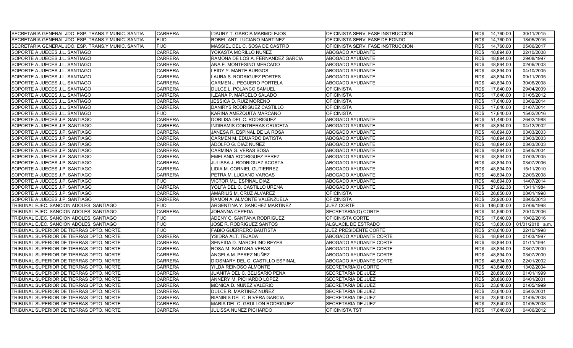| SECRETARIA GENERAL JDO. ESP. TRANS.Y MUNIC. SANTIA<br><b>FIJO</b><br>ROBEL ANT. LUCIANO MARTINEZ<br>OFICINISTA SERV. FASE DE FONDO<br>RD\$<br>14,760.00<br>18/05/2016<br><b>FIJO</b><br>SECRETARIA GENERAL JDO. ESP. TRANS.Y MUNIC. SANTIA<br>OFICINISTA SERV. FASE INSTRUCCIÓN<br>RD\$<br>14,760.00<br>05/06/2017<br>MASSIEL DEL C. SOSA DE CASTRO<br>SOPORTE A JUECES J.L. SANTIAGO<br><b>CARRERA</b><br>YOKASTA MORILLO NUÑEZ<br>48,894.60<br>22/10/2008<br>ABOGADO AYUDANTE<br>RD\$<br><b>CARRERA</b><br>48.894.00<br>29/08/1997<br>SOPORTE A JUECES J.L. SANTIAGO<br>RAMONA DE LOS A. FERNANDEZ GARCIA<br>ABOGADO AYUDANTE<br>RD\$<br>SOPORTE A JUECES J.L. SANTIAGO<br><b>CARRERA</b><br>ANA E. MONTESINO MERCADO<br><b>ABOGADO AYUDANTE</b><br>RD\$<br>48,894.00<br>02/06/2003<br><b>CARRERA</b><br>SOPORTE A JUECES J.L. SANTIAGO<br>LEIDY Y. MARTE BURGOS<br>ABOGADO AYUDANTE<br>RD\$<br>48,894.00<br>04/10/2005<br>CARRERA<br>ABOGADO AYUDANTE<br>RD\$<br>48.894.00<br>09/11/2005<br>SOPORTE A JUECES J.L. SANTIAGO<br>LAURA S. RODRIGUEZ PORTES<br>48.894.00<br>SOPORTE A JUECES J.L. SANTIAGO<br>CARRERA<br>CARMEN J. PEGUERO PORTELA<br><b>ABOGADO AYUDANTE</b><br>30/06/2008<br>RD\$<br>CARRERA<br>DULCE L. POLANCO SAMUEL<br>17,640.00<br>SOPORTE A JUECES J.L. SANTIAGO<br>OFICINISTA<br>RD\$<br>29/04/2009 |
|-----------------------------------------------------------------------------------------------------------------------------------------------------------------------------------------------------------------------------------------------------------------------------------------------------------------------------------------------------------------------------------------------------------------------------------------------------------------------------------------------------------------------------------------------------------------------------------------------------------------------------------------------------------------------------------------------------------------------------------------------------------------------------------------------------------------------------------------------------------------------------------------------------------------------------------------------------------------------------------------------------------------------------------------------------------------------------------------------------------------------------------------------------------------------------------------------------------------------------------------------------------------------------------------------------------------------------|
|                                                                                                                                                                                                                                                                                                                                                                                                                                                                                                                                                                                                                                                                                                                                                                                                                                                                                                                                                                                                                                                                                                                                                                                                                                                                                                                             |
|                                                                                                                                                                                                                                                                                                                                                                                                                                                                                                                                                                                                                                                                                                                                                                                                                                                                                                                                                                                                                                                                                                                                                                                                                                                                                                                             |
|                                                                                                                                                                                                                                                                                                                                                                                                                                                                                                                                                                                                                                                                                                                                                                                                                                                                                                                                                                                                                                                                                                                                                                                                                                                                                                                             |
|                                                                                                                                                                                                                                                                                                                                                                                                                                                                                                                                                                                                                                                                                                                                                                                                                                                                                                                                                                                                                                                                                                                                                                                                                                                                                                                             |
|                                                                                                                                                                                                                                                                                                                                                                                                                                                                                                                                                                                                                                                                                                                                                                                                                                                                                                                                                                                                                                                                                                                                                                                                                                                                                                                             |
|                                                                                                                                                                                                                                                                                                                                                                                                                                                                                                                                                                                                                                                                                                                                                                                                                                                                                                                                                                                                                                                                                                                                                                                                                                                                                                                             |
|                                                                                                                                                                                                                                                                                                                                                                                                                                                                                                                                                                                                                                                                                                                                                                                                                                                                                                                                                                                                                                                                                                                                                                                                                                                                                                                             |
|                                                                                                                                                                                                                                                                                                                                                                                                                                                                                                                                                                                                                                                                                                                                                                                                                                                                                                                                                                                                                                                                                                                                                                                                                                                                                                                             |
|                                                                                                                                                                                                                                                                                                                                                                                                                                                                                                                                                                                                                                                                                                                                                                                                                                                                                                                                                                                                                                                                                                                                                                                                                                                                                                                             |
| CARRERA<br>ILEANA P. MARCELO SALADO<br>01/05/2012<br>SOPORTE A JUECES J.L. SANTIAGO<br><b>OFICINISTA</b><br>RD\$<br>17,640.00                                                                                                                                                                                                                                                                                                                                                                                                                                                                                                                                                                                                                                                                                                                                                                                                                                                                                                                                                                                                                                                                                                                                                                                               |
| SOPORTE A JUECES J.L. SANTIAGO<br>CARRERA<br><b>OFICINISTA</b><br>JESSICA D. RUIZ MORENO<br>RD\$<br>17,640.00<br>03/02/2014                                                                                                                                                                                                                                                                                                                                                                                                                                                                                                                                                                                                                                                                                                                                                                                                                                                                                                                                                                                                                                                                                                                                                                                                 |
| CARRERA<br><b>OFICINISTA</b><br>17,640.00<br>01/07/2014<br>SOPORTE A JUECES J.L. SANTIAGO<br>DANIRYS RODRIGUEZ CASTILLO<br>RD\$                                                                                                                                                                                                                                                                                                                                                                                                                                                                                                                                                                                                                                                                                                                                                                                                                                                                                                                                                                                                                                                                                                                                                                                             |
| SOPORTE A JUECES J.L. SANTIAGO<br><b>FIJO</b><br><b>OFICINISTA</b><br>17.640.00<br>15/02/2016<br>KARINA AMEZQUITA MARCANO<br>RD\$                                                                                                                                                                                                                                                                                                                                                                                                                                                                                                                                                                                                                                                                                                                                                                                                                                                                                                                                                                                                                                                                                                                                                                                           |
| SOPORTE A JUECES J.P. SANTIAGO<br><b>CARRERA</b><br>DORLISA DEL C. RODRIGUEZ<br><b>ABOGADO AYUDANTE</b><br>51,480.00<br>26/02/1988<br>RD\$                                                                                                                                                                                                                                                                                                                                                                                                                                                                                                                                                                                                                                                                                                                                                                                                                                                                                                                                                                                                                                                                                                                                                                                  |
| <b>CARRERA</b><br>48,894.00<br>ABOGADO AYUDANTE<br>04/12/2002<br>SOPORTE A JUECES J.P. SANTIAGO<br>INDIRAMIS CONTRERAS CRUCETA<br>RD\$                                                                                                                                                                                                                                                                                                                                                                                                                                                                                                                                                                                                                                                                                                                                                                                                                                                                                                                                                                                                                                                                                                                                                                                      |
| <b>CARRERA</b><br>48,894.00<br>03/03/2003<br>SOPORTE A JUECES J.P. SANTIAGO<br>JANESA R. ESPINAL DE LA ROSA<br>ABOGADO AYUDANTE<br>RD\$                                                                                                                                                                                                                                                                                                                                                                                                                                                                                                                                                                                                                                                                                                                                                                                                                                                                                                                                                                                                                                                                                                                                                                                     |
| <b>CARRERA</b><br>CARMEN M. EDUARDO BATISTA<br>RD\$<br>48,894.00<br>03/03/2003<br>SOPORTE A JUECES J.P. SANTIAGO<br>ABOGADO AYUDANTE                                                                                                                                                                                                                                                                                                                                                                                                                                                                                                                                                                                                                                                                                                                                                                                                                                                                                                                                                                                                                                                                                                                                                                                        |
| SOPORTE A JUECES J.P. SANTIAGO<br>CARRERA<br>ADOLFO G. DIAZ NUÑEZ<br><b>ABOGADO AYUDANTE</b><br>RD\$<br>48,894.00<br>03/03/2003                                                                                                                                                                                                                                                                                                                                                                                                                                                                                                                                                                                                                                                                                                                                                                                                                                                                                                                                                                                                                                                                                                                                                                                             |
| SOPORTE A JUECES J.P. SANTIAGO<br>05/05/2004<br><b>CARRERA</b><br><b>ABOGADO AYUDANTE</b><br>RD\$<br>48,894.00<br>CARMINA G. VERAS SOSA                                                                                                                                                                                                                                                                                                                                                                                                                                                                                                                                                                                                                                                                                                                                                                                                                                                                                                                                                                                                                                                                                                                                                                                     |
| <b>CARRERA</b><br>48,894.00<br>07/03/2005<br>SOPORTE A JUECES J.P. SANTIAGO<br>EMELANIA RODRIGUEZ PEREZ<br>ABOGADO AYUDANTE<br>RD\$                                                                                                                                                                                                                                                                                                                                                                                                                                                                                                                                                                                                                                                                                                                                                                                                                                                                                                                                                                                                                                                                                                                                                                                         |
| SOPORTE A JUECES J.P. SANTIAGO<br><b>CARRERA</b><br>48,894.00<br>03/07/2006<br>JULISSA J. RODRIGUEZ ACOSTA<br>ABOGADO AYUDANTE<br>RD\$                                                                                                                                                                                                                                                                                                                                                                                                                                                                                                                                                                                                                                                                                                                                                                                                                                                                                                                                                                                                                                                                                                                                                                                      |
| SOPORTE A JUECES J.P. SANTIAGO<br><b>CARRERA</b><br>IDIA M. CORNIEL GUTIERREZ<br>ABOGADO AYUDANTE<br>RD\$<br>48,894.00<br>15/11/2010                                                                                                                                                                                                                                                                                                                                                                                                                                                                                                                                                                                                                                                                                                                                                                                                                                                                                                                                                                                                                                                                                                                                                                                        |
| <b>CARRERA</b><br>48,894.00<br>SOPORTE A JUECES J.P. SANTIAGO<br>ABOGADO AYUDANTE<br>RD\$<br>22/09/2008<br>PETRA M. LUCIANO VARGAS                                                                                                                                                                                                                                                                                                                                                                                                                                                                                                                                                                                                                                                                                                                                                                                                                                                                                                                                                                                                                                                                                                                                                                                          |
| SOPORTE A JUECES J.P. SANTIAGO<br><b>FIJO</b><br><b>VICTOR ML. ESPINAL DIAZ</b><br>48.894.00<br>14/07/2014<br>ABOGADO AYUDANTE<br>RD\$                                                                                                                                                                                                                                                                                                                                                                                                                                                                                                                                                                                                                                                                                                                                                                                                                                                                                                                                                                                                                                                                                                                                                                                      |
| SOPORTE A JUECES J.P. SANTIAGO<br>CARRERA<br>YOLFA DEL C. CASTILLO UREÑA<br><b>ABOGADO AYUDANTE</b><br>27,992.38<br>RD\$<br>13/11/1984                                                                                                                                                                                                                                                                                                                                                                                                                                                                                                                                                                                                                                                                                                                                                                                                                                                                                                                                                                                                                                                                                                                                                                                      |
| SOPORTE A JUECES J.P. SANTIAGO<br><b>CARRERA</b><br>AMARILIS M. CRUZ ALVAREZ<br><b>OFICINISTA</b><br>26,850.00<br>08/01/1998<br>RD\$                                                                                                                                                                                                                                                                                                                                                                                                                                                                                                                                                                                                                                                                                                                                                                                                                                                                                                                                                                                                                                                                                                                                                                                        |
| SOPORTE A JUECES J.P. SANTIAGO<br>CARRERA<br>RAMON A. ALMONTE VALENZUELA<br><b>OFICINISTA</b><br>RD\$<br>22,920.00<br>08/05/2013                                                                                                                                                                                                                                                                                                                                                                                                                                                                                                                                                                                                                                                                                                                                                                                                                                                                                                                                                                                                                                                                                                                                                                                            |
| <b>FIJO</b><br><b>JUEZ CORTE</b><br>186,000.00<br>07/09/1998<br>TRIBUNAL EJEC. SANCION ADOLES. SANTIAGO<br>ARGENTINA Y. SANCHEZ MARTINEZ<br>RD\$                                                                                                                                                                                                                                                                                                                                                                                                                                                                                                                                                                                                                                                                                                                                                                                                                                                                                                                                                                                                                                                                                                                                                                            |
| <b>CARRERA</b><br>SECRETARIA(O) CORTE<br>34,560.00<br>20/10/2006<br>TRIBUNAL EJEC. SANCION ADOLES. SANTIAGO<br>JOHANNA CEPEDA<br>RD\$                                                                                                                                                                                                                                                                                                                                                                                                                                                                                                                                                                                                                                                                                                                                                                                                                                                                                                                                                                                                                                                                                                                                                                                       |
| ADENY C. SANTANA RODRIGUEZ<br>TRIBUNAL EJEC. SANCION ADOLES. SANTIAGO<br>FIJO<br>OFICINISTA CORTE<br>RD\$<br>17,640.00<br>10/02/2016                                                                                                                                                                                                                                                                                                                                                                                                                                                                                                                                                                                                                                                                                                                                                                                                                                                                                                                                                                                                                                                                                                                                                                                        |
| <b>FIJO</b><br>TRIBUNAL EJEC. SANCION ADOLES. SANTIAGO<br>JOSE R. RODRIGUEZ SANTOS<br>ALGUACIL DE ESTRADO<br>RD\$<br>13,800.00<br>01/01/2018 a.m.                                                                                                                                                                                                                                                                                                                                                                                                                                                                                                                                                                                                                                                                                                                                                                                                                                                                                                                                                                                                                                                                                                                                                                           |
| <b>FIJO</b><br>TRIBUNAL SUPERIOR DE TIERRAS DPTO. NORTE<br>218.640.00<br>FABIO GUERRERO BAUTISTA<br>JUEZ PRESIDENTE CORTE<br>RD\$<br>22/10/1998                                                                                                                                                                                                                                                                                                                                                                                                                                                                                                                                                                                                                                                                                                                                                                                                                                                                                                                                                                                                                                                                                                                                                                             |
| <b>CARRERA</b><br>48,894.00<br>TRIBUNAL SUPERIOR DE TIERRAS DPTO. NORTE<br>YSIDRA ALT. TEJADA<br>ABOGADO AYUDANTE CORTE<br>RD\$<br>01/03/1997                                                                                                                                                                                                                                                                                                                                                                                                                                                                                                                                                                                                                                                                                                                                                                                                                                                                                                                                                                                                                                                                                                                                                                               |
| 48.894.00<br>TRIBUNAL SUPERIOR DE TIERRAS DPTO. NORTE<br><b>CARRERA</b><br>SENEIDA D. MARCELINO REYES<br><b>ABOGADO AYUDANTE CORTE</b><br>RD\$<br>01/11/1994                                                                                                                                                                                                                                                                                                                                                                                                                                                                                                                                                                                                                                                                                                                                                                                                                                                                                                                                                                                                                                                                                                                                                                |
| TRIBUNAL SUPERIOR DE TIERRAS DPTO. NORTE<br><b>CARRERA</b><br>ROSA M. SANTANA VERAS<br>ABOGADO AYUDANTE CORTE<br>RD\$<br>48,894.00<br>03/07/2000                                                                                                                                                                                                                                                                                                                                                                                                                                                                                                                                                                                                                                                                                                                                                                                                                                                                                                                                                                                                                                                                                                                                                                            |
| CARRERA<br>ANGELA M. PEREZ NUÑEZ<br>48,894.00<br>TRIBUNAL SUPERIOR DE TIERRAS DPTO. NORTE<br>ABOGADO AYUDANTE CORTE<br>RD\$<br>03/07/2000                                                                                                                                                                                                                                                                                                                                                                                                                                                                                                                                                                                                                                                                                                                                                                                                                                                                                                                                                                                                                                                                                                                                                                                   |
| CARRERA<br>TRIBUNAL SUPERIOR DE TIERRAS DPTO. NORTE<br>DIOSMARY DEL C. CASTILLO ESPINAL<br>ABOGADO AYUDANTE CORTE<br>RD\$<br>48,894.00<br>22/01/2002                                                                                                                                                                                                                                                                                                                                                                                                                                                                                                                                                                                                                                                                                                                                                                                                                                                                                                                                                                                                                                                                                                                                                                        |
| TRIBUNAL SUPERIOR DE TIERRAS DPTO. NORTE<br><b>CARRERA</b><br>YILDA REINOSO ALMONTE<br>43,840.80<br>13/02/2004<br>SECRETARIA(O) CORTE<br>RD\$                                                                                                                                                                                                                                                                                                                                                                                                                                                                                                                                                                                                                                                                                                                                                                                                                                                                                                                                                                                                                                                                                                                                                                               |
| TRIBUNAL SUPERIOR DE TIERRAS DPTO. NORTE<br><b>CARRERA</b><br>JUANITA DEL C. BELISARIO PEÑA<br><b>SECRETARIA DE JUEZ</b><br>RD\$<br>28,860.00<br>01/01/1999                                                                                                                                                                                                                                                                                                                                                                                                                                                                                                                                                                                                                                                                                                                                                                                                                                                                                                                                                                                                                                                                                                                                                                 |
| TRIBUNAL SUPERIOR DE TIERRAS DPTO. NORTE<br>CARRERA<br>28,860.00<br>04/01/2001<br>ANNERY M. PICHARDO LOPEZ<br>SECRETARIA DE JUEZ<br>RD\$                                                                                                                                                                                                                                                                                                                                                                                                                                                                                                                                                                                                                                                                                                                                                                                                                                                                                                                                                                                                                                                                                                                                                                                    |
| CARRERA<br>23.640.00<br>01/05/1999<br>TRIBUNAL SUPERIOR DE TIERRAS DPTO. NORTE<br>MONICA D. NUÑEZ VALERIO<br>SECRETARIA DE JUEZ<br>RD\$                                                                                                                                                                                                                                                                                                                                                                                                                                                                                                                                                                                                                                                                                                                                                                                                                                                                                                                                                                                                                                                                                                                                                                                     |
| <b>CARRERA</b><br>TRIBUNAL SUPERIOR DE TIERRAS DPTO. NORTE<br>DULCE R. MARTINEZ NUÑEZ<br>RD\$<br>23,640.00<br>05/02/2001<br>SECRETARIA DE JUEZ                                                                                                                                                                                                                                                                                                                                                                                                                                                                                                                                                                                                                                                                                                                                                                                                                                                                                                                                                                                                                                                                                                                                                                              |
| TRIBUNAL SUPERIOR DE TIERRAS DPTO. NORTE<br><b>CARRERA</b><br>BIANIRIS DEL C. RIVERA GARCIA<br>SECRETARIA DE JUEZ<br>RD\$<br>23,640.00<br>01/05/2008                                                                                                                                                                                                                                                                                                                                                                                                                                                                                                                                                                                                                                                                                                                                                                                                                                                                                                                                                                                                                                                                                                                                                                        |
| CARRERA<br>23,640.00<br>TRIBUNAL SUPERIOR DE TIERRAS DPTO. NORTE<br>MARIA DEL C. GRULLON RODRIGUEZ<br>SECRETARIA DE JUEZ<br>RD\$<br>01/05/2008                                                                                                                                                                                                                                                                                                                                                                                                                                                                                                                                                                                                                                                                                                                                                                                                                                                                                                                                                                                                                                                                                                                                                                              |
| TRIBUNAL SUPERIOR DE TIERRAS DPTO. NORTE<br><b>CARRERA</b><br>JULISSA NUÑEZ PICHARDO<br><b>OFICINISTA TST</b><br>RD\$<br>17.640.00<br>04/06/2012                                                                                                                                                                                                                                                                                                                                                                                                                                                                                                                                                                                                                                                                                                                                                                                                                                                                                                                                                                                                                                                                                                                                                                            |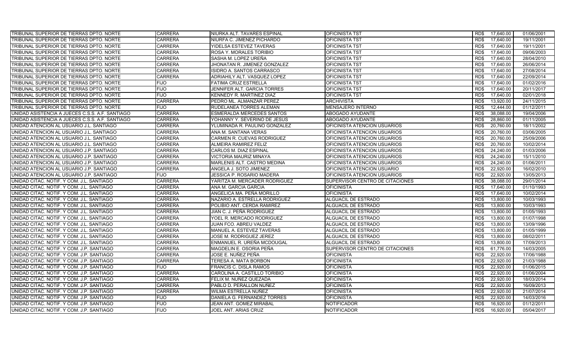| TRIBUNAL SUPERIOR DE TIERRAS DPTO. NORTE        | <b>CARRERA</b> | NIURKA ALT. TAVARES ESPINAL   | <b>OFICINISTA TST</b>           | RD\$ | 17,640.00 | 01/06/2001 |
|-------------------------------------------------|----------------|-------------------------------|---------------------------------|------|-----------|------------|
| TRIBUNAL SUPERIOR DE TIERRAS DPTO. NORTE        | <b>CARRERA</b> | NIURFA C. JIMENEZ PICHARDO    | <b>OFICINISTA TST</b>           | RD\$ | 17,640.00 | 19/11/2001 |
| TRIBUNAL SUPERIOR DE TIERRAS DPTO. NORTE        | CARRERA        | YIDELSA ESTEVEZ TAVERAS       | <b>OFICINISTA TST</b>           | RD\$ | 17,640.00 | 19/11/2001 |
| TRIBUNAL SUPERIOR DE TIERRAS DPTO. NORTE        | <b>CARRERA</b> | ROSA Y. MORALES TORIBIO       | <b>OFICINISTA TST</b>           | RD\$ | 17,640.00 | 09/06/2003 |
| TRIBUNAL SUPERIOR DE TIERRAS DPTO. NORTE        | <b>CARRERA</b> | SASHA M. LOPEZ UREÑA          | <b>OFICINISTA TST</b>           | RD\$ | 17,640.00 | 28/04/2010 |
| TRIBUNAL SUPERIOR DE TIERRAS DPTO. NORTE        | <b>CARRERA</b> | JHONATAN R. JIMENEZ GONZALEZ  | <b>OFICINISTA TST</b>           | RD\$ | 17,640.00 | 26/06/2014 |
| TRIBUNAL SUPERIOR DE TIERRAS DPTO. NORTE        | <b>CARRERA</b> | ISIDRO A. SANTOS CARRASCO     | <b>OFICINISTA TST</b>           | RD\$ | 17,640.00 | 27/08/2014 |
| TRIBUNAL SUPERIOR DE TIERRAS DPTO. NORTE        | <b>CARRERA</b> | ADRIAHILY ALT. VASQUEZ LOPEZ  | <b>OFICINISTA TST</b>           | RD\$ | 17,640.00 | 22/09/2014 |
| TRIBUNAL SUPERIOR DE TIERRAS DPTO. NORTE        | <b>FIJO</b>    | FATIMA CRUZ ESTRELLA          | <b>OFICINISTA TST</b>           | RD\$ | 17,640.00 | 01/02/2016 |
| TRIBUNAL SUPERIOR DE TIERRAS DPTO. NORTE        | <b>FIJO</b>    | JENNIFER ALT. GARCIA TORRES   | <b>OFICINISTA TST</b>           | RD\$ | 17,640.00 | 20/11/2017 |
| TRIBUNAL SUPERIOR DE TIERRAS DPTO. NORTE        | <b>FIJO</b>    | KENNEDY R. MARTINEZ DIAZ      | <b>OFICINISTA TST</b>           | RD\$ | 17,640.00 | 02/01/2018 |
| TRIBUNAL SUPERIOR DE TIERRAS DPTO. NORTE        | <b>CARRERA</b> | PEDRO ML. ALMANZAR PEREZ      | <b>ARCHIVISTA</b>               | RD\$ | 13,920.00 | 24/11/2015 |
| TRIBUNAL SUPERIOR DE TIERRAS DPTO. NORTE        | <b>FIJO</b>    | RUDELANEA TORRES ALEMAN       | MENSAJERO INTERNO               | RD\$ | 12,444.00 | 01/12/2011 |
| UNIDAD ASISTENCIA A JUECES C.S.S. A.F. SANTIAGO | <b>CARRERA</b> | ESMERALDA MERCEDES SANTOS     | ABOGADO AYUDANTE                | RD\$ | 38,088.00 | 19/04/2006 |
| UNIDAD ASISTENCIA A JUECES C.S.S. A.F. SANTIAGO | <b>CARRERA</b> | YOHANNY Y. SEVERINO DE JESUS  | ABOGADO AYUDANTE                | RD\$ | 28,860.00 | 01/11/2005 |
| UNIDAD ATENCION AL USUARIO J.L. SANTIAGO        | CARRERA        | YLUMINADA R. PAULINO GONZALEZ | OFICINISTA ATENCION USUARIOS    | RD\$ | 20,760.00 | 18/11/2002 |
| UNIDAD ATENCION AL USUARIO J.L. SANTIAGO        | CARRERA        | ANA M. SANTANA VERAS          | OFICINISTA ATENCION USUARIOS    | RD\$ | 20,760.00 | 03/06/2005 |
| UNIDAD ATENCION AL USUARIO J.L. SANTIAGO        | <b>CARRERA</b> | CARMEN R. CUEVAS RODRIGUEZ    | OFICINISTA ATENCION USUARIOS    | RD\$ | 20.760.00 | 25/09/2006 |
| UNIDAD ATENCION AL USUARIO J.L. SANTIAGO        | <b>CARRERA</b> | ALMEIRA RAMIREZ FELIZ         | OFICINISTA ATENCION USUARIOS    | RD\$ | 20,760.00 | 10/02/2014 |
| UNIDAD ATENCION AL USUARIO J.P. SANTIAGO        | <b>CARRERA</b> | CARLOS M. DIAZ ESPINAL        | OFICINISTA ATENCION USUARIOS    | RD\$ | 24.240.00 | 01/03/2006 |
| UNIDAD ATENCION AL USUARIO J.P. SANTIAGO        | <b>CARRERA</b> | VICTORIA MAURIZ MINAYA        | OFICINISTA ATENCION USUARIOS    | RD\$ | 24,240.00 | 15/11/2010 |
| UNIDAD ATENCION AL USUARIO J.P. SANTIAGO        | <b>CARRERA</b> | MARLENIS ALT. CASTRO MEDINA   | OFICINISTA ATENCION USUARIOS    | RD\$ | 24,240.00 | 01/06/2011 |
| UNIDAD ATENCION AL USUARIO J.P. SANTIAGO        | <b>CARRERA</b> | ANGELA J. SOTO JIMENEZ        | OFICINISTA ATENCION USUARIO     | RD\$ | 22,920.00 | 16/02/2010 |
| UNIDAD ATENCION AL USUARIO J.P. SANTIAGO        | <b>FIJO</b>    | JESSICA P. ROSARIO MADERA     | OFICINISTA ATENCION USUARIOS    | RD\$ | 22,920.00 | 13/05/2013 |
| UNIDAD CITAC. NOTIF. Y COM. J.L. SANTIAGO       | CARRERA        | YARITZA M. MERCADER RODRIGUEZ | SUPERVISOR CENTRO DE CITACIONES | RD\$ | 38,088.00 | 29/01/2014 |
| UNIDAD CITAC. NOTIF. Y COM. J.L. SANTIAGO       | <b>CARRERA</b> | ANA M. GARCIA GARCIA          | OFICINISTA                      | RD\$ | 17,640.00 | 01/10/1993 |
| UNIDAD CITAC. NOTIF. Y COM. J.L. SANTIAGO       | <b>CARRERA</b> | ANGELICA MA. PEÑA MORILLO     | <b>OFICINISTA</b>               | RD\$ | 17,640.00 | 10/02/2014 |
| UNIDAD CITAC. NOTIF. Y COM. J.L. SANTIAGO       | <b>CARRERA</b> | NAZARIO A. ESTRELLA RODRIGUEZ | ALGUACIL DE ESTRADO             | RD\$ | 13,800.00 | 10/03/1993 |
| UNIDAD CITAC. NOTIF. Y COM. J.L. SANTIAGO       | CARRERA        | POLIBIO ANT. CERDA RAMIREZ    | ALGUACIL DE ESTRADO             | RD\$ | 13,800.00 | 10/03/1993 |
| UNIDAD CITAC. NOTIF. Y COM. J.L. SANTIAGO       | <b>CARRERA</b> | JIAN C. J. PEÑA RODRIGUEZ     | ALGUACIL DE ESTRADO             | RD\$ | 13,800.00 | 01/05/1993 |
| UNIDAD CITAC. NOTIF. Y COM. J.L. SANTIAGO       | <b>CARRERA</b> | YOEL R. MERCADO RODRIGUEZ     | ALGUACIL DE ESTRADO             | RD\$ | 13,800.00 | 01/07/1998 |
| UNIDAD CITAC. NOTIF. Y COM. J.L. SANTIAGO       | <b>CARRERA</b> | JUAN FCO. ABREU VALDEZ        | ALGUACIL DE ESTRADO             | RD\$ | 13,800.00 | 13/09/1996 |
| UNIDAD CITAC. NOTIF. Y COM. J.L. SANTIAGO       | <b>CARRERA</b> | MANUEL A. ESTEVEZ TAVERAS     | ALGUACIL DE ESTRADO             | RD\$ | 13,800.00 | 01/05/1999 |
| UNIDAD CITAC. NOTIF. Y COM. J.L. SANTIAGO       | <b>CARRERA</b> | JOSE M. RODRIGUEZ JEREZ       | ALGUACIL DE ESTRADO             | RD\$ | 13,800.00 | 08/02/2011 |
| UNIDAD CITAC. NOTIF. Y COM. J.L. SANTIAGO       | <b>CARRERA</b> | ENMANUEL R. UREÑA MCDOUGAL    | ALGUACIL DE ESTRADO             | RD\$ | 13,800.00 | 17/09/2013 |
| UNIDAD CITAC. NOTIF. Y COM. J.P. SANTIAGO       | <b>CARRERA</b> | MAGDELIN E. OSORIA PEÑA       | SUPERVISOR CENTRO DE CITACIONES | RD\$ | 61,776.00 | 14/03/2005 |
| UNIDAD CITAC. NOTIF. Y COM. J.P. SANTIAGO       | CARRERA        | JOSE E. NUÑEZ PEÑA            | <b>OFICINISTA</b>               | RD\$ | 22,920.00 | 17/06/1988 |
| UNIDAD CITAC. NOTIF. Y COM. J.P. SANTIAGO       | <b>CARRERA</b> | TERESA A. MATA BORBON         | <b>OFICINISTA</b>               | RD\$ | 22,920.00 | 21/03/1988 |
| UNIDAD CITAC. NOTIF. Y COM. J.P. SANTIAGO       | <b>FIJO</b>    | FRANCIS C. DISLA RAMOS        | <b>OFICINISTA</b>               | RD\$ | 22,920.00 | 01/06/2015 |
| UNIDAD CITAC. NOTIF. Y COM. J.P. SANTIAGO       | <b>CARRERA</b> | CAROLINA A. CASTILLO TORIBIO  | <b>OFICINISTA</b>               | RD\$ | 22,920.00 | 01/06/2004 |
| UNIDAD CITAC. NOTIF. Y COM. J.P. SANTIAGO       | <b>CARRERA</b> | FELIX M. NUÑEZ QUEZADA        | <b>OFICINISTA</b>               | RD\$ | 22.920.00 | 18/03/2014 |
| UNIDAD CITAC. NOTIF. Y COM. J.P. SANTIAGO       | CARRERA        | PABLO D. PERALLON NUÑEZ       | <b>OFICINISTA</b>               | RD\$ | 22,920.00 | 16/09/2013 |
| UNIDAD CITAC. NOTIF. Y COM. J.P. SANTIAGO       | <b>CARRERA</b> | WILMA ESTRELLA NUÑEZ          | <b>OFICINISTA</b>               | RD\$ | 22,920.00 | 21/07/2014 |
| UNIDAD CITAC. NOTIF. Y COM. J.P. SANTIAGO       | <b>FIJO</b>    | DANIELA G. FERNANDEZ TORRES   | <b>OFICINISTA</b>               | RD\$ | 22,920.00 | 14/03/2016 |
| UNIDAD CITAC. NOTIF. Y COM. J.P. SANTIAGO       | <b>FIJO</b>    | JEAN ANT. GOMEZ MIRABAL       | NOTIFICADOR                     | RD\$ | 16,920.00 | 01/12/2011 |
| UNIDAD CITAC. NOTIF. Y COM. J.P. SANTIAGO       |                |                               |                                 | RD\$ | 16.920.00 | 05/04/2017 |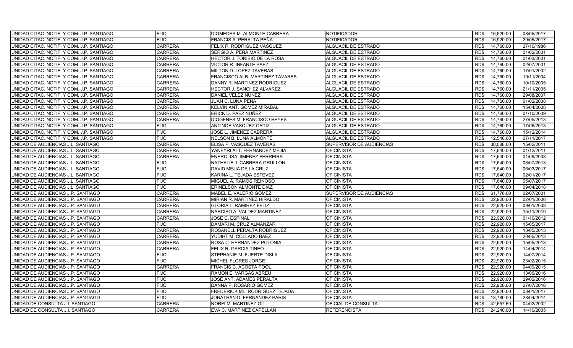| UNIDAD CITAC. NOTIF. Y COM. J.P. SANTIAGO | <b>FIJO</b>    | DIOMEDES M. ALMONTE CABRERA     | <b>NOTIFICADOR</b>       | RD\$ | 16,920.00 | 08/05/2017 |
|-------------------------------------------|----------------|---------------------------------|--------------------------|------|-----------|------------|
| UNIDAD CITAC. NOTIF. Y COM. J.P. SANTIAGO | <b>FIJO</b>    | FRANCIS A. PERALTA PEÑA         | NOTIFICADOR              | RD\$ | 16,920.00 | 29/05/2017 |
| UNIDAD CITAC. NOTIF. Y COM. J.P. SANTIAGO | <b>CARRERA</b> | FELIX R. RODRIGUEZ VASQUEZ      | ALGUACIL DE ESTRADO      | RD\$ | 14,760.00 | 27/10/1986 |
| UNIDAD CITAC. NOTIF. Y COM. J.P. SANTIAGO | <b>CARRERA</b> | SERGIO A. PEÑA MARTINEZ         | ALGUACIL DE ESTRADO      | RD\$ | 14,760.00 | 01/02/2001 |
| UNIDAD CITAC. NOTIF. Y COM. J.P. SANTIAGO | <b>CARRERA</b> | HECTOR J. TORIBIO DE LA ROSA    | ALGUACIL DE ESTRADO      | RD\$ | 14,760.00 | 01/03/2001 |
| UNIDAD CITAC, NOTIF, Y COM, J.P. SANTIAGO | <b>CARRERA</b> | <b>VICTOR R. INFANTE PAEZ</b>   | ALGUACIL DE ESTRADO      | RD\$ | 14,760.00 | 02/07/2001 |
| UNIDAD CITAC. NOTIF. Y COM. J.P. SANTIAGO | <b>CARRERA</b> | MILTON D. LOPEZ TAVERAS         | ALGUACIL DE ESTRADO      | RD\$ | 14,760.00 | 17/01/2002 |
| UNIDAD CITAC. NOTIF. Y COM. J.P. SANTIAGO | <b>CARRERA</b> | FRANCISCO ALB. MARTINEZ TAVARES | ALGUACIL DE ESTRADO      | RD\$ | 14,760.00 | 19/11/2004 |
| UNIDAD CITAC. NOTIF. Y COM. J.P. SANTIAGO | <b>CARRERA</b> | DANNY R. MARTINEZ RODRIGUEZ     | ALGUACIL DE ESTRADO      | RD\$ | 14,760.00 | 10/10/2005 |
| UNIDAD CITAC. NOTIF. Y COM. J.P. SANTIAGO | <b>CARRERA</b> | HECTOR J. SANCHEZ ALVAREZ       | ALGUACIL DE ESTRADO      | RD\$ | 14,760.00 | 21/11/2005 |
| UNIDAD CITAC. NOTIF. Y COM. J.P. SANTIAGO | <b>CARRERA</b> | DANIEL VELEZ NUÑEZ              | ALGUACIL DE ESTRADO      | RD\$ | 14,760.00 | 29/08/2007 |
| UNIDAD CITAC. NOTIF. Y COM. J.P. SANTIAGO | <b>CARRERA</b> | JUAN C. LUNA PEÑA               | ALGUACIL DE ESTRADO      | RD\$ | 14,760.00 | 01/02/2008 |
| UNIDAD CITAC. NOTIF. Y COM. J.P. SANTIAGO | <b>CARRERA</b> | KELVIN ANT. GOMEZ MIRABAL       | ALGUACIL DE ESTRADO      | RD\$ | 14,760.00 | 15/04/2008 |
| UNIDAD CITAC. NOTIF. Y COM. J.P. SANTIAGO | <b>CARRERA</b> | ERICK D. PAEZ NUÑEZ             | ALGUACIL DE ESTRADO      | RD\$ | 14,760.00 | 01/10/2009 |
| UNIDAD CITAC. NOTIF. Y COM. J.P. SANTIAGO | <b>CARRERA</b> | DIOGENES M. FRANCISCO REYES     | ALGUACIL DE ESTRADO      | RD\$ | 14,760.00 | 27/05/2013 |
| UNIDAD CITAC. NOTIF. Y COM. J.P. SANTIAGO | <b>FIJO</b>    | ANTINOE VASQUEZ ORTIZ           | ALGUACIL DE ESTRADO      | RD\$ | 14,760.00 | 17/06/2013 |
| UNIDAD CITAC. NOTIF. Y COM. J.P. SANTIAGO | <b>FIJO</b>    | JOSE L. JIMENEZ CABRERA         | ALGUACIL DE ESTRADO      | RD\$ | 14,760.00 | 15/12/2014 |
| UNIDAD CITAC, NOTIF, Y COM, J.P. SANTIAGO | <b>FIJO</b>    | <b>NELSON B. LUNA ALMONTE</b>   | ALGUACIL DE ESTRADO      | RD\$ | 12,546.00 | 07/11/2017 |
| UNIDAD DE AUDIENCIAS J.L. SANTIAGO        | <b>CARRERA</b> | ELISA P. VASQUEZ TAVERAS        | SUPERVISOR DE AUDIENCIAS | RD\$ | 38,088.00 | 15/02/2011 |
| UNIDAD DE AUDIENCIAS J.L. SANTIAGO        | <b>CARRERA</b> | YANEYRI ALT. FERNANDEZ MEJIA    | <b>OFICINISTA</b>        | RD\$ | 17,640.00 | 01/12/2011 |
| UNIDAD DE AUDIENCIAS J.L. SANTIAGO        | <b>CARRERA</b> | ENEROLISA JIMENEZ FERREIRA      | <b>OFICINISTA</b>        | RD\$ | 17,640.00 | 01/09/2008 |
| UNIDAD DE AUDIENCIAS J.L. SANTIAGO        | <b>FIJO</b>    | NATHALIE J. CABRERA GRULLON     | <b>OFICINISTA</b>        | RD\$ | 17,640.00 | 08/07/2013 |
| UNIDAD DE AUDIENCIAS J.L. SANTIAGO        | <b>FIJO</b>    | DAVID MEJIA DE LA CRUZ          | <b>OFICINISTA</b>        | RD\$ | 17,640.00 | 06/03/2017 |
| UNIDAD DE AUDIENCIAS J.L. SANTIAGO        | <b>FIJO</b>    | KARINA L. TEJADA ESTEVEZ        | <b>OFICINISTA</b>        | RD\$ | 17,640.00 | 02/01/2017 |
| UNIDAD DE AUDIENCIAS J.L. SANTIAGO        | <b>FIJO</b>    | MIGUEL A. RAMOS REINOSO         | <b>OFICINISTA</b>        | RD\$ | 17,640.00 | 05/07/2017 |
| UNIDAD DE AUDIENCIAS J.L. SANTIAGO        | <b>FIJO</b>    | ERINELSON ALMONTE DIAZ          | <b>OFICINISTA</b>        | RD\$ | 17,640.00 | 09/04/2018 |
| UNIDAD DE AUDIENCIAS J.P. SANTIAGO        | <b>CARRERA</b> | MABEL E. VALERIO GOMEZ          | SUPERVISOR DE AUDIENCIAS | RD\$ | 61,776.00 | 02/07/2001 |
| UNIDAD DE AUDIENCIAS J.P. SANTIAGO        | <b>CARRERA</b> | MIRIAN R. MARTINEZ HIRALDO      | <b>OFICINISTA</b>        | RD\$ | 22,920.00 | 02/01/2006 |
| UNIDAD DE AUDIENCIAS J.P. SANTIAGO        | <b>CARRERA</b> | <b>GLORIA L. RAMIREZ FELIZ</b>  | <b>OFICINISTA</b>        | RD\$ | 22,920.00 | 09/01/2008 |
| UNIDAD DE AUDIENCIAS J.P. SANTIAGO        | <b>CARRERA</b> | NARCISO A. VALDEZ MARTINEZ      | <b>OFICINISTA</b>        | RD\$ | 22.920.00 | 15/11/2010 |
| UNIDAD DE AUDIENCIAS J.P. SANTIAGO        | <b>CARRERA</b> | JOSE C. ESPINAL                 | <b>OFICINISTA</b>        | RD\$ | 22.920.00 | 01/10/2012 |
| UNIDAD DE AUDIENCIAS J.P. SANTIAGO        | <b>FIJO</b>    | DAMARI M. CRUZ ALMANZAR         | <b>OFICINISTA</b>        | RD\$ | 22,920.00 | 15/05/2017 |
| UNIDAD DE AUDIENCIAS J.P. SANTIAGO        | <b>CARRERA</b> | ROSANELL PERALTA RODRIGUEZ      | <b>OFICINISTA</b>        | RD\$ | 22.920.00 | 13/05/2013 |
| UNIDAD DE AUDIENCIAS J.P. SANTIAGO        | <b>CARRERA</b> | YUDIHT M. COLLADO BAEZ          | <b>OFICINISTA</b>        | RD\$ | 22,920.00 | 20/05/2013 |
| UNIDAD DE AUDIENCIAS J.P. SANTIAGO        | <b>CARRERA</b> | ROSA C. HERNANDEZ POLONIA       | <b>OFICINISTA</b>        | RD\$ | 22.920.00 | 15/05/2013 |
| UNIDAD DE AUDIENCIAS J.P. SANTIAGO        | <b>CARRERA</b> | FELIX R. GARCIA TINEO           | <b>OFICINISTA</b>        | RD\$ | 22,920.00 | 14/04/2014 |
| UNIDAD DE AUDIENCIAS J.P. SANTIAGO        | <b>FIJO</b>    | STEPHANIE M. FUERTE DISLA       | <b>OFICINISTA</b>        | RD\$ | 22,920.00 | 14/07/2014 |
| UNIDAD DE AUDIENCIAS J.P. SANTIAGO        | <b>FIJO</b>    | MICHEL FLORES JORGE             | <b>OFICINISTA</b>        | RD\$ | 22,920.00 | 23/02/2015 |
| UNIDAD DE AUDIENCIAS J.P. SANTIAGO        | <b>CARRERA</b> | FRANCIS C. ACOSTA POOL          | <b>OFICINISTA</b>        | RD\$ | 22,920.00 | 04/09/2015 |
| UNIDAD DE AUDIENCIAS J.P. SANTIAGO        | <b>FIJO</b>    | RAMON E. VARGAS ABREU           | <b>OFICINISTA</b>        | RD\$ | 22,920.00 | 13/06/2016 |
| UNIDAD DE AUDIENCIAS J.P. SANTIAGO        | <b>FIJO</b>    | JOSE ANT. ADAMES PERALTA        | <b>OFICINISTA</b>        | RD\$ | 22,920.00 | 29/02/2016 |
| UNIDAD DE AUDIENCIAS J.P. SANTIAGO        | <b>FIJO</b>    | DANNA P. ROSARIO GOMEZ          | <b>OFICINISTA</b>        | RD\$ | 22,920.00 | 27/07/2016 |
| UNIDAD DE AUDIENCIAS J.P. SANTIAGO        | <b>FIJO</b>    | FREDERICK ML. RODRIGUEZ TEJADA  | <b>OFICINISTA</b>        | RD\$ | 22,920.00 | 03/01/2017 |
| UNIDAD DE AUDIENCIAS J.P. SANTIAGO        | <b>FIJO</b>    | JONATHAN D. FERNANDEZ PARIS     | <b>OFICINISTA</b>        | RD\$ | 18,780.00 | 28/04/2014 |
| UNIDAD DE CONSULTA J.I. SANTIAGO          | <b>CARRERA</b> | NORFI M. MARTINEZ GIL           | OFICIAL DE CONSULTA      | RD\$ | 42,657.60 | 04/02/2002 |
| UNIDAD DE CONSULTA J.I. SANTIAGO          | <b>CARRERA</b> | EVA C. MARTINEZ CAPELLAN        | <b>REFERENCISTA</b>      | RD\$ | 24.240.00 | 14/10/2005 |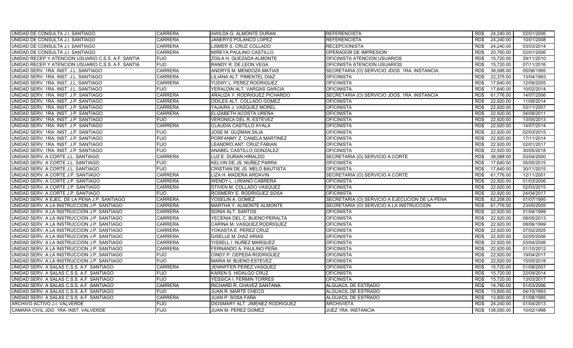| UNIDAD DE CONSULTA J.I. SANTIAGO                   | <b>CARRERA</b> | AWILDA G. ALMONTE DURAN         | <b>REFERENCISTA</b>                            | RD\$ | 24,240.00       | 02/01/2006 |
|----------------------------------------------------|----------------|---------------------------------|------------------------------------------------|------|-----------------|------------|
| UNIDAD DE CONSULTA J.I. SANTIAGO                   | <b>CARRERA</b> | JANERYS POLANCO LOPEZ           | <b>REFERENCISTA</b>                            | RD\$ | 24,240.00       | 10/01/2008 |
| UNIDAD DE CONSULTA J.I. SANTIAGO                   | <b>CARRERA</b> | LISMER S. CRUZ COLLADO          | <b>RECEPCIONISTA</b>                           | RD\$ | 24,240.00       | 03/03/2014 |
| UNIDAD DE CONSULTA J.I. SANTIAGO                   | <b>CARRERA</b> | MIREYA PAULINO CASTILLO         | OPERADOR DE IMPRESION                          | RD\$ | 20,760.00       | 02/01/2006 |
| UNIDAD RECEP Y ATENCION USUARIO C.S.S. A.F. SANTIA | <b>FIJO</b>    | ZOILA H. QUEZADA ALMONTE        | OFICINISTA ATENCION USUARIOS                   | RD\$ | 15,720.00       | 29/11/2010 |
| UNIDAD RECEP Y ATENCION USUARIO C.S.S. A.F. SANTIA | <b>FIJO</b>    | RANDY R. DE LEON VEGA           | OFICINISTA ATENCION USUARIOS                   | RD\$ | 15,720.00       | 07/11/2016 |
| UNIDAD SERV. 1RA. INST. J.L. SANTIAGO              | <b>CARRERA</b> | ANDRYS M. MENDOZA MATIAS        | SECRETARIA (O) SERVICIO JDOS. 1RA. INSTANCIA   | RD\$ | 38,088.00       | 05/06/1995 |
| UNIDAD SERV. 1RA. INST. J.L. SANTIAGO              | <b>CARRERA</b> | LILIANA ALT. PIMENTEL DIAZ      | <b>OFICINISTA</b>                              | RD\$ | 22.375.00       | 13/04/1993 |
| UNIDAD SERV. 1RA. INST. J.L. SANTIAGO              | <b>CARRERA</b> | YUDHY L. PEREZ RODRIGUEZ        | <b>OFICINISTA</b>                              | RD\$ | 17.640.00       | 12/09/2005 |
| UNIDAD SERV. 1RA. INST. J.L. SANTIAGO              | <b>FIJO</b>    | YERALDIN ALT. VARGAS GARCIA     | <b>OFICINISTA</b>                              | RD\$ | 17,640.00       | 10/02/2014 |
| UNIDAD SERV. 1RA. INST. J.P. SANTIAGO              | <b>CARRERA</b> | ARALIZA Y. RODRIGUEZ PICHARDO   | SECRETARIA (O) SERVICIO JDOS. 1RA. INSTANCIA   | RD\$ | 61,776.00       | 14/07/2006 |
| UNIDAD SERV. 1RA. INST. J.P. SANTIAGO              | <b>CARRERA</b> | ODILES ALT. COLLADO GOMEZ       | <b>OFICINISTA</b>                              | RD\$ | 22,920.00       | 11/08/2014 |
| UNIDAD SERV. 1RA. INST. J.P. SANTIAGO              | <b>CARRERA</b> | YAJAIRA J. VASQUEZ MOREL        | <b>OFICINISTA</b>                              | RD\$ | 22,920.00       | 03/11/2007 |
| UNIDAD SERV. 1RA. INST. J.P. SANTIAGO              | <b>CARRERA</b> | ELIZABETH ACOSTA UREÑA          | <b>OFICINISTA</b>                              | RD\$ | 22,920.00       | 04/08/2011 |
| UNIDAD SERV. 1RA. INST. J.P. SANTIAGO              | <b>FIJO</b>    | VERONICA DEL R. ESTEVEZ         | <b>OFICINISTA</b>                              | RD\$ | 22,920.00       | 13/05/2013 |
| UNIDAD SERV. 1RA. INST. J.P. SANTIAGO              | <b>CARRERA</b> | CLAUDIA CASTILLO AYALA          | <b>OFICINISTA</b>                              | RD\$ | 22,920.00       | 14/07/2014 |
| UNIDAD SERV. 1RA. INST. J.P. SANTIAGO              | <b>FIJO</b>    | <b>JOSE M. GUZMAN SILIA</b>     | <b>OFICINISTA</b>                              | RD\$ | 22,920.00       | 02/03/2015 |
| UNIDAD SERV. 1RA. INST. J.P. SANTIAGO              | <b>FIJO</b>    | PORFANMY Z. CANELA MARTINEZ     | <b>OFICINISTA</b>                              | RD\$ | 22,920.00       | 17/11/2014 |
| UNIDAD SERV. 1RA. INST. J.P. SANTIAGO              | <b>FIJO</b>    | LEANDRO ANT. CRUZ FABIAN        | <b>OFICINISTA</b>                              | RD\$ | 22,920.00       | 02/01/2017 |
| UNIDAD SERV. 1RA. INST. J.P. SANTIAGO              | <b>FIJO</b>    | ANABEL CASTILLO GONZALEZ        | <b>OFICINISTA</b>                              | RD\$ | 22,920.00       | 30/05/2018 |
| UNIDAD SERV. A CORTE J.L. SANTIAGO                 | <b>CARRERA</b> | LUZ E. DURAN HIRALDO            | SECRETARIA (O) SERVICIO A CORTE                | RD\$ | 38,088.00       | 03/04/2000 |
| UNIDAD SERV. A CORTE J.L. SANTIAGO                 | <b>FIJO</b>    | KELVIN DE JS. NUÑEZ PARRA       | <b>OFICINISTA</b>                              | RD\$ | 17,640.00       | 05/05/2015 |
| UNIDAD SERV. A CORTE J.L. SANTIAGO                 | <b>FIJO</b>    | CRISTIAN DE JS. MELO BAUTISTA   | <b>OFICINISTA</b>                              | RD\$ | 17,640.00       | 30/11/2015 |
| UNIDAD SERV. A CORTE J.P. SANTIAGO                 | <b>CARRERA</b> | LIZA H. MADERA ARDAVIN          | SECRETARIA (O) SERVICIO A CORTE                | RD\$ | 61,776.00       | 12/11/2001 |
| UNIDAD SERV. A CORTE J.P. SANTIAGO                 | <b>CARRERA</b> | WENDY L. LIRIANO CABRERA        | <b>OFICINISTA</b>                              | RD\$ | 22,920.00       | 01/03/2006 |
| UNIDAD SERV. A CORTE J.P. SANTIAGO                 | <b>CARRERA</b> | STIVEN M. COLLADO VASQUEZ       | <b>OFICINISTA</b>                              | RD\$ | 22,920.00       | 02/03/2015 |
| UNIDAD SERV. A CORTE J.P. SANTIAGO                 | <b>FIJO</b>    | ROSMERY E. RODRIGUEZ SOSA       | <b>OFICINISTA</b>                              | RD\$ | 22,920.00       | 24/04/2017 |
| UNIDAD SERV. A EJEC. DE LA PENA J.P. SANTIAGO      | <b>CARRERA</b> | YOSELIN A. GOMEZ                | SECRETARIA (O) SERVICIO A EJECUCION DE LA PENA | RD\$ | 62,208.00       | 01/07/1995 |
| UNIDAD SERV. A LA INSTRUCCION J.P. SANTIAGO        | <b>CARRERA</b> | MARTHA Y. ALMONTE ALMONTE       | SECRETARIA (O) SERVICIO A LA INSTRUCCION       | RD\$ | 61,776.00       | 23/05/2005 |
| UNIDAD SERV. A LA INSTRUCCION J.P. SANTIAGO        | <b>CARRERA</b> | SONIA ALT. SANTOS               | <b>OFICINISTA</b>                              | RD\$ | 22.920.00       | 01/04/1999 |
| UNIDAD SERV. A LA INSTRUCCION J.P. SANTIAGO        | <b>CARRERA</b> | YECENIA DEL C. BUENO PERALTA    | <b>OFICINISTA</b>                              | RD\$ | 22,920.00       | 08/05/2013 |
| UNIDAD SERV. A LA INSTRUCCION J.P. SANTIAGO        | <b>CARRERA</b> | CARINA M. VASQUEZ RODRIGUEZ     | <b>OFICINISTA</b>                              | RD\$ | 22,920.00       | 08/06/1999 |
| UNIDAD SERV. A LA INSTRUCCION J.P. SANTIAGO        | <b>CARRERA</b> | YOKASTA E. PEREZ CRUZ           | <b>OFICINISTA</b>                              | RD\$ | 22,920.00       | 07/02/2005 |
| UNIDAD SERV. A LA INSTRUCCION J.P. SANTIAGO        | <b>CARRERA</b> | GISELLE M. DIAZ ARIAS           | <b>OFICINISTA</b>                              | RD\$ | 22,920.00       | 02/05/2006 |
| UNIDAD SERV. A LA INSTRUCCION J.P. SANTIAGO        | <b>CARRERA</b> | YISSELL I. NUÑEZ MARQUEZ        | <b>OFICINISTA</b>                              | RD\$ | 22,920.00       | 03/04/2006 |
| UNIDAD SERV. A LA INSTRUCCION J.P. SANTIAGO        | <b>CARRERA</b> | FERNANDO A. PAULINO PEÑA        | <b>OFICINISTA</b>                              | RD\$ | 22,920.00       | 01/10/2012 |
| UNIDAD SERV. A LA INSTRUCCION J.P. SANTIAGO        | <b>FIJO</b>    | CINDY P. CEPEDA RODRIGUEZ       | <b>OFICINISTA</b>                              | RD\$ | 22,920.00       | 19/04/2017 |
| UNIDAD SERV. A LA INSTRUCCION J.P. SANTIAGO        | <b>FIJO</b>    | MARIA M. BUENO ESTEVEZ          | <b>OFICINISTA</b>                              | RD\$ | 22,920.00       | 15/05/2018 |
| UNIDAD SERV. A SALAS C.S.S. A.F. SANTIAGO          | <b>CARRERA</b> | JENNIFFER PEREZ VASQUEZ         | <b>OFICINISTA</b>                              | RD\$ | 15,720.00       | 01/08/2007 |
| UNIDAD SERV. A SALAS C.S.S. A.F. SANTIAGO          | <b>FIJO</b>    | KAREN S. HIDALGO CRUZ           | <b>OFICINISTA</b>                              | RD\$ | 15,720.00       | 22/09/2014 |
| UNIDAD SERV. A SALAS C.S.S. A.F. SANTIAGO          | <b>FIJO</b>    | YESSICA I. FERMIN TORRES        | <b>OFICINISTA</b>                              | RD\$ | 15,720.00       | 13/03/2017 |
| UNIDAD SERV. A SALAS C.S.S. A.F. SANTIAGO          | <b>CARRERA</b> | RICHARD R. CHAVEZ SANTANA       | <b>ALGUACIL DE ESTRADO</b>                     | RD\$ | 14,760.00       | 01/03/2006 |
| UNIDAD SERV. A SALAS C.S.S. A.F. SANTIAGO          | <b>FIJO</b>    | JUAN R. MARTE CHECO             | ALGUACIL DE ESTRADO                            | RD\$ | 13,800.00       | 04/10/1993 |
| UNIDAD SERV. A SALAS C.S.S. A.F. SANTIAGO          | <b>CARRERA</b> | JUAN P. SOSA FAÑA               | ALGUACIL DE ESTRADO                            | RD\$ | 13,800.00       | 01/08/1995 |
| ARCHIVO ACTIVO J.I. VALVERDE                       | <b>FIJO</b>    | DIOSMARY ALT. JIMENEZ RODRIGUEZ | <b>ARCHIVISTA</b>                              | RD\$ | 24,240.00       | 01/04/2013 |
| CAMARA CIVIL JDO. 1RA. INST. VALVERDE              | <b>FIJO</b>    | JUAN M. PEREZ GOMEZ             | <b>JUEZ 1RA. INSTANCIA</b>                     |      | RD\$ 138,000.00 | 10/02/1998 |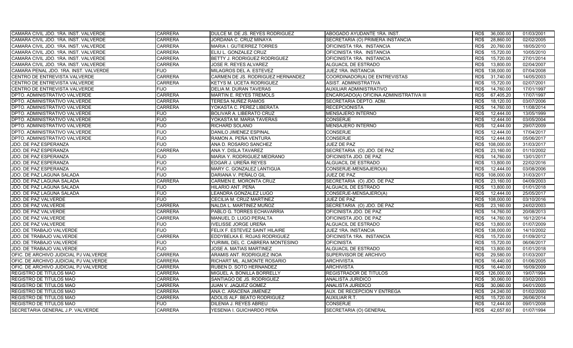| CAMARA CIVIL JDO. 1RA. INST. VALVERDE | <b>CARRERA</b> | DULCE M. DE JS. REYES RODRIGUEZ   | ABOGADO AYUDANTE 1RA. INST.             | RD\$ | 36,000.00  | 01/03/2001 |
|---------------------------------------|----------------|-----------------------------------|-----------------------------------------|------|------------|------------|
| CAMARA CIVIL JDO. 1RA. INST. VALVERDE | <b>CARRERA</b> | JORDANA C. CRUZ MINAYA            | SECRETARIA (O) PRIMERA INSTANCIA        | RD\$ | 28,860.00  | 02/02/2005 |
| CAMARA CIVIL JDO. 1RA. INST. VALVERDE | <b>CARRERA</b> | <b>MARIA I. GUTIERREZ TORRES</b>  | OFICINISTA 1RA. INSTANCIA               | RD\$ | 20,760.00  | 18/05/2010 |
| CAMARA CIVIL JDO. 1RA. INST. VALVERDE | <b>CARRERA</b> | ELIU L. GONZALEZ CRUZ             | OFICINISTA 1RA. INSTANCIA               | RD\$ | 15,720.00  | 10/05/2010 |
| CAMARA CIVIL JDO. 1RA. INST. VALVERDE | <b>CARRERA</b> | BETTY J. RODRIGUEZ RODRIGUEZ      | OFICINISTA 1RA. INSTANCIA               | RD\$ | 15,720.00  | 27/01/2014 |
| CAMARA CIVIL JDO. 1RA. INST. VALVERDE | <b>CARRERA</b> | JOSE R. REYES ALVAREZ             | <b>ALGUACIL DE ESTRADO</b>              | RD\$ | 13,800.00  | 02/04/2007 |
| CAMARA PENAL JDO. 1RA. INST. VALVERDE | <b>FIJO</b>    | MILAGROS DEL A. ESTEVEZ           | JUEZ 1RA. INSTANCIA                     | RD\$ | 138,000.00 | 07/04/2008 |
| CENTRO DE ENTREVISTA VALVERDE         | <b>CARRERA</b> | CARMEN DE JS. RODRIGUEZ HERNANDEZ | COORDINADOR(A) DE ENTREVISTAS           | RD\$ | 31,740.00  | 14/05/2003 |
| CENTRO DE ENTREVISTA VALVERDE         | <b>CARRERA</b> | KETYS M. UCETA RODRIGUEZ          | ASIST. ADMINISTRATIVA                   | RD\$ | 15,720.00  | 02/07/2001 |
| CENTRO DE ENTREVISTA VALVERDE         | <b>FIJO</b>    | <b>DELIA M. DURAN TAVERAS</b>     | AUXILIAR ADMINISTRATIVO                 | RD\$ | 14,760.00  | 17/01/1997 |
| DPTO. ADMINISTRATIVO VALVERDE         | <b>CARRERA</b> | MARTIN E. REYES TREMOLS           | ENCARGADO(A) OFICINA ADMINISTRATIVA III | RD\$ | 67,405.20  | 17/07/1997 |
| DPTO. ADMINISTRATIVO VALVERDE         | <b>CARRERA</b> | TERESA NUÑEZ RAMOS                | SECRETARIA DEPTO. ADM.                  | RD\$ | 18,120.00  | 03/07/2006 |
| DPTO. ADMINISTRATIVO VALVERDE         | <b>CARRERA</b> | YOKASTA C. PEREZ LIBERATA         | <b>RECEPCIONISTA</b>                    | RD\$ | 14,760.00  | 11/08/2014 |
| DPTO. ADMINISTRATIVO VALVERDE         | <b>FIJO</b>    | BOLIVAR A. LIBERATO CRUZ          | <b>MENSAJERO INTERNO</b>                | RD\$ | 12,444.00  | 13/05/1999 |
| DPTO. ADMINISTRATIVO VALVERDE         | <b>FIJO</b>    | YOKASTA M. MARIA TAVERAS          | <b>CONSERJE</b>                         | RD\$ | 12,444.00  | 03/05/2004 |
| DPTO. ADMINISTRATIVO VALVERDE         | <b>FIJO</b>    | RICHARD SOLANO                    | <b>MENSAJERO INTERNO</b>                | RD\$ | 12,444.00  | 29/07/2009 |
| DPTO. ADMINISTRATIVO VALVERDE         | <b>FIJO</b>    | DANILO JIMENEZ ESPINAL            | <b>CONSERJE</b>                         | RD\$ | 12,444.00  | 17/04/2017 |
| DPTO. ADMINISTRATIVO VALVERDE         | <b>FIJO</b>    | RAMON A. PEÑA VENTURA             | <b>CONSERJE</b>                         | RD\$ | 12,444.00  | 05/06/2017 |
| JDO. DE PAZ ESPERANZA                 | <b>FIJO</b>    | ANA D. ROSARIO SANCHEZ            | JUEZ DE PAZ                             | RD\$ | 108,000.00 | 31/03/2017 |
| JDO. DE PAZ ESPERANZA                 | <b>CARRERA</b> | ANA Y. DISLA TAVAREZ              | SECRETARIA (O) JDO. DE PAZ              | RD\$ | 23,160.00  | 01/10/2002 |
| JDO. DE PAZ ESPERANZA                 | <b>FIJO</b>    | MARIA Y. RODRIGUEZ MEDRANO        | OFICINISTA JDO. DE PAZ                  | RD\$ | 14,760.00  | 13/01/2017 |
| JDO. DE PAZ ESPERANZA                 | <b>FIJO</b>    | EDGAR J. UREÑA REYES              | <b>ALGUACIL DE ESTRADO</b>              | RD\$ | 13,800.00  | 22/02/2016 |
| JDO. DE PAZ ESPERANZA                 | <b>FIJO</b>    | MARY C. GONZALEZ LANTIGUA         | CONSERJE-MENSAJERO(A)                   | RD\$ | 12,444.00  | 03/08/2006 |
| JDO. DE PAZ LAGUNA SALADA             | <b>FIJO</b>    | DARIANA V. PEÑALO GIL             | JUEZ DE PAZ                             | RD\$ | 108,000.00 | 31/03/2017 |
| JDO. DE PAZ LAGUNA SALADA             | <b>CARRERA</b> | CARMEN E. MORONTA CRUZ            | SECRETARIA (O) JDO. DE PAZ              | RD\$ | 23,160.00  | 04/09/2003 |
| JDO. DE PAZ LAGUNA SALADA             | <b>FIJO</b>    | HILARIO ANT. PEÑA                 | <b>ALGUACIL DE ESTRADO</b>              | RD\$ | 13,800.00  | 01/01/2018 |
| JDO. DE PAZ LAGUNA SALADA             | <b>FIJO</b>    | LEANDRA GONZALEZ LUGO             | CONSERJE-MENSAJERO(A)                   | RD\$ | 12,444.00  | 25/05/2017 |
| JDO. DE PAZ VALVERDE                  | <b>FIJO</b>    | CECILIA M. CRUZ MARTINEZ          | JUEZ DE PAZ                             | RD\$ | 108,000.00 | 03/10/2016 |
| JDO. DE PAZ VALVERDE                  | <b>CARRERA</b> | NALDA L. MARTINEZ MUÑOZ           | SECRETARIA (O) JDO. DE PAZ              | RD\$ | 23,160.00  | 24/02/2003 |
| <b>JDO. DE PAZ VALVERDE</b>           | <b>CARRERA</b> | PABLO G. TORRES ECHAVARRIA        | OFICINISTA JDO. DE PAZ                  | RD\$ | 14,760.00  | 20/08/2013 |
| JDO. DE PAZ VALVERDE                  | <b>CARRERA</b> | MANUEL D. LUGO PERALTA            | OFICINISTA JDO. DE PAZ                  | RD\$ | 14,760.00  | 16/12/2014 |
| JDO. DE PAZ VALVERDE                  | <b>FIJO</b>    | IVELISSE JORGE UREÑA              | ALGUACIL DE ESTRADO                     | RD\$ | 13,800.00  | 01/07/2009 |
| JDO. DE TRABAJO VALVERDE              | <b>FIJO</b>    | FELIX F. ESTEVEZ SAINT HILAIRE    | <b>JUEZ 1RA. INSTANCIA</b>              | RD\$ | 138,000.00 | 14/10/2002 |
| JDO. DE TRABAJO VALVERDE              | <b>CARRERA</b> | EDDYBELKA E. ROJAS RODRIGUEZ      | OFICINISTA 1RA. INSTANCIA               | RD\$ | 15,720.00  | 01/09/2012 |
| JDO. DE TRABAJO VALVERDE              | <b>FIJO</b>    | YURIMIL DEL C. CABRERA MONTESINO  | <b>OFICINISTA</b>                       | RD\$ | 15,720.00  | 06/06/2017 |
| JDO. DE TRABAJO VALVERDE              | <b>FIJO</b>    | JOSE A. MATIAS MARTINEZ           | ALGUACIL DE ESTRADO                     | RD\$ | 13,800.00  | 01/01/2018 |
| OFIC. DE ARCHIVO JUDICIAL PJ VALVERDE | <b>CARRERA</b> | ARAMIS ANT. RODRIGUEZ INOA        | SUPERVISOR DE ARCHIVO                   | RD\$ | 29,580.00  | 01/03/2007 |
| OFIC. DE ARCHIVO JUDICIAL PJ VALVERDE | <b>CARRERA</b> | RICHART ML. ALMONTE ROSARIO       | <b>ARCHIVISTA</b>                       | RD\$ | 16,440.00  | 01/06/2005 |
| OFIC. DE ARCHIVO JUDICIAL PJ VALVERDE | <b>CARRERA</b> | RUBEN D. SOTO HERNANDEZ           | <b>ARCHIVISTA</b>                       | RD\$ | 16,440.00  | 16/09/2009 |
| REGISTRO DE TITULOS MAO               | <b>CARRERA</b> | MIGUEL A. BONILLA BORRELLY        | <b>REGISTRADOR DE TITULOS</b>           | RD\$ | 126,000.00 | 19/07/1994 |
| REGISTRO DE TITULOS MAO               | <b>CARRERA</b> | SANTIAGO DE JS. RODRIGUEZ         | ANALISTA JURIDICO                       | RD\$ | 30,060.00  | 03/02/2003 |
| <b>REGISTRO DE TITULOS MAO</b>        | <b>CARRERA</b> | JUAN V. JAQUEZ GOMEZ              | ANALISTA JURIDICO                       | RD\$ | 30,060.00  | 04/01/2005 |
| <b>REGISTRO DE TITULOS MAO</b>        | <b>CARRERA</b> | ANA C. ARACENA JIMENEZ            | AUX. DE RECEPCION Y ENTREGA             | RD\$ | 24,240.00  | 01/02/2000 |
| <b>REGISTRO DE TITULOS MAO</b>        | <b>CARRERA</b> | ADOLIS ALF. BEATO RODRIGUEZ       | AUXILIAR R.T.                           | RD\$ | 15,720.00  | 26/06/2014 |
| REGISTRO DE TITULOS MAO               | <b>FIJO</b>    | DILENIA J. REYES ABREU            | <b>CONSERJE</b>                         | RD\$ | 12,444.00  | 09/01/2008 |
| SECRETARIA GENERAL J.P. VALVERDE      | <b>CARRERA</b> | YESENIA I. GUICHARDO PEÑA         | SECRETARIA (O) GENERAL                  | RD\$ | 42,657.60  | 01/07/1994 |